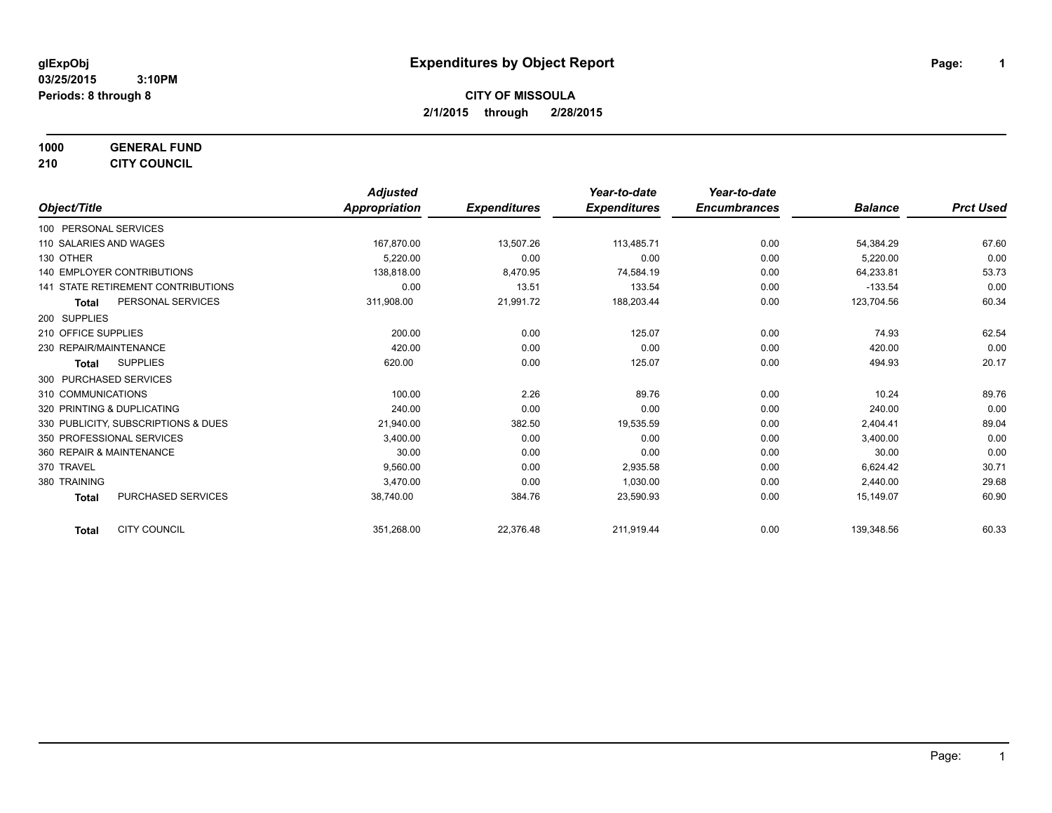**1000 GENERAL FUND 210 CITY COUNCIL**

*Object/Title Adjusted Appropriation Expenditures Year-to-date Expenditures Year-to-date Encumbrances Balance Prct Used* 100 PERSONAL SERVICES 110 SALARIES AND WAGES 167,870.00 167,870.00 13,507.26 167,870.00 13,507.26 113,485.71 0.00 54,384.29 57,60 130 OTHER 5,220.00 0.00 0.00 0.00 5,220.00 0.00 140 EMPLOYER CONTRIBUTIONS 138,818.00 8,470.95 74,584.19 0.00 64,233.81 53.73 141 STATE RETIREMENT CONTRIBUTIONS 0.00 13.51 133.54 0.00 -133.54 0.00 **Total** PERSONAL SERVICES 311,908.00 21,991.72 188,203.44 0.00 123,704.56 60.34 200 SUPPLIES 210 OFFICE SUPPLIES 200.00 0.00 125.07 0.00 74.93 62.54 230 REPAIR/MAINTENANCE 420.00 0.00 0.00 0.00 420.00 0.00 **Total** SUPPLIES 620.00 0.00 125.07 0.00 494.93 20.17 300 PURCHASED SERVICES 310 COMMUNICATIONS 100.24 89.76 89.76 89.76 89.76 89.76 89.76 0.00 10.24 89.76 320 PRINTING & DUPLICATING 240.00 0.00 0.00 0.00 240.00 0.00 330 PUBLICITY, SUBSCRIPTIONS & DUES 21,940.00 382.50 19,535.59 0.00 2,404.41 89.04 350 PROFESSIONAL SERVICES 3,400.00 0.00 0.00 0.00 3,400.00 0.00 360 REPAIR & MAINTENANCE 30.00 0.00 0.00 0.00 30.00 0.00 370 TRAVEL 9,560.00 0.00 2,935.58 0.00 6,624.42 30.71 380 TRAINING 3,470.00 0.00 1,030.00 0.00 2,440.00 29.68 **Total** PURCHASED SERVICES 38,740.00 384.76 23,590.93 0.00 15,149.07 60.90 **Total** CITY COUNCIL 351,268.00 22,376.48 211,919.44 0.00 139,348.56 60.33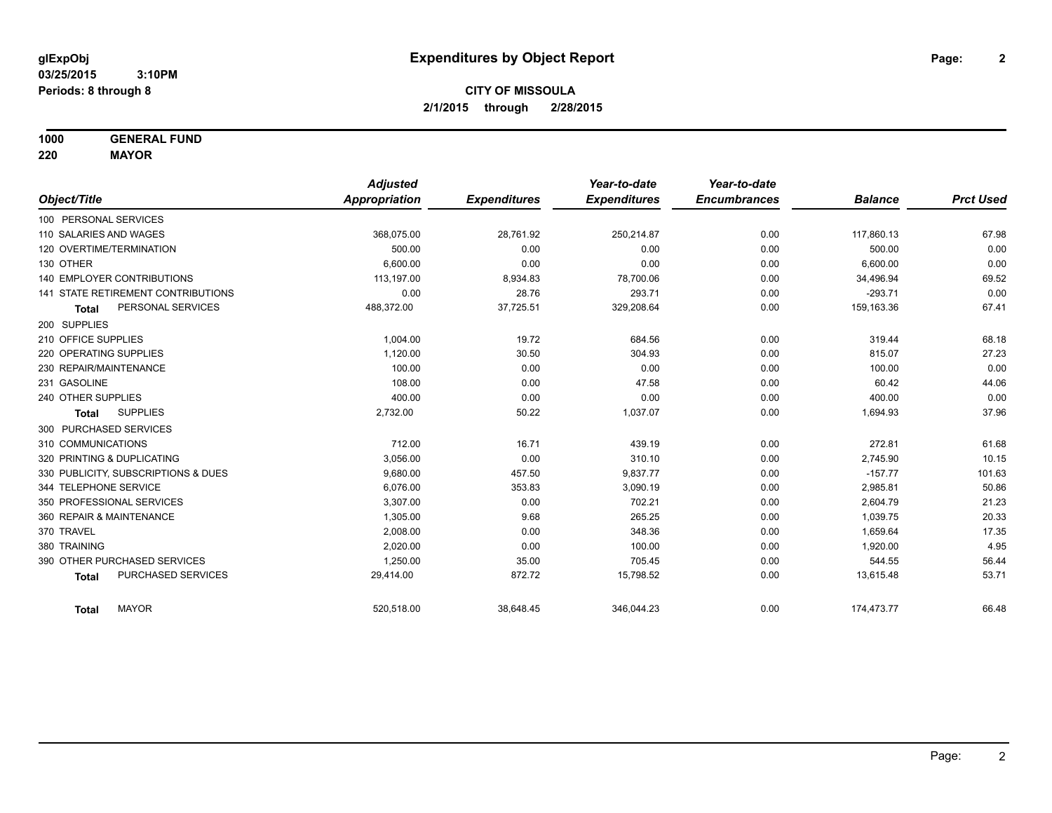**1000 GENERAL FUND**

**220 MAYOR**

|                                     | <b>Adjusted</b> |                     | Year-to-date        | Year-to-date        |                |                  |
|-------------------------------------|-----------------|---------------------|---------------------|---------------------|----------------|------------------|
| Object/Title                        | Appropriation   | <b>Expenditures</b> | <b>Expenditures</b> | <b>Encumbrances</b> | <b>Balance</b> | <b>Prct Used</b> |
| 100 PERSONAL SERVICES               |                 |                     |                     |                     |                |                  |
| 110 SALARIES AND WAGES              | 368,075.00      | 28,761.92           | 250,214.87          | 0.00                | 117,860.13     | 67.98            |
| 120 OVERTIME/TERMINATION            | 500.00          | 0.00                | 0.00                | 0.00                | 500.00         | 0.00             |
| 130 OTHER                           | 6,600.00        | 0.00                | 0.00                | 0.00                | 6,600.00       | 0.00             |
| <b>140 EMPLOYER CONTRIBUTIONS</b>   | 113,197.00      | 8,934.83            | 78,700.06           | 0.00                | 34,496.94      | 69.52            |
| 141 STATE RETIREMENT CONTRIBUTIONS  | 0.00            | 28.76               | 293.71              | 0.00                | $-293.71$      | 0.00             |
| PERSONAL SERVICES<br><b>Total</b>   | 488,372.00      | 37,725.51           | 329,208.64          | 0.00                | 159,163.36     | 67.41            |
| 200 SUPPLIES                        |                 |                     |                     |                     |                |                  |
| 210 OFFICE SUPPLIES                 | 1,004.00        | 19.72               | 684.56              | 0.00                | 319.44         | 68.18            |
| 220 OPERATING SUPPLIES              | 1,120.00        | 30.50               | 304.93              | 0.00                | 815.07         | 27.23            |
| 230 REPAIR/MAINTENANCE              | 100.00          | 0.00                | 0.00                | 0.00                | 100.00         | 0.00             |
| 231 GASOLINE                        | 108.00          | 0.00                | 47.58               | 0.00                | 60.42          | 44.06            |
| 240 OTHER SUPPLIES                  | 400.00          | 0.00                | 0.00                | 0.00                | 400.00         | 0.00             |
| <b>SUPPLIES</b><br><b>Total</b>     | 2,732.00        | 50.22               | 1,037.07            | 0.00                | 1,694.93       | 37.96            |
| 300 PURCHASED SERVICES              |                 |                     |                     |                     |                |                  |
| 310 COMMUNICATIONS                  | 712.00          | 16.71               | 439.19              | 0.00                | 272.81         | 61.68            |
| 320 PRINTING & DUPLICATING          | 3,056.00        | 0.00                | 310.10              | 0.00                | 2,745.90       | 10.15            |
| 330 PUBLICITY, SUBSCRIPTIONS & DUES | 9,680.00        | 457.50              | 9,837.77            | 0.00                | $-157.77$      | 101.63           |
| 344 TELEPHONE SERVICE               | 6.076.00        | 353.83              | 3,090.19            | 0.00                | 2,985.81       | 50.86            |
| 350 PROFESSIONAL SERVICES           | 3,307.00        | 0.00                | 702.21              | 0.00                | 2,604.79       | 21.23            |
| 360 REPAIR & MAINTENANCE            | 1,305.00        | 9.68                | 265.25              | 0.00                | 1,039.75       | 20.33            |
| 370 TRAVEL                          | 2,008.00        | 0.00                | 348.36              | 0.00                | 1,659.64       | 17.35            |
| 380 TRAINING                        | 2,020.00        | 0.00                | 100.00              | 0.00                | 1,920.00       | 4.95             |
| 390 OTHER PURCHASED SERVICES        | 1,250.00        | 35.00               | 705.45              | 0.00                | 544.55         | 56.44            |
| PURCHASED SERVICES<br><b>Total</b>  | 29,414.00       | 872.72              | 15,798.52           | 0.00                | 13,615.48      | 53.71            |
| <b>MAYOR</b><br><b>Total</b>        | 520,518.00      | 38,648.45           | 346,044.23          | 0.00                | 174,473.77     | 66.48            |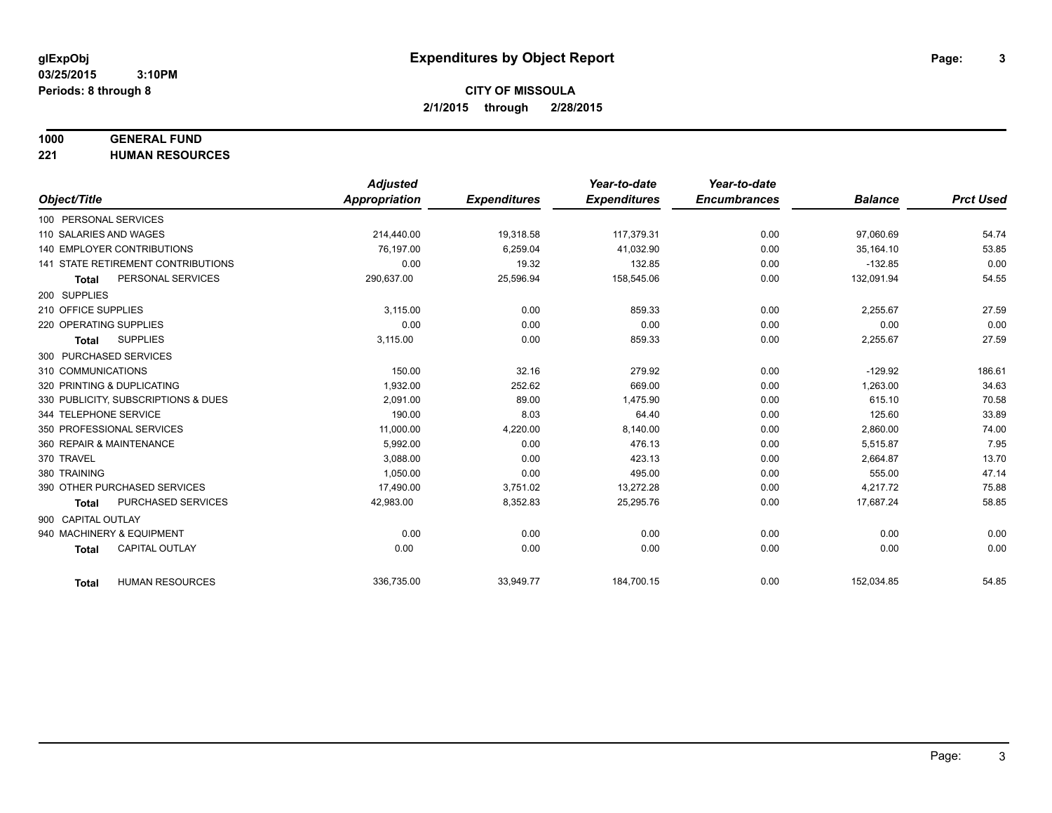## **1000 GENERAL FUND**

**221 HUMAN RESOURCES**

|                                           | <b>Adjusted</b>      |                     | Year-to-date        | Year-to-date        |                |                  |
|-------------------------------------------|----------------------|---------------------|---------------------|---------------------|----------------|------------------|
| Object/Title                              | <b>Appropriation</b> | <b>Expenditures</b> | <b>Expenditures</b> | <b>Encumbrances</b> | <b>Balance</b> | <b>Prct Used</b> |
| 100 PERSONAL SERVICES                     |                      |                     |                     |                     |                |                  |
| 110 SALARIES AND WAGES                    | 214,440.00           | 19,318.58           | 117,379.31          | 0.00                | 97,060.69      | 54.74            |
| <b>140 EMPLOYER CONTRIBUTIONS</b>         | 76.197.00            | 6,259.04            | 41,032.90           | 0.00                | 35,164.10      | 53.85            |
| <b>141 STATE RETIREMENT CONTRIBUTIONS</b> | 0.00                 | 19.32               | 132.85              | 0.00                | $-132.85$      | 0.00             |
| PERSONAL SERVICES<br><b>Total</b>         | 290,637.00           | 25,596.94           | 158,545.06          | 0.00                | 132,091.94     | 54.55            |
| 200 SUPPLIES                              |                      |                     |                     |                     |                |                  |
| 210 OFFICE SUPPLIES                       | 3.115.00             | 0.00                | 859.33              | 0.00                | 2,255.67       | 27.59            |
| 220 OPERATING SUPPLIES                    | 0.00                 | 0.00                | 0.00                | 0.00                | 0.00           | 0.00             |
| <b>SUPPLIES</b><br>Total                  | 3,115.00             | 0.00                | 859.33              | 0.00                | 2,255.67       | 27.59            |
| 300 PURCHASED SERVICES                    |                      |                     |                     |                     |                |                  |
| 310 COMMUNICATIONS                        | 150.00               | 32.16               | 279.92              | 0.00                | $-129.92$      | 186.61           |
| 320 PRINTING & DUPLICATING                | 1.932.00             | 252.62              | 669.00              | 0.00                | 1,263.00       | 34.63            |
| 330 PUBLICITY, SUBSCRIPTIONS & DUES       | 2,091.00             | 89.00               | 1,475.90            | 0.00                | 615.10         | 70.58            |
| 344 TELEPHONE SERVICE                     | 190.00               | 8.03                | 64.40               | 0.00                | 125.60         | 33.89            |
| 350 PROFESSIONAL SERVICES                 | 11,000.00            | 4,220.00            | 8,140.00            | 0.00                | 2,860.00       | 74.00            |
| 360 REPAIR & MAINTENANCE                  | 5,992.00             | 0.00                | 476.13              | 0.00                | 5,515.87       | 7.95             |
| 370 TRAVEL                                | 3.088.00             | 0.00                | 423.13              | 0.00                | 2,664.87       | 13.70            |
| 380 TRAINING                              | 1,050.00             | 0.00                | 495.00              | 0.00                | 555.00         | 47.14            |
| 390 OTHER PURCHASED SERVICES              | 17,490.00            | 3,751.02            | 13,272.28           | 0.00                | 4,217.72       | 75.88            |
| <b>PURCHASED SERVICES</b><br><b>Total</b> | 42,983.00            | 8,352.83            | 25,295.76           | 0.00                | 17.687.24      | 58.85            |
| 900 CAPITAL OUTLAY                        |                      |                     |                     |                     |                |                  |
| 940 MACHINERY & EQUIPMENT                 | 0.00                 | 0.00                | 0.00                | 0.00                | 0.00           | 0.00             |
| <b>CAPITAL OUTLAY</b><br><b>Total</b>     | 0.00                 | 0.00                | 0.00                | 0.00                | 0.00           | 0.00             |
|                                           |                      |                     |                     |                     |                |                  |
| <b>HUMAN RESOURCES</b><br><b>Total</b>    | 336,735.00           | 33,949.77           | 184,700.15          | 0.00                | 152,034.85     | 54.85            |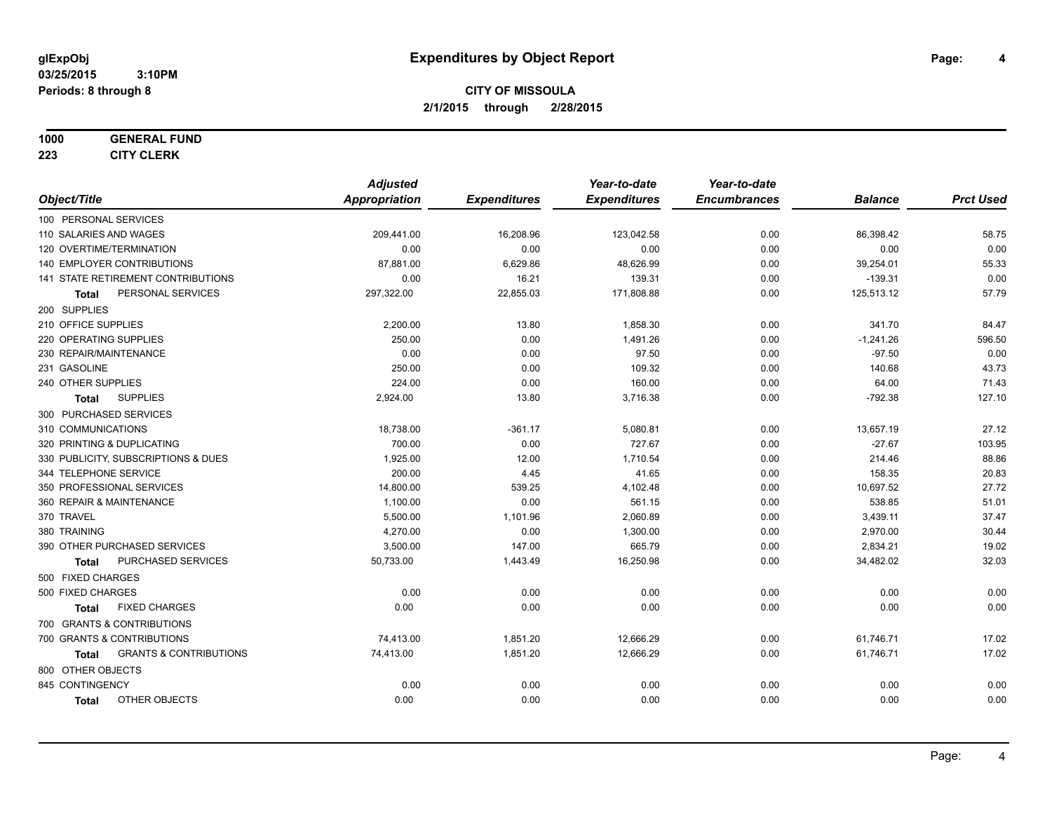### **1000 GENERAL FUND**

**223 CITY CLERK**

|                                                   | <b>Adjusted</b>      |                     | Year-to-date        | Year-to-date        |                |                  |
|---------------------------------------------------|----------------------|---------------------|---------------------|---------------------|----------------|------------------|
| Object/Title                                      | <b>Appropriation</b> | <b>Expenditures</b> | <b>Expenditures</b> | <b>Encumbrances</b> | <b>Balance</b> | <b>Prct Used</b> |
| 100 PERSONAL SERVICES                             |                      |                     |                     |                     |                |                  |
| 110 SALARIES AND WAGES                            | 209,441.00           | 16,208.96           | 123,042.58          | 0.00                | 86,398.42      | 58.75            |
| 120 OVERTIME/TERMINATION                          | 0.00                 | 0.00                | 0.00                | 0.00                | 0.00           | 0.00             |
| 140 EMPLOYER CONTRIBUTIONS                        | 87,881.00            | 6,629.86            | 48,626.99           | 0.00                | 39,254.01      | 55.33            |
| 141 STATE RETIREMENT CONTRIBUTIONS                | 0.00                 | 16.21               | 139.31              | 0.00                | $-139.31$      | 0.00             |
| PERSONAL SERVICES<br>Total                        | 297,322.00           | 22,855.03           | 171,808.88          | 0.00                | 125,513.12     | 57.79            |
| 200 SUPPLIES                                      |                      |                     |                     |                     |                |                  |
| 210 OFFICE SUPPLIES                               | 2,200.00             | 13.80               | 1,858.30            | 0.00                | 341.70         | 84.47            |
| 220 OPERATING SUPPLIES                            | 250.00               | 0.00                | 1,491.26            | 0.00                | $-1,241.26$    | 596.50           |
| 230 REPAIR/MAINTENANCE                            | 0.00                 | 0.00                | 97.50               | 0.00                | $-97.50$       | 0.00             |
| 231 GASOLINE                                      | 250.00               | 0.00                | 109.32              | 0.00                | 140.68         | 43.73            |
| 240 OTHER SUPPLIES                                | 224.00               | 0.00                | 160.00              | 0.00                | 64.00          | 71.43            |
| <b>SUPPLIES</b><br>Total                          | 2,924.00             | 13.80               | 3,716.38            | 0.00                | $-792.38$      | 127.10           |
| 300 PURCHASED SERVICES                            |                      |                     |                     |                     |                |                  |
| 310 COMMUNICATIONS                                | 18,738.00            | $-361.17$           | 5,080.81            | 0.00                | 13,657.19      | 27.12            |
| 320 PRINTING & DUPLICATING                        | 700.00               | 0.00                | 727.67              | 0.00                | $-27.67$       | 103.95           |
| 330 PUBLICITY, SUBSCRIPTIONS & DUES               | 1,925.00             | 12.00               | 1,710.54            | 0.00                | 214.46         | 88.86            |
| 344 TELEPHONE SERVICE                             | 200.00               | 4.45                | 41.65               | 0.00                | 158.35         | 20.83            |
| 350 PROFESSIONAL SERVICES                         | 14,800.00            | 539.25              | 4,102.48            | 0.00                | 10,697.52      | 27.72            |
| 360 REPAIR & MAINTENANCE                          | 1,100.00             | 0.00                | 561.15              | 0.00                | 538.85         | 51.01            |
| 370 TRAVEL                                        | 5,500.00             | 1,101.96            | 2,060.89            | 0.00                | 3,439.11       | 37.47            |
| 380 TRAINING                                      | 4,270.00             | 0.00                | 1,300.00            | 0.00                | 2,970.00       | 30.44            |
| 390 OTHER PURCHASED SERVICES                      | 3,500.00             | 147.00              | 665.79              | 0.00                | 2,834.21       | 19.02            |
| PURCHASED SERVICES<br>Total                       | 50,733.00            | 1,443.49            | 16,250.98           | 0.00                | 34,482.02      | 32.03            |
| 500 FIXED CHARGES                                 |                      |                     |                     |                     |                |                  |
| 500 FIXED CHARGES                                 | 0.00                 | 0.00                | 0.00                | 0.00                | 0.00           | 0.00             |
| <b>FIXED CHARGES</b><br>Total                     | 0.00                 | 0.00                | 0.00                | 0.00                | 0.00           | 0.00             |
| 700 GRANTS & CONTRIBUTIONS                        |                      |                     |                     |                     |                |                  |
| 700 GRANTS & CONTRIBUTIONS                        | 74,413.00            | 1,851.20            | 12,666.29           | 0.00                | 61,746.71      | 17.02            |
| <b>GRANTS &amp; CONTRIBUTIONS</b><br><b>Total</b> | 74,413.00            | 1,851.20            | 12,666.29           | 0.00                | 61,746.71      | 17.02            |
| 800 OTHER OBJECTS                                 |                      |                     |                     |                     |                |                  |
| 845 CONTINGENCY                                   | 0.00                 | 0.00                | 0.00                | 0.00                | 0.00           | 0.00             |
| OTHER OBJECTS<br><b>Total</b>                     | 0.00                 | 0.00                | 0.00                | 0.00                | 0.00           | 0.00             |
|                                                   |                      |                     |                     |                     |                |                  |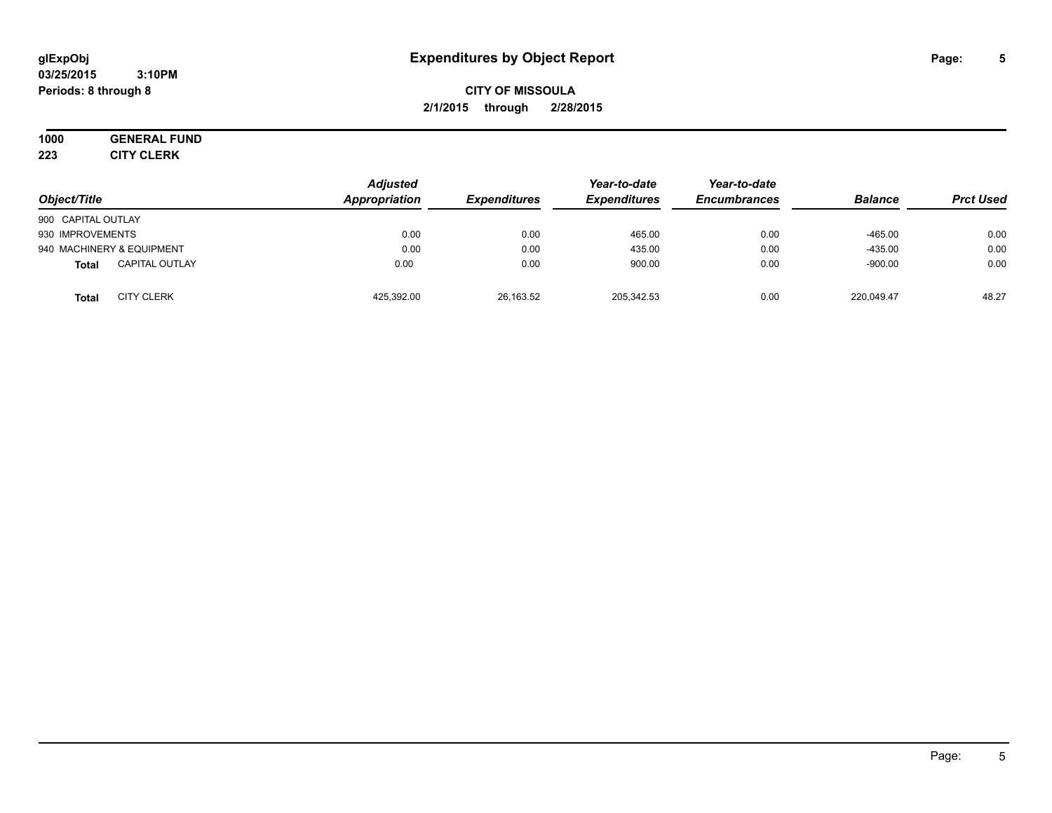#### **03/25/2015 3:10PM Periods: 8 through 8**

**CITY OF MISSOULA 2/1/2015 through 2/28/2015**

# **1000 GENERAL FUND**

**223 CITY CLERK**

| Object/Title                          | <b>Adjusted</b><br>Appropriation | <b>Expenditures</b> | Year-to-date<br><b>Expenditures</b> | Year-to-date<br><b>Encumbrances</b> | <b>Balance</b> | <b>Prct Used</b> |
|---------------------------------------|----------------------------------|---------------------|-------------------------------------|-------------------------------------|----------------|------------------|
| 900 CAPITAL OUTLAY                    |                                  |                     |                                     |                                     |                |                  |
| 930 IMPROVEMENTS                      | 0.00                             | 0.00                | 465.00                              | 0.00                                | $-465.00$      | 0.00             |
| 940 MACHINERY & EQUIPMENT             | 0.00                             | 0.00                | 435.00                              | 0.00                                | $-435.00$      | 0.00             |
| <b>CAPITAL OUTLAY</b><br><b>Total</b> | 0.00                             | 0.00                | 900.00                              | 0.00                                | $-900.00$      | 0.00             |
| <b>CITY CLERK</b><br><b>Total</b>     | 425,392.00                       | 26,163.52           | 205.342.53                          | 0.00                                | 220.049.47     | 48.27            |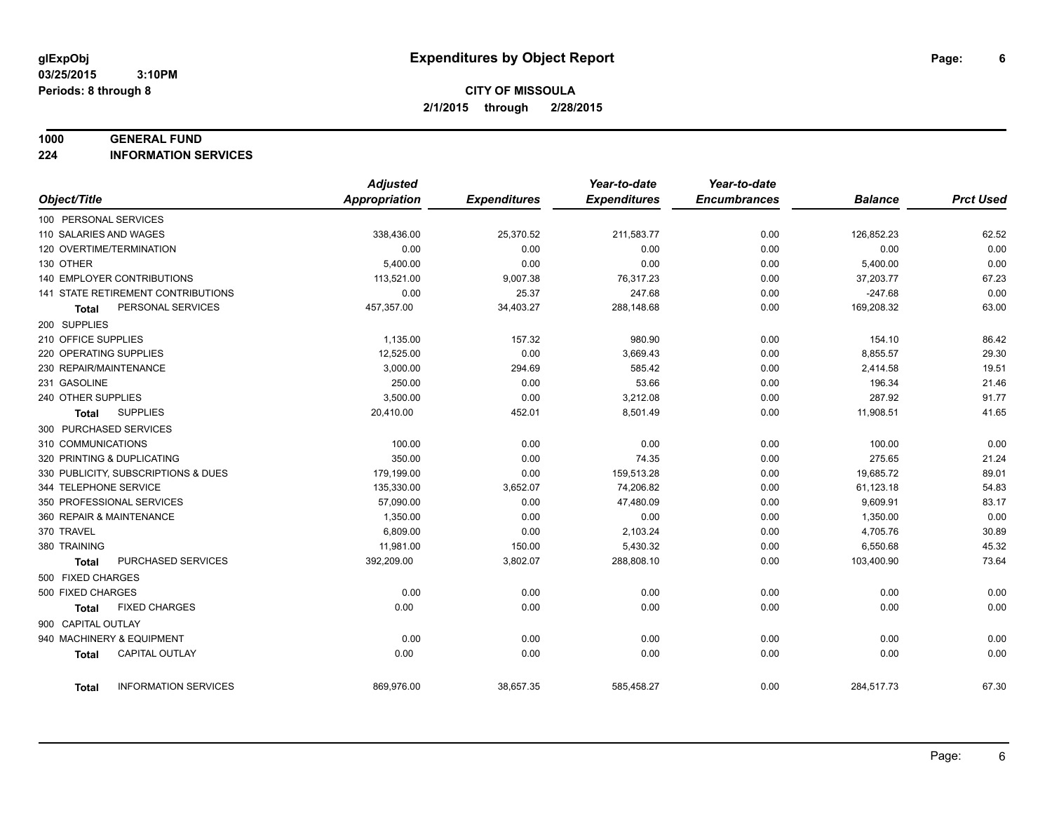#### **1000 GENERAL FUND**

**224 INFORMATION SERVICES**

|                          |                                           | <b>Adjusted</b>      |                     | Year-to-date        | Year-to-date        |                |                  |
|--------------------------|-------------------------------------------|----------------------|---------------------|---------------------|---------------------|----------------|------------------|
| Object/Title             |                                           | <b>Appropriation</b> | <b>Expenditures</b> | <b>Expenditures</b> | <b>Encumbrances</b> | <b>Balance</b> | <b>Prct Used</b> |
| 100 PERSONAL SERVICES    |                                           |                      |                     |                     |                     |                |                  |
| 110 SALARIES AND WAGES   |                                           | 338,436.00           | 25,370.52           | 211,583.77          | 0.00                | 126,852.23     | 62.52            |
| 120 OVERTIME/TERMINATION |                                           | 0.00                 | 0.00                | 0.00                | 0.00                | 0.00           | 0.00             |
| 130 OTHER                |                                           | 5,400.00             | 0.00                | 0.00                | 0.00                | 5,400.00       | 0.00             |
|                          | <b>140 EMPLOYER CONTRIBUTIONS</b>         | 113,521.00           | 9,007.38            | 76,317.23           | 0.00                | 37,203.77      | 67.23            |
|                          | <b>141 STATE RETIREMENT CONTRIBUTIONS</b> | 0.00                 | 25.37               | 247.68              | 0.00                | $-247.68$      | 0.00             |
| Total                    | PERSONAL SERVICES                         | 457,357.00           | 34,403.27           | 288,148.68          | 0.00                | 169,208.32     | 63.00            |
| 200 SUPPLIES             |                                           |                      |                     |                     |                     |                |                  |
| 210 OFFICE SUPPLIES      |                                           | 1,135.00             | 157.32              | 980.90              | 0.00                | 154.10         | 86.42            |
| 220 OPERATING SUPPLIES   |                                           | 12,525.00            | 0.00                | 3,669.43            | 0.00                | 8,855.57       | 29.30            |
| 230 REPAIR/MAINTENANCE   |                                           | 3.000.00             | 294.69              | 585.42              | 0.00                | 2,414.58       | 19.51            |
| 231 GASOLINE             |                                           | 250.00               | 0.00                | 53.66               | 0.00                | 196.34         | 21.46            |
| 240 OTHER SUPPLIES       |                                           | 3,500.00             | 0.00                | 3,212.08            | 0.00                | 287.92         | 91.77            |
| Total                    | <b>SUPPLIES</b>                           | 20,410.00            | 452.01              | 8,501.49            | 0.00                | 11,908.51      | 41.65            |
| 300 PURCHASED SERVICES   |                                           |                      |                     |                     |                     |                |                  |
| 310 COMMUNICATIONS       |                                           | 100.00               | 0.00                | 0.00                | 0.00                | 100.00         | 0.00             |
|                          | 320 PRINTING & DUPLICATING                | 350.00               | 0.00                | 74.35               | 0.00                | 275.65         | 21.24            |
|                          | 330 PUBLICITY, SUBSCRIPTIONS & DUES       | 179,199.00           | 0.00                | 159,513.28          | 0.00                | 19,685.72      | 89.01            |
| 344 TELEPHONE SERVICE    |                                           | 135,330.00           | 3,652.07            | 74,206.82           | 0.00                | 61,123.18      | 54.83            |
|                          | 350 PROFESSIONAL SERVICES                 | 57,090.00            | 0.00                | 47,480.09           | 0.00                | 9,609.91       | 83.17            |
| 360 REPAIR & MAINTENANCE |                                           | 1,350.00             | 0.00                | 0.00                | 0.00                | 1,350.00       | 0.00             |
| 370 TRAVEL               |                                           | 6,809.00             | 0.00                | 2,103.24            | 0.00                | 4,705.76       | 30.89            |
| 380 TRAINING             |                                           | 11,981.00            | 150.00              | 5,430.32            | 0.00                | 6,550.68       | 45.32            |
| <b>Total</b>             | PURCHASED SERVICES                        | 392,209.00           | 3,802.07            | 288,808.10          | 0.00                | 103,400.90     | 73.64            |
| 500 FIXED CHARGES        |                                           |                      |                     |                     |                     |                |                  |
| 500 FIXED CHARGES        |                                           | 0.00                 | 0.00                | 0.00                | 0.00                | 0.00           | 0.00             |
| Total                    | <b>FIXED CHARGES</b>                      | 0.00                 | 0.00                | 0.00                | 0.00                | 0.00           | 0.00             |
| 900 CAPITAL OUTLAY       |                                           |                      |                     |                     |                     |                |                  |
|                          | 940 MACHINERY & EQUIPMENT                 | 0.00                 | 0.00                | 0.00                | 0.00                | 0.00           | 0.00             |
| <b>Total</b>             | <b>CAPITAL OUTLAY</b>                     | 0.00                 | 0.00                | 0.00                | 0.00                | 0.00           | 0.00             |
|                          |                                           |                      |                     |                     |                     |                |                  |
| Total                    | <b>INFORMATION SERVICES</b>               | 869,976.00           | 38,657.35           | 585,458.27          | 0.00                | 284,517.73     | 67.30            |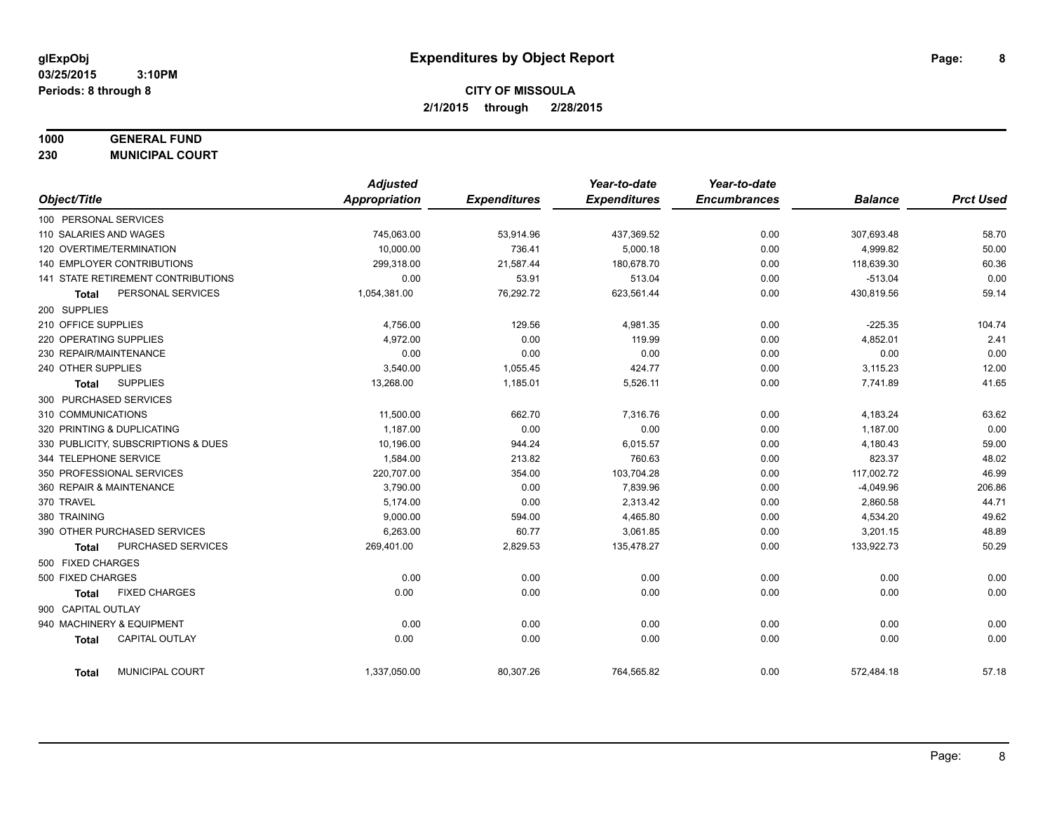## **1000 GENERAL FUND**

**230 MUNICIPAL COURT**

|                                        | <b>Adjusted</b>      |                     | Year-to-date        | Year-to-date        |                |                  |
|----------------------------------------|----------------------|---------------------|---------------------|---------------------|----------------|------------------|
| Object/Title                           | <b>Appropriation</b> | <b>Expenditures</b> | <b>Expenditures</b> | <b>Encumbrances</b> | <b>Balance</b> | <b>Prct Used</b> |
| 100 PERSONAL SERVICES                  |                      |                     |                     |                     |                |                  |
| 110 SALARIES AND WAGES                 | 745,063.00           | 53,914.96           | 437,369.52          | 0.00                | 307,693.48     | 58.70            |
| 120 OVERTIME/TERMINATION               | 10.000.00            | 736.41              | 5,000.18            | 0.00                | 4,999.82       | 50.00            |
| 140 EMPLOYER CONTRIBUTIONS             | 299,318.00           | 21,587.44           | 180,678.70          | 0.00                | 118,639.30     | 60.36            |
| 141 STATE RETIREMENT CONTRIBUTIONS     | 0.00                 | 53.91               | 513.04              | 0.00                | $-513.04$      | 0.00             |
| PERSONAL SERVICES<br><b>Total</b>      | 1,054,381.00         | 76,292.72           | 623,561.44          | 0.00                | 430,819.56     | 59.14            |
| 200 SUPPLIES                           |                      |                     |                     |                     |                |                  |
| 210 OFFICE SUPPLIES                    | 4,756.00             | 129.56              | 4,981.35            | 0.00                | $-225.35$      | 104.74           |
| 220 OPERATING SUPPLIES                 | 4,972.00             | 0.00                | 119.99              | 0.00                | 4,852.01       | 2.41             |
| 230 REPAIR/MAINTENANCE                 | 0.00                 | 0.00                | 0.00                | 0.00                | 0.00           | 0.00             |
| 240 OTHER SUPPLIES                     | 3,540.00             | 1,055.45            | 424.77              | 0.00                | 3,115.23       | 12.00            |
| <b>SUPPLIES</b><br>Total               | 13,268.00            | 1,185.01            | 5,526.11            | 0.00                | 7,741.89       | 41.65            |
| 300 PURCHASED SERVICES                 |                      |                     |                     |                     |                |                  |
| 310 COMMUNICATIONS                     | 11,500.00            | 662.70              | 7,316.76            | 0.00                | 4,183.24       | 63.62            |
| 320 PRINTING & DUPLICATING             | 1,187.00             | 0.00                | 0.00                | 0.00                | 1,187.00       | 0.00             |
| 330 PUBLICITY, SUBSCRIPTIONS & DUES    | 10.196.00            | 944.24              | 6,015.57            | 0.00                | 4,180.43       | 59.00            |
| 344 TELEPHONE SERVICE                  | 1,584.00             | 213.82              | 760.63              | 0.00                | 823.37         | 48.02            |
| 350 PROFESSIONAL SERVICES              | 220,707.00           | 354.00              | 103,704.28          | 0.00                | 117,002.72     | 46.99            |
| 360 REPAIR & MAINTENANCE               | 3,790.00             | 0.00                | 7,839.96            | 0.00                | $-4,049.96$    | 206.86           |
| 370 TRAVEL                             | 5,174.00             | 0.00                | 2,313.42            | 0.00                | 2,860.58       | 44.71            |
| 380 TRAINING                           | 9,000.00             | 594.00              | 4,465.80            | 0.00                | 4,534.20       | 49.62            |
| 390 OTHER PURCHASED SERVICES           | 6,263.00             | 60.77               | 3,061.85            | 0.00                | 3,201.15       | 48.89            |
| PURCHASED SERVICES<br><b>Total</b>     | 269,401.00           | 2,829.53            | 135,478.27          | 0.00                | 133,922.73     | 50.29            |
| 500 FIXED CHARGES                      |                      |                     |                     |                     |                |                  |
| 500 FIXED CHARGES                      | 0.00                 | 0.00                | 0.00                | 0.00                | 0.00           | 0.00             |
| <b>FIXED CHARGES</b><br>Total          | 0.00                 | 0.00                | 0.00                | 0.00                | 0.00           | 0.00             |
| 900 CAPITAL OUTLAY                     |                      |                     |                     |                     |                |                  |
| 940 MACHINERY & EQUIPMENT              | 0.00                 | 0.00                | 0.00                | 0.00                | 0.00           | 0.00             |
| <b>CAPITAL OUTLAY</b><br><b>Total</b>  | 0.00                 | 0.00                | 0.00                | 0.00                | 0.00           | 0.00             |
| <b>MUNICIPAL COURT</b><br><b>Total</b> | 1,337,050.00         | 80,307.26           | 764,565.82          | 0.00                | 572,484.18     | 57.18            |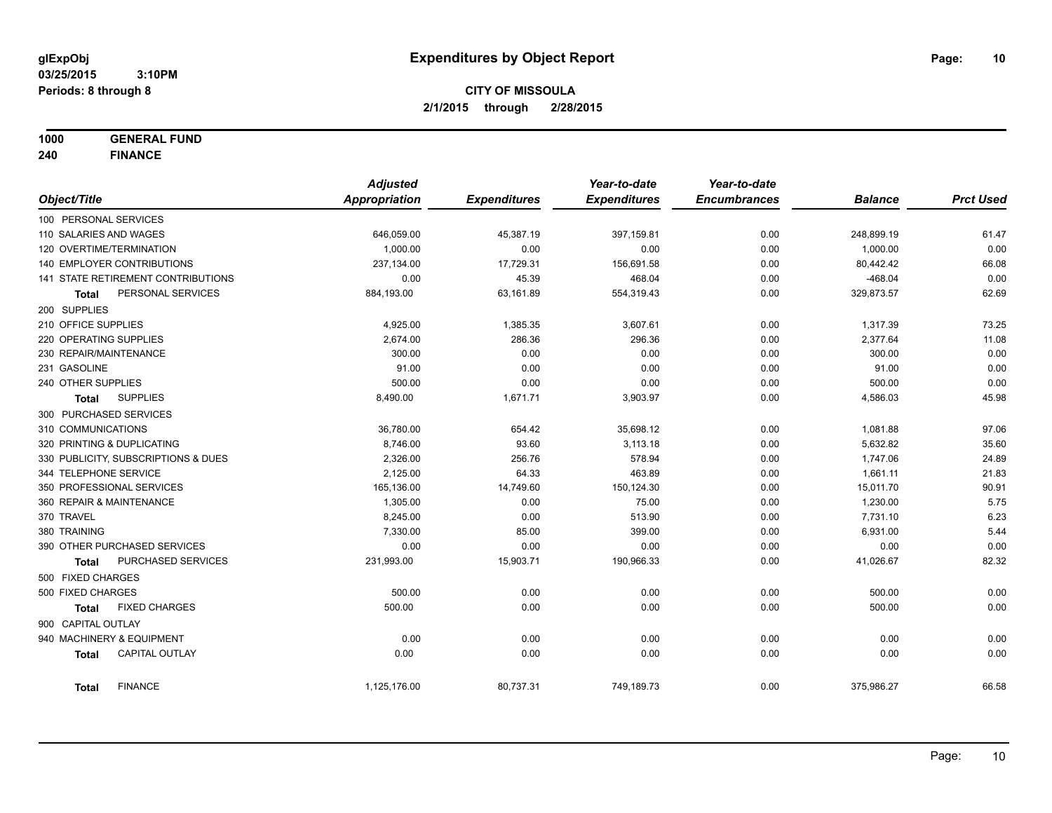**1000 GENERAL FUND**

**240 FINANCE**

|                            |                                     | <b>Adjusted</b> |                     | Year-to-date        | Year-to-date        |                |                  |
|----------------------------|-------------------------------------|-----------------|---------------------|---------------------|---------------------|----------------|------------------|
| Object/Title               |                                     | Appropriation   | <b>Expenditures</b> | <b>Expenditures</b> | <b>Encumbrances</b> | <b>Balance</b> | <b>Prct Used</b> |
| 100 PERSONAL SERVICES      |                                     |                 |                     |                     |                     |                |                  |
| 110 SALARIES AND WAGES     |                                     | 646,059.00      | 45,387.19           | 397,159.81          | 0.00                | 248,899.19     | 61.47            |
| 120 OVERTIME/TERMINATION   |                                     | 1,000.00        | 0.00                | 0.00                | 0.00                | 1,000.00       | 0.00             |
|                            | 140 EMPLOYER CONTRIBUTIONS          | 237,134.00      | 17,729.31           | 156,691.58          | 0.00                | 80,442.42      | 66.08            |
|                            | 141 STATE RETIREMENT CONTRIBUTIONS  | 0.00            | 45.39               | 468.04              | 0.00                | $-468.04$      | 0.00             |
| <b>Total</b>               | PERSONAL SERVICES                   | 884,193.00      | 63,161.89           | 554,319.43          | 0.00                | 329,873.57     | 62.69            |
| 200 SUPPLIES               |                                     |                 |                     |                     |                     |                |                  |
| 210 OFFICE SUPPLIES        |                                     | 4,925.00        | 1,385.35            | 3,607.61            | 0.00                | 1,317.39       | 73.25            |
| 220 OPERATING SUPPLIES     |                                     | 2,674.00        | 286.36              | 296.36              | 0.00                | 2,377.64       | 11.08            |
| 230 REPAIR/MAINTENANCE     |                                     | 300.00          | 0.00                | 0.00                | 0.00                | 300.00         | 0.00             |
| 231 GASOLINE               |                                     | 91.00           | 0.00                | 0.00                | 0.00                | 91.00          | 0.00             |
| 240 OTHER SUPPLIES         |                                     | 500.00          | 0.00                | 0.00                | 0.00                | 500.00         | 0.00             |
| Total                      | <b>SUPPLIES</b>                     | 8,490.00        | 1,671.71            | 3,903.97            | 0.00                | 4,586.03       | 45.98            |
| 300 PURCHASED SERVICES     |                                     |                 |                     |                     |                     |                |                  |
| 310 COMMUNICATIONS         |                                     | 36,780.00       | 654.42              | 35,698.12           | 0.00                | 1,081.88       | 97.06            |
| 320 PRINTING & DUPLICATING |                                     | 8,746.00        | 93.60               | 3,113.18            | 0.00                | 5,632.82       | 35.60            |
|                            | 330 PUBLICITY, SUBSCRIPTIONS & DUES | 2,326.00        | 256.76              | 578.94              | 0.00                | 1,747.06       | 24.89            |
| 344 TELEPHONE SERVICE      |                                     | 2,125.00        | 64.33               | 463.89              | 0.00                | 1,661.11       | 21.83            |
| 350 PROFESSIONAL SERVICES  |                                     | 165,136.00      | 14,749.60           | 150,124.30          | 0.00                | 15,011.70      | 90.91            |
| 360 REPAIR & MAINTENANCE   |                                     | 1,305.00        | 0.00                | 75.00               | 0.00                | 1,230.00       | 5.75             |
| 370 TRAVEL                 |                                     | 8,245.00        | 0.00                | 513.90              | 0.00                | 7,731.10       | 6.23             |
| 380 TRAINING               |                                     | 7,330.00        | 85.00               | 399.00              | 0.00                | 6,931.00       | 5.44             |
|                            | 390 OTHER PURCHASED SERVICES        | 0.00            | 0.00                | 0.00                | 0.00                | 0.00           | 0.00             |
| <b>Total</b>               | <b>PURCHASED SERVICES</b>           | 231,993.00      | 15,903.71           | 190,966.33          | 0.00                | 41,026.67      | 82.32            |
| 500 FIXED CHARGES          |                                     |                 |                     |                     |                     |                |                  |
| 500 FIXED CHARGES          |                                     | 500.00          | 0.00                | 0.00                | 0.00                | 500.00         | 0.00             |
| <b>Total</b>               | <b>FIXED CHARGES</b>                | 500.00          | 0.00                | 0.00                | 0.00                | 500.00         | 0.00             |
| 900 CAPITAL OUTLAY         |                                     |                 |                     |                     |                     |                |                  |
| 940 MACHINERY & EQUIPMENT  |                                     | 0.00            | 0.00                | 0.00                | 0.00                | 0.00           | 0.00             |
| <b>Total</b>               | CAPITAL OUTLAY                      | 0.00            | 0.00                | 0.00                | 0.00                | 0.00           | 0.00             |
|                            |                                     |                 |                     |                     |                     |                |                  |
| <b>Total</b>               | <b>FINANCE</b>                      | 1,125,176.00    | 80,737.31           | 749,189.73          | 0.00                | 375,986.27     | 66.58            |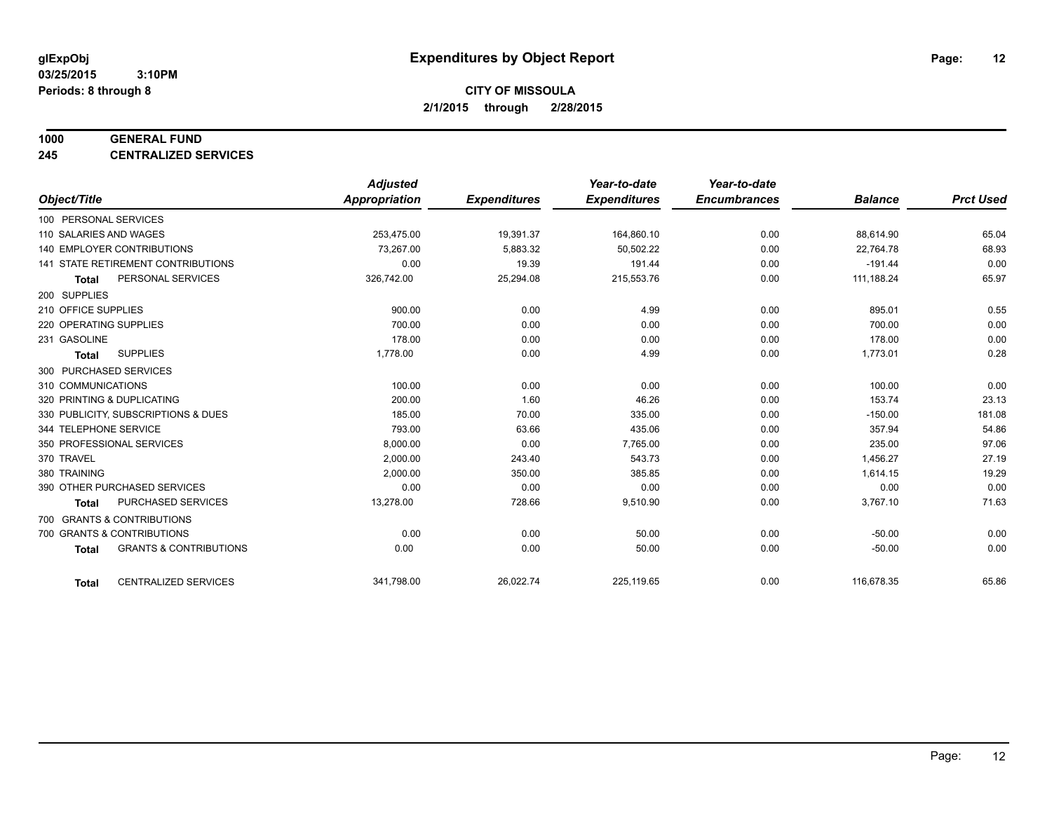#### **1000 GENERAL FUND**

**245 CENTRALIZED SERVICES**

|                                                   | <b>Adjusted</b>      |                     | Year-to-date        | Year-to-date        |                |                  |
|---------------------------------------------------|----------------------|---------------------|---------------------|---------------------|----------------|------------------|
| Object/Title                                      | <b>Appropriation</b> | <b>Expenditures</b> | <b>Expenditures</b> | <b>Encumbrances</b> | <b>Balance</b> | <b>Prct Used</b> |
| 100 PERSONAL SERVICES                             |                      |                     |                     |                     |                |                  |
| 110 SALARIES AND WAGES                            | 253,475.00           | 19,391.37           | 164,860.10          | 0.00                | 88,614.90      | 65.04            |
| <b>140 EMPLOYER CONTRIBUTIONS</b>                 | 73,267.00            | 5,883.32            | 50,502.22           | 0.00                | 22,764.78      | 68.93            |
| <b>141 STATE RETIREMENT CONTRIBUTIONS</b>         | 0.00                 | 19.39               | 191.44              | 0.00                | $-191.44$      | 0.00             |
| PERSONAL SERVICES<br><b>Total</b>                 | 326,742.00           | 25,294.08           | 215,553.76          | 0.00                | 111,188.24     | 65.97            |
| 200 SUPPLIES                                      |                      |                     |                     |                     |                |                  |
| 210 OFFICE SUPPLIES                               | 900.00               | 0.00                | 4.99                | 0.00                | 895.01         | 0.55             |
| 220 OPERATING SUPPLIES                            | 700.00               | 0.00                | 0.00                | 0.00                | 700.00         | 0.00             |
| 231 GASOLINE                                      | 178.00               | 0.00                | 0.00                | 0.00                | 178.00         | 0.00             |
| <b>SUPPLIES</b><br><b>Total</b>                   | 1,778.00             | 0.00                | 4.99                | 0.00                | 1,773.01       | 0.28             |
| 300 PURCHASED SERVICES                            |                      |                     |                     |                     |                |                  |
| 310 COMMUNICATIONS                                | 100.00               | 0.00                | 0.00                | 0.00                | 100.00         | 0.00             |
| 320 PRINTING & DUPLICATING                        | 200.00               | 1.60                | 46.26               | 0.00                | 153.74         | 23.13            |
| 330 PUBLICITY, SUBSCRIPTIONS & DUES               | 185.00               | 70.00               | 335.00              | 0.00                | $-150.00$      | 181.08           |
| 344 TELEPHONE SERVICE                             | 793.00               | 63.66               | 435.06              | 0.00                | 357.94         | 54.86            |
| 350 PROFESSIONAL SERVICES                         | 8,000.00             | 0.00                | 7,765.00            | 0.00                | 235.00         | 97.06            |
| 370 TRAVEL                                        | 2,000.00             | 243.40              | 543.73              | 0.00                | 1,456.27       | 27.19            |
| 380 TRAINING                                      | 2,000.00             | 350.00              | 385.85              | 0.00                | 1,614.15       | 19.29            |
| 390 OTHER PURCHASED SERVICES                      | 0.00                 | 0.00                | 0.00                | 0.00                | 0.00           | 0.00             |
| <b>PURCHASED SERVICES</b><br><b>Total</b>         | 13,278.00            | 728.66              | 9,510.90            | 0.00                | 3,767.10       | 71.63            |
| 700 GRANTS & CONTRIBUTIONS                        |                      |                     |                     |                     |                |                  |
| 700 GRANTS & CONTRIBUTIONS                        | 0.00                 | 0.00                | 50.00               | 0.00                | $-50.00$       | 0.00             |
| <b>GRANTS &amp; CONTRIBUTIONS</b><br><b>Total</b> | 0.00                 | 0.00                | 50.00               | 0.00                | $-50.00$       | 0.00             |
| <b>CENTRALIZED SERVICES</b><br><b>Total</b>       | 341,798.00           | 26,022.74           | 225,119.65          | 0.00                | 116,678.35     | 65.86            |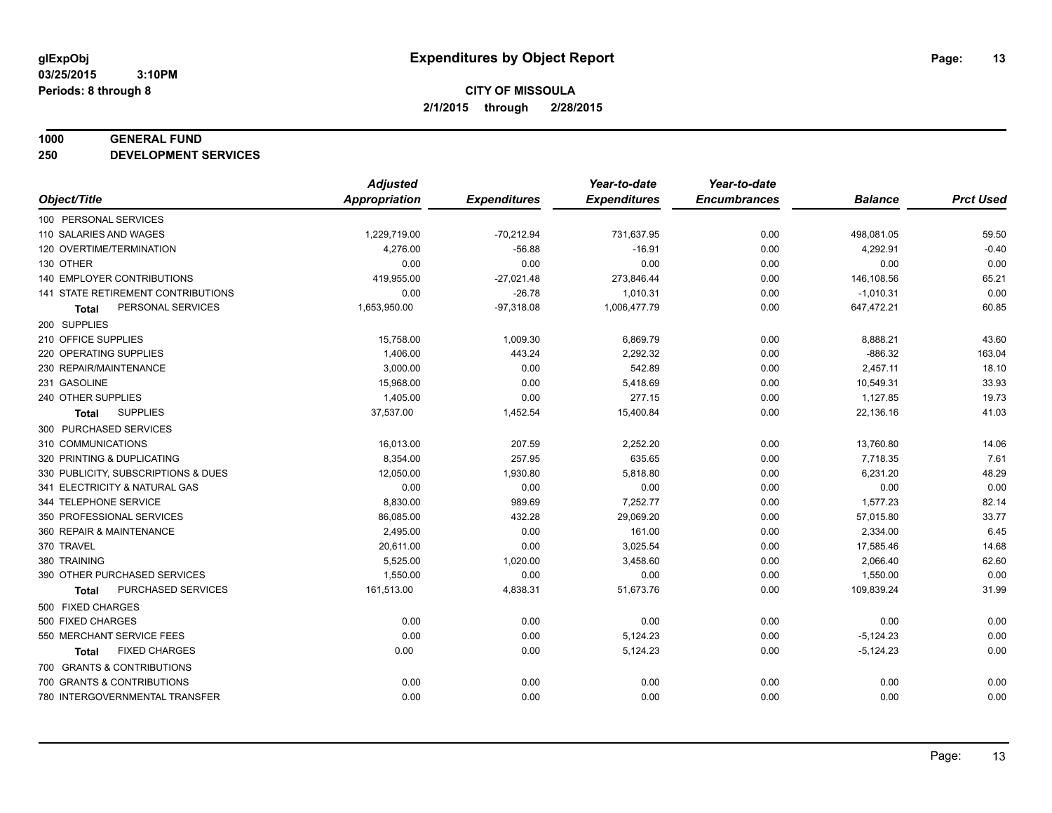#### **1000 GENERAL FUND**

**250 DEVELOPMENT SERVICES**

|                                      | <b>Adjusted</b>      |                     | Year-to-date        | Year-to-date        |                |                  |
|--------------------------------------|----------------------|---------------------|---------------------|---------------------|----------------|------------------|
| Object/Title                         | <b>Appropriation</b> | <b>Expenditures</b> | <b>Expenditures</b> | <b>Encumbrances</b> | <b>Balance</b> | <b>Prct Used</b> |
| 100 PERSONAL SERVICES                |                      |                     |                     |                     |                |                  |
| 110 SALARIES AND WAGES               | 1,229,719.00         | $-70,212.94$        | 731,637.95          | 0.00                | 498,081.05     | 59.50            |
| 120 OVERTIME/TERMINATION             | 4,276.00             | $-56.88$            | $-16.91$            | 0.00                | 4,292.91       | $-0.40$          |
| 130 OTHER                            | 0.00                 | 0.00                | 0.00                | 0.00                | 0.00           | 0.00             |
| <b>140 EMPLOYER CONTRIBUTIONS</b>    | 419,955.00           | $-27,021.48$        | 273,846.44          | 0.00                | 146,108.56     | 65.21            |
| 141 STATE RETIREMENT CONTRIBUTIONS   | 0.00                 | $-26.78$            | 1,010.31            | 0.00                | $-1,010.31$    | 0.00             |
| PERSONAL SERVICES<br><b>Total</b>    | 1,653,950.00         | $-97,318.08$        | 1,006,477.79        | 0.00                | 647,472.21     | 60.85            |
| 200 SUPPLIES                         |                      |                     |                     |                     |                |                  |
| 210 OFFICE SUPPLIES                  | 15,758.00            | 1,009.30            | 6,869.79            | 0.00                | 8,888.21       | 43.60            |
| 220 OPERATING SUPPLIES               | 1,406.00             | 443.24              | 2,292.32            | 0.00                | $-886.32$      | 163.04           |
| 230 REPAIR/MAINTENANCE               | 3,000.00             | 0.00                | 542.89              | 0.00                | 2,457.11       | 18.10            |
| 231 GASOLINE                         | 15,968.00            | 0.00                | 5,418.69            | 0.00                | 10,549.31      | 33.93            |
| 240 OTHER SUPPLIES                   | 1,405.00             | 0.00                | 277.15              | 0.00                | 1,127.85       | 19.73            |
| <b>SUPPLIES</b><br>Total             | 37,537.00            | 1,452.54            | 15,400.84           | 0.00                | 22,136.16      | 41.03            |
| 300 PURCHASED SERVICES               |                      |                     |                     |                     |                |                  |
| 310 COMMUNICATIONS                   | 16,013.00            | 207.59              | 2,252.20            | 0.00                | 13,760.80      | 14.06            |
| 320 PRINTING & DUPLICATING           | 8,354.00             | 257.95              | 635.65              | 0.00                | 7,718.35       | 7.61             |
| 330 PUBLICITY, SUBSCRIPTIONS & DUES  | 12,050.00            | 1,930.80            | 5,818.80            | 0.00                | 6,231.20       | 48.29            |
| 341 ELECTRICITY & NATURAL GAS        | 0.00                 | 0.00                | 0.00                | 0.00                | 0.00           | 0.00             |
| 344 TELEPHONE SERVICE                | 8,830.00             | 989.69              | 7,252.77            | 0.00                | 1,577.23       | 82.14            |
| 350 PROFESSIONAL SERVICES            | 86,085.00            | 432.28              | 29,069.20           | 0.00                | 57,015.80      | 33.77            |
| 360 REPAIR & MAINTENANCE             | 2,495.00             | 0.00                | 161.00              | 0.00                | 2,334.00       | 6.45             |
| 370 TRAVEL                           | 20,611.00            | 0.00                | 3,025.54            | 0.00                | 17,585.46      | 14.68            |
| 380 TRAINING                         | 5,525.00             | 1,020.00            | 3,458.60            | 0.00                | 2,066.40       | 62.60            |
| 390 OTHER PURCHASED SERVICES         | 1,550.00             | 0.00                | 0.00                | 0.00                | 1,550.00       | 0.00             |
| PURCHASED SERVICES<br>Total          | 161,513.00           | 4,838.31            | 51,673.76           | 0.00                | 109,839.24     | 31.99            |
| 500 FIXED CHARGES                    |                      |                     |                     |                     |                |                  |
| 500 FIXED CHARGES                    | 0.00                 | 0.00                | 0.00                | 0.00                | 0.00           | 0.00             |
| 550 MERCHANT SERVICE FEES            | 0.00                 | 0.00                | 5,124.23            | 0.00                | $-5,124.23$    | 0.00             |
| <b>FIXED CHARGES</b><br><b>Total</b> | 0.00                 | 0.00                | 5,124.23            | 0.00                | $-5,124.23$    | 0.00             |
| 700 GRANTS & CONTRIBUTIONS           |                      |                     |                     |                     |                |                  |
| 700 GRANTS & CONTRIBUTIONS           | 0.00                 | 0.00                | 0.00                | 0.00                | 0.00           | 0.00             |
| 780 INTERGOVERNMENTAL TRANSFER       | 0.00                 | 0.00                | 0.00                | 0.00                | 0.00           | 0.00             |
|                                      |                      |                     |                     |                     |                |                  |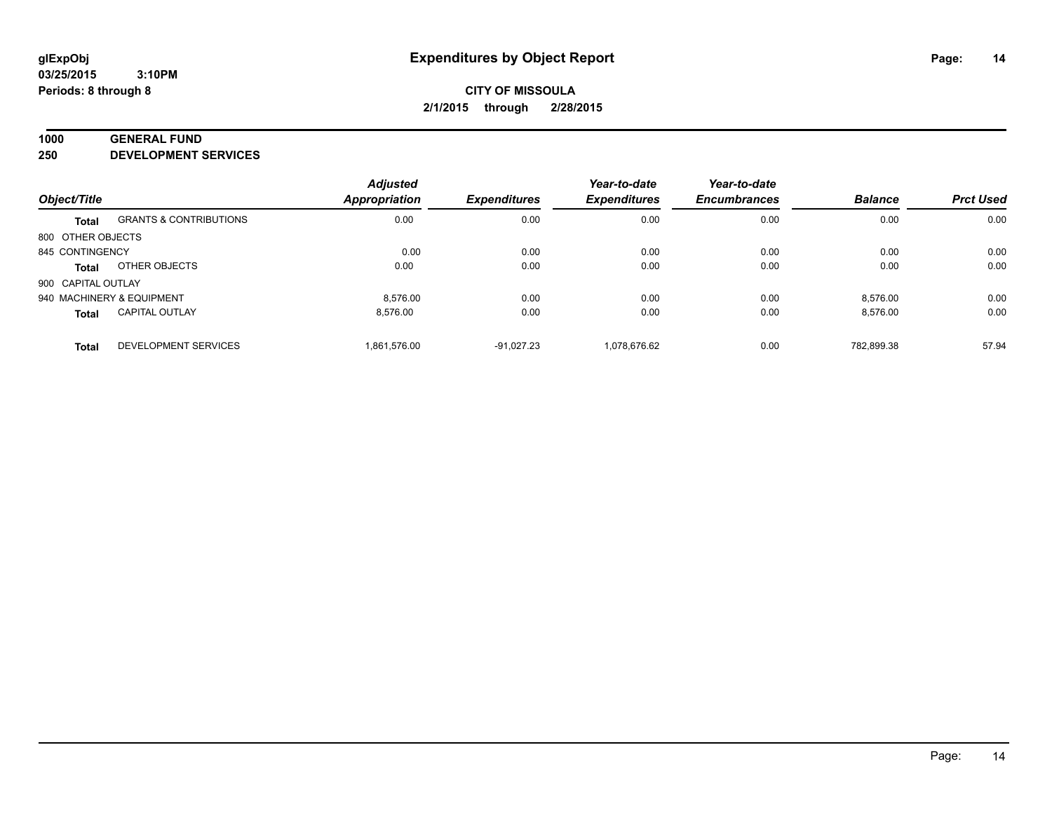#### **1000 GENERAL FUND**

**250 DEVELOPMENT SERVICES**

|                           |                                   | <b>Adjusted</b>      |                     | Year-to-date        | Year-to-date        |                |                  |
|---------------------------|-----------------------------------|----------------------|---------------------|---------------------|---------------------|----------------|------------------|
| Object/Title              |                                   | <b>Appropriation</b> | <b>Expenditures</b> | <b>Expenditures</b> | <b>Encumbrances</b> | <b>Balance</b> | <b>Prct Used</b> |
| <b>Total</b>              | <b>GRANTS &amp; CONTRIBUTIONS</b> | 0.00                 | 0.00                | 0.00                | 0.00                | 0.00           | 0.00             |
| 800 OTHER OBJECTS         |                                   |                      |                     |                     |                     |                |                  |
| 845 CONTINGENCY           |                                   | 0.00                 | 0.00                | 0.00                | 0.00                | 0.00           | 0.00             |
| Total                     | OTHER OBJECTS                     | 0.00                 | 0.00                | 0.00                | 0.00                | 0.00           | 0.00             |
| 900 CAPITAL OUTLAY        |                                   |                      |                     |                     |                     |                |                  |
| 940 MACHINERY & EQUIPMENT |                                   | 8.576.00             | 0.00                | 0.00                | 0.00                | 8,576.00       | 0.00             |
| <b>Total</b>              | <b>CAPITAL OUTLAY</b>             | 8.576.00             | 0.00                | 0.00                | 0.00                | 8.576.00       | 0.00             |
| <b>Total</b>              | <b>DEVELOPMENT SERVICES</b>       | 1.861.576.00         | $-91.027.23$        | 1.078.676.62        | 0.00                | 782.899.38     | 57.94            |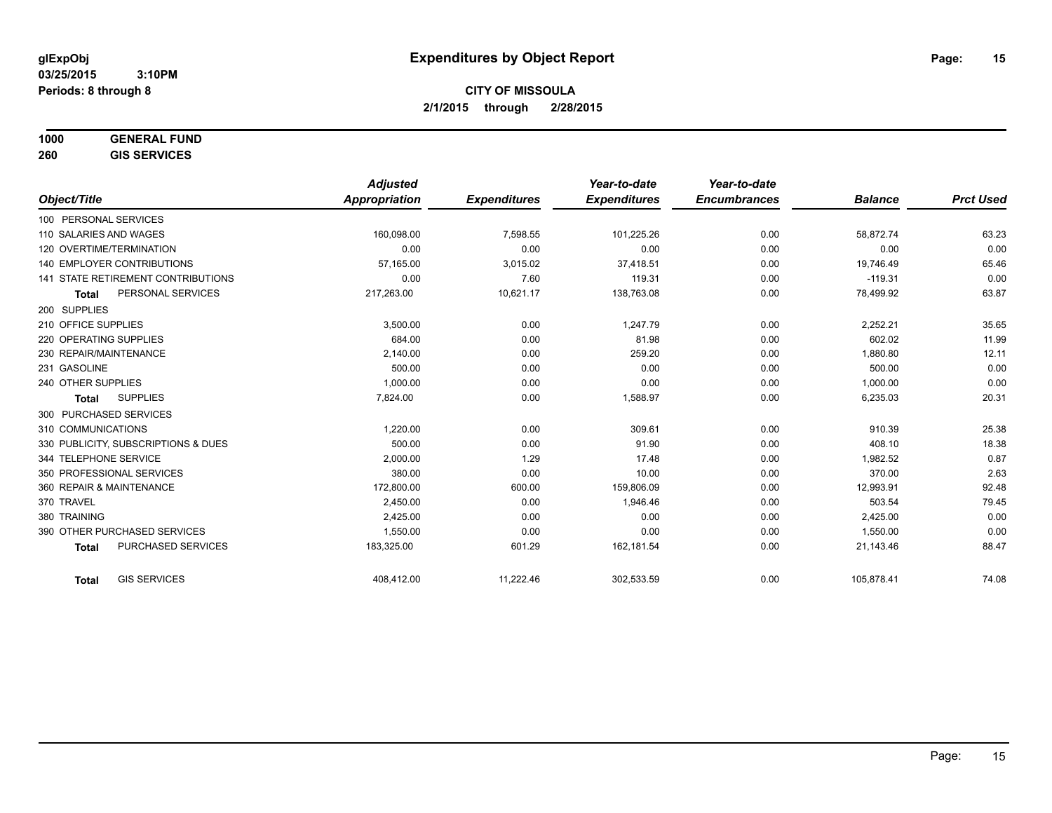## **1000 GENERAL FUND**

**260 GIS SERVICES**

|                                           | <b>Adjusted</b>      |                     | Year-to-date        | Year-to-date        |                |                  |
|-------------------------------------------|----------------------|---------------------|---------------------|---------------------|----------------|------------------|
| Object/Title                              | <b>Appropriation</b> | <b>Expenditures</b> | <b>Expenditures</b> | <b>Encumbrances</b> | <b>Balance</b> | <b>Prct Used</b> |
| 100 PERSONAL SERVICES                     |                      |                     |                     |                     |                |                  |
| 110 SALARIES AND WAGES                    | 160,098.00           | 7,598.55            | 101,225.26          | 0.00                | 58,872.74      | 63.23            |
| 120 OVERTIME/TERMINATION                  | 0.00                 | 0.00                | 0.00                | 0.00                | 0.00           | 0.00             |
| <b>140 EMPLOYER CONTRIBUTIONS</b>         | 57,165.00            | 3,015.02            | 37,418.51           | 0.00                | 19,746.49      | 65.46            |
| <b>141 STATE RETIREMENT CONTRIBUTIONS</b> | 0.00                 | 7.60                | 119.31              | 0.00                | $-119.31$      | 0.00             |
| PERSONAL SERVICES<br><b>Total</b>         | 217,263.00           | 10,621.17           | 138,763.08          | 0.00                | 78,499.92      | 63.87            |
| 200 SUPPLIES                              |                      |                     |                     |                     |                |                  |
| 210 OFFICE SUPPLIES                       | 3,500.00             | 0.00                | 1.247.79            | 0.00                | 2,252.21       | 35.65            |
| 220 OPERATING SUPPLIES                    | 684.00               | 0.00                | 81.98               | 0.00                | 602.02         | 11.99            |
| 230 REPAIR/MAINTENANCE                    | 2.140.00             | 0.00                | 259.20              | 0.00                | 1,880.80       | 12.11            |
| 231 GASOLINE                              | 500.00               | 0.00                | 0.00                | 0.00                | 500.00         | 0.00             |
| 240 OTHER SUPPLIES                        | 1,000.00             | 0.00                | 0.00                | 0.00                | 1,000.00       | 0.00             |
| <b>SUPPLIES</b><br>Total                  | 7,824.00             | 0.00                | 1,588.97            | 0.00                | 6,235.03       | 20.31            |
| 300 PURCHASED SERVICES                    |                      |                     |                     |                     |                |                  |
| 310 COMMUNICATIONS                        | 1.220.00             | 0.00                | 309.61              | 0.00                | 910.39         | 25.38            |
| 330 PUBLICITY, SUBSCRIPTIONS & DUES       | 500.00               | 0.00                | 91.90               | 0.00                | 408.10         | 18.38            |
| 344 TELEPHONE SERVICE                     | 2,000.00             | 1.29                | 17.48               | 0.00                | 1,982.52       | 0.87             |
| 350 PROFESSIONAL SERVICES                 | 380.00               | 0.00                | 10.00               | 0.00                | 370.00         | 2.63             |
| 360 REPAIR & MAINTENANCE                  | 172,800.00           | 600.00              | 159,806.09          | 0.00                | 12,993.91      | 92.48            |
| 370 TRAVEL                                | 2,450.00             | 0.00                | 1,946.46            | 0.00                | 503.54         | 79.45            |
| 380 TRAINING                              | 2,425.00             | 0.00                | 0.00                | 0.00                | 2,425.00       | 0.00             |
| 390 OTHER PURCHASED SERVICES              | 1,550.00             | 0.00                | 0.00                | 0.00                | 1,550.00       | 0.00             |
| <b>PURCHASED SERVICES</b><br><b>Total</b> | 183,325.00           | 601.29              | 162,181.54          | 0.00                | 21,143.46      | 88.47            |
| <b>GIS SERVICES</b><br><b>Total</b>       | 408,412.00           | 11,222.46           | 302,533.59          | 0.00                | 105,878.41     | 74.08            |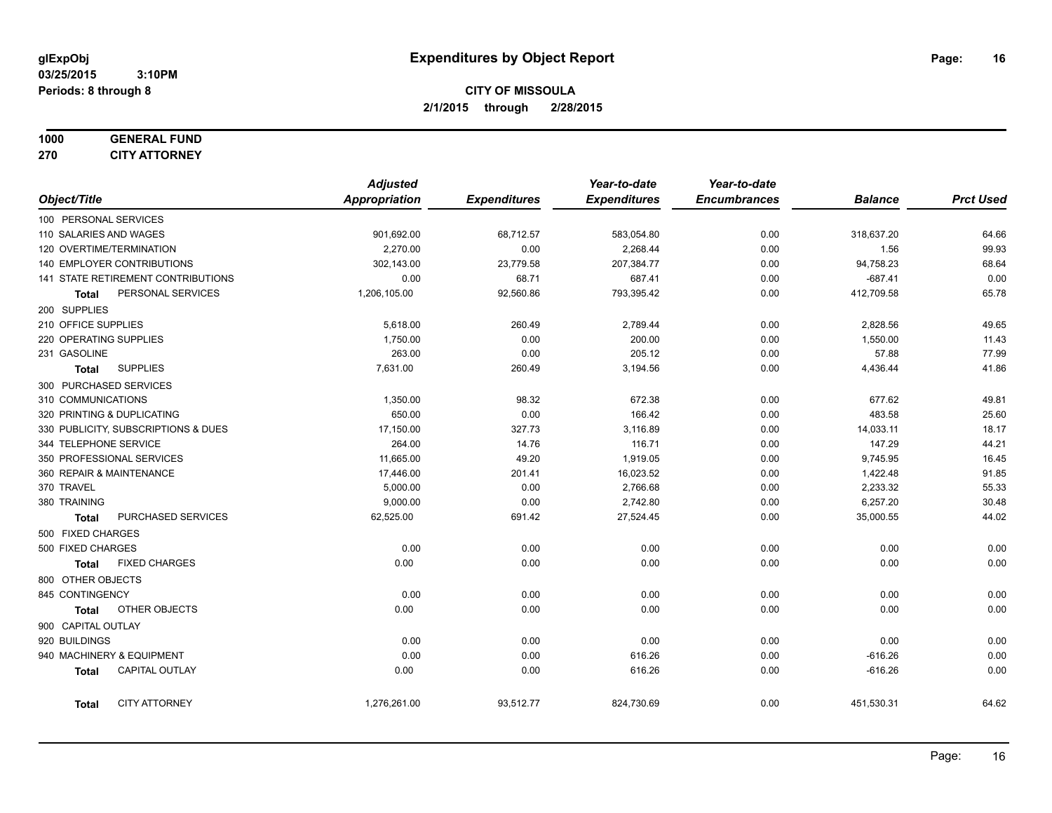# **1000 GENERAL FUND**

**270 CITY ATTORNEY**

|                       |                                     | <b>Adjusted</b> |                     | Year-to-date        | Year-to-date        |                |                  |
|-----------------------|-------------------------------------|-----------------|---------------------|---------------------|---------------------|----------------|------------------|
| Object/Title          |                                     | Appropriation   | <b>Expenditures</b> | <b>Expenditures</b> | <b>Encumbrances</b> | <b>Balance</b> | <b>Prct Used</b> |
|                       | 100 PERSONAL SERVICES               |                 |                     |                     |                     |                |                  |
|                       | 110 SALARIES AND WAGES              | 901,692.00      | 68,712.57           | 583,054.80          | 0.00                | 318,637.20     | 64.66            |
|                       | 120 OVERTIME/TERMINATION            | 2,270.00        | 0.00                | 2,268.44            | 0.00                | 1.56           | 99.93            |
|                       | <b>140 EMPLOYER CONTRIBUTIONS</b>   | 302,143.00      | 23,779.58           | 207,384.77          | 0.00                | 94,758.23      | 68.64            |
|                       | 141 STATE RETIREMENT CONTRIBUTIONS  | 0.00            | 68.71               | 687.41              | 0.00                | $-687.41$      | 0.00             |
| <b>Total</b>          | PERSONAL SERVICES                   | 1,206,105.00    | 92,560.86           | 793,395.42          | 0.00                | 412,709.58     | 65.78            |
| 200 SUPPLIES          |                                     |                 |                     |                     |                     |                |                  |
| 210 OFFICE SUPPLIES   |                                     | 5,618.00        | 260.49              | 2,789.44            | 0.00                | 2,828.56       | 49.65            |
|                       | 220 OPERATING SUPPLIES              | 1,750.00        | 0.00                | 200.00              | 0.00                | 1,550.00       | 11.43            |
| 231 GASOLINE          |                                     | 263.00          | 0.00                | 205.12              | 0.00                | 57.88          | 77.99            |
| <b>Total</b>          | <b>SUPPLIES</b>                     | 7,631.00        | 260.49              | 3,194.56            | 0.00                | 4,436.44       | 41.86            |
|                       | 300 PURCHASED SERVICES              |                 |                     |                     |                     |                |                  |
| 310 COMMUNICATIONS    |                                     | 1,350.00        | 98.32               | 672.38              | 0.00                | 677.62         | 49.81            |
|                       | 320 PRINTING & DUPLICATING          | 650.00          | 0.00                | 166.42              | 0.00                | 483.58         | 25.60            |
|                       | 330 PUBLICITY, SUBSCRIPTIONS & DUES | 17,150.00       | 327.73              | 3,116.89            | 0.00                | 14,033.11      | 18.17            |
| 344 TELEPHONE SERVICE |                                     | 264.00          | 14.76               | 116.71              | 0.00                | 147.29         | 44.21            |
|                       | 350 PROFESSIONAL SERVICES           | 11,665.00       | 49.20               | 1,919.05            | 0.00                | 9,745.95       | 16.45            |
|                       | 360 REPAIR & MAINTENANCE            | 17,446.00       | 201.41              | 16,023.52           | 0.00                | 1,422.48       | 91.85            |
| 370 TRAVEL            |                                     | 5,000.00        | 0.00                | 2,766.68            | 0.00                | 2,233.32       | 55.33            |
| 380 TRAINING          |                                     | 9,000.00        | 0.00                | 2,742.80            | 0.00                | 6,257.20       | 30.48            |
| <b>Total</b>          | PURCHASED SERVICES                  | 62,525.00       | 691.42              | 27,524.45           | 0.00                | 35,000.55      | 44.02            |
| 500 FIXED CHARGES     |                                     |                 |                     |                     |                     |                |                  |
| 500 FIXED CHARGES     |                                     | 0.00            | 0.00                | 0.00                | 0.00                | 0.00           | 0.00             |
| Total                 | <b>FIXED CHARGES</b>                | 0.00            | 0.00                | 0.00                | 0.00                | 0.00           | 0.00             |
| 800 OTHER OBJECTS     |                                     |                 |                     |                     |                     |                |                  |
| 845 CONTINGENCY       |                                     | 0.00            | 0.00                | 0.00                | 0.00                | 0.00           | 0.00             |
| <b>Total</b>          | OTHER OBJECTS                       | 0.00            | 0.00                | 0.00                | 0.00                | 0.00           | 0.00             |
| 900 CAPITAL OUTLAY    |                                     |                 |                     |                     |                     |                |                  |
| 920 BUILDINGS         |                                     | 0.00            | 0.00                | 0.00                | 0.00                | 0.00           | 0.00             |
|                       | 940 MACHINERY & EQUIPMENT           | 0.00            | 0.00                | 616.26              | 0.00                | $-616.26$      | 0.00             |
| <b>Total</b>          | CAPITAL OUTLAY                      | 0.00            | 0.00                | 616.26              | 0.00                | $-616.26$      | 0.00             |
| Total                 | <b>CITY ATTORNEY</b>                | 1,276,261.00    | 93,512.77           | 824,730.69          | 0.00                | 451,530.31     | 64.62            |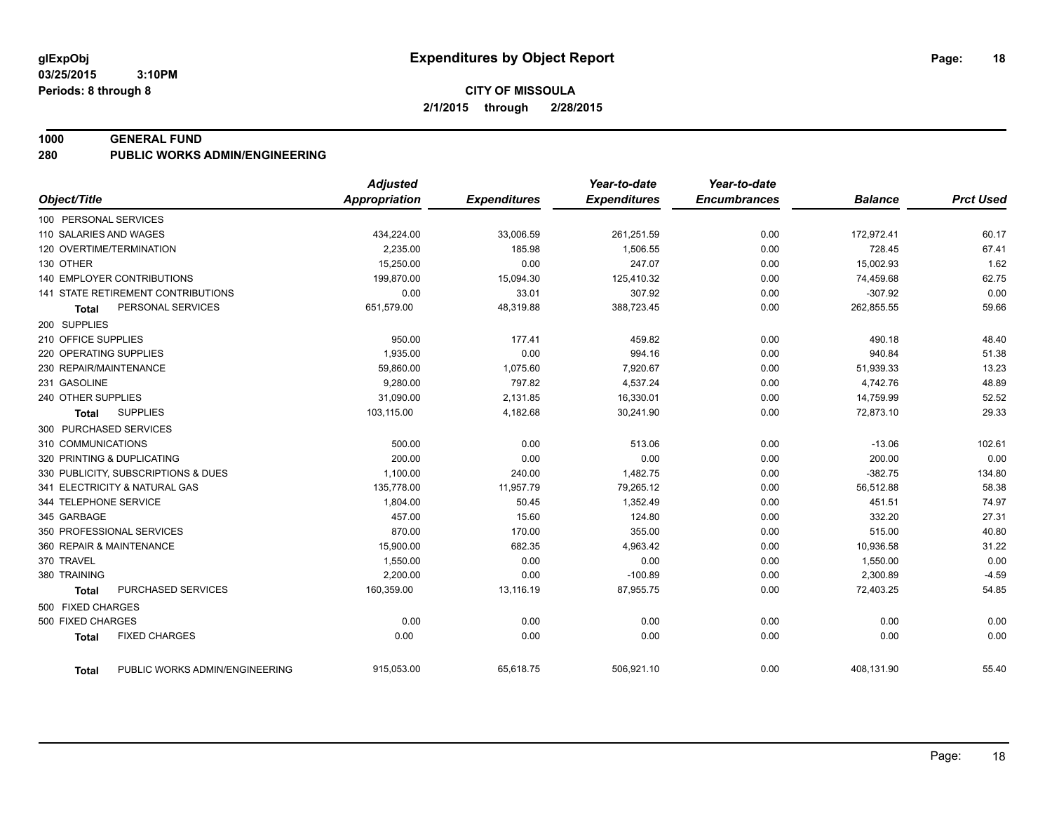#### **1000 GENERAL FUND**

**280 PUBLIC WORKS ADMIN/ENGINEERING**

|                                                | <b>Adjusted</b>      |                     | Year-to-date        | Year-to-date        |                |                  |
|------------------------------------------------|----------------------|---------------------|---------------------|---------------------|----------------|------------------|
| Object/Title                                   | <b>Appropriation</b> | <b>Expenditures</b> | <b>Expenditures</b> | <b>Encumbrances</b> | <b>Balance</b> | <b>Prct Used</b> |
| 100 PERSONAL SERVICES                          |                      |                     |                     |                     |                |                  |
| 110 SALARIES AND WAGES                         | 434,224.00           | 33,006.59           | 261,251.59          | 0.00                | 172,972.41     | 60.17            |
| 120 OVERTIME/TERMINATION                       | 2,235.00             | 185.98              | 1,506.55            | 0.00                | 728.45         | 67.41            |
| 130 OTHER                                      | 15,250.00            | 0.00                | 247.07              | 0.00                | 15,002.93      | 1.62             |
| <b>140 EMPLOYER CONTRIBUTIONS</b>              | 199,870.00           | 15,094.30           | 125,410.32          | 0.00                | 74,459.68      | 62.75            |
| 141 STATE RETIREMENT CONTRIBUTIONS             | 0.00                 | 33.01               | 307.92              | 0.00                | $-307.92$      | 0.00             |
| PERSONAL SERVICES<br><b>Total</b>              | 651,579.00           | 48,319.88           | 388,723.45          | 0.00                | 262,855.55     | 59.66            |
| 200 SUPPLIES                                   |                      |                     |                     |                     |                |                  |
| 210 OFFICE SUPPLIES                            | 950.00               | 177.41              | 459.82              | 0.00                | 490.18         | 48.40            |
| 220 OPERATING SUPPLIES                         | 1,935.00             | 0.00                | 994.16              | 0.00                | 940.84         | 51.38            |
| 230 REPAIR/MAINTENANCE                         | 59,860.00            | 1,075.60            | 7,920.67            | 0.00                | 51,939.33      | 13.23            |
| 231 GASOLINE                                   | 9,280.00             | 797.82              | 4,537.24            | 0.00                | 4,742.76       | 48.89            |
| 240 OTHER SUPPLIES                             | 31,090.00            | 2,131.85            | 16,330.01           | 0.00                | 14,759.99      | 52.52            |
| <b>SUPPLIES</b><br><b>Total</b>                | 103,115.00           | 4,182.68            | 30,241.90           | 0.00                | 72,873.10      | 29.33            |
| 300 PURCHASED SERVICES                         |                      |                     |                     |                     |                |                  |
| 310 COMMUNICATIONS                             | 500.00               | 0.00                | 513.06              | 0.00                | $-13.06$       | 102.61           |
| 320 PRINTING & DUPLICATING                     | 200.00               | 0.00                | 0.00                | 0.00                | 200.00         | 0.00             |
| 330 PUBLICITY, SUBSCRIPTIONS & DUES            | 1,100.00             | 240.00              | 1,482.75            | 0.00                | $-382.75$      | 134.80           |
| 341 ELECTRICITY & NATURAL GAS                  | 135,778.00           | 11,957.79           | 79,265.12           | 0.00                | 56,512.88      | 58.38            |
| 344 TELEPHONE SERVICE                          | 1,804.00             | 50.45               | 1,352.49            | 0.00                | 451.51         | 74.97            |
| 345 GARBAGE                                    | 457.00               | 15.60               | 124.80              | 0.00                | 332.20         | 27.31            |
| 350 PROFESSIONAL SERVICES                      | 870.00               | 170.00              | 355.00              | 0.00                | 515.00         | 40.80            |
| 360 REPAIR & MAINTENANCE                       | 15,900.00            | 682.35              | 4,963.42            | 0.00                | 10,936.58      | 31.22            |
| 370 TRAVEL                                     | 1,550.00             | 0.00                | 0.00                | 0.00                | 1,550.00       | 0.00             |
| 380 TRAINING                                   | 2,200.00             | 0.00                | $-100.89$           | 0.00                | 2,300.89       | $-4.59$          |
| PURCHASED SERVICES<br><b>Total</b>             | 160,359.00           | 13,116.19           | 87,955.75           | 0.00                | 72,403.25      | 54.85            |
| 500 FIXED CHARGES                              |                      |                     |                     |                     |                |                  |
| 500 FIXED CHARGES                              | 0.00                 | 0.00                | 0.00                | 0.00                | 0.00           | 0.00             |
| <b>FIXED CHARGES</b><br><b>Total</b>           | 0.00                 | 0.00                | 0.00                | 0.00                | 0.00           | 0.00             |
| PUBLIC WORKS ADMIN/ENGINEERING<br><b>Total</b> | 915,053.00           | 65,618.75           | 506,921.10          | 0.00                | 408,131.90     | 55.40            |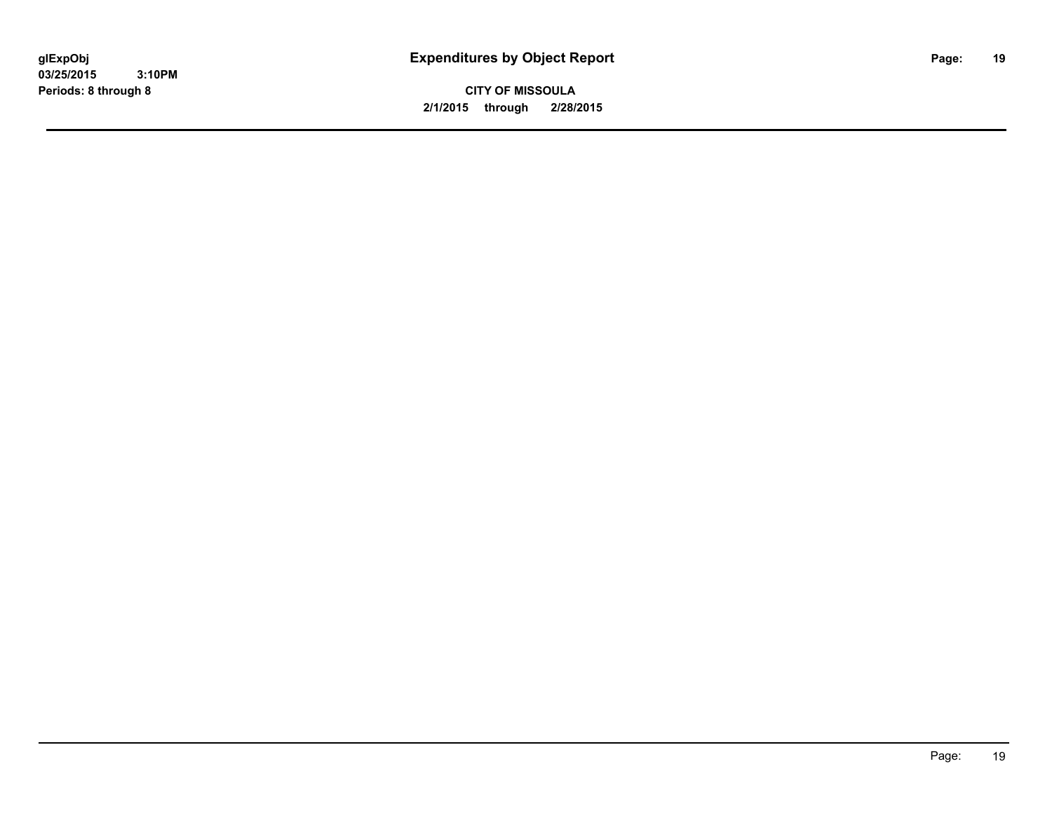Page: 19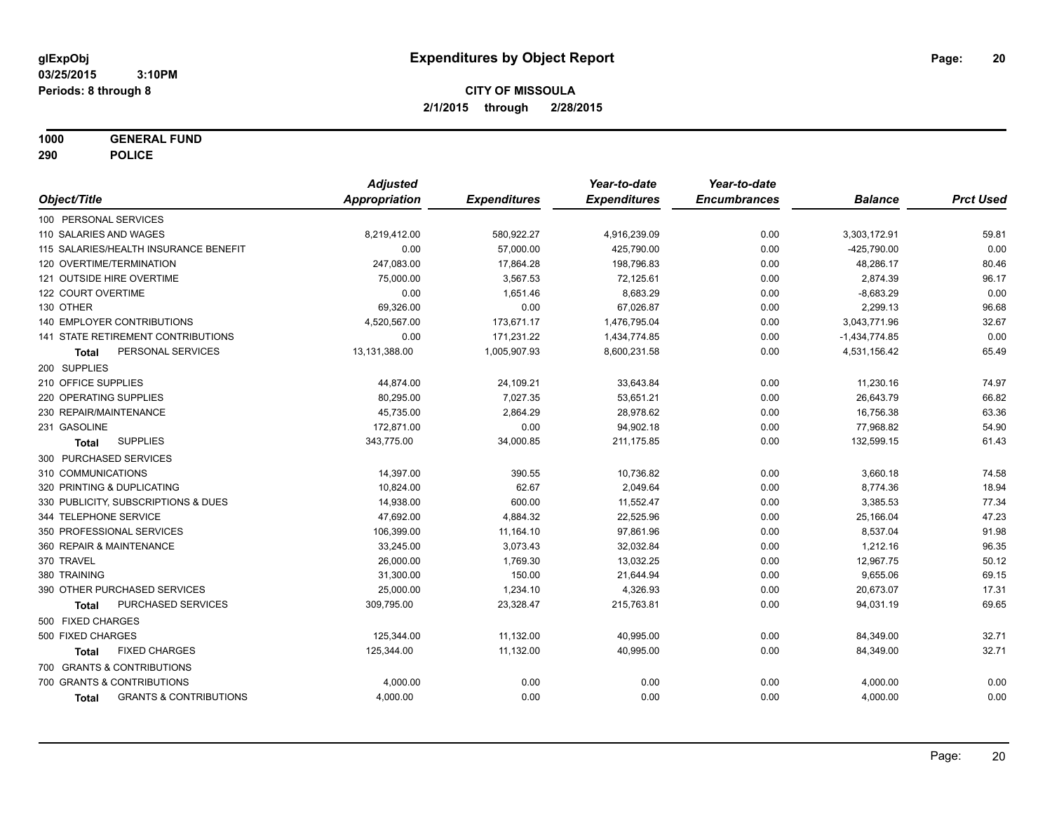**1000 GENERAL FUND**

**290 POLICE**

|                                                   | <b>Adjusted</b>      |                     | Year-to-date        | Year-to-date        |                 |                  |
|---------------------------------------------------|----------------------|---------------------|---------------------|---------------------|-----------------|------------------|
| Object/Title                                      | <b>Appropriation</b> | <b>Expenditures</b> | <b>Expenditures</b> | <b>Encumbrances</b> | <b>Balance</b>  | <b>Prct Used</b> |
| 100 PERSONAL SERVICES                             |                      |                     |                     |                     |                 |                  |
| 110 SALARIES AND WAGES                            | 8,219,412.00         | 580,922.27          | 4,916,239.09        | 0.00                | 3,303,172.91    | 59.81            |
| 115 SALARIES/HEALTH INSURANCE BENEFIT             | 0.00                 | 57,000.00           | 425,790.00          | 0.00                | $-425,790.00$   | 0.00             |
| 120 OVERTIME/TERMINATION                          | 247,083.00           | 17,864.28           | 198,796.83          | 0.00                | 48,286.17       | 80.46            |
| 121 OUTSIDE HIRE OVERTIME                         | 75,000.00            | 3,567.53            | 72,125.61           | 0.00                | 2,874.39        | 96.17            |
| 122 COURT OVERTIME                                | 0.00                 | 1,651.46            | 8,683.29            | 0.00                | $-8,683.29$     | 0.00             |
| 130 OTHER                                         | 69,326.00            | 0.00                | 67,026.87           | 0.00                | 2,299.13        | 96.68            |
| <b>140 EMPLOYER CONTRIBUTIONS</b>                 | 4,520,567.00         | 173,671.17          | 1,476,795.04        | 0.00                | 3,043,771.96    | 32.67            |
| 141 STATE RETIREMENT CONTRIBUTIONS                | 0.00                 | 171,231.22          | 1,434,774.85        | 0.00                | $-1,434,774.85$ | 0.00             |
| PERSONAL SERVICES<br>Total                        | 13,131,388.00        | 1,005,907.93        | 8,600,231.58        | 0.00                | 4,531,156.42    | 65.49            |
| 200 SUPPLIES                                      |                      |                     |                     |                     |                 |                  |
| 210 OFFICE SUPPLIES                               | 44,874.00            | 24,109.21           | 33,643.84           | 0.00                | 11,230.16       | 74.97            |
| 220 OPERATING SUPPLIES                            | 80,295.00            | 7,027.35            | 53,651.21           | 0.00                | 26,643.79       | 66.82            |
| 230 REPAIR/MAINTENANCE                            | 45,735.00            | 2,864.29            | 28,978.62           | 0.00                | 16,756.38       | 63.36            |
| 231 GASOLINE                                      | 172,871.00           | 0.00                | 94,902.18           | 0.00                | 77,968.82       | 54.90            |
| <b>SUPPLIES</b><br>Total                          | 343,775.00           | 34,000.85           | 211,175.85          | 0.00                | 132,599.15      | 61.43            |
| 300 PURCHASED SERVICES                            |                      |                     |                     |                     |                 |                  |
| 310 COMMUNICATIONS                                | 14,397.00            | 390.55              | 10,736.82           | 0.00                | 3,660.18        | 74.58            |
| 320 PRINTING & DUPLICATING                        | 10,824.00            | 62.67               | 2,049.64            | 0.00                | 8,774.36        | 18.94            |
| 330 PUBLICITY, SUBSCRIPTIONS & DUES               | 14,938.00            | 600.00              | 11,552.47           | 0.00                | 3,385.53        | 77.34            |
| 344 TELEPHONE SERVICE                             | 47,692.00            | 4,884.32            | 22,525.96           | 0.00                | 25,166.04       | 47.23            |
| 350 PROFESSIONAL SERVICES                         | 106,399.00           | 11,164.10           | 97,861.96           | 0.00                | 8,537.04        | 91.98            |
| 360 REPAIR & MAINTENANCE                          | 33,245.00            | 3,073.43            | 32,032.84           | 0.00                | 1,212.16        | 96.35            |
| 370 TRAVEL                                        | 26,000.00            | 1,769.30            | 13,032.25           | 0.00                | 12,967.75       | 50.12            |
| 380 TRAINING                                      | 31,300.00            | 150.00              | 21,644.94           | 0.00                | 9,655.06        | 69.15            |
| 390 OTHER PURCHASED SERVICES                      | 25,000.00            | 1,234.10            | 4,326.93            | 0.00                | 20,673.07       | 17.31            |
| PURCHASED SERVICES<br>Total                       | 309,795.00           | 23,328.47           | 215,763.81          | 0.00                | 94,031.19       | 69.65            |
| 500 FIXED CHARGES                                 |                      |                     |                     |                     |                 |                  |
| 500 FIXED CHARGES                                 | 125,344.00           | 11,132.00           | 40,995.00           | 0.00                | 84,349.00       | 32.71            |
| <b>FIXED CHARGES</b><br><b>Total</b>              | 125,344.00           | 11,132.00           | 40,995.00           | 0.00                | 84,349.00       | 32.71            |
| 700 GRANTS & CONTRIBUTIONS                        |                      |                     |                     |                     |                 |                  |
| 700 GRANTS & CONTRIBUTIONS                        | 4,000.00             | 0.00                | 0.00                | 0.00                | 4,000.00        | 0.00             |
| <b>GRANTS &amp; CONTRIBUTIONS</b><br><b>Total</b> | 4,000.00             | 0.00                | 0.00                | 0.00                | 4,000.00        | 0.00             |
|                                                   |                      |                     |                     |                     |                 |                  |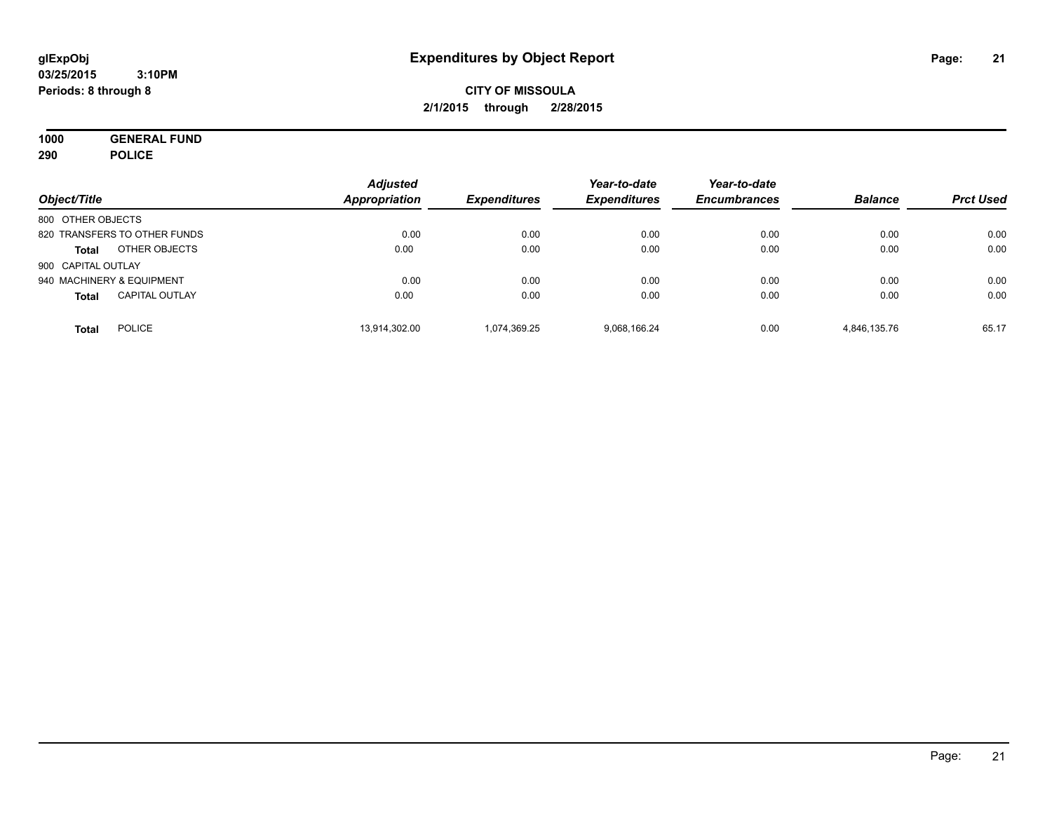**1000 GENERAL FUND 290 POLICE**

| Object/Title       |                              | <b>Adjusted</b><br>Appropriation | <b>Expenditures</b> | Year-to-date<br><b>Expenditures</b> | Year-to-date<br><b>Encumbrances</b> | <b>Balance</b> | <b>Prct Used</b> |
|--------------------|------------------------------|----------------------------------|---------------------|-------------------------------------|-------------------------------------|----------------|------------------|
| 800 OTHER OBJECTS  |                              |                                  |                     |                                     |                                     |                |                  |
|                    | 820 TRANSFERS TO OTHER FUNDS | 0.00                             | 0.00                | 0.00                                | 0.00                                | 0.00           | 0.00             |
| <b>Total</b>       | OTHER OBJECTS                | 0.00                             | 0.00                | 0.00                                | 0.00                                | 0.00           | 0.00             |
| 900 CAPITAL OUTLAY |                              |                                  |                     |                                     |                                     |                |                  |
|                    | 940 MACHINERY & EQUIPMENT    | 0.00                             | 0.00                | 0.00                                | 0.00                                | 0.00           | 0.00             |
| <b>Total</b>       | <b>CAPITAL OUTLAY</b>        | 0.00                             | 0.00                | 0.00                                | 0.00                                | 0.00           | 0.00             |
| <b>Total</b>       | <b>POLICE</b>                | 13,914,302.00                    | 1.074.369.25        | 9,068,166.24                        | 0.00                                | 4.846.135.76   | 65.17            |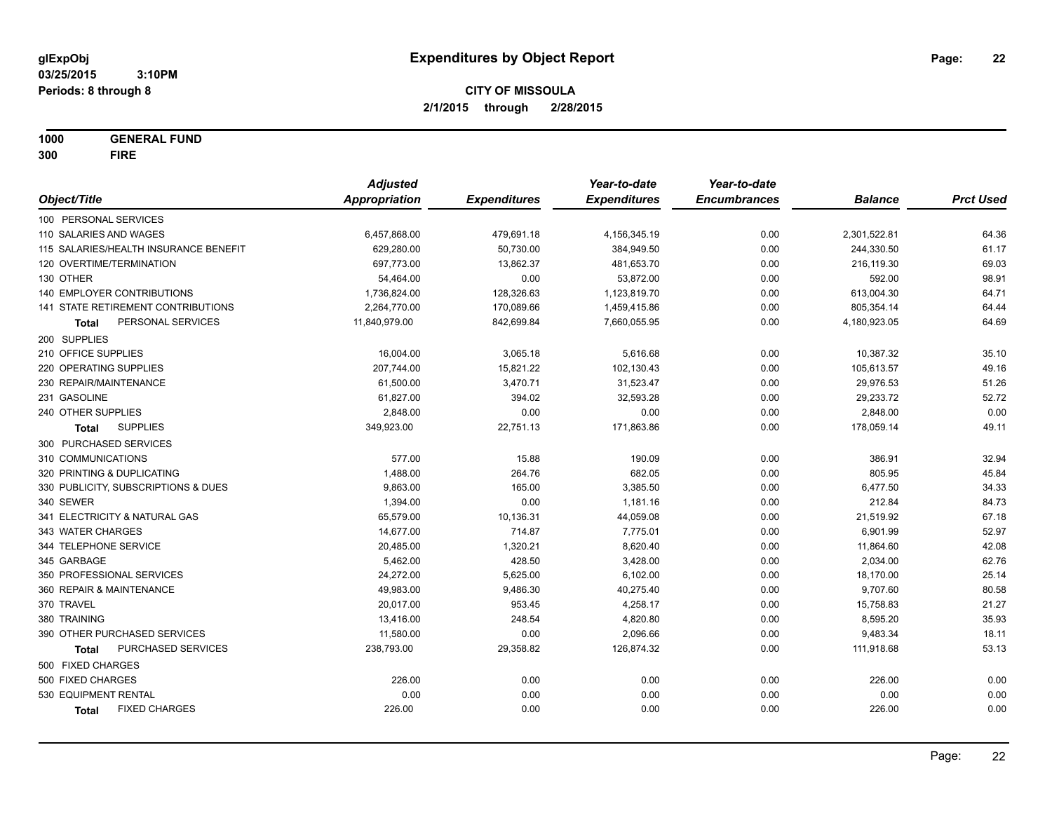**1000 GENERAL FUND 300 FIRE**

|                                       | <b>Adjusted</b>      |                     | Year-to-date        | Year-to-date        |                |                  |
|---------------------------------------|----------------------|---------------------|---------------------|---------------------|----------------|------------------|
| Object/Title                          | <b>Appropriation</b> | <b>Expenditures</b> | <b>Expenditures</b> | <b>Encumbrances</b> | <b>Balance</b> | <b>Prct Used</b> |
| 100 PERSONAL SERVICES                 |                      |                     |                     |                     |                |                  |
| 110 SALARIES AND WAGES                | 6,457,868.00         | 479,691.18          | 4,156,345.19        | 0.00                | 2,301,522.81   | 64.36            |
| 115 SALARIES/HEALTH INSURANCE BENEFIT | 629,280.00           | 50,730.00           | 384,949.50          | 0.00                | 244,330.50     | 61.17            |
| 120 OVERTIME/TERMINATION              | 697,773.00           | 13,862.37           | 481,653.70          | 0.00                | 216,119.30     | 69.03            |
| 130 OTHER                             | 54,464.00            | 0.00                | 53,872.00           | 0.00                | 592.00         | 98.91            |
| 140 EMPLOYER CONTRIBUTIONS            | 1,736,824.00         | 128,326.63          | 1,123,819.70        | 0.00                | 613,004.30     | 64.71            |
| 141 STATE RETIREMENT CONTRIBUTIONS    | 2,264,770.00         | 170,089.66          | 1,459,415.86        | 0.00                | 805,354.14     | 64.44            |
| PERSONAL SERVICES<br>Total            | 11,840,979.00        | 842,699.84          | 7,660,055.95        | 0.00                | 4,180,923.05   | 64.69            |
| 200 SUPPLIES                          |                      |                     |                     |                     |                |                  |
| 210 OFFICE SUPPLIES                   | 16,004.00            | 3,065.18            | 5,616.68            | 0.00                | 10,387.32      | 35.10            |
| 220 OPERATING SUPPLIES                | 207,744.00           | 15,821.22           | 102,130.43          | 0.00                | 105,613.57     | 49.16            |
| 230 REPAIR/MAINTENANCE                | 61,500.00            | 3,470.71            | 31,523.47           | 0.00                | 29,976.53      | 51.26            |
| 231 GASOLINE                          | 61,827.00            | 394.02              | 32,593.28           | 0.00                | 29,233.72      | 52.72            |
| 240 OTHER SUPPLIES                    | 2,848.00             | 0.00                | 0.00                | 0.00                | 2,848.00       | 0.00             |
| <b>SUPPLIES</b><br>Total              | 349,923.00           | 22,751.13           | 171,863.86          | 0.00                | 178,059.14     | 49.11            |
| 300 PURCHASED SERVICES                |                      |                     |                     |                     |                |                  |
| 310 COMMUNICATIONS                    | 577.00               | 15.88               | 190.09              | 0.00                | 386.91         | 32.94            |
| 320 PRINTING & DUPLICATING            | 1,488.00             | 264.76              | 682.05              | 0.00                | 805.95         | 45.84            |
| 330 PUBLICITY, SUBSCRIPTIONS & DUES   | 9,863.00             | 165.00              | 3,385.50            | 0.00                | 6,477.50       | 34.33            |
| 340 SEWER                             | 1,394.00             | 0.00                | 1,181.16            | 0.00                | 212.84         | 84.73            |
| 341 ELECTRICITY & NATURAL GAS         | 65,579.00            | 10,136.31           | 44,059.08           | 0.00                | 21,519.92      | 67.18            |
| 343 WATER CHARGES                     | 14,677.00            | 714.87              | 7,775.01            | 0.00                | 6,901.99       | 52.97            |
| 344 TELEPHONE SERVICE                 | 20,485.00            | 1,320.21            | 8,620.40            | 0.00                | 11,864.60      | 42.08            |
| 345 GARBAGE                           | 5,462.00             | 428.50              | 3,428.00            | 0.00                | 2,034.00       | 62.76            |
| 350 PROFESSIONAL SERVICES             | 24,272.00            | 5,625.00            | 6,102.00            | 0.00                | 18,170.00      | 25.14            |
| 360 REPAIR & MAINTENANCE              | 49,983.00            | 9,486.30            | 40,275.40           | 0.00                | 9,707.60       | 80.58            |
| 370 TRAVEL                            | 20,017.00            | 953.45              | 4,258.17            | 0.00                | 15,758.83      | 21.27            |
| 380 TRAINING                          | 13,416.00            | 248.54              | 4,820.80            | 0.00                | 8,595.20       | 35.93            |
| 390 OTHER PURCHASED SERVICES          | 11,580.00            | 0.00                | 2,096.66            | 0.00                | 9,483.34       | 18.11            |
| PURCHASED SERVICES<br><b>Total</b>    | 238,793.00           | 29,358.82           | 126,874.32          | 0.00                | 111,918.68     | 53.13            |
| 500 FIXED CHARGES                     |                      |                     |                     |                     |                |                  |
| 500 FIXED CHARGES                     | 226.00               | 0.00                | 0.00                | 0.00                | 226.00         | 0.00             |
| 530 EQUIPMENT RENTAL                  | 0.00                 | 0.00                | 0.00                | 0.00                | 0.00           | 0.00             |
| <b>FIXED CHARGES</b><br>Total         | 226.00               | 0.00                | 0.00                | 0.00                | 226.00         | 0.00             |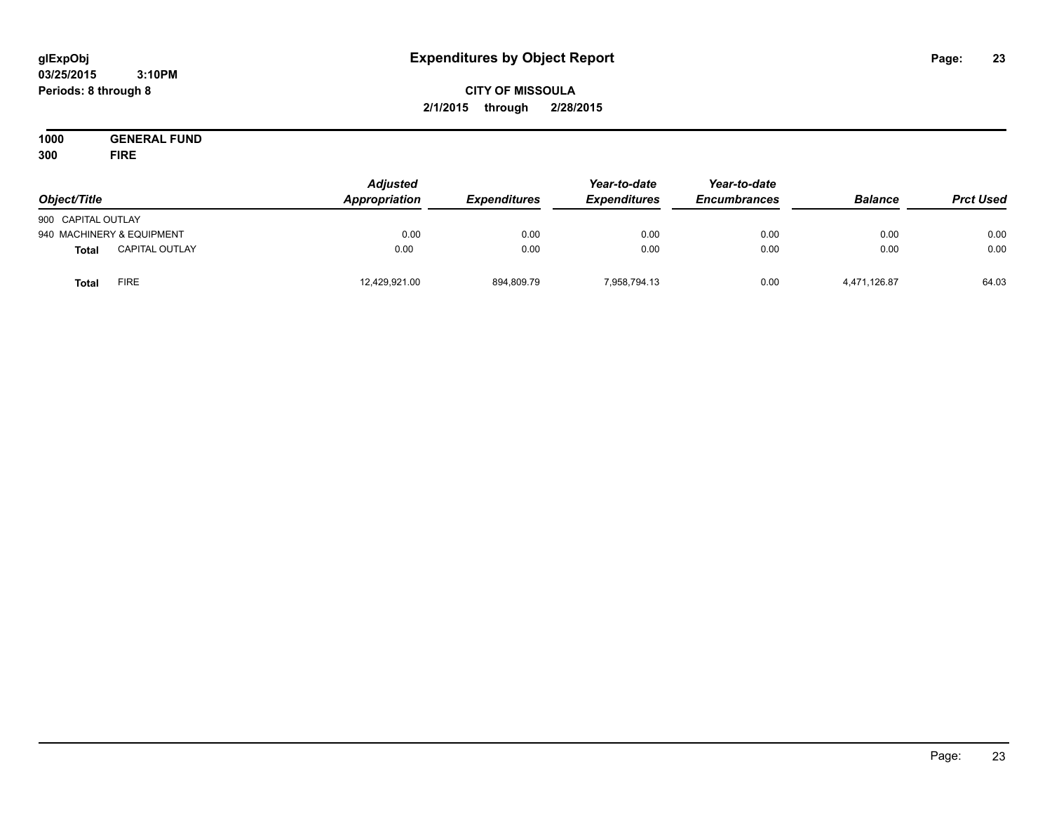#### **03/25/2015 3:10PM Periods: 8 through 8**

## **CITY OF MISSOULA 2/1/2015 through 2/28/2015**

**1000 GENERAL FUND 300 FIRE**

| Object/Title       |                           | <b>Adjusted</b><br>Appropriation | <b>Expenditures</b> | Year-to-date<br><b>Expenditures</b> | Year-to-date<br><b>Encumbrances</b> | <b>Balance</b> | <b>Prct Used</b> |
|--------------------|---------------------------|----------------------------------|---------------------|-------------------------------------|-------------------------------------|----------------|------------------|
| 900 CAPITAL OUTLAY |                           |                                  |                     |                                     |                                     |                |                  |
|                    | 940 MACHINERY & EQUIPMENT | 0.00                             | 0.00                | 0.00                                | 0.00                                | 0.00           | 0.00             |
| <b>Total</b>       | <b>CAPITAL OUTLAY</b>     | 0.00                             | 0.00                | 0.00                                | 0.00                                | 0.00           | 0.00             |
| <b>Total</b>       | <b>FIRE</b>               | 12.429.921.00                    | 894,809.79          | 7.958.794.13                        | 0.00                                | 4,471,126.87   | 64.03            |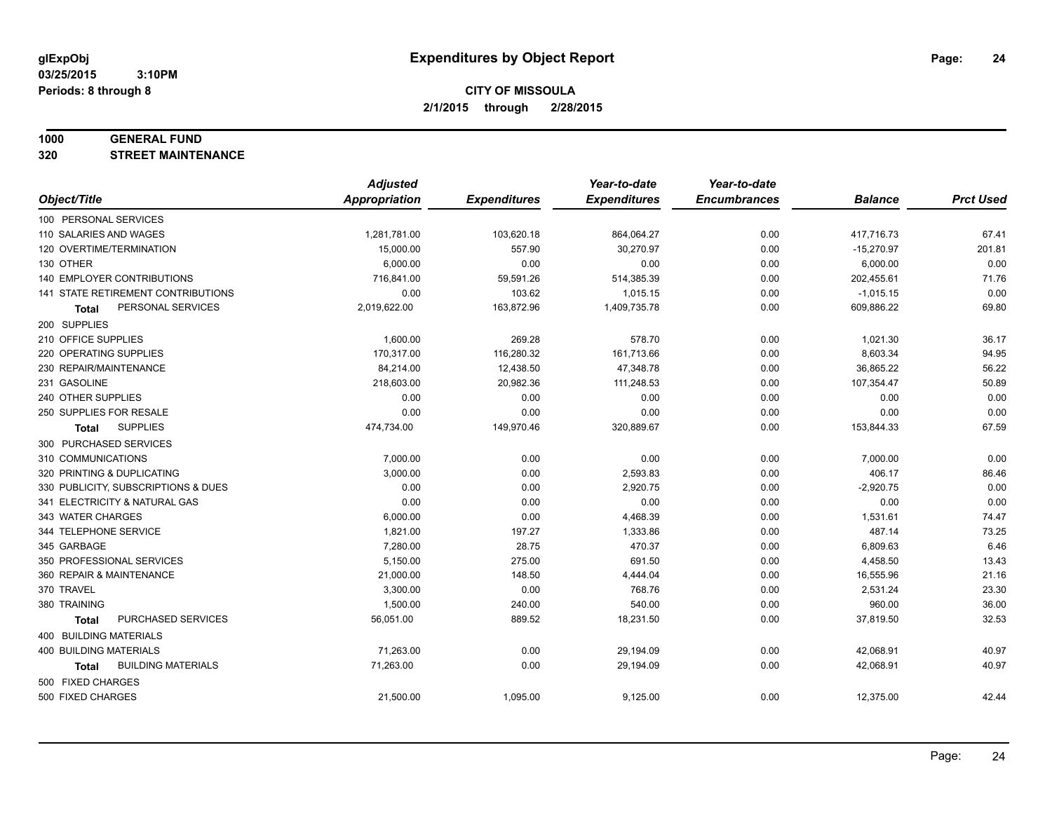#### **1000 GENERAL FUND**

**320 STREET MAINTENANCE**

|                                     | <b>Adjusted</b>      |                     | Year-to-date        | Year-to-date        |                |                  |
|-------------------------------------|----------------------|---------------------|---------------------|---------------------|----------------|------------------|
| Object/Title                        | <b>Appropriation</b> | <b>Expenditures</b> | <b>Expenditures</b> | <b>Encumbrances</b> | <b>Balance</b> | <b>Prct Used</b> |
| 100 PERSONAL SERVICES               |                      |                     |                     |                     |                |                  |
| 110 SALARIES AND WAGES              | 1,281,781.00         | 103,620.18          | 864,064.27          | 0.00                | 417,716.73     | 67.41            |
| 120 OVERTIME/TERMINATION            | 15,000.00            | 557.90              | 30,270.97           | 0.00                | $-15,270.97$   | 201.81           |
| 130 OTHER                           | 6,000.00             | 0.00                | 0.00                | 0.00                | 6,000.00       | 0.00             |
| 140 EMPLOYER CONTRIBUTIONS          | 716,841.00           | 59,591.26           | 514,385.39          | 0.00                | 202,455.61     | 71.76            |
| 141 STATE RETIREMENT CONTRIBUTIONS  | 0.00                 | 103.62              | 1,015.15            | 0.00                | $-1,015.15$    | 0.00             |
| PERSONAL SERVICES<br>Total          | 2,019,622.00         | 163,872.96          | 1,409,735.78        | 0.00                | 609,886.22     | 69.80            |
| 200 SUPPLIES                        |                      |                     |                     |                     |                |                  |
| 210 OFFICE SUPPLIES                 | 1,600.00             | 269.28              | 578.70              | 0.00                | 1,021.30       | 36.17            |
| 220 OPERATING SUPPLIES              | 170,317.00           | 116,280.32          | 161,713.66          | 0.00                | 8,603.34       | 94.95            |
| 230 REPAIR/MAINTENANCE              | 84,214.00            | 12,438.50           | 47,348.78           | 0.00                | 36,865.22      | 56.22            |
| 231 GASOLINE                        | 218,603.00           | 20,982.36           | 111,248.53          | 0.00                | 107,354.47     | 50.89            |
| 240 OTHER SUPPLIES                  | 0.00                 | 0.00                | 0.00                | 0.00                | 0.00           | 0.00             |
| 250 SUPPLIES FOR RESALE             | 0.00                 | 0.00                | 0.00                | 0.00                | 0.00           | 0.00             |
| <b>SUPPLIES</b><br>Total            | 474,734.00           | 149,970.46          | 320,889.67          | 0.00                | 153,844.33     | 67.59            |
| 300 PURCHASED SERVICES              |                      |                     |                     |                     |                |                  |
| 310 COMMUNICATIONS                  | 7,000.00             | 0.00                | 0.00                | 0.00                | 7,000.00       | 0.00             |
| 320 PRINTING & DUPLICATING          | 3,000.00             | 0.00                | 2,593.83            | 0.00                | 406.17         | 86.46            |
| 330 PUBLICITY, SUBSCRIPTIONS & DUES | 0.00                 | 0.00                | 2,920.75            | 0.00                | $-2,920.75$    | 0.00             |
| 341 ELECTRICITY & NATURAL GAS       | 0.00                 | 0.00                | 0.00                | 0.00                | 0.00           | 0.00             |
| 343 WATER CHARGES                   | 6,000.00             | 0.00                | 4,468.39            | 0.00                | 1,531.61       | 74.47            |
| 344 TELEPHONE SERVICE               | 1,821.00             | 197.27              | 1,333.86            | 0.00                | 487.14         | 73.25            |
| 345 GARBAGE                         | 7,280.00             | 28.75               | 470.37              | 0.00                | 6,809.63       | 6.46             |
| 350 PROFESSIONAL SERVICES           | 5,150.00             | 275.00              | 691.50              | 0.00                | 4,458.50       | 13.43            |
| 360 REPAIR & MAINTENANCE            | 21,000.00            | 148.50              | 4,444.04            | 0.00                | 16,555.96      | 21.16            |
| 370 TRAVEL                          | 3,300.00             | 0.00                | 768.76              | 0.00                | 2,531.24       | 23.30            |
| 380 TRAINING                        | 1,500.00             | 240.00              | 540.00              | 0.00                | 960.00         | 36.00            |
| PURCHASED SERVICES<br><b>Total</b>  | 56,051.00            | 889.52              | 18,231.50           | 0.00                | 37,819.50      | 32.53            |
| 400 BUILDING MATERIALS              |                      |                     |                     |                     |                |                  |
| 400 BUILDING MATERIALS              | 71,263.00            | 0.00                | 29,194.09           | 0.00                | 42,068.91      | 40.97            |
| <b>BUILDING MATERIALS</b><br>Total  | 71,263.00            | 0.00                | 29,194.09           | 0.00                | 42,068.91      | 40.97            |
| 500 FIXED CHARGES                   |                      |                     |                     |                     |                |                  |
| 500 FIXED CHARGES                   | 21,500.00            | 1,095.00            | 9,125.00            | 0.00                | 12,375.00      | 42.44            |
|                                     |                      |                     |                     |                     |                |                  |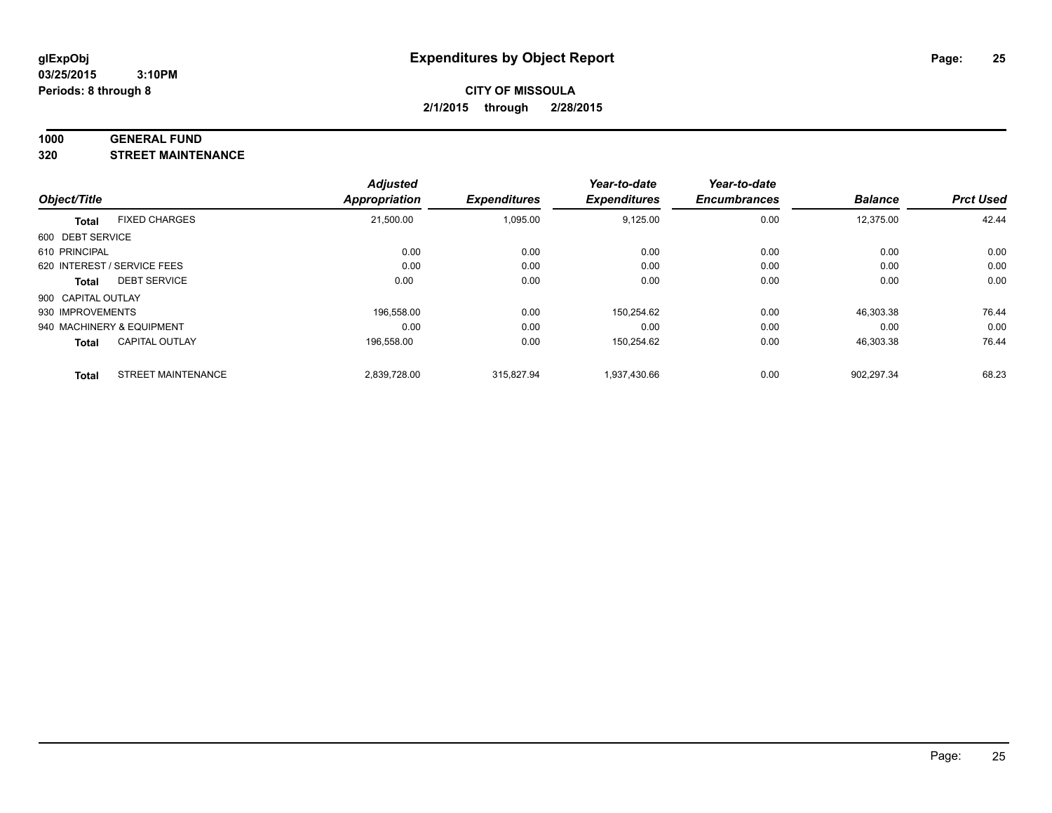#### **1000 GENERAL FUND**

**320 STREET MAINTENANCE**

|                    |                             | <b>Adjusted</b> |                     | Year-to-date        | Year-to-date        |                |                  |
|--------------------|-----------------------------|-----------------|---------------------|---------------------|---------------------|----------------|------------------|
| Object/Title       |                             | Appropriation   | <b>Expenditures</b> | <b>Expenditures</b> | <b>Encumbrances</b> | <b>Balance</b> | <b>Prct Used</b> |
| <b>Total</b>       | <b>FIXED CHARGES</b>        | 21,500.00       | 1,095.00            | 9,125.00            | 0.00                | 12,375.00      | 42.44            |
| 600 DEBT SERVICE   |                             |                 |                     |                     |                     |                |                  |
| 610 PRINCIPAL      |                             | 0.00            | 0.00                | 0.00                | 0.00                | 0.00           | 0.00             |
|                    | 620 INTEREST / SERVICE FEES | 0.00            | 0.00                | 0.00                | 0.00                | 0.00           | 0.00             |
| <b>Total</b>       | <b>DEBT SERVICE</b>         | 0.00            | 0.00                | 0.00                | 0.00                | 0.00           | 0.00             |
| 900 CAPITAL OUTLAY |                             |                 |                     |                     |                     |                |                  |
| 930 IMPROVEMENTS   |                             | 196.558.00      | 0.00                | 150.254.62          | 0.00                | 46,303.38      | 76.44            |
|                    | 940 MACHINERY & EQUIPMENT   | 0.00            | 0.00                | 0.00                | 0.00                | 0.00           | 0.00             |
| <b>Total</b>       | <b>CAPITAL OUTLAY</b>       | 196.558.00      | 0.00                | 150,254.62          | 0.00                | 46,303.38      | 76.44            |
| <b>Total</b>       | <b>STREET MAINTENANCE</b>   | 2,839,728.00    | 315.827.94          | 1,937,430.66        | 0.00                | 902,297.34     | 68.23            |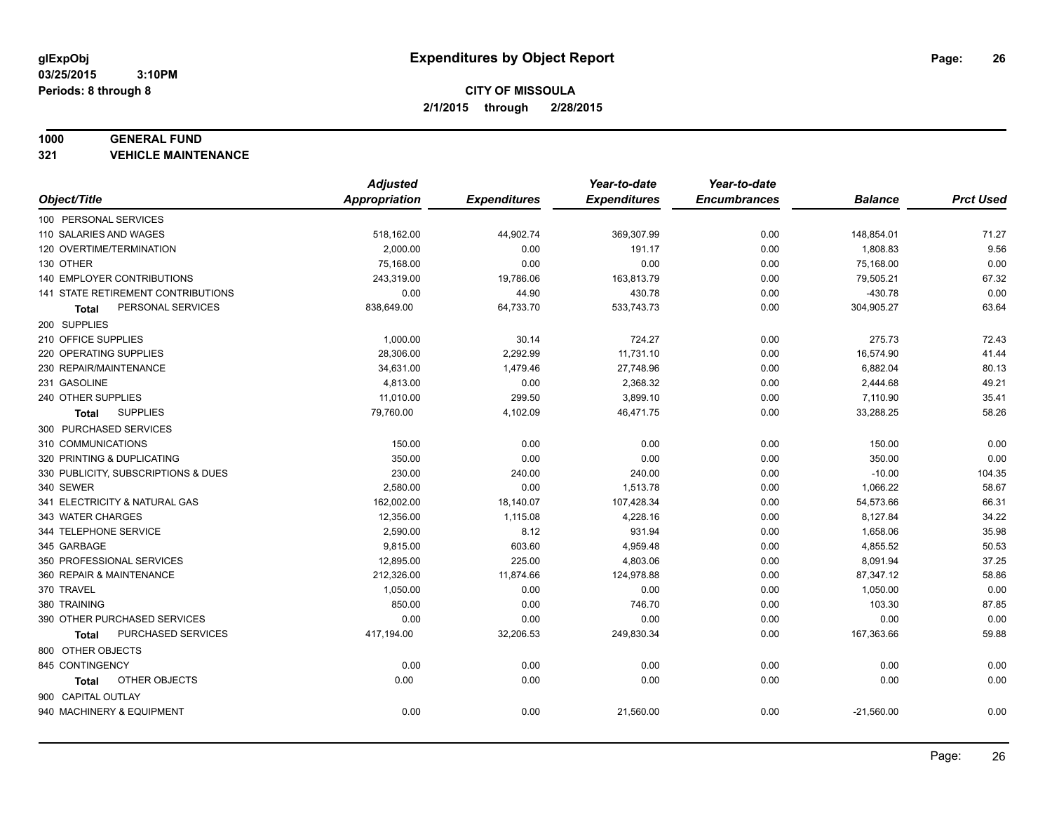#### **1000 GENERAL FUND**

**321 VEHICLE MAINTENANCE**

|                                           | <b>Adjusted</b> |                     | Year-to-date        | Year-to-date        |                |                  |
|-------------------------------------------|-----------------|---------------------|---------------------|---------------------|----------------|------------------|
| Object/Title                              | Appropriation   | <b>Expenditures</b> | <b>Expenditures</b> | <b>Encumbrances</b> | <b>Balance</b> | <b>Prct Used</b> |
| 100 PERSONAL SERVICES                     |                 |                     |                     |                     |                |                  |
| 110 SALARIES AND WAGES                    | 518,162.00      | 44,902.74           | 369,307.99          | 0.00                | 148,854.01     | 71.27            |
| 120 OVERTIME/TERMINATION                  | 2,000.00        | 0.00                | 191.17              | 0.00                | 1,808.83       | 9.56             |
| 130 OTHER                                 | 75,168.00       | 0.00                | 0.00                | 0.00                | 75,168.00      | 0.00             |
| <b>140 EMPLOYER CONTRIBUTIONS</b>         | 243,319.00      | 19,786.06           | 163,813.79          | 0.00                | 79,505.21      | 67.32            |
| <b>141 STATE RETIREMENT CONTRIBUTIONS</b> | 0.00            | 44.90               | 430.78              | 0.00                | $-430.78$      | 0.00             |
| PERSONAL SERVICES<br>Total                | 838,649.00      | 64,733.70           | 533,743.73          | 0.00                | 304,905.27     | 63.64            |
| 200 SUPPLIES                              |                 |                     |                     |                     |                |                  |
| 210 OFFICE SUPPLIES                       | 1,000.00        | 30.14               | 724.27              | 0.00                | 275.73         | 72.43            |
| 220 OPERATING SUPPLIES                    | 28,306.00       | 2,292.99            | 11,731.10           | 0.00                | 16,574.90      | 41.44            |
| 230 REPAIR/MAINTENANCE                    | 34,631.00       | 1,479.46            | 27,748.96           | 0.00                | 6,882.04       | 80.13            |
| 231 GASOLINE                              | 4,813.00        | 0.00                | 2,368.32            | 0.00                | 2,444.68       | 49.21            |
| 240 OTHER SUPPLIES                        | 11,010.00       | 299.50              | 3,899.10            | 0.00                | 7,110.90       | 35.41            |
| <b>SUPPLIES</b><br>Total                  | 79,760.00       | 4,102.09            | 46,471.75           | 0.00                | 33,288.25      | 58.26            |
| 300 PURCHASED SERVICES                    |                 |                     |                     |                     |                |                  |
| 310 COMMUNICATIONS                        | 150.00          | 0.00                | 0.00                | 0.00                | 150.00         | 0.00             |
| 320 PRINTING & DUPLICATING                | 350.00          | 0.00                | 0.00                | 0.00                | 350.00         | 0.00             |
| 330 PUBLICITY, SUBSCRIPTIONS & DUES       | 230.00          | 240.00              | 240.00              | 0.00                | $-10.00$       | 104.35           |
| 340 SEWER                                 | 2,580.00        | 0.00                | 1,513.78            | 0.00                | 1,066.22       | 58.67            |
| 341 ELECTRICITY & NATURAL GAS             | 162,002.00      | 18,140.07           | 107,428.34          | 0.00                | 54,573.66      | 66.31            |
| 343 WATER CHARGES                         | 12,356.00       | 1,115.08            | 4,228.16            | 0.00                | 8,127.84       | 34.22            |
| 344 TELEPHONE SERVICE                     | 2,590.00        | 8.12                | 931.94              | 0.00                | 1,658.06       | 35.98            |
| 345 GARBAGE                               | 9,815.00        | 603.60              | 4,959.48            | 0.00                | 4,855.52       | 50.53            |
| 350 PROFESSIONAL SERVICES                 | 12,895.00       | 225.00              | 4,803.06            | 0.00                | 8,091.94       | 37.25            |
| 360 REPAIR & MAINTENANCE                  | 212,326.00      | 11,874.66           | 124,978.88          | 0.00                | 87,347.12      | 58.86            |
| 370 TRAVEL                                | 1,050.00        | 0.00                | 0.00                | 0.00                | 1,050.00       | 0.00             |
| 380 TRAINING                              | 850.00          | 0.00                | 746.70              | 0.00                | 103.30         | 87.85            |
| 390 OTHER PURCHASED SERVICES              | 0.00            | 0.00                | 0.00                | 0.00                | 0.00           | 0.00             |
| PURCHASED SERVICES<br>Total               | 417,194.00      | 32,206.53           | 249,830.34          | 0.00                | 167,363.66     | 59.88            |
| 800 OTHER OBJECTS                         |                 |                     |                     |                     |                |                  |
| 845 CONTINGENCY                           | 0.00            | 0.00                | 0.00                | 0.00                | 0.00           | 0.00             |
| OTHER OBJECTS<br>Total                    | 0.00            | 0.00                | 0.00                | 0.00                | 0.00           | 0.00             |
| 900 CAPITAL OUTLAY                        |                 |                     |                     |                     |                |                  |
| 940 MACHINERY & EQUIPMENT                 | 0.00            | 0.00                | 21,560.00           | 0.00                | $-21,560.00$   | 0.00             |
|                                           |                 |                     |                     |                     |                |                  |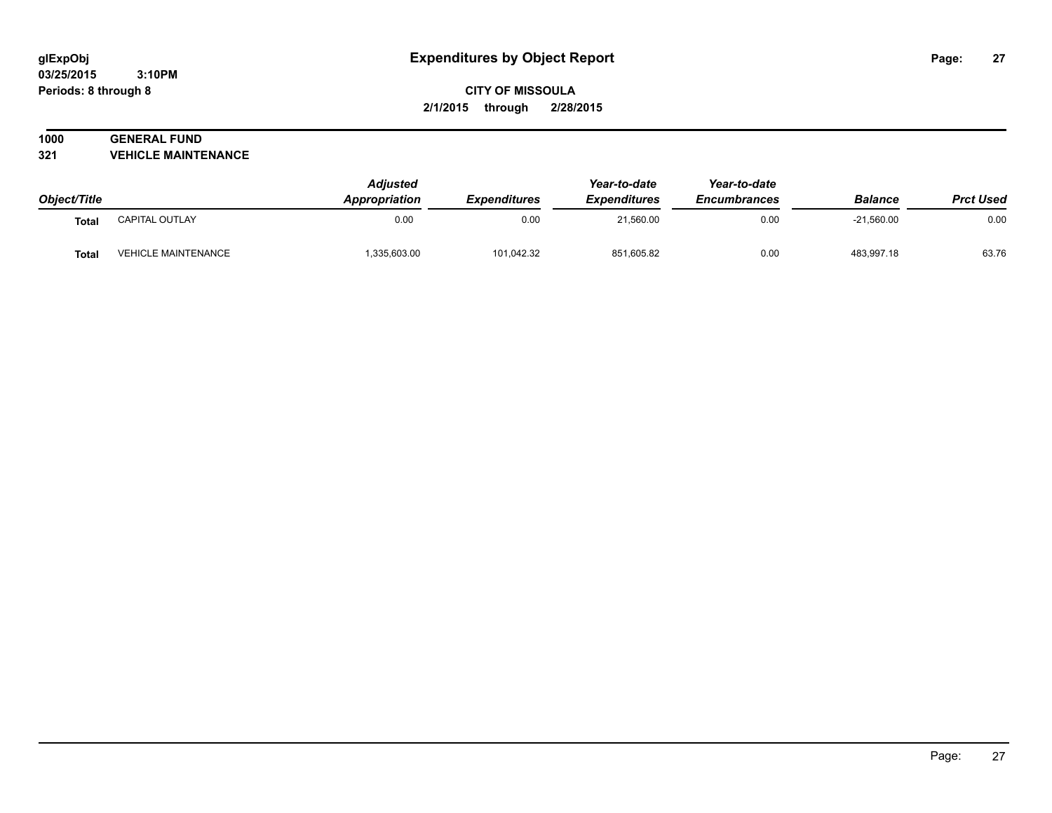#### **03/25/2015 3:10PM Periods: 8 through 8**

## **CITY OF MISSOULA 2/1/2015 through 2/28/2015**

# **1000 GENERAL FUND**

**321 VEHICLE MAINTENANCE**

| Object/Title |                            | <b>Adjusted</b><br><b>Appropriation</b> | <b>Expenditures</b> | Year-to-date<br><b>Expenditures</b> | Year-to-date<br><b>Encumbrances</b> | <b>Balance</b> | <b>Prct Used</b> |
|--------------|----------------------------|-----------------------------------------|---------------------|-------------------------------------|-------------------------------------|----------------|------------------|
| Total        | CAPITAL OUTLAY             | 0.00                                    | 0.00                | 21,560.00                           | 0.00                                | $-21,560.00$   | 0.00             |
| <b>Total</b> | <b>VEHICLE MAINTENANCE</b> | 1,335,603.00                            | 101,042.32          | 851,605.82                          | 0.00                                | 483,997.18     | 63.76            |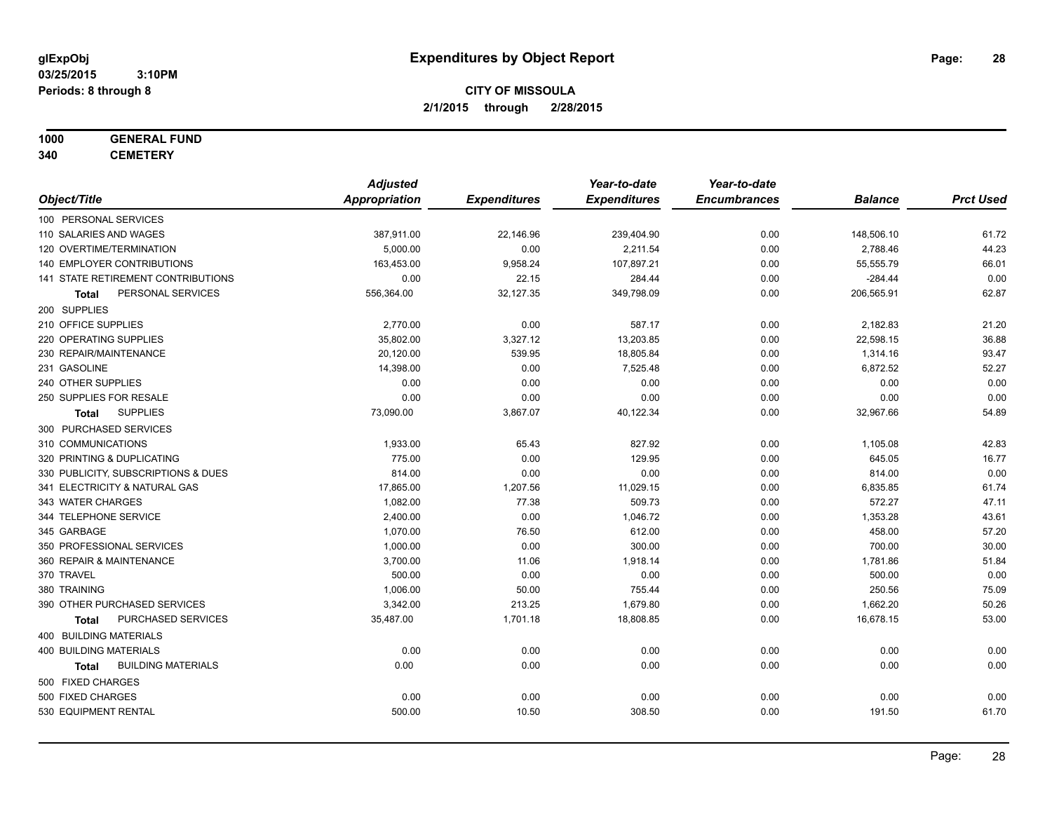## **1000 GENERAL FUND**

**340 CEMETERY**

|                                           | <b>Adjusted</b>      |                     | Year-to-date        | Year-to-date        |                |                  |
|-------------------------------------------|----------------------|---------------------|---------------------|---------------------|----------------|------------------|
| Object/Title                              | <b>Appropriation</b> | <b>Expenditures</b> | <b>Expenditures</b> | <b>Encumbrances</b> | <b>Balance</b> | <b>Prct Used</b> |
| 100 PERSONAL SERVICES                     |                      |                     |                     |                     |                |                  |
| 110 SALARIES AND WAGES                    | 387,911.00           | 22,146.96           | 239,404.90          | 0.00                | 148,506.10     | 61.72            |
| 120 OVERTIME/TERMINATION                  | 5,000.00             | 0.00                | 2,211.54            | 0.00                | 2,788.46       | 44.23            |
| 140 EMPLOYER CONTRIBUTIONS                | 163,453.00           | 9,958.24            | 107,897.21          | 0.00                | 55,555.79      | 66.01            |
| 141 STATE RETIREMENT CONTRIBUTIONS        | 0.00                 | 22.15               | 284.44              | 0.00                | $-284.44$      | 0.00             |
| PERSONAL SERVICES<br>Total                | 556,364.00           | 32, 127.35          | 349,798.09          | 0.00                | 206,565.91     | 62.87            |
| 200 SUPPLIES                              |                      |                     |                     |                     |                |                  |
| 210 OFFICE SUPPLIES                       | 2,770.00             | 0.00                | 587.17              | 0.00                | 2,182.83       | 21.20            |
| 220 OPERATING SUPPLIES                    | 35,802.00            | 3,327.12            | 13,203.85           | 0.00                | 22,598.15      | 36.88            |
| 230 REPAIR/MAINTENANCE                    | 20,120.00            | 539.95              | 18,805.84           | 0.00                | 1,314.16       | 93.47            |
| 231 GASOLINE                              | 14,398.00            | 0.00                | 7,525.48            | 0.00                | 6,872.52       | 52.27            |
| 240 OTHER SUPPLIES                        | 0.00                 | 0.00                | 0.00                | 0.00                | 0.00           | 0.00             |
| 250 SUPPLIES FOR RESALE                   | 0.00                 | 0.00                | 0.00                | 0.00                | 0.00           | 0.00             |
| <b>SUPPLIES</b><br>Total                  | 73,090.00            | 3,867.07            | 40,122.34           | 0.00                | 32,967.66      | 54.89            |
| 300 PURCHASED SERVICES                    |                      |                     |                     |                     |                |                  |
| 310 COMMUNICATIONS                        | 1,933.00             | 65.43               | 827.92              | 0.00                | 1,105.08       | 42.83            |
| 320 PRINTING & DUPLICATING                | 775.00               | 0.00                | 129.95              | 0.00                | 645.05         | 16.77            |
| 330 PUBLICITY, SUBSCRIPTIONS & DUES       | 814.00               | 0.00                | 0.00                | 0.00                | 814.00         | 0.00             |
| 341 ELECTRICITY & NATURAL GAS             | 17,865.00            | 1,207.56            | 11,029.15           | 0.00                | 6,835.85       | 61.74            |
| 343 WATER CHARGES                         | 1,082.00             | 77.38               | 509.73              | 0.00                | 572.27         | 47.11            |
| 344 TELEPHONE SERVICE                     | 2,400.00             | 0.00                | 1,046.72            | 0.00                | 1,353.28       | 43.61            |
| 345 GARBAGE                               | 1,070.00             | 76.50               | 612.00              | 0.00                | 458.00         | 57.20            |
| 350 PROFESSIONAL SERVICES                 | 1,000.00             | 0.00                | 300.00              | 0.00                | 700.00         | 30.00            |
| 360 REPAIR & MAINTENANCE                  | 3,700.00             | 11.06               | 1,918.14            | 0.00                | 1,781.86       | 51.84            |
| 370 TRAVEL                                | 500.00               | 0.00                | 0.00                | 0.00                | 500.00         | 0.00             |
| 380 TRAINING                              | 1,006.00             | 50.00               | 755.44              | 0.00                | 250.56         | 75.09            |
| 390 OTHER PURCHASED SERVICES              | 3,342.00             | 213.25              | 1,679.80            | 0.00                | 1,662.20       | 50.26            |
| PURCHASED SERVICES<br><b>Total</b>        | 35,487.00            | 1,701.18            | 18,808.85           | 0.00                | 16,678.15      | 53.00            |
| 400 BUILDING MATERIALS                    |                      |                     |                     |                     |                |                  |
| 400 BUILDING MATERIALS                    | 0.00                 | 0.00                | 0.00                | 0.00                | 0.00           | 0.00             |
| <b>BUILDING MATERIALS</b><br><b>Total</b> | 0.00                 | 0.00                | 0.00                | 0.00                | 0.00           | 0.00             |
| 500 FIXED CHARGES                         |                      |                     |                     |                     |                |                  |
| 500 FIXED CHARGES                         | 0.00                 | 0.00                | 0.00                | 0.00                | 0.00           | 0.00             |
| 530 EQUIPMENT RENTAL                      | 500.00               | 10.50               | 308.50              | 0.00                | 191.50         | 61.70            |
|                                           |                      |                     |                     |                     |                |                  |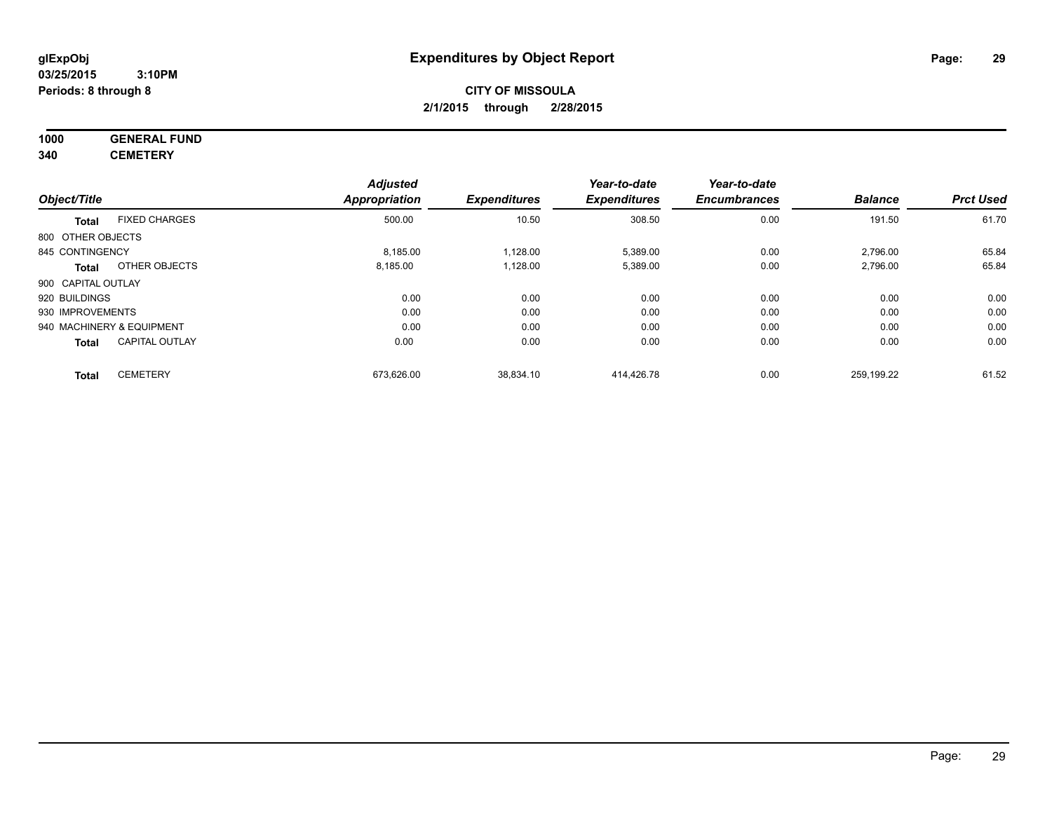## **1000 GENERAL FUND**

**340 CEMETERY**

|                    |                           | <b>Adjusted</b> |                     | Year-to-date        | Year-to-date        |                |                  |
|--------------------|---------------------------|-----------------|---------------------|---------------------|---------------------|----------------|------------------|
| Object/Title       |                           | Appropriation   | <b>Expenditures</b> | <b>Expenditures</b> | <b>Encumbrances</b> | <b>Balance</b> | <b>Prct Used</b> |
| Total              | <b>FIXED CHARGES</b>      | 500.00          | 10.50               | 308.50              | 0.00                | 191.50         | 61.70            |
| 800 OTHER OBJECTS  |                           |                 |                     |                     |                     |                |                  |
| 845 CONTINGENCY    |                           | 8,185.00        | 1,128.00            | 5,389.00            | 0.00                | 2,796.00       | 65.84            |
| Total              | OTHER OBJECTS             | 8,185.00        | 1,128.00            | 5,389.00            | 0.00                | 2,796.00       | 65.84            |
| 900 CAPITAL OUTLAY |                           |                 |                     |                     |                     |                |                  |
| 920 BUILDINGS      |                           | 0.00            | 0.00                | 0.00                | 0.00                | 0.00           | 0.00             |
| 930 IMPROVEMENTS   |                           | 0.00            | 0.00                | 0.00                | 0.00                | 0.00           | 0.00             |
|                    | 940 MACHINERY & EQUIPMENT | 0.00            | 0.00                | 0.00                | 0.00                | 0.00           | 0.00             |
| <b>Total</b>       | <b>CAPITAL OUTLAY</b>     | 0.00            | 0.00                | 0.00                | 0.00                | 0.00           | 0.00             |
| <b>Total</b>       | <b>CEMETERY</b>           | 673,626.00      | 38,834.10           | 414,426.78          | 0.00                | 259,199.22     | 61.52            |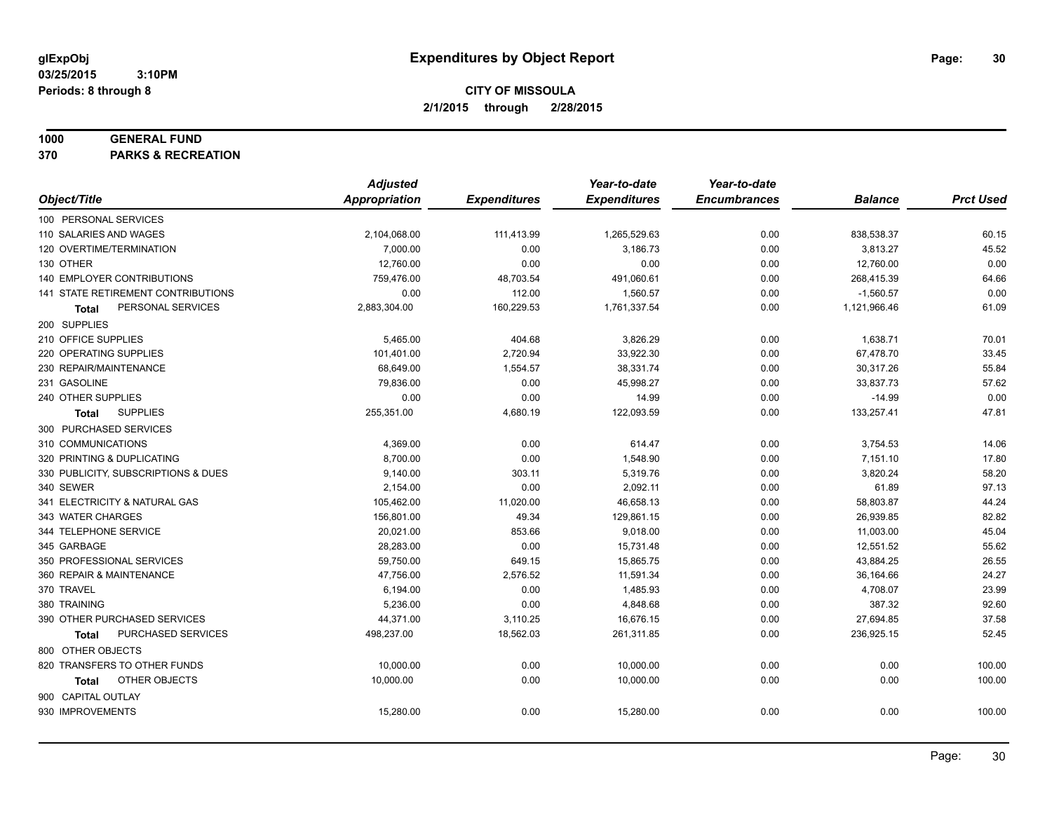#### **1000 GENERAL FUND**

**370 PARKS & RECREATION**

|                                           | <b>Adjusted</b>      |                     | Year-to-date        | Year-to-date        |                |                  |
|-------------------------------------------|----------------------|---------------------|---------------------|---------------------|----------------|------------------|
| Object/Title                              | <b>Appropriation</b> | <b>Expenditures</b> | <b>Expenditures</b> | <b>Encumbrances</b> | <b>Balance</b> | <b>Prct Used</b> |
| 100 PERSONAL SERVICES                     |                      |                     |                     |                     |                |                  |
| 110 SALARIES AND WAGES                    | 2,104,068.00         | 111,413.99          | 1,265,529.63        | 0.00                | 838,538.37     | 60.15            |
| 120 OVERTIME/TERMINATION                  | 7,000.00             | 0.00                | 3,186.73            | 0.00                | 3,813.27       | 45.52            |
| 130 OTHER                                 | 12,760.00            | 0.00                | 0.00                | 0.00                | 12,760.00      | 0.00             |
| 140 EMPLOYER CONTRIBUTIONS                | 759,476.00           | 48,703.54           | 491,060.61          | 0.00                | 268,415.39     | 64.66            |
| <b>141 STATE RETIREMENT CONTRIBUTIONS</b> | 0.00                 | 112.00              | 1,560.57            | 0.00                | $-1,560.57$    | 0.00             |
| PERSONAL SERVICES<br>Total                | 2,883,304.00         | 160,229.53          | 1,761,337.54        | 0.00                | 1,121,966.46   | 61.09            |
| 200 SUPPLIES                              |                      |                     |                     |                     |                |                  |
| 210 OFFICE SUPPLIES                       | 5,465.00             | 404.68              | 3,826.29            | 0.00                | 1,638.71       | 70.01            |
| 220 OPERATING SUPPLIES                    | 101,401.00           | 2,720.94            | 33,922.30           | 0.00                | 67,478.70      | 33.45            |
| 230 REPAIR/MAINTENANCE                    | 68,649.00            | 1,554.57            | 38,331.74           | 0.00                | 30,317.26      | 55.84            |
| 231 GASOLINE                              | 79,836.00            | 0.00                | 45,998.27           | 0.00                | 33,837.73      | 57.62            |
| 240 OTHER SUPPLIES                        | 0.00                 | 0.00                | 14.99               | 0.00                | $-14.99$       | 0.00             |
| <b>SUPPLIES</b><br>Total                  | 255,351.00           | 4,680.19            | 122,093.59          | 0.00                | 133,257.41     | 47.81            |
| 300 PURCHASED SERVICES                    |                      |                     |                     |                     |                |                  |
| 310 COMMUNICATIONS                        | 4,369.00             | 0.00                | 614.47              | 0.00                | 3,754.53       | 14.06            |
| 320 PRINTING & DUPLICATING                | 8,700.00             | 0.00                | 1,548.90            | 0.00                | 7,151.10       | 17.80            |
| 330 PUBLICITY, SUBSCRIPTIONS & DUES       | 9,140.00             | 303.11              | 5,319.76            | 0.00                | 3,820.24       | 58.20            |
| 340 SEWER                                 | 2,154.00             | 0.00                | 2,092.11            | 0.00                | 61.89          | 97.13            |
| 341 ELECTRICITY & NATURAL GAS             | 105,462.00           | 11,020.00           | 46,658.13           | 0.00                | 58,803.87      | 44.24            |
| 343 WATER CHARGES                         | 156,801.00           | 49.34               | 129,861.15          | 0.00                | 26,939.85      | 82.82            |
| 344 TELEPHONE SERVICE                     | 20,021.00            | 853.66              | 9,018.00            | 0.00                | 11,003.00      | 45.04            |
| 345 GARBAGE                               | 28,283.00            | 0.00                | 15,731.48           | 0.00                | 12,551.52      | 55.62            |
| 350 PROFESSIONAL SERVICES                 | 59,750.00            | 649.15              | 15,865.75           | 0.00                | 43,884.25      | 26.55            |
| 360 REPAIR & MAINTENANCE                  | 47,756.00            | 2,576.52            | 11,591.34           | 0.00                | 36,164.66      | 24.27            |
| 370 TRAVEL                                | 6,194.00             | 0.00                | 1,485.93            | 0.00                | 4,708.07       | 23.99            |
| 380 TRAINING                              | 5,236.00             | 0.00                | 4,848.68            | 0.00                | 387.32         | 92.60            |
| 390 OTHER PURCHASED SERVICES              | 44,371.00            | 3,110.25            | 16,676.15           | 0.00                | 27,694.85      | 37.58            |
| PURCHASED SERVICES<br><b>Total</b>        | 498,237.00           | 18,562.03           | 261,311.85          | 0.00                | 236,925.15     | 52.45            |
| 800 OTHER OBJECTS                         |                      |                     |                     |                     |                |                  |
| 820 TRANSFERS TO OTHER FUNDS              | 10,000.00            | 0.00                | 10,000.00           | 0.00                | 0.00           | 100.00           |
| OTHER OBJECTS<br>Total                    | 10,000.00            | 0.00                | 10,000.00           | 0.00                | 0.00           | 100.00           |
| 900 CAPITAL OUTLAY                        |                      |                     |                     |                     |                |                  |
| 930 IMPROVEMENTS                          | 15,280.00            | 0.00                | 15,280.00           | 0.00                | 0.00           | 100.00           |
|                                           |                      |                     |                     |                     |                |                  |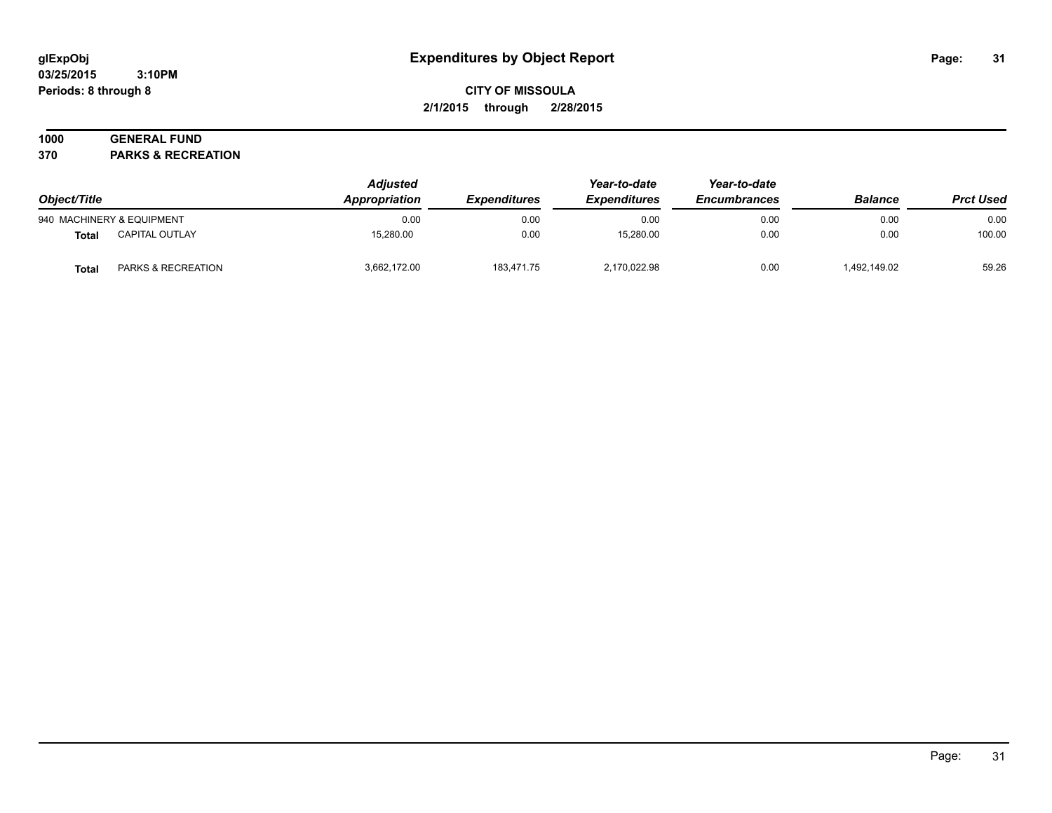#### **03/25/2015 3:10PM Periods: 8 through 8**

## **CITY OF MISSOULA 2/1/2015 through 2/28/2015**

## **1000 GENERAL FUND**

**370 PARKS & RECREATION**

| Object/Title |                           | <b>Adjusted</b><br>Appropriation | <b>Expenditures</b> | Year-to-date<br><b>Expenditures</b> | Year-to-date<br><b>Encumbrances</b> | <b>Balance</b> | <b>Prct Used</b> |
|--------------|---------------------------|----------------------------------|---------------------|-------------------------------------|-------------------------------------|----------------|------------------|
|              | 940 MACHINERY & EQUIPMENT | 0.00                             | 0.00                | 0.00                                | 0.00                                | 0.00           | 0.00             |
| <b>Total</b> | CAPITAL OUTLAY            | 15.280.00                        | 0.00                | 15,280.00                           | 0.00                                | 0.00           | 100.00           |
| <b>Total</b> | PARKS & RECREATION        | 3,662,172.00                     | 183,471.75          | 2,170,022.98                        | 0.00                                | 1,492,149.02   | 59.26            |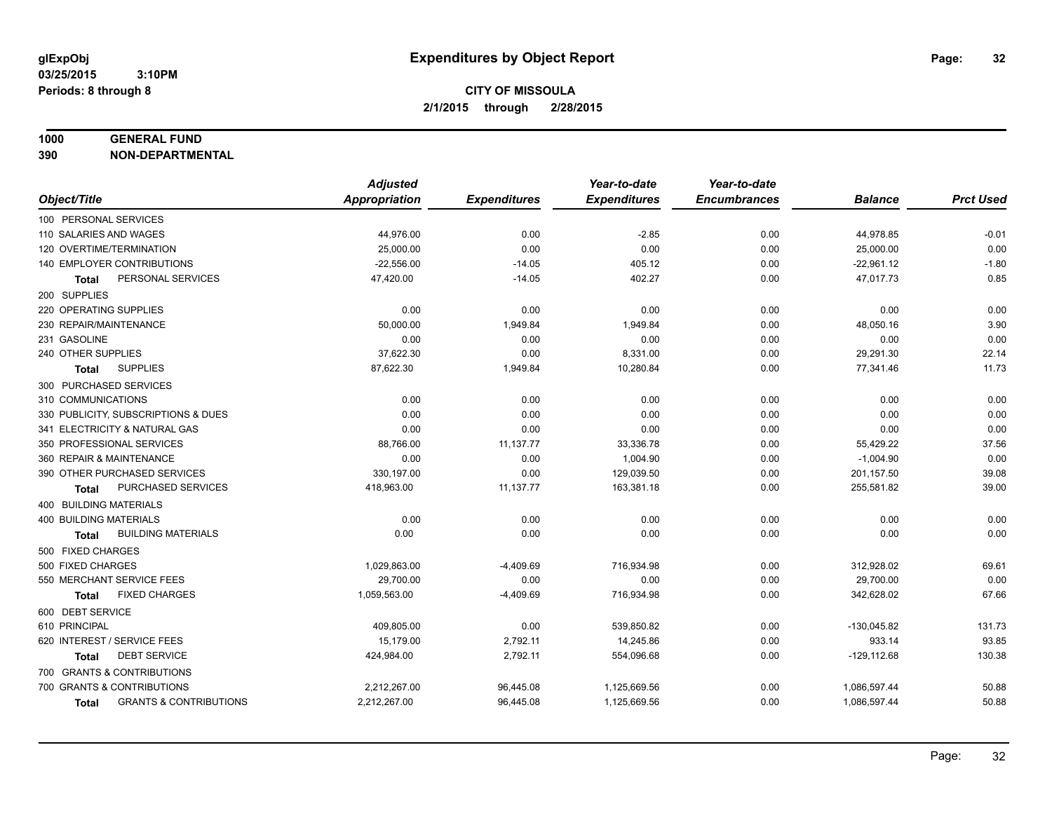#### **1000 GENERAL FUND**

**390 NON-DEPARTMENTAL**

|                                                   | <b>Adjusted</b>      |                     | Year-to-date        | Year-to-date        |                |                  |
|---------------------------------------------------|----------------------|---------------------|---------------------|---------------------|----------------|------------------|
| Object/Title                                      | <b>Appropriation</b> | <b>Expenditures</b> | <b>Expenditures</b> | <b>Encumbrances</b> | <b>Balance</b> | <b>Prct Used</b> |
| 100 PERSONAL SERVICES                             |                      |                     |                     |                     |                |                  |
| 110 SALARIES AND WAGES                            | 44,976.00            | 0.00                | $-2.85$             | 0.00                | 44,978.85      | $-0.01$          |
| 120 OVERTIME/TERMINATION                          | 25,000.00            | 0.00                | 0.00                | 0.00                | 25,000.00      | 0.00             |
| 140 EMPLOYER CONTRIBUTIONS                        | $-22,556.00$         | $-14.05$            | 405.12              | 0.00                | $-22,961.12$   | $-1.80$          |
| PERSONAL SERVICES<br>Total                        | 47,420.00            | $-14.05$            | 402.27              | 0.00                | 47,017.73      | 0.85             |
| 200 SUPPLIES                                      |                      |                     |                     |                     |                |                  |
| 220 OPERATING SUPPLIES                            | 0.00                 | 0.00                | 0.00                | 0.00                | 0.00           | 0.00             |
| 230 REPAIR/MAINTENANCE                            | 50,000.00            | 1,949.84            | 1,949.84            | 0.00                | 48,050.16      | 3.90             |
| 231 GASOLINE                                      | 0.00                 | 0.00                | 0.00                | 0.00                | 0.00           | 0.00             |
| 240 OTHER SUPPLIES                                | 37,622.30            | 0.00                | 8,331.00            | 0.00                | 29,291.30      | 22.14            |
| <b>SUPPLIES</b><br>Total                          | 87,622.30            | 1,949.84            | 10,280.84           | 0.00                | 77,341.46      | 11.73            |
| 300 PURCHASED SERVICES                            |                      |                     |                     |                     |                |                  |
| 310 COMMUNICATIONS                                | 0.00                 | 0.00                | 0.00                | 0.00                | 0.00           | 0.00             |
| 330 PUBLICITY, SUBSCRIPTIONS & DUES               | 0.00                 | 0.00                | 0.00                | 0.00                | 0.00           | 0.00             |
| 341 ELECTRICITY & NATURAL GAS                     | 0.00                 | 0.00                | 0.00                | 0.00                | 0.00           | 0.00             |
| 350 PROFESSIONAL SERVICES                         | 88,766.00            | 11,137.77           | 33,336.78           | 0.00                | 55,429.22      | 37.56            |
| 360 REPAIR & MAINTENANCE                          | 0.00                 | 0.00                | 1,004.90            | 0.00                | $-1,004.90$    | 0.00             |
| 390 OTHER PURCHASED SERVICES                      | 330,197.00           | 0.00                | 129,039.50          | 0.00                | 201,157.50     | 39.08            |
| PURCHASED SERVICES<br>Total                       | 418,963.00           | 11,137.77           | 163,381.18          | 0.00                | 255,581.82     | 39.00            |
| 400 BUILDING MATERIALS                            |                      |                     |                     |                     |                |                  |
| <b>400 BUILDING MATERIALS</b>                     | 0.00                 | 0.00                | 0.00                | 0.00                | 0.00           | 0.00             |
| <b>BUILDING MATERIALS</b><br>Total                | 0.00                 | 0.00                | 0.00                | 0.00                | 0.00           | 0.00             |
| 500 FIXED CHARGES                                 |                      |                     |                     |                     |                |                  |
| 500 FIXED CHARGES                                 | 1,029,863.00         | $-4,409.69$         | 716,934.98          | 0.00                | 312,928.02     | 69.61            |
| 550 MERCHANT SERVICE FEES                         | 29,700.00            | 0.00                | 0.00                | 0.00                | 29,700.00      | 0.00             |
| <b>FIXED CHARGES</b><br><b>Total</b>              | 1,059,563.00         | $-4,409.69$         | 716,934.98          | 0.00                | 342,628.02     | 67.66            |
| 600 DEBT SERVICE                                  |                      |                     |                     |                     |                |                  |
| 610 PRINCIPAL                                     | 409,805.00           | 0.00                | 539,850.82          | 0.00                | $-130,045.82$  | 131.73           |
| 620 INTEREST / SERVICE FEES                       | 15,179.00            | 2,792.11            | 14,245.86           | 0.00                | 933.14         | 93.85            |
| <b>DEBT SERVICE</b><br><b>Total</b>               | 424,984.00           | 2,792.11            | 554,096.68          | 0.00                | $-129, 112.68$ | 130.38           |
| 700 GRANTS & CONTRIBUTIONS                        |                      |                     |                     |                     |                |                  |
| 700 GRANTS & CONTRIBUTIONS                        | 2,212,267.00         | 96,445.08           | 1,125,669.56        | 0.00                | 1,086,597.44   | 50.88            |
| <b>GRANTS &amp; CONTRIBUTIONS</b><br><b>Total</b> | 2,212,267.00         | 96,445.08           | 1,125,669.56        | 0.00                | 1,086,597.44   | 50.88            |
|                                                   |                      |                     |                     |                     |                |                  |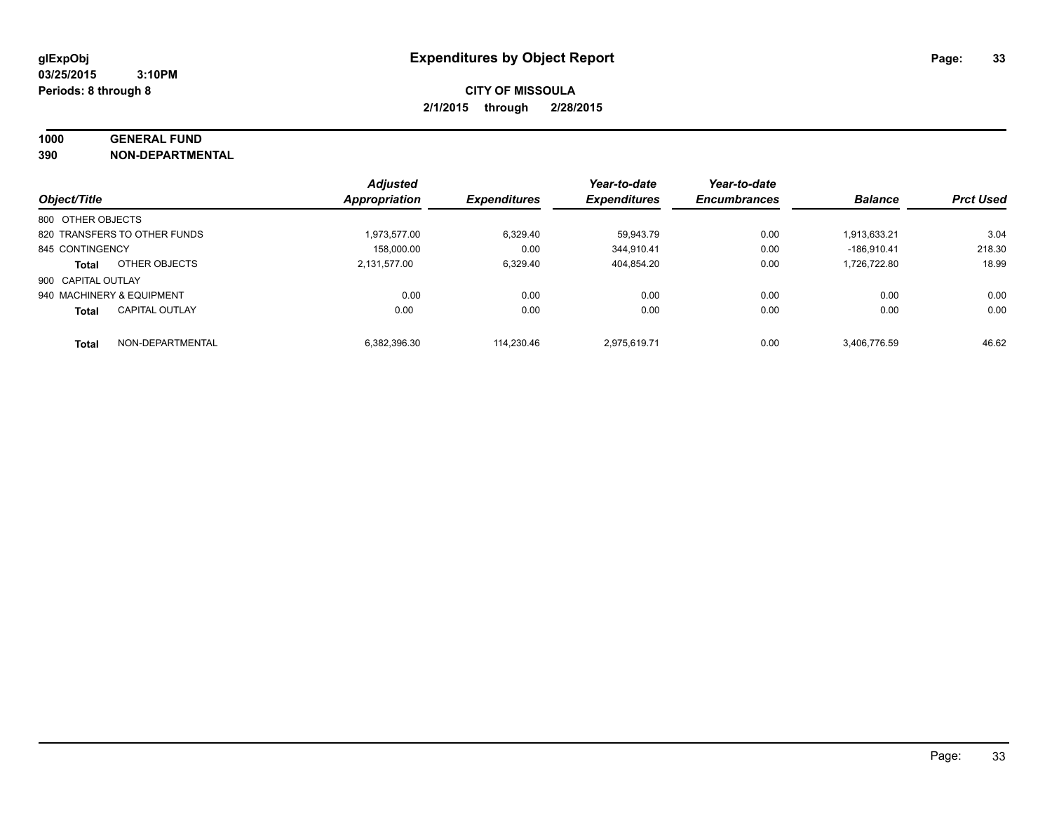## **1000 GENERAL FUND**

**390 NON-DEPARTMENTAL**

|                           |                              | <b>Adjusted</b>      |                     | Year-to-date        | Year-to-date        |                |                  |
|---------------------------|------------------------------|----------------------|---------------------|---------------------|---------------------|----------------|------------------|
| Object/Title              |                              | <b>Appropriation</b> | <b>Expenditures</b> | <b>Expenditures</b> | <b>Encumbrances</b> | <b>Balance</b> | <b>Prct Used</b> |
| 800 OTHER OBJECTS         |                              |                      |                     |                     |                     |                |                  |
|                           | 820 TRANSFERS TO OTHER FUNDS | 1.973.577.00         | 6.329.40            | 59.943.79           | 0.00                | 1.913.633.21   | 3.04             |
| 845 CONTINGENCY           |                              | 158.000.00           | 0.00                | 344.910.41          | 0.00                | $-186.910.41$  | 218.30           |
| <b>Total</b>              | OTHER OBJECTS                | 2.131.577.00         | 6.329.40            | 404.854.20          | 0.00                | 1.726.722.80   | 18.99            |
| 900 CAPITAL OUTLAY        |                              |                      |                     |                     |                     |                |                  |
| 940 MACHINERY & EQUIPMENT |                              | 0.00                 | 0.00                | 0.00                | 0.00                | 0.00           | 0.00             |
| <b>Total</b>              | <b>CAPITAL OUTLAY</b>        | 0.00                 | 0.00                | 0.00                | 0.00                | 0.00           | 0.00             |
| <b>Total</b>              | NON-DEPARTMENTAL             | 6.382.396.30         | 114.230.46          | 2.975.619.71        | 0.00                | 3.406.776.59   | 46.62            |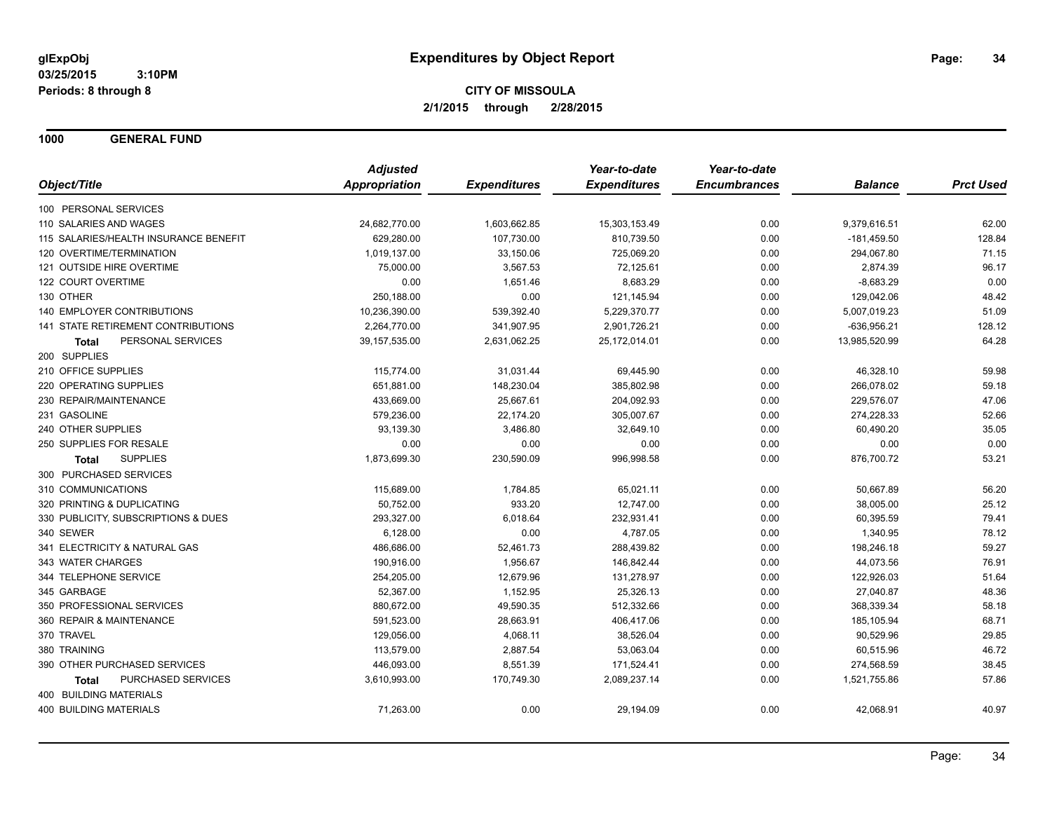**1000 GENERAL FUND**

|                                           | <b>Adjusted</b> |                     | Year-to-date        | Year-to-date        |                |                  |
|-------------------------------------------|-----------------|---------------------|---------------------|---------------------|----------------|------------------|
| Object/Title                              | Appropriation   | <b>Expenditures</b> | <b>Expenditures</b> | <b>Encumbrances</b> | <b>Balance</b> | <b>Prct Used</b> |
| 100 PERSONAL SERVICES                     |                 |                     |                     |                     |                |                  |
| 110 SALARIES AND WAGES                    | 24,682,770.00   | 1,603,662.85        | 15,303,153.49       | 0.00                | 9,379,616.51   | 62.00            |
| 115 SALARIES/HEALTH INSURANCE BENEFIT     | 629,280.00      | 107,730.00          | 810,739.50          | 0.00                | $-181,459.50$  | 128.84           |
| 120 OVERTIME/TERMINATION                  | 1,019,137.00    | 33,150.06           | 725,069.20          | 0.00                | 294,067.80     | 71.15            |
| 121 OUTSIDE HIRE OVERTIME                 | 75,000.00       | 3,567.53            | 72,125.61           | 0.00                | 2,874.39       | 96.17            |
| 122 COURT OVERTIME                        | 0.00            | 1,651.46            | 8,683.29            | 0.00                | $-8,683.29$    | 0.00             |
| 130 OTHER                                 | 250,188.00      | 0.00                | 121,145.94          | 0.00                | 129,042.06     | 48.42            |
| 140 EMPLOYER CONTRIBUTIONS                | 10,236,390.00   | 539,392.40          | 5,229,370.77        | 0.00                | 5,007,019.23   | 51.09            |
| <b>141 STATE RETIREMENT CONTRIBUTIONS</b> | 2,264,770.00    | 341,907.95          | 2,901,726.21        | 0.00                | $-636,956.21$  | 128.12           |
| PERSONAL SERVICES<br><b>Total</b>         | 39, 157, 535.00 | 2,631,062.25        | 25,172,014.01       | 0.00                | 13,985,520.99  | 64.28            |
| 200 SUPPLIES                              |                 |                     |                     |                     |                |                  |
| 210 OFFICE SUPPLIES                       | 115,774.00      | 31,031.44           | 69,445.90           | 0.00                | 46,328.10      | 59.98            |
| 220 OPERATING SUPPLIES                    | 651,881.00      | 148,230.04          | 385,802.98          | 0.00                | 266,078.02     | 59.18            |
| 230 REPAIR/MAINTENANCE                    | 433,669.00      | 25,667.61           | 204,092.93          | 0.00                | 229,576.07     | 47.06            |
| 231 GASOLINE                              | 579,236.00      | 22,174.20           | 305,007.67          | 0.00                | 274,228.33     | 52.66            |
| 240 OTHER SUPPLIES                        | 93,139.30       | 3,486.80            | 32,649.10           | 0.00                | 60,490.20      | 35.05            |
| 250 SUPPLIES FOR RESALE                   | 0.00            | 0.00                | 0.00                | 0.00                | 0.00           | 0.00             |
| <b>SUPPLIES</b><br>Total                  | 1,873,699.30    | 230,590.09          | 996,998.58          | 0.00                | 876,700.72     | 53.21            |
| 300 PURCHASED SERVICES                    |                 |                     |                     |                     |                |                  |
| 310 COMMUNICATIONS                        | 115,689.00      | 1,784.85            | 65,021.11           | 0.00                | 50,667.89      | 56.20            |
| 320 PRINTING & DUPLICATING                | 50,752.00       | 933.20              | 12,747.00           | 0.00                | 38,005.00      | 25.12            |
| 330 PUBLICITY, SUBSCRIPTIONS & DUES       | 293,327.00      | 6,018.64            | 232,931.41          | 0.00                | 60,395.59      | 79.41            |
| 340 SEWER                                 | 6,128.00        | 0.00                | 4,787.05            | 0.00                | 1,340.95       | 78.12            |
| 341 ELECTRICITY & NATURAL GAS             | 486,686.00      | 52,461.73           | 288,439.82          | 0.00                | 198,246.18     | 59.27            |
| 343 WATER CHARGES                         | 190,916.00      | 1,956.67            | 146,842.44          | 0.00                | 44,073.56      | 76.91            |
| 344 TELEPHONE SERVICE                     | 254,205.00      | 12,679.96           | 131,278.97          | 0.00                | 122,926.03     | 51.64            |
| 345 GARBAGE                               | 52,367.00       | 1,152.95            | 25,326.13           | 0.00                | 27,040.87      | 48.36            |
| 350 PROFESSIONAL SERVICES                 | 880,672.00      | 49,590.35           | 512,332.66          | 0.00                | 368,339.34     | 58.18            |
| 360 REPAIR & MAINTENANCE                  | 591,523.00      | 28,663.91           | 406,417.06          | 0.00                | 185,105.94     | 68.71            |
| 370 TRAVEL                                | 129,056.00      | 4,068.11            | 38,526.04           | 0.00                | 90,529.96      | 29.85            |
| 380 TRAINING                              | 113,579.00      | 2,887.54            | 53,063.04           | 0.00                | 60,515.96      | 46.72            |
| 390 OTHER PURCHASED SERVICES              | 446,093.00      | 8,551.39            | 171,524.41          | 0.00                | 274,568.59     | 38.45            |
| <b>PURCHASED SERVICES</b><br><b>Total</b> | 3,610,993.00    | 170,749.30          | 2,089,237.14        | 0.00                | 1,521,755.86   | 57.86            |
| 400 BUILDING MATERIALS                    |                 |                     |                     |                     |                |                  |
| <b>400 BUILDING MATERIALS</b>             | 71,263.00       | 0.00                | 29,194.09           | 0.00                | 42,068.91      | 40.97            |
|                                           |                 |                     |                     |                     |                |                  |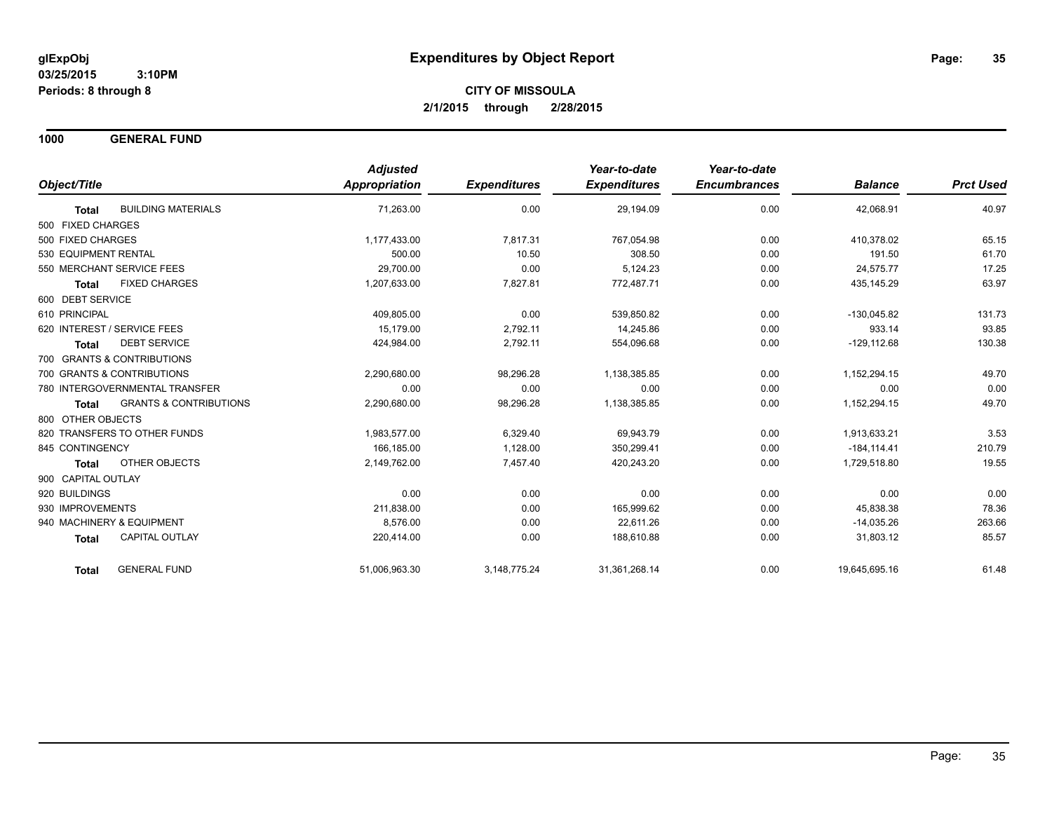**1000 GENERAL FUND**

|                                                   | <b>Adjusted</b> |                     | Year-to-date        | Year-to-date        |                |                  |
|---------------------------------------------------|-----------------|---------------------|---------------------|---------------------|----------------|------------------|
| Object/Title                                      | Appropriation   | <b>Expenditures</b> | <b>Expenditures</b> | <b>Encumbrances</b> | <b>Balance</b> | <b>Prct Used</b> |
| <b>BUILDING MATERIALS</b><br><b>Total</b>         | 71,263.00       | 0.00                | 29,194.09           | 0.00                | 42,068.91      | 40.97            |
| 500 FIXED CHARGES                                 |                 |                     |                     |                     |                |                  |
| 500 FIXED CHARGES                                 | 1,177,433.00    | 7,817.31            | 767,054.98          | 0.00                | 410,378.02     | 65.15            |
| 530 EQUIPMENT RENTAL                              | 500.00          | 10.50               | 308.50              | 0.00                | 191.50         | 61.70            |
| 550 MERCHANT SERVICE FEES                         | 29,700.00       | 0.00                | 5,124.23            | 0.00                | 24.575.77      | 17.25            |
| <b>FIXED CHARGES</b><br><b>Total</b>              | 1,207,633.00    | 7,827.81            | 772,487.71          | 0.00                | 435,145.29     | 63.97            |
| 600 DEBT SERVICE                                  |                 |                     |                     |                     |                |                  |
| 610 PRINCIPAL                                     | 409,805.00      | 0.00                | 539,850.82          | 0.00                | $-130,045.82$  | 131.73           |
| 620 INTEREST / SERVICE FEES                       | 15.179.00       | 2,792.11            | 14.245.86           | 0.00                | 933.14         | 93.85            |
| <b>DEBT SERVICE</b><br>Total                      | 424.984.00      | 2,792.11            | 554,096.68          | 0.00                | $-129, 112.68$ | 130.38           |
| 700 GRANTS & CONTRIBUTIONS                        |                 |                     |                     |                     |                |                  |
| 700 GRANTS & CONTRIBUTIONS                        | 2,290,680.00    | 98,296.28           | 1,138,385.85        | 0.00                | 1,152,294.15   | 49.70            |
| 780 INTERGOVERNMENTAL TRANSFER                    | 0.00            | 0.00                | 0.00                | 0.00                | 0.00           | 0.00             |
| <b>GRANTS &amp; CONTRIBUTIONS</b><br><b>Total</b> | 2,290,680.00    | 98,296.28           | 1,138,385.85        | 0.00                | 1,152,294.15   | 49.70            |
| 800 OTHER OBJECTS                                 |                 |                     |                     |                     |                |                  |
| 820 TRANSFERS TO OTHER FUNDS                      | 1,983,577.00    | 6,329.40            | 69,943.79           | 0.00                | 1,913,633.21   | 3.53             |
| 845 CONTINGENCY                                   | 166,185.00      | 1,128.00            | 350,299.41          | 0.00                | $-184, 114.41$ | 210.79           |
| OTHER OBJECTS<br><b>Total</b>                     | 2,149,762.00    | 7,457.40            | 420,243.20          | 0.00                | 1,729,518.80   | 19.55            |
| 900 CAPITAL OUTLAY                                |                 |                     |                     |                     |                |                  |
| 920 BUILDINGS                                     | 0.00            | 0.00                | 0.00                | 0.00                | 0.00           | 0.00             |
| 930 IMPROVEMENTS                                  | 211,838.00      | 0.00                | 165,999.62          | 0.00                | 45,838.38      | 78.36            |
| 940 MACHINERY & EQUIPMENT                         | 8.576.00        | 0.00                | 22.611.26           | 0.00                | $-14,035.26$   | 263.66           |
| CAPITAL OUTLAY<br><b>Total</b>                    | 220,414.00      | 0.00                | 188,610.88          | 0.00                | 31,803.12      | 85.57            |
| <b>GENERAL FUND</b><br>Total                      | 51,006,963.30   | 3,148,775.24        | 31,361,268.14       | 0.00                | 19,645,695.16  | 61.48            |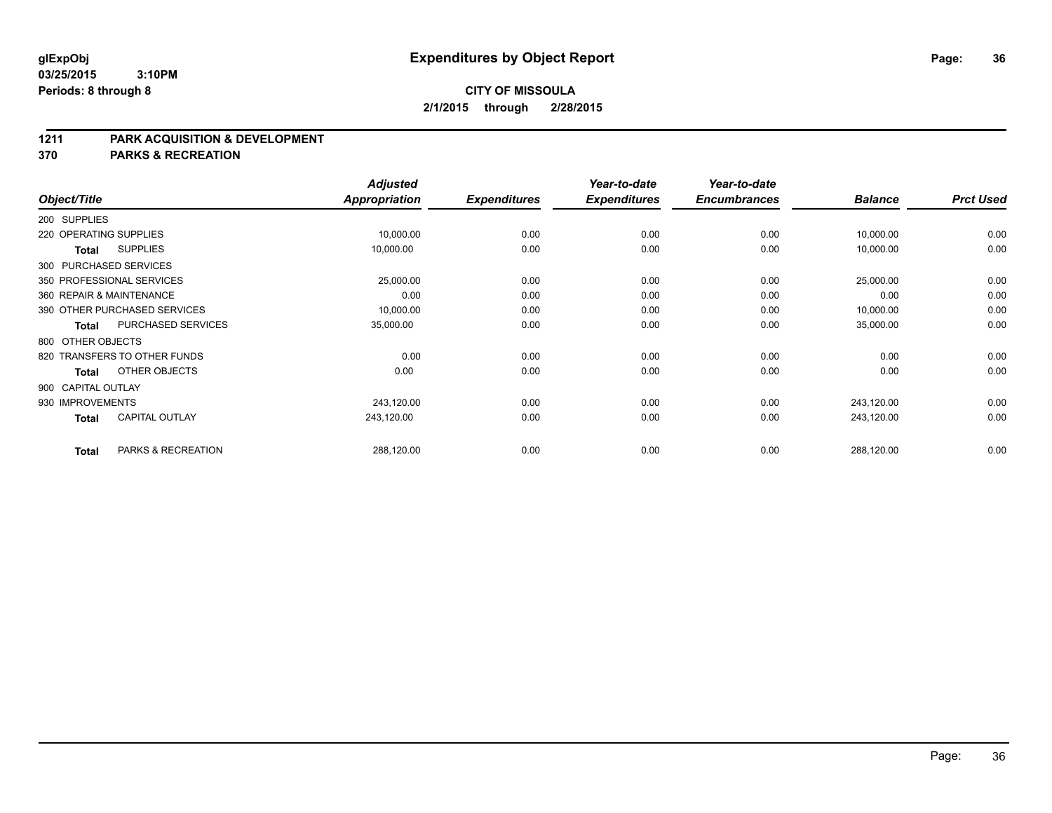#### **03/25/2015 3:10PM Periods: 8 through 8**

## **CITY OF MISSOULA 2/1/2015 through 2/28/2015**

### **1211 PARK ACQUISITION & DEVELOPMENT**

**370 PARKS & RECREATION**

|                    |                              | <b>Adjusted</b>      |                     | Year-to-date        | Year-to-date        |                |                  |
|--------------------|------------------------------|----------------------|---------------------|---------------------|---------------------|----------------|------------------|
| Object/Title       |                              | <b>Appropriation</b> | <b>Expenditures</b> | <b>Expenditures</b> | <b>Encumbrances</b> | <b>Balance</b> | <b>Prct Used</b> |
| 200 SUPPLIES       |                              |                      |                     |                     |                     |                |                  |
|                    | 220 OPERATING SUPPLIES       | 10,000.00            | 0.00                | 0.00                | 0.00                | 10,000.00      | 0.00             |
| Total              | <b>SUPPLIES</b>              | 10,000.00            | 0.00                | 0.00                | 0.00                | 10,000.00      | 0.00             |
|                    | 300 PURCHASED SERVICES       |                      |                     |                     |                     |                |                  |
|                    | 350 PROFESSIONAL SERVICES    | 25,000.00            | 0.00                | 0.00                | 0.00                | 25,000.00      | 0.00             |
|                    | 360 REPAIR & MAINTENANCE     | 0.00                 | 0.00                | 0.00                | 0.00                | 0.00           | 0.00             |
|                    | 390 OTHER PURCHASED SERVICES | 10,000.00            | 0.00                | 0.00                | 0.00                | 10,000.00      | 0.00             |
| Total              | <b>PURCHASED SERVICES</b>    | 35,000.00            | 0.00                | 0.00                | 0.00                | 35,000.00      | 0.00             |
| 800 OTHER OBJECTS  |                              |                      |                     |                     |                     |                |                  |
|                    | 820 TRANSFERS TO OTHER FUNDS | 0.00                 | 0.00                | 0.00                | 0.00                | 0.00           | 0.00             |
| Total              | OTHER OBJECTS                | 0.00                 | 0.00                | 0.00                | 0.00                | 0.00           | 0.00             |
| 900 CAPITAL OUTLAY |                              |                      |                     |                     |                     |                |                  |
| 930 IMPROVEMENTS   |                              | 243,120.00           | 0.00                | 0.00                | 0.00                | 243,120.00     | 0.00             |
| <b>Total</b>       | <b>CAPITAL OUTLAY</b>        | 243,120.00           | 0.00                | 0.00                | 0.00                | 243,120.00     | 0.00             |
| <b>Total</b>       | PARKS & RECREATION           | 288,120.00           | 0.00                | 0.00                | 0.00                | 288,120.00     | 0.00             |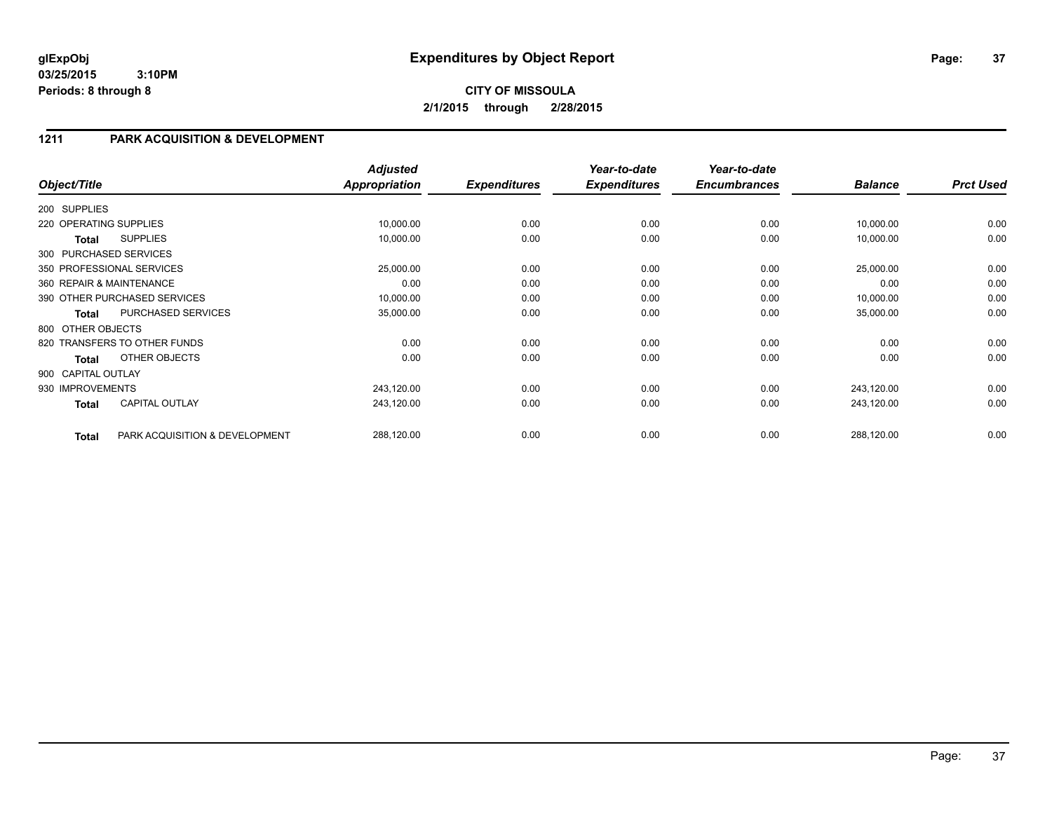**CITY OF MISSOULA 2/1/2015 through 2/28/2015**

# **1211 PARK ACQUISITION & DEVELOPMENT**

| Object/Title             |                                | <b>Adjusted</b><br><b>Appropriation</b> | <b>Expenditures</b> | Year-to-date<br><b>Expenditures</b> | Year-to-date<br><b>Encumbrances</b> | <b>Balance</b> | <b>Prct Used</b> |
|--------------------------|--------------------------------|-----------------------------------------|---------------------|-------------------------------------|-------------------------------------|----------------|------------------|
|                          |                                |                                         |                     |                                     |                                     |                |                  |
| 200 SUPPLIES             |                                |                                         |                     |                                     |                                     |                |                  |
| 220 OPERATING SUPPLIES   |                                | 10,000.00                               | 0.00                | 0.00                                | 0.00                                | 10,000.00      | 0.00             |
| Total                    | <b>SUPPLIES</b>                | 10,000.00                               | 0.00                | 0.00                                | 0.00                                | 10,000.00      | 0.00             |
| 300 PURCHASED SERVICES   |                                |                                         |                     |                                     |                                     |                |                  |
|                          | 350 PROFESSIONAL SERVICES      | 25,000.00                               | 0.00                | 0.00                                | 0.00                                | 25,000.00      | 0.00             |
| 360 REPAIR & MAINTENANCE |                                | 0.00                                    | 0.00                | 0.00                                | 0.00                                | 0.00           | 0.00             |
|                          | 390 OTHER PURCHASED SERVICES   | 10,000.00                               | 0.00                | 0.00                                | 0.00                                | 10,000.00      | 0.00             |
| <b>Total</b>             | PURCHASED SERVICES             | 35,000.00                               | 0.00                | 0.00                                | 0.00                                | 35,000.00      | 0.00             |
| 800 OTHER OBJECTS        |                                |                                         |                     |                                     |                                     |                |                  |
|                          | 820 TRANSFERS TO OTHER FUNDS   | 0.00                                    | 0.00                | 0.00                                | 0.00                                | 0.00           | 0.00             |
| <b>Total</b>             | OTHER OBJECTS                  | 0.00                                    | 0.00                | 0.00                                | 0.00                                | 0.00           | 0.00             |
| 900 CAPITAL OUTLAY       |                                |                                         |                     |                                     |                                     |                |                  |
| 930 IMPROVEMENTS         |                                | 243,120.00                              | 0.00                | 0.00                                | 0.00                                | 243,120.00     | 0.00             |
| <b>Total</b>             | <b>CAPITAL OUTLAY</b>          | 243,120.00                              | 0.00                | 0.00                                | 0.00                                | 243,120.00     | 0.00             |
|                          |                                |                                         |                     |                                     |                                     |                |                  |
| <b>Total</b>             | PARK ACQUISITION & DEVELOPMENT | 288,120.00                              | 0.00                | 0.00                                | 0.00                                | 288,120.00     | 0.00             |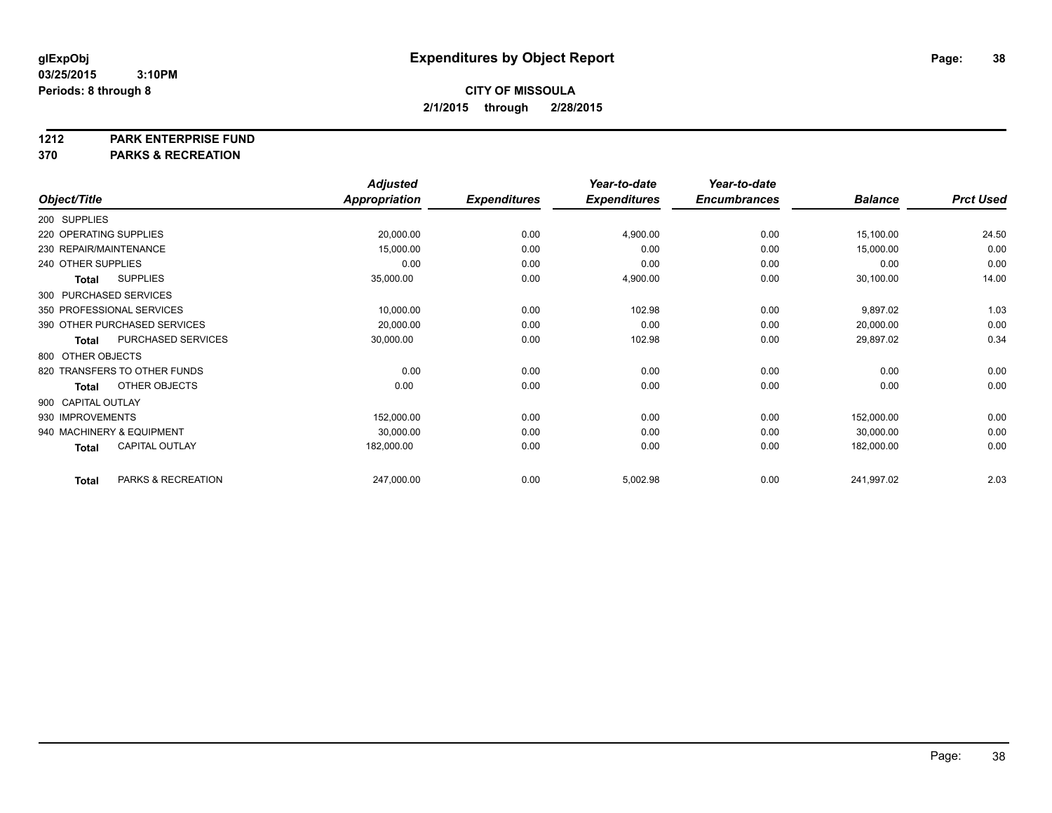#### **1212 PARK ENTERPRISE FUND**

**370 PARKS & RECREATION**

|                        |                              | <b>Adjusted</b>      |                     | Year-to-date        | Year-to-date        |                |                  |
|------------------------|------------------------------|----------------------|---------------------|---------------------|---------------------|----------------|------------------|
| Object/Title           |                              | <b>Appropriation</b> | <b>Expenditures</b> | <b>Expenditures</b> | <b>Encumbrances</b> | <b>Balance</b> | <b>Prct Used</b> |
| 200 SUPPLIES           |                              |                      |                     |                     |                     |                |                  |
| 220 OPERATING SUPPLIES |                              | 20,000.00            | 0.00                | 4,900.00            | 0.00                | 15,100.00      | 24.50            |
|                        | 230 REPAIR/MAINTENANCE       | 15,000.00            | 0.00                | 0.00                | 0.00                | 15,000.00      | 0.00             |
| 240 OTHER SUPPLIES     |                              | 0.00                 | 0.00                | 0.00                | 0.00                | 0.00           | 0.00             |
| <b>Total</b>           | <b>SUPPLIES</b>              | 35,000.00            | 0.00                | 4,900.00            | 0.00                | 30,100.00      | 14.00            |
|                        | 300 PURCHASED SERVICES       |                      |                     |                     |                     |                |                  |
|                        | 350 PROFESSIONAL SERVICES    | 10,000.00            | 0.00                | 102.98              | 0.00                | 9,897.02       | 1.03             |
|                        | 390 OTHER PURCHASED SERVICES | 20,000.00            | 0.00                | 0.00                | 0.00                | 20,000.00      | 0.00             |
| <b>Total</b>           | PURCHASED SERVICES           | 30,000.00            | 0.00                | 102.98              | 0.00                | 29,897.02      | 0.34             |
| 800 OTHER OBJECTS      |                              |                      |                     |                     |                     |                |                  |
|                        | 820 TRANSFERS TO OTHER FUNDS | 0.00                 | 0.00                | 0.00                | 0.00                | 0.00           | 0.00             |
| <b>Total</b>           | OTHER OBJECTS                | 0.00                 | 0.00                | 0.00                | 0.00                | 0.00           | 0.00             |
| 900 CAPITAL OUTLAY     |                              |                      |                     |                     |                     |                |                  |
| 930 IMPROVEMENTS       |                              | 152,000.00           | 0.00                | 0.00                | 0.00                | 152,000.00     | 0.00             |
|                        | 940 MACHINERY & EQUIPMENT    | 30,000.00            | 0.00                | 0.00                | 0.00                | 30,000.00      | 0.00             |
| <b>Total</b>           | <b>CAPITAL OUTLAY</b>        | 182,000.00           | 0.00                | 0.00                | 0.00                | 182,000.00     | 0.00             |
| <b>Total</b>           | PARKS & RECREATION           | 247,000.00           | 0.00                | 5,002.98            | 0.00                | 241,997.02     | 2.03             |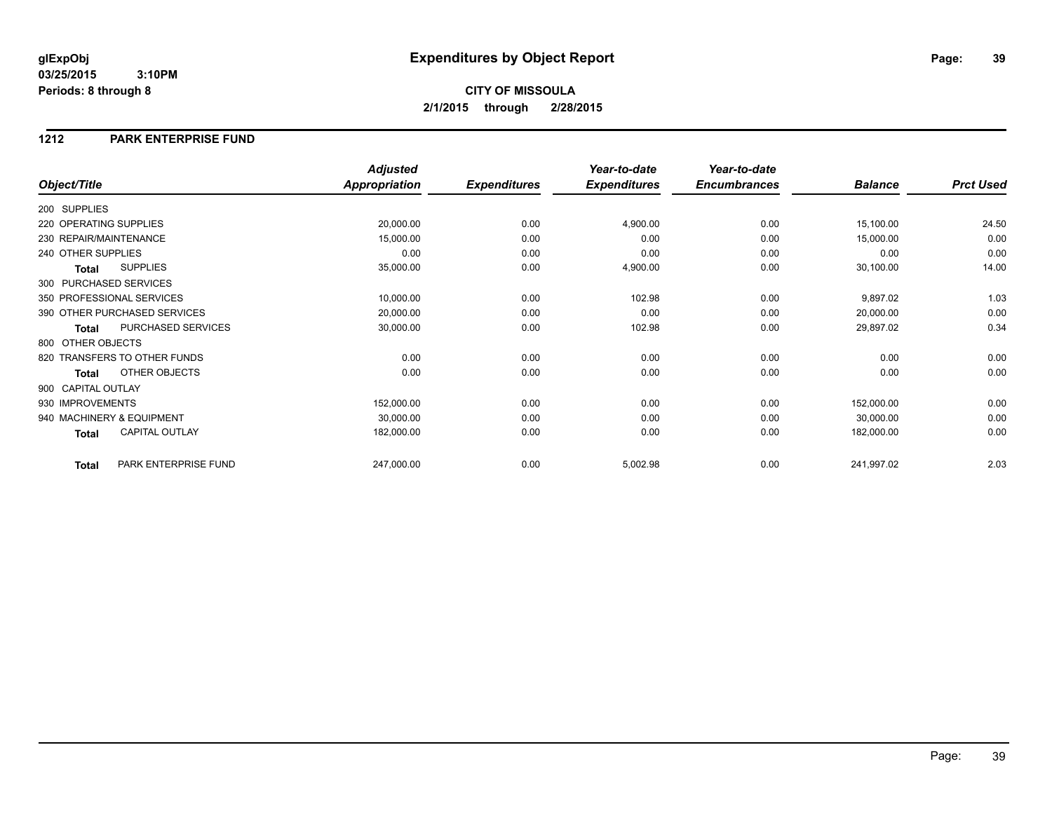### **1212 PARK ENTERPRISE FUND**

|                                |                           | <b>Adjusted</b>      |                     | Year-to-date        | Year-to-date        |                |                  |
|--------------------------------|---------------------------|----------------------|---------------------|---------------------|---------------------|----------------|------------------|
| Object/Title                   |                           | <b>Appropriation</b> | <b>Expenditures</b> | <b>Expenditures</b> | <b>Encumbrances</b> | <b>Balance</b> | <b>Prct Used</b> |
| 200 SUPPLIES                   |                           |                      |                     |                     |                     |                |                  |
| 220 OPERATING SUPPLIES         |                           | 20,000.00            | 0.00                | 4,900.00            | 0.00                | 15,100.00      | 24.50            |
| 230 REPAIR/MAINTENANCE         |                           | 15,000.00            | 0.00                | 0.00                | 0.00                | 15,000.00      | 0.00             |
| 240 OTHER SUPPLIES             |                           | 0.00                 | 0.00                | 0.00                | 0.00                | 0.00           | 0.00             |
| <b>SUPPLIES</b><br>Total       |                           | 35,000.00            | 0.00                | 4,900.00            | 0.00                | 30,100.00      | 14.00            |
| 300 PURCHASED SERVICES         |                           |                      |                     |                     |                     |                |                  |
| 350 PROFESSIONAL SERVICES      |                           | 10,000.00            | 0.00                | 102.98              | 0.00                | 9,897.02       | 1.03             |
| 390 OTHER PURCHASED SERVICES   |                           | 20,000.00            | 0.00                | 0.00                | 0.00                | 20,000.00      | 0.00             |
| <b>Total</b>                   | <b>PURCHASED SERVICES</b> | 30,000.00            | 0.00                | 102.98              | 0.00                | 29,897.02      | 0.34             |
| 800 OTHER OBJECTS              |                           |                      |                     |                     |                     |                |                  |
| 820 TRANSFERS TO OTHER FUNDS   |                           | 0.00                 | 0.00                | 0.00                | 0.00                | 0.00           | 0.00             |
| OTHER OBJECTS<br>Total         |                           | 0.00                 | 0.00                | 0.00                | 0.00                | 0.00           | 0.00             |
| 900 CAPITAL OUTLAY             |                           |                      |                     |                     |                     |                |                  |
| 930 IMPROVEMENTS               |                           | 152,000.00           | 0.00                | 0.00                | 0.00                | 152,000.00     | 0.00             |
| 940 MACHINERY & EQUIPMENT      |                           | 30,000.00            | 0.00                | 0.00                | 0.00                | 30,000.00      | 0.00             |
| <b>CAPITAL OUTLAY</b><br>Total |                           | 182,000.00           | 0.00                | 0.00                | 0.00                | 182,000.00     | 0.00             |
| <b>Total</b>                   | PARK ENTERPRISE FUND      | 247,000.00           | 0.00                | 5,002.98            | 0.00                | 241,997.02     | 2.03             |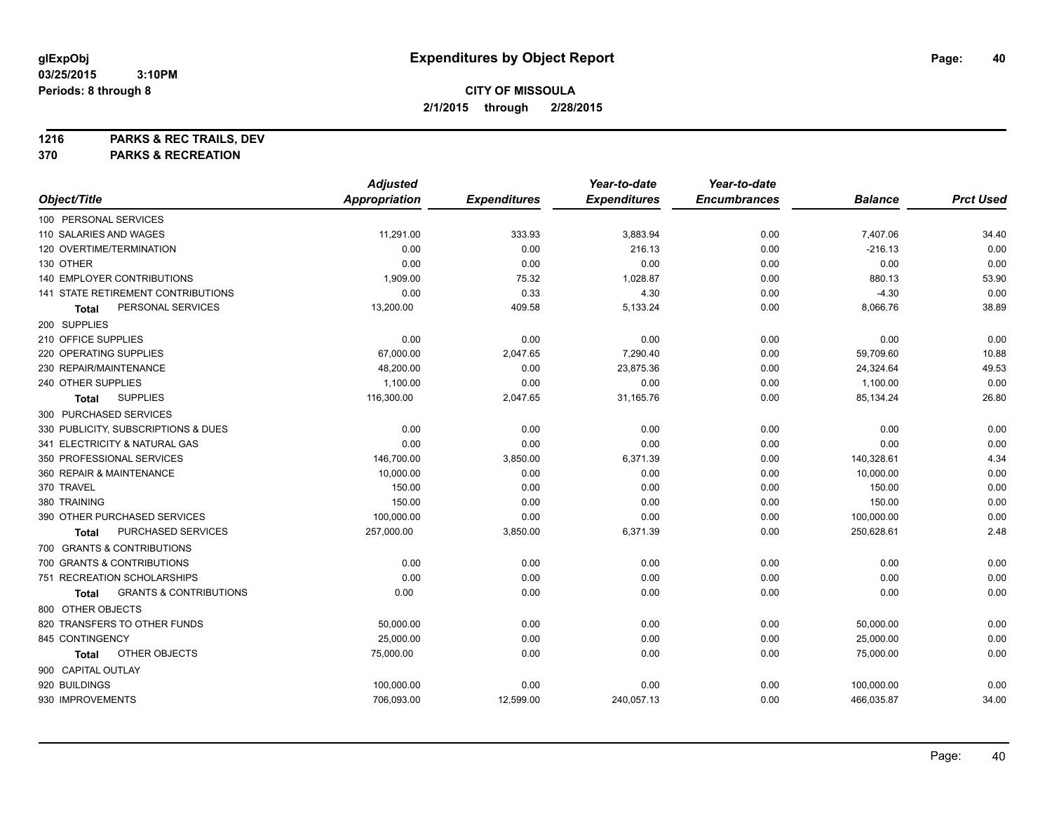**1216 PARKS & REC TRAILS, DEV**

**370 PARKS & RECREATION**

|                                            | <b>Adjusted</b>      |                     | Year-to-date        | Year-to-date        |                |                  |
|--------------------------------------------|----------------------|---------------------|---------------------|---------------------|----------------|------------------|
| Object/Title                               | <b>Appropriation</b> | <b>Expenditures</b> | <b>Expenditures</b> | <b>Encumbrances</b> | <b>Balance</b> | <b>Prct Used</b> |
| 100 PERSONAL SERVICES                      |                      |                     |                     |                     |                |                  |
| 110 SALARIES AND WAGES                     | 11,291.00            | 333.93              | 3,883.94            | 0.00                | 7,407.06       | 34.40            |
| 120 OVERTIME/TERMINATION                   | 0.00                 | 0.00                | 216.13              | 0.00                | $-216.13$      | 0.00             |
| 130 OTHER                                  | 0.00                 | 0.00                | 0.00                | 0.00                | 0.00           | 0.00             |
| 140 EMPLOYER CONTRIBUTIONS                 | 1,909.00             | 75.32               | 1,028.87            | 0.00                | 880.13         | 53.90            |
| 141 STATE RETIREMENT CONTRIBUTIONS         | 0.00                 | 0.33                | 4.30                | 0.00                | $-4.30$        | 0.00             |
| PERSONAL SERVICES<br>Total                 | 13,200.00            | 409.58              | 5,133.24            | 0.00                | 8,066.76       | 38.89            |
| 200 SUPPLIES                               |                      |                     |                     |                     |                |                  |
| 210 OFFICE SUPPLIES                        | 0.00                 | 0.00                | 0.00                | 0.00                | 0.00           | 0.00             |
| 220 OPERATING SUPPLIES                     | 67,000.00            | 2,047.65            | 7.290.40            | 0.00                | 59,709.60      | 10.88            |
| 230 REPAIR/MAINTENANCE                     | 48,200.00            | 0.00                | 23,875.36           | 0.00                | 24,324.64      | 49.53            |
| 240 OTHER SUPPLIES                         | 1,100.00             | 0.00                | 0.00                | 0.00                | 1,100.00       | 0.00             |
| <b>SUPPLIES</b><br><b>Total</b>            | 116,300.00           | 2,047.65            | 31,165.76           | 0.00                | 85,134.24      | 26.80            |
| 300 PURCHASED SERVICES                     |                      |                     |                     |                     |                |                  |
| 330 PUBLICITY, SUBSCRIPTIONS & DUES        | 0.00                 | 0.00                | 0.00                | 0.00                | 0.00           | 0.00             |
| 341 ELECTRICITY & NATURAL GAS              | 0.00                 | 0.00                | 0.00                | 0.00                | 0.00           | 0.00             |
| 350 PROFESSIONAL SERVICES                  | 146,700.00           | 3,850.00            | 6,371.39            | 0.00                | 140,328.61     | 4.34             |
| 360 REPAIR & MAINTENANCE                   | 10,000.00            | 0.00                | 0.00                | 0.00                | 10,000.00      | 0.00             |
| 370 TRAVEL                                 | 150.00               | 0.00                | 0.00                | 0.00                | 150.00         | 0.00             |
| 380 TRAINING                               | 150.00               | 0.00                | 0.00                | 0.00                | 150.00         | 0.00             |
| 390 OTHER PURCHASED SERVICES               | 100,000.00           | 0.00                | 0.00                | 0.00                | 100,000.00     | 0.00             |
| PURCHASED SERVICES<br>Total                | 257,000.00           | 3,850.00            | 6,371.39            | 0.00                | 250,628.61     | 2.48             |
| 700 GRANTS & CONTRIBUTIONS                 |                      |                     |                     |                     |                |                  |
| 700 GRANTS & CONTRIBUTIONS                 | 0.00                 | 0.00                | 0.00                | 0.00                | 0.00           | 0.00             |
| 751 RECREATION SCHOLARSHIPS                | 0.00                 | 0.00                | 0.00                | 0.00                | 0.00           | 0.00             |
| <b>GRANTS &amp; CONTRIBUTIONS</b><br>Total | 0.00                 | 0.00                | 0.00                | 0.00                | 0.00           | 0.00             |
| 800 OTHER OBJECTS                          |                      |                     |                     |                     |                |                  |
| 820 TRANSFERS TO OTHER FUNDS               | 50,000.00            | 0.00                | 0.00                | 0.00                | 50,000.00      | 0.00             |
| 845 CONTINGENCY                            | 25,000.00            | 0.00                | 0.00                | 0.00                | 25,000.00      | 0.00             |
| OTHER OBJECTS<br>Total                     | 75,000.00            | 0.00                | 0.00                | 0.00                | 75,000.00      | 0.00             |
| 900 CAPITAL OUTLAY                         |                      |                     |                     |                     |                |                  |
| 920 BUILDINGS                              | 100,000.00           | 0.00                | 0.00                | 0.00                | 100,000.00     | 0.00             |
| 930 IMPROVEMENTS                           | 706,093.00           | 12,599.00           | 240,057.13          | 0.00                | 466,035.87     | 34.00            |
|                                            |                      |                     |                     |                     |                |                  |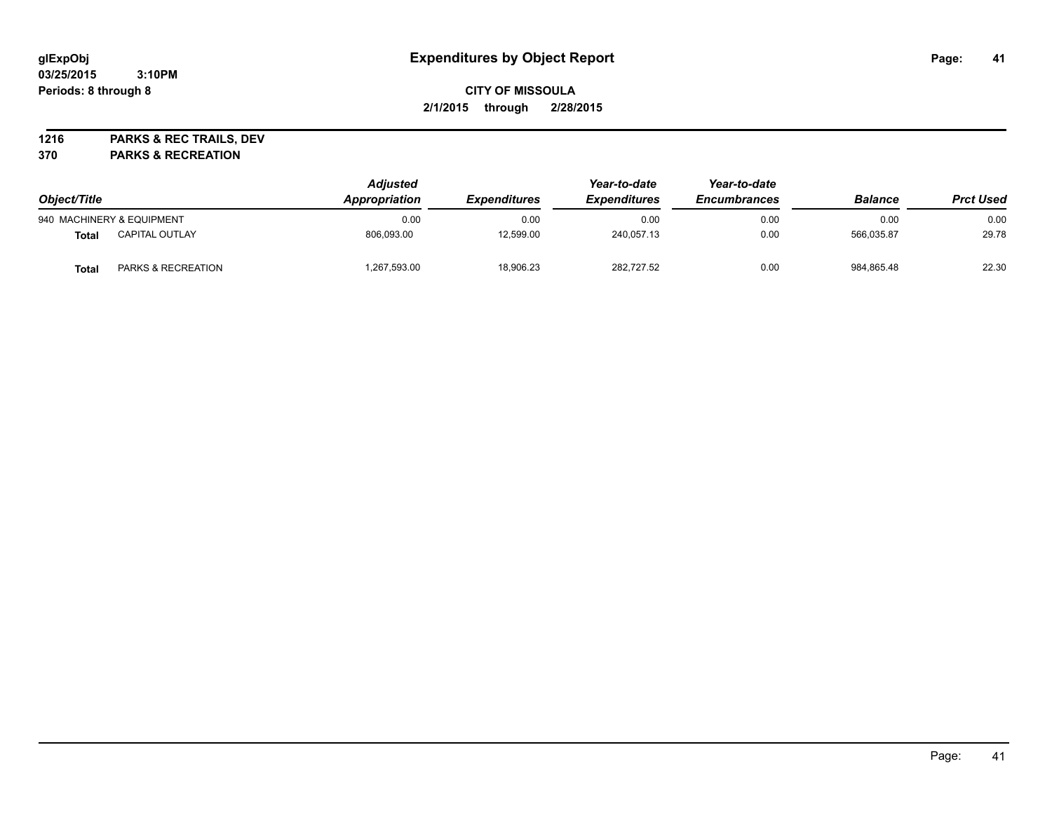# **CITY OF MISSOULA 2/1/2015 through 2/28/2015**

**1216 PARKS & REC TRAILS, DEV**

**370 PARKS & RECREATION**

| Object/Title |                               | <b>Adjusted</b><br>Appropriation | <b>Expenditures</b> | Year-to-date<br><b>Expenditures</b> | Year-to-date<br><b>Encumbrances</b> | <b>Balance</b> | <b>Prct Used</b> |
|--------------|-------------------------------|----------------------------------|---------------------|-------------------------------------|-------------------------------------|----------------|------------------|
|              | 940 MACHINERY & EQUIPMENT     | 0.00                             | 0.00                | 0.00                                | 0.00                                | 0.00           | 0.00             |
| Total        | <b>CAPITAL OUTLAY</b>         | 806.093.00                       | 12,599.00           | 240.057.13                          | 0.00                                | 566.035.87     | 29.78            |
| Total        | <b>PARKS &amp; RECREATION</b> | ,267,593.00                      | 18,906.23           | 282.727.52                          | 0.00                                | 984.865.48     | 22.30            |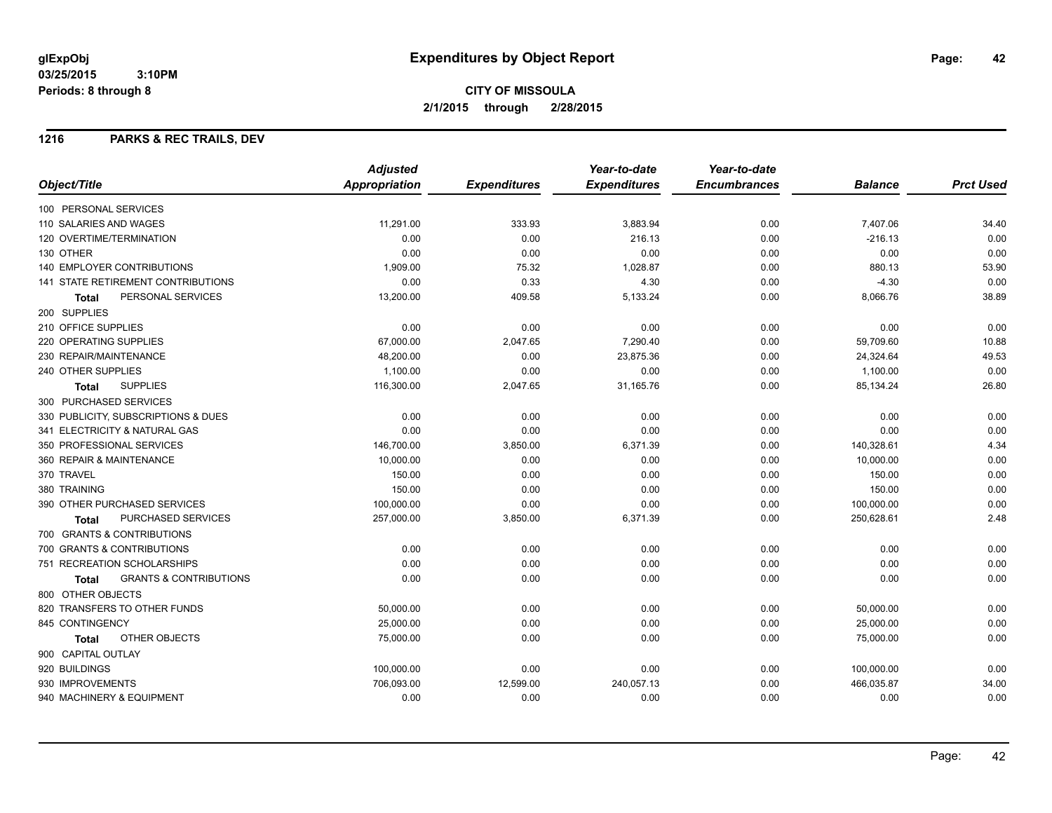### **1216 PARKS & REC TRAILS, DEV**

|                                                   | <b>Adjusted</b>      |                     | Year-to-date        | Year-to-date        |                |                  |
|---------------------------------------------------|----------------------|---------------------|---------------------|---------------------|----------------|------------------|
| Object/Title                                      | <b>Appropriation</b> | <b>Expenditures</b> | <b>Expenditures</b> | <b>Encumbrances</b> | <b>Balance</b> | <b>Prct Used</b> |
| 100 PERSONAL SERVICES                             |                      |                     |                     |                     |                |                  |
| 110 SALARIES AND WAGES                            | 11.291.00            | 333.93              | 3,883.94            | 0.00                | 7,407.06       | 34.40            |
| 120 OVERTIME/TERMINATION                          | 0.00                 | 0.00                | 216.13              | 0.00                | $-216.13$      | 0.00             |
| 130 OTHER                                         | 0.00                 | 0.00                | 0.00                | 0.00                | 0.00           | 0.00             |
| <b>140 EMPLOYER CONTRIBUTIONS</b>                 | 1,909.00             | 75.32               | 1,028.87            | 0.00                | 880.13         | 53.90            |
| <b>141 STATE RETIREMENT CONTRIBUTIONS</b>         | 0.00                 | 0.33                | 4.30                | 0.00                | $-4.30$        | 0.00             |
| PERSONAL SERVICES<br>Total                        | 13,200.00            | 409.58              | 5,133.24            | 0.00                | 8,066.76       | 38.89            |
| 200 SUPPLIES                                      |                      |                     |                     |                     |                |                  |
| 210 OFFICE SUPPLIES                               | 0.00                 | 0.00                | 0.00                | 0.00                | 0.00           | 0.00             |
| 220 OPERATING SUPPLIES                            | 67,000.00            | 2,047.65            | 7,290.40            | 0.00                | 59,709.60      | 10.88            |
| 230 REPAIR/MAINTENANCE                            | 48,200.00            | 0.00                | 23,875.36           | 0.00                | 24,324.64      | 49.53            |
| 240 OTHER SUPPLIES                                | 1,100.00             | 0.00                | 0.00                | 0.00                | 1,100.00       | 0.00             |
| <b>SUPPLIES</b><br><b>Total</b>                   | 116,300.00           | 2,047.65            | 31,165.76           | 0.00                | 85,134.24      | 26.80            |
| 300 PURCHASED SERVICES                            |                      |                     |                     |                     |                |                  |
| 330 PUBLICITY, SUBSCRIPTIONS & DUES               | 0.00                 | 0.00                | 0.00                | 0.00                | 0.00           | 0.00             |
| 341 ELECTRICITY & NATURAL GAS                     | 0.00                 | 0.00                | 0.00                | 0.00                | 0.00           | 0.00             |
| 350 PROFESSIONAL SERVICES                         | 146,700.00           | 3,850.00            | 6,371.39            | 0.00                | 140,328.61     | 4.34             |
| 360 REPAIR & MAINTENANCE                          | 10,000.00            | 0.00                | 0.00                | 0.00                | 10,000.00      | 0.00             |
| 370 TRAVEL                                        | 150.00               | 0.00                | 0.00                | 0.00                | 150.00         | 0.00             |
| 380 TRAINING                                      | 150.00               | 0.00                | 0.00                | 0.00                | 150.00         | 0.00             |
| 390 OTHER PURCHASED SERVICES                      | 100,000.00           | 0.00                | 0.00                | 0.00                | 100,000.00     | 0.00             |
| PURCHASED SERVICES<br><b>Total</b>                | 257,000.00           | 3,850.00            | 6,371.39            | 0.00                | 250,628.61     | 2.48             |
| 700 GRANTS & CONTRIBUTIONS                        |                      |                     |                     |                     |                |                  |
| 700 GRANTS & CONTRIBUTIONS                        | 0.00                 | 0.00                | 0.00                | 0.00                | 0.00           | 0.00             |
| 751 RECREATION SCHOLARSHIPS                       | 0.00                 | 0.00                | 0.00                | 0.00                | 0.00           | 0.00             |
| <b>GRANTS &amp; CONTRIBUTIONS</b><br><b>Total</b> | 0.00                 | 0.00                | 0.00                | 0.00                | 0.00           | 0.00             |
| 800 OTHER OBJECTS                                 |                      |                     |                     |                     |                |                  |
| 820 TRANSFERS TO OTHER FUNDS                      | 50,000.00            | 0.00                | 0.00                | 0.00                | 50,000.00      | 0.00             |
| 845 CONTINGENCY                                   | 25,000.00            | 0.00                | 0.00                | 0.00                | 25,000.00      | 0.00             |
| OTHER OBJECTS<br>Total                            | 75,000.00            | 0.00                | 0.00                | 0.00                | 75,000.00      | 0.00             |
| 900 CAPITAL OUTLAY                                |                      |                     |                     |                     |                |                  |
| 920 BUILDINGS                                     | 100,000.00           | 0.00                | 0.00                | 0.00                | 100,000.00     | 0.00             |
| 930 IMPROVEMENTS                                  | 706,093.00           | 12,599.00           | 240,057.13          | 0.00                | 466,035.87     | 34.00            |
| 940 MACHINERY & EQUIPMENT                         | 0.00                 | 0.00                | 0.00                | 0.00                | 0.00           | 0.00             |
|                                                   |                      |                     |                     |                     |                |                  |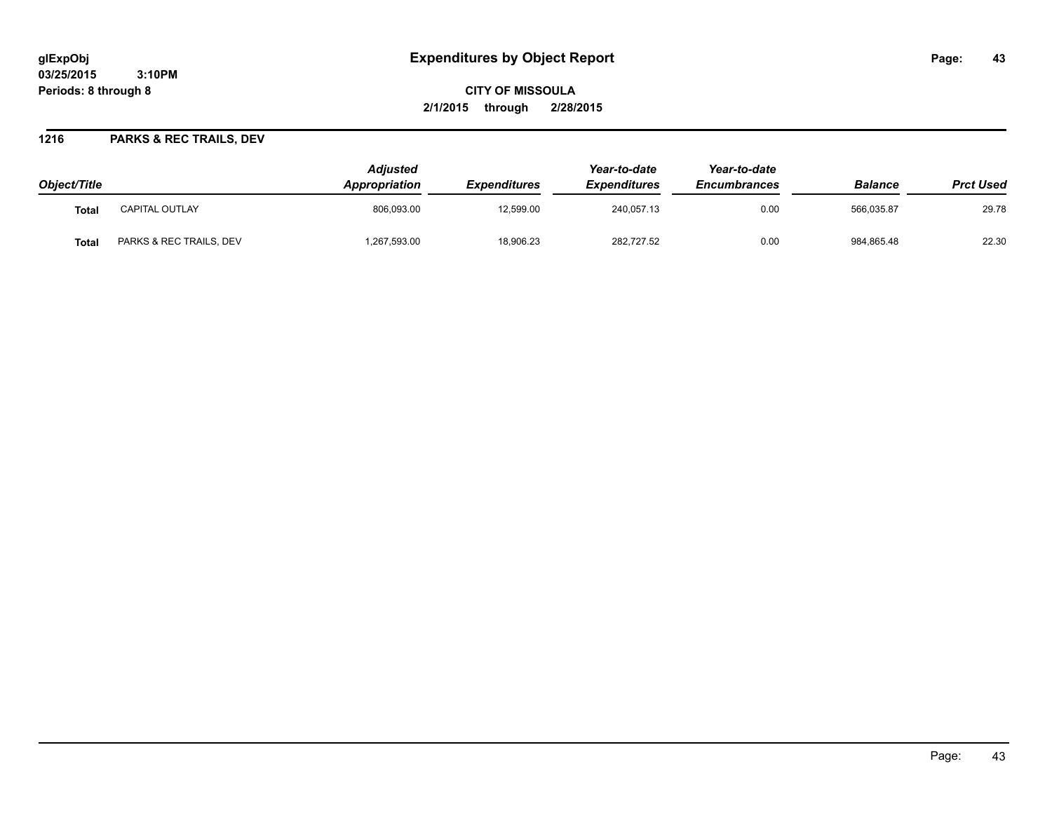**CITY OF MISSOULA 2/1/2015 through 2/28/2015**

### **1216 PARKS & REC TRAILS, DEV**

| Object/Title |                         | <b>Adiusted</b><br><b>Appropriation</b> | <i><b>Expenditures</b></i> | Year-to-date<br><b>Expenditures</b> | Year-to-date<br><b>Encumbrances</b> | <b>Balance</b> | <b>Prct Used</b> |
|--------------|-------------------------|-----------------------------------------|----------------------------|-------------------------------------|-------------------------------------|----------------|------------------|
| Tota.        | <b>CAPITAL OUTLAY</b>   | 806.093.00                              | 12,599.00                  | 240.057.13                          | 0.00                                | 566,035.87     | 29.78            |
| Tota.        | PARKS & REC TRAILS, DEV | ,267,593.00                             | 18,906.23                  | 282,727.52                          | 0.00                                | 984,865.48     | 22.30            |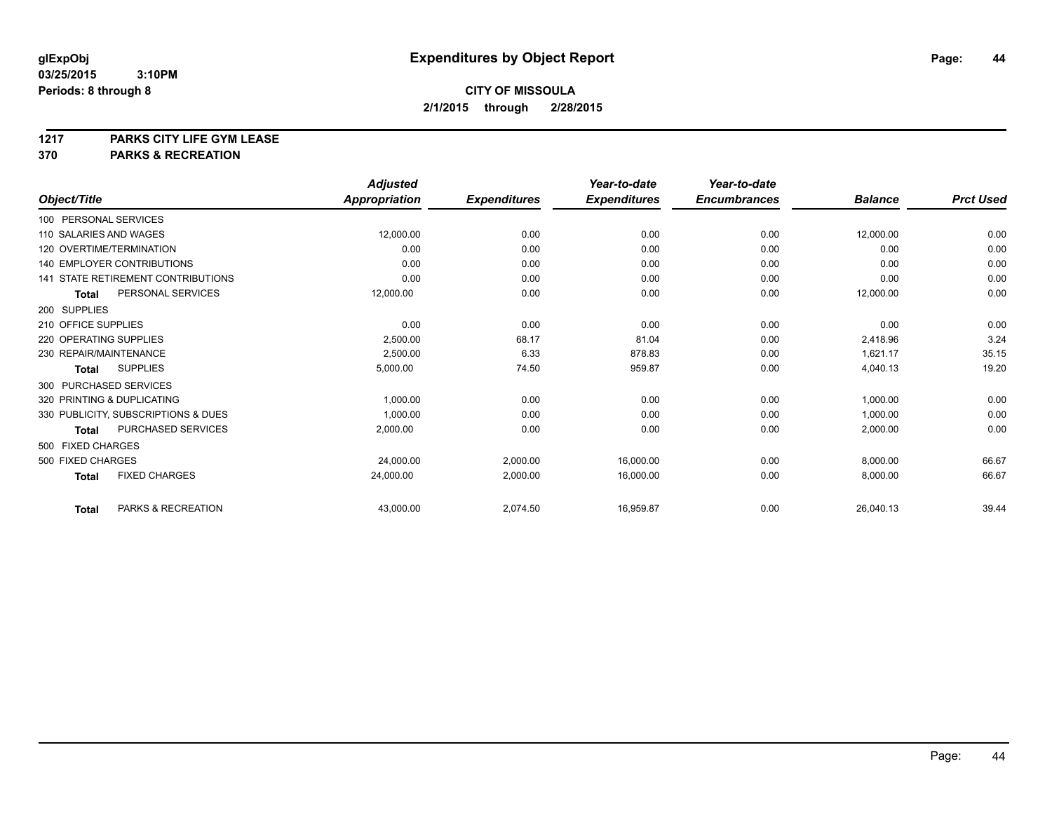# **1217 PARKS CITY LIFE GYM LEASE**

# **370 PARKS & RECREATION**

|                        |                                           | <b>Adjusted</b>      |                     | Year-to-date        | Year-to-date        |                |                  |
|------------------------|-------------------------------------------|----------------------|---------------------|---------------------|---------------------|----------------|------------------|
| Object/Title           |                                           | <b>Appropriation</b> | <b>Expenditures</b> | <b>Expenditures</b> | <b>Encumbrances</b> | <b>Balance</b> | <b>Prct Used</b> |
| 100 PERSONAL SERVICES  |                                           |                      |                     |                     |                     |                |                  |
| 110 SALARIES AND WAGES |                                           | 12,000.00            | 0.00                | 0.00                | 0.00                | 12,000.00      | 0.00             |
|                        | 120 OVERTIME/TERMINATION                  | 0.00                 | 0.00                | 0.00                | 0.00                | 0.00           | 0.00             |
|                        | 140 EMPLOYER CONTRIBUTIONS                | 0.00                 | 0.00                | 0.00                | 0.00                | 0.00           | 0.00             |
|                        | <b>141 STATE RETIREMENT CONTRIBUTIONS</b> | 0.00                 | 0.00                | 0.00                | 0.00                | 0.00           | 0.00             |
| <b>Total</b>           | PERSONAL SERVICES                         | 12,000.00            | 0.00                | 0.00                | 0.00                | 12,000.00      | 0.00             |
| 200 SUPPLIES           |                                           |                      |                     |                     |                     |                |                  |
| 210 OFFICE SUPPLIES    |                                           | 0.00                 | 0.00                | 0.00                | 0.00                | 0.00           | 0.00             |
| 220 OPERATING SUPPLIES |                                           | 2,500.00             | 68.17               | 81.04               | 0.00                | 2,418.96       | 3.24             |
| 230 REPAIR/MAINTENANCE |                                           | 2,500.00             | 6.33                | 878.83              | 0.00                | 1,621.17       | 35.15            |
| <b>Total</b>           | <b>SUPPLIES</b>                           | 5,000.00             | 74.50               | 959.87              | 0.00                | 4,040.13       | 19.20            |
| 300 PURCHASED SERVICES |                                           |                      |                     |                     |                     |                |                  |
|                        | 320 PRINTING & DUPLICATING                | 1,000.00             | 0.00                | 0.00                | 0.00                | 1,000.00       | 0.00             |
|                        | 330 PUBLICITY, SUBSCRIPTIONS & DUES       | 1,000.00             | 0.00                | 0.00                | 0.00                | 1,000.00       | 0.00             |
| Total                  | PURCHASED SERVICES                        | 2,000.00             | 0.00                | 0.00                | 0.00                | 2,000.00       | 0.00             |
| 500 FIXED CHARGES      |                                           |                      |                     |                     |                     |                |                  |
| 500 FIXED CHARGES      |                                           | 24,000.00            | 2,000.00            | 16,000.00           | 0.00                | 8,000.00       | 66.67            |
| <b>Total</b>           | <b>FIXED CHARGES</b>                      | 24,000.00            | 2,000.00            | 16,000.00           | 0.00                | 8,000.00       | 66.67            |
| <b>Total</b>           | PARKS & RECREATION                        | 43,000.00            | 2,074.50            | 16,959.87           | 0.00                | 26,040.13      | 39.44            |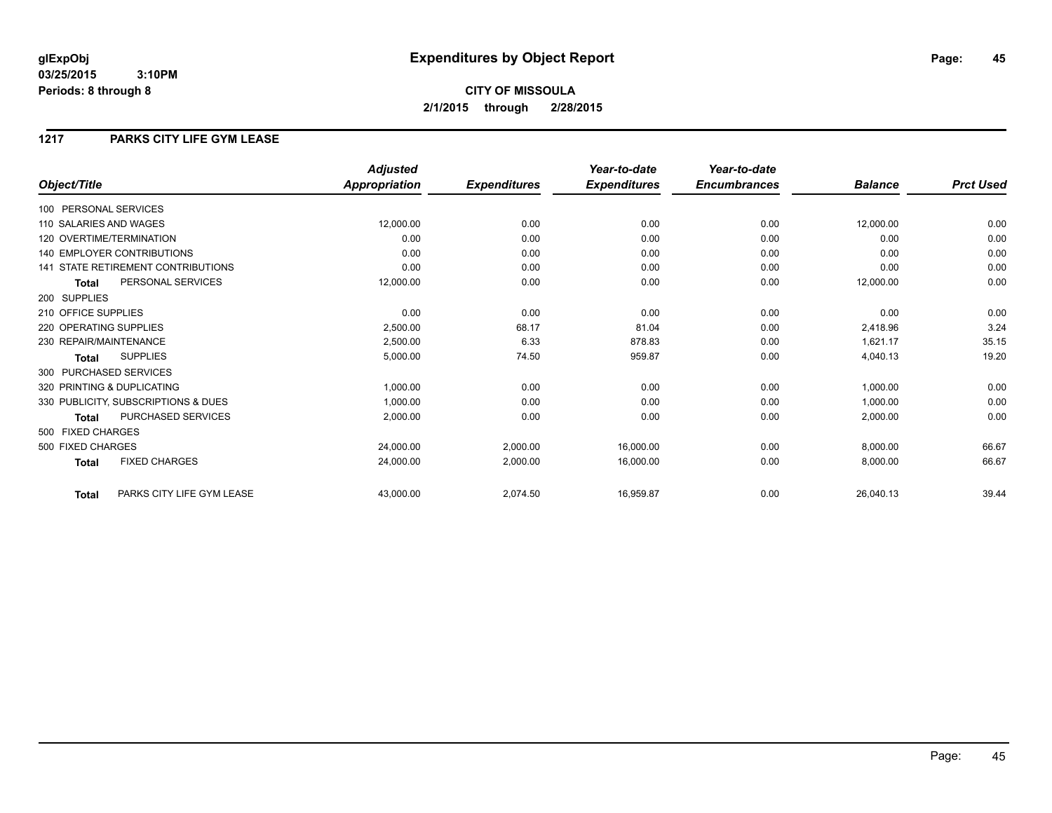# **CITY OF MISSOULA 2/1/2015 through 2/28/2015**

### **1217 PARKS CITY LIFE GYM LEASE**

|                                           | <b>Adjusted</b>      |                     | Year-to-date        | Year-to-date        |                |                  |
|-------------------------------------------|----------------------|---------------------|---------------------|---------------------|----------------|------------------|
| Object/Title                              | <b>Appropriation</b> | <b>Expenditures</b> | <b>Expenditures</b> | <b>Encumbrances</b> | <b>Balance</b> | <b>Prct Used</b> |
| 100 PERSONAL SERVICES                     |                      |                     |                     |                     |                |                  |
| 110 SALARIES AND WAGES                    | 12,000.00            | 0.00                | 0.00                | 0.00                | 12,000.00      | 0.00             |
| 120 OVERTIME/TERMINATION                  | 0.00                 | 0.00                | 0.00                | 0.00                | 0.00           | 0.00             |
| 140 EMPLOYER CONTRIBUTIONS                | 0.00                 | 0.00                | 0.00                | 0.00                | 0.00           | 0.00             |
| 141 STATE RETIREMENT CONTRIBUTIONS        | 0.00                 | 0.00                | 0.00                | 0.00                | 0.00           | 0.00             |
| PERSONAL SERVICES<br><b>Total</b>         | 12,000.00            | 0.00                | 0.00                | 0.00                | 12,000.00      | 0.00             |
| 200 SUPPLIES                              |                      |                     |                     |                     |                |                  |
| 210 OFFICE SUPPLIES                       | 0.00                 | 0.00                | 0.00                | 0.00                | 0.00           | 0.00             |
| 220 OPERATING SUPPLIES                    | 2,500.00             | 68.17               | 81.04               | 0.00                | 2,418.96       | 3.24             |
| 230 REPAIR/MAINTENANCE                    | 2,500.00             | 6.33                | 878.83              | 0.00                | 1,621.17       | 35.15            |
| <b>SUPPLIES</b><br><b>Total</b>           | 5,000.00             | 74.50               | 959.87              | 0.00                | 4,040.13       | 19.20            |
| 300 PURCHASED SERVICES                    |                      |                     |                     |                     |                |                  |
| 320 PRINTING & DUPLICATING                | 1,000.00             | 0.00                | 0.00                | 0.00                | 1,000.00       | 0.00             |
| 330 PUBLICITY, SUBSCRIPTIONS & DUES       | 1,000.00             | 0.00                | 0.00                | 0.00                | 1,000.00       | 0.00             |
| <b>PURCHASED SERVICES</b><br><b>Total</b> | 2,000.00             | 0.00                | 0.00                | 0.00                | 2,000.00       | 0.00             |
| 500 FIXED CHARGES                         |                      |                     |                     |                     |                |                  |
| 500 FIXED CHARGES                         | 24,000.00            | 2,000.00            | 16,000.00           | 0.00                | 8.000.00       | 66.67            |
| <b>FIXED CHARGES</b><br><b>Total</b>      | 24,000.00            | 2,000.00            | 16,000.00           | 0.00                | 8,000.00       | 66.67            |
| PARKS CITY LIFE GYM LEASE<br><b>Total</b> | 43,000.00            | 2,074.50            | 16,959.87           | 0.00                | 26,040.13      | 39.44            |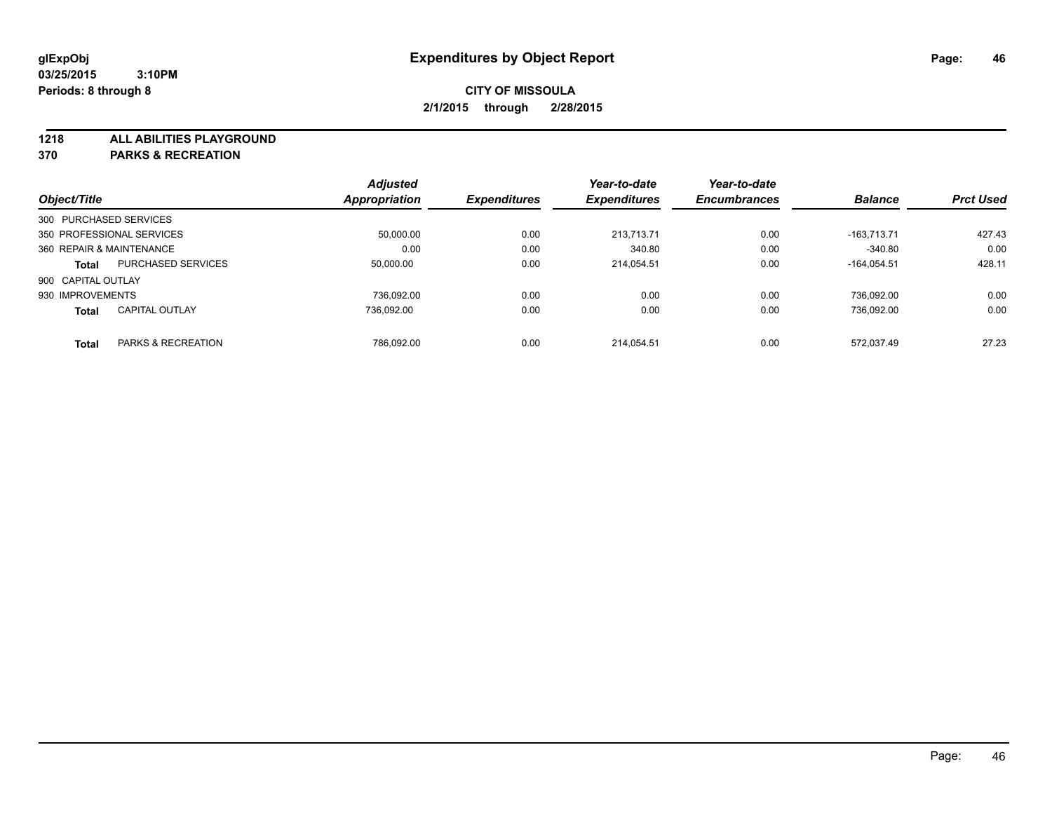**1218 ALL ABILITIES PLAYGROUND**

**370 PARKS & RECREATION**

|                          |                           | <b>Adjusted</b>      |                     | Year-to-date        | Year-to-date        |                |                  |
|--------------------------|---------------------------|----------------------|---------------------|---------------------|---------------------|----------------|------------------|
| Object/Title             |                           | <b>Appropriation</b> | <b>Expenditures</b> | <b>Expenditures</b> | <b>Encumbrances</b> | <b>Balance</b> | <b>Prct Used</b> |
| 300 PURCHASED SERVICES   |                           |                      |                     |                     |                     |                |                  |
|                          | 350 PROFESSIONAL SERVICES | 50.000.00            | 0.00                | 213.713.71          | 0.00                | $-163.713.71$  | 427.43           |
| 360 REPAIR & MAINTENANCE |                           | 0.00                 | 0.00                | 340.80              | 0.00                | $-340.80$      | 0.00             |
| <b>Total</b>             | <b>PURCHASED SERVICES</b> | 50,000.00            | 0.00                | 214.054.51          | 0.00                | $-164.054.51$  | 428.11           |
| 900 CAPITAL OUTLAY       |                           |                      |                     |                     |                     |                |                  |
| 930 IMPROVEMENTS         |                           | 736.092.00           | 0.00                | 0.00                | 0.00                | 736.092.00     | 0.00             |
| <b>Total</b>             | <b>CAPITAL OUTLAY</b>     | 736.092.00           | 0.00                | 0.00                | 0.00                | 736.092.00     | 0.00             |
| <b>Total</b>             | PARKS & RECREATION        | 786.092.00           | 0.00                | 214.054.51          | 0.00                | 572.037.49     | 27.23            |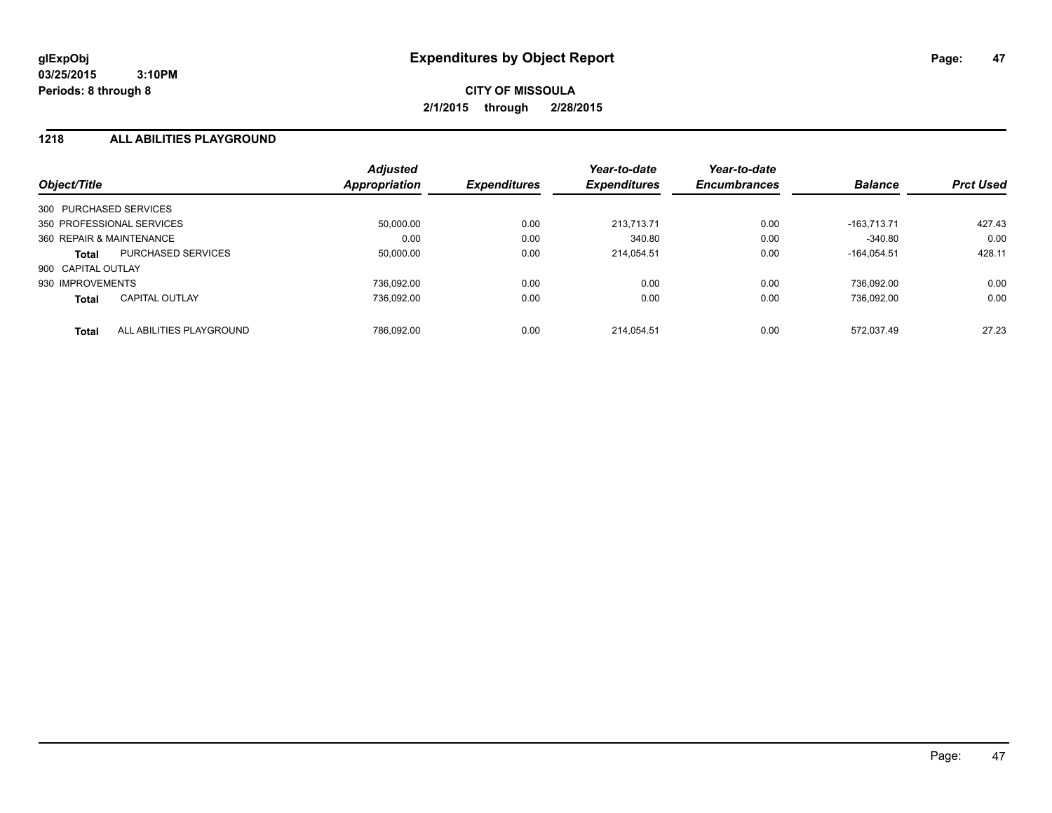### **1218 ALL ABILITIES PLAYGROUND**

| Object/Title             |                           | <b>Adjusted</b><br>Appropriation | <b>Expenditures</b> | Year-to-date<br><b>Expenditures</b> | Year-to-date<br><b>Encumbrances</b> | <b>Balance</b> | <b>Prct Used</b> |
|--------------------------|---------------------------|----------------------------------|---------------------|-------------------------------------|-------------------------------------|----------------|------------------|
| 300 PURCHASED SERVICES   |                           |                                  |                     |                                     |                                     |                |                  |
|                          | 350 PROFESSIONAL SERVICES | 50.000.00                        | 0.00                | 213.713.71                          | 0.00                                | $-163.713.71$  | 427.43           |
| 360 REPAIR & MAINTENANCE |                           | 0.00                             | 0.00                | 340.80                              | 0.00                                | $-340.80$      | 0.00             |
| <b>Total</b>             | <b>PURCHASED SERVICES</b> | 50,000.00                        | 0.00                | 214.054.51                          | 0.00                                | $-164.054.51$  | 428.11           |
| 900 CAPITAL OUTLAY       |                           |                                  |                     |                                     |                                     |                |                  |
| 930 IMPROVEMENTS         |                           | 736.092.00                       | 0.00                | 0.00                                | 0.00                                | 736.092.00     | 0.00             |
| <b>Total</b>             | <b>CAPITAL OUTLAY</b>     | 736.092.00                       | 0.00                | 0.00                                | 0.00                                | 736.092.00     | 0.00             |
| <b>Total</b>             | ALL ABILITIES PLAYGROUND  | 786.092.00                       | 0.00                | 214.054.51                          | 0.00                                | 572.037.49     | 27.23            |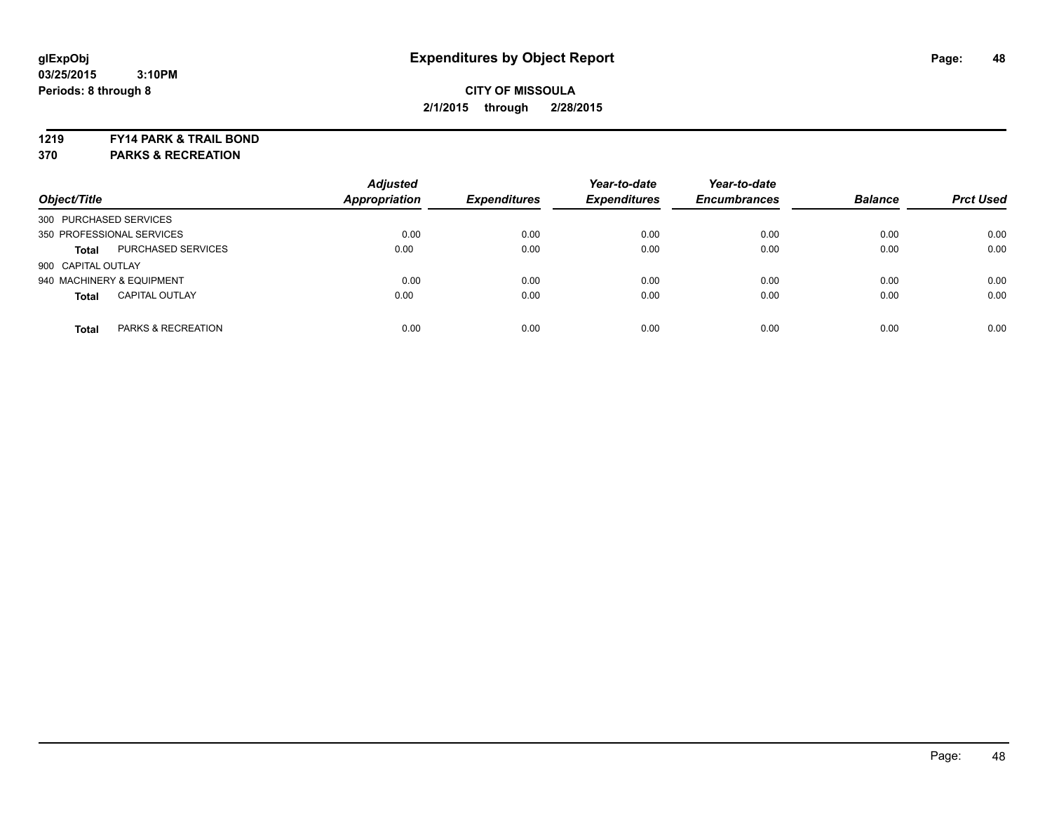#### **1219 FY14 PARK & TRAIL BOND**

**370 PARKS & RECREATION**

| Object/Title              |                       | <b>Adjusted</b><br><b>Appropriation</b> | <b>Expenditures</b> | Year-to-date<br><b>Expenditures</b> | Year-to-date<br><b>Encumbrances</b> | <b>Balance</b> | <b>Prct Used</b> |
|---------------------------|-----------------------|-----------------------------------------|---------------------|-------------------------------------|-------------------------------------|----------------|------------------|
| 300 PURCHASED SERVICES    |                       |                                         |                     |                                     |                                     |                |                  |
| 350 PROFESSIONAL SERVICES |                       | 0.00                                    | 0.00                | 0.00                                | 0.00                                | 0.00           | 0.00             |
| <b>Total</b>              | PURCHASED SERVICES    | 0.00                                    | 0.00                | 0.00                                | 0.00                                | 0.00           | 0.00             |
| 900 CAPITAL OUTLAY        |                       |                                         |                     |                                     |                                     |                |                  |
| 940 MACHINERY & EQUIPMENT |                       | 0.00                                    | 0.00                | 0.00                                | 0.00                                | 0.00           | 0.00             |
| <b>Total</b>              | <b>CAPITAL OUTLAY</b> | 0.00                                    | 0.00                | 0.00                                | 0.00                                | 0.00           | 0.00             |
| <b>Total</b>              | PARKS & RECREATION    | 0.00                                    | 0.00                | 0.00                                | 0.00                                | 0.00           | 0.00             |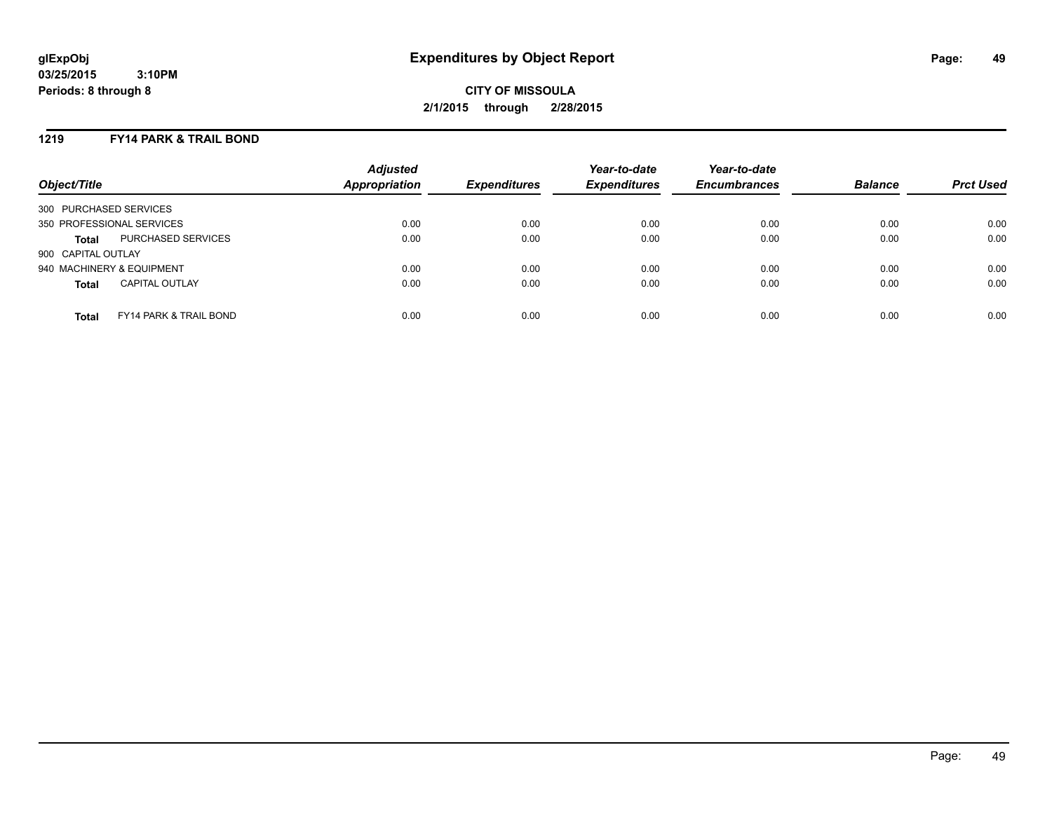### **1219 FY14 PARK & TRAIL BOND**

| Object/Title              |                                   | <b>Adjusted</b><br><b>Appropriation</b> | <b>Expenditures</b> | Year-to-date<br><b>Expenditures</b> | Year-to-date<br><b>Encumbrances</b> | <b>Balance</b> | <b>Prct Used</b> |
|---------------------------|-----------------------------------|-----------------------------------------|---------------------|-------------------------------------|-------------------------------------|----------------|------------------|
| 300 PURCHASED SERVICES    |                                   |                                         |                     |                                     |                                     |                |                  |
| 350 PROFESSIONAL SERVICES |                                   | 0.00                                    | 0.00                | 0.00                                | 0.00                                | 0.00           | 0.00             |
| <b>Total</b>              | PURCHASED SERVICES                | 0.00                                    | 0.00                | 0.00                                | 0.00                                | 0.00           | 0.00             |
| 900 CAPITAL OUTLAY        |                                   |                                         |                     |                                     |                                     |                |                  |
| 940 MACHINERY & EQUIPMENT |                                   | 0.00                                    | 0.00                | 0.00                                | 0.00                                | 0.00           | 0.00             |
| <b>Total</b>              | <b>CAPITAL OUTLAY</b>             | 0.00                                    | 0.00                | 0.00                                | 0.00                                | 0.00           | 0.00             |
| <b>Total</b>              | <b>FY14 PARK &amp; TRAIL BOND</b> | 0.00                                    | 0.00                | 0.00                                | 0.00                                | 0.00           | 0.00             |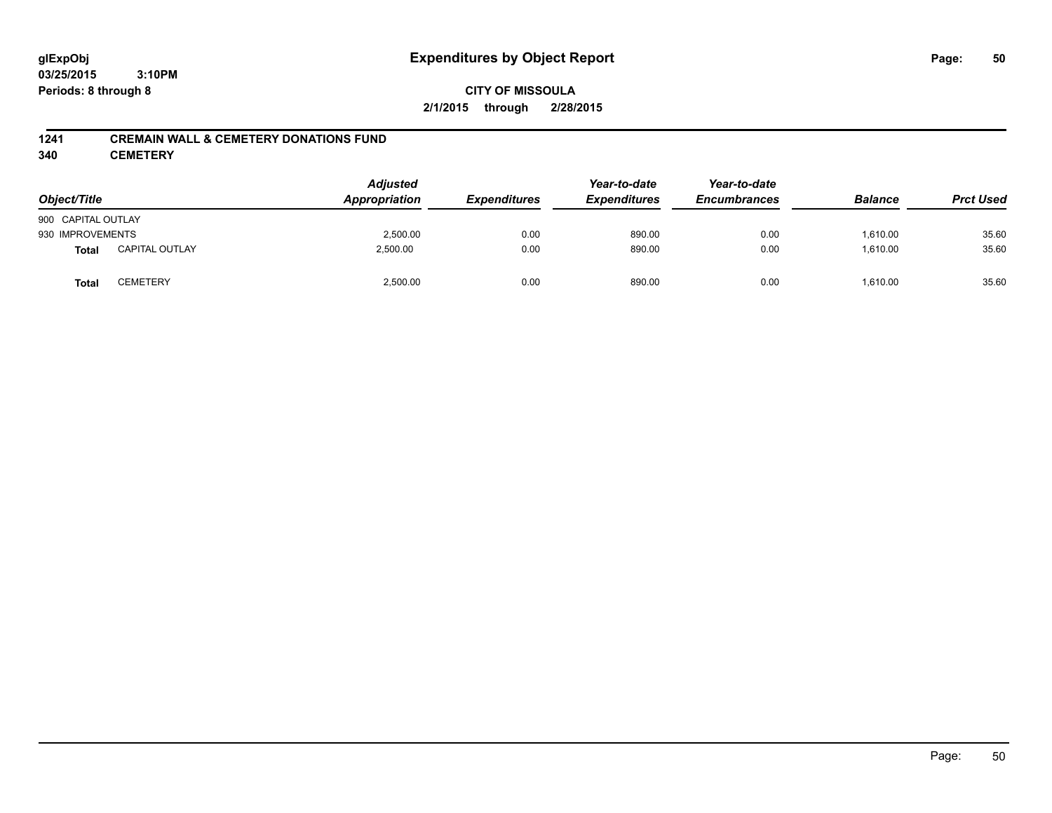# **CITY OF MISSOULA 2/1/2015 through 2/28/2015**

### **1241 CREMAIN WALL & CEMETERY DONATIONS FUND**

**340 CEMETERY**

| Object/Title       |                       | Adjusted<br>Appropriation | <b>Expenditures</b> | Year-to-date<br><b>Expenditures</b> | Year-to-date<br><b>Encumbrances</b> | <b>Balance</b> | <b>Prct Used</b> |
|--------------------|-----------------------|---------------------------|---------------------|-------------------------------------|-------------------------------------|----------------|------------------|
| 900 CAPITAL OUTLAY |                       |                           |                     |                                     |                                     |                |                  |
| 930 IMPROVEMENTS   |                       | 2,500.00                  | 0.00                | 890.00                              | 0.00                                | 1,610.00       | 35.60            |
| <b>Total</b>       | <b>CAPITAL OUTLAY</b> | 2,500.00                  | 0.00                | 890.00                              | 0.00                                | 1,610.00       | 35.60            |
| <b>Total</b>       | CEMETERY              | 2,500.00                  | 0.00                | 890.00                              | 0.00                                | 1,610.00       | 35.60            |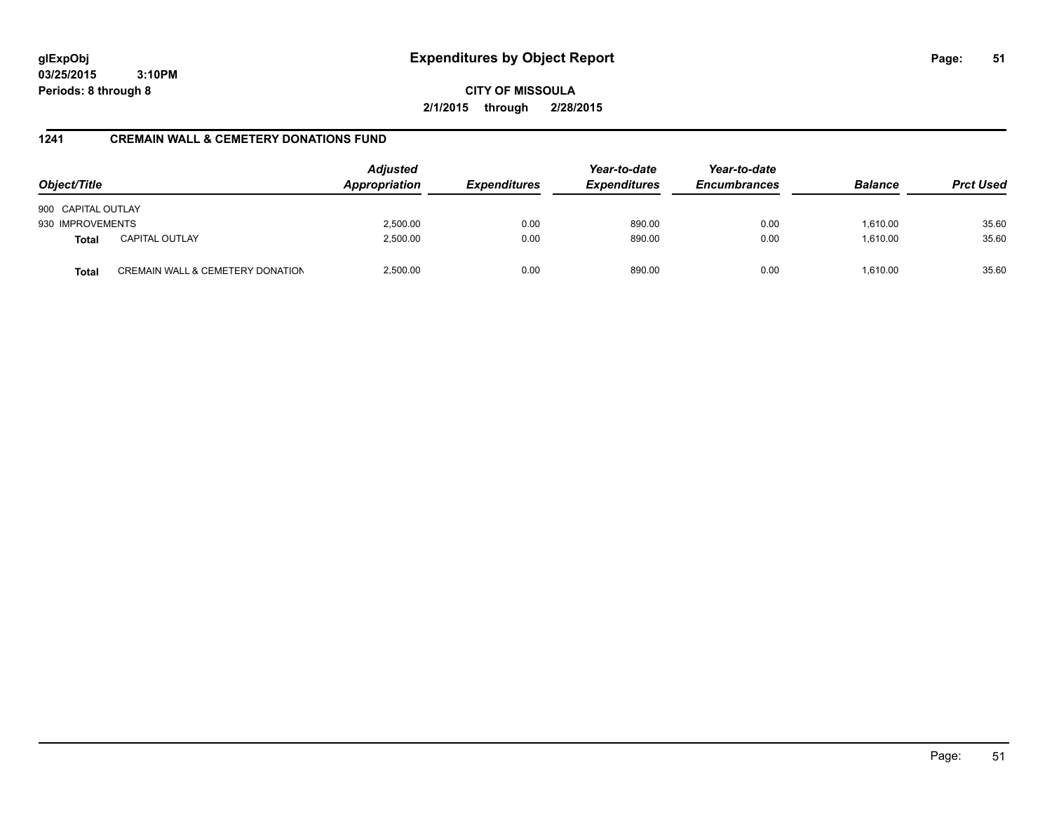# **glExpObj Expenditures by Object Report Page: 51**

**03/25/2015 3:10PM Periods: 8 through 8**

**CITY OF MISSOULA 2/1/2015 through 2/28/2015**

### **1241 CREMAIN WALL & CEMETERY DONATIONS FUND**

| Object/Title       |                                  | <b>Adjusted</b><br>Appropriation | <b>Expenditures</b> | Year-to-date<br><b>Expenditures</b> | Year-to-date<br><b>Encumbrances</b> | <b>Balance</b> | <b>Prct Used</b> |
|--------------------|----------------------------------|----------------------------------|---------------------|-------------------------------------|-------------------------------------|----------------|------------------|
| 900 CAPITAL OUTLAY |                                  |                                  |                     |                                     |                                     |                |                  |
| 930 IMPROVEMENTS   |                                  | 2,500.00                         | 0.00                | 890.00                              | 0.00                                | 1,610.00       | 35.60            |
| <b>Total</b>       | <b>CAPITAL OUTLAY</b>            | 2,500.00                         | 0.00                | 890.00                              | 0.00                                | 1,610.00       | 35.60            |
| <b>Total</b>       | CREMAIN WALL & CEMETERY DONATION | 2,500.00                         | 0.00                | 890.00                              | 0.00                                | 1.610.00       | 35.60            |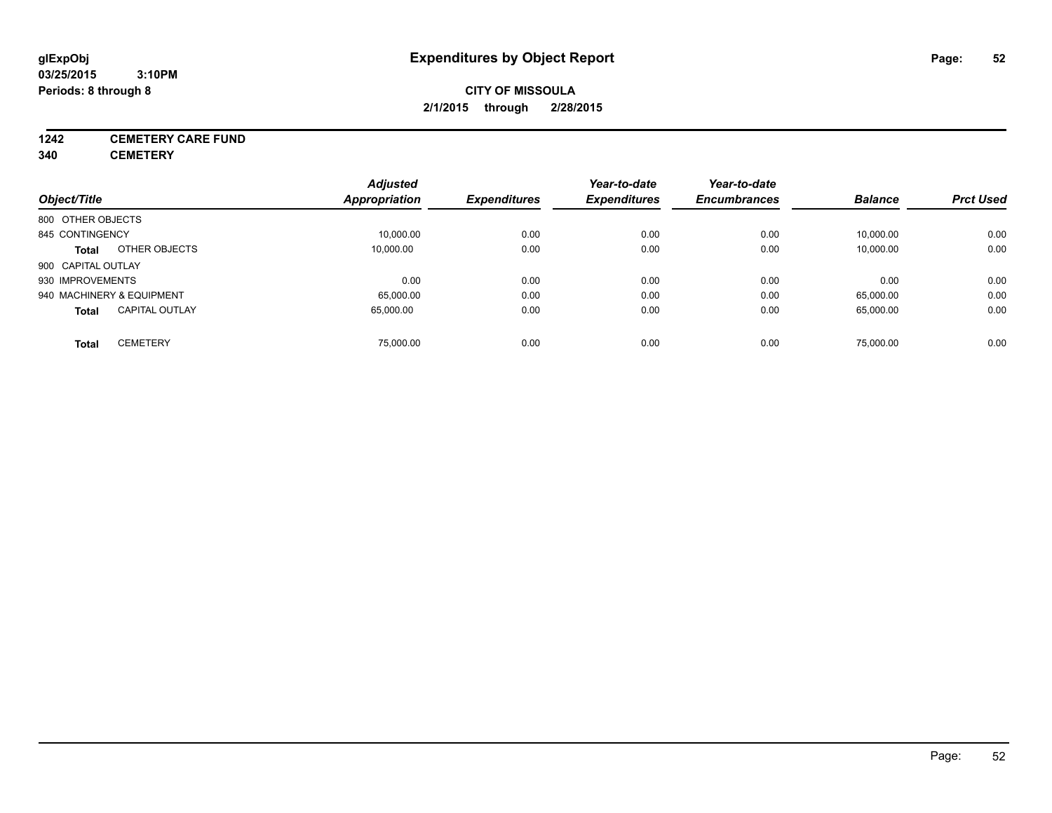# **CITY OF MISSOULA 2/1/2015 through 2/28/2015**

# **1242 CEMETERY CARE FUND**

**340 CEMETERY**

|                                       | <b>Adjusted</b> |                     | Year-to-date        | Year-to-date        |                |                  |
|---------------------------------------|-----------------|---------------------|---------------------|---------------------|----------------|------------------|
| Object/Title                          | Appropriation   | <b>Expenditures</b> | <b>Expenditures</b> | <b>Encumbrances</b> | <b>Balance</b> | <b>Prct Used</b> |
| 800 OTHER OBJECTS                     |                 |                     |                     |                     |                |                  |
| 845 CONTINGENCY                       | 10,000.00       | 0.00                | 0.00                | 0.00                | 10,000.00      | 0.00             |
| OTHER OBJECTS<br><b>Total</b>         | 10.000.00       | 0.00                | 0.00                | 0.00                | 10,000.00      | 0.00             |
| 900 CAPITAL OUTLAY                    |                 |                     |                     |                     |                |                  |
| 930 IMPROVEMENTS                      | 0.00            | 0.00                | 0.00                | 0.00                | 0.00           | 0.00             |
| 940 MACHINERY & EQUIPMENT             | 65,000.00       | 0.00                | 0.00                | 0.00                | 65,000.00      | 0.00             |
| <b>CAPITAL OUTLAY</b><br><b>Total</b> | 65.000.00       | 0.00                | 0.00                | 0.00                | 65,000.00      | 0.00             |
| <b>CEMETERY</b><br>Total              | 75.000.00       | 0.00                | 0.00                | 0.00                | 75.000.00      | 0.00             |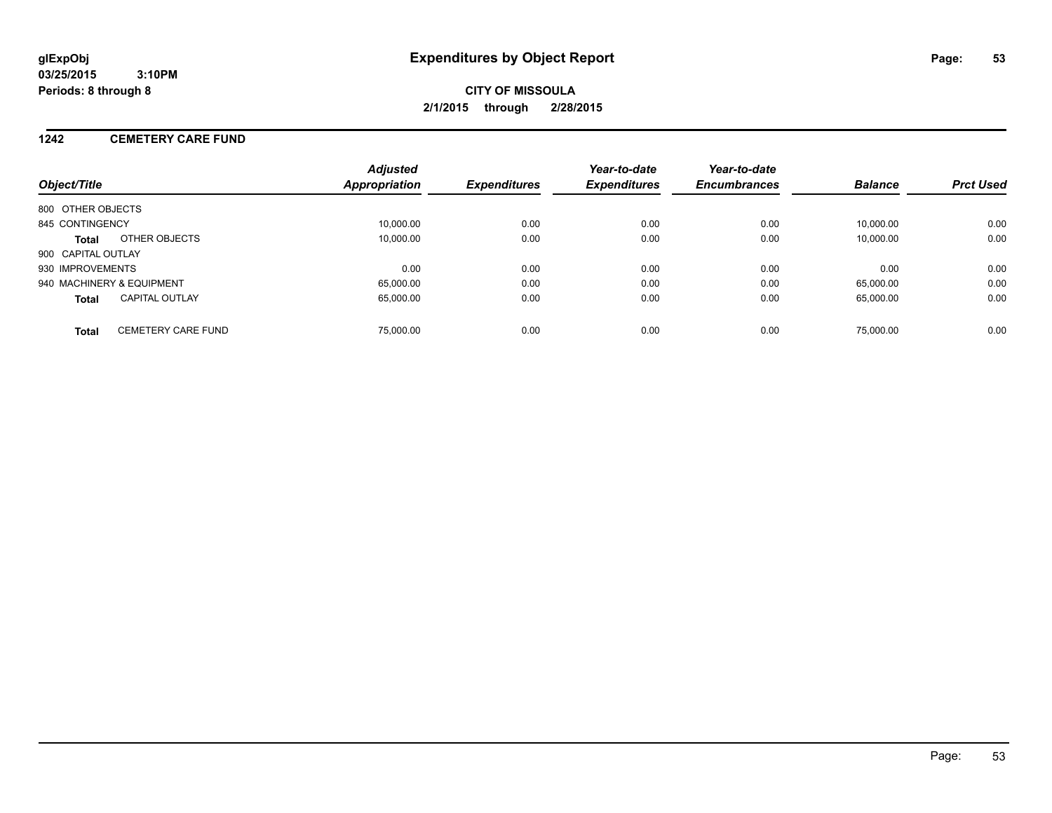### **1242 CEMETERY CARE FUND**

| Object/Title                              | <b>Adjusted</b><br>Appropriation | <b>Expenditures</b> | Year-to-date<br><b>Expenditures</b> | Year-to-date<br><b>Encumbrances</b> | <b>Balance</b> | <b>Prct Used</b> |
|-------------------------------------------|----------------------------------|---------------------|-------------------------------------|-------------------------------------|----------------|------------------|
| 800 OTHER OBJECTS                         |                                  |                     |                                     |                                     |                |                  |
| 845 CONTINGENCY                           | 10.000.00                        | 0.00                | 0.00                                | 0.00                                | 10.000.00      | 0.00             |
| OTHER OBJECTS<br>Total                    | 10.000.00                        | 0.00                | 0.00                                | 0.00                                | 10.000.00      | 0.00             |
| 900 CAPITAL OUTLAY                        |                                  |                     |                                     |                                     |                |                  |
| 930 IMPROVEMENTS                          | 0.00                             | 0.00                | 0.00                                | 0.00                                | 0.00           | 0.00             |
| 940 MACHINERY & EQUIPMENT                 | 65.000.00                        | 0.00                | 0.00                                | 0.00                                | 65.000.00      | 0.00             |
| <b>CAPITAL OUTLAY</b><br><b>Total</b>     | 65.000.00                        | 0.00                | 0.00                                | 0.00                                | 65.000.00      | 0.00             |
| <b>CEMETERY CARE FUND</b><br><b>Total</b> | 75,000.00                        | 0.00                | 0.00                                | 0.00                                | 75,000.00      | 0.00             |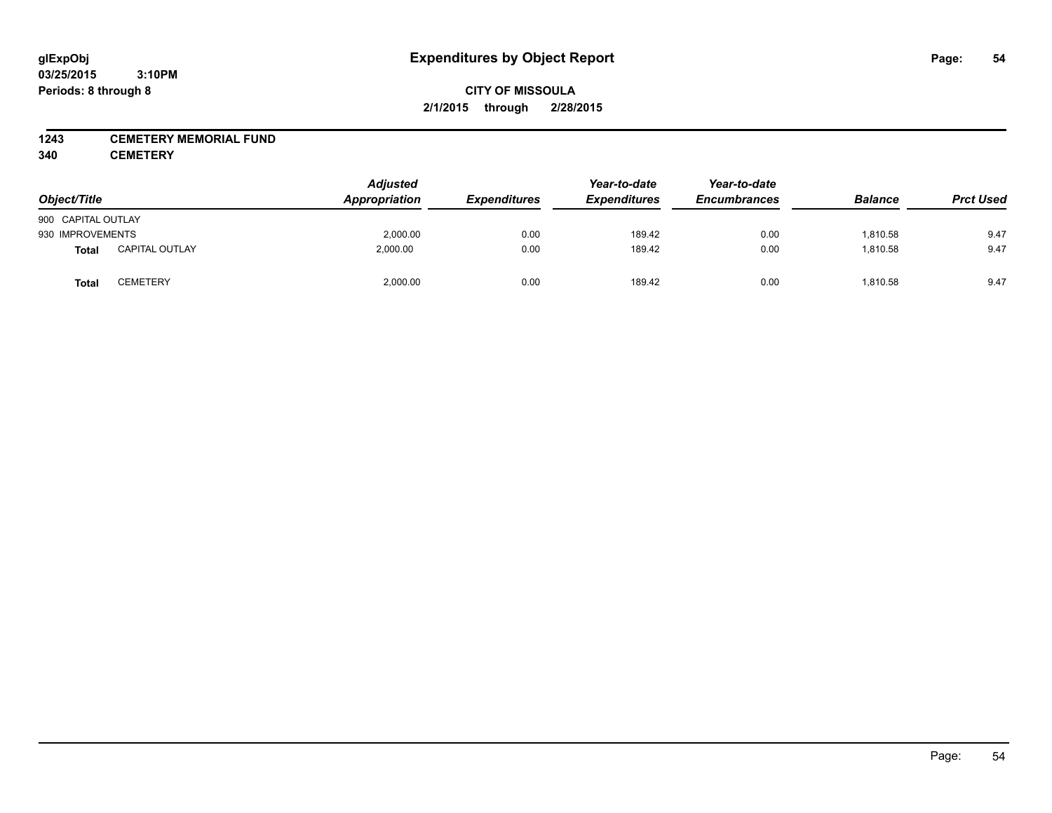# **CITY OF MISSOULA 2/1/2015 through 2/28/2015**

### **1243 CEMETERY MEMORIAL FUND**

**340 CEMETERY**

| Object/Title       |                       | <b>Adjusted</b><br>Appropriation | <b>Expenditures</b> | Year-to-date<br><b>Expenditures</b> | Year-to-date<br><b>Encumbrances</b> | <b>Balance</b> | <b>Prct Used</b> |
|--------------------|-----------------------|----------------------------------|---------------------|-------------------------------------|-------------------------------------|----------------|------------------|
| 900 CAPITAL OUTLAY |                       |                                  |                     |                                     |                                     |                |                  |
| 930 IMPROVEMENTS   |                       | 2,000.00                         | 0.00                | 189.42                              | 0.00                                | 1.810.58       | 9.47             |
| Total              | <b>CAPITAL OUTLAY</b> | 2,000.00                         | 0.00                | 189.42                              | 0.00                                | 1,810.58       | 9.47             |
| Total              | CEMETERY              | 2,000.00                         | 0.00                | 189.42                              | 0.00                                | 1,810.58       | 9.47             |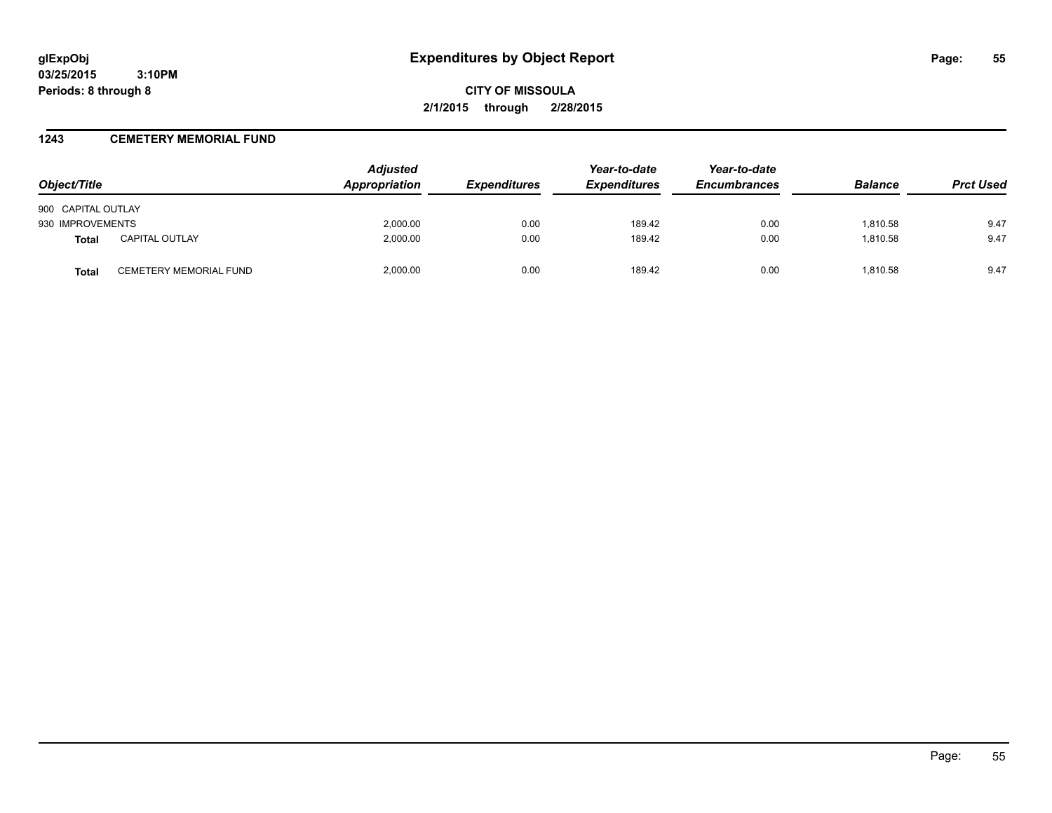**CITY OF MISSOULA 2/1/2015 through 2/28/2015**

### **1243 CEMETERY MEMORIAL FUND**

| Object/Title       |                        | <b>Adjusted</b><br>Appropriation | <b>Expenditures</b> | Year-to-date<br><b>Expenditures</b> | Year-to-date<br><b>Encumbrances</b> | <b>Balance</b> | <b>Prct Used</b> |
|--------------------|------------------------|----------------------------------|---------------------|-------------------------------------|-------------------------------------|----------------|------------------|
| 900 CAPITAL OUTLAY |                        |                                  |                     |                                     |                                     |                |                  |
| 930 IMPROVEMENTS   |                        | 2,000.00                         | 0.00                | 189.42                              | 0.00                                | 1,810.58       | 9.47             |
| <b>Total</b>       | <b>CAPITAL OUTLAY</b>  | 2,000.00                         | 0.00                | 189.42                              | 0.00                                | 1,810.58       | 9.47             |
| Total              | CEMETERY MEMORIAL FUND | 2.000.00                         | 0.00                | 189.42                              | 0.00                                | 1.810.58       | 9.47             |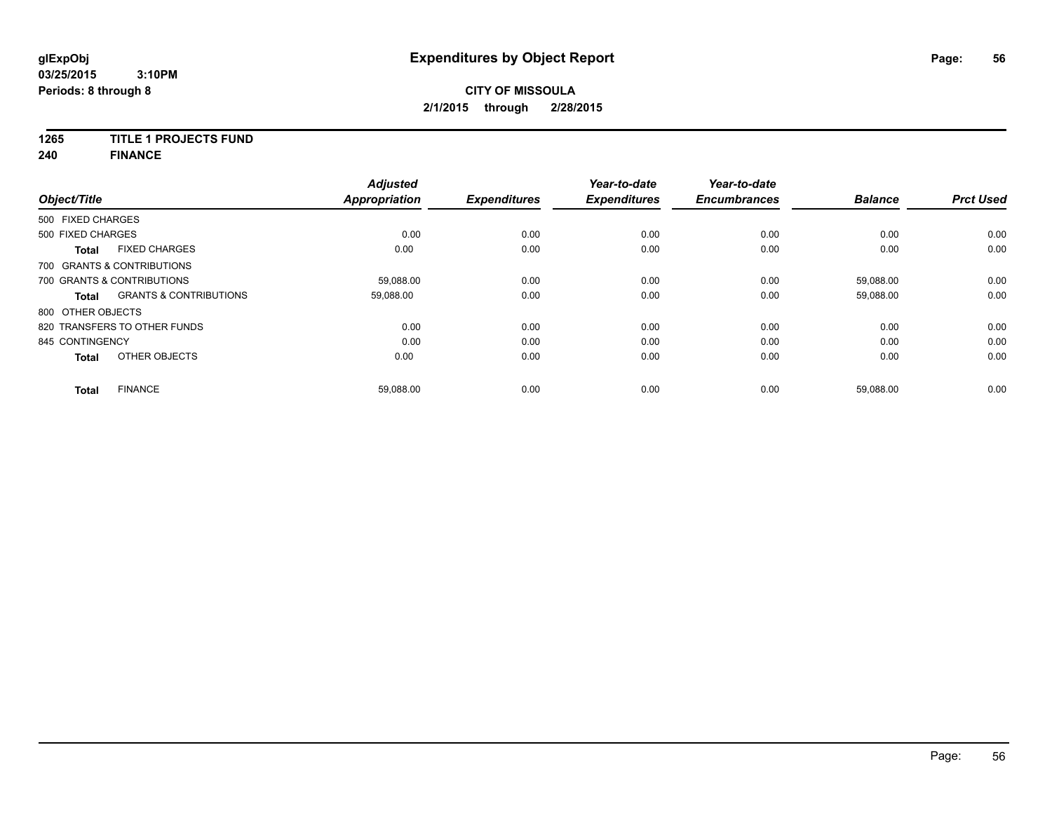## **1265 TITLE 1 PROJECTS FUND**

**240 FINANCE**

| Object/Title      |                                   | <b>Adjusted</b><br><b>Appropriation</b> | <b>Expenditures</b> | Year-to-date<br><b>Expenditures</b> | Year-to-date<br><b>Encumbrances</b> | <b>Balance</b> | <b>Prct Used</b> |
|-------------------|-----------------------------------|-----------------------------------------|---------------------|-------------------------------------|-------------------------------------|----------------|------------------|
| 500 FIXED CHARGES |                                   |                                         |                     |                                     |                                     |                |                  |
| 500 FIXED CHARGES |                                   | 0.00                                    | 0.00                | 0.00                                | 0.00                                | 0.00           | 0.00             |
| <b>Total</b>      | <b>FIXED CHARGES</b>              | 0.00                                    | 0.00                | 0.00                                | 0.00                                | 0.00           | 0.00             |
|                   | 700 GRANTS & CONTRIBUTIONS        |                                         |                     |                                     |                                     |                |                  |
|                   | 700 GRANTS & CONTRIBUTIONS        | 59,088.00                               | 0.00                | 0.00                                | 0.00                                | 59,088.00      | 0.00             |
| <b>Total</b>      | <b>GRANTS &amp; CONTRIBUTIONS</b> | 59,088.00                               | 0.00                | 0.00                                | 0.00                                | 59,088.00      | 0.00             |
| 800 OTHER OBJECTS |                                   |                                         |                     |                                     |                                     |                |                  |
|                   | 820 TRANSFERS TO OTHER FUNDS      | 0.00                                    | 0.00                | 0.00                                | 0.00                                | 0.00           | 0.00             |
| 845 CONTINGENCY   |                                   | 0.00                                    | 0.00                | 0.00                                | 0.00                                | 0.00           | 0.00             |
| <b>Total</b>      | OTHER OBJECTS                     | 0.00                                    | 0.00                | 0.00                                | 0.00                                | 0.00           | 0.00             |
| Total             | <b>FINANCE</b>                    | 59,088.00                               | 0.00                | 0.00                                | 0.00                                | 59,088.00      | 0.00             |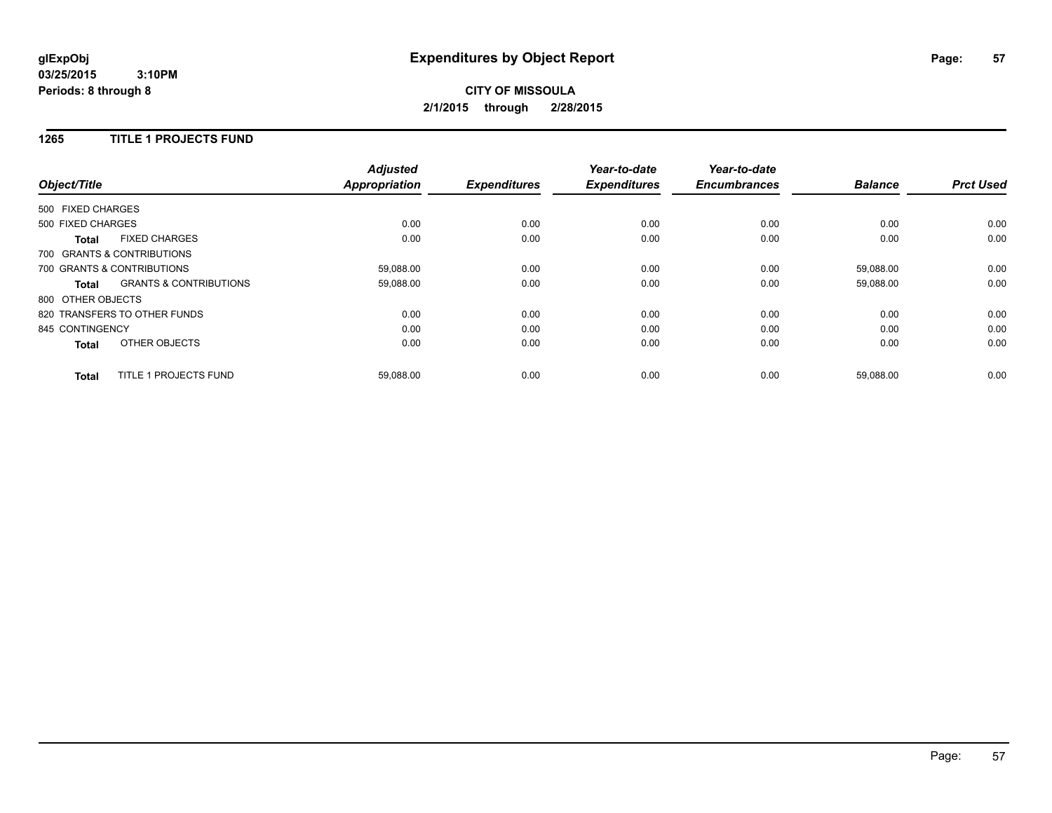# **CITY OF MISSOULA 2/1/2015 through 2/28/2015**

### **1265 TITLE 1 PROJECTS FUND**

| Object/Title      |                                   | <b>Adjusted</b><br><b>Appropriation</b> | <b>Expenditures</b> | Year-to-date<br><b>Expenditures</b> | Year-to-date<br><b>Encumbrances</b> | <b>Balance</b> | <b>Prct Used</b> |
|-------------------|-----------------------------------|-----------------------------------------|---------------------|-------------------------------------|-------------------------------------|----------------|------------------|
| 500 FIXED CHARGES |                                   |                                         |                     |                                     |                                     |                |                  |
| 500 FIXED CHARGES |                                   | 0.00                                    | 0.00                | 0.00                                | 0.00                                | 0.00           | 0.00             |
| <b>Total</b>      | <b>FIXED CHARGES</b>              | 0.00                                    | 0.00                | 0.00                                | 0.00                                | 0.00           | 0.00             |
|                   | 700 GRANTS & CONTRIBUTIONS        |                                         |                     |                                     |                                     |                |                  |
|                   | 700 GRANTS & CONTRIBUTIONS        | 59,088.00                               | 0.00                | 0.00                                | 0.00                                | 59,088.00      | 0.00             |
| Total             | <b>GRANTS &amp; CONTRIBUTIONS</b> | 59,088.00                               | 0.00                | 0.00                                | 0.00                                | 59,088.00      | 0.00             |
| 800 OTHER OBJECTS |                                   |                                         |                     |                                     |                                     |                |                  |
|                   | 820 TRANSFERS TO OTHER FUNDS      | 0.00                                    | 0.00                | 0.00                                | 0.00                                | 0.00           | 0.00             |
| 845 CONTINGENCY   |                                   | 0.00                                    | 0.00                | 0.00                                | 0.00                                | 0.00           | 0.00             |
| <b>Total</b>      | OTHER OBJECTS                     | 0.00                                    | 0.00                | 0.00                                | 0.00                                | 0.00           | 0.00             |
| <b>Total</b>      | TITLE 1 PROJECTS FUND             | 59,088.00                               | 0.00                | 0.00                                | 0.00                                | 59,088.00      | 0.00             |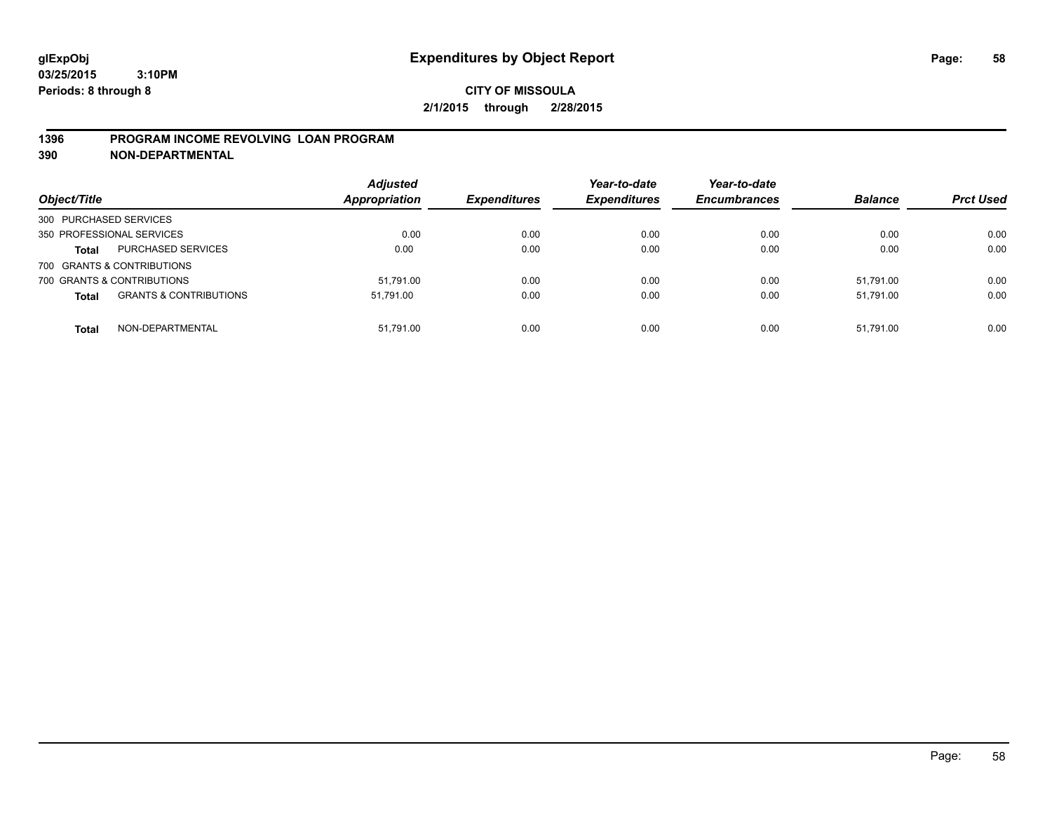### **1396 PROGRAM INCOME REVOLVING LOAN PROGRAM**

**390 NON-DEPARTMENTAL**

| Object/Title           |                                   | <b>Adjusted</b><br><b>Appropriation</b> | <b>Expenditures</b> | Year-to-date<br><b>Expenditures</b> | Year-to-date<br><b>Encumbrances</b> | <b>Balance</b> | <b>Prct Used</b> |
|------------------------|-----------------------------------|-----------------------------------------|---------------------|-------------------------------------|-------------------------------------|----------------|------------------|
| 300 PURCHASED SERVICES |                                   |                                         |                     |                                     |                                     |                |                  |
|                        | 350 PROFESSIONAL SERVICES         | 0.00                                    | 0.00                | 0.00                                | 0.00                                | 0.00           | 0.00             |
| <b>Total</b>           | PURCHASED SERVICES                | 0.00                                    | 0.00                | 0.00                                | 0.00                                | 0.00           | 0.00             |
|                        | 700 GRANTS & CONTRIBUTIONS        |                                         |                     |                                     |                                     |                |                  |
|                        | 700 GRANTS & CONTRIBUTIONS        | 51.791.00                               | 0.00                | 0.00                                | 0.00                                | 51.791.00      | 0.00             |
| <b>Total</b>           | <b>GRANTS &amp; CONTRIBUTIONS</b> | 51.791.00                               | 0.00                | 0.00                                | 0.00                                | 51.791.00      | 0.00             |
| <b>Total</b>           | NON-DEPARTMENTAL                  | 51.791.00                               | 0.00                | 0.00                                | 0.00                                | 51.791.00      | 0.00             |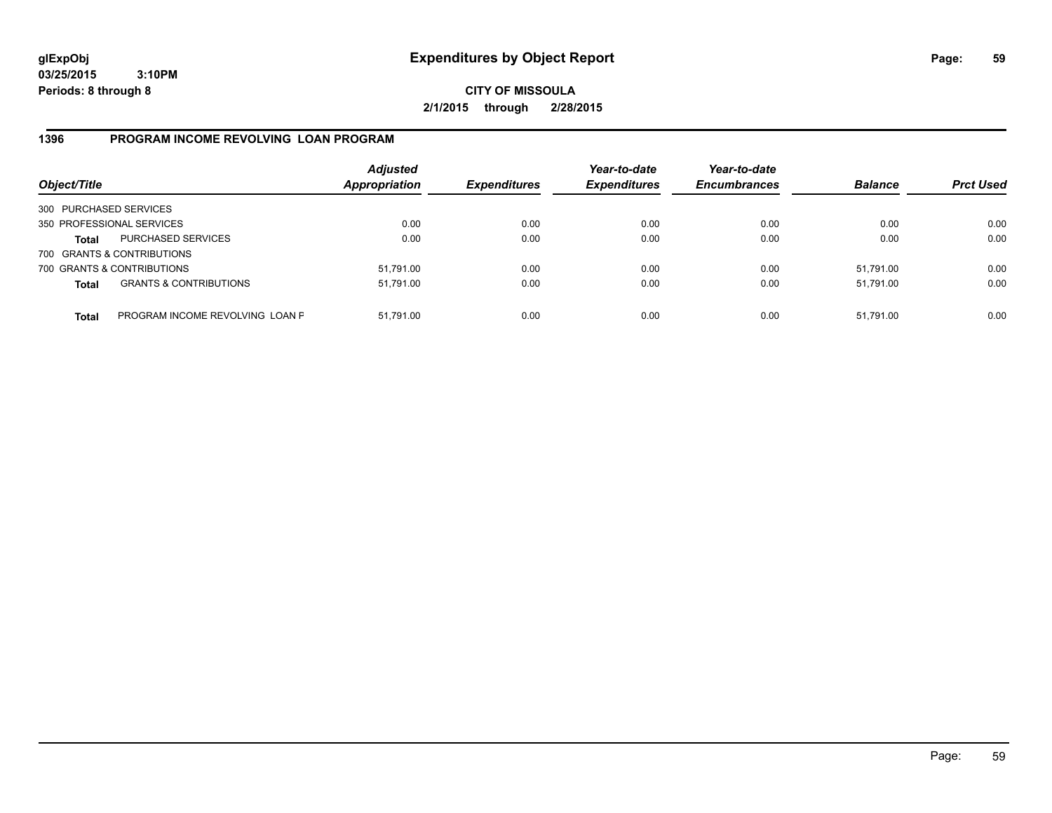# **CITY OF MISSOULA 2/1/2015 through 2/28/2015**

# **1396 PROGRAM INCOME REVOLVING LOAN PROGRAM**

| Object/Title           |                                   | <b>Adjusted</b><br>Appropriation | <b>Expenditures</b> | Year-to-date<br><b>Expenditures</b> | Year-to-date<br><b>Encumbrances</b> | <b>Balance</b> | <b>Prct Used</b> |
|------------------------|-----------------------------------|----------------------------------|---------------------|-------------------------------------|-------------------------------------|----------------|------------------|
| 300 PURCHASED SERVICES |                                   |                                  |                     |                                     |                                     |                |                  |
|                        | 350 PROFESSIONAL SERVICES         | 0.00                             | 0.00                | 0.00                                | 0.00                                | 0.00           | 0.00             |
| Total                  | <b>PURCHASED SERVICES</b>         | 0.00                             | 0.00                | 0.00                                | 0.00                                | 0.00           | 0.00             |
|                        | 700 GRANTS & CONTRIBUTIONS        |                                  |                     |                                     |                                     |                |                  |
|                        | 700 GRANTS & CONTRIBUTIONS        | 51,791.00                        | 0.00                | 0.00                                | 0.00                                | 51,791.00      | 0.00             |
| <b>Total</b>           | <b>GRANTS &amp; CONTRIBUTIONS</b> | 51,791.00                        | 0.00                | 0.00                                | 0.00                                | 51.791.00      | 0.00             |
| <b>Total</b>           | PROGRAM INCOME REVOLVING LOAN P   | 51,791.00                        | 0.00                | 0.00                                | 0.00                                | 51,791.00      | 0.00             |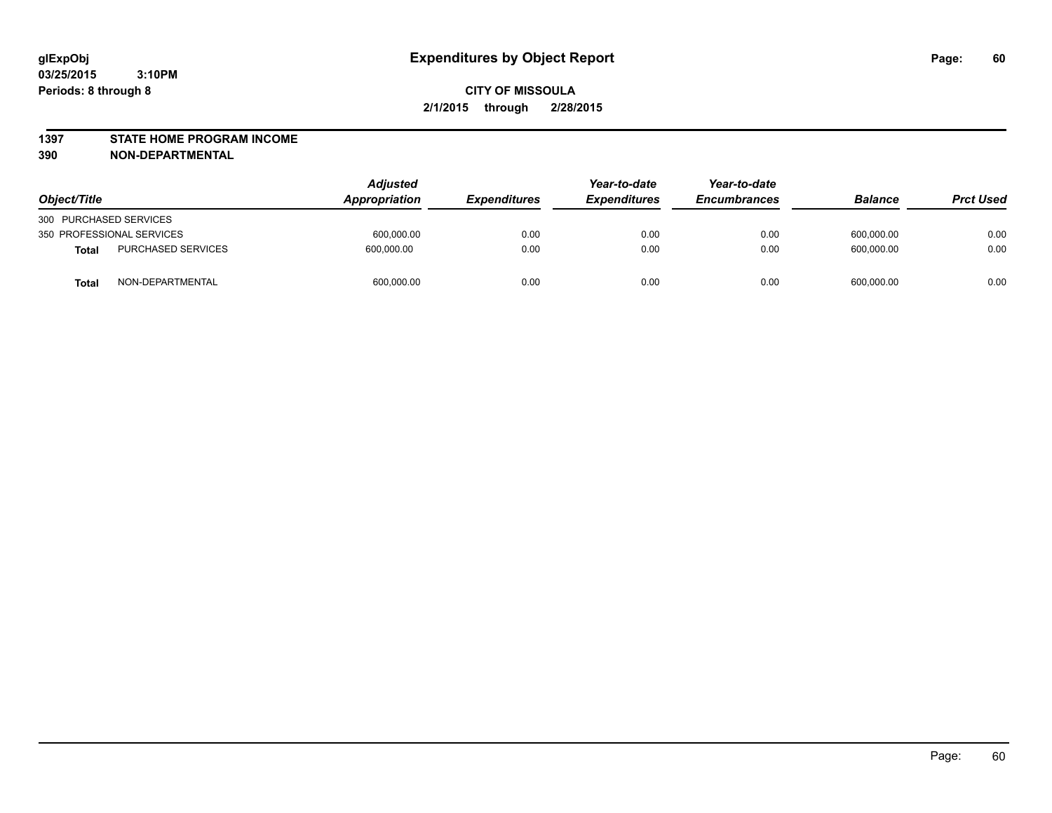#### **1397 STATE HOME PROGRAM INCOME**

**390 NON-DEPARTMENTAL**

| Object/Title              |                    | <b>Adjusted</b><br>Appropriation | <b>Expenditures</b> | Year-to-date<br><b>Expenditures</b> | Year-to-date<br><b>Encumbrances</b> | <b>Balance</b> | <b>Prct Used</b> |
|---------------------------|--------------------|----------------------------------|---------------------|-------------------------------------|-------------------------------------|----------------|------------------|
| 300 PURCHASED SERVICES    |                    |                                  |                     |                                     |                                     |                |                  |
| 350 PROFESSIONAL SERVICES |                    | 600,000.00                       | 0.00                | 0.00                                | 0.00                                | 600.000.00     | 0.00             |
| <b>Total</b>              | PURCHASED SERVICES | 600.000.00                       | 0.00                | 0.00                                | 0.00                                | 600,000.00     | 0.00             |
| <b>Total</b>              | NON-DEPARTMENTAL   | 600,000.00                       | 0.00                | 0.00                                | 0.00                                | 600,000.00     | 0.00             |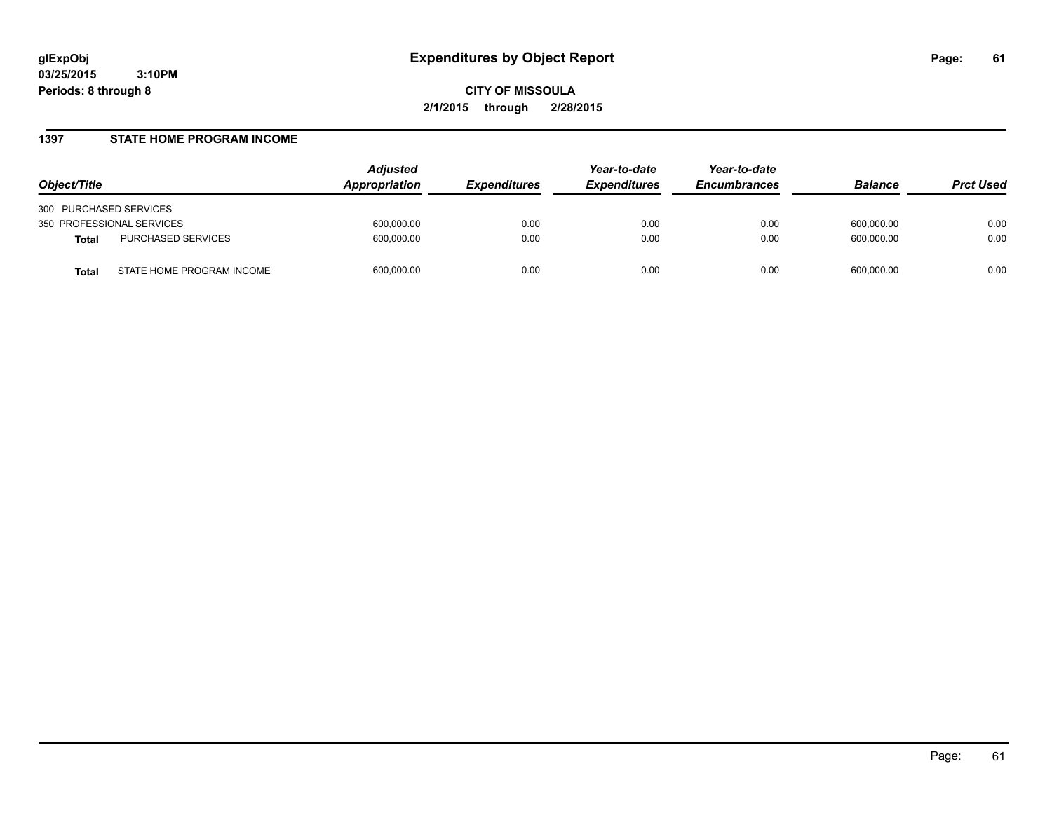**CITY OF MISSOULA 2/1/2015 through 2/28/2015**

#### **1397 STATE HOME PROGRAM INCOME**

| Object/Title                              | <b>Adjusted</b><br>Appropriation | <i><b>Expenditures</b></i> | Year-to-date<br><b>Expenditures</b> | Year-to-date<br><b>Encumbrances</b> | <b>Balance</b> | <b>Prct Used</b> |
|-------------------------------------------|----------------------------------|----------------------------|-------------------------------------|-------------------------------------|----------------|------------------|
| 300 PURCHASED SERVICES                    |                                  |                            |                                     |                                     |                |                  |
| 350 PROFESSIONAL SERVICES                 | 600,000.00                       | 0.00                       | 0.00                                | 0.00                                | 600,000.00     | 0.00             |
| PURCHASED SERVICES<br><b>Total</b>        | 600,000.00                       | 0.00                       | 0.00                                | 0.00                                | 600.000.00     | 0.00             |
| STATE HOME PROGRAM INCOME<br><b>Total</b> | 600,000.00                       | 0.00                       | 0.00                                | 0.00                                | 600,000.00     | 0.00             |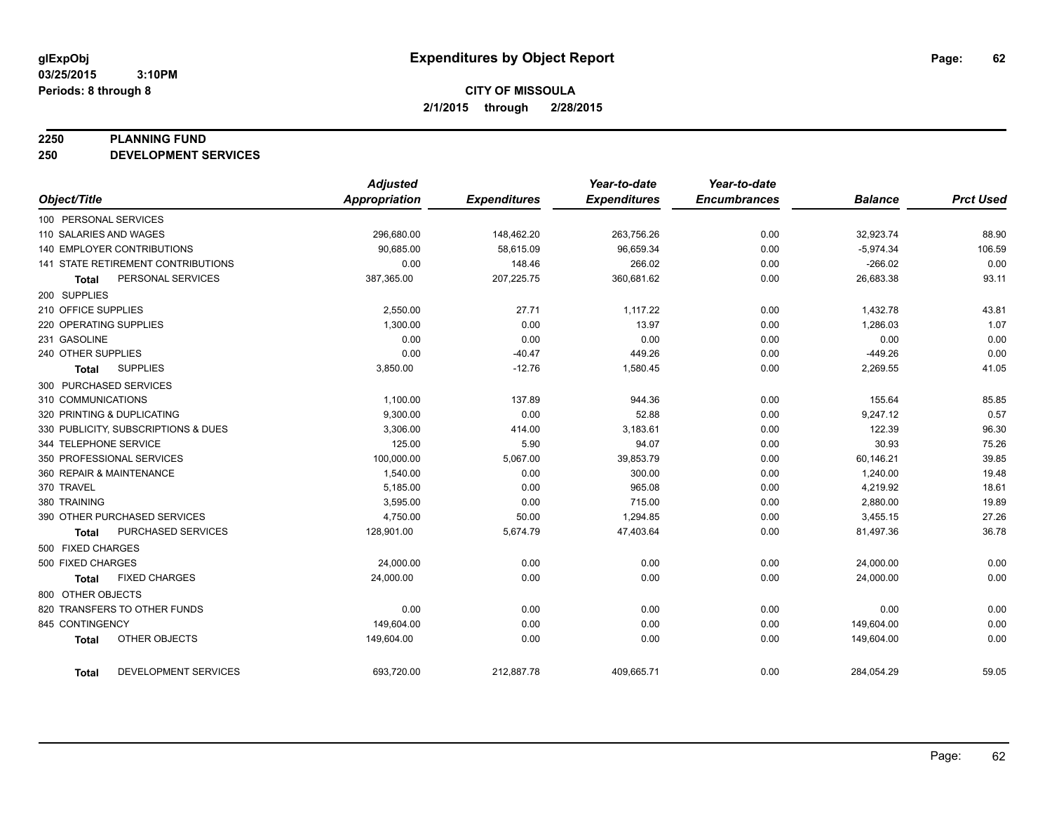#### **2250 PLANNING FUND**

**250 DEVELOPMENT SERVICES**

|                                     | <b>Adjusted</b> |                     | Year-to-date        | Year-to-date        |                |                  |
|-------------------------------------|-----------------|---------------------|---------------------|---------------------|----------------|------------------|
| Object/Title                        | Appropriation   | <b>Expenditures</b> | <b>Expenditures</b> | <b>Encumbrances</b> | <b>Balance</b> | <b>Prct Used</b> |
| 100 PERSONAL SERVICES               |                 |                     |                     |                     |                |                  |
| 110 SALARIES AND WAGES              | 296,680.00      | 148,462.20          | 263,756.26          | 0.00                | 32,923.74      | 88.90            |
| <b>140 EMPLOYER CONTRIBUTIONS</b>   | 90,685.00       | 58,615.09           | 96,659.34           | 0.00                | $-5,974.34$    | 106.59           |
| 141 STATE RETIREMENT CONTRIBUTIONS  | 0.00            | 148.46              | 266.02              | 0.00                | $-266.02$      | 0.00             |
| PERSONAL SERVICES<br><b>Total</b>   | 387,365.00      | 207,225.75          | 360,681.62          | 0.00                | 26,683.38      | 93.11            |
| 200 SUPPLIES                        |                 |                     |                     |                     |                |                  |
| 210 OFFICE SUPPLIES                 | 2,550.00        | 27.71               | 1,117.22            | 0.00                | 1,432.78       | 43.81            |
| 220 OPERATING SUPPLIES              | 1,300.00        | 0.00                | 13.97               | 0.00                | 1,286.03       | 1.07             |
| 231 GASOLINE                        | 0.00            | 0.00                | 0.00                | 0.00                | 0.00           | 0.00             |
| 240 OTHER SUPPLIES                  | 0.00            | $-40.47$            | 449.26              | 0.00                | $-449.26$      | 0.00             |
| <b>SUPPLIES</b><br>Total            | 3,850.00        | $-12.76$            | 1,580.45            | 0.00                | 2,269.55       | 41.05            |
| 300 PURCHASED SERVICES              |                 |                     |                     |                     |                |                  |
| 310 COMMUNICATIONS                  | 1,100.00        | 137.89              | 944.36              | 0.00                | 155.64         | 85.85            |
| 320 PRINTING & DUPLICATING          | 9,300.00        | 0.00                | 52.88               | 0.00                | 9,247.12       | 0.57             |
| 330 PUBLICITY, SUBSCRIPTIONS & DUES | 3.306.00        | 414.00              | 3,183.61            | 0.00                | 122.39         | 96.30            |
| 344 TELEPHONE SERVICE               | 125.00          | 5.90                | 94.07               | 0.00                | 30.93          | 75.26            |
| 350 PROFESSIONAL SERVICES           | 100,000.00      | 5,067.00            | 39,853.79           | 0.00                | 60,146.21      | 39.85            |
| 360 REPAIR & MAINTENANCE            | 1,540.00        | 0.00                | 300.00              | 0.00                | 1,240.00       | 19.48            |
| 370 TRAVEL                          | 5,185.00        | 0.00                | 965.08              | 0.00                | 4,219.92       | 18.61            |
| 380 TRAINING                        | 3,595.00        | 0.00                | 715.00              | 0.00                | 2,880.00       | 19.89            |
| 390 OTHER PURCHASED SERVICES        | 4,750.00        | 50.00               | 1,294.85            | 0.00                | 3,455.15       | 27.26            |
| PURCHASED SERVICES<br><b>Total</b>  | 128,901.00      | 5,674.79            | 47,403.64           | 0.00                | 81,497.36      | 36.78            |
| 500 FIXED CHARGES                   |                 |                     |                     |                     |                |                  |
| 500 FIXED CHARGES                   | 24,000.00       | 0.00                | 0.00                | 0.00                | 24,000.00      | 0.00             |
| <b>FIXED CHARGES</b><br>Total       | 24,000.00       | 0.00                | 0.00                | 0.00                | 24,000.00      | 0.00             |
| 800 OTHER OBJECTS                   |                 |                     |                     |                     |                |                  |
| 820 TRANSFERS TO OTHER FUNDS        | 0.00            | 0.00                | 0.00                | 0.00                | 0.00           | 0.00             |
| 845 CONTINGENCY                     | 149,604.00      | 0.00                | 0.00                | 0.00                | 149,604.00     | 0.00             |
| OTHER OBJECTS<br><b>Total</b>       | 149,604.00      | 0.00                | 0.00                | 0.00                | 149,604.00     | 0.00             |
| DEVELOPMENT SERVICES<br>Total       | 693,720.00      | 212,887.78          | 409,665.71          | 0.00                | 284,054.29     | 59.05            |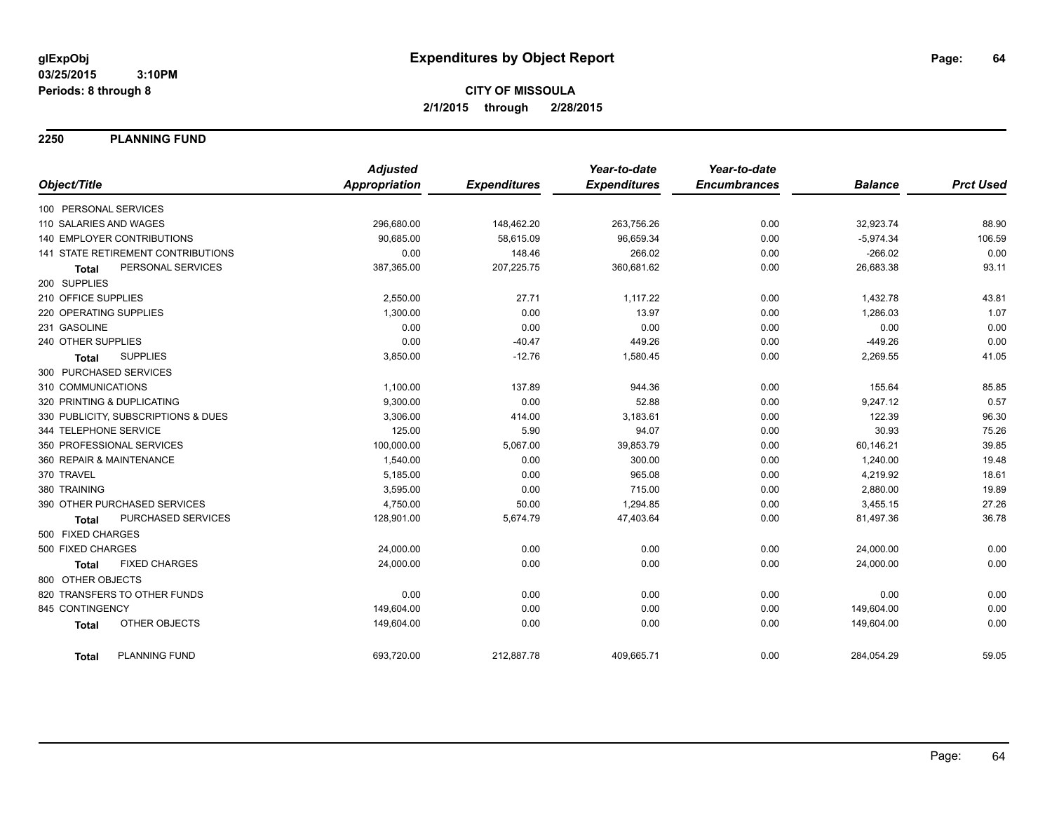**2250 PLANNING FUND**

|                                      | <b>Adjusted</b>      |                     | Year-to-date        | Year-to-date        |                |                  |
|--------------------------------------|----------------------|---------------------|---------------------|---------------------|----------------|------------------|
| Object/Title                         | <b>Appropriation</b> | <b>Expenditures</b> | <b>Expenditures</b> | <b>Encumbrances</b> | <b>Balance</b> | <b>Prct Used</b> |
| 100 PERSONAL SERVICES                |                      |                     |                     |                     |                |                  |
| 110 SALARIES AND WAGES               | 296,680.00           | 148,462.20          | 263,756.26          | 0.00                | 32,923.74      | 88.90            |
| <b>140 EMPLOYER CONTRIBUTIONS</b>    | 90,685.00            | 58,615.09           | 96,659.34           | 0.00                | $-5,974.34$    | 106.59           |
| 141 STATE RETIREMENT CONTRIBUTIONS   | 0.00                 | 148.46              | 266.02              | 0.00                | $-266.02$      | 0.00             |
| PERSONAL SERVICES<br><b>Total</b>    | 387,365.00           | 207,225.75          | 360,681.62          | 0.00                | 26,683.38      | 93.11            |
| 200 SUPPLIES                         |                      |                     |                     |                     |                |                  |
| 210 OFFICE SUPPLIES                  | 2,550.00             | 27.71               | 1,117.22            | 0.00                | 1,432.78       | 43.81            |
| 220 OPERATING SUPPLIES               | 1,300.00             | 0.00                | 13.97               | 0.00                | 1,286.03       | 1.07             |
| 231 GASOLINE                         | 0.00                 | 0.00                | 0.00                | 0.00                | 0.00           | 0.00             |
| 240 OTHER SUPPLIES                   | 0.00                 | $-40.47$            | 449.26              | 0.00                | $-449.26$      | 0.00             |
| <b>SUPPLIES</b><br><b>Total</b>      | 3,850.00             | $-12.76$            | 1,580.45            | 0.00                | 2,269.55       | 41.05            |
| 300 PURCHASED SERVICES               |                      |                     |                     |                     |                |                  |
| 310 COMMUNICATIONS                   | 1,100.00             | 137.89              | 944.36              | 0.00                | 155.64         | 85.85            |
| 320 PRINTING & DUPLICATING           | 9,300.00             | 0.00                | 52.88               | 0.00                | 9,247.12       | 0.57             |
| 330 PUBLICITY, SUBSCRIPTIONS & DUES  | 3,306.00             | 414.00              | 3,183.61            | 0.00                | 122.39         | 96.30            |
| 344 TELEPHONE SERVICE                | 125.00               | 5.90                | 94.07               | 0.00                | 30.93          | 75.26            |
| 350 PROFESSIONAL SERVICES            | 100,000.00           | 5,067.00            | 39,853.79           | 0.00                | 60,146.21      | 39.85            |
| 360 REPAIR & MAINTENANCE             | 1,540.00             | 0.00                | 300.00              | 0.00                | 1,240.00       | 19.48            |
| 370 TRAVEL                           | 5,185.00             | 0.00                | 965.08              | 0.00                | 4,219.92       | 18.61            |
| 380 TRAINING                         | 3,595.00             | 0.00                | 715.00              | 0.00                | 2,880.00       | 19.89            |
| 390 OTHER PURCHASED SERVICES         | 4,750.00             | 50.00               | 1,294.85            | 0.00                | 3,455.15       | 27.26            |
| PURCHASED SERVICES<br><b>Total</b>   | 128,901.00           | 5,674.79            | 47,403.64           | 0.00                | 81,497.36      | 36.78            |
| 500 FIXED CHARGES                    |                      |                     |                     |                     |                |                  |
| 500 FIXED CHARGES                    | 24,000.00            | 0.00                | 0.00                | 0.00                | 24,000.00      | 0.00             |
| <b>FIXED CHARGES</b><br><b>Total</b> | 24,000.00            | 0.00                | 0.00                | 0.00                | 24,000.00      | 0.00             |
| 800 OTHER OBJECTS                    |                      |                     |                     |                     |                |                  |
| 820 TRANSFERS TO OTHER FUNDS         | 0.00                 | 0.00                | 0.00                | 0.00                | 0.00           | 0.00             |
| 845 CONTINGENCY                      | 149,604.00           | 0.00                | 0.00                | 0.00                | 149,604.00     | 0.00             |
| OTHER OBJECTS<br><b>Total</b>        | 149,604.00           | 0.00                | 0.00                | 0.00                | 149,604.00     | 0.00             |
| PLANNING FUND<br><b>Total</b>        | 693,720.00           | 212,887.78          | 409,665.71          | 0.00                | 284,054.29     | 59.05            |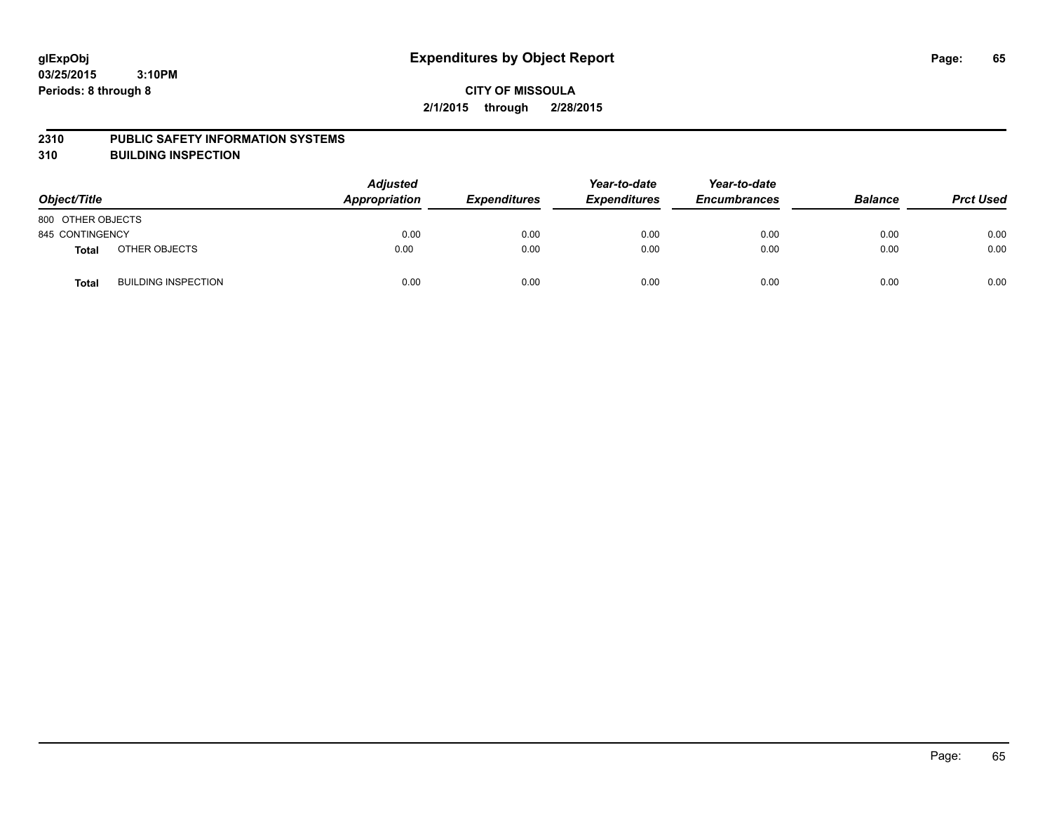#### **2310 PUBLIC SAFETY INFORMATION SYSTEMS**

**310 BUILDING INSPECTION**

| Object/Title      |                            | <b>Adjusted</b><br>Appropriation | <b>Expenditures</b> | Year-to-date<br><b>Expenditures</b> | Year-to-date<br><b>Encumbrances</b> | <b>Balance</b> | <b>Prct Used</b> |
|-------------------|----------------------------|----------------------------------|---------------------|-------------------------------------|-------------------------------------|----------------|------------------|
| 800 OTHER OBJECTS |                            |                                  |                     |                                     |                                     |                |                  |
| 845 CONTINGENCY   |                            | 0.00                             | 0.00                | 0.00                                | 0.00                                | 0.00           | 0.00             |
| <b>Total</b>      | OTHER OBJECTS              | 0.00                             | 0.00                | 0.00                                | 0.00                                | 0.00           | 0.00             |
| <b>Total</b>      | <b>BUILDING INSPECTION</b> | 0.00                             | 0.00                | 0.00                                | 0.00                                | 0.00           | 0.00             |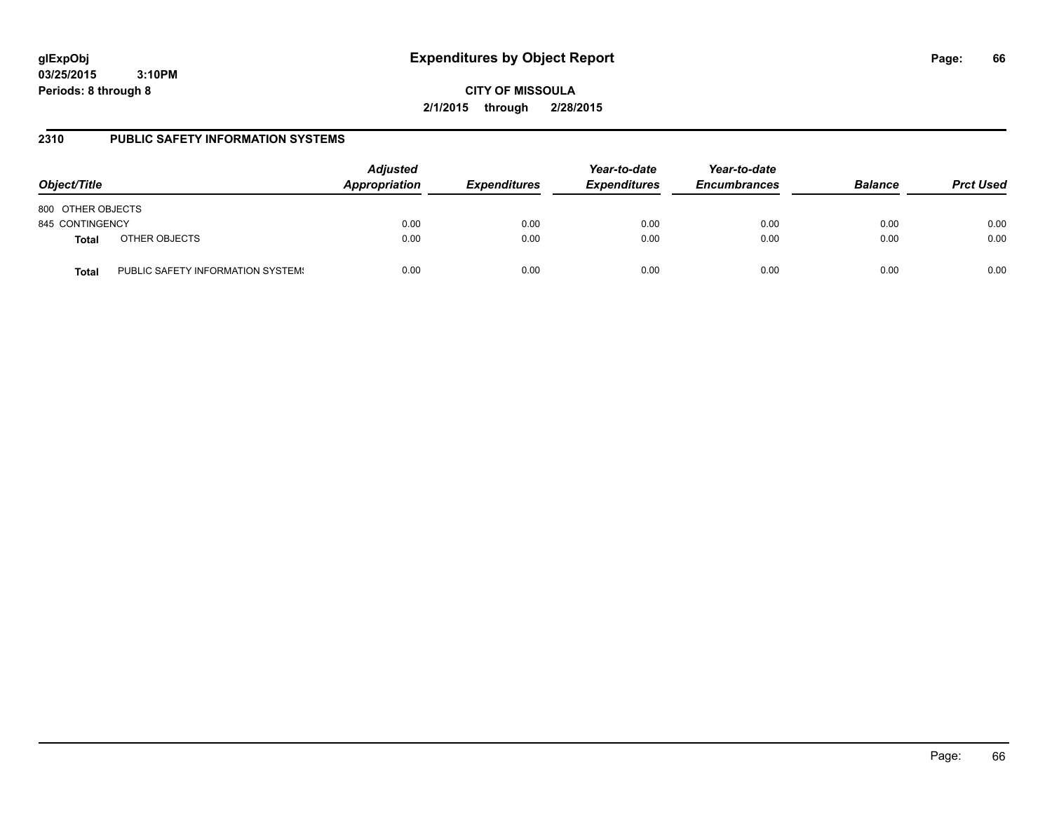# **glExpObj Expenditures by Object Report Page: 66**

**03/25/2015 3:10PM Periods: 8 through 8**

**CITY OF MISSOULA 2/1/2015 through 2/28/2015**

### **2310 PUBLIC SAFETY INFORMATION SYSTEMS**

| Object/Title      |                                   | <b>Adjusted</b><br><b>Appropriation</b> | <b>Expenditures</b> | Year-to-date<br><b>Expenditures</b> | Year-to-date<br><b>Encumbrances</b> | <b>Balance</b> | <b>Prct Used</b> |
|-------------------|-----------------------------------|-----------------------------------------|---------------------|-------------------------------------|-------------------------------------|----------------|------------------|
| 800 OTHER OBJECTS |                                   |                                         |                     |                                     |                                     |                |                  |
| 845 CONTINGENCY   |                                   | 0.00                                    | 0.00                | 0.00                                | 0.00                                | 0.00           | 0.00             |
| <b>Total</b>      | OTHER OBJECTS                     | 0.00                                    | 0.00                | 0.00                                | 0.00                                | 0.00           | 0.00             |
| <b>Total</b>      | PUBLIC SAFETY INFORMATION SYSTEM! | 0.00                                    | 0.00                | 0.00                                | 0.00                                | 0.00           | 0.00             |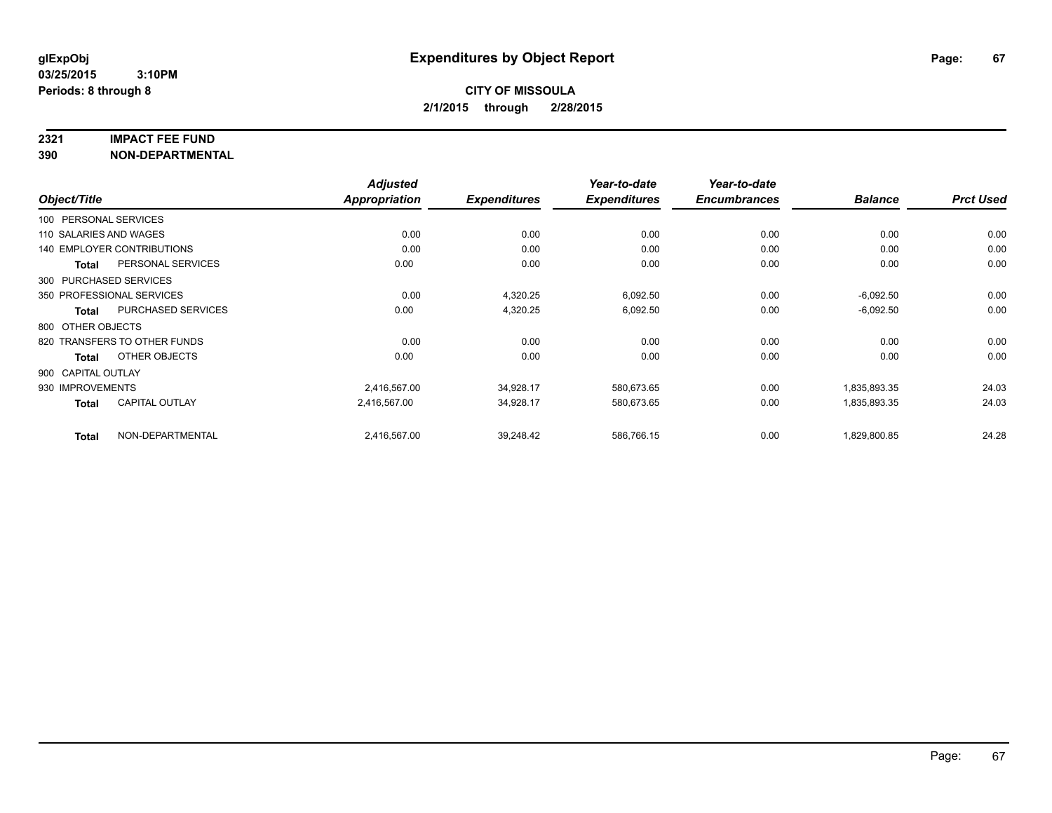#### **2321 IMPACT FEE FUND**

**390 NON-DEPARTMENTAL**

|                        |                                   | <b>Adjusted</b>      |                     | Year-to-date        | Year-to-date        |                |                  |
|------------------------|-----------------------------------|----------------------|---------------------|---------------------|---------------------|----------------|------------------|
| Object/Title           |                                   | <b>Appropriation</b> | <b>Expenditures</b> | <b>Expenditures</b> | <b>Encumbrances</b> | <b>Balance</b> | <b>Prct Used</b> |
| 100 PERSONAL SERVICES  |                                   |                      |                     |                     |                     |                |                  |
| 110 SALARIES AND WAGES |                                   | 0.00                 | 0.00                | 0.00                | 0.00                | 0.00           | 0.00             |
|                        | <b>140 EMPLOYER CONTRIBUTIONS</b> | 0.00                 | 0.00                | 0.00                | 0.00                | 0.00           | 0.00             |
| <b>Total</b>           | PERSONAL SERVICES                 | 0.00                 | 0.00                | 0.00                | 0.00                | 0.00           | 0.00             |
|                        | 300 PURCHASED SERVICES            |                      |                     |                     |                     |                |                  |
|                        | 350 PROFESSIONAL SERVICES         | 0.00                 | 4,320.25            | 6,092.50            | 0.00                | $-6,092.50$    | 0.00             |
| Total                  | <b>PURCHASED SERVICES</b>         | 0.00                 | 4,320.25            | 6,092.50            | 0.00                | $-6,092.50$    | 0.00             |
| 800 OTHER OBJECTS      |                                   |                      |                     |                     |                     |                |                  |
|                        | 820 TRANSFERS TO OTHER FUNDS      | 0.00                 | 0.00                | 0.00                | 0.00                | 0.00           | 0.00             |
| Total                  | OTHER OBJECTS                     | 0.00                 | 0.00                | 0.00                | 0.00                | 0.00           | 0.00             |
| 900 CAPITAL OUTLAY     |                                   |                      |                     |                     |                     |                |                  |
| 930 IMPROVEMENTS       |                                   | 2,416,567.00         | 34,928.17           | 580,673.65          | 0.00                | 1,835,893.35   | 24.03            |
| Total                  | CAPITAL OUTLAY                    | 2,416,567.00         | 34,928.17           | 580,673.65          | 0.00                | 1,835,893.35   | 24.03            |
| <b>Total</b>           | NON-DEPARTMENTAL                  | 2,416,567.00         | 39,248.42           | 586,766.15          | 0.00                | 1,829,800.85   | 24.28            |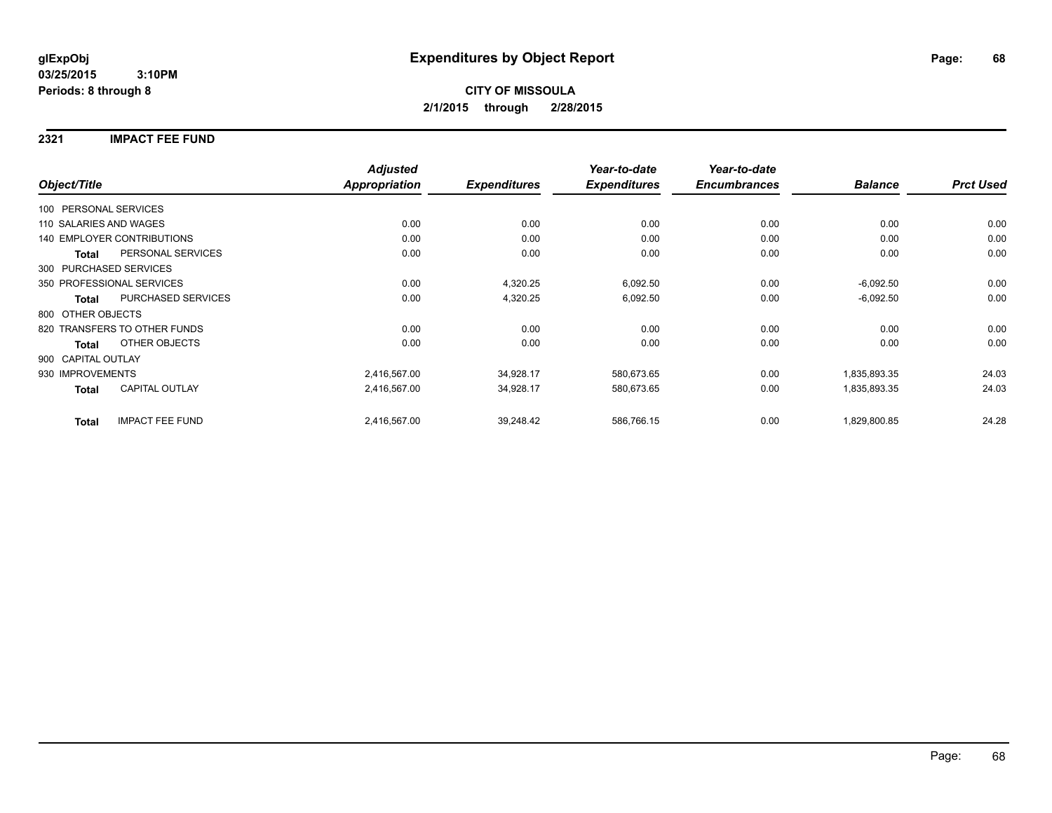### **2321 IMPACT FEE FUND**

|                        |                                   | <b>Adjusted</b>      |                     | Year-to-date        | Year-to-date        |                |                  |
|------------------------|-----------------------------------|----------------------|---------------------|---------------------|---------------------|----------------|------------------|
| Object/Title           |                                   | <b>Appropriation</b> | <b>Expenditures</b> | <b>Expenditures</b> | <b>Encumbrances</b> | <b>Balance</b> | <b>Prct Used</b> |
| 100 PERSONAL SERVICES  |                                   |                      |                     |                     |                     |                |                  |
| 110 SALARIES AND WAGES |                                   | 0.00                 | 0.00                | 0.00                | 0.00                | 0.00           | 0.00             |
|                        | <b>140 EMPLOYER CONTRIBUTIONS</b> | 0.00                 | 0.00                | 0.00                | 0.00                | 0.00           | 0.00             |
| <b>Total</b>           | PERSONAL SERVICES                 | 0.00                 | 0.00                | 0.00                | 0.00                | 0.00           | 0.00             |
|                        | 300 PURCHASED SERVICES            |                      |                     |                     |                     |                |                  |
|                        | 350 PROFESSIONAL SERVICES         | 0.00                 | 4,320.25            | 6,092.50            | 0.00                | $-6,092.50$    | 0.00             |
| <b>Total</b>           | PURCHASED SERVICES                | 0.00                 | 4,320.25            | 6,092.50            | 0.00                | $-6,092.50$    | 0.00             |
| 800 OTHER OBJECTS      |                                   |                      |                     |                     |                     |                |                  |
|                        | 820 TRANSFERS TO OTHER FUNDS      | 0.00                 | 0.00                | 0.00                | 0.00                | 0.00           | 0.00             |
| <b>Total</b>           | OTHER OBJECTS                     | 0.00                 | 0.00                | 0.00                | 0.00                | 0.00           | 0.00             |
| 900 CAPITAL OUTLAY     |                                   |                      |                     |                     |                     |                |                  |
| 930 IMPROVEMENTS       |                                   | 2,416,567.00         | 34,928.17           | 580,673.65          | 0.00                | 1,835,893.35   | 24.03            |
| <b>Total</b>           | <b>CAPITAL OUTLAY</b>             | 2,416,567.00         | 34,928.17           | 580,673.65          | 0.00                | 1,835,893.35   | 24.03            |
| <b>Total</b>           | <b>IMPACT FEE FUND</b>            | 2,416,567.00         | 39,248.42           | 586,766.15          | 0.00                | 1,829,800.85   | 24.28            |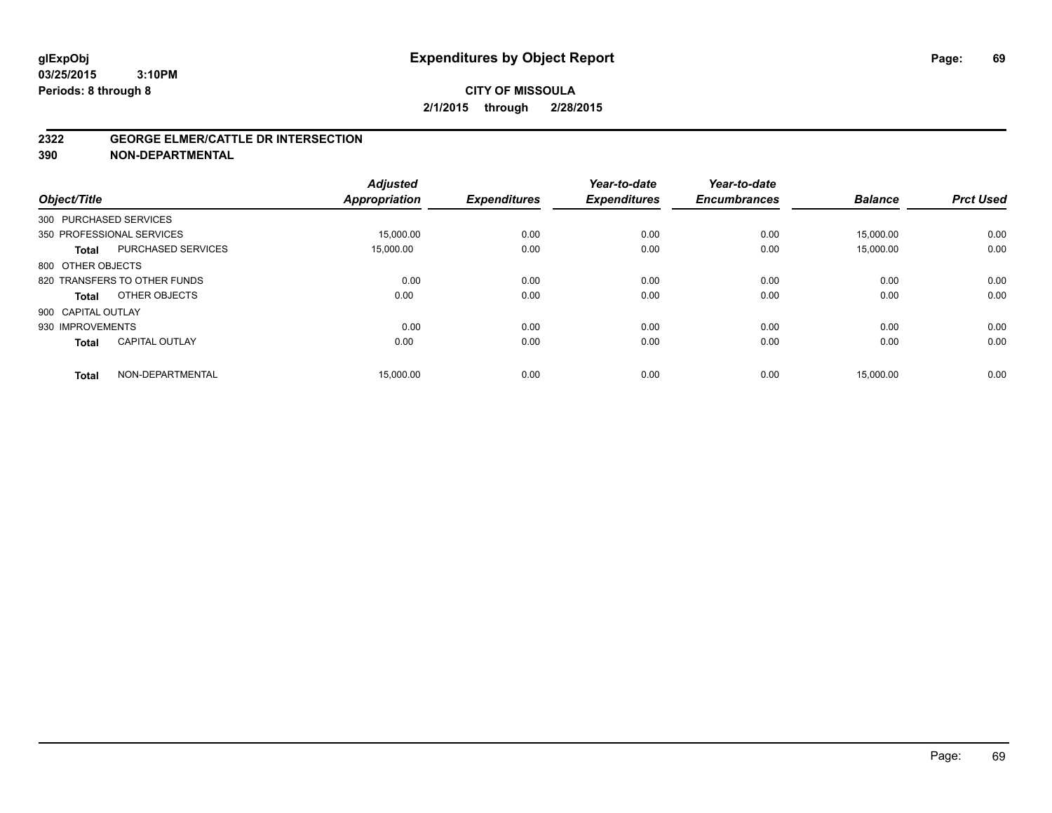#### **2322 GEORGE ELMER/CATTLE DR INTERSECTION**

**390 NON-DEPARTMENTAL**

| Object/Title           |                              | <b>Adjusted</b><br><b>Appropriation</b> | <b>Expenditures</b> | Year-to-date<br><b>Expenditures</b> | Year-to-date<br><b>Encumbrances</b> | <b>Balance</b> | <b>Prct Used</b> |
|------------------------|------------------------------|-----------------------------------------|---------------------|-------------------------------------|-------------------------------------|----------------|------------------|
| 300 PURCHASED SERVICES |                              |                                         |                     |                                     |                                     |                |                  |
|                        | 350 PROFESSIONAL SERVICES    | 15.000.00                               | 0.00                | 0.00                                | 0.00                                | 15.000.00      | 0.00             |
| <b>Total</b>           | <b>PURCHASED SERVICES</b>    | 15,000.00                               | 0.00                | 0.00                                | 0.00                                | 15,000.00      | 0.00             |
| 800 OTHER OBJECTS      |                              |                                         |                     |                                     |                                     |                |                  |
|                        | 820 TRANSFERS TO OTHER FUNDS | 0.00                                    | 0.00                | 0.00                                | 0.00                                | 0.00           | 0.00             |
| Total                  | OTHER OBJECTS                | 0.00                                    | 0.00                | 0.00                                | 0.00                                | 0.00           | 0.00             |
| 900 CAPITAL OUTLAY     |                              |                                         |                     |                                     |                                     |                |                  |
| 930 IMPROVEMENTS       |                              | 0.00                                    | 0.00                | 0.00                                | 0.00                                | 0.00           | 0.00             |
| <b>Total</b>           | <b>CAPITAL OUTLAY</b>        | 0.00                                    | 0.00                | 0.00                                | 0.00                                | 0.00           | 0.00             |
| <b>Total</b>           | NON-DEPARTMENTAL             | 15,000.00                               | 0.00                | 0.00                                | 0.00                                | 15,000.00      | 0.00             |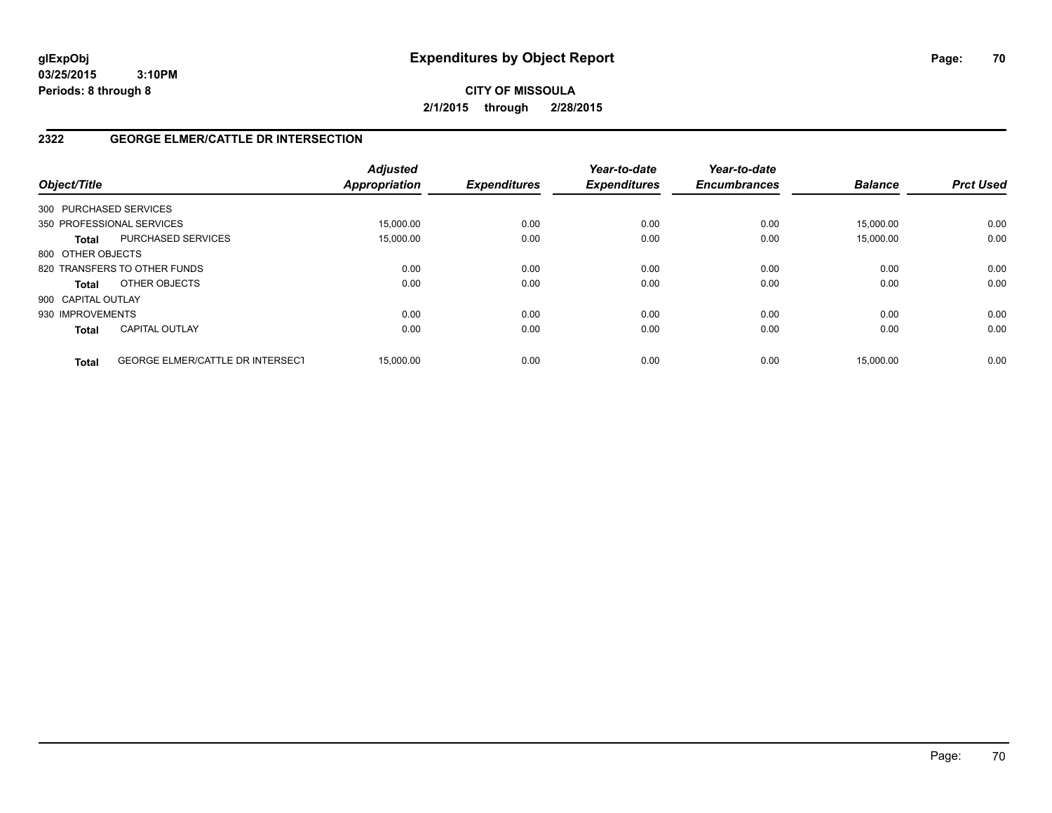# **CITY OF MISSOULA 2/1/2015 through 2/28/2015**

# **2322 GEORGE ELMER/CATTLE DR INTERSECTION**

| Object/Title       |                                         | <b>Adjusted</b><br>Appropriation | <b>Expenditures</b> | Year-to-date<br><b>Expenditures</b> | Year-to-date<br><b>Encumbrances</b> | <b>Balance</b> | <b>Prct Used</b> |
|--------------------|-----------------------------------------|----------------------------------|---------------------|-------------------------------------|-------------------------------------|----------------|------------------|
|                    | 300 PURCHASED SERVICES                  |                                  |                     |                                     |                                     |                |                  |
|                    | 350 PROFESSIONAL SERVICES               | 15.000.00                        | 0.00                | 0.00                                | 0.00                                | 15.000.00      | 0.00             |
| <b>Total</b>       | <b>PURCHASED SERVICES</b>               | 15,000.00                        | 0.00                | 0.00                                | 0.00                                | 15.000.00      | 0.00             |
| 800 OTHER OBJECTS  |                                         |                                  |                     |                                     |                                     |                |                  |
|                    | 820 TRANSFERS TO OTHER FUNDS            | 0.00                             | 0.00                | 0.00                                | 0.00                                | 0.00           | 0.00             |
| <b>Total</b>       | OTHER OBJECTS                           | 0.00                             | 0.00                | 0.00                                | 0.00                                | 0.00           | 0.00             |
| 900 CAPITAL OUTLAY |                                         |                                  |                     |                                     |                                     |                |                  |
| 930 IMPROVEMENTS   |                                         | 0.00                             | 0.00                | 0.00                                | 0.00                                | 0.00           | 0.00             |
| <b>Total</b>       | <b>CAPITAL OUTLAY</b>                   | 0.00                             | 0.00                | 0.00                                | 0.00                                | 0.00           | 0.00             |
| <b>Total</b>       | <b>GEORGE ELMER/CATTLE DR INTERSECT</b> | 15.000.00                        | 0.00                | 0.00                                | 0.00                                | 15.000.00      | 0.00             |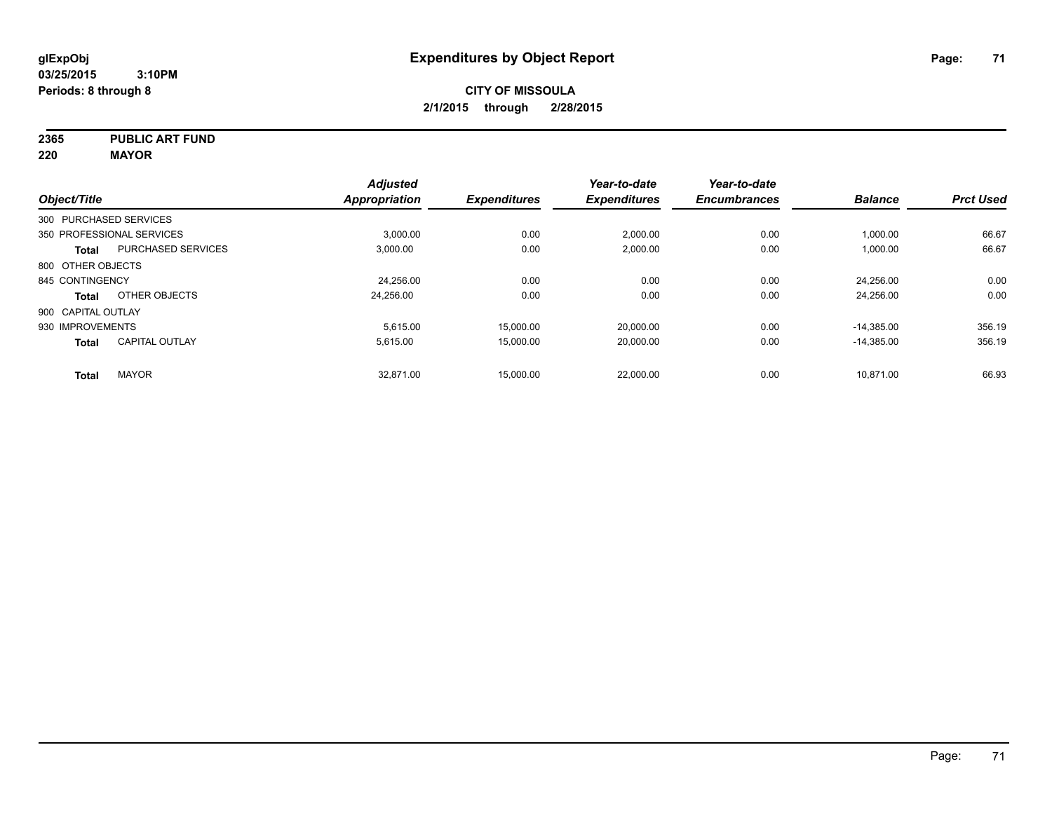**2365 PUBLIC ART FUND**

**220 MAYOR**

|                        |                           | <b>Adjusted</b> |                     | Year-to-date        | Year-to-date        |                |                  |
|------------------------|---------------------------|-----------------|---------------------|---------------------|---------------------|----------------|------------------|
| Object/Title           |                           | Appropriation   | <b>Expenditures</b> | <b>Expenditures</b> | <b>Encumbrances</b> | <b>Balance</b> | <b>Prct Used</b> |
| 300 PURCHASED SERVICES |                           |                 |                     |                     |                     |                |                  |
|                        | 350 PROFESSIONAL SERVICES | 3,000.00        | 0.00                | 2,000.00            | 0.00                | 1,000.00       | 66.67            |
| <b>Total</b>           | <b>PURCHASED SERVICES</b> | 3.000.00        | 0.00                | 2,000.00            | 0.00                | 1,000.00       | 66.67            |
| 800 OTHER OBJECTS      |                           |                 |                     |                     |                     |                |                  |
| 845 CONTINGENCY        |                           | 24,256.00       | 0.00                | 0.00                | 0.00                | 24.256.00      | 0.00             |
| Total                  | OTHER OBJECTS             | 24.256.00       | 0.00                | 0.00                | 0.00                | 24.256.00      | 0.00             |
| 900 CAPITAL OUTLAY     |                           |                 |                     |                     |                     |                |                  |
| 930 IMPROVEMENTS       |                           | 5.615.00        | 15.000.00           | 20.000.00           | 0.00                | $-14.385.00$   | 356.19           |
| <b>Total</b>           | <b>CAPITAL OUTLAY</b>     | 5,615.00        | 15,000.00           | 20,000.00           | 0.00                | $-14,385.00$   | 356.19           |
| <b>Total</b>           | <b>MAYOR</b>              | 32.871.00       | 15,000.00           | 22,000.00           | 0.00                | 10.871.00      | 66.93            |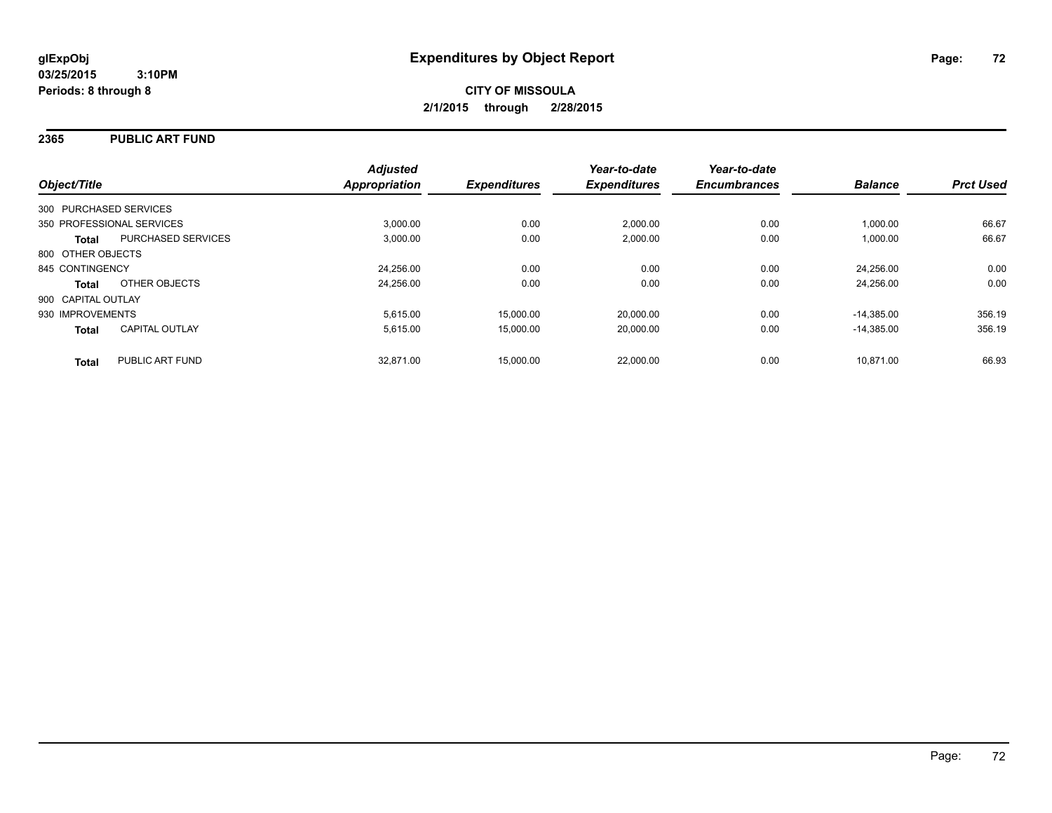### **2365 PUBLIC ART FUND**

| Object/Title                              | <b>Adjusted</b><br>Appropriation | <b>Expenditures</b> | Year-to-date<br><b>Expenditures</b> | Year-to-date<br><b>Encumbrances</b> | <b>Balance</b> | <b>Prct Used</b> |
|-------------------------------------------|----------------------------------|---------------------|-------------------------------------|-------------------------------------|----------------|------------------|
| 300 PURCHASED SERVICES                    |                                  |                     |                                     |                                     |                |                  |
| 350 PROFESSIONAL SERVICES                 | 3.000.00                         | 0.00                | 2.000.00                            | 0.00                                | 1,000.00       | 66.67            |
| <b>PURCHASED SERVICES</b><br><b>Total</b> | 3.000.00                         | 0.00                | 2.000.00                            | 0.00                                | 1,000.00       | 66.67            |
| 800 OTHER OBJECTS                         |                                  |                     |                                     |                                     |                |                  |
| 845 CONTINGENCY                           | 24.256.00                        | 0.00                | 0.00                                | 0.00                                | 24.256.00      | 0.00             |
| OTHER OBJECTS<br><b>Total</b>             | 24,256.00                        | 0.00                | 0.00                                | 0.00                                | 24.256.00      | 0.00             |
| 900 CAPITAL OUTLAY                        |                                  |                     |                                     |                                     |                |                  |
| 930 IMPROVEMENTS                          | 5,615.00                         | 15,000.00           | 20,000.00                           | 0.00                                | $-14.385.00$   | 356.19           |
| <b>CAPITAL OUTLAY</b><br><b>Total</b>     | 5,615.00                         | 15,000.00           | 20,000.00                           | 0.00                                | $-14.385.00$   | 356.19           |
| PUBLIC ART FUND<br><b>Total</b>           | 32.871.00                        | 15,000.00           | 22.000.00                           | 0.00                                | 10.871.00      | 66.93            |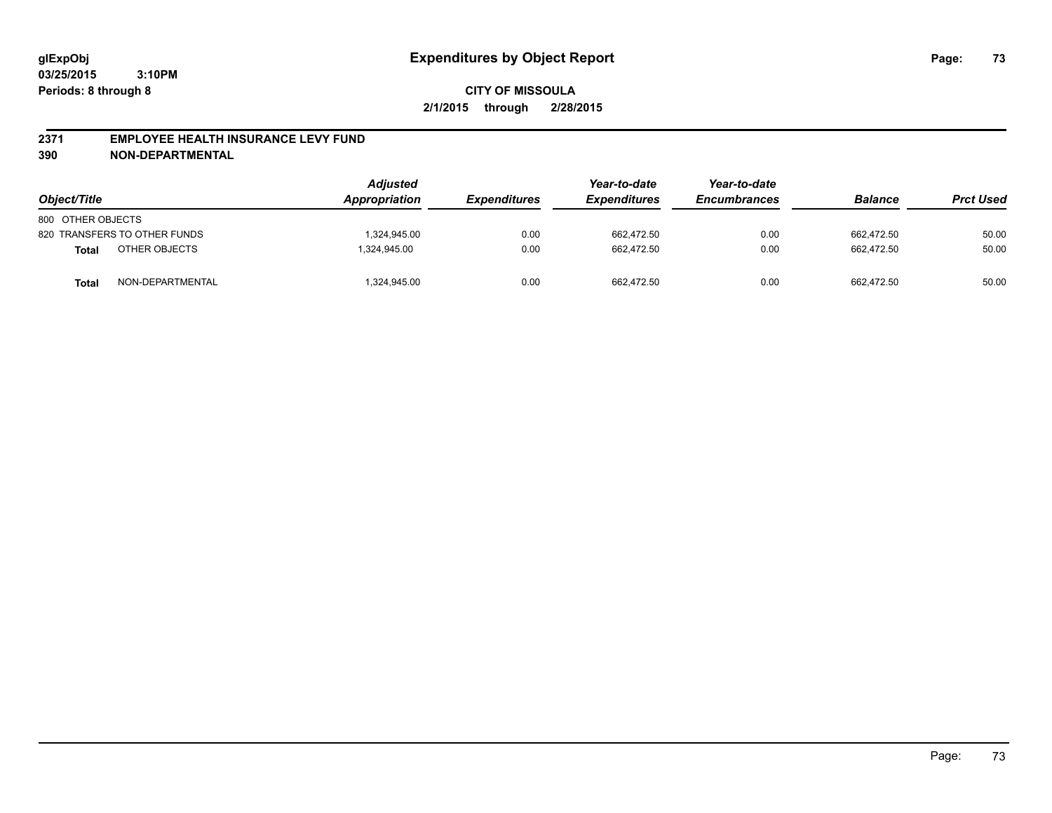#### **2371 EMPLOYEE HEALTH INSURANCE LEVY FUND**

**390 NON-DEPARTMENTAL**

| Object/Title                 |                  | <b>Adjusted</b><br>Appropriation | <i><b>Expenditures</b></i> | Year-to-date<br><b>Expenditures</b> | Year-to-date<br><b>Encumbrances</b> | <b>Balance</b> | <b>Prct Used</b> |
|------------------------------|------------------|----------------------------------|----------------------------|-------------------------------------|-------------------------------------|----------------|------------------|
| 800 OTHER OBJECTS            |                  |                                  |                            |                                     |                                     |                |                  |
| 820 TRANSFERS TO OTHER FUNDS |                  | 1,324,945.00                     | 0.00                       | 662,472.50                          | 0.00                                | 662.472.50     | 50.00            |
| <b>Total</b>                 | OTHER OBJECTS    | 1.324.945.00                     | 0.00                       | 662.472.50                          | 0.00                                | 662.472.50     | 50.00            |
| Total                        | NON-DEPARTMENTAL | 1,324,945.00                     | 0.00                       | 662,472.50                          | 0.00                                | 662.472.50     | 50.00            |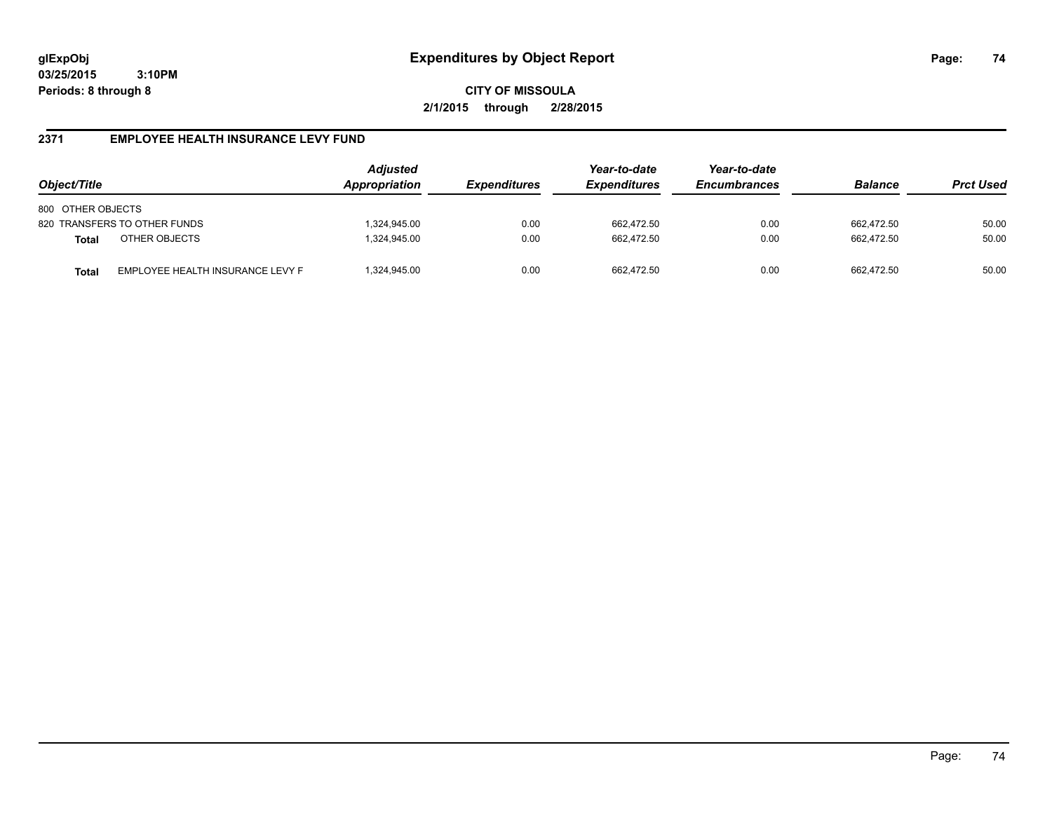**CITY OF MISSOULA 2/1/2015 through 2/28/2015**

## **2371 EMPLOYEE HEALTH INSURANCE LEVY FUND**

| Object/Title                                     | <b>Adjusted</b><br>Appropriation<br><i><b>Expenditures</b></i> |      | Year-to-date<br><b>Expenditures</b> | Year-to-date<br><b>Encumbrances</b> | <b>Balance</b> | <b>Prct Used</b> |
|--------------------------------------------------|----------------------------------------------------------------|------|-------------------------------------|-------------------------------------|----------------|------------------|
| 800 OTHER OBJECTS                                |                                                                |      |                                     |                                     |                |                  |
| 820 TRANSFERS TO OTHER FUNDS                     | ,324,945.00                                                    | 0.00 | 662,472.50                          | 0.00                                | 662.472.50     | 50.00            |
| OTHER OBJECTS<br><b>Total</b>                    | 324,945.00                                                     | 0.00 | 662.472.50                          | 0.00                                | 662.472.50     | 50.00            |
| EMPLOYEE HEALTH INSURANCE LEVY F<br><b>Total</b> | ,324,945.00                                                    | 0.00 | 662.472.50                          | 0.00                                | 662.472.50     | 50.00            |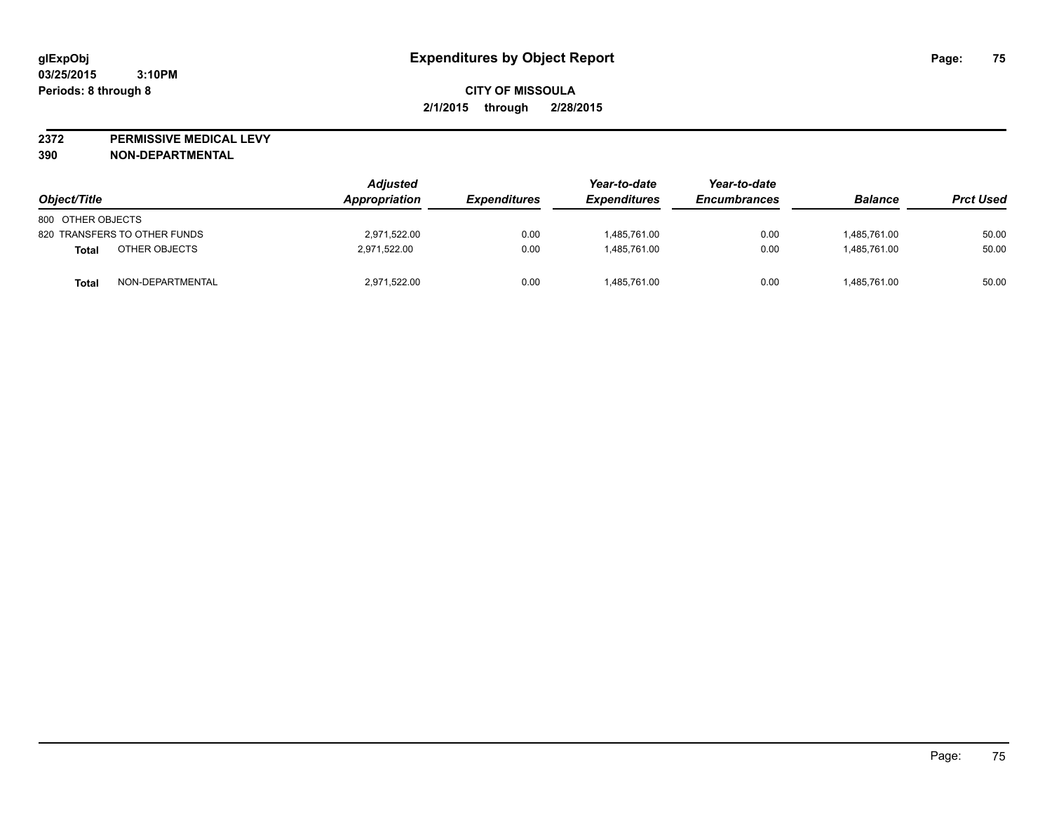**2372 PERMISSIVE MEDICAL LEVY**

**390 NON-DEPARTMENTAL**

| Object/Title                 | <b>Adjusted</b><br>Appropriation | <b>Expenditures</b> | Year-to-date<br><b>Expenditures</b> | Year-to-date<br><b>Encumbrances</b> | <b>Balance</b> | <b>Prct Used</b> |
|------------------------------|----------------------------------|---------------------|-------------------------------------|-------------------------------------|----------------|------------------|
| 800 OTHER OBJECTS            |                                  |                     |                                     |                                     |                |                  |
| 820 TRANSFERS TO OTHER FUNDS | 2,971,522.00                     | 0.00                | 1,485,761.00                        | 0.00                                | 1,485,761.00   | 50.00            |
| OTHER OBJECTS<br>Total       | 2.971.522.00                     | 0.00                | 1,485,761.00                        | 0.00                                | 1.485.761.00   | 50.00            |
| NON-DEPARTMENTAL<br>Total    | 2,971,522.00                     | 0.00                | 1,485,761.00                        | 0.00                                | 1,485,761.00   | 50.00            |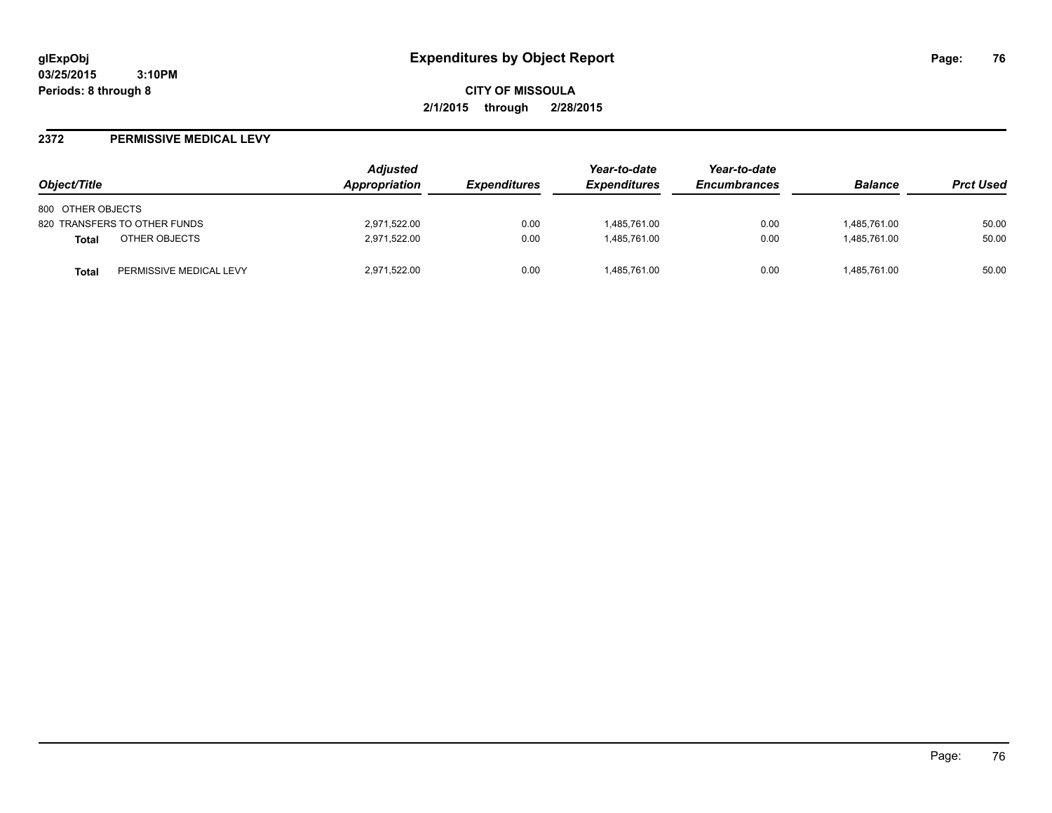**CITY OF MISSOULA 2/1/2015 through 2/28/2015**

#### **2372 PERMISSIVE MEDICAL LEVY**

| Object/Title                            | Adjusted<br>Appropriation | <i><b>Expenditures</b></i> | Year-to-date<br><b>Expenditures</b> | Year-to-date<br><b>Encumbrances</b> | <b>Balance</b> | <b>Prct Used</b> |
|-----------------------------------------|---------------------------|----------------------------|-------------------------------------|-------------------------------------|----------------|------------------|
| 800 OTHER OBJECTS                       |                           |                            |                                     |                                     |                |                  |
| 820 TRANSFERS TO OTHER FUNDS            | 2,971,522.00              | 0.00                       | 1,485,761.00                        | 0.00                                | 1,485,761.00   | 50.00            |
| OTHER OBJECTS<br><b>Total</b>           | 2,971,522.00              | 0.00                       | 1.485.761.00                        | 0.00                                | 1.485.761.00   | 50.00            |
| PERMISSIVE MEDICAL LEVY<br><b>Total</b> | 2,971,522.00              | 0.00                       | 1,485,761.00                        | 0.00                                | 1,485,761.00   | 50.00            |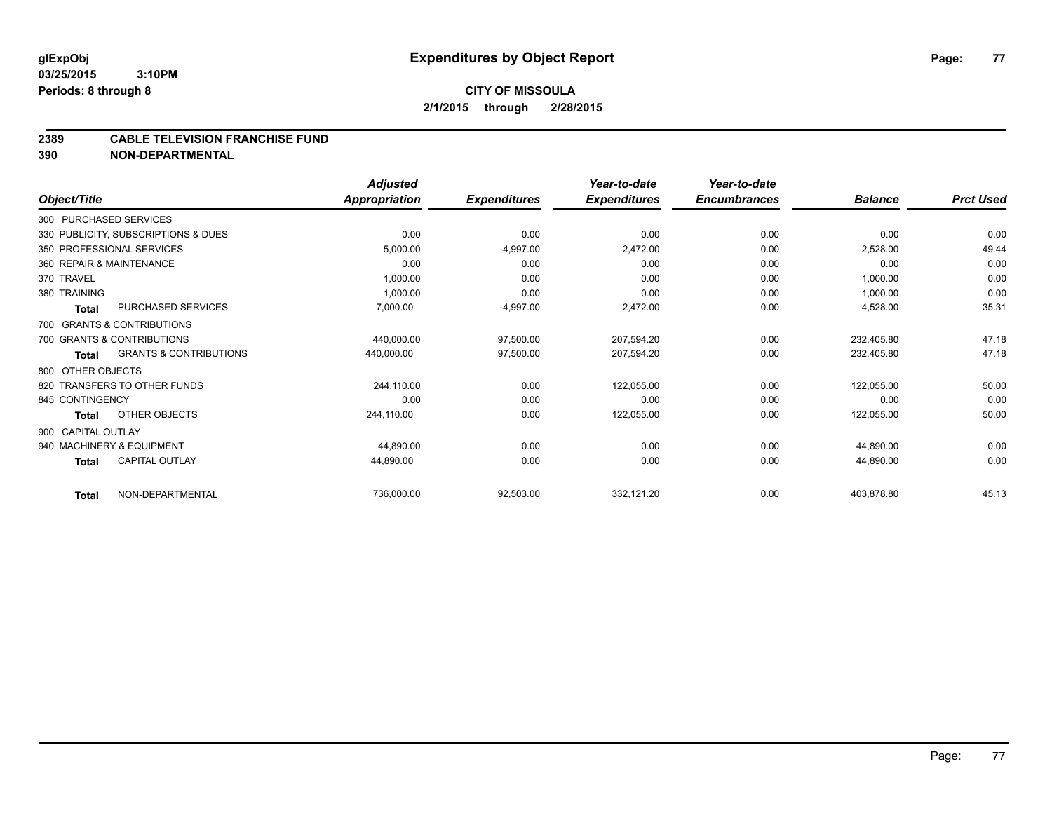#### **2389 CABLE TELEVISION FRANCHISE FUND**

**390 NON-DEPARTMENTAL**

|                        |                                     | <b>Adjusted</b> |                     | Year-to-date        | Year-to-date        |                |                  |
|------------------------|-------------------------------------|-----------------|---------------------|---------------------|---------------------|----------------|------------------|
| Object/Title           |                                     | Appropriation   | <b>Expenditures</b> | <b>Expenditures</b> | <b>Encumbrances</b> | <b>Balance</b> | <b>Prct Used</b> |
| 300 PURCHASED SERVICES |                                     |                 |                     |                     |                     |                |                  |
|                        | 330 PUBLICITY, SUBSCRIPTIONS & DUES | 0.00            | 0.00                | 0.00                | 0.00                | 0.00           | 0.00             |
|                        | 350 PROFESSIONAL SERVICES           | 5,000.00        | $-4,997.00$         | 2,472.00            | 0.00                | 2,528.00       | 49.44            |
|                        | 360 REPAIR & MAINTENANCE            | 0.00            | 0.00                | 0.00                | 0.00                | 0.00           | 0.00             |
| 370 TRAVEL             |                                     | 1,000.00        | 0.00                | 0.00                | 0.00                | 1,000.00       | 0.00             |
| 380 TRAINING           |                                     | 1,000.00        | 0.00                | 0.00                | 0.00                | 1,000.00       | 0.00             |
| <b>Total</b>           | PURCHASED SERVICES                  | 7,000.00        | $-4,997.00$         | 2,472.00            | 0.00                | 4,528.00       | 35.31            |
|                        | 700 GRANTS & CONTRIBUTIONS          |                 |                     |                     |                     |                |                  |
|                        | 700 GRANTS & CONTRIBUTIONS          | 440,000.00      | 97,500.00           | 207,594.20          | 0.00                | 232,405.80     | 47.18            |
| <b>Total</b>           | <b>GRANTS &amp; CONTRIBUTIONS</b>   | 440,000.00      | 97,500.00           | 207,594.20          | 0.00                | 232,405.80     | 47.18            |
| 800 OTHER OBJECTS      |                                     |                 |                     |                     |                     |                |                  |
|                        | 820 TRANSFERS TO OTHER FUNDS        | 244,110.00      | 0.00                | 122,055.00          | 0.00                | 122,055.00     | 50.00            |
| 845 CONTINGENCY        |                                     | 0.00            | 0.00                | 0.00                | 0.00                | 0.00           | 0.00             |
| Total                  | OTHER OBJECTS                       | 244,110.00      | 0.00                | 122,055.00          | 0.00                | 122,055.00     | 50.00            |
| 900 CAPITAL OUTLAY     |                                     |                 |                     |                     |                     |                |                  |
|                        | 940 MACHINERY & EQUIPMENT           | 44,890.00       | 0.00                | 0.00                | 0.00                | 44,890.00      | 0.00             |
| <b>Total</b>           | <b>CAPITAL OUTLAY</b>               | 44,890.00       | 0.00                | 0.00                | 0.00                | 44,890.00      | 0.00             |
| <b>Total</b>           | NON-DEPARTMENTAL                    | 736,000.00      | 92,503.00           | 332,121.20          | 0.00                | 403,878.80     | 45.13            |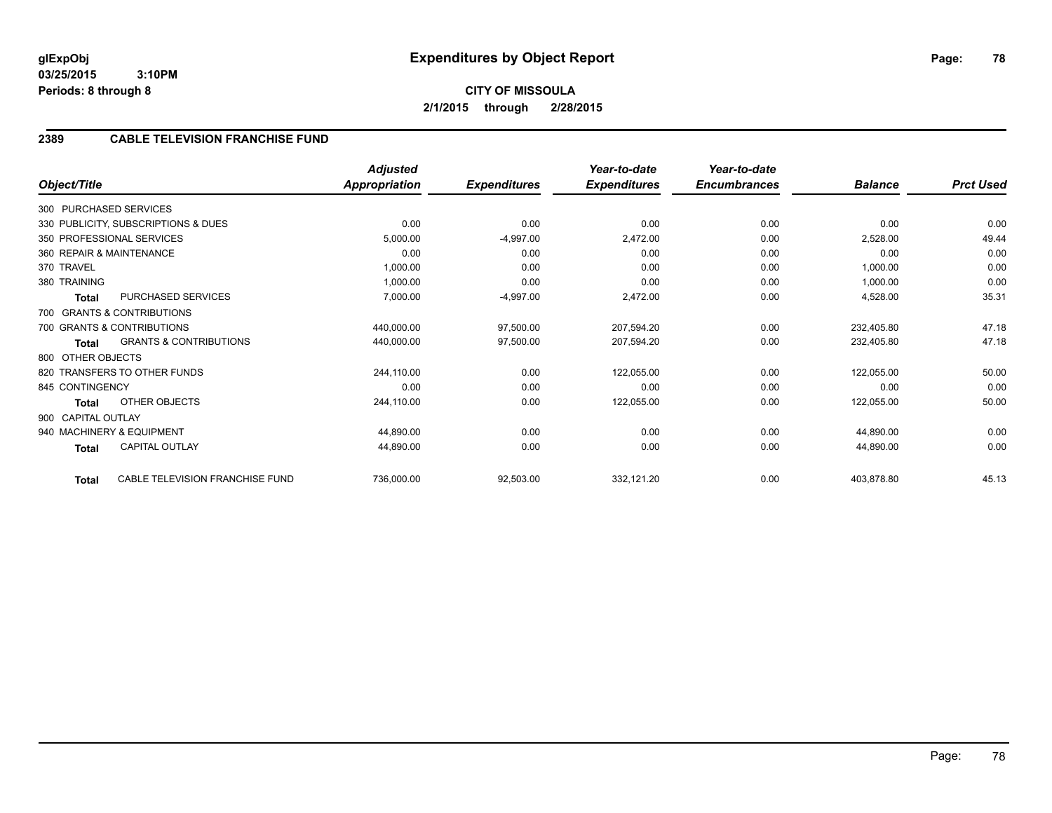# **2389 CABLE TELEVISION FRANCHISE FUND**

| Object/Title       |                                     | <b>Adjusted</b><br>Appropriation | <b>Expenditures</b> | Year-to-date<br><b>Expenditures</b> | Year-to-date<br><b>Encumbrances</b> | <b>Balance</b> | <b>Prct Used</b> |
|--------------------|-------------------------------------|----------------------------------|---------------------|-------------------------------------|-------------------------------------|----------------|------------------|
|                    | 300 PURCHASED SERVICES              |                                  |                     |                                     |                                     |                |                  |
|                    | 330 PUBLICITY, SUBSCRIPTIONS & DUES | 0.00                             | 0.00                | 0.00                                | 0.00                                | 0.00           | 0.00             |
|                    | 350 PROFESSIONAL SERVICES           | 5,000.00                         | $-4,997.00$         | 2,472.00                            | 0.00                                | 2,528.00       | 49.44            |
|                    | 360 REPAIR & MAINTENANCE            | 0.00                             | 0.00                | 0.00                                | 0.00                                | 0.00           | 0.00             |
| 370 TRAVEL         |                                     | 1,000.00                         | 0.00                | 0.00                                | 0.00                                | 1,000.00       | 0.00             |
| 380 TRAINING       |                                     | 1,000.00                         | 0.00                | 0.00                                | 0.00                                | 1,000.00       | 0.00             |
| <b>Total</b>       | PURCHASED SERVICES                  | 7,000.00                         | $-4,997.00$         | 2,472.00                            | 0.00                                | 4,528.00       | 35.31            |
|                    | 700 GRANTS & CONTRIBUTIONS          |                                  |                     |                                     |                                     |                |                  |
|                    | 700 GRANTS & CONTRIBUTIONS          | 440,000.00                       | 97,500.00           | 207,594.20                          | 0.00                                | 232,405.80     | 47.18            |
| <b>Total</b>       | <b>GRANTS &amp; CONTRIBUTIONS</b>   | 440,000.00                       | 97,500.00           | 207,594.20                          | 0.00                                | 232,405.80     | 47.18            |
| 800 OTHER OBJECTS  |                                     |                                  |                     |                                     |                                     |                |                  |
|                    | 820 TRANSFERS TO OTHER FUNDS        | 244,110.00                       | 0.00                | 122,055.00                          | 0.00                                | 122,055.00     | 50.00            |
| 845 CONTINGENCY    |                                     | 0.00                             | 0.00                | 0.00                                | 0.00                                | 0.00           | 0.00             |
| Total              | OTHER OBJECTS                       | 244,110.00                       | 0.00                | 122,055.00                          | 0.00                                | 122,055.00     | 50.00            |
| 900 CAPITAL OUTLAY |                                     |                                  |                     |                                     |                                     |                |                  |
|                    | 940 MACHINERY & EQUIPMENT           | 44,890.00                        | 0.00                | 0.00                                | 0.00                                | 44,890.00      | 0.00             |
| Total              | <b>CAPITAL OUTLAY</b>               | 44,890.00                        | 0.00                | 0.00                                | 0.00                                | 44,890.00      | 0.00             |
| <b>Total</b>       | CABLE TELEVISION FRANCHISE FUND     | 736,000.00                       | 92,503.00           | 332,121.20                          | 0.00                                | 403,878.80     | 45.13            |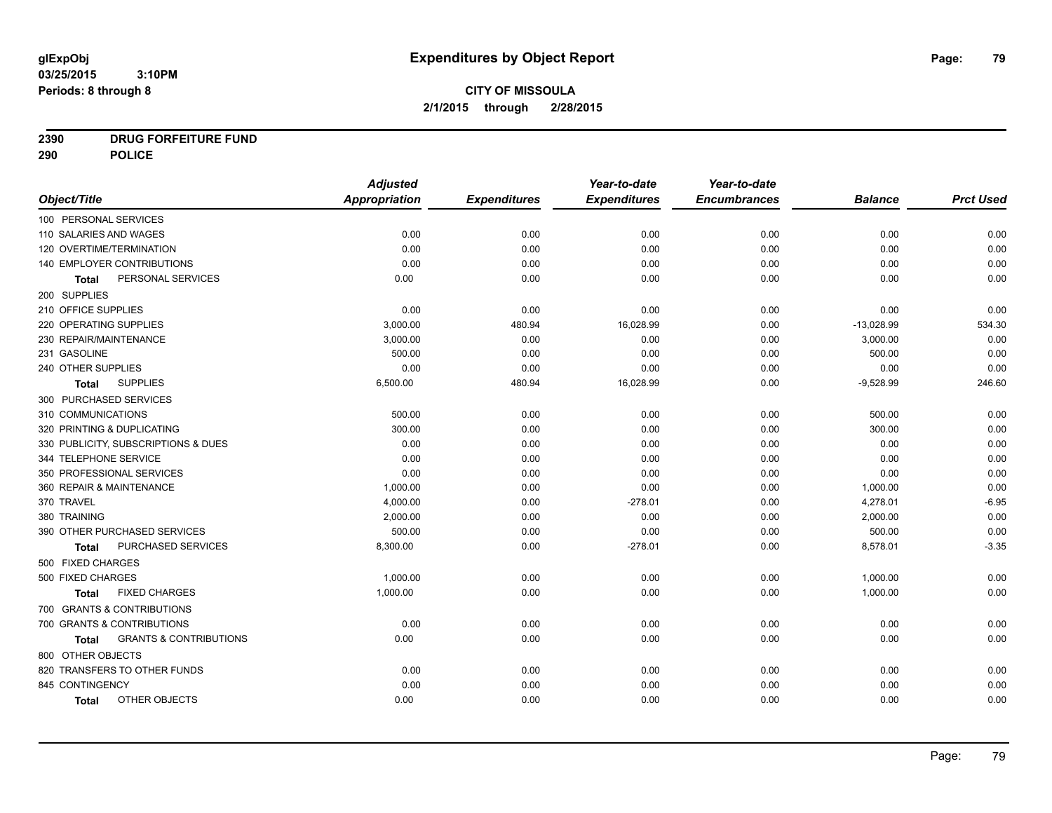# **2390 DRUG FORFEITURE FUND**

**290 POLICE**

|                                            | <b>Adjusted</b> |                     | Year-to-date        | Year-to-date        |                |                  |
|--------------------------------------------|-----------------|---------------------|---------------------|---------------------|----------------|------------------|
| Object/Title                               | Appropriation   | <b>Expenditures</b> | <b>Expenditures</b> | <b>Encumbrances</b> | <b>Balance</b> | <b>Prct Used</b> |
| 100 PERSONAL SERVICES                      |                 |                     |                     |                     |                |                  |
| 110 SALARIES AND WAGES                     | 0.00            | 0.00                | 0.00                | 0.00                | 0.00           | 0.00             |
| 120 OVERTIME/TERMINATION                   | 0.00            | 0.00                | 0.00                | 0.00                | 0.00           | 0.00             |
| 140 EMPLOYER CONTRIBUTIONS                 | 0.00            | 0.00                | 0.00                | 0.00                | 0.00           | 0.00             |
| PERSONAL SERVICES<br><b>Total</b>          | 0.00            | 0.00                | 0.00                | 0.00                | 0.00           | 0.00             |
| 200 SUPPLIES                               |                 |                     |                     |                     |                |                  |
| 210 OFFICE SUPPLIES                        | 0.00            | 0.00                | 0.00                | 0.00                | 0.00           | 0.00             |
| 220 OPERATING SUPPLIES                     | 3,000.00        | 480.94              | 16,028.99           | 0.00                | $-13,028.99$   | 534.30           |
| 230 REPAIR/MAINTENANCE                     | 3,000.00        | 0.00                | 0.00                | 0.00                | 3,000.00       | 0.00             |
| 231 GASOLINE                               | 500.00          | 0.00                | 0.00                | 0.00                | 500.00         | 0.00             |
| 240 OTHER SUPPLIES                         | 0.00            | 0.00                | 0.00                | 0.00                | 0.00           | 0.00             |
| <b>SUPPLIES</b><br><b>Total</b>            | 6,500.00        | 480.94              | 16,028.99           | 0.00                | $-9,528.99$    | 246.60           |
| 300 PURCHASED SERVICES                     |                 |                     |                     |                     |                |                  |
| 310 COMMUNICATIONS                         | 500.00          | 0.00                | 0.00                | 0.00                | 500.00         | 0.00             |
| 320 PRINTING & DUPLICATING                 | 300.00          | 0.00                | 0.00                | 0.00                | 300.00         | 0.00             |
| 330 PUBLICITY, SUBSCRIPTIONS & DUES        | 0.00            | 0.00                | 0.00                | 0.00                | 0.00           | 0.00             |
| 344 TELEPHONE SERVICE                      | 0.00            | 0.00                | 0.00                | 0.00                | 0.00           | 0.00             |
| 350 PROFESSIONAL SERVICES                  | 0.00            | 0.00                | 0.00                | 0.00                | 0.00           | 0.00             |
| 360 REPAIR & MAINTENANCE                   | 1,000.00        | 0.00                | 0.00                | 0.00                | 1,000.00       | 0.00             |
| 370 TRAVEL                                 | 4,000.00        | 0.00                | $-278.01$           | 0.00                | 4,278.01       | $-6.95$          |
| 380 TRAINING                               | 2,000.00        | 0.00                | 0.00                | 0.00                | 2,000.00       | 0.00             |
| 390 OTHER PURCHASED SERVICES               | 500.00          | 0.00                | 0.00                | 0.00                | 500.00         | 0.00             |
| PURCHASED SERVICES<br><b>Total</b>         | 8,300.00        | 0.00                | $-278.01$           | 0.00                | 8,578.01       | $-3.35$          |
| 500 FIXED CHARGES                          |                 |                     |                     |                     |                |                  |
| 500 FIXED CHARGES                          | 1,000.00        | 0.00                | 0.00                | 0.00                | 1,000.00       | 0.00             |
| <b>FIXED CHARGES</b><br>Total              | 1,000.00        | 0.00                | 0.00                | 0.00                | 1,000.00       | 0.00             |
| 700 GRANTS & CONTRIBUTIONS                 |                 |                     |                     |                     |                |                  |
| 700 GRANTS & CONTRIBUTIONS                 | 0.00            | 0.00                | 0.00                | 0.00                | 0.00           | 0.00             |
| <b>GRANTS &amp; CONTRIBUTIONS</b><br>Total | 0.00            | 0.00                | 0.00                | 0.00                | 0.00           | 0.00             |
| 800 OTHER OBJECTS                          |                 |                     |                     |                     |                |                  |
| 820 TRANSFERS TO OTHER FUNDS               | 0.00            | 0.00                | 0.00                | 0.00                | 0.00           | 0.00             |
| 845 CONTINGENCY                            | 0.00            | 0.00                | 0.00                | 0.00                | 0.00           | 0.00             |
| OTHER OBJECTS<br><b>Total</b>              | 0.00            | 0.00                | 0.00                | 0.00                | 0.00           | 0.00             |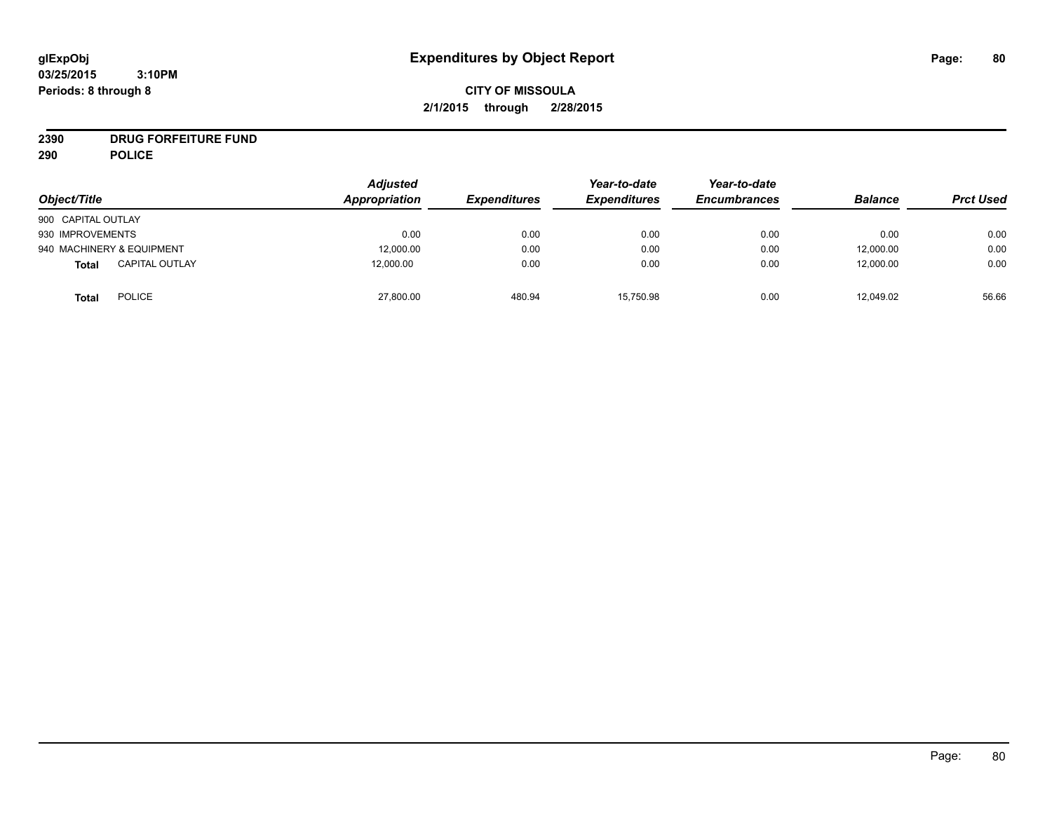# **CITY OF MISSOULA 2/1/2015 through 2/28/2015**

# **2390 DRUG FORFEITURE FUND**

**290 POLICE**

| Object/Title                   | <b>Adjusted</b><br>Appropriation | <b>Expenditures</b> | Year-to-date<br><b>Expenditures</b> | Year-to-date<br><b>Encumbrances</b> | <b>Balance</b> | <b>Prct Used</b> |
|--------------------------------|----------------------------------|---------------------|-------------------------------------|-------------------------------------|----------------|------------------|
| 900 CAPITAL OUTLAY             |                                  |                     |                                     |                                     |                |                  |
| 930 IMPROVEMENTS               | 0.00                             | 0.00                | 0.00                                | 0.00                                | 0.00           | 0.00             |
| 940 MACHINERY & EQUIPMENT      | 12,000.00                        | 0.00                | 0.00                                | 0.00                                | 12,000.00      | 0.00             |
| <b>CAPITAL OUTLAY</b><br>Total | 12.000.00                        | 0.00                | 0.00                                | 0.00                                | 12,000.00      | 0.00             |
| <b>POLICE</b><br><b>Total</b>  | 27,800.00                        | 480.94              | 15,750.98                           | 0.00                                | 12,049.02      | 56.66            |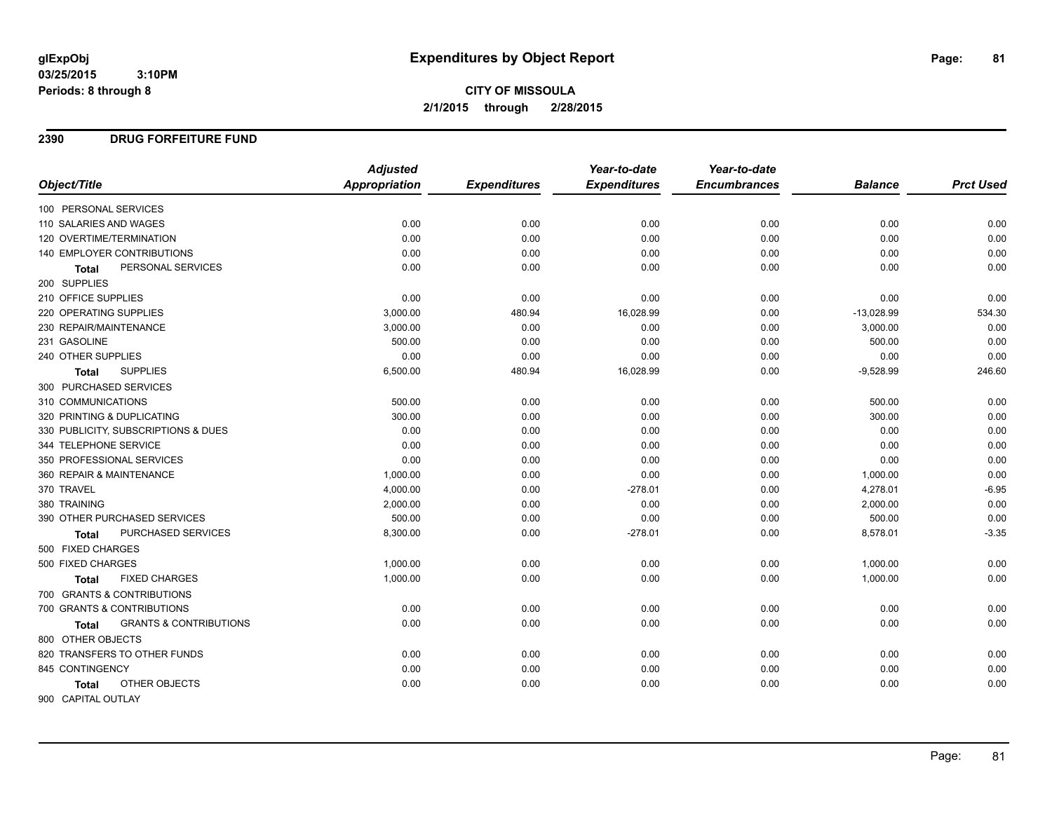#### **2390 DRUG FORFEITURE FUND**

|                                            | <b>Adjusted</b> |                     | Year-to-date        | Year-to-date        |                |                  |
|--------------------------------------------|-----------------|---------------------|---------------------|---------------------|----------------|------------------|
| Object/Title                               | Appropriation   | <b>Expenditures</b> | <b>Expenditures</b> | <b>Encumbrances</b> | <b>Balance</b> | <b>Prct Used</b> |
| 100 PERSONAL SERVICES                      |                 |                     |                     |                     |                |                  |
| 110 SALARIES AND WAGES                     | 0.00            | 0.00                | 0.00                | 0.00                | 0.00           | 0.00             |
| 120 OVERTIME/TERMINATION                   | 0.00            | 0.00                | 0.00                | 0.00                | 0.00           | 0.00             |
| 140 EMPLOYER CONTRIBUTIONS                 | 0.00            | 0.00                | 0.00                | 0.00                | 0.00           | 0.00             |
| PERSONAL SERVICES<br><b>Total</b>          | 0.00            | 0.00                | 0.00                | 0.00                | 0.00           | 0.00             |
| 200 SUPPLIES                               |                 |                     |                     |                     |                |                  |
| 210 OFFICE SUPPLIES                        | 0.00            | 0.00                | 0.00                | 0.00                | 0.00           | 0.00             |
| 220 OPERATING SUPPLIES                     | 3,000.00        | 480.94              | 16,028.99           | 0.00                | $-13,028.99$   | 534.30           |
| 230 REPAIR/MAINTENANCE                     | 3,000.00        | 0.00                | 0.00                | 0.00                | 3,000.00       | 0.00             |
| 231 GASOLINE                               | 500.00          | 0.00                | 0.00                | 0.00                | 500.00         | 0.00             |
| 240 OTHER SUPPLIES                         | 0.00            | 0.00                | 0.00                | 0.00                | 0.00           | 0.00             |
| <b>SUPPLIES</b><br><b>Total</b>            | 6,500.00        | 480.94              | 16,028.99           | 0.00                | $-9,528.99$    | 246.60           |
| 300 PURCHASED SERVICES                     |                 |                     |                     |                     |                |                  |
| 310 COMMUNICATIONS                         | 500.00          | 0.00                | 0.00                | 0.00                | 500.00         | 0.00             |
| 320 PRINTING & DUPLICATING                 | 300.00          | 0.00                | 0.00                | 0.00                | 300.00         | 0.00             |
| 330 PUBLICITY, SUBSCRIPTIONS & DUES        | 0.00            | 0.00                | 0.00                | 0.00                | 0.00           | 0.00             |
| 344 TELEPHONE SERVICE                      | 0.00            | 0.00                | 0.00                | 0.00                | 0.00           | 0.00             |
| 350 PROFESSIONAL SERVICES                  | 0.00            | 0.00                | 0.00                | 0.00                | 0.00           | 0.00             |
| 360 REPAIR & MAINTENANCE                   | 1,000.00        | 0.00                | 0.00                | 0.00                | 1,000.00       | 0.00             |
| 370 TRAVEL                                 | 4,000.00        | 0.00                | $-278.01$           | 0.00                | 4,278.01       | $-6.95$          |
| 380 TRAINING                               | 2,000.00        | 0.00                | 0.00                | 0.00                | 2,000.00       | 0.00             |
| 390 OTHER PURCHASED SERVICES               | 500.00          | 0.00                | 0.00                | 0.00                | 500.00         | 0.00             |
| <b>PURCHASED SERVICES</b><br>Total         | 8,300.00        | 0.00                | $-278.01$           | 0.00                | 8,578.01       | $-3.35$          |
| 500 FIXED CHARGES                          |                 |                     |                     |                     |                |                  |
| 500 FIXED CHARGES                          | 1,000.00        | 0.00                | 0.00                | 0.00                | 1,000.00       | 0.00             |
| <b>FIXED CHARGES</b><br>Total              | 1,000.00        | 0.00                | 0.00                | 0.00                | 1,000.00       | 0.00             |
| 700 GRANTS & CONTRIBUTIONS                 |                 |                     |                     |                     |                |                  |
| 700 GRANTS & CONTRIBUTIONS                 | 0.00            | 0.00                | 0.00                | 0.00                | 0.00           | 0.00             |
| <b>GRANTS &amp; CONTRIBUTIONS</b><br>Total | 0.00            | 0.00                | 0.00                | 0.00                | 0.00           | 0.00             |
| 800 OTHER OBJECTS                          |                 |                     |                     |                     |                |                  |
| 820 TRANSFERS TO OTHER FUNDS               | 0.00            | 0.00                | 0.00                | 0.00                | 0.00           | 0.00             |
| 845 CONTINGENCY                            | 0.00            | 0.00                | 0.00                | 0.00                | 0.00           | 0.00             |
| OTHER OBJECTS<br><b>Total</b>              | 0.00            | 0.00                | 0.00                | 0.00                | 0.00           | 0.00             |
| 900 CAPITAL OUTLAY                         |                 |                     |                     |                     |                |                  |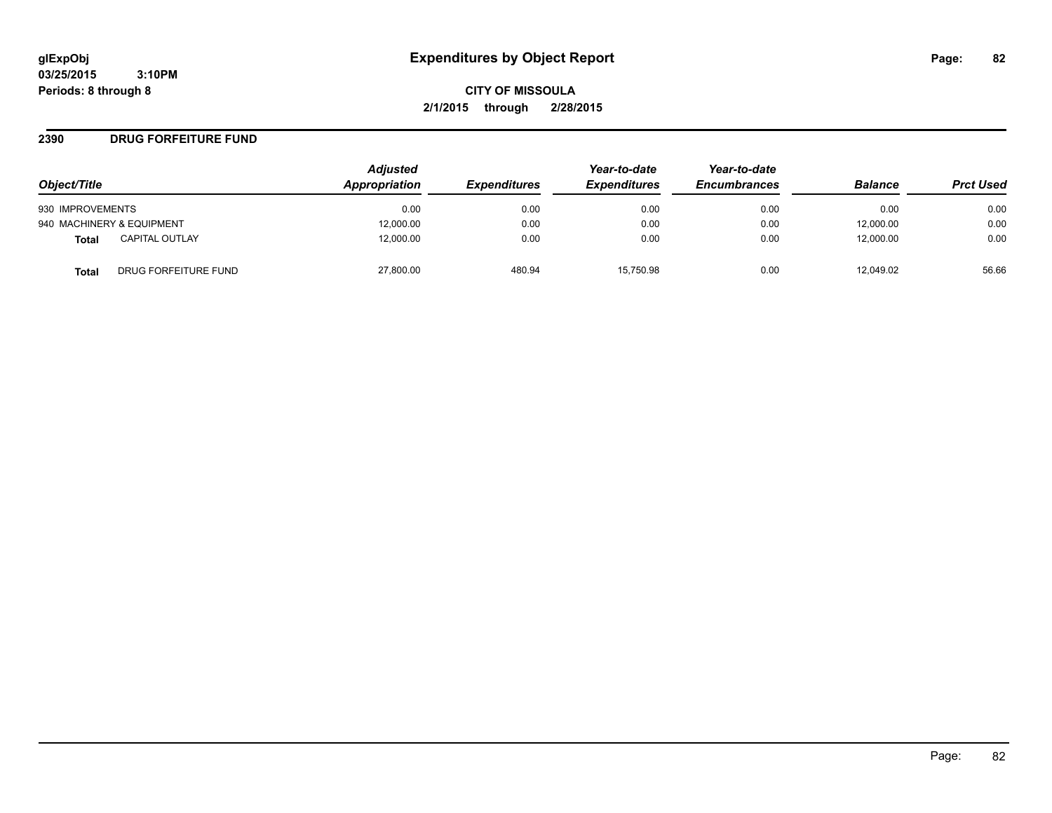**CITY OF MISSOULA 2/1/2015 through 2/28/2015**

#### **2390 DRUG FORFEITURE FUND**

| Object/Title                         | <b>Adjusted</b><br>Appropriation | <b>Expenditures</b> | Year-to-date<br><b>Expenditures</b> | Year-to-date<br><b>Encumbrances</b> | <b>Balance</b> | <b>Prct Used</b> |
|--------------------------------------|----------------------------------|---------------------|-------------------------------------|-------------------------------------|----------------|------------------|
|                                      |                                  |                     |                                     |                                     |                |                  |
| 930 IMPROVEMENTS                     | 0.00                             | 0.00                | 0.00                                | 0.00                                | 0.00           | 0.00             |
| 940 MACHINERY & EQUIPMENT            | 12,000.00                        | 0.00                | 0.00                                | 0.00                                | 12.000.00      | 0.00             |
| <b>CAPITAL OUTLAY</b><br>Total       | 12,000.00                        | 0.00                | 0.00                                | 0.00                                | 12,000.00      | 0.00             |
| DRUG FORFEITURE FUND<br><b>Total</b> | 27,800.00                        | 480.94              | 15.750.98                           | 0.00                                | 12.049.02      | 56.66            |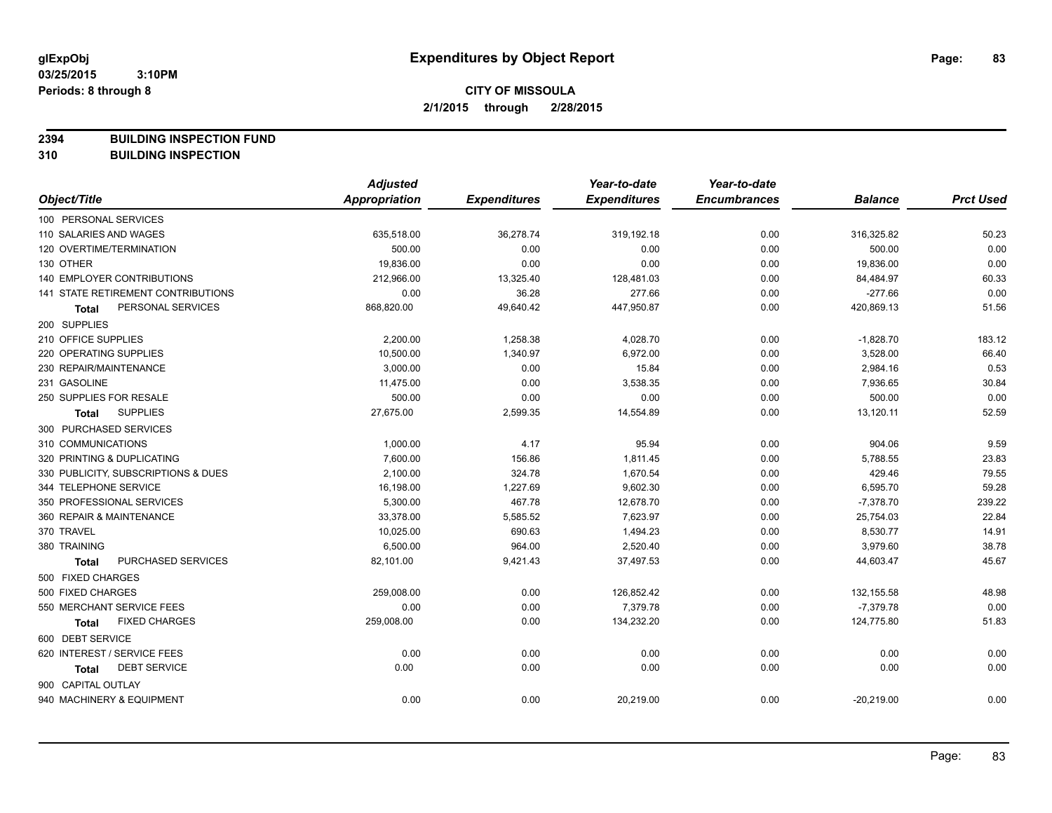**2394 BUILDING INSPECTION FUND**

**310 BUILDING INSPECTION**

|                                           | <b>Adjusted</b>      |                     | Year-to-date        | Year-to-date        |                |                  |
|-------------------------------------------|----------------------|---------------------|---------------------|---------------------|----------------|------------------|
| Object/Title                              | <b>Appropriation</b> | <b>Expenditures</b> | <b>Expenditures</b> | <b>Encumbrances</b> | <b>Balance</b> | <b>Prct Used</b> |
| 100 PERSONAL SERVICES                     |                      |                     |                     |                     |                |                  |
| 110 SALARIES AND WAGES                    | 635,518.00           | 36,278.74           | 319,192.18          | 0.00                | 316,325.82     | 50.23            |
| 120 OVERTIME/TERMINATION                  | 500.00               | 0.00                | 0.00                | 0.00                | 500.00         | 0.00             |
| 130 OTHER                                 | 19,836.00            | 0.00                | 0.00                | 0.00                | 19,836.00      | 0.00             |
| 140 EMPLOYER CONTRIBUTIONS                | 212,966.00           | 13,325.40           | 128,481.03          | 0.00                | 84,484.97      | 60.33            |
| <b>141 STATE RETIREMENT CONTRIBUTIONS</b> | 0.00                 | 36.28               | 277.66              | 0.00                | $-277.66$      | 0.00             |
| PERSONAL SERVICES<br>Total                | 868,820.00           | 49,640.42           | 447,950.87          | 0.00                | 420,869.13     | 51.56            |
| 200 SUPPLIES                              |                      |                     |                     |                     |                |                  |
| 210 OFFICE SUPPLIES                       | 2,200.00             | 1,258.38            | 4,028.70            | 0.00                | $-1,828.70$    | 183.12           |
| 220 OPERATING SUPPLIES                    | 10,500.00            | 1,340.97            | 6,972.00            | 0.00                | 3,528.00       | 66.40            |
| 230 REPAIR/MAINTENANCE                    | 3,000.00             | 0.00                | 15.84               | 0.00                | 2,984.16       | 0.53             |
| 231 GASOLINE                              | 11,475.00            | 0.00                | 3,538.35            | 0.00                | 7,936.65       | 30.84            |
| 250 SUPPLIES FOR RESALE                   | 500.00               | 0.00                | 0.00                | 0.00                | 500.00         | 0.00             |
| <b>SUPPLIES</b><br><b>Total</b>           | 27,675.00            | 2,599.35            | 14,554.89           | 0.00                | 13,120.11      | 52.59            |
| 300 PURCHASED SERVICES                    |                      |                     |                     |                     |                |                  |
| 310 COMMUNICATIONS                        | 1,000.00             | 4.17                | 95.94               | 0.00                | 904.06         | 9.59             |
| 320 PRINTING & DUPLICATING                | 7,600.00             | 156.86              | 1,811.45            | 0.00                | 5,788.55       | 23.83            |
| 330 PUBLICITY, SUBSCRIPTIONS & DUES       | 2,100.00             | 324.78              | 1,670.54            | 0.00                | 429.46         | 79.55            |
| 344 TELEPHONE SERVICE                     | 16,198.00            | 1,227.69            | 9,602.30            | 0.00                | 6,595.70       | 59.28            |
| 350 PROFESSIONAL SERVICES                 | 5,300.00             | 467.78              | 12,678.70           | 0.00                | $-7,378.70$    | 239.22           |
| 360 REPAIR & MAINTENANCE                  | 33,378.00            | 5,585.52            | 7,623.97            | 0.00                | 25,754.03      | 22.84            |
| 370 TRAVEL                                | 10,025.00            | 690.63              | 1,494.23            | 0.00                | 8,530.77       | 14.91            |
| 380 TRAINING                              | 6,500.00             | 964.00              | 2,520.40            | 0.00                | 3,979.60       | 38.78            |
| PURCHASED SERVICES<br><b>Total</b>        | 82,101.00            | 9,421.43            | 37,497.53           | 0.00                | 44,603.47      | 45.67            |
| 500 FIXED CHARGES                         |                      |                     |                     |                     |                |                  |
| 500 FIXED CHARGES                         | 259,008.00           | 0.00                | 126,852.42          | 0.00                | 132, 155.58    | 48.98            |
| 550 MERCHANT SERVICE FEES                 | 0.00                 | 0.00                | 7,379.78            | 0.00                | $-7,379.78$    | 0.00             |
| <b>FIXED CHARGES</b><br><b>Total</b>      | 259,008.00           | 0.00                | 134,232.20          | 0.00                | 124,775.80     | 51.83            |
| 600 DEBT SERVICE                          |                      |                     |                     |                     |                |                  |
| 620 INTEREST / SERVICE FEES               | 0.00                 | 0.00                | 0.00                | 0.00                | 0.00           | 0.00             |
| <b>DEBT SERVICE</b><br><b>Total</b>       | 0.00                 | 0.00                | 0.00                | 0.00                | 0.00           | 0.00             |
| 900 CAPITAL OUTLAY                        |                      |                     |                     |                     |                |                  |
| 940 MACHINERY & EQUIPMENT                 | 0.00                 | 0.00                | 20,219.00           | 0.00                | $-20,219.00$   | 0.00             |
|                                           |                      |                     |                     |                     |                |                  |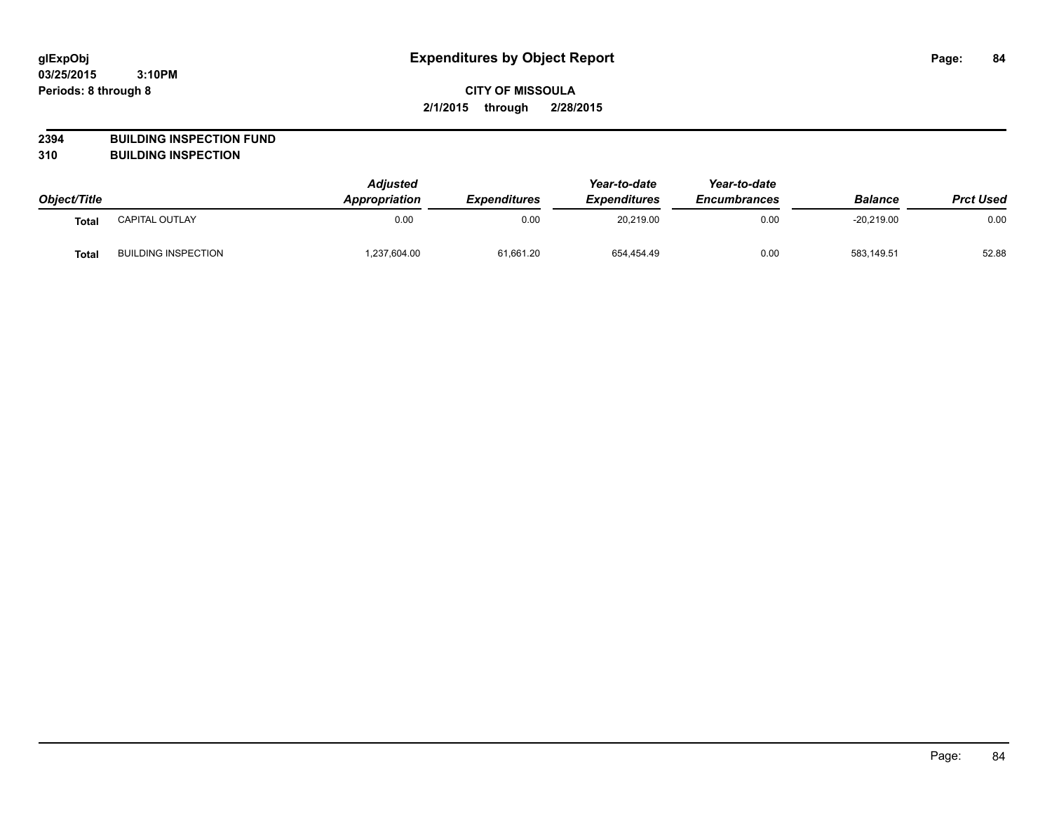# **CITY OF MISSOULA 2/1/2015 through 2/28/2015**

# **2394 BUILDING INSPECTION FUND**

**310 BUILDING INSPECTION**

|              |                            | <b>Adjusted</b> |                            | Year-to-date        | Year-to-date        |                |                  |
|--------------|----------------------------|-----------------|----------------------------|---------------------|---------------------|----------------|------------------|
| Object/Title |                            | Appropriation   | <i><b>Expenditures</b></i> | <b>Expenditures</b> | <b>Encumbrances</b> | <b>Balance</b> | <b>Prct Used</b> |
| Total        | CAPITAL OUTLAY             | 0.00            | 0.00                       | 20,219.00           | 0.00                | $-20,219.00$   | 0.00             |
| <b>Total</b> | <b>BUILDING INSPECTION</b> | 1,237,604.00    | 61,661.20                  | 654.454.49          | 0.00                | 583.149.51     | 52.88            |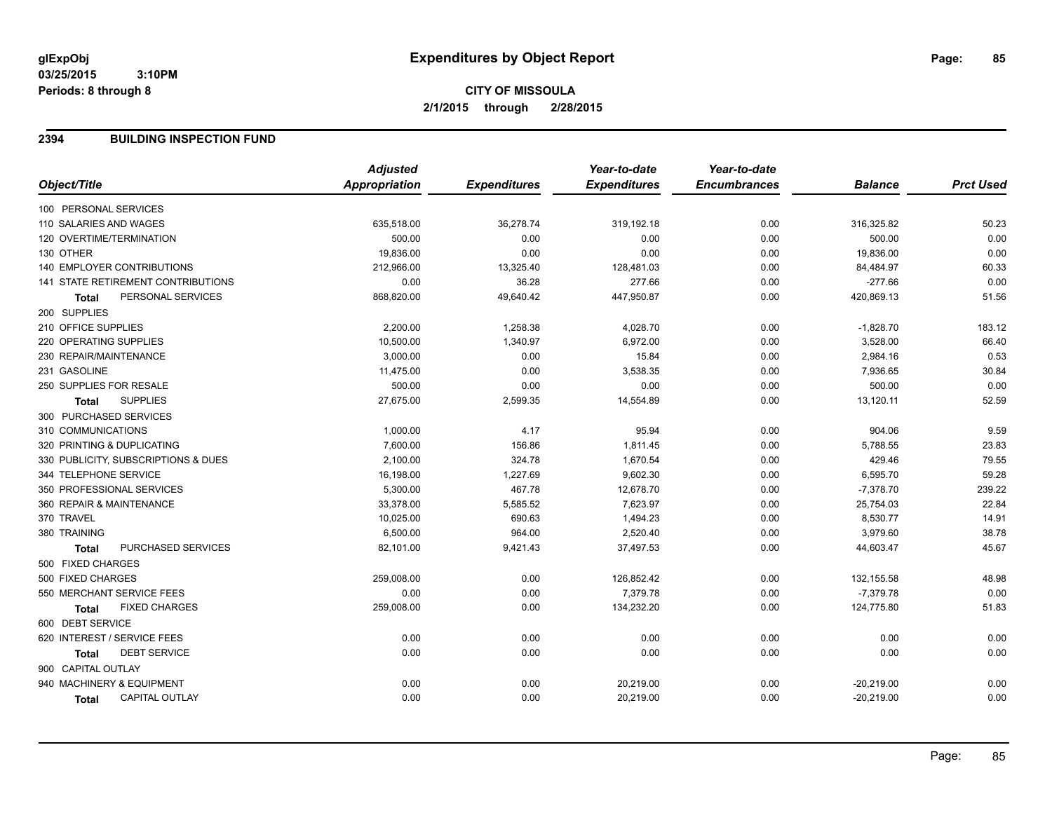#### **2394 BUILDING INSPECTION FUND**

|                                           | <b>Adjusted</b> |                     | Year-to-date        | Year-to-date        |                |                  |
|-------------------------------------------|-----------------|---------------------|---------------------|---------------------|----------------|------------------|
| Object/Title                              | Appropriation   | <b>Expenditures</b> | <b>Expenditures</b> | <b>Encumbrances</b> | <b>Balance</b> | <b>Prct Used</b> |
| 100 PERSONAL SERVICES                     |                 |                     |                     |                     |                |                  |
| 110 SALARIES AND WAGES                    | 635,518.00      | 36,278.74           | 319,192.18          | 0.00                | 316,325.82     | 50.23            |
| 120 OVERTIME/TERMINATION                  | 500.00          | 0.00                | 0.00                | 0.00                | 500.00         | 0.00             |
| 130 OTHER                                 | 19,836.00       | 0.00                | 0.00                | 0.00                | 19,836.00      | 0.00             |
| <b>140 EMPLOYER CONTRIBUTIONS</b>         | 212,966.00      | 13,325.40           | 128,481.03          | 0.00                | 84,484.97      | 60.33            |
| <b>141 STATE RETIREMENT CONTRIBUTIONS</b> | 0.00            | 36.28               | 277.66              | 0.00                | $-277.66$      | 0.00             |
| PERSONAL SERVICES<br>Total                | 868,820.00      | 49,640.42           | 447,950.87          | 0.00                | 420,869.13     | 51.56            |
| 200 SUPPLIES                              |                 |                     |                     |                     |                |                  |
| 210 OFFICE SUPPLIES                       | 2,200.00        | 1,258.38            | 4,028.70            | 0.00                | $-1,828.70$    | 183.12           |
| <b>220 OPERATING SUPPLIES</b>             | 10,500.00       | 1,340.97            | 6,972.00            | 0.00                | 3,528.00       | 66.40            |
| 230 REPAIR/MAINTENANCE                    | 3,000.00        | 0.00                | 15.84               | 0.00                | 2,984.16       | 0.53             |
| 231 GASOLINE                              | 11,475.00       | 0.00                | 3,538.35            | 0.00                | 7,936.65       | 30.84            |
| 250 SUPPLIES FOR RESALE                   | 500.00          | 0.00                | 0.00                | 0.00                | 500.00         | 0.00             |
| <b>SUPPLIES</b><br><b>Total</b>           | 27,675.00       | 2,599.35            | 14,554.89           | 0.00                | 13,120.11      | 52.59            |
| 300 PURCHASED SERVICES                    |                 |                     |                     |                     |                |                  |
| 310 COMMUNICATIONS                        | 1,000.00        | 4.17                | 95.94               | 0.00                | 904.06         | 9.59             |
| 320 PRINTING & DUPLICATING                | 7,600.00        | 156.86              | 1,811.45            | 0.00                | 5,788.55       | 23.83            |
| 330 PUBLICITY, SUBSCRIPTIONS & DUES       | 2,100.00        | 324.78              | 1,670.54            | 0.00                | 429.46         | 79.55            |
| 344 TELEPHONE SERVICE                     | 16,198.00       | 1,227.69            | 9,602.30            | 0.00                | 6,595.70       | 59.28            |
| 350 PROFESSIONAL SERVICES                 | 5,300.00        | 467.78              | 12,678.70           | 0.00                | $-7,378.70$    | 239.22           |
| 360 REPAIR & MAINTENANCE                  | 33,378.00       | 5,585.52            | 7,623.97            | 0.00                | 25,754.03      | 22.84            |
| 370 TRAVEL                                | 10,025.00       | 690.63              | 1,494.23            | 0.00                | 8,530.77       | 14.91            |
| 380 TRAINING                              | 6,500.00        | 964.00              | 2,520.40            | 0.00                | 3,979.60       | 38.78            |
| PURCHASED SERVICES<br><b>Total</b>        | 82,101.00       | 9,421.43            | 37,497.53           | 0.00                | 44,603.47      | 45.67            |
| 500 FIXED CHARGES                         |                 |                     |                     |                     |                |                  |
| 500 FIXED CHARGES                         | 259,008.00      | 0.00                | 126,852.42          | 0.00                | 132, 155.58    | 48.98            |
| 550 MERCHANT SERVICE FEES                 | 0.00            | 0.00                | 7,379.78            | 0.00                | $-7,379.78$    | 0.00             |
| <b>FIXED CHARGES</b><br>Total             | 259,008.00      | 0.00                | 134,232.20          | 0.00                | 124,775.80     | 51.83            |
| 600 DEBT SERVICE                          |                 |                     |                     |                     |                |                  |
| 620 INTEREST / SERVICE FEES               | 0.00            | 0.00                | 0.00                | 0.00                | 0.00           | 0.00             |
| <b>DEBT SERVICE</b><br><b>Total</b>       | 0.00            | 0.00                | 0.00                | 0.00                | 0.00           | 0.00             |
| 900 CAPITAL OUTLAY                        |                 |                     |                     |                     |                |                  |
| 940 MACHINERY & EQUIPMENT                 | 0.00            | 0.00                | 20,219.00           | 0.00                | $-20,219.00$   | 0.00             |
| <b>CAPITAL OUTLAY</b><br>Total            | 0.00            | 0.00                | 20,219.00           | 0.00                | $-20,219.00$   | 0.00             |
|                                           |                 |                     |                     |                     |                |                  |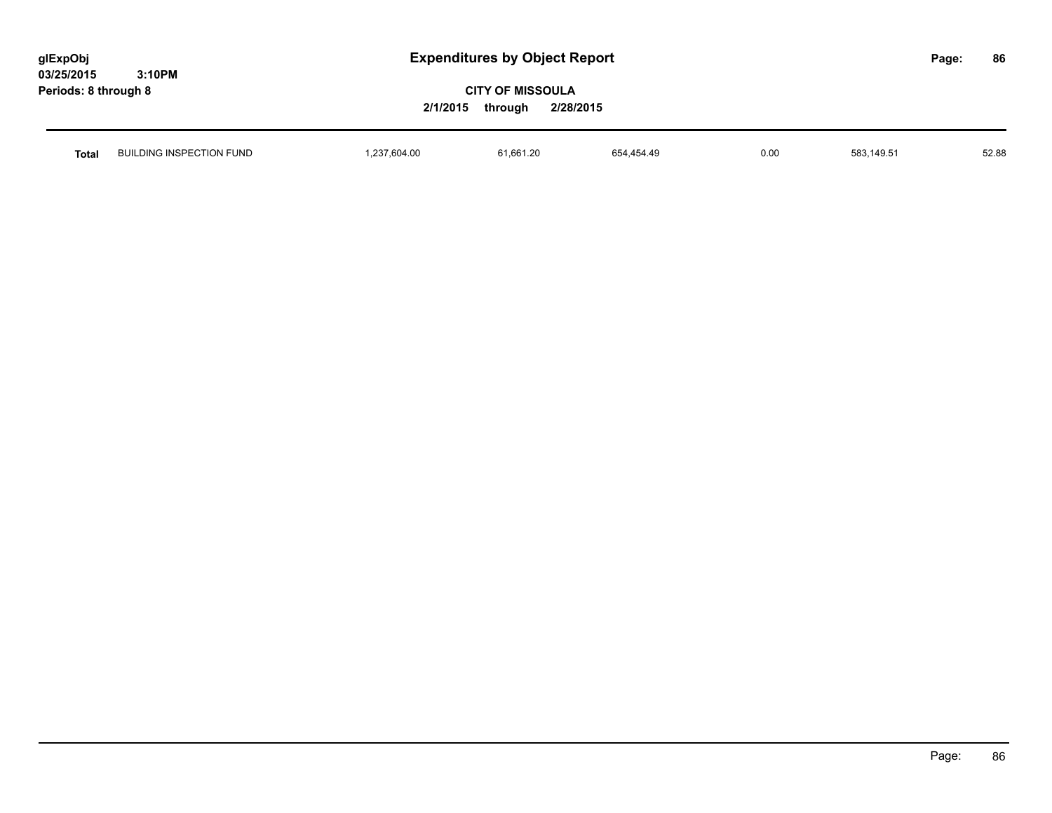# **CITY OF MISSOULA 2/1/2015 through 2/28/2015**

| Total | UILDING INSPECTION FUND<br>RI | ' GOA OC | 61.661.20 | 454.49<br>. | 0.00 | 149.5.<br>- 700. | 52.88 |
|-------|-------------------------------|----------|-----------|-------------|------|------------------|-------|
|       |                               |          |           |             |      |                  |       |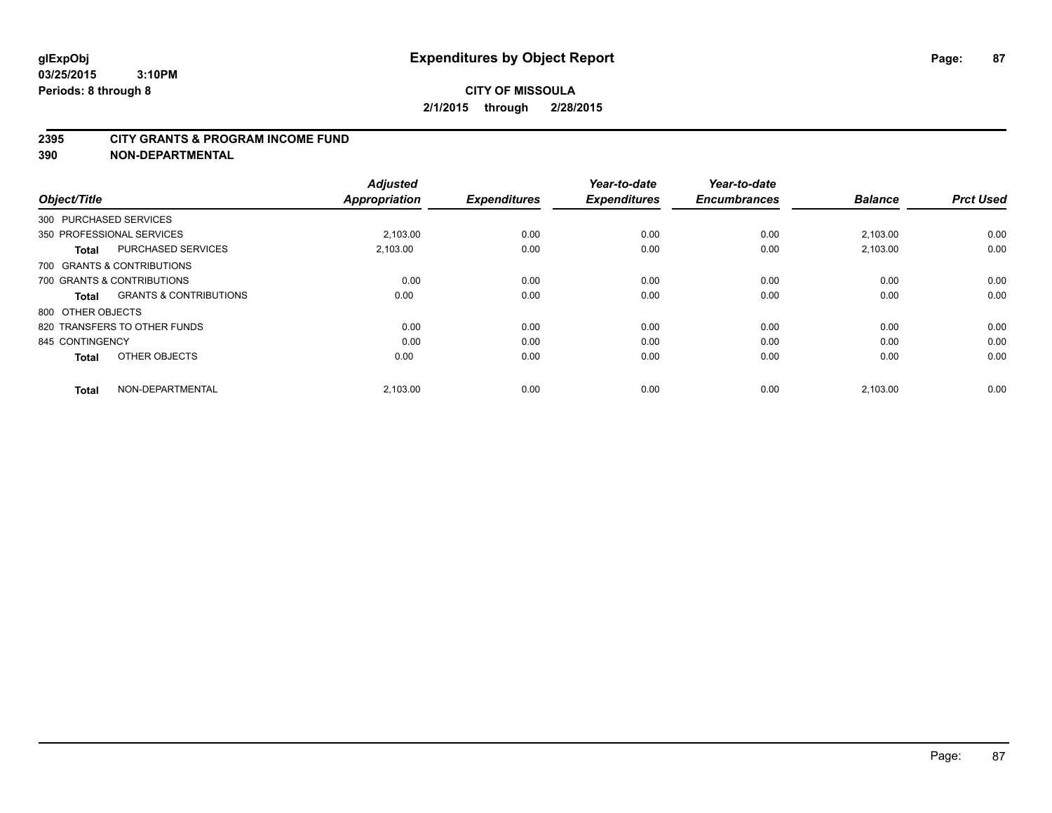#### **2395 CITY GRANTS & PROGRAM INCOME FUND**

**390 NON-DEPARTMENTAL**

| Object/Title           |                                   | <b>Adjusted</b><br><b>Appropriation</b> | <b>Expenditures</b> | Year-to-date<br><b>Expenditures</b> | Year-to-date<br><b>Encumbrances</b> | <b>Balance</b> | <b>Prct Used</b> |
|------------------------|-----------------------------------|-----------------------------------------|---------------------|-------------------------------------|-------------------------------------|----------------|------------------|
| 300 PURCHASED SERVICES |                                   |                                         |                     |                                     |                                     |                |                  |
|                        | 350 PROFESSIONAL SERVICES         | 2.103.00                                | 0.00                | 0.00                                | 0.00                                | 2,103.00       | 0.00             |
| <b>Total</b>           | <b>PURCHASED SERVICES</b>         | 2,103.00                                | 0.00                | 0.00                                | 0.00                                | 2,103.00       | 0.00             |
|                        | 700 GRANTS & CONTRIBUTIONS        |                                         |                     |                                     |                                     |                |                  |
|                        | 700 GRANTS & CONTRIBUTIONS        | 0.00                                    | 0.00                | 0.00                                | 0.00                                | 0.00           | 0.00             |
| <b>Total</b>           | <b>GRANTS &amp; CONTRIBUTIONS</b> | 0.00                                    | 0.00                | 0.00                                | 0.00                                | 0.00           | 0.00             |
| 800 OTHER OBJECTS      |                                   |                                         |                     |                                     |                                     |                |                  |
|                        | 820 TRANSFERS TO OTHER FUNDS      | 0.00                                    | 0.00                | 0.00                                | 0.00                                | 0.00           | 0.00             |
| 845 CONTINGENCY        |                                   | 0.00                                    | 0.00                | 0.00                                | 0.00                                | 0.00           | 0.00             |
| <b>Total</b>           | OTHER OBJECTS                     | 0.00                                    | 0.00                | 0.00                                | 0.00                                | 0.00           | 0.00             |
| <b>Total</b>           | NON-DEPARTMENTAL                  | 2,103.00                                | 0.00                | 0.00                                | 0.00                                | 2,103.00       | 0.00             |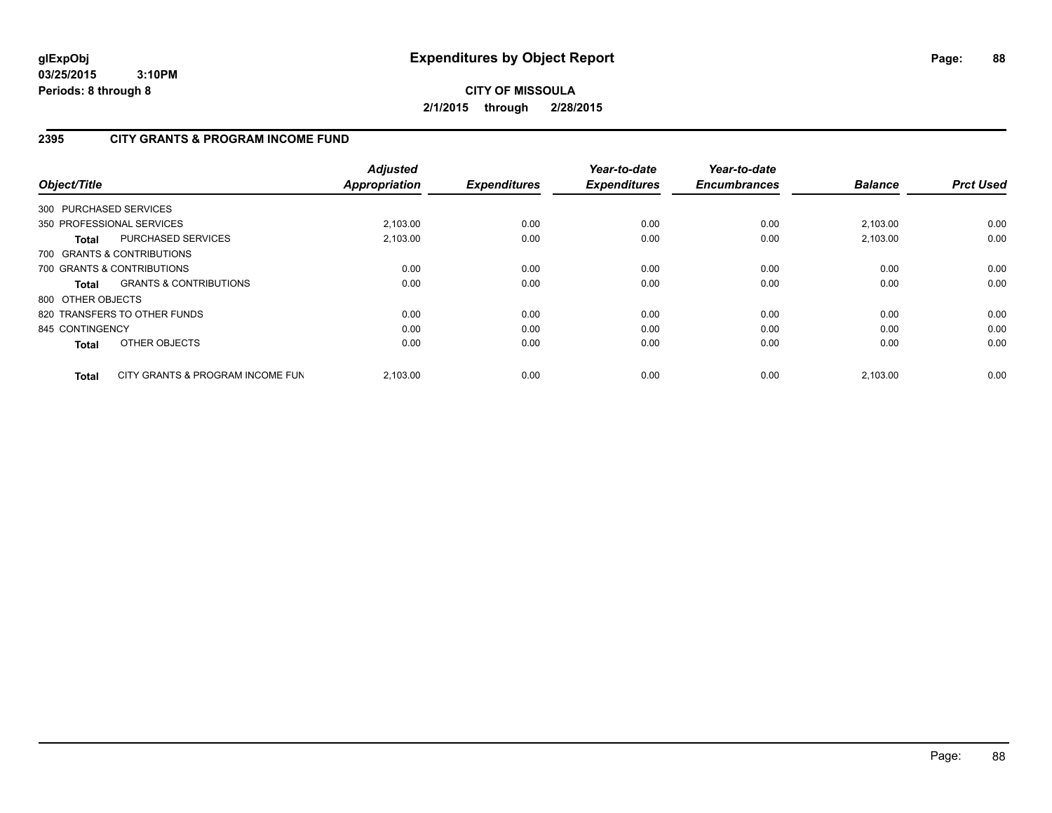# **CITY OF MISSOULA 2/1/2015 through 2/28/2015**

# **2395 CITY GRANTS & PROGRAM INCOME FUND**

| Object/Title      |                                   | <b>Adjusted</b><br><b>Appropriation</b> | <b>Expenditures</b> | Year-to-date<br><b>Expenditures</b> | Year-to-date<br><b>Encumbrances</b> | <b>Balance</b> | <b>Prct Used</b> |
|-------------------|-----------------------------------|-----------------------------------------|---------------------|-------------------------------------|-------------------------------------|----------------|------------------|
|                   | 300 PURCHASED SERVICES            |                                         |                     |                                     |                                     |                |                  |
|                   | 350 PROFESSIONAL SERVICES         | 2,103.00                                | 0.00                | 0.00                                | 0.00                                | 2,103.00       | 0.00             |
| <b>Total</b>      | <b>PURCHASED SERVICES</b>         | 2,103.00                                | 0.00                | 0.00                                | 0.00                                | 2,103.00       | 0.00             |
|                   | 700 GRANTS & CONTRIBUTIONS        |                                         |                     |                                     |                                     |                |                  |
|                   | 700 GRANTS & CONTRIBUTIONS        | 0.00                                    | 0.00                | 0.00                                | 0.00                                | 0.00           | 0.00             |
| Total             | <b>GRANTS &amp; CONTRIBUTIONS</b> | 0.00                                    | 0.00                | 0.00                                | 0.00                                | 0.00           | 0.00             |
| 800 OTHER OBJECTS |                                   |                                         |                     |                                     |                                     |                |                  |
|                   | 820 TRANSFERS TO OTHER FUNDS      | 0.00                                    | 0.00                | 0.00                                | 0.00                                | 0.00           | 0.00             |
| 845 CONTINGENCY   |                                   | 0.00                                    | 0.00                | 0.00                                | 0.00                                | 0.00           | 0.00             |
| <b>Total</b>      | OTHER OBJECTS                     | 0.00                                    | 0.00                | 0.00                                | 0.00                                | 0.00           | 0.00             |
| <b>Total</b>      | CITY GRANTS & PROGRAM INCOME FUN  | 2.103.00                                | 0.00                | 0.00                                | 0.00                                | 2,103.00       | 0.00             |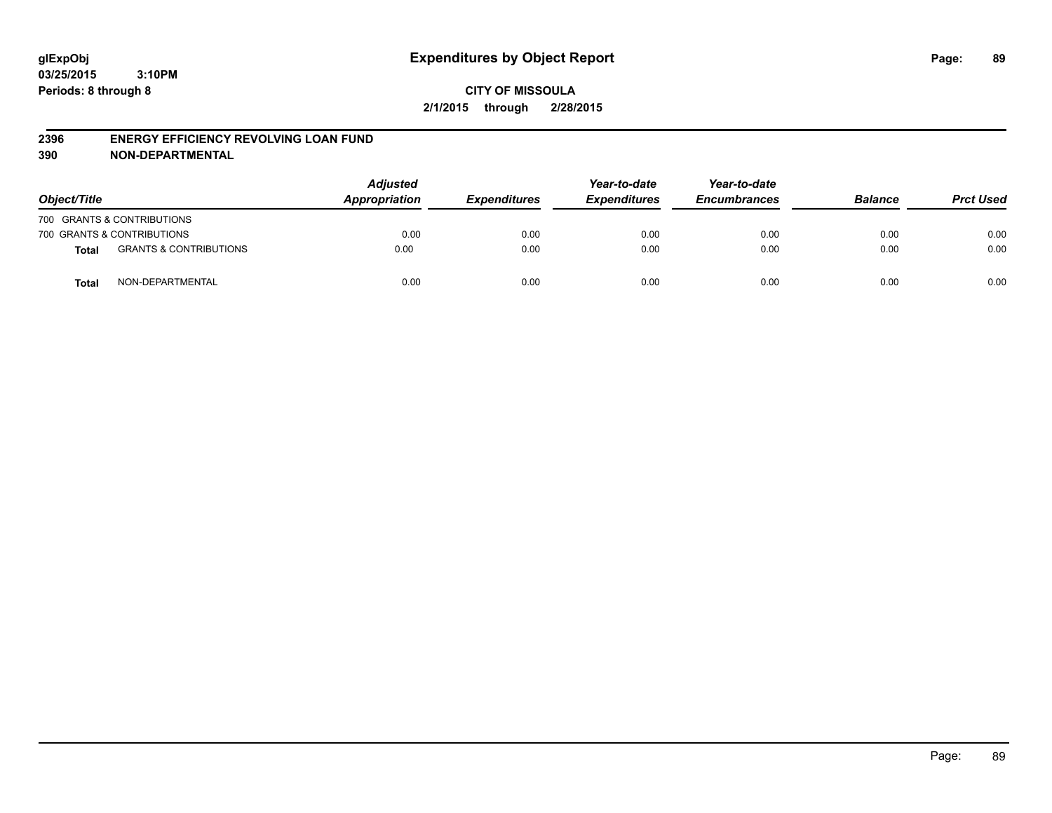#### **2396 ENERGY EFFICIENCY REVOLVING LOAN FUND**

**390 NON-DEPARTMENTAL**

| Object/Title |                                   | <b>Adjusted</b><br>Appropriation | <b>Expenditures</b> | Year-to-date<br><b>Expenditures</b> | Year-to-date<br><b>Encumbrances</b> | <b>Balance</b> | <b>Prct Used</b> |
|--------------|-----------------------------------|----------------------------------|---------------------|-------------------------------------|-------------------------------------|----------------|------------------|
|              | 700 GRANTS & CONTRIBUTIONS        |                                  |                     |                                     |                                     |                |                  |
|              | 700 GRANTS & CONTRIBUTIONS        | 0.00                             | 0.00                | 0.00                                | 0.00                                | 0.00           | 0.00             |
| <b>Total</b> | <b>GRANTS &amp; CONTRIBUTIONS</b> | 0.00                             | 0.00                | 0.00                                | 0.00                                | 0.00           | 0.00             |
| <b>Total</b> | NON-DEPARTMENTAL                  | 0.00                             | 0.00                | 0.00                                | 0.00                                | 0.00           | 0.00             |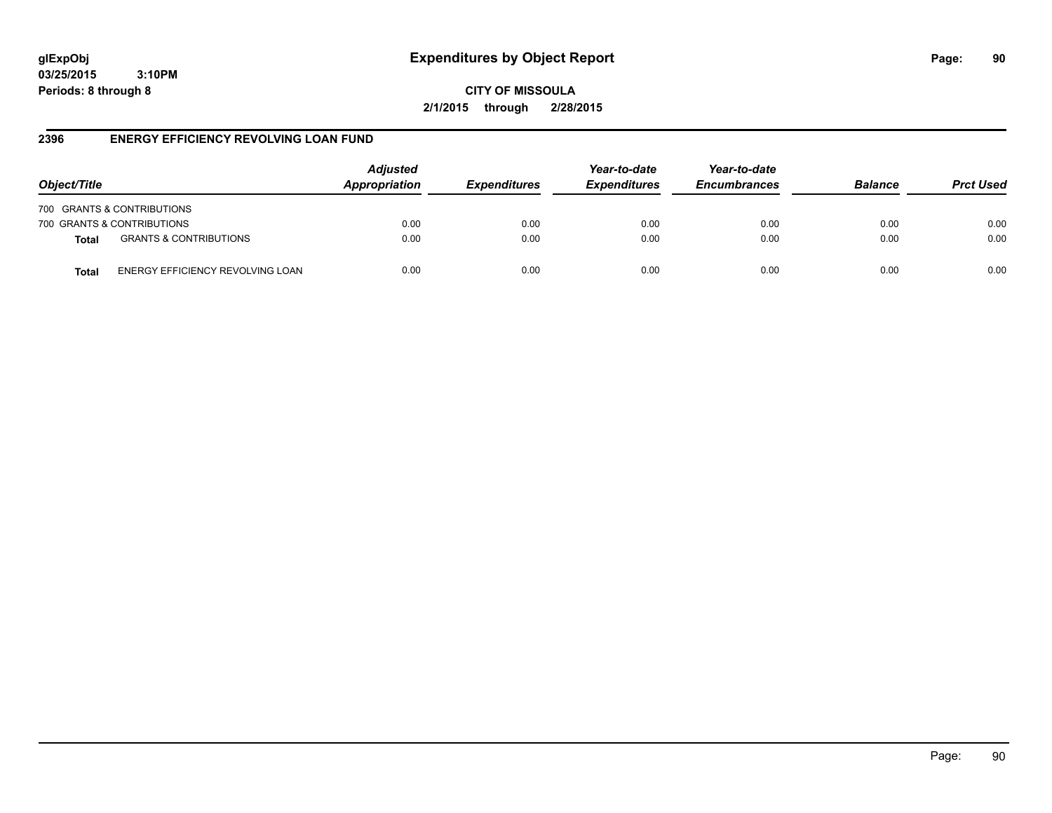# **glExpObj Expenditures by Object Report Page: 90**

**03/25/2015 3:10PM Periods: 8 through 8**

**CITY OF MISSOULA 2/1/2015 through 2/28/2015**

#### **2396 ENERGY EFFICIENCY REVOLVING LOAN FUND**

| Object/Title               |                                   | <b>Adjusted</b><br>Appropriation | <b>Expenditures</b> | Year-to-date<br><b>Expenditures</b> | Year-to-date<br><b>Encumbrances</b> | <b>Balance</b> | <b>Prct Used</b> |
|----------------------------|-----------------------------------|----------------------------------|---------------------|-------------------------------------|-------------------------------------|----------------|------------------|
| 700 GRANTS & CONTRIBUTIONS |                                   |                                  |                     |                                     |                                     |                |                  |
| 700 GRANTS & CONTRIBUTIONS |                                   | 0.00                             | 0.00                | 0.00                                | 0.00                                | 0.00           | 0.00             |
| <b>Total</b>               | <b>GRANTS &amp; CONTRIBUTIONS</b> | 0.00                             | 0.00                | 0.00                                | 0.00                                | 0.00           | 0.00             |
| Total                      | ENERGY EFFICIENCY REVOLVING LOAN  | 0.00                             | 0.00                | 0.00                                | 0.00                                | 0.00           | 0.00             |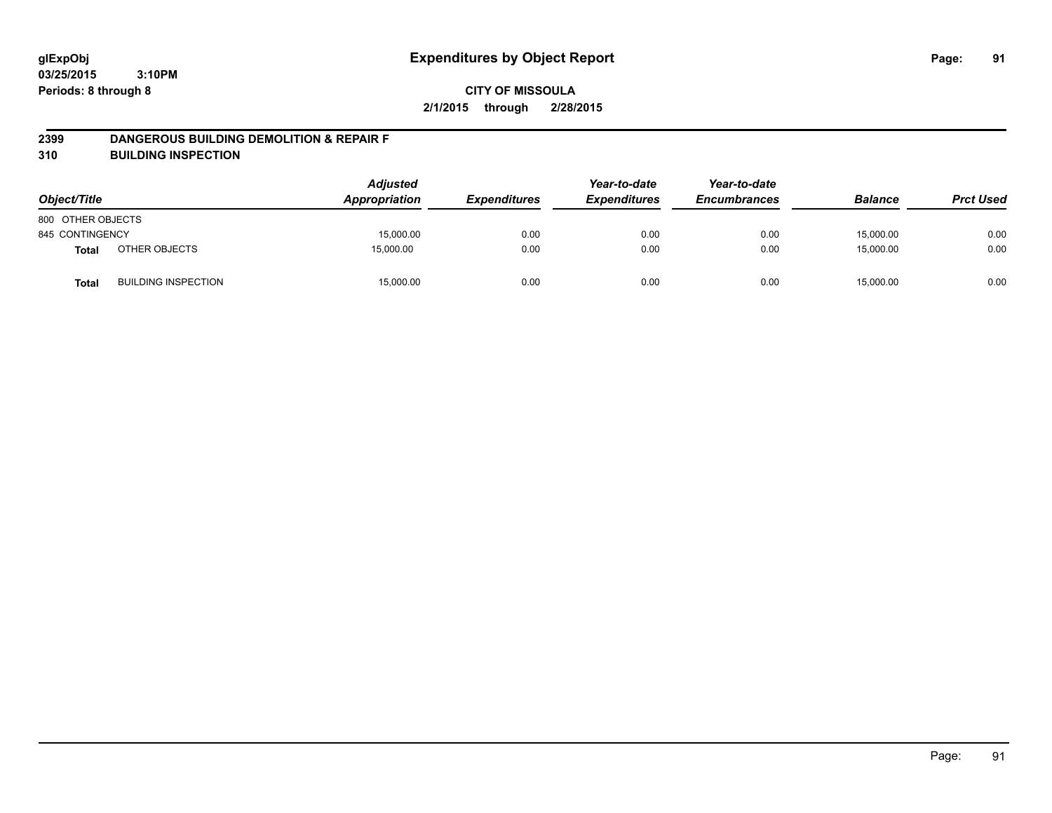#### **2399 DANGEROUS BUILDING DEMOLITION & REPAIR F**

**310 BUILDING INSPECTION**

| Object/Title      |                            | <b>Adjusted</b><br>Appropriation | <b>Expenditures</b> | Year-to-date<br><b>Expenditures</b> | Year-to-date<br><b>Encumbrances</b> | <b>Balance</b> | <b>Prct Used</b> |
|-------------------|----------------------------|----------------------------------|---------------------|-------------------------------------|-------------------------------------|----------------|------------------|
| 800 OTHER OBJECTS |                            |                                  |                     |                                     |                                     |                |                  |
| 845 CONTINGENCY   |                            | 15,000.00                        | 0.00                | 0.00                                | 0.00                                | 15,000.00      | 0.00             |
| <b>Total</b>      | OTHER OBJECTS              | 15,000.00                        | 0.00                | 0.00                                | 0.00                                | 15,000.00      | 0.00             |
| <b>Total</b>      | <b>BUILDING INSPECTION</b> | 15,000.00                        | 0.00                | 0.00                                | 0.00                                | 15,000.00      | 0.00             |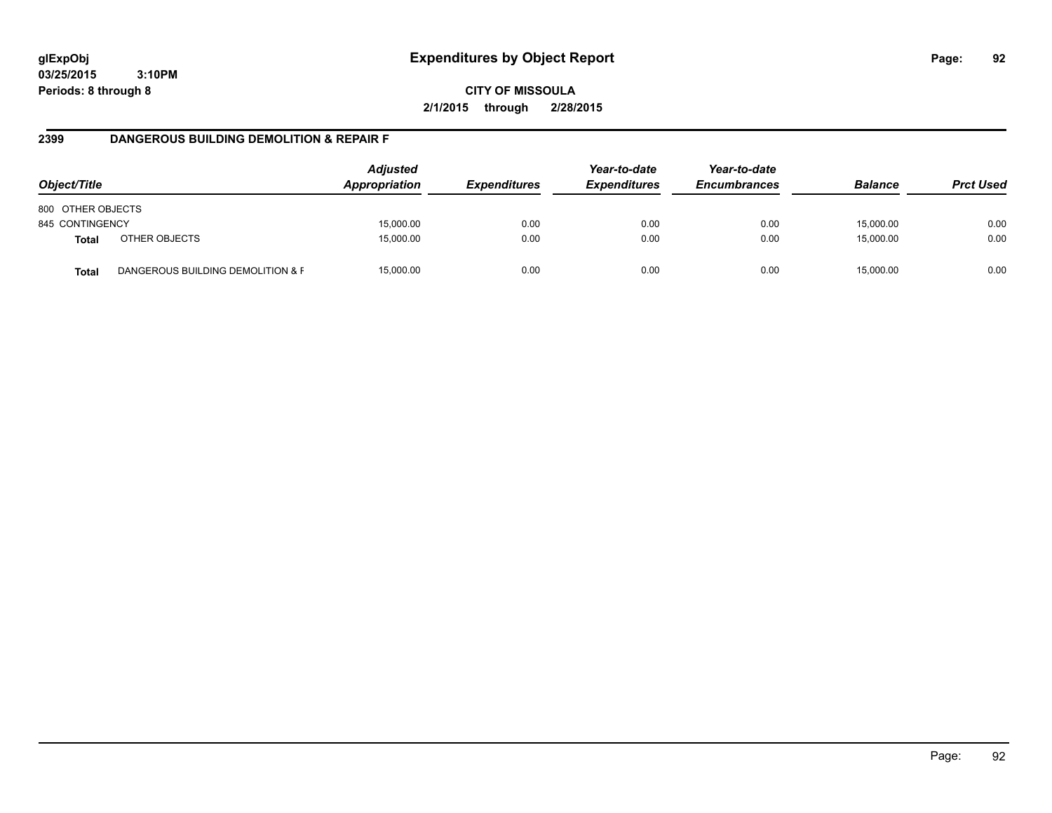**CITY OF MISSOULA 2/1/2015 through 2/28/2015**

### **2399 DANGEROUS BUILDING DEMOLITION & REPAIR F**

| Object/Title      |                                   | <b>Adjusted</b><br>Appropriation | <b>Expenditures</b> | Year-to-date<br><b>Expenditures</b> | Year-to-date<br><b>Encumbrances</b> | <b>Balance</b> | <b>Prct Used</b> |
|-------------------|-----------------------------------|----------------------------------|---------------------|-------------------------------------|-------------------------------------|----------------|------------------|
| 800 OTHER OBJECTS |                                   |                                  |                     |                                     |                                     |                |                  |
| 845 CONTINGENCY   |                                   | 15,000.00                        | 0.00                | 0.00                                | 0.00                                | 15,000.00      | 0.00             |
| <b>Total</b>      | OTHER OBJECTS                     | 15,000.00                        | 0.00                | 0.00                                | 0.00                                | 15,000.00      | 0.00             |
| <b>Total</b>      | DANGEROUS BUILDING DEMOLITION & F | 15,000.00                        | 0.00                | 0.00                                | 0.00                                | 15.000.00      | 0.00             |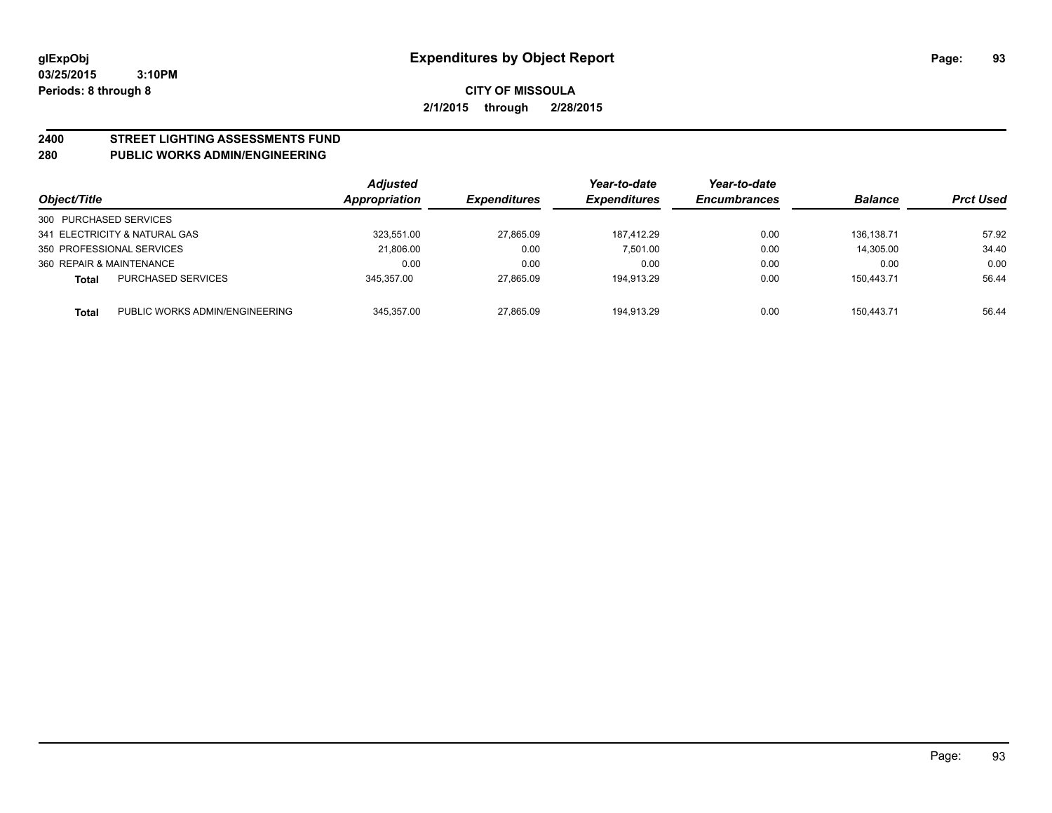# **2400 STREET LIGHTING ASSESSMENTS FUND**

#### **280 PUBLIC WORKS ADMIN/ENGINEERING**

| Object/Title           |                                | <b>Adjusted</b><br>Appropriation | <b>Expenditures</b> | Year-to-date<br><b>Expenditures</b> | Year-to-date<br><b>Encumbrances</b> | <b>Balance</b> | <b>Prct Used</b> |
|------------------------|--------------------------------|----------------------------------|---------------------|-------------------------------------|-------------------------------------|----------------|------------------|
| 300 PURCHASED SERVICES |                                |                                  |                     |                                     |                                     |                |                  |
|                        | 341 ELECTRICITY & NATURAL GAS  | 323,551.00                       | 27,865.09           | 187.412.29                          | 0.00                                | 136.138.71     | 57.92            |
|                        | 350 PROFESSIONAL SERVICES      | 21.806.00                        | 0.00                | 7.501.00                            | 0.00                                | 14.305.00      | 34.40            |
|                        | 360 REPAIR & MAINTENANCE       | 0.00                             | 0.00                | 0.00                                | 0.00                                | 0.00           | 0.00             |
| Total                  | <b>PURCHASED SERVICES</b>      | 345.357.00                       | 27,865.09           | 194.913.29                          | 0.00                                | 150.443.71     | 56.44            |
| <b>Total</b>           | PUBLIC WORKS ADMIN/ENGINEERING | 345.357.00                       | 27.865.09           | 194.913.29                          | 0.00                                | 150.443.71     | 56.44            |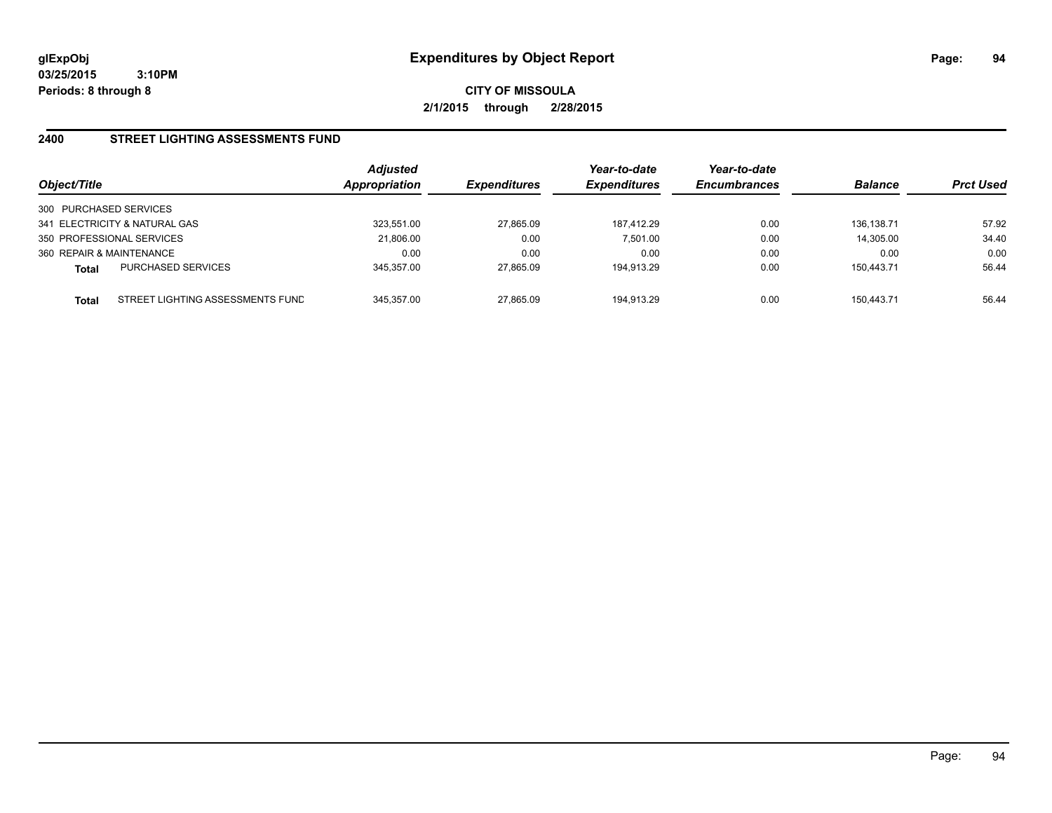**CITY OF MISSOULA 2/1/2015 through 2/28/2015**

#### **2400 STREET LIGHTING ASSESSMENTS FUND**

| Object/Title             |                                  | <b>Adjusted</b><br>Appropriation | <b>Expenditures</b> | Year-to-date<br><b>Expenditures</b> | Year-to-date<br><b>Encumbrances</b> | <b>Balance</b> | <b>Prct Used</b> |
|--------------------------|----------------------------------|----------------------------------|---------------------|-------------------------------------|-------------------------------------|----------------|------------------|
|                          |                                  |                                  |                     |                                     |                                     |                |                  |
| 300 PURCHASED SERVICES   |                                  |                                  |                     |                                     |                                     |                |                  |
|                          | 341 ELECTRICITY & NATURAL GAS    | 323.551.00                       | 27,865.09           | 187.412.29                          | 0.00                                | 136.138.71     | 57.92            |
|                          | 350 PROFESSIONAL SERVICES        | 21.806.00                        | 0.00                | 7.501.00                            | 0.00                                | 14.305.00      | 34.40            |
| 360 REPAIR & MAINTENANCE |                                  | 0.00                             | 0.00                | 0.00                                | 0.00                                | 0.00           | 0.00             |
| Total                    | <b>PURCHASED SERVICES</b>        | 345.357.00                       | 27.865.09           | 194.913.29                          | 0.00                                | 150.443.71     | 56.44            |
| <b>Total</b>             | STREET LIGHTING ASSESSMENTS FUND | 345.357.00                       | 27,865.09           | 194.913.29                          | 0.00                                | 150.443.71     | 56.44            |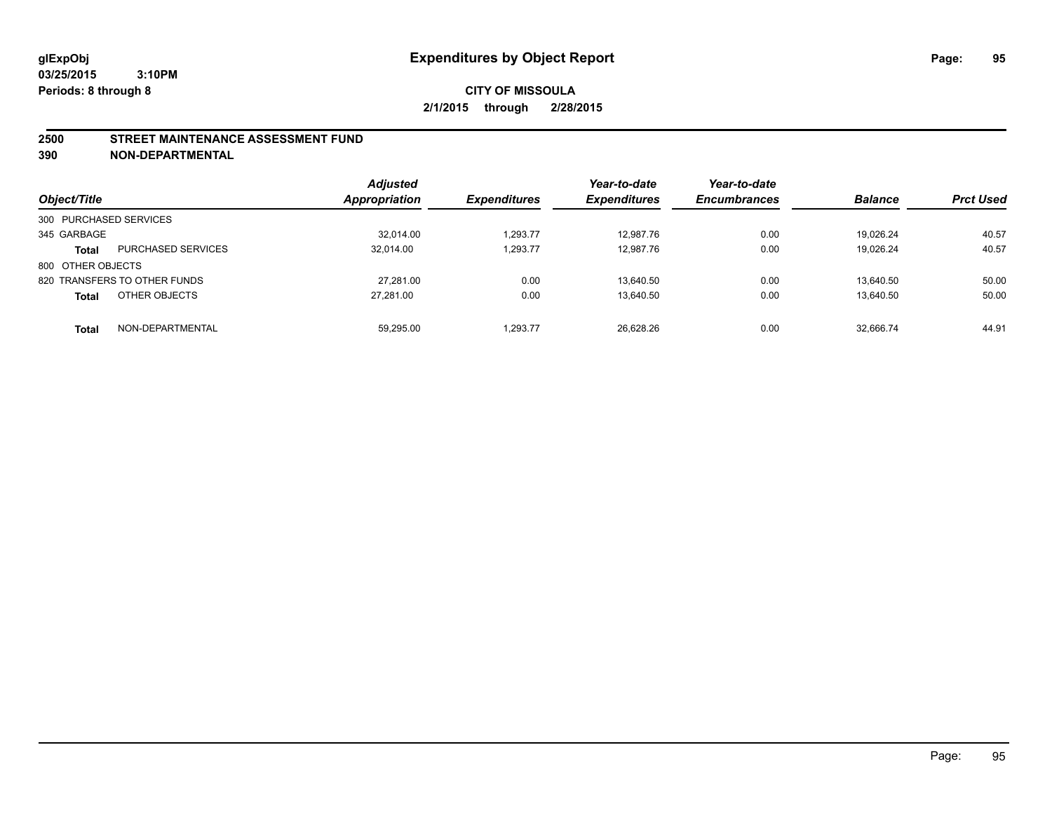#### **2500 STREET MAINTENANCE ASSESSMENT FUND**

**390 NON-DEPARTMENTAL**

| Object/Title           |                              | <b>Adjusted</b><br>Appropriation | <b>Expenditures</b> | Year-to-date<br><b>Expenditures</b> | Year-to-date<br><b>Encumbrances</b> | <b>Balance</b> | <b>Prct Used</b> |
|------------------------|------------------------------|----------------------------------|---------------------|-------------------------------------|-------------------------------------|----------------|------------------|
| 300 PURCHASED SERVICES |                              |                                  |                     |                                     |                                     |                |                  |
| 345 GARBAGE            |                              | 32.014.00                        | 1.293.77            | 12.987.76                           | 0.00                                | 19.026.24      | 40.57            |
| <b>Total</b>           | <b>PURCHASED SERVICES</b>    | 32.014.00                        | 1,293.77            | 12.987.76                           | 0.00                                | 19,026.24      | 40.57            |
| 800 OTHER OBJECTS      |                              |                                  |                     |                                     |                                     |                |                  |
|                        | 820 TRANSFERS TO OTHER FUNDS | 27.281.00                        | 0.00                | 13.640.50                           | 0.00                                | 13.640.50      | 50.00            |
| <b>Total</b>           | OTHER OBJECTS                | 27.281.00                        | 0.00                | 13.640.50                           | 0.00                                | 13.640.50      | 50.00            |
| <b>Total</b>           | NON-DEPARTMENTAL             | 59,295.00                        | 1.293.77            | 26.628.26                           | 0.00                                | 32.666.74      | 44.91            |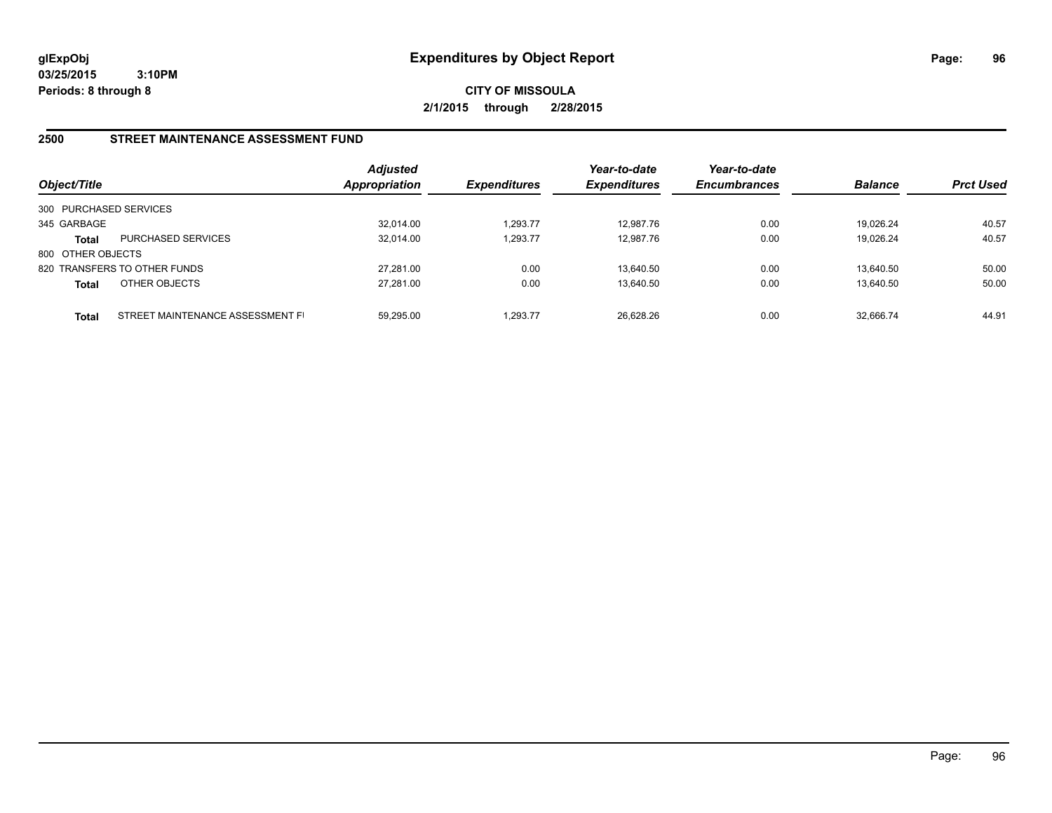**CITY OF MISSOULA 2/1/2015 through 2/28/2015**

### **2500 STREET MAINTENANCE ASSESSMENT FUND**

| Object/Title           |                                  | <b>Adjusted</b><br>Appropriation | <b>Expenditures</b> | Year-to-date<br><b>Expenditures</b> | Year-to-date<br><b>Encumbrances</b> | <b>Balance</b> | <b>Prct Used</b> |
|------------------------|----------------------------------|----------------------------------|---------------------|-------------------------------------|-------------------------------------|----------------|------------------|
| 300 PURCHASED SERVICES |                                  |                                  |                     |                                     |                                     |                |                  |
| 345 GARBAGE            |                                  | 32,014.00                        | 1,293.77            | 12,987.76                           | 0.00                                | 19,026.24      | 40.57            |
| Total                  | <b>PURCHASED SERVICES</b>        | 32.014.00                        | 1,293.77            | 12.987.76                           | 0.00                                | 19,026.24      | 40.57            |
| 800 OTHER OBJECTS      |                                  |                                  |                     |                                     |                                     |                |                  |
|                        | 820 TRANSFERS TO OTHER FUNDS     | 27.281.00                        | 0.00                | 13.640.50                           | 0.00                                | 13.640.50      | 50.00            |
| <b>Total</b>           | OTHER OBJECTS                    | 27,281.00                        | 0.00                | 13,640.50                           | 0.00                                | 13,640.50      | 50.00            |
| Total                  | STREET MAINTENANCE ASSESSMENT FI | 59.295.00                        | 1.293.77            | 26.628.26                           | 0.00                                | 32,666.74      | 44.91            |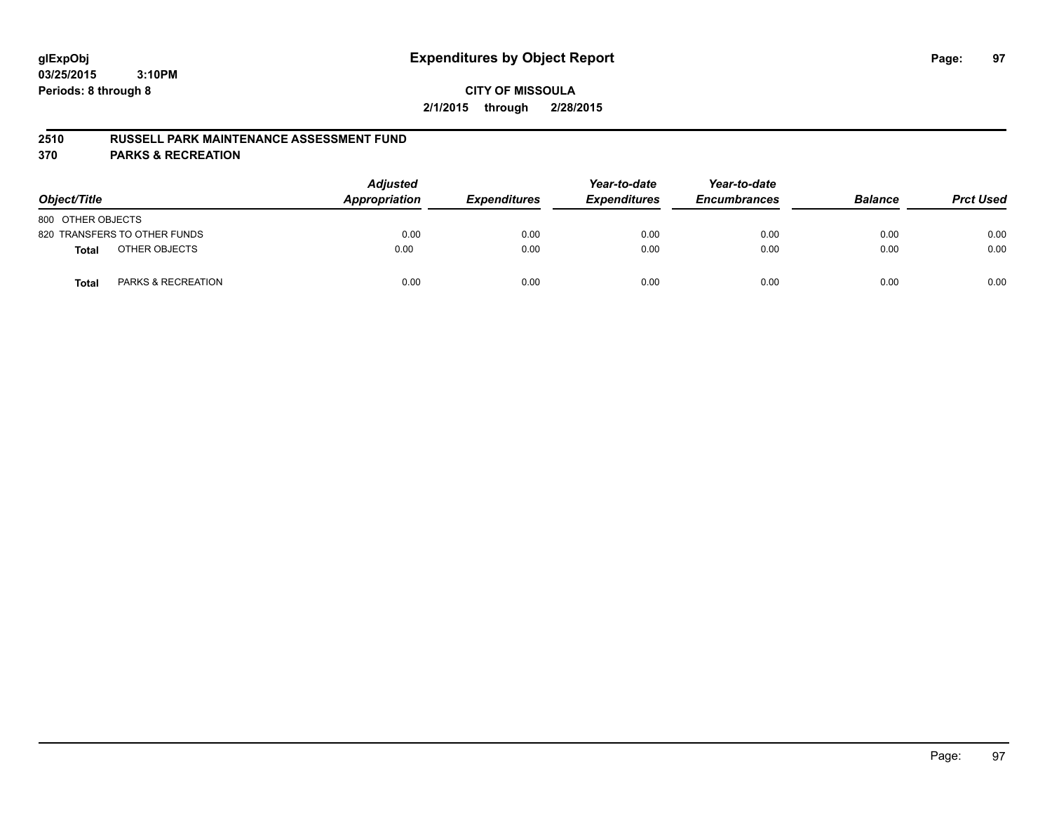#### **2510 RUSSELL PARK MAINTENANCE ASSESSMENT FUND**

**370 PARKS & RECREATION**

| Object/Title                           | <b>Adjusted</b><br>Appropriation | <b>Expenditures</b> | Year-to-date<br><b>Expenditures</b> | Year-to-date<br><b>Encumbrances</b> | <b>Balance</b> | <b>Prct Used</b> |
|----------------------------------------|----------------------------------|---------------------|-------------------------------------|-------------------------------------|----------------|------------------|
| 800 OTHER OBJECTS                      |                                  |                     |                                     |                                     |                |                  |
| 820 TRANSFERS TO OTHER FUNDS           | 0.00                             | 0.00                | 0.00                                | 0.00                                | 0.00           | 0.00             |
| OTHER OBJECTS<br>Total                 | 0.00                             | 0.00                | 0.00                                | 0.00                                | 0.00           | 0.00             |
| <b>PARKS &amp; RECREATION</b><br>Total | 0.00                             | 0.00                | 0.00                                | 0.00                                | 0.00           | 0.00             |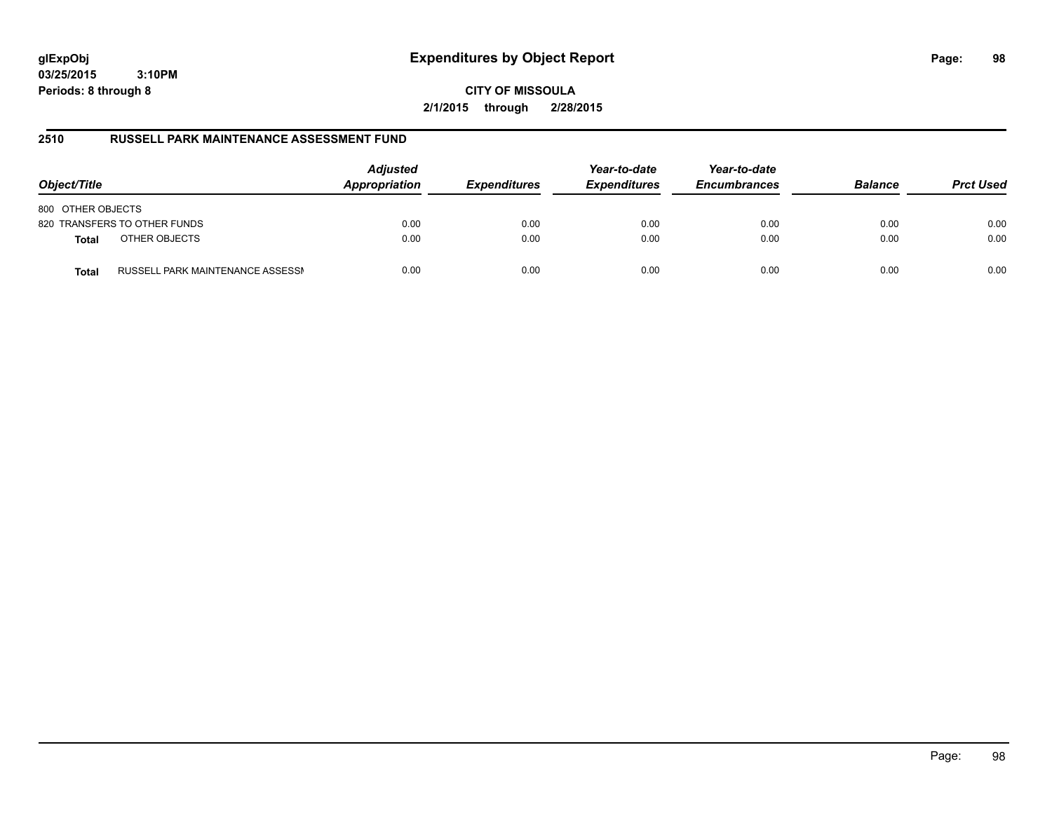# **glExpObj Expenditures by Object Report Page: 98**

**03/25/2015 3:10PM Periods: 8 through 8**

**CITY OF MISSOULA 2/1/2015 through 2/28/2015**

### **2510 RUSSELL PARK MAINTENANCE ASSESSMENT FUND**

| Object/Title                                     | <b>Adjusted</b><br>Appropriation | <b>Expenditures</b> | Year-to-date<br><b>Expenditures</b> | Year-to-date<br><b>Encumbrances</b> | <b>Balance</b> | <b>Prct Used</b> |
|--------------------------------------------------|----------------------------------|---------------------|-------------------------------------|-------------------------------------|----------------|------------------|
| 800 OTHER OBJECTS                                |                                  |                     |                                     |                                     |                |                  |
| 820 TRANSFERS TO OTHER FUNDS                     | 0.00                             | 0.00                | 0.00                                | 0.00                                | 0.00           | 0.00             |
| OTHER OBJECTS<br><b>Total</b>                    | 0.00                             | 0.00                | 0.00                                | 0.00                                | 0.00           | 0.00             |
| RUSSELL PARK MAINTENANCE ASSESSN<br><b>Total</b> | 0.00                             | 0.00                | 0.00                                | 0.00                                | 0.00           | 0.00             |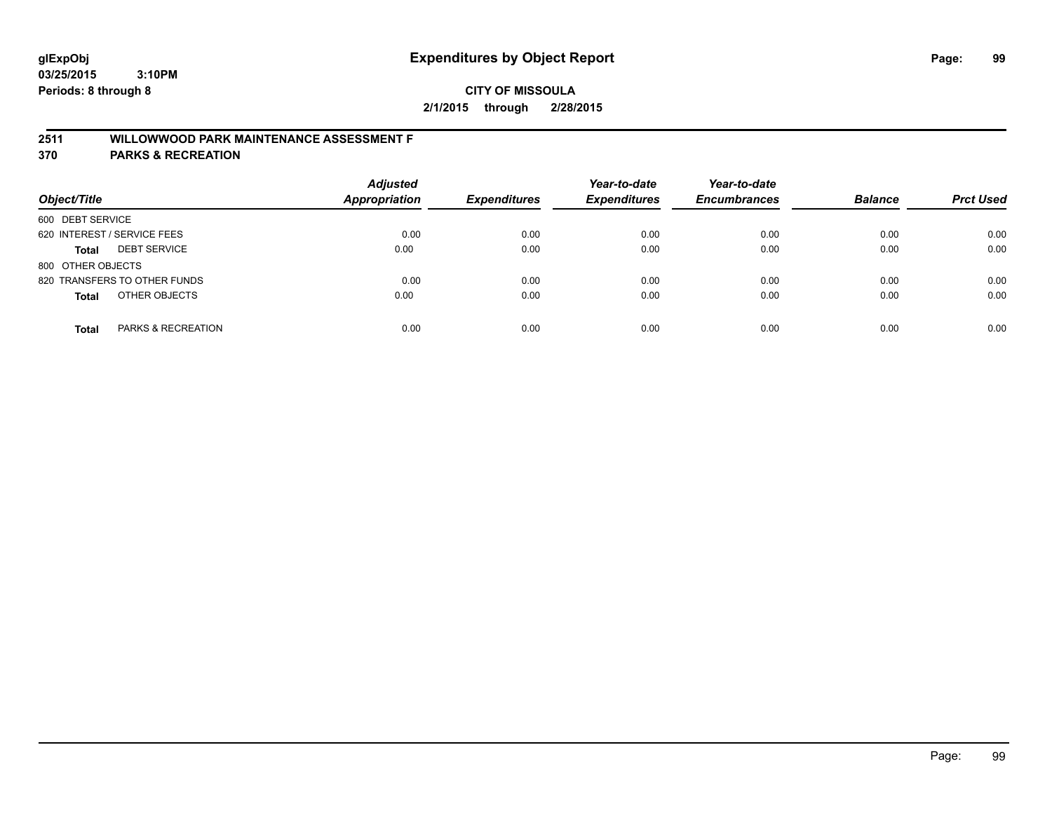# **CITY OF MISSOULA 2/1/2015 through 2/28/2015**

# **2511 WILLOWWOOD PARK MAINTENANCE ASSESSMENT F**

**370 PARKS & RECREATION**

| Object/Title                       | <b>Adjusted</b><br>Appropriation | <b>Expenditures</b> | Year-to-date<br><b>Expenditures</b> | Year-to-date<br><b>Encumbrances</b> | <b>Balance</b> | <b>Prct Used</b> |
|------------------------------------|----------------------------------|---------------------|-------------------------------------|-------------------------------------|----------------|------------------|
| 600 DEBT SERVICE                   |                                  |                     |                                     |                                     |                |                  |
| 620 INTEREST / SERVICE FEES        | 0.00                             | 0.00                | 0.00                                | 0.00                                | 0.00           | 0.00             |
| <b>DEBT SERVICE</b><br>Total       | 0.00                             | 0.00                | 0.00                                | 0.00                                | 0.00           | 0.00             |
| 800 OTHER OBJECTS                  |                                  |                     |                                     |                                     |                |                  |
| 820 TRANSFERS TO OTHER FUNDS       | 0.00                             | 0.00                | 0.00                                | 0.00                                | 0.00           | 0.00             |
| OTHER OBJECTS<br><b>Total</b>      | 0.00                             | 0.00                | 0.00                                | 0.00                                | 0.00           | 0.00             |
| PARKS & RECREATION<br><b>Total</b> | 0.00                             | 0.00                | 0.00                                | 0.00                                | 0.00           | 0.00             |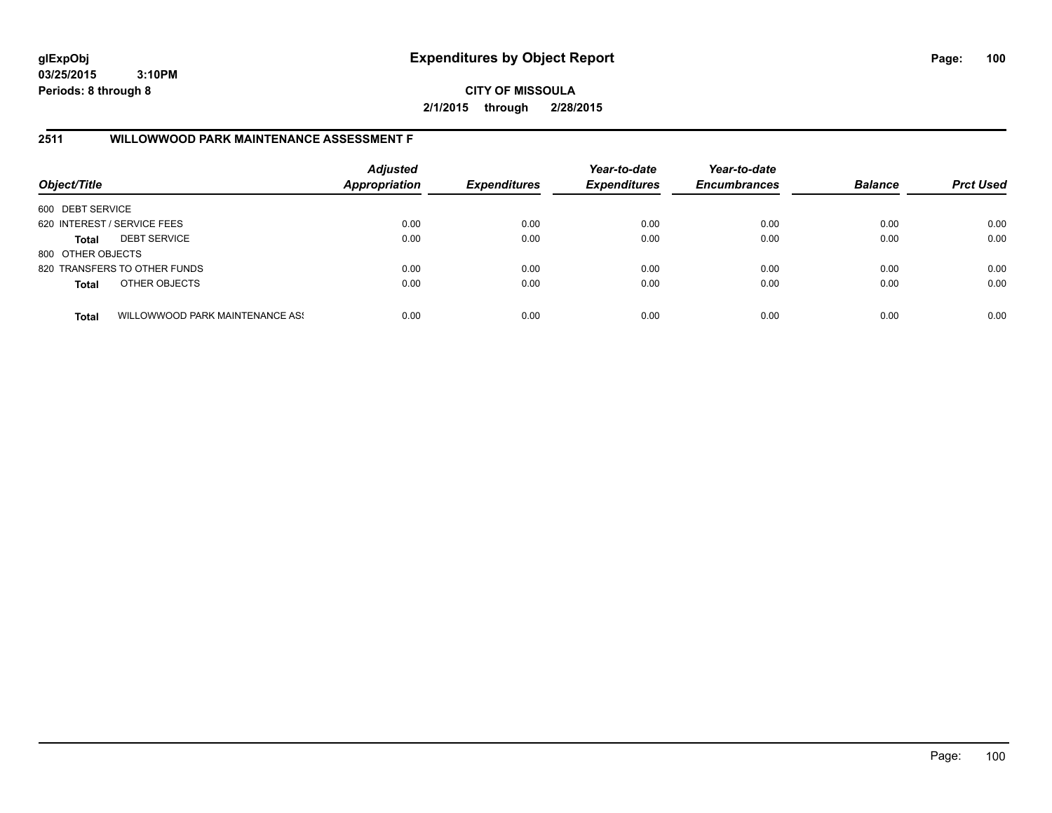**CITY OF MISSOULA 2/1/2015 through 2/28/2015**

# **2511 WILLOWWOOD PARK MAINTENANCE ASSESSMENT F**

| Object/Title                |                                 | <b>Adjusted</b><br><b>Appropriation</b> | <b>Expenditures</b> | Year-to-date<br><b>Expenditures</b> | Year-to-date<br><b>Encumbrances</b> | <b>Balance</b> | <b>Prct Used</b> |
|-----------------------------|---------------------------------|-----------------------------------------|---------------------|-------------------------------------|-------------------------------------|----------------|------------------|
| 600 DEBT SERVICE            |                                 |                                         |                     |                                     |                                     |                |                  |
| 620 INTEREST / SERVICE FEES |                                 | 0.00                                    | 0.00                | 0.00                                | 0.00                                | 0.00           | 0.00             |
| <b>Total</b>                | <b>DEBT SERVICE</b>             | 0.00                                    | 0.00                | 0.00                                | 0.00                                | 0.00           | 0.00             |
| 800 OTHER OBJECTS           |                                 |                                         |                     |                                     |                                     |                |                  |
|                             | 820 TRANSFERS TO OTHER FUNDS    | 0.00                                    | 0.00                | 0.00                                | 0.00                                | 0.00           | 0.00             |
| <b>Total</b>                | OTHER OBJECTS                   | 0.00                                    | 0.00                | 0.00                                | 0.00                                | 0.00           | 0.00             |
| <b>Total</b>                | WILLOWWOOD PARK MAINTENANCE ASS | 0.00                                    | 0.00                | 0.00                                | 0.00                                | 0.00           | 0.00             |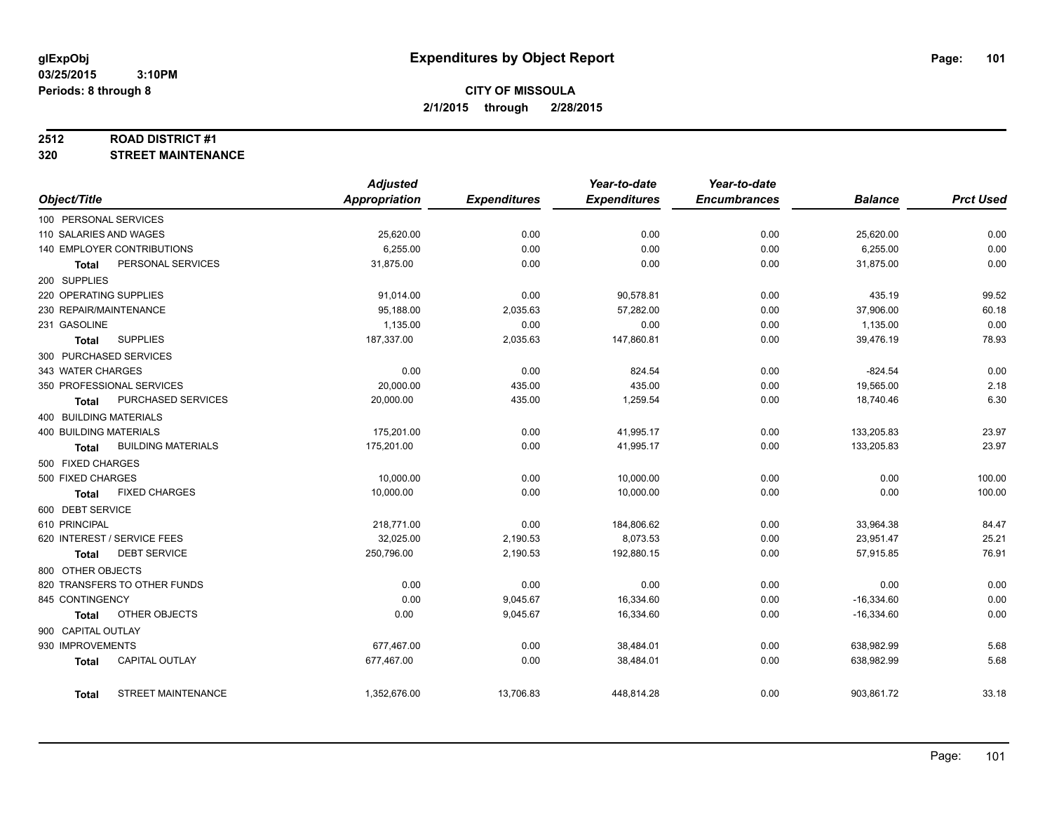#### **2512 ROAD DISTRICT #1**

**320 STREET MAINTENANCE**

|                              |                           | <b>Adjusted</b>      |                     | Year-to-date        | Year-to-date        |                |                  |
|------------------------------|---------------------------|----------------------|---------------------|---------------------|---------------------|----------------|------------------|
| Object/Title                 |                           | <b>Appropriation</b> | <b>Expenditures</b> | <b>Expenditures</b> | <b>Encumbrances</b> | <b>Balance</b> | <b>Prct Used</b> |
| 100 PERSONAL SERVICES        |                           |                      |                     |                     |                     |                |                  |
| 110 SALARIES AND WAGES       |                           | 25,620.00            | 0.00                | 0.00                | 0.00                | 25,620.00      | 0.00             |
| 140 EMPLOYER CONTRIBUTIONS   |                           | 6,255.00             | 0.00                | 0.00                | 0.00                | 6,255.00       | 0.00             |
| <b>Total</b>                 | PERSONAL SERVICES         | 31,875.00            | 0.00                | 0.00                | 0.00                | 31,875.00      | 0.00             |
| 200 SUPPLIES                 |                           |                      |                     |                     |                     |                |                  |
| 220 OPERATING SUPPLIES       |                           | 91,014.00            | 0.00                | 90,578.81           | 0.00                | 435.19         | 99.52            |
| 230 REPAIR/MAINTENANCE       |                           | 95,188.00            | 2,035.63            | 57,282.00           | 0.00                | 37,906.00      | 60.18            |
| 231 GASOLINE                 |                           | 1,135.00             | 0.00                | 0.00                | 0.00                | 1,135.00       | 0.00             |
| <b>Total</b>                 | <b>SUPPLIES</b>           | 187,337.00           | 2,035.63            | 147,860.81          | 0.00                | 39,476.19      | 78.93            |
| 300 PURCHASED SERVICES       |                           |                      |                     |                     |                     |                |                  |
| 343 WATER CHARGES            |                           | 0.00                 | 0.00                | 824.54              | 0.00                | $-824.54$      | 0.00             |
| 350 PROFESSIONAL SERVICES    |                           | 20,000.00            | 435.00              | 435.00              | 0.00                | 19,565.00      | 2.18             |
| <b>Total</b>                 | PURCHASED SERVICES        | 20,000.00            | 435.00              | 1,259.54            | 0.00                | 18,740.46      | 6.30             |
| 400 BUILDING MATERIALS       |                           |                      |                     |                     |                     |                |                  |
| 400 BUILDING MATERIALS       |                           | 175,201.00           | 0.00                | 41,995.17           | 0.00                | 133,205.83     | 23.97            |
| Total                        | <b>BUILDING MATERIALS</b> | 175,201.00           | 0.00                | 41,995.17           | 0.00                | 133,205.83     | 23.97            |
| 500 FIXED CHARGES            |                           |                      |                     |                     |                     |                |                  |
| 500 FIXED CHARGES            |                           | 10,000.00            | 0.00                | 10,000.00           | 0.00                | 0.00           | 100.00           |
| <b>Total</b>                 | <b>FIXED CHARGES</b>      | 10,000.00            | 0.00                | 10,000.00           | 0.00                | 0.00           | 100.00           |
| 600 DEBT SERVICE             |                           |                      |                     |                     |                     |                |                  |
| 610 PRINCIPAL                |                           | 218,771.00           | 0.00                | 184,806.62          | 0.00                | 33,964.38      | 84.47            |
| 620 INTEREST / SERVICE FEES  |                           | 32,025.00            | 2,190.53            | 8,073.53            | 0.00                | 23,951.47      | 25.21            |
| Total                        | <b>DEBT SERVICE</b>       | 250,796.00           | 2,190.53            | 192,880.15          | 0.00                | 57,915.85      | 76.91            |
| 800 OTHER OBJECTS            |                           |                      |                     |                     |                     |                |                  |
| 820 TRANSFERS TO OTHER FUNDS |                           | 0.00                 | 0.00                | 0.00                | 0.00                | 0.00           | 0.00             |
| 845 CONTINGENCY              |                           | 0.00                 | 9,045.67            | 16,334.60           | 0.00                | $-16,334.60$   | 0.00             |
| Total                        | OTHER OBJECTS             | 0.00                 | 9,045.67            | 16,334.60           | 0.00                | $-16,334.60$   | 0.00             |
| 900 CAPITAL OUTLAY           |                           |                      |                     |                     |                     |                |                  |
| 930 IMPROVEMENTS             |                           | 677,467.00           | 0.00                | 38,484.01           | 0.00                | 638,982.99     | 5.68             |
| <b>Total</b>                 | <b>CAPITAL OUTLAY</b>     | 677,467.00           | 0.00                | 38,484.01           | 0.00                | 638,982.99     | 5.68             |
|                              |                           |                      |                     |                     |                     |                |                  |
| Total                        | <b>STREET MAINTENANCE</b> | 1,352,676.00         | 13,706.83           | 448,814.28          | 0.00                | 903,861.72     | 33.18            |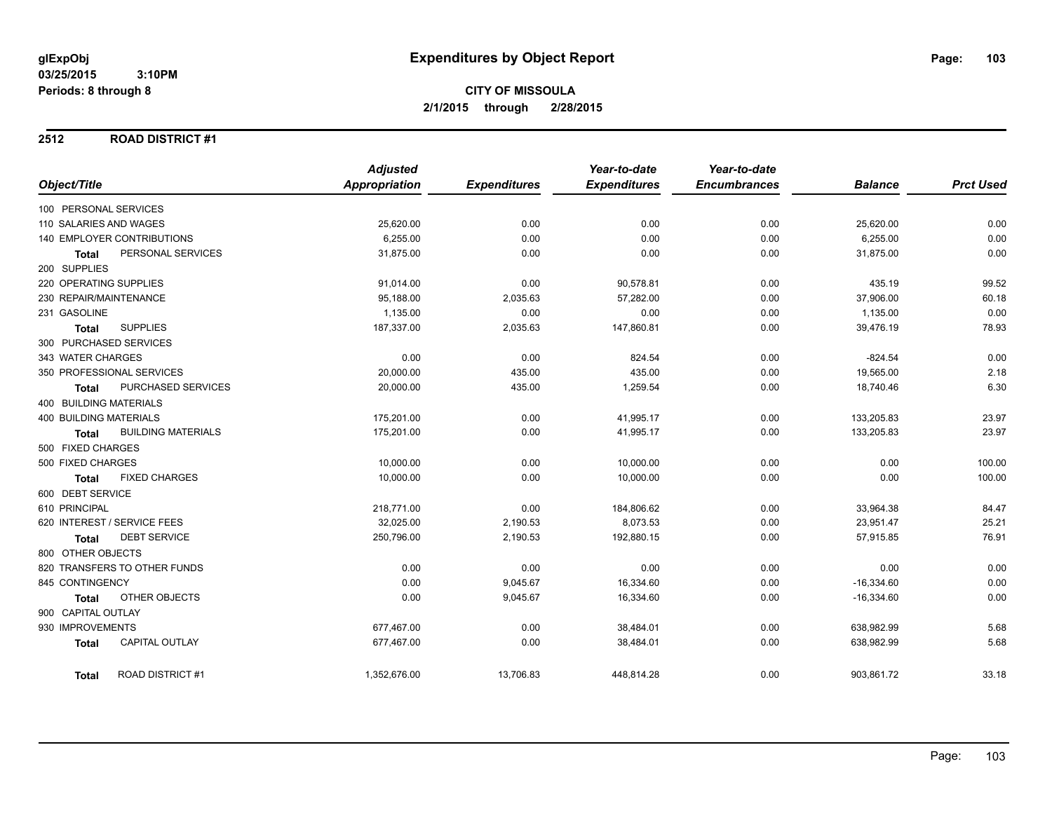#### **2512 ROAD DISTRICT #1**

|                                           | <b>Adjusted</b>      |                     | Year-to-date        | Year-to-date        |                |                  |
|-------------------------------------------|----------------------|---------------------|---------------------|---------------------|----------------|------------------|
| Object/Title                              | <b>Appropriation</b> | <b>Expenditures</b> | <b>Expenditures</b> | <b>Encumbrances</b> | <b>Balance</b> | <b>Prct Used</b> |
| 100 PERSONAL SERVICES                     |                      |                     |                     |                     |                |                  |
| 110 SALARIES AND WAGES                    | 25,620.00            | 0.00                | 0.00                | 0.00                | 25,620.00      | 0.00             |
| 140 EMPLOYER CONTRIBUTIONS                | 6,255.00             | 0.00                | 0.00                | 0.00                | 6,255.00       | 0.00             |
| PERSONAL SERVICES<br><b>Total</b>         | 31,875.00            | 0.00                | 0.00                | 0.00                | 31,875.00      | 0.00             |
| 200 SUPPLIES                              |                      |                     |                     |                     |                |                  |
| 220 OPERATING SUPPLIES                    | 91,014.00            | 0.00                | 90,578.81           | 0.00                | 435.19         | 99.52            |
| 230 REPAIR/MAINTENANCE                    | 95,188.00            | 2,035.63            | 57,282.00           | 0.00                | 37,906.00      | 60.18            |
| 231 GASOLINE                              | 1,135.00             | 0.00                | 0.00                | 0.00                | 1,135.00       | 0.00             |
| <b>SUPPLIES</b><br><b>Total</b>           | 187,337.00           | 2,035.63            | 147,860.81          | 0.00                | 39,476.19      | 78.93            |
| 300 PURCHASED SERVICES                    |                      |                     |                     |                     |                |                  |
| 343 WATER CHARGES                         | 0.00                 | 0.00                | 824.54              | 0.00                | $-824.54$      | 0.00             |
| 350 PROFESSIONAL SERVICES                 | 20,000.00            | 435.00              | 435.00              | 0.00                | 19,565.00      | 2.18             |
| PURCHASED SERVICES<br><b>Total</b>        | 20,000.00            | 435.00              | 1,259.54            | 0.00                | 18,740.46      | 6.30             |
| 400 BUILDING MATERIALS                    |                      |                     |                     |                     |                |                  |
| <b>400 BUILDING MATERIALS</b>             | 175,201.00           | 0.00                | 41,995.17           | 0.00                | 133,205.83     | 23.97            |
| <b>BUILDING MATERIALS</b><br><b>Total</b> | 175,201.00           | 0.00                | 41,995.17           | 0.00                | 133,205.83     | 23.97            |
| 500 FIXED CHARGES                         |                      |                     |                     |                     |                |                  |
| 500 FIXED CHARGES                         | 10,000.00            | 0.00                | 10,000.00           | 0.00                | 0.00           | 100.00           |
| <b>FIXED CHARGES</b><br><b>Total</b>      | 10,000.00            | 0.00                | 10,000.00           | 0.00                | 0.00           | 100.00           |
| 600 DEBT SERVICE                          |                      |                     |                     |                     |                |                  |
| 610 PRINCIPAL                             | 218,771.00           | 0.00                | 184,806.62          | 0.00                | 33,964.38      | 84.47            |
| 620 INTEREST / SERVICE FEES               | 32,025.00            | 2,190.53            | 8,073.53            | 0.00                | 23,951.47      | 25.21            |
| <b>DEBT SERVICE</b><br><b>Total</b>       | 250,796.00           | 2,190.53            | 192,880.15          | 0.00                | 57,915.85      | 76.91            |
| 800 OTHER OBJECTS                         |                      |                     |                     |                     |                |                  |
| 820 TRANSFERS TO OTHER FUNDS              | 0.00                 | 0.00                | 0.00                | 0.00                | 0.00           | 0.00             |
| 845 CONTINGENCY                           | 0.00                 | 9,045.67            | 16,334.60           | 0.00                | $-16,334.60$   | 0.00             |
| OTHER OBJECTS<br><b>Total</b>             | 0.00                 | 9,045.67            | 16,334.60           | 0.00                | $-16,334.60$   | 0.00             |
| 900 CAPITAL OUTLAY                        |                      |                     |                     |                     |                |                  |
| 930 IMPROVEMENTS                          | 677,467.00           | 0.00                | 38,484.01           | 0.00                | 638,982.99     | 5.68             |
| <b>CAPITAL OUTLAY</b><br><b>Total</b>     | 677,467.00           | 0.00                | 38,484.01           | 0.00                | 638,982.99     | 5.68             |
| <b>ROAD DISTRICT #1</b><br><b>Total</b>   | 1,352,676.00         | 13,706.83           | 448,814.28          | 0.00                | 903,861.72     | 33.18            |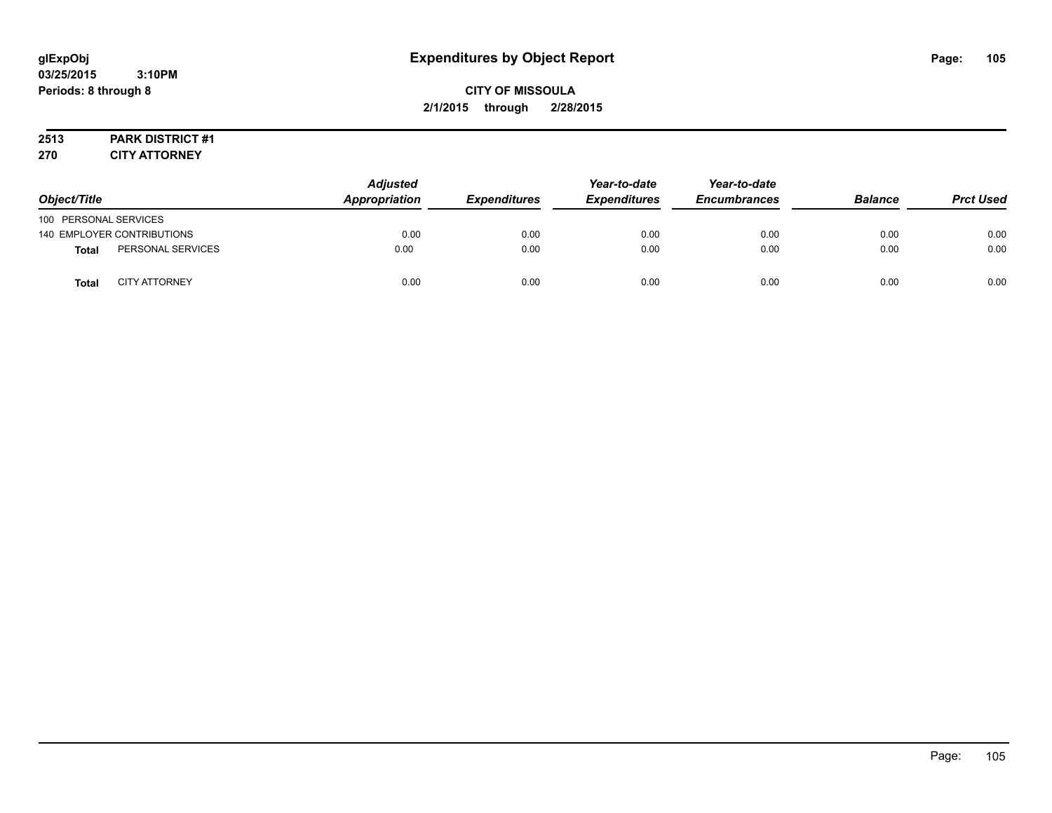# **CITY OF MISSOULA 2/1/2015 through 2/28/2015**

# **2513 PARK DISTRICT #1**

**270 CITY ATTORNEY**

| Object/Title          |                            | <b>Adjusted</b><br>Appropriation | <b>Expenditures</b> | Year-to-date<br><b>Expenditures</b> | Year-to-date<br><b>Encumbrances</b> | <b>Balance</b> | <b>Prct Used</b> |
|-----------------------|----------------------------|----------------------------------|---------------------|-------------------------------------|-------------------------------------|----------------|------------------|
| 100 PERSONAL SERVICES |                            |                                  |                     |                                     |                                     |                |                  |
|                       | 140 EMPLOYER CONTRIBUTIONS | 0.00                             | 0.00                | 0.00                                | 0.00                                | 0.00           | 0.00             |
| <b>Total</b>          | PERSONAL SERVICES          | 0.00                             | 0.00                | 0.00                                | 0.00                                | 0.00           | 0.00             |
| <b>Total</b>          | <b>CITY ATTORNEY</b>       | 0.00                             | 0.00                | 0.00                                | 0.00                                | 0.00           | 0.00             |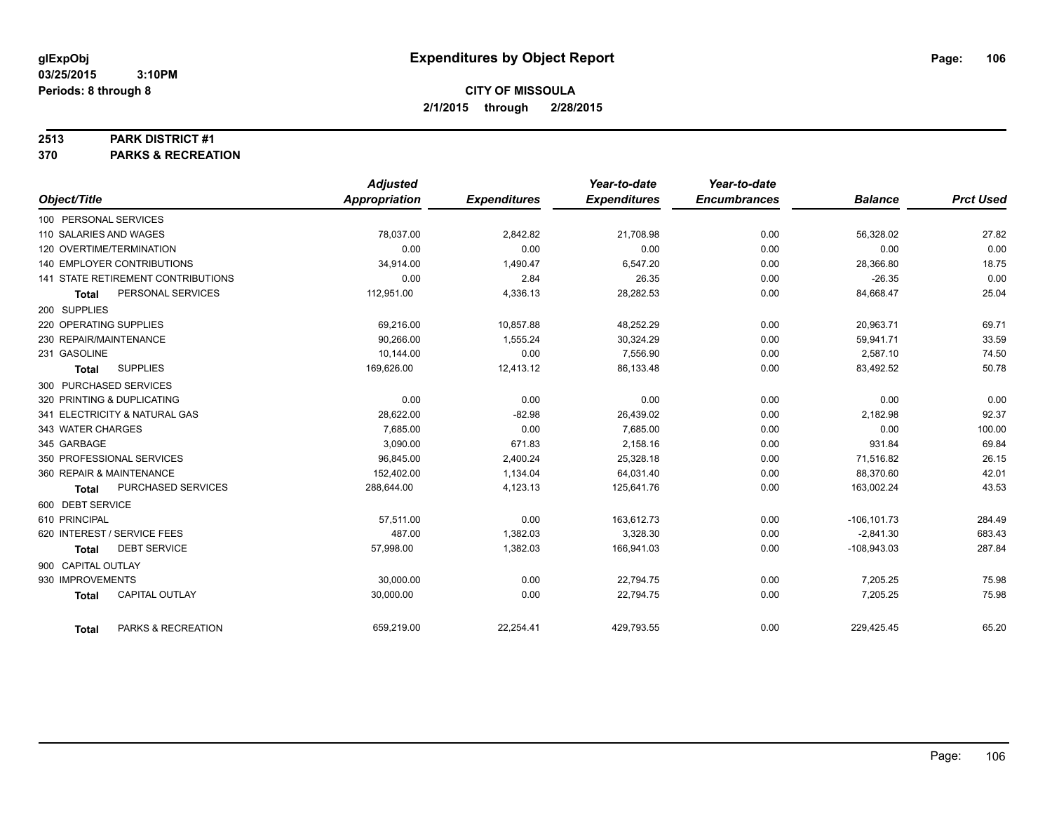#### **2513 PARK DISTRICT #1**

**370 PARKS & RECREATION**

|                                       | <b>Adjusted</b> |                     | Year-to-date        | Year-to-date        |                |                  |
|---------------------------------------|-----------------|---------------------|---------------------|---------------------|----------------|------------------|
| Object/Title                          | Appropriation   | <b>Expenditures</b> | <b>Expenditures</b> | <b>Encumbrances</b> | <b>Balance</b> | <b>Prct Used</b> |
| 100 PERSONAL SERVICES                 |                 |                     |                     |                     |                |                  |
| 110 SALARIES AND WAGES                | 78,037.00       | 2,842.82            | 21,708.98           | 0.00                | 56,328.02      | 27.82            |
| 120 OVERTIME/TERMINATION              | 0.00            | 0.00                | 0.00                | 0.00                | 0.00           | 0.00             |
| <b>140 EMPLOYER CONTRIBUTIONS</b>     | 34,914.00       | 1,490.47            | 6,547.20            | 0.00                | 28,366.80      | 18.75            |
| 141 STATE RETIREMENT CONTRIBUTIONS    | 0.00            | 2.84                | 26.35               | 0.00                | $-26.35$       | 0.00             |
| PERSONAL SERVICES<br>Total            | 112,951.00      | 4,336.13            | 28,282.53           | 0.00                | 84,668.47      | 25.04            |
| 200 SUPPLIES                          |                 |                     |                     |                     |                |                  |
| 220 OPERATING SUPPLIES                | 69,216.00       | 10,857.88           | 48,252.29           | 0.00                | 20,963.71      | 69.71            |
| 230 REPAIR/MAINTENANCE                | 90,266.00       | 1,555.24            | 30,324.29           | 0.00                | 59,941.71      | 33.59            |
| 231 GASOLINE                          | 10,144.00       | 0.00                | 7,556.90            | 0.00                | 2,587.10       | 74.50            |
| <b>SUPPLIES</b><br><b>Total</b>       | 169,626.00      | 12,413.12           | 86,133.48           | 0.00                | 83,492.52      | 50.78            |
| 300 PURCHASED SERVICES                |                 |                     |                     |                     |                |                  |
| 320 PRINTING & DUPLICATING            | 0.00            | 0.00                | 0.00                | 0.00                | 0.00           | 0.00             |
| 341 ELECTRICITY & NATURAL GAS         | 28,622.00       | $-82.98$            | 26,439.02           | 0.00                | 2,182.98       | 92.37            |
| 343 WATER CHARGES                     | 7,685.00        | 0.00                | 7,685.00            | 0.00                | 0.00           | 100.00           |
| 345 GARBAGE                           | 3.090.00        | 671.83              | 2,158.16            | 0.00                | 931.84         | 69.84            |
| 350 PROFESSIONAL SERVICES             | 96,845.00       | 2,400.24            | 25,328.18           | 0.00                | 71,516.82      | 26.15            |
| 360 REPAIR & MAINTENANCE              | 152,402.00      | 1,134.04            | 64,031.40           | 0.00                | 88,370.60      | 42.01            |
| PURCHASED SERVICES<br>Total           | 288,644.00      | 4,123.13            | 125,641.76          | 0.00                | 163,002.24     | 43.53            |
| 600 DEBT SERVICE                      |                 |                     |                     |                     |                |                  |
| 610 PRINCIPAL                         | 57,511.00       | 0.00                | 163,612.73          | 0.00                | $-106, 101.73$ | 284.49           |
| 620 INTEREST / SERVICE FEES           | 487.00          | 1,382.03            | 3,328.30            | 0.00                | $-2,841.30$    | 683.43           |
| <b>DEBT SERVICE</b><br><b>Total</b>   | 57.998.00       | 1,382.03            | 166,941.03          | 0.00                | $-108,943.03$  | 287.84           |
| 900 CAPITAL OUTLAY                    |                 |                     |                     |                     |                |                  |
| 930 IMPROVEMENTS                      | 30,000.00       | 0.00                | 22,794.75           | 0.00                | 7,205.25       | 75.98            |
| <b>CAPITAL OUTLAY</b><br><b>Total</b> | 30,000.00       | 0.00                | 22,794.75           | 0.00                | 7,205.25       | 75.98            |
| PARKS & RECREATION<br><b>Total</b>    | 659,219.00      | 22,254.41           | 429,793.55          | 0.00                | 229,425.45     | 65.20            |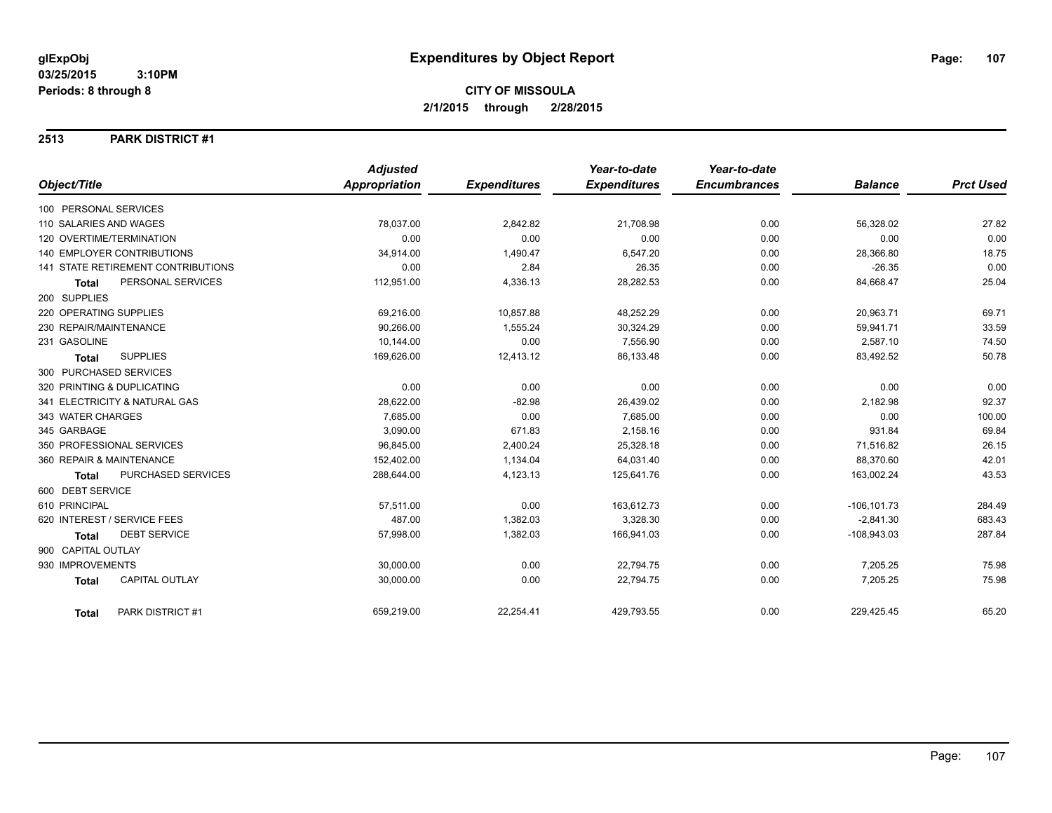#### **2513 PARK DISTRICT #1**

|                                       | <b>Adjusted</b>      |                     | Year-to-date        | Year-to-date        |                |                  |
|---------------------------------------|----------------------|---------------------|---------------------|---------------------|----------------|------------------|
| Object/Title                          | <b>Appropriation</b> | <b>Expenditures</b> | <b>Expenditures</b> | <b>Encumbrances</b> | <b>Balance</b> | <b>Prct Used</b> |
| 100 PERSONAL SERVICES                 |                      |                     |                     |                     |                |                  |
| 110 SALARIES AND WAGES                | 78,037.00            | 2,842.82            | 21,708.98           | 0.00                | 56,328.02      | 27.82            |
| 120 OVERTIME/TERMINATION              | 0.00                 | 0.00                | 0.00                | 0.00                | 0.00           | 0.00             |
| 140 EMPLOYER CONTRIBUTIONS            | 34,914.00            | 1,490.47            | 6,547.20            | 0.00                | 28,366.80      | 18.75            |
| 141 STATE RETIREMENT CONTRIBUTIONS    | 0.00                 | 2.84                | 26.35               | 0.00                | $-26.35$       | 0.00             |
| PERSONAL SERVICES<br><b>Total</b>     | 112,951.00           | 4,336.13            | 28,282.53           | 0.00                | 84,668.47      | 25.04            |
| 200 SUPPLIES                          |                      |                     |                     |                     |                |                  |
| 220 OPERATING SUPPLIES                | 69,216.00            | 10,857.88           | 48,252.29           | 0.00                | 20,963.71      | 69.71            |
| 230 REPAIR/MAINTENANCE                | 90,266.00            | 1,555.24            | 30,324.29           | 0.00                | 59,941.71      | 33.59            |
| 231 GASOLINE                          | 10,144.00            | 0.00                | 7,556.90            | 0.00                | 2,587.10       | 74.50            |
| <b>SUPPLIES</b><br><b>Total</b>       | 169,626.00           | 12,413.12           | 86,133.48           | 0.00                | 83,492.52      | 50.78            |
| 300 PURCHASED SERVICES                |                      |                     |                     |                     |                |                  |
| 320 PRINTING & DUPLICATING            | 0.00                 | 0.00                | 0.00                | 0.00                | 0.00           | 0.00             |
| 341 ELECTRICITY & NATURAL GAS         | 28,622.00            | $-82.98$            | 26,439.02           | 0.00                | 2,182.98       | 92.37            |
| 343 WATER CHARGES                     | 7.685.00             | 0.00                | 7.685.00            | 0.00                | 0.00           | 100.00           |
| 345 GARBAGE                           | 3,090.00             | 671.83              | 2,158.16            | 0.00                | 931.84         | 69.84            |
| 350 PROFESSIONAL SERVICES             | 96,845.00            | 2,400.24            | 25,328.18           | 0.00                | 71,516.82      | 26.15            |
| 360 REPAIR & MAINTENANCE              | 152,402.00           | 1,134.04            | 64,031.40           | 0.00                | 88,370.60      | 42.01            |
| PURCHASED SERVICES<br><b>Total</b>    | 288,644.00           | 4,123.13            | 125,641.76          | 0.00                | 163,002.24     | 43.53            |
| 600 DEBT SERVICE                      |                      |                     |                     |                     |                |                  |
| 610 PRINCIPAL                         | 57,511.00            | 0.00                | 163,612.73          | 0.00                | $-106, 101.73$ | 284.49           |
| 620 INTEREST / SERVICE FEES           | 487.00               | 1,382.03            | 3,328.30            | 0.00                | $-2,841.30$    | 683.43           |
| <b>DEBT SERVICE</b><br><b>Total</b>   | 57,998.00            | 1,382.03            | 166,941.03          | 0.00                | $-108,943.03$  | 287.84           |
| 900 CAPITAL OUTLAY                    |                      |                     |                     |                     |                |                  |
| 930 IMPROVEMENTS                      | 30,000.00            | 0.00                | 22,794.75           | 0.00                | 7,205.25       | 75.98            |
| <b>CAPITAL OUTLAY</b><br><b>Total</b> | 30,000.00            | 0.00                | 22,794.75           | 0.00                | 7,205.25       | 75.98            |
| PARK DISTRICT #1<br><b>Total</b>      | 659,219.00           | 22,254.41           | 429,793.55          | 0.00                | 229,425.45     | 65.20            |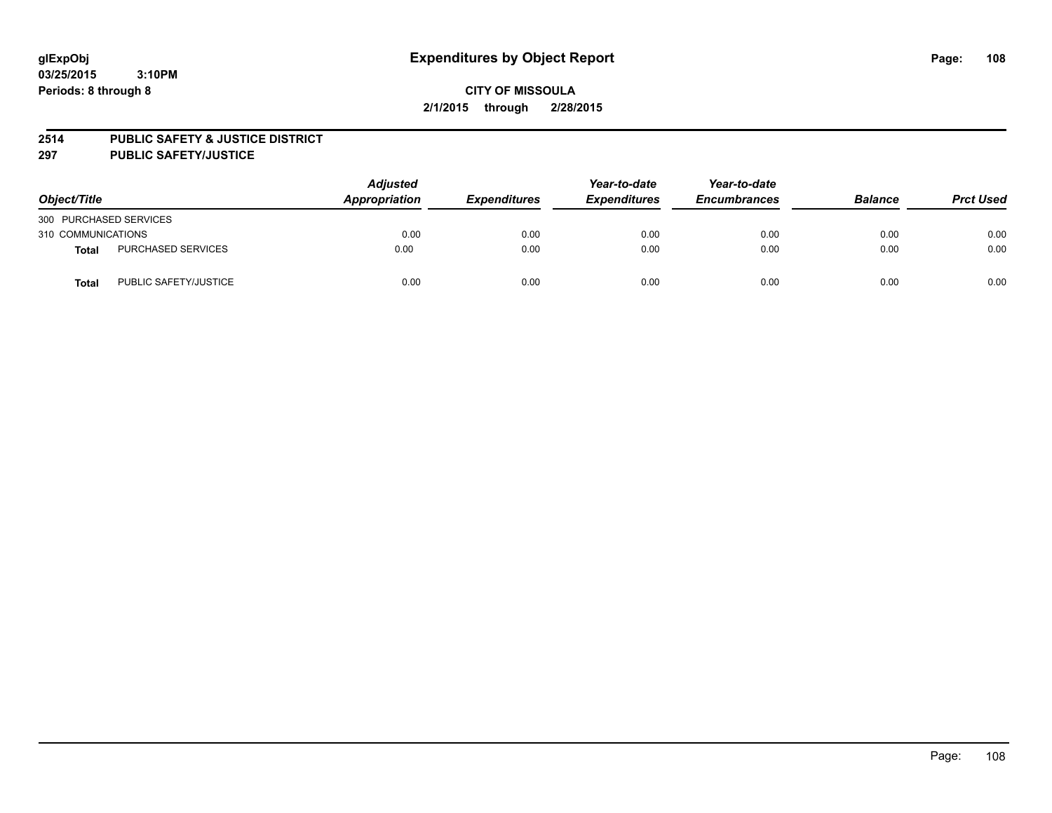#### **2514 PUBLIC SAFETY & JUSTICE DISTRICT**

**297 PUBLIC SAFETY/JUSTICE**

| Object/Title           |                       | <b>Adjusted</b><br>Appropriation | <b>Expenditures</b> | Year-to-date<br><b>Expenditures</b> | Year-to-date<br><b>Encumbrances</b> | <b>Balance</b> | <b>Prct Used</b> |
|------------------------|-----------------------|----------------------------------|---------------------|-------------------------------------|-------------------------------------|----------------|------------------|
| 300 PURCHASED SERVICES |                       |                                  |                     |                                     |                                     |                |                  |
| 310 COMMUNICATIONS     |                       | 0.00                             | 0.00                | 0.00                                | 0.00                                | 0.00           | 0.00             |
| Total                  | PURCHASED SERVICES    | 0.00                             | 0.00                | 0.00                                | 0.00                                | 0.00           | 0.00             |
| Total                  | PUBLIC SAFETY/JUSTICE | 0.00                             | 0.00                | 0.00                                | 0.00                                | 0.00           | 0.00             |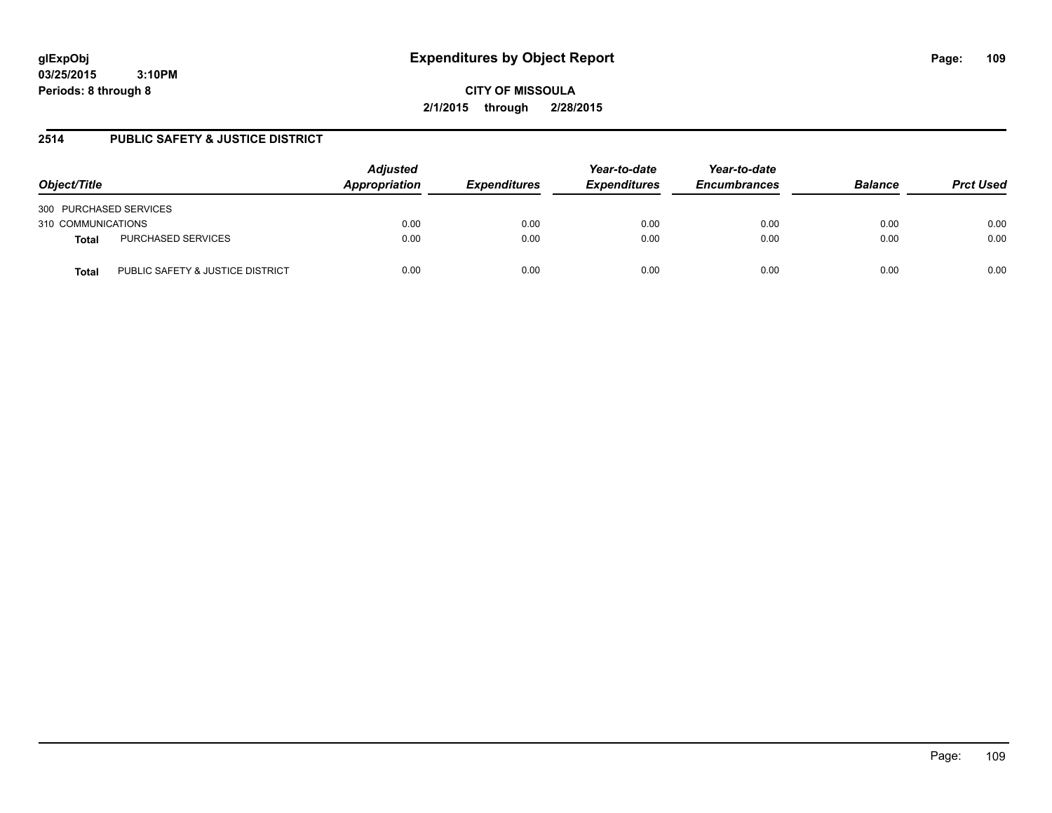# **glExpObj Expenditures by Object Report Page: 109**

**03/25/2015 3:10PM Periods: 8 through 8**

**CITY OF MISSOULA 2/1/2015 through 2/28/2015**

### **2514 PUBLIC SAFETY & JUSTICE DISTRICT**

| Object/Title                              | <b>Adjusted</b><br>Appropriation | <b>Expenditures</b> | Year-to-date<br><b>Expenditures</b> | Year-to-date<br><b>Encumbrances</b> | <b>Balance</b> | <b>Prct Used</b> |
|-------------------------------------------|----------------------------------|---------------------|-------------------------------------|-------------------------------------|----------------|------------------|
| 300 PURCHASED SERVICES                    |                                  |                     |                                     |                                     |                |                  |
| 310 COMMUNICATIONS                        | 0.00                             | 0.00                | 0.00                                | 0.00                                | 0.00           | 0.00             |
| PURCHASED SERVICES<br>Total               | 0.00                             | 0.00                | 0.00                                | 0.00                                | 0.00           | 0.00             |
| PUBLIC SAFETY & JUSTICE DISTRICT<br>Total | 0.00                             | 0.00                | 0.00                                | 0.00                                | 0.00           | 0.00             |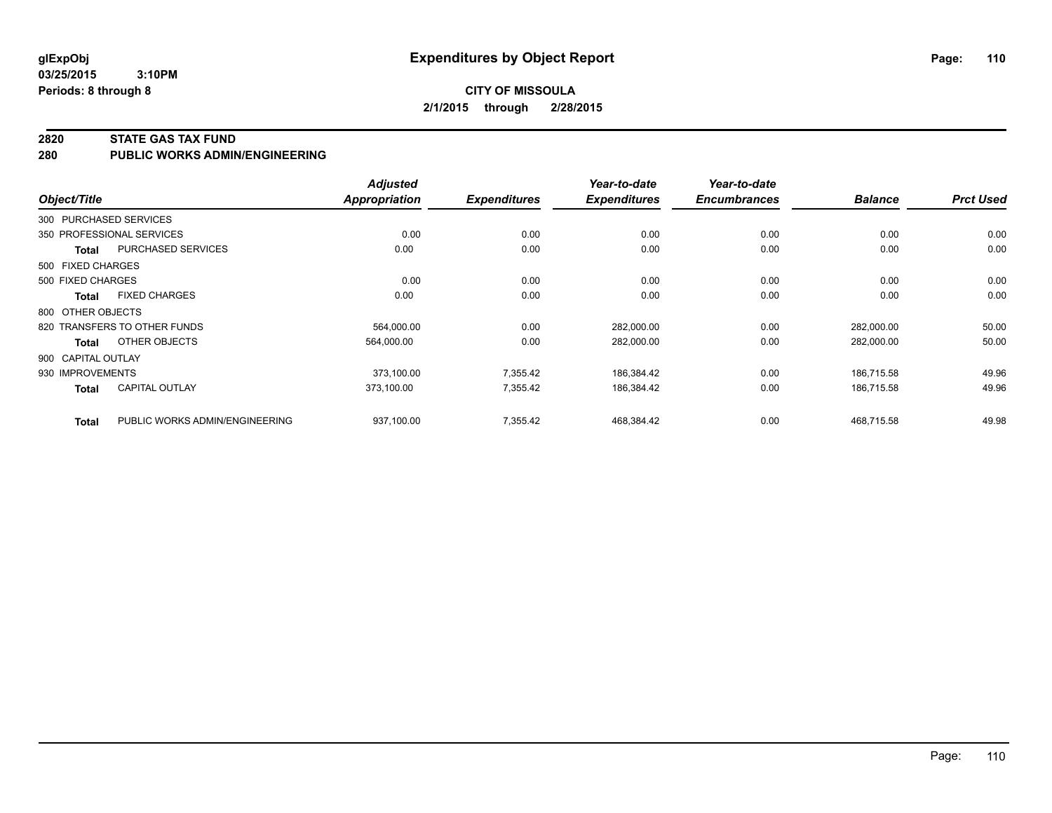**03/25/2015 3:10PM Periods: 8 through 8**

#### **2820 STATE GAS TAX FUND**

**280 PUBLIC WORKS ADMIN/ENGINEERING**

| Object/Title       |                                | <b>Adjusted</b><br><b>Appropriation</b> | <b>Expenditures</b> | Year-to-date<br><b>Expenditures</b> | Year-to-date<br><b>Encumbrances</b> | <b>Balance</b> | <b>Prct Used</b> |
|--------------------|--------------------------------|-----------------------------------------|---------------------|-------------------------------------|-------------------------------------|----------------|------------------|
|                    | 300 PURCHASED SERVICES         |                                         |                     |                                     |                                     |                |                  |
|                    | 350 PROFESSIONAL SERVICES      | 0.00                                    | 0.00                | 0.00                                | 0.00                                | 0.00           | 0.00             |
| Total              | <b>PURCHASED SERVICES</b>      | 0.00                                    | 0.00                | 0.00                                | 0.00                                | 0.00           | 0.00             |
| 500 FIXED CHARGES  |                                |                                         |                     |                                     |                                     |                |                  |
| 500 FIXED CHARGES  |                                | 0.00                                    | 0.00                | 0.00                                | 0.00                                | 0.00           | 0.00             |
| Total              | <b>FIXED CHARGES</b>           | 0.00                                    | 0.00                | 0.00                                | 0.00                                | 0.00           | 0.00             |
| 800 OTHER OBJECTS  |                                |                                         |                     |                                     |                                     |                |                  |
|                    | 820 TRANSFERS TO OTHER FUNDS   | 564,000.00                              | 0.00                | 282,000.00                          | 0.00                                | 282,000.00     | 50.00            |
| Total              | OTHER OBJECTS                  | 564,000.00                              | 0.00                | 282,000.00                          | 0.00                                | 282,000.00     | 50.00            |
| 900 CAPITAL OUTLAY |                                |                                         |                     |                                     |                                     |                |                  |
| 930 IMPROVEMENTS   |                                | 373,100.00                              | 7,355.42            | 186,384.42                          | 0.00                                | 186,715.58     | 49.96            |
| <b>Total</b>       | <b>CAPITAL OUTLAY</b>          | 373,100.00                              | 7,355.42            | 186,384.42                          | 0.00                                | 186,715.58     | 49.96            |
| <b>Total</b>       | PUBLIC WORKS ADMIN/ENGINEERING | 937,100.00                              | 7,355.42            | 468,384.42                          | 0.00                                | 468,715.58     | 49.98            |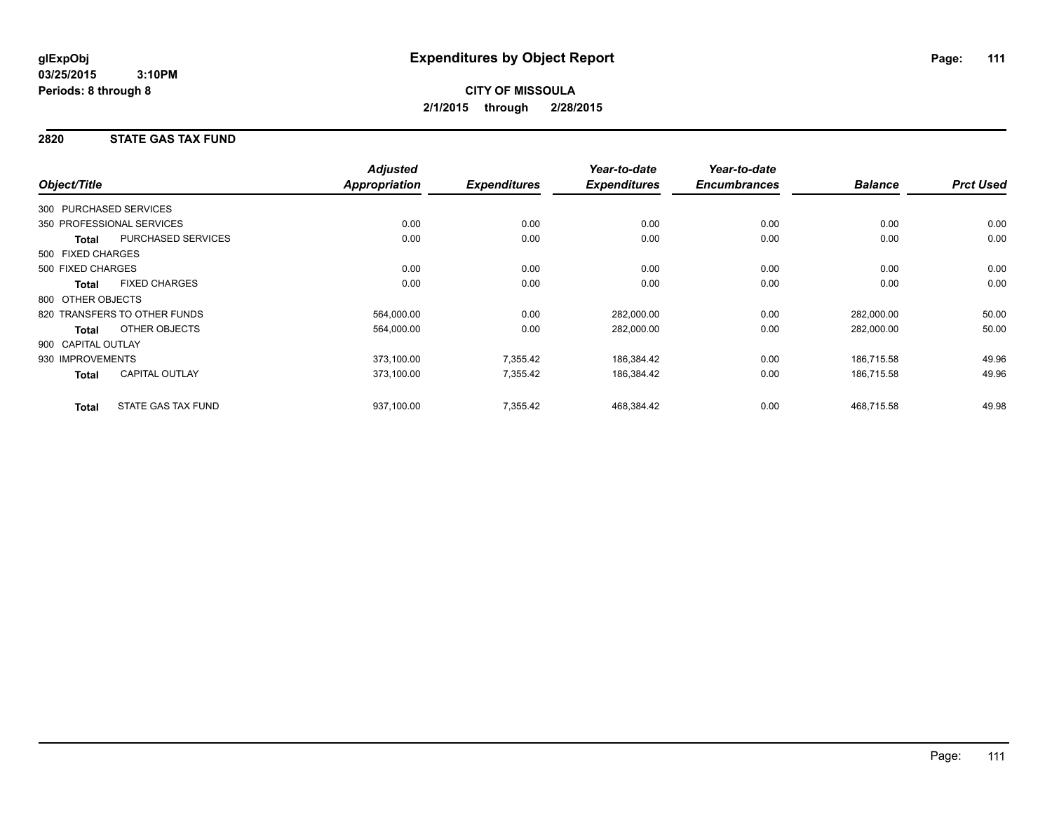### **2820 STATE GAS TAX FUND**

|                                           | <b>Adjusted</b>      |                     | Year-to-date        | Year-to-date        |                |                  |
|-------------------------------------------|----------------------|---------------------|---------------------|---------------------|----------------|------------------|
| Object/Title                              | <b>Appropriation</b> | <b>Expenditures</b> | <b>Expenditures</b> | <b>Encumbrances</b> | <b>Balance</b> | <b>Prct Used</b> |
| 300 PURCHASED SERVICES                    |                      |                     |                     |                     |                |                  |
| 350 PROFESSIONAL SERVICES                 | 0.00                 | 0.00                | 0.00                | 0.00                | 0.00           | 0.00             |
| <b>PURCHASED SERVICES</b><br><b>Total</b> | 0.00                 | 0.00                | 0.00                | 0.00                | 0.00           | 0.00             |
| 500 FIXED CHARGES                         |                      |                     |                     |                     |                |                  |
| 500 FIXED CHARGES                         | 0.00                 | 0.00                | 0.00                | 0.00                | 0.00           | 0.00             |
| <b>FIXED CHARGES</b><br><b>Total</b>      | 0.00                 | 0.00                | 0.00                | 0.00                | 0.00           | 0.00             |
| 800 OTHER OBJECTS                         |                      |                     |                     |                     |                |                  |
| 820 TRANSFERS TO OTHER FUNDS              | 564,000.00           | 0.00                | 282,000.00          | 0.00                | 282,000.00     | 50.00            |
| OTHER OBJECTS<br><b>Total</b>             | 564,000.00           | 0.00                | 282,000.00          | 0.00                | 282,000.00     | 50.00            |
| 900 CAPITAL OUTLAY                        |                      |                     |                     |                     |                |                  |
| 930 IMPROVEMENTS                          | 373,100.00           | 7,355.42            | 186,384.42          | 0.00                | 186,715.58     | 49.96            |
| <b>CAPITAL OUTLAY</b><br><b>Total</b>     | 373,100.00           | 7,355.42            | 186,384.42          | 0.00                | 186,715.58     | 49.96            |
| STATE GAS TAX FUND<br><b>Total</b>        | 937,100.00           | 7,355.42            | 468,384.42          | 0.00                | 468,715.58     | 49.98            |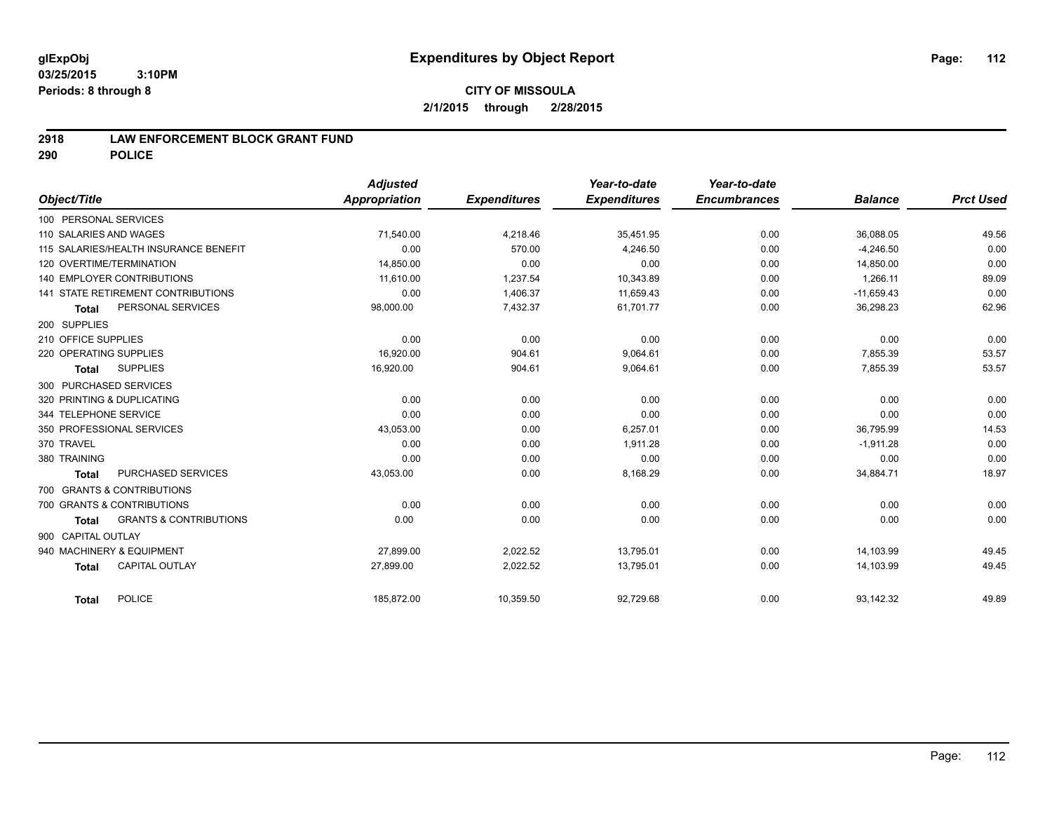### **2918 LAW ENFORCEMENT BLOCK GRANT FUND**

**290 POLICE**

|                                                   | <b>Adjusted</b>      |                     | Year-to-date        | Year-to-date        |                |                  |
|---------------------------------------------------|----------------------|---------------------|---------------------|---------------------|----------------|------------------|
| Object/Title                                      | <b>Appropriation</b> | <b>Expenditures</b> | <b>Expenditures</b> | <b>Encumbrances</b> | <b>Balance</b> | <b>Prct Used</b> |
| 100 PERSONAL SERVICES                             |                      |                     |                     |                     |                |                  |
| 110 SALARIES AND WAGES                            | 71,540.00            | 4,218.46            | 35,451.95           | 0.00                | 36,088.05      | 49.56            |
| 115 SALARIES/HEALTH INSURANCE BENEFIT             | 0.00                 | 570.00              | 4,246.50            | 0.00                | $-4,246.50$    | 0.00             |
| 120 OVERTIME/TERMINATION                          | 14,850.00            | 0.00                | 0.00                | 0.00                | 14,850.00      | 0.00             |
| <b>140 EMPLOYER CONTRIBUTIONS</b>                 | 11,610.00            | 1,237.54            | 10,343.89           | 0.00                | 1,266.11       | 89.09            |
| <b>141 STATE RETIREMENT CONTRIBUTIONS</b>         | 0.00                 | 1,406.37            | 11,659.43           | 0.00                | $-11,659.43$   | 0.00             |
| PERSONAL SERVICES<br>Total                        | 98,000.00            | 7,432.37            | 61,701.77           | 0.00                | 36,298.23      | 62.96            |
| 200 SUPPLIES                                      |                      |                     |                     |                     |                |                  |
| 210 OFFICE SUPPLIES                               | 0.00                 | 0.00                | 0.00                | 0.00                | 0.00           | 0.00             |
| 220 OPERATING SUPPLIES                            | 16,920.00            | 904.61              | 9,064.61            | 0.00                | 7,855.39       | 53.57            |
| <b>SUPPLIES</b><br><b>Total</b>                   | 16,920.00            | 904.61              | 9,064.61            | 0.00                | 7,855.39       | 53.57            |
| 300 PURCHASED SERVICES                            |                      |                     |                     |                     |                |                  |
| 320 PRINTING & DUPLICATING                        | 0.00                 | 0.00                | 0.00                | 0.00                | 0.00           | 0.00             |
| 344 TELEPHONE SERVICE                             | 0.00                 | 0.00                | 0.00                | 0.00                | 0.00           | 0.00             |
| 350 PROFESSIONAL SERVICES                         | 43,053.00            | 0.00                | 6,257.01            | 0.00                | 36,795.99      | 14.53            |
| 370 TRAVEL                                        | 0.00                 | 0.00                | 1,911.28            | 0.00                | $-1,911.28$    | 0.00             |
| 380 TRAINING                                      | 0.00                 | 0.00                | 0.00                | 0.00                | 0.00           | 0.00             |
| PURCHASED SERVICES<br><b>Total</b>                | 43,053.00            | 0.00                | 8,168.29            | 0.00                | 34,884.71      | 18.97            |
| 700 GRANTS & CONTRIBUTIONS                        |                      |                     |                     |                     |                |                  |
| 700 GRANTS & CONTRIBUTIONS                        | 0.00                 | 0.00                | 0.00                | 0.00                | 0.00           | 0.00             |
| <b>GRANTS &amp; CONTRIBUTIONS</b><br><b>Total</b> | 0.00                 | 0.00                | 0.00                | 0.00                | 0.00           | 0.00             |
| 900 CAPITAL OUTLAY                                |                      |                     |                     |                     |                |                  |
| 940 MACHINERY & EQUIPMENT                         | 27,899.00            | 2,022.52            | 13,795.01           | 0.00                | 14,103.99      | 49.45            |
| <b>CAPITAL OUTLAY</b><br><b>Total</b>             | 27,899.00            | 2,022.52            | 13,795.01           | 0.00                | 14,103.99      | 49.45            |
|                                                   |                      |                     |                     |                     |                |                  |
| <b>POLICE</b><br><b>Total</b>                     | 185,872.00           | 10,359.50           | 92,729.68           | 0.00                | 93,142.32      | 49.89            |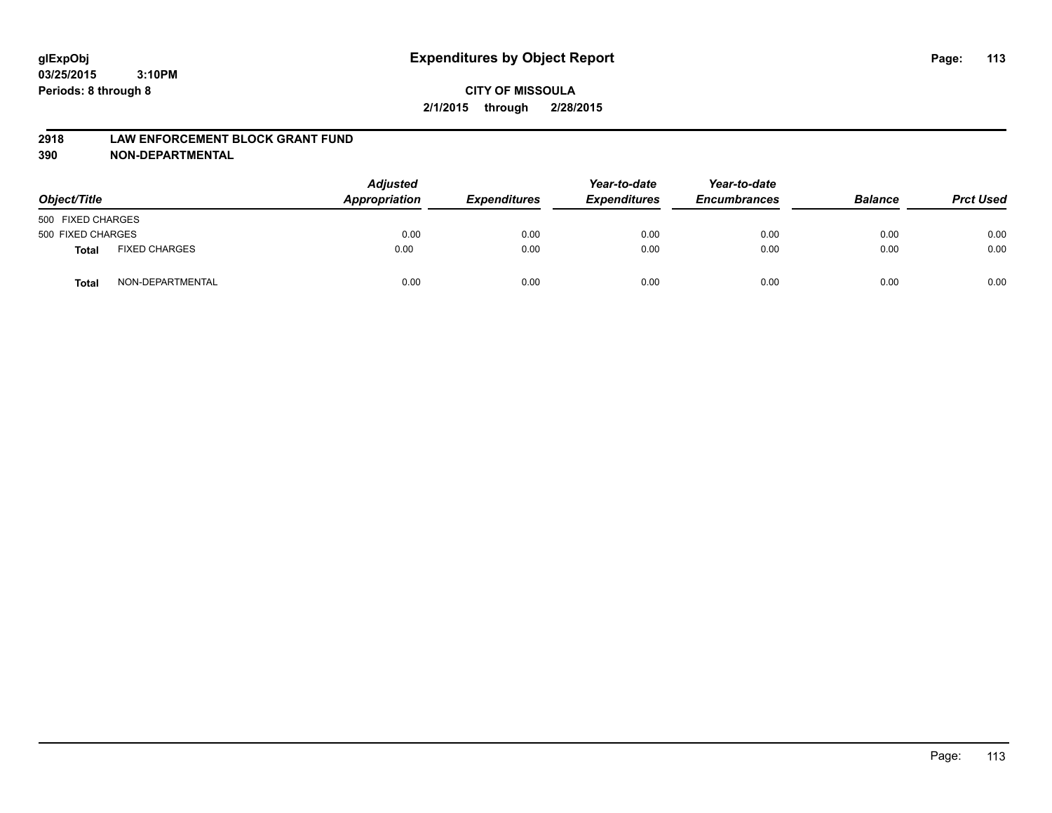#### **2918 LAW ENFORCEMENT BLOCK GRANT FUND**

**390 NON-DEPARTMENTAL**

| Object/Title      |                      | <b>Adjusted</b><br>Appropriation | <b>Expenditures</b> | Year-to-date<br><b>Expenditures</b> | Year-to-date<br><b>Encumbrances</b> | <b>Balance</b> | <b>Prct Used</b> |
|-------------------|----------------------|----------------------------------|---------------------|-------------------------------------|-------------------------------------|----------------|------------------|
| 500 FIXED CHARGES |                      |                                  |                     |                                     |                                     |                |                  |
| 500 FIXED CHARGES |                      | 0.00                             | 0.00                | 0.00                                | 0.00                                | 0.00           | 0.00             |
| <b>Total</b>      | <b>FIXED CHARGES</b> | 0.00                             | 0.00                | 0.00                                | 0.00                                | 0.00           | 0.00             |
| Total             | NON-DEPARTMENTAL     | 0.00                             | 0.00                | 0.00                                | 0.00                                | 0.00           | 0.00             |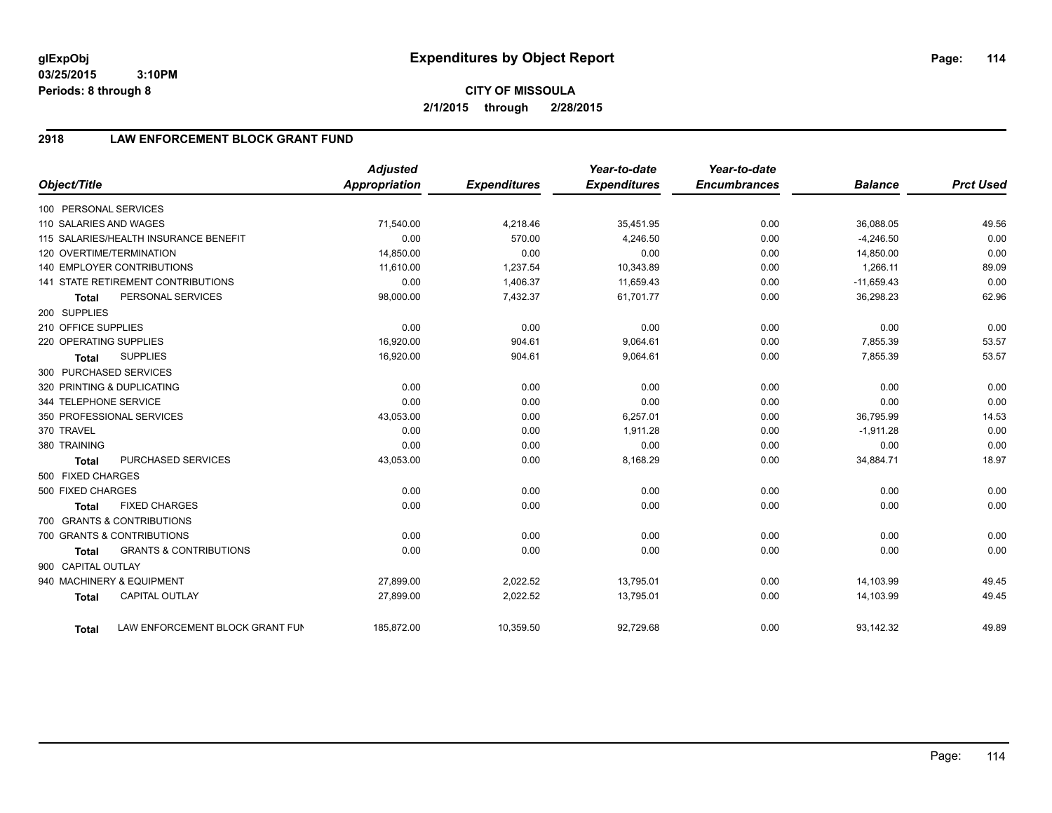**03/25/2015 3:10PM Periods: 8 through 8**

**CITY OF MISSOULA 2/1/2015 through 2/28/2015**

## **2918 LAW ENFORCEMENT BLOCK GRANT FUND**

| Object/Title           |                                           | <b>Adjusted</b><br>Appropriation | <b>Expenditures</b> | Year-to-date<br><b>Expenditures</b> | Year-to-date<br><b>Encumbrances</b> | <b>Balance</b> | <b>Prct Used</b> |
|------------------------|-------------------------------------------|----------------------------------|---------------------|-------------------------------------|-------------------------------------|----------------|------------------|
|                        |                                           |                                  |                     |                                     |                                     |                |                  |
| 100 PERSONAL SERVICES  |                                           |                                  |                     |                                     |                                     |                |                  |
| 110 SALARIES AND WAGES |                                           | 71,540.00                        | 4,218.46            | 35,451.95                           | 0.00                                | 36,088.05      | 49.56            |
|                        | 115 SALARIES/HEALTH INSURANCE BENEFIT     | 0.00                             | 570.00              | 4,246.50                            | 0.00                                | $-4,246.50$    | 0.00             |
|                        | 120 OVERTIME/TERMINATION                  | 14,850.00                        | 0.00                | 0.00                                | 0.00                                | 14,850.00      | 0.00             |
|                        | <b>140 EMPLOYER CONTRIBUTIONS</b>         | 11.610.00                        | 1,237.54            | 10,343.89                           | 0.00                                | 1.266.11       | 89.09            |
|                        | <b>141 STATE RETIREMENT CONTRIBUTIONS</b> | 0.00                             | 1,406.37            | 11,659.43                           | 0.00                                | $-11,659.43$   | 0.00             |
| <b>Total</b>           | PERSONAL SERVICES                         | 98,000.00                        | 7,432.37            | 61,701.77                           | 0.00                                | 36,298.23      | 62.96            |
| 200 SUPPLIES           |                                           |                                  |                     |                                     |                                     |                |                  |
| 210 OFFICE SUPPLIES    |                                           | 0.00                             | 0.00                | 0.00                                | 0.00                                | 0.00           | 0.00             |
| 220 OPERATING SUPPLIES |                                           | 16,920.00                        | 904.61              | 9,064.61                            | 0.00                                | 7,855.39       | 53.57            |
| <b>Total</b>           | <b>SUPPLIES</b>                           | 16,920.00                        | 904.61              | 9,064.61                            | 0.00                                | 7,855.39       | 53.57            |
|                        | 300 PURCHASED SERVICES                    |                                  |                     |                                     |                                     |                |                  |
|                        | 320 PRINTING & DUPLICATING                | 0.00                             | 0.00                | 0.00                                | 0.00                                | 0.00           | 0.00             |
| 344 TELEPHONE SERVICE  |                                           | 0.00                             | 0.00                | 0.00                                | 0.00                                | 0.00           | 0.00             |
|                        | 350 PROFESSIONAL SERVICES                 | 43,053.00                        | 0.00                | 6,257.01                            | 0.00                                | 36,795.99      | 14.53            |
| 370 TRAVEL             |                                           | 0.00                             | 0.00                | 1.911.28                            | 0.00                                | $-1,911.28$    | 0.00             |
| 380 TRAINING           |                                           | 0.00                             | 0.00                | 0.00                                | 0.00                                | 0.00           | 0.00             |
| <b>Total</b>           | PURCHASED SERVICES                        | 43,053.00                        | 0.00                | 8,168.29                            | 0.00                                | 34,884.71      | 18.97            |
| 500 FIXED CHARGES      |                                           |                                  |                     |                                     |                                     |                |                  |
| 500 FIXED CHARGES      |                                           | 0.00                             | 0.00                | 0.00                                | 0.00                                | 0.00           | 0.00             |
| <b>Total</b>           | <b>FIXED CHARGES</b>                      | 0.00                             | 0.00                | 0.00                                | 0.00                                | 0.00           | 0.00             |
|                        | 700 GRANTS & CONTRIBUTIONS                |                                  |                     |                                     |                                     |                |                  |
|                        | 700 GRANTS & CONTRIBUTIONS                | 0.00                             | 0.00                | 0.00                                | 0.00                                | 0.00           | 0.00             |
| <b>Total</b>           | <b>GRANTS &amp; CONTRIBUTIONS</b>         | 0.00                             | 0.00                | 0.00                                | 0.00                                | 0.00           | 0.00             |
| 900 CAPITAL OUTLAY     |                                           |                                  |                     |                                     |                                     |                |                  |
|                        | 940 MACHINERY & EQUIPMENT                 | 27,899.00                        | 2,022.52            | 13,795.01                           | 0.00                                | 14,103.99      | 49.45            |
| <b>Total</b>           | <b>CAPITAL OUTLAY</b>                     | 27,899.00                        | 2,022.52            | 13,795.01                           | 0.00                                | 14,103.99      | 49.45            |
|                        |                                           |                                  |                     |                                     |                                     |                |                  |
| <b>Total</b>           | LAW ENFORCEMENT BLOCK GRANT FUN           | 185,872.00                       | 10,359.50           | 92,729.68                           | 0.00                                | 93,142.32      | 49.89            |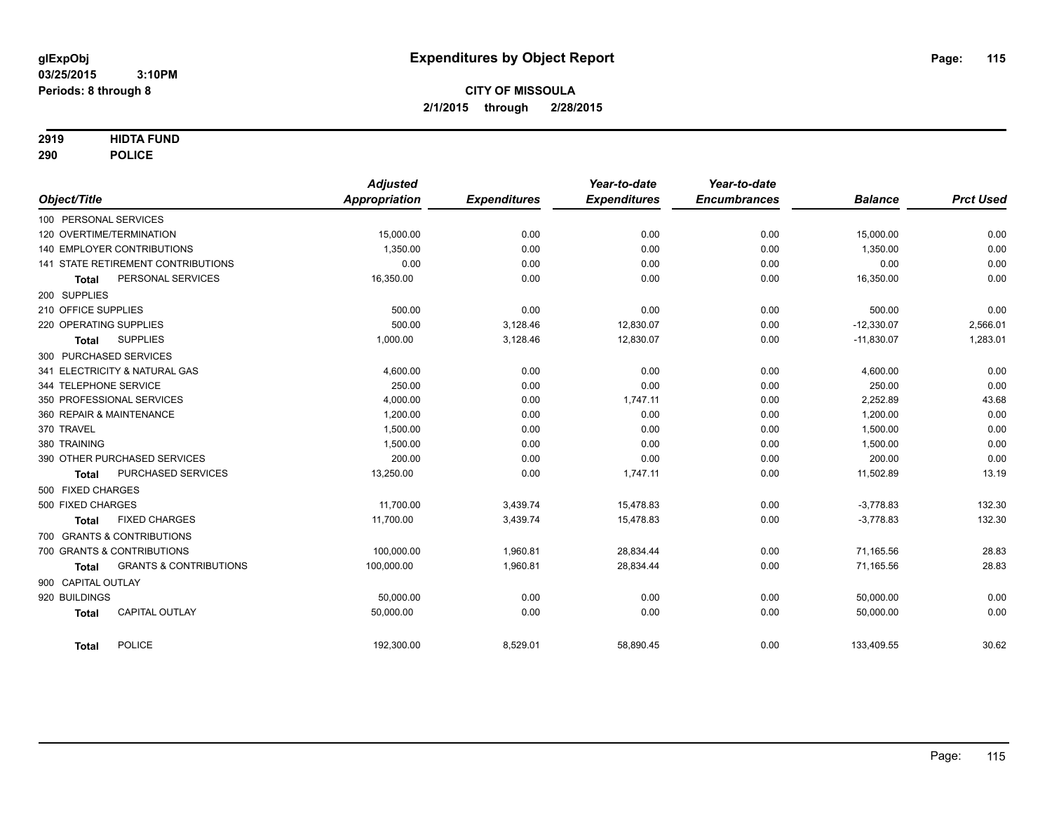### **2919 HIDTA FUND**

**290 POLICE**

| Object/Title                      |                                           | <b>Adjusted</b><br>Appropriation | <b>Expenditures</b> | Year-to-date<br><b>Expenditures</b> | Year-to-date<br><b>Encumbrances</b> | <b>Balance</b> | <b>Prct Used</b> |
|-----------------------------------|-------------------------------------------|----------------------------------|---------------------|-------------------------------------|-------------------------------------|----------------|------------------|
|                                   |                                           |                                  |                     |                                     |                                     |                |                  |
| 100 PERSONAL SERVICES             |                                           |                                  |                     |                                     |                                     |                |                  |
| 120 OVERTIME/TERMINATION          |                                           | 15,000.00                        | 0.00                | 0.00                                | 0.00                                | 15,000.00      | 0.00             |
| <b>140 EMPLOYER CONTRIBUTIONS</b> |                                           | 1.350.00                         | 0.00                | 0.00                                | 0.00                                | 1.350.00       | 0.00             |
|                                   | <b>141 STATE RETIREMENT CONTRIBUTIONS</b> | 0.00                             | 0.00                | 0.00                                | 0.00                                | 0.00           | 0.00             |
| <b>Total</b>                      | PERSONAL SERVICES                         | 16,350.00                        | 0.00                | 0.00                                | 0.00                                | 16,350.00      | 0.00             |
| 200 SUPPLIES                      |                                           |                                  |                     |                                     |                                     |                |                  |
| 210 OFFICE SUPPLIES               |                                           | 500.00                           | 0.00                | 0.00                                | 0.00                                | 500.00         | 0.00             |
| 220 OPERATING SUPPLIES            |                                           | 500.00                           | 3,128.46            | 12,830.07                           | 0.00                                | $-12,330.07$   | 2,566.01         |
| Total                             | <b>SUPPLIES</b>                           | 1,000.00                         | 3,128.46            | 12,830.07                           | 0.00                                | $-11,830.07$   | 1,283.01         |
| 300 PURCHASED SERVICES            |                                           |                                  |                     |                                     |                                     |                |                  |
| 341 ELECTRICITY & NATURAL GAS     |                                           | 4,600.00                         | 0.00                | 0.00                                | 0.00                                | 4,600.00       | 0.00             |
| 344 TELEPHONE SERVICE             |                                           | 250.00                           | 0.00                | 0.00                                | 0.00                                | 250.00         | 0.00             |
| 350 PROFESSIONAL SERVICES         |                                           | 4.000.00                         | 0.00                | 1,747.11                            | 0.00                                | 2,252.89       | 43.68            |
| 360 REPAIR & MAINTENANCE          |                                           | 1,200.00                         | 0.00                | 0.00                                | 0.00                                | 1,200.00       | 0.00             |
| 370 TRAVEL                        |                                           | 1,500.00                         | 0.00                | 0.00                                | 0.00                                | 1,500.00       | 0.00             |
| 380 TRAINING                      |                                           | 1,500.00                         | 0.00                | 0.00                                | 0.00                                | 1,500.00       | 0.00             |
| 390 OTHER PURCHASED SERVICES      |                                           | 200.00                           | 0.00                | 0.00                                | 0.00                                | 200.00         | 0.00             |
| <b>Total</b>                      | PURCHASED SERVICES                        | 13,250.00                        | 0.00                | 1,747.11                            | 0.00                                | 11,502.89      | 13.19            |
| 500 FIXED CHARGES                 |                                           |                                  |                     |                                     |                                     |                |                  |
| 500 FIXED CHARGES                 |                                           | 11.700.00                        | 3,439.74            | 15.478.83                           | 0.00                                | $-3,778.83$    | 132.30           |
| <b>Total</b>                      | <b>FIXED CHARGES</b>                      | 11,700.00                        | 3,439.74            | 15,478.83                           | 0.00                                | $-3,778.83$    | 132.30           |
| 700 GRANTS & CONTRIBUTIONS        |                                           |                                  |                     |                                     |                                     |                |                  |
| 700 GRANTS & CONTRIBUTIONS        |                                           | 100.000.00                       | 1,960.81            | 28,834.44                           | 0.00                                | 71,165.56      | 28.83            |
| <b>Total</b>                      | <b>GRANTS &amp; CONTRIBUTIONS</b>         | 100,000.00                       | 1,960.81            | 28,834.44                           | 0.00                                | 71,165.56      | 28.83            |
| 900 CAPITAL OUTLAY                |                                           |                                  |                     |                                     |                                     |                |                  |
| 920 BUILDINGS                     |                                           | 50,000.00                        | 0.00                | 0.00                                | 0.00                                | 50,000.00      | 0.00             |
| <b>Total</b>                      | <b>CAPITAL OUTLAY</b>                     | 50,000.00                        | 0.00                | 0.00                                | 0.00                                | 50,000.00      | 0.00             |
| <b>Total</b>                      | <b>POLICE</b>                             | 192,300.00                       | 8,529.01            | 58,890.45                           | 0.00                                | 133,409.55     | 30.62            |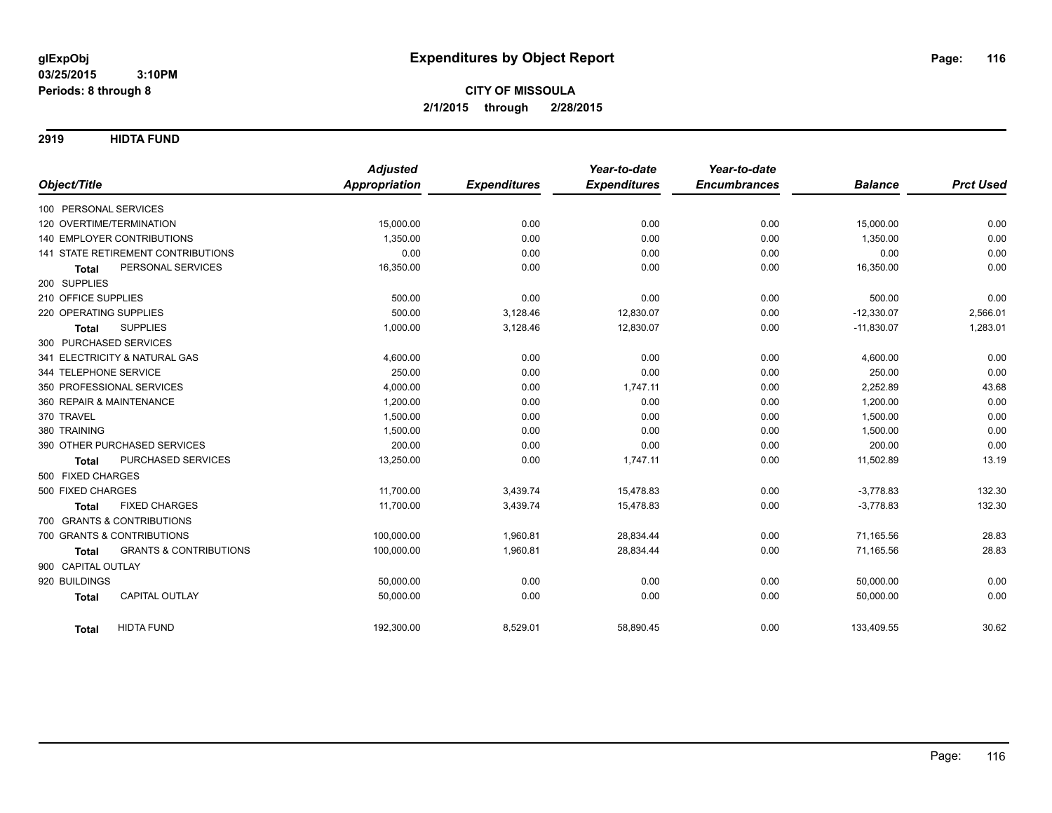**2919 HIDTA FUND**

|                                                   | <b>Adjusted</b>      |                     | Year-to-date        | Year-to-date        |                |                  |
|---------------------------------------------------|----------------------|---------------------|---------------------|---------------------|----------------|------------------|
| Object/Title                                      | <b>Appropriation</b> | <b>Expenditures</b> | <b>Expenditures</b> | <b>Encumbrances</b> | <b>Balance</b> | <b>Prct Used</b> |
| 100 PERSONAL SERVICES                             |                      |                     |                     |                     |                |                  |
| 120 OVERTIME/TERMINATION                          | 15,000.00            | 0.00                | 0.00                | 0.00                | 15,000.00      | 0.00             |
| <b>140 EMPLOYER CONTRIBUTIONS</b>                 | 1,350.00             | 0.00                | 0.00                | 0.00                | 1,350.00       | 0.00             |
| 141 STATE RETIREMENT CONTRIBUTIONS                | 0.00                 | 0.00                | 0.00                | 0.00                | 0.00           | 0.00             |
| PERSONAL SERVICES<br><b>Total</b>                 | 16,350.00            | 0.00                | 0.00                | 0.00                | 16,350.00      | 0.00             |
| 200 SUPPLIES                                      |                      |                     |                     |                     |                |                  |
| 210 OFFICE SUPPLIES                               | 500.00               | 0.00                | 0.00                | 0.00                | 500.00         | 0.00             |
| 220 OPERATING SUPPLIES                            | 500.00               | 3,128.46            | 12,830.07           | 0.00                | $-12,330.07$   | 2,566.01         |
| <b>SUPPLIES</b><br><b>Total</b>                   | 1,000.00             | 3,128.46            | 12,830.07           | 0.00                | $-11,830.07$   | 1,283.01         |
| 300 PURCHASED SERVICES                            |                      |                     |                     |                     |                |                  |
| 341 ELECTRICITY & NATURAL GAS                     | 4,600.00             | 0.00                | 0.00                | 0.00                | 4,600.00       | 0.00             |
| 344 TELEPHONE SERVICE                             | 250.00               | 0.00                | 0.00                | 0.00                | 250.00         | 0.00             |
| 350 PROFESSIONAL SERVICES                         | 4,000.00             | 0.00                | 1,747.11            | 0.00                | 2,252.89       | 43.68            |
| 360 REPAIR & MAINTENANCE                          | 1,200.00             | 0.00                | 0.00                | 0.00                | 1,200.00       | 0.00             |
| 370 TRAVEL                                        | 1,500.00             | 0.00                | 0.00                | 0.00                | 1,500.00       | 0.00             |
| 380 TRAINING                                      | 1,500.00             | 0.00                | 0.00                | 0.00                | 1,500.00       | 0.00             |
| 390 OTHER PURCHASED SERVICES                      | 200.00               | 0.00                | 0.00                | 0.00                | 200.00         | 0.00             |
| PURCHASED SERVICES<br><b>Total</b>                | 13,250.00            | 0.00                | 1,747.11            | 0.00                | 11,502.89      | 13.19            |
| 500 FIXED CHARGES                                 |                      |                     |                     |                     |                |                  |
| 500 FIXED CHARGES                                 | 11,700.00            | 3,439.74            | 15,478.83           | 0.00                | $-3,778.83$    | 132.30           |
| <b>FIXED CHARGES</b><br><b>Total</b>              | 11,700.00            | 3,439.74            | 15,478.83           | 0.00                | $-3,778.83$    | 132.30           |
| 700 GRANTS & CONTRIBUTIONS                        |                      |                     |                     |                     |                |                  |
| 700 GRANTS & CONTRIBUTIONS                        | 100,000.00           | 1,960.81            | 28,834.44           | 0.00                | 71,165.56      | 28.83            |
| <b>GRANTS &amp; CONTRIBUTIONS</b><br><b>Total</b> | 100,000.00           | 1,960.81            | 28,834.44           | 0.00                | 71,165.56      | 28.83            |
| 900 CAPITAL OUTLAY                                |                      |                     |                     |                     |                |                  |
| 920 BUILDINGS                                     | 50,000.00            | 0.00                | 0.00                | 0.00                | 50,000.00      | 0.00             |
| <b>CAPITAL OUTLAY</b><br><b>Total</b>             | 50,000.00            | 0.00                | 0.00                | 0.00                | 50,000.00      | 0.00             |
| <b>HIDTA FUND</b><br>Total                        | 192,300.00           | 8,529.01            | 58,890.45           | 0.00                | 133,409.55     | 30.62            |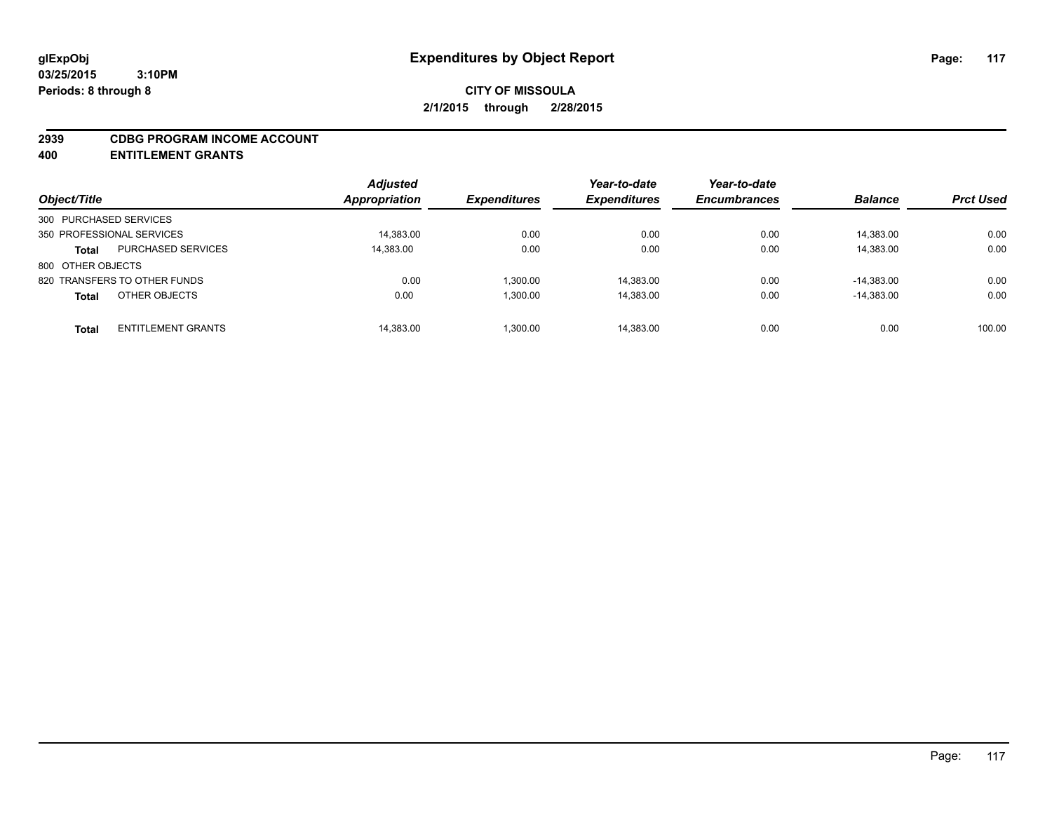#### **2939 CDBG PROGRAM INCOME ACCOUNT**

**400 ENTITLEMENT GRANTS**

| Object/Title                              | <b>Adjusted</b><br><b>Appropriation</b> | <b>Expenditures</b> | Year-to-date<br><b>Expenditures</b> | Year-to-date<br><b>Encumbrances</b> | <b>Balance</b> | <b>Prct Used</b> |
|-------------------------------------------|-----------------------------------------|---------------------|-------------------------------------|-------------------------------------|----------------|------------------|
| 300 PURCHASED SERVICES                    |                                         |                     |                                     |                                     |                |                  |
| 350 PROFESSIONAL SERVICES                 | 14,383.00                               | 0.00                | 0.00                                | 0.00                                | 14,383.00      | 0.00             |
| <b>PURCHASED SERVICES</b><br><b>Total</b> | 14,383.00                               | 0.00                | 0.00                                | 0.00                                | 14,383.00      | 0.00             |
| 800 OTHER OBJECTS                         |                                         |                     |                                     |                                     |                |                  |
| 820 TRANSFERS TO OTHER FUNDS              | 0.00                                    | 1.300.00            | 14,383.00                           | 0.00                                | $-14.383.00$   | 0.00             |
| OTHER OBJECTS<br><b>Total</b>             | 0.00                                    | 1,300.00            | 14,383.00                           | 0.00                                | $-14.383.00$   | 0.00             |
| <b>ENTITLEMENT GRANTS</b><br><b>Total</b> | 14,383.00                               | 1.300.00            | 14,383.00                           | 0.00                                | 0.00           | 100.00           |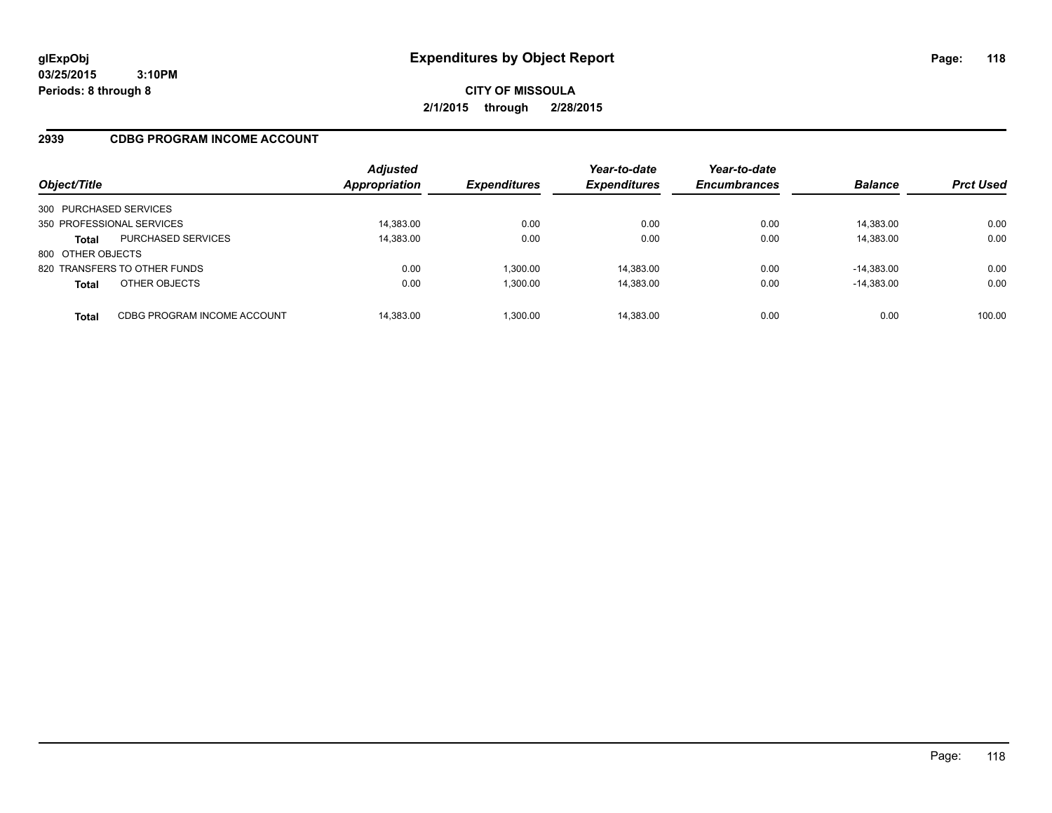**03/25/2015 3:10PM Periods: 8 through 8**

**CITY OF MISSOULA 2/1/2015 through 2/28/2015**

### **2939 CDBG PROGRAM INCOME ACCOUNT**

| Object/Title              |                              | <b>Adjusted</b><br><b>Appropriation</b> | <b>Expenditures</b> | Year-to-date<br><b>Expenditures</b> | Year-to-date<br><b>Encumbrances</b> | <b>Balance</b> | <b>Prct Used</b> |
|---------------------------|------------------------------|-----------------------------------------|---------------------|-------------------------------------|-------------------------------------|----------------|------------------|
| 300 PURCHASED SERVICES    |                              |                                         |                     |                                     |                                     |                |                  |
| 350 PROFESSIONAL SERVICES |                              | 14,383.00                               | 0.00                | 0.00                                | 0.00                                | 14,383.00      | 0.00             |
| <b>Total</b>              | <b>PURCHASED SERVICES</b>    | 14,383.00                               | 0.00                | 0.00                                | 0.00                                | 14,383.00      | 0.00             |
| 800 OTHER OBJECTS         |                              |                                         |                     |                                     |                                     |                |                  |
|                           | 820 TRANSFERS TO OTHER FUNDS | 0.00                                    | 1.300.00            | 14.383.00                           | 0.00                                | $-14.383.00$   | 0.00             |
| <b>Total</b>              | OTHER OBJECTS                | 0.00                                    | 1,300.00            | 14,383.00                           | 0.00                                | $-14,383.00$   | 0.00             |
| Total                     | CDBG PROGRAM INCOME ACCOUNT  | 14,383.00                               | 1.300.00            | 14,383.00                           | 0.00                                | 0.00           | 100.00           |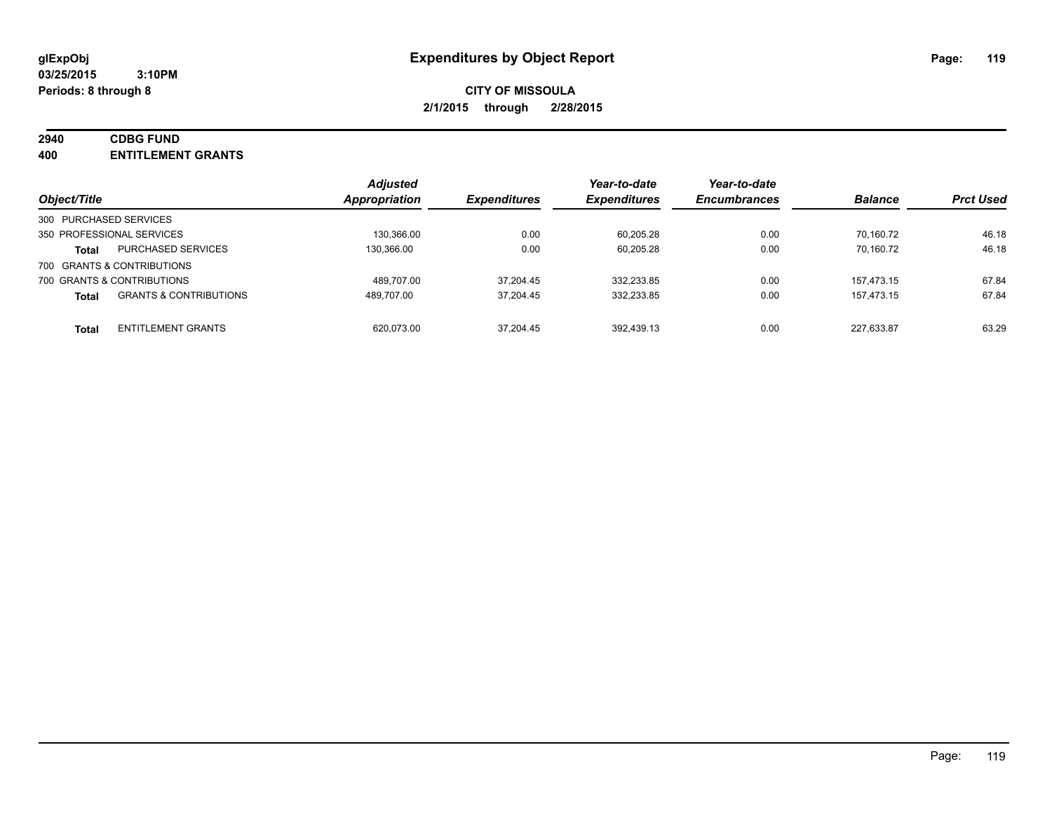### **2940 CDBG FUND**

**400 ENTITLEMENT GRANTS**

| Object/Title                              |                                   | <b>Adjusted</b><br>Appropriation | <b>Expenditures</b> | Year-to-date<br><b>Expenditures</b> | Year-to-date<br><b>Encumbrances</b> | <b>Balance</b> | <b>Prct Used</b> |
|-------------------------------------------|-----------------------------------|----------------------------------|---------------------|-------------------------------------|-------------------------------------|----------------|------------------|
|                                           |                                   |                                  |                     |                                     |                                     |                |                  |
| 300 PURCHASED SERVICES                    |                                   |                                  |                     |                                     |                                     |                |                  |
| 350 PROFESSIONAL SERVICES                 |                                   | 130,366.00                       | 0.00                | 60.205.28                           | 0.00                                | 70.160.72      | 46.18            |
| PURCHASED SERVICES<br><b>Total</b>        |                                   | 130.366.00                       | 0.00                | 60.205.28                           | 0.00                                | 70.160.72      | 46.18            |
| 700 GRANTS & CONTRIBUTIONS                |                                   |                                  |                     |                                     |                                     |                |                  |
| 700 GRANTS & CONTRIBUTIONS                |                                   | 489.707.00                       | 37.204.45           | 332.233.85                          | 0.00                                | 157.473.15     | 67.84            |
| <b>Total</b>                              | <b>GRANTS &amp; CONTRIBUTIONS</b> | 489.707.00                       | 37.204.45           | 332,233.85                          | 0.00                                | 157.473.15     | 67.84            |
| <b>ENTITLEMENT GRANTS</b><br><b>Total</b> |                                   | 620.073.00                       | 37.204.45           | 392.439.13                          | 0.00                                | 227.633.87     | 63.29            |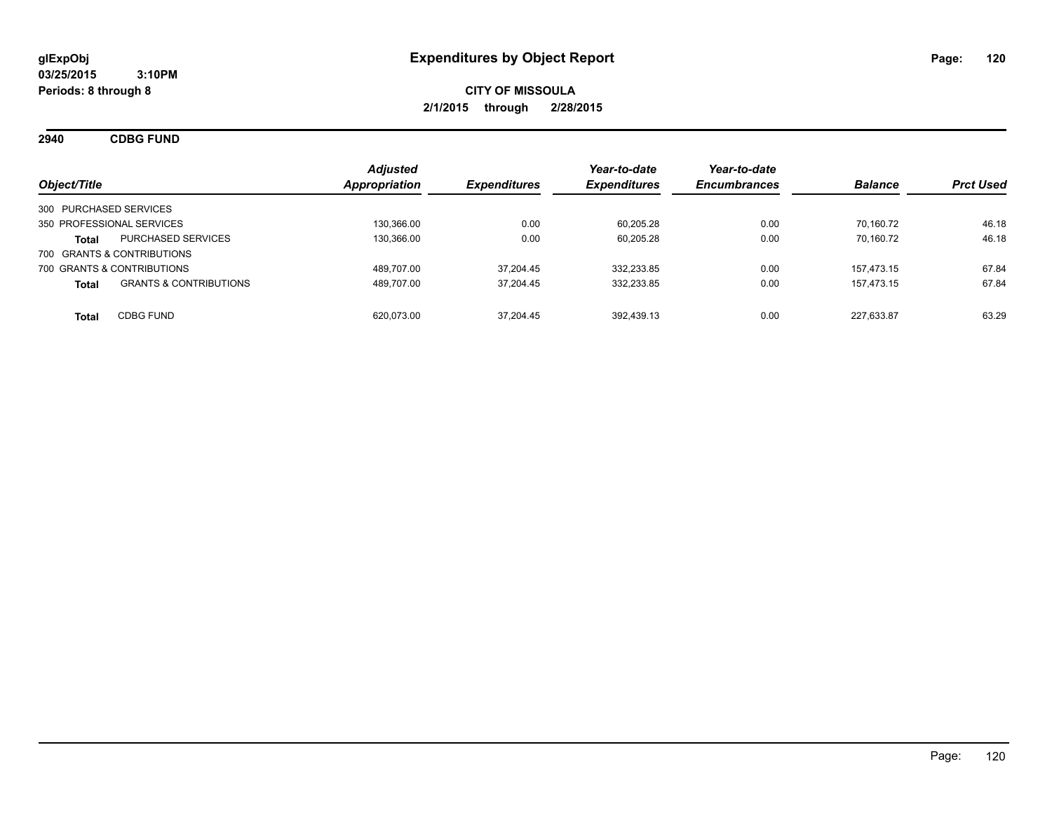**2940 CDBG FUND**

| Object/Title                                      | <b>Adjusted</b><br><b>Appropriation</b> | <b>Expenditures</b> | Year-to-date<br><b>Expenditures</b> | Year-to-date<br><b>Encumbrances</b> | <b>Balance</b> | <b>Prct Used</b> |
|---------------------------------------------------|-----------------------------------------|---------------------|-------------------------------------|-------------------------------------|----------------|------------------|
| 300 PURCHASED SERVICES                            |                                         |                     |                                     |                                     |                |                  |
| 350 PROFESSIONAL SERVICES                         | 130,366.00                              | 0.00                | 60,205.28                           | 0.00                                | 70.160.72      | 46.18            |
| <b>PURCHASED SERVICES</b><br><b>Total</b>         | 130.366.00                              | 0.00                | 60.205.28                           | 0.00                                | 70.160.72      | 46.18            |
| 700 GRANTS & CONTRIBUTIONS                        |                                         |                     |                                     |                                     |                |                  |
| 700 GRANTS & CONTRIBUTIONS                        | 489.707.00                              | 37.204.45           | 332.233.85                          | 0.00                                | 157.473.15     | 67.84            |
| <b>GRANTS &amp; CONTRIBUTIONS</b><br><b>Total</b> | 489.707.00                              | 37,204.45           | 332,233.85                          | 0.00                                | 157.473.15     | 67.84            |
| <b>CDBG FUND</b><br><b>Total</b>                  | 620.073.00                              | 37,204.45           | 392.439.13                          | 0.00                                | 227.633.87     | 63.29            |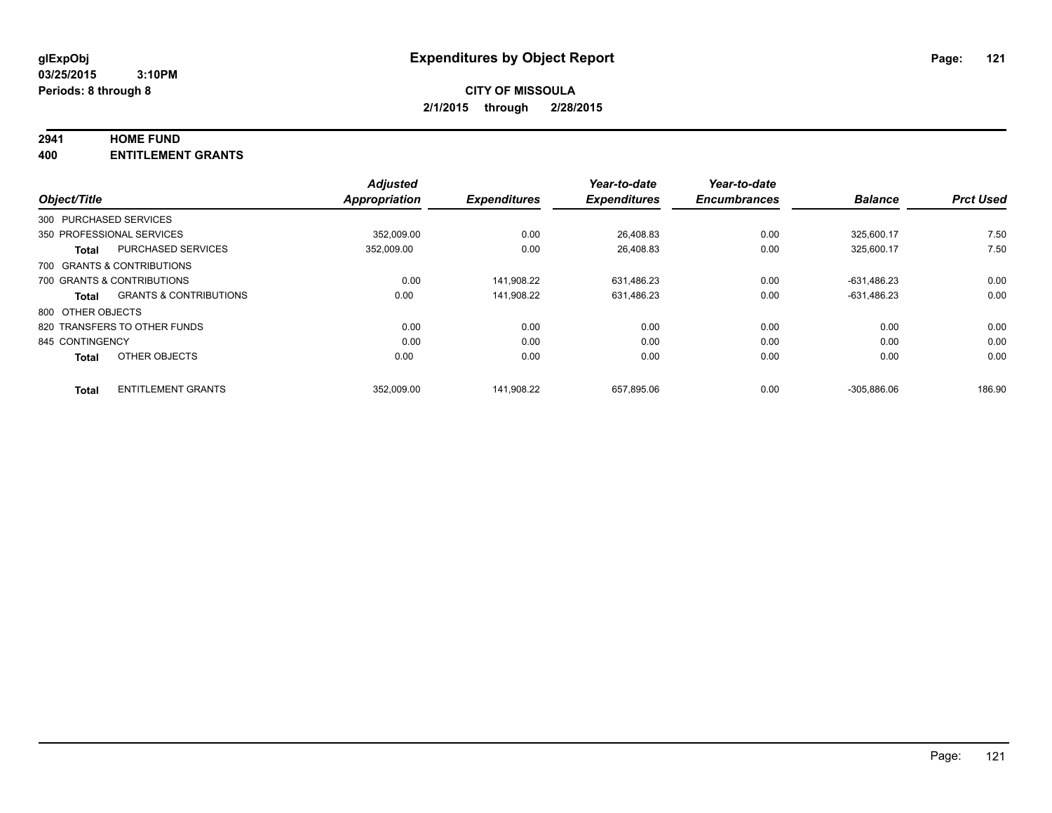### **2941 HOME FUND**

**400 ENTITLEMENT GRANTS**

| Object/Title      |                                   | <b>Adjusted</b><br>Appropriation | <b>Expenditures</b> | Year-to-date<br><b>Expenditures</b> | Year-to-date<br><b>Encumbrances</b> | <b>Balance</b> | <b>Prct Used</b> |
|-------------------|-----------------------------------|----------------------------------|---------------------|-------------------------------------|-------------------------------------|----------------|------------------|
|                   |                                   |                                  |                     |                                     |                                     |                |                  |
|                   | 300 PURCHASED SERVICES            |                                  |                     |                                     |                                     |                |                  |
|                   | 350 PROFESSIONAL SERVICES         | 352.009.00                       | 0.00                | 26.408.83                           | 0.00                                | 325.600.17     | 7.50             |
| <b>Total</b>      | <b>PURCHASED SERVICES</b>         | 352,009.00                       | 0.00                | 26,408.83                           | 0.00                                | 325.600.17     | 7.50             |
|                   | 700 GRANTS & CONTRIBUTIONS        |                                  |                     |                                     |                                     |                |                  |
|                   | 700 GRANTS & CONTRIBUTIONS        | 0.00                             | 141,908.22          | 631,486.23                          | 0.00                                | -631.486.23    | 0.00             |
| <b>Total</b>      | <b>GRANTS &amp; CONTRIBUTIONS</b> | 0.00                             | 141.908.22          | 631,486.23                          | 0.00                                | -631.486.23    | 0.00             |
| 800 OTHER OBJECTS |                                   |                                  |                     |                                     |                                     |                |                  |
|                   | 820 TRANSFERS TO OTHER FUNDS      | 0.00                             | 0.00                | 0.00                                | 0.00                                | 0.00           | 0.00             |
| 845 CONTINGENCY   |                                   | 0.00                             | 0.00                | 0.00                                | 0.00                                | 0.00           | 0.00             |
| <b>Total</b>      | OTHER OBJECTS                     | 0.00                             | 0.00                | 0.00                                | 0.00                                | 0.00           | 0.00             |
| <b>Total</b>      | <b>ENTITLEMENT GRANTS</b>         | 352,009.00                       | 141,908.22          | 657,895.06                          | 0.00                                | $-305,886.06$  | 186.90           |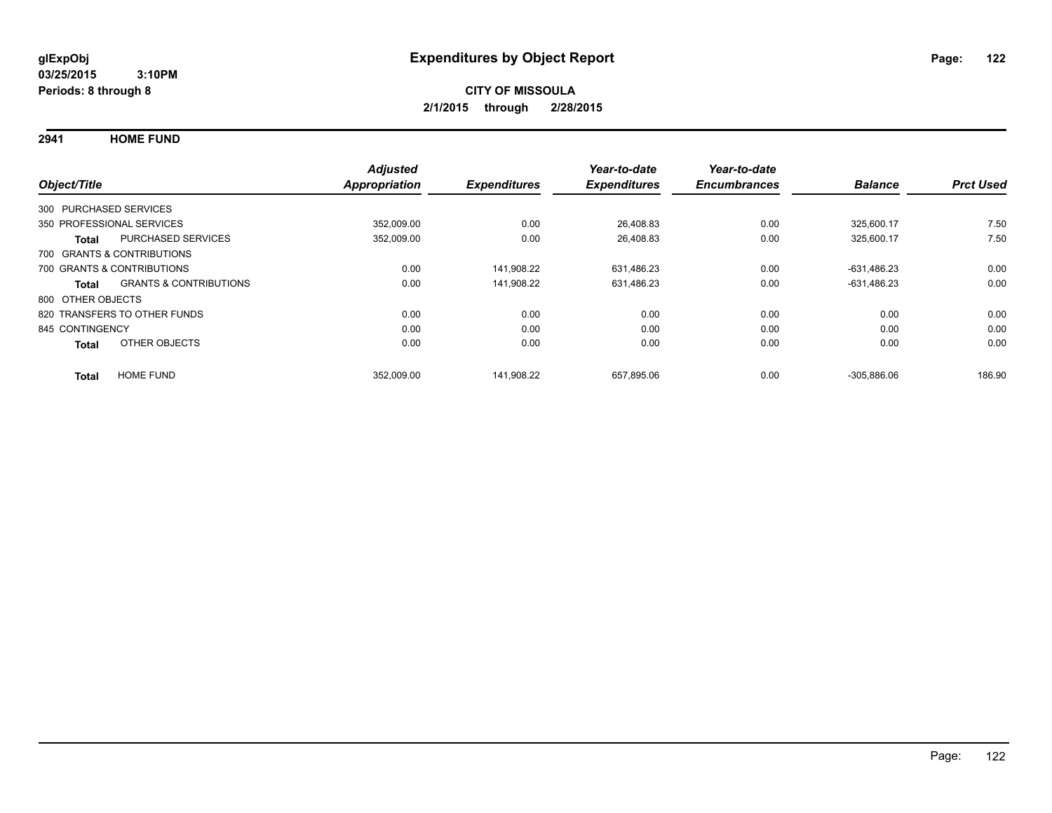**2941 HOME FUND**

|                   |                                   | <b>Adjusted</b> |                     | Year-to-date        | Year-to-date        |                |                  |
|-------------------|-----------------------------------|-----------------|---------------------|---------------------|---------------------|----------------|------------------|
| Object/Title      |                                   | Appropriation   | <b>Expenditures</b> | <b>Expenditures</b> | <b>Encumbrances</b> | <b>Balance</b> | <b>Prct Used</b> |
|                   | 300 PURCHASED SERVICES            |                 |                     |                     |                     |                |                  |
|                   | 350 PROFESSIONAL SERVICES         | 352,009.00      | 0.00                | 26,408.83           | 0.00                | 325,600.17     | 7.50             |
| Total             | <b>PURCHASED SERVICES</b>         | 352,009.00      | 0.00                | 26,408.83           | 0.00                | 325,600.17     | 7.50             |
|                   | 700 GRANTS & CONTRIBUTIONS        |                 |                     |                     |                     |                |                  |
|                   | 700 GRANTS & CONTRIBUTIONS        | 0.00            | 141.908.22          | 631,486.23          | 0.00                | $-631.486.23$  | 0.00             |
| Total             | <b>GRANTS &amp; CONTRIBUTIONS</b> | 0.00            | 141.908.22          | 631,486.23          | 0.00                | $-631.486.23$  | 0.00             |
| 800 OTHER OBJECTS |                                   |                 |                     |                     |                     |                |                  |
|                   | 820 TRANSFERS TO OTHER FUNDS      | 0.00            | 0.00                | 0.00                | 0.00                | 0.00           | 0.00             |
| 845 CONTINGENCY   |                                   | 0.00            | 0.00                | 0.00                | 0.00                | 0.00           | 0.00             |
| <b>Total</b>      | OTHER OBJECTS                     | 0.00            | 0.00                | 0.00                | 0.00                | 0.00           | 0.00             |
| <b>Total</b>      | <b>HOME FUND</b>                  | 352,009.00      | 141.908.22          | 657.895.06          | 0.00                | $-305.886.06$  | 186.90           |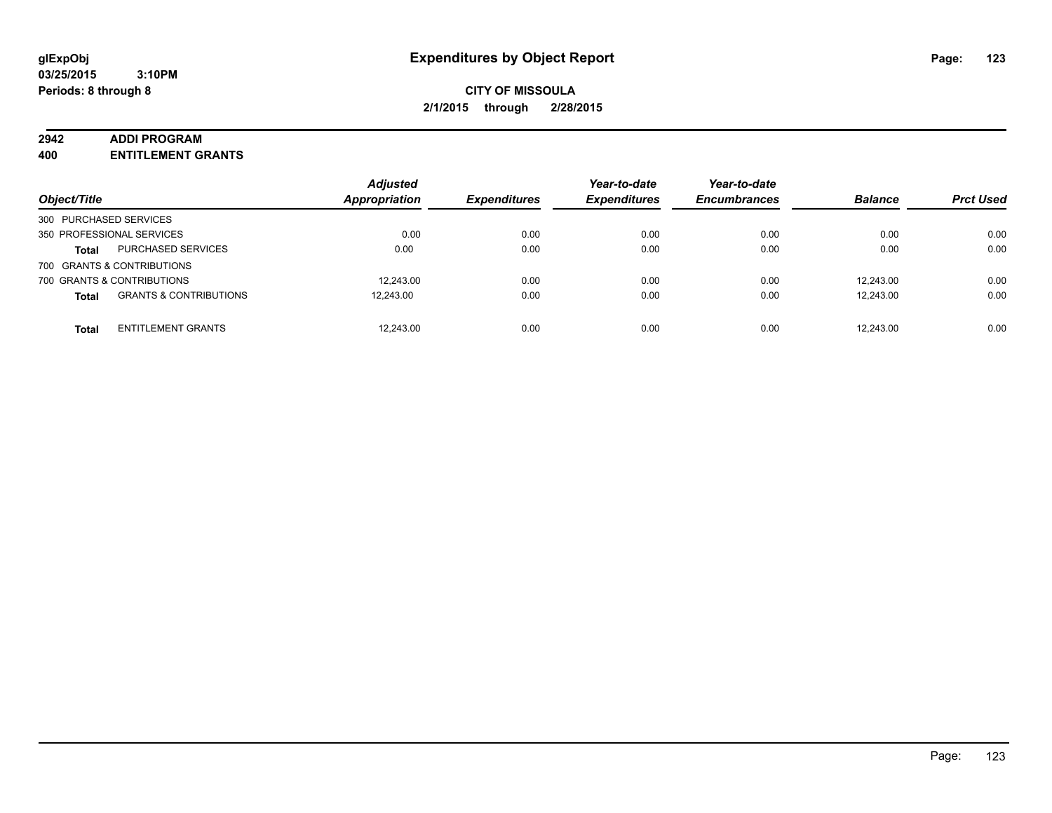#### **2942 ADDI PROGRAM**

**400 ENTITLEMENT GRANTS**

| Object/Title               |                                   | <b>Adjusted</b><br><b>Appropriation</b> | <b>Expenditures</b> | Year-to-date<br><b>Expenditures</b> | Year-to-date<br><b>Encumbrances</b> | <b>Balance</b> | <b>Prct Used</b> |
|----------------------------|-----------------------------------|-----------------------------------------|---------------------|-------------------------------------|-------------------------------------|----------------|------------------|
| 300 PURCHASED SERVICES     |                                   |                                         |                     |                                     |                                     |                |                  |
| 350 PROFESSIONAL SERVICES  |                                   | 0.00                                    | 0.00                | 0.00                                | 0.00                                | 0.00           | 0.00             |
| <b>Total</b>               | <b>PURCHASED SERVICES</b>         | 0.00                                    | 0.00                | 0.00                                | 0.00                                | 0.00           | 0.00             |
| 700 GRANTS & CONTRIBUTIONS |                                   |                                         |                     |                                     |                                     |                |                  |
| 700 GRANTS & CONTRIBUTIONS |                                   | 12.243.00                               | 0.00                | 0.00                                | 0.00                                | 12.243.00      | 0.00             |
| <b>Total</b>               | <b>GRANTS &amp; CONTRIBUTIONS</b> | 12.243.00                               | 0.00                | 0.00                                | 0.00                                | 12.243.00      | 0.00             |
| <b>Total</b>               | <b>ENTITLEMENT GRANTS</b>         | 12,243.00                               | 0.00                | 0.00                                | 0.00                                | 12.243.00      | 0.00             |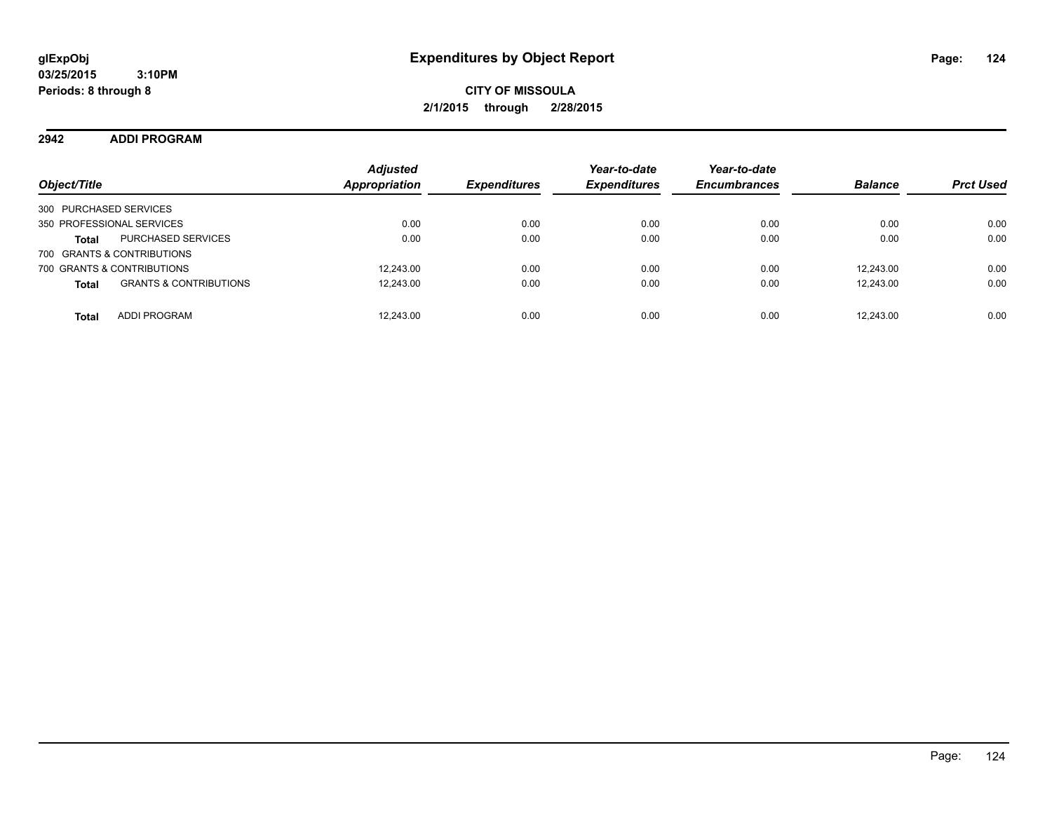**2942 ADDI PROGRAM**

| Object/Title                                      | <b>Adjusted</b><br><b>Appropriation</b> | <b>Expenditures</b> | Year-to-date<br><b>Expenditures</b> | Year-to-date<br><b>Encumbrances</b> | <b>Balance</b> | <b>Prct Used</b> |
|---------------------------------------------------|-----------------------------------------|---------------------|-------------------------------------|-------------------------------------|----------------|------------------|
|                                                   |                                         |                     |                                     |                                     |                |                  |
| 300 PURCHASED SERVICES                            |                                         |                     |                                     |                                     |                |                  |
| 350 PROFESSIONAL SERVICES                         | 0.00                                    | 0.00                | 0.00                                | 0.00                                | 0.00           | 0.00             |
| PURCHASED SERVICES<br><b>Total</b>                | 0.00                                    | 0.00                | 0.00                                | 0.00                                | 0.00           | 0.00             |
| 700 GRANTS & CONTRIBUTIONS                        |                                         |                     |                                     |                                     |                |                  |
| 700 GRANTS & CONTRIBUTIONS                        | 12.243.00                               | 0.00                | 0.00                                | 0.00                                | 12.243.00      | 0.00             |
| <b>GRANTS &amp; CONTRIBUTIONS</b><br><b>Total</b> | 12,243.00                               | 0.00                | 0.00                                | 0.00                                | 12,243.00      | 0.00             |
|                                                   |                                         |                     |                                     |                                     |                |                  |
| <b>ADDI PROGRAM</b><br><b>Total</b>               | 12.243.00                               | 0.00                | 0.00                                | 0.00                                | 12.243.00      | 0.00             |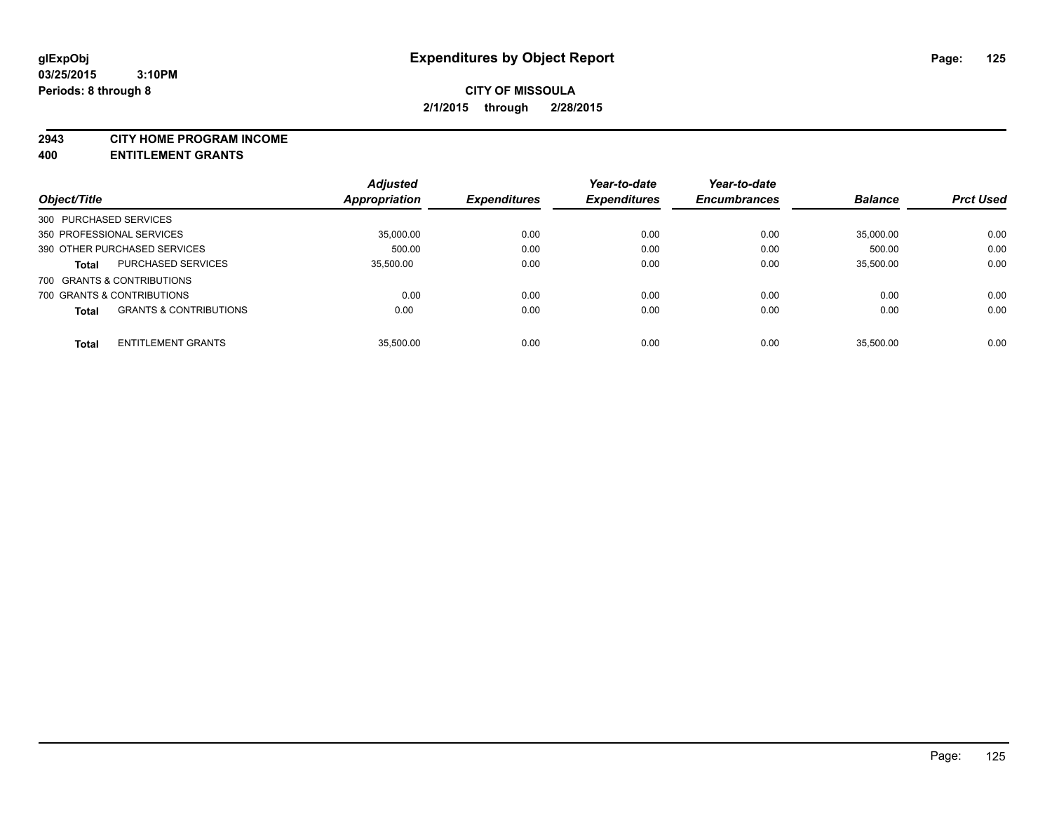#### **2943 CITY HOME PROGRAM INCOME**

**400 ENTITLEMENT GRANTS**

|                           |                                   | <b>Adjusted</b>      |                     | Year-to-date        | Year-to-date        |                |                  |
|---------------------------|-----------------------------------|----------------------|---------------------|---------------------|---------------------|----------------|------------------|
| Object/Title              |                                   | <b>Appropriation</b> | <b>Expenditures</b> | <b>Expenditures</b> | <b>Encumbrances</b> | <b>Balance</b> | <b>Prct Used</b> |
| 300 PURCHASED SERVICES    |                                   |                      |                     |                     |                     |                |                  |
| 350 PROFESSIONAL SERVICES |                                   | 35,000.00            | 0.00                | 0.00                | 0.00                | 35,000.00      | 0.00             |
|                           | 390 OTHER PURCHASED SERVICES      | 500.00               | 0.00                | 0.00                | 0.00                | 500.00         | 0.00             |
| <b>Total</b>              | <b>PURCHASED SERVICES</b>         | 35.500.00            | 0.00                | 0.00                | 0.00                | 35.500.00      | 0.00             |
|                           | 700 GRANTS & CONTRIBUTIONS        |                      |                     |                     |                     |                |                  |
|                           | 700 GRANTS & CONTRIBUTIONS        | 0.00                 | 0.00                | 0.00                | 0.00                | 0.00           | 0.00             |
| <b>Total</b>              | <b>GRANTS &amp; CONTRIBUTIONS</b> | 0.00                 | 0.00                | 0.00                | 0.00                | 0.00           | 0.00             |
| <b>Total</b>              | <b>ENTITLEMENT GRANTS</b>         | 35.500.00            | 0.00                | 0.00                | 0.00                | 35.500.00      | 0.00             |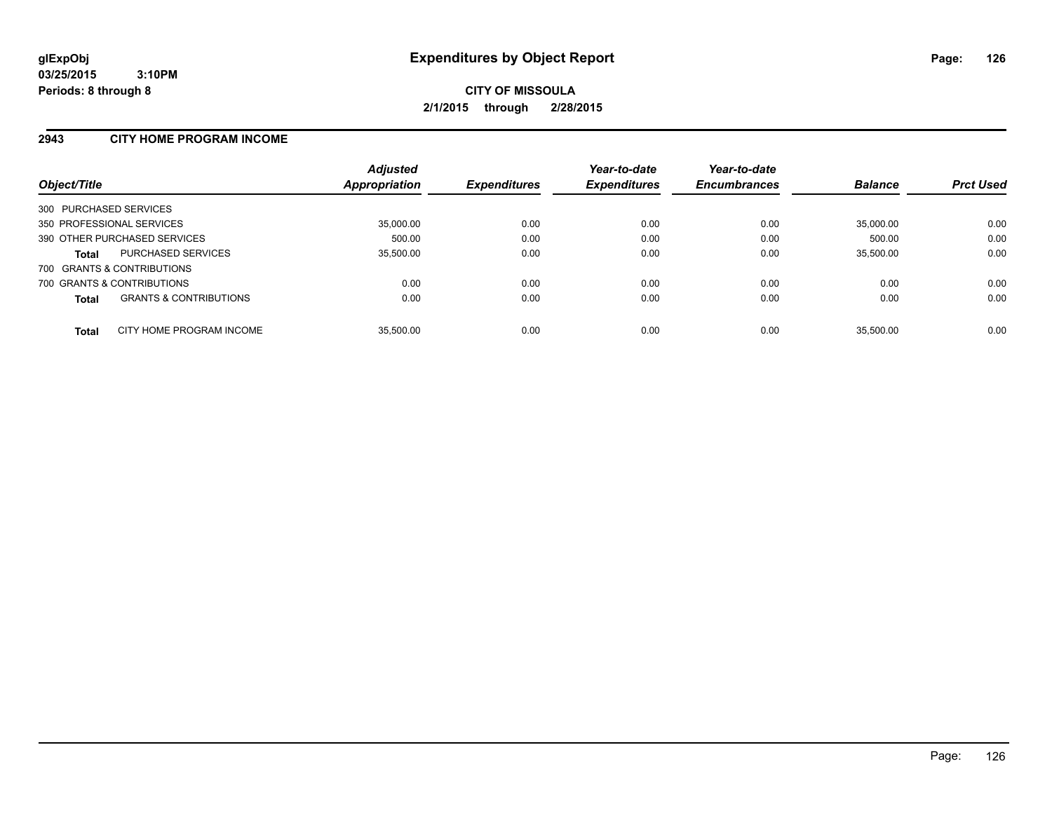#### **2943 CITY HOME PROGRAM INCOME**

| Object/Title                                      | <b>Adjusted</b><br><b>Appropriation</b> | <b>Expenditures</b> | Year-to-date<br><b>Expenditures</b> | Year-to-date<br><b>Encumbrances</b> | <b>Balance</b> | <b>Prct Used</b> |
|---------------------------------------------------|-----------------------------------------|---------------------|-------------------------------------|-------------------------------------|----------------|------------------|
| 300 PURCHASED SERVICES                            |                                         |                     |                                     |                                     |                |                  |
| 350 PROFESSIONAL SERVICES                         | 35,000.00                               | 0.00                | 0.00                                | 0.00                                | 35.000.00      | 0.00             |
| 390 OTHER PURCHASED SERVICES                      | 500.00                                  | 0.00                | 0.00                                | 0.00                                | 500.00         | 0.00             |
| <b>PURCHASED SERVICES</b><br><b>Total</b>         | 35,500.00                               | 0.00                | 0.00                                | 0.00                                | 35.500.00      | 0.00             |
| 700 GRANTS & CONTRIBUTIONS                        |                                         |                     |                                     |                                     |                |                  |
| 700 GRANTS & CONTRIBUTIONS                        | 0.00                                    | 0.00                | 0.00                                | 0.00                                | 0.00           | 0.00             |
| <b>GRANTS &amp; CONTRIBUTIONS</b><br><b>Total</b> | 0.00                                    | 0.00                | 0.00                                | 0.00                                | 0.00           | 0.00             |
| CITY HOME PROGRAM INCOME<br><b>Total</b>          | 35.500.00                               | 0.00                | 0.00                                | 0.00                                | 35.500.00      | 0.00             |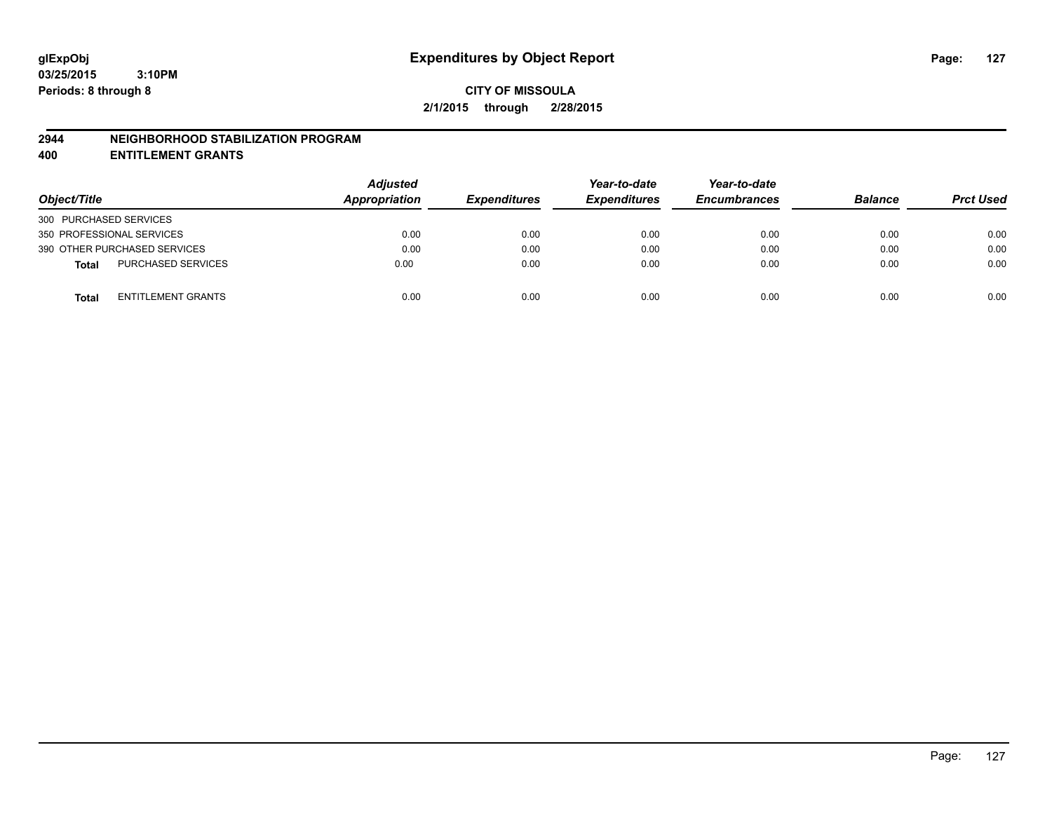#### **2944 NEIGHBORHOOD STABILIZATION PROGRAM**

**400 ENTITLEMENT GRANTS**

| Object/Title                              | <b>Adjusted</b><br>Appropriation | <b>Expenditures</b> | Year-to-date<br><b>Expenditures</b> | Year-to-date<br><b>Encumbrances</b> | <b>Balance</b> | <b>Prct Used</b> |
|-------------------------------------------|----------------------------------|---------------------|-------------------------------------|-------------------------------------|----------------|------------------|
| 300 PURCHASED SERVICES                    |                                  |                     |                                     |                                     |                |                  |
| 350 PROFESSIONAL SERVICES                 | 0.00                             | 0.00                | 0.00                                | 0.00                                | 0.00           | 0.00             |
| 390 OTHER PURCHASED SERVICES              | 0.00                             | 0.00                | 0.00                                | 0.00                                | 0.00           | 0.00             |
| <b>PURCHASED SERVICES</b><br><b>Total</b> | 0.00                             | 0.00                | 0.00                                | 0.00                                | 0.00           | 0.00             |
| ENTITLEMENT GRANTS<br><b>Total</b>        | 0.00                             | 0.00                | 0.00                                | 0.00                                | 0.00           | 0.00             |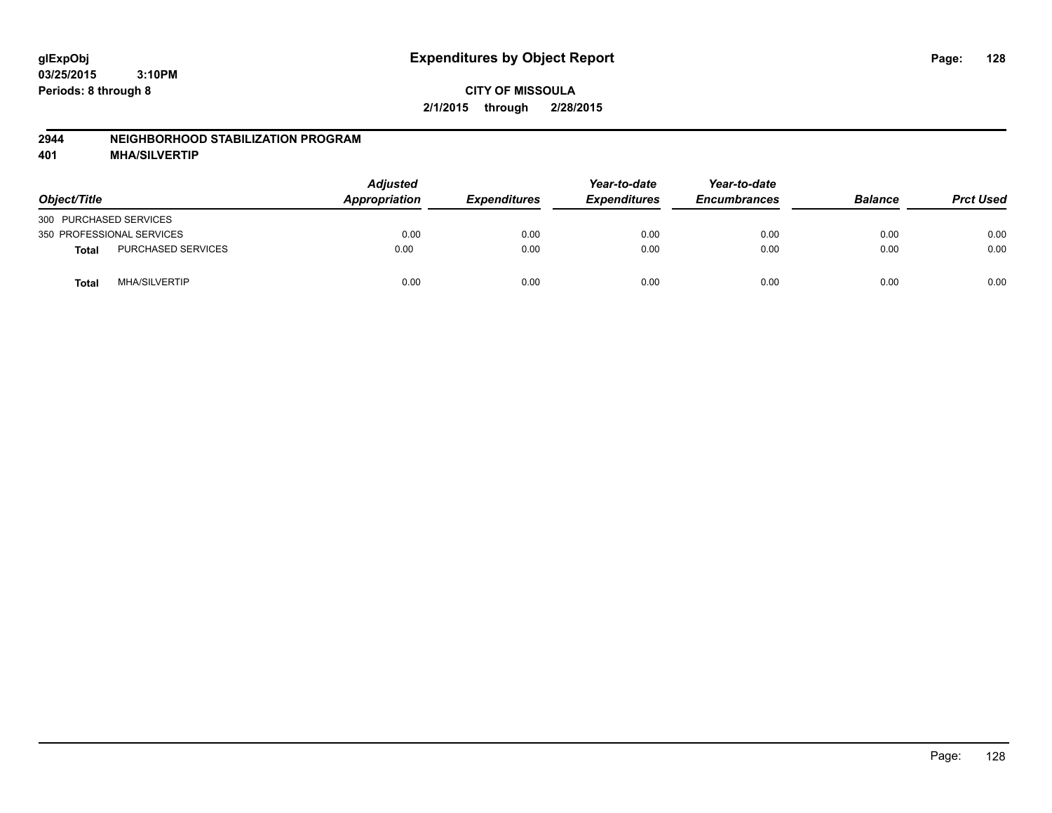#### **2944 NEIGHBORHOOD STABILIZATION PROGRAM**

**401 MHA/SILVERTIP**

| Object/Title              |                      | <b>Adjusted</b><br>Appropriation | <b>Expenditures</b> | Year-to-date<br><b>Expenditures</b> | Year-to-date<br><b>Encumbrances</b> | <b>Balance</b> | <b>Prct Used</b> |
|---------------------------|----------------------|----------------------------------|---------------------|-------------------------------------|-------------------------------------|----------------|------------------|
| 300 PURCHASED SERVICES    |                      |                                  |                     |                                     |                                     |                |                  |
| 350 PROFESSIONAL SERVICES |                      | 0.00                             | 0.00                | 0.00                                | 0.00                                | 0.00           | 0.00             |
| <b>Total</b>              | PURCHASED SERVICES   | 0.00                             | 0.00                | 0.00                                | 0.00                                | 0.00           | 0.00             |
| <b>Total</b>              | <b>MHA/SILVERTIP</b> | 0.00                             | 0.00                | 0.00                                | 0.00                                | 0.00           | 0.00             |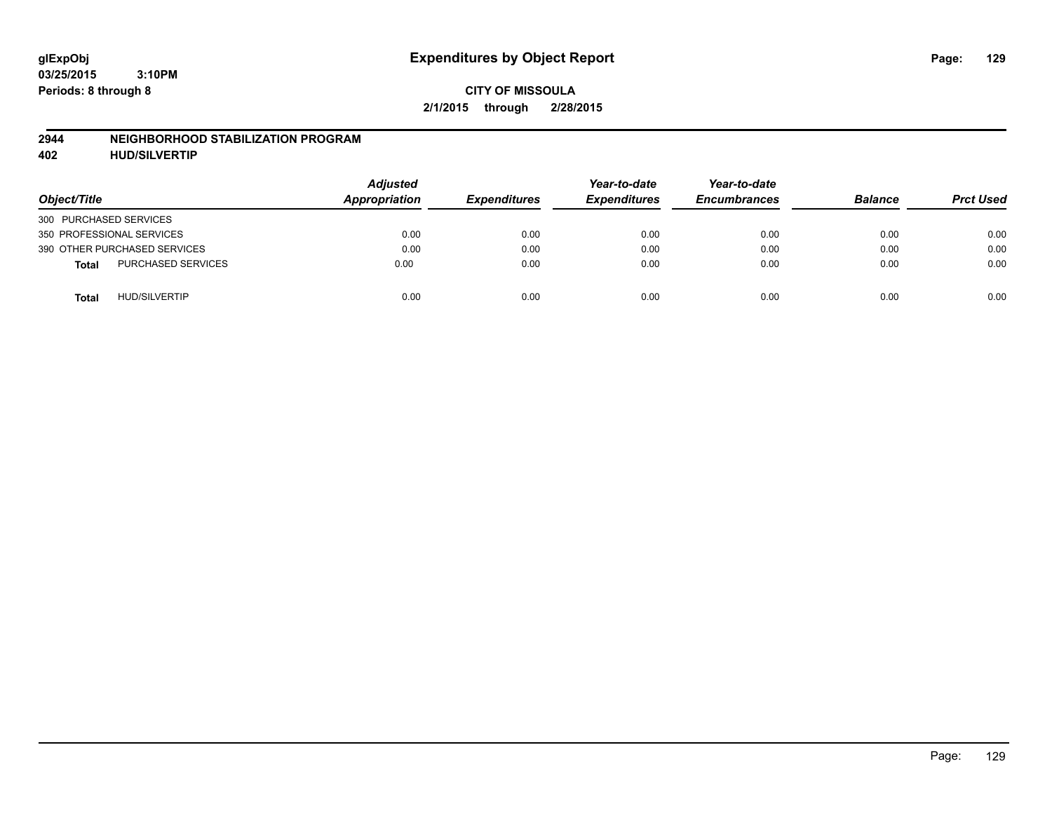#### **2944 NEIGHBORHOOD STABILIZATION PROGRAM**

**402 HUD/SILVERTIP**

| Object/Title                              | <b>Adjusted</b><br>Appropriation | <b>Expenditures</b> | Year-to-date<br><b>Expenditures</b> | Year-to-date<br><b>Encumbrances</b> | <b>Balance</b> | <b>Prct Used</b> |
|-------------------------------------------|----------------------------------|---------------------|-------------------------------------|-------------------------------------|----------------|------------------|
| 300 PURCHASED SERVICES                    |                                  |                     |                                     |                                     |                |                  |
| 350 PROFESSIONAL SERVICES                 | 0.00                             | 0.00                | 0.00                                | 0.00                                | 0.00           | 0.00             |
| 390 OTHER PURCHASED SERVICES              | 0.00                             | 0.00                | 0.00                                | 0.00                                | 0.00           | 0.00             |
| <b>PURCHASED SERVICES</b><br><b>Total</b> | 0.00                             | 0.00                | 0.00                                | 0.00                                | 0.00           | 0.00             |
| <b>HUD/SILVERTIP</b><br><b>Total</b>      | 0.00                             | 0.00                | 0.00                                | 0.00                                | 0.00           | 0.00             |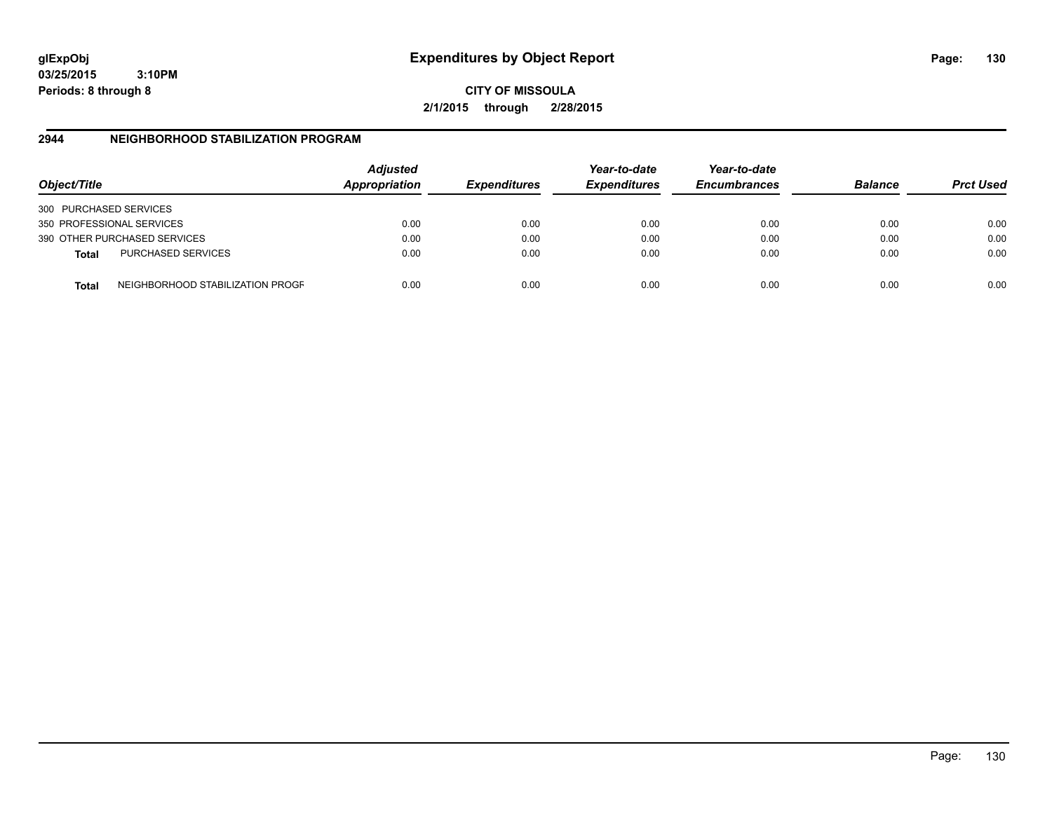**03/25/2015 3:10PM Periods: 8 through 8**

**CITY OF MISSOULA 2/1/2015 through 2/28/2015**

### **2944 NEIGHBORHOOD STABILIZATION PROGRAM**

| Object/Title           |                                  | <b>Adjusted</b><br>Appropriation | <b>Expenditures</b> | Year-to-date<br><b>Expenditures</b> | Year-to-date<br><b>Encumbrances</b> | <b>Balance</b> | <b>Prct Used</b> |
|------------------------|----------------------------------|----------------------------------|---------------------|-------------------------------------|-------------------------------------|----------------|------------------|
| 300 PURCHASED SERVICES |                                  |                                  |                     |                                     |                                     |                |                  |
|                        | 350 PROFESSIONAL SERVICES        | 0.00                             | 0.00                | 0.00                                | 0.00                                | 0.00           | 0.00             |
|                        | 390 OTHER PURCHASED SERVICES     | 0.00                             | 0.00                | 0.00                                | 0.00                                | 0.00           | 0.00             |
| <b>Total</b>           | <b>PURCHASED SERVICES</b>        | 0.00                             | 0.00                | 0.00                                | 0.00                                | 0.00           | 0.00             |
| Total                  | NEIGHBORHOOD STABILIZATION PROGF | 0.00                             | 0.00                | 0.00                                | 0.00                                | 0.00           | 0.00             |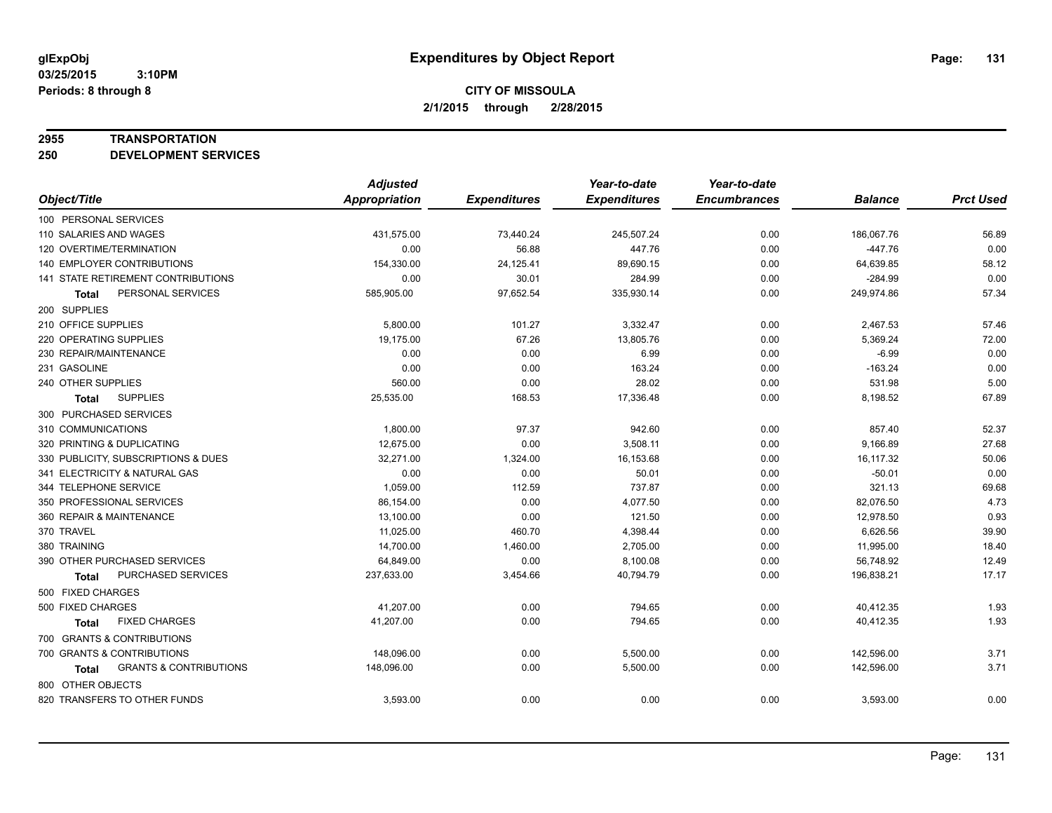#### **2955 TRANSPORTATION**

**250 DEVELOPMENT SERVICES**

|                                            | <b>Adjusted</b>      |                     | Year-to-date        | Year-to-date        |                |                  |
|--------------------------------------------|----------------------|---------------------|---------------------|---------------------|----------------|------------------|
| Object/Title                               | <b>Appropriation</b> | <b>Expenditures</b> | <b>Expenditures</b> | <b>Encumbrances</b> | <b>Balance</b> | <b>Prct Used</b> |
| 100 PERSONAL SERVICES                      |                      |                     |                     |                     |                |                  |
| 110 SALARIES AND WAGES                     | 431,575.00           | 73,440.24           | 245,507.24          | 0.00                | 186,067.76     | 56.89            |
| 120 OVERTIME/TERMINATION                   | 0.00                 | 56.88               | 447.76              | 0.00                | $-447.76$      | 0.00             |
| 140 EMPLOYER CONTRIBUTIONS                 | 154,330.00           | 24,125.41           | 89,690.15           | 0.00                | 64,639.85      | 58.12            |
| 141 STATE RETIREMENT CONTRIBUTIONS         | 0.00                 | 30.01               | 284.99              | 0.00                | $-284.99$      | 0.00             |
| PERSONAL SERVICES<br><b>Total</b>          | 585,905.00           | 97,652.54           | 335,930.14          | 0.00                | 249,974.86     | 57.34            |
| 200 SUPPLIES                               |                      |                     |                     |                     |                |                  |
| 210 OFFICE SUPPLIES                        | 5,800.00             | 101.27              | 3,332.47            | 0.00                | 2,467.53       | 57.46            |
| 220 OPERATING SUPPLIES                     | 19.175.00            | 67.26               | 13,805.76           | 0.00                | 5,369.24       | 72.00            |
| 230 REPAIR/MAINTENANCE                     | 0.00                 | 0.00                | 6.99                | 0.00                | $-6.99$        | 0.00             |
| 231 GASOLINE                               | 0.00                 | 0.00                | 163.24              | 0.00                | $-163.24$      | 0.00             |
| 240 OTHER SUPPLIES                         | 560.00               | 0.00                | 28.02               | 0.00                | 531.98         | 5.00             |
| <b>SUPPLIES</b><br>Total                   | 25,535.00            | 168.53              | 17,336.48           | 0.00                | 8,198.52       | 67.89            |
| 300 PURCHASED SERVICES                     |                      |                     |                     |                     |                |                  |
| 310 COMMUNICATIONS                         | 1,800.00             | 97.37               | 942.60              | 0.00                | 857.40         | 52.37            |
| 320 PRINTING & DUPLICATING                 | 12,675.00            | 0.00                | 3,508.11            | 0.00                | 9,166.89       | 27.68            |
| 330 PUBLICITY, SUBSCRIPTIONS & DUES        | 32,271.00            | 1,324.00            | 16,153.68           | 0.00                | 16,117.32      | 50.06            |
| 341 ELECTRICITY & NATURAL GAS              | 0.00                 | 0.00                | 50.01               | 0.00                | $-50.01$       | 0.00             |
| 344 TELEPHONE SERVICE                      | 1,059.00             | 112.59              | 737.87              | 0.00                | 321.13         | 69.68            |
| 350 PROFESSIONAL SERVICES                  | 86,154.00            | 0.00                | 4,077.50            | 0.00                | 82,076.50      | 4.73             |
| 360 REPAIR & MAINTENANCE                   | 13,100.00            | 0.00                | 121.50              | 0.00                | 12,978.50      | 0.93             |
| 370 TRAVEL                                 | 11,025.00            | 460.70              | 4,398.44            | 0.00                | 6,626.56       | 39.90            |
| 380 TRAINING                               | 14,700.00            | 1,460.00            | 2,705.00            | 0.00                | 11,995.00      | 18.40            |
| 390 OTHER PURCHASED SERVICES               | 64,849.00            | 0.00                | 8,100.08            | 0.00                | 56,748.92      | 12.49            |
| PURCHASED SERVICES<br>Total                | 237,633.00           | 3,454.66            | 40,794.79           | 0.00                | 196,838.21     | 17.17            |
| 500 FIXED CHARGES                          |                      |                     |                     |                     |                |                  |
| 500 FIXED CHARGES                          | 41,207.00            | 0.00                | 794.65              | 0.00                | 40,412.35      | 1.93             |
| <b>FIXED CHARGES</b><br>Total              | 41,207.00            | 0.00                | 794.65              | 0.00                | 40,412.35      | 1.93             |
| 700 GRANTS & CONTRIBUTIONS                 |                      |                     |                     |                     |                |                  |
| 700 GRANTS & CONTRIBUTIONS                 | 148,096.00           | 0.00                | 5,500.00            | 0.00                | 142,596.00     | 3.71             |
| <b>GRANTS &amp; CONTRIBUTIONS</b><br>Total | 148,096.00           | 0.00                | 5,500.00            | 0.00                | 142,596.00     | 3.71             |
| 800 OTHER OBJECTS                          |                      |                     |                     |                     |                |                  |
| 820 TRANSFERS TO OTHER FUNDS               | 3,593.00             | 0.00                | 0.00                | 0.00                | 3,593.00       | 0.00             |
|                                            |                      |                     |                     |                     |                |                  |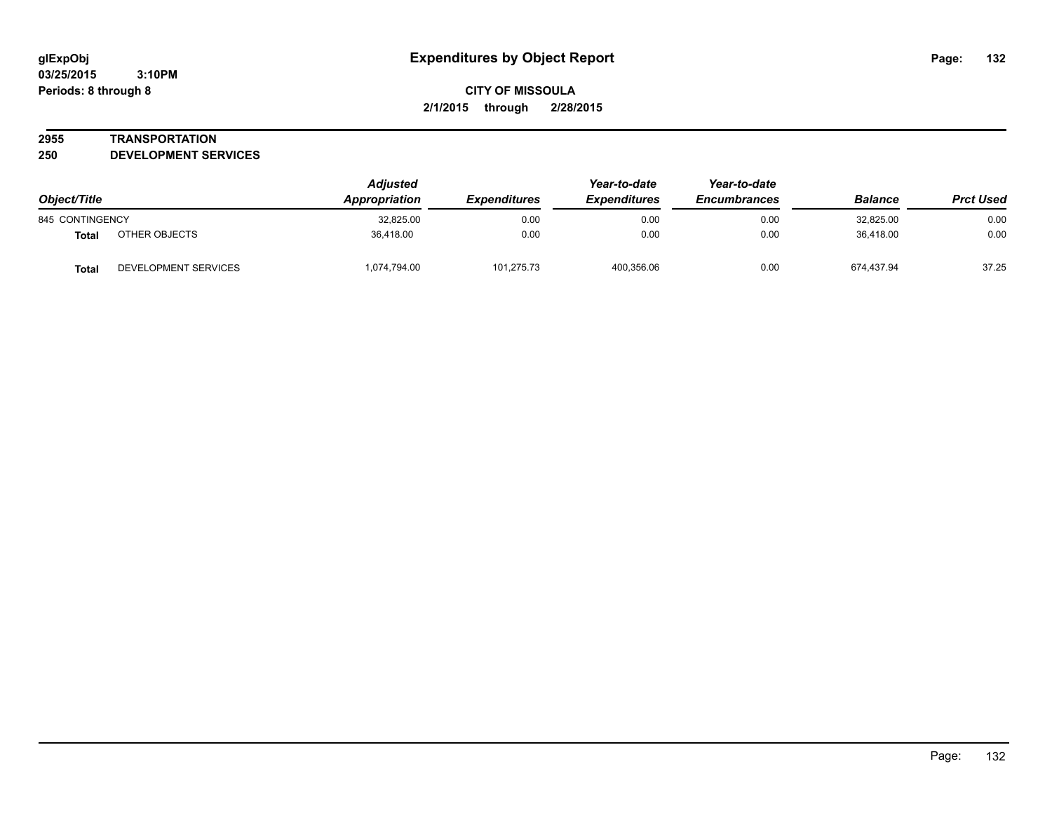#### **2955 TRANSPORTATION**

**250 DEVELOPMENT SERVICES**

| Object/Title    |                      | <b>Adjusted</b><br>Appropriation | <b>Expenditures</b> | Year-to-date<br><b>Expenditures</b> | Year-to-date<br><b>Encumbrances</b> | <b>Balance</b> | <b>Prct Used</b> |
|-----------------|----------------------|----------------------------------|---------------------|-------------------------------------|-------------------------------------|----------------|------------------|
| 845 CONTINGENCY |                      | 32,825.00                        | 0.00                | 0.00                                | 0.00                                | 32,825.00      | 0.00             |
| Total           | OTHER OBJECTS        | 36.418.00                        | 0.00                | 0.00                                | 0.00                                | 36.418.00      | 0.00             |
| <b>Total</b>    | DEVELOPMENT SERVICES | 1,074,794.00                     | 101.275.73          | 400,356.06                          | 0.00                                | 674,437.94     | 37.25            |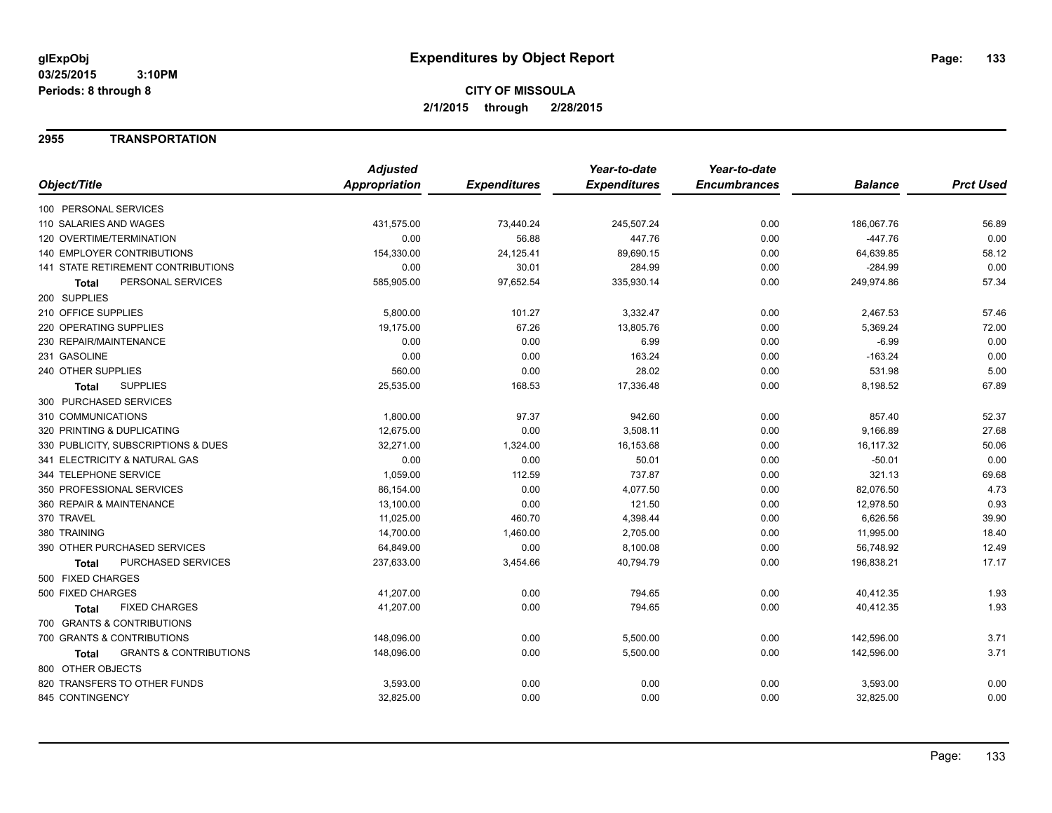### **2955 TRANSPORTATION**

|                                                   | <b>Adjusted</b>      |                     | Year-to-date        | Year-to-date        |                |                  |
|---------------------------------------------------|----------------------|---------------------|---------------------|---------------------|----------------|------------------|
| Object/Title                                      | <b>Appropriation</b> | <b>Expenditures</b> | <b>Expenditures</b> | <b>Encumbrances</b> | <b>Balance</b> | <b>Prct Used</b> |
| 100 PERSONAL SERVICES                             |                      |                     |                     |                     |                |                  |
| 110 SALARIES AND WAGES                            | 431,575.00           | 73,440.24           | 245,507.24          | 0.00                | 186,067.76     | 56.89            |
| 120 OVERTIME/TERMINATION                          | 0.00                 | 56.88               | 447.76              | 0.00                | $-447.76$      | 0.00             |
| <b>140 EMPLOYER CONTRIBUTIONS</b>                 | 154,330.00           | 24,125.41           | 89,690.15           | 0.00                | 64,639.85      | 58.12            |
| <b>141 STATE RETIREMENT CONTRIBUTIONS</b>         | 0.00                 | 30.01               | 284.99              | 0.00                | $-284.99$      | 0.00             |
| PERSONAL SERVICES<br><b>Total</b>                 | 585,905.00           | 97,652.54           | 335,930.14          | 0.00                | 249,974.86     | 57.34            |
| 200 SUPPLIES                                      |                      |                     |                     |                     |                |                  |
| 210 OFFICE SUPPLIES                               | 5,800.00             | 101.27              | 3,332.47            | 0.00                | 2,467.53       | 57.46            |
| 220 OPERATING SUPPLIES                            | 19,175.00            | 67.26               | 13,805.76           | 0.00                | 5,369.24       | 72.00            |
| 230 REPAIR/MAINTENANCE                            | 0.00                 | 0.00                | 6.99                | 0.00                | $-6.99$        | 0.00             |
| 231 GASOLINE                                      | 0.00                 | 0.00                | 163.24              | 0.00                | $-163.24$      | 0.00             |
| 240 OTHER SUPPLIES                                | 560.00               | 0.00                | 28.02               | 0.00                | 531.98         | 5.00             |
| <b>SUPPLIES</b><br><b>Total</b>                   | 25,535.00            | 168.53              | 17,336.48           | 0.00                | 8,198.52       | 67.89            |
| 300 PURCHASED SERVICES                            |                      |                     |                     |                     |                |                  |
| 310 COMMUNICATIONS                                | 1,800.00             | 97.37               | 942.60              | 0.00                | 857.40         | 52.37            |
| 320 PRINTING & DUPLICATING                        | 12,675.00            | 0.00                | 3,508.11            | 0.00                | 9,166.89       | 27.68            |
| 330 PUBLICITY, SUBSCRIPTIONS & DUES               | 32,271.00            | 1,324.00            | 16,153.68           | 0.00                | 16,117.32      | 50.06            |
| 341 ELECTRICITY & NATURAL GAS                     | 0.00                 | 0.00                | 50.01               | 0.00                | $-50.01$       | 0.00             |
| 344 TELEPHONE SERVICE                             | 1,059.00             | 112.59              | 737.87              | 0.00                | 321.13         | 69.68            |
| 350 PROFESSIONAL SERVICES                         | 86,154.00            | 0.00                | 4,077.50            | 0.00                | 82,076.50      | 4.73             |
| 360 REPAIR & MAINTENANCE                          | 13,100.00            | 0.00                | 121.50              | 0.00                | 12,978.50      | 0.93             |
| 370 TRAVEL                                        | 11,025.00            | 460.70              | 4,398.44            | 0.00                | 6,626.56       | 39.90            |
| 380 TRAINING                                      | 14,700.00            | 1,460.00            | 2,705.00            | 0.00                | 11,995.00      | 18.40            |
| 390 OTHER PURCHASED SERVICES                      | 64,849.00            | 0.00                | 8,100.08            | 0.00                | 56,748.92      | 12.49            |
| PURCHASED SERVICES<br><b>Total</b>                | 237,633.00           | 3,454.66            | 40,794.79           | 0.00                | 196,838.21     | 17.17            |
| 500 FIXED CHARGES                                 |                      |                     |                     |                     |                |                  |
| 500 FIXED CHARGES                                 | 41,207.00            | 0.00                | 794.65              | 0.00                | 40,412.35      | 1.93             |
| <b>FIXED CHARGES</b><br>Total                     | 41,207.00            | 0.00                | 794.65              | 0.00                | 40,412.35      | 1.93             |
| 700 GRANTS & CONTRIBUTIONS                        |                      |                     |                     |                     |                |                  |
| 700 GRANTS & CONTRIBUTIONS                        | 148,096.00           | 0.00                | 5,500.00            | 0.00                | 142,596.00     | 3.71             |
| <b>GRANTS &amp; CONTRIBUTIONS</b><br><b>Total</b> | 148,096.00           | 0.00                | 5,500.00            | 0.00                | 142,596.00     | 3.71             |
| 800 OTHER OBJECTS                                 |                      |                     |                     |                     |                |                  |
| 820 TRANSFERS TO OTHER FUNDS                      | 3,593.00             | 0.00                | 0.00                | 0.00                | 3,593.00       | 0.00             |
| 845 CONTINGENCY                                   | 32,825.00            | 0.00                | 0.00                | 0.00                | 32,825.00      | 0.00             |
|                                                   |                      |                     |                     |                     |                |                  |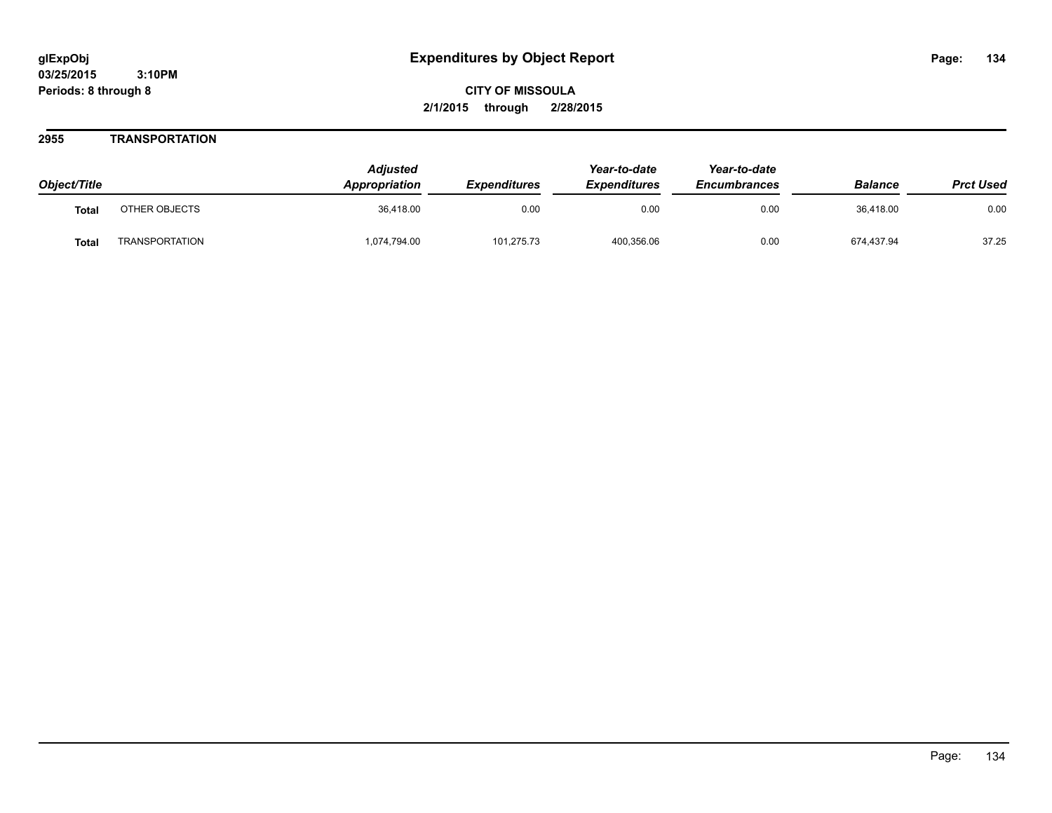### **2955 TRANSPORTATION**

| Object/Title |                | <b>Adjusted</b><br><b>Appropriation</b> | <b>Expenditures</b> | Year-to-date<br><b>Expenditures</b> | Year-to-date<br><b>Encumbrances</b> | <b>Balance</b> | <b>Prct Used</b> |
|--------------|----------------|-----------------------------------------|---------------------|-------------------------------------|-------------------------------------|----------------|------------------|
| <b>Total</b> | OTHER OBJECTS  | 36,418.00                               | 0.00                | 0.00                                | 0.00                                | 36,418.00      | 0.00             |
| <b>Total</b> | TRANSPORTATION | 1,074,794.00                            | 101,275.73          | 400,356.06                          | 0.00                                | 674,437.94     | 37.25            |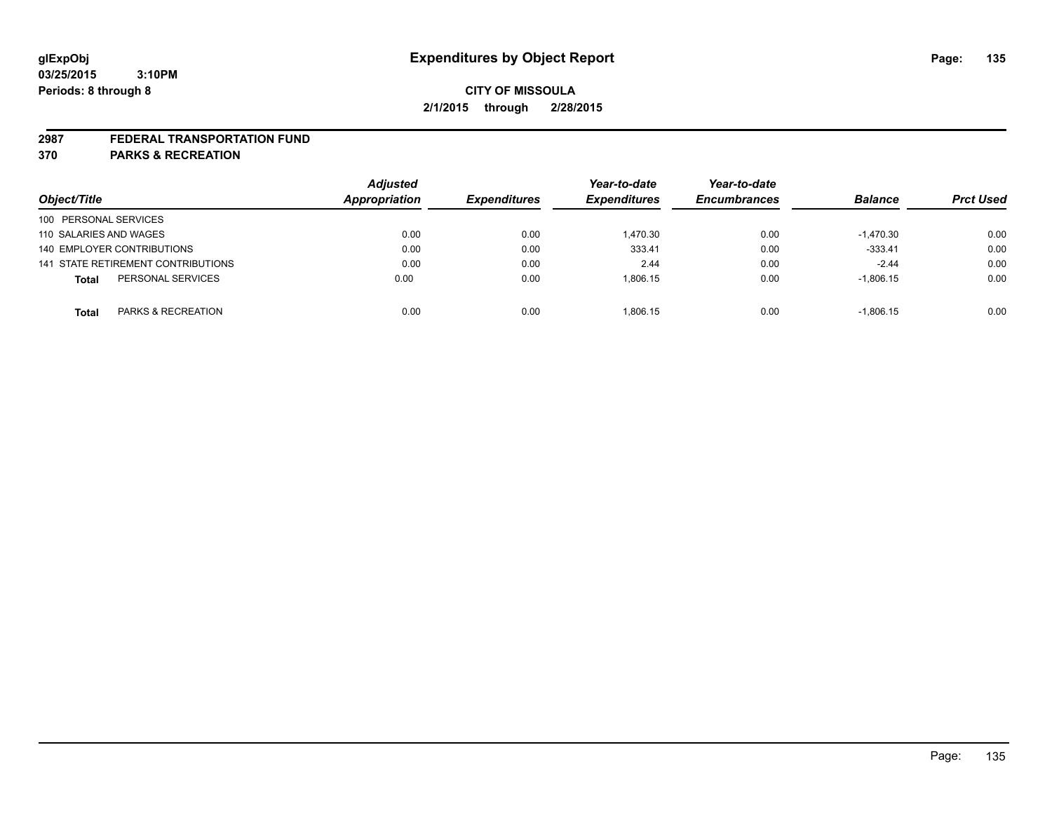#### **2987 FEDERAL TRANSPORTATION FUND**

**370 PARKS & RECREATION**

|                        |                                           | Adjusted      |                     | Year-to-date        | Year-to-date        |                |                  |
|------------------------|-------------------------------------------|---------------|---------------------|---------------------|---------------------|----------------|------------------|
| Object/Title           |                                           | Appropriation | <b>Expenditures</b> | <b>Expenditures</b> | <b>Encumbrances</b> | <b>Balance</b> | <b>Prct Used</b> |
| 100 PERSONAL SERVICES  |                                           |               |                     |                     |                     |                |                  |
| 110 SALARIES AND WAGES |                                           | 0.00          | 0.00                | 1.470.30            | 0.00                | $-1.470.30$    | 0.00             |
|                        | 140 EMPLOYER CONTRIBUTIONS                | 0.00          | 0.00                | 333.41              | 0.00                | $-333.41$      | 0.00             |
|                        | <b>141 STATE RETIREMENT CONTRIBUTIONS</b> | 0.00          | 0.00                | 2.44                | 0.00                | $-2.44$        | 0.00             |
| <b>Total</b>           | PERSONAL SERVICES                         | 0.00          | 0.00                | 1.806.15            | 0.00                | $-1,806.15$    | 0.00             |
| <b>Total</b>           | <b>PARKS &amp; RECREATION</b>             | 0.00          | 0.00                | 1.806.15            | 0.00                | $-1.806.15$    | 0.00             |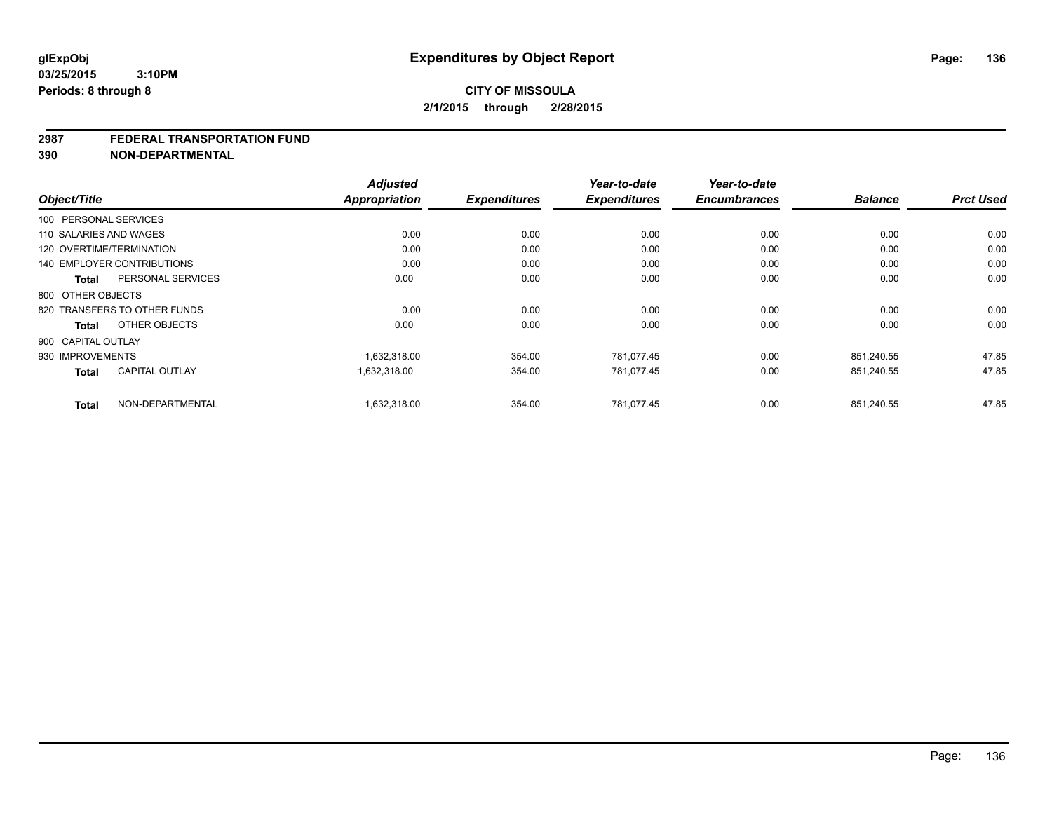#### **2987 FEDERAL TRANSPORTATION FUND**

**390 NON-DEPARTMENTAL**

|                                       | <b>Adjusted</b> |                     | Year-to-date        | Year-to-date        |                |                  |
|---------------------------------------|-----------------|---------------------|---------------------|---------------------|----------------|------------------|
| Object/Title                          | Appropriation   | <b>Expenditures</b> | <b>Expenditures</b> | <b>Encumbrances</b> | <b>Balance</b> | <b>Prct Used</b> |
| 100 PERSONAL SERVICES                 |                 |                     |                     |                     |                |                  |
| 110 SALARIES AND WAGES                | 0.00            | 0.00                | 0.00                | 0.00                | 0.00           | 0.00             |
| 120 OVERTIME/TERMINATION              | 0.00            | 0.00                | 0.00                | 0.00                | 0.00           | 0.00             |
| <b>140 EMPLOYER CONTRIBUTIONS</b>     | 0.00            | 0.00                | 0.00                | 0.00                | 0.00           | 0.00             |
| PERSONAL SERVICES<br><b>Total</b>     | 0.00            | 0.00                | 0.00                | 0.00                | 0.00           | 0.00             |
| 800 OTHER OBJECTS                     |                 |                     |                     |                     |                |                  |
| 820 TRANSFERS TO OTHER FUNDS          | 0.00            | 0.00                | 0.00                | 0.00                | 0.00           | 0.00             |
| OTHER OBJECTS<br><b>Total</b>         | 0.00            | 0.00                | 0.00                | 0.00                | 0.00           | 0.00             |
| 900 CAPITAL OUTLAY                    |                 |                     |                     |                     |                |                  |
| 930 IMPROVEMENTS                      | 1,632,318.00    | 354.00              | 781,077.45          | 0.00                | 851,240.55     | 47.85            |
| <b>CAPITAL OUTLAY</b><br><b>Total</b> | 1,632,318.00    | 354.00              | 781,077.45          | 0.00                | 851,240.55     | 47.85            |
| NON-DEPARTMENTAL<br><b>Total</b>      | 1.632.318.00    | 354.00              | 781.077.45          | 0.00                | 851.240.55     | 47.85            |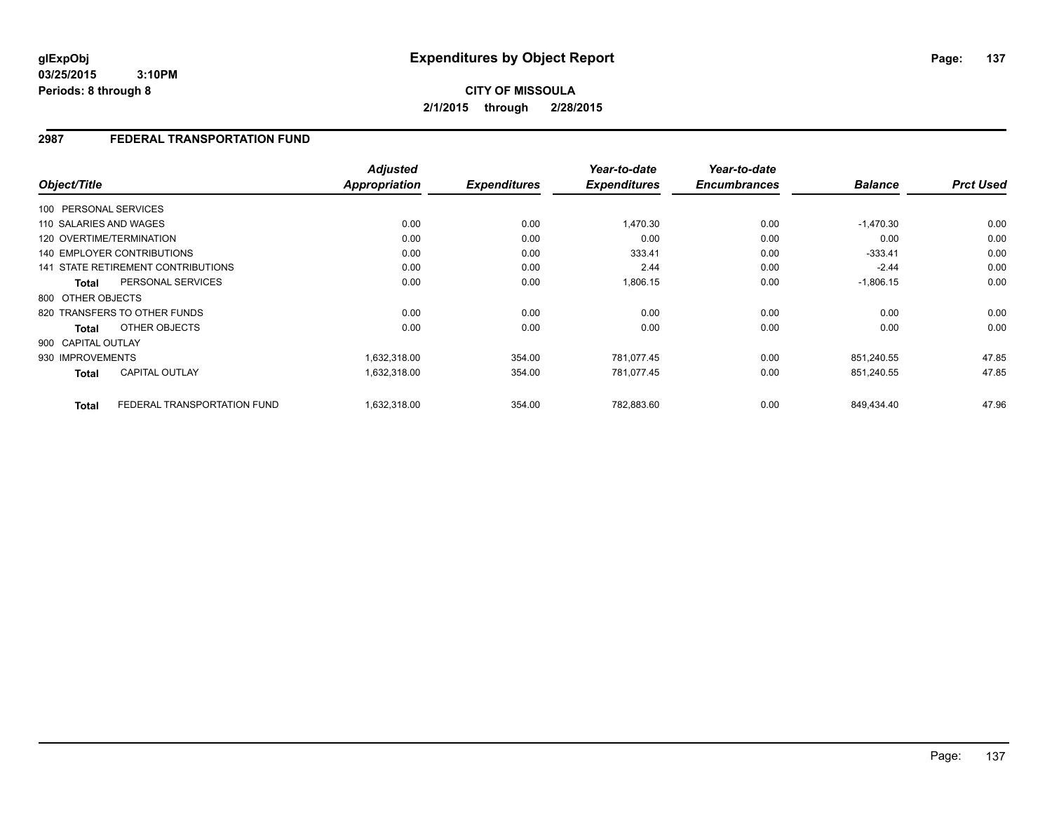**03/25/2015 3:10PM Periods: 8 through 8**

## **CITY OF MISSOULA 2/1/2015 through 2/28/2015**

## **2987 FEDERAL TRANSPORTATION FUND**

| Object/Title                                | <b>Adjusted</b><br>Appropriation | <b>Expenditures</b> |        | Year-to-date<br><b>Expenditures</b> | Year-to-date<br><b>Encumbrances</b> | <b>Balance</b> | <b>Prct Used</b> |
|---------------------------------------------|----------------------------------|---------------------|--------|-------------------------------------|-------------------------------------|----------------|------------------|
|                                             |                                  |                     |        |                                     |                                     |                |                  |
| 100 PERSONAL SERVICES                       |                                  |                     |        |                                     |                                     |                |                  |
| 110 SALARIES AND WAGES                      |                                  | 0.00                | 0.00   | 1,470.30                            | 0.00                                | $-1,470.30$    | 0.00             |
| 120 OVERTIME/TERMINATION                    |                                  | 0.00                | 0.00   | 0.00                                | 0.00                                | 0.00           | 0.00             |
| 140 EMPLOYER CONTRIBUTIONS                  |                                  | 0.00                | 0.00   | 333.41                              | 0.00                                | $-333.41$      | 0.00             |
| 141 STATE RETIREMENT CONTRIBUTIONS          |                                  | 0.00                | 0.00   | 2.44                                | 0.00                                | $-2.44$        | 0.00             |
| PERSONAL SERVICES<br><b>Total</b>           |                                  | 0.00                | 0.00   | 1,806.15                            | 0.00                                | $-1,806.15$    | 0.00             |
| 800 OTHER OBJECTS                           |                                  |                     |        |                                     |                                     |                |                  |
| 820 TRANSFERS TO OTHER FUNDS                |                                  | 0.00                | 0.00   | 0.00                                | 0.00                                | 0.00           | 0.00             |
| OTHER OBJECTS<br><b>Total</b>               |                                  | 0.00                | 0.00   | 0.00                                | 0.00                                | 0.00           | 0.00             |
| 900 CAPITAL OUTLAY                          |                                  |                     |        |                                     |                                     |                |                  |
| 930 IMPROVEMENTS                            | 1,632,318.00                     |                     | 354.00 | 781,077.45                          | 0.00                                | 851,240.55     | 47.85            |
| CAPITAL OUTLAY<br><b>Total</b>              | 1,632,318.00                     |                     | 354.00 | 781,077.45                          | 0.00                                | 851,240.55     | 47.85            |
| FEDERAL TRANSPORTATION FUND<br><b>Total</b> | 1,632,318.00                     |                     | 354.00 | 782,883.60                          | 0.00                                | 849,434.40     | 47.96            |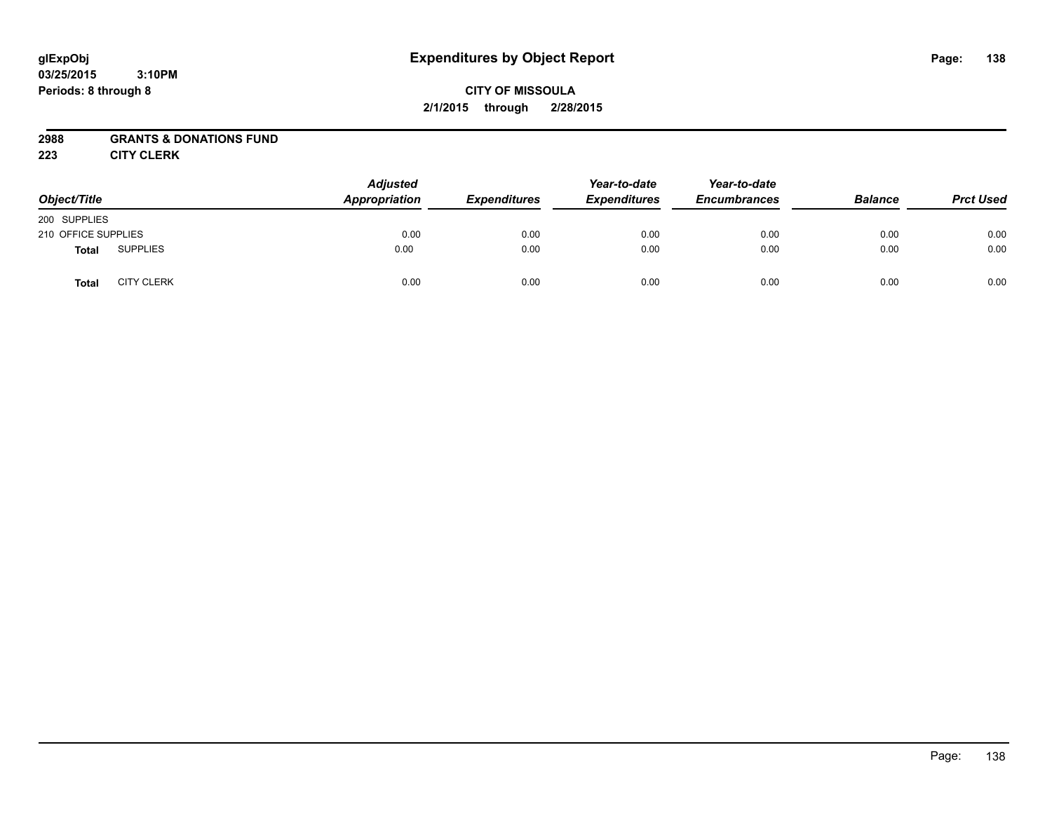#### **03/25/2015 3:10PM Periods: 8 through 8**

## **CITY OF MISSOULA 2/1/2015 through 2/28/2015**

### **2988 GRANTS & DONATIONS FUND**

**223 CITY CLERK**

| Object/Title        |                   | <b>Adjusted</b><br><b>Appropriation</b> | <b>Expenditures</b> | Year-to-date<br><b>Expenditures</b> | Year-to-date<br><b>Encumbrances</b> | <b>Balance</b> | <b>Prct Used</b> |
|---------------------|-------------------|-----------------------------------------|---------------------|-------------------------------------|-------------------------------------|----------------|------------------|
| 200 SUPPLIES        |                   |                                         |                     |                                     |                                     |                |                  |
| 210 OFFICE SUPPLIES |                   | 0.00                                    | 0.00                | 0.00                                | 0.00                                | 0.00           | 0.00             |
| <b>Total</b>        | <b>SUPPLIES</b>   | 0.00                                    | 0.00                | 0.00                                | 0.00                                | 0.00           | 0.00             |
| <b>Total</b>        | <b>CITY CLERK</b> | 0.00                                    | 0.00                | 0.00                                | 0.00                                | 0.00           | 0.00             |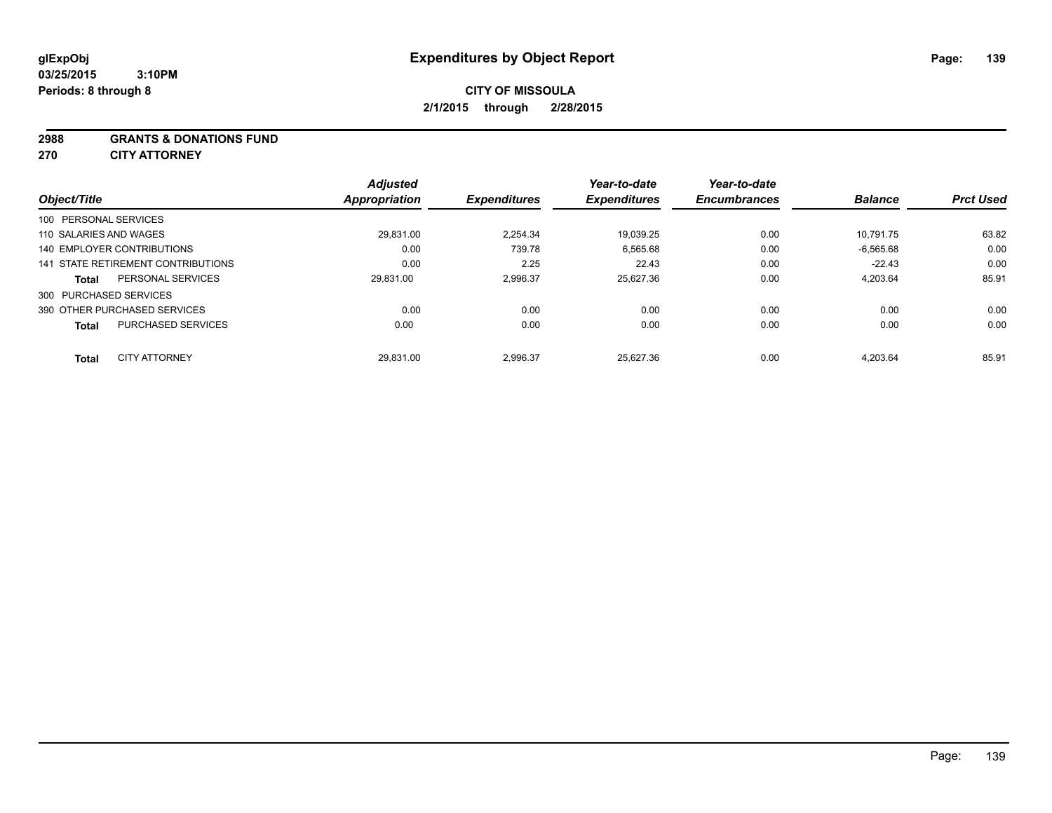#### **2988 GRANTS & DONATIONS FUND**

**270 CITY ATTORNEY**

| Object/Title           |                                    | <b>Adjusted</b><br><b>Appropriation</b> | <b>Expenditures</b> | Year-to-date<br><b>Expenditures</b> | Year-to-date<br><b>Encumbrances</b> | <b>Balance</b> | <b>Prct Used</b> |
|------------------------|------------------------------------|-----------------------------------------|---------------------|-------------------------------------|-------------------------------------|----------------|------------------|
| 100 PERSONAL SERVICES  |                                    |                                         |                     |                                     |                                     |                |                  |
| 110 SALARIES AND WAGES |                                    | 29.831.00                               | 2.254.34            | 19,039.25                           | 0.00                                | 10.791.75      | 63.82            |
|                        | 140 EMPLOYER CONTRIBUTIONS         | 0.00                                    | 739.78              | 6,565.68                            | 0.00                                | $-6.565.68$    | 0.00             |
|                        | 141 STATE RETIREMENT CONTRIBUTIONS | 0.00                                    | 2.25                | 22.43                               | 0.00                                | $-22.43$       | 0.00             |
| <b>Total</b>           | PERSONAL SERVICES                  | 29.831.00                               | 2.996.37            | 25.627.36                           | 0.00                                | 4.203.64       | 85.91            |
| 300 PURCHASED SERVICES |                                    |                                         |                     |                                     |                                     |                |                  |
|                        | 390 OTHER PURCHASED SERVICES       | 0.00                                    | 0.00                | 0.00                                | 0.00                                | 0.00           | 0.00             |
| <b>Total</b>           | <b>PURCHASED SERVICES</b>          | 0.00                                    | 0.00                | 0.00                                | 0.00                                | 0.00           | 0.00             |
| <b>Total</b>           | <b>CITY ATTORNEY</b>               | 29.831.00                               | 2,996.37            | 25.627.36                           | 0.00                                | 4.203.64       | 85.91            |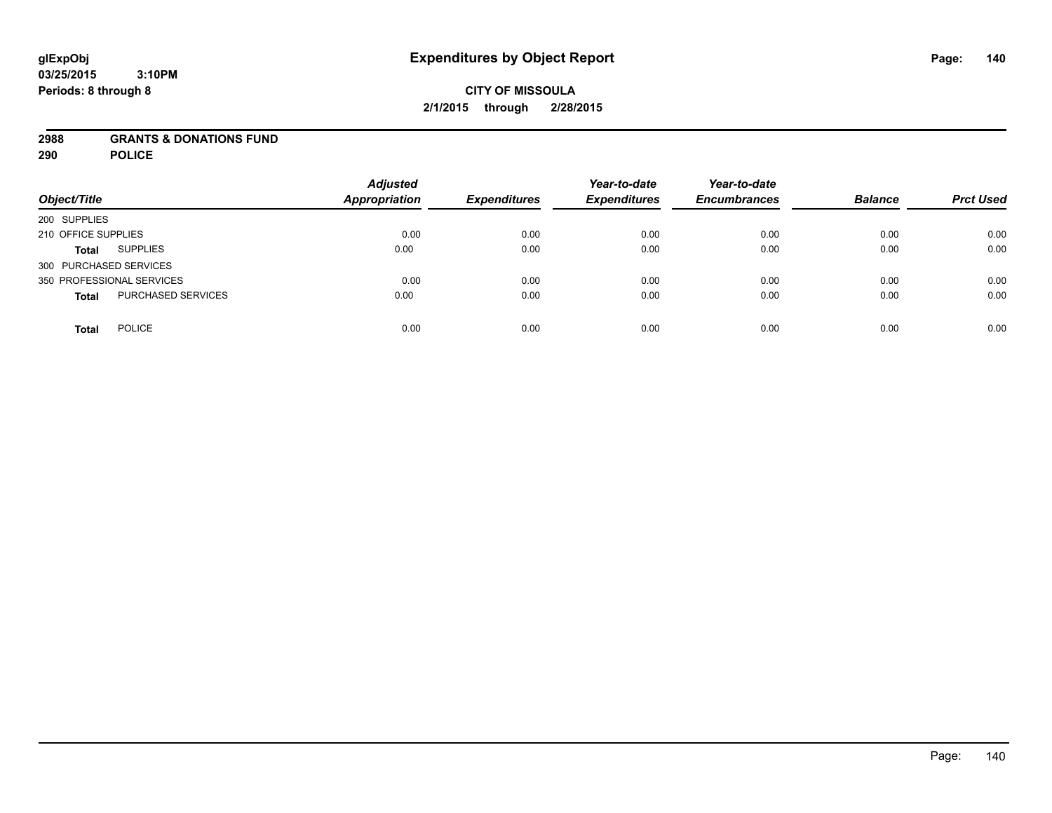### **2988 GRANTS & DONATIONS FUND**

**290 POLICE**

| Object/Title                       | <b>Adjusted</b><br><b>Appropriation</b> | <b>Expenditures</b> | Year-to-date<br><b>Expenditures</b> | Year-to-date<br><b>Encumbrances</b> | <b>Balance</b> | <b>Prct Used</b> |
|------------------------------------|-----------------------------------------|---------------------|-------------------------------------|-------------------------------------|----------------|------------------|
| 200 SUPPLIES                       |                                         |                     |                                     |                                     |                |                  |
| 210 OFFICE SUPPLIES                | 0.00                                    | 0.00                | 0.00                                | 0.00                                | 0.00           | 0.00             |
| <b>SUPPLIES</b><br><b>Total</b>    | 0.00                                    | 0.00                | 0.00                                | 0.00                                | 0.00           | 0.00             |
| 300 PURCHASED SERVICES             |                                         |                     |                                     |                                     |                |                  |
| 350 PROFESSIONAL SERVICES          | 0.00                                    | 0.00                | 0.00                                | 0.00                                | 0.00           | 0.00             |
| PURCHASED SERVICES<br><b>Total</b> | 0.00                                    | 0.00                | 0.00                                | 0.00                                | 0.00           | 0.00             |
| <b>POLICE</b><br><b>Total</b>      | 0.00                                    | 0.00                | 0.00                                | 0.00                                | 0.00           | 0.00             |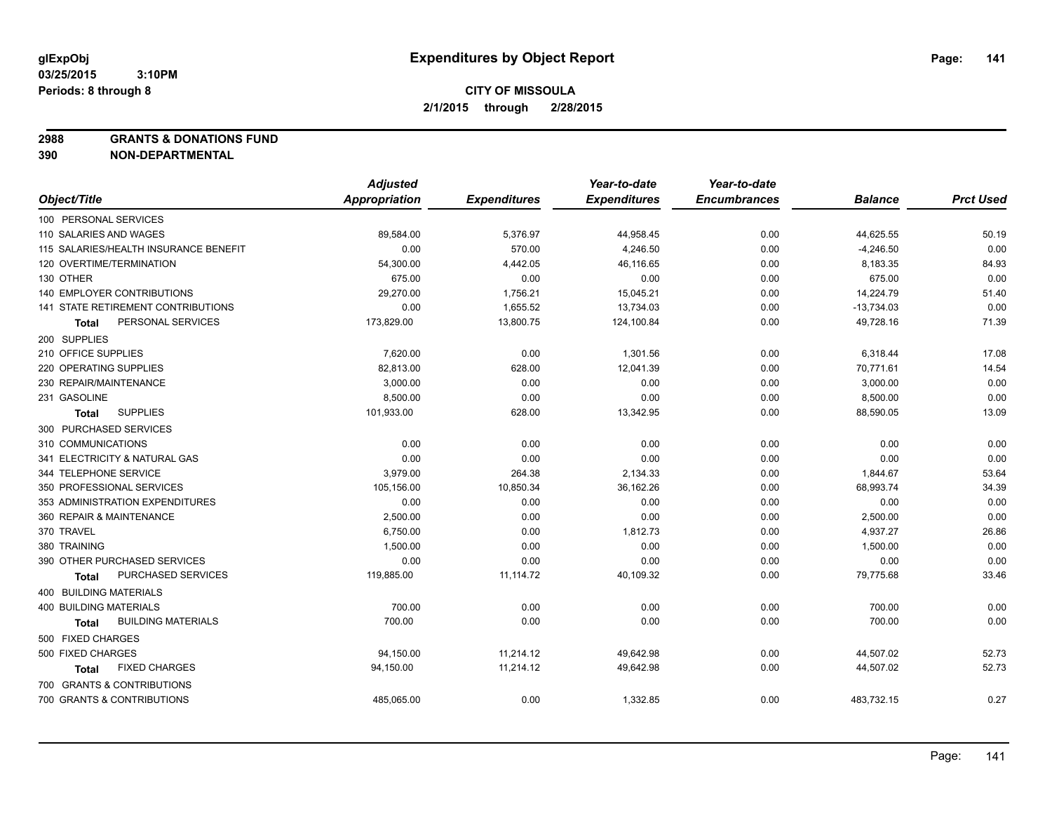**2988 GRANTS & DONATIONS FUND**

**390 NON-DEPARTMENTAL**

|                                           | <b>Adjusted</b>      |                     | Year-to-date        | Year-to-date        |                |                  |
|-------------------------------------------|----------------------|---------------------|---------------------|---------------------|----------------|------------------|
| Object/Title                              | <b>Appropriation</b> | <b>Expenditures</b> | <b>Expenditures</b> | <b>Encumbrances</b> | <b>Balance</b> | <b>Prct Used</b> |
| 100 PERSONAL SERVICES                     |                      |                     |                     |                     |                |                  |
| 110 SALARIES AND WAGES                    | 89,584.00            | 5,376.97            | 44,958.45           | 0.00                | 44,625.55      | 50.19            |
| 115 SALARIES/HEALTH INSURANCE BENEFIT     | 0.00                 | 570.00              | 4,246.50            | 0.00                | $-4,246.50$    | 0.00             |
| 120 OVERTIME/TERMINATION                  | 54,300.00            | 4,442.05            | 46,116.65           | 0.00                | 8,183.35       | 84.93            |
| 130 OTHER                                 | 675.00               | 0.00                | 0.00                | 0.00                | 675.00         | 0.00             |
| <b>140 EMPLOYER CONTRIBUTIONS</b>         | 29,270.00            | 1,756.21            | 15,045.21           | 0.00                | 14,224.79      | 51.40            |
| <b>141 STATE RETIREMENT CONTRIBUTIONS</b> | 0.00                 | 1,655.52            | 13,734.03           | 0.00                | $-13,734.03$   | 0.00             |
| PERSONAL SERVICES<br><b>Total</b>         | 173,829.00           | 13,800.75           | 124,100.84          | 0.00                | 49,728.16      | 71.39            |
| 200 SUPPLIES                              |                      |                     |                     |                     |                |                  |
| 210 OFFICE SUPPLIES                       | 7,620.00             | 0.00                | 1,301.56            | 0.00                | 6,318.44       | 17.08            |
| 220 OPERATING SUPPLIES                    | 82,813.00            | 628.00              | 12,041.39           | 0.00                | 70,771.61      | 14.54            |
| 230 REPAIR/MAINTENANCE                    | 3,000.00             | 0.00                | 0.00                | 0.00                | 3,000.00       | 0.00             |
| 231 GASOLINE                              | 8,500.00             | 0.00                | 0.00                | 0.00                | 8,500.00       | 0.00             |
| <b>SUPPLIES</b><br><b>Total</b>           | 101,933.00           | 628.00              | 13,342.95           | 0.00                | 88,590.05      | 13.09            |
| 300 PURCHASED SERVICES                    |                      |                     |                     |                     |                |                  |
| 310 COMMUNICATIONS                        | 0.00                 | 0.00                | 0.00                | 0.00                | 0.00           | 0.00             |
| 341 ELECTRICITY & NATURAL GAS             | 0.00                 | 0.00                | 0.00                | 0.00                | 0.00           | 0.00             |
| 344 TELEPHONE SERVICE                     | 3,979.00             | 264.38              | 2,134.33            | 0.00                | 1,844.67       | 53.64            |
| 350 PROFESSIONAL SERVICES                 | 105,156.00           | 10,850.34           | 36,162.26           | 0.00                | 68,993.74      | 34.39            |
| 353 ADMINISTRATION EXPENDITURES           | 0.00                 | 0.00                | 0.00                | 0.00                | 0.00           | 0.00             |
| 360 REPAIR & MAINTENANCE                  | 2,500.00             | 0.00                | 0.00                | 0.00                | 2,500.00       | 0.00             |
| 370 TRAVEL                                | 6,750.00             | 0.00                | 1,812.73            | 0.00                | 4,937.27       | 26.86            |
| 380 TRAINING                              | 1,500.00             | 0.00                | 0.00                | 0.00                | 1,500.00       | 0.00             |
| 390 OTHER PURCHASED SERVICES              | 0.00                 | 0.00                | 0.00                | 0.00                | 0.00           | 0.00             |
| PURCHASED SERVICES<br><b>Total</b>        | 119,885.00           | 11, 114.72          | 40,109.32           | 0.00                | 79,775.68      | 33.46            |
| 400 BUILDING MATERIALS                    |                      |                     |                     |                     |                |                  |
| <b>400 BUILDING MATERIALS</b>             | 700.00               | 0.00                | 0.00                | 0.00                | 700.00         | 0.00             |
| <b>BUILDING MATERIALS</b><br><b>Total</b> | 700.00               | 0.00                | 0.00                | 0.00                | 700.00         | 0.00             |
| 500 FIXED CHARGES                         |                      |                     |                     |                     |                |                  |
| 500 FIXED CHARGES                         | 94,150.00            | 11,214.12           | 49,642.98           | 0.00                | 44,507.02      | 52.73            |
| <b>FIXED CHARGES</b><br>Total             | 94,150.00            | 11,214.12           | 49,642.98           | 0.00                | 44,507.02      | 52.73            |
| 700 GRANTS & CONTRIBUTIONS                |                      |                     |                     |                     |                |                  |
| 700 GRANTS & CONTRIBUTIONS                | 485,065.00           | 0.00                | 1,332.85            | 0.00                | 483,732.15     | 0.27             |
|                                           |                      |                     |                     |                     |                |                  |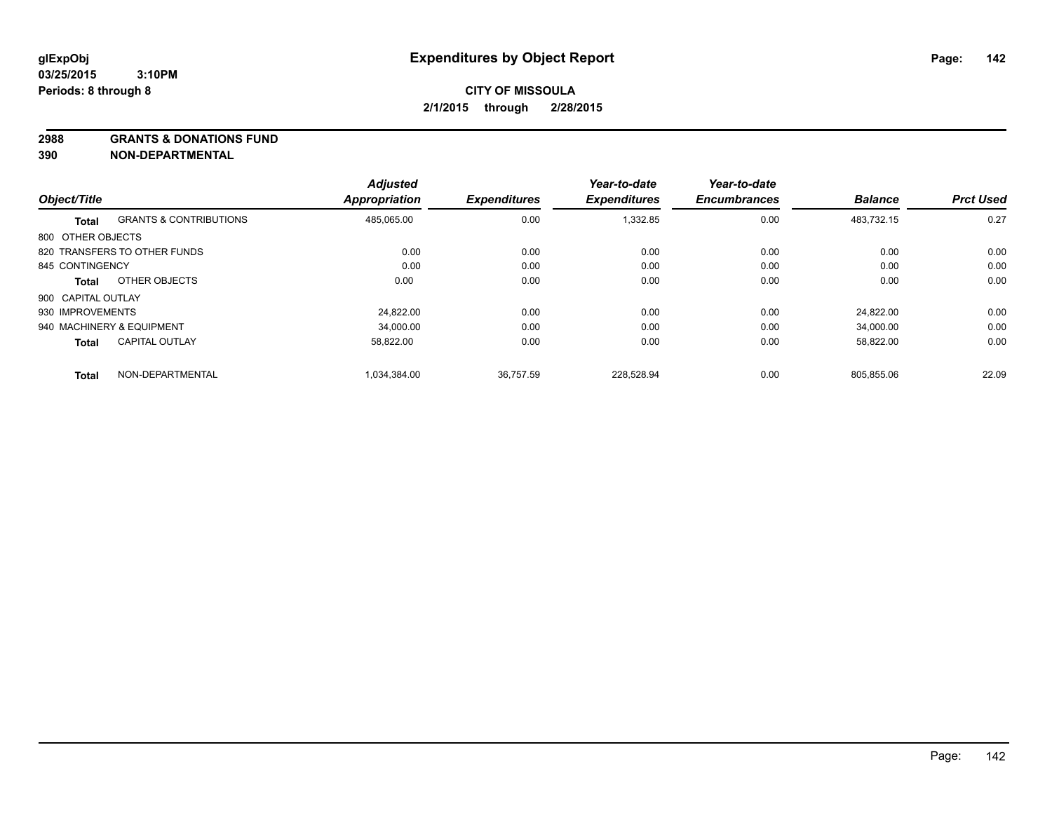**2988 GRANTS & DONATIONS FUND**

**390 NON-DEPARTMENTAL**

|                    |                                   | <b>Adjusted</b>      |                     | Year-to-date        | Year-to-date        |                |                  |
|--------------------|-----------------------------------|----------------------|---------------------|---------------------|---------------------|----------------|------------------|
| Object/Title       |                                   | <b>Appropriation</b> | <b>Expenditures</b> | <b>Expenditures</b> | <b>Encumbrances</b> | <b>Balance</b> | <b>Prct Used</b> |
| Total              | <b>GRANTS &amp; CONTRIBUTIONS</b> | 485,065.00           | 0.00                | 1,332.85            | 0.00                | 483,732.15     | 0.27             |
| 800 OTHER OBJECTS  |                                   |                      |                     |                     |                     |                |                  |
|                    | 820 TRANSFERS TO OTHER FUNDS      | 0.00                 | 0.00                | 0.00                | 0.00                | 0.00           | 0.00             |
| 845 CONTINGENCY    |                                   | 0.00                 | 0.00                | 0.00                | 0.00                | 0.00           | 0.00             |
| Total              | OTHER OBJECTS                     | 0.00                 | 0.00                | 0.00                | 0.00                | 0.00           | 0.00             |
| 900 CAPITAL OUTLAY |                                   |                      |                     |                     |                     |                |                  |
| 930 IMPROVEMENTS   |                                   | 24.822.00            | 0.00                | 0.00                | 0.00                | 24.822.00      | 0.00             |
|                    | 940 MACHINERY & EQUIPMENT         | 34.000.00            | 0.00                | 0.00                | 0.00                | 34.000.00      | 0.00             |
| <b>Total</b>       | <b>CAPITAL OUTLAY</b>             | 58,822.00            | 0.00                | 0.00                | 0.00                | 58,822.00      | 0.00             |
| <b>Total</b>       | NON-DEPARTMENTAL                  | 1.034.384.00         | 36.757.59           | 228.528.94          | 0.00                | 805.855.06     | 22.09            |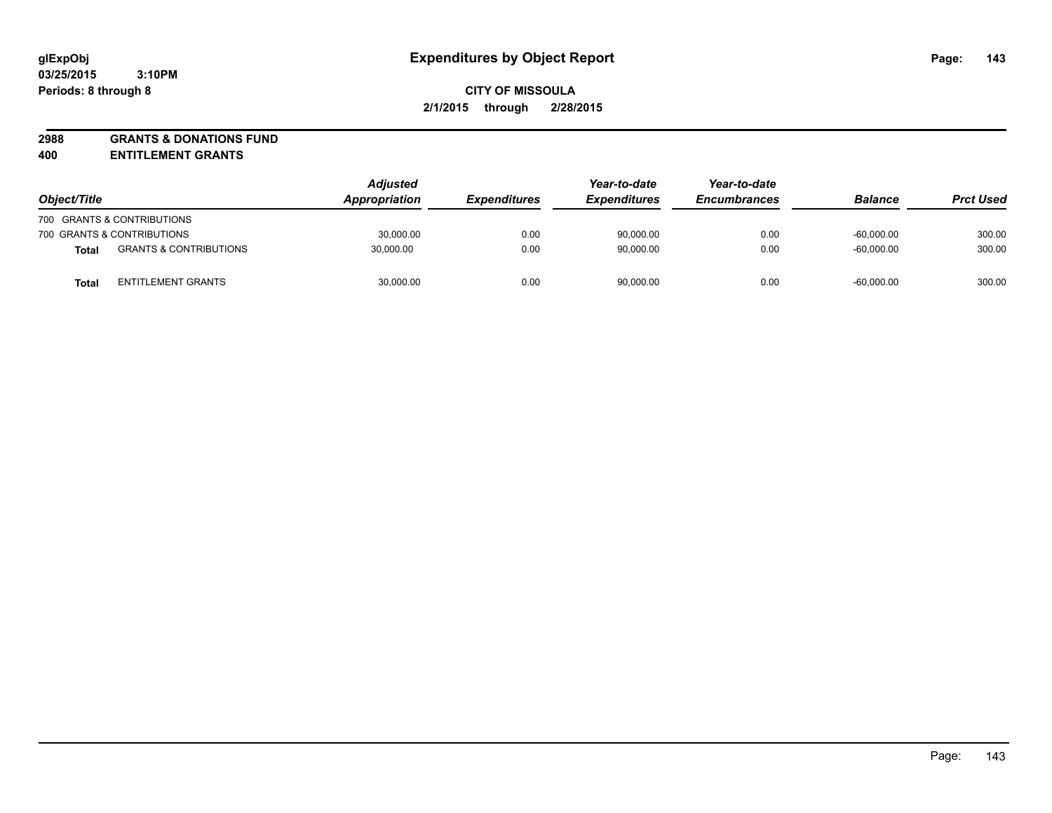# **2988 GRANTS & DONATIONS FUND**

**400 ENTITLEMENT GRANTS**

| Object/Title |                                   | Adjusted<br><b>Appropriation</b> | <i><b>Expenditures</b></i> | Year-to-date<br><b>Expenditures</b> | Year-to-date<br><b>Encumbrances</b> | <b>Balance</b> | <b>Prct Used</b> |
|--------------|-----------------------------------|----------------------------------|----------------------------|-------------------------------------|-------------------------------------|----------------|------------------|
|              | 700 GRANTS & CONTRIBUTIONS        |                                  |                            |                                     |                                     |                |                  |
|              | 700 GRANTS & CONTRIBUTIONS        | 30.000.00                        | 0.00                       | 90.000.00                           | 0.00                                | $-60.000.00$   | 300.00           |
| <b>Total</b> | <b>GRANTS &amp; CONTRIBUTIONS</b> | 30,000.00                        | 0.00                       | 90,000.00                           | 0.00                                | $-60,000.00$   | 300.00           |
| <b>Total</b> | <b>ENTITLEMENT GRANTS</b>         | 30,000.00                        | 0.00                       | 90,000.00                           | 0.00                                | $-60.000.00$   | 300.00           |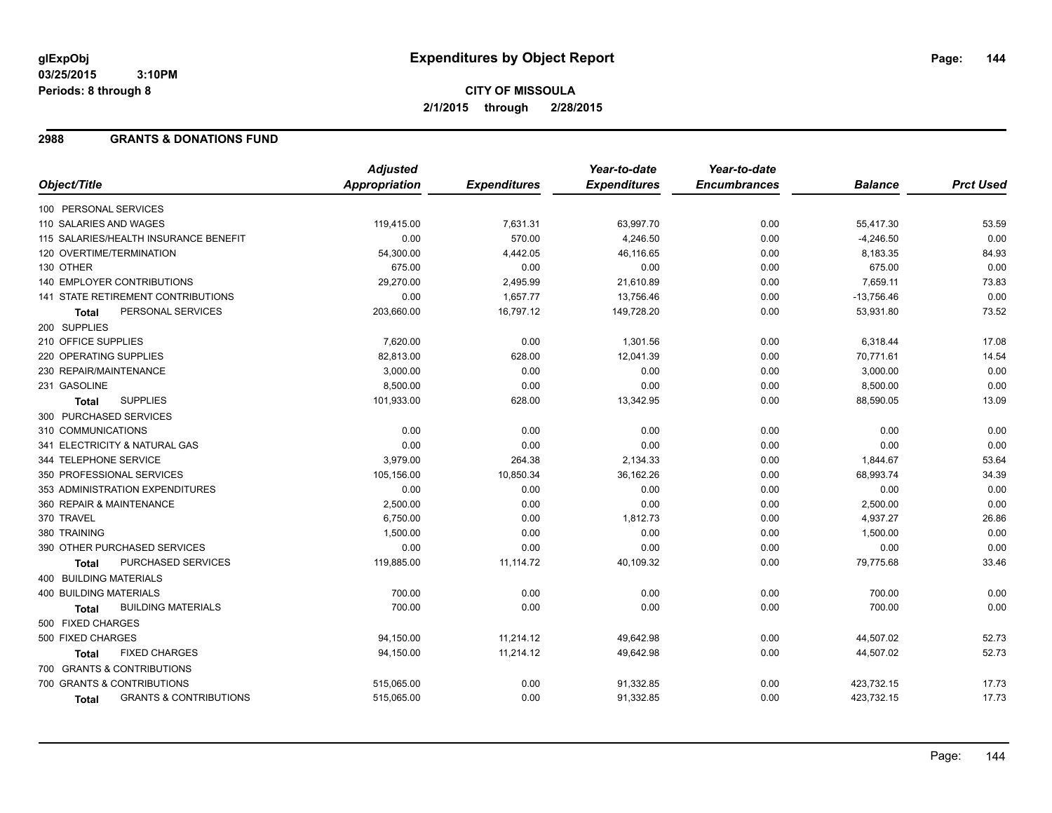**03/25/2015 3:10PM Periods: 8 through 8**

## **CITY OF MISSOULA 2/1/2015 through 2/28/2015**

### **2988 GRANTS & DONATIONS FUND**

|                                                   | <b>Adjusted</b>      |                     | Year-to-date        | Year-to-date        |                |                  |
|---------------------------------------------------|----------------------|---------------------|---------------------|---------------------|----------------|------------------|
| Object/Title                                      | <b>Appropriation</b> | <b>Expenditures</b> | <b>Expenditures</b> | <b>Encumbrances</b> | <b>Balance</b> | <b>Prct Used</b> |
| 100 PERSONAL SERVICES                             |                      |                     |                     |                     |                |                  |
| 110 SALARIES AND WAGES                            | 119,415.00           | 7,631.31            | 63,997.70           | 0.00                | 55,417.30      | 53.59            |
| 115 SALARIES/HEALTH INSURANCE BENEFIT             | 0.00                 | 570.00              | 4,246.50            | 0.00                | $-4,246.50$    | 0.00             |
| 120 OVERTIME/TERMINATION                          | 54,300.00            | 4,442.05            | 46,116.65           | 0.00                | 8,183.35       | 84.93            |
| 130 OTHER                                         | 675.00               | 0.00                | 0.00                | 0.00                | 675.00         | 0.00             |
| 140 EMPLOYER CONTRIBUTIONS                        | 29.270.00            | 2,495.99            | 21,610.89           | 0.00                | 7,659.11       | 73.83            |
| <b>141 STATE RETIREMENT CONTRIBUTIONS</b>         | 0.00                 | 1,657.77            | 13,756.46           | 0.00                | $-13,756.46$   | 0.00             |
| PERSONAL SERVICES<br><b>Total</b>                 | 203,660.00           | 16,797.12           | 149,728.20          | 0.00                | 53,931.80      | 73.52            |
| 200 SUPPLIES                                      |                      |                     |                     |                     |                |                  |
| 210 OFFICE SUPPLIES                               | 7,620.00             | 0.00                | 1,301.56            | 0.00                | 6,318.44       | 17.08            |
| 220 OPERATING SUPPLIES                            | 82,813.00            | 628.00              | 12,041.39           | 0.00                | 70,771.61      | 14.54            |
| 230 REPAIR/MAINTENANCE                            | 3,000.00             | 0.00                | 0.00                | 0.00                | 3,000.00       | 0.00             |
| 231 GASOLINE                                      | 8,500.00             | 0.00                | 0.00                | 0.00                | 8,500.00       | 0.00             |
| <b>SUPPLIES</b><br><b>Total</b>                   | 101,933.00           | 628.00              | 13,342.95           | 0.00                | 88,590.05      | 13.09            |
| 300 PURCHASED SERVICES                            |                      |                     |                     |                     |                |                  |
| 310 COMMUNICATIONS                                | 0.00                 | 0.00                | 0.00                | 0.00                | 0.00           | 0.00             |
| 341 ELECTRICITY & NATURAL GAS                     | 0.00                 | 0.00                | 0.00                | 0.00                | 0.00           | 0.00             |
| 344 TELEPHONE SERVICE                             | 3,979.00             | 264.38              | 2,134.33            | 0.00                | 1,844.67       | 53.64            |
| 350 PROFESSIONAL SERVICES                         | 105,156.00           | 10,850.34           | 36,162.26           | 0.00                | 68,993.74      | 34.39            |
| 353 ADMINISTRATION EXPENDITURES                   | 0.00                 | 0.00                | 0.00                | 0.00                | 0.00           | 0.00             |
| 360 REPAIR & MAINTENANCE                          | 2,500.00             | 0.00                | 0.00                | 0.00                | 2,500.00       | 0.00             |
| 370 TRAVEL                                        | 6,750.00             | 0.00                | 1,812.73            | 0.00                | 4,937.27       | 26.86            |
| 380 TRAINING                                      | 1,500.00             | 0.00                | 0.00                | 0.00                | 1,500.00       | 0.00             |
| 390 OTHER PURCHASED SERVICES                      | 0.00                 | 0.00                | 0.00                | 0.00                | 0.00           | 0.00             |
| PURCHASED SERVICES<br>Total                       | 119,885.00           | 11,114.72           | 40,109.32           | 0.00                | 79,775.68      | 33.46            |
| 400 BUILDING MATERIALS                            |                      |                     |                     |                     |                |                  |
| <b>400 BUILDING MATERIALS</b>                     | 700.00               | 0.00                | 0.00                | 0.00                | 700.00         | 0.00             |
| <b>BUILDING MATERIALS</b><br><b>Total</b>         | 700.00               | 0.00                | 0.00                | 0.00                | 700.00         | 0.00             |
| 500 FIXED CHARGES                                 |                      |                     |                     |                     |                |                  |
| 500 FIXED CHARGES                                 | 94,150.00            | 11,214.12           | 49,642.98           | 0.00                | 44,507.02      | 52.73            |
| <b>FIXED CHARGES</b><br>Total                     | 94,150.00            | 11,214.12           | 49,642.98           | 0.00                | 44,507.02      | 52.73            |
| 700 GRANTS & CONTRIBUTIONS                        |                      |                     |                     |                     |                |                  |
| 700 GRANTS & CONTRIBUTIONS                        | 515,065.00           | 0.00                | 91,332.85           | 0.00                | 423,732.15     | 17.73            |
| <b>GRANTS &amp; CONTRIBUTIONS</b><br><b>Total</b> | 515,065.00           | 0.00                | 91,332.85           | 0.00                | 423,732.15     | 17.73            |
|                                                   |                      |                     |                     |                     |                |                  |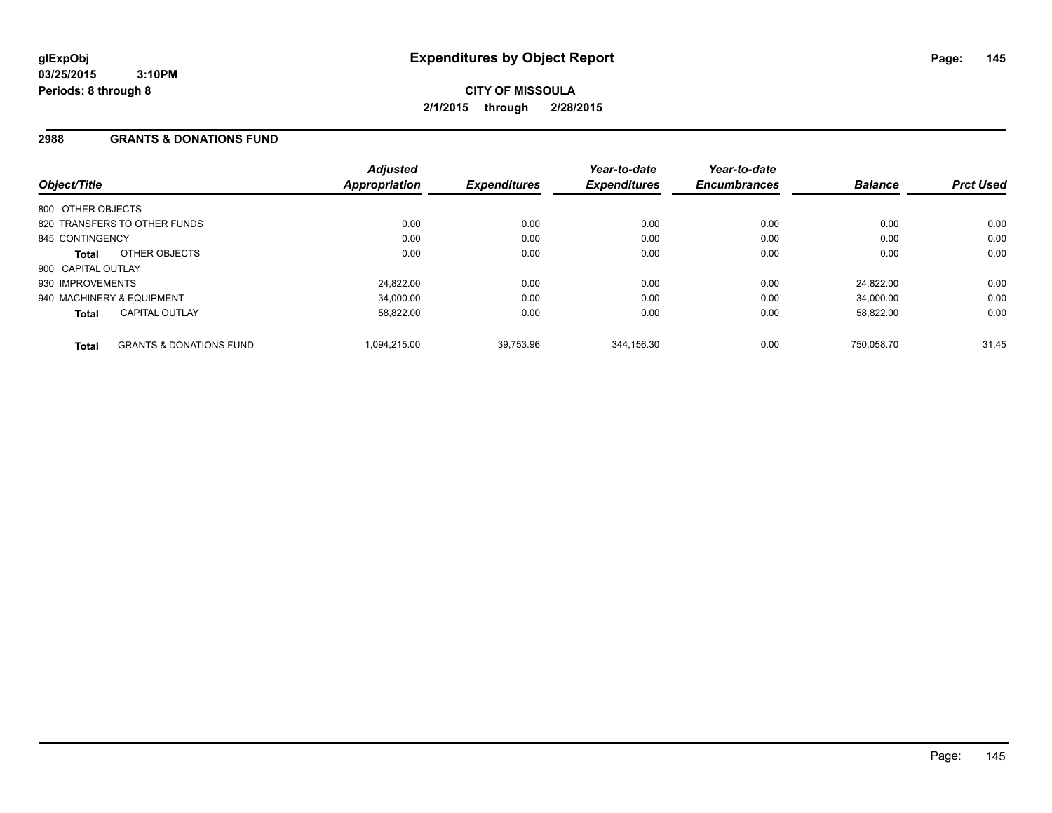#### **2988 GRANTS & DONATIONS FUND**

| Object/Title                 |                                    | <b>Adjusted</b><br><b>Appropriation</b> | <b>Expenditures</b> | Year-to-date<br><b>Expenditures</b> | Year-to-date<br><b>Encumbrances</b> | <b>Balance</b> | <b>Prct Used</b> |
|------------------------------|------------------------------------|-----------------------------------------|---------------------|-------------------------------------|-------------------------------------|----------------|------------------|
| 800 OTHER OBJECTS            |                                    |                                         |                     |                                     |                                     |                |                  |
| 820 TRANSFERS TO OTHER FUNDS |                                    | 0.00                                    | 0.00                | 0.00                                | 0.00                                | 0.00           | 0.00             |
| 845 CONTINGENCY              |                                    | 0.00                                    | 0.00                | 0.00                                | 0.00                                | 0.00           | 0.00             |
| Total                        | OTHER OBJECTS                      | 0.00                                    | 0.00                | 0.00                                | 0.00                                | 0.00           | 0.00             |
| 900 CAPITAL OUTLAY           |                                    |                                         |                     |                                     |                                     |                |                  |
| 930 IMPROVEMENTS             |                                    | 24,822.00                               | 0.00                | 0.00                                | 0.00                                | 24.822.00      | 0.00             |
| 940 MACHINERY & EQUIPMENT    |                                    | 34.000.00                               | 0.00                | 0.00                                | 0.00                                | 34.000.00      | 0.00             |
| <b>Total</b>                 | <b>CAPITAL OUTLAY</b>              | 58.822.00                               | 0.00                | 0.00                                | 0.00                                | 58,822.00      | 0.00             |
| <b>Total</b>                 | <b>GRANTS &amp; DONATIONS FUND</b> | 1.094.215.00                            | 39,753.96           | 344,156.30                          | 0.00                                | 750.058.70     | 31.45            |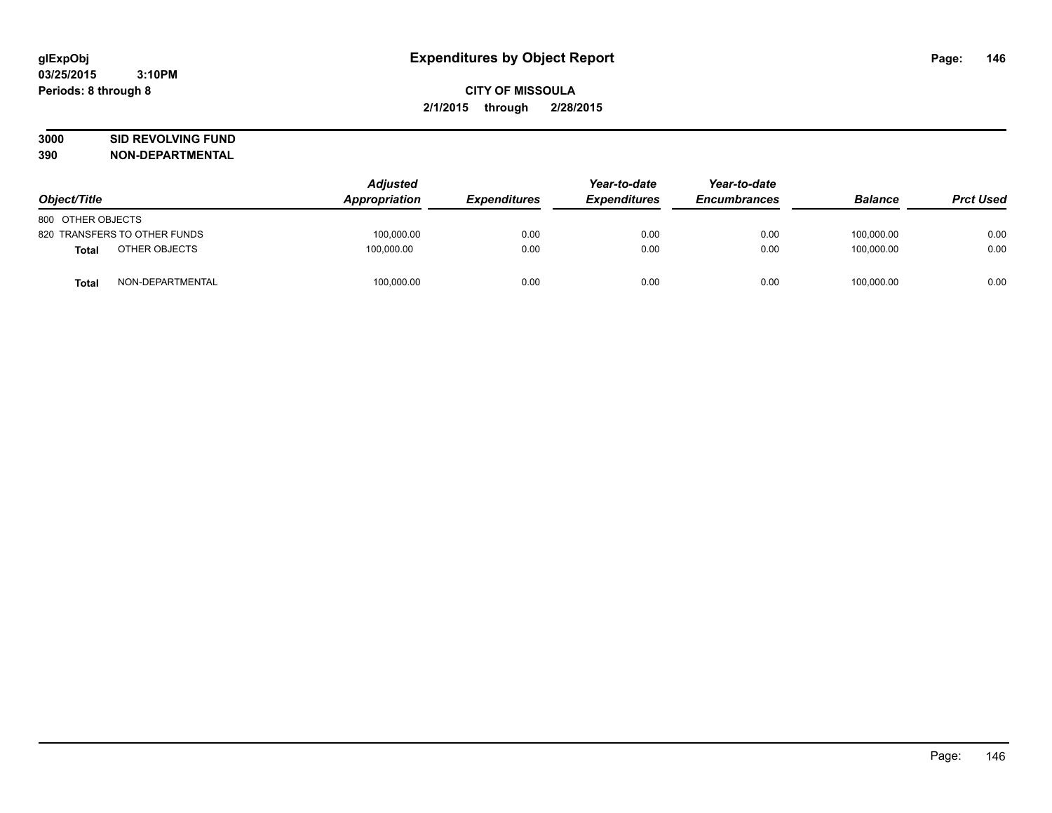# **3000 SID REVOLVING FUND**

| Object/Title      |                              | <b>Adjusted</b><br>Appropriation | <b>Expenditures</b> | Year-to-date<br><b>Expenditures</b> | Year-to-date<br><b>Encumbrances</b> | <b>Balance</b> | <b>Prct Used</b> |
|-------------------|------------------------------|----------------------------------|---------------------|-------------------------------------|-------------------------------------|----------------|------------------|
| 800 OTHER OBJECTS |                              |                                  |                     |                                     |                                     |                |                  |
|                   | 820 TRANSFERS TO OTHER FUNDS | 100.000.00                       | 0.00                | 0.00                                | 0.00                                | 100.000.00     | 0.00             |
| <b>Total</b>      | OTHER OBJECTS                | 100.000.00                       | 0.00                | 0.00                                | 0.00                                | 100.000.00     | 0.00             |
| <b>Total</b>      | NON-DEPARTMENTAL             | 100,000.00                       | 0.00                | 0.00                                | 0.00                                | 100,000.00     | 0.00             |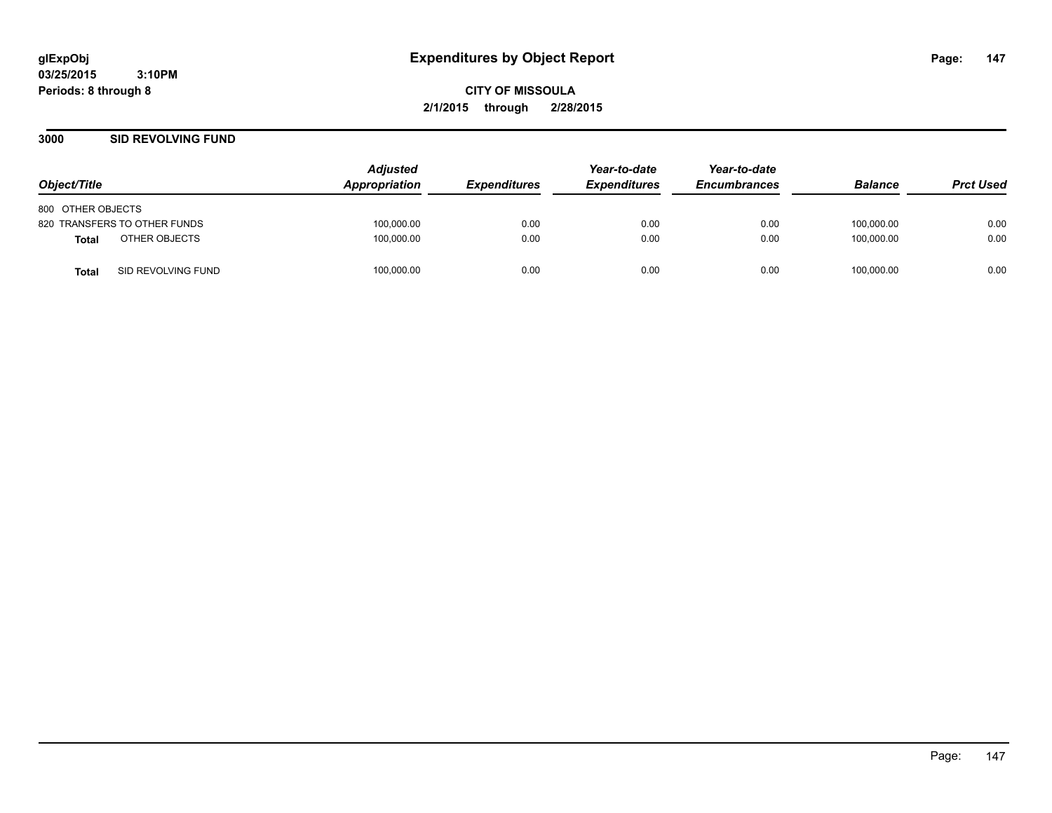**CITY OF MISSOULA 2/1/2015 through 2/28/2015**

#### **3000 SID REVOLVING FUND**

| Object/Title                       | <b>Adjusted</b><br>Appropriation | <i><b>Expenditures</b></i> | Year-to-date<br><b>Expenditures</b> | Year-to-date<br><b>Encumbrances</b> | <b>Balance</b> | <b>Prct Used</b> |
|------------------------------------|----------------------------------|----------------------------|-------------------------------------|-------------------------------------|----------------|------------------|
| 800 OTHER OBJECTS                  |                                  |                            |                                     |                                     |                |                  |
| 820 TRANSFERS TO OTHER FUNDS       | 100,000.00                       | 0.00                       | 0.00                                | 0.00                                | 100,000.00     | 0.00             |
| OTHER OBJECTS<br>Total             | 100,000.00                       | 0.00                       | 0.00                                | 0.00                                | 100.000.00     | 0.00             |
| SID REVOLVING FUND<br><b>Total</b> | 100,000.00                       | 0.00                       | 0.00                                | 0.00                                | 100,000.00     | 0.00             |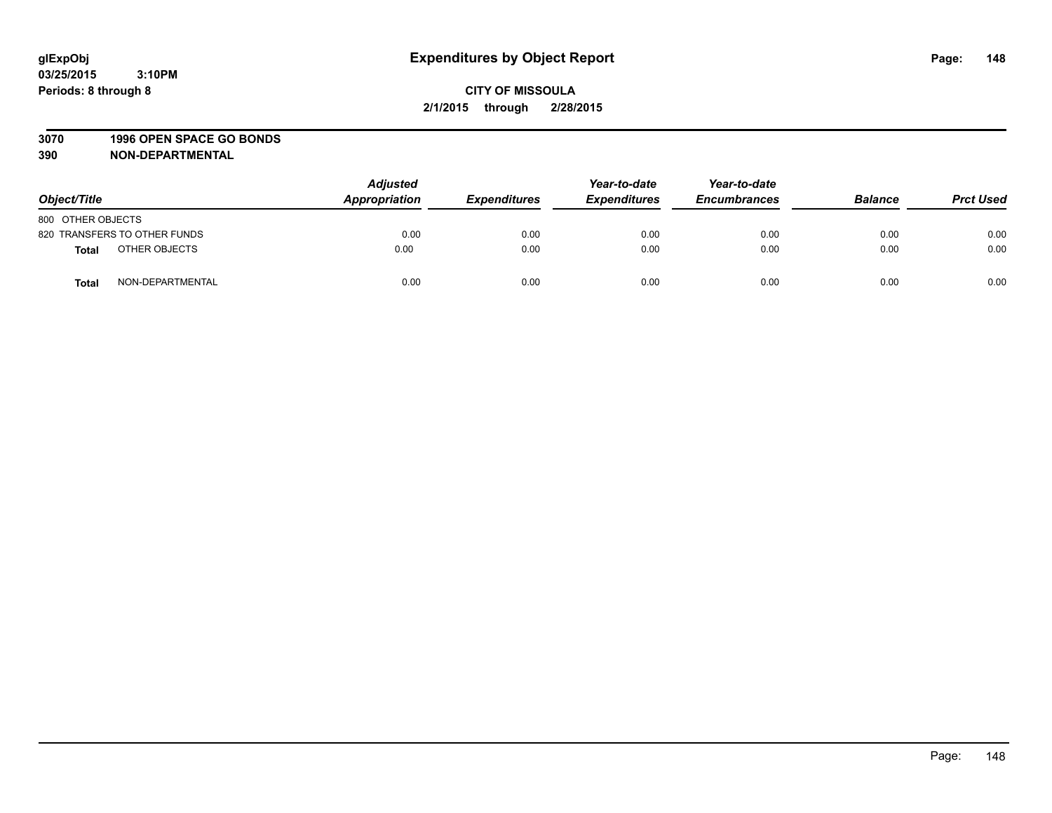#### **3070 1996 OPEN SPACE GO BONDS**

| Object/Title                 | <b>Adjusted</b><br>Appropriation | <b>Expenditures</b> | Year-to-date<br><b>Expenditures</b> | Year-to-date<br><b>Encumbrances</b> | <b>Balance</b> | <b>Prct Used</b> |
|------------------------------|----------------------------------|---------------------|-------------------------------------|-------------------------------------|----------------|------------------|
| 800 OTHER OBJECTS            |                                  |                     |                                     |                                     |                |                  |
| 820 TRANSFERS TO OTHER FUNDS | 0.00                             | 0.00                | 0.00                                | 0.00                                | 0.00           | 0.00             |
| OTHER OBJECTS<br>Total       | 0.00                             | 0.00                | 0.00                                | 0.00                                | 0.00           | 0.00             |
| NON-DEPARTMENTAL<br>Total    | 0.00                             | 0.00                | 0.00                                | 0.00                                | 0.00           | 0.00             |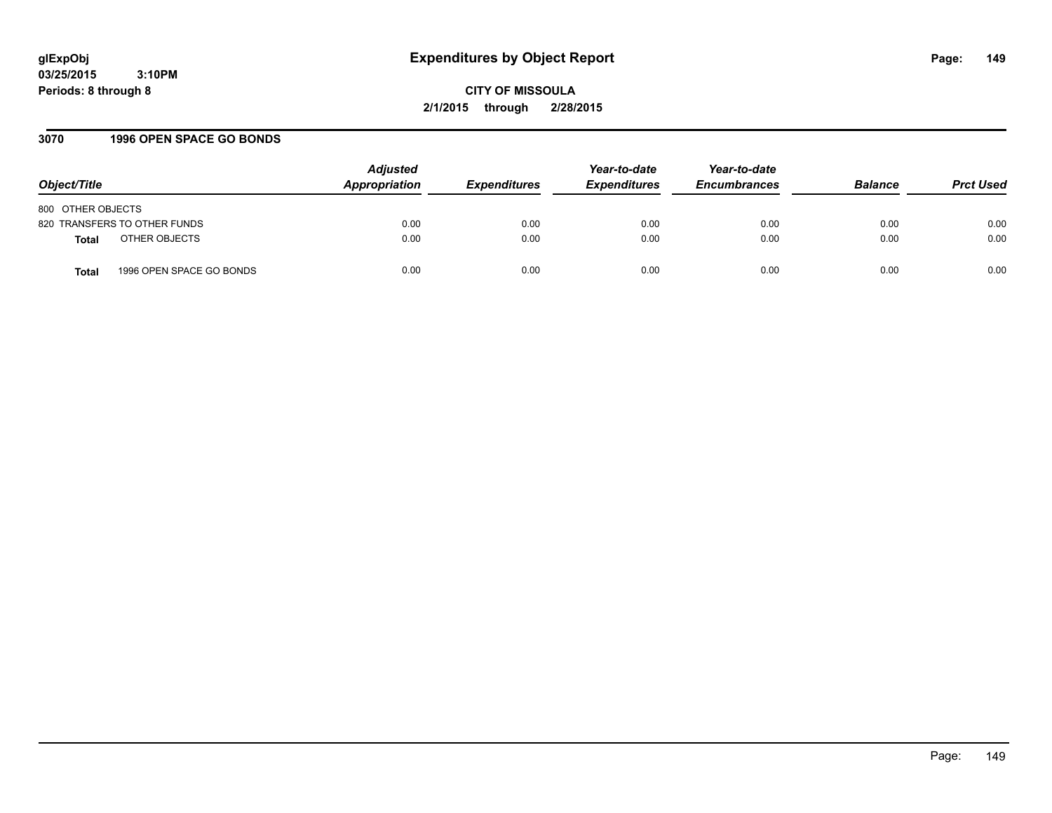## **glExpObj Expenditures by Object Report Page: 149**

**03/25/2015 3:10PM Periods: 8 through 8**

**CITY OF MISSOULA 2/1/2015 through 2/28/2015**

#### **3070 1996 OPEN SPACE GO BONDS**

| Object/Title                      | <b>Adjusted</b><br>Appropriation | <b>Expenditures</b> | Year-to-date<br><b>Expenditures</b> | Year-to-date<br><b>Encumbrances</b> | <b>Balance</b> | <b>Prct Used</b> |
|-----------------------------------|----------------------------------|---------------------|-------------------------------------|-------------------------------------|----------------|------------------|
| 800 OTHER OBJECTS                 |                                  |                     |                                     |                                     |                |                  |
| 820 TRANSFERS TO OTHER FUNDS      | 0.00                             | 0.00                | 0.00                                | 0.00                                | 0.00           | 0.00             |
| OTHER OBJECTS<br><b>Total</b>     | 0.00                             | 0.00                | 0.00                                | 0.00                                | 0.00           | 0.00             |
| 1996 OPEN SPACE GO BONDS<br>Total | 0.00                             | 0.00                | 0.00                                | 0.00                                | 0.00           | 0.00             |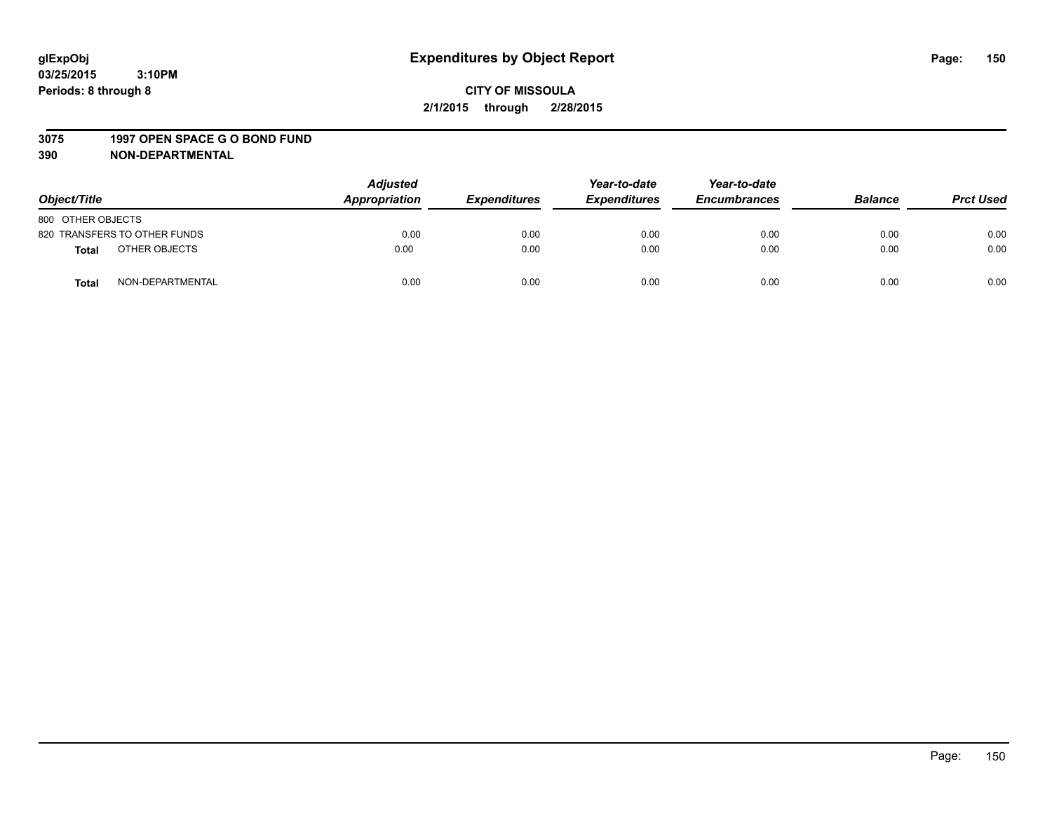#### **3075 1997 OPEN SPACE G O BOND FUND**

| Object/Title      |                              | <b>Adjusted</b><br>Appropriation | <b>Expenditures</b> | Year-to-date<br><b>Expenditures</b> | Year-to-date<br><b>Encumbrances</b> | <b>Balance</b> | <b>Prct Used</b> |
|-------------------|------------------------------|----------------------------------|---------------------|-------------------------------------|-------------------------------------|----------------|------------------|
| 800 OTHER OBJECTS |                              |                                  |                     |                                     |                                     |                |                  |
|                   | 820 TRANSFERS TO OTHER FUNDS | 0.00                             | 0.00                | 0.00                                | 0.00                                | 0.00           | 0.00             |
| <b>Total</b>      | OTHER OBJECTS                | 0.00                             | 0.00                | 0.00                                | 0.00                                | 0.00           | 0.00             |
| <b>Total</b>      | NON-DEPARTMENTAL             | 0.00                             | 0.00                | 0.00                                | 0.00                                | 0.00           | 0.00             |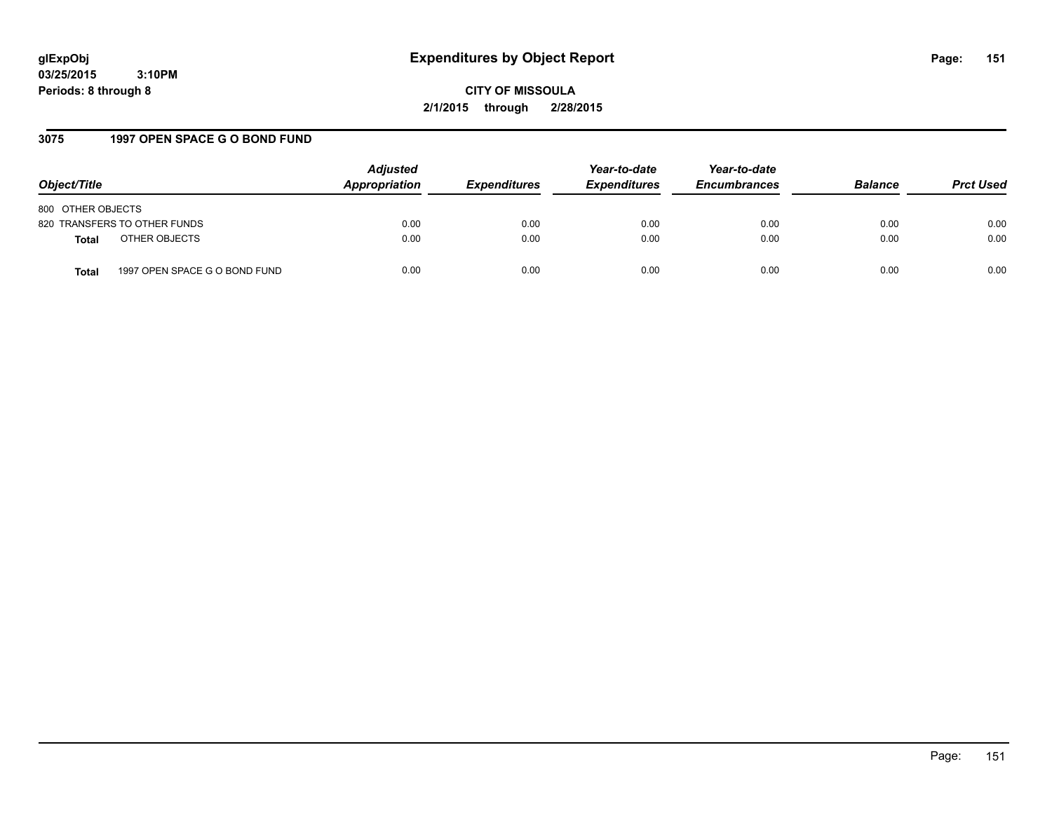## **glExpObj Expenditures by Object Report Page: 151**

**03/25/2015 3:10PM Periods: 8 through 8**

**CITY OF MISSOULA 2/1/2015 through 2/28/2015**

#### **3075 1997 OPEN SPACE G O BOND FUND**

| Object/Title                                  | <b>Adjusted</b><br>Appropriation | <b>Expenditures</b> | Year-to-date<br><b>Expenditures</b> | Year-to-date<br><b>Encumbrances</b> | <b>Balance</b> | <b>Prct Used</b> |
|-----------------------------------------------|----------------------------------|---------------------|-------------------------------------|-------------------------------------|----------------|------------------|
| 800 OTHER OBJECTS                             |                                  |                     |                                     |                                     |                |                  |
| 820 TRANSFERS TO OTHER FUNDS                  | 0.00                             | 0.00                | 0.00                                | 0.00                                | 0.00           | 0.00             |
| OTHER OBJECTS<br><b>Total</b>                 | 0.00                             | 0.00                | 0.00                                | 0.00                                | 0.00           | 0.00             |
| 1997 OPEN SPACE G O BOND FUND<br><b>Total</b> | 0.00                             | 0.00                | 0.00                                | 0.00                                | 0.00           | 0.00             |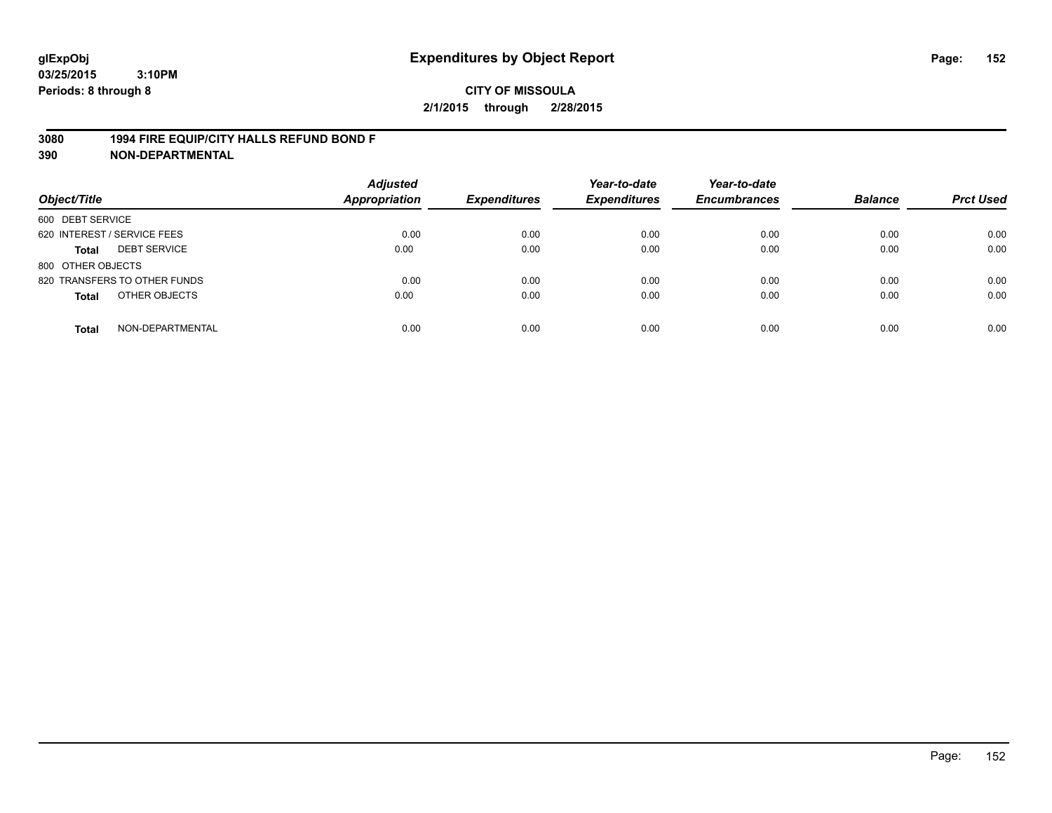#### **3080 1994 FIRE EQUIP/CITY HALLS REFUND BOND F**

| Object/Title                     | <b>Adjusted</b><br><b>Appropriation</b> | <b>Expenditures</b> | Year-to-date<br><b>Expenditures</b> | Year-to-date<br><b>Encumbrances</b> | <b>Balance</b> | <b>Prct Used</b> |
|----------------------------------|-----------------------------------------|---------------------|-------------------------------------|-------------------------------------|----------------|------------------|
| 600 DEBT SERVICE                 |                                         |                     |                                     |                                     |                |                  |
| 620 INTEREST / SERVICE FEES      | 0.00                                    | 0.00                | 0.00                                | 0.00                                | 0.00           | 0.00             |
| <b>DEBT SERVICE</b><br>Total     | 0.00                                    | 0.00                | 0.00                                | 0.00                                | 0.00           | 0.00             |
| 800 OTHER OBJECTS                |                                         |                     |                                     |                                     |                |                  |
| 820 TRANSFERS TO OTHER FUNDS     | 0.00                                    | 0.00                | 0.00                                | 0.00                                | 0.00           | 0.00             |
| OTHER OBJECTS<br><b>Total</b>    | 0.00                                    | 0.00                | 0.00                                | 0.00                                | 0.00           | 0.00             |
| NON-DEPARTMENTAL<br><b>Total</b> | 0.00                                    | 0.00                | 0.00                                | 0.00                                | 0.00           | 0.00             |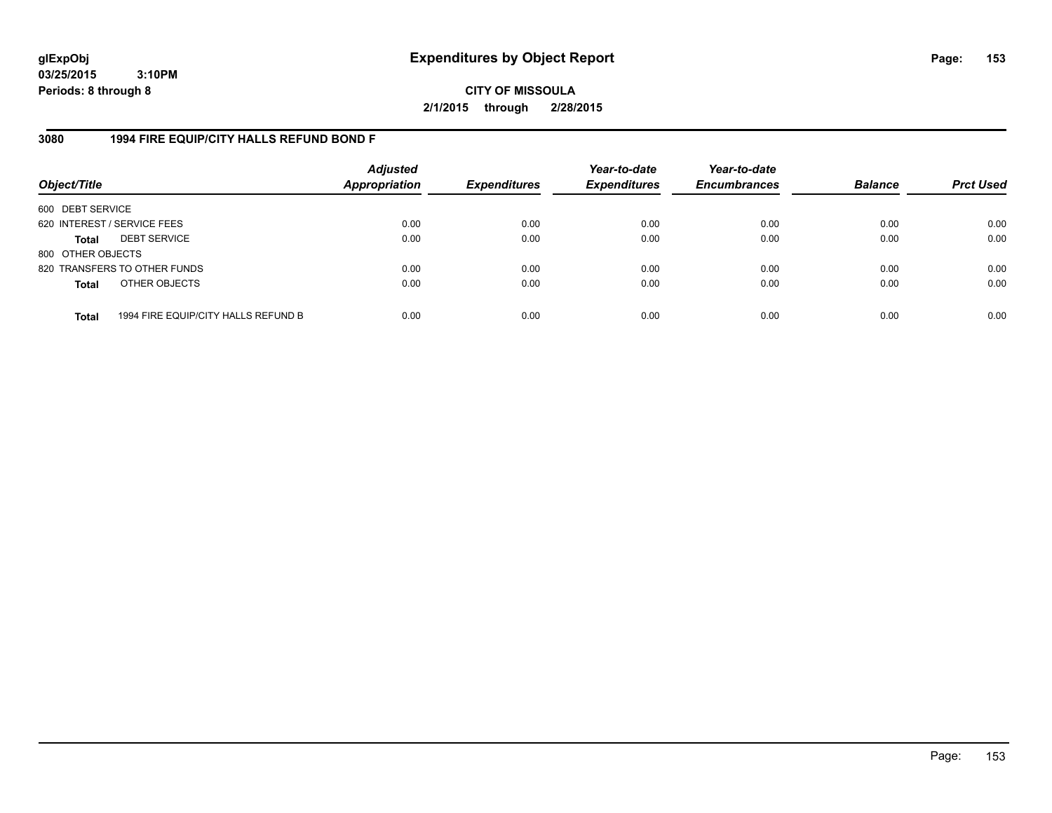**CITY OF MISSOULA 2/1/2015 through 2/28/2015**

#### **3080 1994 FIRE EQUIP/CITY HALLS REFUND BOND F**

| Object/Title                |                                     | <b>Adjusted</b><br>Appropriation | <b>Expenditures</b> | Year-to-date<br><b>Expenditures</b> | Year-to-date<br><b>Encumbrances</b> | <b>Balance</b> | <b>Prct Used</b> |
|-----------------------------|-------------------------------------|----------------------------------|---------------------|-------------------------------------|-------------------------------------|----------------|------------------|
| 600 DEBT SERVICE            |                                     |                                  |                     |                                     |                                     |                |                  |
| 620 INTEREST / SERVICE FEES |                                     | 0.00                             | 0.00                | 0.00                                | 0.00                                | 0.00           | 0.00             |
| <b>Total</b>                | <b>DEBT SERVICE</b>                 | 0.00                             | 0.00                | 0.00                                | 0.00                                | 0.00           | 0.00             |
| 800 OTHER OBJECTS           |                                     |                                  |                     |                                     |                                     |                |                  |
|                             | 820 TRANSFERS TO OTHER FUNDS        | 0.00                             | 0.00                | 0.00                                | 0.00                                | 0.00           | 0.00             |
| <b>Total</b>                | OTHER OBJECTS                       | 0.00                             | 0.00                | 0.00                                | 0.00                                | 0.00           | 0.00             |
| <b>Total</b>                | 1994 FIRE EQUIP/CITY HALLS REFUND B | 0.00                             | 0.00                | 0.00                                | 0.00                                | 0.00           | 0.00             |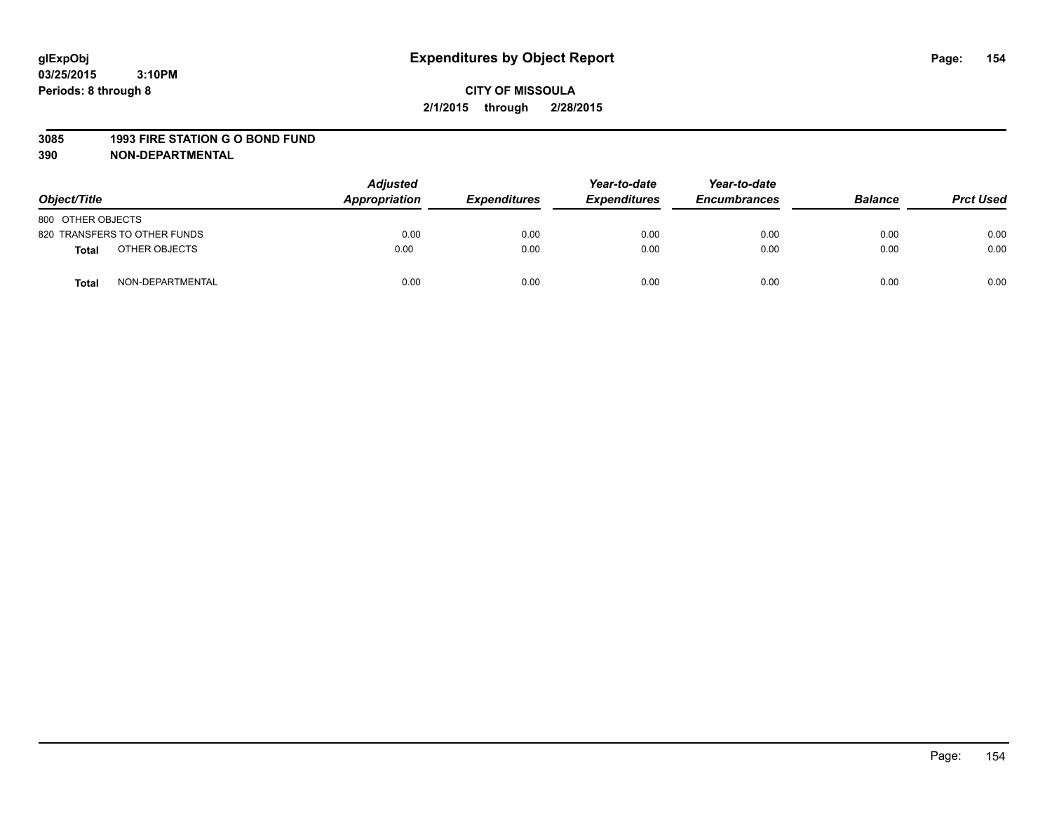#### **3085 1993 FIRE STATION G O BOND FUND**

| Object/Title      |                              | <b>Adjusted</b><br>Appropriation | <b>Expenditures</b> | Year-to-date<br><b>Expenditures</b> | Year-to-date<br><b>Encumbrances</b> | <b>Balance</b> | <b>Prct Used</b> |
|-------------------|------------------------------|----------------------------------|---------------------|-------------------------------------|-------------------------------------|----------------|------------------|
| 800 OTHER OBJECTS |                              |                                  |                     |                                     |                                     |                |                  |
|                   | 820 TRANSFERS TO OTHER FUNDS | 0.00                             | 0.00                | 0.00                                | 0.00                                | 0.00           | 0.00             |
| <b>Total</b>      | OTHER OBJECTS                | 0.00                             | 0.00                | 0.00                                | 0.00                                | 0.00           | 0.00             |
| <b>Total</b>      | NON-DEPARTMENTAL             | 0.00                             | 0.00                | 0.00                                | 0.00                                | 0.00           | 0.00             |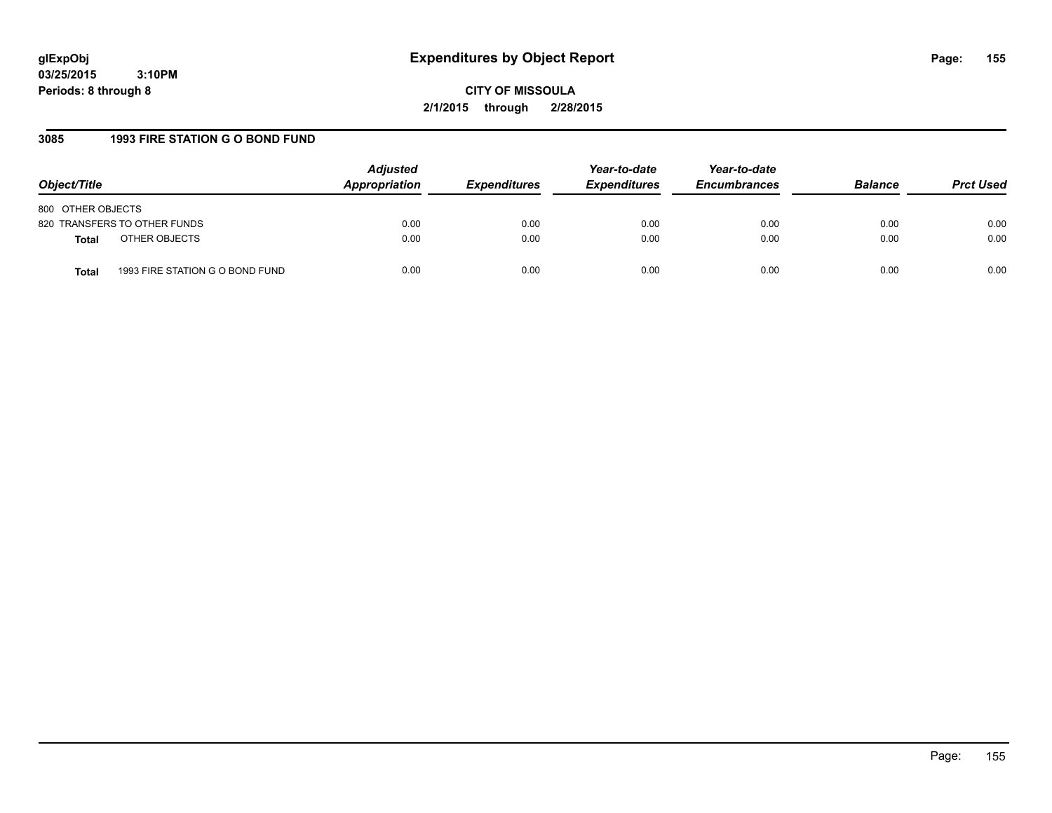## **glExpObj Expenditures by Object Report Page: 155**

**03/25/2015 3:10PM Periods: 8 through 8**

**CITY OF MISSOULA 2/1/2015 through 2/28/2015**

#### **3085 1993 FIRE STATION G O BOND FUND**

| Object/Title                                    | <b>Adjusted</b><br>Appropriation | <b>Expenditures</b> | Year-to-date<br><b>Expenditures</b> | Year-to-date<br><b>Encumbrances</b> | <b>Balance</b> | <b>Prct Used</b> |
|-------------------------------------------------|----------------------------------|---------------------|-------------------------------------|-------------------------------------|----------------|------------------|
| 800 OTHER OBJECTS                               |                                  |                     |                                     |                                     |                |                  |
| 820 TRANSFERS TO OTHER FUNDS                    | 0.00                             | 0.00                | 0.00                                | 0.00                                | 0.00           | 0.00             |
| OTHER OBJECTS<br><b>Total</b>                   | 0.00                             | 0.00                | 0.00                                | 0.00                                | 0.00           | 0.00             |
| 1993 FIRE STATION G O BOND FUND<br><b>Total</b> | 0.00                             | 0.00                | 0.00                                | 0.00                                | 0.00           | 0.00             |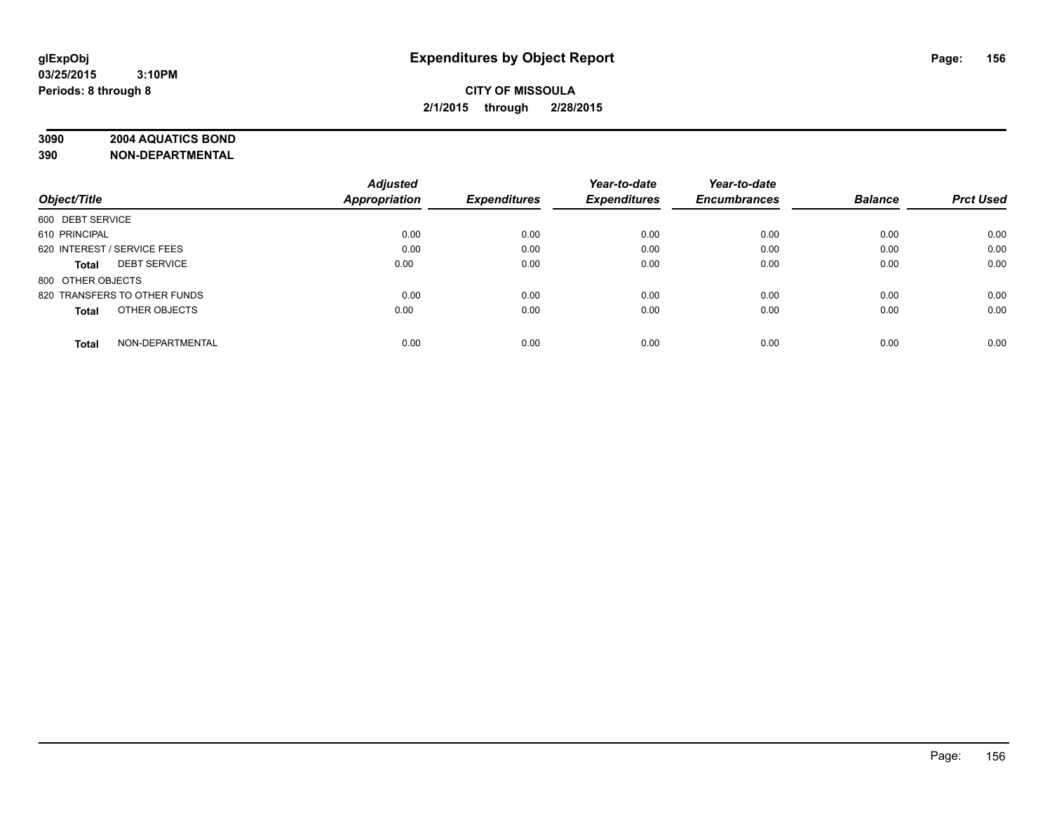## **3090 2004 AQUATICS BOND**

|                                     | <b>Adjusted</b>      |                     | Year-to-date        | Year-to-date        |                |                  |
|-------------------------------------|----------------------|---------------------|---------------------|---------------------|----------------|------------------|
| Object/Title                        | <b>Appropriation</b> | <b>Expenditures</b> | <b>Expenditures</b> | <b>Encumbrances</b> | <b>Balance</b> | <b>Prct Used</b> |
| 600 DEBT SERVICE                    |                      |                     |                     |                     |                |                  |
| 610 PRINCIPAL                       | 0.00                 | 0.00                | 0.00                | 0.00                | 0.00           | 0.00             |
| 620 INTEREST / SERVICE FEES         | 0.00                 | 0.00                | 0.00                | 0.00                | 0.00           | 0.00             |
| <b>DEBT SERVICE</b><br><b>Total</b> | 0.00                 | 0.00                | 0.00                | 0.00                | 0.00           | 0.00             |
| 800 OTHER OBJECTS                   |                      |                     |                     |                     |                |                  |
| 820 TRANSFERS TO OTHER FUNDS        | 0.00                 | 0.00                | 0.00                | 0.00                | 0.00           | 0.00             |
| OTHER OBJECTS<br><b>Total</b>       | 0.00                 | 0.00                | 0.00                | 0.00                | 0.00           | 0.00             |
| NON-DEPARTMENTAL<br><b>Total</b>    | 0.00                 | 0.00                | 0.00                | 0.00                | 0.00           | 0.00             |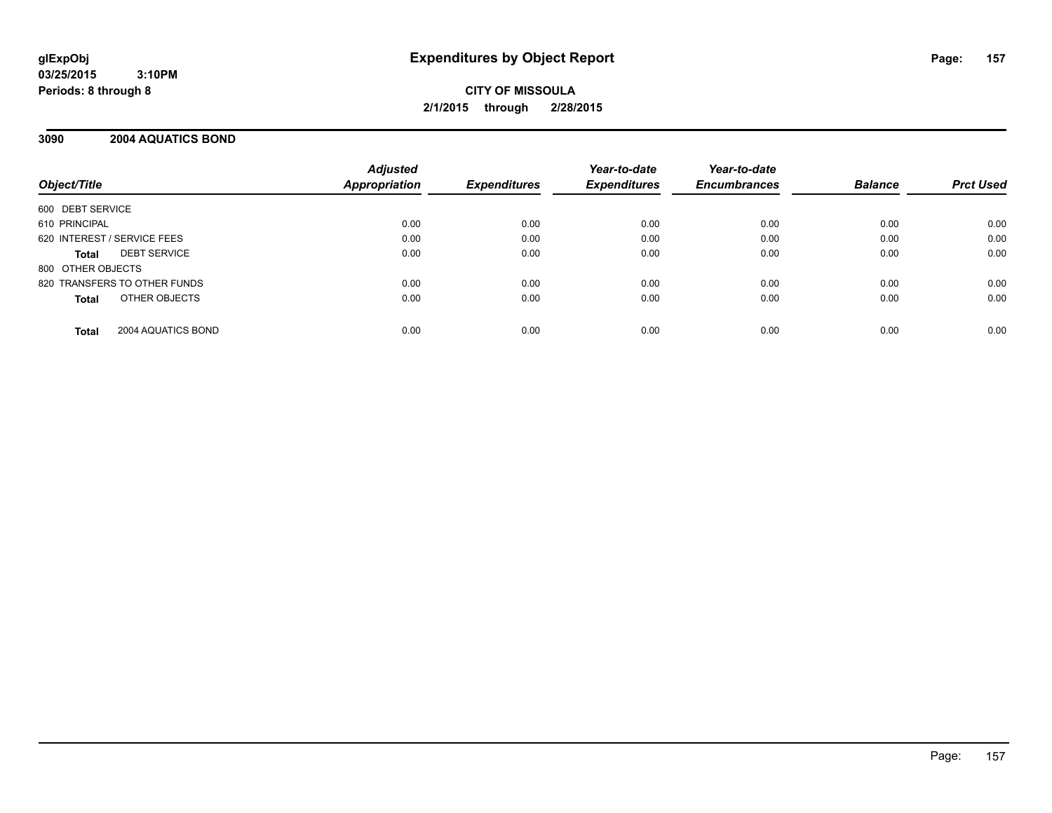**CITY OF MISSOULA 2/1/2015 through 2/28/2015**

#### **3090 2004 AQUATICS BOND**

| Object/Title                       | <b>Adjusted</b><br><b>Appropriation</b> | <b>Expenditures</b> | Year-to-date<br><b>Expenditures</b> | Year-to-date<br><b>Encumbrances</b> | <b>Balance</b> | <b>Prct Used</b> |
|------------------------------------|-----------------------------------------|---------------------|-------------------------------------|-------------------------------------|----------------|------------------|
|                                    |                                         |                     |                                     |                                     |                |                  |
| 600 DEBT SERVICE                   |                                         |                     |                                     |                                     |                |                  |
| 610 PRINCIPAL                      | 0.00                                    | 0.00                | 0.00                                | 0.00                                | 0.00           | 0.00             |
| 620 INTEREST / SERVICE FEES        | 0.00                                    | 0.00                | 0.00                                | 0.00                                | 0.00           | 0.00             |
| <b>DEBT SERVICE</b><br>Total       | 0.00                                    | 0.00                | 0.00                                | 0.00                                | 0.00           | 0.00             |
| 800 OTHER OBJECTS                  |                                         |                     |                                     |                                     |                |                  |
| 820 TRANSFERS TO OTHER FUNDS       | 0.00                                    | 0.00                | 0.00                                | 0.00                                | 0.00           | 0.00             |
| OTHER OBJECTS<br><b>Total</b>      | 0.00                                    | 0.00                | 0.00                                | 0.00                                | 0.00           | 0.00             |
| 2004 AQUATICS BOND<br><b>Total</b> | 0.00                                    | 0.00                | 0.00                                | 0.00                                | 0.00           | 0.00             |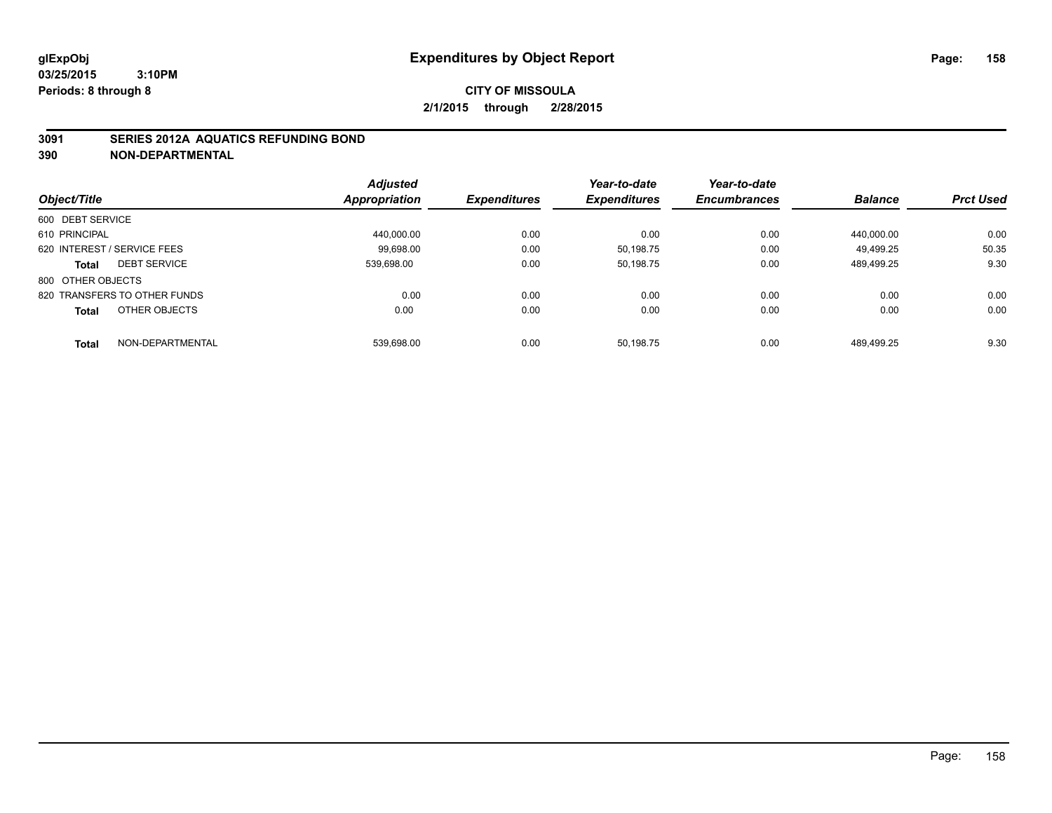#### **3091 SERIES 2012A AQUATICS REFUNDING BOND**

| Object/Title                        | <b>Adjusted</b><br><b>Appropriation</b> | <b>Expenditures</b> | Year-to-date<br><b>Expenditures</b> | Year-to-date<br><b>Encumbrances</b> | <b>Balance</b> | <b>Prct Used</b> |
|-------------------------------------|-----------------------------------------|---------------------|-------------------------------------|-------------------------------------|----------------|------------------|
| 600 DEBT SERVICE                    |                                         |                     |                                     |                                     |                |                  |
| 610 PRINCIPAL                       | 440.000.00                              | 0.00                | 0.00                                | 0.00                                | 440.000.00     | 0.00             |
| 620 INTEREST / SERVICE FEES         | 99.698.00                               | 0.00                | 50.198.75                           | 0.00                                | 49.499.25      | 50.35            |
| <b>DEBT SERVICE</b><br><b>Total</b> | 539.698.00                              | 0.00                | 50.198.75                           | 0.00                                | 489.499.25     | 9.30             |
| 800 OTHER OBJECTS                   |                                         |                     |                                     |                                     |                |                  |
| 820 TRANSFERS TO OTHER FUNDS        | 0.00                                    | 0.00                | 0.00                                | 0.00                                | 0.00           | 0.00             |
| OTHER OBJECTS<br><b>Total</b>       | 0.00                                    | 0.00                | 0.00                                | 0.00                                | 0.00           | 0.00             |
| NON-DEPARTMENTAL<br><b>Total</b>    | 539.698.00                              | 0.00                | 50.198.75                           | 0.00                                | 489.499.25     | 9.30             |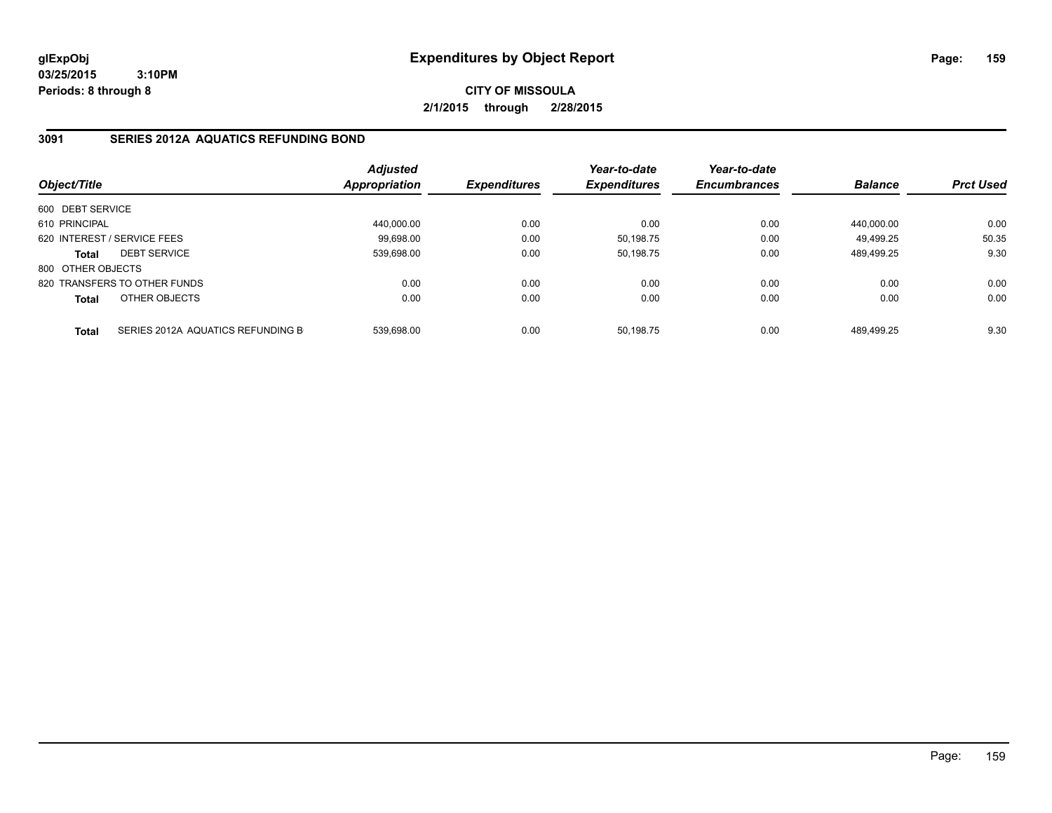**CITY OF MISSOULA 2/1/2015 through 2/28/2015**

#### **3091 SERIES 2012A AQUATICS REFUNDING BOND**

| Object/Title      |                                   | <b>Adjusted</b><br><b>Appropriation</b> | <b>Expenditures</b> | Year-to-date<br><b>Expenditures</b> | Year-to-date<br><b>Encumbrances</b> | <b>Balance</b> | <b>Prct Used</b> |
|-------------------|-----------------------------------|-----------------------------------------|---------------------|-------------------------------------|-------------------------------------|----------------|------------------|
| 600 DEBT SERVICE  |                                   |                                         |                     |                                     |                                     |                |                  |
| 610 PRINCIPAL     |                                   | 440.000.00                              | 0.00                | 0.00                                | 0.00                                | 440.000.00     | 0.00             |
|                   | 620 INTEREST / SERVICE FEES       | 99.698.00                               | 0.00                | 50,198.75                           | 0.00                                | 49.499.25      | 50.35            |
| <b>Total</b>      | <b>DEBT SERVICE</b>               | 539.698.00                              | 0.00                | 50.198.75                           | 0.00                                | 489.499.25     | 9.30             |
| 800 OTHER OBJECTS |                                   |                                         |                     |                                     |                                     |                |                  |
|                   | 820 TRANSFERS TO OTHER FUNDS      | 0.00                                    | 0.00                | 0.00                                | 0.00                                | 0.00           | 0.00             |
| <b>Total</b>      | OTHER OBJECTS                     | 0.00                                    | 0.00                | 0.00                                | 0.00                                | 0.00           | 0.00             |
| <b>Total</b>      | SERIES 2012A AQUATICS REFUNDING B | 539.698.00                              | 0.00                | 50.198.75                           | 0.00                                | 489.499.25     | 9.30             |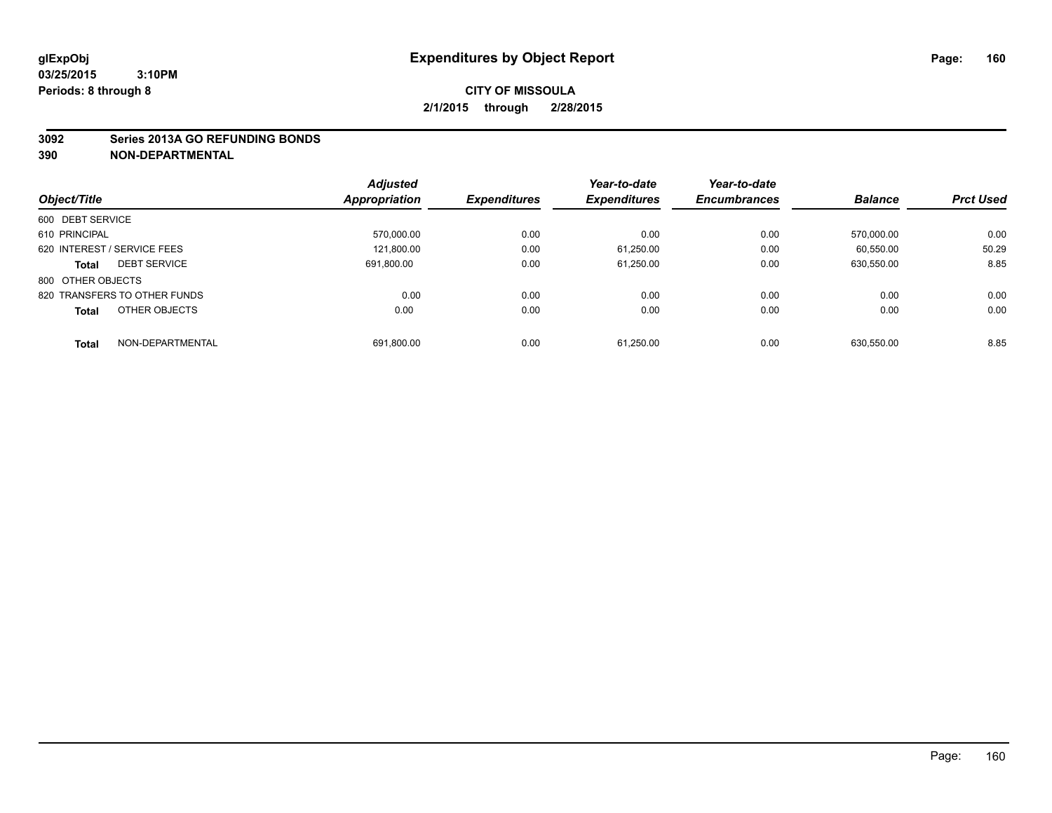#### **3092 Series 2013A GO REFUNDING BONDS**

|                                     | <b>Adjusted</b> |                     | Year-to-date        | Year-to-date        |                |                  |
|-------------------------------------|-----------------|---------------------|---------------------|---------------------|----------------|------------------|
| Object/Title                        | Appropriation   | <b>Expenditures</b> | <b>Expenditures</b> | <b>Encumbrances</b> | <b>Balance</b> | <b>Prct Used</b> |
| 600 DEBT SERVICE                    |                 |                     |                     |                     |                |                  |
| 610 PRINCIPAL                       | 570.000.00      | 0.00                | 0.00                | 0.00                | 570.000.00     | 0.00             |
| 620 INTEREST / SERVICE FEES         | 121.800.00      | 0.00                | 61.250.00           | 0.00                | 60.550.00      | 50.29            |
| <b>DEBT SERVICE</b><br><b>Total</b> | 691,800.00      | 0.00                | 61,250.00           | 0.00                | 630.550.00     | 8.85             |
| 800 OTHER OBJECTS                   |                 |                     |                     |                     |                |                  |
| 820 TRANSFERS TO OTHER FUNDS        | 0.00            | 0.00                | 0.00                | 0.00                | 0.00           | 0.00             |
| OTHER OBJECTS<br><b>Total</b>       | 0.00            | 0.00                | 0.00                | 0.00                | 0.00           | 0.00             |
| NON-DEPARTMENTAL<br><b>Total</b>    | 691,800.00      | 0.00                | 61.250.00           | 0.00                | 630.550.00     | 8.85             |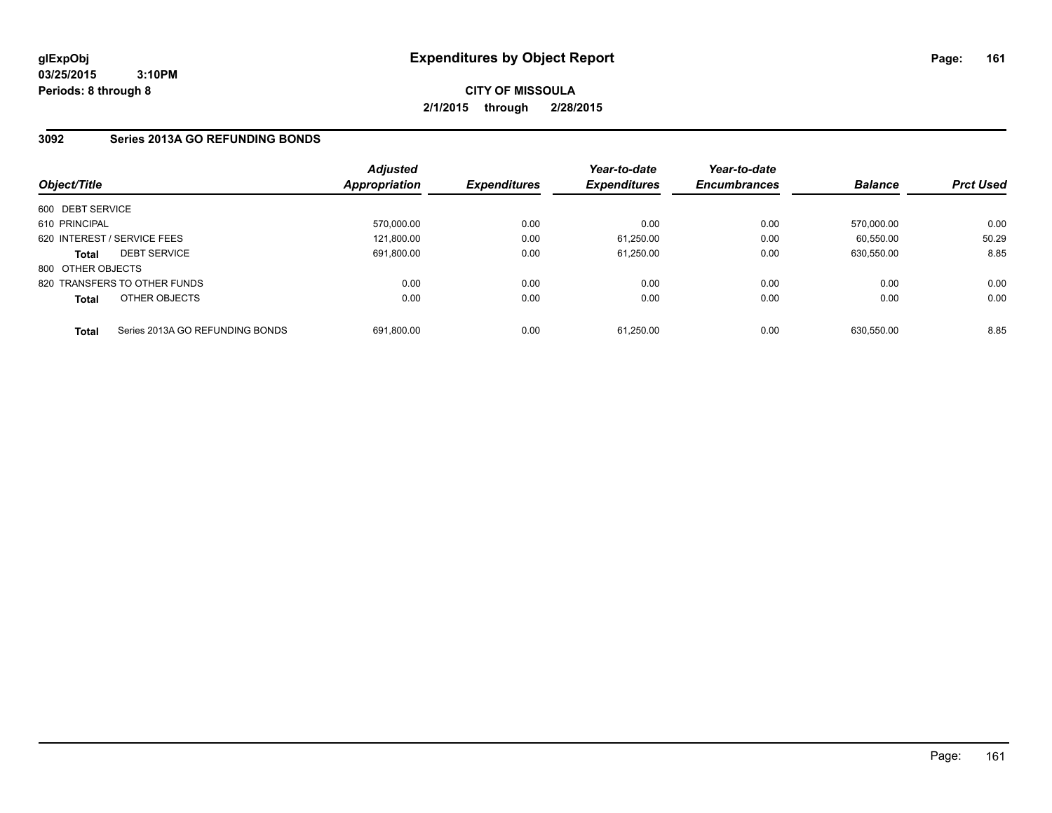**CITY OF MISSOULA 2/1/2015 through 2/28/2015**

#### **3092 Series 2013A GO REFUNDING BONDS**

| Object/Title      |                                 | <b>Adjusted</b><br>Appropriation | <b>Expenditures</b> | Year-to-date<br><b>Expenditures</b> | Year-to-date<br><b>Encumbrances</b> | <b>Balance</b> | <b>Prct Used</b> |
|-------------------|---------------------------------|----------------------------------|---------------------|-------------------------------------|-------------------------------------|----------------|------------------|
| 600 DEBT SERVICE  |                                 |                                  |                     |                                     |                                     |                |                  |
| 610 PRINCIPAL     |                                 | 570,000.00                       | 0.00                | 0.00                                | 0.00                                | 570.000.00     | 0.00             |
|                   | 620 INTEREST / SERVICE FEES     | 121,800.00                       | 0.00                | 61,250.00                           | 0.00                                | 60.550.00      | 50.29            |
| <b>Total</b>      | <b>DEBT SERVICE</b>             | 691.800.00                       | 0.00                | 61.250.00                           | 0.00                                | 630.550.00     | 8.85             |
| 800 OTHER OBJECTS |                                 |                                  |                     |                                     |                                     |                |                  |
|                   | 820 TRANSFERS TO OTHER FUNDS    | 0.00                             | 0.00                | 0.00                                | 0.00                                | 0.00           | 0.00             |
| <b>Total</b>      | OTHER OBJECTS                   | 0.00                             | 0.00                | 0.00                                | 0.00                                | 0.00           | 0.00             |
| <b>Total</b>      | Series 2013A GO REFUNDING BONDS | 691.800.00                       | 0.00                | 61.250.00                           | 0.00                                | 630.550.00     | 8.85             |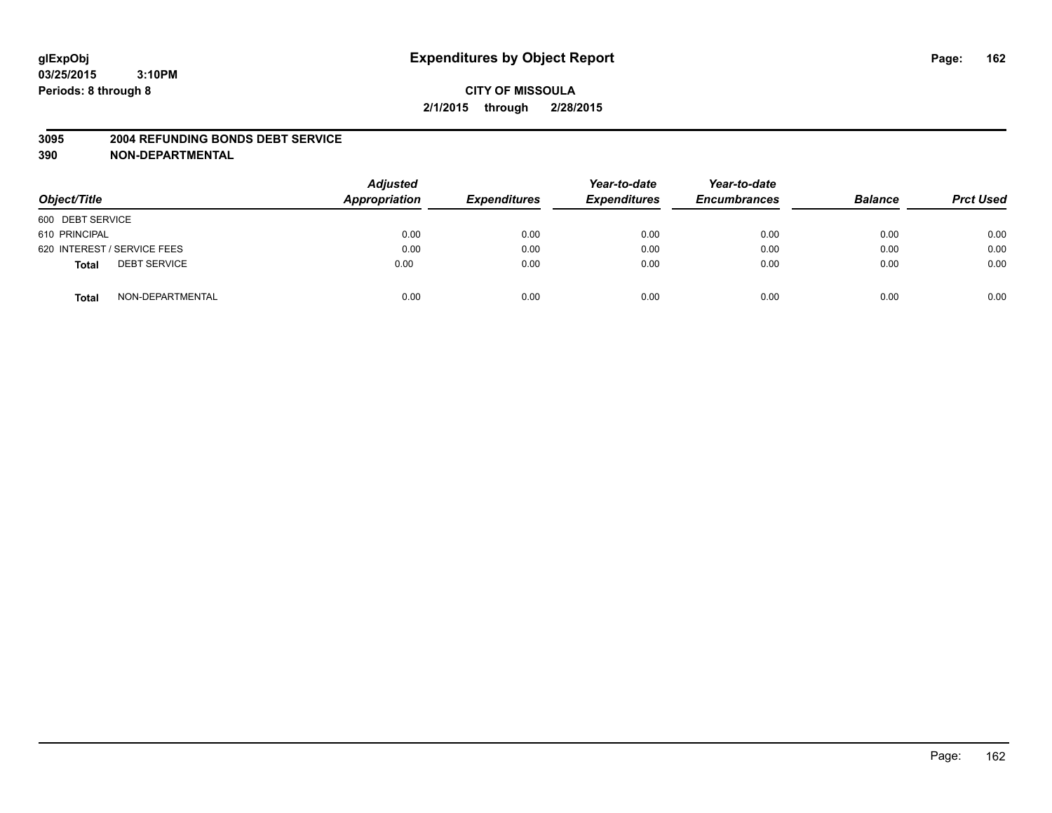#### **3095 2004 REFUNDING BONDS DEBT SERVICE**

| Object/Title                        | <b>Adjusted</b><br>Appropriation | <b>Expenditures</b> | Year-to-date<br><b>Expenditures</b> | Year-to-date<br><b>Encumbrances</b> | <b>Balance</b> | <b>Prct Used</b> |
|-------------------------------------|----------------------------------|---------------------|-------------------------------------|-------------------------------------|----------------|------------------|
| 600 DEBT SERVICE                    |                                  |                     |                                     |                                     |                |                  |
| 610 PRINCIPAL                       | 0.00                             | 0.00                | 0.00                                | 0.00                                | 0.00           | 0.00             |
| 620 INTEREST / SERVICE FEES         | 0.00                             | 0.00                | 0.00                                | 0.00                                | 0.00           | 0.00             |
| <b>DEBT SERVICE</b><br><b>Total</b> | 0.00                             | 0.00                | 0.00                                | 0.00                                | 0.00           | 0.00             |
| NON-DEPARTMENTAL<br><b>Total</b>    | 0.00                             | 0.00                | 0.00                                | 0.00                                | 0.00           | 0.00             |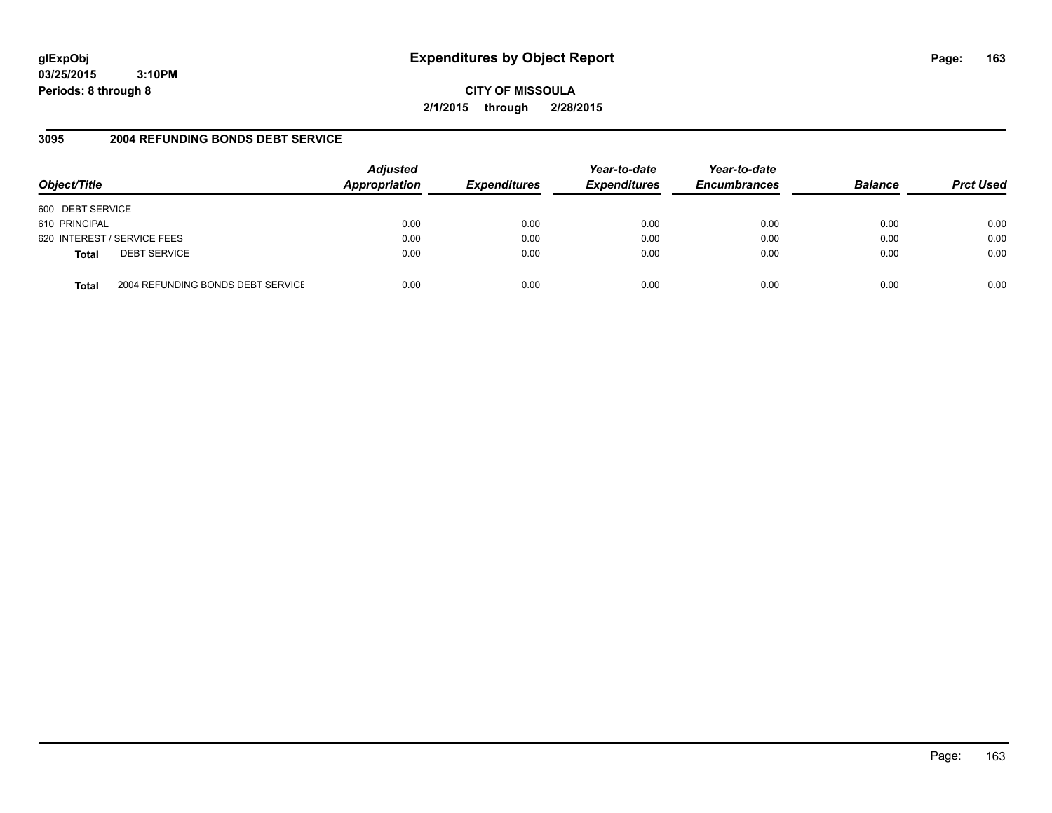## **glExpObj Expenditures by Object Report Page: 163**

**03/25/2015 3:10PM Periods: 8 through 8**

**CITY OF MISSOULA 2/1/2015 through 2/28/2015**

#### **3095 2004 REFUNDING BONDS DEBT SERVICE**

| Object/Title                                      | <b>Adjusted</b><br>Appropriation | <b>Expenditures</b> | Year-to-date<br><b>Expenditures</b> | Year-to-date<br><b>Encumbrances</b> | <b>Balance</b> | <b>Prct Used</b> |
|---------------------------------------------------|----------------------------------|---------------------|-------------------------------------|-------------------------------------|----------------|------------------|
| 600 DEBT SERVICE                                  |                                  |                     |                                     |                                     |                |                  |
| 610 PRINCIPAL                                     | 0.00                             | 0.00                | 0.00                                | 0.00                                | 0.00           | 0.00             |
| 620 INTEREST / SERVICE FEES                       | 0.00                             | 0.00                | 0.00                                | 0.00                                | 0.00           | 0.00             |
| <b>DEBT SERVICE</b><br><b>Total</b>               | 0.00                             | 0.00                | 0.00                                | 0.00                                | 0.00           | 0.00             |
| 2004 REFUNDING BONDS DEBT SERVICE<br><b>Total</b> | 0.00                             | 0.00                | 0.00                                | 0.00                                | 0.00           | 0.00             |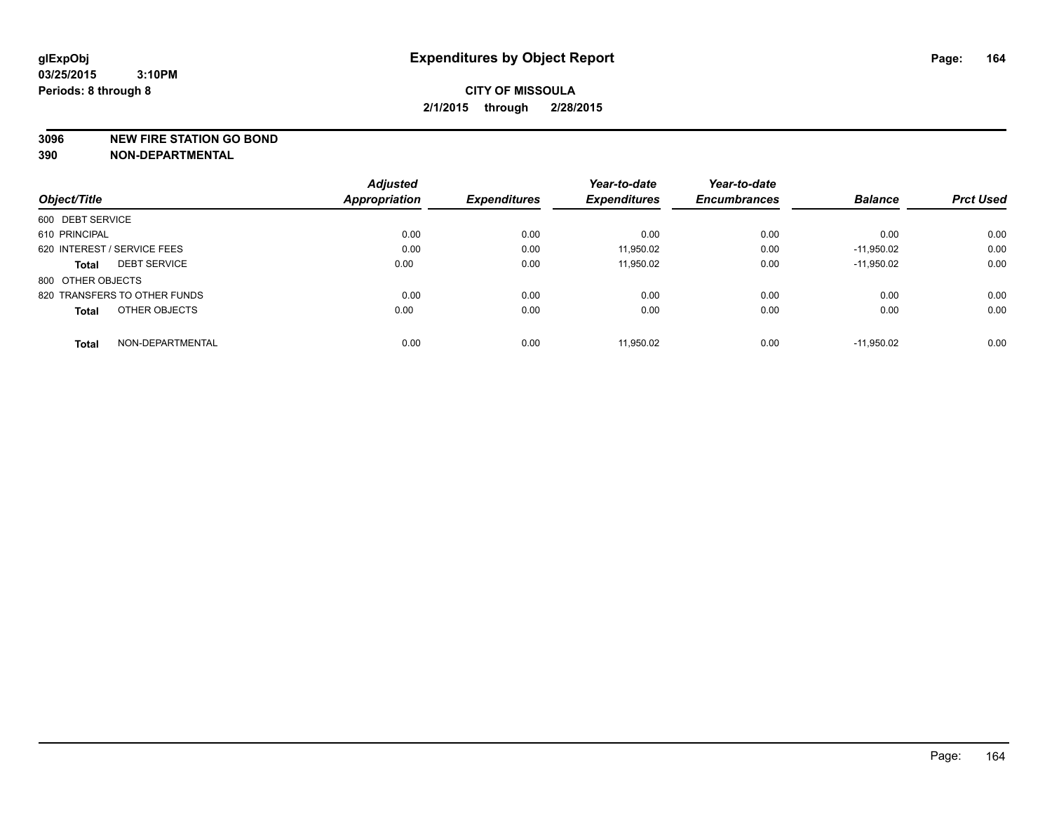#### **3096 NEW FIRE STATION GO BOND**

|                                     | <b>Adjusted</b>      |                     | Year-to-date        | Year-to-date        |                |                  |
|-------------------------------------|----------------------|---------------------|---------------------|---------------------|----------------|------------------|
| Object/Title                        | <b>Appropriation</b> | <b>Expenditures</b> | <b>Expenditures</b> | <b>Encumbrances</b> | <b>Balance</b> | <b>Prct Used</b> |
| 600 DEBT SERVICE                    |                      |                     |                     |                     |                |                  |
| 610 PRINCIPAL                       | 0.00                 | 0.00                | 0.00                | 0.00                | 0.00           | 0.00             |
| 620 INTEREST / SERVICE FEES         | 0.00                 | 0.00                | 11,950.02           | 0.00                | $-11.950.02$   | 0.00             |
| <b>DEBT SERVICE</b><br><b>Total</b> | 0.00                 | 0.00                | 11,950.02           | 0.00                | $-11,950.02$   | 0.00             |
| 800 OTHER OBJECTS                   |                      |                     |                     |                     |                |                  |
| 820 TRANSFERS TO OTHER FUNDS        | 0.00                 | 0.00                | 0.00                | 0.00                | 0.00           | 0.00             |
| OTHER OBJECTS<br><b>Total</b>       | 0.00                 | 0.00                | 0.00                | 0.00                | 0.00           | 0.00             |
| NON-DEPARTMENTAL<br><b>Total</b>    | 0.00                 | 0.00                | 11.950.02           | 0.00                | $-11.950.02$   | 0.00             |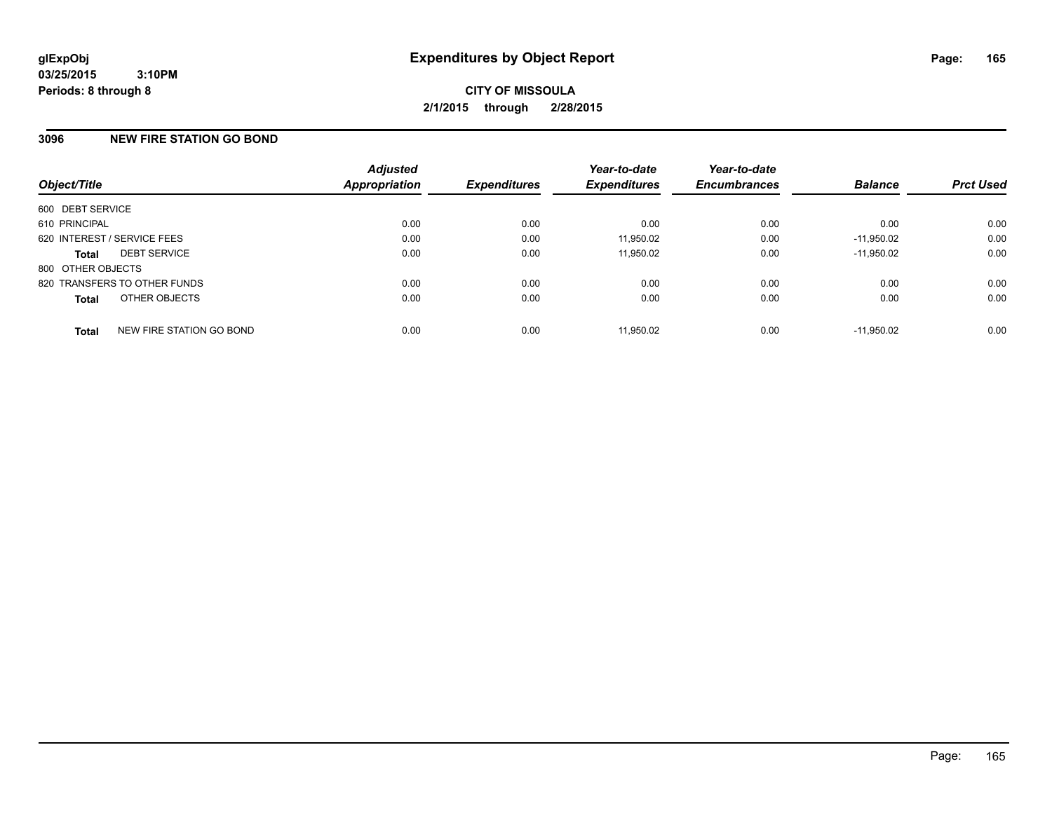#### **3096 NEW FIRE STATION GO BOND**

| Object/Title                             | <b>Adjusted</b><br>Appropriation | <b>Expenditures</b> | Year-to-date<br><b>Expenditures</b> | Year-to-date<br><b>Encumbrances</b> | <b>Balance</b> | <b>Prct Used</b> |
|------------------------------------------|----------------------------------|---------------------|-------------------------------------|-------------------------------------|----------------|------------------|
| 600 DEBT SERVICE                         |                                  |                     |                                     |                                     |                |                  |
| 610 PRINCIPAL                            | 0.00                             | 0.00                | 0.00                                | 0.00                                | 0.00           | 0.00             |
| 620 INTEREST / SERVICE FEES              | 0.00                             | 0.00                | 11,950.02                           | 0.00                                | $-11.950.02$   | 0.00             |
| <b>DEBT SERVICE</b><br><b>Total</b>      | 0.00                             | 0.00                | 11,950.02                           | 0.00                                | $-11,950.02$   | 0.00             |
| 800 OTHER OBJECTS                        |                                  |                     |                                     |                                     |                |                  |
| 820 TRANSFERS TO OTHER FUNDS             | 0.00                             | 0.00                | 0.00                                | 0.00                                | 0.00           | 0.00             |
| OTHER OBJECTS<br><b>Total</b>            | 0.00                             | 0.00                | 0.00                                | 0.00                                | 0.00           | 0.00             |
| NEW FIRE STATION GO BOND<br><b>Total</b> | 0.00                             | 0.00                | 11.950.02                           | 0.00                                | $-11.950.02$   | 0.00             |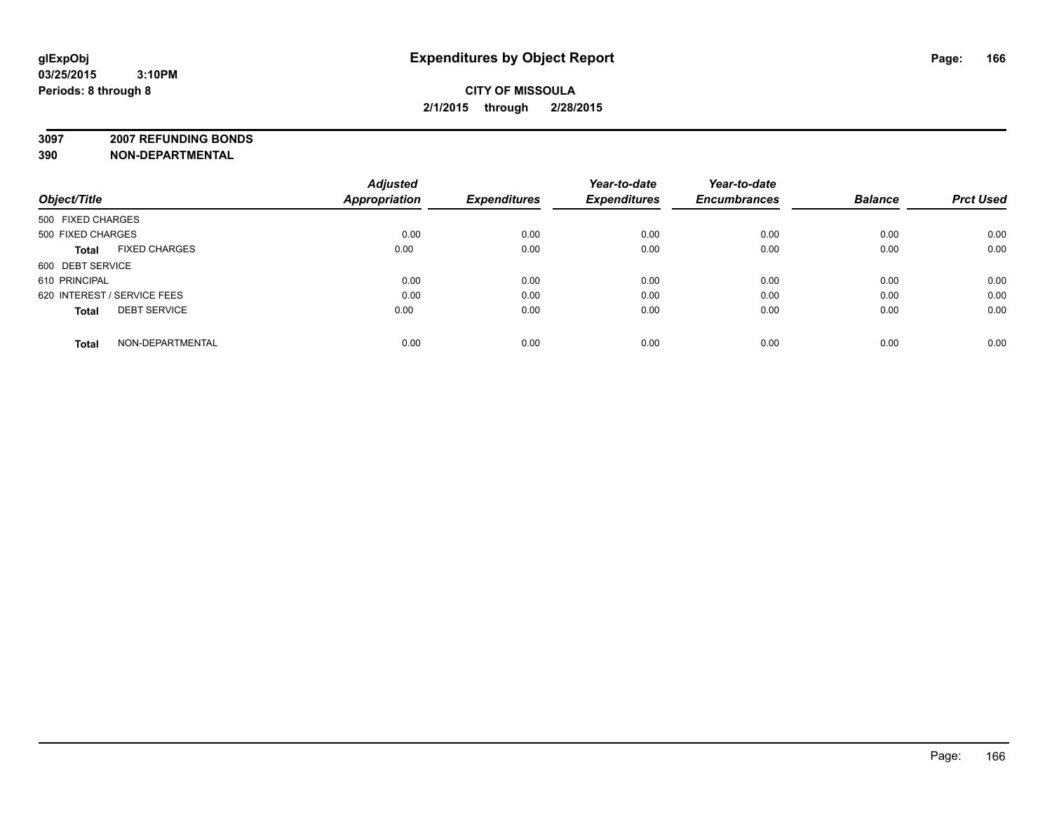**3097 2007 REFUNDING BONDS**

|                                      | <b>Adjusted</b>      |                     | Year-to-date        | Year-to-date        |                |                  |
|--------------------------------------|----------------------|---------------------|---------------------|---------------------|----------------|------------------|
| Object/Title                         | <b>Appropriation</b> | <b>Expenditures</b> | <b>Expenditures</b> | <b>Encumbrances</b> | <b>Balance</b> | <b>Prct Used</b> |
| 500 FIXED CHARGES                    |                      |                     |                     |                     |                |                  |
| 500 FIXED CHARGES                    | 0.00                 | 0.00                | 0.00                | 0.00                | 0.00           | 0.00             |
| <b>FIXED CHARGES</b><br><b>Total</b> | 0.00                 | 0.00                | 0.00                | 0.00                | 0.00           | 0.00             |
| 600 DEBT SERVICE                     |                      |                     |                     |                     |                |                  |
| 610 PRINCIPAL                        | 0.00                 | 0.00                | 0.00                | 0.00                | 0.00           | 0.00             |
| 620 INTEREST / SERVICE FEES          | 0.00                 | 0.00                | 0.00                | 0.00                | 0.00           | 0.00             |
| <b>DEBT SERVICE</b><br><b>Total</b>  | 0.00                 | 0.00                | 0.00                | 0.00                | 0.00           | 0.00             |
| NON-DEPARTMENTAL<br><b>Total</b>     | 0.00                 | 0.00                | 0.00                | 0.00                | 0.00           | 0.00             |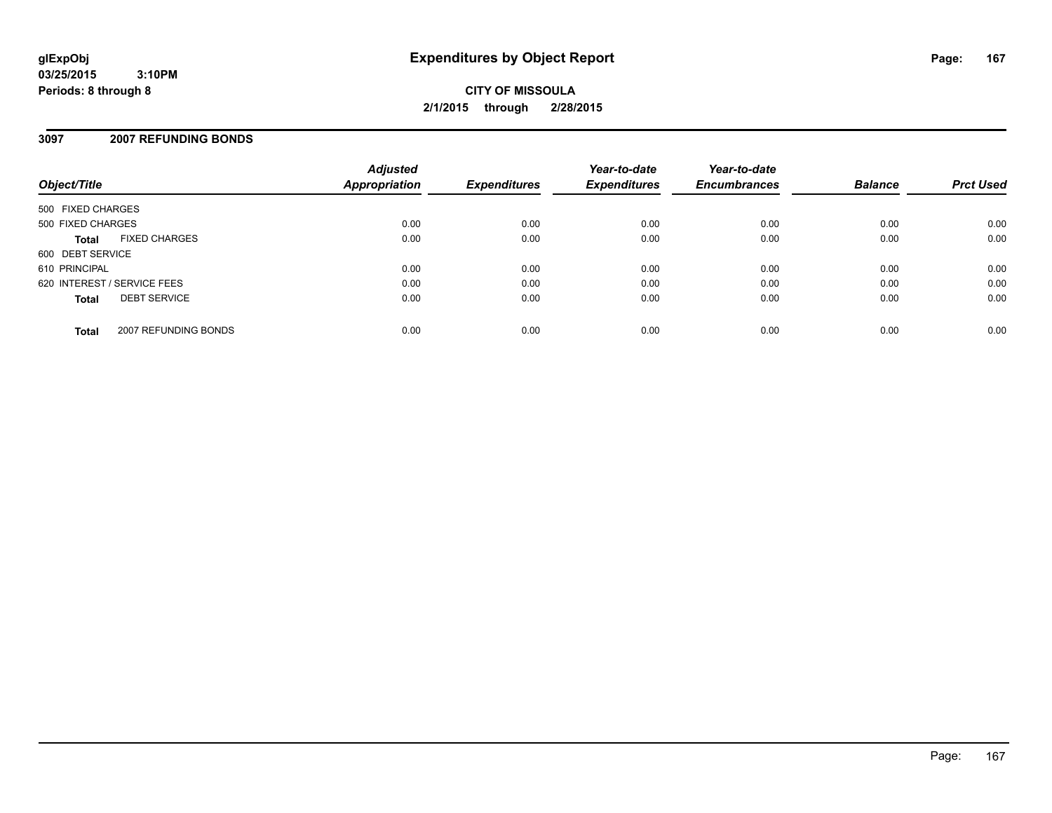**CITY OF MISSOULA 2/1/2015 through 2/28/2015**

#### **3097 2007 REFUNDING BONDS**

| Object/Title                         | <b>Adjusted</b><br>Appropriation | <b>Expenditures</b> | Year-to-date<br><b>Expenditures</b> | Year-to-date<br><b>Encumbrances</b> | <b>Balance</b> | <b>Prct Used</b> |
|--------------------------------------|----------------------------------|---------------------|-------------------------------------|-------------------------------------|----------------|------------------|
| 500 FIXED CHARGES                    |                                  |                     |                                     |                                     |                |                  |
| 500 FIXED CHARGES                    | 0.00                             | 0.00                | 0.00                                | 0.00                                | 0.00           | 0.00             |
| <b>FIXED CHARGES</b><br><b>Total</b> | 0.00                             | 0.00                | 0.00                                | 0.00                                | 0.00           | 0.00             |
| 600 DEBT SERVICE                     |                                  |                     |                                     |                                     |                |                  |
| 610 PRINCIPAL                        | 0.00                             | 0.00                | 0.00                                | 0.00                                | 0.00           | 0.00             |
| 620 INTEREST / SERVICE FEES          | 0.00                             | 0.00                | 0.00                                | 0.00                                | 0.00           | 0.00             |
| <b>DEBT SERVICE</b><br><b>Total</b>  | 0.00                             | 0.00                | 0.00                                | 0.00                                | 0.00           | 0.00             |
| 2007 REFUNDING BONDS<br><b>Total</b> | 0.00                             | 0.00                | 0.00                                | 0.00                                | 0.00           | 0.00             |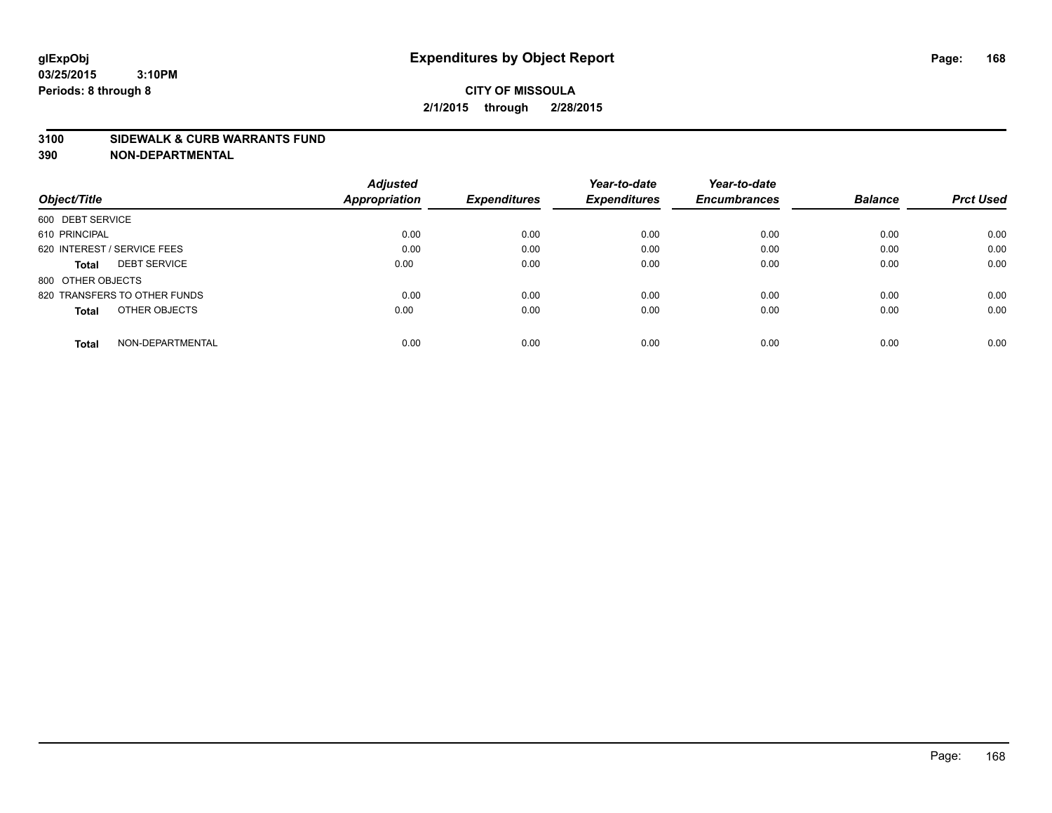#### **3100 SIDEWALK & CURB WARRANTS FUND**

| Object/Title                        | <b>Adjusted</b><br><b>Appropriation</b> | <b>Expenditures</b> | Year-to-date<br><b>Expenditures</b> | Year-to-date<br><b>Encumbrances</b> | <b>Balance</b> | <b>Prct Used</b> |
|-------------------------------------|-----------------------------------------|---------------------|-------------------------------------|-------------------------------------|----------------|------------------|
|                                     |                                         |                     |                                     |                                     |                |                  |
| 600 DEBT SERVICE                    |                                         |                     |                                     |                                     |                |                  |
| 610 PRINCIPAL                       | 0.00                                    | 0.00                | 0.00                                | 0.00                                | 0.00           | 0.00             |
| 620 INTEREST / SERVICE FEES         | 0.00                                    | 0.00                | 0.00                                | 0.00                                | 0.00           | 0.00             |
| <b>DEBT SERVICE</b><br><b>Total</b> | 0.00                                    | 0.00                | 0.00                                | 0.00                                | 0.00           | 0.00             |
| 800 OTHER OBJECTS                   |                                         |                     |                                     |                                     |                |                  |
| 820 TRANSFERS TO OTHER FUNDS        | 0.00                                    | 0.00                | 0.00                                | 0.00                                | 0.00           | 0.00             |
| OTHER OBJECTS<br><b>Total</b>       | 0.00                                    | 0.00                | 0.00                                | 0.00                                | 0.00           | 0.00             |
| NON-DEPARTMENTAL<br><b>Total</b>    | 0.00                                    | 0.00                | 0.00                                | 0.00                                | 0.00           | 0.00             |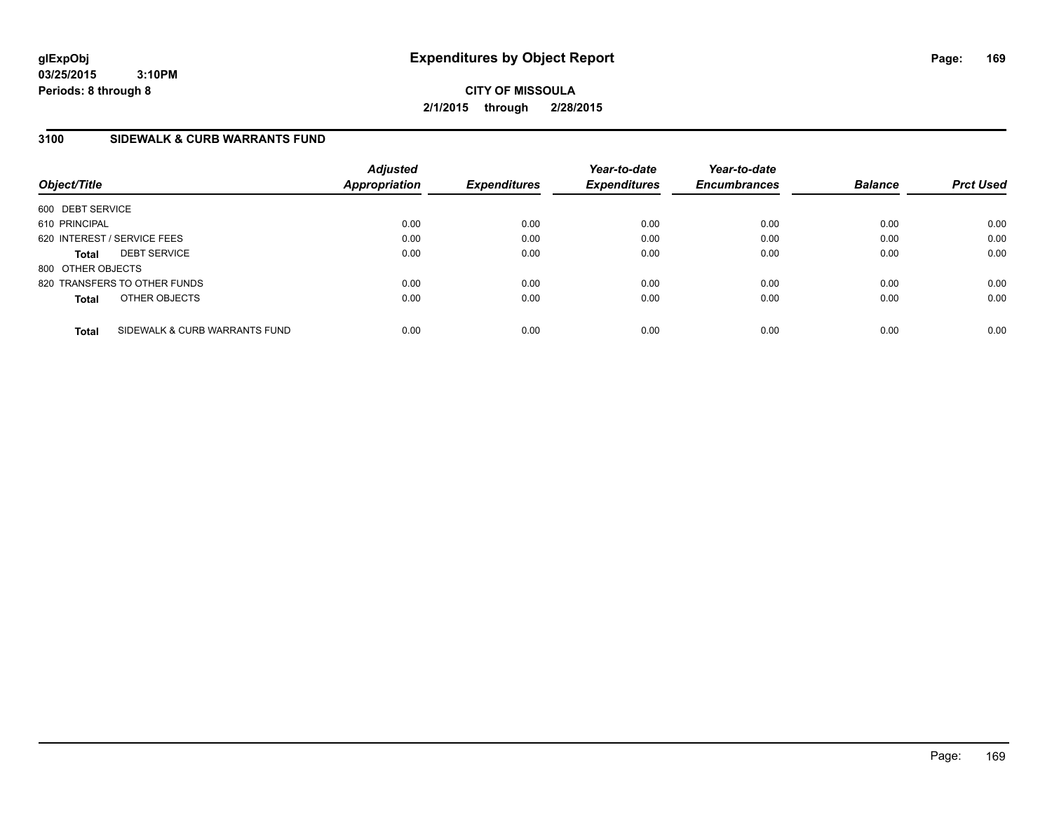**CITY OF MISSOULA 2/1/2015 through 2/28/2015**

#### **3100 SIDEWALK & CURB WARRANTS FUND**

| Object/Title      |                               | <b>Adjusted</b><br><b>Appropriation</b> | <b>Expenditures</b> | Year-to-date<br><b>Expenditures</b> | Year-to-date<br><b>Encumbrances</b> | <b>Balance</b> | <b>Prct Used</b> |
|-------------------|-------------------------------|-----------------------------------------|---------------------|-------------------------------------|-------------------------------------|----------------|------------------|
| 600 DEBT SERVICE  |                               |                                         |                     |                                     |                                     |                |                  |
| 610 PRINCIPAL     |                               | 0.00                                    | 0.00                | 0.00                                | 0.00                                | 0.00           | 0.00             |
|                   | 620 INTEREST / SERVICE FEES   | 0.00                                    | 0.00                | 0.00                                | 0.00                                | 0.00           | 0.00             |
| <b>Total</b>      | <b>DEBT SERVICE</b>           | 0.00                                    | 0.00                | 0.00                                | 0.00                                | 0.00           | 0.00             |
| 800 OTHER OBJECTS |                               |                                         |                     |                                     |                                     |                |                  |
|                   | 820 TRANSFERS TO OTHER FUNDS  | 0.00                                    | 0.00                | 0.00                                | 0.00                                | 0.00           | 0.00             |
| <b>Total</b>      | OTHER OBJECTS                 | 0.00                                    | 0.00                | 0.00                                | 0.00                                | 0.00           | 0.00             |
| <b>Total</b>      | SIDEWALK & CURB WARRANTS FUND | 0.00                                    | 0.00                | 0.00                                | 0.00                                | 0.00           | 0.00             |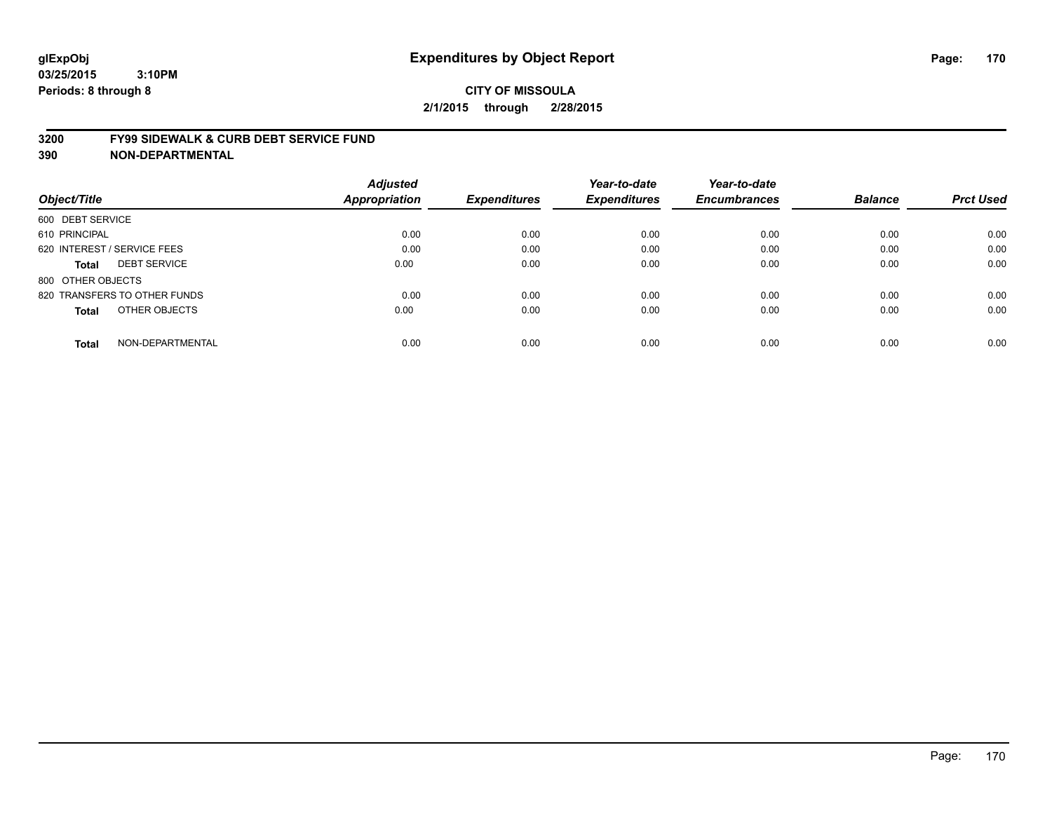#### **3200 FY99 SIDEWALK & CURB DEBT SERVICE FUND**

| Object/Title                        | <b>Adjusted</b><br><b>Appropriation</b> | <b>Expenditures</b> | Year-to-date<br><b>Expenditures</b> | Year-to-date<br><b>Encumbrances</b> | <b>Balance</b> | <b>Prct Used</b> |
|-------------------------------------|-----------------------------------------|---------------------|-------------------------------------|-------------------------------------|----------------|------------------|
|                                     |                                         |                     |                                     |                                     |                |                  |
| 600 DEBT SERVICE                    |                                         |                     |                                     |                                     |                |                  |
| 610 PRINCIPAL                       | 0.00                                    | 0.00                | 0.00                                | 0.00                                | 0.00           | 0.00             |
| 620 INTEREST / SERVICE FEES         | 0.00                                    | 0.00                | 0.00                                | 0.00                                | 0.00           | 0.00             |
| <b>DEBT SERVICE</b><br><b>Total</b> | 0.00                                    | 0.00                | 0.00                                | 0.00                                | 0.00           | 0.00             |
| 800 OTHER OBJECTS                   |                                         |                     |                                     |                                     |                |                  |
| 820 TRANSFERS TO OTHER FUNDS        | 0.00                                    | 0.00                | 0.00                                | 0.00                                | 0.00           | 0.00             |
| OTHER OBJECTS<br><b>Total</b>       | 0.00                                    | 0.00                | 0.00                                | 0.00                                | 0.00           | 0.00             |
| NON-DEPARTMENTAL<br><b>Total</b>    | 0.00                                    | 0.00                | 0.00                                | 0.00                                | 0.00           | 0.00             |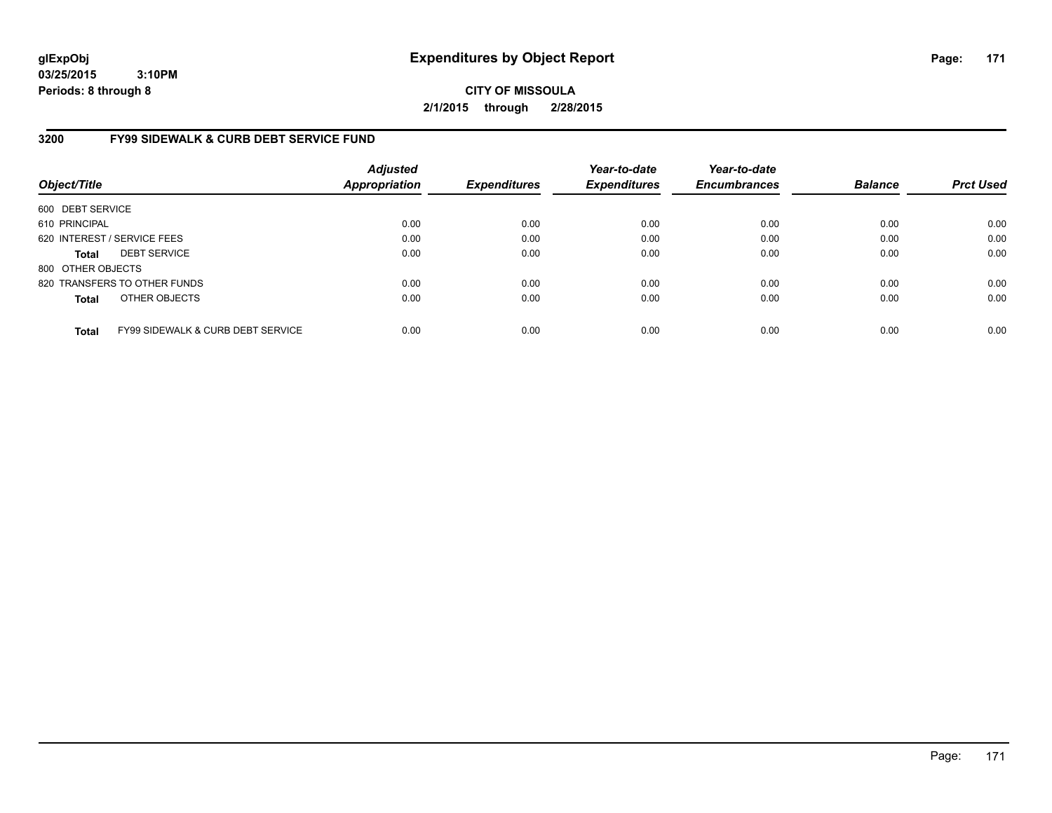**CITY OF MISSOULA 2/1/2015 through 2/28/2015**

### **3200 FY99 SIDEWALK & CURB DEBT SERVICE FUND**

| Object/Title      |                                              | <b>Adjusted</b><br><b>Appropriation</b> | <b>Expenditures</b> | Year-to-date<br><b>Expenditures</b> | Year-to-date<br><b>Encumbrances</b> | <b>Balance</b> | <b>Prct Used</b> |
|-------------------|----------------------------------------------|-----------------------------------------|---------------------|-------------------------------------|-------------------------------------|----------------|------------------|
| 600 DEBT SERVICE  |                                              |                                         |                     |                                     |                                     |                |                  |
| 610 PRINCIPAL     |                                              | 0.00                                    | 0.00                | 0.00                                | 0.00                                | 0.00           | 0.00             |
|                   | 620 INTEREST / SERVICE FEES                  | 0.00                                    | 0.00                | 0.00                                | 0.00                                | 0.00           | 0.00             |
| <b>Total</b>      | <b>DEBT SERVICE</b>                          | 0.00                                    | 0.00                | 0.00                                | 0.00                                | 0.00           | 0.00             |
| 800 OTHER OBJECTS |                                              |                                         |                     |                                     |                                     |                |                  |
|                   | 820 TRANSFERS TO OTHER FUNDS                 | 0.00                                    | 0.00                | 0.00                                | 0.00                                | 0.00           | 0.00             |
| <b>Total</b>      | OTHER OBJECTS                                | 0.00                                    | 0.00                | 0.00                                | 0.00                                | 0.00           | 0.00             |
| <b>Total</b>      | <b>FY99 SIDEWALK &amp; CURB DEBT SERVICE</b> | 0.00                                    | 0.00                | 0.00                                | 0.00                                | 0.00           | 0.00             |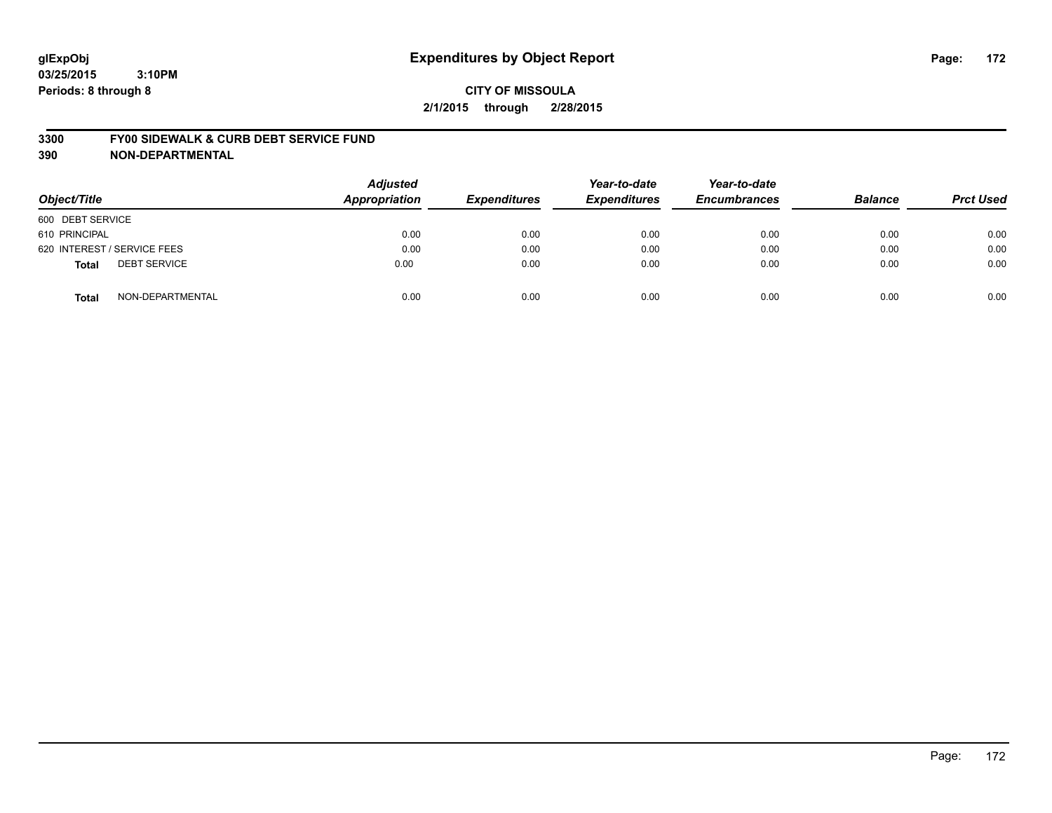#### **3300 FY00 SIDEWALK & CURB DEBT SERVICE FUND**

| Object/Title                        | <b>Adjusted</b><br><b>Appropriation</b> | <b>Expenditures</b> | Year-to-date<br><b>Expenditures</b> | Year-to-date<br><b>Encumbrances</b> | <b>Balance</b> | <b>Prct Used</b> |
|-------------------------------------|-----------------------------------------|---------------------|-------------------------------------|-------------------------------------|----------------|------------------|
| 600 DEBT SERVICE                    |                                         |                     |                                     |                                     |                |                  |
| 610 PRINCIPAL                       | 0.00                                    | 0.00                | 0.00                                | 0.00                                | 0.00           | 0.00             |
| 620 INTEREST / SERVICE FEES         | 0.00                                    | 0.00                | 0.00                                | 0.00                                | 0.00           | 0.00             |
| <b>DEBT SERVICE</b><br><b>Total</b> | 0.00                                    | 0.00                | 0.00                                | 0.00                                | 0.00           | 0.00             |
| NON-DEPARTMENTAL<br><b>Total</b>    | 0.00                                    | 0.00                | 0.00                                | 0.00                                | 0.00           | 0.00             |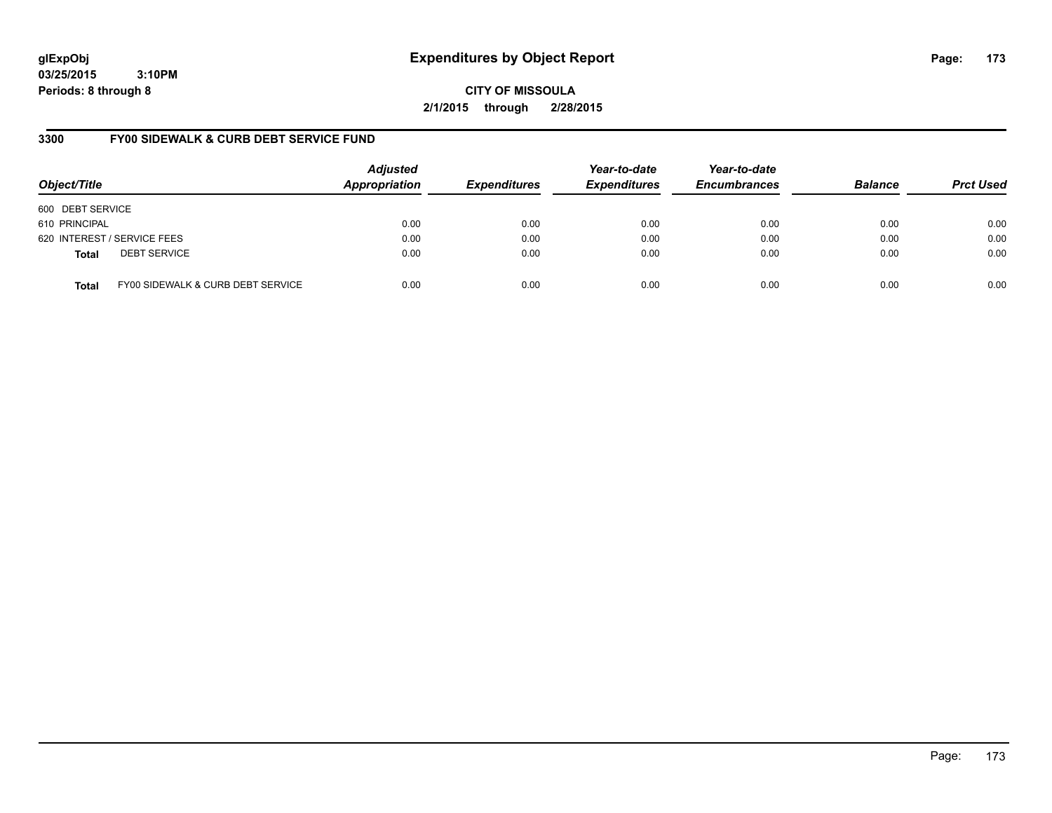## **glExpObj Expenditures by Object Report Page: 173**

**03/25/2015 3:10PM Periods: 8 through 8**

**CITY OF MISSOULA 2/1/2015 through 2/28/2015**

#### **3300 FY00 SIDEWALK & CURB DEBT SERVICE FUND**

| Object/Title     |                                   | <b>Adjusted</b><br><b>Appropriation</b> | <b>Expenditures</b> | Year-to-date<br><b>Expenditures</b> | Year-to-date<br><b>Encumbrances</b> | <b>Balance</b> | <b>Prct Used</b> |
|------------------|-----------------------------------|-----------------------------------------|---------------------|-------------------------------------|-------------------------------------|----------------|------------------|
| 600 DEBT SERVICE |                                   |                                         |                     |                                     |                                     |                |                  |
| 610 PRINCIPAL    |                                   | 0.00                                    | 0.00                | 0.00                                | 0.00                                | 0.00           | 0.00             |
|                  | 620 INTEREST / SERVICE FEES       | 0.00                                    | 0.00                | 0.00                                | 0.00                                | 0.00           | 0.00             |
| <b>Total</b>     | <b>DEBT SERVICE</b>               | 0.00                                    | 0.00                | 0.00                                | 0.00                                | 0.00           | 0.00             |
| <b>Total</b>     | FY00 SIDEWALK & CURB DEBT SERVICE | 0.00                                    | 0.00                | 0.00                                | 0.00                                | 0.00           | 0.00             |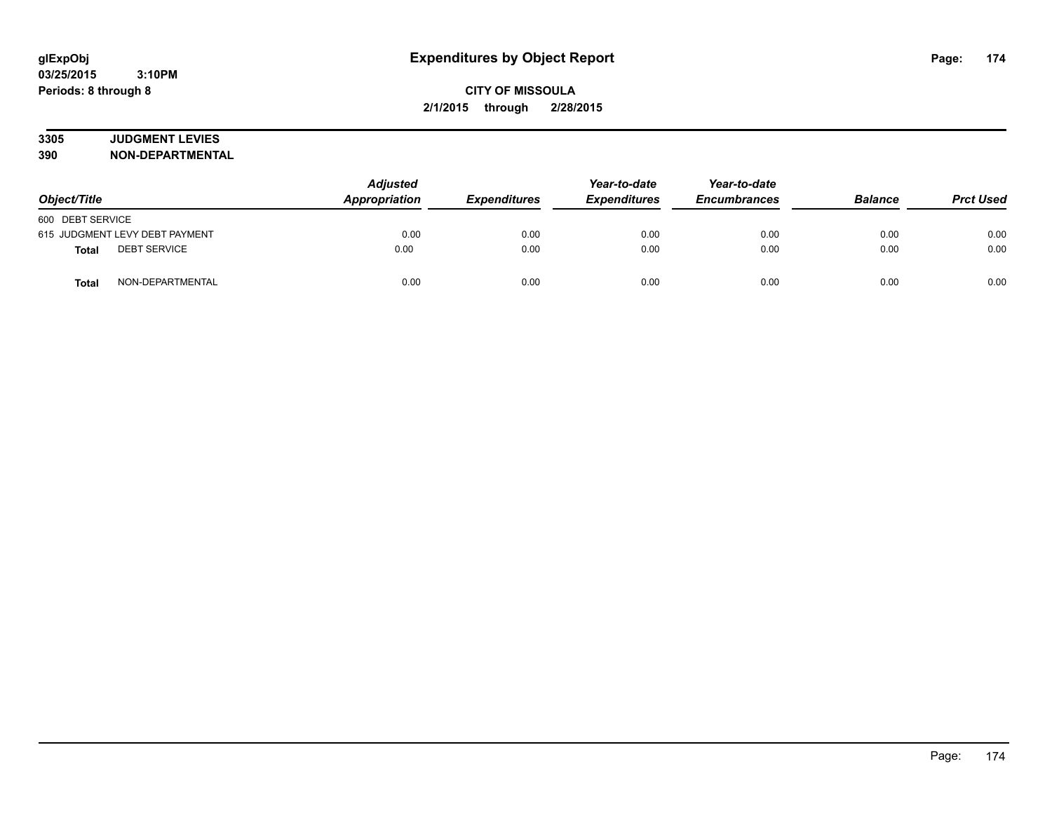# **3305 JUDGMENT LEVIES**

| Object/Title                        | <b>Adjusted</b><br>Appropriation | <b>Expenditures</b> | Year-to-date<br><b>Expenditures</b> | Year-to-date<br><b>Encumbrances</b> | <b>Balance</b> | <b>Prct Used</b> |
|-------------------------------------|----------------------------------|---------------------|-------------------------------------|-------------------------------------|----------------|------------------|
| 600 DEBT SERVICE                    |                                  |                     |                                     |                                     |                |                  |
| 615 JUDGMENT LEVY DEBT PAYMENT      | 0.00                             | 0.00                | 0.00                                | 0.00                                | 0.00           | 0.00             |
| <b>DEBT SERVICE</b><br><b>Total</b> | 0.00                             | 0.00                | 0.00                                | 0.00                                | 0.00           | 0.00             |
| NON-DEPARTMENTAL<br><b>Total</b>    | 0.00                             | 0.00                | 0.00                                | 0.00                                | 0.00           | 0.00             |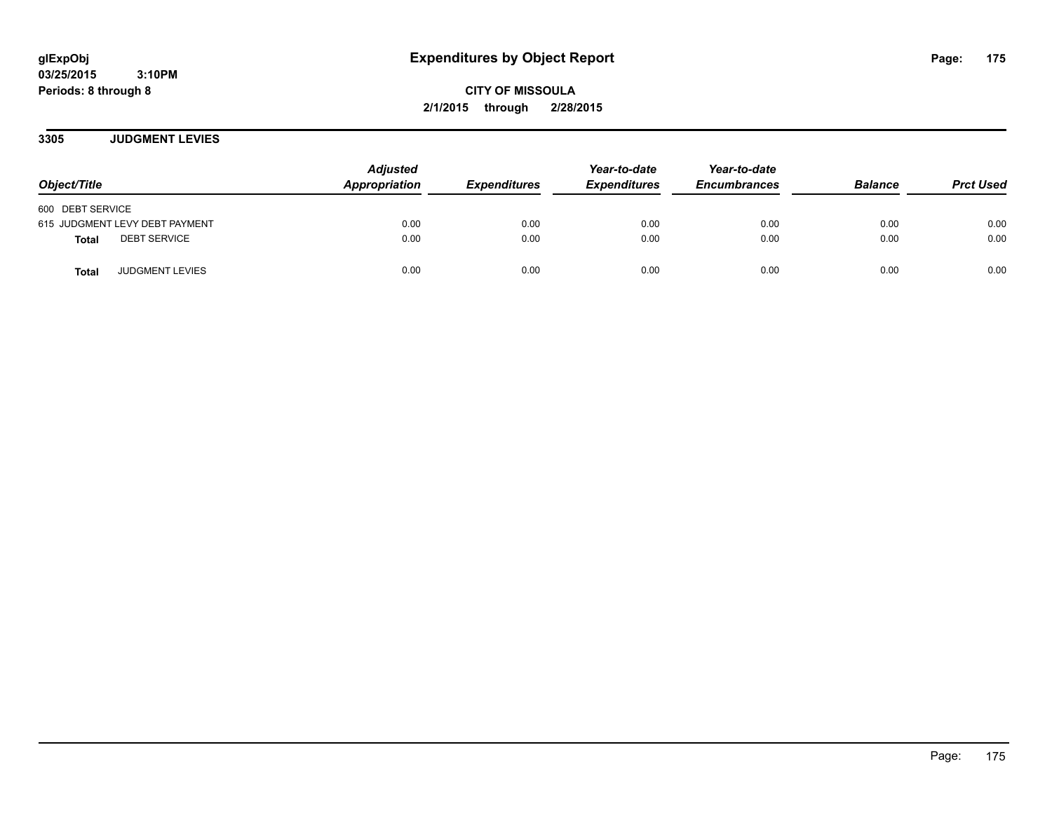**CITY OF MISSOULA 2/1/2015 through 2/28/2015**

**3305 JUDGMENT LEVIES**

| Object/Title                        | <b>Adjusted</b><br>Appropriation | <b>Expenditures</b> | Year-to-date<br><b>Expenditures</b> | Year-to-date<br><b>Encumbrances</b> | <b>Balance</b> | <b>Prct Used</b> |
|-------------------------------------|----------------------------------|---------------------|-------------------------------------|-------------------------------------|----------------|------------------|
| 600 DEBT SERVICE                    |                                  |                     |                                     |                                     |                |                  |
| 615 JUDGMENT LEVY DEBT PAYMENT      | 0.00                             | 0.00                | 0.00                                | 0.00                                | 0.00           | 0.00             |
| <b>DEBT SERVICE</b><br><b>Total</b> | 0.00                             | 0.00                | 0.00                                | 0.00                                | 0.00           | 0.00             |
| Tota<br><b>JUDGMENT LEVIES</b>      | 0.00                             | 0.00                | 0.00                                | 0.00                                | 0.00           | 0.00             |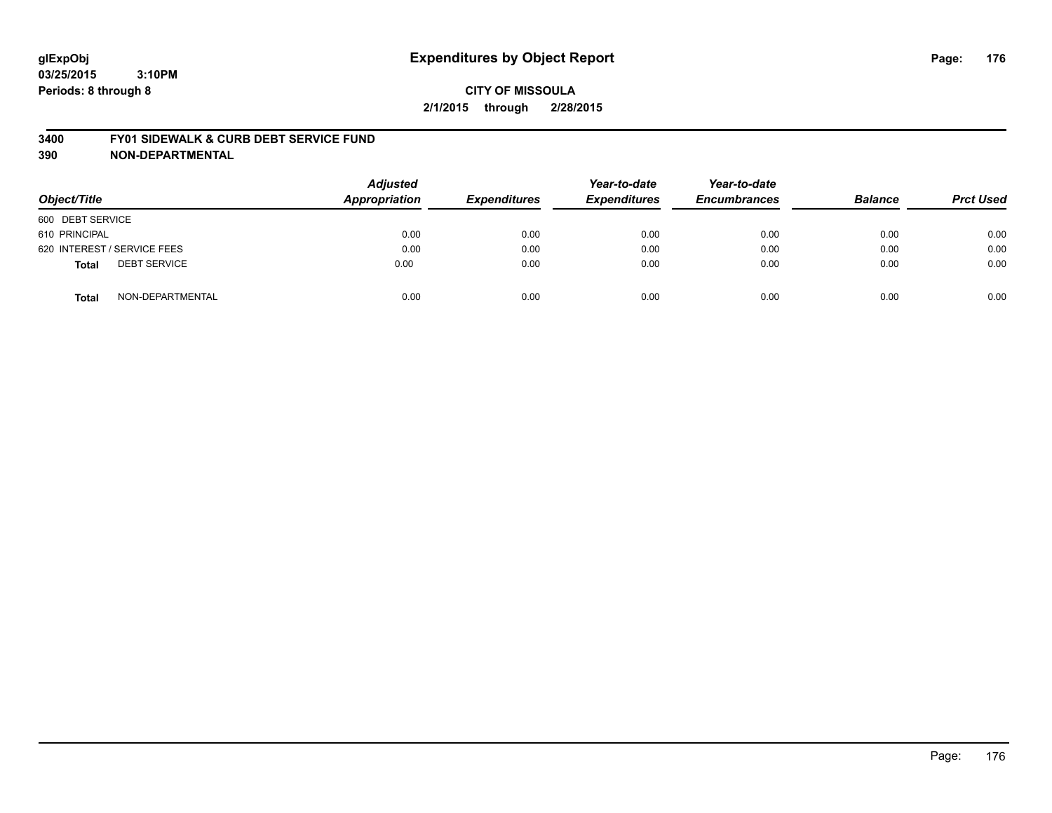#### **3400 FY01 SIDEWALK & CURB DEBT SERVICE FUND**

| Object/Title                        | <b>Adjusted</b><br><b>Appropriation</b> | <b>Expenditures</b> | Year-to-date<br><b>Expenditures</b> | Year-to-date<br><b>Encumbrances</b> | <b>Balance</b> | <b>Prct Used</b> |
|-------------------------------------|-----------------------------------------|---------------------|-------------------------------------|-------------------------------------|----------------|------------------|
| 600 DEBT SERVICE                    |                                         |                     |                                     |                                     |                |                  |
| 610 PRINCIPAL                       | 0.00                                    | 0.00                | 0.00                                | 0.00                                | 0.00           | 0.00             |
| 620 INTEREST / SERVICE FEES         | 0.00                                    | 0.00                | 0.00                                | 0.00                                | 0.00           | 0.00             |
| <b>DEBT SERVICE</b><br><b>Total</b> | 0.00                                    | 0.00                | 0.00                                | 0.00                                | 0.00           | 0.00             |
| NON-DEPARTMENTAL<br><b>Total</b>    | 0.00                                    | 0.00                | 0.00                                | 0.00                                | 0.00           | 0.00             |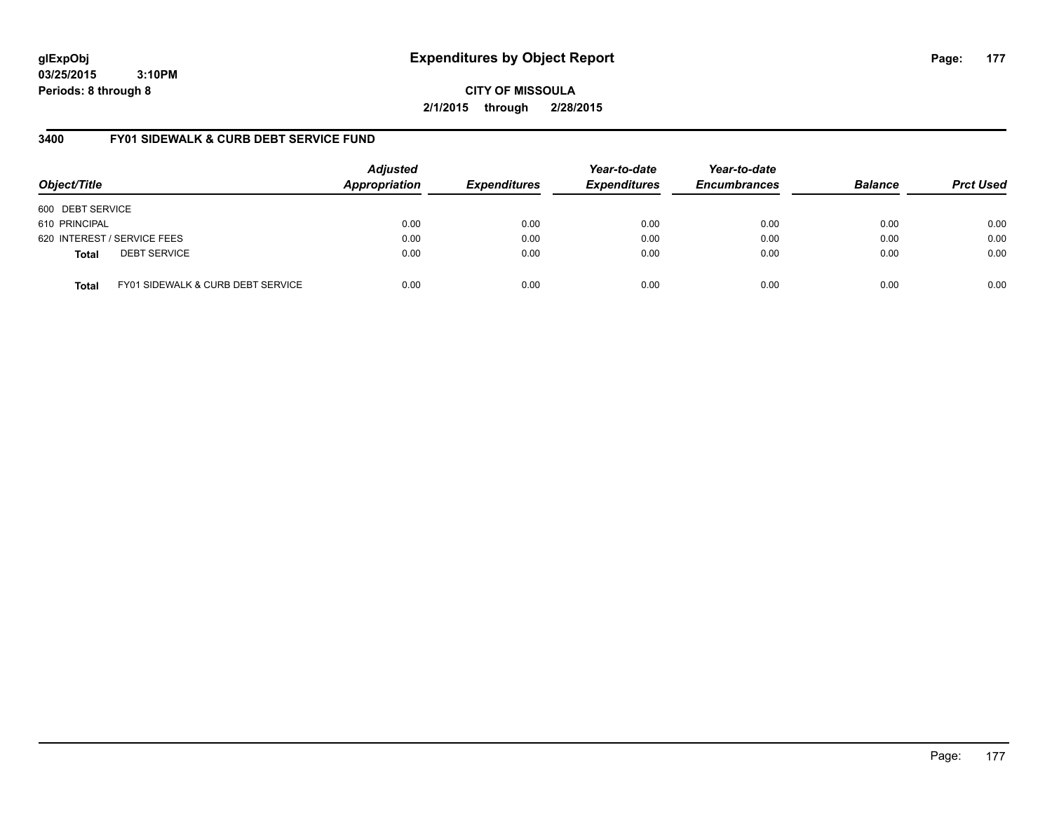## **glExpObj Expenditures by Object Report Page: 177**

**03/25/2015 3:10PM Periods: 8 through 8**

**CITY OF MISSOULA 2/1/2015 through 2/28/2015**

#### **3400 FY01 SIDEWALK & CURB DEBT SERVICE FUND**

| Object/Title     |                                   | <b>Adjusted</b><br>Appropriation | <b>Expenditures</b> | Year-to-date<br><b>Expenditures</b> | Year-to-date<br><b>Encumbrances</b> | <b>Balance</b> | <b>Prct Used</b> |
|------------------|-----------------------------------|----------------------------------|---------------------|-------------------------------------|-------------------------------------|----------------|------------------|
| 600 DEBT SERVICE |                                   |                                  |                     |                                     |                                     |                |                  |
| 610 PRINCIPAL    |                                   | 0.00                             | 0.00                | 0.00                                | 0.00                                | 0.00           | 0.00             |
|                  | 620 INTEREST / SERVICE FEES       | 0.00                             | 0.00                | 0.00                                | 0.00                                | 0.00           | 0.00             |
| <b>Total</b>     | <b>DEBT SERVICE</b>               | 0.00                             | 0.00                | 0.00                                | 0.00                                | 0.00           | 0.00             |
| <b>Total</b>     | FY01 SIDEWALK & CURB DEBT SERVICE | 0.00                             | 0.00                | 0.00                                | 0.00                                | 0.00           | 0.00             |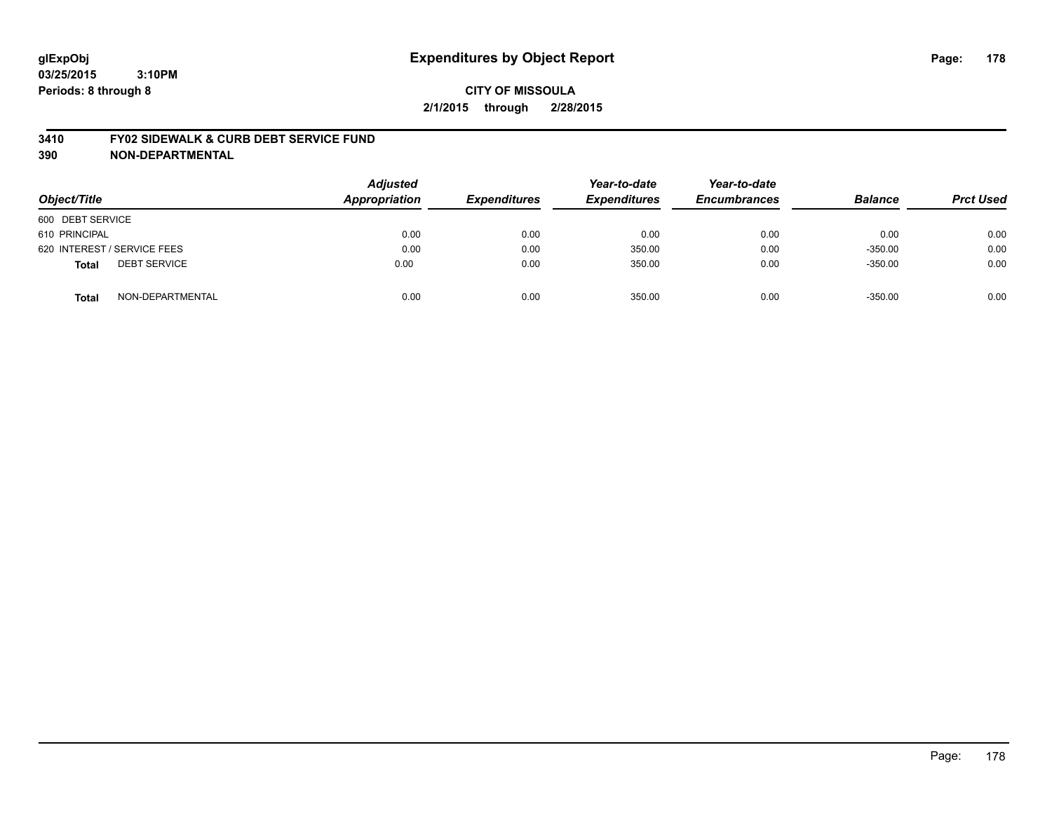#### **3410 FY02 SIDEWALK & CURB DEBT SERVICE FUND**

| Object/Title                        | <b>Adjusted</b><br><b>Appropriation</b> | <b>Expenditures</b> | Year-to-date<br><b>Expenditures</b> | Year-to-date<br><b>Encumbrances</b> | <b>Balance</b> | <b>Prct Used</b> |
|-------------------------------------|-----------------------------------------|---------------------|-------------------------------------|-------------------------------------|----------------|------------------|
| 600 DEBT SERVICE                    |                                         |                     |                                     |                                     |                |                  |
| 610 PRINCIPAL                       | 0.00                                    | 0.00                | 0.00                                | 0.00                                | 0.00           | 0.00             |
| 620 INTEREST / SERVICE FEES         | 0.00                                    | 0.00                | 350.00                              | 0.00                                | $-350.00$      | 0.00             |
| <b>DEBT SERVICE</b><br><b>Total</b> | 0.00                                    | 0.00                | 350.00                              | 0.00                                | $-350.00$      | 0.00             |
| NON-DEPARTMENTAL<br><b>Total</b>    | 0.00                                    | 0.00                | 350.00                              | 0.00                                | $-350.00$      | 0.00             |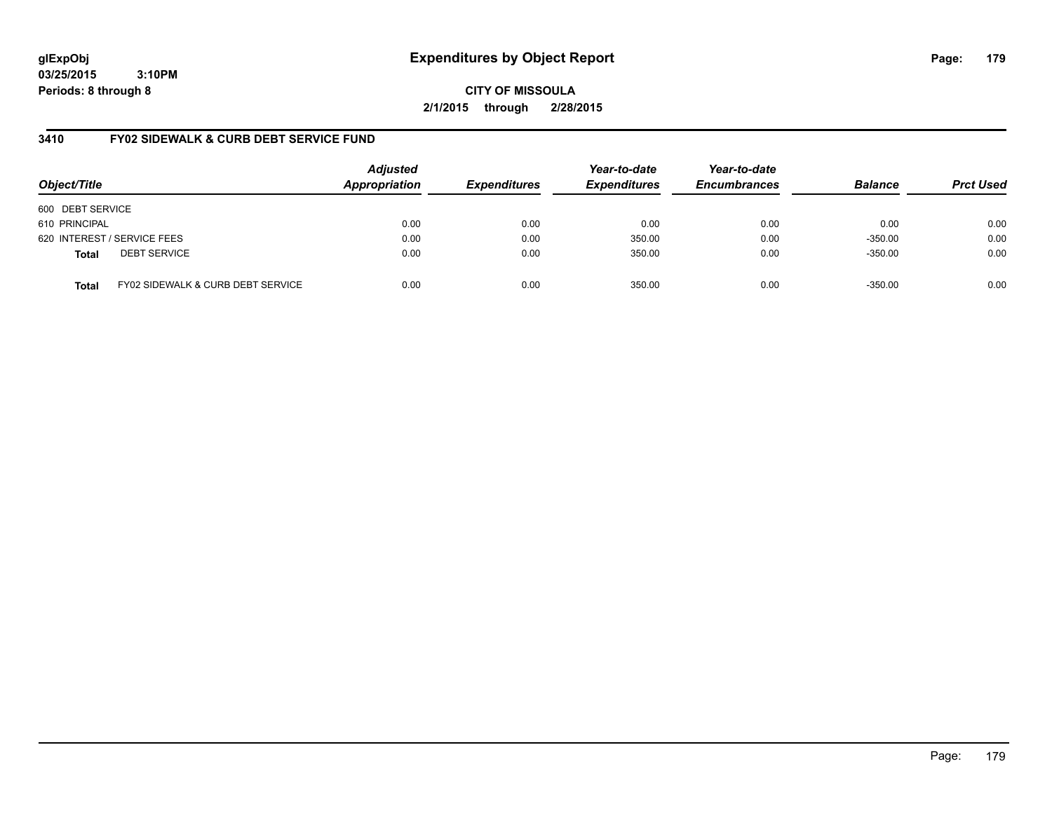## **glExpObj Expenditures by Object Report Page: 179**

**03/25/2015 3:10PM Periods: 8 through 8**

**CITY OF MISSOULA 2/1/2015 through 2/28/2015**

#### **3410 FY02 SIDEWALK & CURB DEBT SERVICE FUND**

| Object/Title     |                                   | <b>Adjusted</b><br>Appropriation | <b>Expenditures</b> | Year-to-date<br><b>Expenditures</b> | Year-to-date<br><b>Encumbrances</b> | <b>Balance</b> | <b>Prct Used</b> |
|------------------|-----------------------------------|----------------------------------|---------------------|-------------------------------------|-------------------------------------|----------------|------------------|
| 600 DEBT SERVICE |                                   |                                  |                     |                                     |                                     |                |                  |
| 610 PRINCIPAL    |                                   | 0.00                             | 0.00                | 0.00                                | 0.00                                | 0.00           | 0.00             |
|                  | 620 INTEREST / SERVICE FEES       | 0.00                             | 0.00                | 350.00                              | 0.00                                | $-350.00$      | 0.00             |
| <b>Total</b>     | <b>DEBT SERVICE</b>               | 0.00                             | 0.00                | 350.00                              | 0.00                                | $-350.00$      | 0.00             |
| <b>Total</b>     | FY02 SIDEWALK & CURB DEBT SERVICE | 0.00                             | 0.00                | 350.00                              | 0.00                                | $-350.00$      | 0.00             |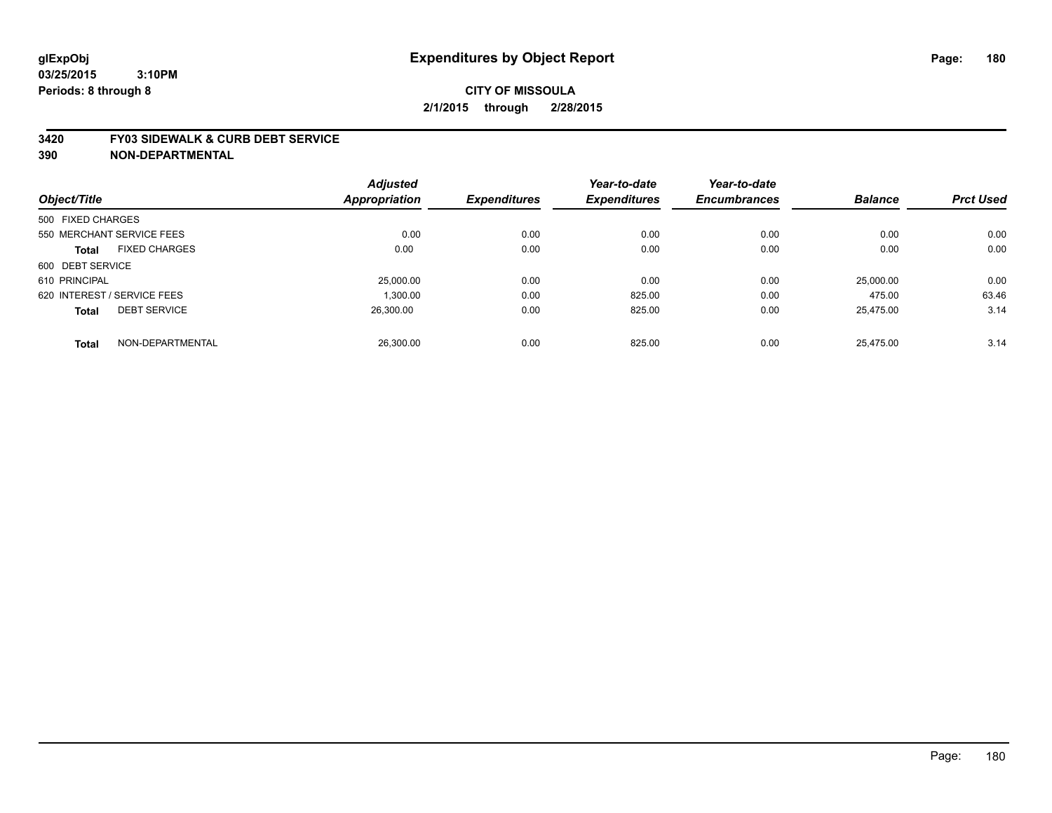#### **3420 FY03 SIDEWALK & CURB DEBT SERVICE**

|                             |                           | <b>Adjusted</b>      |                     | Year-to-date        | Year-to-date        |                |                  |
|-----------------------------|---------------------------|----------------------|---------------------|---------------------|---------------------|----------------|------------------|
| Object/Title                |                           | <b>Appropriation</b> | <b>Expenditures</b> | <b>Expenditures</b> | <b>Encumbrances</b> | <b>Balance</b> | <b>Prct Used</b> |
| 500 FIXED CHARGES           |                           |                      |                     |                     |                     |                |                  |
|                             | 550 MERCHANT SERVICE FEES | 0.00                 | 0.00                | 0.00                | 0.00                | 0.00           | 0.00             |
| <b>Total</b>                | <b>FIXED CHARGES</b>      | 0.00                 | 0.00                | 0.00                | 0.00                | 0.00           | 0.00             |
| 600 DEBT SERVICE            |                           |                      |                     |                     |                     |                |                  |
| 610 PRINCIPAL               |                           | 25,000.00            | 0.00                | 0.00                | 0.00                | 25,000.00      | 0.00             |
| 620 INTEREST / SERVICE FEES |                           | 1.300.00             | 0.00                | 825.00              | 0.00                | 475.00         | 63.46            |
| <b>Total</b>                | <b>DEBT SERVICE</b>       | 26.300.00            | 0.00                | 825.00              | 0.00                | 25.475.00      | 3.14             |
| <b>Total</b>                | NON-DEPARTMENTAL          | 26.300.00            | 0.00                | 825.00              | 0.00                | 25.475.00      | 3.14             |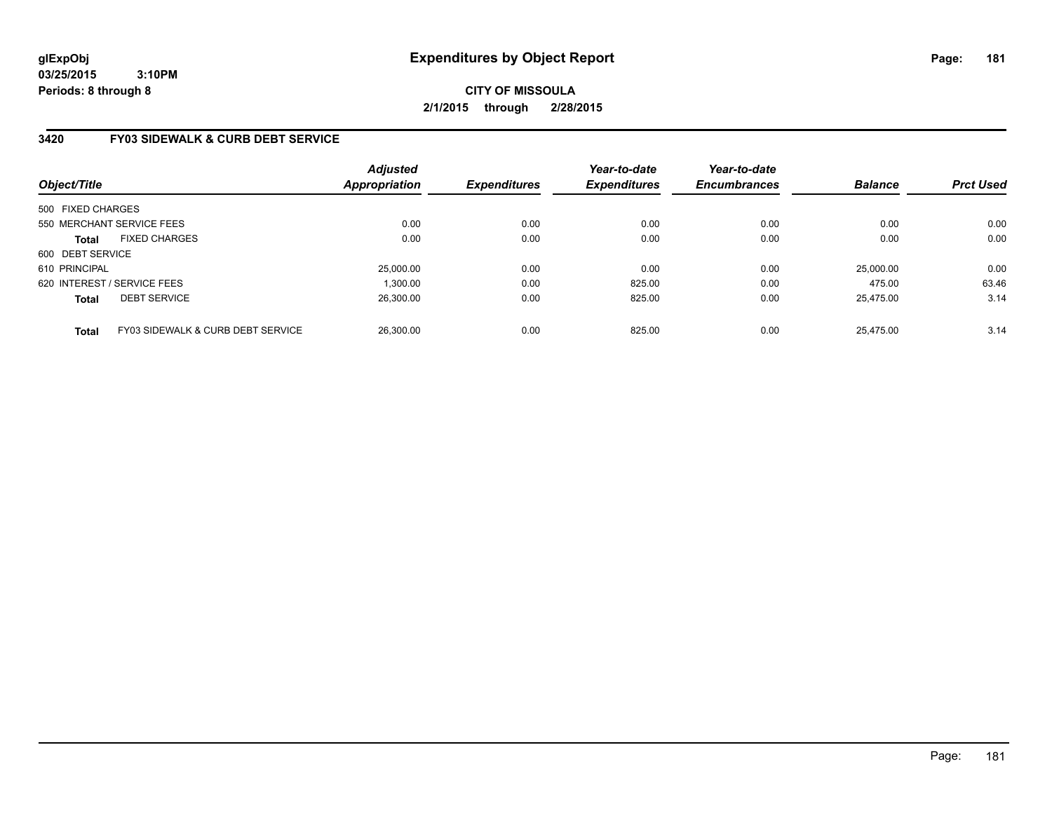# **CITY OF MISSOULA 2/1/2015 through 2/28/2015**

# **3420 FY03 SIDEWALK & CURB DEBT SERVICE**

| Object/Title      |                                   | Adjusted<br><b>Appropriation</b> | <b>Expenditures</b> | Year-to-date<br><b>Expenditures</b> | Year-to-date<br><b>Encumbrances</b> | <b>Balance</b> | <b>Prct Used</b> |
|-------------------|-----------------------------------|----------------------------------|---------------------|-------------------------------------|-------------------------------------|----------------|------------------|
| 500 FIXED CHARGES |                                   |                                  |                     |                                     |                                     |                |                  |
|                   | 550 MERCHANT SERVICE FEES         | 0.00                             | 0.00                | 0.00                                | 0.00                                | 0.00           | 0.00             |
| <b>Total</b>      | <b>FIXED CHARGES</b>              | 0.00                             | 0.00                | 0.00                                | 0.00                                | 0.00           | 0.00             |
| 600 DEBT SERVICE  |                                   |                                  |                     |                                     |                                     |                |                  |
| 610 PRINCIPAL     |                                   | 25.000.00                        | 0.00                | 0.00                                | 0.00                                | 25,000.00      | 0.00             |
|                   | 620 INTEREST / SERVICE FEES       | 1.300.00                         | 0.00                | 825.00                              | 0.00                                | 475.00         | 63.46            |
| <b>Total</b>      | <b>DEBT SERVICE</b>               | 26.300.00                        | 0.00                | 825.00                              | 0.00                                | 25.475.00      | 3.14             |
| <b>Total</b>      | FY03 SIDEWALK & CURB DEBT SERVICE | 26,300.00                        | 0.00                | 825.00                              | 0.00                                | 25.475.00      | 3.14             |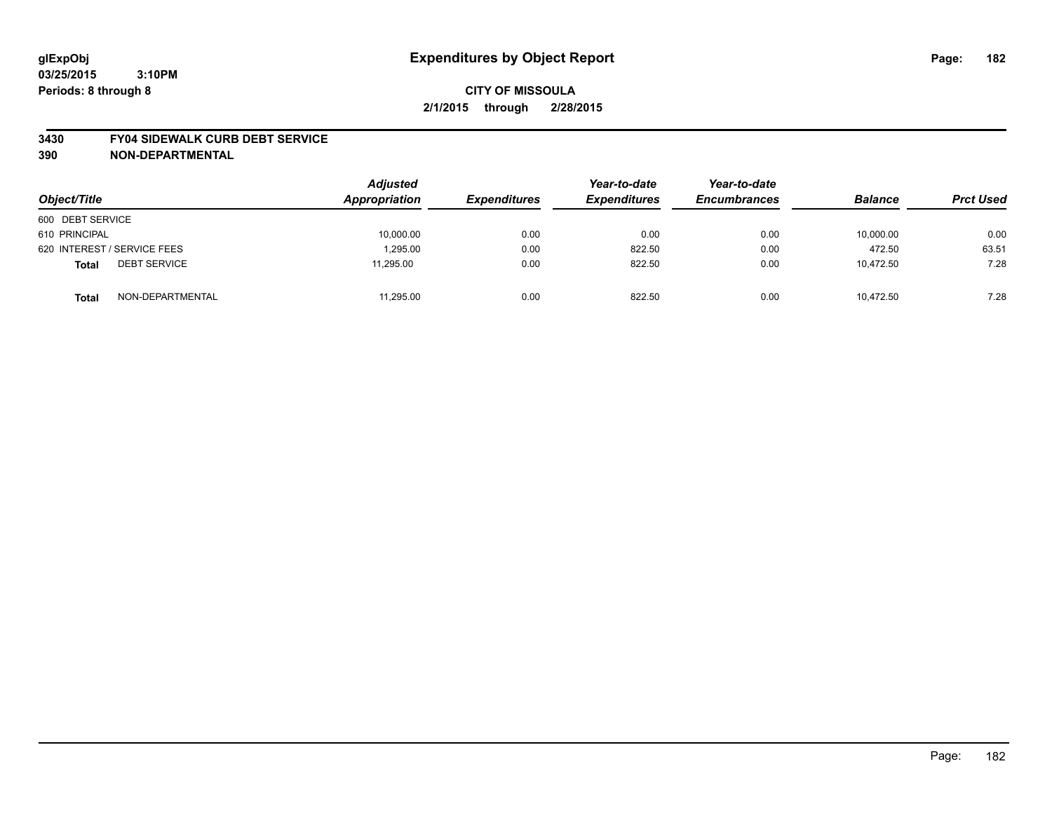#### **3430 FY04 SIDEWALK CURB DEBT SERVICE**

| Object/Title                        | <b>Adjusted</b><br>Appropriation | <b>Expenditures</b> | Year-to-date<br><b>Expenditures</b> | Year-to-date<br><b>Encumbrances</b> | <b>Balance</b> | <b>Prct Used</b> |
|-------------------------------------|----------------------------------|---------------------|-------------------------------------|-------------------------------------|----------------|------------------|
| 600 DEBT SERVICE                    |                                  |                     |                                     |                                     |                |                  |
| 610 PRINCIPAL                       | 10,000.00                        | 0.00                | 0.00                                | 0.00                                | 10,000.00      | 0.00             |
| 620 INTEREST / SERVICE FEES         | 1.295.00                         | 0.00                | 822.50                              | 0.00                                | 472.50         | 63.51            |
| <b>DEBT SERVICE</b><br><b>Total</b> | 11.295.00                        | 0.00                | 822.50                              | 0.00                                | 10.472.50      | 7.28             |
| NON-DEPARTMENTAL<br><b>Total</b>    | 11,295.00                        | 0.00                | 822.50                              | 0.00                                | 10,472.50      | 7.28             |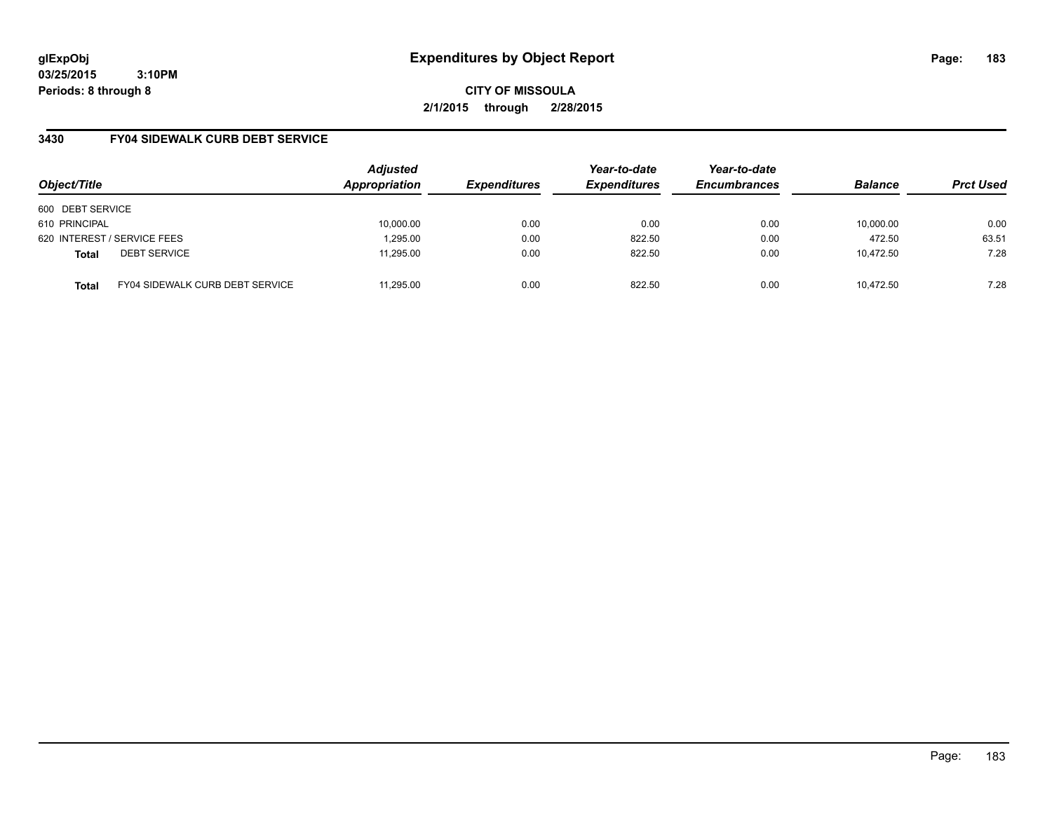**CITY OF MISSOULA 2/1/2015 through 2/28/2015**

## **3430 FY04 SIDEWALK CURB DEBT SERVICE**

| Object/Title     |                                        | <b>Adjusted</b><br>Appropriation | <b>Expenditures</b> | Year-to-date<br><b>Expenditures</b> | Year-to-date<br><b>Encumbrances</b> | <b>Balance</b> | <b>Prct Used</b> |
|------------------|----------------------------------------|----------------------------------|---------------------|-------------------------------------|-------------------------------------|----------------|------------------|
| 600 DEBT SERVICE |                                        |                                  |                     |                                     |                                     |                |                  |
| 610 PRINCIPAL    |                                        | 10,000.00                        | 0.00                | 0.00                                | 0.00                                | 10.000.00      | 0.00             |
|                  | 620 INTEREST / SERVICE FEES            | 1,295.00                         | 0.00                | 822.50                              | 0.00                                | 472.50         | 63.51            |
| <b>Total</b>     | <b>DEBT SERVICE</b>                    | 11.295.00                        | 0.00                | 822.50                              | 0.00                                | 10.472.50      | 7.28             |
| <b>Total</b>     | <b>FY04 SIDEWALK CURB DEBT SERVICE</b> | 11.295.00                        | 0.00                | 822.50                              | 0.00                                | 10.472.50      | 7.28             |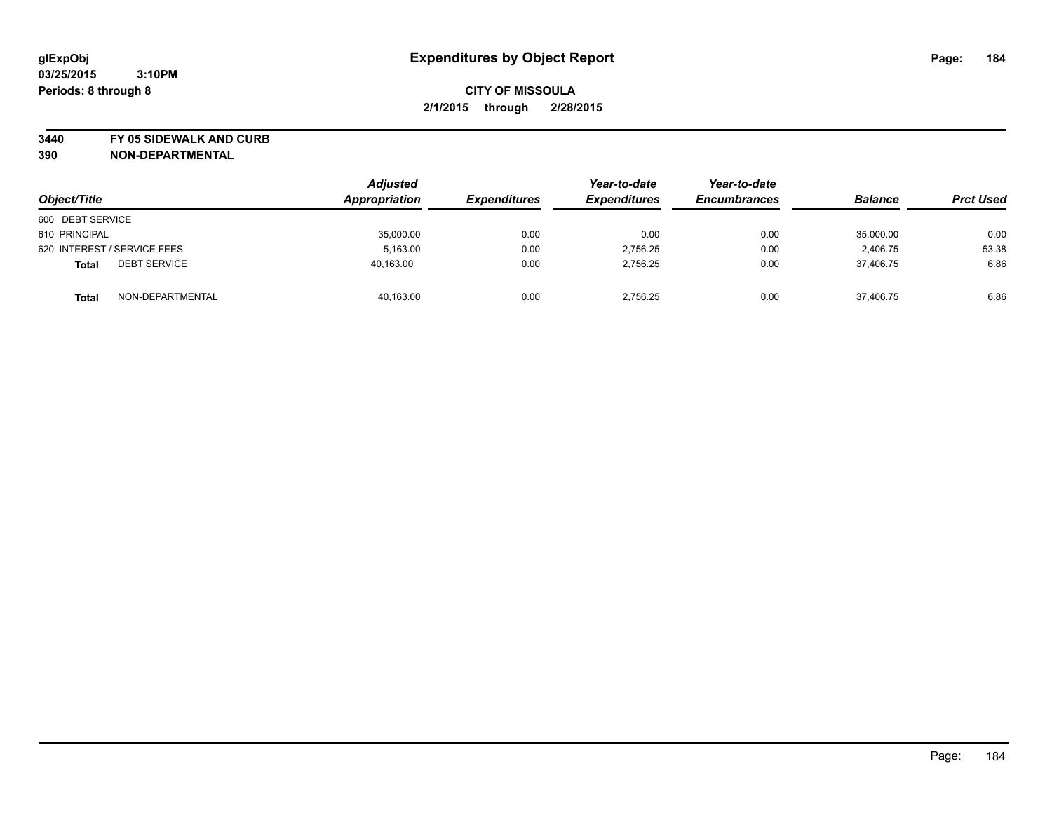**3440 FY 05 SIDEWALK AND CURB**

| Object/Title                        | Adjusted<br>Appropriation | <b>Expenditures</b> | Year-to-date<br><b>Expenditures</b> | Year-to-date<br><b>Encumbrances</b> | <b>Balance</b> | <b>Prct Used</b> |
|-------------------------------------|---------------------------|---------------------|-------------------------------------|-------------------------------------|----------------|------------------|
| 600 DEBT SERVICE                    |                           |                     |                                     |                                     |                |                  |
| 610 PRINCIPAL                       | 35,000.00                 | 0.00                | 0.00                                | 0.00                                | 35,000.00      | 0.00             |
| 620 INTEREST / SERVICE FEES         | 5.163.00                  | 0.00                | 2.756.25                            | 0.00                                | 2,406.75       | 53.38            |
| <b>DEBT SERVICE</b><br><b>Total</b> | 40,163.00                 | 0.00                | 2,756.25                            | 0.00                                | 37,406.75      | 6.86             |
| NON-DEPARTMENTAL<br><b>Total</b>    | 40,163.00                 | 0.00                | 2,756.25                            | 0.00                                | 37,406.75      | 6.86             |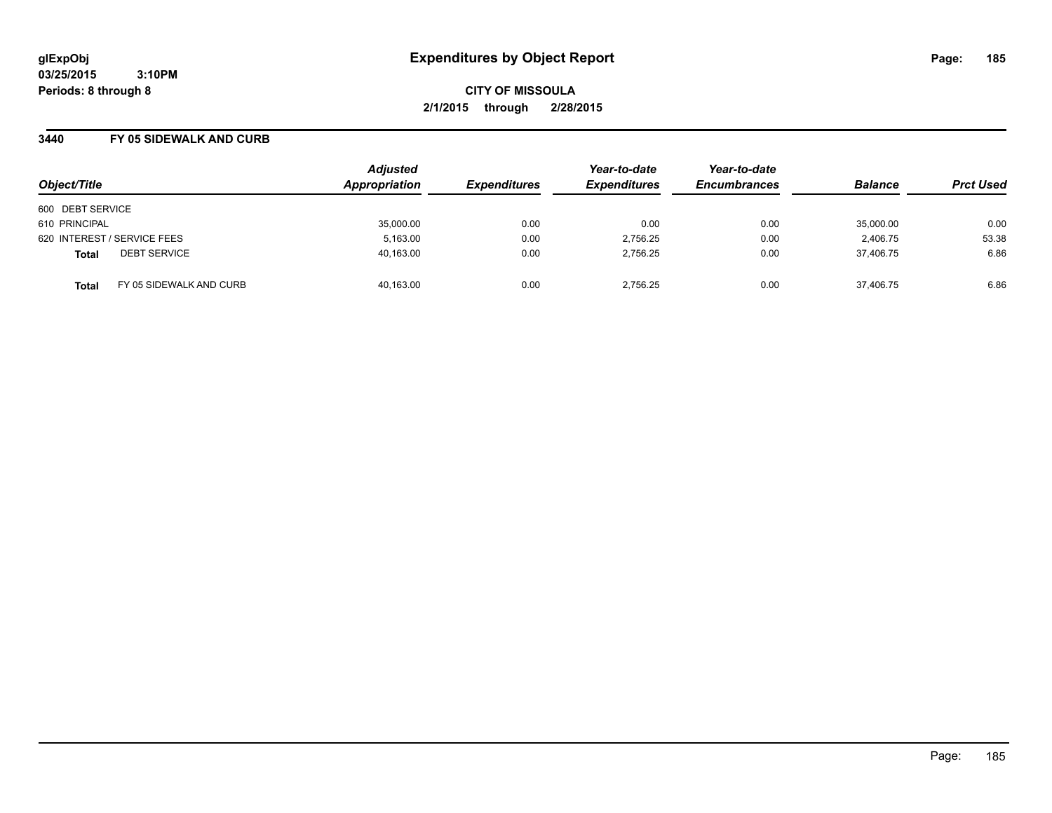**CITY OF MISSOULA 2/1/2015 through 2/28/2015**

#### **3440 FY 05 SIDEWALK AND CURB**

|                                         | <b>Adjusted</b>      |                     | Year-to-date        | Year-to-date        |                |                  |
|-----------------------------------------|----------------------|---------------------|---------------------|---------------------|----------------|------------------|
| Object/Title                            | <b>Appropriation</b> | <b>Expenditures</b> | <b>Expenditures</b> | <b>Encumbrances</b> | <b>Balance</b> | <b>Prct Used</b> |
| 600 DEBT SERVICE                        |                      |                     |                     |                     |                |                  |
| 610 PRINCIPAL                           | 35,000.00            | 0.00                | 0.00                | 0.00                | 35,000.00      | 0.00             |
| 620 INTEREST / SERVICE FEES             | 5,163.00             | 0.00                | 2,756.25            | 0.00                | 2.406.75       | 53.38            |
| <b>DEBT SERVICE</b><br><b>Total</b>     | 40,163.00            | 0.00                | 2.756.25            | 0.00                | 37.406.75      | 6.86             |
| FY 05 SIDEWALK AND CURB<br><b>Total</b> | 40.163.00            | 0.00                | 2.756.25            | 0.00                | 37.406.75      | 6.86             |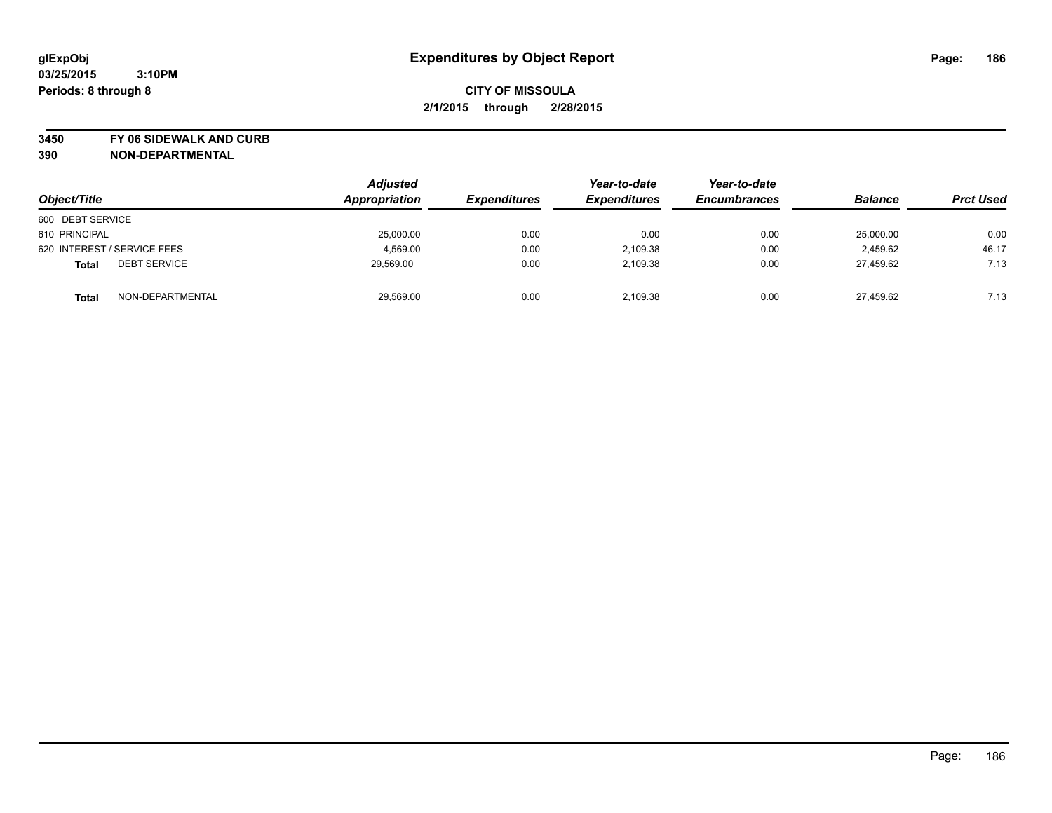**3450 FY 06 SIDEWALK AND CURB**

| Object/Title                        | <b>Adjusted</b><br>Appropriation | <i><b>Expenditures</b></i> | Year-to-date<br><b>Expenditures</b> | Year-to-date<br><b>Encumbrances</b> | <b>Balance</b> | <b>Prct Used</b> |
|-------------------------------------|----------------------------------|----------------------------|-------------------------------------|-------------------------------------|----------------|------------------|
| 600 DEBT SERVICE                    |                                  |                            |                                     |                                     |                |                  |
| 610 PRINCIPAL                       | 25,000.00                        | 0.00                       | 0.00                                | 0.00                                | 25,000.00      | 0.00             |
| 620 INTEREST / SERVICE FEES         | 4,569.00                         | 0.00                       | 2,109.38                            | 0.00                                | 2.459.62       | 46.17            |
| <b>DEBT SERVICE</b><br><b>Total</b> | 29,569.00                        | 0.00                       | 2,109.38                            | 0.00                                | 27.459.62      | 7.13             |
| NON-DEPARTMENTAL<br><b>Total</b>    | 29,569.00                        | 0.00                       | 2,109.38                            | 0.00                                | 27.459.62      | 7.13             |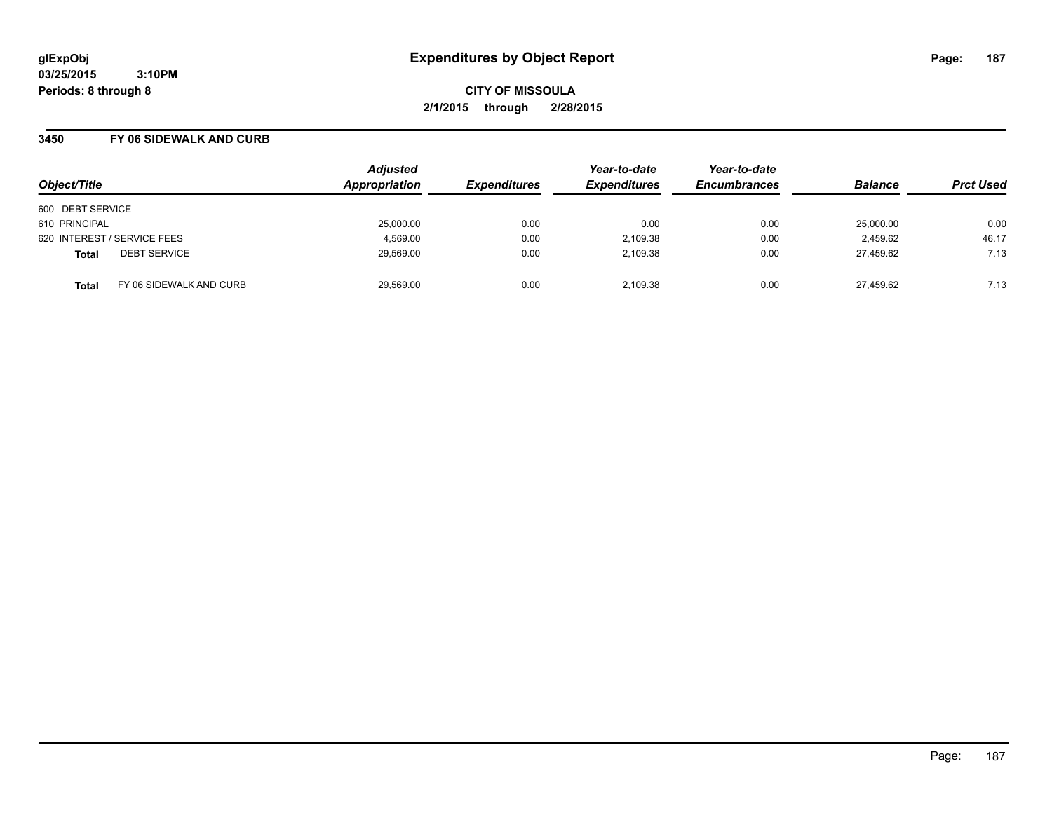**CITY OF MISSOULA 2/1/2015 through 2/28/2015**

#### **3450 FY 06 SIDEWALK AND CURB**

|                                         | <b>Adjusted</b> |                     | Year-to-date        | Year-to-date        |                |                  |
|-----------------------------------------|-----------------|---------------------|---------------------|---------------------|----------------|------------------|
| Object/Title                            | Appropriation   | <b>Expenditures</b> | <b>Expenditures</b> | <b>Encumbrances</b> | <b>Balance</b> | <b>Prct Used</b> |
| 600 DEBT SERVICE                        |                 |                     |                     |                     |                |                  |
| 610 PRINCIPAL                           | 25,000.00       | 0.00                | 0.00                | 0.00                | 25,000.00      | 0.00             |
| 620 INTEREST / SERVICE FEES             | 4,569.00        | 0.00                | 2,109.38            | 0.00                | 2.459.62       | 46.17            |
| <b>DEBT SERVICE</b><br><b>Total</b>     | 29,569.00       | 0.00                | 2.109.38            | 0.00                | 27.459.62      | 7.13             |
| FY 06 SIDEWALK AND CURB<br><b>Total</b> | 29.569.00       | 0.00                | 2.109.38            | 0.00                | 27.459.62      | 7.13             |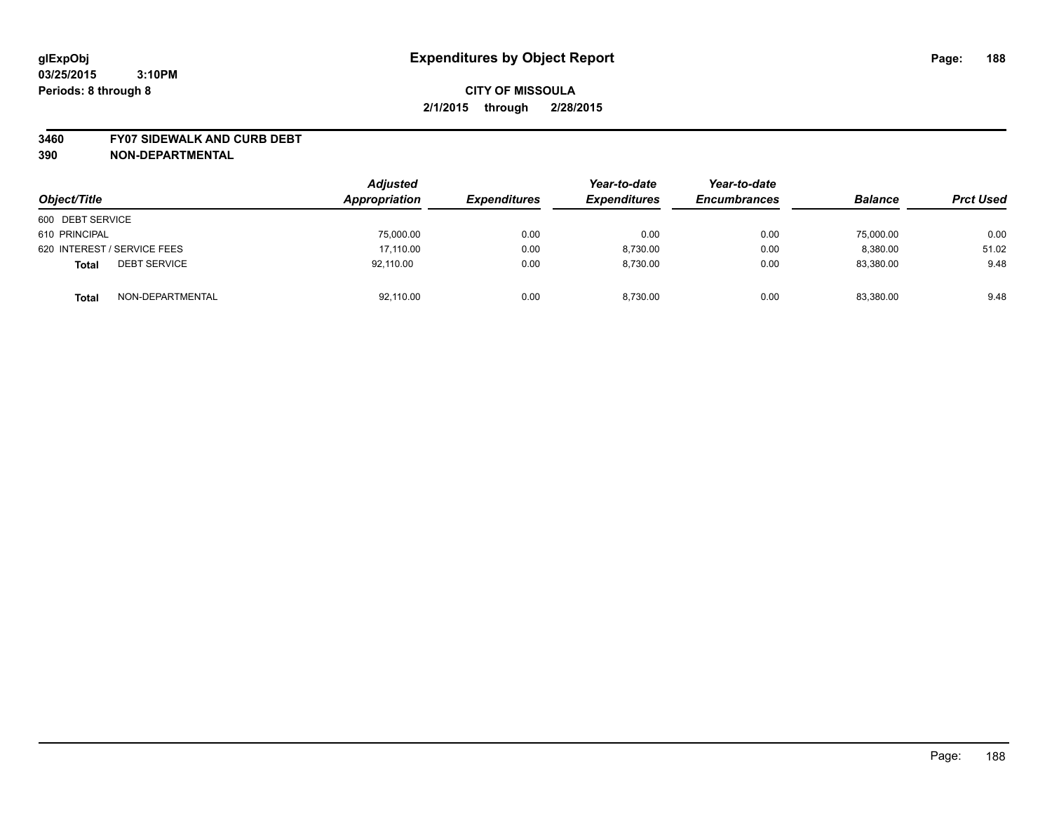#### **3460 FY07 SIDEWALK AND CURB DEBT**

| Object/Title                        | <b>Adjusted</b><br>Appropriation | <b>Expenditures</b> | Year-to-date<br><b>Expenditures</b> | Year-to-date<br><b>Encumbrances</b> | <b>Balance</b> | <b>Prct Used</b> |
|-------------------------------------|----------------------------------|---------------------|-------------------------------------|-------------------------------------|----------------|------------------|
| 600 DEBT SERVICE                    |                                  |                     |                                     |                                     |                |                  |
| 610 PRINCIPAL                       | 75,000.00                        | 0.00                | 0.00                                | 0.00                                | 75,000.00      | 0.00             |
| 620 INTEREST / SERVICE FEES         | 17,110.00                        | 0.00                | 8.730.00                            | 0.00                                | 8,380.00       | 51.02            |
| <b>DEBT SERVICE</b><br><b>Total</b> | 92.110.00                        | 0.00                | 8.730.00                            | 0.00                                | 83.380.00      | 9.48             |
| NON-DEPARTMENTAL<br><b>Total</b>    | 92,110.00                        | 0.00                | 8,730.00                            | 0.00                                | 83,380.00      | 9.48             |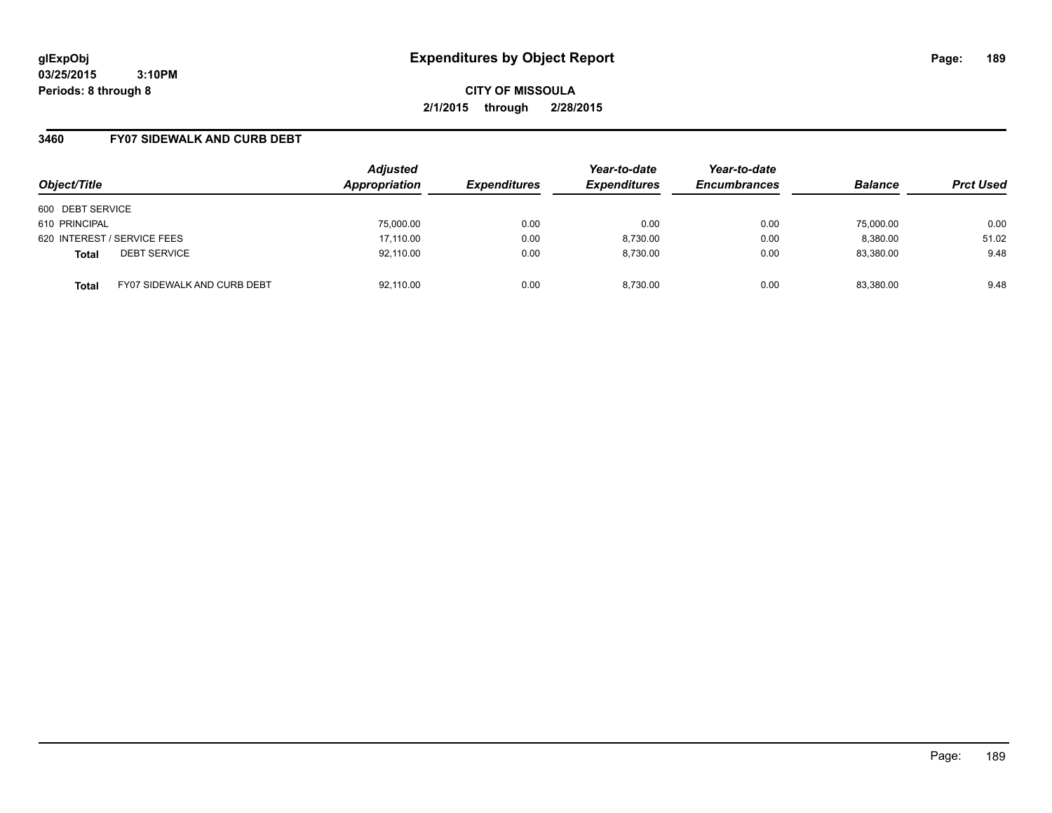**CITY OF MISSOULA 2/1/2015 through 2/28/2015**

## **3460 FY07 SIDEWALK AND CURB DEBT**

|                                                    | <b>Adjusted</b> |                     | Year-to-date        | Year-to-date<br><b>Encumbrances</b> |                |                  |
|----------------------------------------------------|-----------------|---------------------|---------------------|-------------------------------------|----------------|------------------|
| Object/Title                                       | Appropriation   | <b>Expenditures</b> | <b>Expenditures</b> |                                     | <b>Balance</b> | <b>Prct Used</b> |
| 600 DEBT SERVICE                                   |                 |                     |                     |                                     |                |                  |
| 610 PRINCIPAL                                      | 75,000.00       | 0.00                | 0.00                | 0.00                                | 75,000.00      | 0.00             |
| 620 INTEREST / SERVICE FEES                        | 17.110.00       | 0.00                | 8,730.00            | 0.00                                | 8,380.00       | 51.02            |
| <b>DEBT SERVICE</b><br><b>Total</b>                | 92.110.00       | 0.00                | 8.730.00            | 0.00                                | 83.380.00      | 9.48             |
| <b>FY07 SIDEWALK AND CURB DEBT</b><br><b>Total</b> | 92.110.00       | 0.00                | 8.730.00            | 0.00                                | 83.380.00      | 9.48             |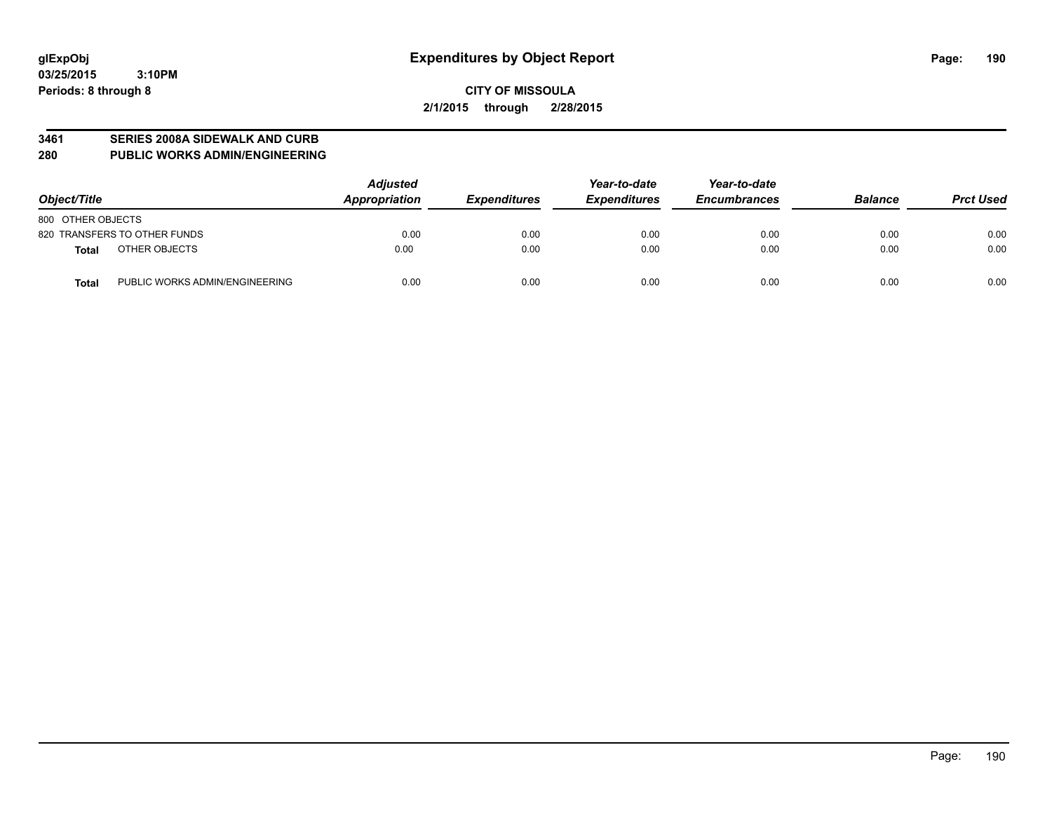#### **3461 SERIES 2008A SIDEWALK AND CURB**

**280 PUBLIC WORKS ADMIN/ENGINEERING**

| Object/Title                                   | <b>Adjusted</b><br>Appropriation | <b>Expenditures</b> | Year-to-date<br><b>Expenditures</b> | Year-to-date<br><b>Encumbrances</b> | <b>Balance</b> | <b>Prct Used</b> |
|------------------------------------------------|----------------------------------|---------------------|-------------------------------------|-------------------------------------|----------------|------------------|
| 800 OTHER OBJECTS                              |                                  |                     |                                     |                                     |                |                  |
| 820 TRANSFERS TO OTHER FUNDS                   | 0.00                             | 0.00                | 0.00                                | 0.00                                | 0.00           | 0.00             |
| OTHER OBJECTS<br><b>Total</b>                  | 0.00                             | 0.00                | 0.00                                | 0.00                                | 0.00           | 0.00             |
| PUBLIC WORKS ADMIN/ENGINEERING<br><b>Total</b> | 0.00                             | 0.00                | 0.00                                | 0.00                                | 0.00           | 0.00             |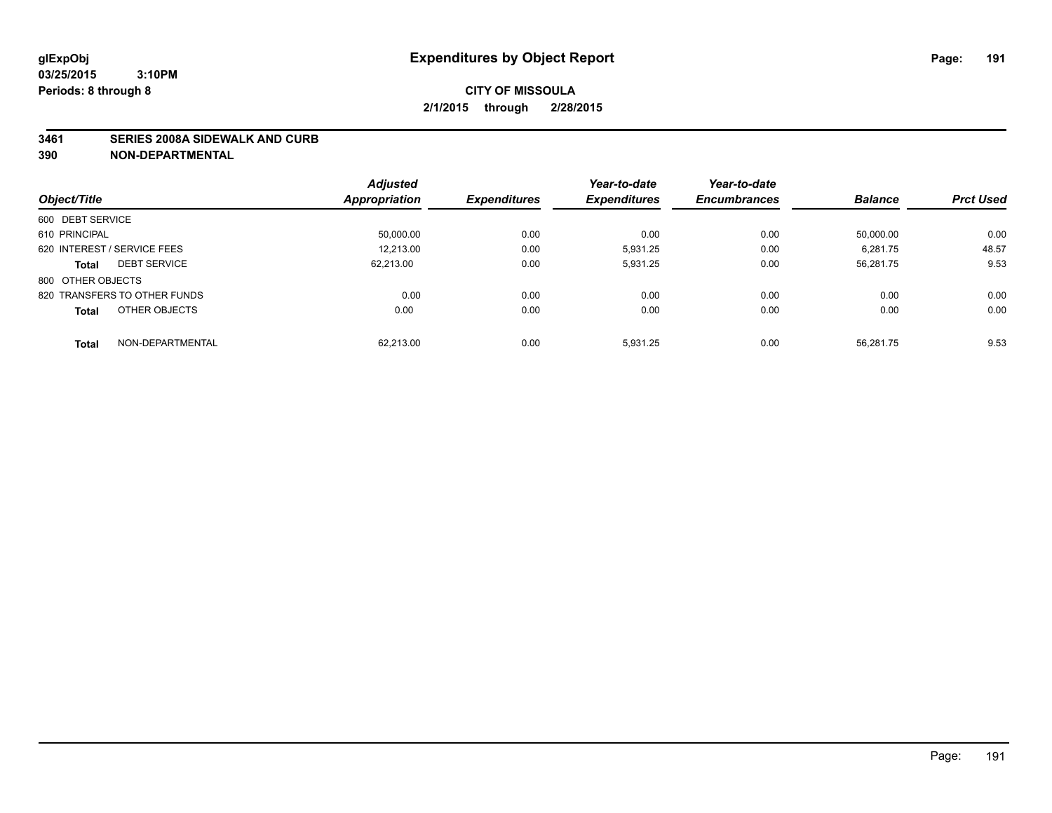#### **3461 SERIES 2008A SIDEWALK AND CURB**

|                                     | <b>Adjusted</b> |                     | Year-to-date        | Year-to-date        |                |                  |
|-------------------------------------|-----------------|---------------------|---------------------|---------------------|----------------|------------------|
| Object/Title                        | Appropriation   | <b>Expenditures</b> | <b>Expenditures</b> | <b>Encumbrances</b> | <b>Balance</b> | <b>Prct Used</b> |
| 600 DEBT SERVICE                    |                 |                     |                     |                     |                |                  |
| 610 PRINCIPAL                       | 50,000.00       | 0.00                | 0.00                | 0.00                | 50.000.00      | 0.00             |
| 620 INTEREST / SERVICE FEES         | 12.213.00       | 0.00                | 5.931.25            | 0.00                | 6.281.75       | 48.57            |
| <b>DEBT SERVICE</b><br><b>Total</b> | 62.213.00       | 0.00                | 5,931.25            | 0.00                | 56,281.75      | 9.53             |
| 800 OTHER OBJECTS                   |                 |                     |                     |                     |                |                  |
| 820 TRANSFERS TO OTHER FUNDS        | 0.00            | 0.00                | 0.00                | 0.00                | 0.00           | 0.00             |
| OTHER OBJECTS<br><b>Total</b>       | 0.00            | 0.00                | 0.00                | 0.00                | 0.00           | 0.00             |
| NON-DEPARTMENTAL<br>Total           | 62.213.00       | 0.00                | 5,931.25            | 0.00                | 56.281.75      | 9.53             |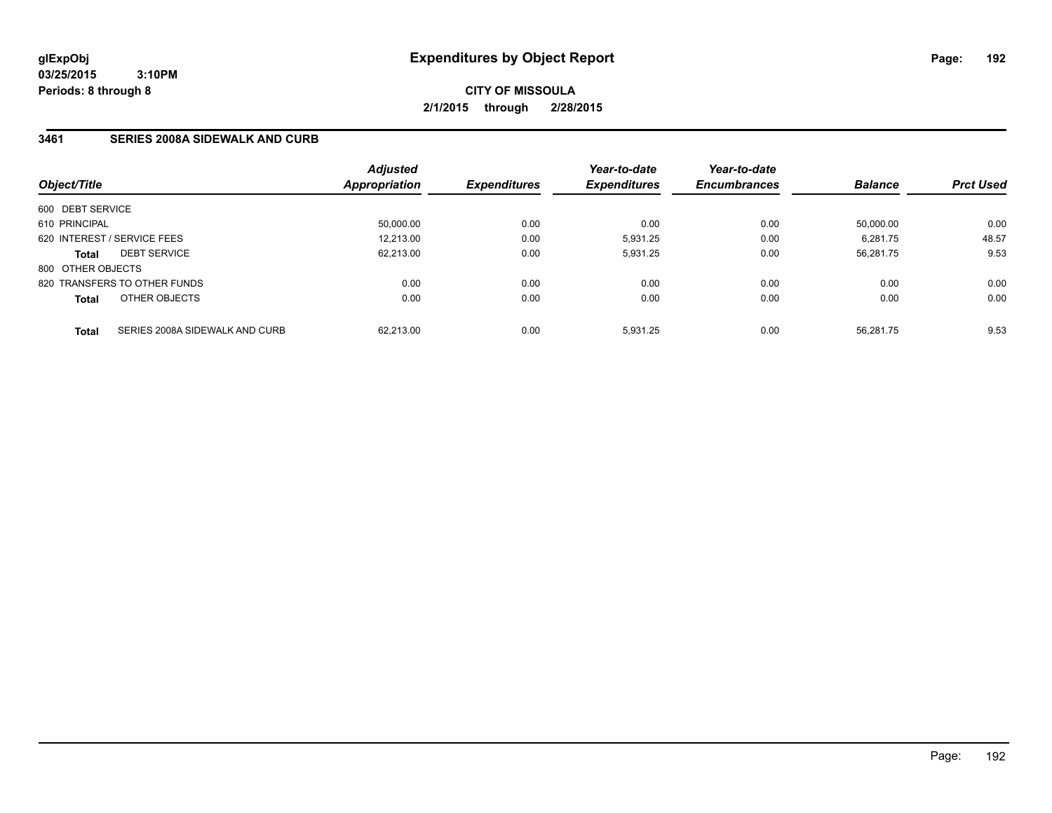**CITY OF MISSOULA 2/1/2015 through 2/28/2015**

## **3461 SERIES 2008A SIDEWALK AND CURB**

| Object/Title      |                                | <b>Adjusted</b><br>Appropriation | <b>Expenditures</b> | Year-to-date<br><b>Expenditures</b> | Year-to-date<br><b>Encumbrances</b> | <b>Balance</b> | <b>Prct Used</b> |
|-------------------|--------------------------------|----------------------------------|---------------------|-------------------------------------|-------------------------------------|----------------|------------------|
| 600 DEBT SERVICE  |                                |                                  |                     |                                     |                                     |                |                  |
| 610 PRINCIPAL     |                                | 50,000.00                        | 0.00                | 0.00                                | 0.00                                | 50.000.00      | 0.00             |
|                   | 620 INTEREST / SERVICE FEES    | 12.213.00                        | 0.00                | 5,931.25                            | 0.00                                | 6,281.75       | 48.57            |
| <b>Total</b>      | <b>DEBT SERVICE</b>            | 62.213.00                        | 0.00                | 5.931.25                            | 0.00                                | 56.281.75      | 9.53             |
| 800 OTHER OBJECTS |                                |                                  |                     |                                     |                                     |                |                  |
|                   | 820 TRANSFERS TO OTHER FUNDS   | 0.00                             | 0.00                | 0.00                                | 0.00                                | 0.00           | 0.00             |
| <b>Total</b>      | OTHER OBJECTS                  | 0.00                             | 0.00                | 0.00                                | 0.00                                | 0.00           | 0.00             |
| <b>Total</b>      | SERIES 2008A SIDEWALK AND CURB | 62.213.00                        | 0.00                | 5.931.25                            | 0.00                                | 56.281.75      | 9.53             |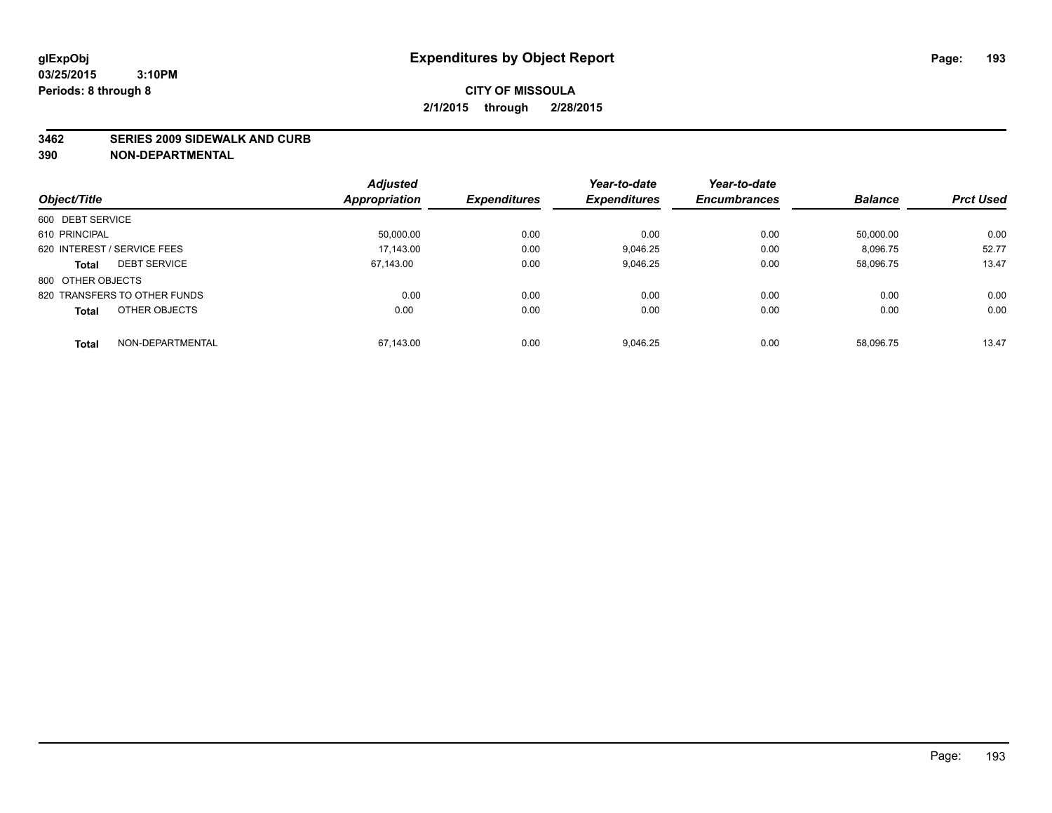#### **3462 SERIES 2009 SIDEWALK AND CURB**

|                                  | <b>Adjusted</b>      |                     | Year-to-date        | Year-to-date        |                |                  |
|----------------------------------|----------------------|---------------------|---------------------|---------------------|----------------|------------------|
| Object/Title                     | <b>Appropriation</b> | <b>Expenditures</b> | <b>Expenditures</b> | <b>Encumbrances</b> | <b>Balance</b> | <b>Prct Used</b> |
| 600 DEBT SERVICE                 |                      |                     |                     |                     |                |                  |
| 610 PRINCIPAL                    | 50.000.00            | 0.00                | 0.00                | 0.00                | 50.000.00      | 0.00             |
| 620 INTEREST / SERVICE FEES      | 17.143.00            | 0.00                | 9.046.25            | 0.00                | 8.096.75       | 52.77            |
| <b>DEBT SERVICE</b><br>Total     | 67.143.00            | 0.00                | 9,046.25            | 0.00                | 58,096.75      | 13.47            |
| 800 OTHER OBJECTS                |                      |                     |                     |                     |                |                  |
| 820 TRANSFERS TO OTHER FUNDS     | 0.00                 | 0.00                | 0.00                | 0.00                | 0.00           | 0.00             |
| OTHER OBJECTS<br><b>Total</b>    | 0.00                 | 0.00                | 0.00                | 0.00                | 0.00           | 0.00             |
| NON-DEPARTMENTAL<br><b>Total</b> | 67.143.00            | 0.00                | 9.046.25            | 0.00                | 58.096.75      | 13.47            |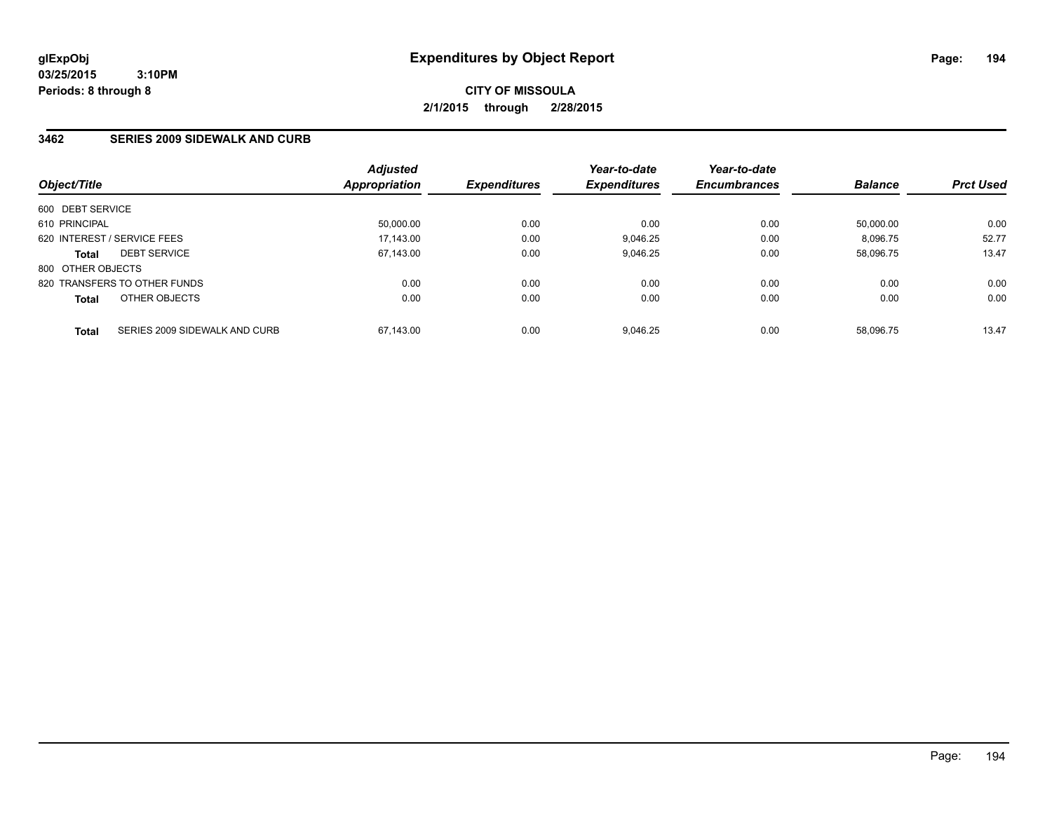**CITY OF MISSOULA 2/1/2015 through 2/28/2015**

## **3462 SERIES 2009 SIDEWALK AND CURB**

|                   |                               | <b>Adjusted</b> |                            | Year-to-date        | Year-to-date        |                |                  |
|-------------------|-------------------------------|-----------------|----------------------------|---------------------|---------------------|----------------|------------------|
| Object/Title      |                               | Appropriation   | <i><b>Expenditures</b></i> | <b>Expenditures</b> | <b>Encumbrances</b> | <b>Balance</b> | <b>Prct Used</b> |
| 600 DEBT SERVICE  |                               |                 |                            |                     |                     |                |                  |
| 610 PRINCIPAL     |                               | 50.000.00       | 0.00                       | 0.00                | 0.00                | 50.000.00      | 0.00             |
|                   | 620 INTEREST / SERVICE FEES   | 17,143.00       | 0.00                       | 9.046.25            | 0.00                | 8.096.75       | 52.77            |
| <b>Total</b>      | <b>DEBT SERVICE</b>           | 67,143.00       | 0.00                       | 9,046.25            | 0.00                | 58,096.75      | 13.47            |
| 800 OTHER OBJECTS |                               |                 |                            |                     |                     |                |                  |
|                   | 820 TRANSFERS TO OTHER FUNDS  | 0.00            | 0.00                       | 0.00                | 0.00                | 0.00           | 0.00             |
| <b>Total</b>      | OTHER OBJECTS                 | 0.00            | 0.00                       | 0.00                | 0.00                | 0.00           | 0.00             |
| <b>Total</b>      | SERIES 2009 SIDEWALK AND CURB | 67.143.00       | 0.00                       | 9.046.25            | 0.00                | 58.096.75      | 13.47            |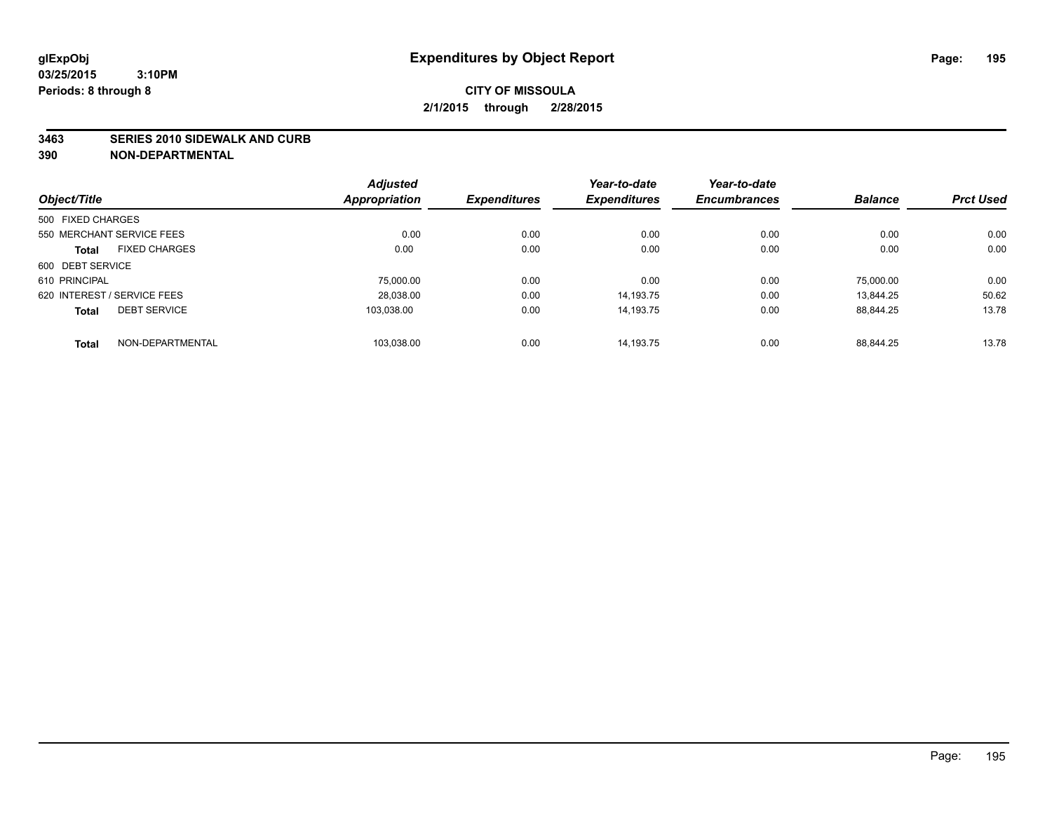#### **3463 SERIES 2010 SIDEWALK AND CURB**

|                                      | <b>Adjusted</b>      |                     | Year-to-date        | Year-to-date        |                |                  |
|--------------------------------------|----------------------|---------------------|---------------------|---------------------|----------------|------------------|
| Object/Title                         | <b>Appropriation</b> | <b>Expenditures</b> | <b>Expenditures</b> | <b>Encumbrances</b> | <b>Balance</b> | <b>Prct Used</b> |
| 500 FIXED CHARGES                    |                      |                     |                     |                     |                |                  |
| 550 MERCHANT SERVICE FEES            | 0.00                 | 0.00                | 0.00                | 0.00                | 0.00           | 0.00             |
| <b>FIXED CHARGES</b><br><b>Total</b> | 0.00                 | 0.00                | 0.00                | 0.00                | 0.00           | 0.00             |
| 600 DEBT SERVICE                     |                      |                     |                     |                     |                |                  |
| 610 PRINCIPAL                        | 75.000.00            | 0.00                | 0.00                | 0.00                | 75.000.00      | 0.00             |
| 620 INTEREST / SERVICE FEES          | 28,038.00            | 0.00                | 14.193.75           | 0.00                | 13.844.25      | 50.62            |
| <b>DEBT SERVICE</b><br><b>Total</b>  | 103.038.00           | 0.00                | 14.193.75           | 0.00                | 88.844.25      | 13.78            |
| NON-DEPARTMENTAL<br><b>Total</b>     | 103,038.00           | 0.00                | 14.193.75           | 0.00                | 88.844.25      | 13.78            |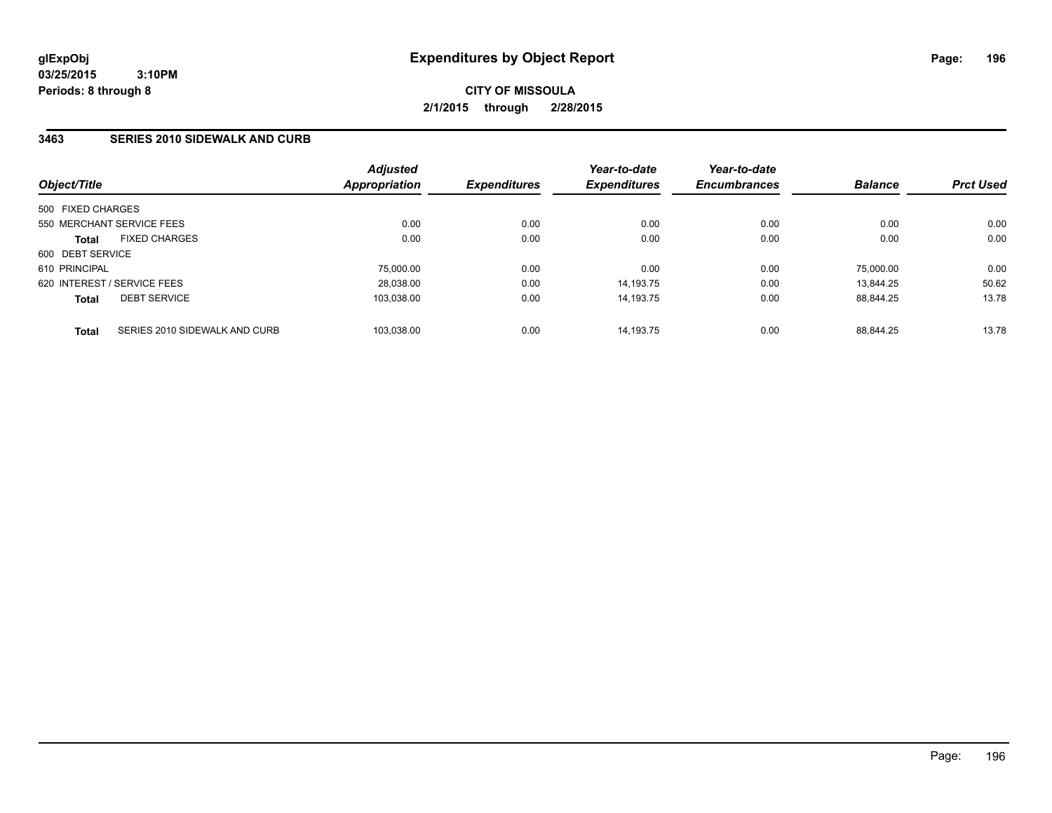**CITY OF MISSOULA 2/1/2015 through 2/28/2015**

## **3463 SERIES 2010 SIDEWALK AND CURB**

| Object/Title      |                               | <b>Adjusted</b><br><b>Appropriation</b> | <b>Expenditures</b> | Year-to-date<br><b>Expenditures</b> | Year-to-date<br><b>Encumbrances</b> | <b>Balance</b> | <b>Prct Used</b> |
|-------------------|-------------------------------|-----------------------------------------|---------------------|-------------------------------------|-------------------------------------|----------------|------------------|
| 500 FIXED CHARGES |                               |                                         |                     |                                     |                                     |                |                  |
|                   | 550 MERCHANT SERVICE FEES     | 0.00                                    | 0.00                | 0.00                                | 0.00                                | 0.00           | 0.00             |
| <b>Total</b>      | <b>FIXED CHARGES</b>          | 0.00                                    | 0.00                | 0.00                                | 0.00                                | 0.00           | 0.00             |
| 600 DEBT SERVICE  |                               |                                         |                     |                                     |                                     |                |                  |
| 610 PRINCIPAL     |                               | 75,000.00                               | 0.00                | 0.00                                | 0.00                                | 75,000.00      | 0.00             |
|                   | 620 INTEREST / SERVICE FEES   | 28,038.00                               | 0.00                | 14.193.75                           | 0.00                                | 13.844.25      | 50.62            |
| <b>Total</b>      | <b>DEBT SERVICE</b>           | 103,038.00                              | 0.00                | 14.193.75                           | 0.00                                | 88.844.25      | 13.78            |
| <b>Total</b>      | SERIES 2010 SIDEWALK AND CURB | 103,038.00                              | 0.00                | 14.193.75                           | 0.00                                | 88.844.25      | 13.78            |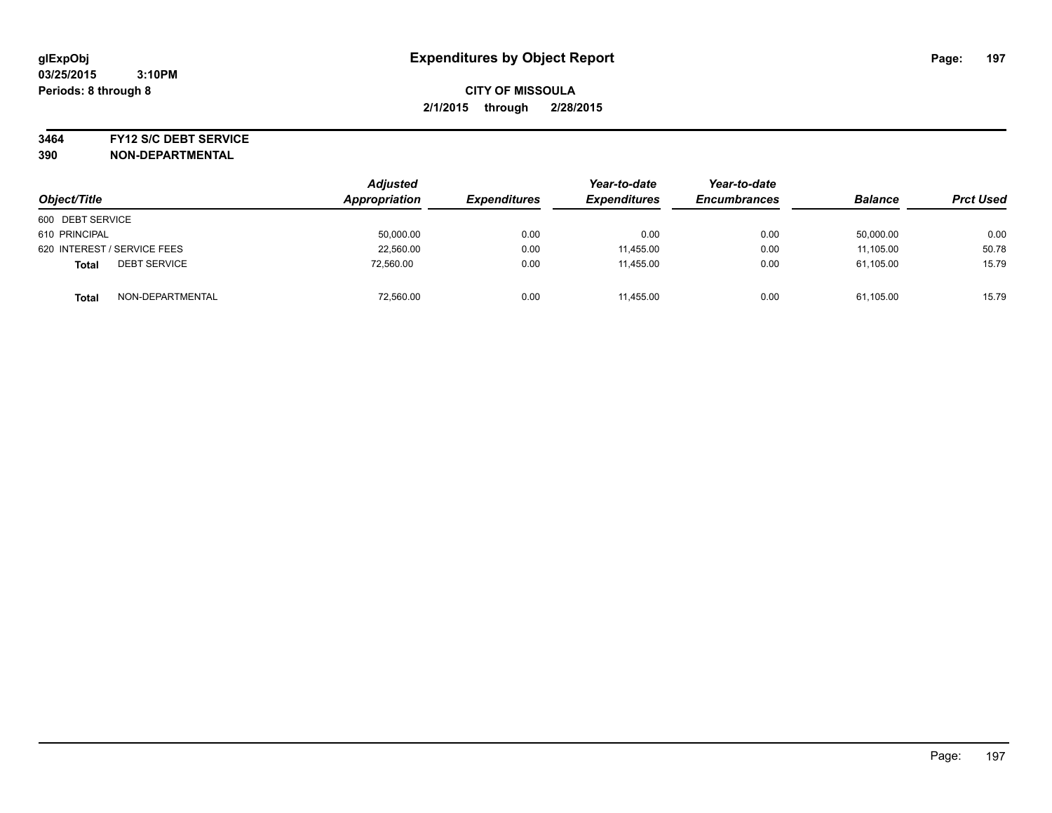#### **3464 FY12 S/C DEBT SERVICE**

| Object/Title                        | <b>Adjusted</b><br>Appropriation | <b>Expenditures</b> | Year-to-date<br><b>Expenditures</b> | Year-to-date<br><b>Encumbrances</b> | <b>Balance</b> | <b>Prct Used</b> |
|-------------------------------------|----------------------------------|---------------------|-------------------------------------|-------------------------------------|----------------|------------------|
| 600 DEBT SERVICE                    |                                  |                     |                                     |                                     |                |                  |
| 610 PRINCIPAL                       | 50,000.00                        | 0.00                | 0.00                                | 0.00                                | 50,000.00      | 0.00             |
| 620 INTEREST / SERVICE FEES         | 22,560.00                        | 0.00                | 11,455.00                           | 0.00                                | 11,105.00      | 50.78            |
| <b>DEBT SERVICE</b><br><b>Total</b> | 72.560.00                        | 0.00                | 11.455.00                           | 0.00                                | 61,105.00      | 15.79            |
| NON-DEPARTMENTAL<br><b>Total</b>    | 72,560.00                        | 0.00                | 11,455.00                           | 0.00                                | 61,105.00      | 15.79            |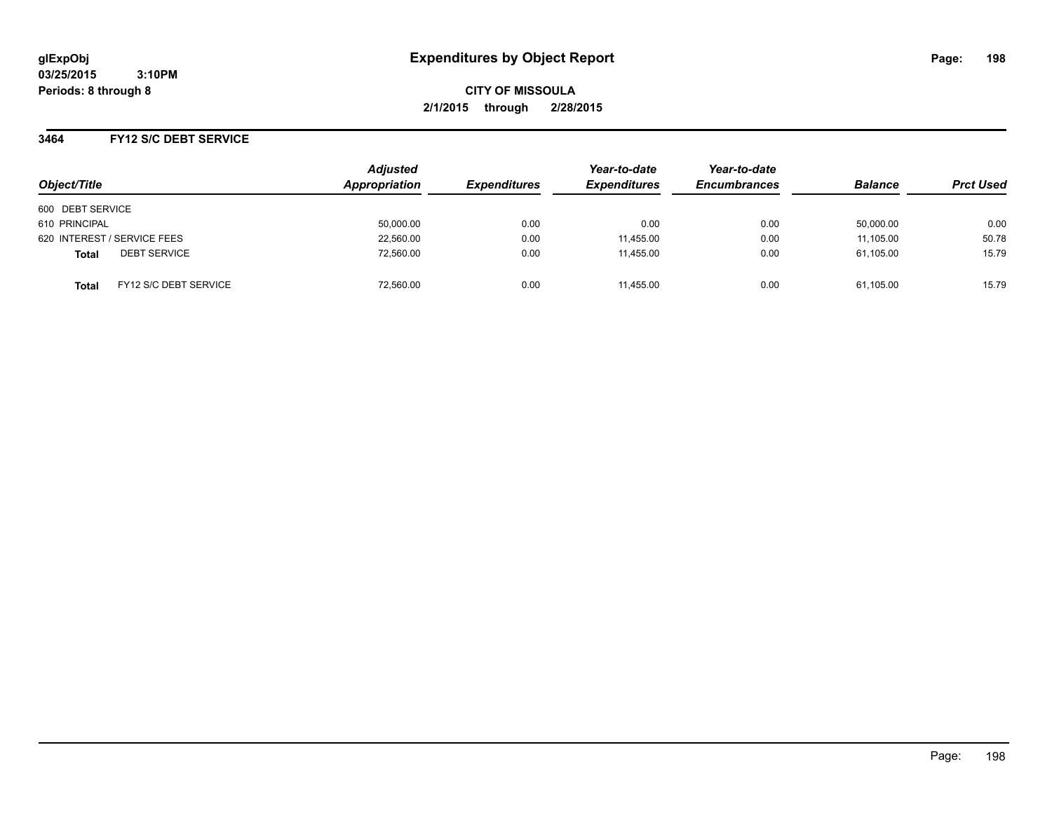**CITY OF MISSOULA 2/1/2015 through 2/28/2015**

## **3464 FY12 S/C DEBT SERVICE**

| Object/Title                                 | <b>Adjusted</b><br>Appropriation | <b>Expenditures</b> | Year-to-date<br><b>Expenditures</b> | Year-to-date<br><b>Encumbrances</b> | <b>Balance</b> | <b>Prct Used</b> |
|----------------------------------------------|----------------------------------|---------------------|-------------------------------------|-------------------------------------|----------------|------------------|
| 600 DEBT SERVICE                             |                                  |                     |                                     |                                     |                |                  |
| 610 PRINCIPAL                                | 50,000.00                        | 0.00                | 0.00                                | 0.00                                | 50,000.00      | 0.00             |
| 620 INTEREST / SERVICE FEES                  | 22,560.00                        | 0.00                | 11,455.00                           | 0.00                                | 11,105.00      | 50.78            |
| <b>DEBT SERVICE</b><br><b>Total</b>          | 72.560.00                        | 0.00                | 11.455.00                           | 0.00                                | 61.105.00      | 15.79            |
| <b>FY12 S/C DEBT SERVICE</b><br><b>Total</b> | 72.560.00                        | 0.00                | 11.455.00                           | 0.00                                | 61.105.00      | 15.79            |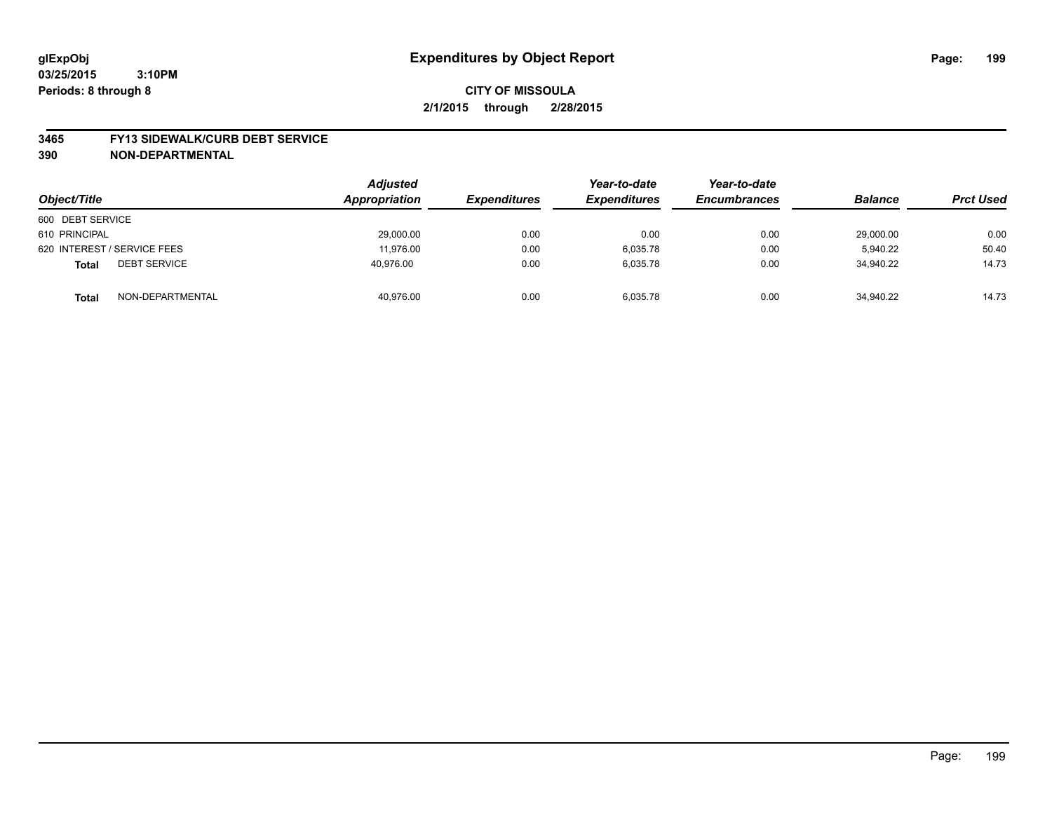#### **3465 FY13 SIDEWALK/CURB DEBT SERVICE**

| Object/Title                        | <b>Adjusted</b><br>Appropriation | <b>Expenditures</b> | Year-to-date<br><b>Expenditures</b> | Year-to-date<br><b>Encumbrances</b> | <b>Balance</b> | <b>Prct Used</b> |
|-------------------------------------|----------------------------------|---------------------|-------------------------------------|-------------------------------------|----------------|------------------|
| 600 DEBT SERVICE                    |                                  |                     |                                     |                                     |                |                  |
| 610 PRINCIPAL                       | 29,000.00                        | 0.00                | 0.00                                | 0.00                                | 29,000.00      | 0.00             |
| 620 INTEREST / SERVICE FEES         | 11.976.00                        | 0.00                | 6.035.78                            | 0.00                                | 5.940.22       | 50.40            |
| <b>DEBT SERVICE</b><br><b>Total</b> | 40,976.00                        | 0.00                | 6,035.78                            | 0.00                                | 34,940.22      | 14.73            |
| NON-DEPARTMENTAL<br><b>Total</b>    | 40,976.00                        | 0.00                | 6,035.78                            | 0.00                                | 34,940.22      | 14.73            |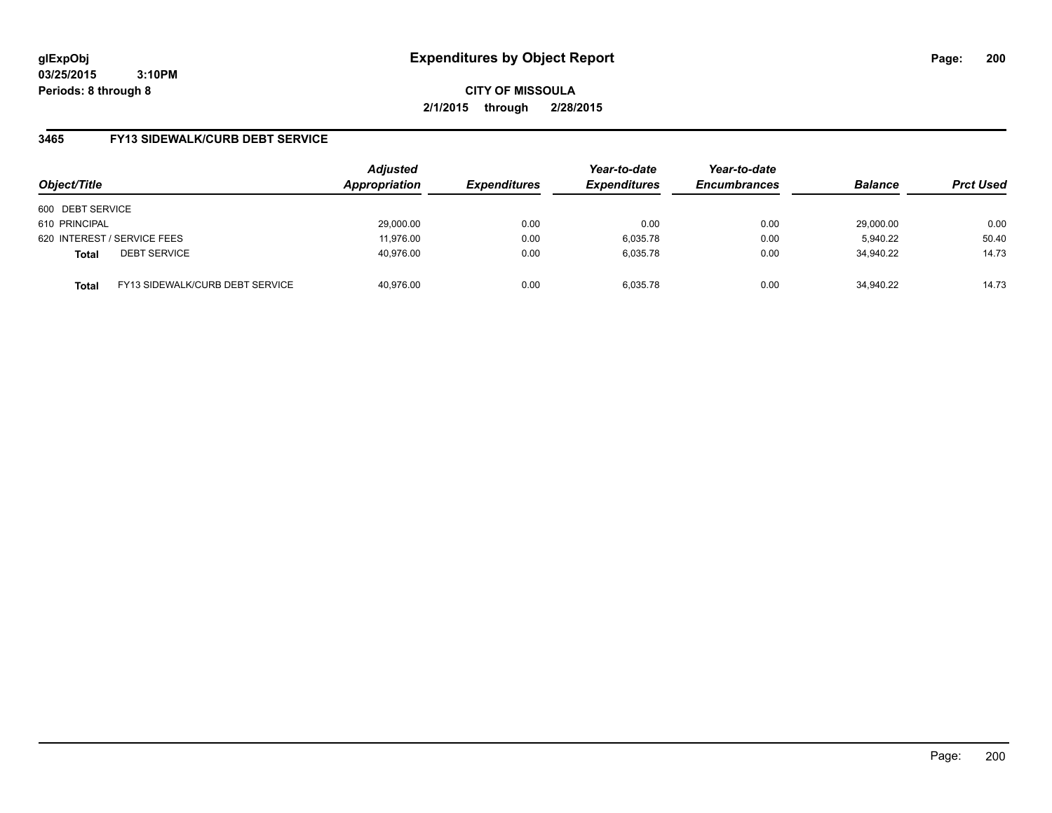**CITY OF MISSOULA 2/1/2015 through 2/28/2015**

## **3465 FY13 SIDEWALK/CURB DEBT SERVICE**

| Object/Title                |                                 | <b>Adjusted</b><br>Appropriation | <b>Expenditures</b> | Year-to-date<br><b>Expenditures</b> | Year-to-date<br><b>Encumbrances</b> | <b>Balance</b> | <b>Prct Used</b> |
|-----------------------------|---------------------------------|----------------------------------|---------------------|-------------------------------------|-------------------------------------|----------------|------------------|
| 600 DEBT SERVICE            |                                 |                                  |                     |                                     |                                     |                |                  |
| 610 PRINCIPAL               |                                 | 29,000.00                        | 0.00                | 0.00                                | 0.00                                | 29.000.00      | 0.00             |
| 620 INTEREST / SERVICE FEES |                                 | 11,976.00                        | 0.00                | 6,035.78                            | 0.00                                | 5.940.22       | 50.40            |
| <b>Total</b>                | <b>DEBT SERVICE</b>             | 40,976.00                        | 0.00                | 6.035.78                            | 0.00                                | 34.940.22      | 14.73            |
| <b>Total</b>                | FY13 SIDEWALK/CURB DEBT SERVICE | 40,976.00                        | 0.00                | 6.035.78                            | 0.00                                | 34.940.22      | 14.73            |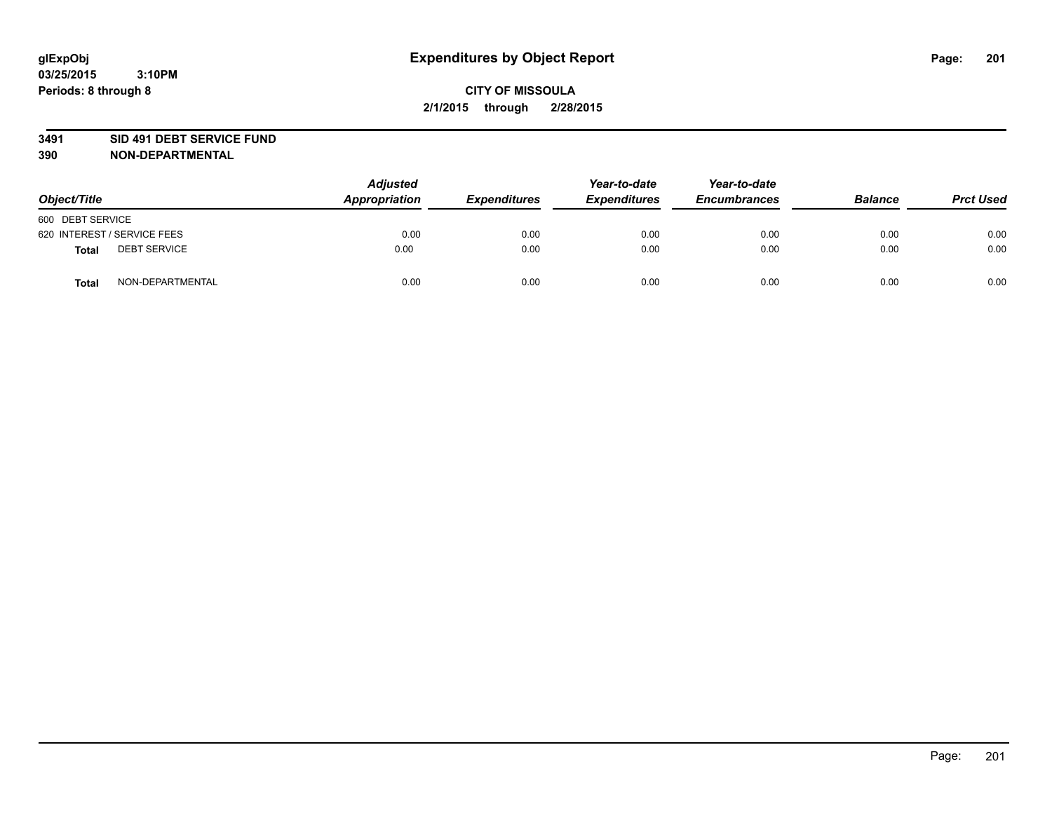#### **3491 SID 491 DEBT SERVICE FUND**

| Object/Title                 | <b>Adjusted</b><br>Appropriation | <b>Expenditures</b> | Year-to-date<br><b>Expenditures</b> | Year-to-date<br><b>Encumbrances</b> | <b>Balance</b> | <b>Prct Used</b> |
|------------------------------|----------------------------------|---------------------|-------------------------------------|-------------------------------------|----------------|------------------|
| 600 DEBT SERVICE             |                                  |                     |                                     |                                     |                |                  |
| 620 INTEREST / SERVICE FEES  | 0.00                             | 0.00                | 0.00                                | 0.00                                | 0.00           | 0.00             |
| <b>DEBT SERVICE</b><br>Total | 0.00                             | 0.00                | 0.00                                | 0.00                                | 0.00           | 0.00             |
| NON-DEPARTMENTAL<br>Total    | 0.00                             | 0.00                | 0.00                                | 0.00                                | 0.00           | 0.00             |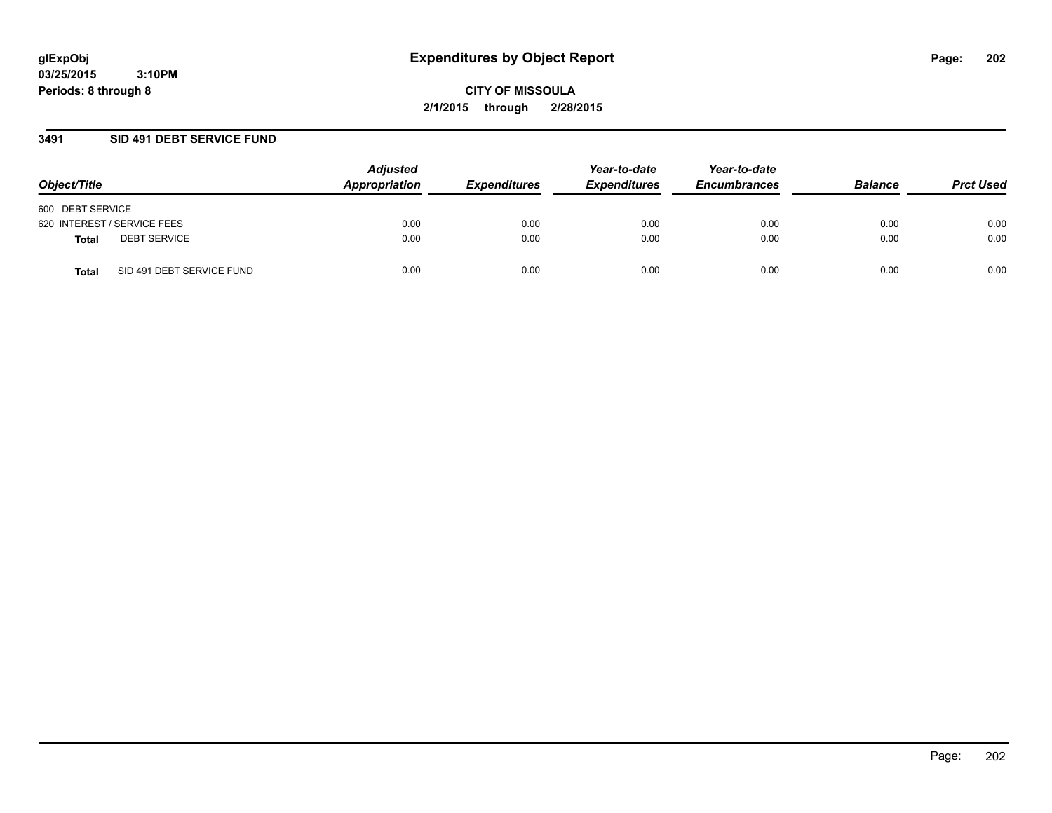**CITY OF MISSOULA 2/1/2015 through 2/28/2015**

## **3491 SID 491 DEBT SERVICE FUND**

| Object/Title                              | <b>Adjusted</b><br>Appropriation | <b>Expenditures</b> | Year-to-date<br><b>Expenditures</b> | Year-to-date<br><b>Encumbrances</b> | <b>Balance</b> | <b>Prct Used</b> |
|-------------------------------------------|----------------------------------|---------------------|-------------------------------------|-------------------------------------|----------------|------------------|
| 600 DEBT SERVICE                          |                                  |                     |                                     |                                     |                |                  |
| 620 INTEREST / SERVICE FEES               | 0.00                             | 0.00                | 0.00                                | 0.00                                | 0.00           | 0.00             |
| <b>DEBT SERVICE</b><br><b>Total</b>       | 0.00                             | 0.00                | 0.00                                | 0.00                                | 0.00           | 0.00             |
| SID 491 DEBT SERVICE FUND<br><b>Total</b> | 0.00                             | 0.00                | 0.00                                | 0.00                                | 0.00           | 0.00             |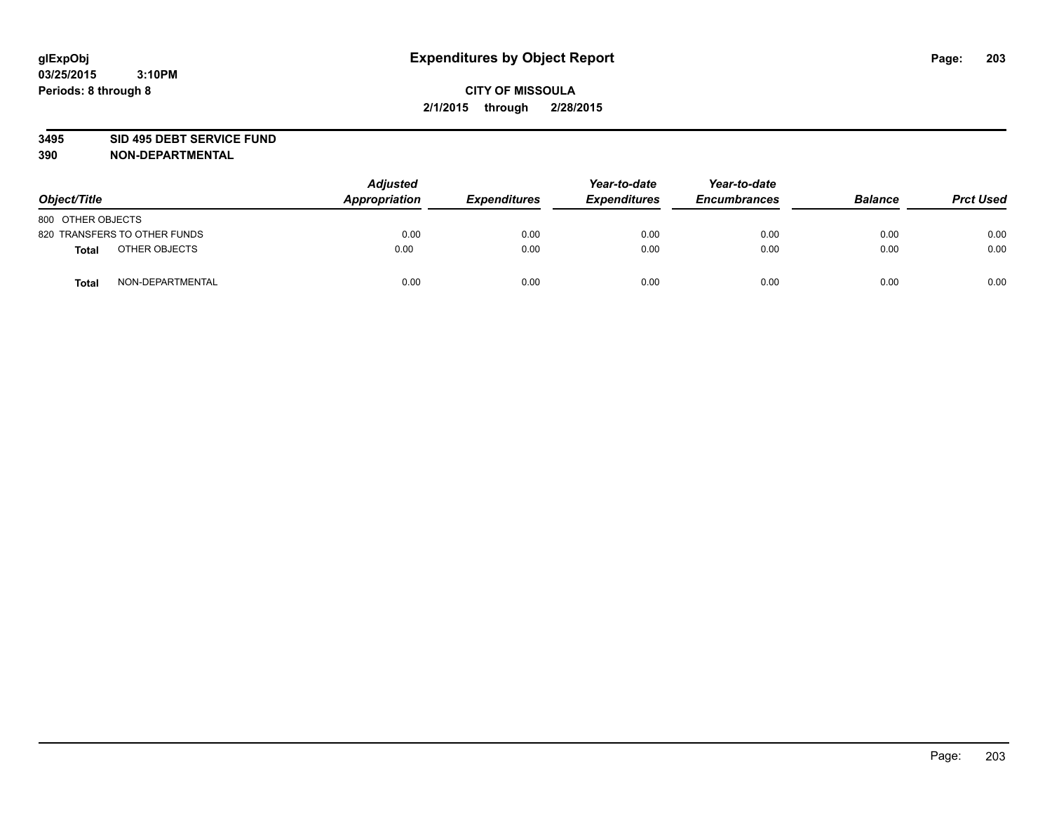#### **3495 SID 495 DEBT SERVICE FUND**

| Object/Title                     | <b>Adjusted</b><br><b>Appropriation</b> | <b>Expenditures</b> | Year-to-date<br><b>Expenditures</b> | Year-to-date<br><b>Encumbrances</b> | <b>Balance</b> | <b>Prct Used</b> |
|----------------------------------|-----------------------------------------|---------------------|-------------------------------------|-------------------------------------|----------------|------------------|
| 800 OTHER OBJECTS                |                                         |                     |                                     |                                     |                |                  |
| 820 TRANSFERS TO OTHER FUNDS     | 0.00                                    | 0.00                | 0.00                                | 0.00                                | 0.00           | 0.00             |
| OTHER OBJECTS<br><b>Total</b>    | 0.00                                    | 0.00                | 0.00                                | 0.00                                | 0.00           | 0.00             |
| NON-DEPARTMENTAL<br><b>Total</b> | 0.00                                    | 0.00                | 0.00                                | 0.00                                | 0.00           | 0.00             |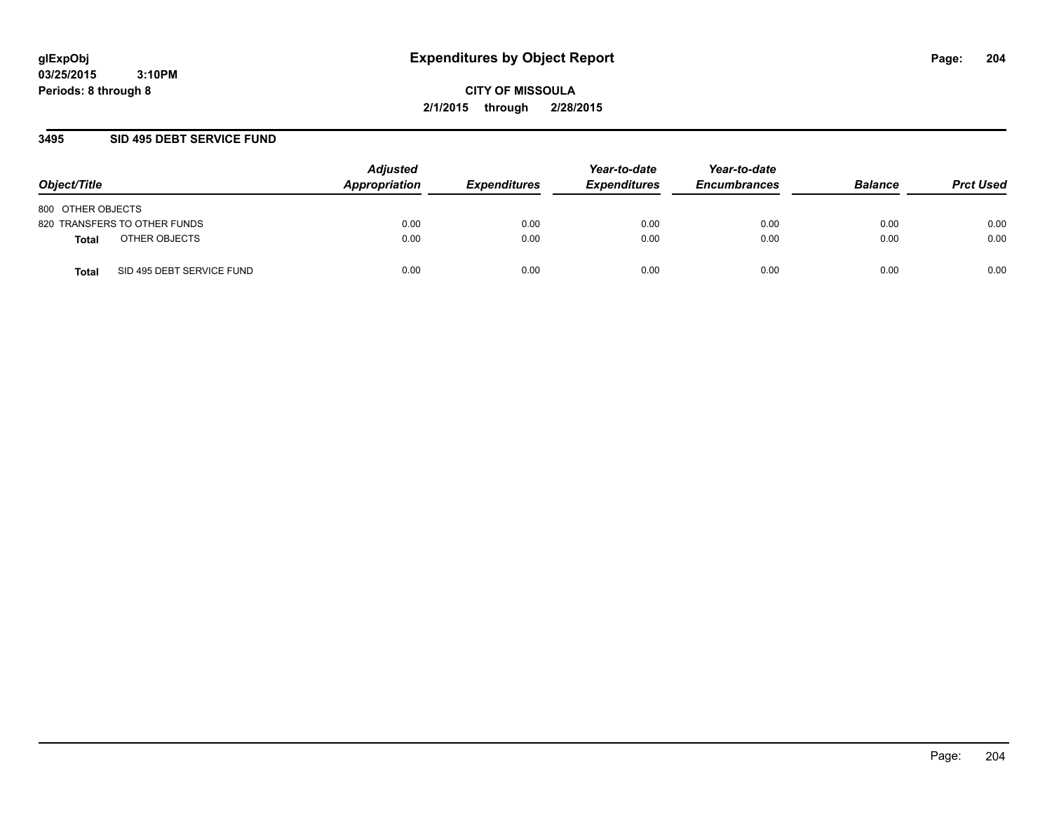## **3495 SID 495 DEBT SERVICE FUND**

| Object/Title                              | <b>Adjusted</b><br>Appropriation | <b>Expenditures</b> | Year-to-date<br><b>Expenditures</b> | Year-to-date<br><b>Encumbrances</b> | <b>Balance</b> | <b>Prct Used</b> |
|-------------------------------------------|----------------------------------|---------------------|-------------------------------------|-------------------------------------|----------------|------------------|
| 800 OTHER OBJECTS                         |                                  |                     |                                     |                                     |                |                  |
| 820 TRANSFERS TO OTHER FUNDS              | 0.00                             | 0.00                | 0.00                                | 0.00                                | 0.00           | 0.00             |
| OTHER OBJECTS<br><b>Total</b>             | 0.00                             | 0.00                | 0.00                                | 0.00                                | 0.00           | 0.00             |
| SID 495 DEBT SERVICE FUND<br><b>Total</b> | 0.00                             | 0.00                | 0.00                                | 0.00                                | 0.00           | 0.00             |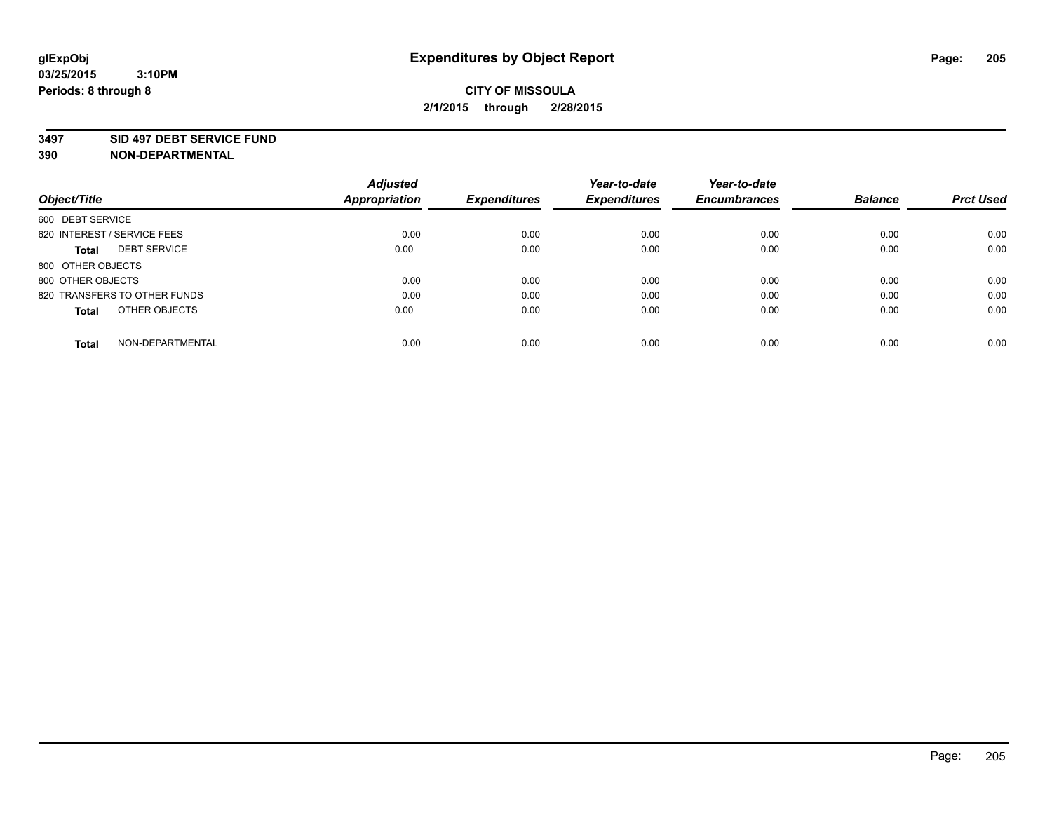#### **3497 SID 497 DEBT SERVICE FUND**

|                                     | <b>Adjusted</b>      |                     | Year-to-date        | Year-to-date        |                |                  |
|-------------------------------------|----------------------|---------------------|---------------------|---------------------|----------------|------------------|
| Object/Title                        | <b>Appropriation</b> | <b>Expenditures</b> | <b>Expenditures</b> | <b>Encumbrances</b> | <b>Balance</b> | <b>Prct Used</b> |
| 600 DEBT SERVICE                    |                      |                     |                     |                     |                |                  |
| 620 INTEREST / SERVICE FEES         | 0.00                 | 0.00                | 0.00                | 0.00                | 0.00           | 0.00             |
| <b>DEBT SERVICE</b><br><b>Total</b> | 0.00                 | 0.00                | 0.00                | 0.00                | 0.00           | 0.00             |
| 800 OTHER OBJECTS                   |                      |                     |                     |                     |                |                  |
| 800 OTHER OBJECTS                   | 0.00                 | 0.00                | 0.00                | 0.00                | 0.00           | 0.00             |
| 820 TRANSFERS TO OTHER FUNDS        | 0.00                 | 0.00                | 0.00                | 0.00                | 0.00           | 0.00             |
| OTHER OBJECTS<br><b>Total</b>       | 0.00                 | 0.00                | 0.00                | 0.00                | 0.00           | 0.00             |
| NON-DEPARTMENTAL<br>Total           | 0.00                 | 0.00                | 0.00                | 0.00                | 0.00           | 0.00             |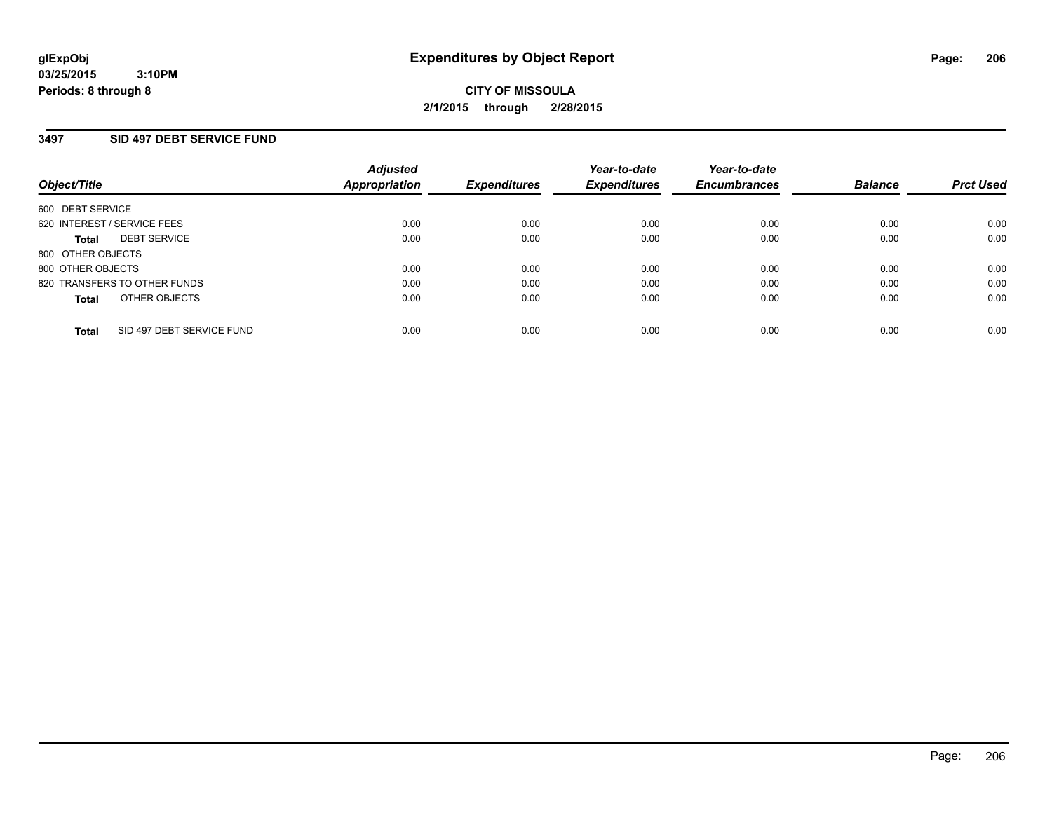**CITY OF MISSOULA 2/1/2015 through 2/28/2015**

#### **3497 SID 497 DEBT SERVICE FUND**

| Object/Title                        | <b>Adjusted</b><br><b>Appropriation</b> | <b>Expenditures</b> | Year-to-date<br><b>Expenditures</b> | Year-to-date<br><b>Encumbrances</b> | <b>Balance</b> | <b>Prct Used</b> |
|-------------------------------------|-----------------------------------------|---------------------|-------------------------------------|-------------------------------------|----------------|------------------|
| 600 DEBT SERVICE                    |                                         |                     |                                     |                                     |                |                  |
| 620 INTEREST / SERVICE FEES         | 0.00                                    | 0.00                | 0.00                                | 0.00                                | 0.00           | 0.00             |
| <b>DEBT SERVICE</b><br><b>Total</b> | 0.00                                    | 0.00                | 0.00                                | 0.00                                | 0.00           | 0.00             |
| 800 OTHER OBJECTS                   |                                         |                     |                                     |                                     |                |                  |
| 800 OTHER OBJECTS                   | 0.00                                    | 0.00                | 0.00                                | 0.00                                | 0.00           | 0.00             |
| 820 TRANSFERS TO OTHER FUNDS        | 0.00                                    | 0.00                | 0.00                                | 0.00                                | 0.00           | 0.00             |
| OTHER OBJECTS<br>Total              | 0.00                                    | 0.00                | 0.00                                | 0.00                                | 0.00           | 0.00             |
| SID 497 DEBT SERVICE FUND<br>Total  | 0.00                                    | 0.00                | 0.00                                | 0.00                                | 0.00           | 0.00             |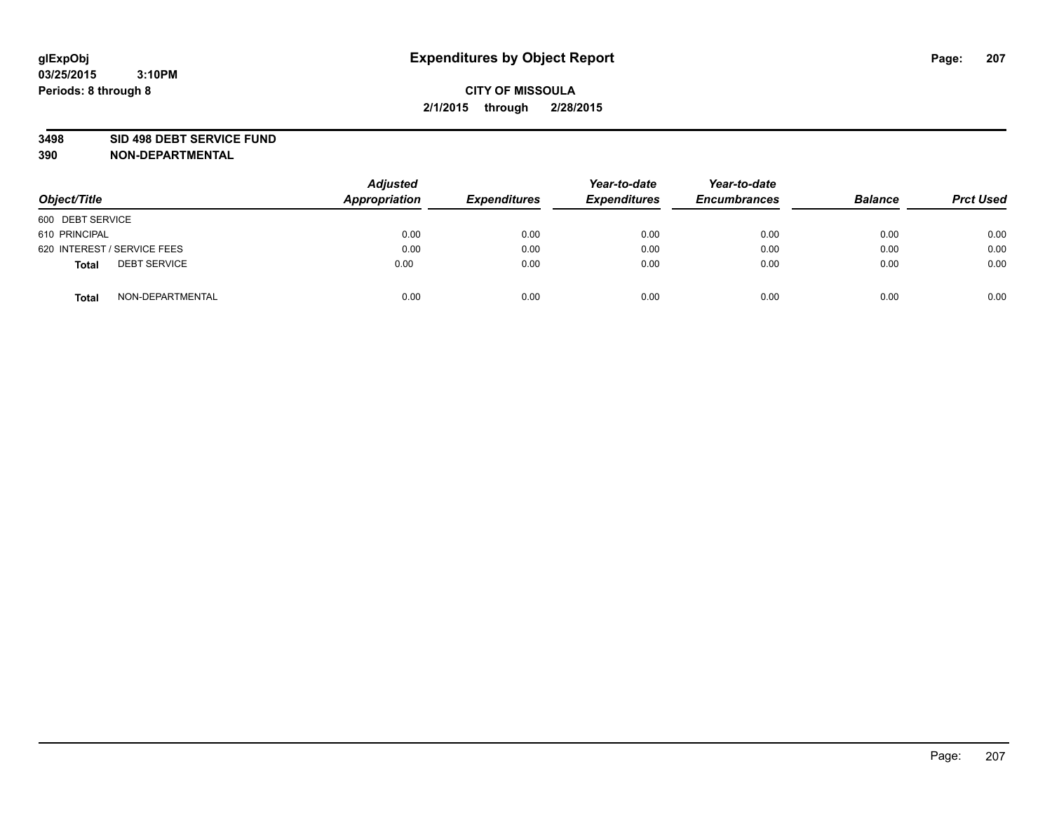#### **3498 SID 498 DEBT SERVICE FUND**

| Object/Title                        | <b>Adjusted</b><br>Appropriation | <b>Expenditures</b> | Year-to-date<br><b>Expenditures</b> | Year-to-date<br><b>Encumbrances</b> | <b>Balance</b> | <b>Prct Used</b> |
|-------------------------------------|----------------------------------|---------------------|-------------------------------------|-------------------------------------|----------------|------------------|
| 600 DEBT SERVICE                    |                                  |                     |                                     |                                     |                |                  |
| 610 PRINCIPAL                       | 0.00                             | 0.00                | 0.00                                | 0.00                                | 0.00           | 0.00             |
| 620 INTEREST / SERVICE FEES         | 0.00                             | 0.00                | 0.00                                | 0.00                                | 0.00           | 0.00             |
| <b>DEBT SERVICE</b><br><b>Total</b> | 0.00                             | 0.00                | 0.00                                | 0.00                                | 0.00           | 0.00             |
| NON-DEPARTMENTAL<br><b>Total</b>    | 0.00                             | 0.00                | 0.00                                | 0.00                                | 0.00           | 0.00             |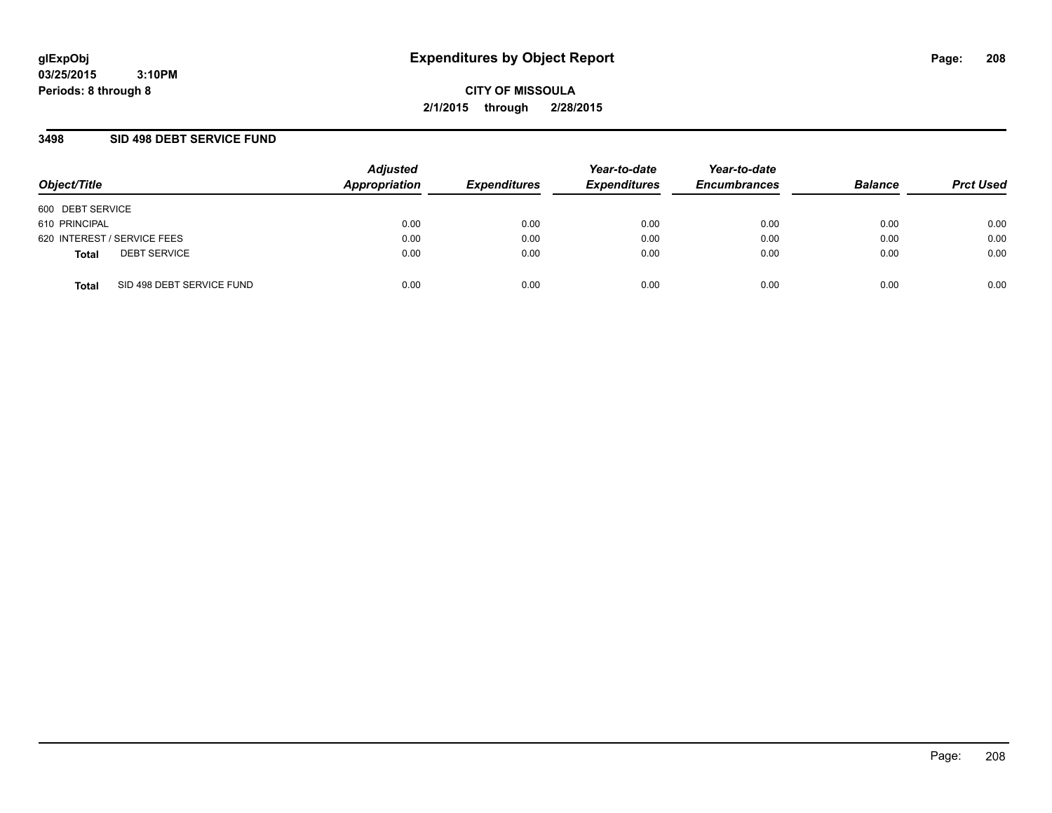**CITY OF MISSOULA 2/1/2015 through 2/28/2015**

## **3498 SID 498 DEBT SERVICE FUND**

| Object/Title                              | <b>Adjusted</b><br>Appropriation | <b>Expenditures</b> | Year-to-date<br><b>Expenditures</b> | Year-to-date<br><b>Encumbrances</b> | <b>Balance</b> | <b>Prct Used</b> |
|-------------------------------------------|----------------------------------|---------------------|-------------------------------------|-------------------------------------|----------------|------------------|
| 600 DEBT SERVICE                          |                                  |                     |                                     |                                     |                |                  |
| 610 PRINCIPAL                             | 0.00                             | 0.00                | 0.00                                | 0.00                                | 0.00           | 0.00             |
| 620 INTEREST / SERVICE FEES               | 0.00                             | 0.00                | 0.00                                | 0.00                                | 0.00           | 0.00             |
| <b>DEBT SERVICE</b><br><b>Total</b>       | 0.00                             | 0.00                | 0.00                                | 0.00                                | 0.00           | 0.00             |
| SID 498 DEBT SERVICE FUND<br><b>Total</b> | 0.00                             | 0.00                | 0.00                                | 0.00                                | 0.00           | 0.00             |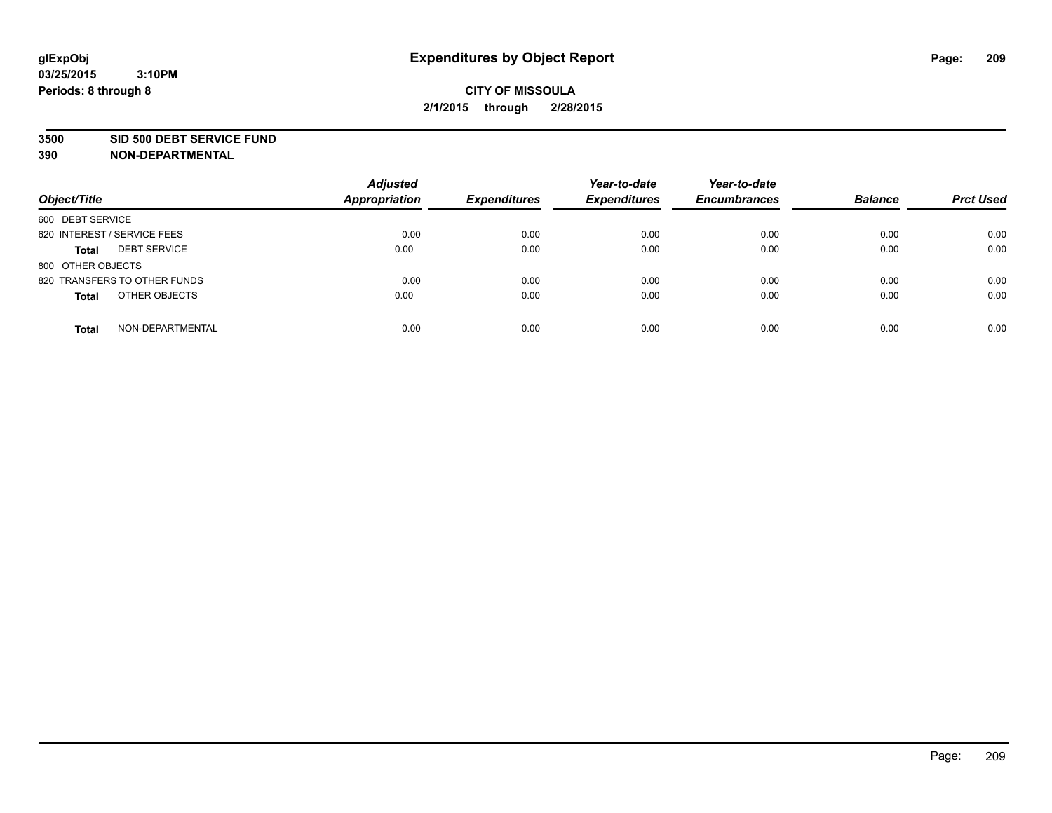#### **3500 SID 500 DEBT SERVICE FUND**

| Object/Title                        | <b>Adjusted</b><br>Appropriation | <b>Expenditures</b> | Year-to-date<br><b>Expenditures</b> | Year-to-date<br><b>Encumbrances</b> | <b>Balance</b> | <b>Prct Used</b> |
|-------------------------------------|----------------------------------|---------------------|-------------------------------------|-------------------------------------|----------------|------------------|
| 600 DEBT SERVICE                    |                                  |                     |                                     |                                     |                |                  |
| 620 INTEREST / SERVICE FEES         | 0.00                             | 0.00                | 0.00                                | 0.00                                | 0.00           | 0.00             |
| <b>DEBT SERVICE</b><br><b>Total</b> | 0.00                             | 0.00                | 0.00                                | 0.00                                | 0.00           | 0.00             |
| 800 OTHER OBJECTS                   |                                  |                     |                                     |                                     |                |                  |
| 820 TRANSFERS TO OTHER FUNDS        | 0.00                             | 0.00                | 0.00                                | 0.00                                | 0.00           | 0.00             |
| OTHER OBJECTS<br><b>Total</b>       | 0.00                             | 0.00                | 0.00                                | 0.00                                | 0.00           | 0.00             |
| NON-DEPARTMENTAL<br><b>Total</b>    | 0.00                             | 0.00                | 0.00                                | 0.00                                | 0.00           | 0.00             |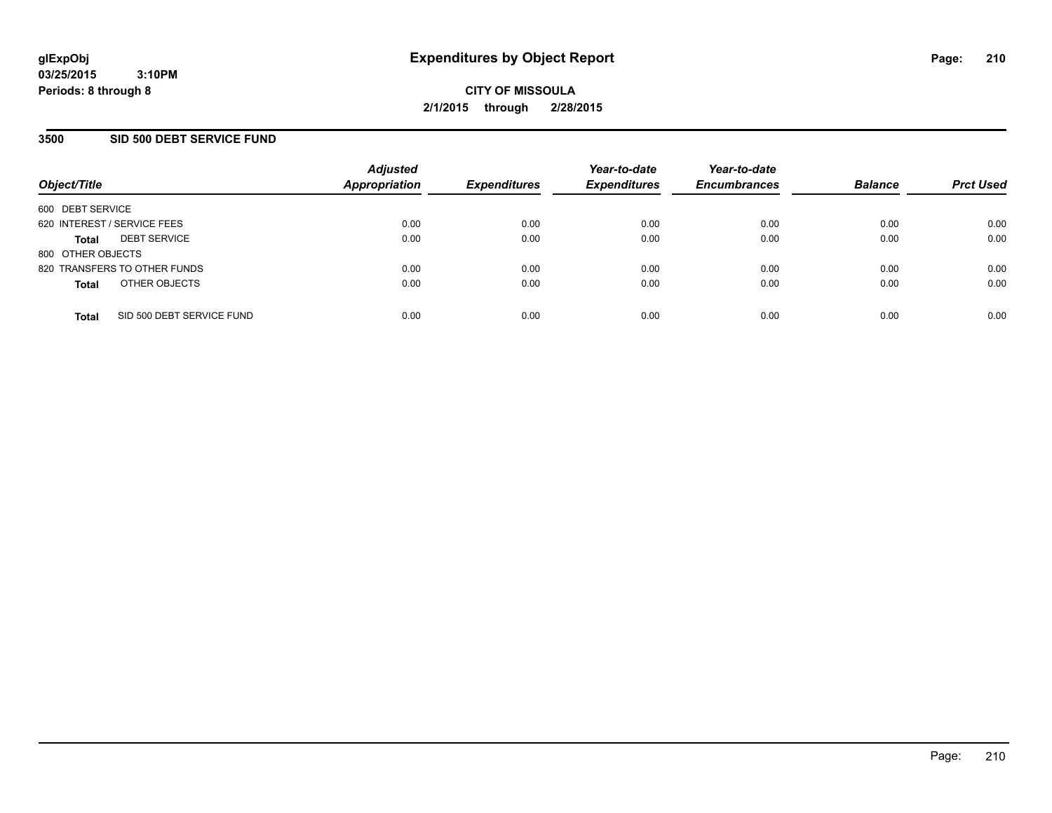## **3500 SID 500 DEBT SERVICE FUND**

| Object/Title                              | <b>Adjusted</b><br><b>Appropriation</b> | <b>Expenditures</b> | Year-to-date<br><b>Expenditures</b> | Year-to-date<br><b>Encumbrances</b> | <b>Balance</b> | <b>Prct Used</b> |
|-------------------------------------------|-----------------------------------------|---------------------|-------------------------------------|-------------------------------------|----------------|------------------|
| 600 DEBT SERVICE                          |                                         |                     |                                     |                                     |                |                  |
| 620 INTEREST / SERVICE FEES               | 0.00                                    | 0.00                | 0.00                                | 0.00                                | 0.00           | 0.00             |
| <b>DEBT SERVICE</b><br><b>Total</b>       | 0.00                                    | 0.00                | 0.00                                | 0.00                                | 0.00           | 0.00             |
| 800 OTHER OBJECTS                         |                                         |                     |                                     |                                     |                |                  |
| 820 TRANSFERS TO OTHER FUNDS              | 0.00                                    | 0.00                | 0.00                                | 0.00                                | 0.00           | 0.00             |
| OTHER OBJECTS<br><b>Total</b>             | 0.00                                    | 0.00                | 0.00                                | 0.00                                | 0.00           | 0.00             |
| SID 500 DEBT SERVICE FUND<br><b>Total</b> | 0.00                                    | 0.00                | 0.00                                | 0.00                                | 0.00           | 0.00             |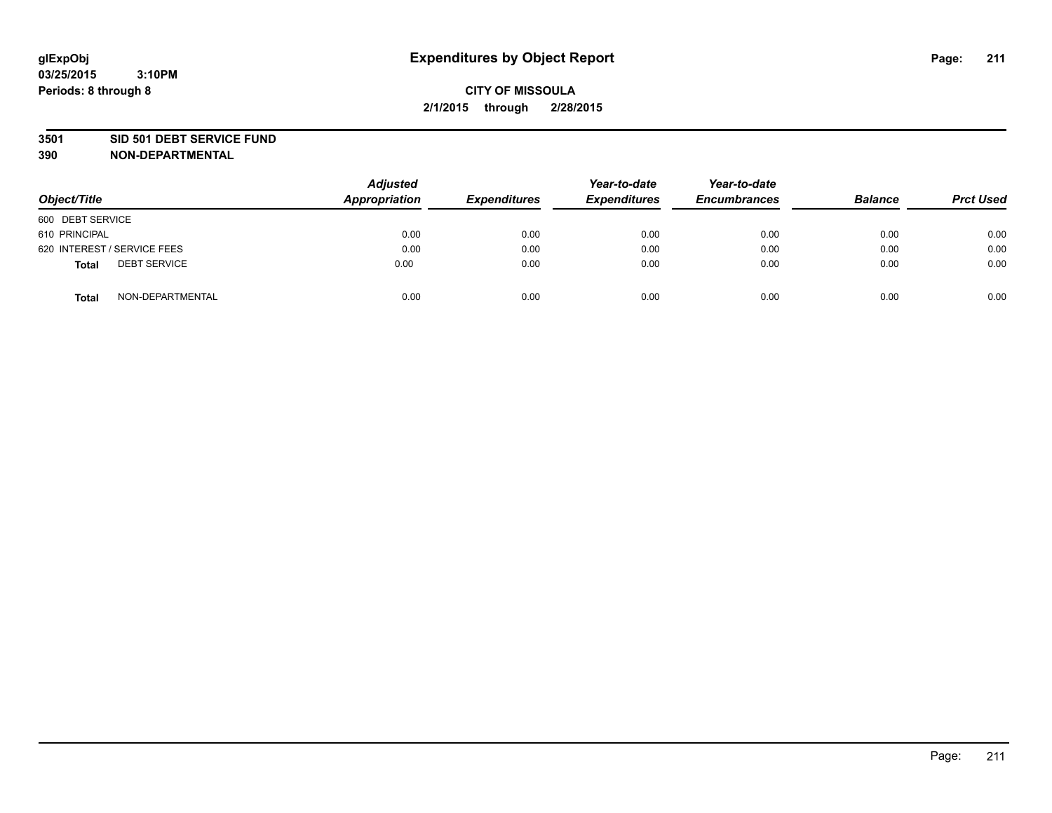#### **3501 SID 501 DEBT SERVICE FUND**

| Object/Title                        | <b>Adjusted</b><br>Appropriation | <b>Expenditures</b> | Year-to-date<br><b>Expenditures</b> | Year-to-date<br><b>Encumbrances</b> | <b>Balance</b> | <b>Prct Used</b> |
|-------------------------------------|----------------------------------|---------------------|-------------------------------------|-------------------------------------|----------------|------------------|
| 600 DEBT SERVICE                    |                                  |                     |                                     |                                     |                |                  |
| 610 PRINCIPAL                       | 0.00                             | 0.00                | 0.00                                | 0.00                                | 0.00           | 0.00             |
| 620 INTEREST / SERVICE FEES         | 0.00                             | 0.00                | 0.00                                | 0.00                                | 0.00           | 0.00             |
| <b>DEBT SERVICE</b><br><b>Total</b> | 0.00                             | 0.00                | 0.00                                | 0.00                                | 0.00           | 0.00             |
| NON-DEPARTMENTAL<br><b>Total</b>    | 0.00                             | 0.00                | 0.00                                | 0.00                                | 0.00           | 0.00             |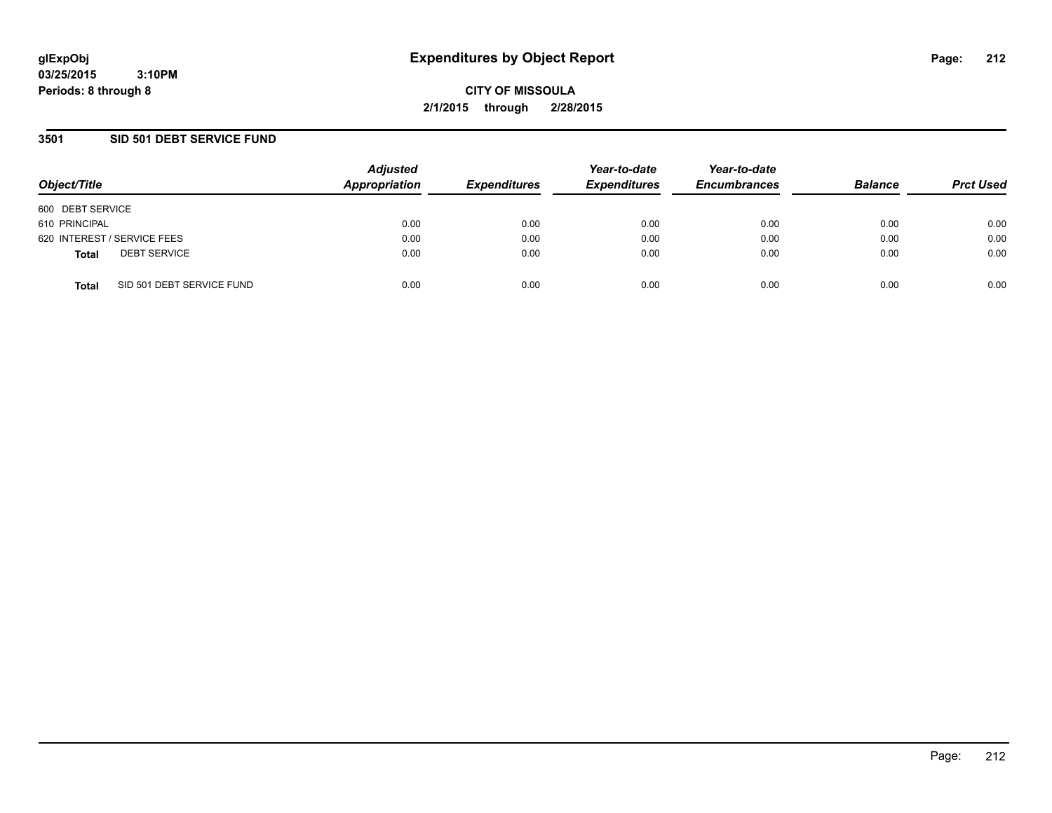**CITY OF MISSOULA 2/1/2015 through 2/28/2015**

## **3501 SID 501 DEBT SERVICE FUND**

| Object/Title                              | <b>Adjusted</b><br>Appropriation | <b>Expenditures</b> | Year-to-date<br><b>Expenditures</b> | Year-to-date<br><b>Encumbrances</b> | <b>Balance</b> | <b>Prct Used</b> |
|-------------------------------------------|----------------------------------|---------------------|-------------------------------------|-------------------------------------|----------------|------------------|
| 600 DEBT SERVICE                          |                                  |                     |                                     |                                     |                |                  |
| 610 PRINCIPAL                             | 0.00                             | 0.00                | 0.00                                | 0.00                                | 0.00           | 0.00             |
| 620 INTEREST / SERVICE FEES               | 0.00                             | 0.00                | 0.00                                | 0.00                                | 0.00           | 0.00             |
| <b>DEBT SERVICE</b><br><b>Total</b>       | 0.00                             | 0.00                | 0.00                                | 0.00                                | 0.00           | 0.00             |
| SID 501 DEBT SERVICE FUND<br><b>Total</b> | 0.00                             | 0.00                | 0.00                                | 0.00                                | 0.00           | 0.00             |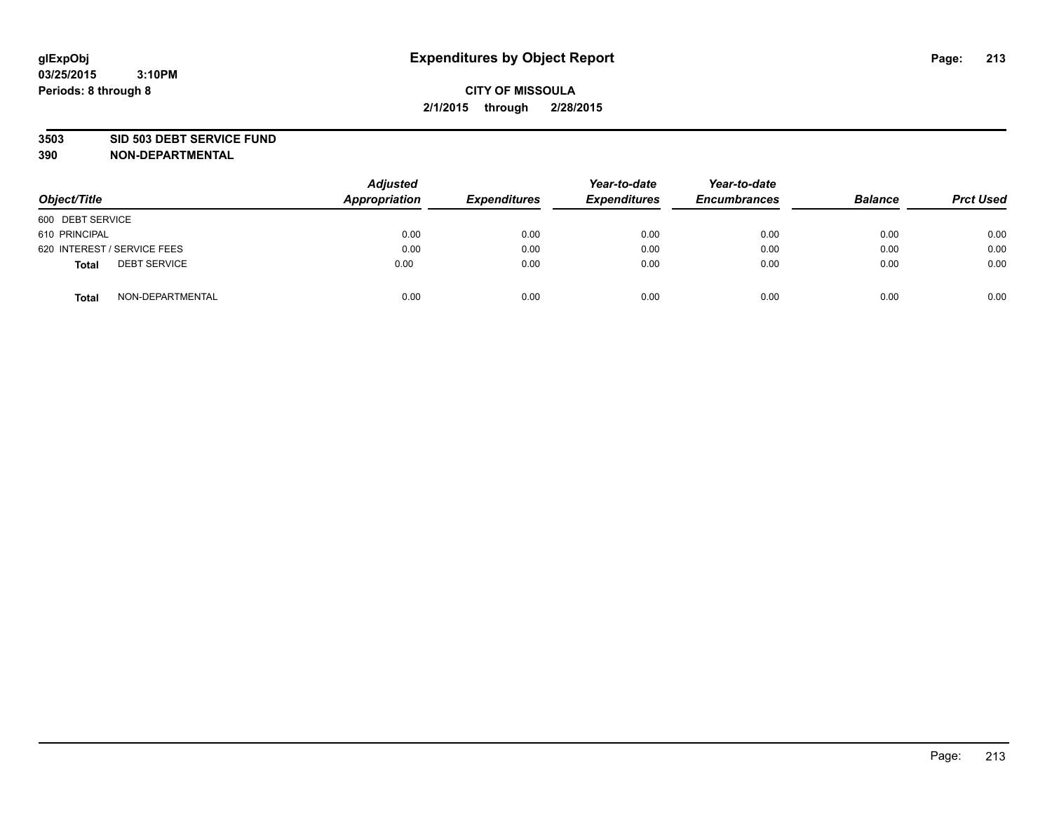#### **3503 SID 503 DEBT SERVICE FUND**

| Object/Title                        | <b>Adjusted</b><br>Appropriation | <b>Expenditures</b> | Year-to-date<br><b>Expenditures</b> | Year-to-date<br><b>Encumbrances</b> | <b>Balance</b> | <b>Prct Used</b> |
|-------------------------------------|----------------------------------|---------------------|-------------------------------------|-------------------------------------|----------------|------------------|
| 600 DEBT SERVICE                    |                                  |                     |                                     |                                     |                |                  |
| 610 PRINCIPAL                       | 0.00                             | 0.00                | 0.00                                | 0.00                                | 0.00           | 0.00             |
| 620 INTEREST / SERVICE FEES         | 0.00                             | 0.00                | 0.00                                | 0.00                                | 0.00           | 0.00             |
| <b>DEBT SERVICE</b><br><b>Total</b> | 0.00                             | 0.00                | 0.00                                | 0.00                                | 0.00           | 0.00             |
| NON-DEPARTMENTAL<br><b>Total</b>    | 0.00                             | 0.00                | 0.00                                | 0.00                                | 0.00           | 0.00             |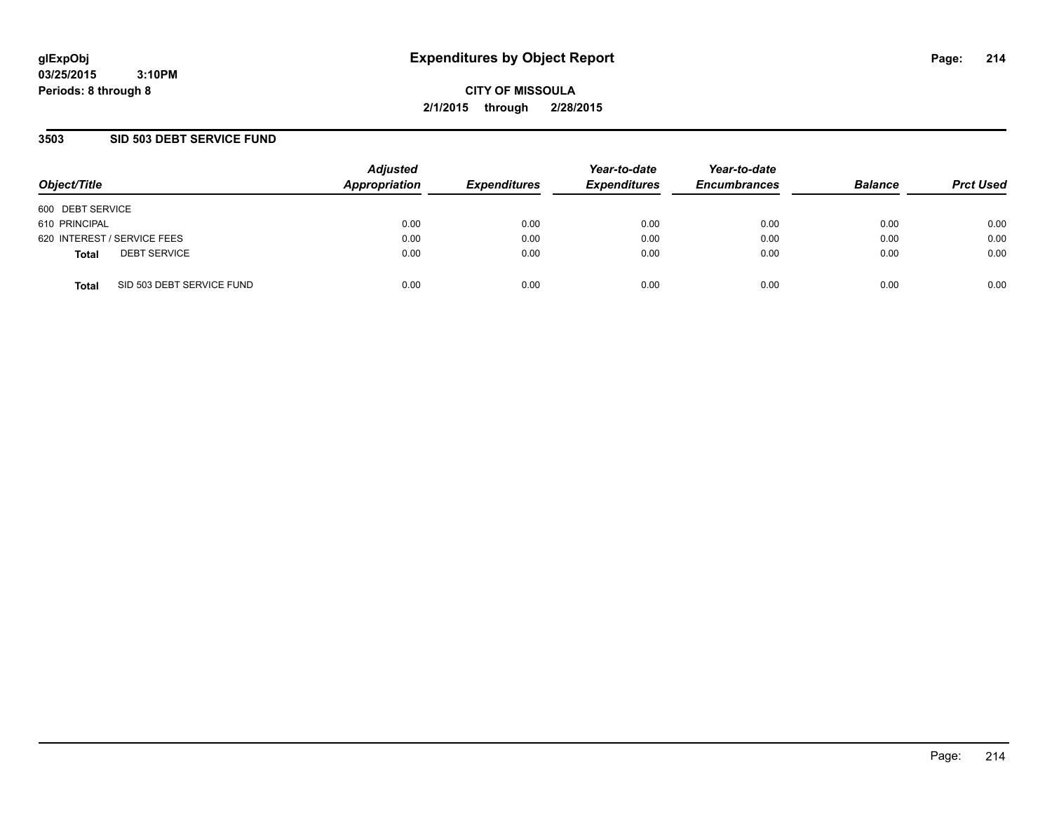**CITY OF MISSOULA 2/1/2015 through 2/28/2015**

## **3503 SID 503 DEBT SERVICE FUND**

| Object/Title                        |                           | <b>Adjusted</b><br>Appropriation | <b>Expenditures</b> | Year-to-date<br><b>Expenditures</b> | Year-to-date<br><b>Encumbrances</b> | <b>Balance</b> | <b>Prct Used</b> |
|-------------------------------------|---------------------------|----------------------------------|---------------------|-------------------------------------|-------------------------------------|----------------|------------------|
| 600 DEBT SERVICE                    |                           |                                  |                     |                                     |                                     |                |                  |
| 610 PRINCIPAL                       |                           | 0.00                             | 0.00                | 0.00                                | 0.00                                | 0.00           | 0.00             |
| 620 INTEREST / SERVICE FEES         |                           | 0.00                             | 0.00                | 0.00                                | 0.00                                | 0.00           | 0.00             |
| <b>DEBT SERVICE</b><br><b>Total</b> |                           | 0.00                             | 0.00                | 0.00                                | 0.00                                | 0.00           | 0.00             |
| <b>Total</b>                        | SID 503 DEBT SERVICE FUND | 0.00                             | 0.00                | 0.00                                | 0.00                                | 0.00           | 0.00             |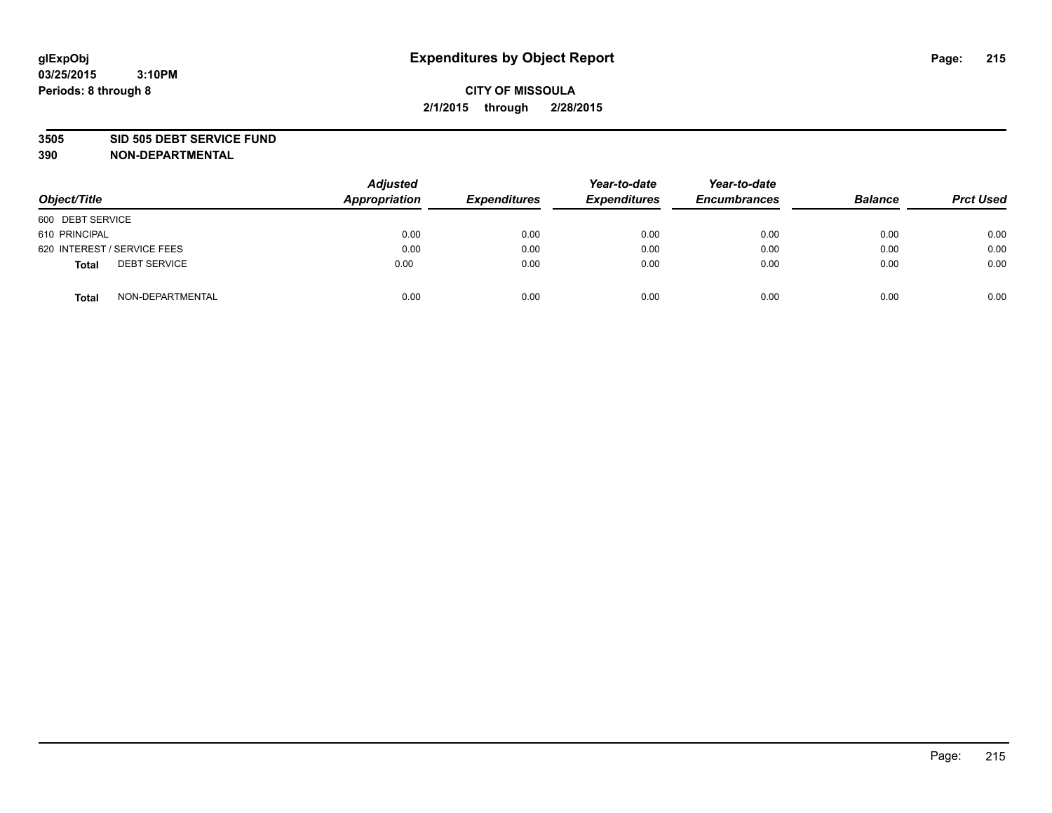#### **3505 SID 505 DEBT SERVICE FUND**

| Object/Title                        | <b>Adjusted</b><br>Appropriation | <b>Expenditures</b> | Year-to-date<br><b>Expenditures</b> | Year-to-date<br><b>Encumbrances</b> | <b>Balance</b> | <b>Prct Used</b> |
|-------------------------------------|----------------------------------|---------------------|-------------------------------------|-------------------------------------|----------------|------------------|
| 600 DEBT SERVICE                    |                                  |                     |                                     |                                     |                |                  |
| 610 PRINCIPAL                       | 0.00                             | 0.00                | 0.00                                | 0.00                                | 0.00           | 0.00             |
| 620 INTEREST / SERVICE FEES         | 0.00                             | 0.00                | 0.00                                | 0.00                                | 0.00           | 0.00             |
| <b>DEBT SERVICE</b><br><b>Total</b> | 0.00                             | 0.00                | 0.00                                | 0.00                                | 0.00           | 0.00             |
| NON-DEPARTMENTAL<br><b>Total</b>    | 0.00                             | 0.00                | 0.00                                | 0.00                                | 0.00           | 0.00             |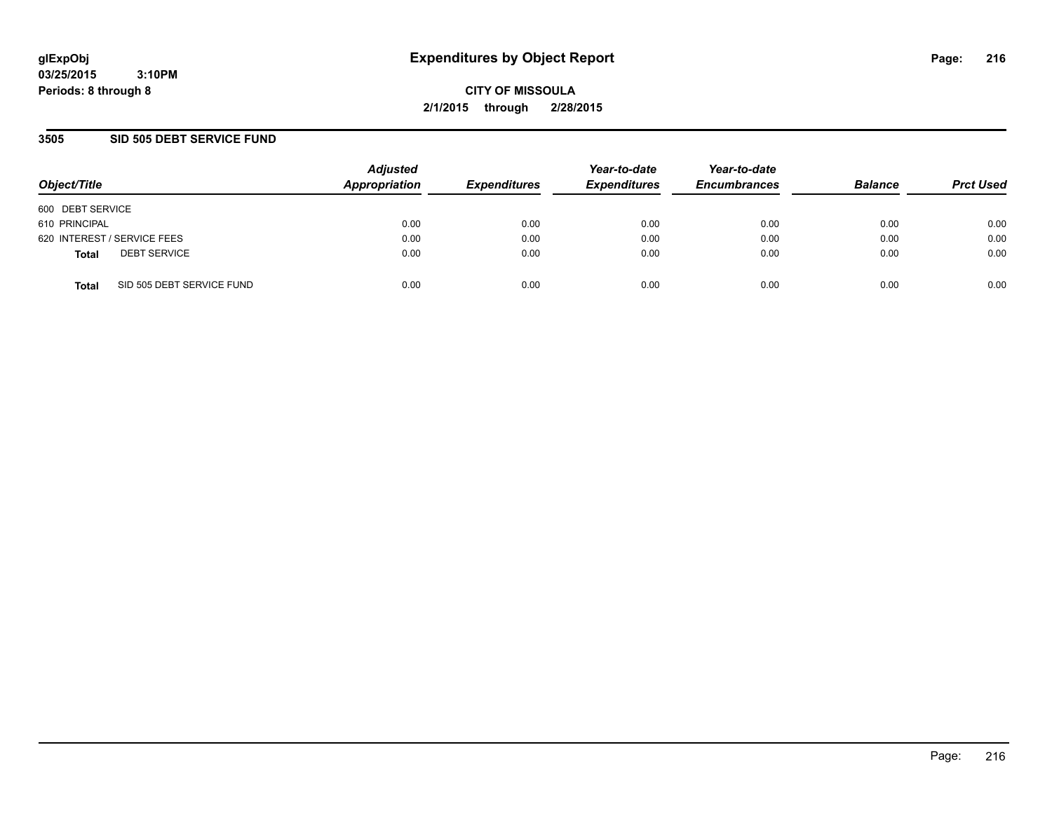**CITY OF MISSOULA 2/1/2015 through 2/28/2015**

## **3505 SID 505 DEBT SERVICE FUND**

| Object/Title                              | <b>Adjusted</b><br>Appropriation | <b>Expenditures</b> | Year-to-date<br><b>Expenditures</b> | Year-to-date<br><b>Encumbrances</b> | <b>Balance</b> | <b>Prct Used</b> |
|-------------------------------------------|----------------------------------|---------------------|-------------------------------------|-------------------------------------|----------------|------------------|
| 600 DEBT SERVICE                          |                                  |                     |                                     |                                     |                |                  |
| 610 PRINCIPAL                             | 0.00                             | 0.00                | 0.00                                | 0.00                                | 0.00           | 0.00             |
| 620 INTEREST / SERVICE FEES               | 0.00                             | 0.00                | 0.00                                | 0.00                                | 0.00           | 0.00             |
| <b>DEBT SERVICE</b><br><b>Total</b>       | 0.00                             | 0.00                | 0.00                                | 0.00                                | 0.00           | 0.00             |
| SID 505 DEBT SERVICE FUND<br><b>Total</b> | 0.00                             | 0.00                | 0.00                                | 0.00                                | 0.00           | 0.00             |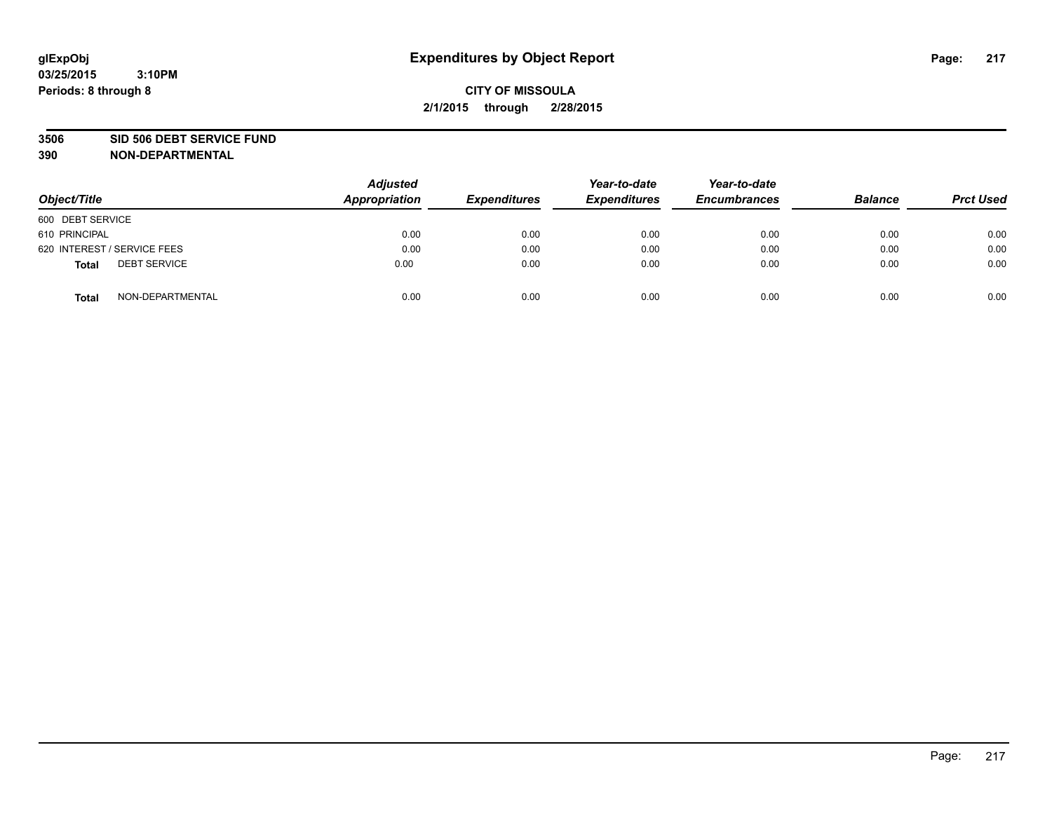#### **3506 SID 506 DEBT SERVICE FUND**

| Object/Title                        | <b>Adjusted</b><br>Appropriation | <b>Expenditures</b> | Year-to-date<br><b>Expenditures</b> | Year-to-date<br><b>Encumbrances</b> | <b>Balance</b> | <b>Prct Used</b> |
|-------------------------------------|----------------------------------|---------------------|-------------------------------------|-------------------------------------|----------------|------------------|
| 600 DEBT SERVICE                    |                                  |                     |                                     |                                     |                |                  |
| 610 PRINCIPAL                       | 0.00                             | 0.00                | 0.00                                | 0.00                                | 0.00           | 0.00             |
| 620 INTEREST / SERVICE FEES         | 0.00                             | 0.00                | 0.00                                | 0.00                                | 0.00           | 0.00             |
| <b>DEBT SERVICE</b><br><b>Total</b> | 0.00                             | 0.00                | 0.00                                | 0.00                                | 0.00           | 0.00             |
| NON-DEPARTMENTAL<br><b>Total</b>    | 0.00                             | 0.00                | 0.00                                | 0.00                                | 0.00           | 0.00             |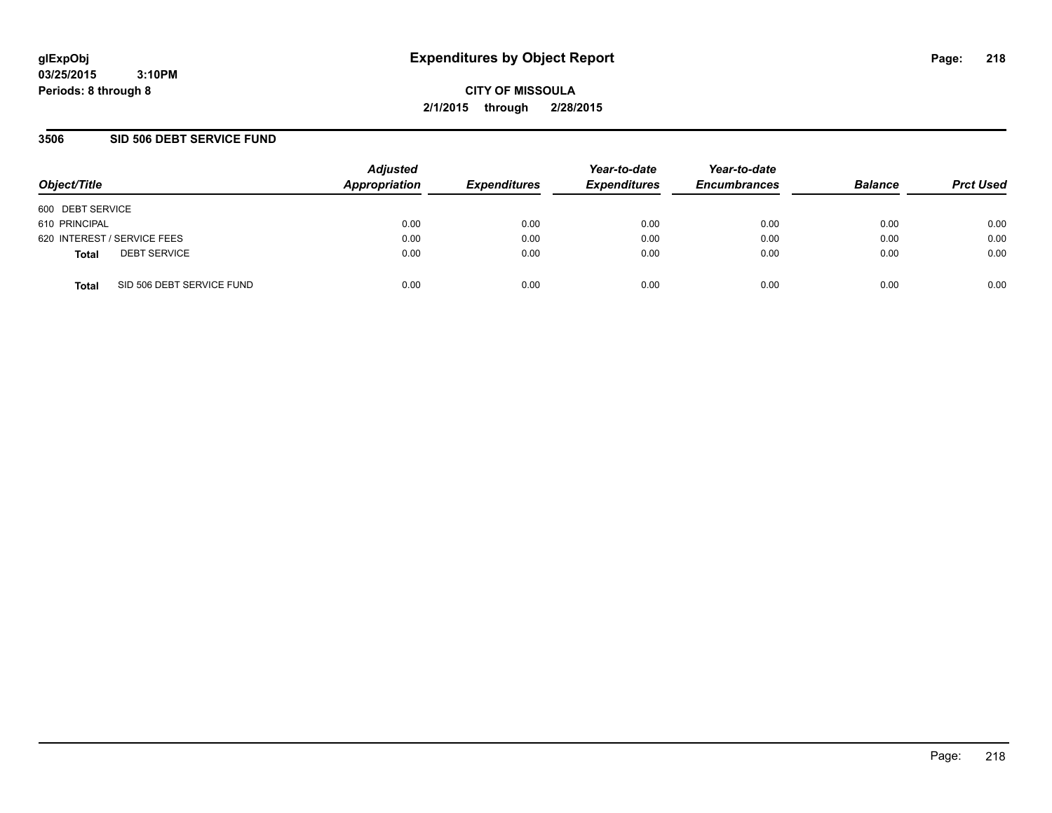**CITY OF MISSOULA 2/1/2015 through 2/28/2015**

### **3506 SID 506 DEBT SERVICE FUND**

| Object/Title                              | <b>Adjusted</b><br>Appropriation | <b>Expenditures</b> | Year-to-date<br><b>Expenditures</b> | Year-to-date<br><b>Encumbrances</b> | <b>Balance</b> | <b>Prct Used</b> |
|-------------------------------------------|----------------------------------|---------------------|-------------------------------------|-------------------------------------|----------------|------------------|
| 600 DEBT SERVICE                          |                                  |                     |                                     |                                     |                |                  |
| 610 PRINCIPAL                             | 0.00                             | 0.00                | 0.00                                | 0.00                                | 0.00           | 0.00             |
| 620 INTEREST / SERVICE FEES               | 0.00                             | 0.00                | 0.00                                | 0.00                                | 0.00           | 0.00             |
| <b>DEBT SERVICE</b><br><b>Total</b>       | 0.00                             | 0.00                | 0.00                                | 0.00                                | 0.00           | 0.00             |
| SID 506 DEBT SERVICE FUND<br><b>Total</b> | 0.00                             | 0.00                | 0.00                                | 0.00                                | 0.00           | 0.00             |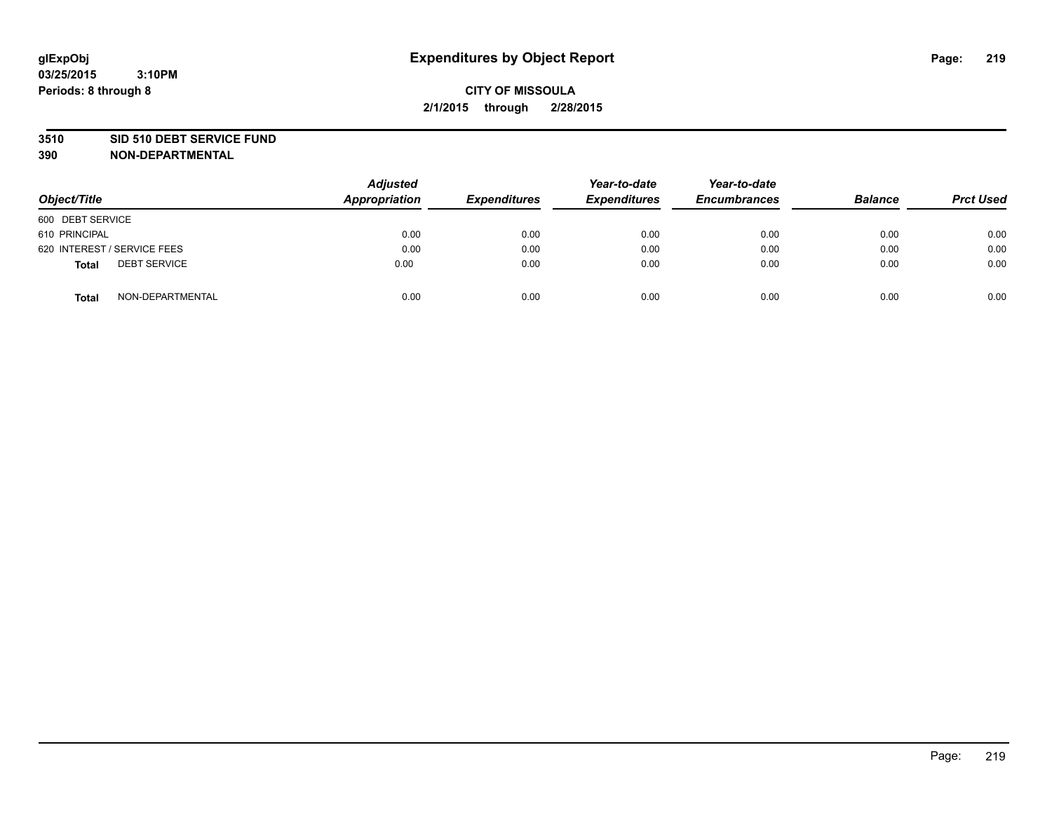#### **3510 SID 510 DEBT SERVICE FUND**

| Object/Title                        | <b>Adjusted</b><br>Appropriation | <b>Expenditures</b> | Year-to-date<br><b>Expenditures</b> | Year-to-date<br><b>Encumbrances</b> | <b>Balance</b> | <b>Prct Used</b> |
|-------------------------------------|----------------------------------|---------------------|-------------------------------------|-------------------------------------|----------------|------------------|
| 600 DEBT SERVICE                    |                                  |                     |                                     |                                     |                |                  |
| 610 PRINCIPAL                       | 0.00                             | 0.00                | 0.00                                | 0.00                                | 0.00           | 0.00             |
| 620 INTEREST / SERVICE FEES         | 0.00                             | 0.00                | 0.00                                | 0.00                                | 0.00           | 0.00             |
| <b>DEBT SERVICE</b><br><b>Total</b> | 0.00                             | 0.00                | 0.00                                | 0.00                                | 0.00           | 0.00             |
| NON-DEPARTMENTAL<br><b>Total</b>    | 0.00                             | 0.00                | 0.00                                | 0.00                                | 0.00           | 0.00             |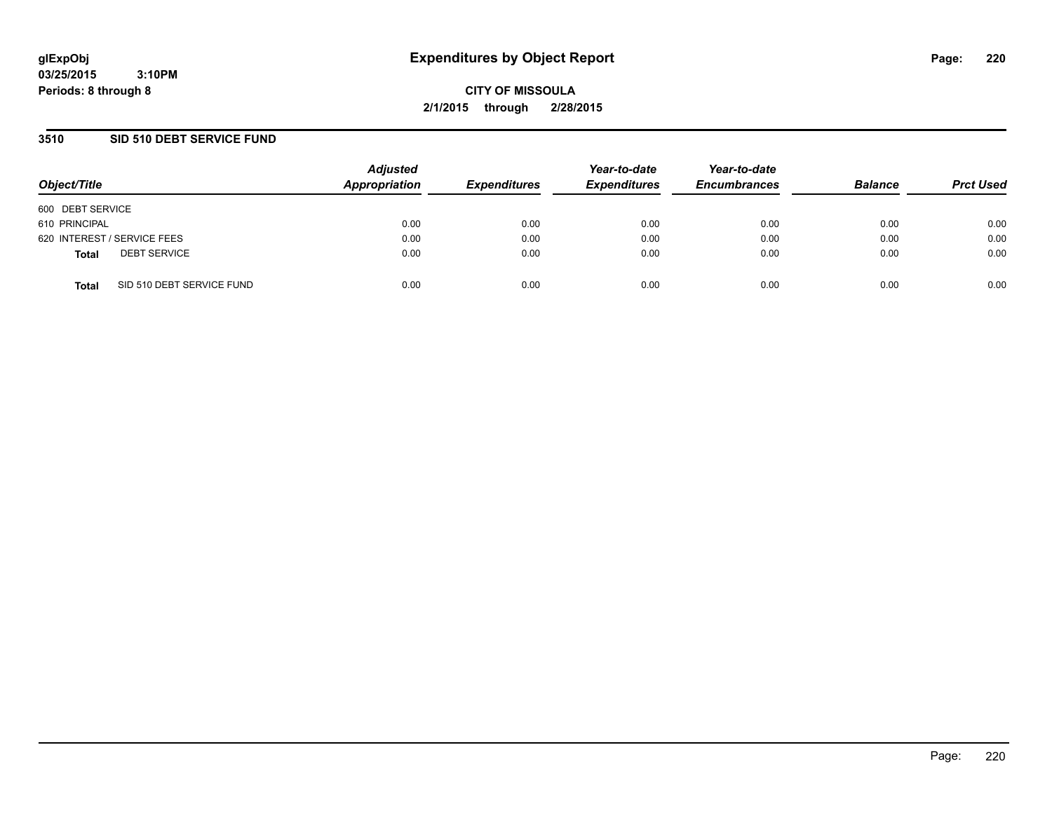**CITY OF MISSOULA 2/1/2015 through 2/28/2015**

### **3510 SID 510 DEBT SERVICE FUND**

| Object/Title                              | <b>Adjusted</b><br>Appropriation | <b>Expenditures</b> | Year-to-date<br><b>Expenditures</b> | Year-to-date<br><b>Encumbrances</b> | <b>Balance</b> | <b>Prct Used</b> |
|-------------------------------------------|----------------------------------|---------------------|-------------------------------------|-------------------------------------|----------------|------------------|
| 600 DEBT SERVICE                          |                                  |                     |                                     |                                     |                |                  |
| 610 PRINCIPAL                             | 0.00                             | 0.00                | 0.00                                | 0.00                                | 0.00           | 0.00             |
| 620 INTEREST / SERVICE FEES               | 0.00                             | 0.00                | 0.00                                | 0.00                                | 0.00           | 0.00             |
| <b>DEBT SERVICE</b><br><b>Total</b>       | 0.00                             | 0.00                | 0.00                                | 0.00                                | 0.00           | 0.00             |
| SID 510 DEBT SERVICE FUND<br><b>Total</b> | 0.00                             | 0.00                | 0.00                                | 0.00                                | 0.00           | 0.00             |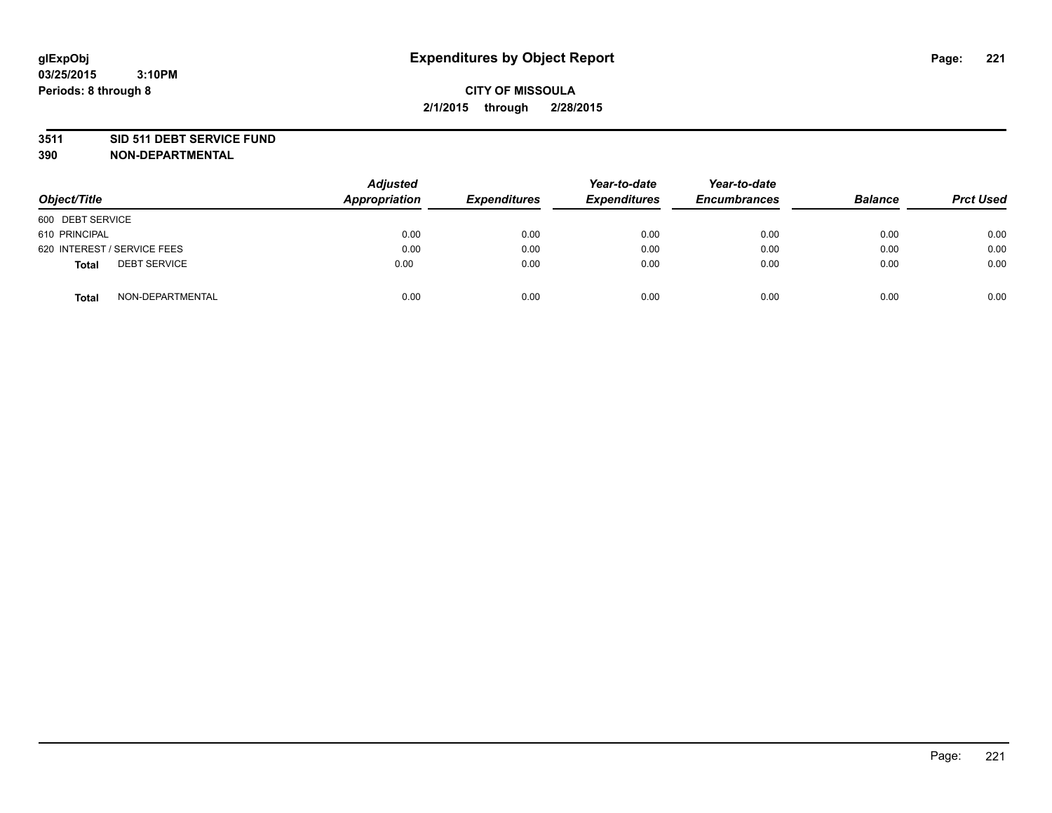#### **3511 SID 511 DEBT SERVICE FUND**

| Object/Title                        | <b>Adjusted</b><br>Appropriation | <b>Expenditures</b> | Year-to-date<br><b>Expenditures</b> | Year-to-date<br><b>Encumbrances</b> | <b>Balance</b> | <b>Prct Used</b> |
|-------------------------------------|----------------------------------|---------------------|-------------------------------------|-------------------------------------|----------------|------------------|
| 600 DEBT SERVICE                    |                                  |                     |                                     |                                     |                |                  |
| 610 PRINCIPAL                       | 0.00                             | 0.00                | 0.00                                | 0.00                                | 0.00           | 0.00             |
| 620 INTEREST / SERVICE FEES         | 0.00                             | 0.00                | 0.00                                | 0.00                                | 0.00           | 0.00             |
| <b>DEBT SERVICE</b><br><b>Total</b> | 0.00                             | 0.00                | 0.00                                | 0.00                                | 0.00           | 0.00             |
| NON-DEPARTMENTAL<br><b>Total</b>    | 0.00                             | 0.00                | 0.00                                | 0.00                                | 0.00           | 0.00             |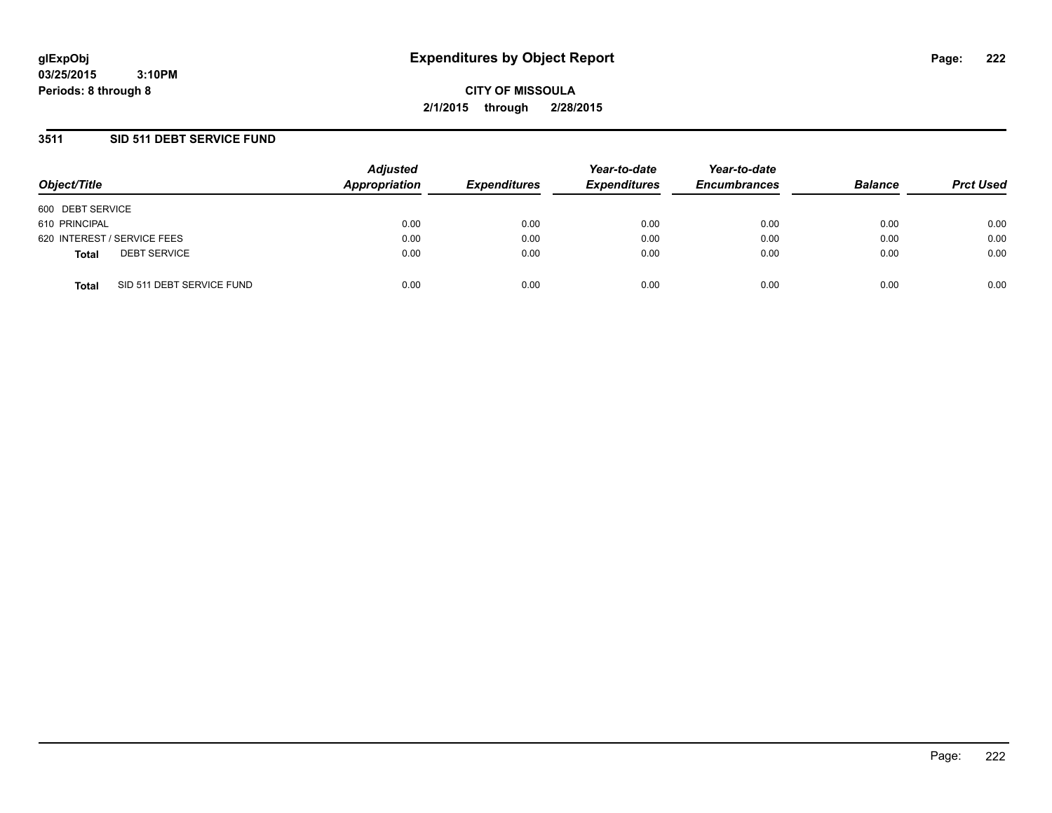**CITY OF MISSOULA 2/1/2015 through 2/28/2015**

### **3511 SID 511 DEBT SERVICE FUND**

| Object/Title                              | <b>Adjusted</b><br>Appropriation | <b>Expenditures</b> | Year-to-date<br><b>Expenditures</b> | Year-to-date<br><b>Encumbrances</b> | <b>Balance</b> | <b>Prct Used</b> |
|-------------------------------------------|----------------------------------|---------------------|-------------------------------------|-------------------------------------|----------------|------------------|
| 600 DEBT SERVICE                          |                                  |                     |                                     |                                     |                |                  |
| 610 PRINCIPAL                             | 0.00                             | 0.00                | 0.00                                | 0.00                                | 0.00           | 0.00             |
| 620 INTEREST / SERVICE FEES               | 0.00                             | 0.00                | 0.00                                | 0.00                                | 0.00           | 0.00             |
| <b>DEBT SERVICE</b><br><b>Total</b>       | 0.00                             | 0.00                | 0.00                                | 0.00                                | 0.00           | 0.00             |
| SID 511 DEBT SERVICE FUND<br><b>Total</b> | 0.00                             | 0.00                | 0.00                                | 0.00                                | 0.00           | 0.00             |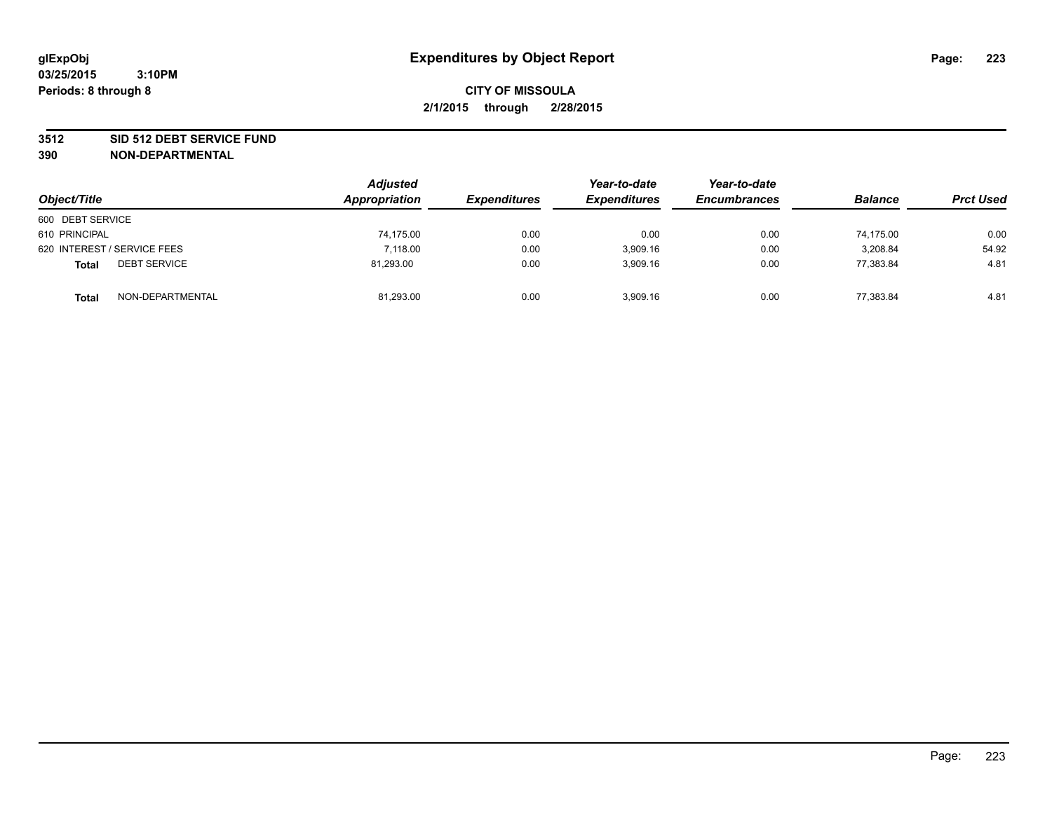#### **3512 SID 512 DEBT SERVICE FUND**

| Object/Title                        | <b>Adjusted</b><br>Appropriation | <b>Expenditures</b> | Year-to-date<br><b>Expenditures</b> | Year-to-date<br><b>Encumbrances</b> | <b>Balance</b> | <b>Prct Used</b> |
|-------------------------------------|----------------------------------|---------------------|-------------------------------------|-------------------------------------|----------------|------------------|
| 600 DEBT SERVICE                    |                                  |                     |                                     |                                     |                |                  |
| 610 PRINCIPAL                       | 74,175.00                        | 0.00                | 0.00                                | 0.00                                | 74.175.00      | 0.00             |
| 620 INTEREST / SERVICE FEES         | 7.118.00                         | 0.00                | 3.909.16                            | 0.00                                | 3.208.84       | 54.92            |
| <b>DEBT SERVICE</b><br><b>Total</b> | 81,293.00                        | 0.00                | 3,909.16                            | 0.00                                | 77,383.84      | 4.81             |
| NON-DEPARTMENTAL<br><b>Total</b>    | 81,293.00                        | 0.00                | 3.909.16                            | 0.00                                | 77,383.84      | 4.81             |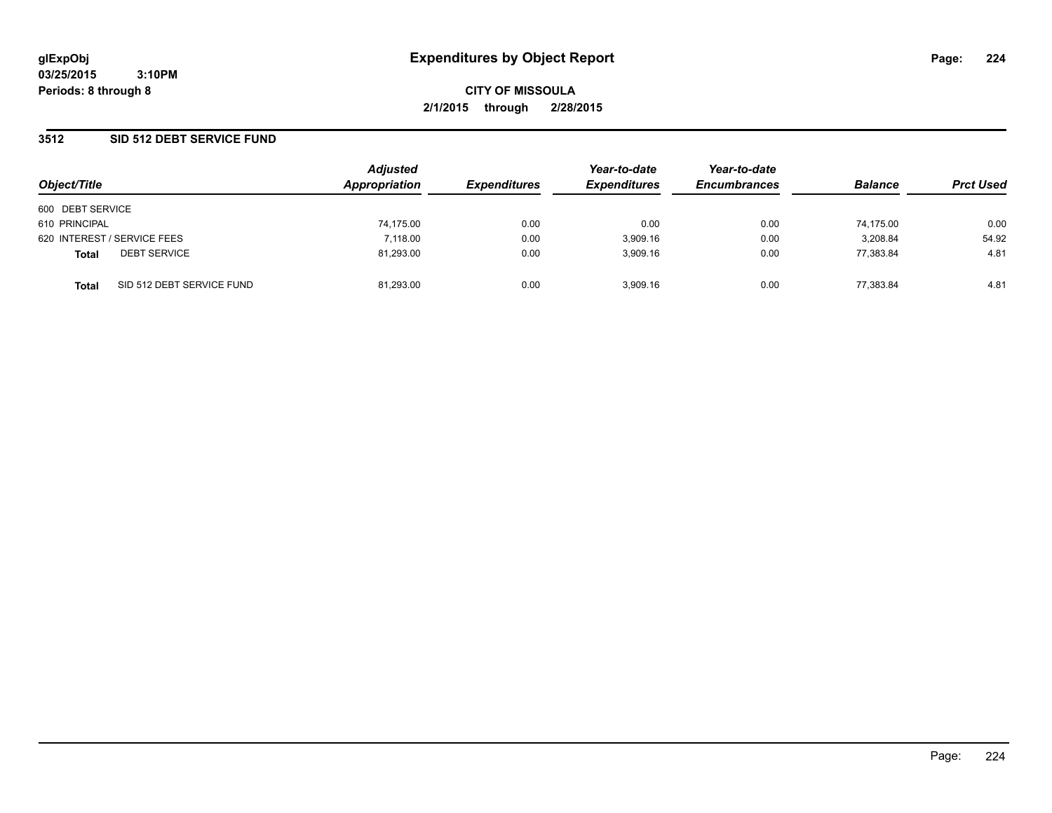**CITY OF MISSOULA 2/1/2015 through 2/28/2015**

### **3512 SID 512 DEBT SERVICE FUND**

| Object/Title                |                           | <b>Adjusted</b><br><b>Appropriation</b> | <b>Expenditures</b> | Year-to-date<br><b>Expenditures</b> | Year-to-date<br><b>Encumbrances</b> | <b>Balance</b> | <b>Prct Used</b> |
|-----------------------------|---------------------------|-----------------------------------------|---------------------|-------------------------------------|-------------------------------------|----------------|------------------|
| 600 DEBT SERVICE            |                           |                                         |                     |                                     |                                     |                |                  |
| 610 PRINCIPAL               |                           | 74,175.00                               | 0.00                | 0.00                                | 0.00                                | 74,175.00      | 0.00             |
| 620 INTEREST / SERVICE FEES |                           | 7.118.00                                | 0.00                | 3,909.16                            | 0.00                                | 3.208.84       | 54.92            |
| <b>Total</b>                | <b>DEBT SERVICE</b>       | 81,293.00                               | 0.00                | 3.909.16                            | 0.00                                | 77.383.84      | 4.81             |
| <b>Total</b>                | SID 512 DEBT SERVICE FUND | 81.293.00                               | 0.00                | 3.909.16                            | 0.00                                | 77.383.84      | 4.81             |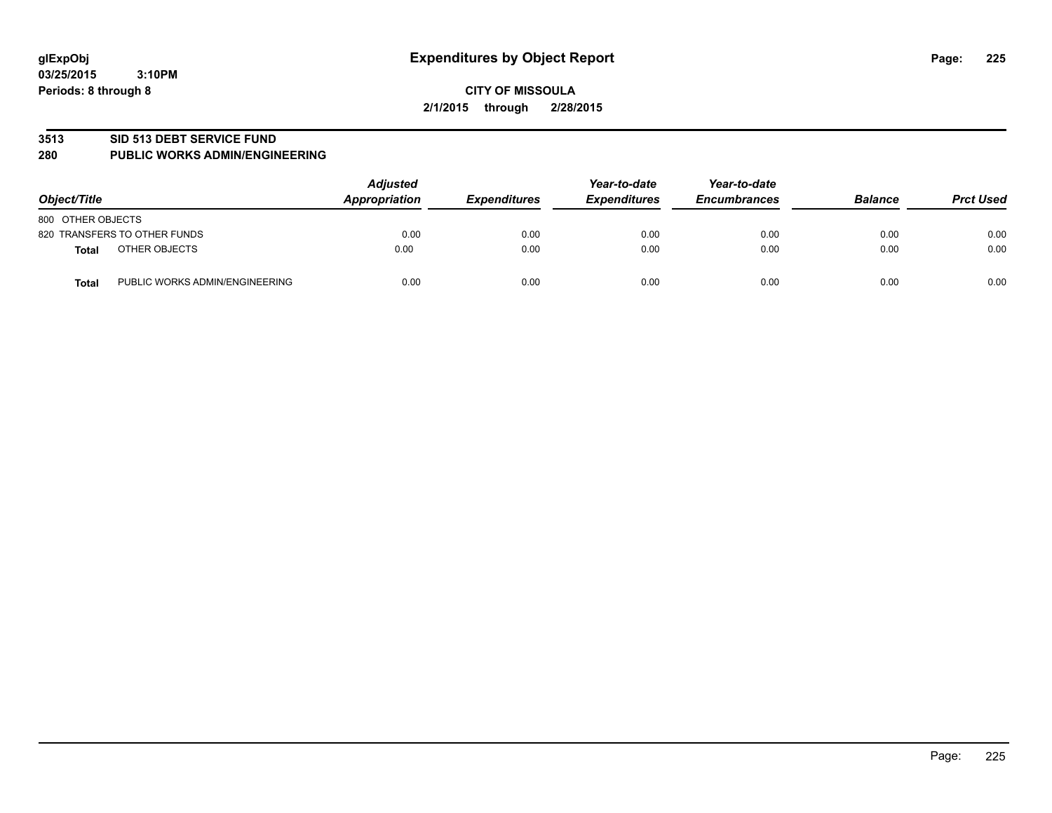#### **3513 SID 513 DEBT SERVICE FUND**

#### **280 PUBLIC WORKS ADMIN/ENGINEERING**

| Object/Title                                   | <b>Adjusted</b><br>Appropriation | <b>Expenditures</b> | Year-to-date<br><b>Expenditures</b> | Year-to-date<br><b>Encumbrances</b> | <b>Balance</b> | <b>Prct Used</b> |
|------------------------------------------------|----------------------------------|---------------------|-------------------------------------|-------------------------------------|----------------|------------------|
| 800 OTHER OBJECTS                              |                                  |                     |                                     |                                     |                |                  |
| 820 TRANSFERS TO OTHER FUNDS                   | 0.00                             | 0.00                | 0.00                                | 0.00                                | 0.00           | 0.00             |
| OTHER OBJECTS<br><b>Total</b>                  | 0.00                             | 0.00                | 0.00                                | 0.00                                | 0.00           | 0.00             |
| PUBLIC WORKS ADMIN/ENGINEERING<br><b>Total</b> | 0.00                             | 0.00                | 0.00                                | 0.00                                | 0.00           | 0.00             |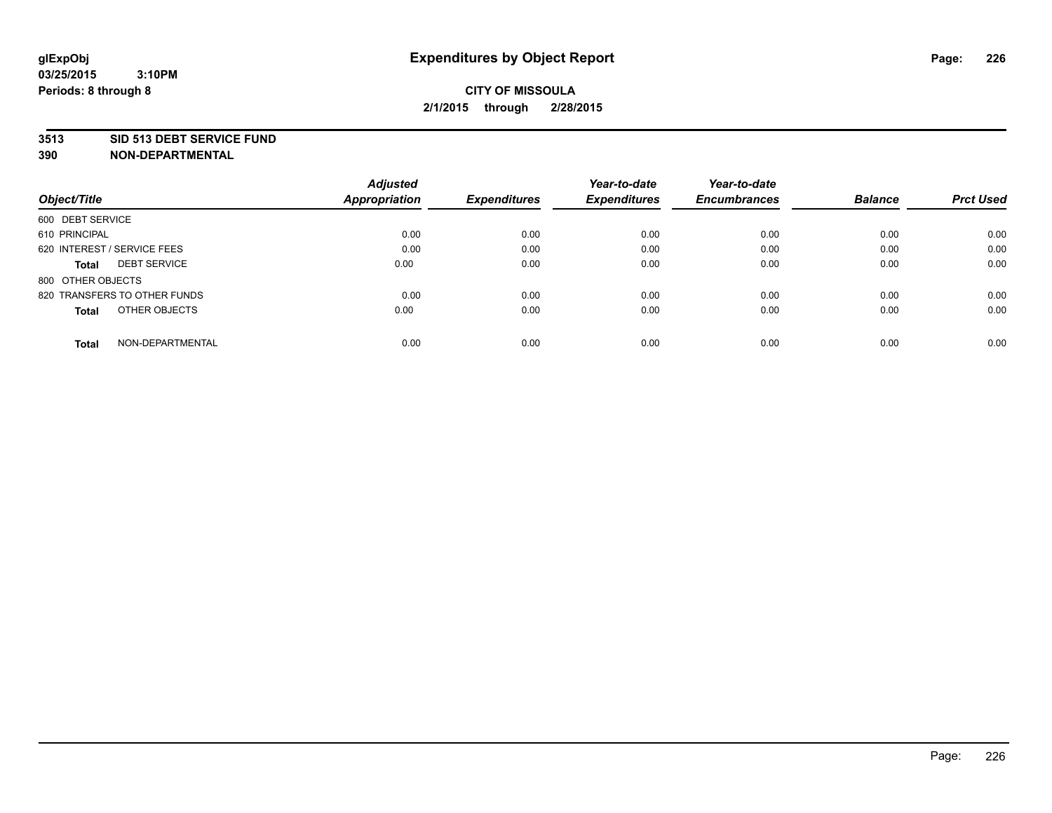#### **3513 SID 513 DEBT SERVICE FUND**

|                                     | <b>Adjusted</b>      |                     | Year-to-date        | Year-to-date        |                |                  |
|-------------------------------------|----------------------|---------------------|---------------------|---------------------|----------------|------------------|
| Object/Title                        | <b>Appropriation</b> | <b>Expenditures</b> | <b>Expenditures</b> | <b>Encumbrances</b> | <b>Balance</b> | <b>Prct Used</b> |
| 600 DEBT SERVICE                    |                      |                     |                     |                     |                |                  |
| 610 PRINCIPAL                       | 0.00                 | 0.00                | 0.00                | 0.00                | 0.00           | 0.00             |
| 620 INTEREST / SERVICE FEES         | 0.00                 | 0.00                | 0.00                | 0.00                | 0.00           | 0.00             |
| <b>DEBT SERVICE</b><br><b>Total</b> | 0.00                 | 0.00                | 0.00                | 0.00                | 0.00           | 0.00             |
| 800 OTHER OBJECTS                   |                      |                     |                     |                     |                |                  |
| 820 TRANSFERS TO OTHER FUNDS        | 0.00                 | 0.00                | 0.00                | 0.00                | 0.00           | 0.00             |
| OTHER OBJECTS<br><b>Total</b>       | 0.00                 | 0.00                | 0.00                | 0.00                | 0.00           | 0.00             |
| NON-DEPARTMENTAL<br>Total           | 0.00                 | 0.00                | 0.00                | 0.00                | 0.00           | 0.00             |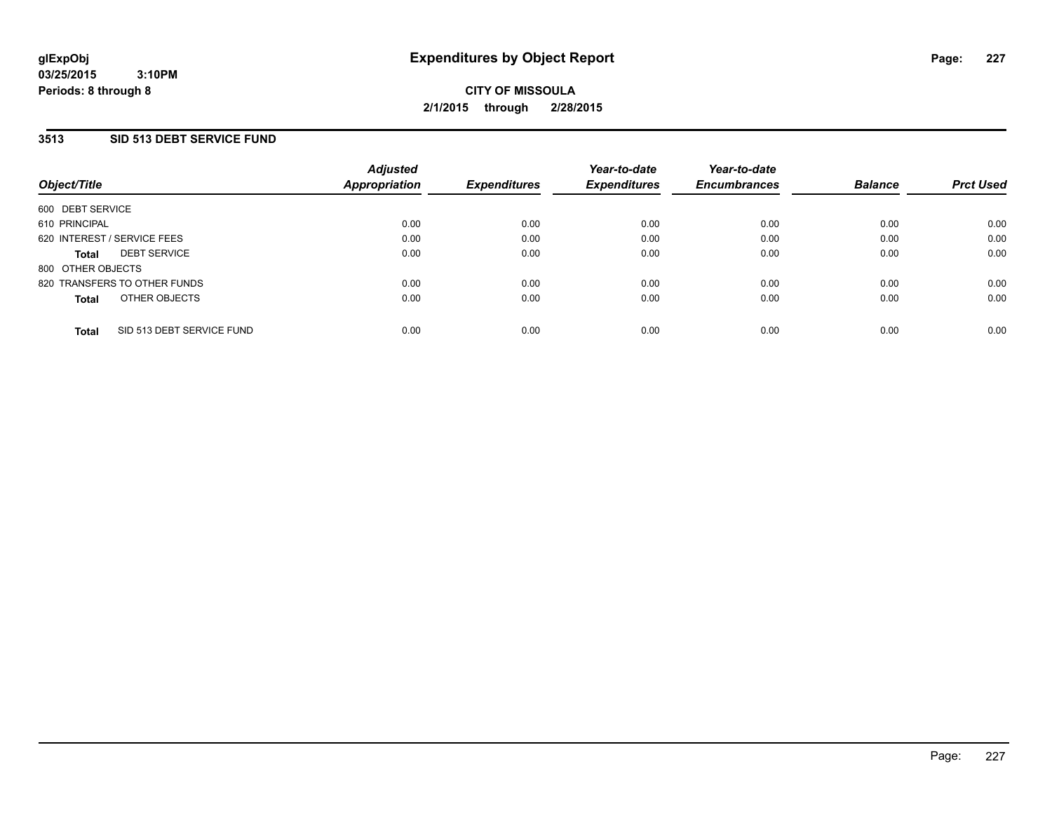### **3513 SID 513 DEBT SERVICE FUND**

| Object/Title      |                              | <b>Adjusted</b><br>Appropriation | <b>Expenditures</b> | Year-to-date<br><b>Expenditures</b> | Year-to-date<br><b>Encumbrances</b> | <b>Balance</b> | <b>Prct Used</b> |
|-------------------|------------------------------|----------------------------------|---------------------|-------------------------------------|-------------------------------------|----------------|------------------|
| 600 DEBT SERVICE  |                              |                                  |                     |                                     |                                     |                |                  |
| 610 PRINCIPAL     |                              | 0.00                             | 0.00                | 0.00                                | 0.00                                | 0.00           | 0.00             |
|                   | 620 INTEREST / SERVICE FEES  | 0.00                             | 0.00                | 0.00                                | 0.00                                | 0.00           | 0.00             |
| Total             | <b>DEBT SERVICE</b>          | 0.00                             | 0.00                | 0.00                                | 0.00                                | 0.00           | 0.00             |
| 800 OTHER OBJECTS |                              |                                  |                     |                                     |                                     |                |                  |
|                   | 820 TRANSFERS TO OTHER FUNDS | 0.00                             | 0.00                | 0.00                                | 0.00                                | 0.00           | 0.00             |
| <b>Total</b>      | OTHER OBJECTS                | 0.00                             | 0.00                | 0.00                                | 0.00                                | 0.00           | 0.00             |
|                   |                              |                                  |                     |                                     |                                     |                |                  |
| <b>Total</b>      | SID 513 DEBT SERVICE FUND    | 0.00                             | 0.00                | 0.00                                | 0.00                                | 0.00           | 0.00             |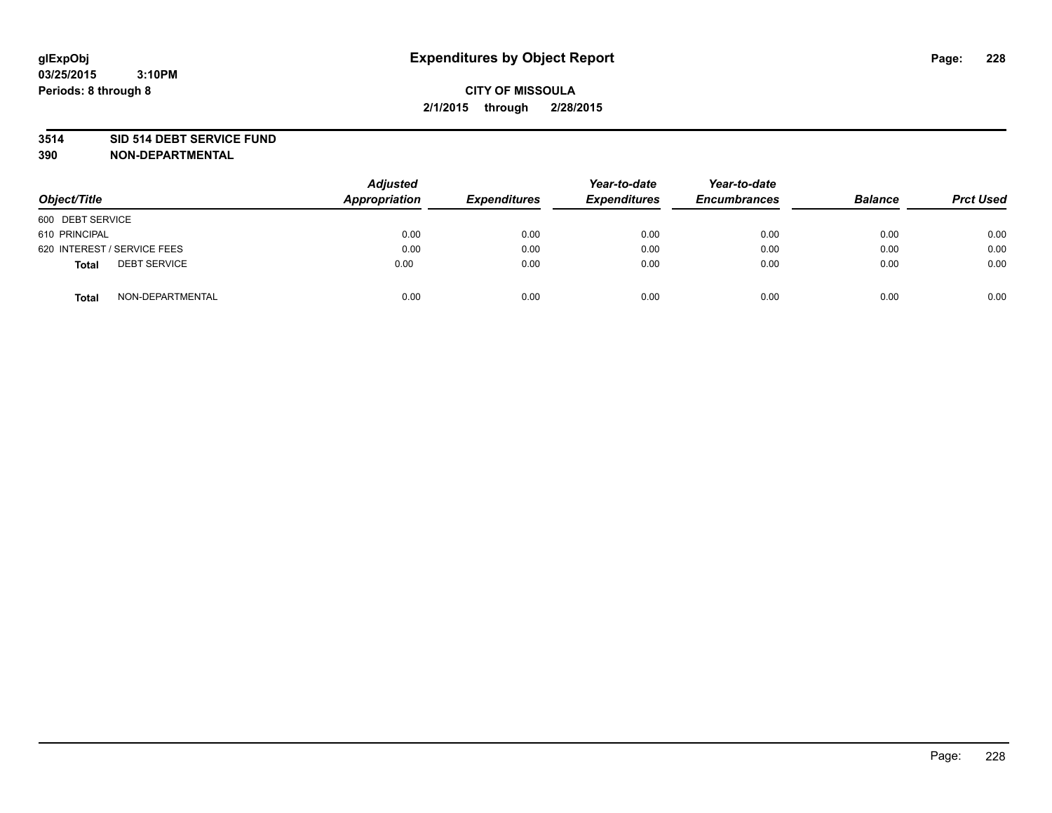#### **3514 SID 514 DEBT SERVICE FUND**

| Object/Title                        | <b>Adjusted</b><br>Appropriation | <b>Expenditures</b> | Year-to-date<br><b>Expenditures</b> | Year-to-date<br><b>Encumbrances</b> | <b>Balance</b> | <b>Prct Used</b> |
|-------------------------------------|----------------------------------|---------------------|-------------------------------------|-------------------------------------|----------------|------------------|
| 600 DEBT SERVICE                    |                                  |                     |                                     |                                     |                |                  |
| 610 PRINCIPAL                       | 0.00                             | 0.00                | 0.00                                | 0.00                                | 0.00           | 0.00             |
| 620 INTEREST / SERVICE FEES         | 0.00                             | 0.00                | 0.00                                | 0.00                                | 0.00           | 0.00             |
| <b>DEBT SERVICE</b><br><b>Total</b> | 0.00                             | 0.00                | 0.00                                | 0.00                                | 0.00           | 0.00             |
| NON-DEPARTMENTAL<br><b>Total</b>    | 0.00                             | 0.00                | 0.00                                | 0.00                                | 0.00           | 0.00             |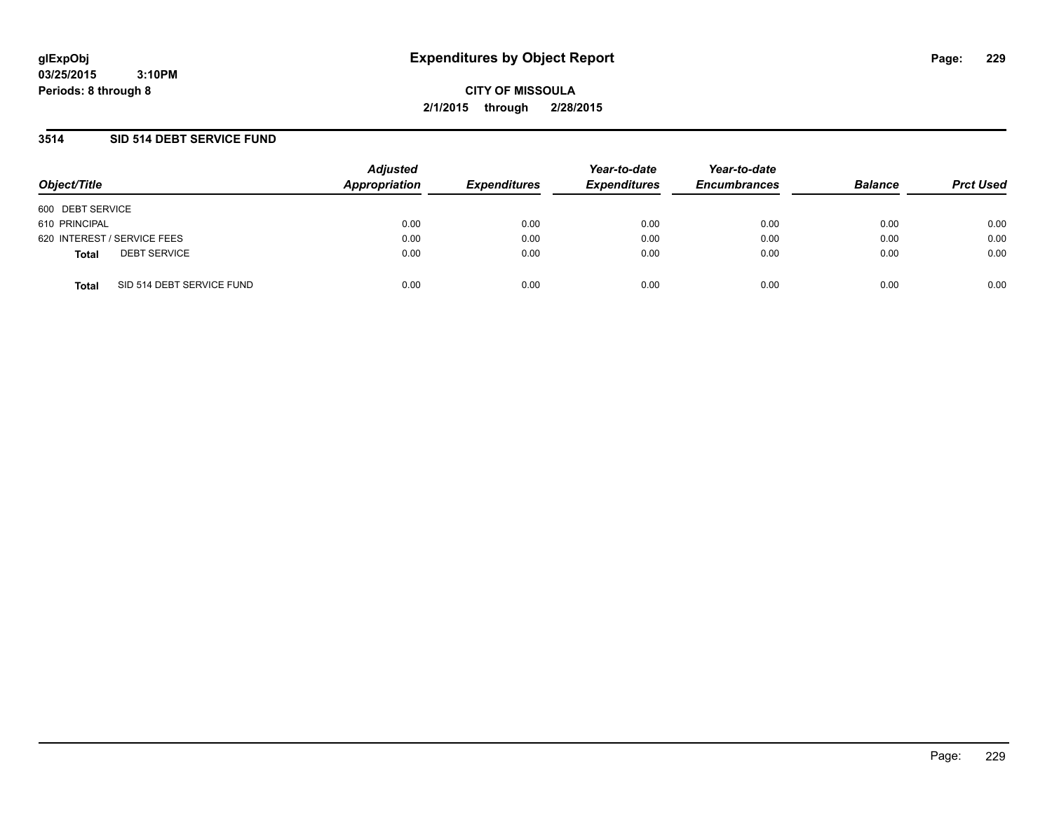**CITY OF MISSOULA 2/1/2015 through 2/28/2015**

### **3514 SID 514 DEBT SERVICE FUND**

| Object/Title                              | <b>Adjusted</b><br>Appropriation | <b>Expenditures</b> | Year-to-date<br><b>Expenditures</b> | Year-to-date<br><b>Encumbrances</b> | <b>Balance</b> | <b>Prct Used</b> |
|-------------------------------------------|----------------------------------|---------------------|-------------------------------------|-------------------------------------|----------------|------------------|
| 600 DEBT SERVICE                          |                                  |                     |                                     |                                     |                |                  |
| 610 PRINCIPAL                             | 0.00                             | 0.00                | 0.00                                | 0.00                                | 0.00           | 0.00             |
| 620 INTEREST / SERVICE FEES               | 0.00                             | 0.00                | 0.00                                | 0.00                                | 0.00           | 0.00             |
| <b>DEBT SERVICE</b><br><b>Total</b>       | 0.00                             | 0.00                | 0.00                                | 0.00                                | 0.00           | 0.00             |
| SID 514 DEBT SERVICE FUND<br><b>Total</b> | 0.00                             | 0.00                | 0.00                                | 0.00                                | 0.00           | 0.00             |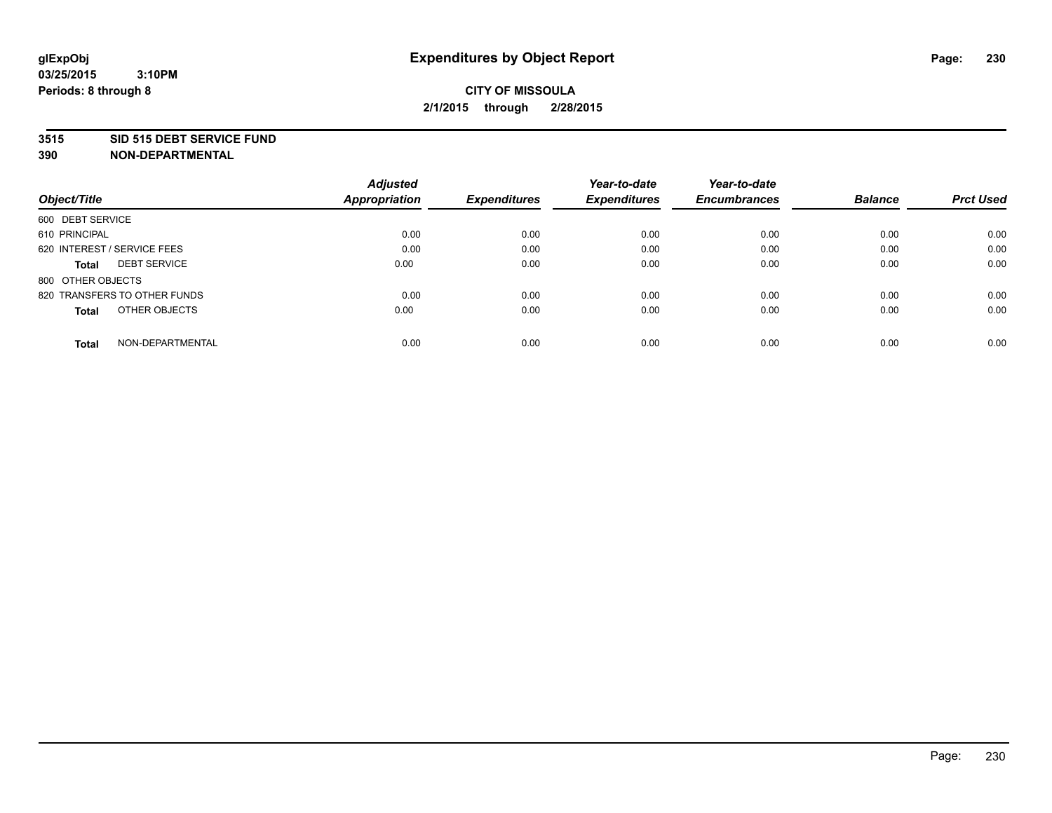#### **3515 SID 515 DEBT SERVICE FUND**

|                                     | <b>Adjusted</b>      |                     | Year-to-date        | Year-to-date        |                |                  |
|-------------------------------------|----------------------|---------------------|---------------------|---------------------|----------------|------------------|
| Object/Title                        | <b>Appropriation</b> | <b>Expenditures</b> | <b>Expenditures</b> | <b>Encumbrances</b> | <b>Balance</b> | <b>Prct Used</b> |
| 600 DEBT SERVICE                    |                      |                     |                     |                     |                |                  |
| 610 PRINCIPAL                       | 0.00                 | 0.00                | 0.00                | 0.00                | 0.00           | 0.00             |
| 620 INTEREST / SERVICE FEES         | 0.00                 | 0.00                | 0.00                | 0.00                | 0.00           | 0.00             |
| <b>DEBT SERVICE</b><br><b>Total</b> | 0.00                 | 0.00                | 0.00                | 0.00                | 0.00           | 0.00             |
| 800 OTHER OBJECTS                   |                      |                     |                     |                     |                |                  |
| 820 TRANSFERS TO OTHER FUNDS        | 0.00                 | 0.00                | 0.00                | 0.00                | 0.00           | 0.00             |
| OTHER OBJECTS<br><b>Total</b>       | 0.00                 | 0.00                | 0.00                | 0.00                | 0.00           | 0.00             |
| NON-DEPARTMENTAL<br>Total           | 0.00                 | 0.00                | 0.00                | 0.00                | 0.00           | 0.00             |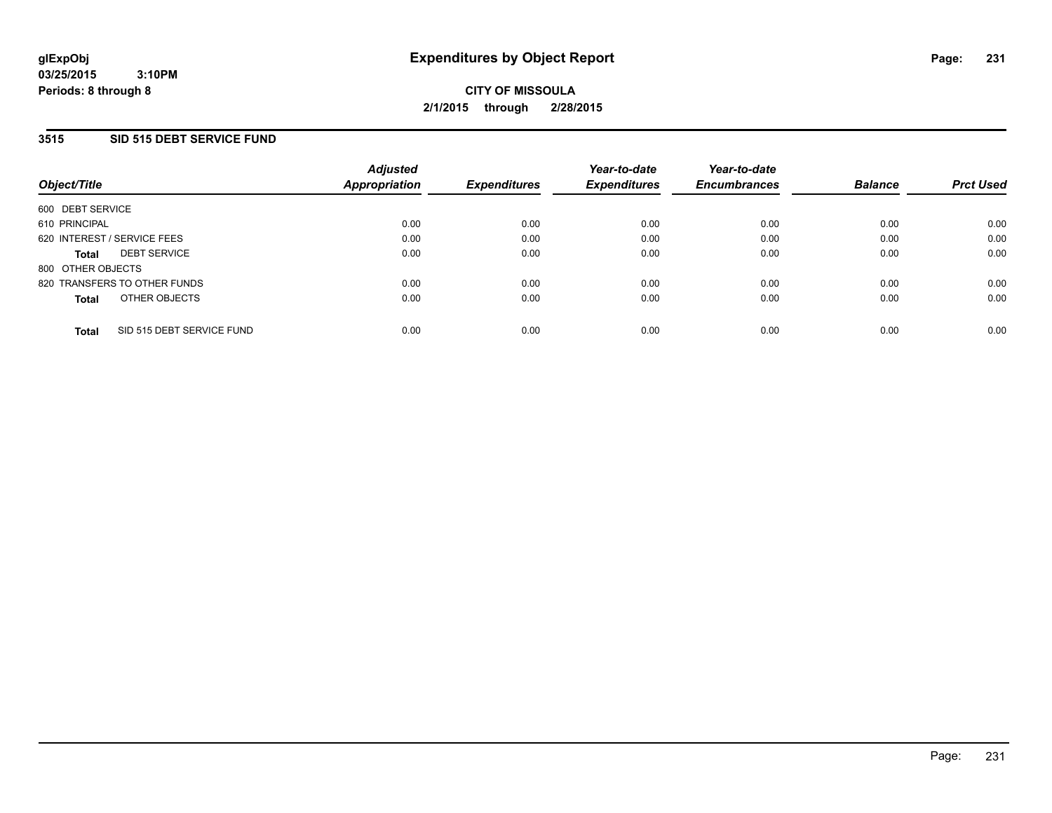### **3515 SID 515 DEBT SERVICE FUND**

| Object/Title                 |                           | <b>Adjusted</b><br>Appropriation | <b>Expenditures</b> | Year-to-date<br><b>Expenditures</b> | Year-to-date<br><b>Encumbrances</b> | <b>Balance</b> | <b>Prct Used</b> |
|------------------------------|---------------------------|----------------------------------|---------------------|-------------------------------------|-------------------------------------|----------------|------------------|
| 600 DEBT SERVICE             |                           |                                  |                     |                                     |                                     |                |                  |
| 610 PRINCIPAL                |                           | 0.00                             | 0.00                | 0.00                                | 0.00                                | 0.00           | 0.00             |
| 620 INTEREST / SERVICE FEES  |                           | 0.00                             | 0.00                | 0.00                                | 0.00                                | 0.00           | 0.00             |
| <b>Total</b>                 | <b>DEBT SERVICE</b>       | 0.00                             | 0.00                | 0.00                                | 0.00                                | 0.00           | 0.00             |
| 800 OTHER OBJECTS            |                           |                                  |                     |                                     |                                     |                |                  |
| 820 TRANSFERS TO OTHER FUNDS |                           | 0.00                             | 0.00                | 0.00                                | 0.00                                | 0.00           | 0.00             |
| <b>Total</b>                 | OTHER OBJECTS             | 0.00                             | 0.00                | 0.00                                | 0.00                                | 0.00           | 0.00             |
| <b>Total</b>                 | SID 515 DEBT SERVICE FUND | 0.00                             | 0.00                | 0.00                                | 0.00                                | 0.00           | 0.00             |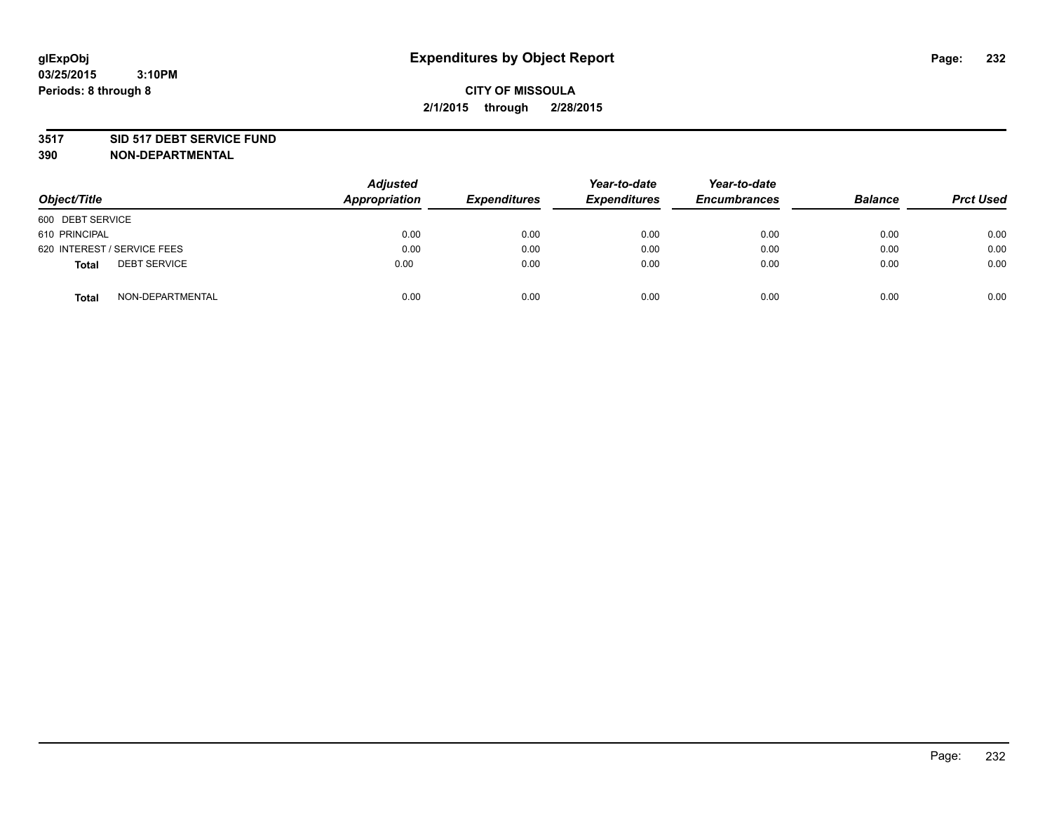#### **3517 SID 517 DEBT SERVICE FUND**

| Object/Title                        | <b>Adjusted</b><br>Appropriation | <b>Expenditures</b> | Year-to-date<br><b>Expenditures</b> | Year-to-date<br><b>Encumbrances</b> | <b>Balance</b> | <b>Prct Used</b> |
|-------------------------------------|----------------------------------|---------------------|-------------------------------------|-------------------------------------|----------------|------------------|
| 600 DEBT SERVICE                    |                                  |                     |                                     |                                     |                |                  |
| 610 PRINCIPAL                       | 0.00                             | 0.00                | 0.00                                | 0.00                                | 0.00           | 0.00             |
| 620 INTEREST / SERVICE FEES         | 0.00                             | 0.00                | 0.00                                | 0.00                                | 0.00           | 0.00             |
| <b>DEBT SERVICE</b><br><b>Total</b> | 0.00                             | 0.00                | 0.00                                | 0.00                                | 0.00           | 0.00             |
| NON-DEPARTMENTAL<br><b>Total</b>    | 0.00                             | 0.00                | 0.00                                | 0.00                                | 0.00           | 0.00             |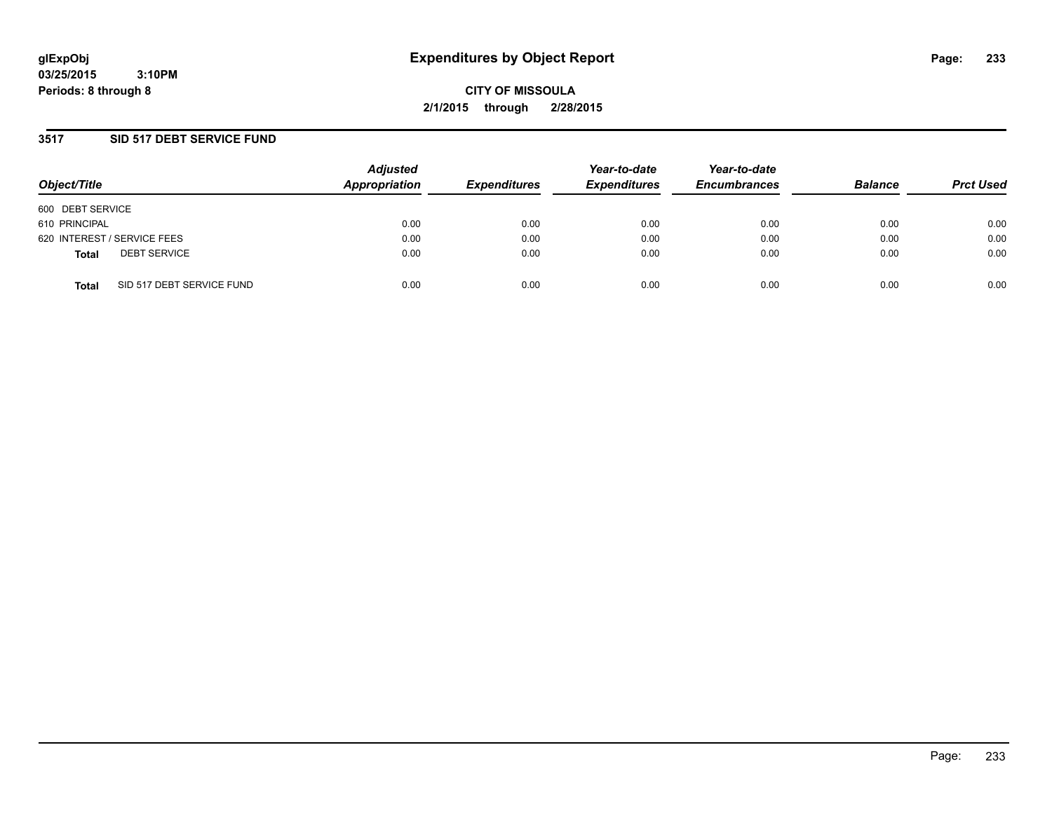**CITY OF MISSOULA 2/1/2015 through 2/28/2015**

### **3517 SID 517 DEBT SERVICE FUND**

| Object/Title                              | <b>Adjusted</b><br>Appropriation | <b>Expenditures</b> | Year-to-date<br><b>Expenditures</b> | Year-to-date<br><b>Encumbrances</b> | <b>Balance</b> | <b>Prct Used</b> |
|-------------------------------------------|----------------------------------|---------------------|-------------------------------------|-------------------------------------|----------------|------------------|
| 600 DEBT SERVICE                          |                                  |                     |                                     |                                     |                |                  |
| 610 PRINCIPAL                             | 0.00                             | 0.00                | 0.00                                | 0.00                                | 0.00           | 0.00             |
| 620 INTEREST / SERVICE FEES               | 0.00                             | 0.00                | 0.00                                | 0.00                                | 0.00           | 0.00             |
| <b>DEBT SERVICE</b><br><b>Total</b>       | 0.00                             | 0.00                | 0.00                                | 0.00                                | 0.00           | 0.00             |
| SID 517 DEBT SERVICE FUND<br><b>Total</b> | 0.00                             | 0.00                | 0.00                                | 0.00                                | 0.00           | 0.00             |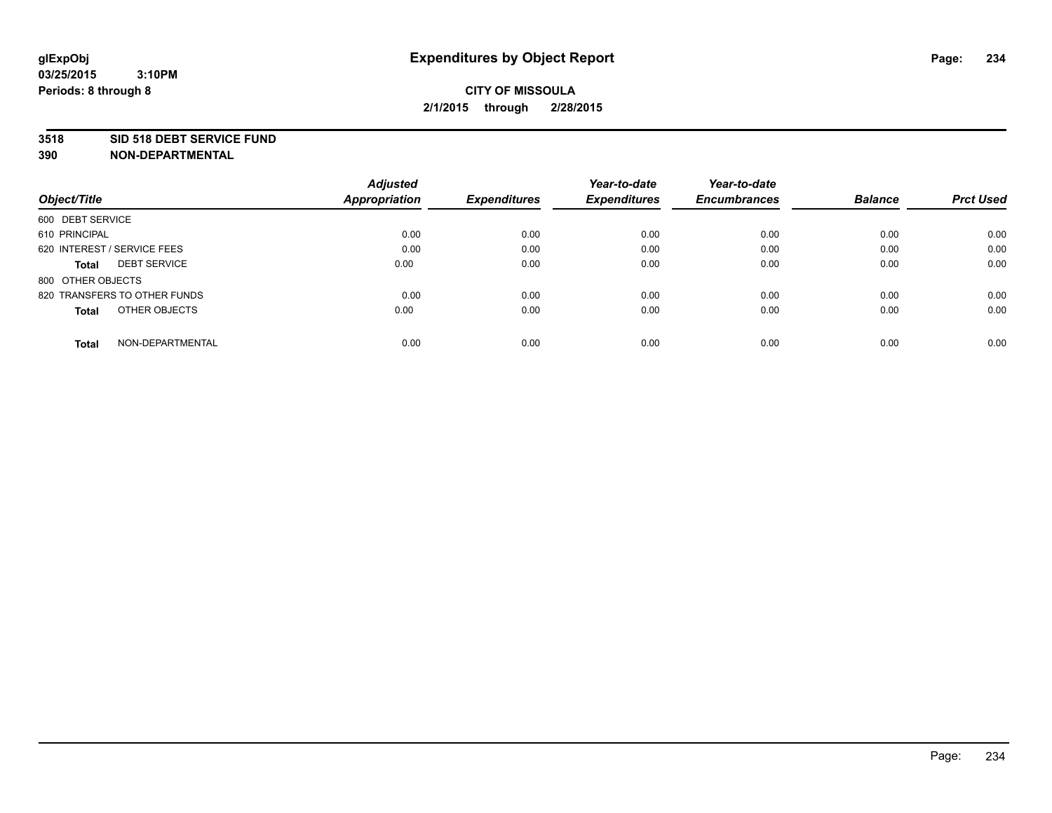#### **3518 SID 518 DEBT SERVICE FUND**

|                                     | <b>Adjusted</b>      |                     | Year-to-date        | Year-to-date        |                |                  |
|-------------------------------------|----------------------|---------------------|---------------------|---------------------|----------------|------------------|
| Object/Title                        | <b>Appropriation</b> | <b>Expenditures</b> | <b>Expenditures</b> | <b>Encumbrances</b> | <b>Balance</b> | <b>Prct Used</b> |
| 600 DEBT SERVICE                    |                      |                     |                     |                     |                |                  |
| 610 PRINCIPAL                       | 0.00                 | 0.00                | 0.00                | 0.00                | 0.00           | 0.00             |
| 620 INTEREST / SERVICE FEES         | 0.00                 | 0.00                | 0.00                | 0.00                | 0.00           | 0.00             |
| <b>DEBT SERVICE</b><br><b>Total</b> | 0.00                 | 0.00                | 0.00                | 0.00                | 0.00           | 0.00             |
| 800 OTHER OBJECTS                   |                      |                     |                     |                     |                |                  |
| 820 TRANSFERS TO OTHER FUNDS        | 0.00                 | 0.00                | 0.00                | 0.00                | 0.00           | 0.00             |
| OTHER OBJECTS<br><b>Total</b>       | 0.00                 | 0.00                | 0.00                | 0.00                | 0.00           | 0.00             |
| NON-DEPARTMENTAL<br>Total           | 0.00                 | 0.00                | 0.00                | 0.00                | 0.00           | 0.00             |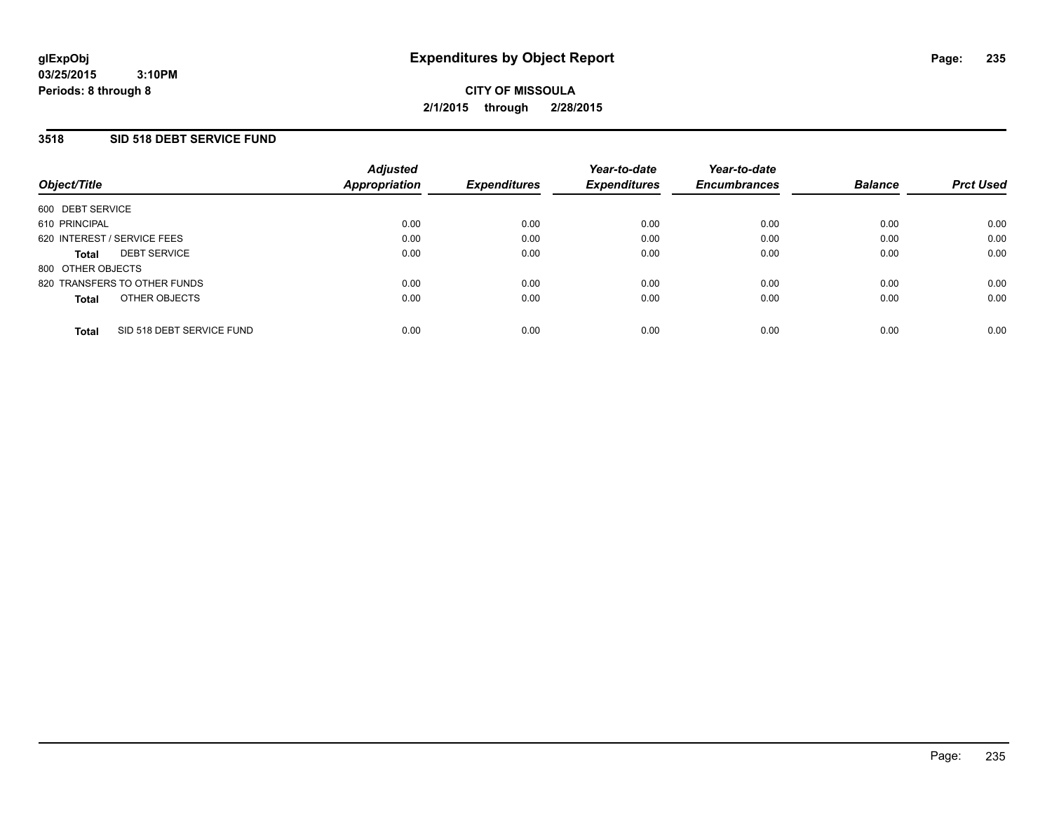## **3518 SID 518 DEBT SERVICE FUND**

| Object/Title                        |                           | <b>Adjusted</b><br>Appropriation | <b>Expenditures</b> | Year-to-date<br><b>Expenditures</b> | Year-to-date<br><b>Encumbrances</b> | <b>Balance</b> | <b>Prct Used</b> |
|-------------------------------------|---------------------------|----------------------------------|---------------------|-------------------------------------|-------------------------------------|----------------|------------------|
| 600 DEBT SERVICE                    |                           |                                  |                     |                                     |                                     |                |                  |
| 610 PRINCIPAL                       |                           | 0.00                             | 0.00                | 0.00                                | 0.00                                | 0.00           | 0.00             |
| 620 INTEREST / SERVICE FEES         |                           | 0.00                             | 0.00                | 0.00                                | 0.00                                | 0.00           | 0.00             |
| <b>DEBT SERVICE</b><br><b>Total</b> |                           | 0.00                             | 0.00                | 0.00                                | 0.00                                | 0.00           | 0.00             |
| 800 OTHER OBJECTS                   |                           |                                  |                     |                                     |                                     |                |                  |
| 820 TRANSFERS TO OTHER FUNDS        |                           | 0.00                             | 0.00                | 0.00                                | 0.00                                | 0.00           | 0.00             |
| <b>Total</b>                        | OTHER OBJECTS             | 0.00                             | 0.00                | 0.00                                | 0.00                                | 0.00           | 0.00             |
| <b>Total</b>                        | SID 518 DEBT SERVICE FUND | 0.00                             | 0.00                | 0.00                                | 0.00                                | 0.00           | 0.00             |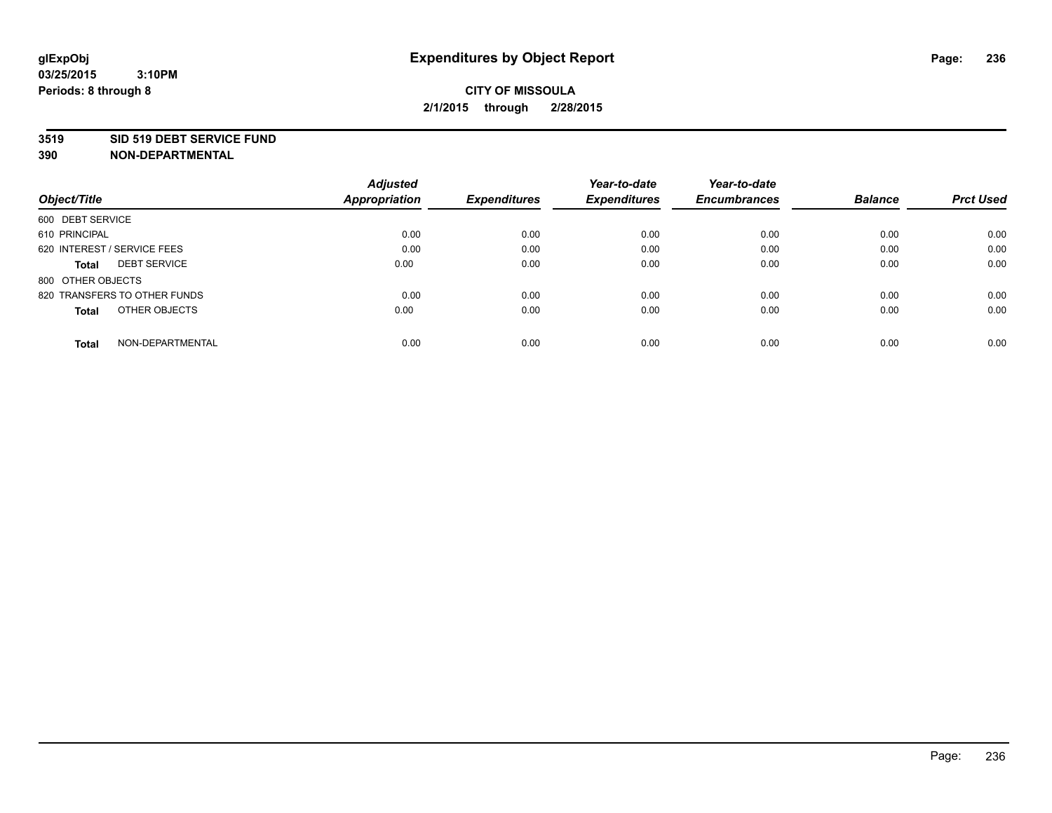#### **3519 SID 519 DEBT SERVICE FUND**

|                                     | <b>Adjusted</b> |                     | Year-to-date        | Year-to-date        |                |                  |
|-------------------------------------|-----------------|---------------------|---------------------|---------------------|----------------|------------------|
| Object/Title                        | Appropriation   | <b>Expenditures</b> | <b>Expenditures</b> | <b>Encumbrances</b> | <b>Balance</b> | <b>Prct Used</b> |
| 600 DEBT SERVICE                    |                 |                     |                     |                     |                |                  |
| 610 PRINCIPAL                       | 0.00            | 0.00                | 0.00                | 0.00                | 0.00           | 0.00             |
| 620 INTEREST / SERVICE FEES         | 0.00            | 0.00                | 0.00                | 0.00                | 0.00           | 0.00             |
| <b>DEBT SERVICE</b><br><b>Total</b> | 0.00            | 0.00                | 0.00                | 0.00                | 0.00           | 0.00             |
| 800 OTHER OBJECTS                   |                 |                     |                     |                     |                |                  |
| 820 TRANSFERS TO OTHER FUNDS        | 0.00            | 0.00                | 0.00                | 0.00                | 0.00           | 0.00             |
| OTHER OBJECTS<br><b>Total</b>       | 0.00            | 0.00                | 0.00                | 0.00                | 0.00           | 0.00             |
| NON-DEPARTMENTAL<br><b>Total</b>    | 0.00            | 0.00                | 0.00                | 0.00                | 0.00           | 0.00             |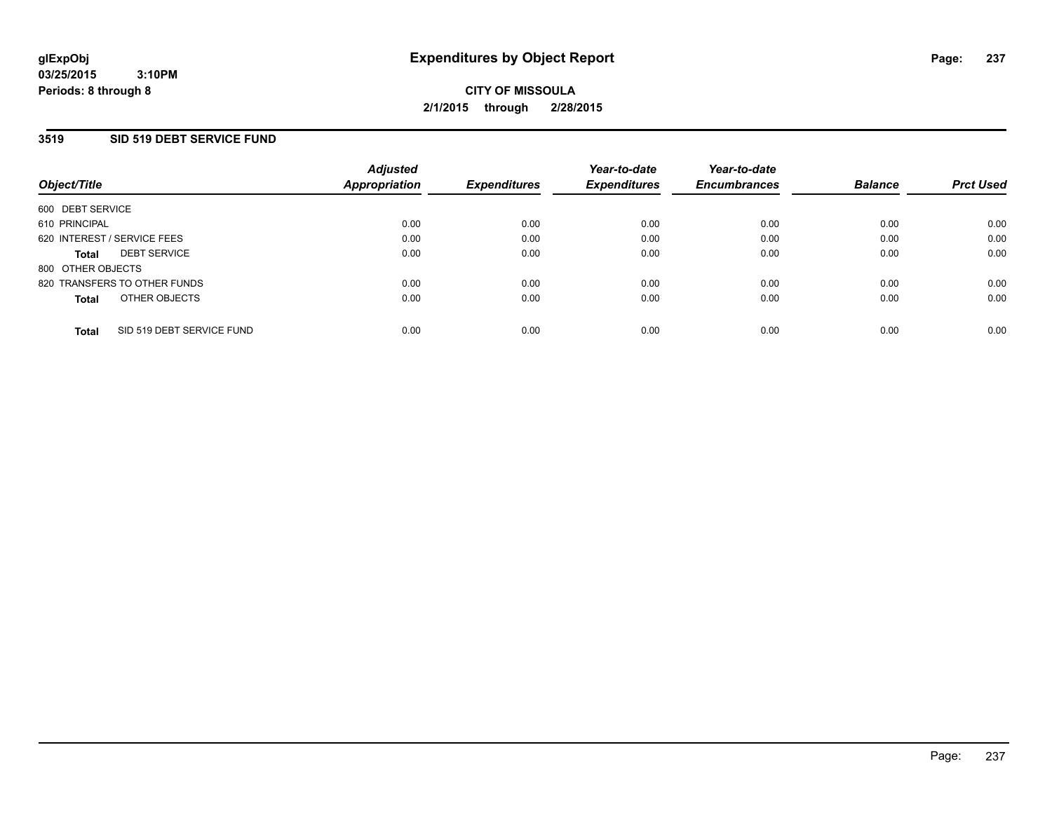### **3519 SID 519 DEBT SERVICE FUND**

| Object/Title                |                              | <b>Adjusted</b><br>Appropriation | <b>Expenditures</b> | Year-to-date<br><b>Expenditures</b> | Year-to-date<br><b>Encumbrances</b> | <b>Balance</b> | <b>Prct Used</b> |
|-----------------------------|------------------------------|----------------------------------|---------------------|-------------------------------------|-------------------------------------|----------------|------------------|
| 600 DEBT SERVICE            |                              |                                  |                     |                                     |                                     |                |                  |
| 610 PRINCIPAL               |                              | 0.00                             | 0.00                | 0.00                                | 0.00                                | 0.00           | 0.00             |
| 620 INTEREST / SERVICE FEES |                              | 0.00                             | 0.00                | 0.00                                | 0.00                                | 0.00           | 0.00             |
| <b>Total</b>                | <b>DEBT SERVICE</b>          | 0.00                             | 0.00                | 0.00                                | 0.00                                | 0.00           | 0.00             |
| 800 OTHER OBJECTS           |                              |                                  |                     |                                     |                                     |                |                  |
|                             | 820 TRANSFERS TO OTHER FUNDS | 0.00                             | 0.00                | 0.00                                | 0.00                                | 0.00           | 0.00             |
| <b>Total</b>                | OTHER OBJECTS                | 0.00                             | 0.00                | 0.00                                | 0.00                                | 0.00           | 0.00             |
| <b>Total</b>                | SID 519 DEBT SERVICE FUND    | 0.00                             | 0.00                | 0.00                                | 0.00                                | 0.00           | 0.00             |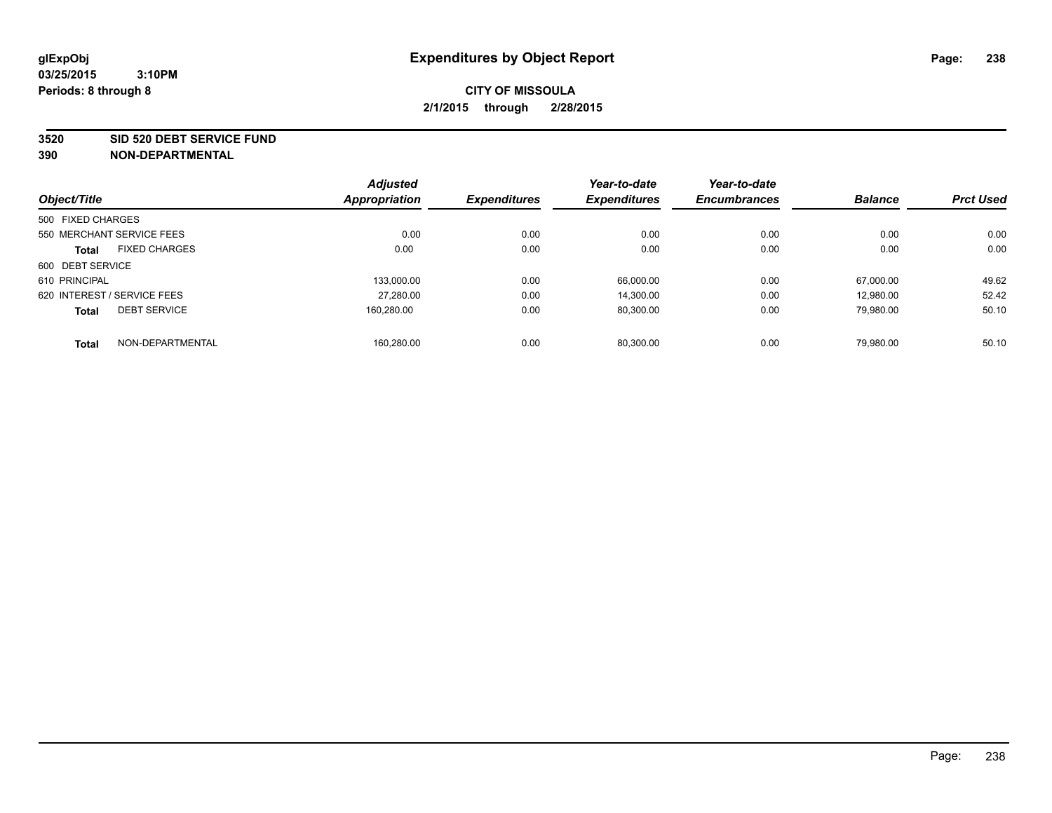#### **3520 SID 520 DEBT SERVICE FUND**

| Object/Title      |                             | <b>Adjusted</b> | Year-to-date        | Year-to-date        |                     |                |                  |
|-------------------|-----------------------------|-----------------|---------------------|---------------------|---------------------|----------------|------------------|
|                   |                             | Appropriation   | <b>Expenditures</b> | <b>Expenditures</b> | <b>Encumbrances</b> | <b>Balance</b> | <b>Prct Used</b> |
| 500 FIXED CHARGES |                             |                 |                     |                     |                     |                |                  |
|                   | 550 MERCHANT SERVICE FEES   | 0.00            | 0.00                | 0.00                | 0.00                | 0.00           | 0.00             |
| <b>Total</b>      | <b>FIXED CHARGES</b>        | 0.00            | 0.00                | 0.00                | 0.00                | 0.00           | 0.00             |
| 600 DEBT SERVICE  |                             |                 |                     |                     |                     |                |                  |
| 610 PRINCIPAL     |                             | 133.000.00      | 0.00                | 66.000.00           | 0.00                | 67.000.00      | 49.62            |
|                   | 620 INTEREST / SERVICE FEES | 27.280.00       | 0.00                | 14,300.00           | 0.00                | 12.980.00      | 52.42            |
| <b>Total</b>      | <b>DEBT SERVICE</b>         | 160.280.00      | 0.00                | 80,300.00           | 0.00                | 79.980.00      | 50.10            |
| <b>Total</b>      | NON-DEPARTMENTAL            | 160.280.00      | 0.00                | 80.300.00           | 0.00                | 79.980.00      | 50.10            |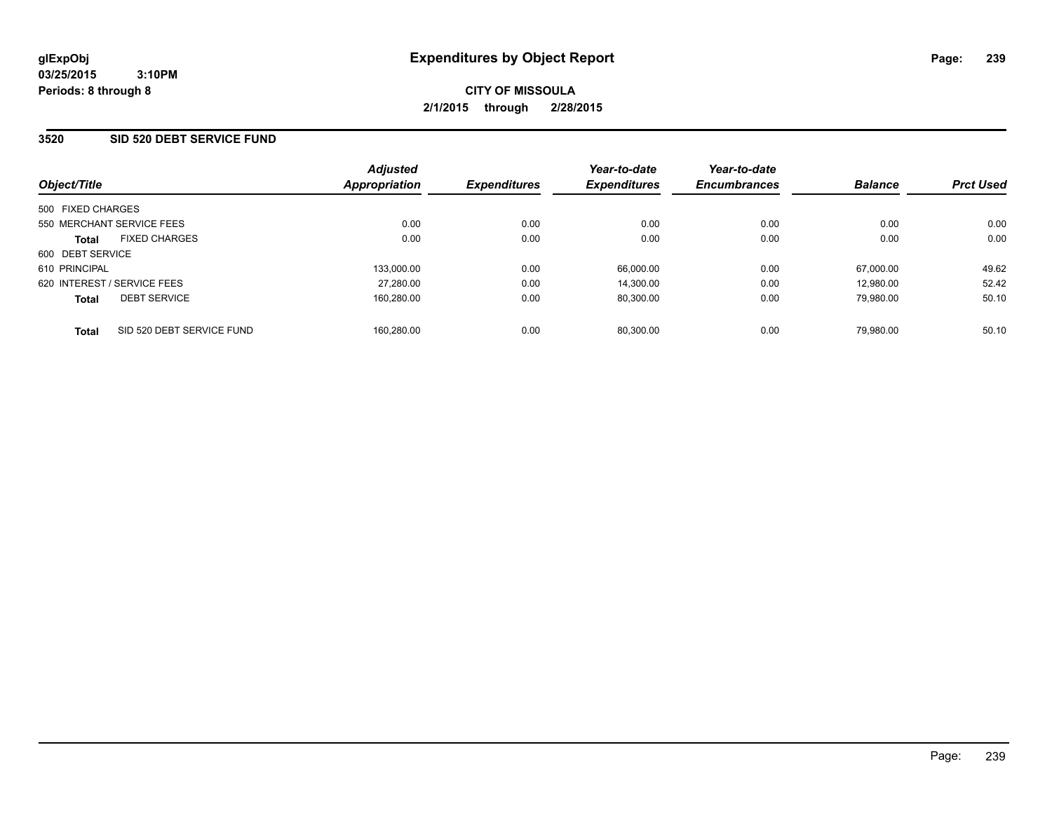### **3520 SID 520 DEBT SERVICE FUND**

| Object/Title                              | <b>Adjusted</b><br>Appropriation | <b>Expenditures</b> | Year-to-date<br><b>Expenditures</b> | Year-to-date<br><b>Encumbrances</b> | <b>Balance</b> | <b>Prct Used</b> |
|-------------------------------------------|----------------------------------|---------------------|-------------------------------------|-------------------------------------|----------------|------------------|
| 500 FIXED CHARGES                         |                                  |                     |                                     |                                     |                |                  |
| 550 MERCHANT SERVICE FEES                 | 0.00                             | 0.00                | 0.00                                | 0.00                                | 0.00           | 0.00             |
| <b>FIXED CHARGES</b><br><b>Total</b>      | 0.00                             | 0.00                | 0.00                                | 0.00                                | 0.00           | 0.00             |
| 600 DEBT SERVICE                          |                                  |                     |                                     |                                     |                |                  |
| 610 PRINCIPAL                             | 133.000.00                       | 0.00                | 66.000.00                           | 0.00                                | 67.000.00      | 49.62            |
| 620 INTEREST / SERVICE FEES               | 27,280.00                        | 0.00                | 14.300.00                           | 0.00                                | 12.980.00      | 52.42            |
| <b>DEBT SERVICE</b><br><b>Total</b>       | 160,280.00                       | 0.00                | 80,300.00                           | 0.00                                | 79.980.00      | 50.10            |
| SID 520 DEBT SERVICE FUND<br><b>Total</b> | 160.280.00                       | 0.00                | 80.300.00                           | 0.00                                | 79.980.00      | 50.10            |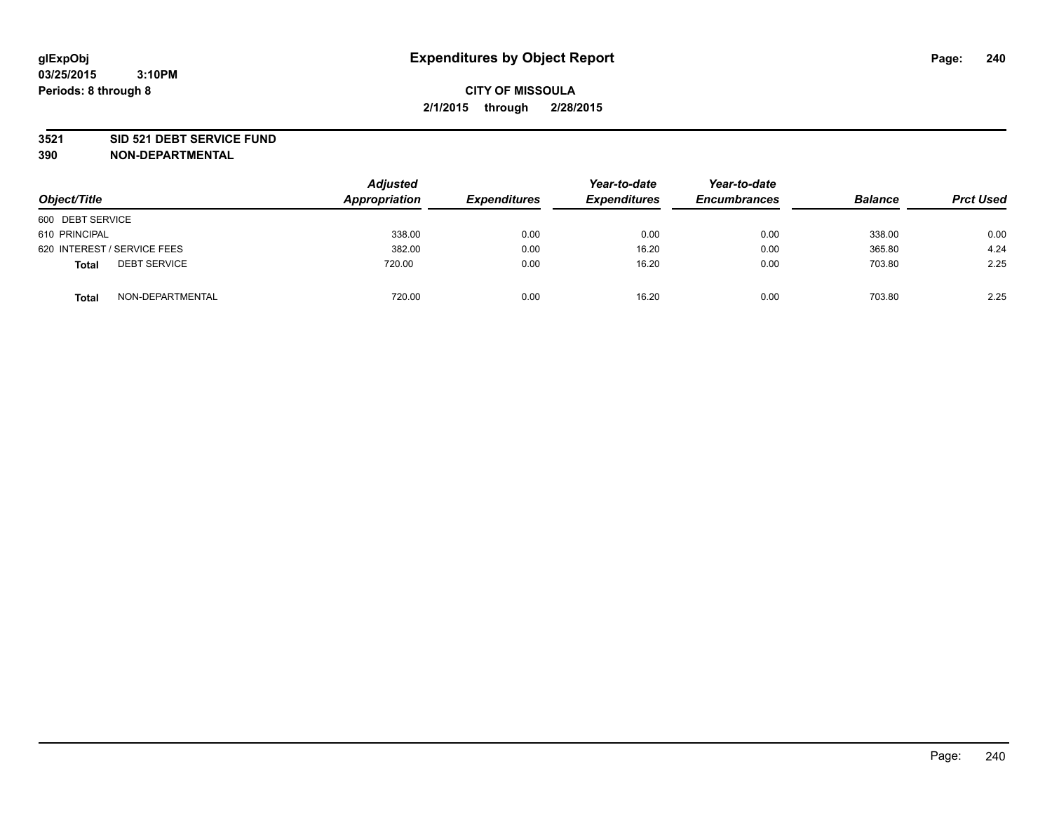#### **3521 SID 521 DEBT SERVICE FUND**

| Object/Title                        | <b>Adjusted</b><br>Appropriation | <b>Expenditures</b> | Year-to-date<br><b>Expenditures</b> | Year-to-date<br><b>Encumbrances</b> | <b>Balance</b> | <b>Prct Used</b> |
|-------------------------------------|----------------------------------|---------------------|-------------------------------------|-------------------------------------|----------------|------------------|
| 600 DEBT SERVICE                    |                                  |                     |                                     |                                     |                |                  |
| 610 PRINCIPAL                       | 338.00                           | 0.00                | 0.00                                | 0.00                                | 338.00         | 0.00             |
| 620 INTEREST / SERVICE FEES         | 382.00                           | 0.00                | 16.20                               | 0.00                                | 365.80         | 4.24             |
| <b>DEBT SERVICE</b><br><b>Total</b> | 720.00                           | 0.00                | 16.20                               | 0.00                                | 703.80         | 2.25             |
| NON-DEPARTMENTAL<br><b>Total</b>    | 720.00                           | 0.00                | 16.20                               | 0.00                                | 703.80         | 2.25             |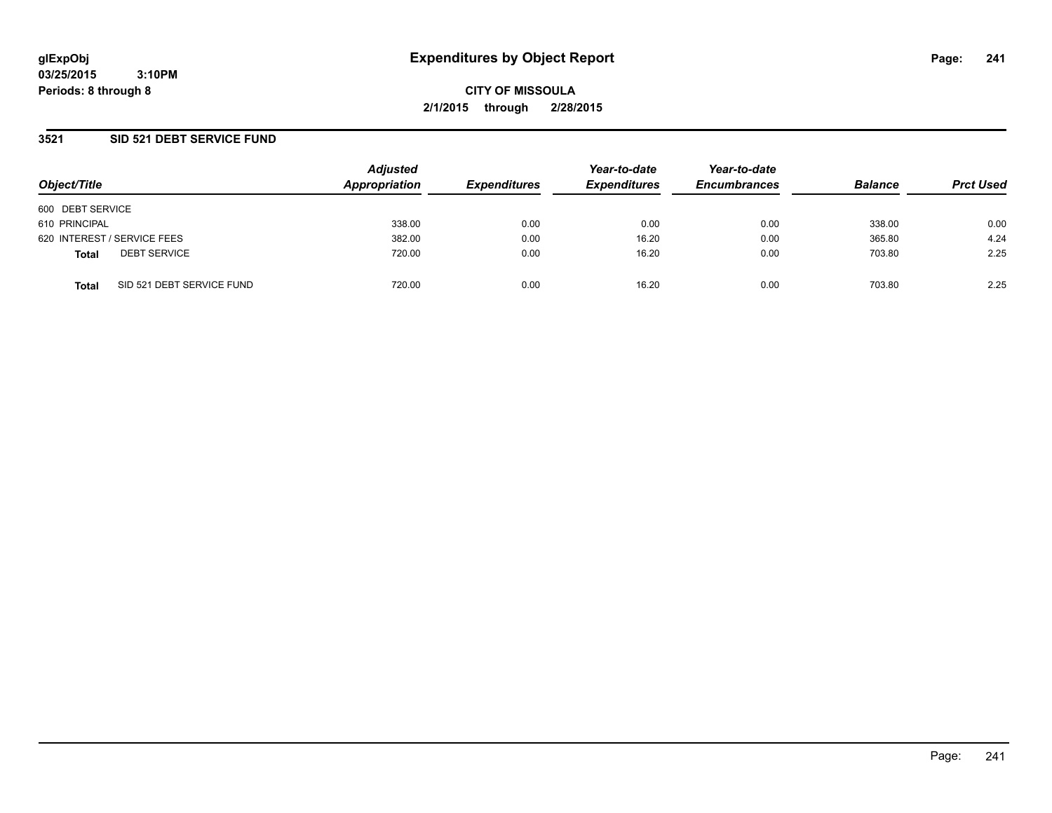**CITY OF MISSOULA 2/1/2015 through 2/28/2015**

### **3521 SID 521 DEBT SERVICE FUND**

| Object/Title     |                             | <b>Adjusted</b><br><b>Appropriation</b> | <b>Expenditures</b> | Year-to-date<br><b>Expenditures</b> | Year-to-date<br><b>Encumbrances</b> | <b>Balance</b> | <b>Prct Used</b> |
|------------------|-----------------------------|-----------------------------------------|---------------------|-------------------------------------|-------------------------------------|----------------|------------------|
| 600 DEBT SERVICE |                             |                                         |                     |                                     |                                     |                |                  |
| 610 PRINCIPAL    |                             | 338.00                                  | 0.00                | 0.00                                | 0.00                                | 338.00         | 0.00             |
|                  | 620 INTEREST / SERVICE FEES | 382.00                                  | 0.00                | 16.20                               | 0.00                                | 365.80         | 4.24             |
| <b>Total</b>     | <b>DEBT SERVICE</b>         | 720.00                                  | 0.00                | 16.20                               | 0.00                                | 703.80         | 2.25             |
| <b>Total</b>     | SID 521 DEBT SERVICE FUND   | 720.00                                  | 0.00                | 16.20                               | 0.00                                | 703.80         | 2.25             |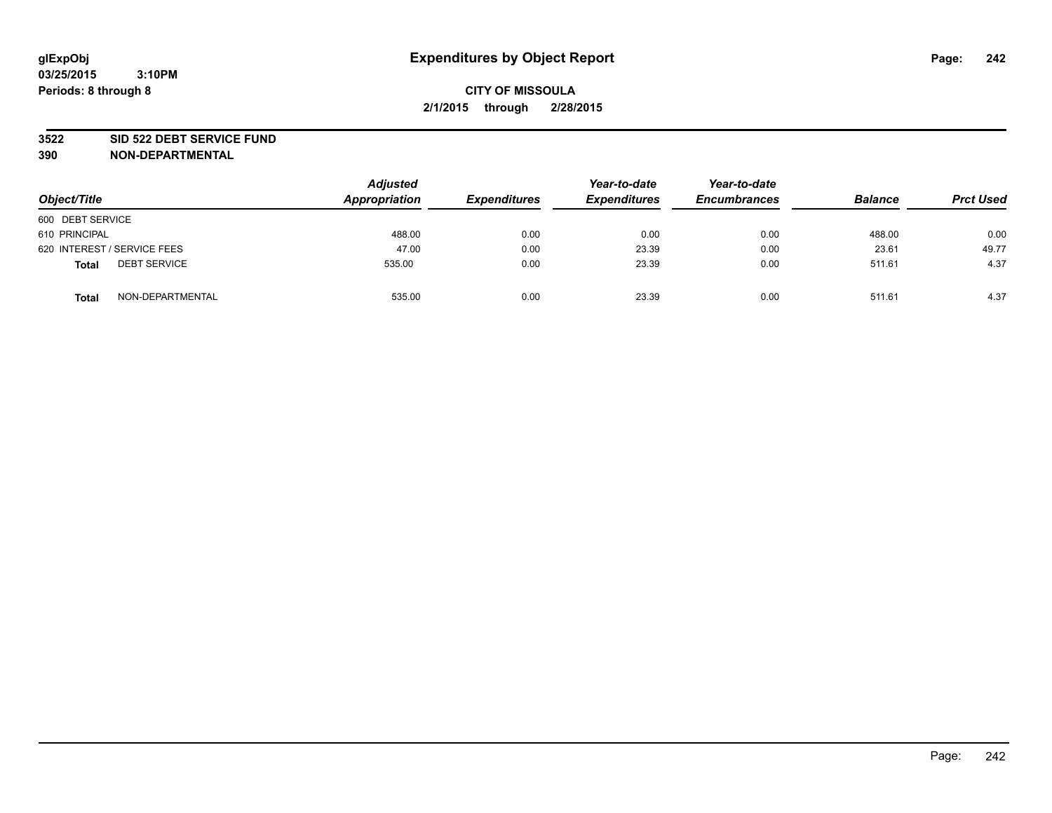#### **3522 SID 522 DEBT SERVICE FUND**

| Object/Title                        | <b>Adjusted</b><br>Appropriation | <b>Expenditures</b> | Year-to-date<br><b>Expenditures</b> | Year-to-date<br><b>Encumbrances</b> | <b>Balance</b> | <b>Prct Used</b> |
|-------------------------------------|----------------------------------|---------------------|-------------------------------------|-------------------------------------|----------------|------------------|
| 600 DEBT SERVICE                    |                                  |                     |                                     |                                     |                |                  |
| 610 PRINCIPAL                       | 488.00                           | 0.00                | 0.00                                | 0.00                                | 488.00         | 0.00             |
| 620 INTEREST / SERVICE FEES         | 47.00                            | 0.00                | 23.39                               | 0.00                                | 23.61          | 49.77            |
| <b>DEBT SERVICE</b><br><b>Total</b> | 535.00                           | 0.00                | 23.39                               | 0.00                                | 511.61         | 4.37             |
| NON-DEPARTMENTAL<br><b>Total</b>    | 535.00                           | 0.00                | 23.39                               | 0.00                                | 511.61         | 4.37             |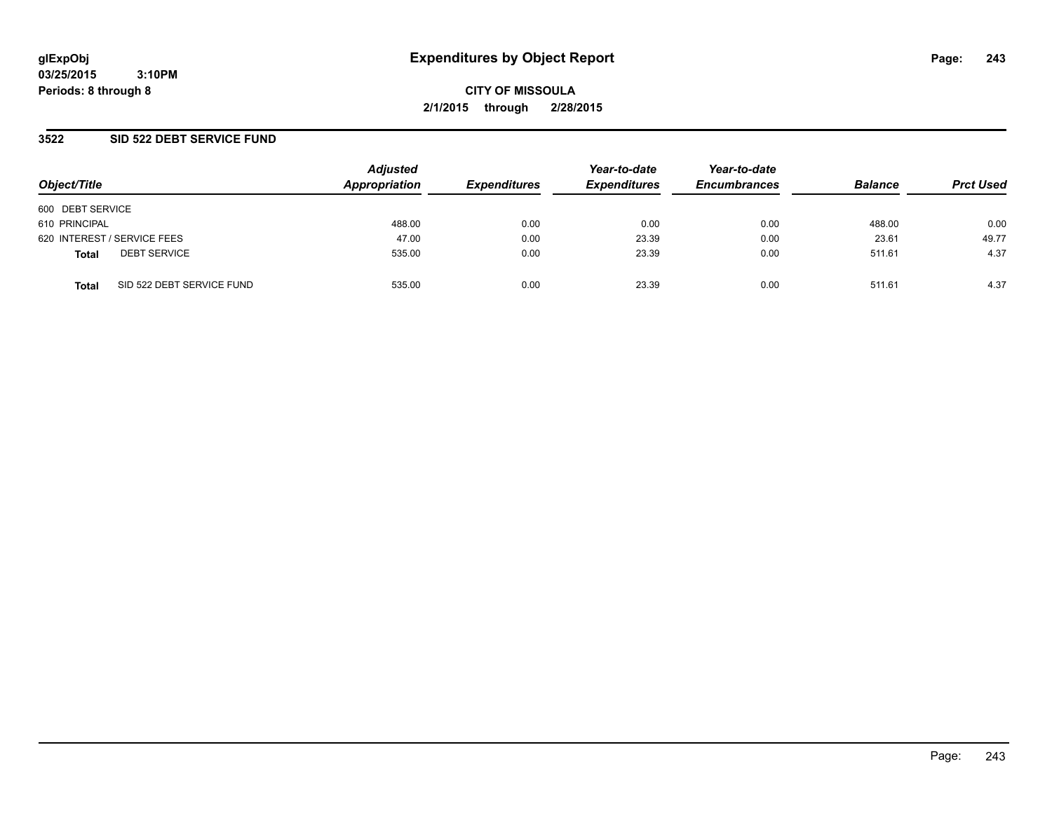**CITY OF MISSOULA 2/1/2015 through 2/28/2015**

### **3522 SID 522 DEBT SERVICE FUND**

| Object/Title                              | <b>Adjusted</b><br>Appropriation | <b>Expenditures</b> | Year-to-date<br><b>Expenditures</b> | Year-to-date<br><b>Encumbrances</b> | <b>Balance</b> | <b>Prct Used</b> |
|-------------------------------------------|----------------------------------|---------------------|-------------------------------------|-------------------------------------|----------------|------------------|
| 600 DEBT SERVICE                          |                                  |                     |                                     |                                     |                |                  |
| 610 PRINCIPAL                             | 488.00                           | 0.00                | 0.00                                | 0.00                                | 488.00         | 0.00             |
| 620 INTEREST / SERVICE FEES               | 47.00                            | 0.00                | 23.39                               | 0.00                                | 23.61          | 49.77            |
| <b>DEBT SERVICE</b><br><b>Total</b>       | 535.00                           | 0.00                | 23.39                               | 0.00                                | 511.61         | 4.37             |
| SID 522 DEBT SERVICE FUND<br><b>Total</b> | 535.00                           | 0.00                | 23.39                               | 0.00                                | 511.61         | 4.37             |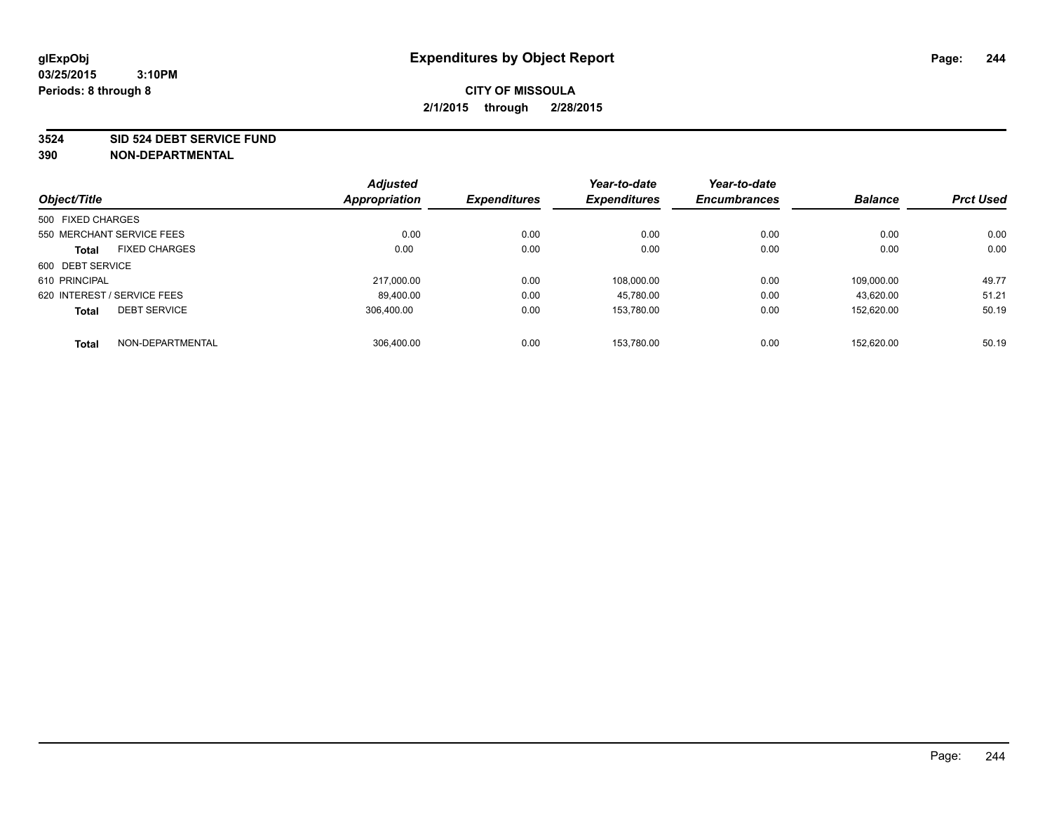#### **3524 SID 524 DEBT SERVICE FUND**

| Object/Title                |                           | <b>Adjusted</b><br>Appropriation | <b>Expenditures</b> | Year-to-date<br><b>Expenditures</b> | Year-to-date<br><b>Encumbrances</b> | <b>Balance</b> | <b>Prct Used</b> |
|-----------------------------|---------------------------|----------------------------------|---------------------|-------------------------------------|-------------------------------------|----------------|------------------|
|                             |                           |                                  |                     |                                     |                                     |                |                  |
| 500 FIXED CHARGES           |                           |                                  |                     |                                     |                                     |                |                  |
|                             | 550 MERCHANT SERVICE FEES | 0.00                             | 0.00                | 0.00                                | 0.00                                | 0.00           | 0.00             |
| <b>Total</b>                | <b>FIXED CHARGES</b>      | 0.00                             | 0.00                | 0.00                                | 0.00                                | 0.00           | 0.00             |
| 600 DEBT SERVICE            |                           |                                  |                     |                                     |                                     |                |                  |
| 610 PRINCIPAL               |                           | 217.000.00                       | 0.00                | 108.000.00                          | 0.00                                | 109.000.00     | 49.77            |
| 620 INTEREST / SERVICE FEES |                           | 89,400.00                        | 0.00                | 45,780.00                           | 0.00                                | 43.620.00      | 51.21            |
| <b>Total</b>                | <b>DEBT SERVICE</b>       | 306.400.00                       | 0.00                | 153.780.00                          | 0.00                                | 152.620.00     | 50.19            |
| <b>Total</b>                | NON-DEPARTMENTAL          | 306.400.00                       | 0.00                | 153.780.00                          | 0.00                                | 152.620.00     | 50.19            |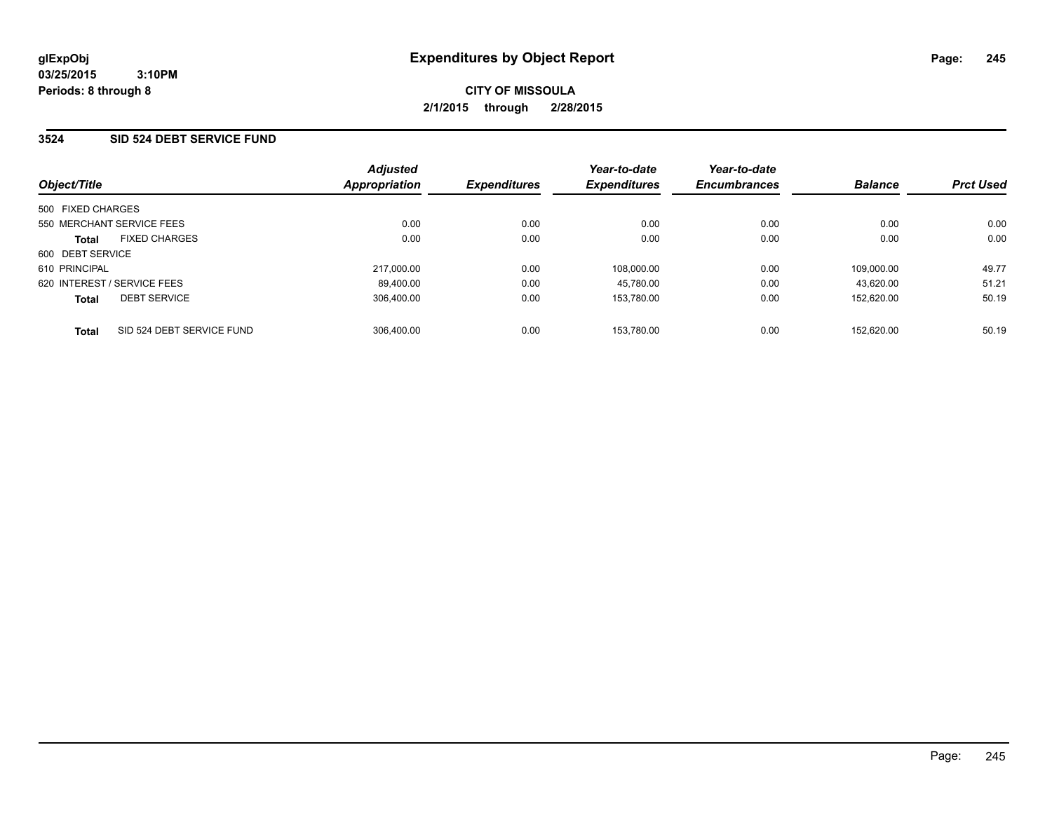### **3524 SID 524 DEBT SERVICE FUND**

| Object/Title                |                           | <b>Adjusted</b><br>Appropriation | <b>Expenditures</b> | Year-to-date<br><b>Expenditures</b> | Year-to-date<br><b>Encumbrances</b> | <b>Balance</b> | <b>Prct Used</b> |
|-----------------------------|---------------------------|----------------------------------|---------------------|-------------------------------------|-------------------------------------|----------------|------------------|
| 500 FIXED CHARGES           |                           |                                  |                     |                                     |                                     |                |                  |
| 550 MERCHANT SERVICE FEES   |                           | 0.00                             | 0.00                | 0.00                                | 0.00                                | 0.00           | 0.00             |
| <b>Total</b>                | <b>FIXED CHARGES</b>      | 0.00                             | 0.00                | 0.00                                | 0.00                                | 0.00           | 0.00             |
| 600 DEBT SERVICE            |                           |                                  |                     |                                     |                                     |                |                  |
| 610 PRINCIPAL               |                           | 217.000.00                       | 0.00                | 108.000.00                          | 0.00                                | 109.000.00     | 49.77            |
| 620 INTEREST / SERVICE FEES |                           | 89.400.00                        | 0.00                | 45.780.00                           | 0.00                                | 43.620.00      | 51.21            |
| <b>Total</b>                | <b>DEBT SERVICE</b>       | 306.400.00                       | 0.00                | 153.780.00                          | 0.00                                | 152.620.00     | 50.19            |
| <b>Total</b>                | SID 524 DEBT SERVICE FUND | 306.400.00                       | 0.00                | 153.780.00                          | 0.00                                | 152.620.00     | 50.19            |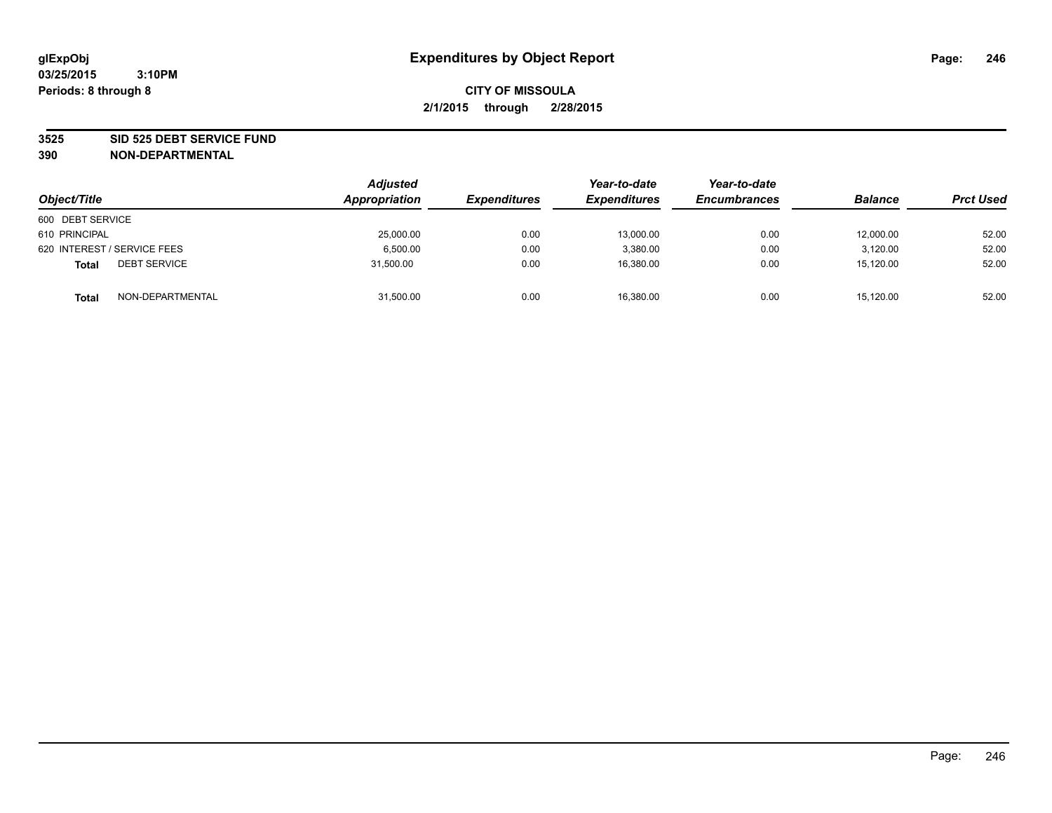#### **3525 SID 525 DEBT SERVICE FUND**

| Object/Title                        | <b>Adjusted</b><br>Appropriation | <b>Expenditures</b> | Year-to-date<br><b>Expenditures</b> | Year-to-date<br><b>Encumbrances</b> | <b>Balance</b> | <b>Prct Used</b> |
|-------------------------------------|----------------------------------|---------------------|-------------------------------------|-------------------------------------|----------------|------------------|
| 600 DEBT SERVICE                    |                                  |                     |                                     |                                     |                |                  |
| 610 PRINCIPAL                       | 25,000.00                        | 0.00                | 13,000.00                           | 0.00                                | 12,000.00      | 52.00            |
| 620 INTEREST / SERVICE FEES         | 6.500.00                         | 0.00                | 3,380.00                            | 0.00                                | 3.120.00       | 52.00            |
| <b>DEBT SERVICE</b><br><b>Total</b> | 31,500.00                        | 0.00                | 16,380.00                           | 0.00                                | 15,120.00      | 52.00            |
| NON-DEPARTMENTAL<br><b>Total</b>    | 31,500.00                        | 0.00                | 16,380.00                           | 0.00                                | 15,120.00      | 52.00            |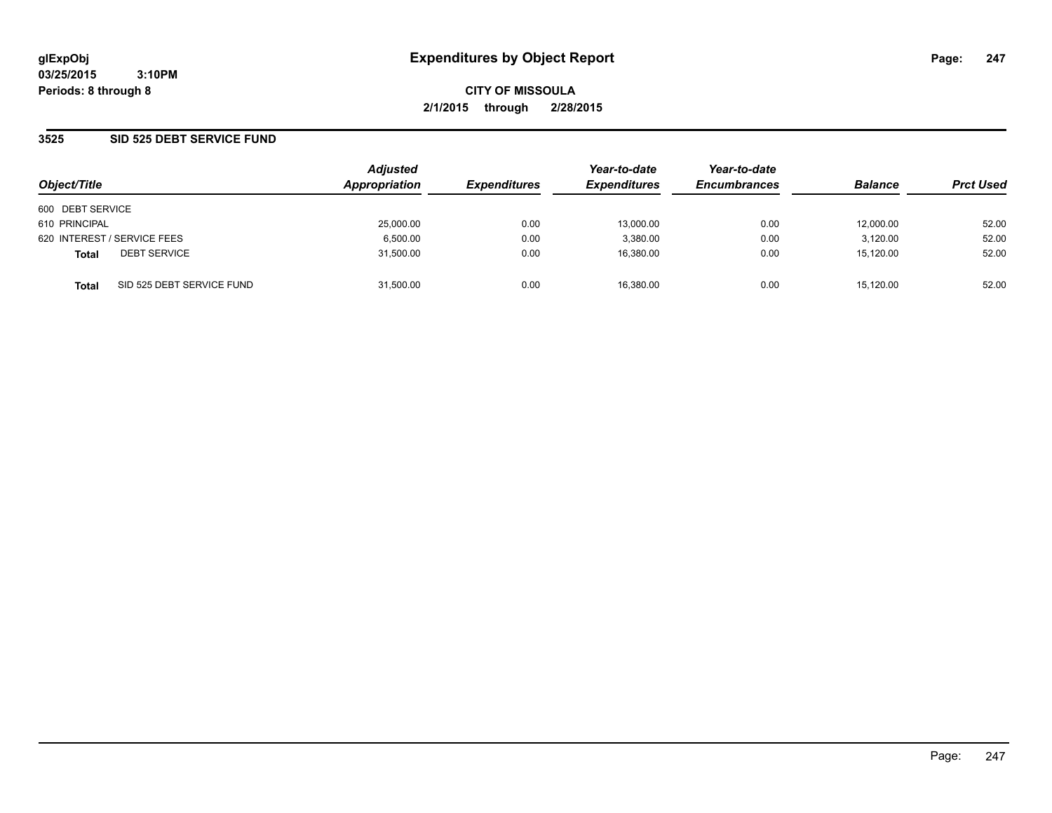**CITY OF MISSOULA 2/1/2015 through 2/28/2015**

### **3525 SID 525 DEBT SERVICE FUND**

|                                           | <b>Adjusted</b>      |                     | Year-to-date        | Year-to-date        |                |                  |
|-------------------------------------------|----------------------|---------------------|---------------------|---------------------|----------------|------------------|
| Object/Title                              | <b>Appropriation</b> | <b>Expenditures</b> | <b>Expenditures</b> | <b>Encumbrances</b> | <b>Balance</b> | <b>Prct Used</b> |
| 600 DEBT SERVICE                          |                      |                     |                     |                     |                |                  |
| 610 PRINCIPAL                             | 25,000.00            | 0.00                | 13,000.00           | 0.00                | 12,000.00      | 52.00            |
| 620 INTEREST / SERVICE FEES               | 6,500.00             | 0.00                | 3,380.00            | 0.00                | 3.120.00       | 52.00            |
| <b>DEBT SERVICE</b><br><b>Total</b>       | 31,500.00            | 0.00                | 16.380.00           | 0.00                | 15.120.00      | 52.00            |
| SID 525 DEBT SERVICE FUND<br><b>Total</b> | 31.500.00            | 0.00                | 16.380.00           | 0.00                | 15.120.00      | 52.00            |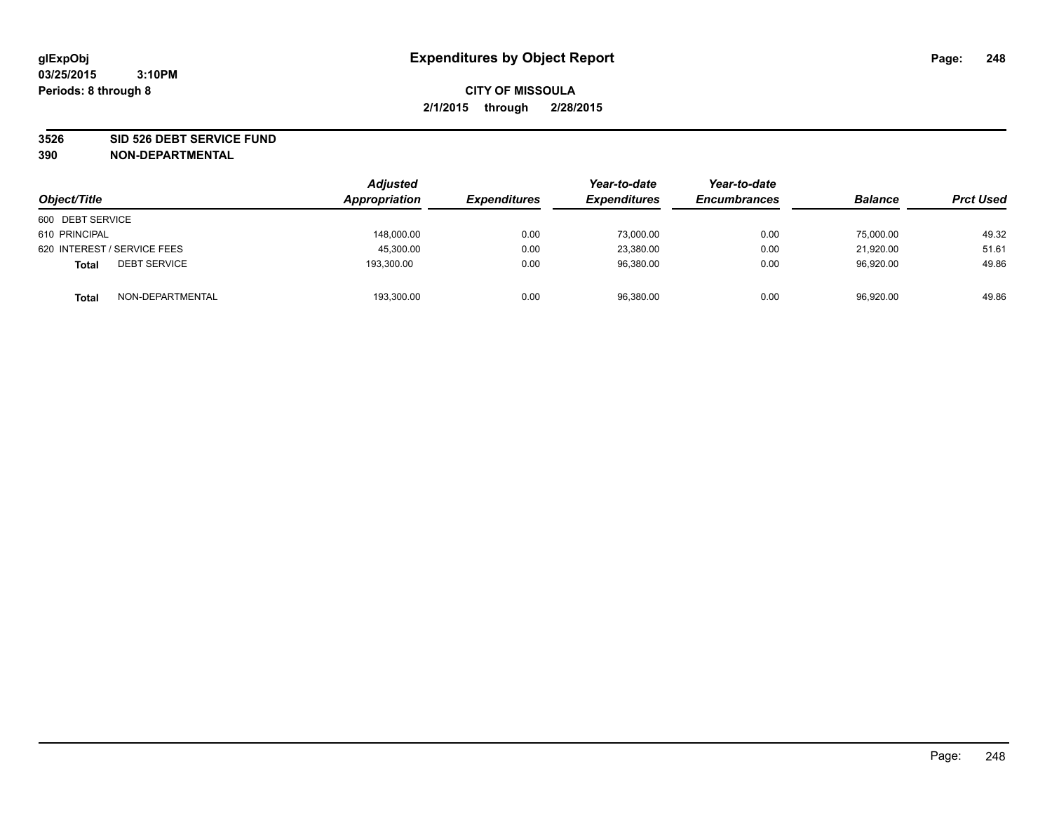#### **3526 SID 526 DEBT SERVICE FUND**

| Object/Title                        | <b>Adjusted</b><br>Appropriation | <b>Expenditures</b> | Year-to-date<br><b>Expenditures</b> | Year-to-date<br><b>Encumbrances</b> | <b>Balance</b> | <b>Prct Used</b> |
|-------------------------------------|----------------------------------|---------------------|-------------------------------------|-------------------------------------|----------------|------------------|
| 600 DEBT SERVICE                    |                                  |                     |                                     |                                     |                |                  |
| 610 PRINCIPAL                       | 148,000.00                       | 0.00                | 73,000.00                           | 0.00                                | 75,000.00      | 49.32            |
| 620 INTEREST / SERVICE FEES         | 45,300.00                        | 0.00                | 23,380.00                           | 0.00                                | 21,920.00      | 51.61            |
| <b>DEBT SERVICE</b><br><b>Total</b> | 193.300.00                       | 0.00                | 96.380.00                           | 0.00                                | 96,920.00      | 49.86            |
| NON-DEPARTMENTAL<br><b>Total</b>    | 193,300.00                       | 0.00                | 96,380.00                           | 0.00                                | 96,920.00      | 49.86            |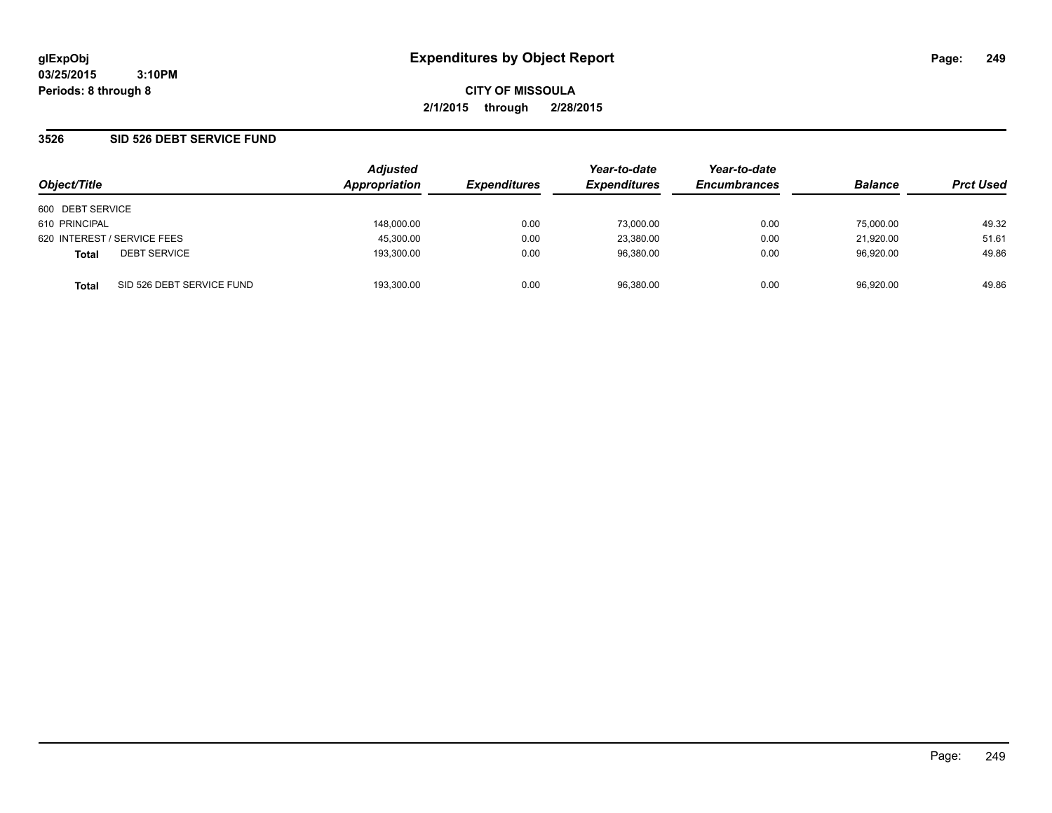**CITY OF MISSOULA 2/1/2015 through 2/28/2015**

### **3526 SID 526 DEBT SERVICE FUND**

| Object/Title     |                             | <b>Adjusted</b><br>Appropriation | <b>Expenditures</b> | Year-to-date<br><b>Expenditures</b> | Year-to-date<br><b>Encumbrances</b> | <b>Balance</b> | <b>Prct Used</b> |
|------------------|-----------------------------|----------------------------------|---------------------|-------------------------------------|-------------------------------------|----------------|------------------|
| 600 DEBT SERVICE |                             |                                  |                     |                                     |                                     |                |                  |
| 610 PRINCIPAL    |                             | 148,000.00                       | 0.00                | 73,000.00                           | 0.00                                | 75,000.00      | 49.32            |
|                  | 620 INTEREST / SERVICE FEES | 45,300.00                        | 0.00                | 23,380.00                           | 0.00                                | 21.920.00      | 51.61            |
| <b>Total</b>     | <b>DEBT SERVICE</b>         | 193.300.00                       | 0.00                | 96.380.00                           | 0.00                                | 96,920.00      | 49.86            |
| Total            | SID 526 DEBT SERVICE FUND   | 193.300.00                       | 0.00                | 96.380.00                           | 0.00                                | 96.920.00      | 49.86            |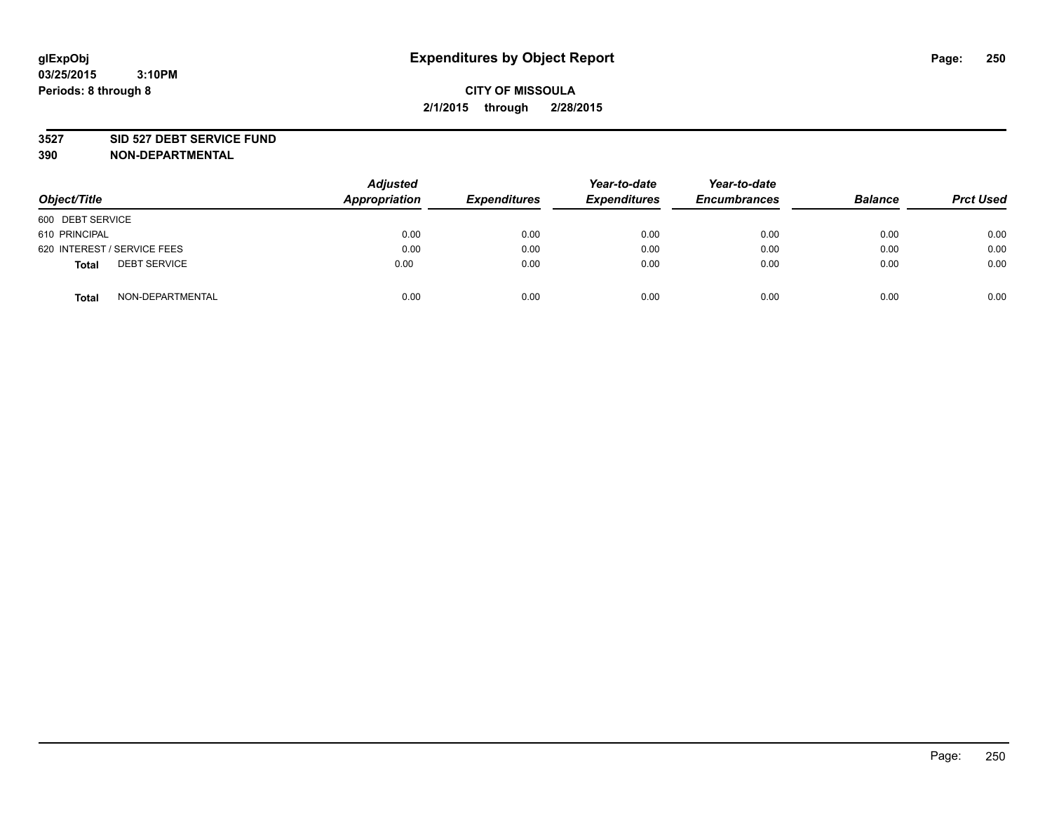#### **3527 SID 527 DEBT SERVICE FUND**

| Object/Title                 | <b>Adjusted</b><br>Appropriation | <b>Expenditures</b> | Year-to-date<br><b>Expenditures</b> | Year-to-date<br><b>Encumbrances</b> | <b>Balance</b> | <b>Prct Used</b> |
|------------------------------|----------------------------------|---------------------|-------------------------------------|-------------------------------------|----------------|------------------|
| 600 DEBT SERVICE             |                                  |                     |                                     |                                     |                |                  |
| 610 PRINCIPAL                | 0.00                             | 0.00                | 0.00                                | 0.00                                | 0.00           | 0.00             |
| 620 INTEREST / SERVICE FEES  | 0.00                             | 0.00                | 0.00                                | 0.00                                | 0.00           | 0.00             |
| <b>DEBT SERVICE</b><br>Total | 0.00                             | 0.00                | 0.00                                | 0.00                                | 0.00           | 0.00             |
| NON-DEPARTMENTAL<br>Total    | 0.00                             | 0.00                | 0.00                                | 0.00                                | 0.00           | 0.00             |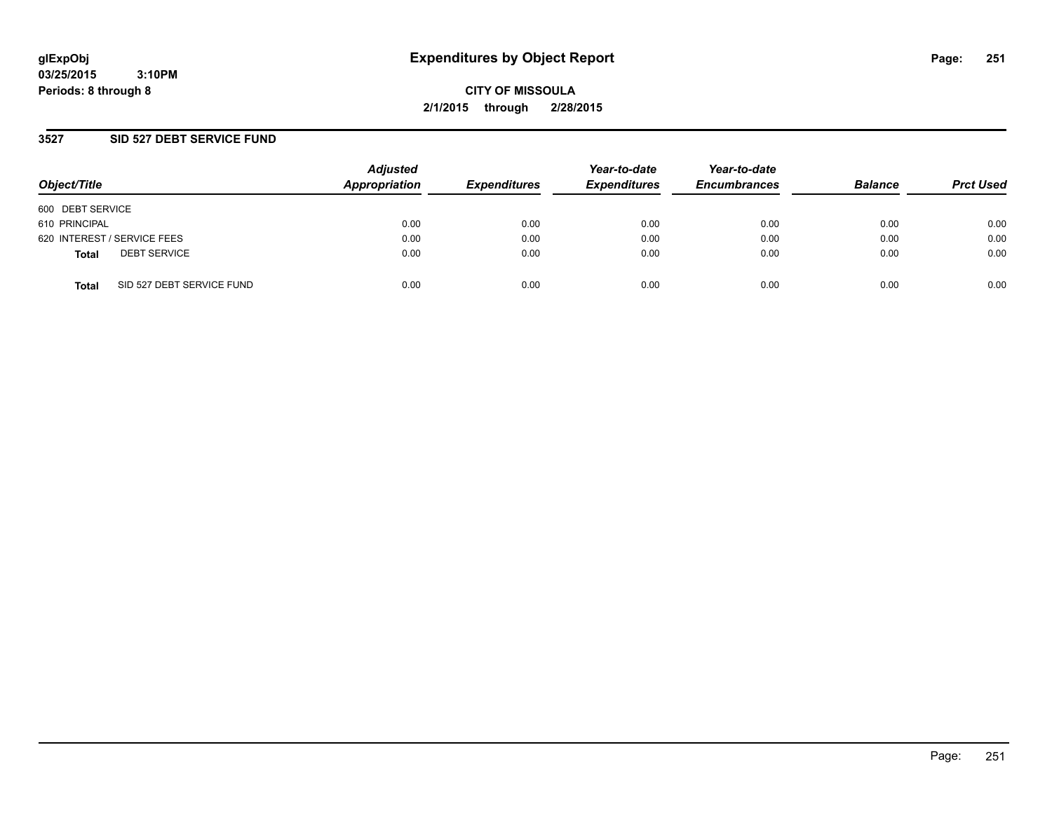**CITY OF MISSOULA 2/1/2015 through 2/28/2015**

### **3527 SID 527 DEBT SERVICE FUND**

| Object/Title                              | <b>Adjusted</b><br>Appropriation | <b>Expenditures</b> | Year-to-date<br><b>Expenditures</b> | Year-to-date<br><b>Encumbrances</b> | <b>Balance</b> | <b>Prct Used</b> |
|-------------------------------------------|----------------------------------|---------------------|-------------------------------------|-------------------------------------|----------------|------------------|
| 600 DEBT SERVICE                          |                                  |                     |                                     |                                     |                |                  |
| 610 PRINCIPAL                             | 0.00                             | 0.00                | 0.00                                | 0.00                                | 0.00           | 0.00             |
| 620 INTEREST / SERVICE FEES               | 0.00                             | 0.00                | 0.00                                | 0.00                                | 0.00           | 0.00             |
| <b>DEBT SERVICE</b><br><b>Total</b>       | 0.00                             | 0.00                | 0.00                                | 0.00                                | 0.00           | 0.00             |
| SID 527 DEBT SERVICE FUND<br><b>Total</b> | 0.00                             | 0.00                | 0.00                                | 0.00                                | 0.00           | 0.00             |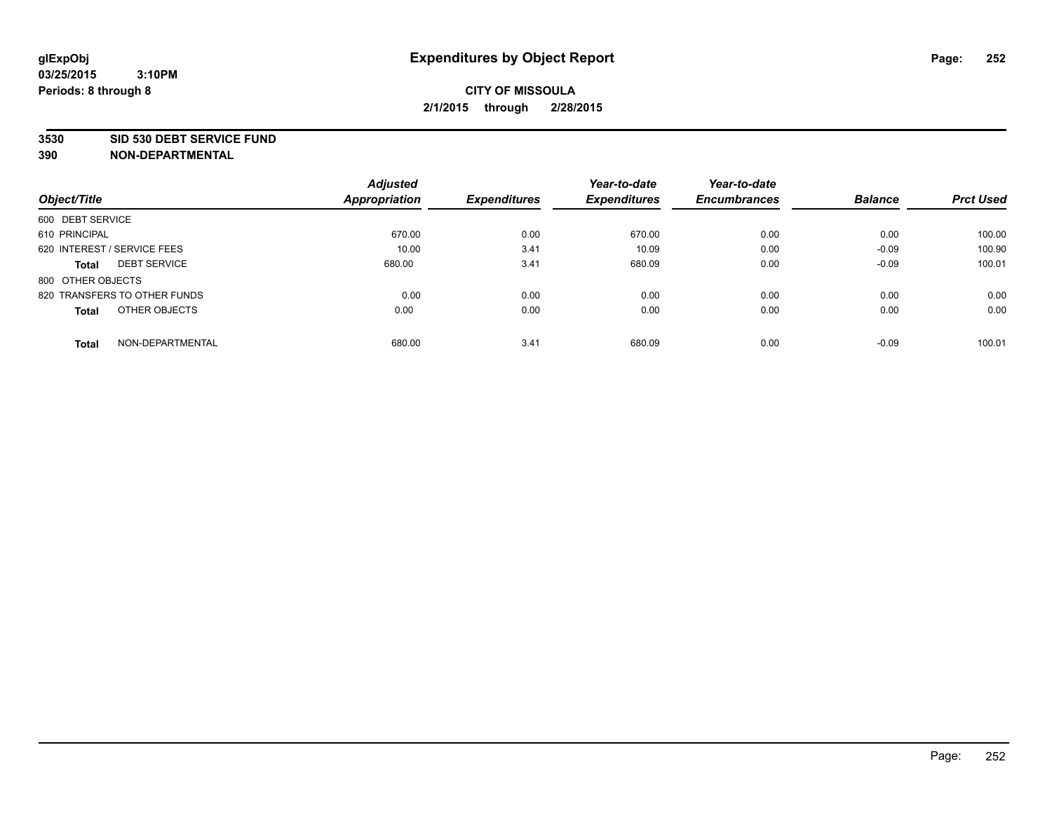#### **3530 SID 530 DEBT SERVICE FUND**

|                                     | <b>Adjusted</b> |                     | Year-to-date        | Year-to-date        |                |                  |
|-------------------------------------|-----------------|---------------------|---------------------|---------------------|----------------|------------------|
| Object/Title                        | Appropriation   | <b>Expenditures</b> | <b>Expenditures</b> | <b>Encumbrances</b> | <b>Balance</b> | <b>Prct Used</b> |
| 600 DEBT SERVICE                    |                 |                     |                     |                     |                |                  |
| 610 PRINCIPAL                       | 670.00          | 0.00                | 670.00              | 0.00                | 0.00           | 100.00           |
| 620 INTEREST / SERVICE FEES         | 10.00           | 3.41                | 10.09               | 0.00                | $-0.09$        | 100.90           |
| <b>DEBT SERVICE</b><br><b>Total</b> | 680.00          | 3.41                | 680.09              | 0.00                | $-0.09$        | 100.01           |
| 800 OTHER OBJECTS                   |                 |                     |                     |                     |                |                  |
| 820 TRANSFERS TO OTHER FUNDS        | 0.00            | 0.00                | 0.00                | 0.00                | 0.00           | 0.00             |
| OTHER OBJECTS<br><b>Total</b>       | 0.00            | 0.00                | 0.00                | 0.00                | 0.00           | 0.00             |
| NON-DEPARTMENTAL<br>Total           | 680.00          | 3.41                | 680.09              | 0.00                | $-0.09$        | 100.01           |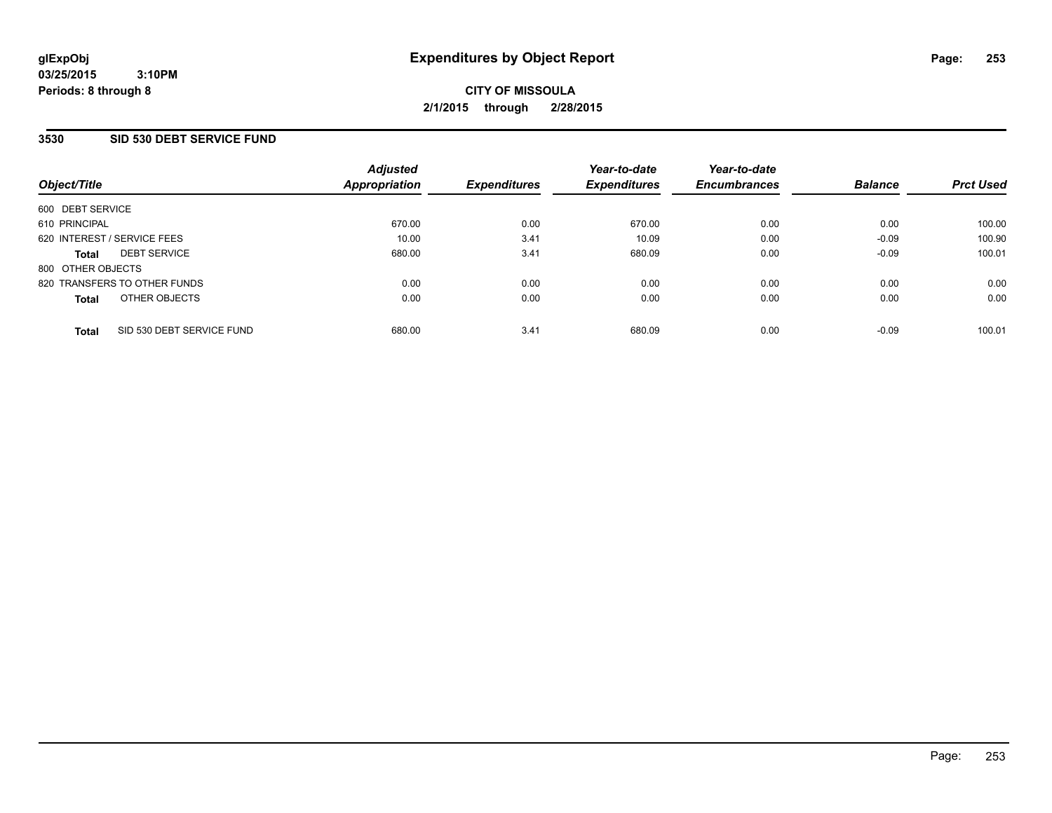**CITY OF MISSOULA 2/1/2015 through 2/28/2015**

### **3530 SID 530 DEBT SERVICE FUND**

| Object/Title      |                              | <b>Adjusted</b><br>Appropriation | <b>Expenditures</b> | Year-to-date<br><b>Expenditures</b> | Year-to-date<br><b>Encumbrances</b> | <b>Balance</b> | <b>Prct Used</b> |
|-------------------|------------------------------|----------------------------------|---------------------|-------------------------------------|-------------------------------------|----------------|------------------|
|                   |                              |                                  |                     |                                     |                                     |                |                  |
| 600 DEBT SERVICE  |                              |                                  |                     |                                     |                                     |                |                  |
| 610 PRINCIPAL     |                              | 670.00                           | 0.00                | 670.00                              | 0.00                                | 0.00           | 100.00           |
|                   | 620 INTEREST / SERVICE FEES  | 10.00                            | 3.41                | 10.09                               | 0.00                                | $-0.09$        | 100.90           |
| <b>Total</b>      | <b>DEBT SERVICE</b>          | 680.00                           | 3.41                | 680.09                              | 0.00                                | $-0.09$        | 100.01           |
| 800 OTHER OBJECTS |                              |                                  |                     |                                     |                                     |                |                  |
|                   | 820 TRANSFERS TO OTHER FUNDS | 0.00                             | 0.00                | 0.00                                | 0.00                                | 0.00           | 0.00             |
| <b>Total</b>      | OTHER OBJECTS                | 0.00                             | 0.00                | 0.00                                | 0.00                                | 0.00           | 0.00             |
| <b>Total</b>      | SID 530 DEBT SERVICE FUND    | 680.00                           | 3.41                | 680.09                              | 0.00                                | $-0.09$        | 100.01           |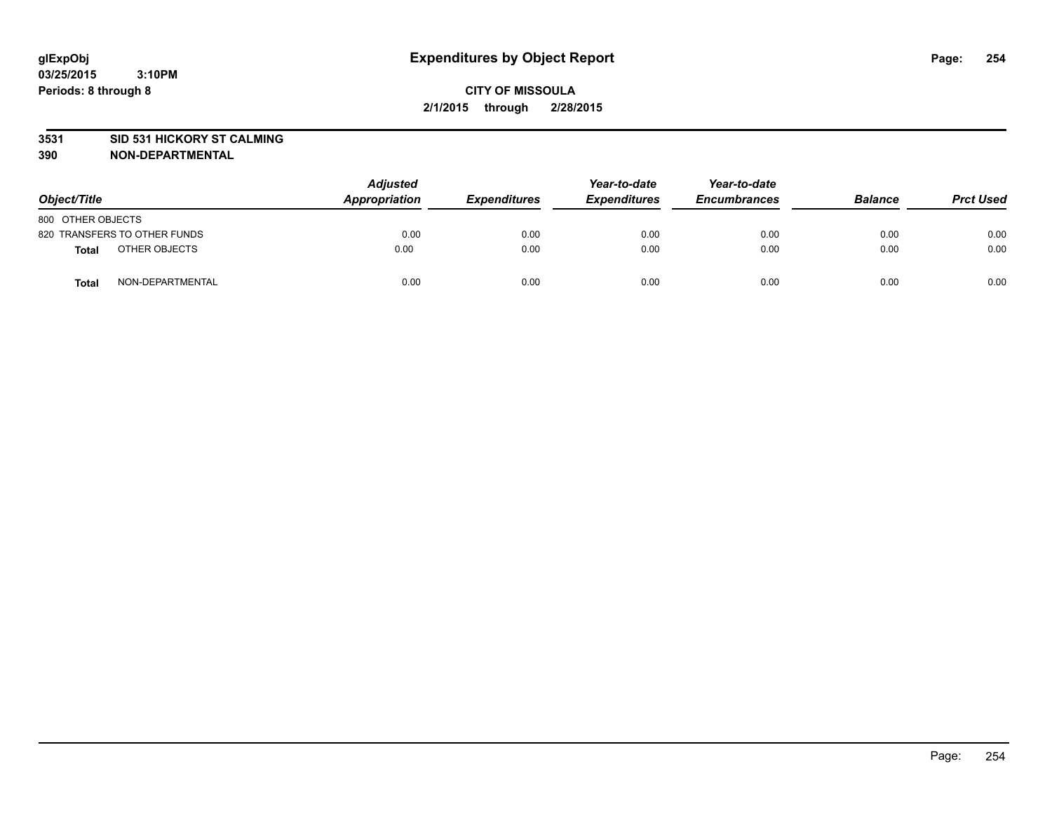### **3531 SID 531 HICKORY ST CALMING**

| Object/Title                     | <b>Adjusted</b><br>Appropriation | <b>Expenditures</b> | Year-to-date<br><b>Expenditures</b> | Year-to-date<br><b>Encumbrances</b> | <b>Balance</b> | <b>Prct Used</b> |
|----------------------------------|----------------------------------|---------------------|-------------------------------------|-------------------------------------|----------------|------------------|
| 800 OTHER OBJECTS                |                                  |                     |                                     |                                     |                |                  |
| 820 TRANSFERS TO OTHER FUNDS     | 0.00                             | 0.00                | 0.00                                | 0.00                                | 0.00           | 0.00             |
| OTHER OBJECTS<br><b>Total</b>    | 0.00                             | 0.00                | 0.00                                | 0.00                                | 0.00           | 0.00             |
| NON-DEPARTMENTAL<br><b>Total</b> | 0.00                             | 0.00                | 0.00                                | 0.00                                | 0.00           | 0.00             |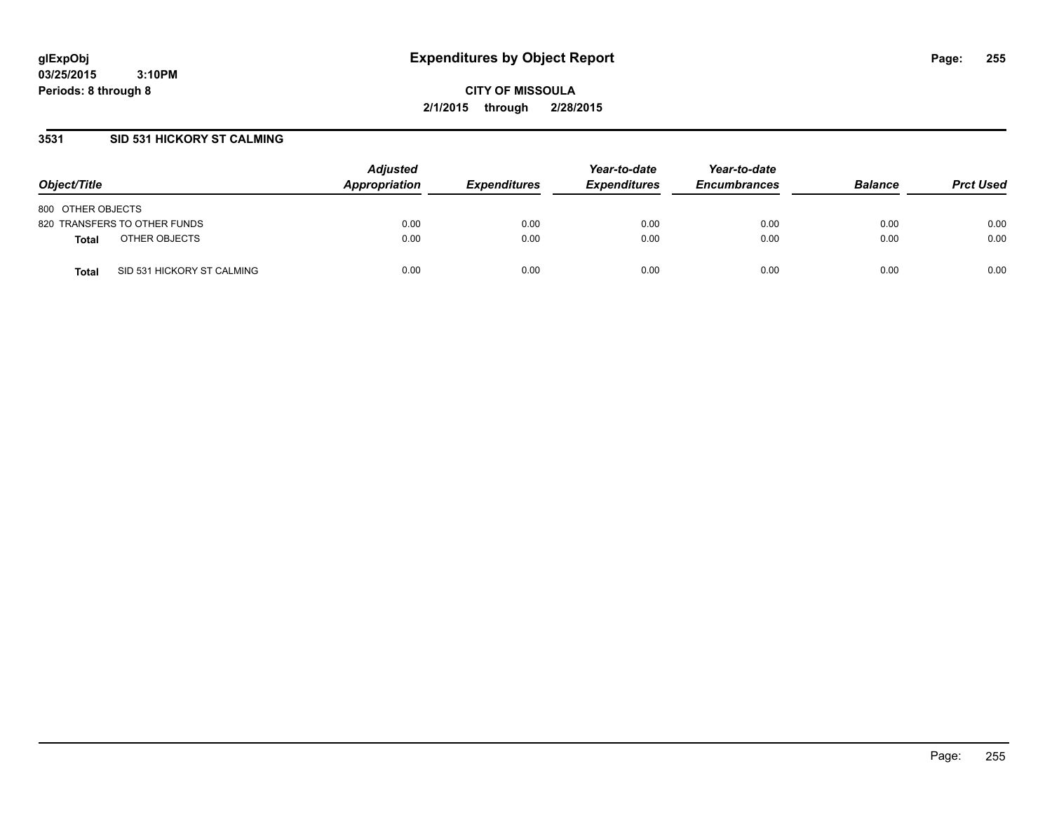### **3531 SID 531 HICKORY ST CALMING**

| Object/Title                               | <b>Adjusted</b><br>Appropriation | <b>Expenditures</b> | Year-to-date<br><b>Expenditures</b> | Year-to-date<br><b>Encumbrances</b> | <b>Balance</b> | <b>Prct Used</b> |
|--------------------------------------------|----------------------------------|---------------------|-------------------------------------|-------------------------------------|----------------|------------------|
| 800 OTHER OBJECTS                          |                                  |                     |                                     |                                     |                |                  |
| 820 TRANSFERS TO OTHER FUNDS               | 0.00                             | 0.00                | 0.00                                | 0.00                                | 0.00           | 0.00             |
| OTHER OBJECTS<br><b>Total</b>              | 0.00                             | 0.00                | 0.00                                | 0.00                                | 0.00           | 0.00             |
| SID 531 HICKORY ST CALMING<br><b>Total</b> | 0.00                             | 0.00                | 0.00                                | 0.00                                | 0.00           | 0.00             |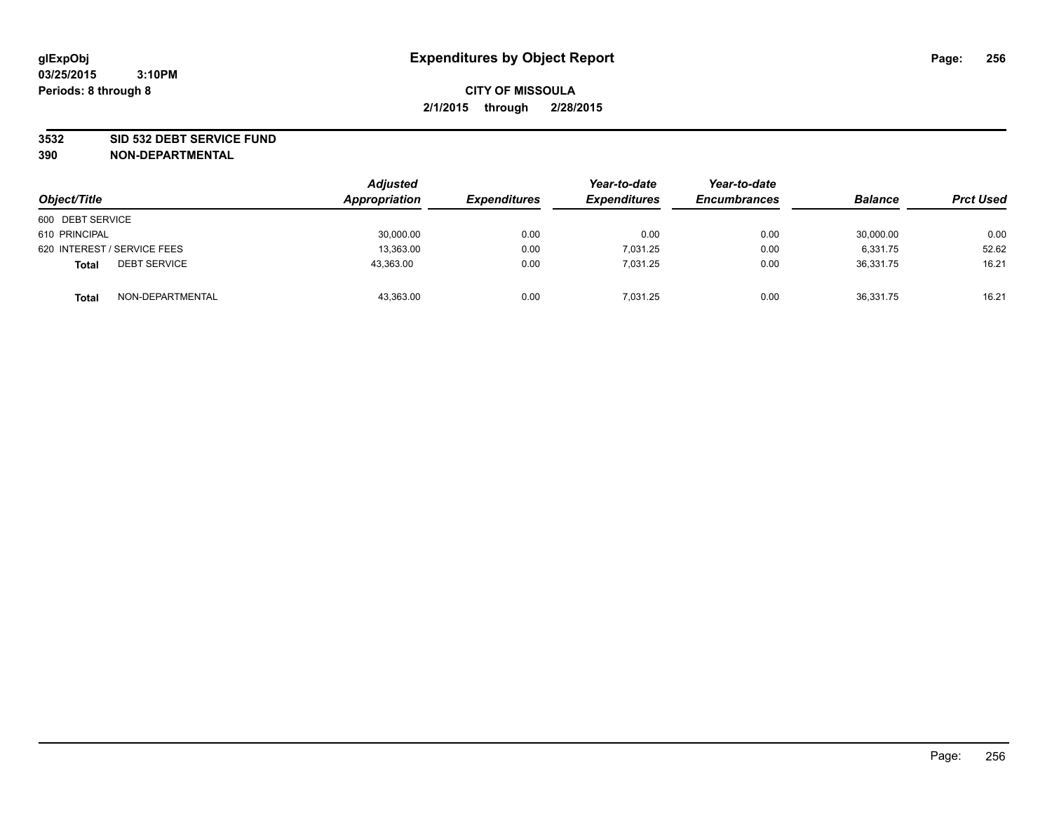### **3532 SID 532 DEBT SERVICE FUND**

| Object/Title                        | <b>Adjusted</b><br>Appropriation | <b>Expenditures</b> | Year-to-date<br><b>Expenditures</b> | Year-to-date<br><b>Encumbrances</b> | <b>Balance</b> | <b>Prct Used</b> |
|-------------------------------------|----------------------------------|---------------------|-------------------------------------|-------------------------------------|----------------|------------------|
| 600 DEBT SERVICE                    |                                  |                     |                                     |                                     |                |                  |
| 610 PRINCIPAL                       | 30,000.00                        | 0.00                | 0.00                                | 0.00                                | 30,000.00      | 0.00             |
| 620 INTEREST / SERVICE FEES         | 13,363.00                        | 0.00                | 7.031.25                            | 0.00                                | 6,331.75       | 52.62            |
| <b>DEBT SERVICE</b><br><b>Total</b> | 43.363.00                        | 0.00                | 7.031.25                            | 0.00                                | 36.331.75      | 16.21            |
| NON-DEPARTMENTAL<br><b>Total</b>    | 43,363.00                        | 0.00                | 7.031.25                            | 0.00                                | 36,331.75      | 16.21            |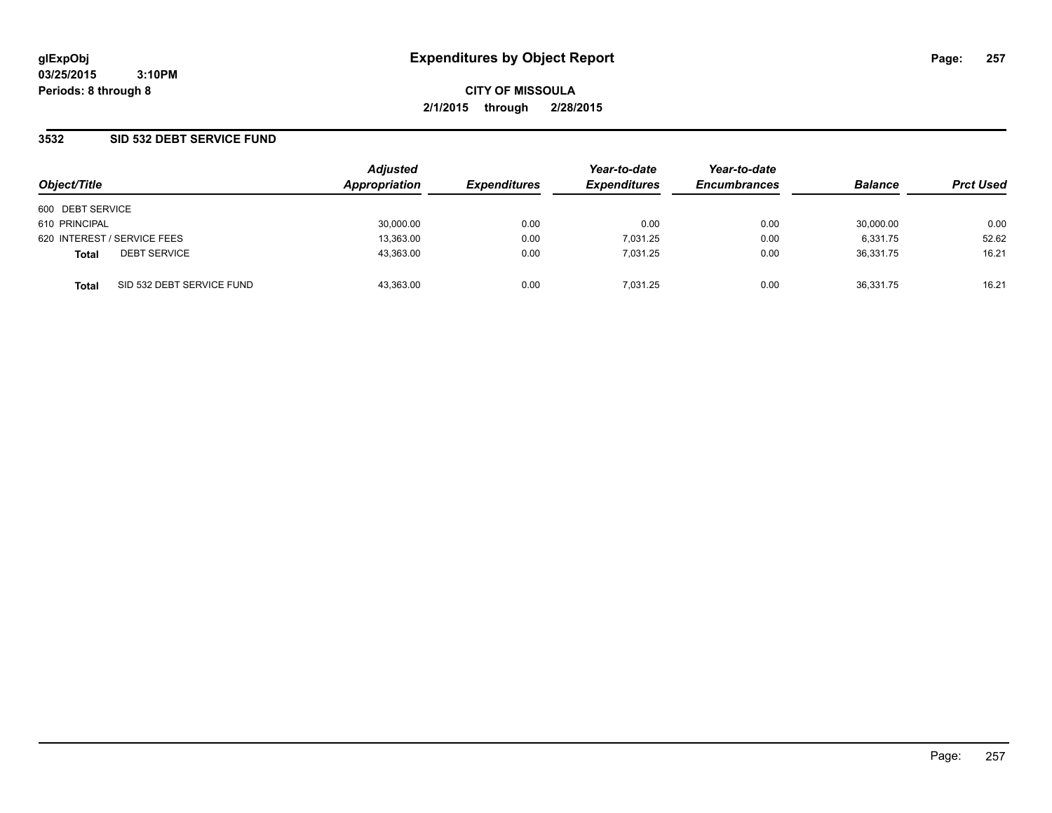**CITY OF MISSOULA 2/1/2015 through 2/28/2015**

### **3532 SID 532 DEBT SERVICE FUND**

| Object/Title                              | <b>Adjusted</b><br>Appropriation | <b>Expenditures</b> | Year-to-date<br><b>Expenditures</b> | Year-to-date<br><b>Encumbrances</b> | <b>Balance</b> | <b>Prct Used</b> |
|-------------------------------------------|----------------------------------|---------------------|-------------------------------------|-------------------------------------|----------------|------------------|
| 600 DEBT SERVICE                          |                                  |                     |                                     |                                     |                |                  |
| 610 PRINCIPAL                             | 30,000.00                        | 0.00                | 0.00                                | 0.00                                | 30,000.00      | 0.00             |
| 620 INTEREST / SERVICE FEES               | 13,363.00                        | 0.00                | 7,031.25                            | 0.00                                | 6,331.75       | 52.62            |
| <b>DEBT SERVICE</b><br><b>Total</b>       | 43,363.00                        | 0.00                | 7.031.25                            | 0.00                                | 36.331.75      | 16.21            |
| SID 532 DEBT SERVICE FUND<br><b>Total</b> | 43,363.00                        | 0.00                | 7.031.25                            | 0.00                                | 36.331.75      | 16.21            |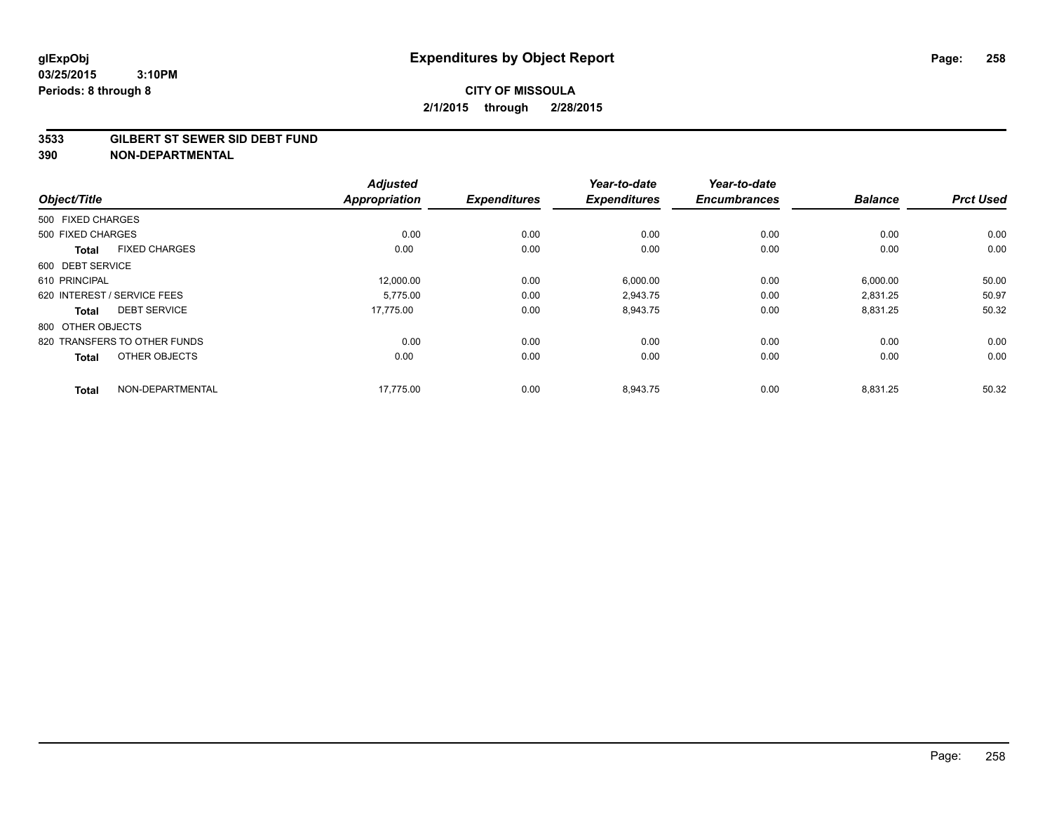#### **3533 GILBERT ST SEWER SID DEBT FUND**

|                             |                              | <b>Adjusted</b>      |                     | Year-to-date        | Year-to-date        |                |                  |
|-----------------------------|------------------------------|----------------------|---------------------|---------------------|---------------------|----------------|------------------|
| Object/Title                |                              | <b>Appropriation</b> | <b>Expenditures</b> | <b>Expenditures</b> | <b>Encumbrances</b> | <b>Balance</b> | <b>Prct Used</b> |
| 500 FIXED CHARGES           |                              |                      |                     |                     |                     |                |                  |
| 500 FIXED CHARGES           |                              | 0.00                 | 0.00                | 0.00                | 0.00                | 0.00           | 0.00             |
| <b>Total</b>                | <b>FIXED CHARGES</b>         | 0.00                 | 0.00                | 0.00                | 0.00                | 0.00           | 0.00             |
| 600 DEBT SERVICE            |                              |                      |                     |                     |                     |                |                  |
| 610 PRINCIPAL               |                              | 12,000.00            | 0.00                | 6,000.00            | 0.00                | 6,000.00       | 50.00            |
| 620 INTEREST / SERVICE FEES |                              | 5.775.00             | 0.00                | 2.943.75            | 0.00                | 2.831.25       | 50.97            |
| <b>Total</b>                | <b>DEBT SERVICE</b>          | 17,775.00            | 0.00                | 8,943.75            | 0.00                | 8,831.25       | 50.32            |
| 800 OTHER OBJECTS           |                              |                      |                     |                     |                     |                |                  |
|                             | 820 TRANSFERS TO OTHER FUNDS | 0.00                 | 0.00                | 0.00                | 0.00                | 0.00           | 0.00             |
| <b>Total</b>                | OTHER OBJECTS                | 0.00                 | 0.00                | 0.00                | 0.00                | 0.00           | 0.00             |
| <b>Total</b>                | NON-DEPARTMENTAL             | 17,775.00            | 0.00                | 8,943.75            | 0.00                | 8,831.25       | 50.32            |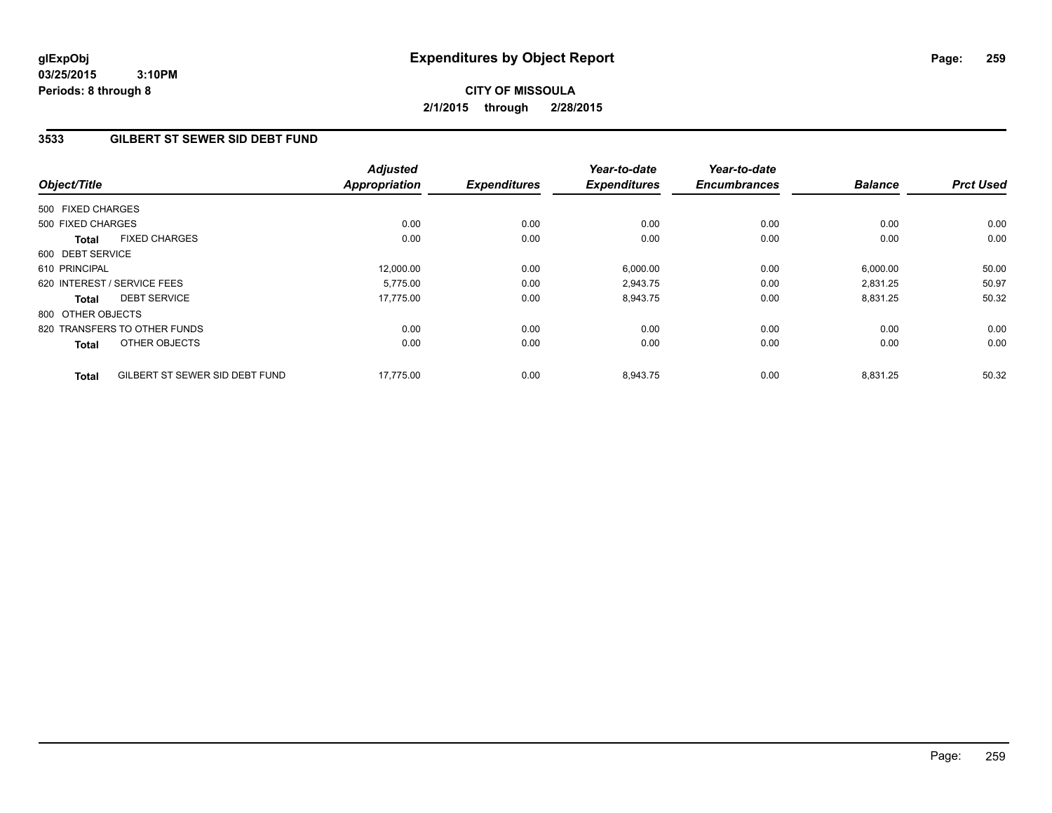# **CITY OF MISSOULA 2/1/2015 through 2/28/2015**

### **3533 GILBERT ST SEWER SID DEBT FUND**

| Object/Title      |                                | <b>Adjusted</b><br><b>Appropriation</b> | <b>Expenditures</b> | Year-to-date<br><b>Expenditures</b> | Year-to-date<br><b>Encumbrances</b> | <b>Balance</b> | <b>Prct Used</b> |
|-------------------|--------------------------------|-----------------------------------------|---------------------|-------------------------------------|-------------------------------------|----------------|------------------|
| 500 FIXED CHARGES |                                |                                         |                     |                                     |                                     |                |                  |
| 500 FIXED CHARGES |                                | 0.00                                    | 0.00                | 0.00                                | 0.00                                | 0.00           | 0.00             |
| <b>Total</b>      | <b>FIXED CHARGES</b>           | 0.00                                    | 0.00                | 0.00                                | 0.00                                | 0.00           | 0.00             |
| 600 DEBT SERVICE  |                                |                                         |                     |                                     |                                     |                |                  |
| 610 PRINCIPAL     |                                | 12,000.00                               | 0.00                | 6,000.00                            | 0.00                                | 6,000.00       | 50.00            |
|                   | 620 INTEREST / SERVICE FEES    | 5,775.00                                | 0.00                | 2,943.75                            | 0.00                                | 2,831.25       | 50.97            |
| <b>Total</b>      | <b>DEBT SERVICE</b>            | 17.775.00                               | 0.00                | 8,943.75                            | 0.00                                | 8,831.25       | 50.32            |
| 800 OTHER OBJECTS |                                |                                         |                     |                                     |                                     |                |                  |
|                   | 820 TRANSFERS TO OTHER FUNDS   | 0.00                                    | 0.00                | 0.00                                | 0.00                                | 0.00           | 0.00             |
| Total             | OTHER OBJECTS                  | 0.00                                    | 0.00                | 0.00                                | 0.00                                | 0.00           | 0.00             |
| <b>Total</b>      | GILBERT ST SEWER SID DEBT FUND | 17,775.00                               | 0.00                | 8,943.75                            | 0.00                                | 8,831.25       | 50.32            |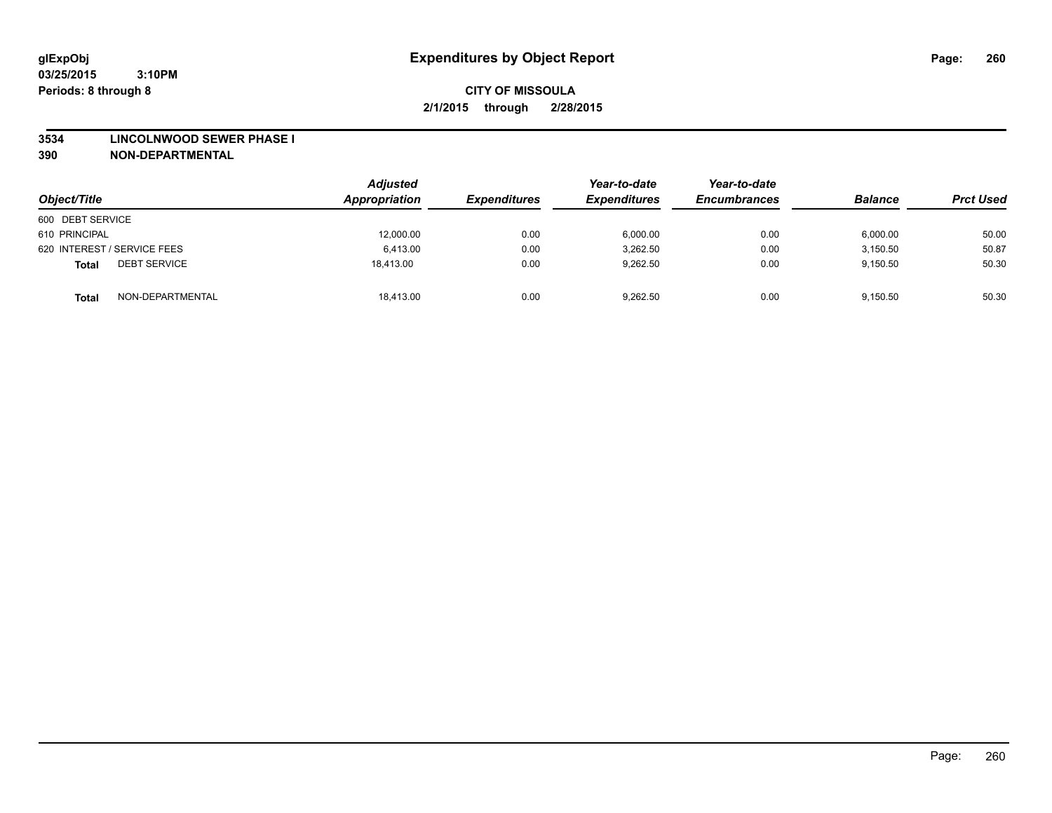#### **3534 LINCOLNWOOD SEWER PHASE I**

| Object/Title                        | Adjusted<br>Appropriation | <b>Expenditures</b> | Year-to-date<br><b>Expenditures</b> | Year-to-date<br><b>Encumbrances</b> | <b>Balance</b> | <b>Prct Used</b> |
|-------------------------------------|---------------------------|---------------------|-------------------------------------|-------------------------------------|----------------|------------------|
| 600 DEBT SERVICE                    |                           |                     |                                     |                                     |                |                  |
| 610 PRINCIPAL                       | 12,000.00                 | 0.00                | 6,000.00                            | 0.00                                | 6,000.00       | 50.00            |
| 620 INTEREST / SERVICE FEES         | 6.413.00                  | 0.00                | 3,262.50                            | 0.00                                | 3.150.50       | 50.87            |
| <b>DEBT SERVICE</b><br><b>Total</b> | 18.413.00                 | 0.00                | 9.262.50                            | 0.00                                | 9.150.50       | 50.30            |
| NON-DEPARTMENTAL<br><b>Total</b>    | 18,413.00                 | 0.00                | 9,262.50                            | 0.00                                | 9.150.50       | 50.30            |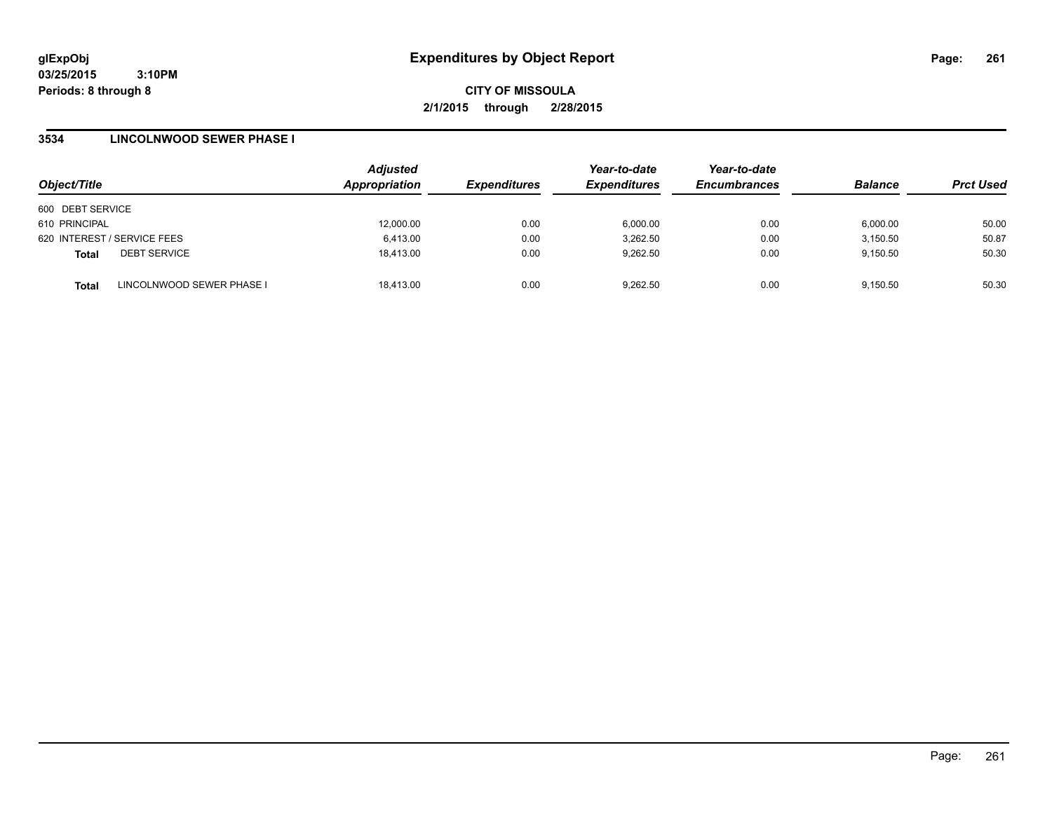**CITY OF MISSOULA 2/1/2015 through 2/28/2015**

### **3534 LINCOLNWOOD SEWER PHASE I**

| Object/Title     |                             | <b>Adjusted</b><br>Appropriation | <b>Expenditures</b> | Year-to-date<br><b>Expenditures</b> | Year-to-date<br><b>Encumbrances</b> | <b>Balance</b> | <b>Prct Used</b> |
|------------------|-----------------------------|----------------------------------|---------------------|-------------------------------------|-------------------------------------|----------------|------------------|
|                  |                             |                                  |                     |                                     |                                     |                |                  |
| 600 DEBT SERVICE |                             |                                  |                     |                                     |                                     |                |                  |
| 610 PRINCIPAL    |                             | 12,000.00                        | 0.00                | 6,000.00                            | 0.00                                | 6,000.00       | 50.00            |
|                  | 620 INTEREST / SERVICE FEES | 6,413.00                         | 0.00                | 3,262.50                            | 0.00                                | 3,150.50       | 50.87            |
| <b>Total</b>     | <b>DEBT SERVICE</b>         | 18.413.00                        | 0.00                | 9.262.50                            | 0.00                                | 9,150.50       | 50.30            |
| <b>Total</b>     | LINCOLNWOOD SEWER PHASE I   | 18.413.00                        | 0.00                | 9.262.50                            | 0.00                                | 9.150.50       | 50.30            |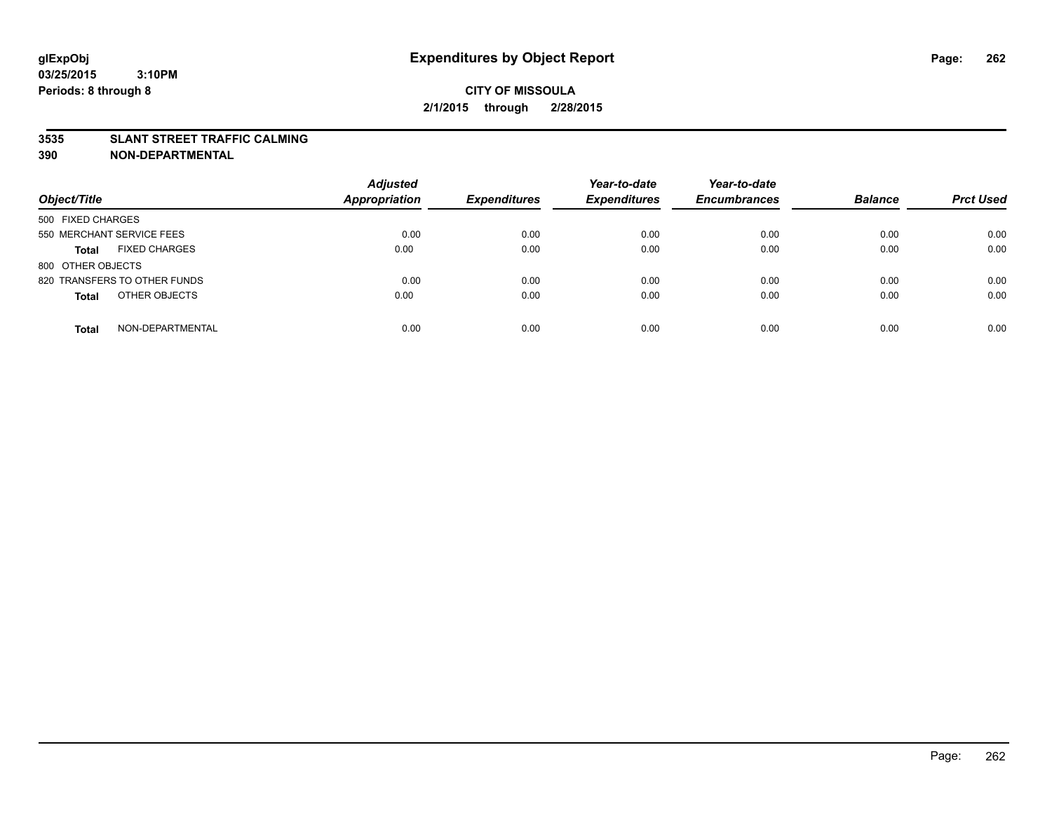### **3535 SLANT STREET TRAFFIC CALMING**

| Object/Title                         | <b>Adjusted</b><br><b>Appropriation</b> | <b>Expenditures</b> | Year-to-date<br><b>Expenditures</b> | Year-to-date<br><b>Encumbrances</b> | <b>Balance</b> | <b>Prct Used</b> |
|--------------------------------------|-----------------------------------------|---------------------|-------------------------------------|-------------------------------------|----------------|------------------|
| 500 FIXED CHARGES                    |                                         |                     |                                     |                                     |                |                  |
| 550 MERCHANT SERVICE FEES            | 0.00                                    | 0.00                | 0.00                                | 0.00                                | 0.00           | 0.00             |
| <b>FIXED CHARGES</b><br><b>Total</b> | 0.00                                    | 0.00                | 0.00                                | 0.00                                | 0.00           | 0.00             |
| 800 OTHER OBJECTS                    |                                         |                     |                                     |                                     |                |                  |
| 820 TRANSFERS TO OTHER FUNDS         | 0.00                                    | 0.00                | 0.00                                | 0.00                                | 0.00           | 0.00             |
| OTHER OBJECTS<br><b>Total</b>        | 0.00                                    | 0.00                | 0.00                                | 0.00                                | 0.00           | 0.00             |
| NON-DEPARTMENTAL<br><b>Total</b>     | 0.00                                    | 0.00                | 0.00                                | 0.00                                | 0.00           | 0.00             |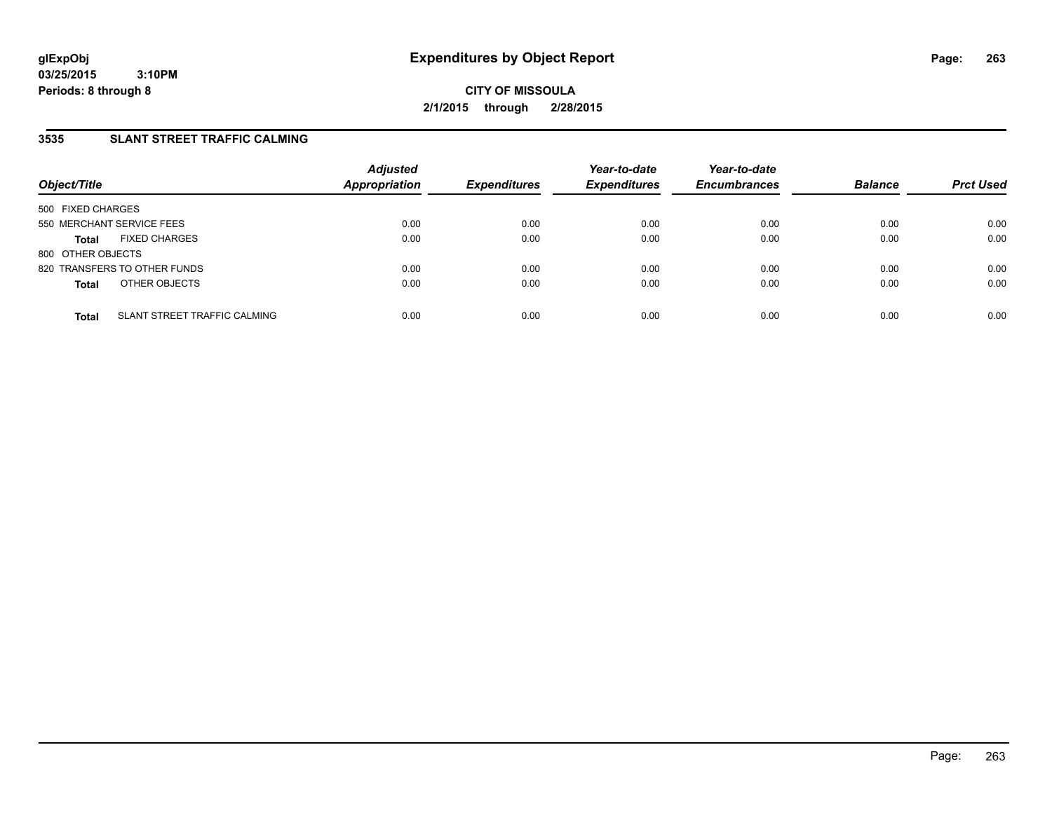**CITY OF MISSOULA 2/1/2015 through 2/28/2015**

### **3535 SLANT STREET TRAFFIC CALMING**

| Object/Title              |                              | <b>Adjusted</b><br><b>Appropriation</b> | <b>Expenditures</b> | Year-to-date<br><b>Expenditures</b> | Year-to-date<br><b>Encumbrances</b> | <b>Balance</b> | <b>Prct Used</b> |
|---------------------------|------------------------------|-----------------------------------------|---------------------|-------------------------------------|-------------------------------------|----------------|------------------|
| 500 FIXED CHARGES         |                              |                                         |                     |                                     |                                     |                |                  |
| 550 MERCHANT SERVICE FEES |                              | 0.00                                    | 0.00                | 0.00                                | 0.00                                | 0.00           | 0.00             |
| <b>Total</b>              | <b>FIXED CHARGES</b>         | 0.00                                    | 0.00                | 0.00                                | 0.00                                | 0.00           | 0.00             |
| 800 OTHER OBJECTS         |                              |                                         |                     |                                     |                                     |                |                  |
|                           | 820 TRANSFERS TO OTHER FUNDS | 0.00                                    | 0.00                | 0.00                                | 0.00                                | 0.00           | 0.00             |
| <b>Total</b>              | OTHER OBJECTS                | 0.00                                    | 0.00                | 0.00                                | 0.00                                | 0.00           | 0.00             |
| <b>Total</b>              | SLANT STREET TRAFFIC CALMING | 0.00                                    | 0.00                | 0.00                                | 0.00                                | 0.00           | 0.00             |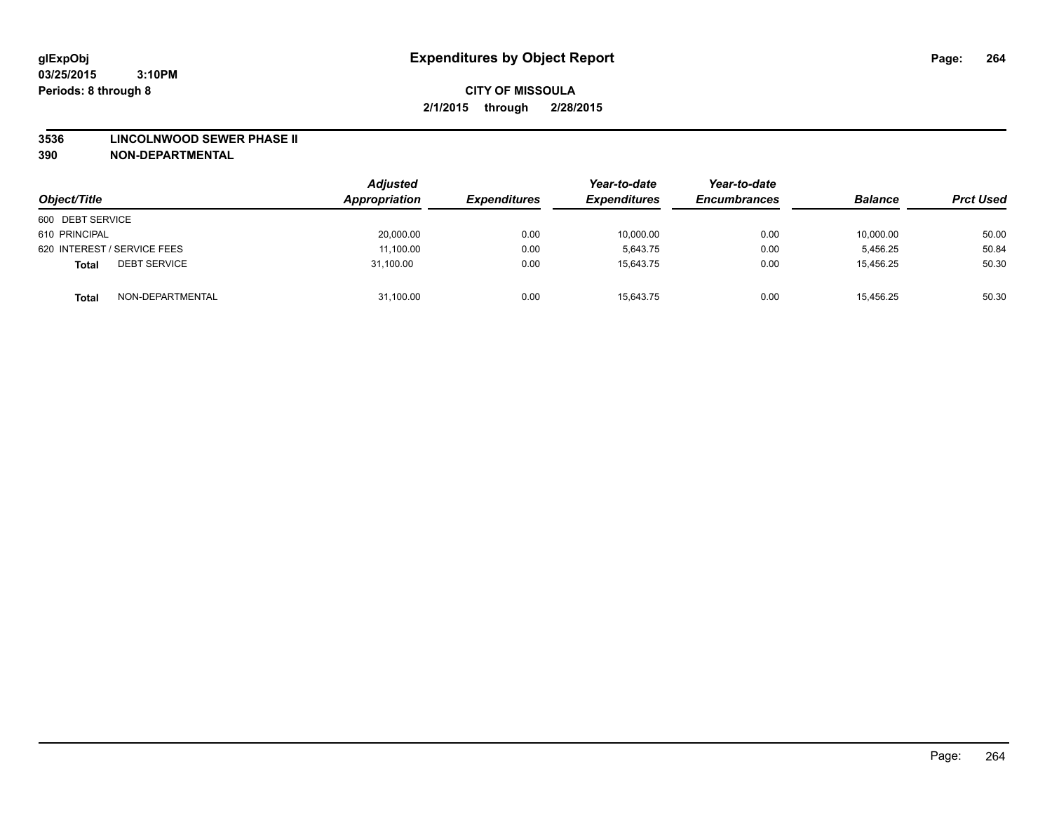#### **3536 LINCOLNWOOD SEWER PHASE II**

| Object/Title                        | <b>Adjusted</b><br>Appropriation | <b>Expenditures</b> | Year-to-date<br><b>Expenditures</b> | Year-to-date<br><b>Encumbrances</b> | <b>Balance</b> | <b>Prct Used</b> |
|-------------------------------------|----------------------------------|---------------------|-------------------------------------|-------------------------------------|----------------|------------------|
| 600 DEBT SERVICE                    |                                  |                     |                                     |                                     |                |                  |
| 610 PRINCIPAL                       | 20,000.00                        | 0.00                | 10,000.00                           | 0.00                                | 10,000.00      | 50.00            |
| 620 INTEREST / SERVICE FEES         | 11,100.00                        | 0.00                | 5.643.75                            | 0.00                                | 5,456.25       | 50.84            |
| <b>DEBT SERVICE</b><br><b>Total</b> | 31,100.00                        | 0.00                | 15.643.75                           | 0.00                                | 15,456.25      | 50.30            |
| NON-DEPARTMENTAL<br><b>Total</b>    | 31,100.00                        | 0.00                | 15,643.75                           | 0.00                                | 15,456.25      | 50.30            |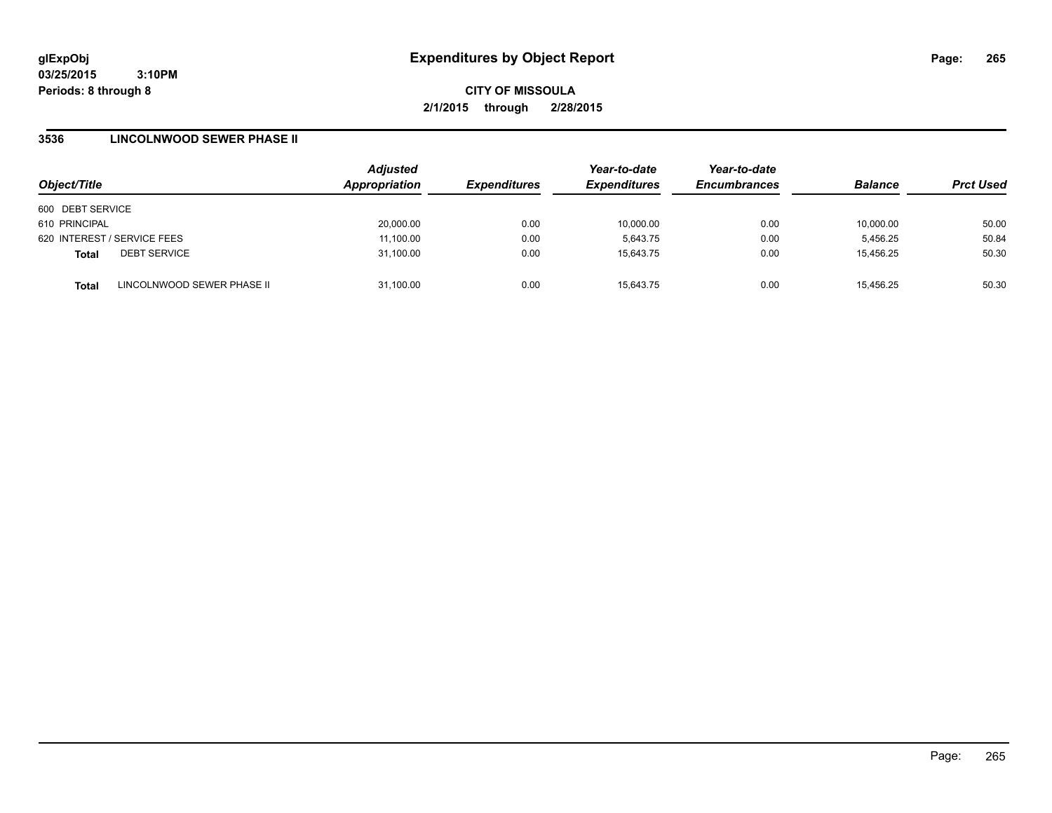**CITY OF MISSOULA 2/1/2015 through 2/28/2015**

### **3536 LINCOLNWOOD SEWER PHASE II**

| Object/Title                               | <b>Adjusted</b><br>Appropriation | <b>Expenditures</b> | Year-to-date<br><b>Expenditures</b> | Year-to-date<br><b>Encumbrances</b> | <b>Balance</b> | <b>Prct Used</b> |
|--------------------------------------------|----------------------------------|---------------------|-------------------------------------|-------------------------------------|----------------|------------------|
| 600 DEBT SERVICE                           |                                  |                     |                                     |                                     |                |                  |
| 610 PRINCIPAL                              | 20,000.00                        | 0.00                | 10,000.00                           | 0.00                                | 10,000.00      | 50.00            |
| 620 INTEREST / SERVICE FEES                | 11,100.00                        | 0.00                | 5.643.75                            | 0.00                                | 5,456.25       | 50.84            |
| <b>DEBT SERVICE</b><br><b>Total</b>        | 31,100.00                        | 0.00                | 15.643.75                           | 0.00                                | 15.456.25      | 50.30            |
| LINCOLNWOOD SEWER PHASE II<br><b>Total</b> | 31.100.00                        | 0.00                | 15.643.75                           | 0.00                                | 15.456.25      | 50.30            |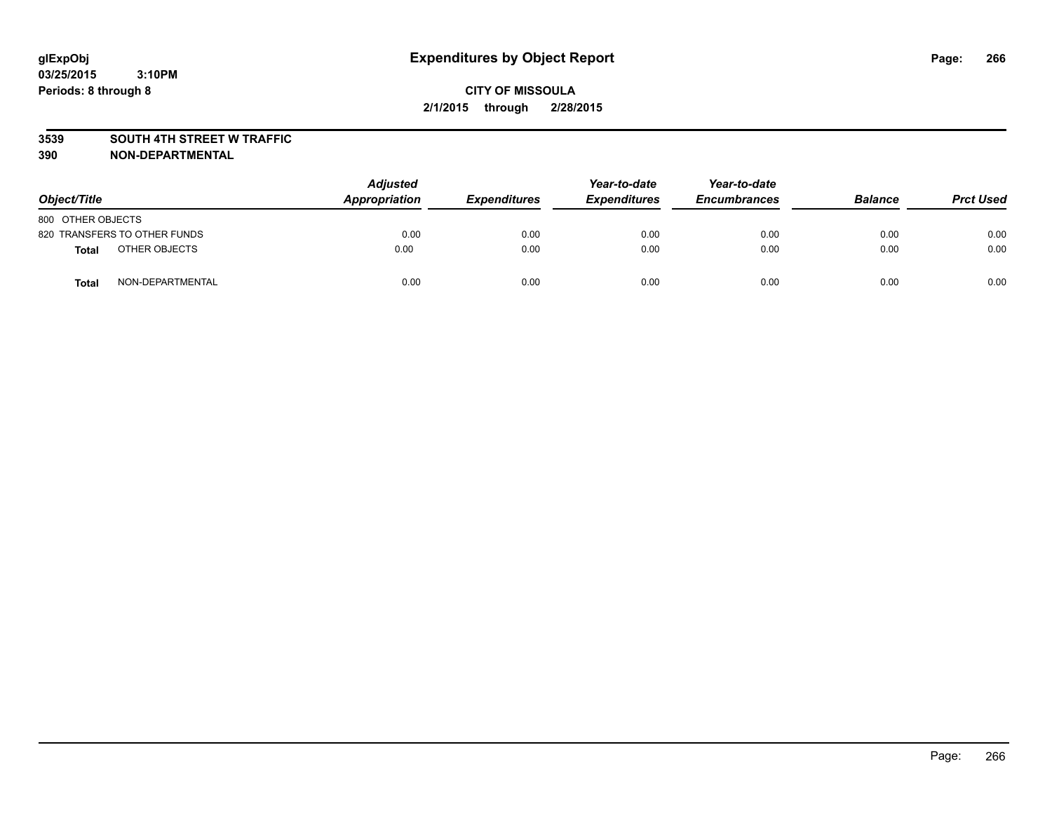### **3539 SOUTH 4TH STREET W TRAFFIC**

| Object/Title                 | <b>Adjusted</b><br>Appropriation | <b>Expenditures</b> | Year-to-date<br><b>Expenditures</b> | Year-to-date<br><b>Encumbrances</b> | <b>Balance</b> | <b>Prct Used</b> |
|------------------------------|----------------------------------|---------------------|-------------------------------------|-------------------------------------|----------------|------------------|
| 800 OTHER OBJECTS            |                                  |                     |                                     |                                     |                |                  |
| 820 TRANSFERS TO OTHER FUNDS | 0.00                             | 0.00                | 0.00                                | 0.00                                | 0.00           | 0.00             |
| OTHER OBJECTS<br>Total       | 0.00                             | 0.00                | 0.00                                | 0.00                                | 0.00           | 0.00             |
| NON-DEPARTMENTAL<br>Total    | 0.00                             | 0.00                | 0.00                                | 0.00                                | 0.00           | 0.00             |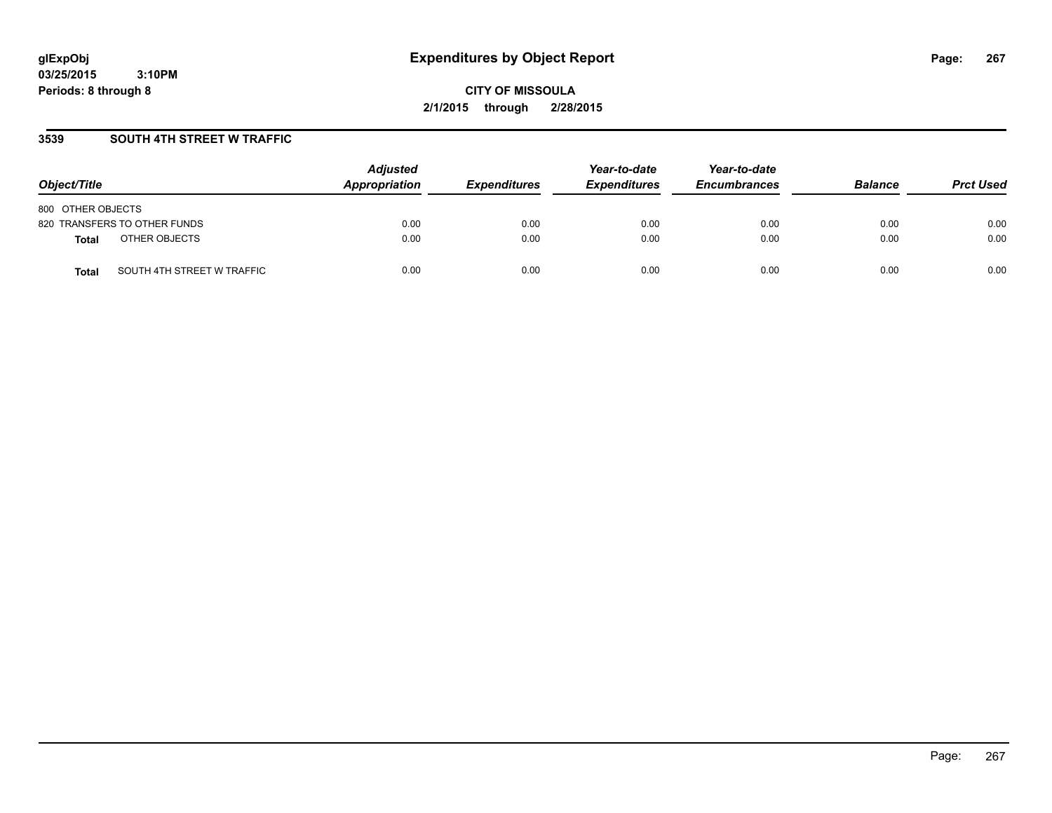**CITY OF MISSOULA 2/1/2015 through 2/28/2015**

### **3539 SOUTH 4TH STREET W TRAFFIC**

| Object/Title                               | <b>Adjusted</b><br>Appropriation | <b>Expenditures</b> | Year-to-date<br><b>Expenditures</b> | Year-to-date<br><b>Encumbrances</b> | <b>Balance</b> | <b>Prct Used</b> |
|--------------------------------------------|----------------------------------|---------------------|-------------------------------------|-------------------------------------|----------------|------------------|
| 800 OTHER OBJECTS                          |                                  |                     |                                     |                                     |                |                  |
| 820 TRANSFERS TO OTHER FUNDS               | 0.00                             | 0.00                | 0.00                                | 0.00                                | 0.00           | 0.00             |
| OTHER OBJECTS<br><b>Total</b>              | 0.00                             | 0.00                | 0.00                                | 0.00                                | 0.00           | 0.00             |
| SOUTH 4TH STREET W TRAFFIC<br><b>Total</b> | 0.00                             | 0.00                | 0.00                                | 0.00                                | 0.00           | 0.00             |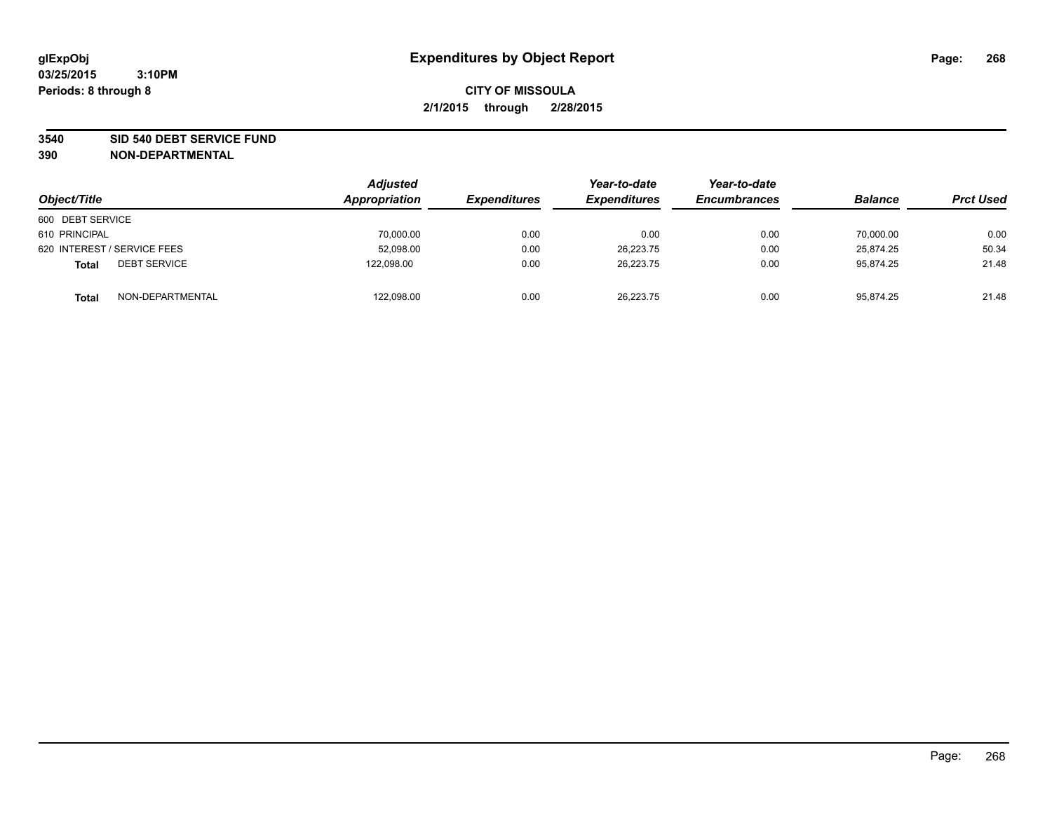#### **3540 SID 540 DEBT SERVICE FUND**

| Object/Title                        | Adjusted<br>Appropriation | <b>Expenditures</b> | Year-to-date<br><b>Expenditures</b> | Year-to-date<br><b>Encumbrances</b> | <b>Balance</b> | <b>Prct Used</b> |
|-------------------------------------|---------------------------|---------------------|-------------------------------------|-------------------------------------|----------------|------------------|
| 600 DEBT SERVICE                    |                           |                     |                                     |                                     |                |                  |
| 610 PRINCIPAL                       | 70,000.00                 | 0.00                | 0.00                                | 0.00                                | 70.000.00      | 0.00             |
| 620 INTEREST / SERVICE FEES         | 52,098.00                 | 0.00                | 26,223.75                           | 0.00                                | 25.874.25      | 50.34            |
| <b>DEBT SERVICE</b><br><b>Total</b> | 122.098.00                | 0.00                | 26.223.75                           | 0.00                                | 95.874.25      | 21.48            |
| NON-DEPARTMENTAL<br><b>Total</b>    | 122,098.00                | 0.00                | 26,223.75                           | 0.00                                | 95,874.25      | 21.48            |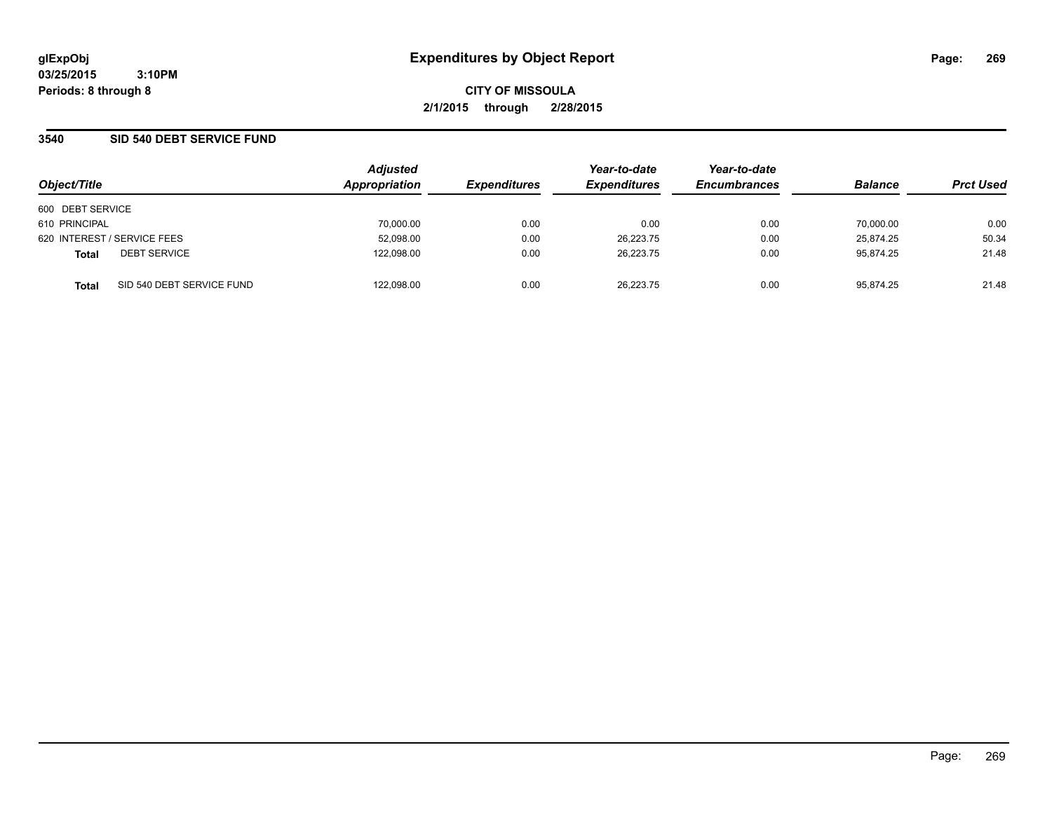**CITY OF MISSOULA 2/1/2015 through 2/28/2015**

### **3540 SID 540 DEBT SERVICE FUND**

| Object/Title     |                             | <b>Adjusted</b> | Year-to-date        | Year-to-date        |                     |                |                  |
|------------------|-----------------------------|-----------------|---------------------|---------------------|---------------------|----------------|------------------|
|                  |                             | Appropriation   | <b>Expenditures</b> | <b>Expenditures</b> | <b>Encumbrances</b> | <b>Balance</b> | <b>Prct Used</b> |
| 600 DEBT SERVICE |                             |                 |                     |                     |                     |                |                  |
| 610 PRINCIPAL    |                             | 70.000.00       | 0.00                | 0.00                | 0.00                | 70.000.00      | 0.00             |
|                  | 620 INTEREST / SERVICE FEES | 52,098.00       | 0.00                | 26.223.75           | 0.00                | 25.874.25      | 50.34            |
| <b>Total</b>     | <b>DEBT SERVICE</b>         | 122,098.00      | 0.00                | 26.223.75           | 0.00                | 95.874.25      | 21.48            |
| <b>Total</b>     | SID 540 DEBT SERVICE FUND   | 122.098.00      | 0.00                | 26.223.75           | 0.00                | 95.874.25      | 21.48            |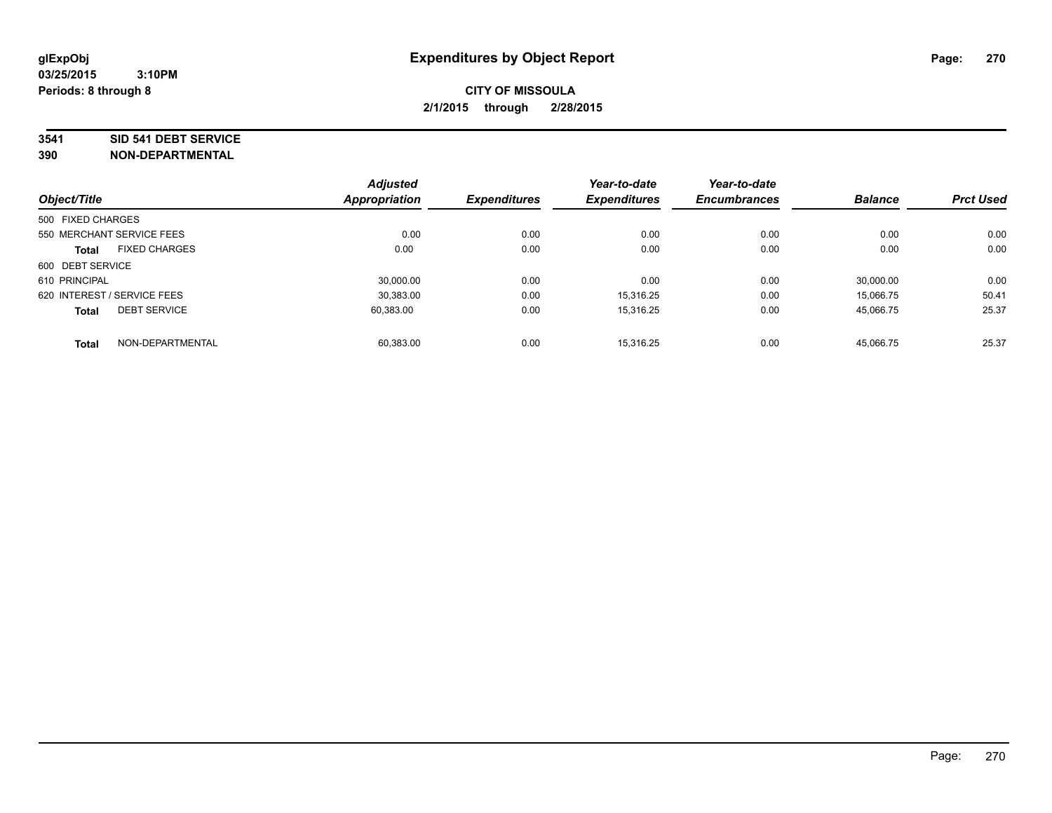#### **3541 SID 541 DEBT SERVICE**

|                             |                           | <b>Adjusted</b>      |                     | Year-to-date        | Year-to-date        |                |                  |
|-----------------------------|---------------------------|----------------------|---------------------|---------------------|---------------------|----------------|------------------|
| Object/Title                |                           | <b>Appropriation</b> | <b>Expenditures</b> | <b>Expenditures</b> | <b>Encumbrances</b> | <b>Balance</b> | <b>Prct Used</b> |
| 500 FIXED CHARGES           |                           |                      |                     |                     |                     |                |                  |
|                             | 550 MERCHANT SERVICE FEES | 0.00                 | 0.00                | 0.00                | 0.00                | 0.00           | 0.00             |
| <b>Total</b>                | <b>FIXED CHARGES</b>      | 0.00                 | 0.00                | 0.00                | 0.00                | 0.00           | 0.00             |
| 600 DEBT SERVICE            |                           |                      |                     |                     |                     |                |                  |
| 610 PRINCIPAL               |                           | 30.000.00            | 0.00                | 0.00                | 0.00                | 30.000.00      | 0.00             |
| 620 INTEREST / SERVICE FEES |                           | 30,383.00            | 0.00                | 15.316.25           | 0.00                | 15.066.75      | 50.41            |
| <b>Total</b>                | <b>DEBT SERVICE</b>       | 60.383.00            | 0.00                | 15.316.25           | 0.00                | 45.066.75      | 25.37            |
| <b>Total</b>                | NON-DEPARTMENTAL          | 60.383.00            | 0.00                | 15.316.25           | 0.00                | 45,066.75      | 25.37            |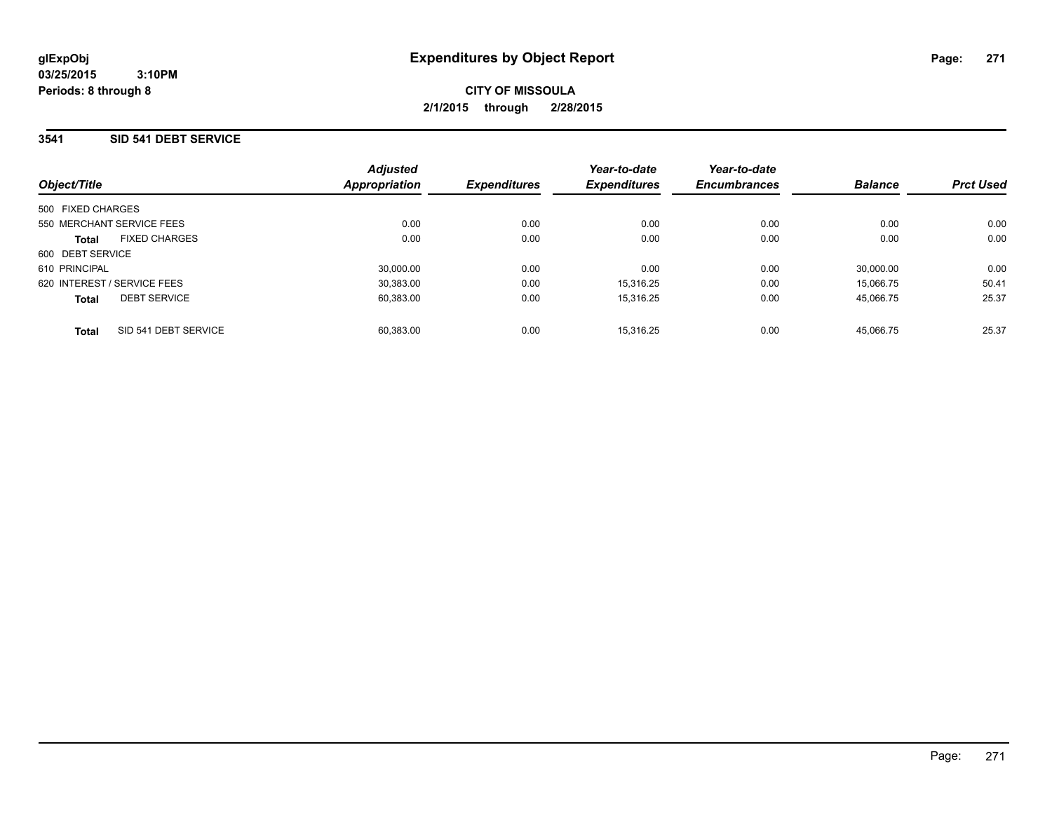### **3541 SID 541 DEBT SERVICE**

| Object/Title                         | <b>Adjusted</b><br>Appropriation | <b>Expenditures</b> | Year-to-date<br><b>Expenditures</b> | Year-to-date<br><b>Encumbrances</b> | <b>Balance</b> | <b>Prct Used</b> |
|--------------------------------------|----------------------------------|---------------------|-------------------------------------|-------------------------------------|----------------|------------------|
| 500 FIXED CHARGES                    |                                  |                     |                                     |                                     |                |                  |
| 550 MERCHANT SERVICE FEES            | 0.00                             | 0.00                | 0.00                                | 0.00                                | 0.00           | 0.00             |
| <b>FIXED CHARGES</b><br><b>Total</b> | 0.00                             | 0.00                | 0.00                                | 0.00                                | 0.00           | 0.00             |
| 600 DEBT SERVICE                     |                                  |                     |                                     |                                     |                |                  |
| 610 PRINCIPAL                        | 30.000.00                        | 0.00                | 0.00                                | 0.00                                | 30.000.00      | 0.00             |
| 620 INTEREST / SERVICE FEES          | 30.383.00                        | 0.00                | 15.316.25                           | 0.00                                | 15.066.75      | 50.41            |
| <b>DEBT SERVICE</b><br><b>Total</b>  | 60.383.00                        | 0.00                | 15.316.25                           | 0.00                                | 45.066.75      | 25.37            |
| SID 541 DEBT SERVICE<br><b>Total</b> | 60.383.00                        | 0.00                | 15.316.25                           | 0.00                                | 45.066.75      | 25.37            |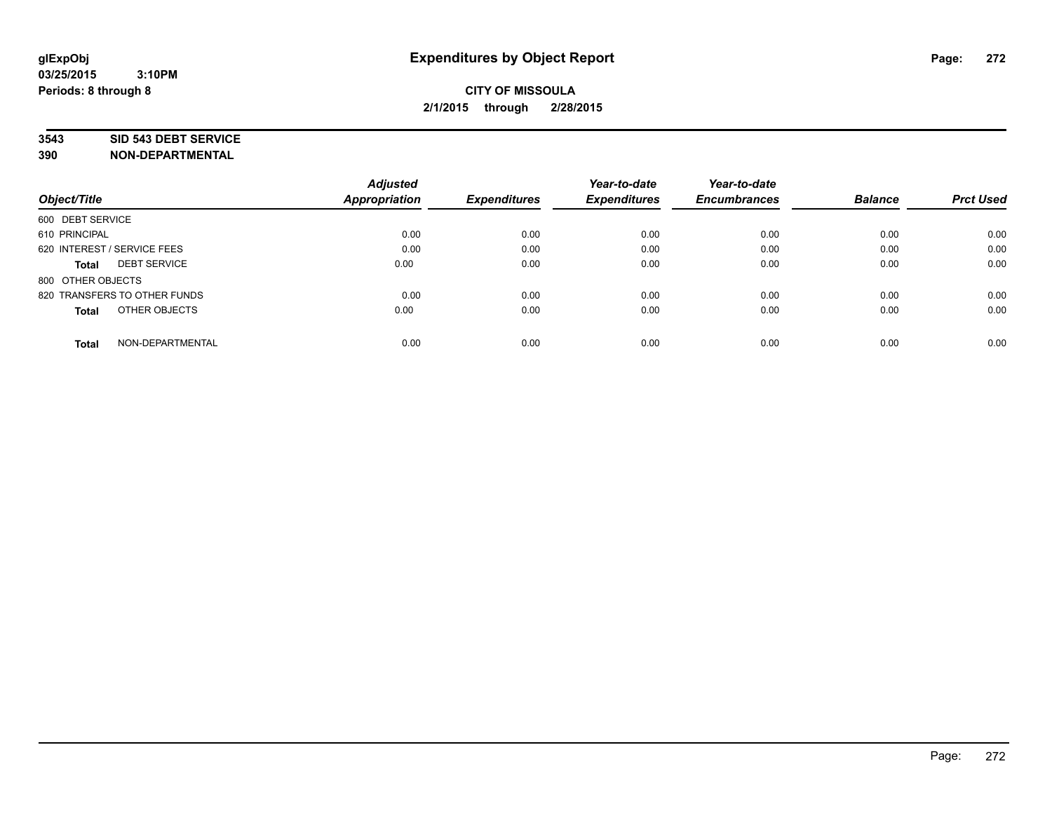### **3543 SID 543 DEBT SERVICE**

|                                     | <b>Adjusted</b> |                     | Year-to-date        | Year-to-date        |                |                  |
|-------------------------------------|-----------------|---------------------|---------------------|---------------------|----------------|------------------|
| Object/Title                        | Appropriation   | <b>Expenditures</b> | <b>Expenditures</b> | <b>Encumbrances</b> | <b>Balance</b> | <b>Prct Used</b> |
| 600 DEBT SERVICE                    |                 |                     |                     |                     |                |                  |
| 610 PRINCIPAL                       | 0.00            | 0.00                | 0.00                | 0.00                | 0.00           | 0.00             |
| 620 INTEREST / SERVICE FEES         | 0.00            | 0.00                | 0.00                | 0.00                | 0.00           | 0.00             |
| <b>DEBT SERVICE</b><br><b>Total</b> | 0.00            | 0.00                | 0.00                | 0.00                | 0.00           | 0.00             |
| 800 OTHER OBJECTS                   |                 |                     |                     |                     |                |                  |
| 820 TRANSFERS TO OTHER FUNDS        | 0.00            | 0.00                | 0.00                | 0.00                | 0.00           | 0.00             |
| OTHER OBJECTS<br><b>Total</b>       | 0.00            | 0.00                | 0.00                | 0.00                | 0.00           | 0.00             |
| NON-DEPARTMENTAL<br><b>Total</b>    | 0.00            | 0.00                | 0.00                | 0.00                | 0.00           | 0.00             |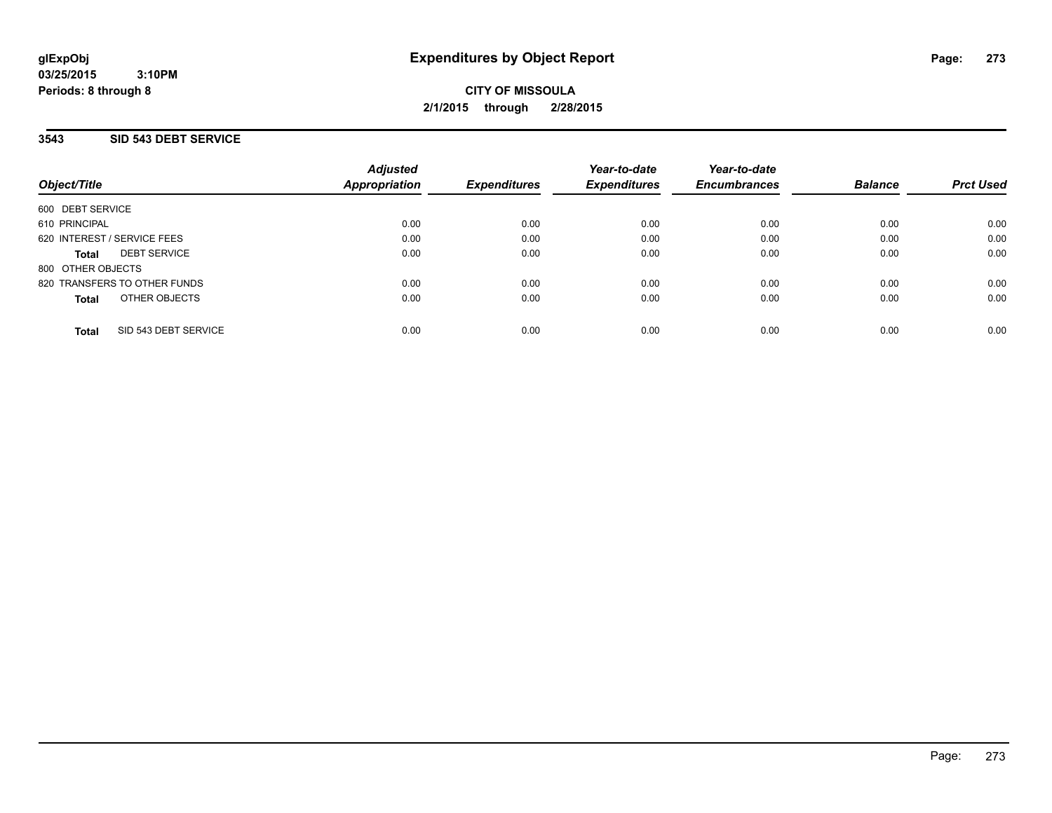**CITY OF MISSOULA 2/1/2015 through 2/28/2015**

### **3543 SID 543 DEBT SERVICE**

| Object/Title                         | <b>Adjusted</b><br><b>Appropriation</b> | <b>Expenditures</b> | Year-to-date<br><b>Expenditures</b> | Year-to-date<br><b>Encumbrances</b> | <b>Balance</b> | <b>Prct Used</b> |
|--------------------------------------|-----------------------------------------|---------------------|-------------------------------------|-------------------------------------|----------------|------------------|
| 600 DEBT SERVICE                     |                                         |                     |                                     |                                     |                |                  |
| 610 PRINCIPAL                        | 0.00                                    | 0.00                | 0.00                                | 0.00                                | 0.00           | 0.00             |
| 620 INTEREST / SERVICE FEES          | 0.00                                    | 0.00                | 0.00                                | 0.00                                | 0.00           | 0.00             |
| <b>DEBT SERVICE</b><br><b>Total</b>  | 0.00                                    | 0.00                | 0.00                                | 0.00                                | 0.00           | 0.00             |
| 800 OTHER OBJECTS                    |                                         |                     |                                     |                                     |                |                  |
| 820 TRANSFERS TO OTHER FUNDS         | 0.00                                    | 0.00                | 0.00                                | 0.00                                | 0.00           | 0.00             |
| OTHER OBJECTS<br><b>Total</b>        | 0.00                                    | 0.00                | 0.00                                | 0.00                                | 0.00           | 0.00             |
| SID 543 DEBT SERVICE<br><b>Total</b> | 0.00                                    | 0.00                | 0.00                                | 0.00                                | 0.00           | 0.00             |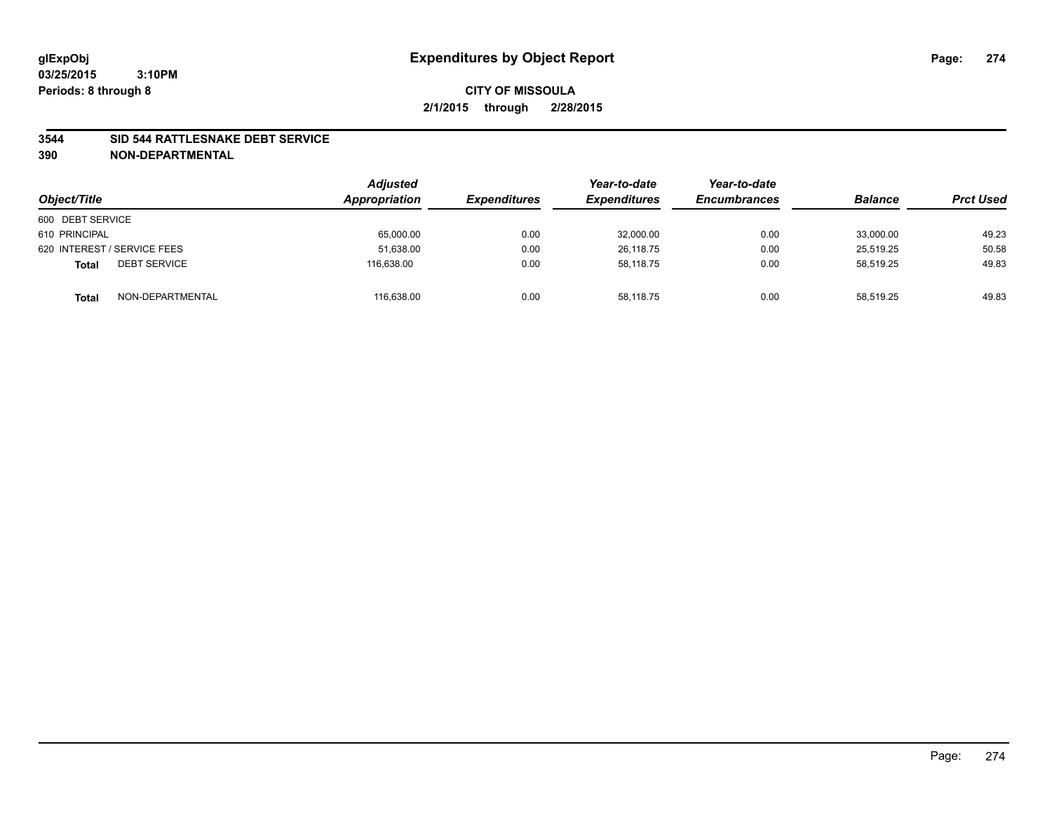### **3544 SID 544 RATTLESNAKE DEBT SERVICE**

| Object/Title                        | <b>Adjusted</b><br>Appropriation | <b>Expenditures</b> | Year-to-date<br><b>Expenditures</b> | Year-to-date<br><b>Encumbrances</b> | <b>Balance</b> | <b>Prct Used</b> |
|-------------------------------------|----------------------------------|---------------------|-------------------------------------|-------------------------------------|----------------|------------------|
| 600 DEBT SERVICE                    |                                  |                     |                                     |                                     |                |                  |
| 610 PRINCIPAL                       | 65,000.00                        | 0.00                | 32,000.00                           | 0.00                                | 33.000.00      | 49.23            |
| 620 INTEREST / SERVICE FEES         | 51,638.00                        | 0.00                | 26.118.75                           | 0.00                                | 25.519.25      | 50.58            |
| <b>DEBT SERVICE</b><br><b>Total</b> | 116.638.00                       | 0.00                | 58,118.75                           | 0.00                                | 58,519.25      | 49.83            |
| NON-DEPARTMENTAL<br><b>Total</b>    | 116,638.00                       | 0.00                | 58,118.75                           | 0.00                                | 58,519.25      | 49.83            |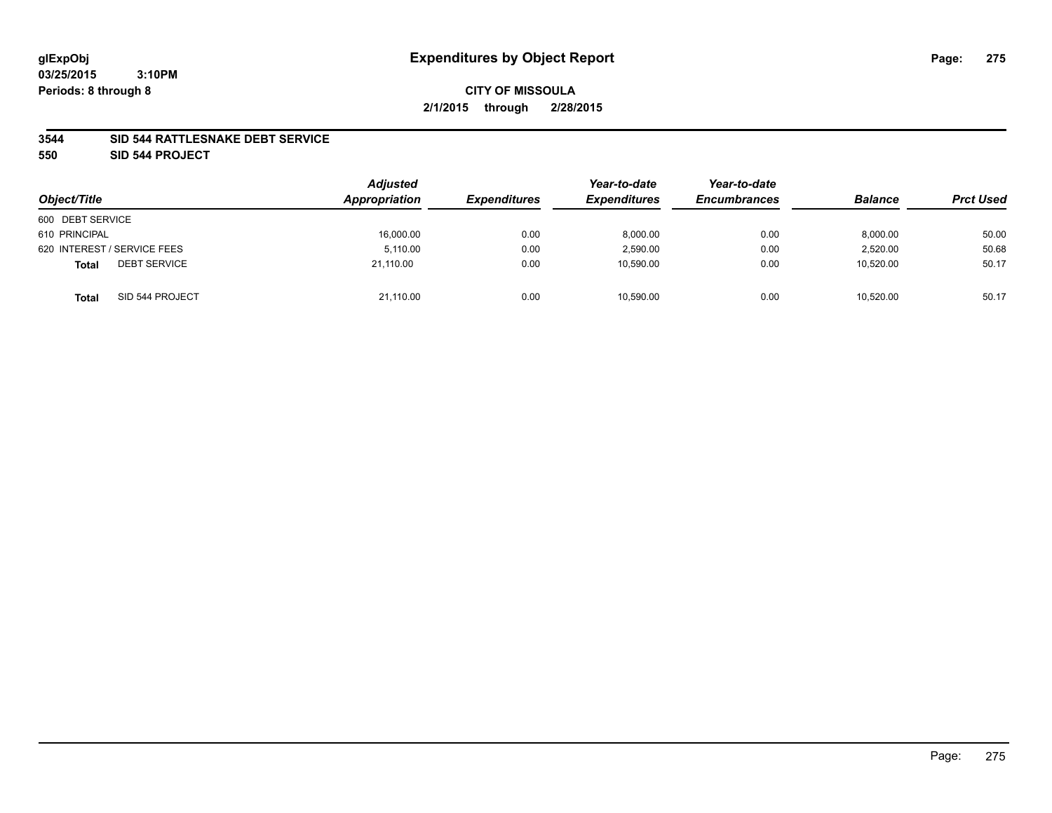### **3544 SID 544 RATTLESNAKE DEBT SERVICE**

**550 SID 544 PROJECT**

| Object/Title                        | Adjusted<br>Appropriation | <b>Expenditures</b> | Year-to-date<br><b>Expenditures</b> | Year-to-date<br><b>Encumbrances</b> | <b>Balance</b> | <b>Prct Used</b> |
|-------------------------------------|---------------------------|---------------------|-------------------------------------|-------------------------------------|----------------|------------------|
| 600 DEBT SERVICE                    |                           |                     |                                     |                                     |                |                  |
| 610 PRINCIPAL                       | 16,000.00                 | 0.00                | 8,000.00                            | 0.00                                | 8,000.00       | 50.00            |
| 620 INTEREST / SERVICE FEES         | 5.110.00                  | 0.00                | 2,590.00                            | 0.00                                | 2.520.00       | 50.68            |
| <b>DEBT SERVICE</b><br><b>Total</b> | 21.110.00                 | 0.00                | 10.590.00                           | 0.00                                | 10.520.00      | 50.17            |
| SID 544 PROJECT<br><b>Total</b>     | 21,110.00                 | 0.00                | 10,590.00                           | 0.00                                | 10,520.00      | 50.17            |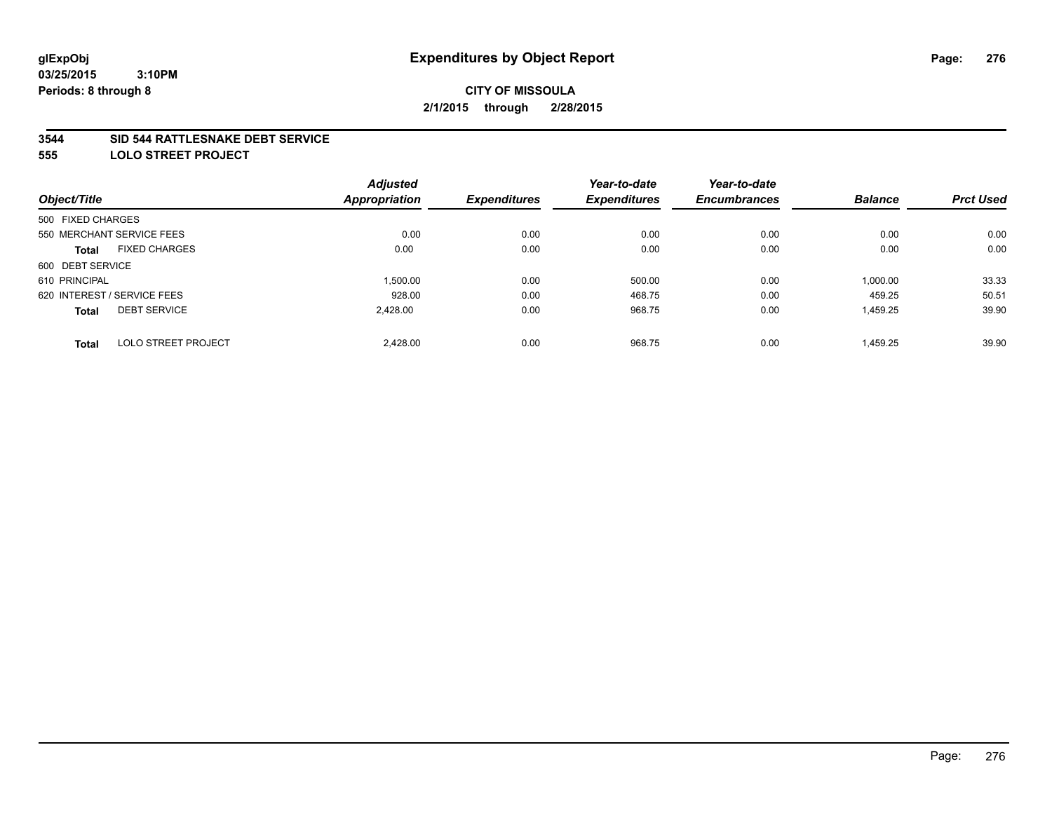### **3544 SID 544 RATTLESNAKE DEBT SERVICE**

**555 LOLO STREET PROJECT**

|                                            | <b>Adjusted</b> |                     | Year-to-date        | Year-to-date        |                |                  |
|--------------------------------------------|-----------------|---------------------|---------------------|---------------------|----------------|------------------|
| Object/Title                               | Appropriation   | <b>Expenditures</b> | <b>Expenditures</b> | <b>Encumbrances</b> | <b>Balance</b> | <b>Prct Used</b> |
| 500 FIXED CHARGES                          |                 |                     |                     |                     |                |                  |
| 550 MERCHANT SERVICE FEES                  | 0.00            | 0.00                | 0.00                | 0.00                | 0.00           | 0.00             |
| <b>FIXED CHARGES</b><br><b>Total</b>       | 0.00            | 0.00                | 0.00                | 0.00                | 0.00           | 0.00             |
| 600 DEBT SERVICE                           |                 |                     |                     |                     |                |                  |
| 610 PRINCIPAL                              | 1,500.00        | 0.00                | 500.00              | 0.00                | 1,000.00       | 33.33            |
| 620 INTEREST / SERVICE FEES                | 928.00          | 0.00                | 468.75              | 0.00                | 459.25         | 50.51            |
| <b>DEBT SERVICE</b><br><b>Total</b>        | 2,428.00        | 0.00                | 968.75              | 0.00                | 1,459.25       | 39.90            |
| <b>LOLO STREET PROJECT</b><br><b>Total</b> | 2.428.00        | 0.00                | 968.75              | 0.00                | 1.459.25       | 39.90            |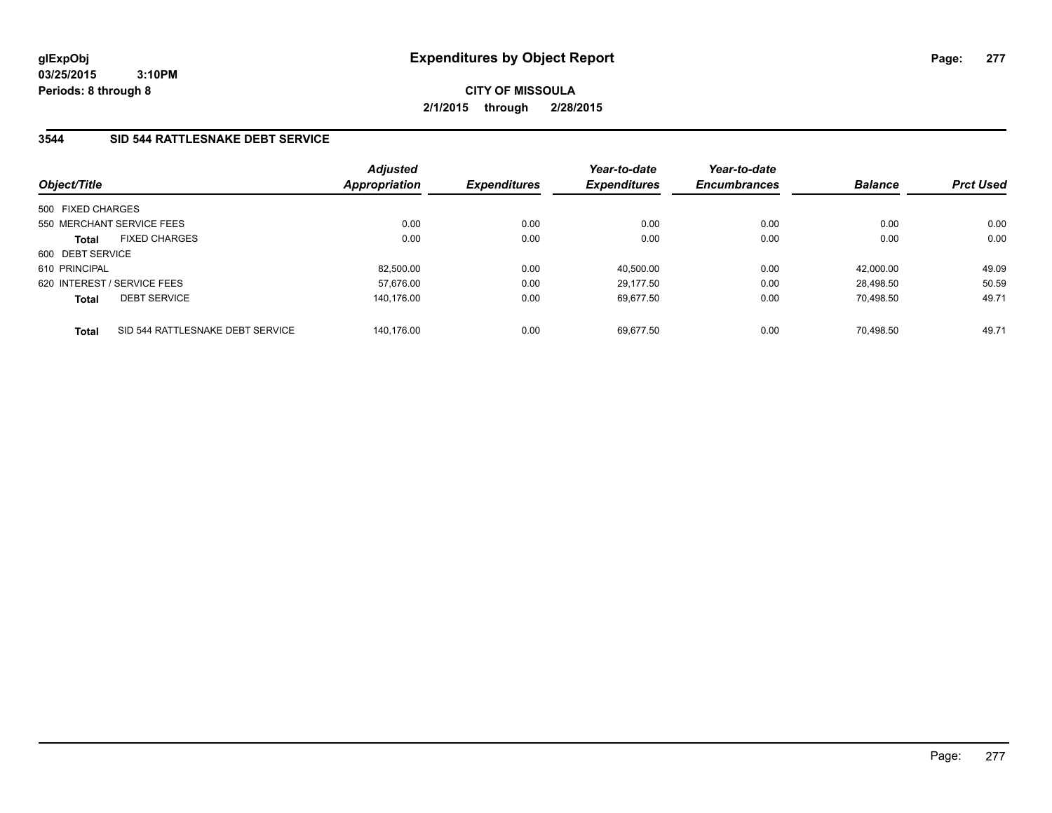# **CITY OF MISSOULA 2/1/2015 through 2/28/2015**

## **3544 SID 544 RATTLESNAKE DEBT SERVICE**

| Object/Title                         |                                  | Adjusted<br><b>Appropriation</b> | <b>Expenditures</b> | Year-to-date<br><b>Expenditures</b> | Year-to-date<br><b>Encumbrances</b> | <b>Balance</b> | <b>Prct Used</b> |
|--------------------------------------|----------------------------------|----------------------------------|---------------------|-------------------------------------|-------------------------------------|----------------|------------------|
| 500 FIXED CHARGES                    |                                  |                                  |                     |                                     |                                     |                |                  |
| 550 MERCHANT SERVICE FEES            |                                  | 0.00                             | 0.00                | 0.00                                | 0.00                                | 0.00           | 0.00             |
| <b>FIXED CHARGES</b><br><b>Total</b> |                                  | 0.00                             | 0.00                | 0.00                                | 0.00                                | 0.00           | 0.00             |
| 600 DEBT SERVICE                     |                                  |                                  |                     |                                     |                                     |                |                  |
| 610 PRINCIPAL                        |                                  | 82.500.00                        | 0.00                | 40.500.00                           | 0.00                                | 42.000.00      | 49.09            |
| 620 INTEREST / SERVICE FEES          |                                  | 57.676.00                        | 0.00                | 29.177.50                           | 0.00                                | 28.498.50      | 50.59            |
| <b>DEBT SERVICE</b><br><b>Total</b>  |                                  | 140.176.00                       | 0.00                | 69.677.50                           | 0.00                                | 70.498.50      | 49.71            |
| <b>Total</b>                         | SID 544 RATTLESNAKE DEBT SERVICE | 140.176.00                       | 0.00                | 69.677.50                           | 0.00                                | 70.498.50      | 49.71            |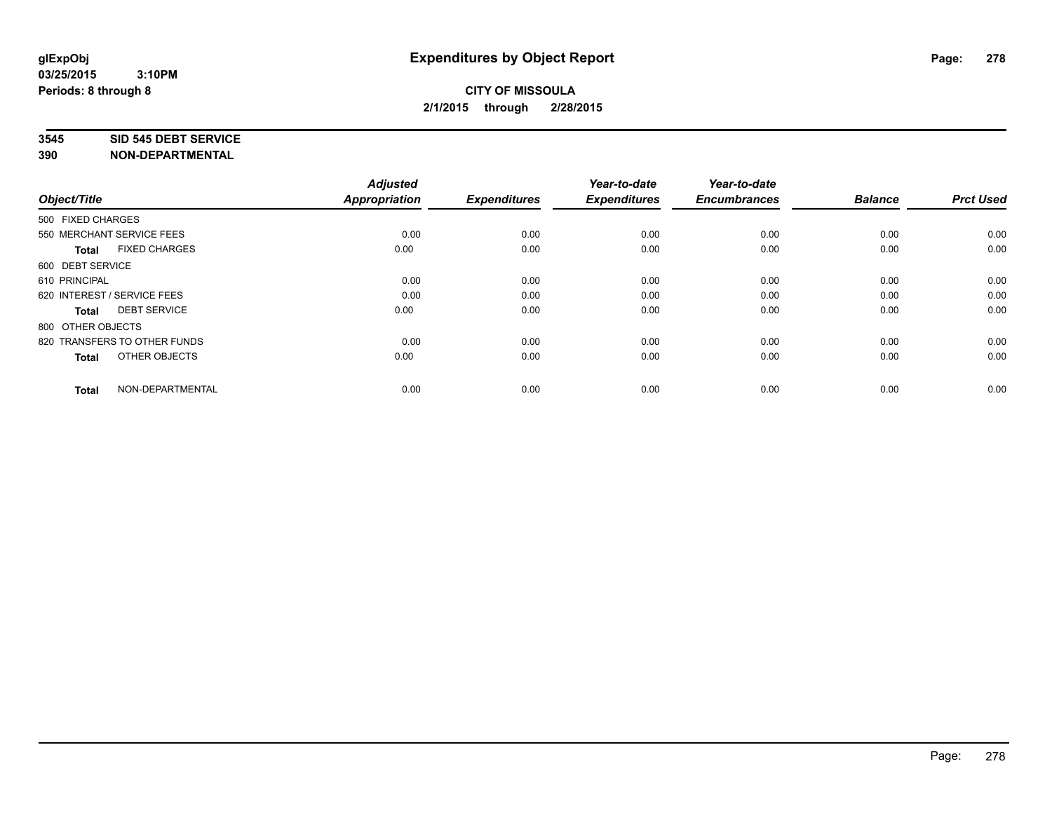#### **3545 SID 545 DEBT SERVICE**

| Object/Title                         | <b>Adjusted</b><br><b>Appropriation</b> | <b>Expenditures</b> | Year-to-date<br><b>Expenditures</b> | Year-to-date<br><b>Encumbrances</b> | <b>Balance</b> | <b>Prct Used</b> |
|--------------------------------------|-----------------------------------------|---------------------|-------------------------------------|-------------------------------------|----------------|------------------|
|                                      |                                         |                     |                                     |                                     |                |                  |
| 500 FIXED CHARGES                    |                                         |                     |                                     |                                     |                |                  |
| 550 MERCHANT SERVICE FEES            | 0.00                                    | 0.00                | 0.00                                | 0.00                                | 0.00           | 0.00             |
| <b>FIXED CHARGES</b><br><b>Total</b> | 0.00                                    | 0.00                | 0.00                                | 0.00                                | 0.00           | 0.00             |
| 600 DEBT SERVICE                     |                                         |                     |                                     |                                     |                |                  |
| 610 PRINCIPAL                        | 0.00                                    | 0.00                | 0.00                                | 0.00                                | 0.00           | 0.00             |
| 620 INTEREST / SERVICE FEES          | 0.00                                    | 0.00                | 0.00                                | 0.00                                | 0.00           | 0.00             |
| <b>DEBT SERVICE</b><br><b>Total</b>  | 0.00                                    | 0.00                | 0.00                                | 0.00                                | 0.00           | 0.00             |
| 800 OTHER OBJECTS                    |                                         |                     |                                     |                                     |                |                  |
| 820 TRANSFERS TO OTHER FUNDS         | 0.00                                    | 0.00                | 0.00                                | 0.00                                | 0.00           | 0.00             |
| OTHER OBJECTS<br><b>Total</b>        | 0.00                                    | 0.00                | 0.00                                | 0.00                                | 0.00           | 0.00             |
|                                      |                                         |                     |                                     |                                     |                |                  |
| NON-DEPARTMENTAL<br><b>Total</b>     | 0.00                                    | 0.00                | 0.00                                | 0.00                                | 0.00           | 0.00             |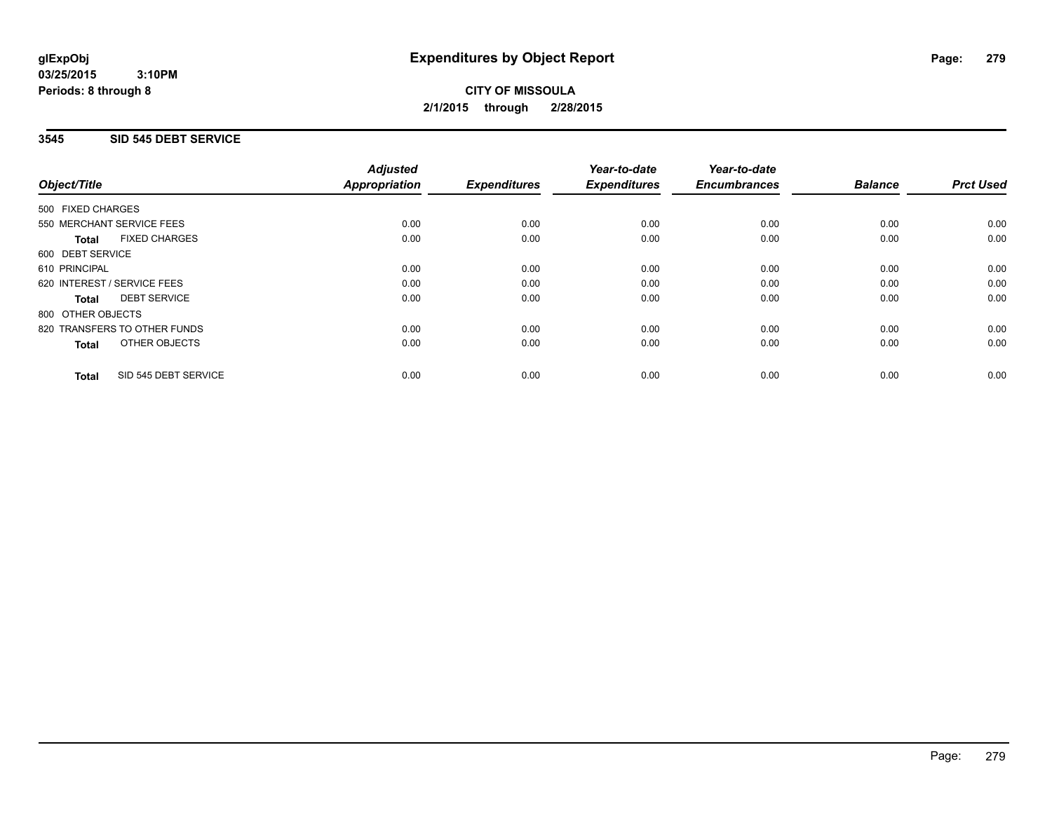# **CITY OF MISSOULA 2/1/2015 through 2/28/2015**

### **3545 SID 545 DEBT SERVICE**

|                                      | <b>Adjusted</b>      |                     | Year-to-date        | Year-to-date        |                |                  |
|--------------------------------------|----------------------|---------------------|---------------------|---------------------|----------------|------------------|
| Object/Title                         | <b>Appropriation</b> | <b>Expenditures</b> | <b>Expenditures</b> | <b>Encumbrances</b> | <b>Balance</b> | <b>Prct Used</b> |
| 500 FIXED CHARGES                    |                      |                     |                     |                     |                |                  |
| 550 MERCHANT SERVICE FEES            | 0.00                 | 0.00                | 0.00                | 0.00                | 0.00           | 0.00             |
| <b>FIXED CHARGES</b><br>Total        | 0.00                 | 0.00                | 0.00                | 0.00                | 0.00           | 0.00             |
| 600 DEBT SERVICE                     |                      |                     |                     |                     |                |                  |
| 610 PRINCIPAL                        | 0.00                 | 0.00                | 0.00                | 0.00                | 0.00           | 0.00             |
| 620 INTEREST / SERVICE FEES          | 0.00                 | 0.00                | 0.00                | 0.00                | 0.00           | 0.00             |
| <b>DEBT SERVICE</b><br>Total         | 0.00                 | 0.00                | 0.00                | 0.00                | 0.00           | 0.00             |
| 800 OTHER OBJECTS                    |                      |                     |                     |                     |                |                  |
| 820 TRANSFERS TO OTHER FUNDS         | 0.00                 | 0.00                | 0.00                | 0.00                | 0.00           | 0.00             |
| OTHER OBJECTS<br><b>Total</b>        | 0.00                 | 0.00                | 0.00                | 0.00                | 0.00           | 0.00             |
| SID 545 DEBT SERVICE<br><b>Total</b> | 0.00                 | 0.00                | 0.00                | 0.00                | 0.00           | 0.00             |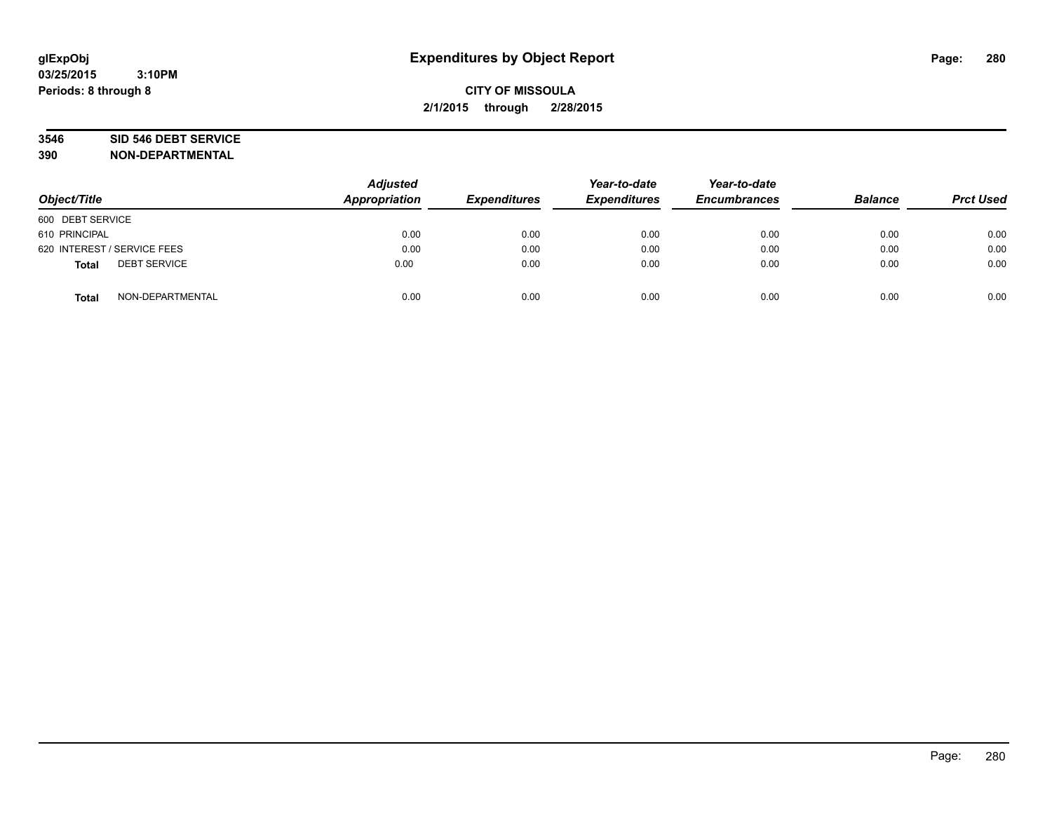# **3546 SID 546 DEBT SERVICE**

| Object/Title                        | <b>Adjusted</b><br><b>Appropriation</b> | <b>Expenditures</b> | Year-to-date<br><b>Expenditures</b> | Year-to-date<br><b>Encumbrances</b> | <b>Balance</b> | <b>Prct Used</b> |
|-------------------------------------|-----------------------------------------|---------------------|-------------------------------------|-------------------------------------|----------------|------------------|
| 600 DEBT SERVICE                    |                                         |                     |                                     |                                     |                |                  |
| 610 PRINCIPAL                       | 0.00                                    | 0.00                | 0.00                                | 0.00                                | 0.00           | 0.00             |
| 620 INTEREST / SERVICE FEES         | 0.00                                    | 0.00                | 0.00                                | 0.00                                | 0.00           | 0.00             |
| <b>DEBT SERVICE</b><br><b>Total</b> | 0.00                                    | 0.00                | 0.00                                | 0.00                                | 0.00           | 0.00             |
| NON-DEPARTMENTAL<br><b>Total</b>    | 0.00                                    | 0.00                | 0.00                                | 0.00                                | 0.00           | 0.00             |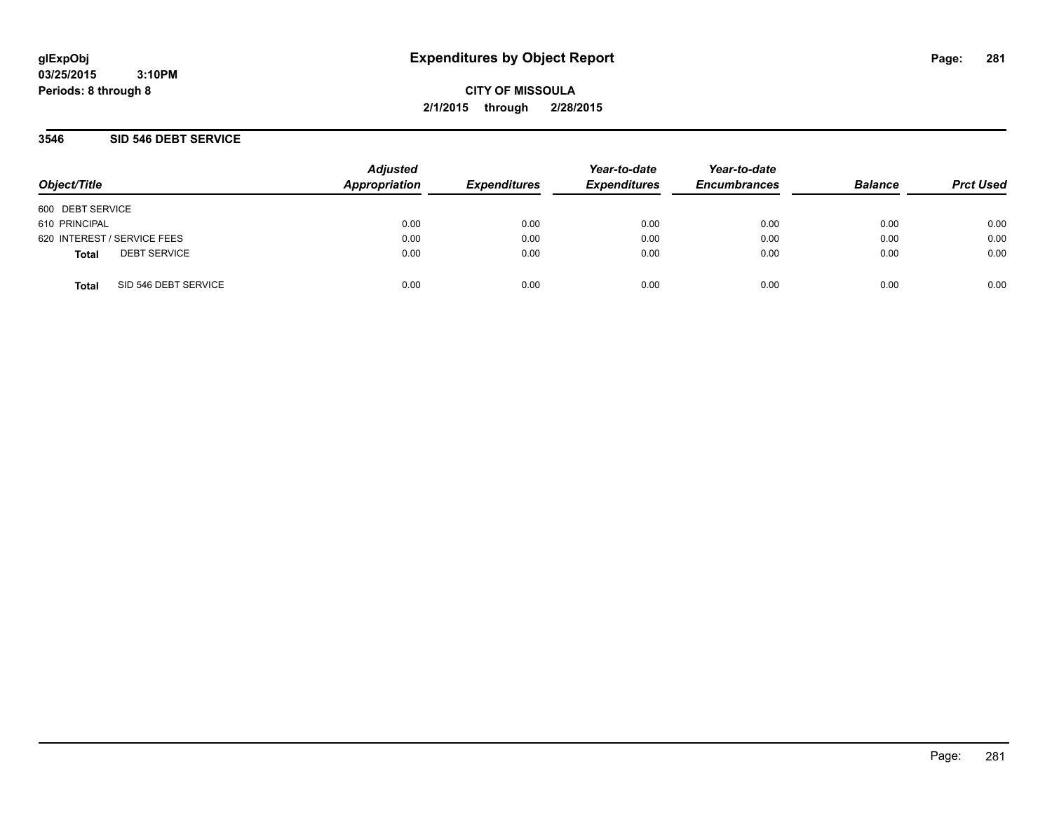**CITY OF MISSOULA 2/1/2015 through 2/28/2015**

### **3546 SID 546 DEBT SERVICE**

| Object/Title     |                             | <b>Adjusted</b><br>Appropriation | <b>Expenditures</b> | Year-to-date<br><b>Expenditures</b> | Year-to-date<br><b>Encumbrances</b> | <b>Balance</b> | <b>Prct Used</b> |
|------------------|-----------------------------|----------------------------------|---------------------|-------------------------------------|-------------------------------------|----------------|------------------|
| 600 DEBT SERVICE |                             |                                  |                     |                                     |                                     |                |                  |
| 610 PRINCIPAL    |                             | 0.00                             | 0.00                | 0.00                                | 0.00                                | 0.00           | 0.00             |
|                  | 620 INTEREST / SERVICE FEES | 0.00                             | 0.00                | 0.00                                | 0.00                                | 0.00           | 0.00             |
| <b>Total</b>     | <b>DEBT SERVICE</b>         | 0.00                             | 0.00                | 0.00                                | 0.00                                | 0.00           | 0.00             |
| <b>Total</b>     | SID 546 DEBT SERVICE        | 0.00                             | 0.00                | 0.00                                | 0.00                                | 0.00           | 0.00             |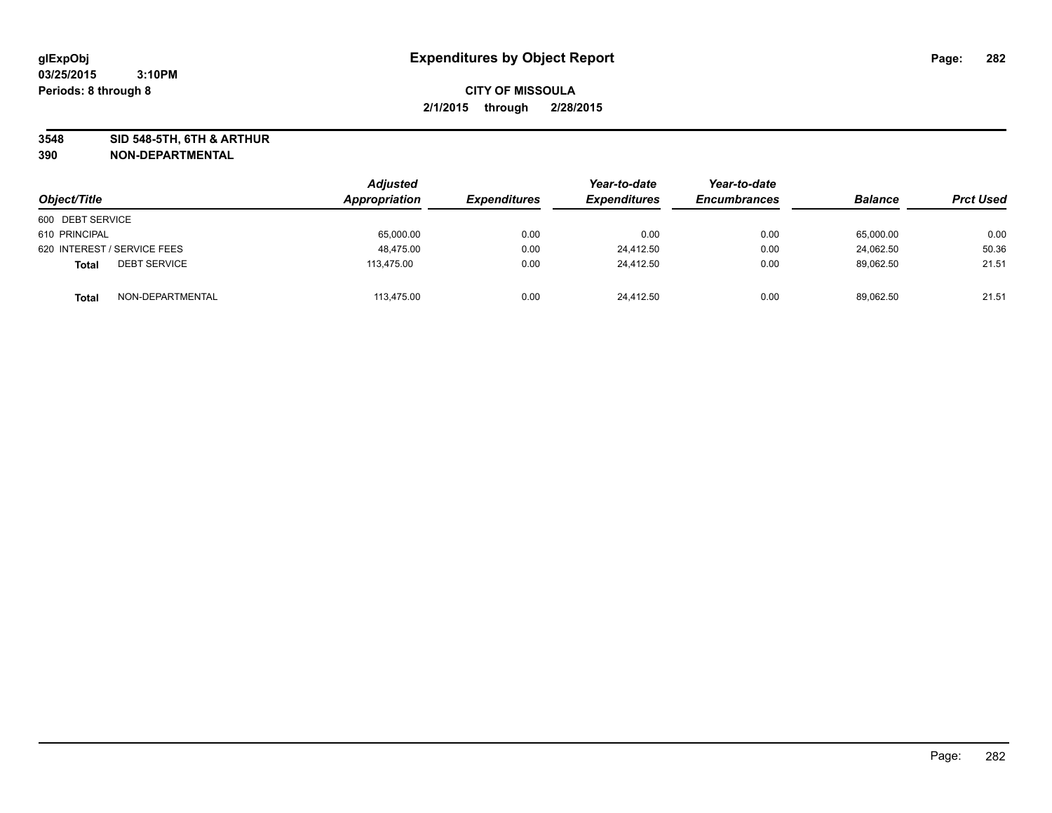**3548 SID 548-5TH, 6TH & ARTHUR**

| Object/Title                        | Adjusted<br>Appropriation | <b>Expenditures</b> | Year-to-date<br><b>Expenditures</b> | Year-to-date<br><b>Encumbrances</b> | <b>Balance</b> | <b>Prct Used</b> |
|-------------------------------------|---------------------------|---------------------|-------------------------------------|-------------------------------------|----------------|------------------|
| 600 DEBT SERVICE                    |                           |                     |                                     |                                     |                |                  |
| 610 PRINCIPAL                       | 65,000.00                 | 0.00                | 0.00                                | 0.00                                | 65,000.00      | 0.00             |
| 620 INTEREST / SERVICE FEES         | 48.475.00                 | 0.00                | 24.412.50                           | 0.00                                | 24,062.50      | 50.36            |
| <b>DEBT SERVICE</b><br><b>Total</b> | 113,475.00                | 0.00                | 24,412.50                           | 0.00                                | 89,062.50      | 21.51            |
| NON-DEPARTMENTAL<br><b>Total</b>    | 113,475.00                | 0.00                | 24.412.50                           | 0.00                                | 89,062.50      | 21.51            |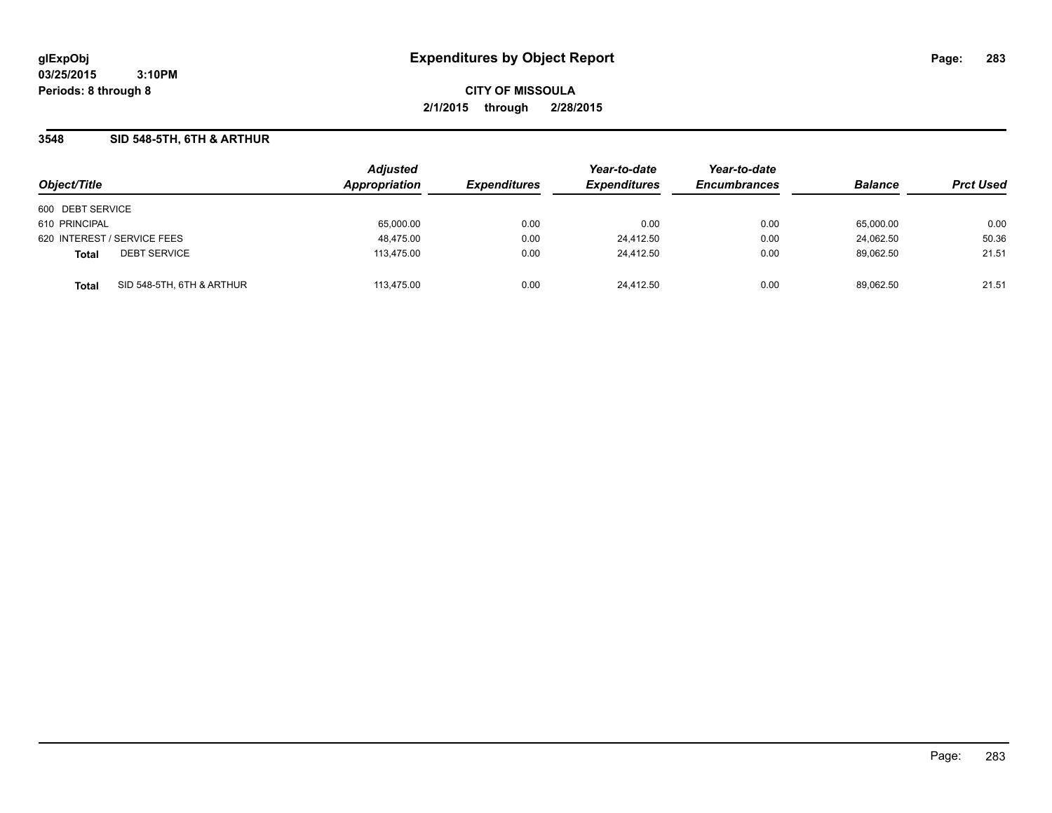**CITY OF MISSOULA 2/1/2015 through 2/28/2015**

### **3548 SID 548-5TH, 6TH & ARTHUR**

|                                           | <b>Adjusted</b> |                     | Year-to-date        | Year-to-date        | <b>Balance</b> |                  |
|-------------------------------------------|-----------------|---------------------|---------------------|---------------------|----------------|------------------|
| Object/Title                              | Appropriation   | <b>Expenditures</b> | <b>Expenditures</b> | <b>Encumbrances</b> |                | <b>Prct Used</b> |
| 600 DEBT SERVICE                          |                 |                     |                     |                     |                |                  |
| 610 PRINCIPAL                             | 65,000.00       | 0.00                | 0.00                | 0.00                | 65,000.00      | 0.00             |
| 620 INTEREST / SERVICE FEES               | 48,475.00       | 0.00                | 24.412.50           | 0.00                | 24.062.50      | 50.36            |
| <b>DEBT SERVICE</b><br><b>Total</b>       | 113,475.00      | 0.00                | 24.412.50           | 0.00                | 89.062.50      | 21.51            |
| SID 548-5TH, 6TH & ARTHUR<br><b>Total</b> | 113.475.00      | 0.00                | 24.412.50           | 0.00                | 89.062.50      | 21.51            |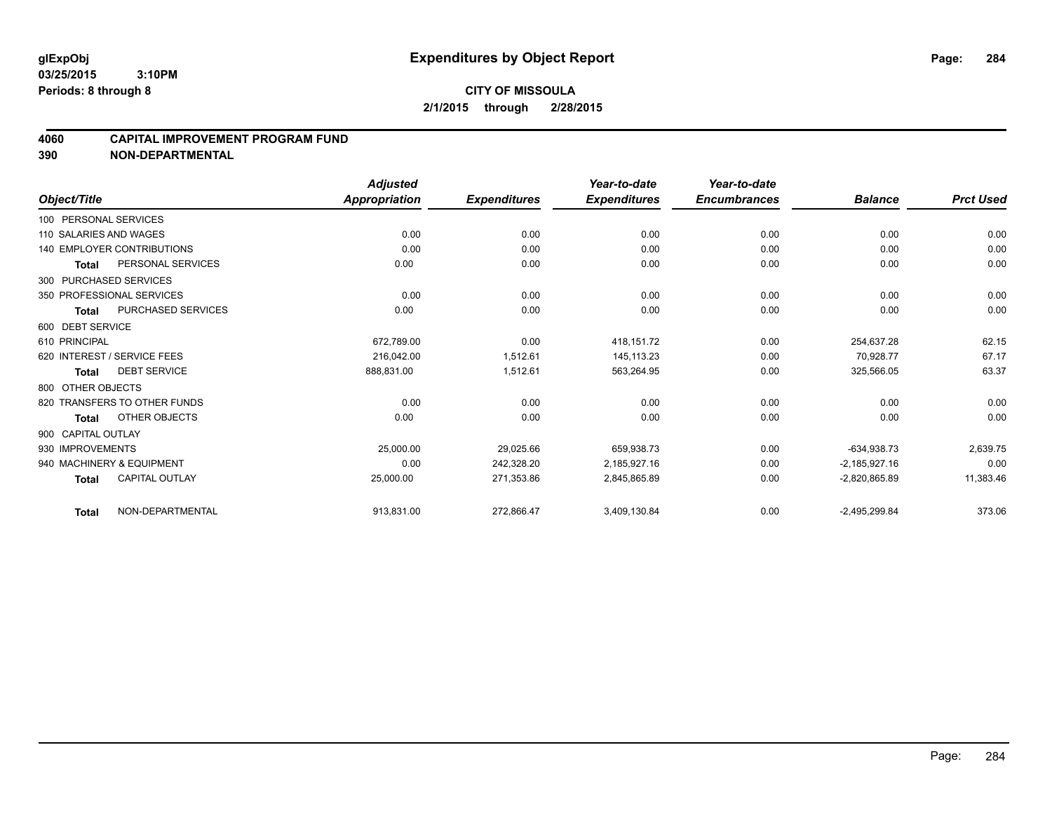#### **4060 CAPITAL IMPROVEMENT PROGRAM FUND**

|                        |                                   | <b>Adjusted</b>      |                     | Year-to-date        | Year-to-date        |                 |                  |
|------------------------|-----------------------------------|----------------------|---------------------|---------------------|---------------------|-----------------|------------------|
| Object/Title           |                                   | <b>Appropriation</b> | <b>Expenditures</b> | <b>Expenditures</b> | <b>Encumbrances</b> | <b>Balance</b>  | <b>Prct Used</b> |
| 100 PERSONAL SERVICES  |                                   |                      |                     |                     |                     |                 |                  |
| 110 SALARIES AND WAGES |                                   | 0.00                 | 0.00                | 0.00                | 0.00                | 0.00            | 0.00             |
|                        | <b>140 EMPLOYER CONTRIBUTIONS</b> | 0.00                 | 0.00                | 0.00                | 0.00                | 0.00            | 0.00             |
| Total                  | PERSONAL SERVICES                 | 0.00                 | 0.00                | 0.00                | 0.00                | 0.00            | 0.00             |
|                        | 300 PURCHASED SERVICES            |                      |                     |                     |                     |                 |                  |
|                        | 350 PROFESSIONAL SERVICES         | 0.00                 | 0.00                | 0.00                | 0.00                | 0.00            | 0.00             |
| <b>Total</b>           | <b>PURCHASED SERVICES</b>         | 0.00                 | 0.00                | 0.00                | 0.00                | 0.00            | 0.00             |
| 600 DEBT SERVICE       |                                   |                      |                     |                     |                     |                 |                  |
| 610 PRINCIPAL          |                                   | 672,789.00           | 0.00                | 418,151.72          | 0.00                | 254,637.28      | 62.15            |
|                        | 620 INTEREST / SERVICE FEES       | 216,042.00           | 1,512.61            | 145, 113. 23        | 0.00                | 70,928.77       | 67.17            |
| Total                  | <b>DEBT SERVICE</b>               | 888,831.00           | 1,512.61            | 563,264.95          | 0.00                | 325,566.05      | 63.37            |
| 800 OTHER OBJECTS      |                                   |                      |                     |                     |                     |                 |                  |
|                        | 820 TRANSFERS TO OTHER FUNDS      | 0.00                 | 0.00                | 0.00                | 0.00                | 0.00            | 0.00             |
| Total                  | OTHER OBJECTS                     | 0.00                 | 0.00                | 0.00                | 0.00                | 0.00            | 0.00             |
| 900 CAPITAL OUTLAY     |                                   |                      |                     |                     |                     |                 |                  |
| 930 IMPROVEMENTS       |                                   | 25,000.00            | 29,025.66           | 659,938.73          | 0.00                | $-634,938.73$   | 2,639.75         |
|                        | 940 MACHINERY & EQUIPMENT         | 0.00                 | 242,328.20          | 2,185,927.16        | 0.00                | $-2,185,927.16$ | 0.00             |
| <b>Total</b>           | <b>CAPITAL OUTLAY</b>             | 25,000.00            | 271,353.86          | 2,845,865.89        | 0.00                | $-2,820,865.89$ | 11,383.46        |
| <b>Total</b>           | NON-DEPARTMENTAL                  | 913,831.00           | 272,866.47          | 3,409,130.84        | 0.00                | $-2,495,299.84$ | 373.06           |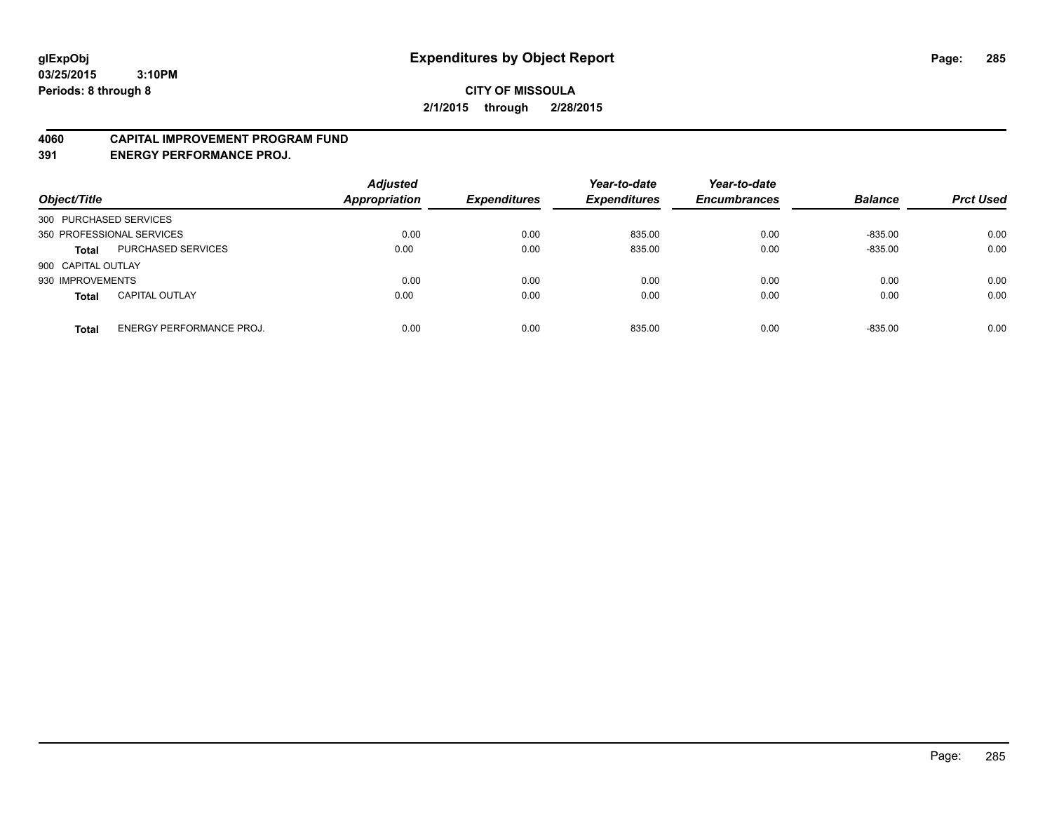### **4060 CAPITAL IMPROVEMENT PROGRAM FUND**

**391 ENERGY PERFORMANCE PROJ.**

| Object/Title                             | <b>Adjusted</b><br><b>Appropriation</b> | <b>Expenditures</b> | Year-to-date<br><b>Expenditures</b> | Year-to-date<br><b>Encumbrances</b> | <b>Balance</b> | <b>Prct Used</b> |
|------------------------------------------|-----------------------------------------|---------------------|-------------------------------------|-------------------------------------|----------------|------------------|
| 300 PURCHASED SERVICES                   |                                         |                     |                                     |                                     |                |                  |
| 350 PROFESSIONAL SERVICES                | 0.00                                    | 0.00                | 835.00                              | 0.00                                | $-835.00$      | 0.00             |
| PURCHASED SERVICES<br><b>Total</b>       | 0.00                                    | 0.00                | 835.00                              | 0.00                                | $-835.00$      | 0.00             |
| 900 CAPITAL OUTLAY                       |                                         |                     |                                     |                                     |                |                  |
| 930 IMPROVEMENTS                         | 0.00                                    | 0.00                | 0.00                                | 0.00                                | 0.00           | 0.00             |
| <b>CAPITAL OUTLAY</b><br><b>Total</b>    | 0.00                                    | 0.00                | 0.00                                | 0.00                                | 0.00           | 0.00             |
| ENERGY PERFORMANCE PROJ.<br><b>Total</b> | 0.00                                    | 0.00                | 835.00                              | 0.00                                | $-835.00$      | 0.00             |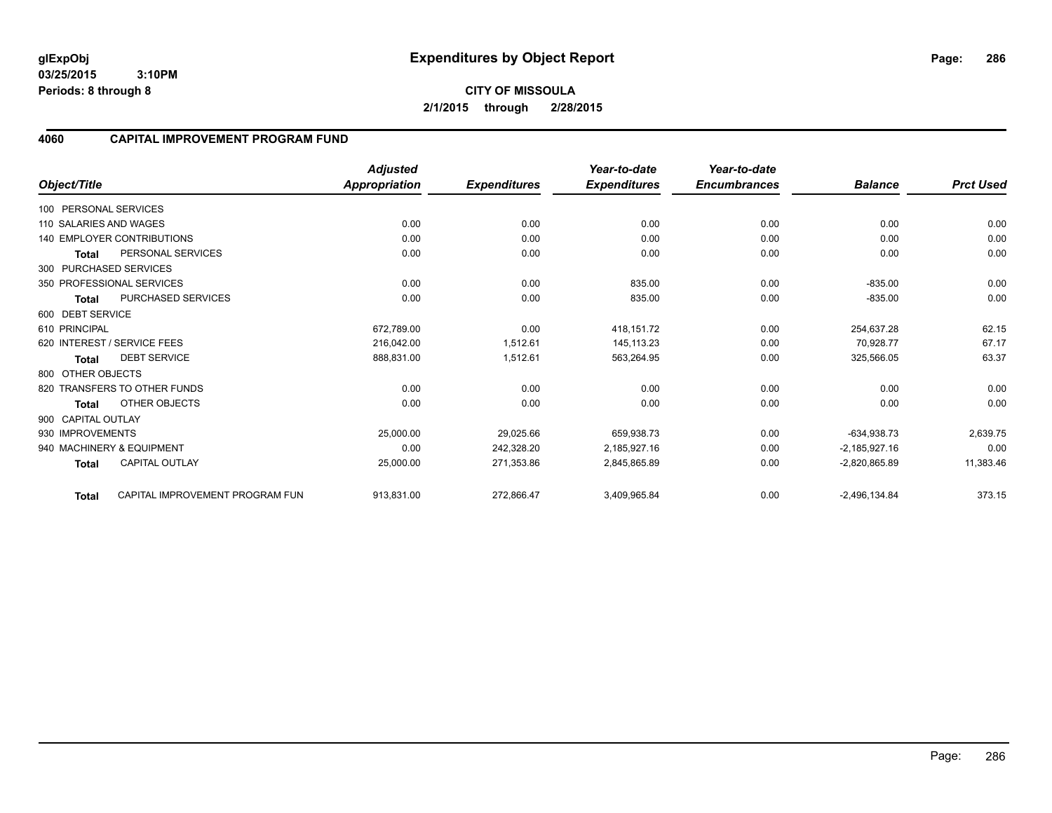**CITY OF MISSOULA 2/1/2015 through 2/28/2015**

# **4060 CAPITAL IMPROVEMENT PROGRAM FUND**

|                        |                                   | <b>Adjusted</b>      |                     | Year-to-date        | Year-to-date        |                 |                  |
|------------------------|-----------------------------------|----------------------|---------------------|---------------------|---------------------|-----------------|------------------|
| Object/Title           |                                   | <b>Appropriation</b> | <b>Expenditures</b> | <b>Expenditures</b> | <b>Encumbrances</b> | <b>Balance</b>  | <b>Prct Used</b> |
| 100 PERSONAL SERVICES  |                                   |                      |                     |                     |                     |                 |                  |
| 110 SALARIES AND WAGES |                                   | 0.00                 | 0.00                | 0.00                | 0.00                | 0.00            | 0.00             |
|                        | <b>140 EMPLOYER CONTRIBUTIONS</b> | 0.00                 | 0.00                | 0.00                | 0.00                | 0.00            | 0.00             |
| <b>Total</b>           | PERSONAL SERVICES                 | 0.00                 | 0.00                | 0.00                | 0.00                | 0.00            | 0.00             |
|                        | 300 PURCHASED SERVICES            |                      |                     |                     |                     |                 |                  |
|                        | 350 PROFESSIONAL SERVICES         | 0.00                 | 0.00                | 835.00              | 0.00                | $-835.00$       | 0.00             |
| <b>Total</b>           | <b>PURCHASED SERVICES</b>         | 0.00                 | 0.00                | 835.00              | 0.00                | $-835.00$       | 0.00             |
| 600 DEBT SERVICE       |                                   |                      |                     |                     |                     |                 |                  |
| 610 PRINCIPAL          |                                   | 672,789.00           | 0.00                | 418, 151. 72        | 0.00                | 254,637.28      | 62.15            |
|                        | 620 INTEREST / SERVICE FEES       | 216.042.00           | 1,512.61            | 145.113.23          | 0.00                | 70.928.77       | 67.17            |
| <b>Total</b>           | <b>DEBT SERVICE</b>               | 888,831.00           | 1,512.61            | 563,264.95          | 0.00                | 325,566.05      | 63.37            |
| 800 OTHER OBJECTS      |                                   |                      |                     |                     |                     |                 |                  |
|                        | 820 TRANSFERS TO OTHER FUNDS      | 0.00                 | 0.00                | 0.00                | 0.00                | 0.00            | 0.00             |
| <b>Total</b>           | OTHER OBJECTS                     | 0.00                 | 0.00                | 0.00                | 0.00                | 0.00            | 0.00             |
| 900 CAPITAL OUTLAY     |                                   |                      |                     |                     |                     |                 |                  |
| 930 IMPROVEMENTS       |                                   | 25,000.00            | 29,025.66           | 659,938.73          | 0.00                | $-634,938.73$   | 2,639.75         |
|                        | 940 MACHINERY & EQUIPMENT         | 0.00                 | 242,328.20          | 2,185,927.16        | 0.00                | $-2,185,927.16$ | 0.00             |
| <b>Total</b>           | <b>CAPITAL OUTLAY</b>             | 25,000.00            | 271,353.86          | 2,845,865.89        | 0.00                | -2,820,865.89   | 11,383.46        |
| <b>Total</b>           | CAPITAL IMPROVEMENT PROGRAM FUN   | 913,831.00           | 272,866.47          | 3,409,965.84        | 0.00                | $-2,496,134.84$ | 373.15           |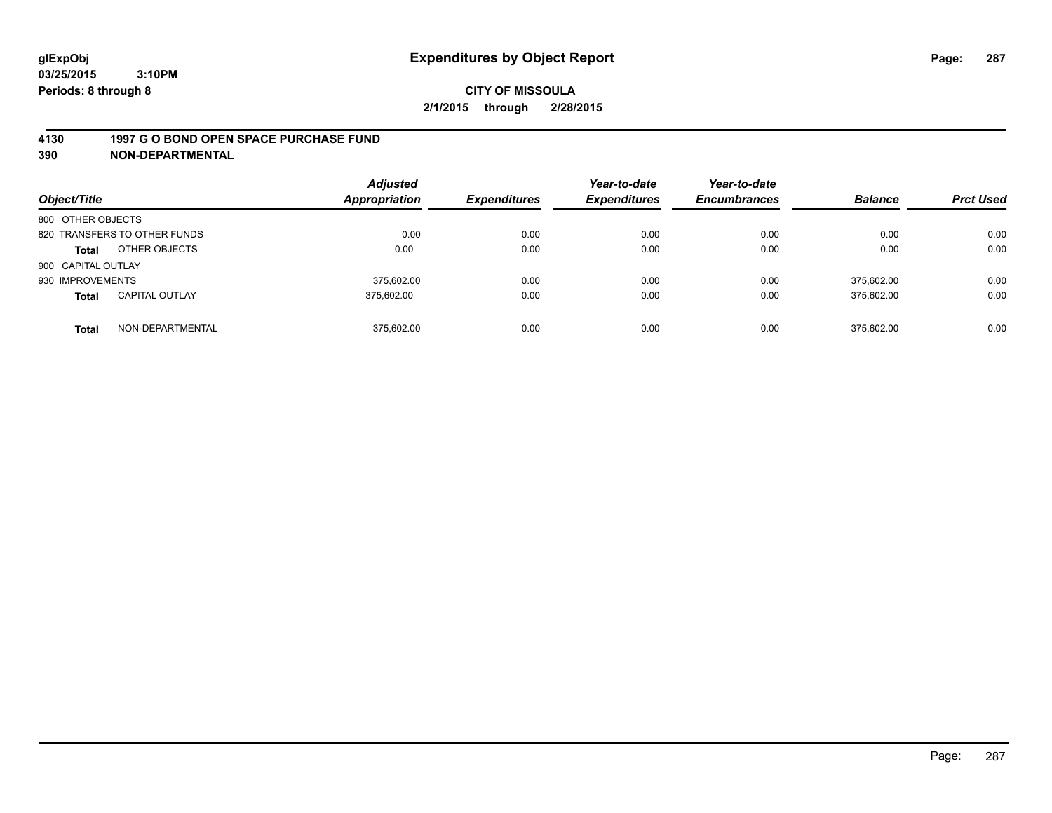### **4130 1997 G O BOND OPEN SPACE PURCHASE FUND**

| Object/Title       |                              | <b>Adjusted</b><br><b>Appropriation</b> | <b>Expenditures</b> | Year-to-date<br><b>Expenditures</b> | Year-to-date<br><b>Encumbrances</b> | <b>Balance</b> | <b>Prct Used</b> |
|--------------------|------------------------------|-----------------------------------------|---------------------|-------------------------------------|-------------------------------------|----------------|------------------|
| 800 OTHER OBJECTS  |                              |                                         |                     |                                     |                                     |                |                  |
|                    | 820 TRANSFERS TO OTHER FUNDS | 0.00                                    | 0.00                | 0.00                                | 0.00                                | 0.00           | 0.00             |
| <b>Total</b>       | OTHER OBJECTS                | 0.00                                    | 0.00                | 0.00                                | 0.00                                | 0.00           | 0.00             |
| 900 CAPITAL OUTLAY |                              |                                         |                     |                                     |                                     |                |                  |
| 930 IMPROVEMENTS   |                              | 375.602.00                              | 0.00                | 0.00                                | 0.00                                | 375.602.00     | 0.00             |
| <b>Total</b>       | <b>CAPITAL OUTLAY</b>        | 375.602.00                              | 0.00                | 0.00                                | 0.00                                | 375,602.00     | 0.00             |
| <b>Total</b>       | NON-DEPARTMENTAL             | 375.602.00                              | 0.00                | 0.00                                | 0.00                                | 375.602.00     | 0.00             |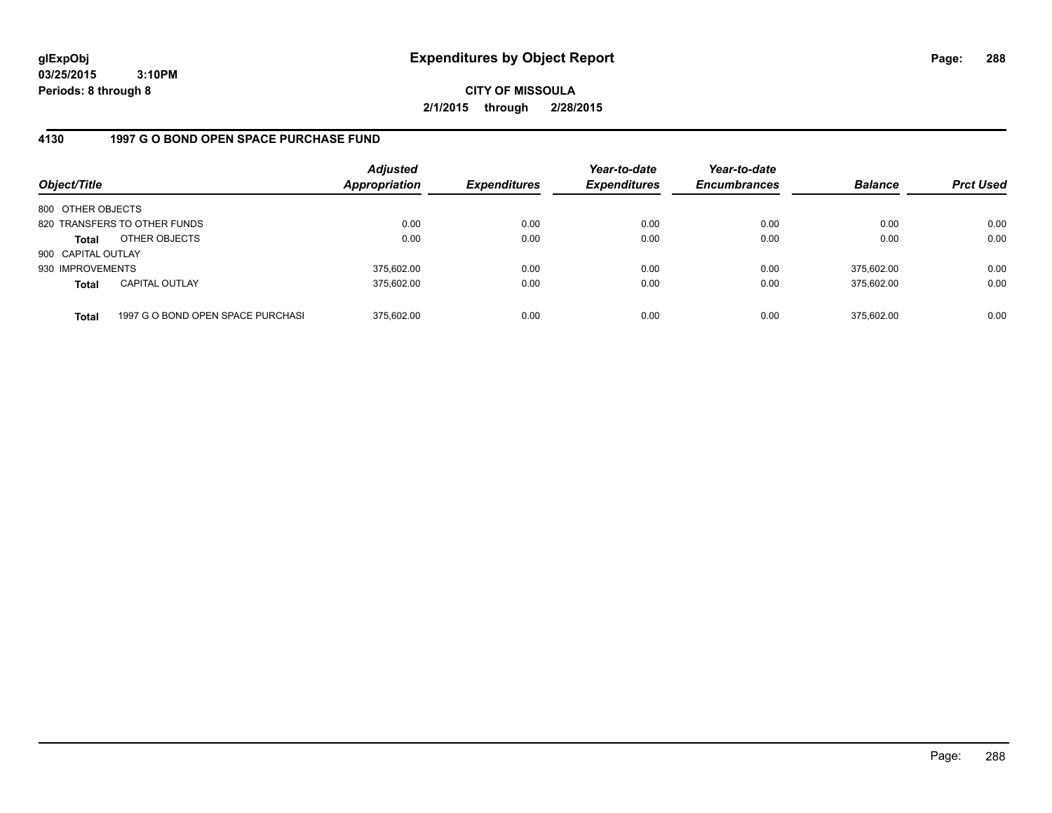**CITY OF MISSOULA 2/1/2015 through 2/28/2015**

### **4130 1997 G O BOND OPEN SPACE PURCHASE FUND**

| Object/Title       |                                   | <b>Adjusted</b><br><b>Appropriation</b> | <b>Expenditures</b> | Year-to-date<br><b>Expenditures</b> | Year-to-date<br><b>Encumbrances</b> | <b>Balance</b> | <b>Prct Used</b> |
|--------------------|-----------------------------------|-----------------------------------------|---------------------|-------------------------------------|-------------------------------------|----------------|------------------|
| 800 OTHER OBJECTS  |                                   |                                         |                     |                                     |                                     |                |                  |
|                    | 820 TRANSFERS TO OTHER FUNDS      | 0.00                                    | 0.00                | 0.00                                | 0.00                                | 0.00           | 0.00             |
| <b>Total</b>       | OTHER OBJECTS                     | 0.00                                    | 0.00                | 0.00                                | 0.00                                | 0.00           | 0.00             |
| 900 CAPITAL OUTLAY |                                   |                                         |                     |                                     |                                     |                |                  |
| 930 IMPROVEMENTS   |                                   | 375,602.00                              | 0.00                | 0.00                                | 0.00                                | 375.602.00     | 0.00             |
| <b>Total</b>       | <b>CAPITAL OUTLAY</b>             | 375,602.00                              | 0.00                | 0.00                                | 0.00                                | 375.602.00     | 0.00             |
| <b>Total</b>       | 1997 G O BOND OPEN SPACE PURCHASI | 375,602.00                              | 0.00                | 0.00                                | 0.00                                | 375,602.00     | 0.00             |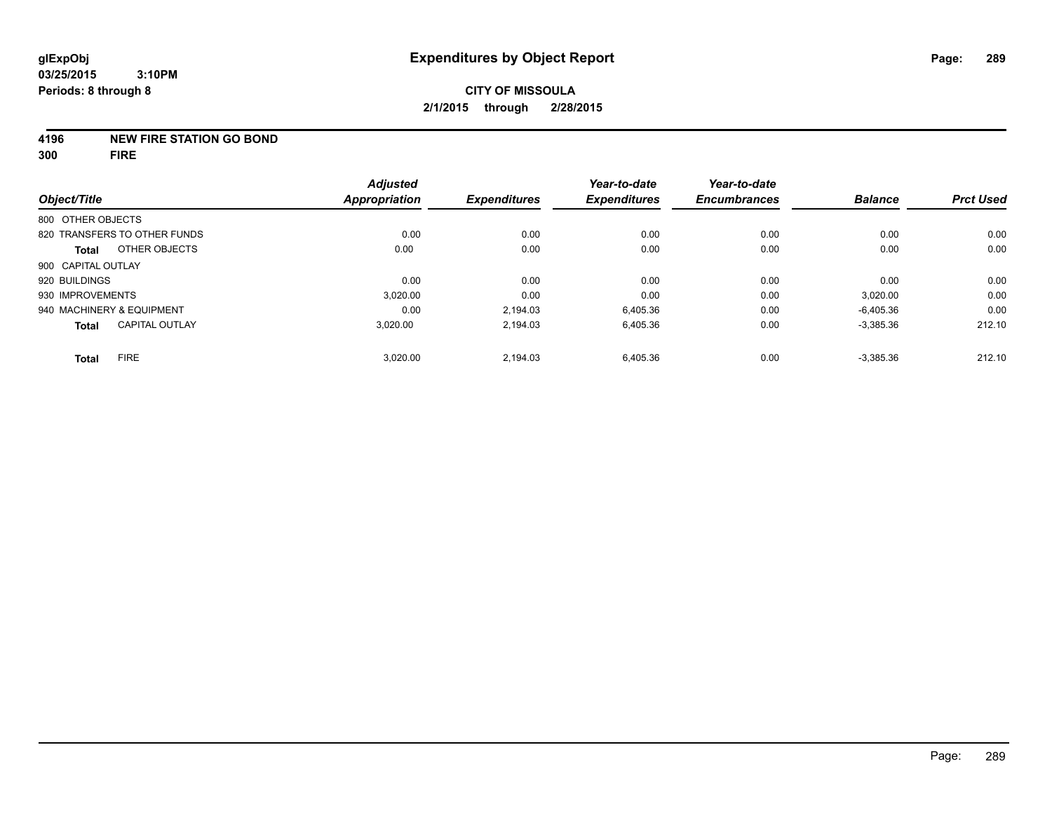## **4196 NEW FIRE STATION GO BOND**

**300 FIRE**

|                                       | <b>Adjusted</b><br><b>Appropriation</b> | <b>Expenditures</b> | Year-to-date        | Year-to-date<br><b>Encumbrances</b> | <b>Balance</b> | <b>Prct Used</b> |
|---------------------------------------|-----------------------------------------|---------------------|---------------------|-------------------------------------|----------------|------------------|
| Object/Title                          |                                         |                     | <b>Expenditures</b> |                                     |                |                  |
| 800 OTHER OBJECTS                     |                                         |                     |                     |                                     |                |                  |
| 820 TRANSFERS TO OTHER FUNDS          | 0.00                                    | 0.00                | 0.00                | 0.00                                | 0.00           | 0.00             |
| OTHER OBJECTS<br><b>Total</b>         | 0.00                                    | 0.00                | 0.00                | 0.00                                | 0.00           | 0.00             |
| 900 CAPITAL OUTLAY                    |                                         |                     |                     |                                     |                |                  |
| 920 BUILDINGS                         | 0.00                                    | 0.00                | 0.00                | 0.00                                | 0.00           | 0.00             |
| 930 IMPROVEMENTS                      | 3,020.00                                | 0.00                | 0.00                | 0.00                                | 3,020.00       | 0.00             |
| 940 MACHINERY & EQUIPMENT             | 0.00                                    | 2,194.03            | 6,405.36            | 0.00                                | $-6,405.36$    | 0.00             |
| <b>CAPITAL OUTLAY</b><br><b>Total</b> | 3.020.00                                | 2.194.03            | 6,405.36            | 0.00                                | $-3,385.36$    | 212.10           |
| <b>FIRE</b><br><b>Total</b>           | 3,020.00                                | 2.194.03            | 6,405.36            | 0.00                                | $-3,385.36$    | 212.10           |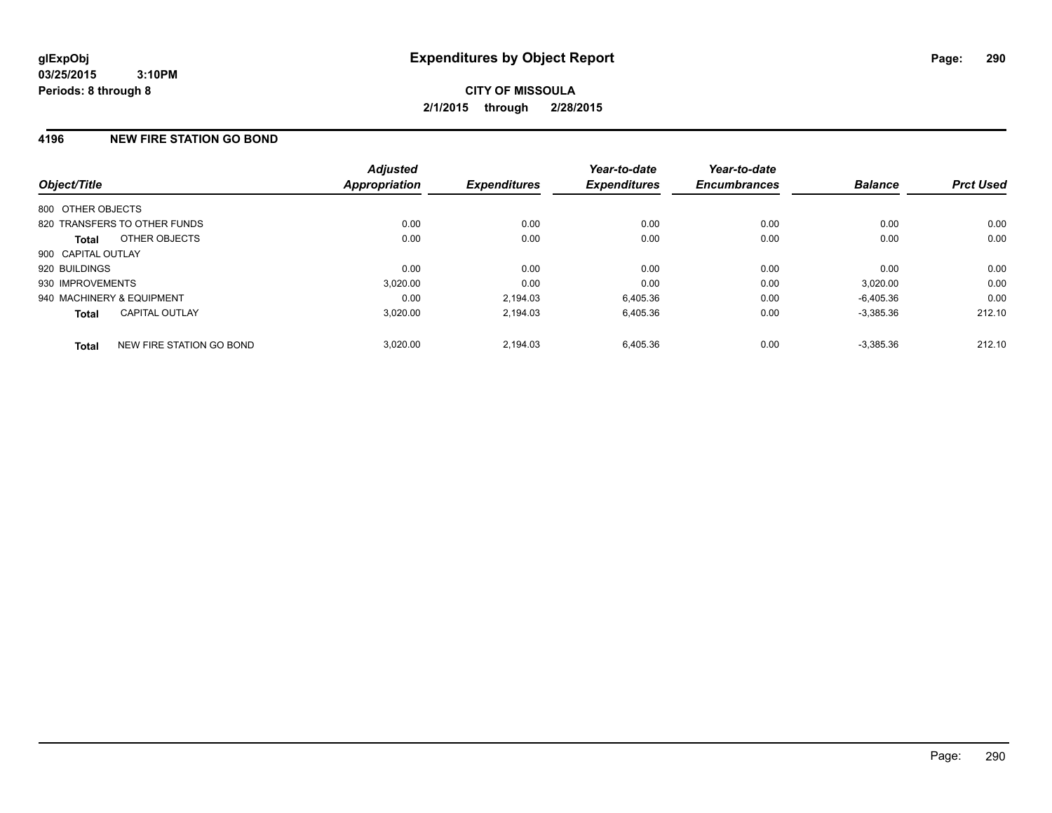# **CITY OF MISSOULA 2/1/2015 through 2/28/2015**

# **4196 NEW FIRE STATION GO BOND**

| Object/Title              |                              | <b>Adjusted</b><br>Appropriation | <b>Expenditures</b> | Year-to-date<br><b>Expenditures</b> | Year-to-date<br><b>Encumbrances</b> | <b>Balance</b> | <b>Prct Used</b> |
|---------------------------|------------------------------|----------------------------------|---------------------|-------------------------------------|-------------------------------------|----------------|------------------|
| 800 OTHER OBJECTS         |                              |                                  |                     |                                     |                                     |                |                  |
|                           | 820 TRANSFERS TO OTHER FUNDS | 0.00                             | 0.00                | 0.00                                | 0.00                                | 0.00           | 0.00             |
| <b>Total</b>              | OTHER OBJECTS                | 0.00                             | 0.00                | 0.00                                | 0.00                                | 0.00           | 0.00             |
| 900 CAPITAL OUTLAY        |                              |                                  |                     |                                     |                                     |                |                  |
| 920 BUILDINGS             |                              | 0.00                             | 0.00                | 0.00                                | 0.00                                | 0.00           | 0.00             |
| 930 IMPROVEMENTS          |                              | 3,020.00                         | 0.00                | 0.00                                | 0.00                                | 3,020.00       | 0.00             |
| 940 MACHINERY & EQUIPMENT |                              | 0.00                             | 2.194.03            | 6,405.36                            | 0.00                                | $-6,405.36$    | 0.00             |
| <b>Total</b>              | <b>CAPITAL OUTLAY</b>        | 3.020.00                         | 2,194.03            | 6,405.36                            | 0.00                                | $-3,385.36$    | 212.10           |
| <b>Total</b>              | NEW FIRE STATION GO BOND     | 3.020.00                         | 2.194.03            | 6,405.36                            | 0.00                                | $-3,385.36$    | 212.10           |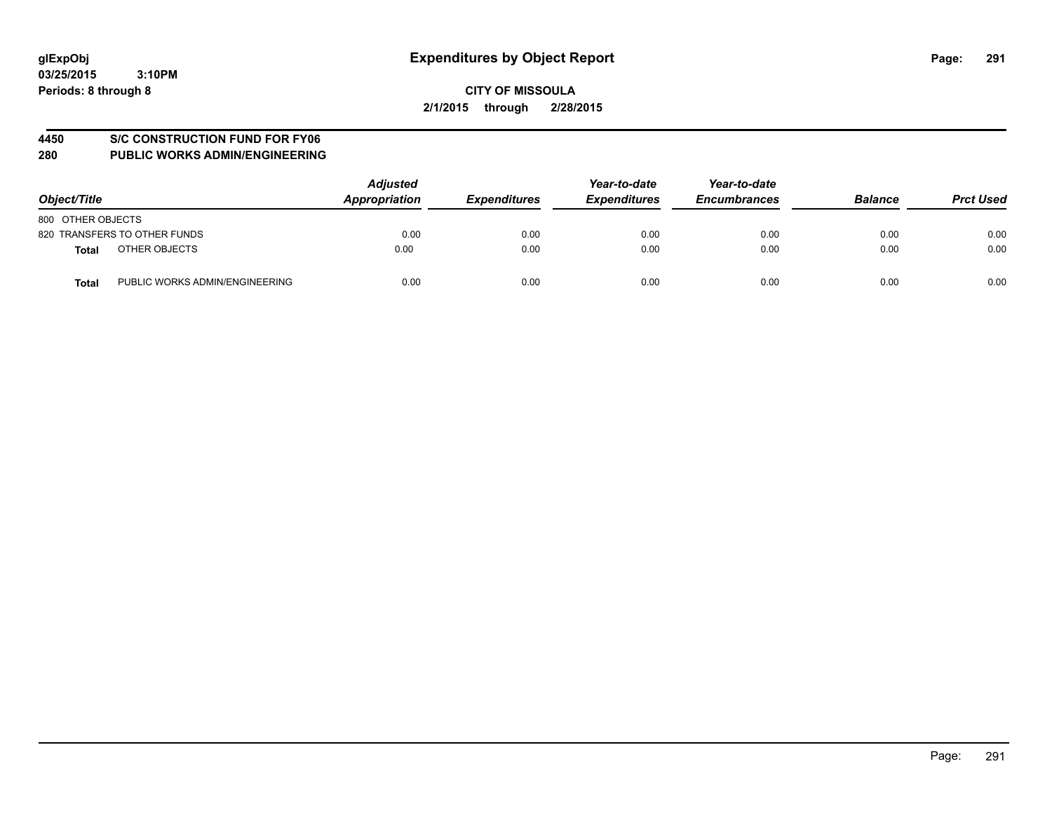## **4450 S/C CONSTRUCTION FUND FOR FY06**

| Object/Title                                   | <b>Adjusted</b><br>Appropriation | <b>Expenditures</b> | Year-to-date<br><b>Expenditures</b> | Year-to-date<br><b>Encumbrances</b> | <b>Balance</b> | <b>Prct Used</b> |
|------------------------------------------------|----------------------------------|---------------------|-------------------------------------|-------------------------------------|----------------|------------------|
| 800 OTHER OBJECTS                              |                                  |                     |                                     |                                     |                |                  |
| 820 TRANSFERS TO OTHER FUNDS                   | 0.00                             | 0.00                | 0.00                                | 0.00                                | 0.00           | 0.00             |
| OTHER OBJECTS<br>Total                         | 0.00                             | 0.00                | 0.00                                | 0.00                                | 0.00           | 0.00             |
| PUBLIC WORKS ADMIN/ENGINEERING<br><b>Total</b> | 0.00                             | 0.00                | 0.00                                | 0.00                                | 0.00           | 0.00             |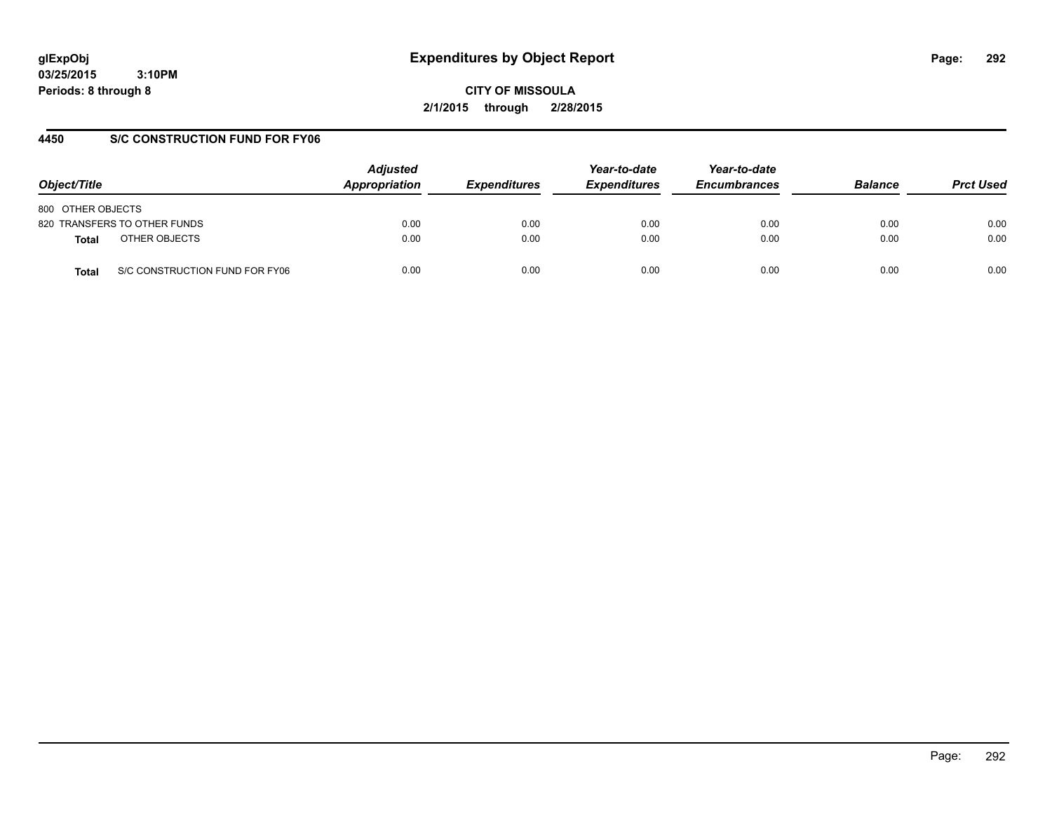# **glExpObj Expenditures by Object Report Page: 292**

**03/25/2015 3:10PM Periods: 8 through 8**

**CITY OF MISSOULA 2/1/2015 through 2/28/2015**

# **4450 S/C CONSTRUCTION FUND FOR FY06**

| Object/Title                            | <b>Adjusted</b><br>Appropriation | <b>Expenditures</b> | Year-to-date<br><b>Expenditures</b> | Year-to-date<br><b>Encumbrances</b> | <b>Balance</b> | <b>Prct Used</b> |
|-----------------------------------------|----------------------------------|---------------------|-------------------------------------|-------------------------------------|----------------|------------------|
| 800 OTHER OBJECTS                       |                                  |                     |                                     |                                     |                |                  |
| 820 TRANSFERS TO OTHER FUNDS            | 0.00                             | 0.00                | 0.00                                | 0.00                                | 0.00           | 0.00             |
| OTHER OBJECTS<br><b>Total</b>           | 0.00                             | 0.00                | 0.00                                | 0.00                                | 0.00           | 0.00             |
| S/C CONSTRUCTION FUND FOR FY06<br>Total | 0.00                             | 0.00                | 0.00                                | 0.00                                | 0.00           | 0.00             |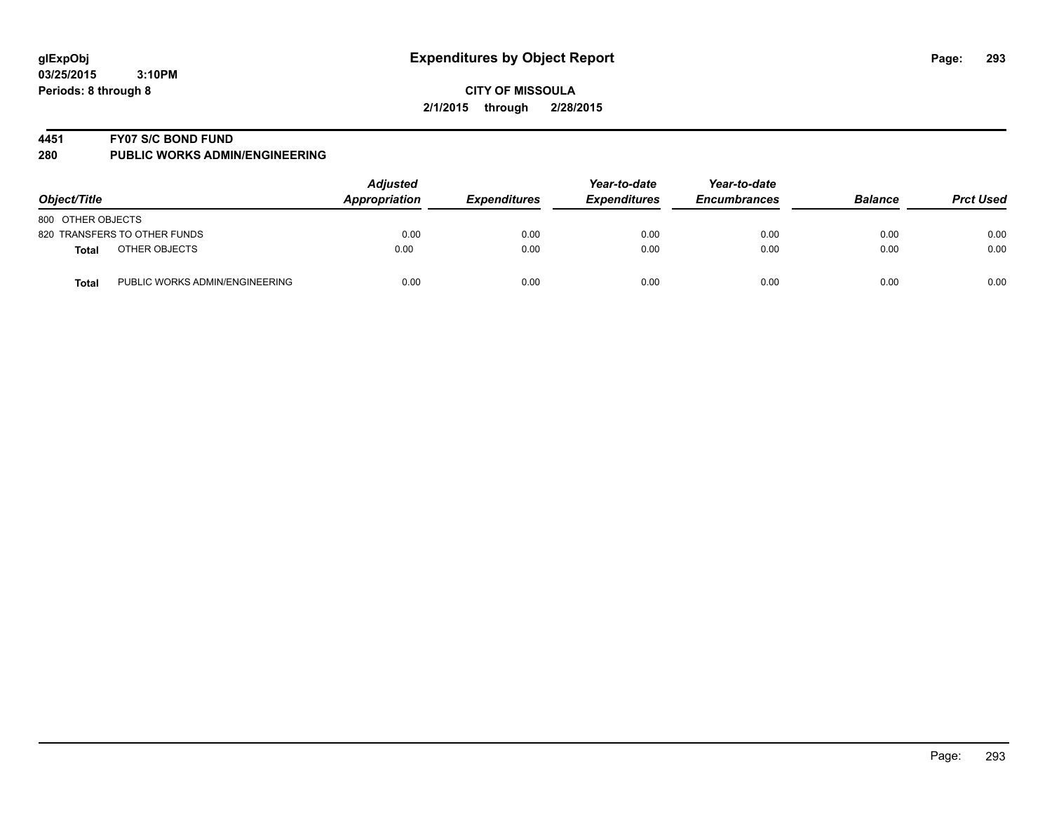#### **4451 FY07 S/C BOND FUND**

| Object/Title                                   | <b>Adjusted</b><br>Appropriation | <b>Expenditures</b> | Year-to-date<br><b>Expenditures</b> | Year-to-date<br><b>Encumbrances</b> | <b>Balance</b> | <b>Prct Used</b> |
|------------------------------------------------|----------------------------------|---------------------|-------------------------------------|-------------------------------------|----------------|------------------|
| 800 OTHER OBJECTS                              |                                  |                     |                                     |                                     |                |                  |
| 820 TRANSFERS TO OTHER FUNDS                   | 0.00                             | 0.00                | 0.00                                | 0.00                                | 0.00           | 0.00             |
| OTHER OBJECTS<br><b>Total</b>                  | 0.00                             | 0.00                | 0.00                                | 0.00                                | 0.00           | 0.00             |
| PUBLIC WORKS ADMIN/ENGINEERING<br><b>Total</b> | 0.00                             | 0.00                | 0.00                                | 0.00                                | 0.00           | 0.00             |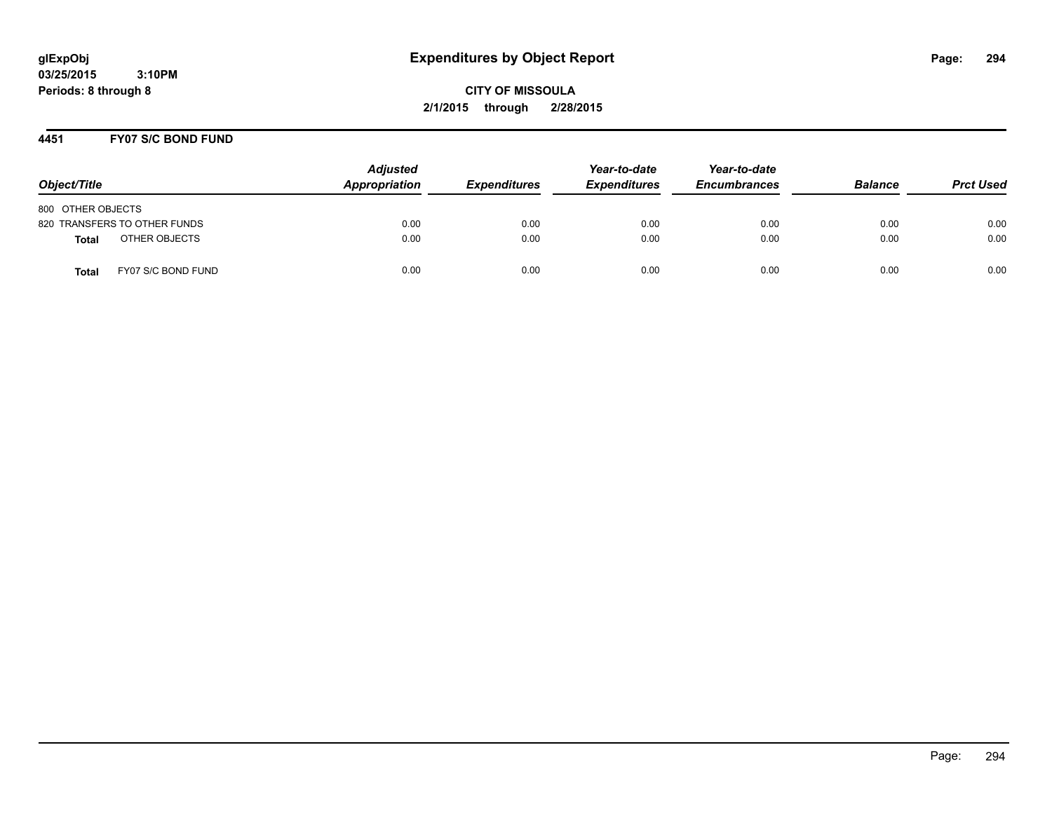**CITY OF MISSOULA 2/1/2015 through 2/28/2015**

# **4451 FY07 S/C BOND FUND**

| Object/Title                       | <b>Adjusted</b><br>Appropriation | <b>Expenditures</b> | Year-to-date<br><b>Expenditures</b> | Year-to-date<br><b>Encumbrances</b> | <b>Balance</b> | <b>Prct Used</b> |
|------------------------------------|----------------------------------|---------------------|-------------------------------------|-------------------------------------|----------------|------------------|
| 800 OTHER OBJECTS                  |                                  |                     |                                     |                                     |                |                  |
| 820 TRANSFERS TO OTHER FUNDS       | 0.00                             | 0.00                | 0.00                                | 0.00                                | 0.00           | 0.00             |
| OTHER OBJECTS<br><b>Total</b>      | 0.00                             | 0.00                | 0.00                                | 0.00                                | 0.00           | 0.00             |
| FY07 S/C BOND FUND<br><b>Total</b> | 0.00                             | 0.00                | 0.00                                | 0.00                                | 0.00           | 0.00             |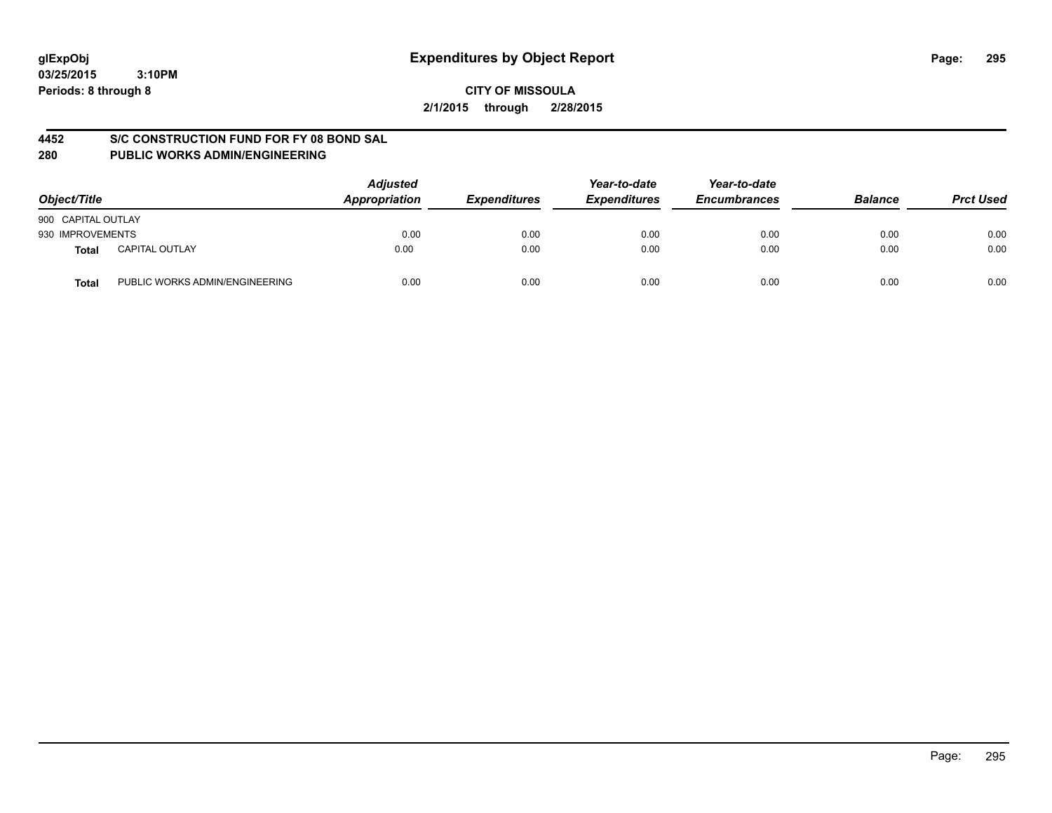# **CITY OF MISSOULA 2/1/2015 through 2/28/2015**

# **4452 S/C CONSTRUCTION FUND FOR FY 08 BOND SAL**

| Object/Title                            | <b>Adjusted</b><br>Appropriation | <b>Expenditures</b> | Year-to-date<br><b>Expenditures</b> | Year-to-date<br><b>Encumbrances</b> | <b>Balance</b> | <b>Prct Used</b> |
|-----------------------------------------|----------------------------------|---------------------|-------------------------------------|-------------------------------------|----------------|------------------|
| 900 CAPITAL OUTLAY                      |                                  |                     |                                     |                                     |                |                  |
| 930 IMPROVEMENTS                        | 0.00                             | 0.00                | 0.00                                | 0.00                                | 0.00           | 0.00             |
| <b>CAPITAL OUTLAY</b><br>Total          | 0.00                             | 0.00                | 0.00                                | 0.00                                | 0.00           | 0.00             |
| PUBLIC WORKS ADMIN/ENGINEERING<br>Total | 0.00                             | 0.00                | 0.00                                | 0.00                                | 0.00           | 0.00             |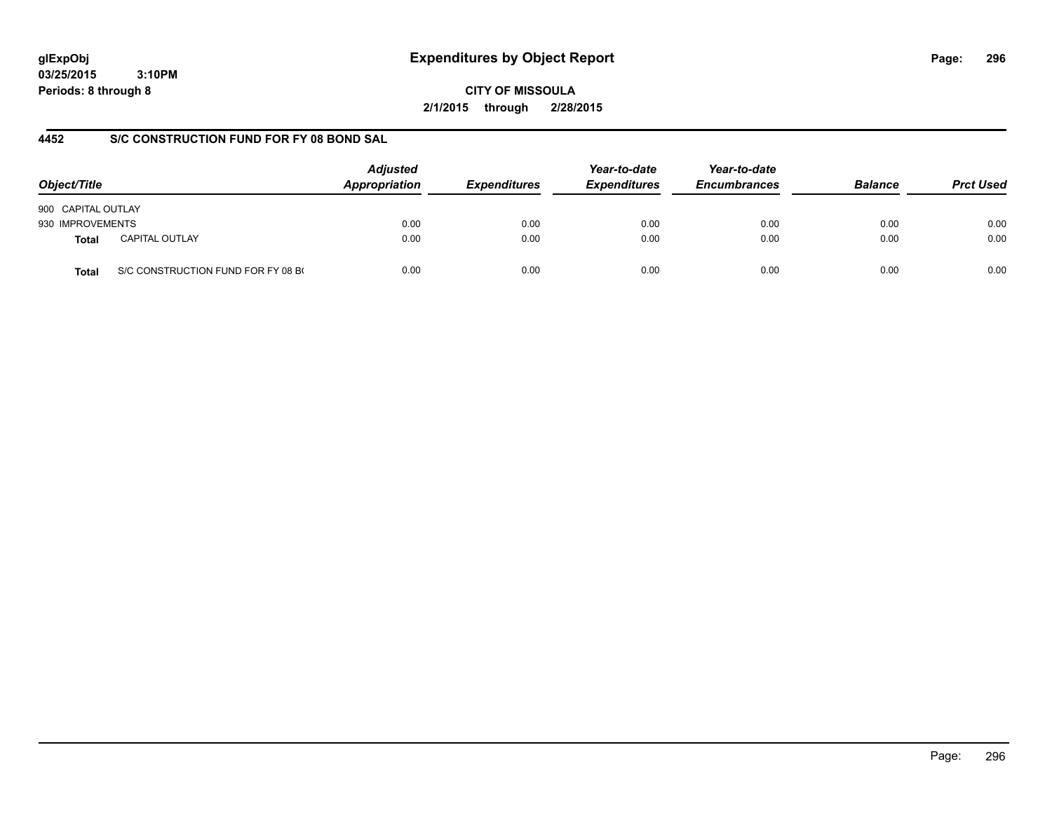# **glExpObj Expenditures by Object Report Page: 296**

**03/25/2015 3:10PM Periods: 8 through 8**

**CITY OF MISSOULA 2/1/2015 through 2/28/2015**

# **4452 S/C CONSTRUCTION FUND FOR FY 08 BOND SAL**

| Object/Title       |                                    | <b>Adjusted</b><br>Appropriation<br><b>Expenditures</b> | Year-to-date<br><b>Expenditures</b> | Year-to-date<br><b>Encumbrances</b> | <b>Balance</b> | <b>Prct Used</b> |      |
|--------------------|------------------------------------|---------------------------------------------------------|-------------------------------------|-------------------------------------|----------------|------------------|------|
| 900 CAPITAL OUTLAY |                                    |                                                         |                                     |                                     |                |                  |      |
| 930 IMPROVEMENTS   |                                    | 0.00                                                    | 0.00                                | 0.00                                | 0.00           | 0.00             | 0.00 |
| Total              | <b>CAPITAL OUTLAY</b>              | 0.00                                                    | 0.00                                | 0.00                                | 0.00           | 0.00             | 0.00 |
| Total              | S/C CONSTRUCTION FUND FOR FY 08 BO | 0.00                                                    | 0.00                                | 0.00                                | 0.00           | 0.00             | 0.00 |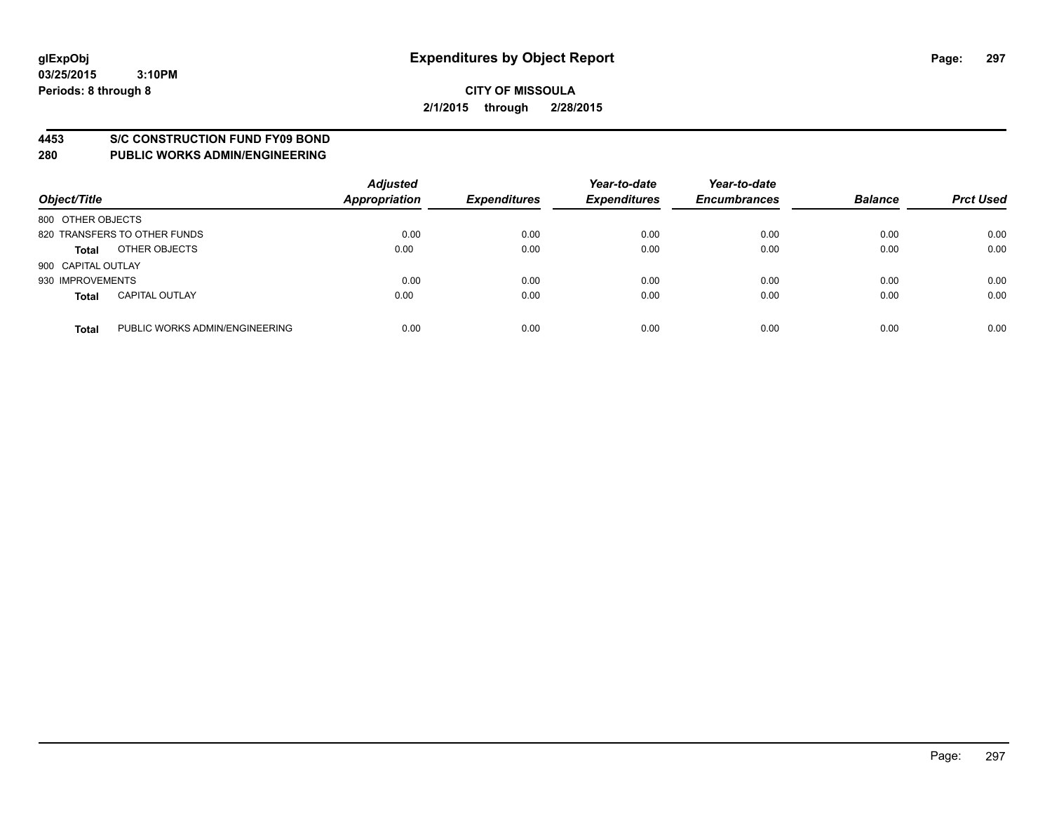#### **4453 S/C CONSTRUCTION FUND FY09 BOND**

| Object/Title       |                                | <b>Adjusted</b><br><b>Appropriation</b> | <b>Expenditures</b> | Year-to-date<br><b>Expenditures</b> | Year-to-date<br><b>Encumbrances</b> | <b>Balance</b> | <b>Prct Used</b> |
|--------------------|--------------------------------|-----------------------------------------|---------------------|-------------------------------------|-------------------------------------|----------------|------------------|
| 800 OTHER OBJECTS  |                                |                                         |                     |                                     |                                     |                |                  |
|                    | 820 TRANSFERS TO OTHER FUNDS   | 0.00                                    | 0.00                | 0.00                                | 0.00                                | 0.00           | 0.00             |
| <b>Total</b>       | OTHER OBJECTS                  | 0.00                                    | 0.00                | 0.00                                | 0.00                                | 0.00           | 0.00             |
| 900 CAPITAL OUTLAY |                                |                                         |                     |                                     |                                     |                |                  |
| 930 IMPROVEMENTS   |                                | 0.00                                    | 0.00                | 0.00                                | 0.00                                | 0.00           | 0.00             |
| <b>Total</b>       | <b>CAPITAL OUTLAY</b>          | 0.00                                    | 0.00                | 0.00                                | 0.00                                | 0.00           | 0.00             |
| <b>Total</b>       | PUBLIC WORKS ADMIN/ENGINEERING | 0.00                                    | 0.00                | 0.00                                | 0.00                                | 0.00           | 0.00             |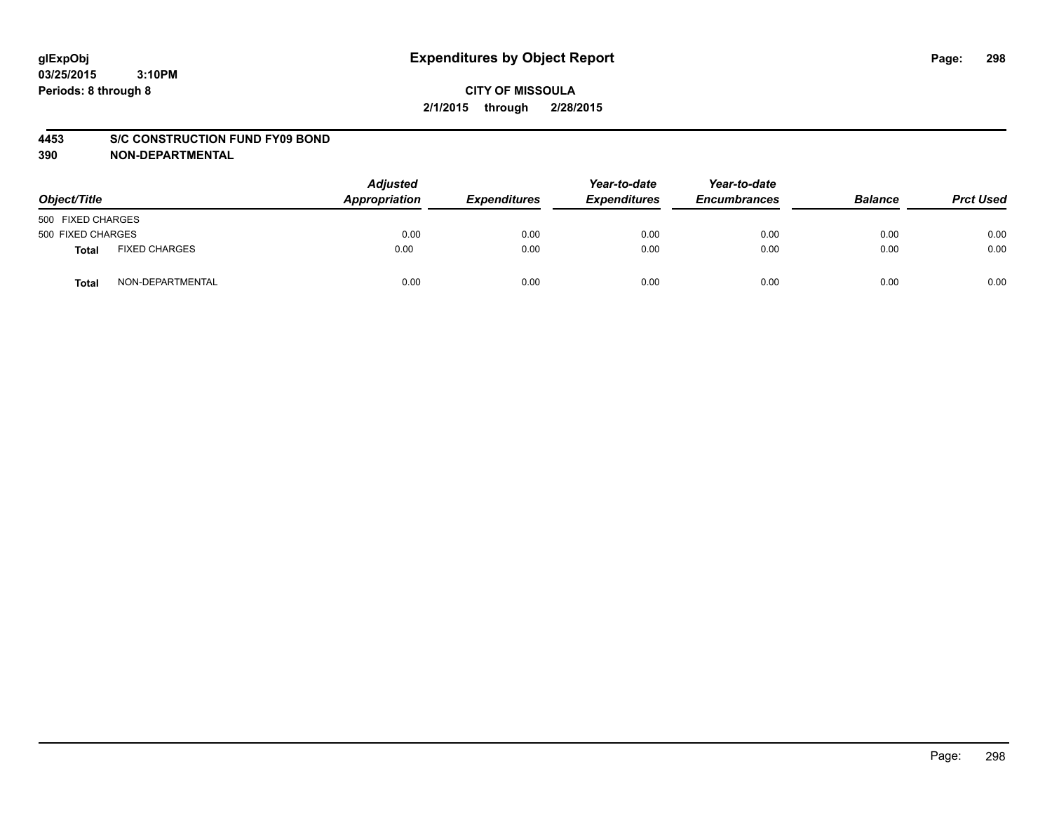## **4453 S/C CONSTRUCTION FUND FY09 BOND**

| Object/Title      |                      | <b>Adjusted</b><br>Appropriation | <b>Expenditures</b> | Year-to-date<br><b>Expenditures</b> | Year-to-date<br><b>Encumbrances</b> | <b>Balance</b> | <b>Prct Used</b> |
|-------------------|----------------------|----------------------------------|---------------------|-------------------------------------|-------------------------------------|----------------|------------------|
| 500 FIXED CHARGES |                      |                                  |                     |                                     |                                     |                |                  |
| 500 FIXED CHARGES |                      | 0.00                             | 0.00                | 0.00                                | 0.00                                | 0.00           | 0.00             |
| <b>Total</b>      | <b>FIXED CHARGES</b> | 0.00                             | 0.00                | 0.00                                | 0.00                                | 0.00           | 0.00             |
| Total             | NON-DEPARTMENTAL     | 0.00                             | 0.00                | 0.00                                | 0.00                                | 0.00           | 0.00             |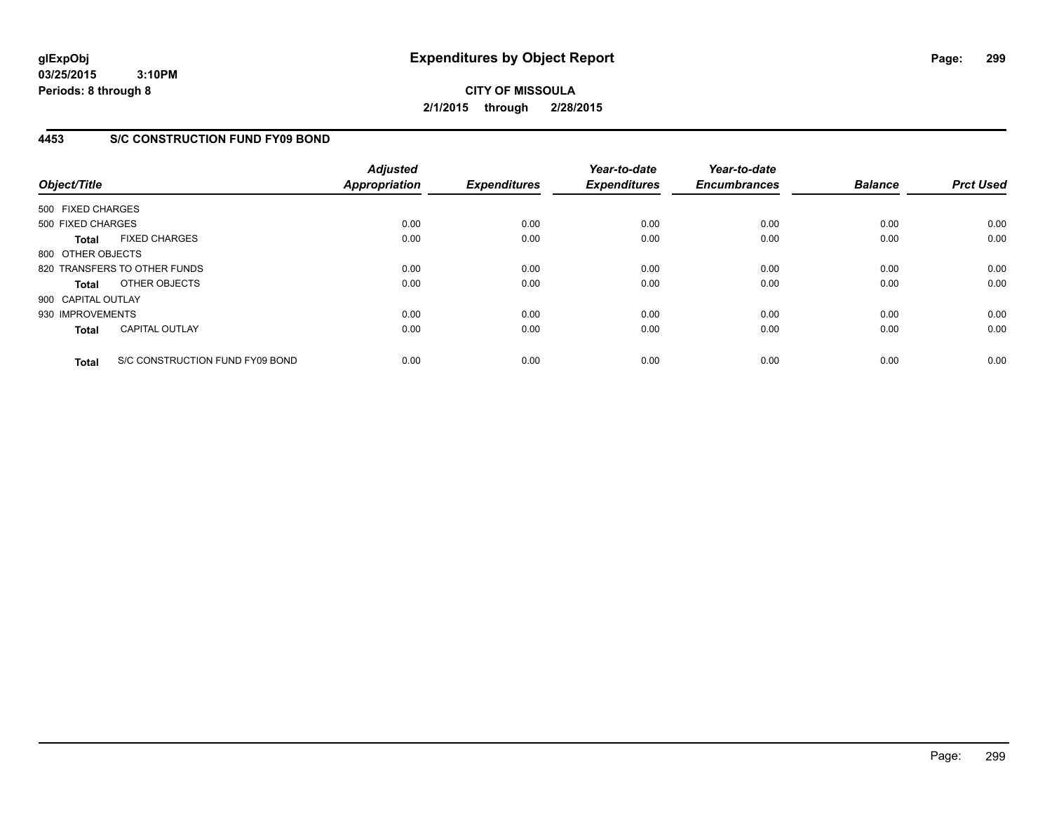# **CITY OF MISSOULA 2/1/2015 through 2/28/2015**

# **4453 S/C CONSTRUCTION FUND FY09 BOND**

| Object/Title       |                                 | <b>Adjusted</b><br><b>Appropriation</b> | <b>Expenditures</b> | Year-to-date<br><b>Expenditures</b> | Year-to-date<br><b>Encumbrances</b> | <b>Balance</b> | <b>Prct Used</b> |
|--------------------|---------------------------------|-----------------------------------------|---------------------|-------------------------------------|-------------------------------------|----------------|------------------|
| 500 FIXED CHARGES  |                                 |                                         |                     |                                     |                                     |                |                  |
| 500 FIXED CHARGES  |                                 | 0.00                                    | 0.00                | 0.00                                | 0.00                                | 0.00           | 0.00             |
| <b>Total</b>       | <b>FIXED CHARGES</b>            | 0.00                                    | 0.00                | 0.00                                | 0.00                                | 0.00           | 0.00             |
| 800 OTHER OBJECTS  |                                 |                                         |                     |                                     |                                     |                |                  |
|                    | 820 TRANSFERS TO OTHER FUNDS    | 0.00                                    | 0.00                | 0.00                                | 0.00                                | 0.00           | 0.00             |
| <b>Total</b>       | OTHER OBJECTS                   | 0.00                                    | 0.00                | 0.00                                | 0.00                                | 0.00           | 0.00             |
| 900 CAPITAL OUTLAY |                                 |                                         |                     |                                     |                                     |                |                  |
| 930 IMPROVEMENTS   |                                 | 0.00                                    | 0.00                | 0.00                                | 0.00                                | 0.00           | 0.00             |
| <b>Total</b>       | <b>CAPITAL OUTLAY</b>           | 0.00                                    | 0.00                | 0.00                                | 0.00                                | 0.00           | 0.00             |
| <b>Total</b>       | S/C CONSTRUCTION FUND FY09 BOND | 0.00                                    | 0.00                | 0.00                                | 0.00                                | 0.00           | 0.00             |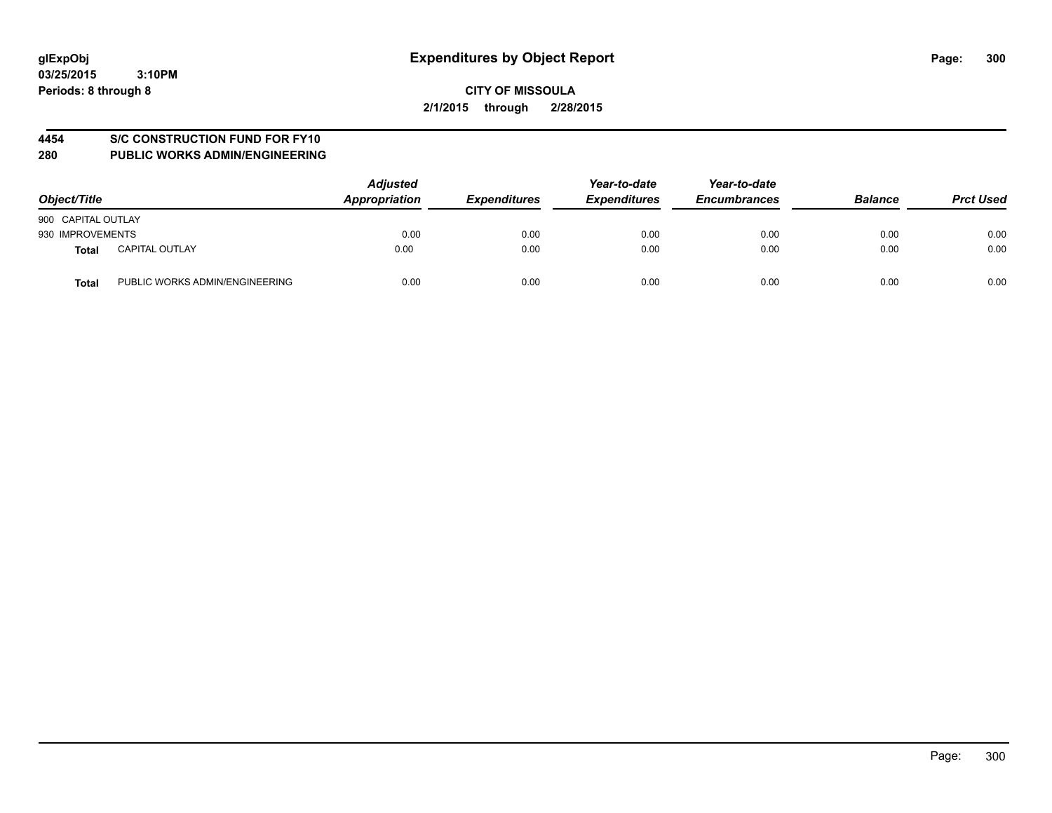# **4454 S/C CONSTRUCTION FUND FOR FY10**

| Object/Title       |                                | <b>Adjusted</b><br>Appropriation | <b>Expenditures</b> | Year-to-date<br><b>Expenditures</b> | Year-to-date<br><b>Encumbrances</b> | <b>Balance</b> | <b>Prct Used</b> |
|--------------------|--------------------------------|----------------------------------|---------------------|-------------------------------------|-------------------------------------|----------------|------------------|
| 900 CAPITAL OUTLAY |                                |                                  |                     |                                     |                                     |                |                  |
| 930 IMPROVEMENTS   |                                | 0.00                             | 0.00                | 0.00                                | 0.00                                | 0.00           | 0.00             |
| <b>Total</b>       | <b>CAPITAL OUTLAY</b>          | 0.00                             | 0.00                | 0.00                                | 0.00                                | 0.00           | 0.00             |
| <b>Total</b>       | PUBLIC WORKS ADMIN/ENGINEERING | 0.00                             | 0.00                | 0.00                                | 0.00                                | 0.00           | 0.00             |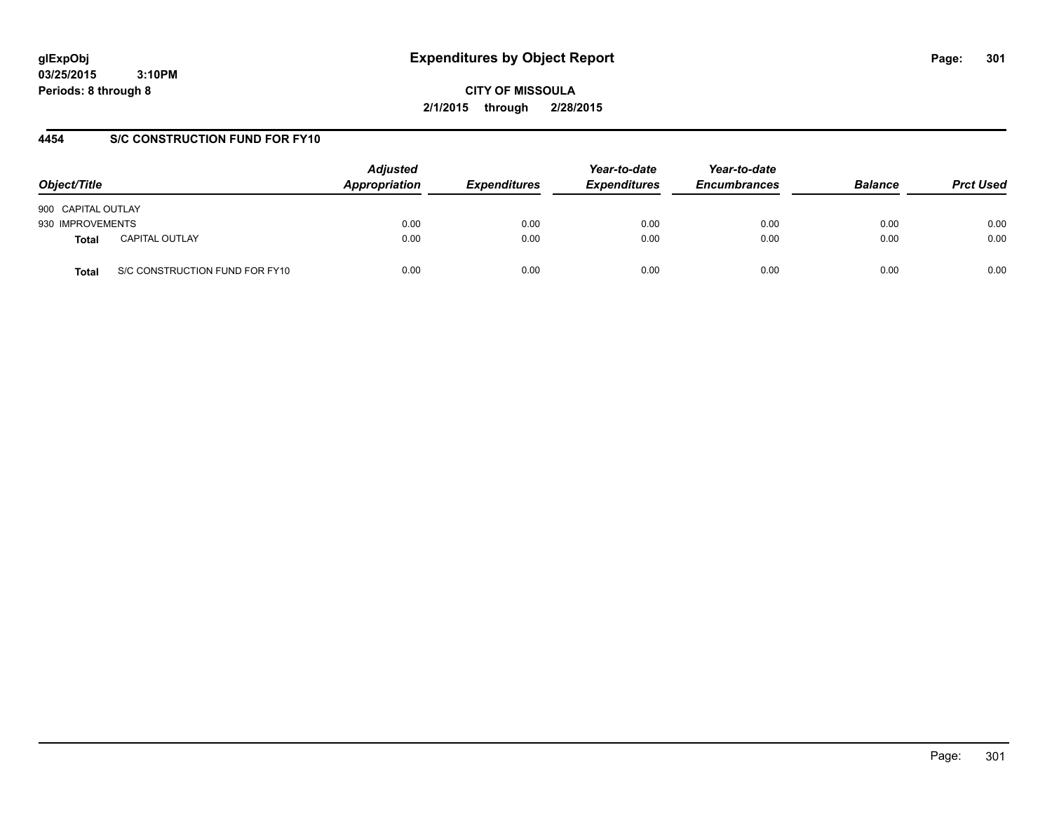# **glExpObj Expenditures by Object Report Page: 301**

**03/25/2015 3:10PM Periods: 8 through 8**

**CITY OF MISSOULA 2/1/2015 through 2/28/2015**

# **4454 S/C CONSTRUCTION FUND FOR FY10**

| Object/Title       |                                | <b>Adjusted</b><br>Appropriation | <b>Expenditures</b> | Year-to-date<br><b>Expenditures</b> | Year-to-date<br><b>Encumbrances</b> | <b>Balance</b> | <b>Prct Used</b> |
|--------------------|--------------------------------|----------------------------------|---------------------|-------------------------------------|-------------------------------------|----------------|------------------|
| 900 CAPITAL OUTLAY |                                |                                  |                     |                                     |                                     |                |                  |
| 930 IMPROVEMENTS   |                                | 0.00                             | 0.00                | 0.00                                | 0.00                                | 0.00           | 0.00             |
| Total              | <b>CAPITAL OUTLAY</b>          | 0.00                             | 0.00                | 0.00                                | 0.00                                | 0.00           | 0.00             |
| Total              | S/C CONSTRUCTION FUND FOR FY10 | 0.00                             | 0.00                | 0.00                                | 0.00                                | 0.00           | 0.00             |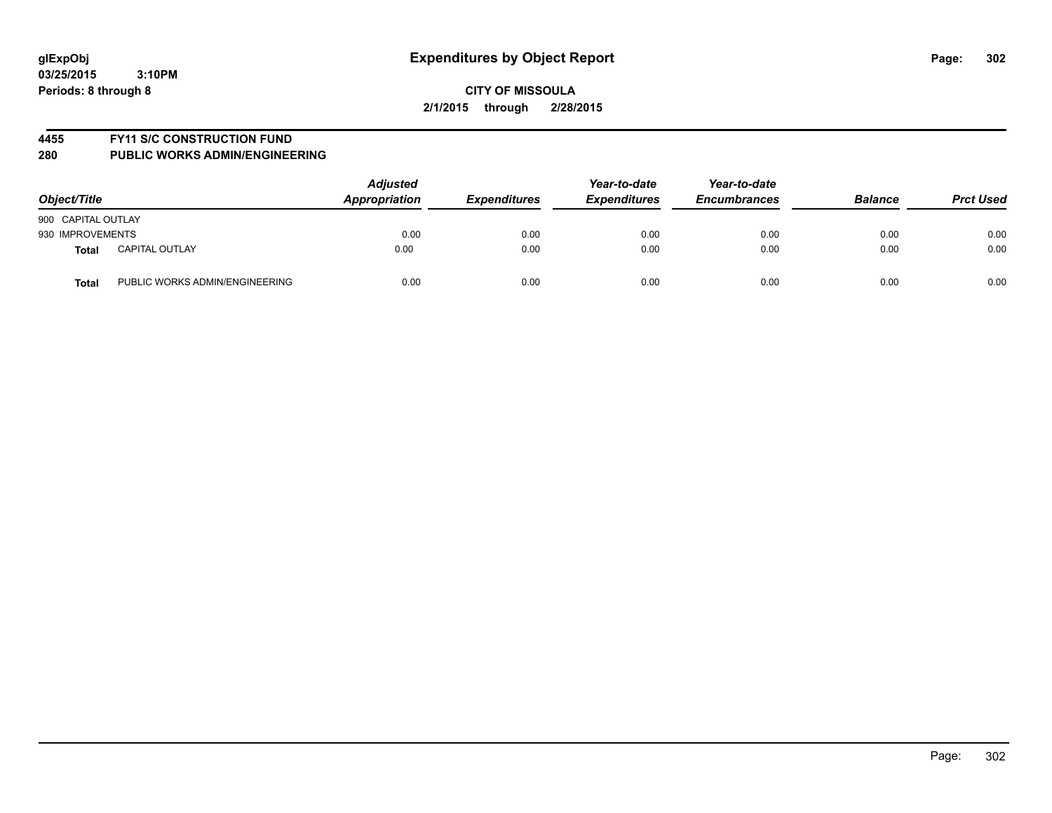#### **4455 FY11 S/C CONSTRUCTION FUND**

| Object/Title       |                                | <b>Adjusted</b><br>Appropriation | <b>Expenditures</b> | Year-to-date<br><b>Expenditures</b> | Year-to-date<br><b>Encumbrances</b> | <b>Balance</b> | <b>Prct Used</b> |
|--------------------|--------------------------------|----------------------------------|---------------------|-------------------------------------|-------------------------------------|----------------|------------------|
| 900 CAPITAL OUTLAY |                                |                                  |                     |                                     |                                     |                |                  |
| 930 IMPROVEMENTS   |                                | 0.00                             | 0.00                | 0.00                                | 0.00                                | 0.00           | 0.00             |
| <b>Total</b>       | <b>CAPITAL OUTLAY</b>          | 0.00                             | 0.00                | 0.00                                | 0.00                                | 0.00           | 0.00             |
| <b>Total</b>       | PUBLIC WORKS ADMIN/ENGINEERING | 0.00                             | 0.00                | 0.00                                | 0.00                                | 0.00           | 0.00             |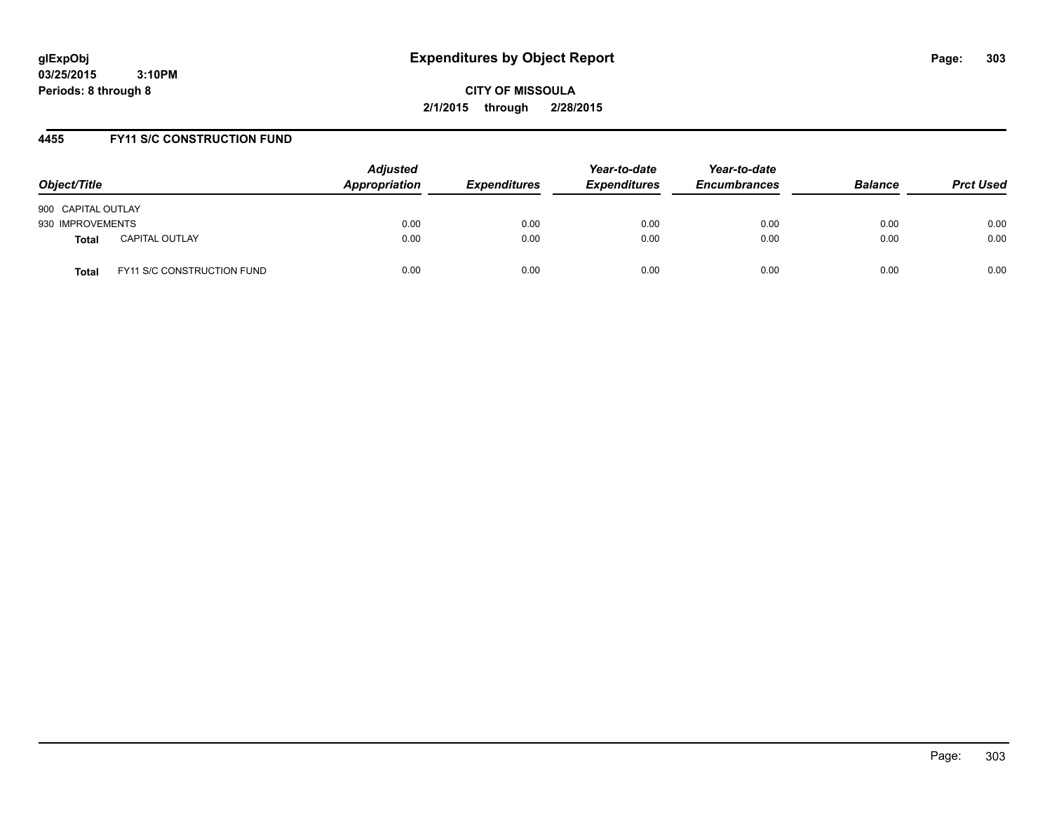**CITY OF MISSOULA 2/1/2015 through 2/28/2015**

# **4455 FY11 S/C CONSTRUCTION FUND**

| Object/Title                          | <b>Adjusted</b><br>Appropriation | <b>Expenditures</b> | Year-to-date<br><b>Expenditures</b> | Year-to-date<br><b>Encumbrances</b> | <b>Balance</b> | <b>Prct Used</b> |
|---------------------------------------|----------------------------------|---------------------|-------------------------------------|-------------------------------------|----------------|------------------|
| 900 CAPITAL OUTLAY                    |                                  |                     |                                     |                                     |                |                  |
| 930 IMPROVEMENTS                      | 0.00                             | 0.00                | 0.00                                | 0.00                                | 0.00           | 0.00             |
| <b>CAPITAL OUTLAY</b><br><b>Total</b> | 0.00                             | 0.00                | 0.00                                | 0.00                                | 0.00           | 0.00             |
| FY11 S/C CONSTRUCTION FUND<br>Total   | 0.00                             | 0.00                | 0.00                                | 0.00                                | 0.00           | 0.00             |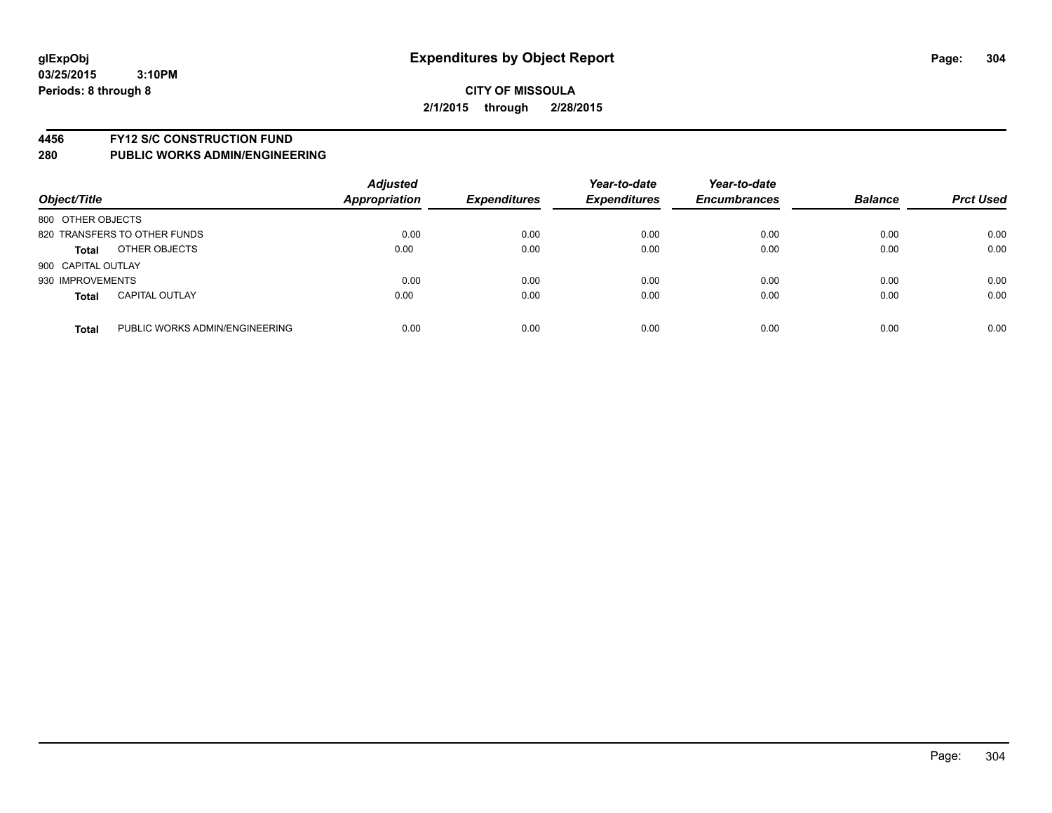#### **4456 FY12 S/C CONSTRUCTION FUND**

| Object/Title       |                                | <b>Adjusted</b><br><b>Appropriation</b> | <b>Expenditures</b> | Year-to-date<br><b>Expenditures</b> | Year-to-date<br><b>Encumbrances</b> | <b>Balance</b> | <b>Prct Used</b> |
|--------------------|--------------------------------|-----------------------------------------|---------------------|-------------------------------------|-------------------------------------|----------------|------------------|
| 800 OTHER OBJECTS  |                                |                                         |                     |                                     |                                     |                |                  |
|                    | 820 TRANSFERS TO OTHER FUNDS   | 0.00                                    | 0.00                | 0.00                                | 0.00                                | 0.00           | 0.00             |
| <b>Total</b>       | OTHER OBJECTS                  | 0.00                                    | 0.00                | 0.00                                | 0.00                                | 0.00           | 0.00             |
| 900 CAPITAL OUTLAY |                                |                                         |                     |                                     |                                     |                |                  |
| 930 IMPROVEMENTS   |                                | 0.00                                    | 0.00                | 0.00                                | 0.00                                | 0.00           | 0.00             |
| <b>Total</b>       | <b>CAPITAL OUTLAY</b>          | 0.00                                    | 0.00                | 0.00                                | 0.00                                | 0.00           | 0.00             |
| <b>Total</b>       | PUBLIC WORKS ADMIN/ENGINEERING | 0.00                                    | 0.00                | 0.00                                | 0.00                                | 0.00           | 0.00             |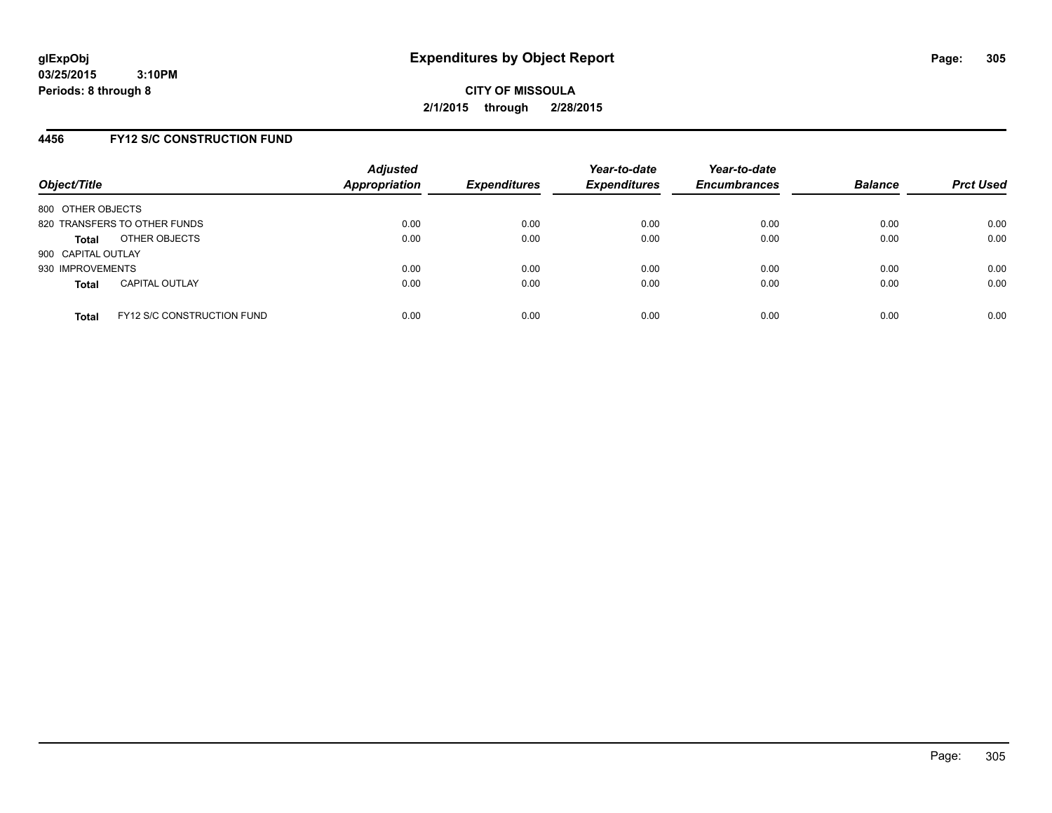# **4456 FY12 S/C CONSTRUCTION FUND**

| Object/Title       |                                   | <b>Adjusted</b><br><b>Appropriation</b> | <b>Expenditures</b> | Year-to-date<br><b>Expenditures</b> | Year-to-date<br><b>Encumbrances</b> | <b>Balance</b> | <b>Prct Used</b> |
|--------------------|-----------------------------------|-----------------------------------------|---------------------|-------------------------------------|-------------------------------------|----------------|------------------|
| 800 OTHER OBJECTS  |                                   |                                         |                     |                                     |                                     |                |                  |
|                    | 820 TRANSFERS TO OTHER FUNDS      | 0.00                                    | 0.00                | 0.00                                | 0.00                                | 0.00           | 0.00             |
| Total              | OTHER OBJECTS                     | 0.00                                    | 0.00                | 0.00                                | 0.00                                | 0.00           | 0.00             |
| 900 CAPITAL OUTLAY |                                   |                                         |                     |                                     |                                     |                |                  |
| 930 IMPROVEMENTS   |                                   | 0.00                                    | 0.00                | 0.00                                | 0.00                                | 0.00           | 0.00             |
| <b>Total</b>       | <b>CAPITAL OUTLAY</b>             | 0.00                                    | 0.00                | 0.00                                | 0.00                                | 0.00           | 0.00             |
| <b>Total</b>       | <b>FY12 S/C CONSTRUCTION FUND</b> | 0.00                                    | 0.00                | 0.00                                | 0.00                                | 0.00           | 0.00             |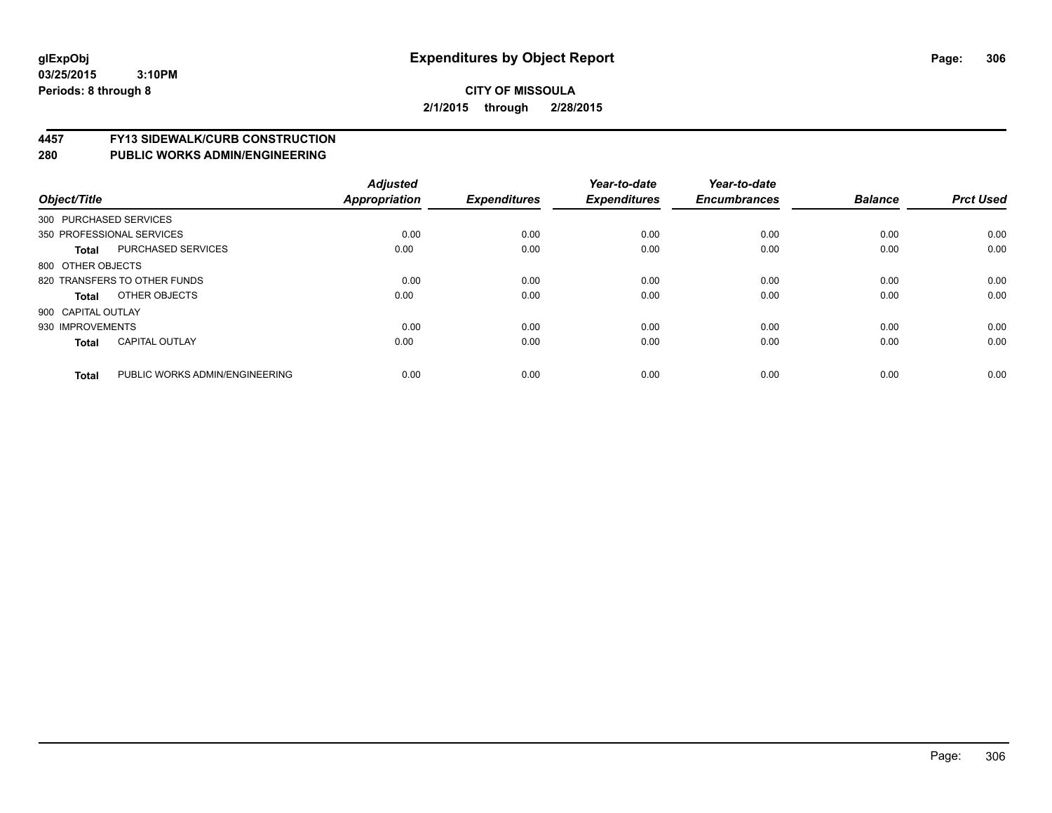# **4457 FY13 SIDEWALK/CURB CONSTRUCTION**

| Object/Title           |                                | <b>Adjusted</b><br><b>Appropriation</b> | <b>Expenditures</b> | Year-to-date<br><b>Expenditures</b> | Year-to-date<br><b>Encumbrances</b> | <b>Balance</b> | <b>Prct Used</b> |
|------------------------|--------------------------------|-----------------------------------------|---------------------|-------------------------------------|-------------------------------------|----------------|------------------|
| 300 PURCHASED SERVICES |                                |                                         |                     |                                     |                                     |                |                  |
|                        | 350 PROFESSIONAL SERVICES      | 0.00                                    | 0.00                | 0.00                                | 0.00                                | 0.00           | 0.00             |
| <b>Total</b>           | <b>PURCHASED SERVICES</b>      | 0.00                                    | 0.00                | 0.00                                | 0.00                                | 0.00           | 0.00             |
| 800 OTHER OBJECTS      |                                |                                         |                     |                                     |                                     |                |                  |
|                        | 820 TRANSFERS TO OTHER FUNDS   | 0.00                                    | 0.00                | 0.00                                | 0.00                                | 0.00           | 0.00             |
| Total                  | OTHER OBJECTS                  | 0.00                                    | 0.00                | 0.00                                | 0.00                                | 0.00           | 0.00             |
| 900 CAPITAL OUTLAY     |                                |                                         |                     |                                     |                                     |                |                  |
| 930 IMPROVEMENTS       |                                | 0.00                                    | 0.00                | 0.00                                | 0.00                                | 0.00           | 0.00             |
| Total                  | <b>CAPITAL OUTLAY</b>          | 0.00                                    | 0.00                | 0.00                                | 0.00                                | 0.00           | 0.00             |
| <b>Total</b>           | PUBLIC WORKS ADMIN/ENGINEERING | 0.00                                    | 0.00                | 0.00                                | 0.00                                | 0.00           | 0.00             |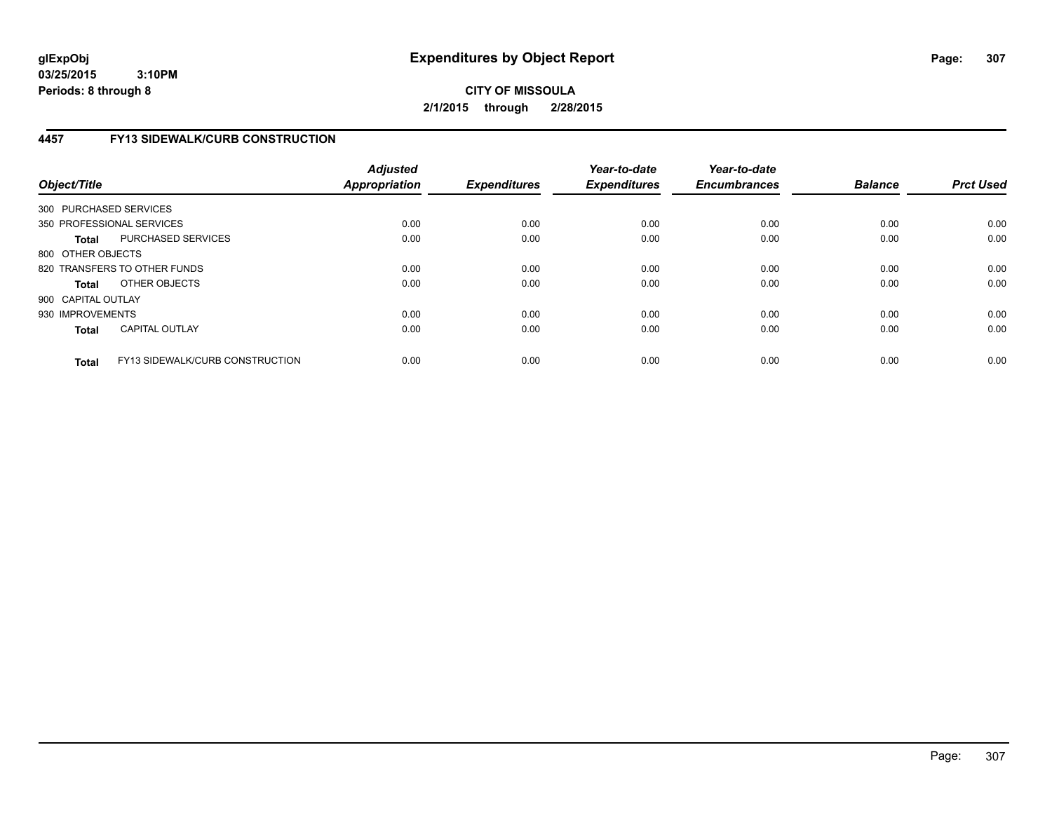# **CITY OF MISSOULA 2/1/2015 through 2/28/2015**

# **4457 FY13 SIDEWALK/CURB CONSTRUCTION**

| Object/Title           |                                        | <b>Adjusted</b><br><b>Appropriation</b> | <b>Expenditures</b> | Year-to-date<br><b>Expenditures</b> | Year-to-date<br><b>Encumbrances</b> | <b>Balance</b> | <b>Prct Used</b> |
|------------------------|----------------------------------------|-----------------------------------------|---------------------|-------------------------------------|-------------------------------------|----------------|------------------|
| 300 PURCHASED SERVICES |                                        |                                         |                     |                                     |                                     |                |                  |
|                        | 350 PROFESSIONAL SERVICES              | 0.00                                    | 0.00                | 0.00                                | 0.00                                | 0.00           | 0.00             |
| Total                  | PURCHASED SERVICES                     | 0.00                                    | 0.00                | 0.00                                | 0.00                                | 0.00           | 0.00             |
| 800 OTHER OBJECTS      |                                        |                                         |                     |                                     |                                     |                |                  |
|                        | 820 TRANSFERS TO OTHER FUNDS           | 0.00                                    | 0.00                | 0.00                                | 0.00                                | 0.00           | 0.00             |
| Total                  | OTHER OBJECTS                          | 0.00                                    | 0.00                | 0.00                                | 0.00                                | 0.00           | 0.00             |
| 900 CAPITAL OUTLAY     |                                        |                                         |                     |                                     |                                     |                |                  |
| 930 IMPROVEMENTS       |                                        | 0.00                                    | 0.00                | 0.00                                | 0.00                                | 0.00           | 0.00             |
| <b>Total</b>           | <b>CAPITAL OUTLAY</b>                  | 0.00                                    | 0.00                | 0.00                                | 0.00                                | 0.00           | 0.00             |
| Total                  | <b>FY13 SIDEWALK/CURB CONSTRUCTION</b> | 0.00                                    | 0.00                | 0.00                                | 0.00                                | 0.00           | 0.00             |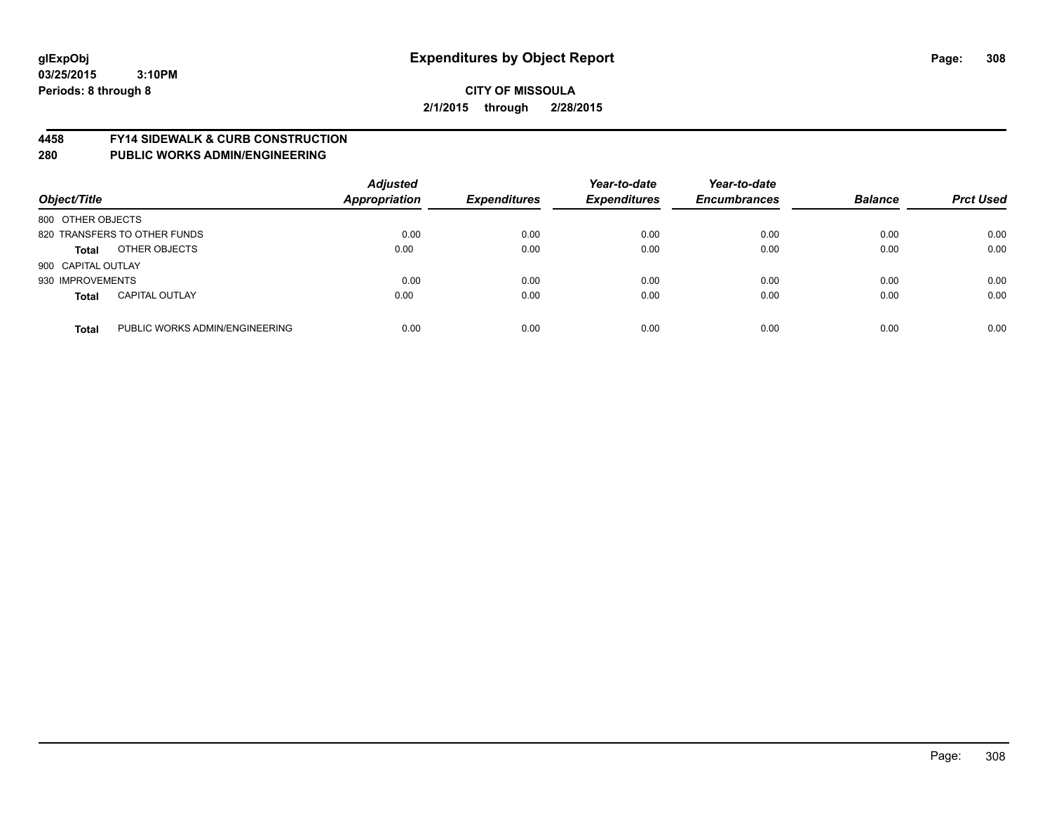# **glExpObj Expenditures by Object Report Page: 308**

**03/25/2015 3:10PM Periods: 8 through 8**

**2/1/2015 through 2/28/2015**

#### **4458 FY14 SIDEWALK & CURB CONSTRUCTION**

| Object/Title       |                                | <b>Adjusted</b><br>Appropriation | <b>Expenditures</b> | Year-to-date<br><b>Expenditures</b> | Year-to-date<br><b>Encumbrances</b> | <b>Balance</b> | <b>Prct Used</b> |
|--------------------|--------------------------------|----------------------------------|---------------------|-------------------------------------|-------------------------------------|----------------|------------------|
| 800 OTHER OBJECTS  |                                |                                  |                     |                                     |                                     |                |                  |
|                    | 820 TRANSFERS TO OTHER FUNDS   | 0.00                             | 0.00                | 0.00                                | 0.00                                | 0.00           | 0.00             |
| <b>Total</b>       | OTHER OBJECTS                  | 0.00                             | 0.00                | 0.00                                | 0.00                                | 0.00           | 0.00             |
| 900 CAPITAL OUTLAY |                                |                                  |                     |                                     |                                     |                |                  |
| 930 IMPROVEMENTS   |                                | 0.00                             | 0.00                | 0.00                                | 0.00                                | 0.00           | 0.00             |
| <b>Total</b>       | <b>CAPITAL OUTLAY</b>          | 0.00                             | 0.00                | 0.00                                | 0.00                                | 0.00           | 0.00             |
| <b>Total</b>       | PUBLIC WORKS ADMIN/ENGINEERING | 0.00                             | 0.00                | 0.00                                | 0.00                                | 0.00           | 0.00             |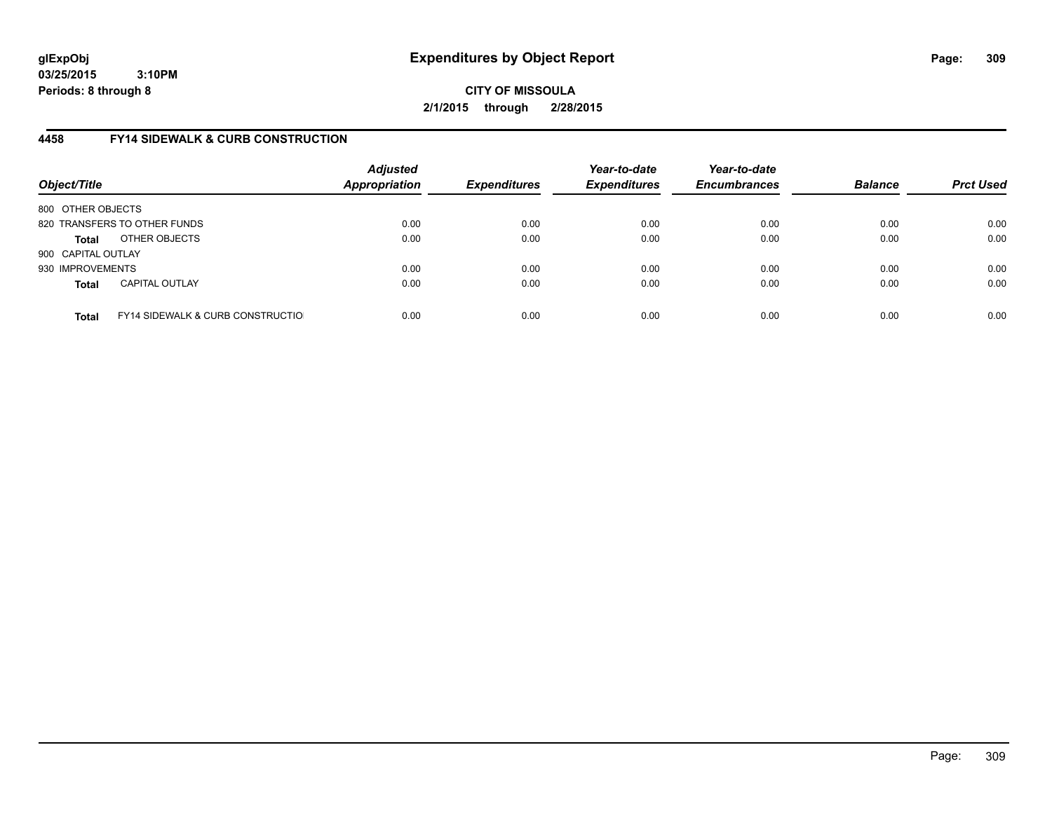**CITY OF MISSOULA 2/1/2015 through 2/28/2015**

# **4458 FY14 SIDEWALK & CURB CONSTRUCTION**

| Object/Title       |                                              | <b>Adjusted</b><br><b>Appropriation</b> | <b>Expenditures</b> | Year-to-date<br><b>Expenditures</b> | Year-to-date<br><b>Encumbrances</b> | <b>Balance</b> | <b>Prct Used</b> |
|--------------------|----------------------------------------------|-----------------------------------------|---------------------|-------------------------------------|-------------------------------------|----------------|------------------|
| 800 OTHER OBJECTS  |                                              |                                         |                     |                                     |                                     |                |                  |
|                    | 820 TRANSFERS TO OTHER FUNDS                 | 0.00                                    | 0.00                | 0.00                                | 0.00                                | 0.00           | 0.00             |
| <b>Total</b>       | OTHER OBJECTS                                | 0.00                                    | 0.00                | 0.00                                | 0.00                                | 0.00           | 0.00             |
| 900 CAPITAL OUTLAY |                                              |                                         |                     |                                     |                                     |                |                  |
| 930 IMPROVEMENTS   |                                              | 0.00                                    | 0.00                | 0.00                                | 0.00                                | 0.00           | 0.00             |
| <b>Total</b>       | <b>CAPITAL OUTLAY</b>                        | 0.00                                    | 0.00                | 0.00                                | 0.00                                | 0.00           | 0.00             |
| <b>Total</b>       | <b>FY14 SIDEWALK &amp; CURB CONSTRUCTIOL</b> | 0.00                                    | 0.00                | 0.00                                | 0.00                                | 0.00           | 0.00             |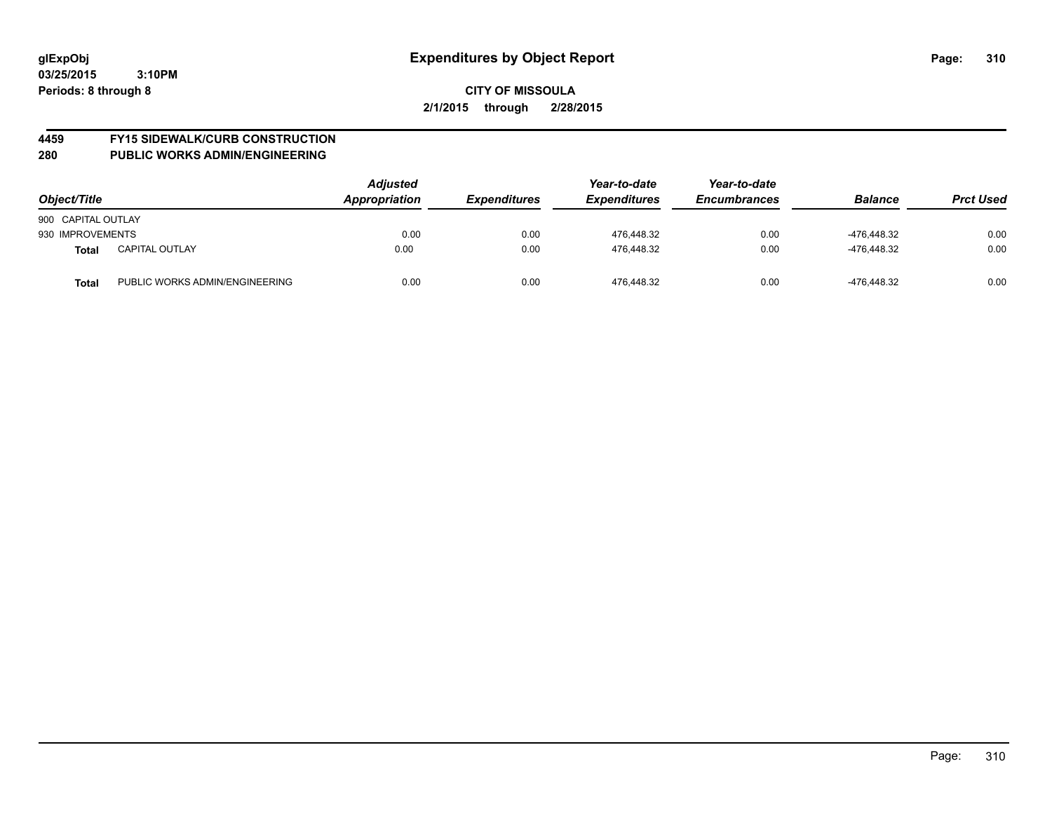# **4459 FY15 SIDEWALK/CURB CONSTRUCTION**

| Object/Title       |                                | <b>Adjusted</b><br>Appropriation | <b>Expenditures</b> | Year-to-date<br><b>Expenditures</b> | Year-to-date<br><b>Encumbrances</b> | <b>Balance</b> | <b>Prct Used</b> |
|--------------------|--------------------------------|----------------------------------|---------------------|-------------------------------------|-------------------------------------|----------------|------------------|
| 900 CAPITAL OUTLAY |                                |                                  |                     |                                     |                                     |                |                  |
| 930 IMPROVEMENTS   |                                | 0.00                             | 0.00                | 476.448.32                          | 0.00                                | -476.448.32    | 0.00             |
| <b>Total</b>       | <b>CAPITAL OUTLAY</b>          | 0.00                             | 0.00                | 476,448.32                          | 0.00                                | -476.448.32    | 0.00             |
| <b>Total</b>       | PUBLIC WORKS ADMIN/ENGINEERING | 0.00                             | 0.00                | 476.448.32                          | 0.00                                | -476.448.32    | 0.00             |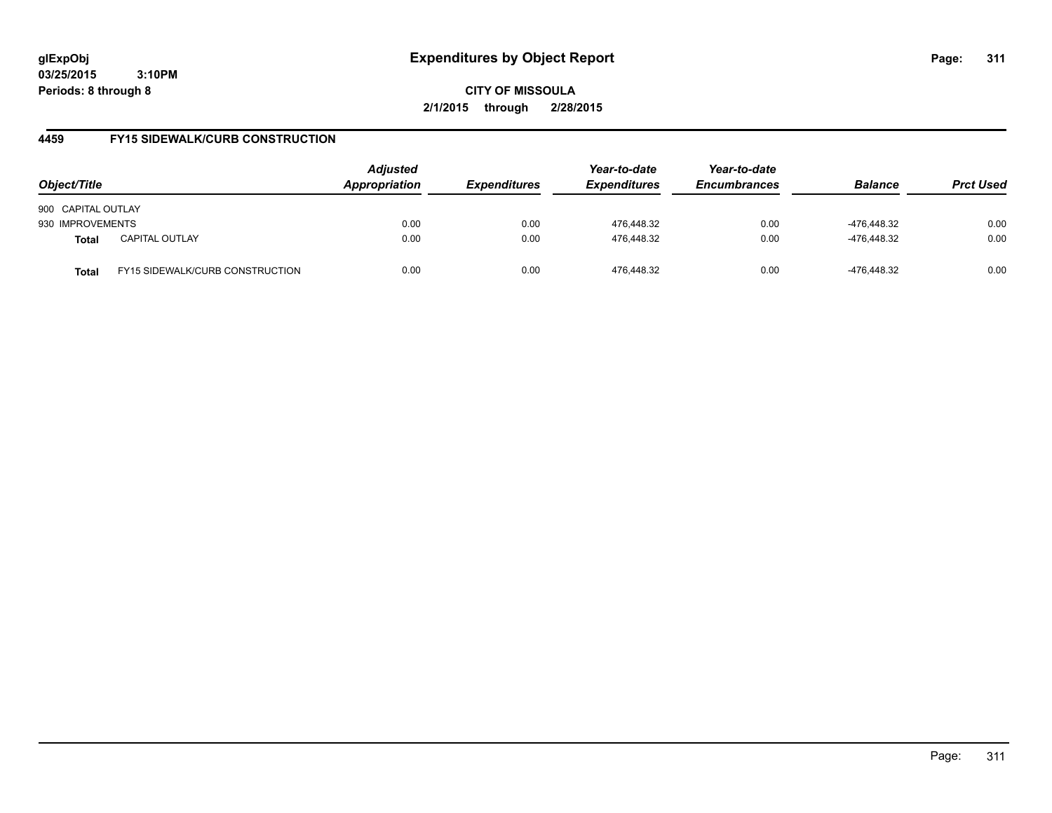# **glExpObj Expenditures by Object Report Page: 311**

**03/25/2015 3:10PM Periods: 8 through 8**

**CITY OF MISSOULA 2/1/2015 through 2/28/2015**

# **4459 FY15 SIDEWALK/CURB CONSTRUCTION**

| Object/Title       |                                        | <b>Adjusted</b><br>Appropriation | <i><b>Expenditures</b></i> | Year-to-date<br><b>Expenditures</b> | Year-to-date<br><b>Encumbrances</b> | <b>Balance</b> | <b>Prct Used</b> |
|--------------------|----------------------------------------|----------------------------------|----------------------------|-------------------------------------|-------------------------------------|----------------|------------------|
| 900 CAPITAL OUTLAY |                                        |                                  |                            |                                     |                                     |                |                  |
| 930 IMPROVEMENTS   |                                        | 0.00                             | 0.00                       | 476.448.32                          | 0.00                                | -476.448.32    | 0.00             |
| <b>Total</b>       | <b>CAPITAL OUTLAY</b>                  | 0.00                             | 0.00                       | 476.448.32                          | 0.00                                | -476.448.32    | 0.00             |
| <b>Total</b>       | <b>FY15 SIDEWALK/CURB CONSTRUCTION</b> | 0.00                             | 0.00                       | 476.448.32                          | 0.00                                | -476.448.32    | 0.00             |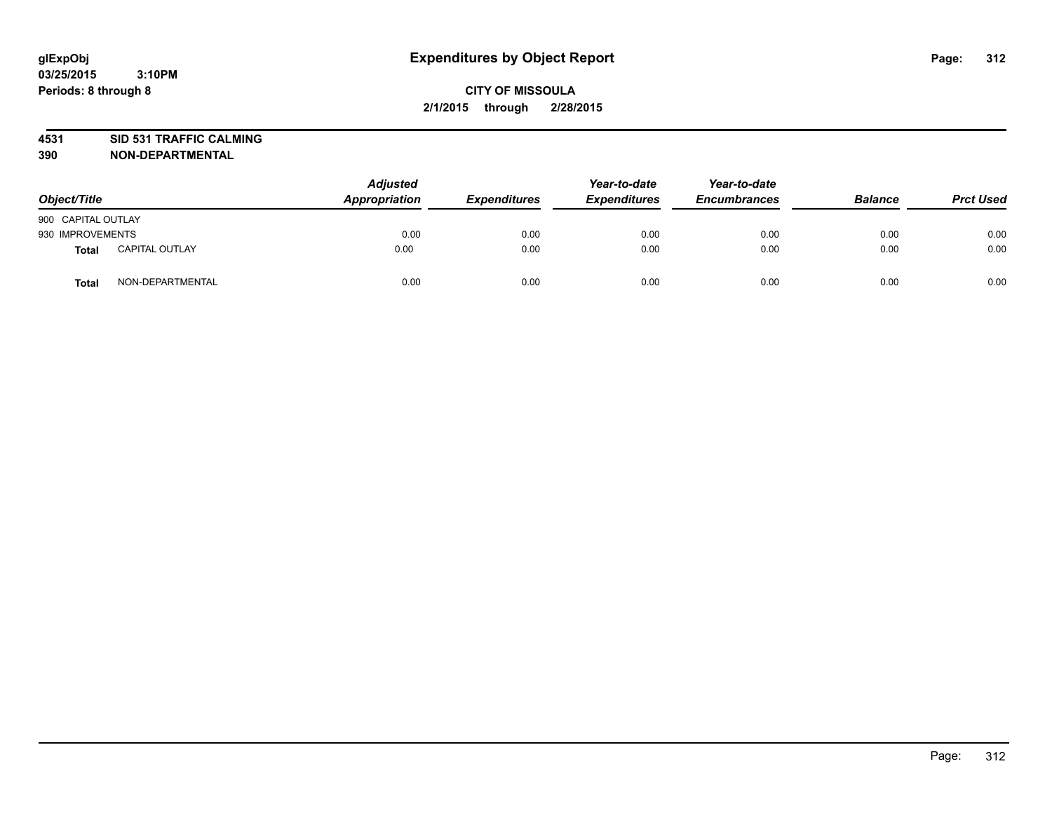# **4531 SID 531 TRAFFIC CALMING**

| Object/Title       |                       | <b>Adjusted</b><br>Appropriation | <b>Expenditures</b> | Year-to-date<br><b>Expenditures</b> | Year-to-date<br><b>Encumbrances</b> | <b>Balance</b> | <b>Prct Used</b> |
|--------------------|-----------------------|----------------------------------|---------------------|-------------------------------------|-------------------------------------|----------------|------------------|
| 900 CAPITAL OUTLAY |                       |                                  |                     |                                     |                                     |                |                  |
| 930 IMPROVEMENTS   |                       | 0.00                             | 0.00                | 0.00                                | 0.00                                | 0.00           | 0.00             |
| Total              | <b>CAPITAL OUTLAY</b> | 0.00                             | 0.00                | 0.00                                | 0.00                                | 0.00           | 0.00             |
| <b>Total</b>       | NON-DEPARTMENTAL      | 0.00                             | 0.00                | 0.00                                | 0.00                                | 0.00           | 0.00             |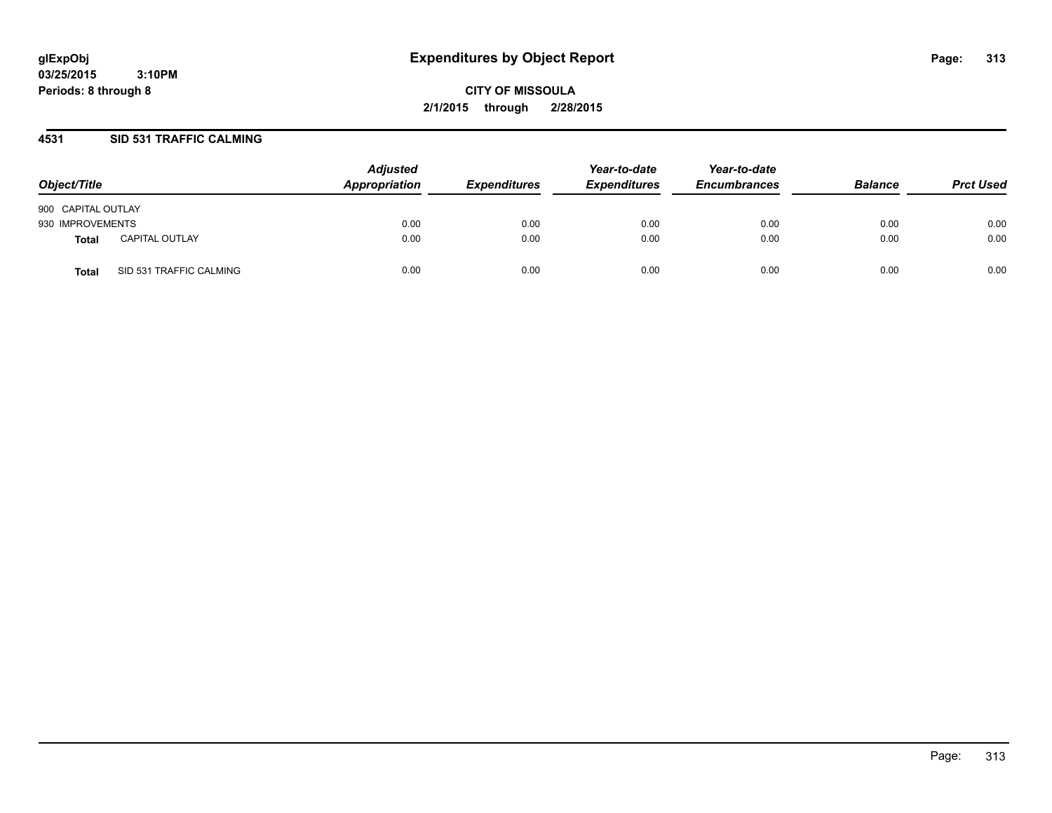**CITY OF MISSOULA 2/1/2015 through 2/28/2015**

# **4531 SID 531 TRAFFIC CALMING**

| Object/Title       |                         | <b>Adjusted</b><br>Appropriation | <b>Expenditures</b> | Year-to-date<br><b>Expenditures</b> | Year-to-date<br><b>Encumbrances</b> | <b>Balance</b> | <b>Prct Used</b> |
|--------------------|-------------------------|----------------------------------|---------------------|-------------------------------------|-------------------------------------|----------------|------------------|
| 900 CAPITAL OUTLAY |                         |                                  |                     |                                     |                                     |                |                  |
| 930 IMPROVEMENTS   |                         | 0.00                             | 0.00                | 0.00                                | 0.00                                | 0.00           | 0.00             |
| <b>Total</b>       | <b>CAPITAL OUTLAY</b>   | 0.00                             | 0.00                | 0.00                                | 0.00                                | 0.00           | 0.00             |
| Total              | SID 531 TRAFFIC CALMING | 0.00                             | 0.00                | 0.00                                | 0.00                                | 0.00           | 0.00             |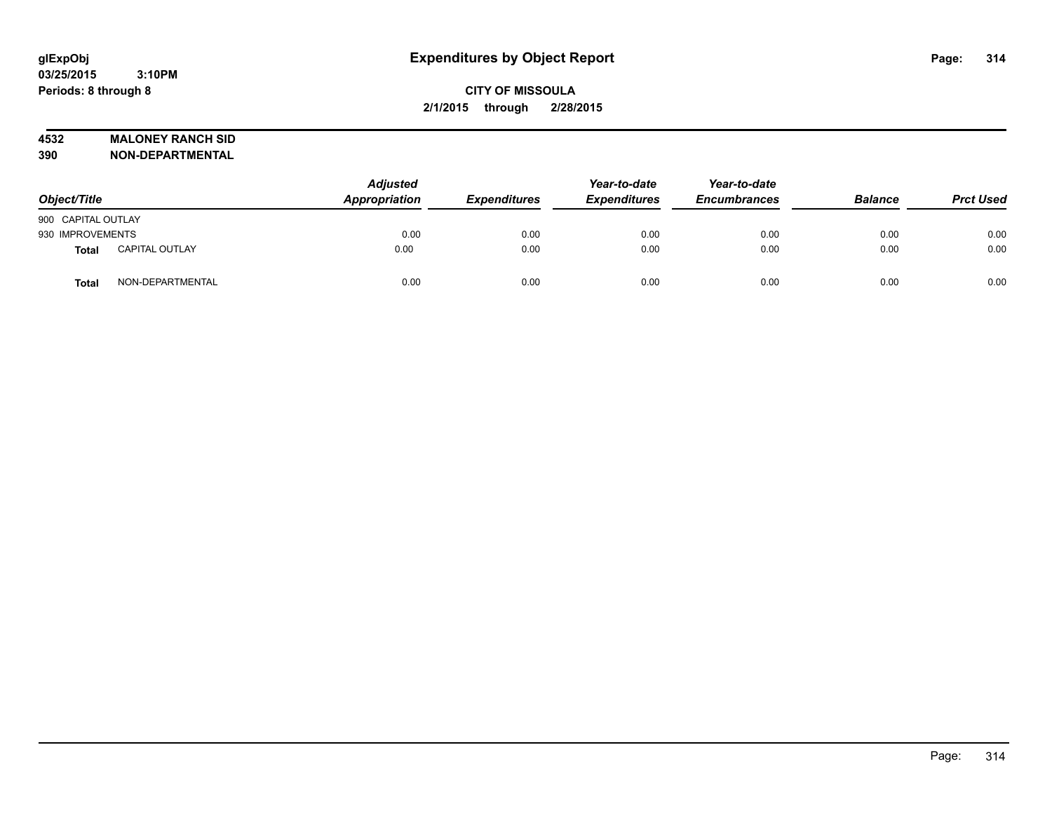# **4532 MALONEY RANCH SID**

| Object/Title       |                       | <b>Adjusted</b><br>Appropriation | <b>Expenditures</b> | Year-to-date<br><b>Expenditures</b> | Year-to-date<br><b>Encumbrances</b> | <b>Balance</b> | <b>Prct Used</b> |
|--------------------|-----------------------|----------------------------------|---------------------|-------------------------------------|-------------------------------------|----------------|------------------|
| 900 CAPITAL OUTLAY |                       |                                  |                     |                                     |                                     |                |                  |
| 930 IMPROVEMENTS   |                       | 0.00                             | 0.00                | 0.00                                | 0.00                                | 0.00           | 0.00             |
| Total              | <b>CAPITAL OUTLAY</b> | 0.00                             | 0.00                | 0.00                                | 0.00                                | 0.00           | 0.00             |
| <b>Total</b>       | NON-DEPARTMENTAL      | 0.00                             | 0.00                | 0.00                                | 0.00                                | 0.00           | 0.00             |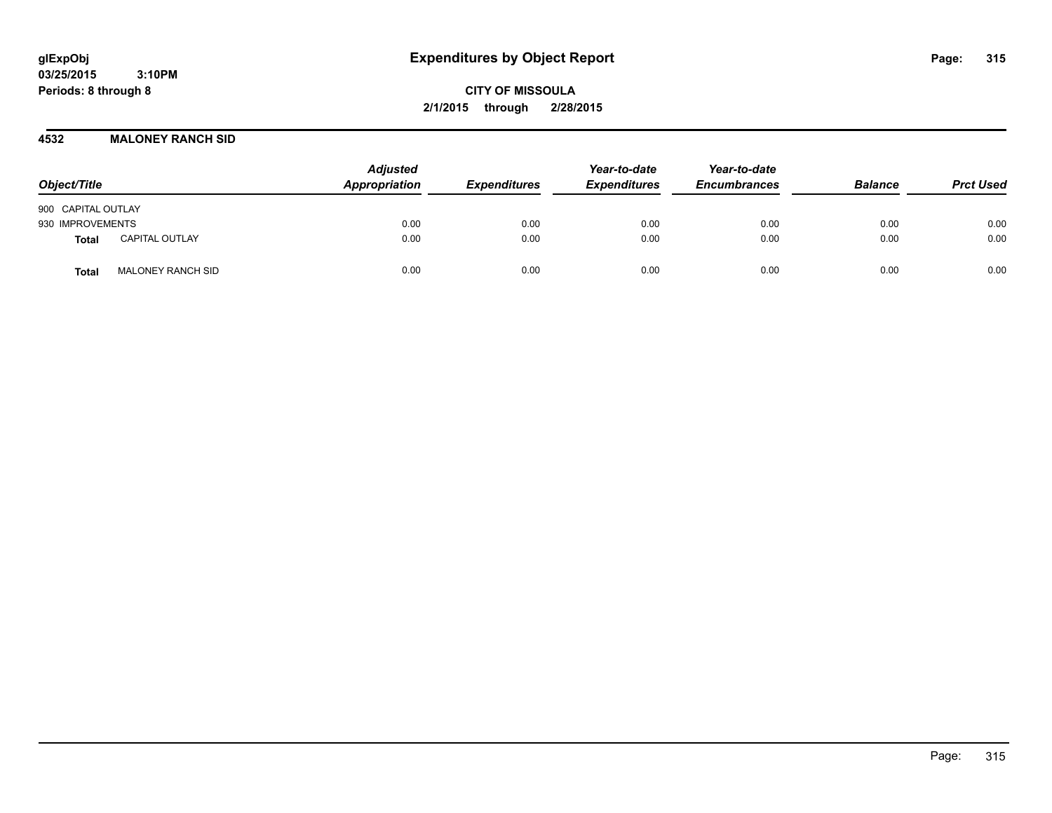**CITY OF MISSOULA 2/1/2015 through 2/28/2015**

## **4532 MALONEY RANCH SID**

| Object/Title                             |  | <b>Adjusted</b><br>Appropriation | <b>Expenditures</b> | Year-to-date<br><b>Expenditures</b> | Year-to-date<br><b>Encumbrances</b> | <b>Balance</b> | <b>Prct Used</b> |
|------------------------------------------|--|----------------------------------|---------------------|-------------------------------------|-------------------------------------|----------------|------------------|
| 900 CAPITAL OUTLAY                       |  |                                  |                     |                                     |                                     |                |                  |
| 930 IMPROVEMENTS                         |  | 0.00                             | 0.00                | 0.00                                | 0.00                                | 0.00           | 0.00             |
| <b>CAPITAL OUTLAY</b><br><b>Total</b>    |  | 0.00                             | 0.00                | 0.00                                | 0.00                                | 0.00           | 0.00             |
| <b>MALONEY RANCH SID</b><br><b>Total</b> |  | 0.00                             | 0.00                | 0.00                                | 0.00                                | 0.00           | 0.00             |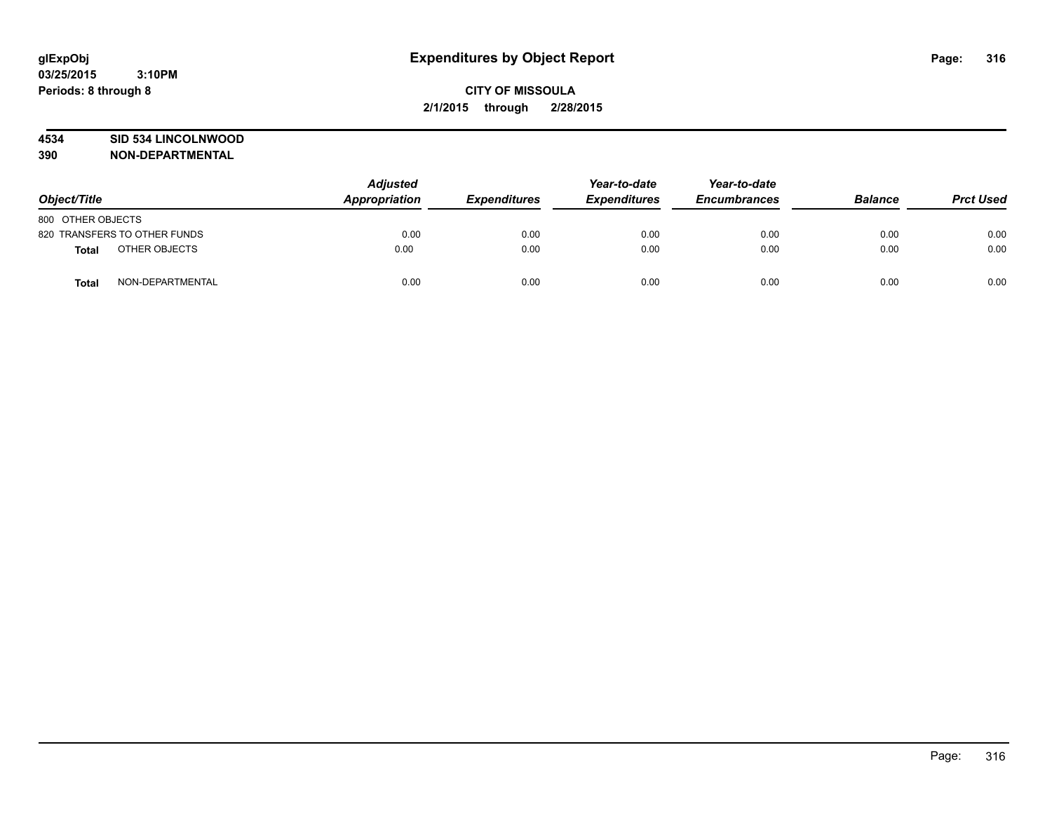# **4534 SID 534 LINCOLNWOOD**

| Object/Title      |                              | <b>Adjusted</b><br>Appropriation | <b>Expenditures</b> | Year-to-date<br><b>Expenditures</b> | Year-to-date<br><b>Encumbrances</b> | <b>Balance</b> | <b>Prct Used</b> |
|-------------------|------------------------------|----------------------------------|---------------------|-------------------------------------|-------------------------------------|----------------|------------------|
| 800 OTHER OBJECTS |                              |                                  |                     |                                     |                                     |                |                  |
|                   | 820 TRANSFERS TO OTHER FUNDS | 0.00                             | 0.00                | 0.00                                | 0.00                                | 0.00           | 0.00             |
| <b>Total</b>      | OTHER OBJECTS                | 0.00                             | 0.00                | 0.00                                | 0.00                                | 0.00           | 0.00             |
| <b>Total</b>      | NON-DEPARTMENTAL             | 0.00                             | 0.00                | 0.00                                | 0.00                                | 0.00           | 0.00             |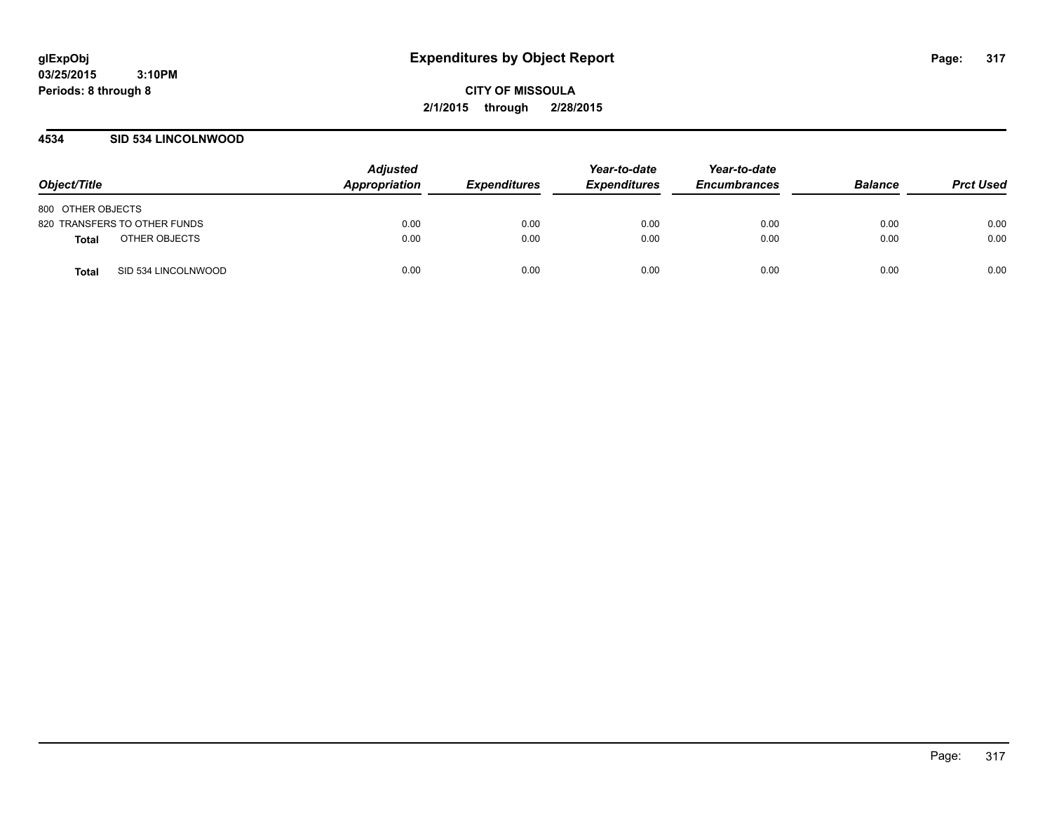# **4534 SID 534 LINCOLNWOOD**

| Object/Title                        | <b>Adjusted</b><br><b>Appropriation</b> | <b>Expenditures</b> | Year-to-date<br><b>Expenditures</b> | Year-to-date<br><b>Encumbrances</b> | <b>Balance</b> | <b>Prct Used</b> |
|-------------------------------------|-----------------------------------------|---------------------|-------------------------------------|-------------------------------------|----------------|------------------|
| 800 OTHER OBJECTS                   |                                         |                     |                                     |                                     |                |                  |
| 820 TRANSFERS TO OTHER FUNDS        | 0.00                                    | 0.00                | 0.00                                | 0.00                                | 0.00           | 0.00             |
| OTHER OBJECTS<br><b>Total</b>       | 0.00                                    | 0.00                | 0.00                                | 0.00                                | 0.00           | 0.00             |
| SID 534 LINCOLNWOOD<br><b>Total</b> | 0.00                                    | 0.00                | 0.00                                | 0.00                                | 0.00           | 0.00             |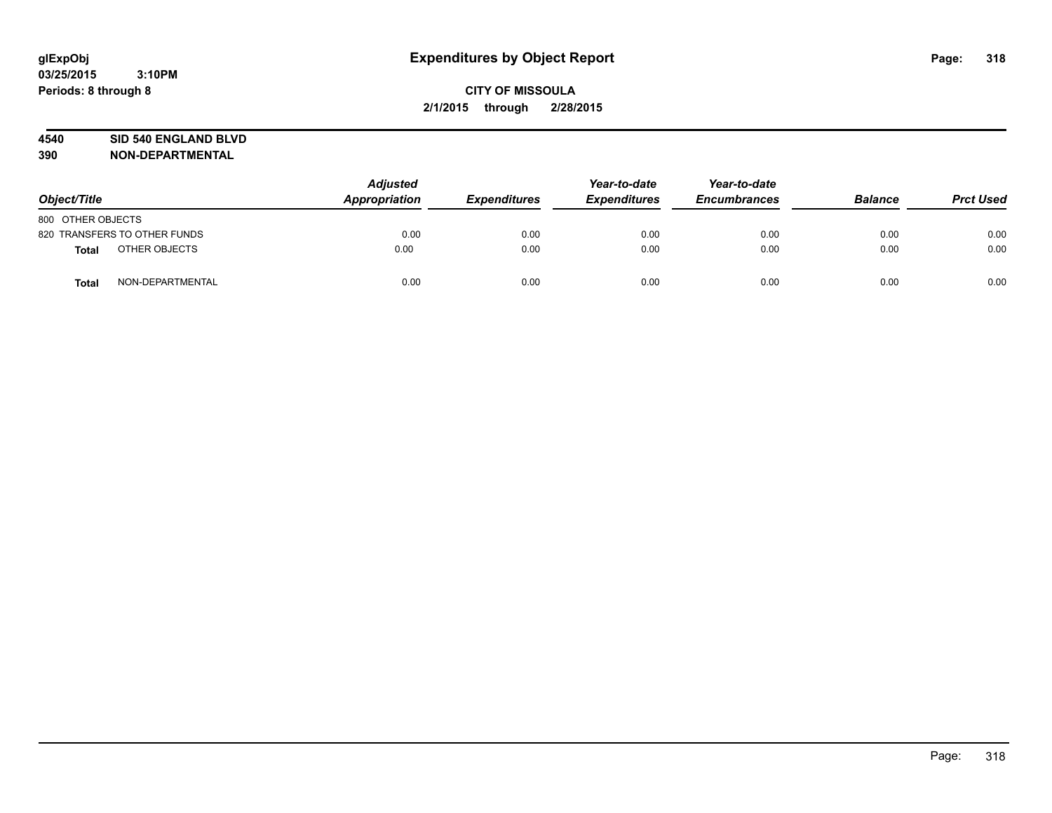## **4540 SID 540 ENGLAND BLVD**

| Object/Title                  | <b>Adjusted</b><br>Appropriation | <b>Expenditures</b> | Year-to-date<br><b>Expenditures</b> | Year-to-date<br><b>Encumbrances</b> | <b>Balance</b> | <b>Prct Used</b> |
|-------------------------------|----------------------------------|---------------------|-------------------------------------|-------------------------------------|----------------|------------------|
| 800 OTHER OBJECTS             |                                  |                     |                                     |                                     |                |                  |
| 820 TRANSFERS TO OTHER FUNDS  | 0.00                             | 0.00                | 0.00                                | 0.00                                | 0.00           | 0.00             |
| OTHER OBJECTS<br><b>Total</b> | 0.00                             | 0.00                | 0.00                                | 0.00                                | 0.00           | 0.00             |
| NON-DEPARTMENTAL<br>Total     | 0.00                             | 0.00                | 0.00                                | 0.00                                | 0.00           | 0.00             |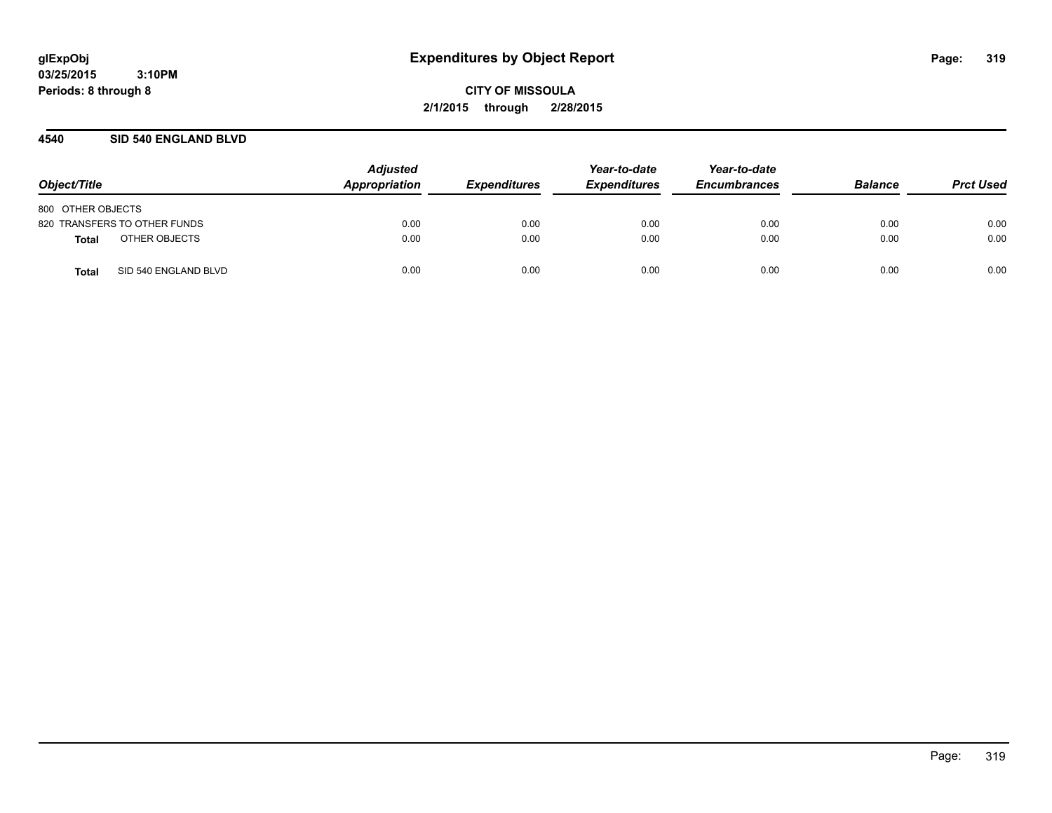**CITY OF MISSOULA 2/1/2015 through 2/28/2015**

# **4540 SID 540 ENGLAND BLVD**

| Object/Title                  | <b>Adjusted</b><br>Appropriation | <b>Expenditures</b> | Year-to-date<br><b>Expenditures</b> | Year-to-date<br><b>Encumbrances</b> | <b>Balance</b> | <b>Prct Used</b> |
|-------------------------------|----------------------------------|---------------------|-------------------------------------|-------------------------------------|----------------|------------------|
| 800 OTHER OBJECTS             |                                  |                     |                                     |                                     |                |                  |
| 820 TRANSFERS TO OTHER FUNDS  | 0.00                             | 0.00                | 0.00                                | 0.00                                | 0.00           | 0.00             |
| OTHER OBJECTS<br>Total        | 0.00                             | 0.00                | 0.00                                | 0.00                                | 0.00           | 0.00             |
| SID 540 ENGLAND BLVD<br>Total | 0.00                             | 0.00                | 0.00                                | 0.00                                | 0.00           | 0.00             |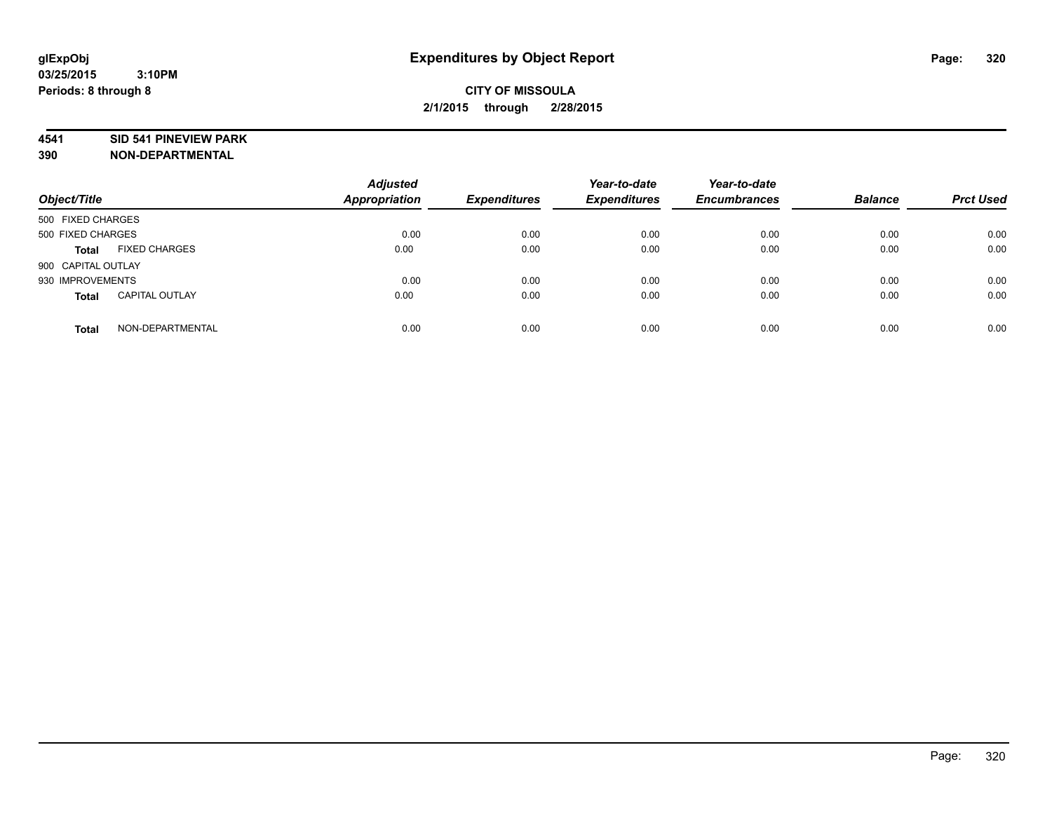## **4541 SID 541 PINEVIEW PARK**

| Object/Title       |                       | <b>Adjusted</b><br><b>Appropriation</b> | <b>Expenditures</b> | Year-to-date<br><b>Expenditures</b> | Year-to-date<br><b>Encumbrances</b> | <b>Balance</b> | <b>Prct Used</b> |
|--------------------|-----------------------|-----------------------------------------|---------------------|-------------------------------------|-------------------------------------|----------------|------------------|
| 500 FIXED CHARGES  |                       |                                         |                     |                                     |                                     |                |                  |
| 500 FIXED CHARGES  |                       | 0.00                                    | 0.00                | 0.00                                | 0.00                                | 0.00           | 0.00             |
| <b>Total</b>       | <b>FIXED CHARGES</b>  | 0.00                                    | 0.00                | 0.00                                | 0.00                                | 0.00           | 0.00             |
| 900 CAPITAL OUTLAY |                       |                                         |                     |                                     |                                     |                |                  |
| 930 IMPROVEMENTS   |                       | 0.00                                    | 0.00                | 0.00                                | 0.00                                | 0.00           | 0.00             |
| <b>Total</b>       | <b>CAPITAL OUTLAY</b> | 0.00                                    | 0.00                | 0.00                                | 0.00                                | 0.00           | 0.00             |
| <b>Total</b>       | NON-DEPARTMENTAL      | 0.00                                    | 0.00                | 0.00                                | 0.00                                | 0.00           | 0.00             |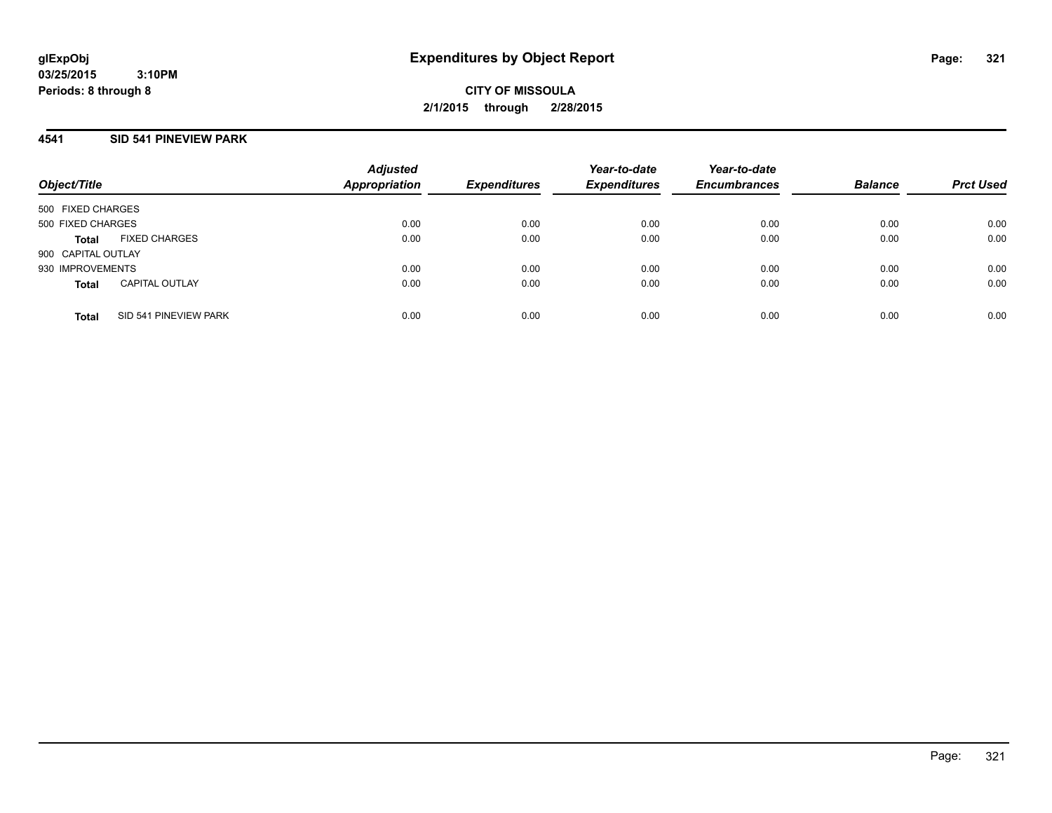**CITY OF MISSOULA 2/1/2015 through 2/28/2015**

## **4541 SID 541 PINEVIEW PARK**

| Object/Title       |                       | <b>Adjusted</b><br><b>Appropriation</b> | <b>Expenditures</b> | Year-to-date<br><b>Expenditures</b> | Year-to-date<br><b>Encumbrances</b> | <b>Balance</b> | <b>Prct Used</b> |
|--------------------|-----------------------|-----------------------------------------|---------------------|-------------------------------------|-------------------------------------|----------------|------------------|
| 500 FIXED CHARGES  |                       |                                         |                     |                                     |                                     |                |                  |
| 500 FIXED CHARGES  |                       | 0.00                                    | 0.00                | 0.00                                | 0.00                                | 0.00           | 0.00             |
| <b>Total</b>       | <b>FIXED CHARGES</b>  | 0.00                                    | 0.00                | 0.00                                | 0.00                                | 0.00           | 0.00             |
| 900 CAPITAL OUTLAY |                       |                                         |                     |                                     |                                     |                |                  |
| 930 IMPROVEMENTS   |                       | 0.00                                    | 0.00                | 0.00                                | 0.00                                | 0.00           | 0.00             |
| <b>Total</b>       | <b>CAPITAL OUTLAY</b> | 0.00                                    | 0.00                | 0.00                                | 0.00                                | 0.00           | 0.00             |
| <b>Total</b>       | SID 541 PINEVIEW PARK | 0.00                                    | 0.00                | 0.00                                | 0.00                                | 0.00           | 0.00             |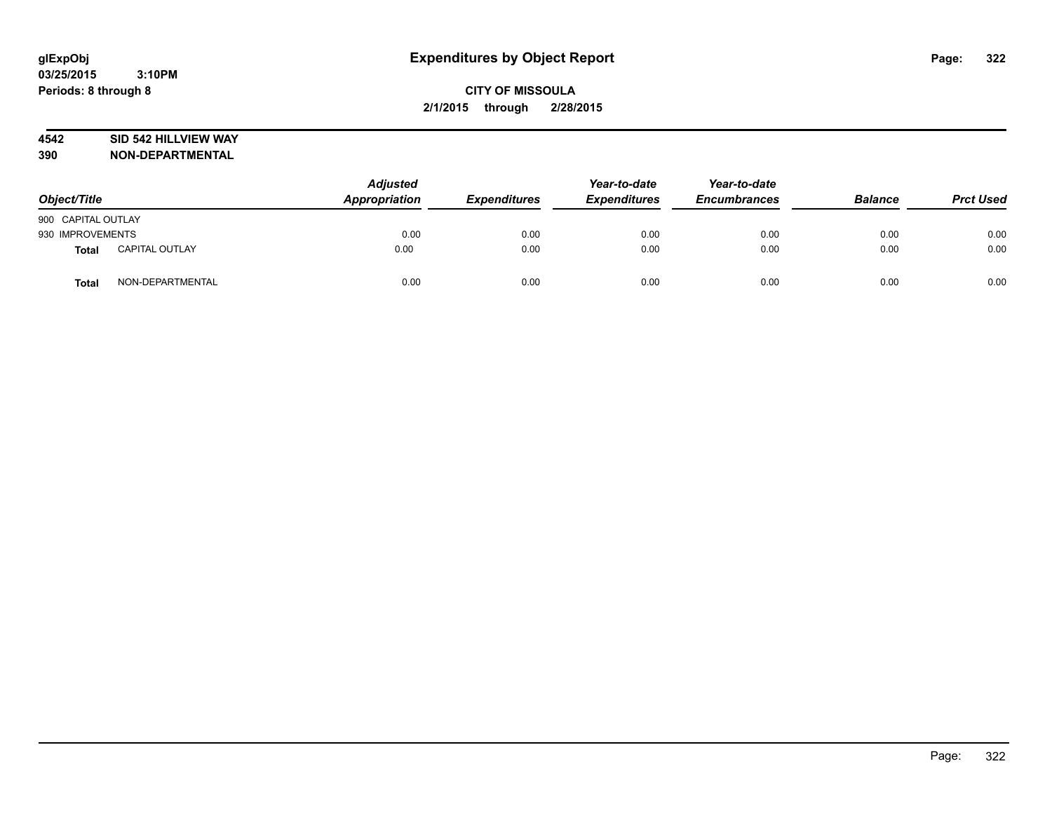# **4542 SID 542 HILLVIEW WAY**

| Object/Title       |                       | <b>Adjusted</b><br>Appropriation | <b>Expenditures</b> | Year-to-date<br><b>Expenditures</b> | Year-to-date<br><b>Encumbrances</b> | <b>Balance</b> | <b>Prct Used</b> |
|--------------------|-----------------------|----------------------------------|---------------------|-------------------------------------|-------------------------------------|----------------|------------------|
| 900 CAPITAL OUTLAY |                       |                                  |                     |                                     |                                     |                |                  |
| 930 IMPROVEMENTS   |                       | 0.00                             | 0.00                | 0.00                                | 0.00                                | 0.00           | 0.00             |
| <b>Total</b>       | <b>CAPITAL OUTLAY</b> | 0.00                             | 0.00                | 0.00                                | 0.00                                | 0.00           | 0.00             |
| <b>Total</b>       | NON-DEPARTMENTAL      | 0.00                             | 0.00                | 0.00                                | 0.00                                | 0.00           | 0.00             |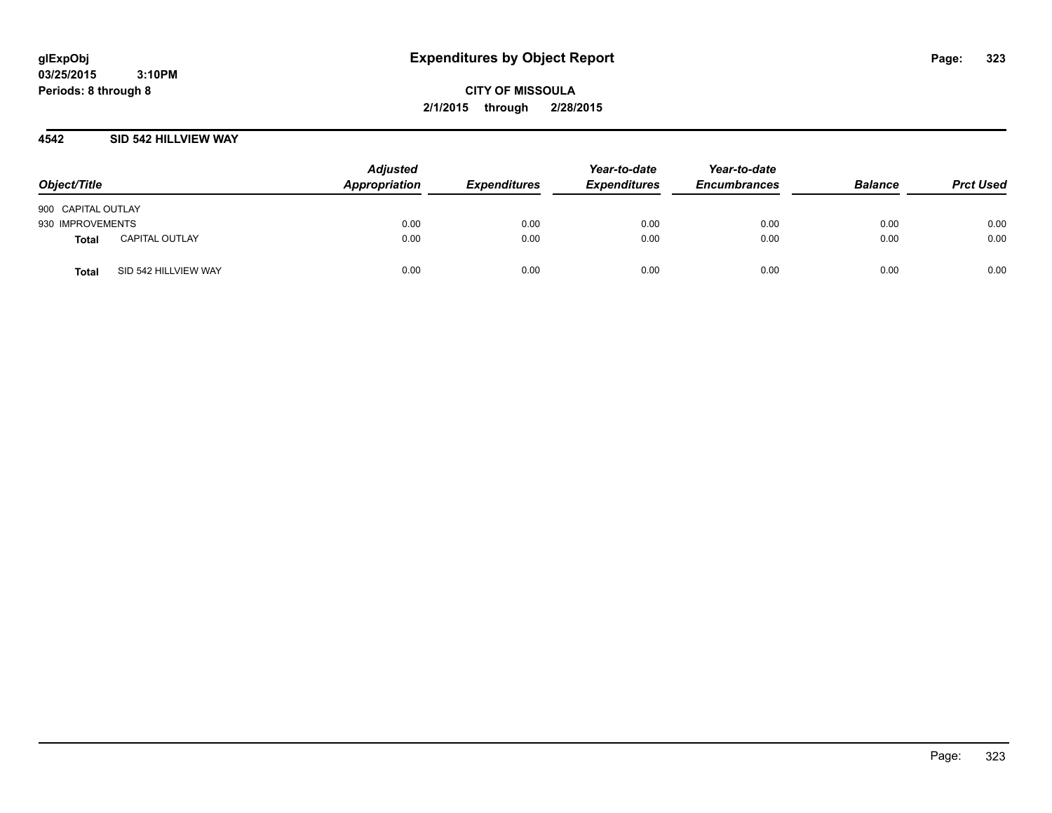**CITY OF MISSOULA 2/1/2015 through 2/28/2015**

## **4542 SID 542 HILLVIEW WAY**

| Object/Title       |                       | <b>Adjusted</b><br>Appropriation | <b>Expenditures</b> | Year-to-date<br><b>Expenditures</b> | Year-to-date<br><b>Encumbrances</b> | <b>Balance</b> | <b>Prct Used</b> |
|--------------------|-----------------------|----------------------------------|---------------------|-------------------------------------|-------------------------------------|----------------|------------------|
| 900 CAPITAL OUTLAY |                       |                                  |                     |                                     |                                     |                |                  |
| 930 IMPROVEMENTS   |                       | 0.00                             | 0.00                | 0.00                                | 0.00                                | 0.00           | 0.00             |
| <b>Total</b>       | <b>CAPITAL OUTLAY</b> | 0.00                             | 0.00                | 0.00                                | 0.00                                | 0.00           | 0.00             |
| <b>Total</b>       | SID 542 HILLVIEW WAY  | 0.00                             | 0.00                | 0.00                                | 0.00                                | 0.00           | 0.00             |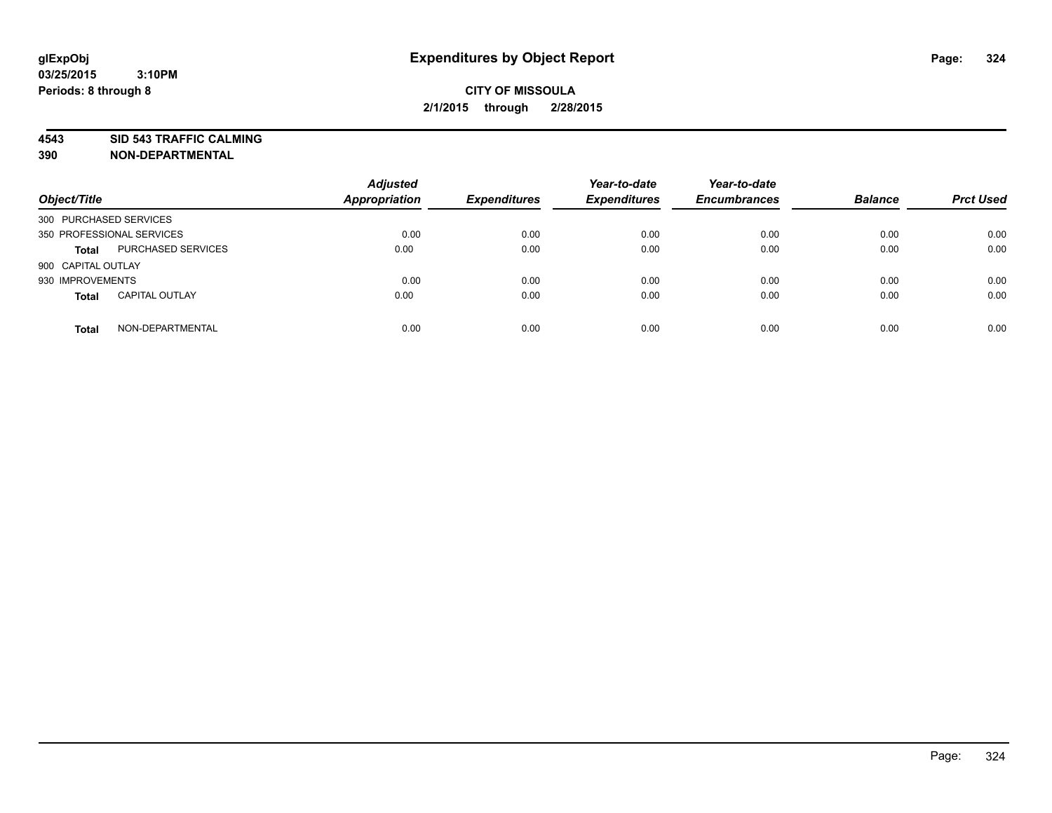**4543 SID 543 TRAFFIC CALMING**

| Object/Title              |                           | <b>Adjusted</b><br><b>Appropriation</b> | <b>Expenditures</b> | Year-to-date<br><b>Expenditures</b> | Year-to-date<br><b>Encumbrances</b> | <b>Balance</b> | <b>Prct Used</b> |
|---------------------------|---------------------------|-----------------------------------------|---------------------|-------------------------------------|-------------------------------------|----------------|------------------|
| 300 PURCHASED SERVICES    |                           |                                         |                     |                                     |                                     |                |                  |
| 350 PROFESSIONAL SERVICES |                           | 0.00                                    | 0.00                | 0.00                                | 0.00                                | 0.00           | 0.00             |
| <b>Total</b>              | <b>PURCHASED SERVICES</b> | 0.00                                    | 0.00                | 0.00                                | 0.00                                | 0.00           | 0.00             |
| 900 CAPITAL OUTLAY        |                           |                                         |                     |                                     |                                     |                |                  |
| 930 IMPROVEMENTS          |                           | 0.00                                    | 0.00                | 0.00                                | 0.00                                | 0.00           | 0.00             |
| <b>Total</b>              | <b>CAPITAL OUTLAY</b>     | 0.00                                    | 0.00                | 0.00                                | 0.00                                | 0.00           | 0.00             |
| <b>Total</b>              | NON-DEPARTMENTAL          | 0.00                                    | 0.00                | 0.00                                | 0.00                                | 0.00           | 0.00             |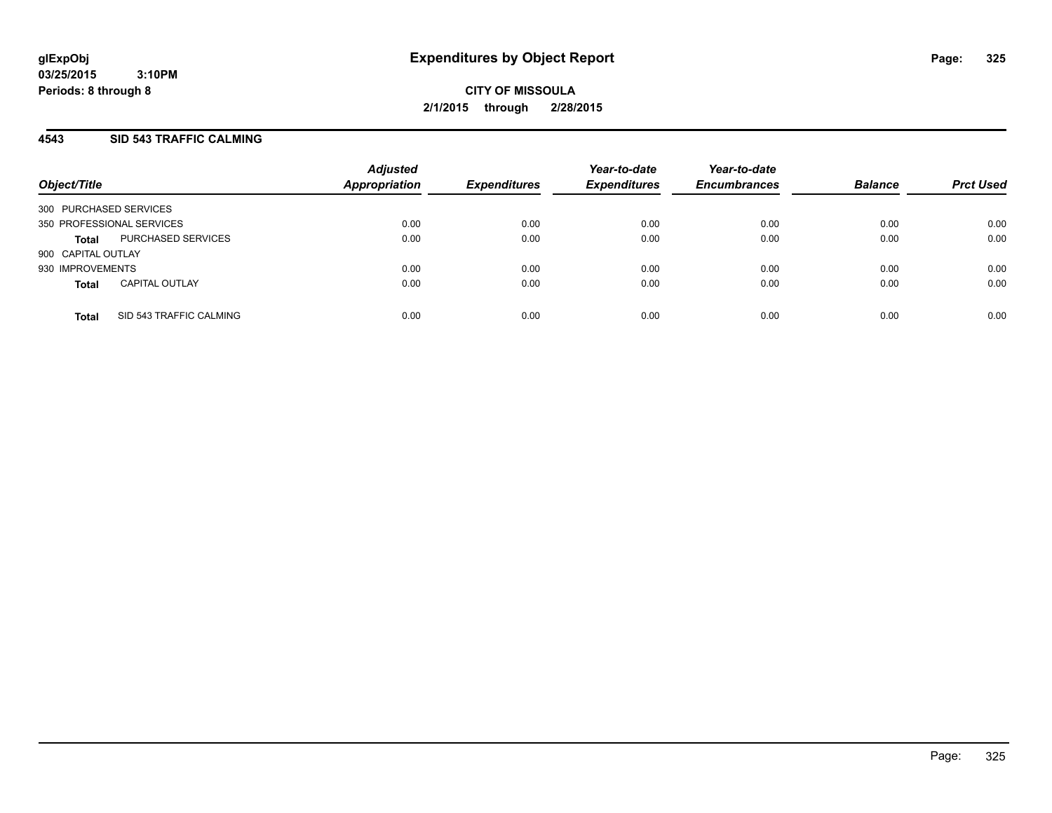## **4543 SID 543 TRAFFIC CALMING**

| Object/Title           |                           | <b>Adjusted</b><br><b>Appropriation</b> | <b>Expenditures</b> | Year-to-date<br><b>Expenditures</b> | Year-to-date<br><b>Encumbrances</b> | <b>Balance</b> | <b>Prct Used</b> |
|------------------------|---------------------------|-----------------------------------------|---------------------|-------------------------------------|-------------------------------------|----------------|------------------|
| 300 PURCHASED SERVICES |                           |                                         |                     |                                     |                                     |                |                  |
|                        | 350 PROFESSIONAL SERVICES | 0.00                                    | 0.00                | 0.00                                | 0.00                                | 0.00           | 0.00             |
| <b>Total</b>           | PURCHASED SERVICES        | 0.00                                    | 0.00                | 0.00                                | 0.00                                | 0.00           | 0.00             |
| 900 CAPITAL OUTLAY     |                           |                                         |                     |                                     |                                     |                |                  |
| 930 IMPROVEMENTS       |                           | 0.00                                    | 0.00                | 0.00                                | 0.00                                | 0.00           | 0.00             |
| <b>Total</b>           | <b>CAPITAL OUTLAY</b>     | 0.00                                    | 0.00                | 0.00                                | 0.00                                | 0.00           | 0.00             |
| <b>Total</b>           | SID 543 TRAFFIC CALMING   | 0.00                                    | 0.00                | 0.00                                | 0.00                                | 0.00           | 0.00             |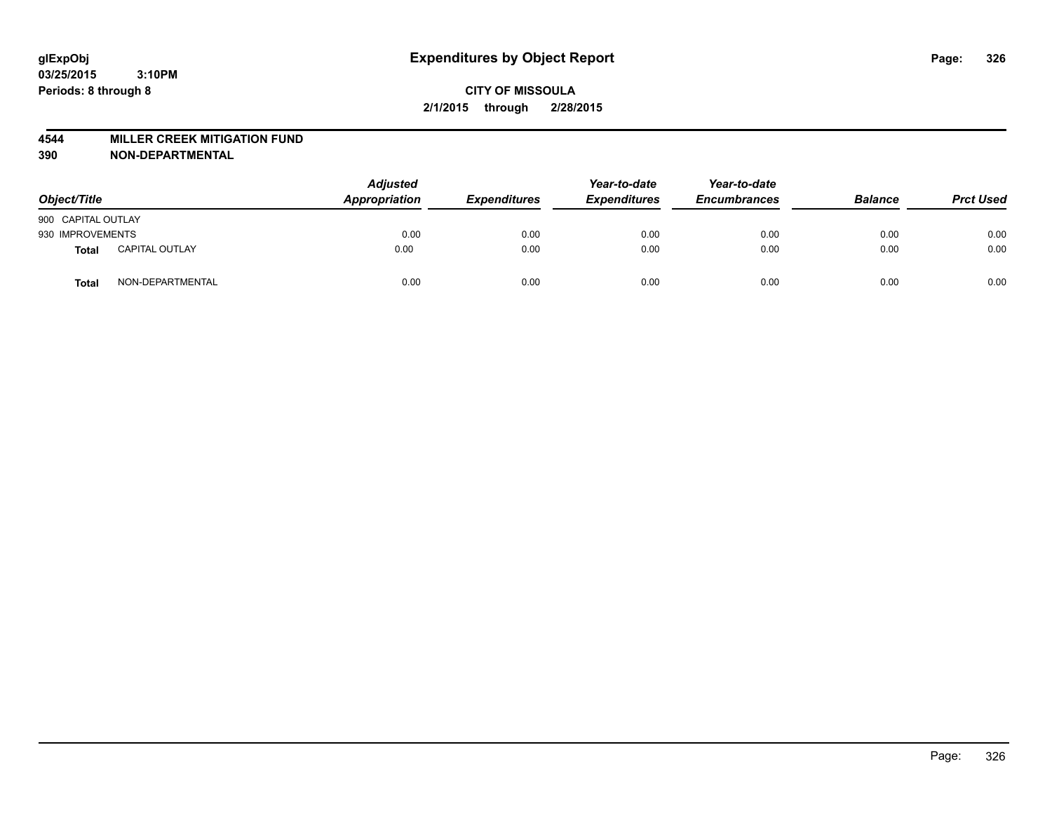#### **4544 MILLER CREEK MITIGATION FUND**

| Object/Title       |                       | <b>Adjusted</b><br>Appropriation | <b>Expenditures</b> | Year-to-date<br><b>Expenditures</b> | Year-to-date<br><b>Encumbrances</b> | <b>Balance</b> | <b>Prct Used</b> |
|--------------------|-----------------------|----------------------------------|---------------------|-------------------------------------|-------------------------------------|----------------|------------------|
| 900 CAPITAL OUTLAY |                       |                                  |                     |                                     |                                     |                |                  |
| 930 IMPROVEMENTS   |                       | 0.00                             | 0.00                | 0.00                                | 0.00                                | 0.00           | 0.00             |
| Total              | <b>CAPITAL OUTLAY</b> | 0.00                             | 0.00                | 0.00                                | 0.00                                | 0.00           | 0.00             |
| Total              | NON-DEPARTMENTAL      | 0.00                             | 0.00                | 0.00                                | 0.00                                | 0.00           | 0.00             |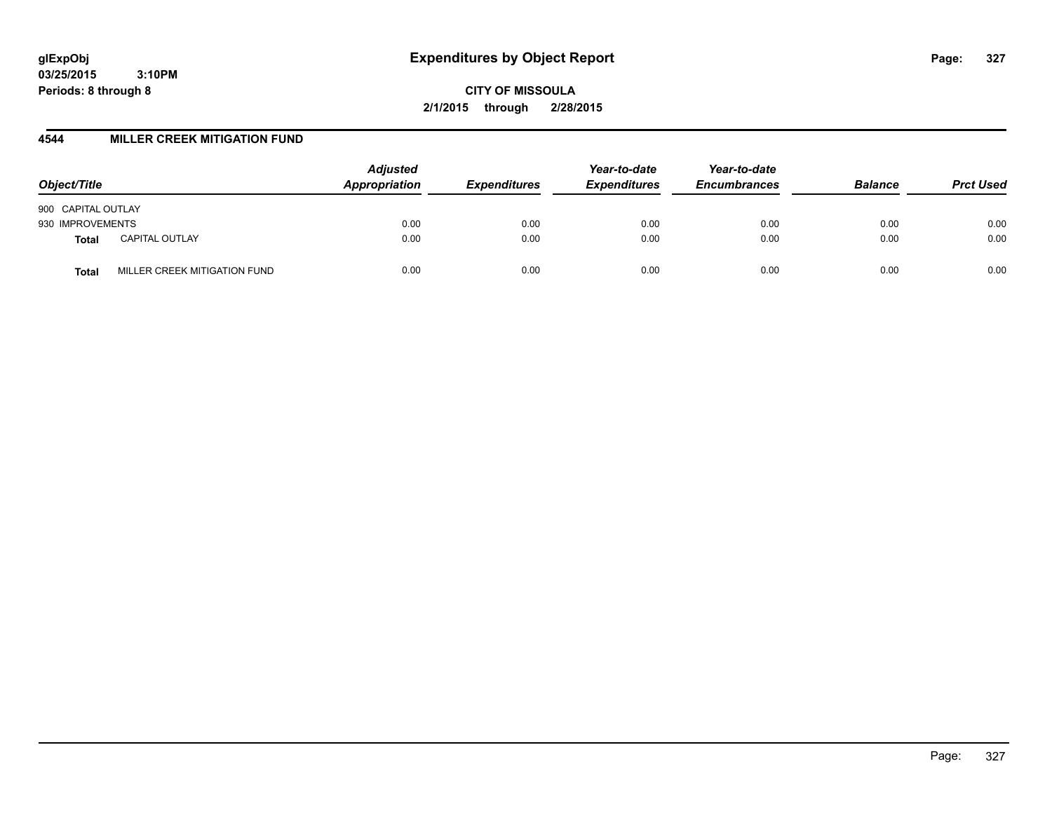**CITY OF MISSOULA 2/1/2015 through 2/28/2015**

## **4544 MILLER CREEK MITIGATION FUND**

| Object/Title                          | <b>Adjusted</b><br>Appropriation | <b>Expenditures</b> | Year-to-date<br><b>Expenditures</b> | Year-to-date<br><b>Encumbrances</b> | <b>Balance</b> | <b>Prct Used</b> |
|---------------------------------------|----------------------------------|---------------------|-------------------------------------|-------------------------------------|----------------|------------------|
| 900 CAPITAL OUTLAY                    |                                  |                     |                                     |                                     |                |                  |
| 930 IMPROVEMENTS                      | 0.00                             | 0.00                | 0.00                                | 0.00                                | 0.00           | 0.00             |
| <b>CAPITAL OUTLAY</b><br><b>Total</b> | 0.00                             | 0.00                | 0.00                                | 0.00                                | 0.00           | 0.00             |
| MILLER CREEK MITIGATION FUND<br>Total | 0.00                             | 0.00                | 0.00                                | 0.00                                | 0.00           | 0.00             |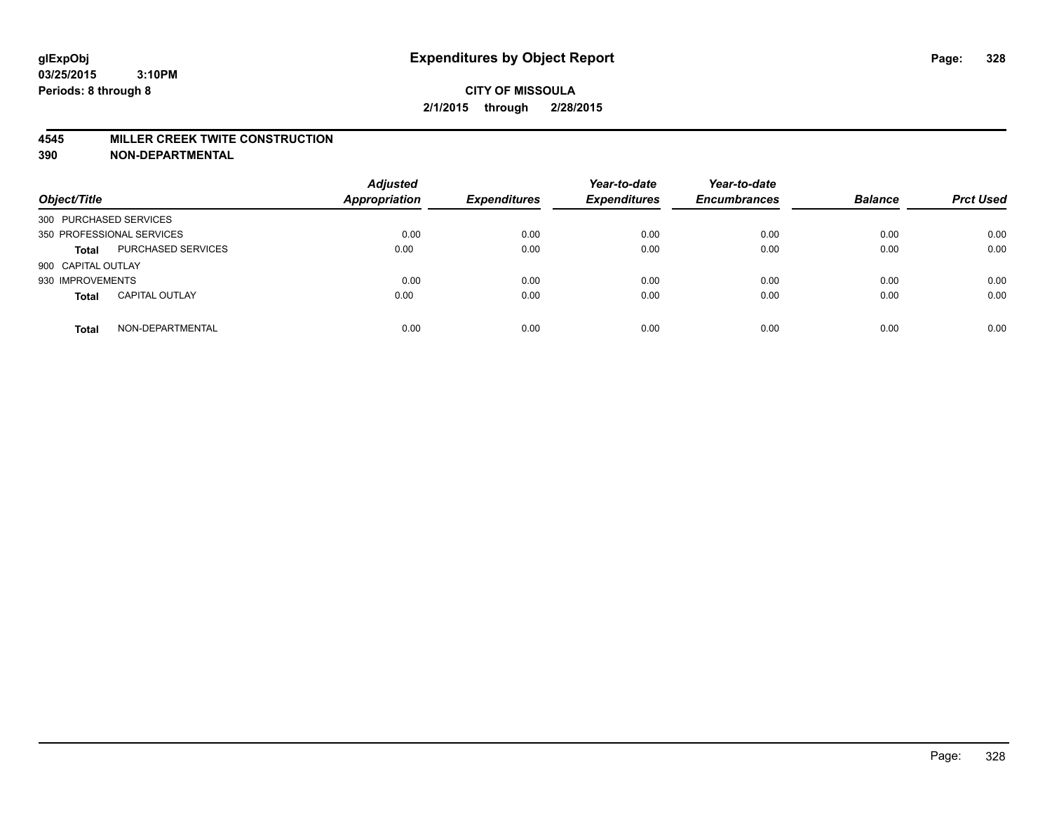#### **4545 MILLER CREEK TWITE CONSTRUCTION**

| Object/Title           |                           | <b>Adjusted</b><br><b>Appropriation</b> | <b>Expenditures</b> | Year-to-date<br><b>Expenditures</b> | Year-to-date<br><b>Encumbrances</b> | <b>Balance</b> | <b>Prct Used</b> |
|------------------------|---------------------------|-----------------------------------------|---------------------|-------------------------------------|-------------------------------------|----------------|------------------|
| 300 PURCHASED SERVICES |                           |                                         |                     |                                     |                                     |                |                  |
|                        | 350 PROFESSIONAL SERVICES | 0.00                                    | 0.00                | 0.00                                | 0.00                                | 0.00           | 0.00             |
| <b>Total</b>           | PURCHASED SERVICES        | 0.00                                    | 0.00                | 0.00                                | 0.00                                | 0.00           | 0.00             |
| 900 CAPITAL OUTLAY     |                           |                                         |                     |                                     |                                     |                |                  |
| 930 IMPROVEMENTS       |                           | 0.00                                    | 0.00                | 0.00                                | 0.00                                | 0.00           | 0.00             |
| <b>Total</b>           | <b>CAPITAL OUTLAY</b>     | 0.00                                    | 0.00                | 0.00                                | 0.00                                | 0.00           | 0.00             |
| <b>Total</b>           | NON-DEPARTMENTAL          | 0.00                                    | 0.00                | 0.00                                | 0.00                                | 0.00           | 0.00             |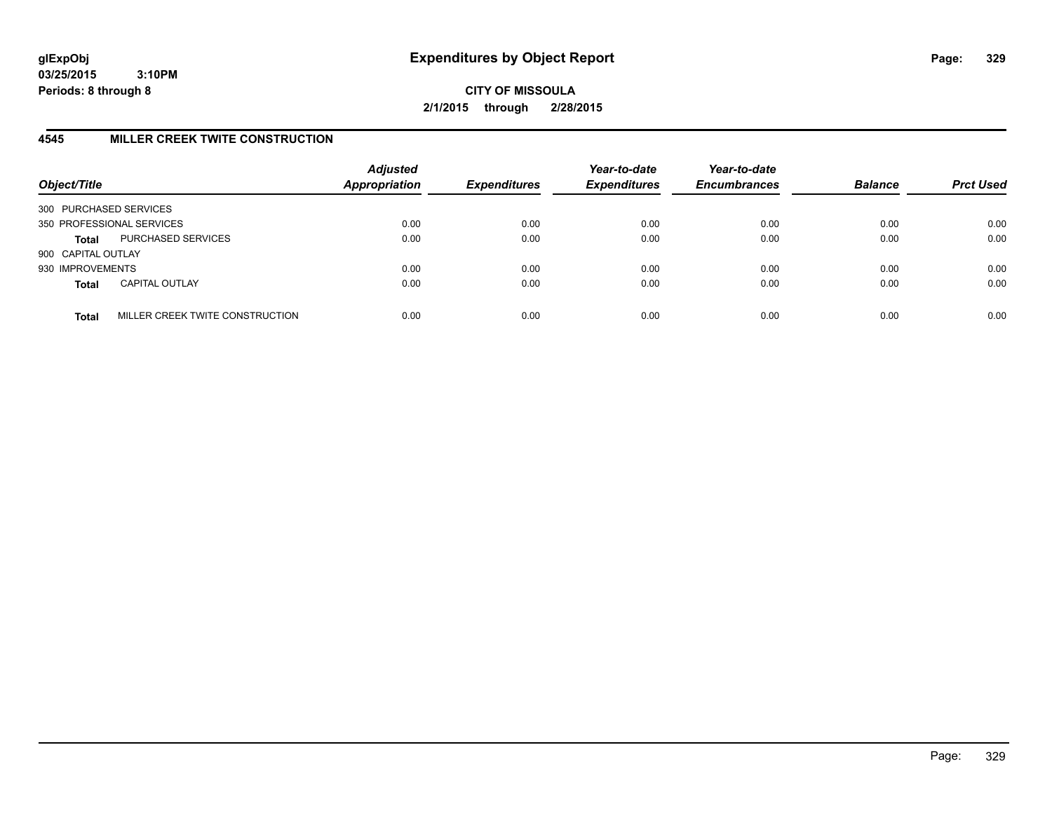**CITY OF MISSOULA 2/1/2015 through 2/28/2015**

# **4545 MILLER CREEK TWITE CONSTRUCTION**

| Object/Title           |                                 | <b>Adjusted</b><br><b>Appropriation</b> | <b>Expenditures</b> | Year-to-date<br><b>Expenditures</b> | Year-to-date<br><b>Encumbrances</b> | <b>Balance</b> | <b>Prct Used</b> |
|------------------------|---------------------------------|-----------------------------------------|---------------------|-------------------------------------|-------------------------------------|----------------|------------------|
| 300 PURCHASED SERVICES |                                 |                                         |                     |                                     |                                     |                |                  |
|                        | 350 PROFESSIONAL SERVICES       | 0.00                                    | 0.00                | 0.00                                | 0.00                                | 0.00           | 0.00             |
| <b>Total</b>           | PURCHASED SERVICES              | 0.00                                    | 0.00                | 0.00                                | 0.00                                | 0.00           | 0.00             |
| 900 CAPITAL OUTLAY     |                                 |                                         |                     |                                     |                                     |                |                  |
| 930 IMPROVEMENTS       |                                 | 0.00                                    | 0.00                | 0.00                                | 0.00                                | 0.00           | 0.00             |
| <b>Total</b>           | <b>CAPITAL OUTLAY</b>           | 0.00                                    | 0.00                | 0.00                                | 0.00                                | 0.00           | 0.00             |
| <b>Total</b>           | MILLER CREEK TWITE CONSTRUCTION | 0.00                                    | 0.00                | 0.00                                | 0.00                                | 0.00           | 0.00             |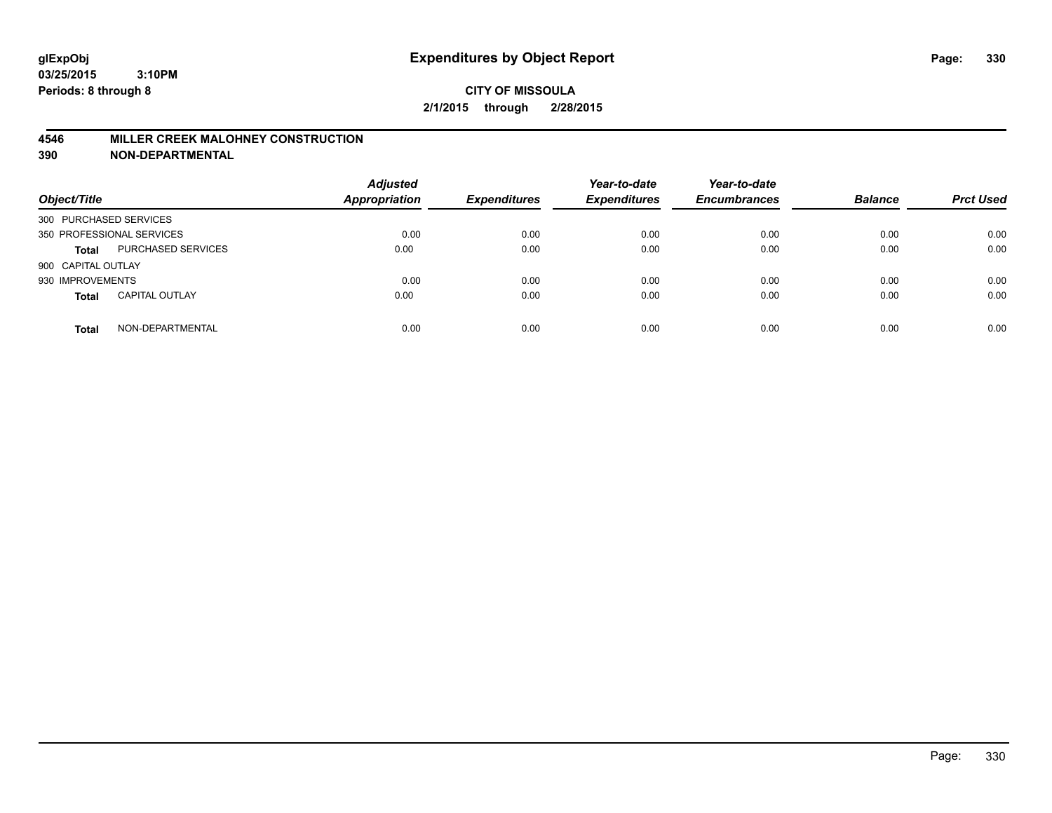#### **4546 MILLER CREEK MALOHNEY CONSTRUCTION**

| Object/Title       |                           | <b>Adjusted</b><br>Appropriation | <b>Expenditures</b> | Year-to-date<br><b>Expenditures</b> | Year-to-date<br><b>Encumbrances</b> | <b>Balance</b> | <b>Prct Used</b> |
|--------------------|---------------------------|----------------------------------|---------------------|-------------------------------------|-------------------------------------|----------------|------------------|
|                    | 300 PURCHASED SERVICES    |                                  |                     |                                     |                                     |                |                  |
|                    | 350 PROFESSIONAL SERVICES | 0.00                             | 0.00                | 0.00                                | 0.00                                | 0.00           | 0.00             |
| <b>Total</b>       | <b>PURCHASED SERVICES</b> | 0.00                             | 0.00                | 0.00                                | 0.00                                | 0.00           | 0.00             |
| 900 CAPITAL OUTLAY |                           |                                  |                     |                                     |                                     |                |                  |
| 930 IMPROVEMENTS   |                           | 0.00                             | 0.00                | 0.00                                | 0.00                                | 0.00           | 0.00             |
| <b>Total</b>       | <b>CAPITAL OUTLAY</b>     | 0.00                             | 0.00                | 0.00                                | 0.00                                | 0.00           | 0.00             |
| <b>Total</b>       | NON-DEPARTMENTAL          | 0.00                             | 0.00                | 0.00                                | 0.00                                | 0.00           | 0.00             |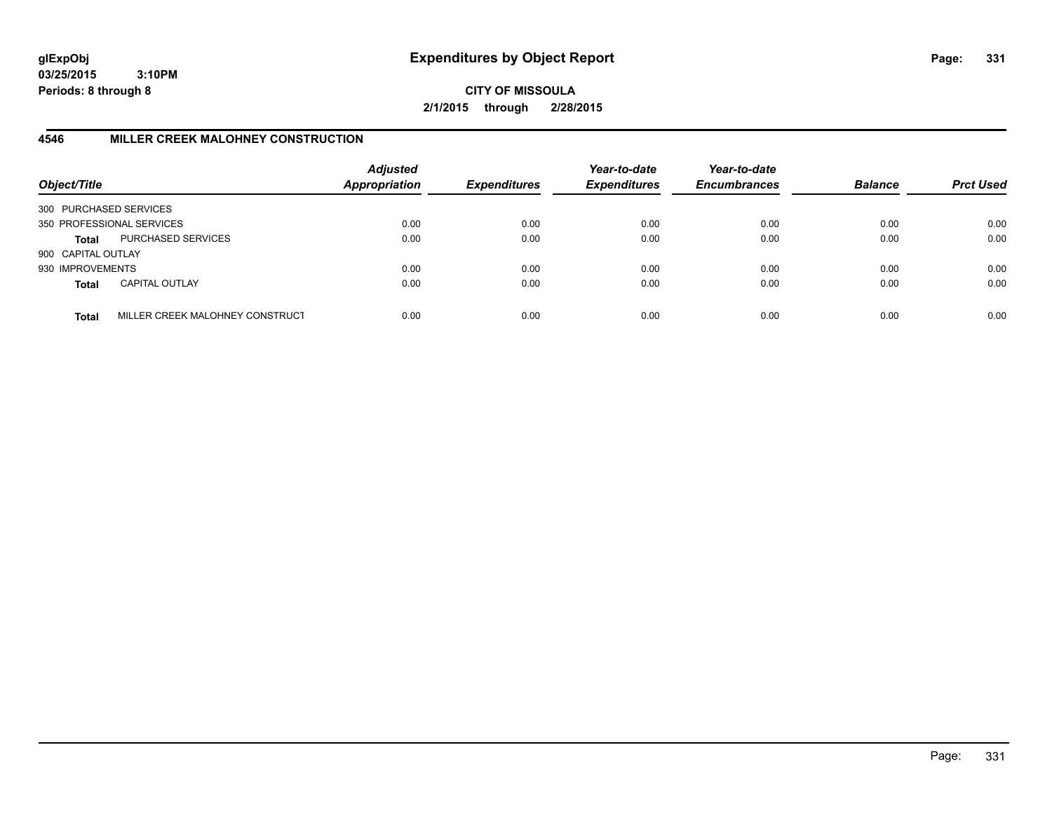**CITY OF MISSOULA 2/1/2015 through 2/28/2015**

# **4546 MILLER CREEK MALOHNEY CONSTRUCTION**

| Object/Title           |                                 | <b>Adjusted</b><br><b>Appropriation</b> | <b>Expenditures</b> | Year-to-date<br><b>Expenditures</b> | Year-to-date<br><b>Encumbrances</b> | <b>Balance</b> | <b>Prct Used</b> |
|------------------------|---------------------------------|-----------------------------------------|---------------------|-------------------------------------|-------------------------------------|----------------|------------------|
| 300 PURCHASED SERVICES |                                 |                                         |                     |                                     |                                     |                |                  |
|                        | 350 PROFESSIONAL SERVICES       | 0.00                                    | 0.00                | 0.00                                | 0.00                                | 0.00           | 0.00             |
| Total                  | PURCHASED SERVICES              | 0.00                                    | 0.00                | 0.00                                | 0.00                                | 0.00           | 0.00             |
| 900 CAPITAL OUTLAY     |                                 |                                         |                     |                                     |                                     |                |                  |
| 930 IMPROVEMENTS       |                                 | 0.00                                    | 0.00                | 0.00                                | 0.00                                | 0.00           | 0.00             |
| <b>Total</b>           | <b>CAPITAL OUTLAY</b>           | 0.00                                    | 0.00                | 0.00                                | 0.00                                | 0.00           | 0.00             |
| <b>Total</b>           | MILLER CREEK MALOHNEY CONSTRUCT | 0.00                                    | 0.00                | 0.00                                | 0.00                                | 0.00           | 0.00             |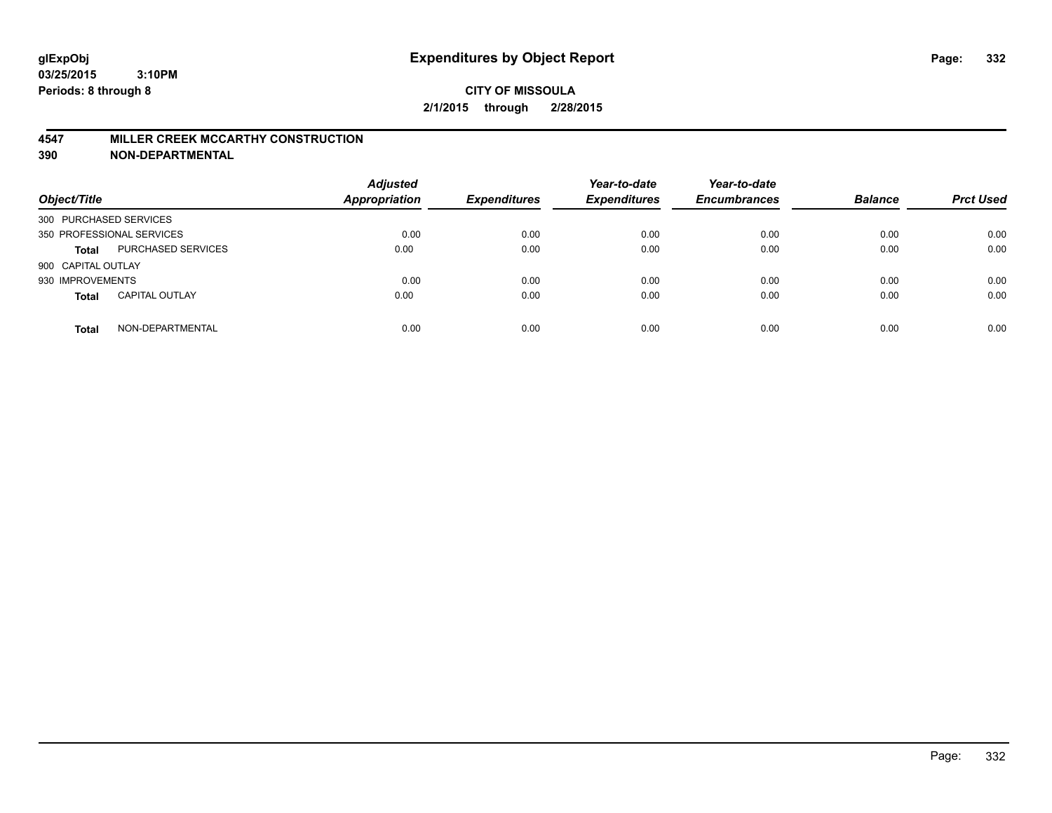#### **4547 MILLER CREEK MCCARTHY CONSTRUCTION**

| Object/Title       |                           | <b>Adjusted</b><br>Appropriation | <b>Expenditures</b> | Year-to-date<br><b>Expenditures</b> | Year-to-date<br><b>Encumbrances</b> | <b>Balance</b> | <b>Prct Used</b> |
|--------------------|---------------------------|----------------------------------|---------------------|-------------------------------------|-------------------------------------|----------------|------------------|
|                    | 300 PURCHASED SERVICES    |                                  |                     |                                     |                                     |                |                  |
|                    | 350 PROFESSIONAL SERVICES | 0.00                             | 0.00                | 0.00                                | 0.00                                | 0.00           | 0.00             |
| <b>Total</b>       | <b>PURCHASED SERVICES</b> | 0.00                             | 0.00                | 0.00                                | 0.00                                | 0.00           | 0.00             |
| 900 CAPITAL OUTLAY |                           |                                  |                     |                                     |                                     |                |                  |
| 930 IMPROVEMENTS   |                           | 0.00                             | 0.00                | 0.00                                | 0.00                                | 0.00           | 0.00             |
| <b>Total</b>       | <b>CAPITAL OUTLAY</b>     | 0.00                             | 0.00                | 0.00                                | 0.00                                | 0.00           | 0.00             |
| <b>Total</b>       | NON-DEPARTMENTAL          | 0.00                             | 0.00                | 0.00                                | 0.00                                | 0.00           | 0.00             |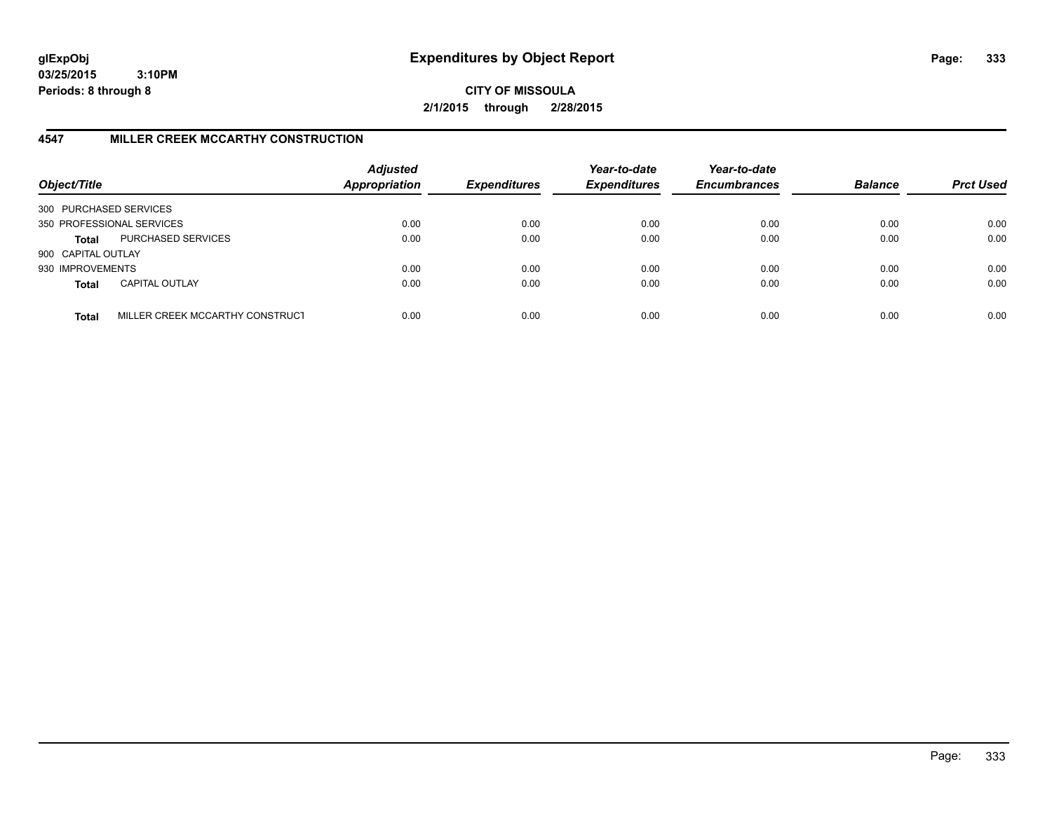**CITY OF MISSOULA 2/1/2015 through 2/28/2015**

# **4547 MILLER CREEK MCCARTHY CONSTRUCTION**

| Object/Title           |                                 | <b>Adjusted</b><br>Appropriation | <b>Expenditures</b> | Year-to-date<br><b>Expenditures</b> | Year-to-date<br><b>Encumbrances</b> | <b>Balance</b> | <b>Prct Used</b> |
|------------------------|---------------------------------|----------------------------------|---------------------|-------------------------------------|-------------------------------------|----------------|------------------|
| 300 PURCHASED SERVICES |                                 |                                  |                     |                                     |                                     |                |                  |
|                        | 350 PROFESSIONAL SERVICES       | 0.00                             | 0.00                | 0.00                                | 0.00                                | 0.00           | 0.00             |
| <b>Total</b>           | PURCHASED SERVICES              | 0.00                             | 0.00                | 0.00                                | 0.00                                | 0.00           | 0.00             |
| 900 CAPITAL OUTLAY     |                                 |                                  |                     |                                     |                                     |                |                  |
| 930 IMPROVEMENTS       |                                 | 0.00                             | 0.00                | 0.00                                | 0.00                                | 0.00           | 0.00             |
| <b>Total</b>           | <b>CAPITAL OUTLAY</b>           | 0.00                             | 0.00                | 0.00                                | 0.00                                | 0.00           | 0.00             |
| <b>Total</b>           | MILLER CREEK MCCARTHY CONSTRUCT | 0.00                             | 0.00                | 0.00                                | 0.00                                | 0.00           | 0.00             |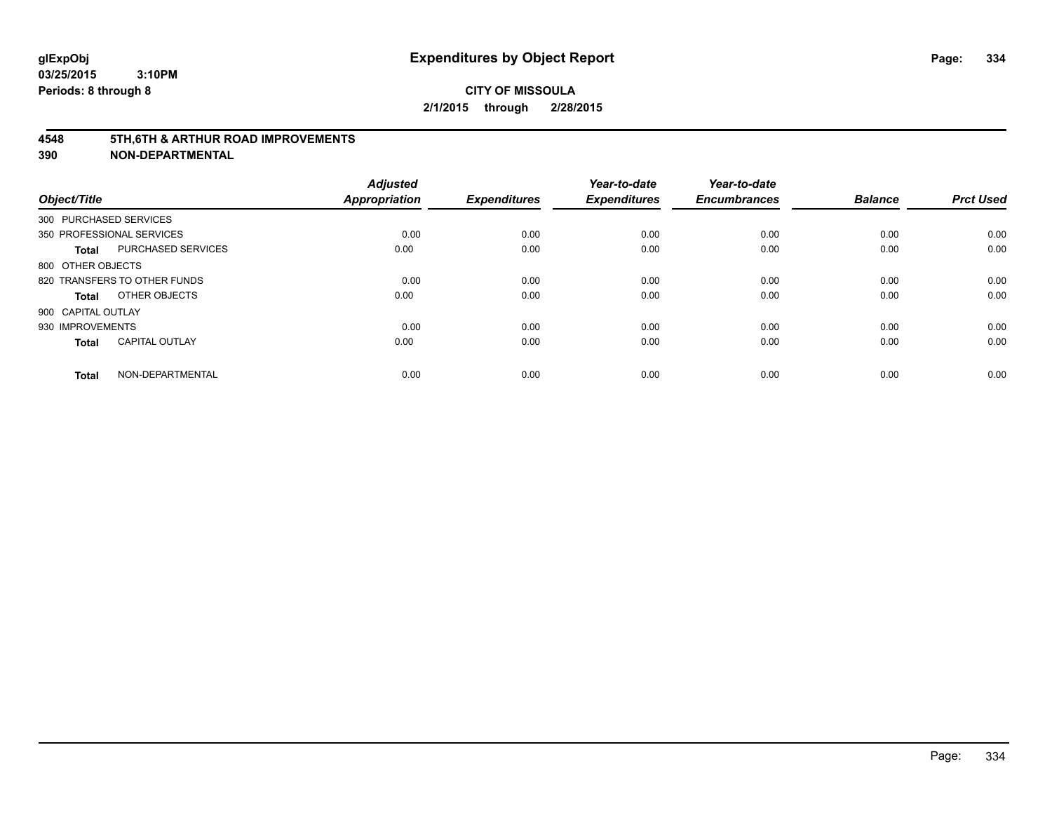#### **4548 5TH,6TH & ARTHUR ROAD IMPROVEMENTS**

| Object/Title           |                              | <b>Adjusted</b><br><b>Appropriation</b> | <b>Expenditures</b> | Year-to-date<br><b>Expenditures</b> | Year-to-date<br><b>Encumbrances</b> | <b>Balance</b> | <b>Prct Used</b> |
|------------------------|------------------------------|-----------------------------------------|---------------------|-------------------------------------|-------------------------------------|----------------|------------------|
| 300 PURCHASED SERVICES |                              |                                         |                     |                                     |                                     |                |                  |
|                        | 350 PROFESSIONAL SERVICES    | 0.00                                    | 0.00                | 0.00                                | 0.00                                | 0.00           | 0.00             |
| <b>Total</b>           | <b>PURCHASED SERVICES</b>    | 0.00                                    | 0.00                | 0.00                                | 0.00                                | 0.00           | 0.00             |
| 800 OTHER OBJECTS      |                              |                                         |                     |                                     |                                     |                |                  |
|                        | 820 TRANSFERS TO OTHER FUNDS | 0.00                                    | 0.00                | 0.00                                | 0.00                                | 0.00           | 0.00             |
| Total                  | OTHER OBJECTS                | 0.00                                    | 0.00                | 0.00                                | 0.00                                | 0.00           | 0.00             |
| 900 CAPITAL OUTLAY     |                              |                                         |                     |                                     |                                     |                |                  |
| 930 IMPROVEMENTS       |                              | 0.00                                    | 0.00                | 0.00                                | 0.00                                | 0.00           | 0.00             |
| Total                  | <b>CAPITAL OUTLAY</b>        | 0.00                                    | 0.00                | 0.00                                | 0.00                                | 0.00           | 0.00             |
| <b>Total</b>           | NON-DEPARTMENTAL             | 0.00                                    | 0.00                | 0.00                                | 0.00                                | 0.00           | 0.00             |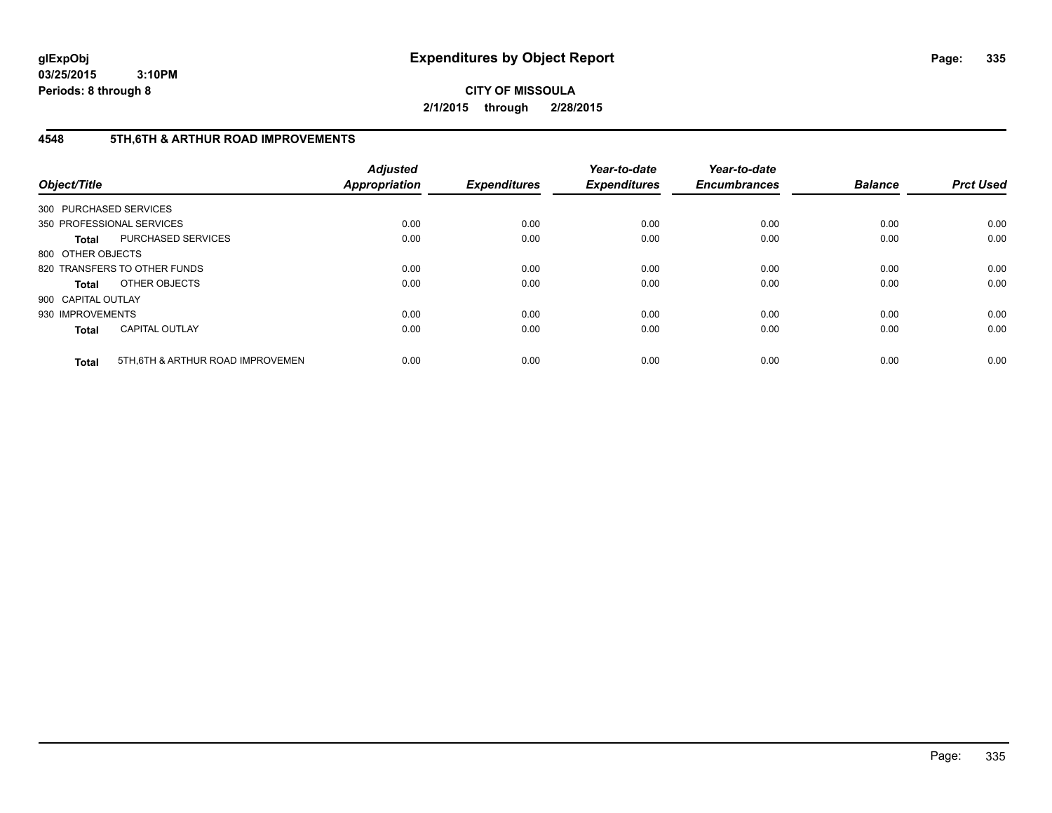**CITY OF MISSOULA 2/1/2015 through 2/28/2015**

# **4548 5TH,6TH & ARTHUR ROAD IMPROVEMENTS**

| Object/Title           |                                  | <b>Adjusted</b><br>Appropriation | <b>Expenditures</b> | Year-to-date<br><b>Expenditures</b> | Year-to-date<br><b>Encumbrances</b> | <b>Balance</b> | <b>Prct Used</b> |
|------------------------|----------------------------------|----------------------------------|---------------------|-------------------------------------|-------------------------------------|----------------|------------------|
| 300 PURCHASED SERVICES |                                  |                                  |                     |                                     |                                     |                |                  |
|                        | 350 PROFESSIONAL SERVICES        | 0.00                             | 0.00                | 0.00                                | 0.00                                | 0.00           | 0.00             |
| <b>Total</b>           | PURCHASED SERVICES               | 0.00                             | 0.00                | 0.00                                | 0.00                                | 0.00           | 0.00             |
| 800 OTHER OBJECTS      |                                  |                                  |                     |                                     |                                     |                |                  |
|                        | 820 TRANSFERS TO OTHER FUNDS     | 0.00                             | 0.00                | 0.00                                | 0.00                                | 0.00           | 0.00             |
| <b>Total</b>           | OTHER OBJECTS                    | 0.00                             | 0.00                | 0.00                                | 0.00                                | 0.00           | 0.00             |
| 900 CAPITAL OUTLAY     |                                  |                                  |                     |                                     |                                     |                |                  |
| 930 IMPROVEMENTS       |                                  | 0.00                             | 0.00                | 0.00                                | 0.00                                | 0.00           | 0.00             |
| <b>Total</b>           | <b>CAPITAL OUTLAY</b>            | 0.00                             | 0.00                | 0.00                                | 0.00                                | 0.00           | 0.00             |
| <b>Total</b>           | 5TH.6TH & ARTHUR ROAD IMPROVEMEN | 0.00                             | 0.00                | 0.00                                | 0.00                                | 0.00           | 0.00             |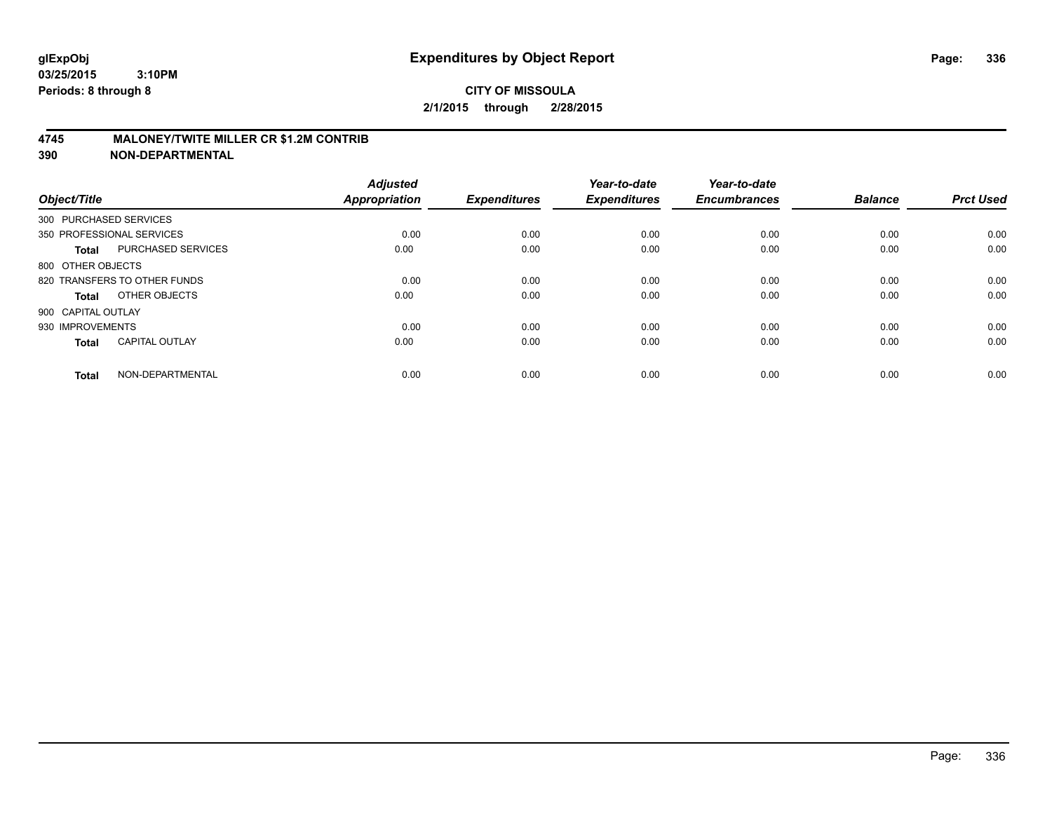## **4745 MALONEY/TWITE MILLER CR \$1.2M CONTRIB**

| Object/Title              |                              | <b>Adjusted</b><br>Appropriation | <b>Expenditures</b> | Year-to-date<br><b>Expenditures</b> | Year-to-date<br><b>Encumbrances</b> | <b>Balance</b> | <b>Prct Used</b> |
|---------------------------|------------------------------|----------------------------------|---------------------|-------------------------------------|-------------------------------------|----------------|------------------|
| 300 PURCHASED SERVICES    |                              |                                  |                     |                                     |                                     |                |                  |
| 350 PROFESSIONAL SERVICES |                              | 0.00                             | 0.00                | 0.00                                | 0.00                                | 0.00           | 0.00             |
| <b>Total</b>              | <b>PURCHASED SERVICES</b>    | 0.00                             | 0.00                | 0.00                                | 0.00                                | 0.00           | 0.00             |
| 800 OTHER OBJECTS         |                              |                                  |                     |                                     |                                     |                |                  |
|                           | 820 TRANSFERS TO OTHER FUNDS | 0.00                             | 0.00                | 0.00                                | 0.00                                | 0.00           | 0.00             |
| Total                     | OTHER OBJECTS                | 0.00                             | 0.00                | 0.00                                | 0.00                                | 0.00           | 0.00             |
| 900 CAPITAL OUTLAY        |                              |                                  |                     |                                     |                                     |                |                  |
| 930 IMPROVEMENTS          |                              | 0.00                             | 0.00                | 0.00                                | 0.00                                | 0.00           | 0.00             |
| <b>Total</b>              | <b>CAPITAL OUTLAY</b>        | 0.00                             | 0.00                | 0.00                                | 0.00                                | 0.00           | 0.00             |
| <b>Total</b>              | NON-DEPARTMENTAL             | 0.00                             | 0.00                | 0.00                                | 0.00                                | 0.00           | 0.00             |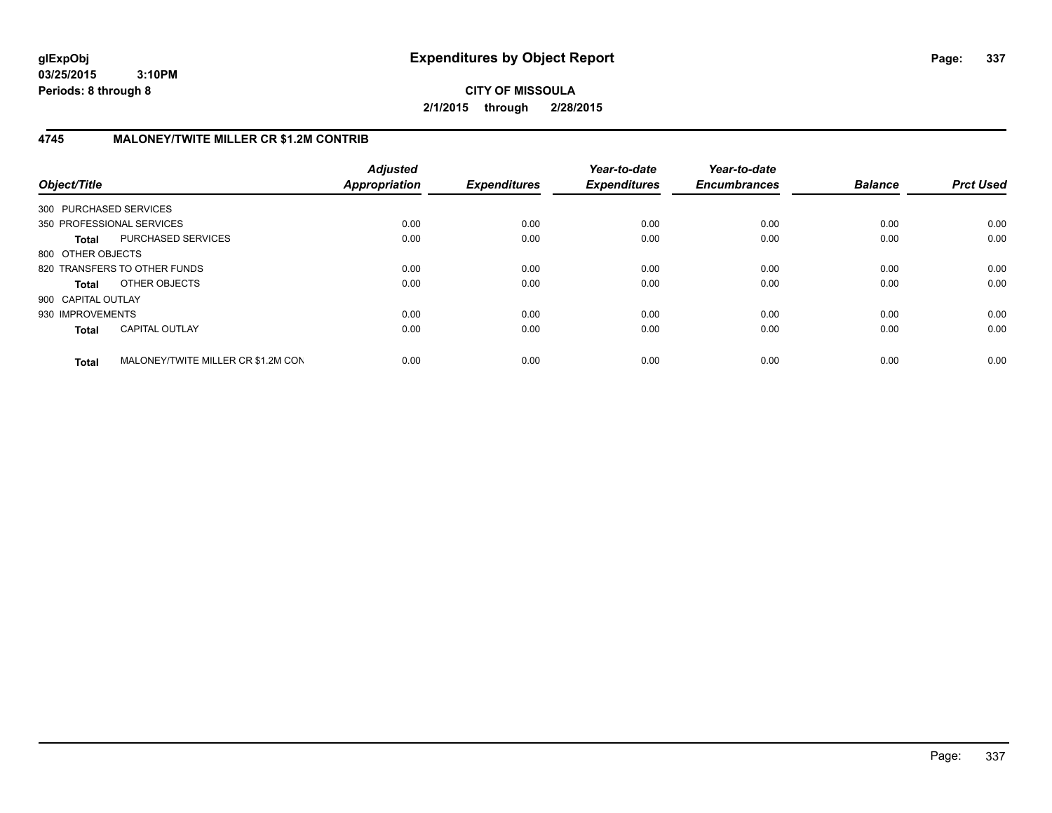**CITY OF MISSOULA 2/1/2015 through 2/28/2015**

# **4745 MALONEY/TWITE MILLER CR \$1.2M CONTRIB**

| Object/Title           |                                    | <b>Adjusted</b><br><b>Appropriation</b> | <b>Expenditures</b> | Year-to-date<br><b>Expenditures</b> | Year-to-date<br><b>Encumbrances</b> | <b>Balance</b> | <b>Prct Used</b> |
|------------------------|------------------------------------|-----------------------------------------|---------------------|-------------------------------------|-------------------------------------|----------------|------------------|
| 300 PURCHASED SERVICES |                                    |                                         |                     |                                     |                                     |                |                  |
|                        | 350 PROFESSIONAL SERVICES          | 0.00                                    | 0.00                | 0.00                                | 0.00                                | 0.00           | 0.00             |
| <b>Total</b>           | PURCHASED SERVICES                 | 0.00                                    | 0.00                | 0.00                                | 0.00                                | 0.00           | 0.00             |
| 800 OTHER OBJECTS      |                                    |                                         |                     |                                     |                                     |                |                  |
|                        | 820 TRANSFERS TO OTHER FUNDS       | 0.00                                    | 0.00                | 0.00                                | 0.00                                | 0.00           | 0.00             |
| <b>Total</b>           | OTHER OBJECTS                      | 0.00                                    | 0.00                | 0.00                                | 0.00                                | 0.00           | 0.00             |
| 900 CAPITAL OUTLAY     |                                    |                                         |                     |                                     |                                     |                |                  |
| 930 IMPROVEMENTS       |                                    | 0.00                                    | 0.00                | 0.00                                | 0.00                                | 0.00           | 0.00             |
| <b>Total</b>           | <b>CAPITAL OUTLAY</b>              | 0.00                                    | 0.00                | 0.00                                | 0.00                                | 0.00           | 0.00             |
| <b>Total</b>           | MALONEY/TWITE MILLER CR \$1.2M CON | 0.00                                    | 0.00                | 0.00                                | 0.00                                | 0.00           | 0.00             |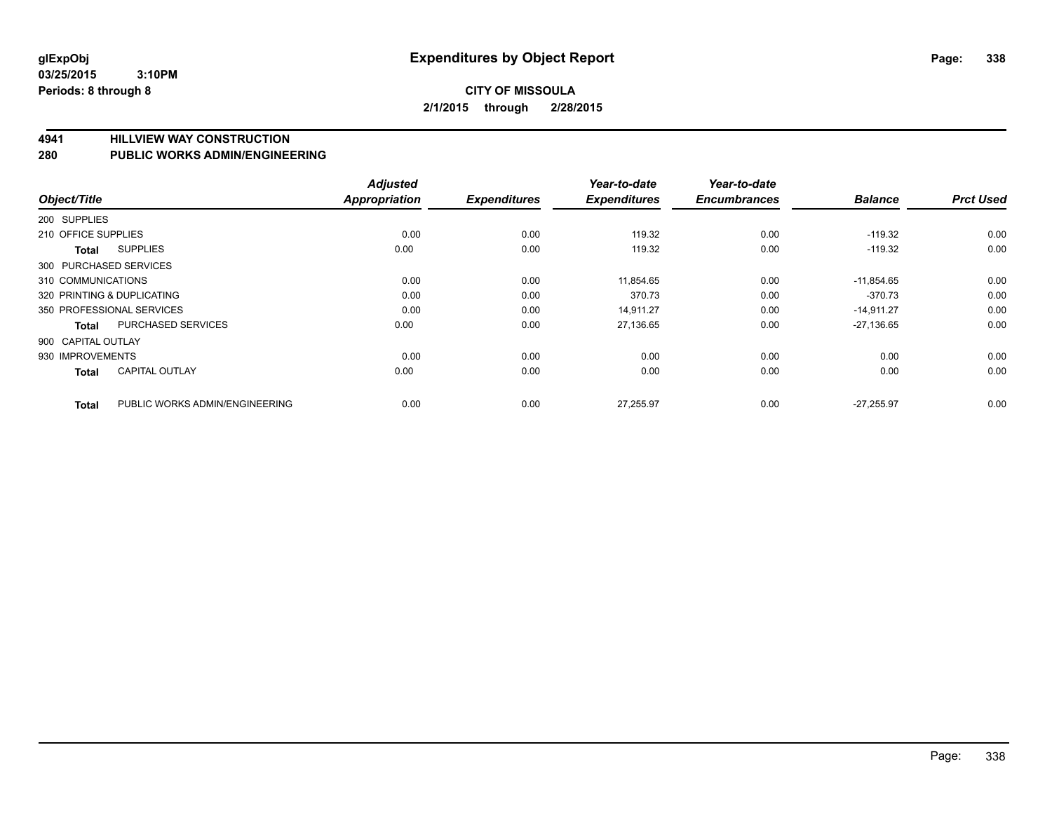## **CITY OF MISSOULA 2/1/2015 through 2/28/2015**

**4941 HILLVIEW WAY CONSTRUCTION**

**280 PUBLIC WORKS ADMIN/ENGINEERING**

| Object/Title        |                                | <b>Adjusted</b><br><b>Appropriation</b> | <b>Expenditures</b> | Year-to-date<br><b>Expenditures</b> | Year-to-date<br><b>Encumbrances</b> | <b>Balance</b> | <b>Prct Used</b> |
|---------------------|--------------------------------|-----------------------------------------|---------------------|-------------------------------------|-------------------------------------|----------------|------------------|
|                     |                                |                                         |                     |                                     |                                     |                |                  |
| 200 SUPPLIES        |                                |                                         |                     |                                     |                                     |                |                  |
| 210 OFFICE SUPPLIES |                                | 0.00                                    | 0.00                | 119.32                              | 0.00                                | $-119.32$      | 0.00             |
| Total               | <b>SUPPLIES</b>                | 0.00                                    | 0.00                | 119.32                              | 0.00                                | $-119.32$      | 0.00             |
|                     | 300 PURCHASED SERVICES         |                                         |                     |                                     |                                     |                |                  |
| 310 COMMUNICATIONS  |                                | 0.00                                    | 0.00                | 11,854.65                           | 0.00                                | $-11,854.65$   | 0.00             |
|                     | 320 PRINTING & DUPLICATING     | 0.00                                    | 0.00                | 370.73                              | 0.00                                | $-370.73$      | 0.00             |
|                     | 350 PROFESSIONAL SERVICES      | 0.00                                    | 0.00                | 14,911.27                           | 0.00                                | $-14,911.27$   | 0.00             |
| <b>Total</b>        | <b>PURCHASED SERVICES</b>      | 0.00                                    | 0.00                | 27,136.65                           | 0.00                                | $-27,136.65$   | 0.00             |
| 900 CAPITAL OUTLAY  |                                |                                         |                     |                                     |                                     |                |                  |
| 930 IMPROVEMENTS    |                                | 0.00                                    | 0.00                | 0.00                                | 0.00                                | 0.00           | 0.00             |
| <b>Total</b>        | <b>CAPITAL OUTLAY</b>          | 0.00                                    | 0.00                | 0.00                                | 0.00                                | 0.00           | 0.00             |
| <b>Total</b>        | PUBLIC WORKS ADMIN/ENGINEERING | 0.00                                    | 0.00                | 27.255.97                           | 0.00                                | $-27.255.97$   | 0.00             |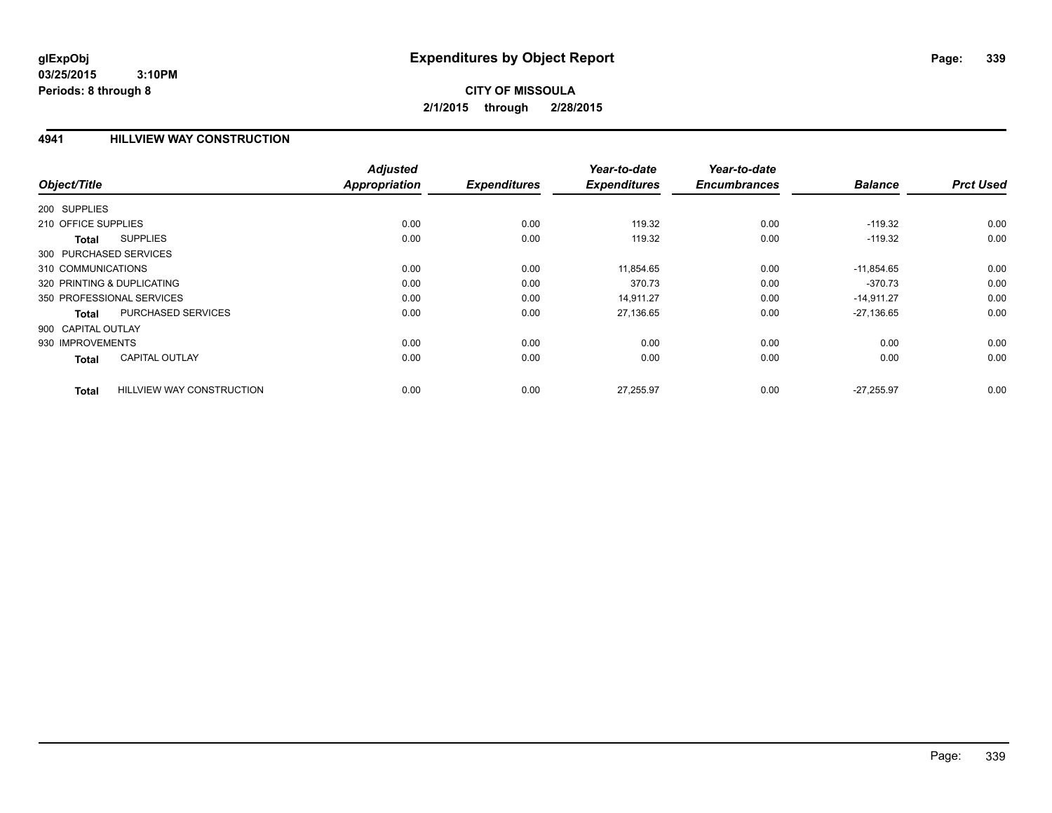## **4941 HILLVIEW WAY CONSTRUCTION**

|                                                  | <b>Adjusted</b>      |                     | Year-to-date        | Year-to-date        |                |                  |
|--------------------------------------------------|----------------------|---------------------|---------------------|---------------------|----------------|------------------|
| Object/Title                                     | <b>Appropriation</b> | <b>Expenditures</b> | <b>Expenditures</b> | <b>Encumbrances</b> | <b>Balance</b> | <b>Prct Used</b> |
| 200 SUPPLIES                                     |                      |                     |                     |                     |                |                  |
| 210 OFFICE SUPPLIES                              | 0.00                 | 0.00                | 119.32              | 0.00                | $-119.32$      | 0.00             |
| <b>SUPPLIES</b><br><b>Total</b>                  | 0.00                 | 0.00                | 119.32              | 0.00                | $-119.32$      | 0.00             |
| 300 PURCHASED SERVICES                           |                      |                     |                     |                     |                |                  |
| 310 COMMUNICATIONS                               | 0.00                 | 0.00                | 11,854.65           | 0.00                | $-11,854.65$   | 0.00             |
| 320 PRINTING & DUPLICATING                       | 0.00                 | 0.00                | 370.73              | 0.00                | $-370.73$      | 0.00             |
| 350 PROFESSIONAL SERVICES                        | 0.00                 | 0.00                | 14,911.27           | 0.00                | $-14,911.27$   | 0.00             |
| PURCHASED SERVICES<br>Total                      | 0.00                 | 0.00                | 27,136.65           | 0.00                | $-27,136.65$   | 0.00             |
| 900 CAPITAL OUTLAY                               |                      |                     |                     |                     |                |                  |
| 930 IMPROVEMENTS                                 | 0.00                 | 0.00                | 0.00                | 0.00                | 0.00           | 0.00             |
| <b>CAPITAL OUTLAY</b><br><b>Total</b>            | 0.00                 | 0.00                | 0.00                | 0.00                | 0.00           | 0.00             |
| <b>HILLVIEW WAY CONSTRUCTION</b><br><b>Total</b> | 0.00                 | 0.00                | 27,255.97           | 0.00                | $-27.255.97$   | 0.00             |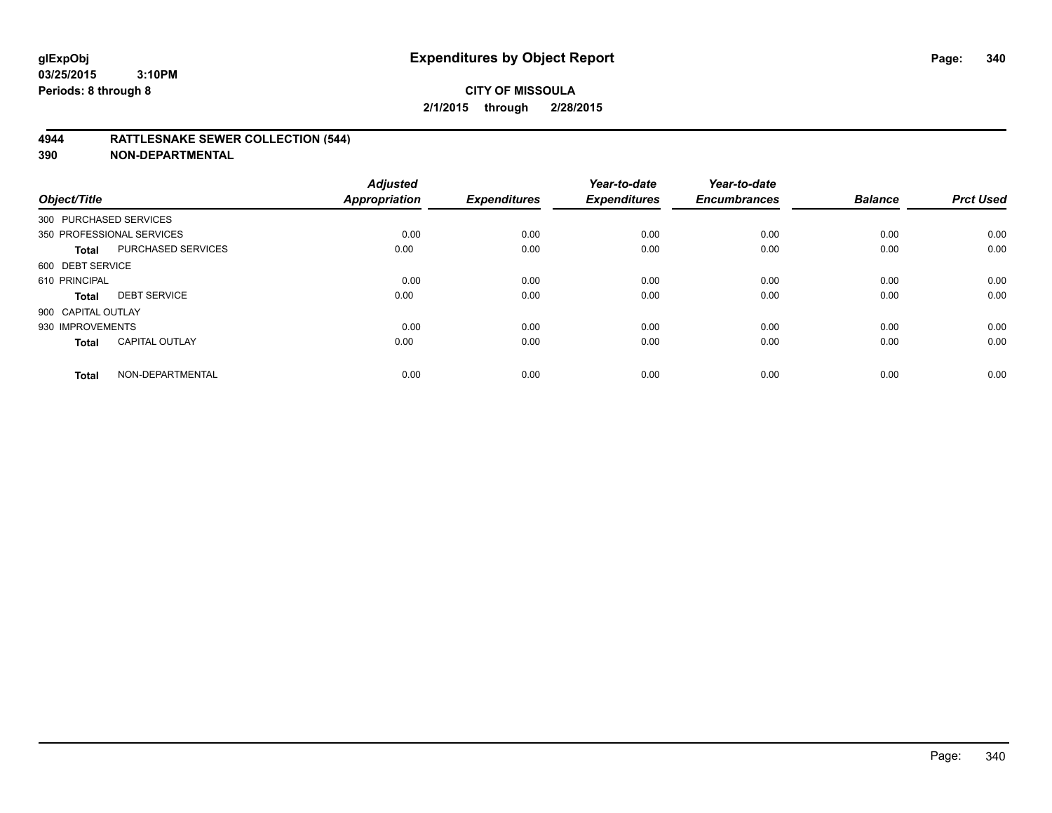## **4944 RATTLESNAKE SEWER COLLECTION (544)**

| Object/Title           |                           | <b>Adjusted</b><br>Appropriation | <b>Expenditures</b> | Year-to-date<br><b>Expenditures</b> | Year-to-date<br><b>Encumbrances</b> | <b>Balance</b> | <b>Prct Used</b> |
|------------------------|---------------------------|----------------------------------|---------------------|-------------------------------------|-------------------------------------|----------------|------------------|
| 300 PURCHASED SERVICES |                           |                                  |                     |                                     |                                     |                |                  |
|                        | 350 PROFESSIONAL SERVICES | 0.00                             | 0.00                | 0.00                                | 0.00                                | 0.00           | 0.00             |
| <b>Total</b>           | <b>PURCHASED SERVICES</b> | 0.00                             | 0.00                | 0.00                                | 0.00                                | 0.00           | 0.00             |
| 600 DEBT SERVICE       |                           |                                  |                     |                                     |                                     |                |                  |
| 610 PRINCIPAL          |                           | 0.00                             | 0.00                | 0.00                                | 0.00                                | 0.00           | 0.00             |
| <b>Total</b>           | <b>DEBT SERVICE</b>       | 0.00                             | 0.00                | 0.00                                | 0.00                                | 0.00           | 0.00             |
| 900 CAPITAL OUTLAY     |                           |                                  |                     |                                     |                                     |                |                  |
| 930 IMPROVEMENTS       |                           | 0.00                             | 0.00                | 0.00                                | 0.00                                | 0.00           | 0.00             |
| <b>Total</b>           | <b>CAPITAL OUTLAY</b>     | 0.00                             | 0.00                | 0.00                                | 0.00                                | 0.00           | 0.00             |
| <b>Total</b>           | NON-DEPARTMENTAL          | 0.00                             | 0.00                | 0.00                                | 0.00                                | 0.00           | 0.00             |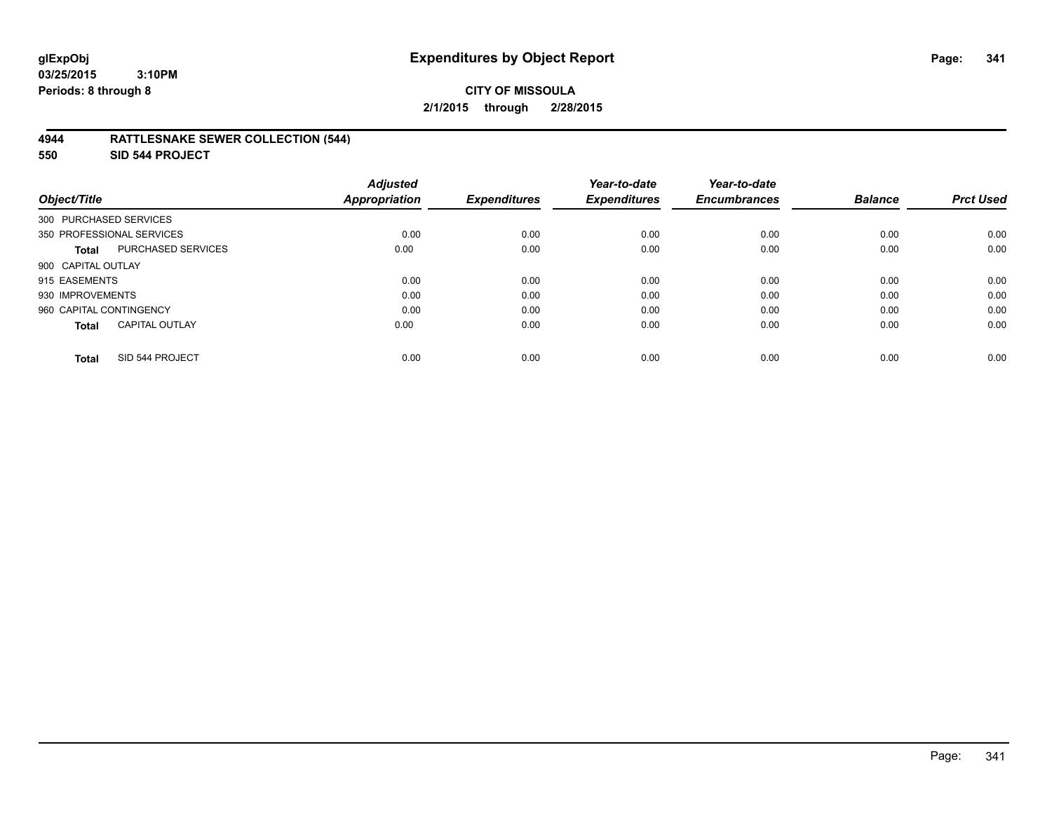## **4944 RATTLESNAKE SEWER COLLECTION (544)**

**550 SID 544 PROJECT**

| Object/Title                              | <b>Adjusted</b><br><b>Appropriation</b> | <b>Expenditures</b> | Year-to-date<br><b>Expenditures</b> | Year-to-date<br><b>Encumbrances</b> | <b>Balance</b> | <b>Prct Used</b> |
|-------------------------------------------|-----------------------------------------|---------------------|-------------------------------------|-------------------------------------|----------------|------------------|
| 300 PURCHASED SERVICES                    |                                         |                     |                                     |                                     |                |                  |
| 350 PROFESSIONAL SERVICES                 | 0.00                                    | 0.00                | 0.00                                | 0.00                                | 0.00           | 0.00             |
| <b>PURCHASED SERVICES</b><br><b>Total</b> | 0.00                                    | 0.00                | 0.00                                | 0.00                                | 0.00           | 0.00             |
| 900 CAPITAL OUTLAY                        |                                         |                     |                                     |                                     |                |                  |
| 915 EASEMENTS                             | 0.00                                    | 0.00                | 0.00                                | 0.00                                | 0.00           | 0.00             |
| 930 IMPROVEMENTS                          | 0.00                                    | 0.00                | 0.00                                | 0.00                                | 0.00           | 0.00             |
| 960 CAPITAL CONTINGENCY                   | 0.00                                    | 0.00                | 0.00                                | 0.00                                | 0.00           | 0.00             |
| <b>CAPITAL OUTLAY</b><br><b>Total</b>     | 0.00                                    | 0.00                | 0.00                                | 0.00                                | 0.00           | 0.00             |
| SID 544 PROJECT<br><b>Total</b>           | 0.00                                    | 0.00                | 0.00                                | 0.00                                | 0.00           | 0.00             |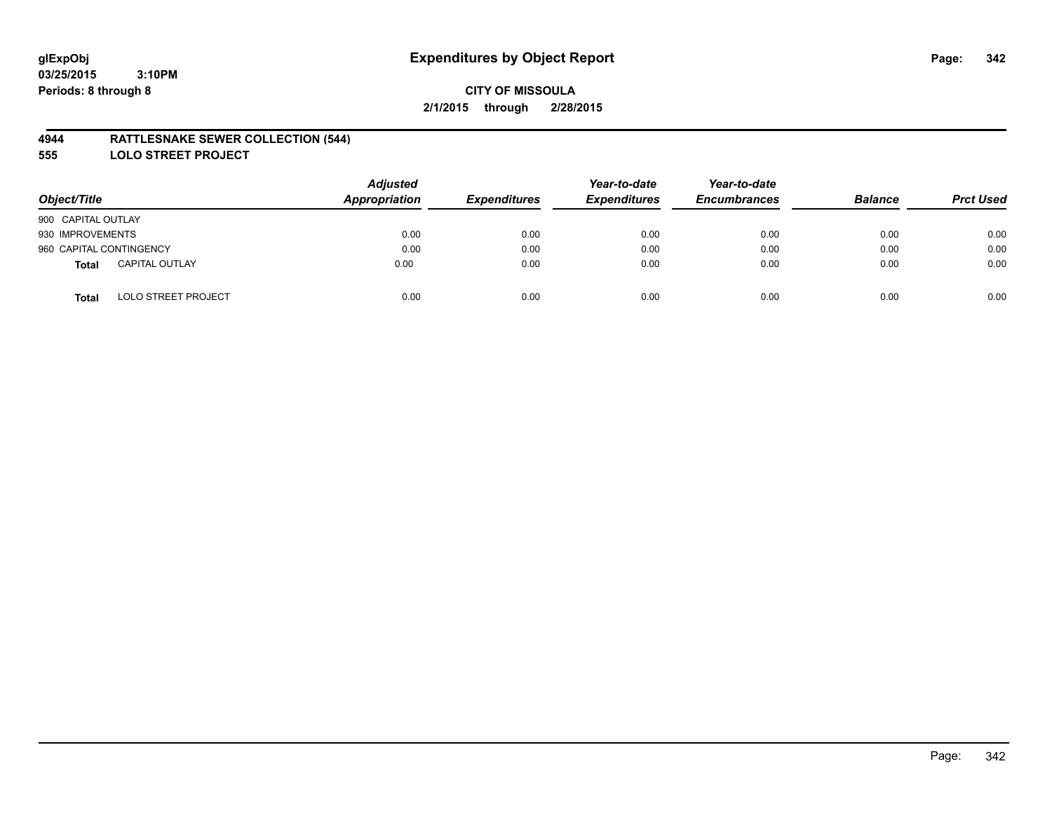## **4944 RATTLESNAKE SEWER COLLECTION (544)**

**555 LOLO STREET PROJECT**

| Object/Title                               | <b>Adjusted</b><br>Appropriation | <b>Expenditures</b> | Year-to-date<br><b>Expenditures</b> | Year-to-date<br><b>Encumbrances</b> | <b>Balance</b> | <b>Prct Used</b> |
|--------------------------------------------|----------------------------------|---------------------|-------------------------------------|-------------------------------------|----------------|------------------|
| 900 CAPITAL OUTLAY                         |                                  |                     |                                     |                                     |                |                  |
| 930 IMPROVEMENTS                           | 0.00                             | 0.00                | 0.00                                | 0.00                                | 0.00           | 0.00             |
| 960 CAPITAL CONTINGENCY                    | 0.00                             | 0.00                | 0.00                                | 0.00                                | 0.00           | 0.00             |
| <b>CAPITAL OUTLAY</b><br>Total             | 0.00                             | 0.00                | 0.00                                | 0.00                                | 0.00           | 0.00             |
| <b>LOLO STREET PROJECT</b><br><b>Total</b> | 0.00                             | 0.00                | 0.00                                | 0.00                                | 0.00           | 0.00             |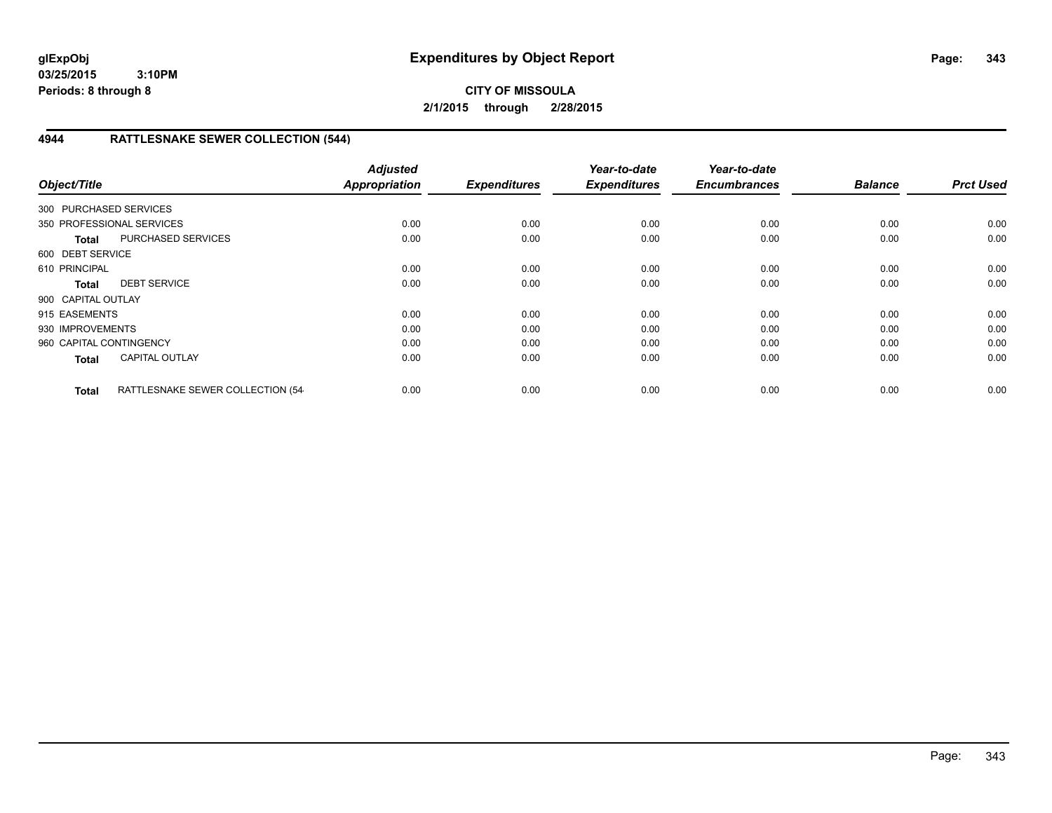**CITY OF MISSOULA 2/1/2015 through 2/28/2015**

# **4944 RATTLESNAKE SEWER COLLECTION (544)**

| Object/Title            |                                  | <b>Adjusted</b><br><b>Appropriation</b> | <b>Expenditures</b> | Year-to-date<br><b>Expenditures</b> | Year-to-date<br><b>Encumbrances</b> | <b>Balance</b> | <b>Prct Used</b> |
|-------------------------|----------------------------------|-----------------------------------------|---------------------|-------------------------------------|-------------------------------------|----------------|------------------|
| 300 PURCHASED SERVICES  |                                  |                                         |                     |                                     |                                     |                |                  |
|                         | 350 PROFESSIONAL SERVICES        | 0.00                                    | 0.00                | 0.00                                | 0.00                                | 0.00           | 0.00             |
| <b>Total</b>            | <b>PURCHASED SERVICES</b>        | 0.00                                    | 0.00                | 0.00                                | 0.00                                | 0.00           | 0.00             |
| 600 DEBT SERVICE        |                                  |                                         |                     |                                     |                                     |                |                  |
| 610 PRINCIPAL           |                                  | 0.00                                    | 0.00                | 0.00                                | 0.00                                | 0.00           | 0.00             |
| <b>Total</b>            | <b>DEBT SERVICE</b>              | 0.00                                    | 0.00                | 0.00                                | 0.00                                | 0.00           | 0.00             |
| 900 CAPITAL OUTLAY      |                                  |                                         |                     |                                     |                                     |                |                  |
| 915 EASEMENTS           |                                  | 0.00                                    | 0.00                | 0.00                                | 0.00                                | 0.00           | 0.00             |
| 930 IMPROVEMENTS        |                                  | 0.00                                    | 0.00                | 0.00                                | 0.00                                | 0.00           | 0.00             |
| 960 CAPITAL CONTINGENCY |                                  | 0.00                                    | 0.00                | 0.00                                | 0.00                                | 0.00           | 0.00             |
| <b>Total</b>            | <b>CAPITAL OUTLAY</b>            | 0.00                                    | 0.00                | 0.00                                | 0.00                                | 0.00           | 0.00             |
| <b>Total</b>            | RATTLESNAKE SEWER COLLECTION (54 | 0.00                                    | 0.00                | 0.00                                | 0.00                                | 0.00           | 0.00             |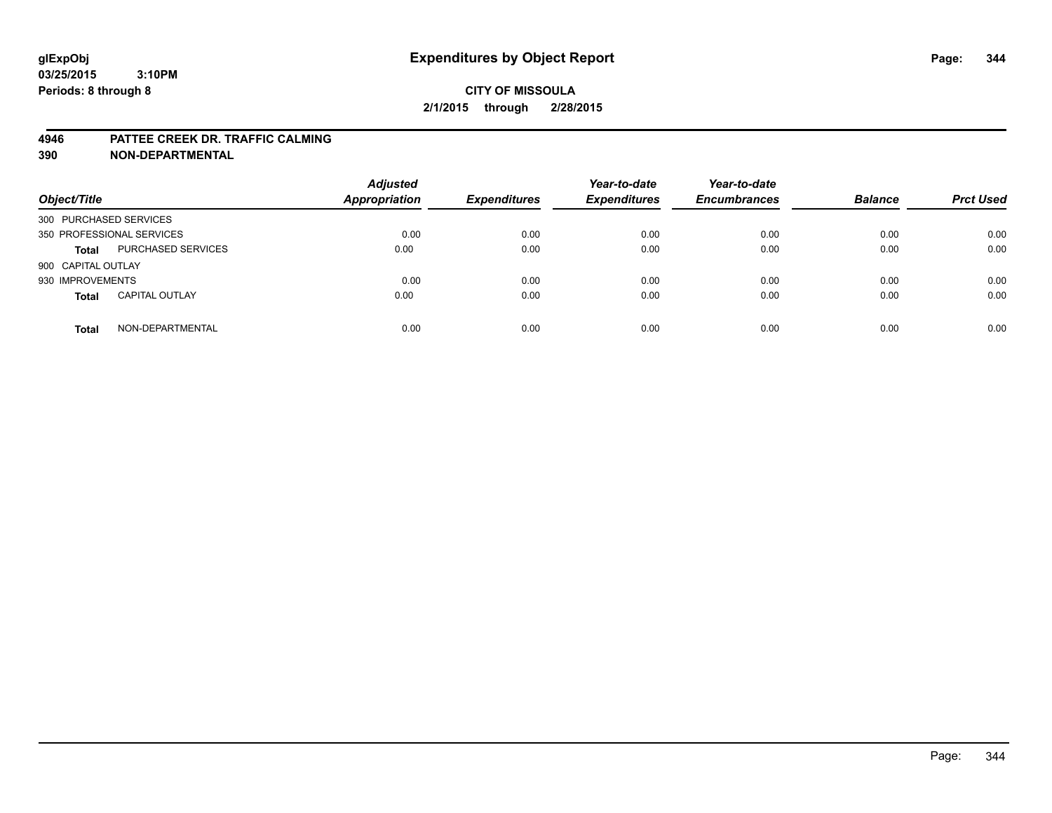#### **4946 PATTEE CREEK DR. TRAFFIC CALMING**

| Object/Title              |                       | <b>Adjusted</b><br>Appropriation | <b>Expenditures</b> | Year-to-date<br><b>Expenditures</b> | Year-to-date<br><b>Encumbrances</b> | <b>Balance</b> | <b>Prct Used</b> |
|---------------------------|-----------------------|----------------------------------|---------------------|-------------------------------------|-------------------------------------|----------------|------------------|
| 300 PURCHASED SERVICES    |                       |                                  |                     |                                     |                                     |                |                  |
| 350 PROFESSIONAL SERVICES |                       | 0.00                             | 0.00                | 0.00                                | 0.00                                | 0.00           | 0.00             |
| <b>Total</b>              | PURCHASED SERVICES    | 0.00                             | 0.00                | 0.00                                | 0.00                                | 0.00           | 0.00             |
| 900 CAPITAL OUTLAY        |                       |                                  |                     |                                     |                                     |                |                  |
| 930 IMPROVEMENTS          |                       | 0.00                             | 0.00                | 0.00                                | 0.00                                | 0.00           | 0.00             |
| <b>Total</b>              | <b>CAPITAL OUTLAY</b> | 0.00                             | 0.00                | 0.00                                | 0.00                                | 0.00           | 0.00             |
| <b>Total</b>              | NON-DEPARTMENTAL      | 0.00                             | 0.00                | 0.00                                | 0.00                                | 0.00           | 0.00             |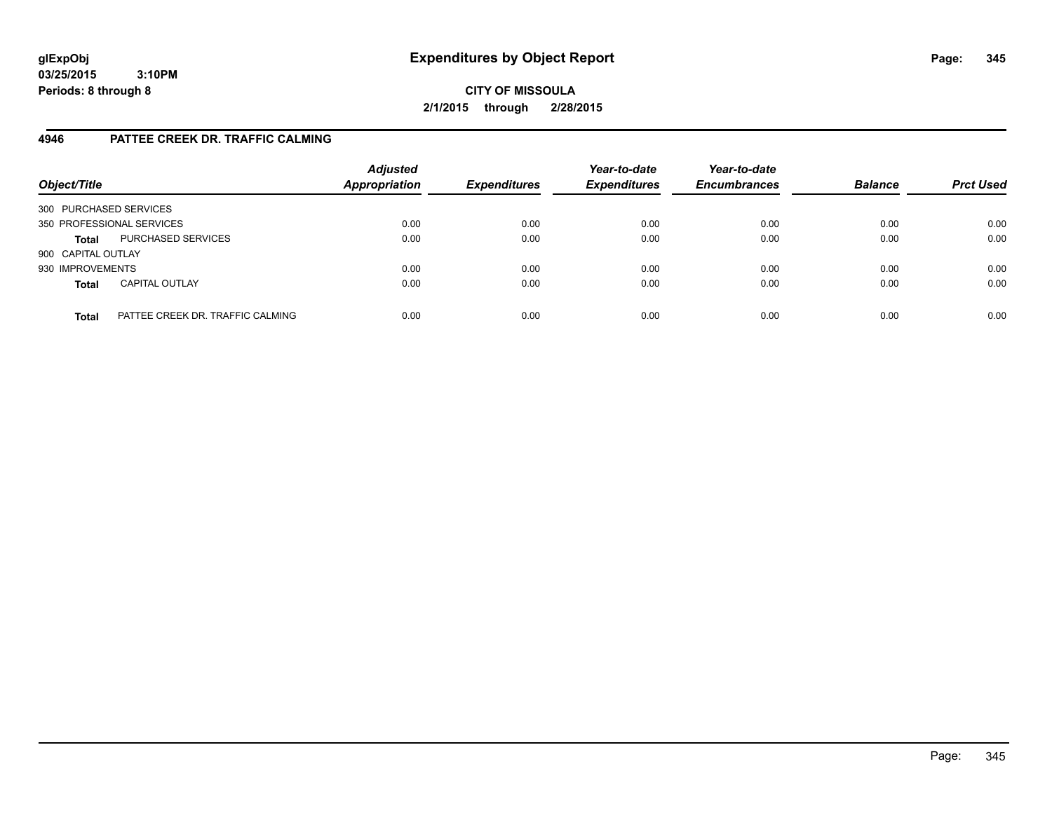**CITY OF MISSOULA 2/1/2015 through 2/28/2015**

# **4946 PATTEE CREEK DR. TRAFFIC CALMING**

| Object/Title           |                                  | <b>Adjusted</b><br><b>Appropriation</b> | <b>Expenditures</b> | Year-to-date<br><b>Expenditures</b> | Year-to-date<br><b>Encumbrances</b> | <b>Balance</b> | <b>Prct Used</b> |
|------------------------|----------------------------------|-----------------------------------------|---------------------|-------------------------------------|-------------------------------------|----------------|------------------|
| 300 PURCHASED SERVICES |                                  |                                         |                     |                                     |                                     |                |                  |
|                        | 350 PROFESSIONAL SERVICES        | 0.00                                    | 0.00                | 0.00                                | 0.00                                | 0.00           | 0.00             |
| <b>Total</b>           | PURCHASED SERVICES               | 0.00                                    | 0.00                | 0.00                                | 0.00                                | 0.00           | 0.00             |
| 900 CAPITAL OUTLAY     |                                  |                                         |                     |                                     |                                     |                |                  |
| 930 IMPROVEMENTS       |                                  | 0.00                                    | 0.00                | 0.00                                | 0.00                                | 0.00           | 0.00             |
| <b>Total</b>           | <b>CAPITAL OUTLAY</b>            | 0.00                                    | 0.00                | 0.00                                | 0.00                                | 0.00           | 0.00             |
| <b>Total</b>           | PATTEE CREEK DR. TRAFFIC CALMING | 0.00                                    | 0.00                | 0.00                                | 0.00                                | 0.00           | 0.00             |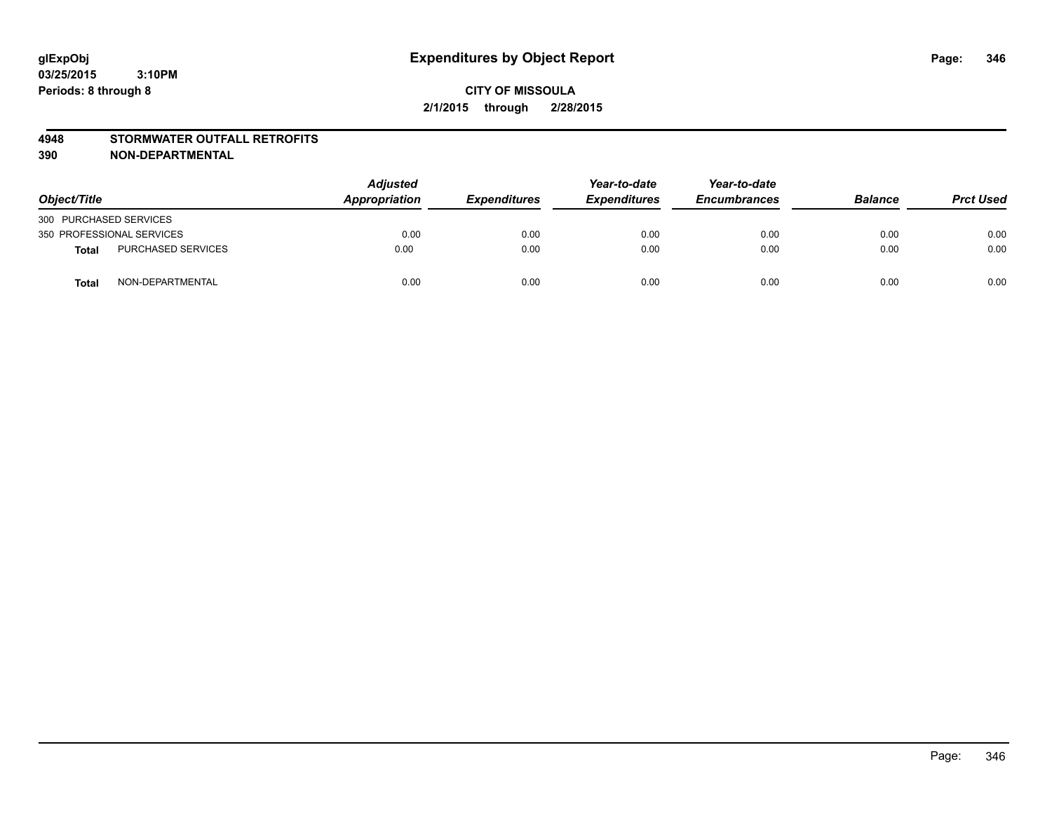#### **4948 STORMWATER OUTFALL RETROFITS**

| Object/Title              |                           | Adjusted<br>Appropriation | <b>Expenditures</b> | Year-to-date<br><b>Expenditures</b> | Year-to-date<br><b>Encumbrances</b> | <b>Balance</b> | <b>Prct Used</b> |
|---------------------------|---------------------------|---------------------------|---------------------|-------------------------------------|-------------------------------------|----------------|------------------|
| 300 PURCHASED SERVICES    |                           |                           |                     |                                     |                                     |                |                  |
| 350 PROFESSIONAL SERVICES |                           | 0.00                      | 0.00                | 0.00                                | 0.00                                | 0.00           | 0.00             |
| <b>Total</b>              | <b>PURCHASED SERVICES</b> | 0.00                      | 0.00                | 0.00                                | 0.00                                | 0.00           | 0.00             |
| <b>Total</b>              | NON-DEPARTMENTAL          | 0.00                      | 0.00                | 0.00                                | 0.00                                | 0.00           | 0.00             |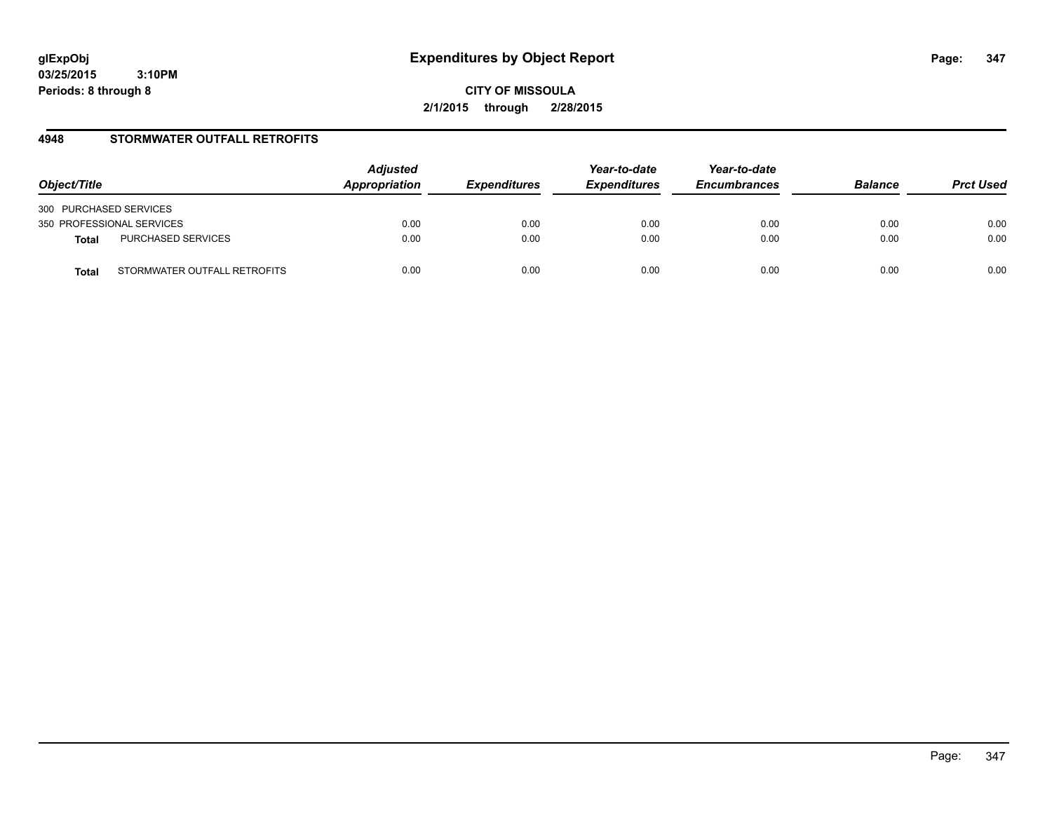**CITY OF MISSOULA 2/1/2015 through 2/28/2015**

## **4948 STORMWATER OUTFALL RETROFITS**

| Object/Title                          | <b>Adjusted</b><br>Appropriation | <b>Expenditures</b> | Year-to-date<br><b>Expenditures</b> | Year-to-date<br><b>Encumbrances</b> | <b>Balance</b> | <b>Prct Used</b> |
|---------------------------------------|----------------------------------|---------------------|-------------------------------------|-------------------------------------|----------------|------------------|
| 300 PURCHASED SERVICES                |                                  |                     |                                     |                                     |                |                  |
| 350 PROFESSIONAL SERVICES             | 0.00                             | 0.00                | 0.00                                | 0.00                                | 0.00           | 0.00             |
| PURCHASED SERVICES<br><b>Total</b>    | 0.00                             | 0.00                | 0.00                                | 0.00                                | 0.00           | 0.00             |
| STORMWATER OUTFALL RETROFITS<br>Total | 0.00                             | 0.00                | 0.00                                | 0.00                                | 0.00           | 0.00             |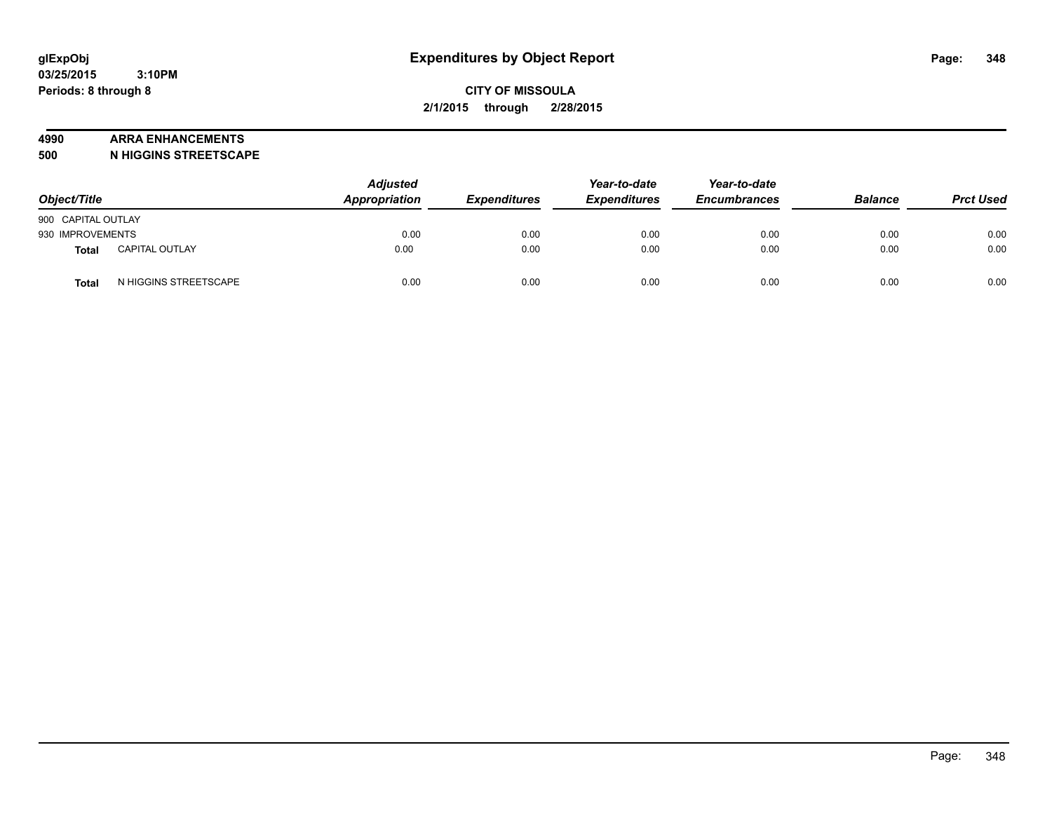#### **4990 ARRA ENHANCEMENTS**

**500 N HIGGINS STREETSCAPE**

| Object/Title       |                       | <b>Adjusted</b><br>Appropriation | <b>Expenditures</b> | Year-to-date<br><b>Expenditures</b> | Year-to-date<br><b>Encumbrances</b> | <b>Balance</b> | <b>Prct Used</b> |
|--------------------|-----------------------|----------------------------------|---------------------|-------------------------------------|-------------------------------------|----------------|------------------|
| 900 CAPITAL OUTLAY |                       |                                  |                     |                                     |                                     |                |                  |
| 930 IMPROVEMENTS   |                       | 0.00                             | 0.00                | 0.00                                | 0.00                                | 0.00           | 0.00             |
| Total              | <b>CAPITAL OUTLAY</b> | 0.00                             | 0.00                | 0.00                                | 0.00                                | 0.00           | 0.00             |
| <b>Total</b>       | N HIGGINS STREETSCAPE | 0.00                             | 0.00                | 0.00                                | 0.00                                | 0.00           | 0.00             |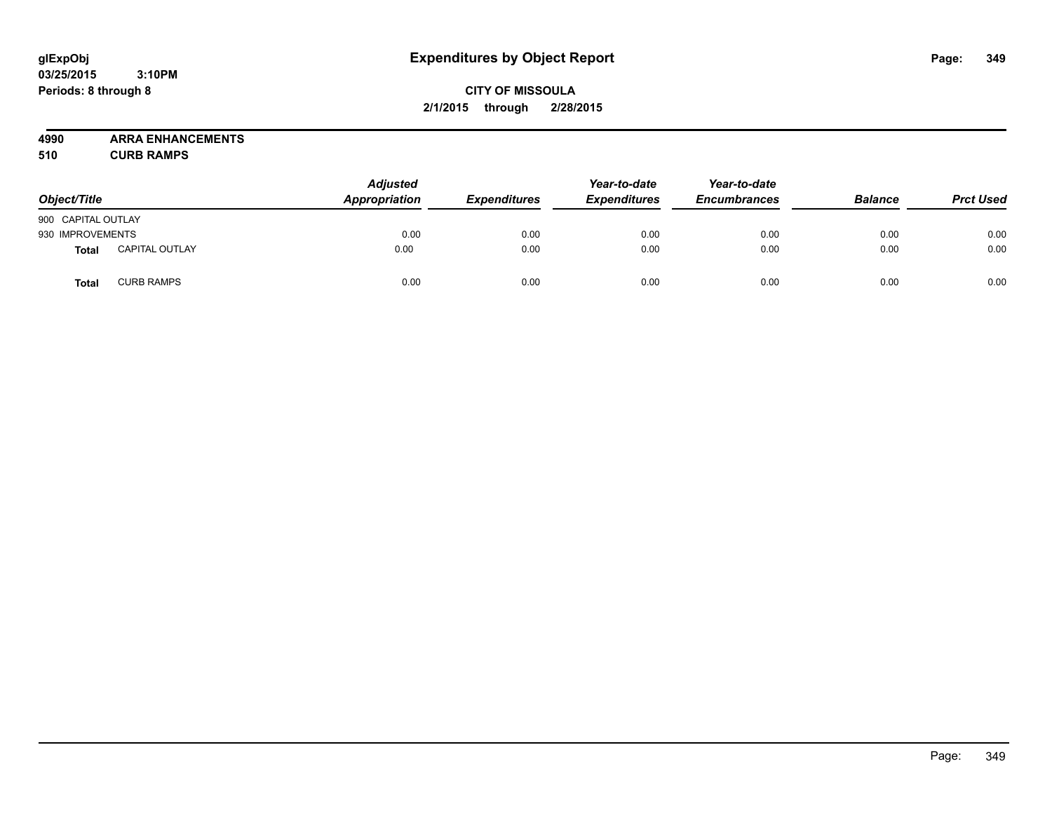# **CITY OF MISSOULA 2/1/2015 through 2/28/2015**

**4990 ARRA ENHANCEMENTS**

**510 CURB RAMPS**

| Object/Title       |                       | <b>Adjusted</b><br>Appropriation | <b>Expenditures</b> | Year-to-date<br><b>Expenditures</b> | Year-to-date<br><b>Encumbrances</b> | <b>Balance</b> | <b>Prct Used</b> |
|--------------------|-----------------------|----------------------------------|---------------------|-------------------------------------|-------------------------------------|----------------|------------------|
| 900 CAPITAL OUTLAY |                       |                                  |                     |                                     |                                     |                |                  |
| 930 IMPROVEMENTS   |                       | 0.00                             | 0.00                | 0.00                                | 0.00                                | 0.00           | 0.00             |
| <b>Total</b>       | <b>CAPITAL OUTLAY</b> | 0.00                             | 0.00                | 0.00                                | 0.00                                | 0.00           | 0.00             |
| Tota               | <b>CURB RAMPS</b>     | 0.00                             | 0.00                | 0.00                                | 0.00                                | 0.00           | 0.00             |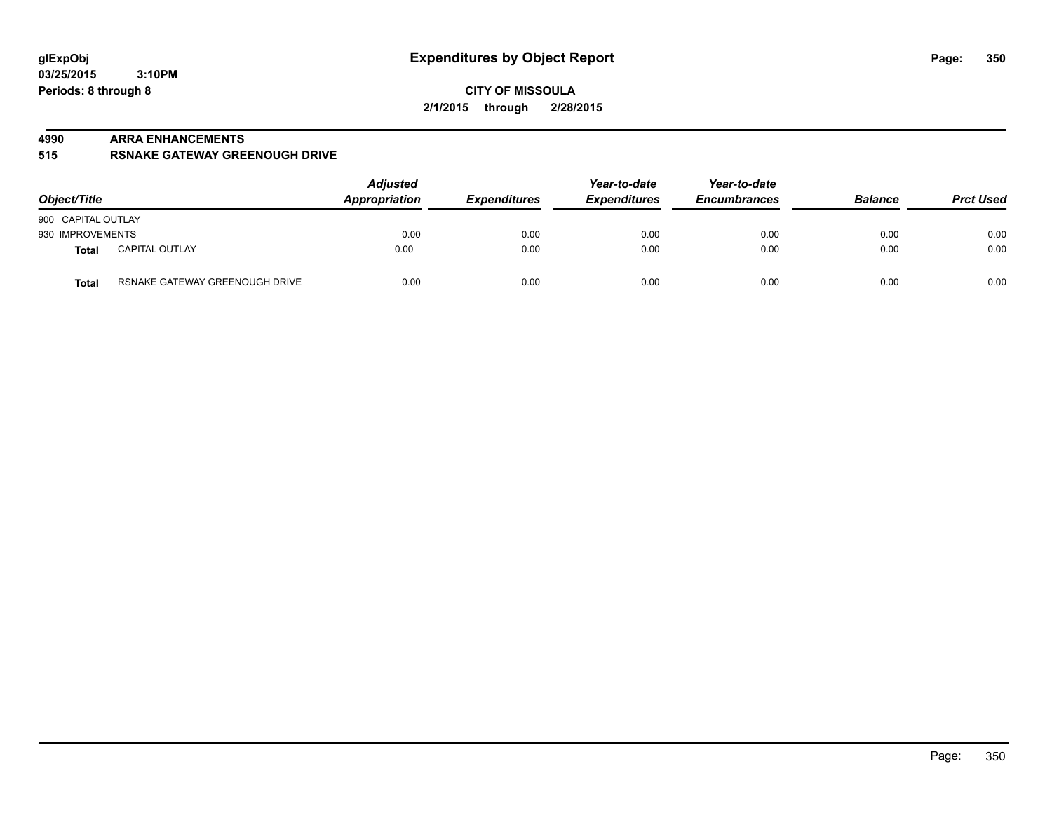#### **4990 ARRA ENHANCEMENTS**

**515 RSNAKE GATEWAY GREENOUGH DRIVE**

| Object/Title       |                                | <b>Adjusted</b><br><b>Appropriation</b> | <b>Expenditures</b> | Year-to-date<br><b>Expenditures</b> | Year-to-date<br><b>Encumbrances</b> | <b>Balance</b> | <b>Prct Used</b> |
|--------------------|--------------------------------|-----------------------------------------|---------------------|-------------------------------------|-------------------------------------|----------------|------------------|
| 900 CAPITAL OUTLAY |                                |                                         |                     |                                     |                                     |                |                  |
| 930 IMPROVEMENTS   |                                | 0.00                                    | 0.00                | 0.00                                | 0.00                                | 0.00           | 0.00             |
| Total              | <b>CAPITAL OUTLAY</b>          | 0.00                                    | 0.00                | 0.00                                | 0.00                                | 0.00           | 0.00             |
| <b>Total</b>       | RSNAKE GATEWAY GREENOUGH DRIVE | 0.00                                    | 0.00                | 0.00                                | 0.00                                | 0.00           | 0.00             |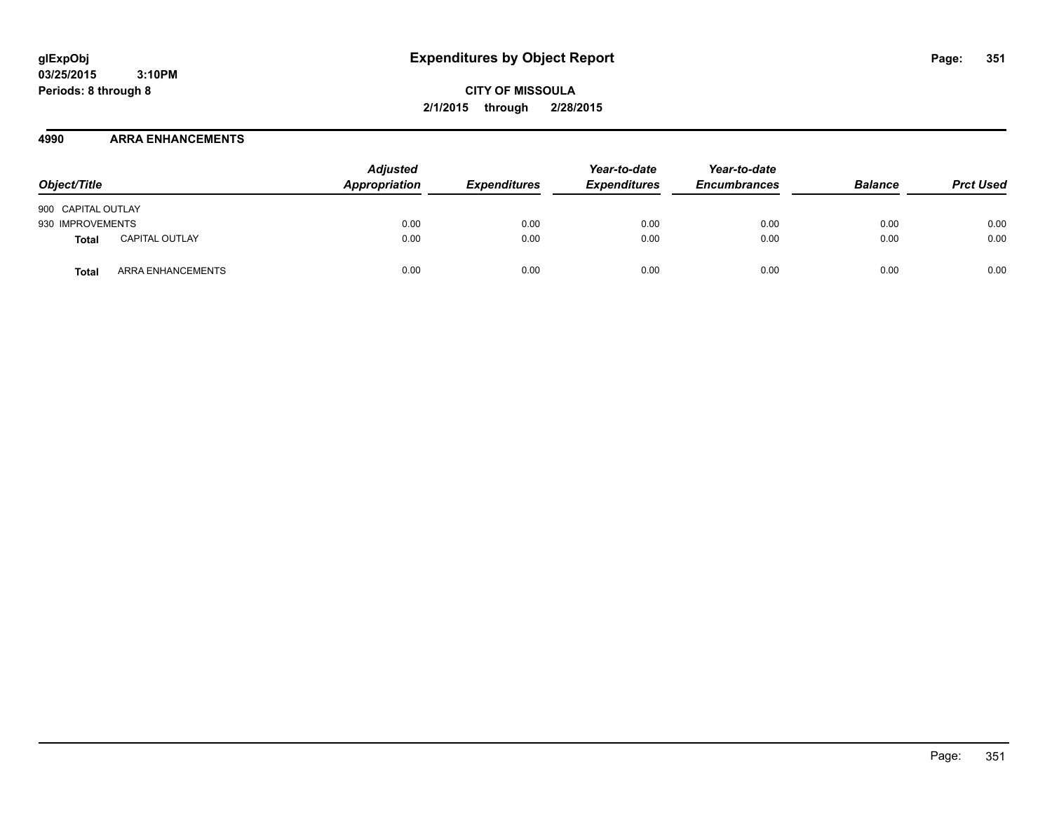**CITY OF MISSOULA 2/1/2015 through 2/28/2015**

## **4990 ARRA ENHANCEMENTS**

| Object/Title       |                       | <b>Adjusted</b><br>Appropriation | <b>Expenditures</b> | Year-to-date<br><b>Expenditures</b> | Year-to-date<br><b>Encumbrances</b> | <b>Balance</b> | <b>Prct Used</b> |
|--------------------|-----------------------|----------------------------------|---------------------|-------------------------------------|-------------------------------------|----------------|------------------|
| 900 CAPITAL OUTLAY |                       |                                  |                     |                                     |                                     |                |                  |
| 930 IMPROVEMENTS   |                       | 0.00                             | 0.00                | 0.00                                | 0.00                                | 0.00           | 0.00             |
| Total              | <b>CAPITAL OUTLAY</b> | 0.00                             | 0.00                | 0.00                                | 0.00                                | 0.00           | 0.00             |
| Total              | ARRA ENHANCEMENTS     | 0.00                             | 0.00                | 0.00                                | 0.00                                | 0.00           | 0.00             |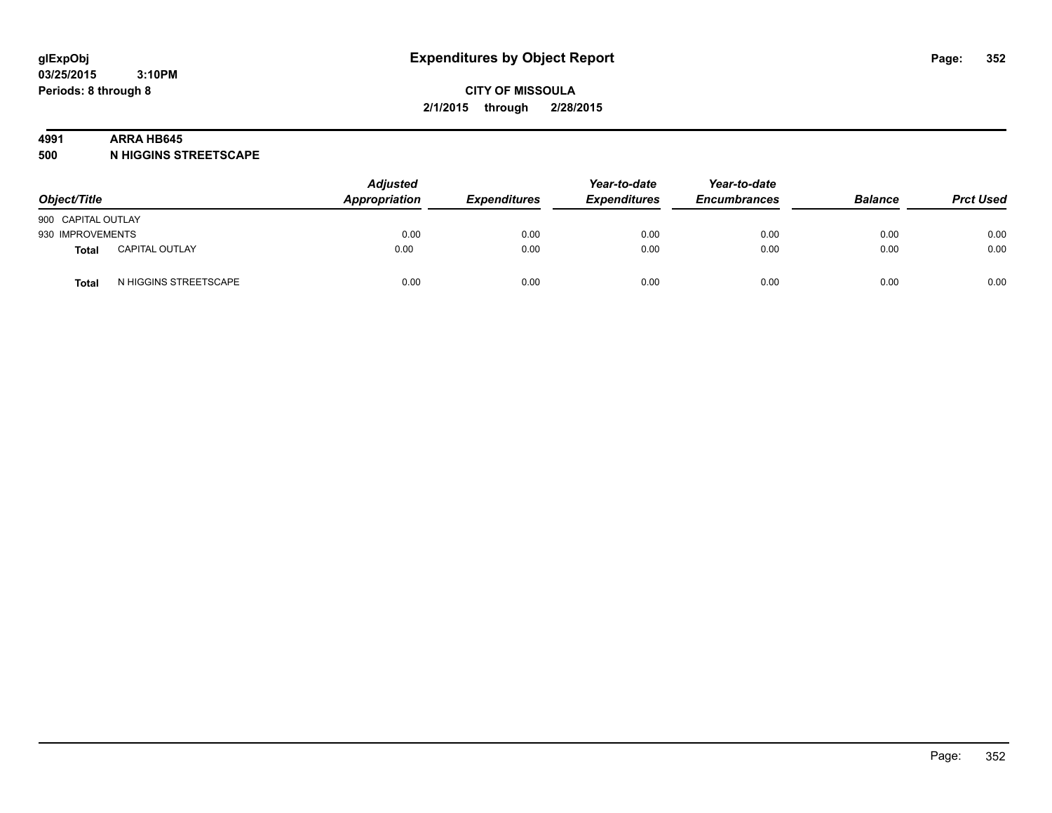#### **4991 ARRA HB645**

**500 N HIGGINS STREETSCAPE**

| Object/Title       |                       | <b>Adjusted</b><br><b>Appropriation</b> | <b>Expenditures</b> | Year-to-date<br><b>Expenditures</b> | Year-to-date<br><b>Encumbrances</b> | <b>Balance</b> | <b>Prct Used</b> |
|--------------------|-----------------------|-----------------------------------------|---------------------|-------------------------------------|-------------------------------------|----------------|------------------|
| 900 CAPITAL OUTLAY |                       |                                         |                     |                                     |                                     |                |                  |
| 930 IMPROVEMENTS   |                       | 0.00                                    | 0.00                | 0.00                                | 0.00                                | 0.00           | 0.00             |
| <b>Total</b>       | <b>CAPITAL OUTLAY</b> | 0.00                                    | 0.00                | 0.00                                | 0.00                                | 0.00           | 0.00             |
| Total              | N HIGGINS STREETSCAPE | 0.00                                    | 0.00                | 0.00                                | 0.00                                | 0.00           | 0.00             |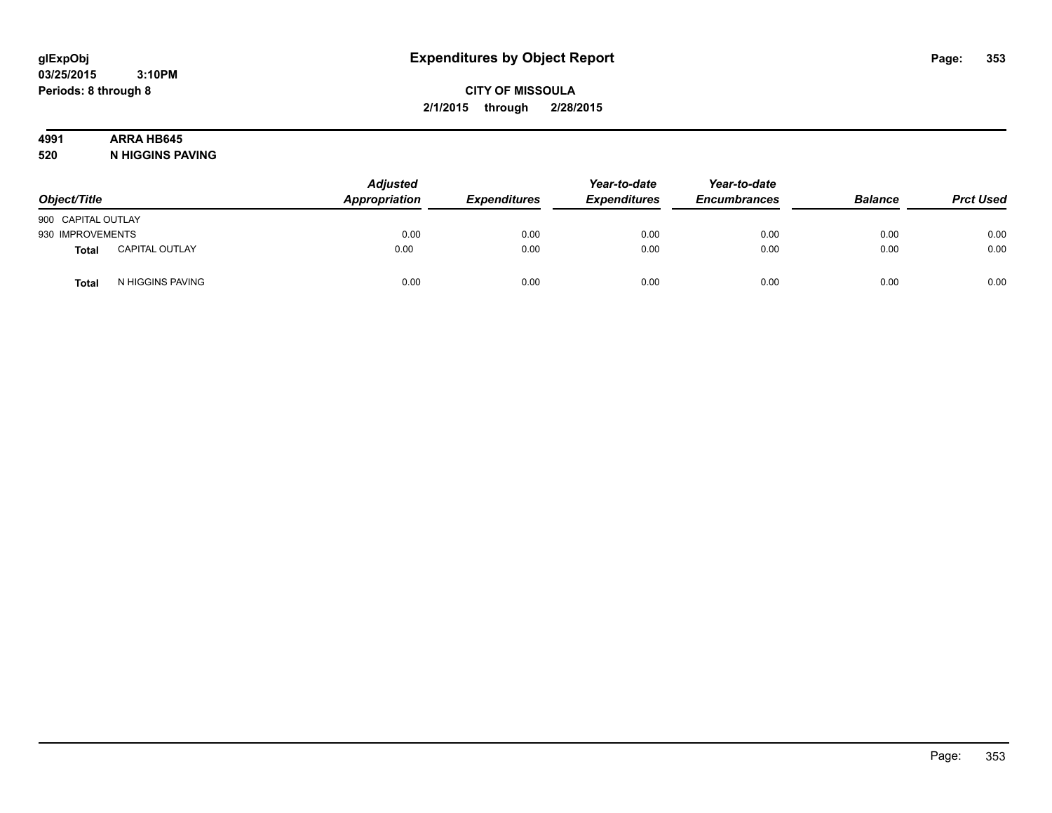# **4991 ARRA HB645**

**520 N HIGGINS PAVING**

| Object/Title       |                       | <b>Adjusted</b><br>Appropriation | <b>Expenditures</b> | Year-to-date<br><b>Expenditures</b> | Year-to-date<br><b>Encumbrances</b> | <b>Balance</b> | <b>Prct Used</b> |
|--------------------|-----------------------|----------------------------------|---------------------|-------------------------------------|-------------------------------------|----------------|------------------|
| 900 CAPITAL OUTLAY |                       |                                  |                     |                                     |                                     |                |                  |
| 930 IMPROVEMENTS   |                       | 0.00                             | 0.00                | 0.00                                | 0.00                                | 0.00           | 0.00             |
| Total              | <b>CAPITAL OUTLAY</b> | 0.00                             | 0.00                | 0.00                                | 0.00                                | 0.00           | 0.00             |
| <b>Total</b>       | N HIGGINS PAVING      | 0.00                             | 0.00                | 0.00                                | 0.00                                | 0.00           | 0.00             |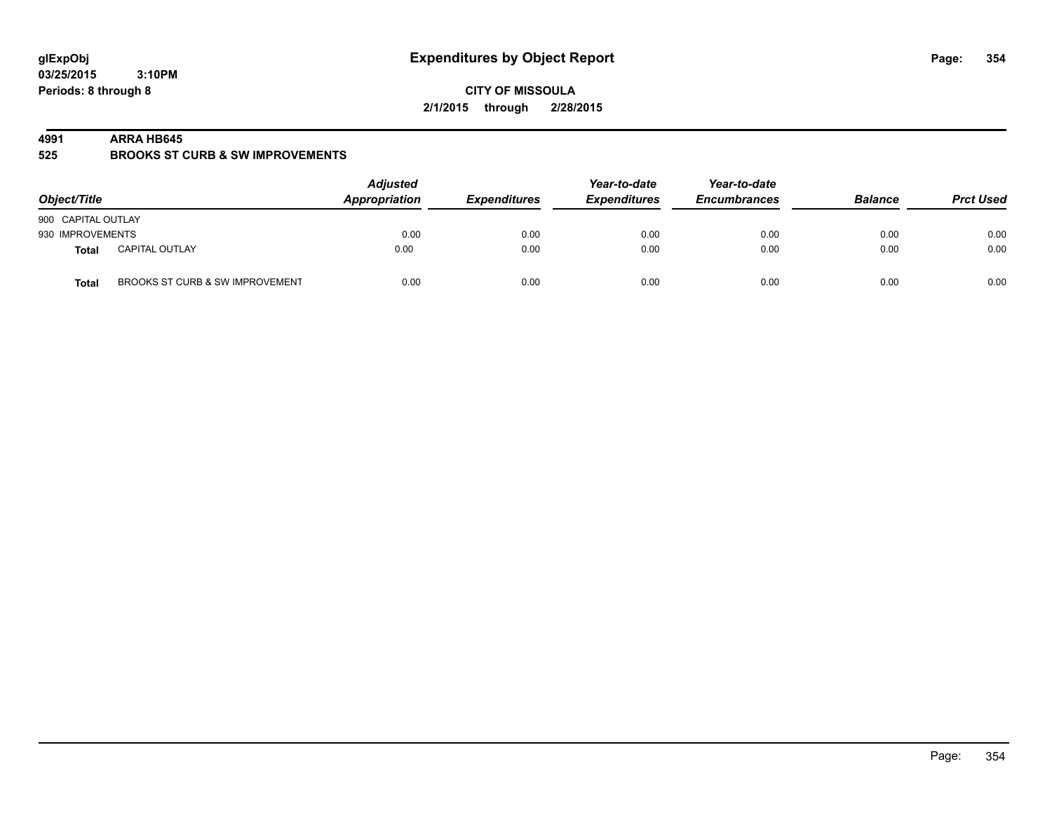**CITY OF MISSOULA 2/1/2015 through 2/28/2015**

#### **4991 ARRA HB645**

**525 BROOKS ST CURB & SW IMPROVEMENTS**

| Object/Title       |                                 | <b>Adjusted</b><br>Appropriation | <b>Expenditures</b> | Year-to-date<br><b>Expenditures</b> | Year-to-date<br><b>Encumbrances</b> | <b>Balance</b> | <b>Prct Used</b> |
|--------------------|---------------------------------|----------------------------------|---------------------|-------------------------------------|-------------------------------------|----------------|------------------|
| 900 CAPITAL OUTLAY |                                 |                                  |                     |                                     |                                     |                |                  |
| 930 IMPROVEMENTS   |                                 | 0.00                             | 0.00                | 0.00                                | 0.00                                | 0.00           | 0.00             |
| <b>Total</b>       | <b>CAPITAL OUTLAY</b>           | 0.00                             | 0.00                | 0.00                                | 0.00                                | 0.00           | 0.00             |
| <b>Total</b>       | BROOKS ST CURB & SW IMPROVEMENT | 0.00                             | 0.00                | 0.00                                | 0.00                                | 0.00           | 0.00             |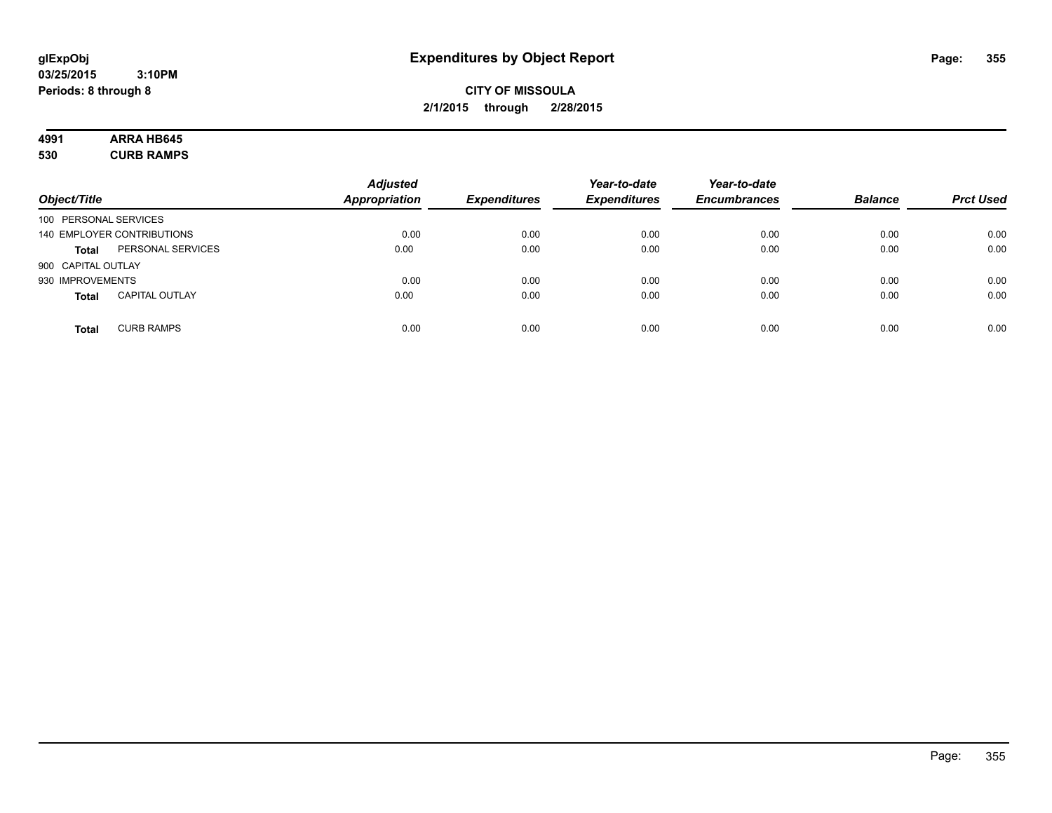# **4991 ARRA HB645**

**530 CURB RAMPS**

| Object/Title          |                            | <b>Adjusted</b><br><b>Appropriation</b> | <b>Expenditures</b> | Year-to-date<br><b>Expenditures</b> | Year-to-date<br><b>Encumbrances</b> | <b>Balance</b> | <b>Prct Used</b> |
|-----------------------|----------------------------|-----------------------------------------|---------------------|-------------------------------------|-------------------------------------|----------------|------------------|
| 100 PERSONAL SERVICES |                            |                                         |                     |                                     |                                     |                |                  |
|                       | 140 EMPLOYER CONTRIBUTIONS | 0.00                                    | 0.00                | 0.00                                | 0.00                                | 0.00           | 0.00             |
| <b>Total</b>          | PERSONAL SERVICES          | 0.00                                    | 0.00                | 0.00                                | 0.00                                | 0.00           | 0.00             |
| 900 CAPITAL OUTLAY    |                            |                                         |                     |                                     |                                     |                |                  |
| 930 IMPROVEMENTS      |                            | 0.00                                    | 0.00                | 0.00                                | 0.00                                | 0.00           | 0.00             |
| <b>Total</b>          | <b>CAPITAL OUTLAY</b>      | 0.00                                    | 0.00                | 0.00                                | 0.00                                | 0.00           | 0.00             |
| <b>Total</b>          | <b>CURB RAMPS</b>          | 0.00                                    | 0.00                | 0.00                                | 0.00                                | 0.00           | 0.00             |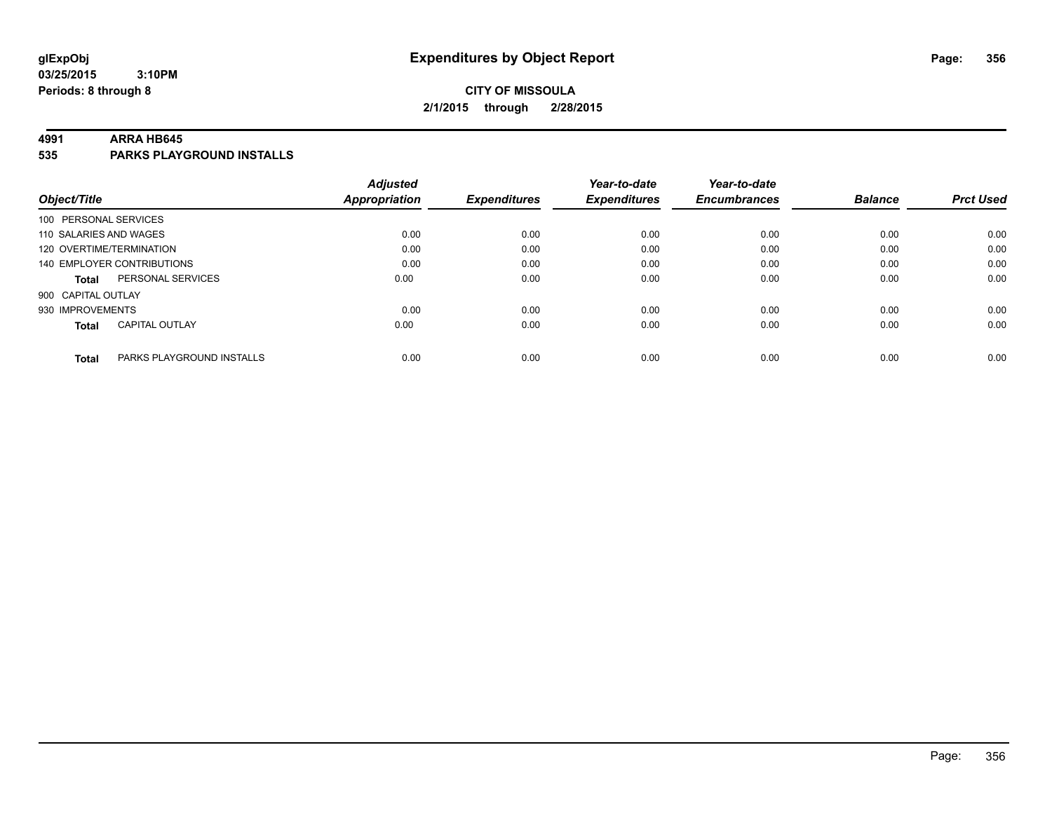# **CITY OF MISSOULA 2/1/2015 through 2/28/2015**

#### **4991 ARRA HB645**

**535 PARKS PLAYGROUND INSTALLS**

|                          |                            | <b>Adjusted</b>      |                     | Year-to-date        | Year-to-date        |                |                  |
|--------------------------|----------------------------|----------------------|---------------------|---------------------|---------------------|----------------|------------------|
| Object/Title             |                            | <b>Appropriation</b> | <b>Expenditures</b> | <b>Expenditures</b> | <b>Encumbrances</b> | <b>Balance</b> | <b>Prct Used</b> |
| 100 PERSONAL SERVICES    |                            |                      |                     |                     |                     |                |                  |
| 110 SALARIES AND WAGES   |                            | 0.00                 | 0.00                | 0.00                | 0.00                | 0.00           | 0.00             |
| 120 OVERTIME/TERMINATION |                            | 0.00                 | 0.00                | 0.00                | 0.00                | 0.00           | 0.00             |
|                          | 140 EMPLOYER CONTRIBUTIONS | 0.00                 | 0.00                | 0.00                | 0.00                | 0.00           | 0.00             |
| Total                    | PERSONAL SERVICES          | 0.00                 | 0.00                | 0.00                | 0.00                | 0.00           | 0.00             |
| 900 CAPITAL OUTLAY       |                            |                      |                     |                     |                     |                |                  |
| 930 IMPROVEMENTS         |                            | 0.00                 | 0.00                | 0.00                | 0.00                | 0.00           | 0.00             |
| <b>Total</b>             | <b>CAPITAL OUTLAY</b>      | 0.00                 | 0.00                | 0.00                | 0.00                | 0.00           | 0.00             |
|                          |                            |                      |                     |                     |                     |                |                  |
| <b>Total</b>             | PARKS PLAYGROUND INSTALLS  | 0.00                 | 0.00                | 0.00                | 0.00                | 0.00           | 0.00             |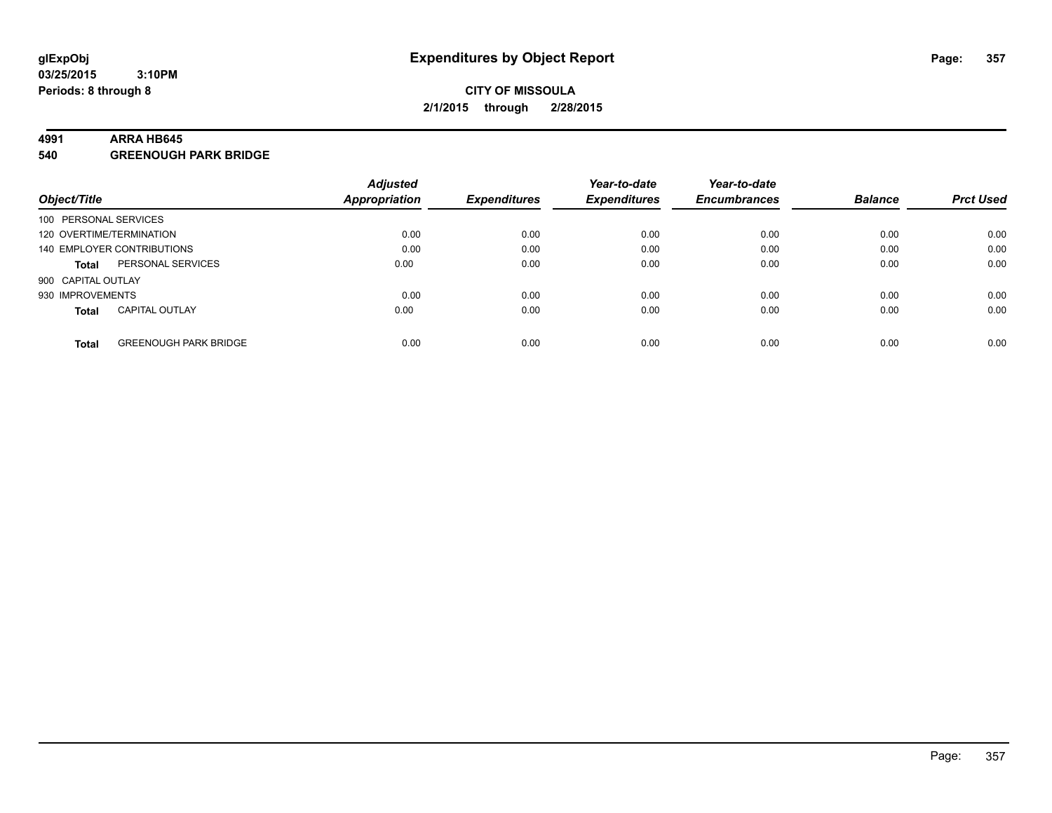#### **4991 ARRA HB645**

**540 GREENOUGH PARK BRIDGE**

|                          |                              | <b>Adjusted</b> |                     | Year-to-date        | Year-to-date        |                |                  |
|--------------------------|------------------------------|-----------------|---------------------|---------------------|---------------------|----------------|------------------|
| Object/Title             |                              | Appropriation   | <b>Expenditures</b> | <b>Expenditures</b> | <b>Encumbrances</b> | <b>Balance</b> | <b>Prct Used</b> |
| 100 PERSONAL SERVICES    |                              |                 |                     |                     |                     |                |                  |
| 120 OVERTIME/TERMINATION |                              | 0.00            | 0.00                | 0.00                | 0.00                | 0.00           | 0.00             |
|                          | 140 EMPLOYER CONTRIBUTIONS   | 0.00            | 0.00                | 0.00                | 0.00                | 0.00           | 0.00             |
| <b>Total</b>             | PERSONAL SERVICES            | 0.00            | 0.00                | 0.00                | 0.00                | 0.00           | 0.00             |
| 900 CAPITAL OUTLAY       |                              |                 |                     |                     |                     |                |                  |
| 930 IMPROVEMENTS         |                              | 0.00            | 0.00                | 0.00                | 0.00                | 0.00           | 0.00             |
| <b>Total</b>             | <b>CAPITAL OUTLAY</b>        | 0.00            | 0.00                | 0.00                | 0.00                | 0.00           | 0.00             |
| <b>Total</b>             | <b>GREENOUGH PARK BRIDGE</b> | 0.00            | 0.00                | 0.00                | 0.00                | 0.00           | 0.00             |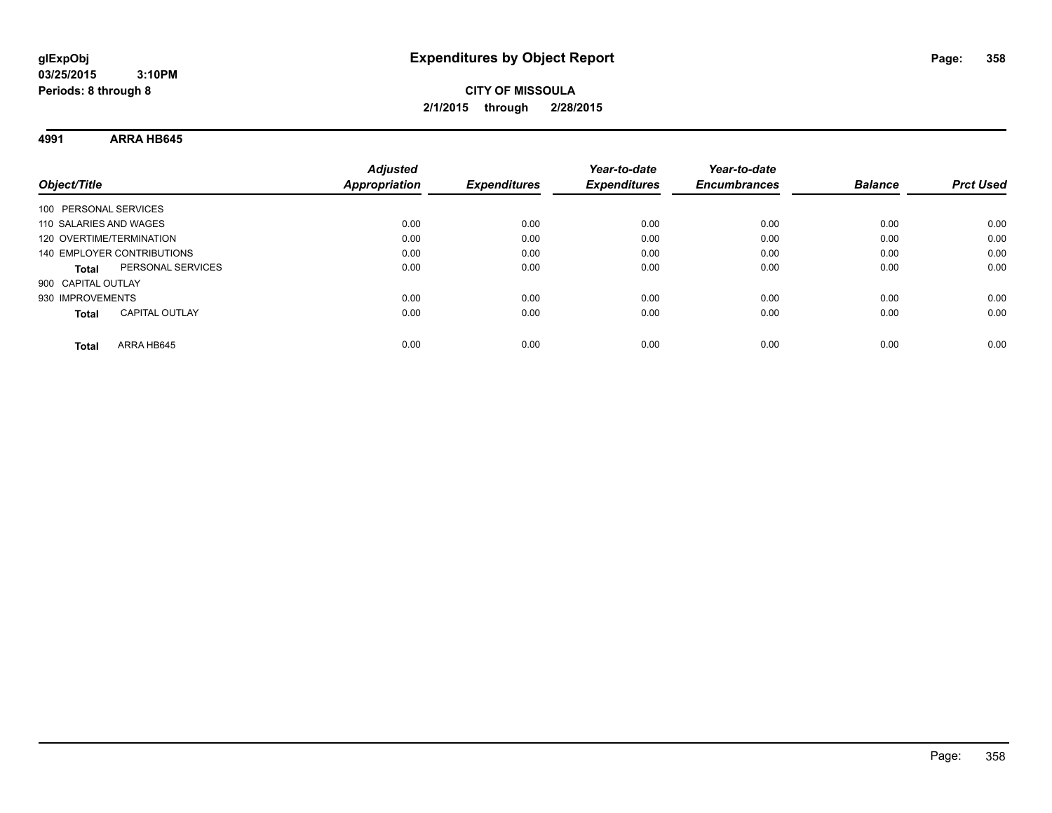**4991 ARRA HB645**

| Object/Title                          | <b>Adjusted</b><br><b>Appropriation</b> | <b>Expenditures</b> | Year-to-date<br><b>Expenditures</b> | Year-to-date<br><b>Encumbrances</b> | <b>Balance</b> | <b>Prct Used</b> |
|---------------------------------------|-----------------------------------------|---------------------|-------------------------------------|-------------------------------------|----------------|------------------|
| 100 PERSONAL SERVICES                 |                                         |                     |                                     |                                     |                |                  |
| 110 SALARIES AND WAGES                | 0.00                                    | 0.00                | 0.00                                | 0.00                                | 0.00           | 0.00             |
| 120 OVERTIME/TERMINATION              | 0.00                                    | 0.00                | 0.00                                | 0.00                                | 0.00           | 0.00             |
| 140 EMPLOYER CONTRIBUTIONS            | 0.00                                    | 0.00                | 0.00                                | 0.00                                | 0.00           | 0.00             |
| PERSONAL SERVICES<br><b>Total</b>     | 0.00                                    | 0.00                | 0.00                                | 0.00                                | 0.00           | 0.00             |
| 900 CAPITAL OUTLAY                    |                                         |                     |                                     |                                     |                |                  |
| 930 IMPROVEMENTS                      | 0.00                                    | 0.00                | 0.00                                | 0.00                                | 0.00           | 0.00             |
| <b>CAPITAL OUTLAY</b><br><b>Total</b> | 0.00                                    | 0.00                | 0.00                                | 0.00                                | 0.00           | 0.00             |
| ARRA HB645<br>Total                   | 0.00                                    | 0.00                | 0.00                                | 0.00                                | 0.00           | 0.00             |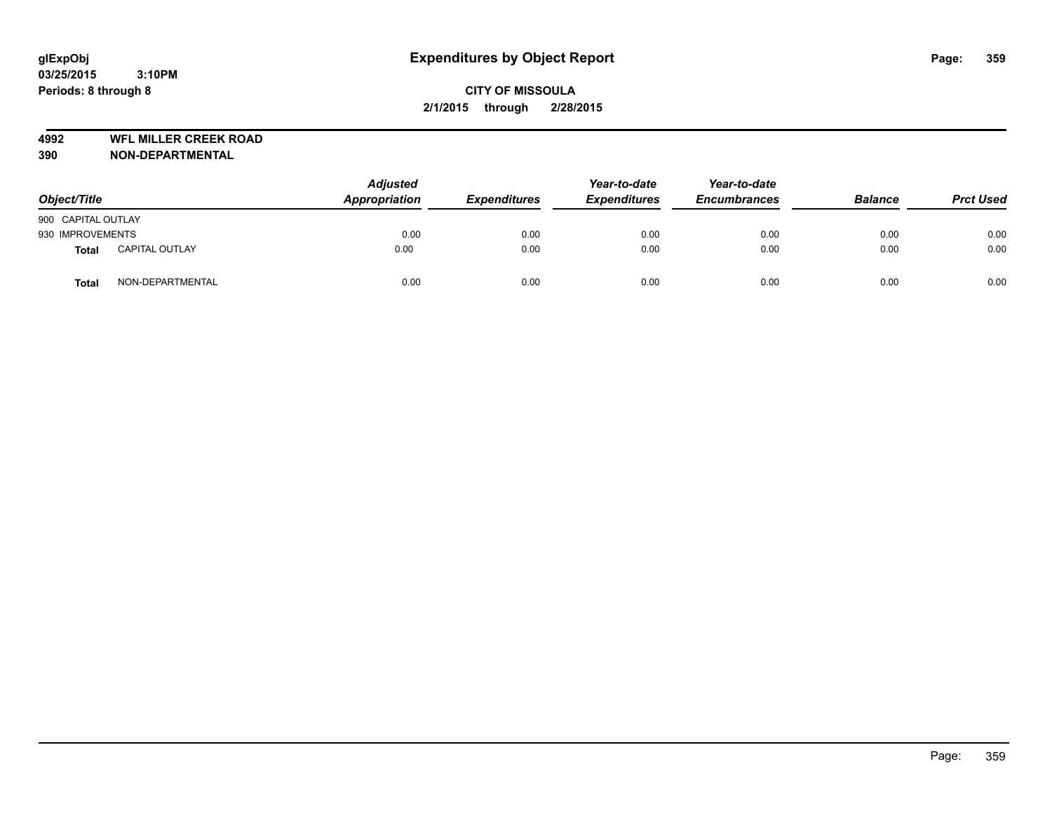**4992 WFL MILLER CREEK ROAD**

| Object/Title       |                       | <b>Adjusted</b><br><b>Appropriation</b> | <b>Expenditures</b> | Year-to-date<br><b>Expenditures</b> | Year-to-date<br><b>Encumbrances</b> | <b>Balance</b> | <b>Prct Used</b> |
|--------------------|-----------------------|-----------------------------------------|---------------------|-------------------------------------|-------------------------------------|----------------|------------------|
| 900 CAPITAL OUTLAY |                       |                                         |                     |                                     |                                     |                |                  |
| 930 IMPROVEMENTS   |                       | 0.00                                    | 0.00                | 0.00                                | 0.00                                | 0.00           | 0.00             |
| <b>Total</b>       | <b>CAPITAL OUTLAY</b> | 0.00                                    | 0.00                | 0.00                                | 0.00                                | 0.00           | 0.00             |
| Total              | NON-DEPARTMENTAL      | 0.00                                    | 0.00                | 0.00                                | 0.00                                | 0.00           | 0.00             |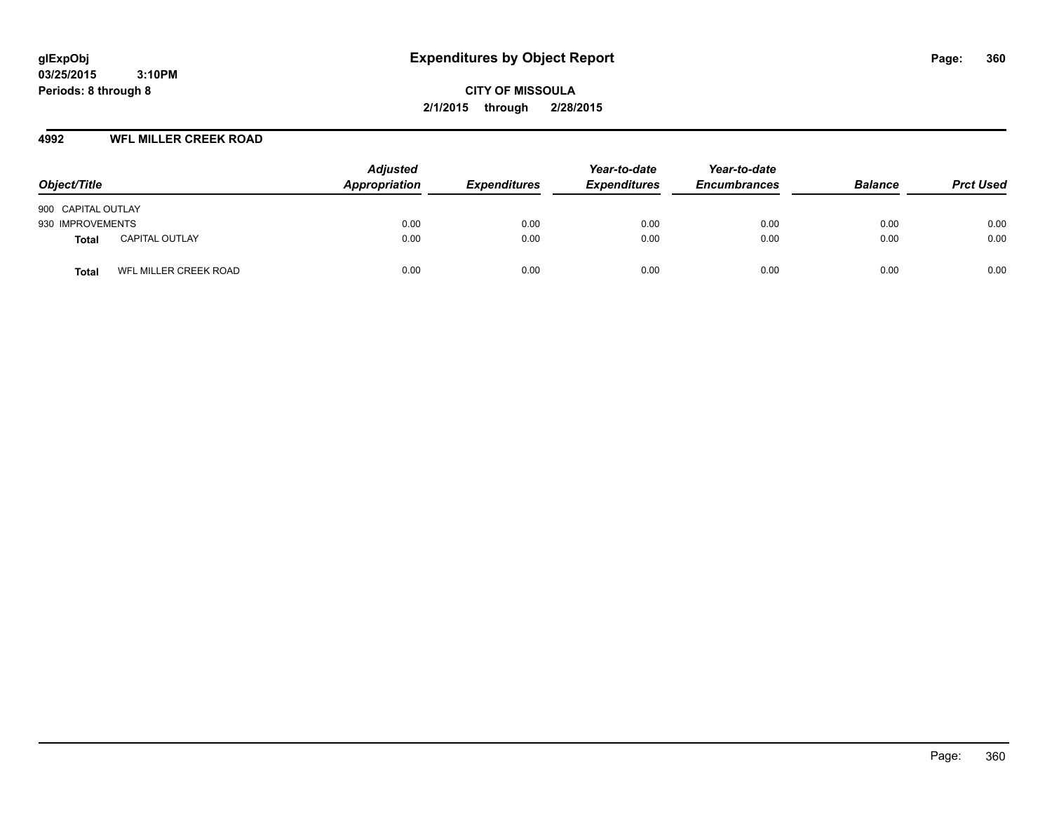**CITY OF MISSOULA 2/1/2015 through 2/28/2015**

## **4992 WFL MILLER CREEK ROAD**

| Object/Title                          | <b>Adjusted</b><br>Appropriation | <b>Expenditures</b> | Year-to-date<br><b>Expenditures</b> | Year-to-date<br><b>Encumbrances</b> | <b>Balance</b> | <b>Prct Used</b> |
|---------------------------------------|----------------------------------|---------------------|-------------------------------------|-------------------------------------|----------------|------------------|
| 900 CAPITAL OUTLAY                    |                                  |                     |                                     |                                     |                |                  |
| 930 IMPROVEMENTS                      | 0.00                             | 0.00                | 0.00                                | 0.00                                | 0.00           | 0.00             |
| <b>CAPITAL OUTLAY</b><br>Total        | 0.00                             | 0.00                | 0.00                                | 0.00                                | 0.00           | 0.00             |
| WFL MILLER CREEK ROAD<br><b>Total</b> | 0.00                             | 0.00                | 0.00                                | 0.00                                | 0.00           | 0.00             |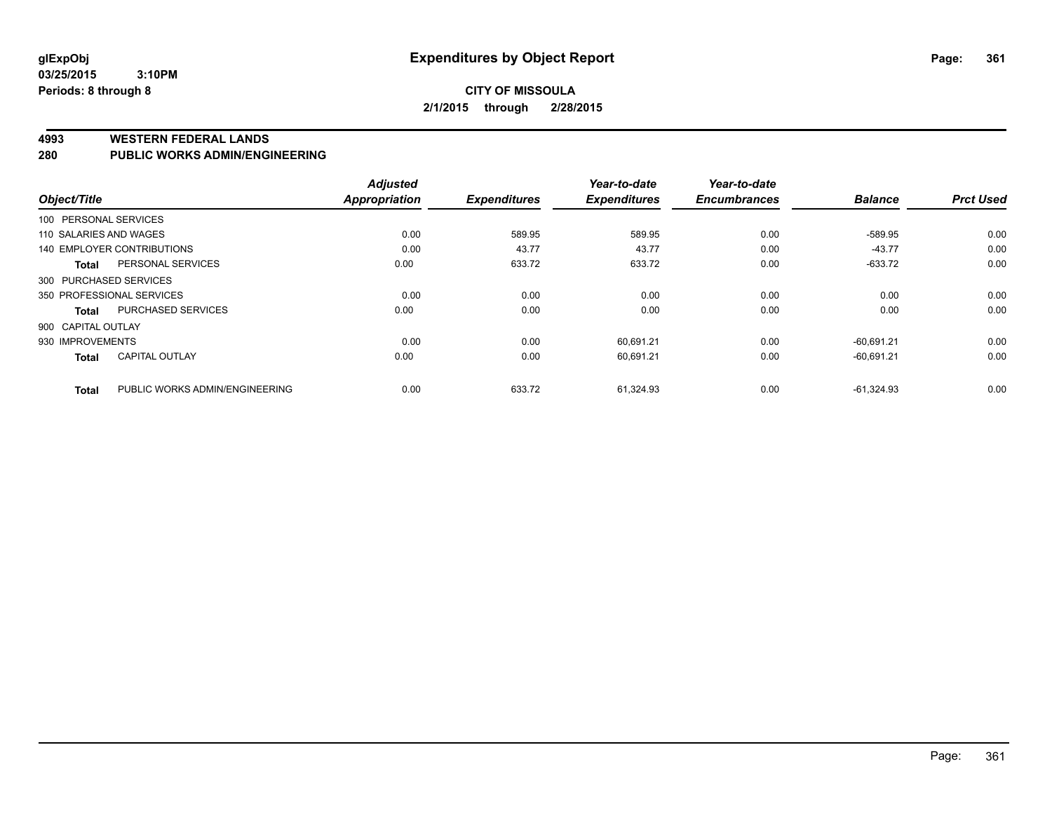#### **4993 WESTERN FEDERAL LANDS**

#### **280 PUBLIC WORKS ADMIN/ENGINEERING**

| Object/Title               |                                | <b>Adjusted</b><br><b>Appropriation</b> | <b>Expenditures</b> | Year-to-date<br><b>Expenditures</b> | Year-to-date<br><b>Encumbrances</b> | <b>Balance</b> | <b>Prct Used</b> |
|----------------------------|--------------------------------|-----------------------------------------|---------------------|-------------------------------------|-------------------------------------|----------------|------------------|
|                            |                                |                                         |                     |                                     |                                     |                |                  |
| 100 PERSONAL SERVICES      |                                |                                         |                     |                                     |                                     |                |                  |
| 110 SALARIES AND WAGES     |                                | 0.00                                    | 589.95              | 589.95                              | 0.00                                | $-589.95$      | 0.00             |
| 140 EMPLOYER CONTRIBUTIONS |                                | 0.00                                    | 43.77               | 43.77                               | 0.00                                | $-43.77$       | 0.00             |
| <b>Total</b>               | PERSONAL SERVICES              | 0.00                                    | 633.72              | 633.72                              | 0.00                                | $-633.72$      | 0.00             |
| 300 PURCHASED SERVICES     |                                |                                         |                     |                                     |                                     |                |                  |
| 350 PROFESSIONAL SERVICES  |                                | 0.00                                    | 0.00                | 0.00                                | 0.00                                | 0.00           | 0.00             |
| Total                      | PURCHASED SERVICES             | 0.00                                    | 0.00                | 0.00                                | 0.00                                | 0.00           | 0.00             |
| 900 CAPITAL OUTLAY         |                                |                                         |                     |                                     |                                     |                |                  |
| 930 IMPROVEMENTS           |                                | 0.00                                    | 0.00                | 60.691.21                           | 0.00                                | $-60.691.21$   | 0.00             |
| <b>Total</b>               | <b>CAPITAL OUTLAY</b>          | 0.00                                    | 0.00                | 60.691.21                           | 0.00                                | $-60,691.21$   | 0.00             |
| <b>Total</b>               | PUBLIC WORKS ADMIN/ENGINEERING | 0.00                                    | 633.72              | 61,324.93                           | 0.00                                | $-61,324.93$   | 0.00             |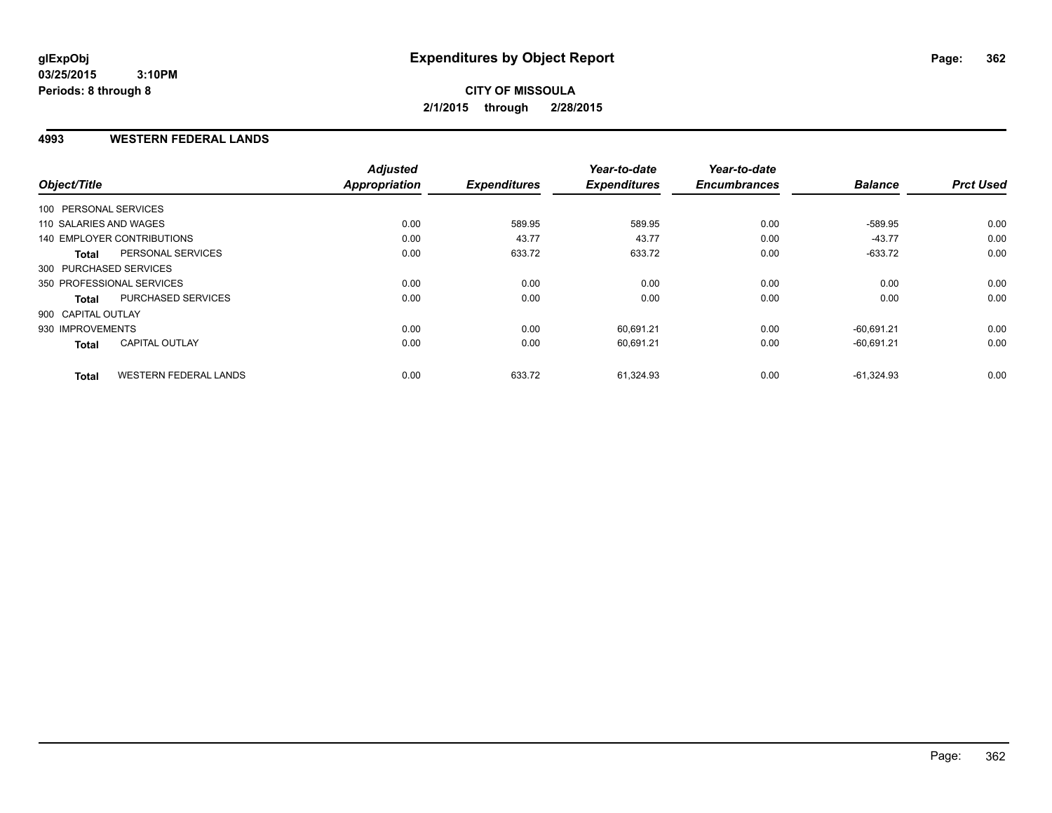### **CITY OF MISSOULA 2/1/2015 through 2/28/2015**

#### **4993 WESTERN FEDERAL LANDS**

|                        |                                   | <b>Adjusted</b>      |                     | Year-to-date        | Year-to-date        |                |                  |
|------------------------|-----------------------------------|----------------------|---------------------|---------------------|---------------------|----------------|------------------|
| Object/Title           |                                   | <b>Appropriation</b> | <b>Expenditures</b> | <b>Expenditures</b> | <b>Encumbrances</b> | <b>Balance</b> | <b>Prct Used</b> |
| 100 PERSONAL SERVICES  |                                   |                      |                     |                     |                     |                |                  |
| 110 SALARIES AND WAGES |                                   | 0.00                 | 589.95              | 589.95              | 0.00                | $-589.95$      | 0.00             |
|                        | <b>140 EMPLOYER CONTRIBUTIONS</b> | 0.00                 | 43.77               | 43.77               | 0.00                | $-43.77$       | 0.00             |
| <b>Total</b>           | PERSONAL SERVICES                 | 0.00                 | 633.72              | 633.72              | 0.00                | $-633.72$      | 0.00             |
| 300 PURCHASED SERVICES |                                   |                      |                     |                     |                     |                |                  |
|                        | 350 PROFESSIONAL SERVICES         | 0.00                 | 0.00                | 0.00                | 0.00                | 0.00           | 0.00             |
| <b>Total</b>           | PURCHASED SERVICES                | 0.00                 | 0.00                | 0.00                | 0.00                | 0.00           | 0.00             |
| 900 CAPITAL OUTLAY     |                                   |                      |                     |                     |                     |                |                  |
| 930 IMPROVEMENTS       |                                   | 0.00                 | 0.00                | 60.691.21           | 0.00                | $-60.691.21$   | 0.00             |
| Total                  | CAPITAL OUTLAY                    | 0.00                 | 0.00                | 60,691.21           | 0.00                | $-60,691.21$   | 0.00             |
| <b>Total</b>           | <b>WESTERN FEDERAL LANDS</b>      | 0.00                 | 633.72              | 61.324.93           | 0.00                | -61.324.93     | 0.00             |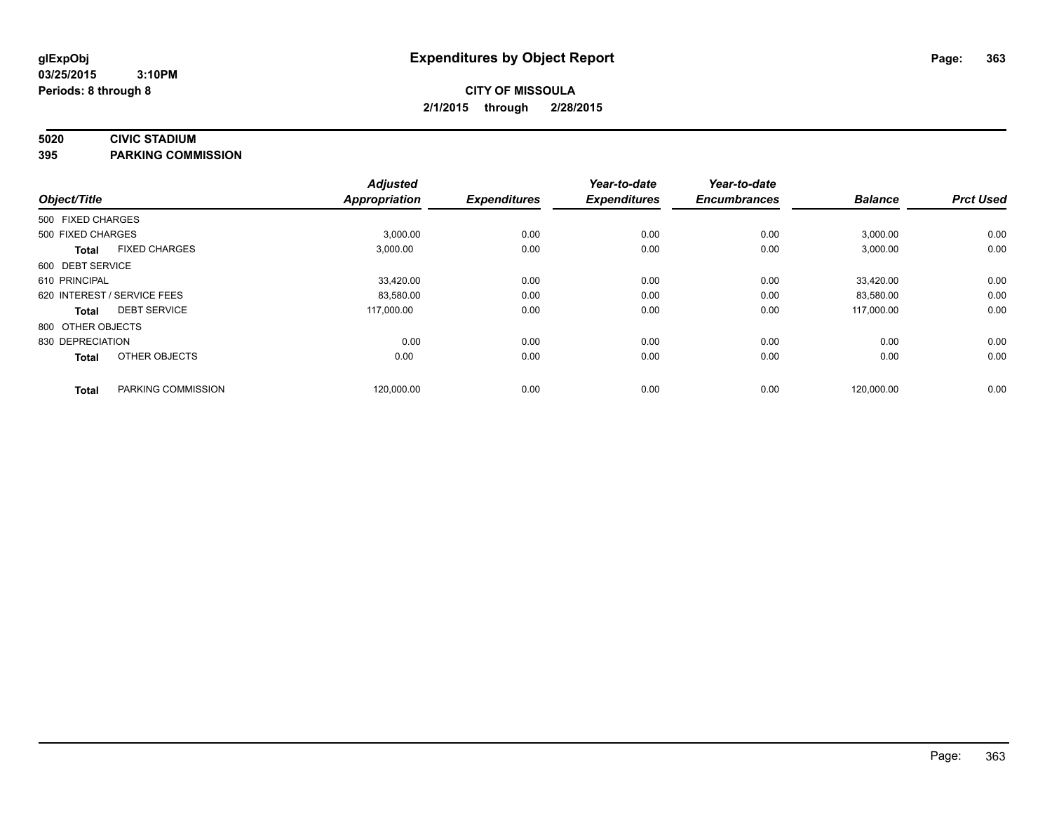### **5020 CIVIC STADIUM**

**395 PARKING COMMISSION**

|                   |                             | <b>Adjusted</b>      |                     | Year-to-date        | Year-to-date<br><b>Encumbrances</b> | <b>Balance</b> | <b>Prct Used</b> |
|-------------------|-----------------------------|----------------------|---------------------|---------------------|-------------------------------------|----------------|------------------|
| Object/Title      |                             | <b>Appropriation</b> | <b>Expenditures</b> | <b>Expenditures</b> |                                     |                |                  |
| 500 FIXED CHARGES |                             |                      |                     |                     |                                     |                |                  |
| 500 FIXED CHARGES |                             | 3,000.00             | 0.00                | 0.00                | 0.00                                | 3,000.00       | 0.00             |
| <b>Total</b>      | <b>FIXED CHARGES</b>        | 3,000.00             | 0.00                | 0.00                | 0.00                                | 3,000.00       | 0.00             |
| 600 DEBT SERVICE  |                             |                      |                     |                     |                                     |                |                  |
| 610 PRINCIPAL     |                             | 33,420.00            | 0.00                | 0.00                | 0.00                                | 33,420.00      | 0.00             |
|                   | 620 INTEREST / SERVICE FEES | 83,580.00            | 0.00                | 0.00                | 0.00                                | 83,580.00      | 0.00             |
| <b>Total</b>      | <b>DEBT SERVICE</b>         | 117,000.00           | 0.00                | 0.00                | 0.00                                | 117,000.00     | 0.00             |
| 800 OTHER OBJECTS |                             |                      |                     |                     |                                     |                |                  |
| 830 DEPRECIATION  |                             | 0.00                 | 0.00                | 0.00                | 0.00                                | 0.00           | 0.00             |
| <b>Total</b>      | OTHER OBJECTS               | 0.00                 | 0.00                | 0.00                | 0.00                                | 0.00           | 0.00             |
| <b>Total</b>      | PARKING COMMISSION          | 120,000.00           | 0.00                | 0.00                | 0.00                                | 120,000.00     | 0.00             |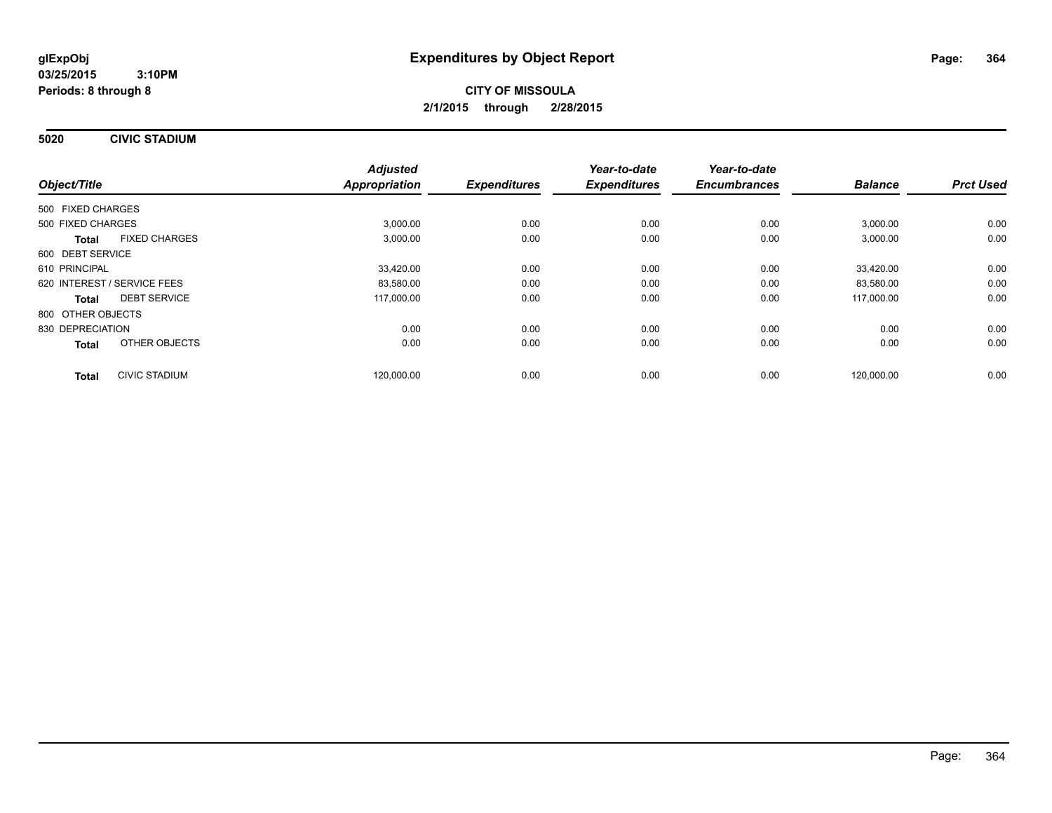**5020 CIVIC STADIUM**

| Object/Title                |                      | <b>Adjusted</b><br><b>Appropriation</b> | <b>Expenditures</b> | Year-to-date<br><b>Expenditures</b> | Year-to-date<br><b>Encumbrances</b> | <b>Balance</b> | <b>Prct Used</b> |
|-----------------------------|----------------------|-----------------------------------------|---------------------|-------------------------------------|-------------------------------------|----------------|------------------|
|                             |                      |                                         |                     |                                     |                                     |                |                  |
| 500 FIXED CHARGES           |                      |                                         |                     |                                     |                                     |                |                  |
| 500 FIXED CHARGES           |                      | 3,000.00                                | 0.00                | 0.00                                | 0.00                                | 3,000.00       | 0.00             |
| <b>Total</b>                | <b>FIXED CHARGES</b> | 3,000.00                                | 0.00                | 0.00                                | 0.00                                | 3,000.00       | 0.00             |
| 600 DEBT SERVICE            |                      |                                         |                     |                                     |                                     |                |                  |
| 610 PRINCIPAL               |                      | 33,420.00                               | 0.00                | 0.00                                | 0.00                                | 33,420.00      | 0.00             |
| 620 INTEREST / SERVICE FEES |                      | 83,580.00                               | 0.00                | 0.00                                | 0.00                                | 83,580.00      | 0.00             |
| <b>Total</b>                | <b>DEBT SERVICE</b>  | 117,000.00                              | 0.00                | 0.00                                | 0.00                                | 117,000.00     | 0.00             |
| 800 OTHER OBJECTS           |                      |                                         |                     |                                     |                                     |                |                  |
| 830 DEPRECIATION            |                      | 0.00                                    | 0.00                | 0.00                                | 0.00                                | 0.00           | 0.00             |
| <b>Total</b>                | OTHER OBJECTS        | 0.00                                    | 0.00                | 0.00                                | 0.00                                | 0.00           | 0.00             |
| <b>Total</b>                | <b>CIVIC STADIUM</b> | 120,000.00                              | 0.00                | 0.00                                | 0.00                                | 120,000.00     | 0.00             |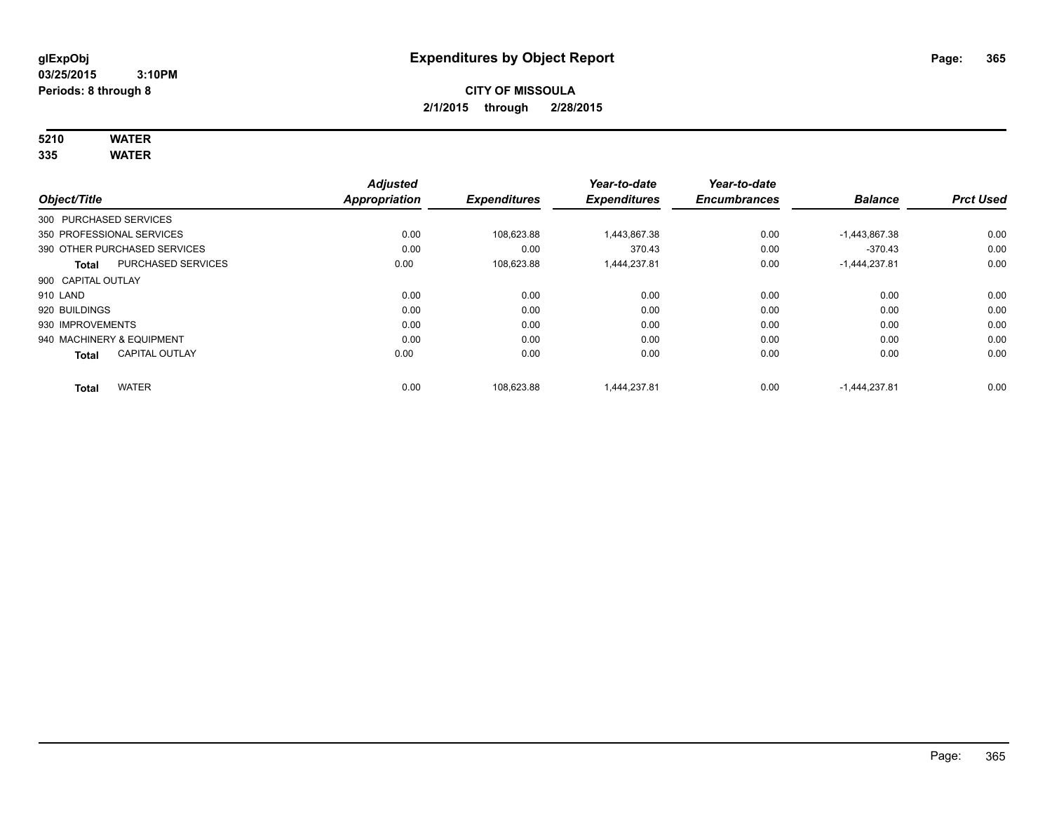# **5210 WATER**

**335 WATER**

|                           |                              | <b>Adjusted</b> |                     | Year-to-date        | Year-to-date        |                 |                  |
|---------------------------|------------------------------|-----------------|---------------------|---------------------|---------------------|-----------------|------------------|
| Object/Title              |                              | Appropriation   | <b>Expenditures</b> | <b>Expenditures</b> | <b>Encumbrances</b> | <b>Balance</b>  | <b>Prct Used</b> |
| 300 PURCHASED SERVICES    |                              |                 |                     |                     |                     |                 |                  |
|                           | 350 PROFESSIONAL SERVICES    | 0.00            | 108,623.88          | 1,443,867.38        | 0.00                | $-1,443,867.38$ | 0.00             |
|                           | 390 OTHER PURCHASED SERVICES | 0.00            | 0.00                | 370.43              | 0.00                | $-370.43$       | 0.00             |
| <b>Total</b>              | PURCHASED SERVICES           | 0.00            | 108,623.88          | 1,444,237.81        | 0.00                | $-1,444,237.81$ | 0.00             |
| 900 CAPITAL OUTLAY        |                              |                 |                     |                     |                     |                 |                  |
| 910 LAND                  |                              | 0.00            | 0.00                | 0.00                | 0.00                | 0.00            | 0.00             |
| 920 BUILDINGS             |                              | 0.00            | 0.00                | 0.00                | 0.00                | 0.00            | 0.00             |
| 930 IMPROVEMENTS          |                              | 0.00            | 0.00                | 0.00                | 0.00                | 0.00            | 0.00             |
| 940 MACHINERY & EQUIPMENT |                              | 0.00            | 0.00                | 0.00                | 0.00                | 0.00            | 0.00             |
| <b>Total</b>              | <b>CAPITAL OUTLAY</b>        | 0.00            | 0.00                | 0.00                | 0.00                | 0.00            | 0.00             |
| <b>Total</b>              | <b>WATER</b>                 | 0.00            | 108.623.88          | 1.444.237.81        | 0.00                | $-1.444.237.81$ | 0.00             |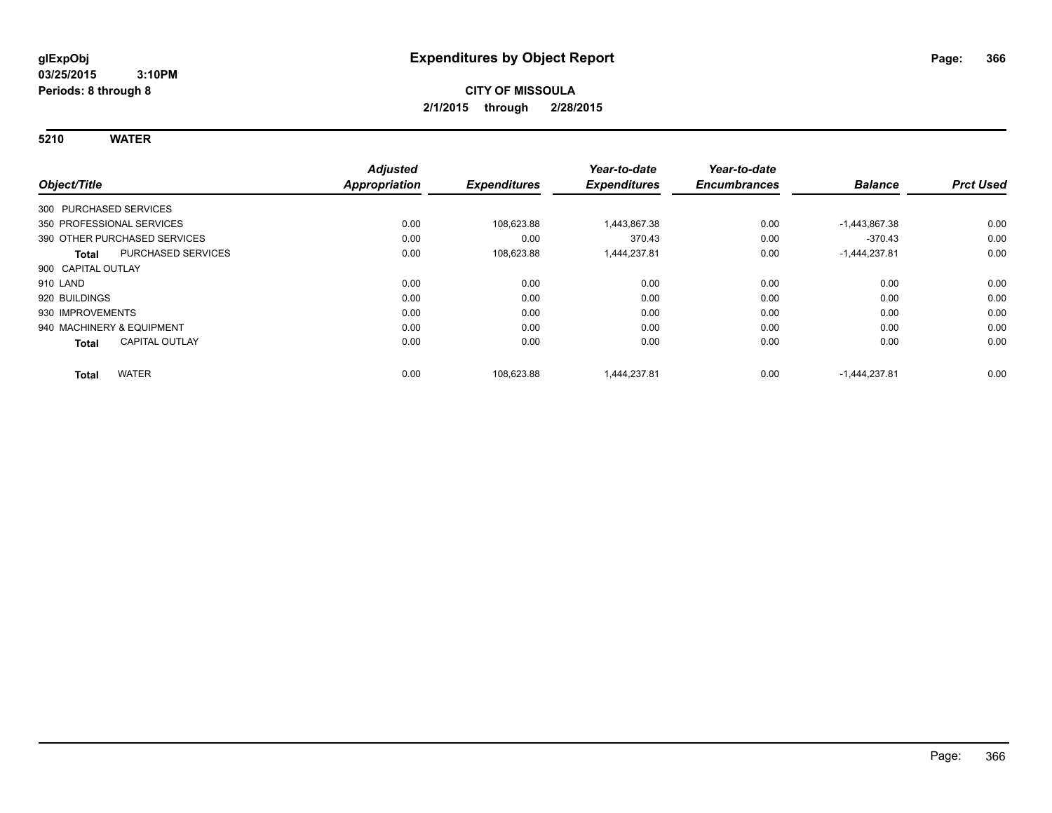**5210 WATER**

|                                           | <b>Adjusted</b>      |                     | Year-to-date        | Year-to-date        |                 |                  |
|-------------------------------------------|----------------------|---------------------|---------------------|---------------------|-----------------|------------------|
| Object/Title                              | <b>Appropriation</b> | <b>Expenditures</b> | <b>Expenditures</b> | <b>Encumbrances</b> | <b>Balance</b>  | <b>Prct Used</b> |
| 300 PURCHASED SERVICES                    |                      |                     |                     |                     |                 |                  |
| 350 PROFESSIONAL SERVICES                 | 0.00                 | 108.623.88          | 1,443,867.38        | 0.00                | $-1,443,867.38$ | 0.00             |
| 390 OTHER PURCHASED SERVICES              | 0.00                 | 0.00                | 370.43              | 0.00                | $-370.43$       | 0.00             |
| <b>PURCHASED SERVICES</b><br><b>Total</b> | 0.00                 | 108,623.88          | 1,444,237.81        | 0.00                | $-1,444,237.81$ | 0.00             |
| 900 CAPITAL OUTLAY                        |                      |                     |                     |                     |                 |                  |
| 910 LAND                                  | 0.00                 | 0.00                | 0.00                | 0.00                | 0.00            | 0.00             |
| 920 BUILDINGS                             | 0.00                 | 0.00                | 0.00                | 0.00                | 0.00            | 0.00             |
| 930 IMPROVEMENTS                          | 0.00                 | 0.00                | 0.00                | 0.00                | 0.00            | 0.00             |
| 940 MACHINERY & EQUIPMENT                 | 0.00                 | 0.00                | 0.00                | 0.00                | 0.00            | 0.00             |
| <b>CAPITAL OUTLAY</b><br><b>Total</b>     | 0.00                 | 0.00                | 0.00                | 0.00                | 0.00            | 0.00             |
| <b>WATER</b><br><b>Total</b>              | 0.00                 | 108,623.88          | 1,444,237.81        | 0.00                | $-1,444,237.81$ | 0.00             |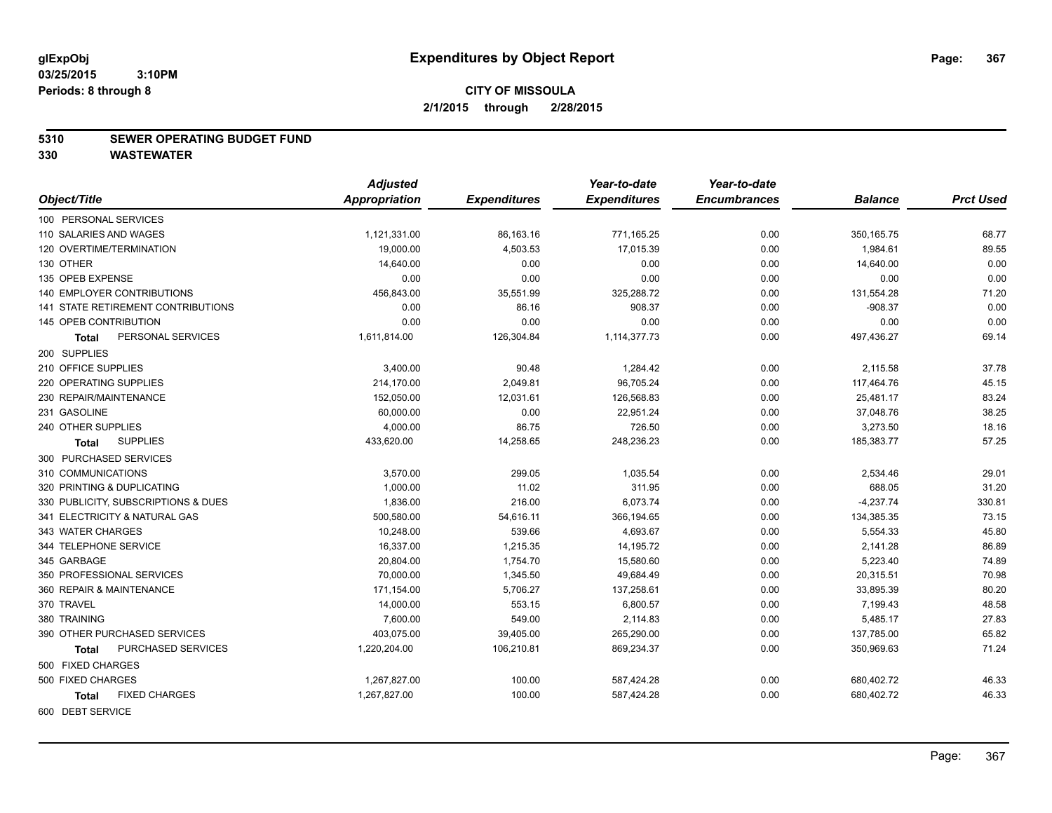#### **5310 SEWER OPERATING BUDGET FUND**

|                                           | <b>Adjusted</b> |                     | Year-to-date        | Year-to-date        |                |                  |
|-------------------------------------------|-----------------|---------------------|---------------------|---------------------|----------------|------------------|
| Object/Title                              | Appropriation   | <b>Expenditures</b> | <b>Expenditures</b> | <b>Encumbrances</b> | <b>Balance</b> | <b>Prct Used</b> |
| 100 PERSONAL SERVICES                     |                 |                     |                     |                     |                |                  |
| 110 SALARIES AND WAGES                    | 1,121,331.00    | 86,163.16           | 771,165.25          | 0.00                | 350, 165.75    | 68.77            |
| 120 OVERTIME/TERMINATION                  | 19,000.00       | 4,503.53            | 17,015.39           | 0.00                | 1,984.61       | 89.55            |
| 130 OTHER                                 | 14,640.00       | 0.00                | 0.00                | 0.00                | 14,640.00      | 0.00             |
| 135 OPEB EXPENSE                          | 0.00            | 0.00                | 0.00                | 0.00                | 0.00           | 0.00             |
| 140 EMPLOYER CONTRIBUTIONS                | 456,843.00      | 35,551.99           | 325,288.72          | 0.00                | 131,554.28     | 71.20            |
| <b>141 STATE RETIREMENT CONTRIBUTIONS</b> | 0.00            | 86.16               | 908.37              | 0.00                | $-908.37$      | 0.00             |
| 145 OPEB CONTRIBUTION                     | 0.00            | 0.00                | 0.00                | 0.00                | 0.00           | 0.00             |
| PERSONAL SERVICES<br>Total                | 1,611,814.00    | 126,304.84          | 1,114,377.73        | 0.00                | 497,436.27     | 69.14            |
| 200 SUPPLIES                              |                 |                     |                     |                     |                |                  |
| 210 OFFICE SUPPLIES                       | 3,400.00        | 90.48               | 1,284.42            | 0.00                | 2,115.58       | 37.78            |
| 220 OPERATING SUPPLIES                    | 214,170.00      | 2,049.81            | 96,705.24           | 0.00                | 117,464.76     | 45.15            |
| 230 REPAIR/MAINTENANCE                    | 152,050.00      | 12,031.61           | 126,568.83          | 0.00                | 25,481.17      | 83.24            |
| 231 GASOLINE                              | 60,000.00       | 0.00                | 22,951.24           | 0.00                | 37,048.76      | 38.25            |
| 240 OTHER SUPPLIES                        | 4,000.00        | 86.75               | 726.50              | 0.00                | 3,273.50       | 18.16            |
| <b>SUPPLIES</b><br>Total                  | 433,620.00      | 14,258.65           | 248,236.23          | 0.00                | 185,383.77     | 57.25            |
| 300 PURCHASED SERVICES                    |                 |                     |                     |                     |                |                  |
| 310 COMMUNICATIONS                        | 3,570.00        | 299.05              | 1,035.54            | 0.00                | 2,534.46       | 29.01            |
| 320 PRINTING & DUPLICATING                | 1,000.00        | 11.02               | 311.95              | 0.00                | 688.05         | 31.20            |
| 330 PUBLICITY, SUBSCRIPTIONS & DUES       | 1,836.00        | 216.00              | 6,073.74            | 0.00                | $-4,237.74$    | 330.81           |
| 341 ELECTRICITY & NATURAL GAS             | 500,580.00      | 54,616.11           | 366,194.65          | 0.00                | 134,385.35     | 73.15            |
| 343 WATER CHARGES                         | 10,248.00       | 539.66              | 4,693.67            | 0.00                | 5,554.33       | 45.80            |
| 344 TELEPHONE SERVICE                     | 16,337.00       | 1,215.35            | 14,195.72           | 0.00                | 2,141.28       | 86.89            |
| 345 GARBAGE                               | 20,804.00       | 1,754.70            | 15,580.60           | 0.00                | 5,223.40       | 74.89            |
| 350 PROFESSIONAL SERVICES                 | 70,000.00       | 1,345.50            | 49,684.49           | 0.00                | 20,315.51      | 70.98            |
| 360 REPAIR & MAINTENANCE                  | 171,154.00      | 5,706.27            | 137,258.61          | 0.00                | 33,895.39      | 80.20            |
| 370 TRAVEL                                | 14,000.00       | 553.15              | 6,800.57            | 0.00                | 7,199.43       | 48.58            |
| 380 TRAINING                              | 7,600.00        | 549.00              | 2,114.83            | 0.00                | 5,485.17       | 27.83            |
| 390 OTHER PURCHASED SERVICES              | 403,075.00      | 39,405.00           | 265,290.00          | 0.00                | 137,785.00     | 65.82            |
| PURCHASED SERVICES<br><b>Total</b>        | 1,220,204.00    | 106,210.81          | 869,234.37          | 0.00                | 350,969.63     | 71.24            |
| 500 FIXED CHARGES                         |                 |                     |                     |                     |                |                  |
| 500 FIXED CHARGES                         | 1,267,827.00    | 100.00              | 587,424.28          | 0.00                | 680,402.72     | 46.33            |
| <b>FIXED CHARGES</b><br><b>Total</b>      | 1,267,827.00    | 100.00              | 587,424.28          | 0.00                | 680,402.72     | 46.33            |
| 600 DEBT SERVICE                          |                 |                     |                     |                     |                |                  |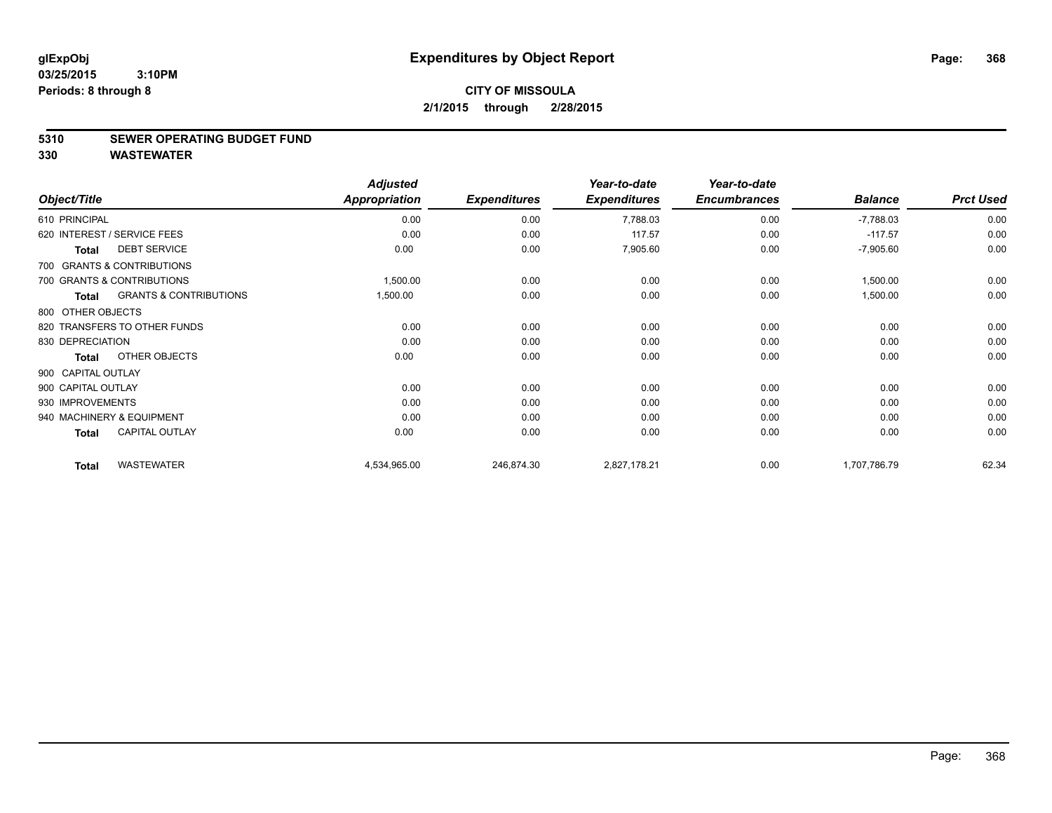#### **5310 SEWER OPERATING BUDGET FUND**

|                    |                                   | <b>Adjusted</b>      |                     | Year-to-date        | Year-to-date<br><b>Encumbrances</b> | <b>Balance</b> | <b>Prct Used</b> |
|--------------------|-----------------------------------|----------------------|---------------------|---------------------|-------------------------------------|----------------|------------------|
| Object/Title       |                                   | <b>Appropriation</b> | <b>Expenditures</b> | <b>Expenditures</b> |                                     |                |                  |
| 610 PRINCIPAL      |                                   | 0.00                 | 0.00                | 7,788.03            | 0.00                                | $-7,788.03$    | 0.00             |
|                    | 620 INTEREST / SERVICE FEES       | 0.00                 | 0.00                | 117.57              | 0.00                                | $-117.57$      | 0.00             |
| <b>Total</b>       | <b>DEBT SERVICE</b>               | 0.00                 | 0.00                | 7,905.60            | 0.00                                | $-7,905.60$    | 0.00             |
|                    | 700 GRANTS & CONTRIBUTIONS        |                      |                     |                     |                                     |                |                  |
|                    | 700 GRANTS & CONTRIBUTIONS        | 1,500.00             | 0.00                | 0.00                | 0.00                                | 1,500.00       | 0.00             |
| Total              | <b>GRANTS &amp; CONTRIBUTIONS</b> | 1,500.00             | 0.00                | 0.00                | 0.00                                | 1,500.00       | 0.00             |
| 800 OTHER OBJECTS  |                                   |                      |                     |                     |                                     |                |                  |
|                    | 820 TRANSFERS TO OTHER FUNDS      | 0.00                 | 0.00                | 0.00                | 0.00                                | 0.00           | 0.00             |
| 830 DEPRECIATION   |                                   | 0.00                 | 0.00                | 0.00                | 0.00                                | 0.00           | 0.00             |
| Total              | OTHER OBJECTS                     | 0.00                 | 0.00                | 0.00                | 0.00                                | 0.00           | 0.00             |
| 900 CAPITAL OUTLAY |                                   |                      |                     |                     |                                     |                |                  |
| 900 CAPITAL OUTLAY |                                   | 0.00                 | 0.00                | 0.00                | 0.00                                | 0.00           | 0.00             |
| 930 IMPROVEMENTS   |                                   | 0.00                 | 0.00                | 0.00                | 0.00                                | 0.00           | 0.00             |
|                    | 940 MACHINERY & EQUIPMENT         | 0.00                 | 0.00                | 0.00                | 0.00                                | 0.00           | 0.00             |
| <b>Total</b>       | <b>CAPITAL OUTLAY</b>             | 0.00                 | 0.00                | 0.00                | 0.00                                | 0.00           | 0.00             |
| <b>Total</b>       | <b>WASTEWATER</b>                 | 4,534,965.00         | 246,874.30          | 2,827,178.21        | 0.00                                | 1,707,786.79   | 62.34            |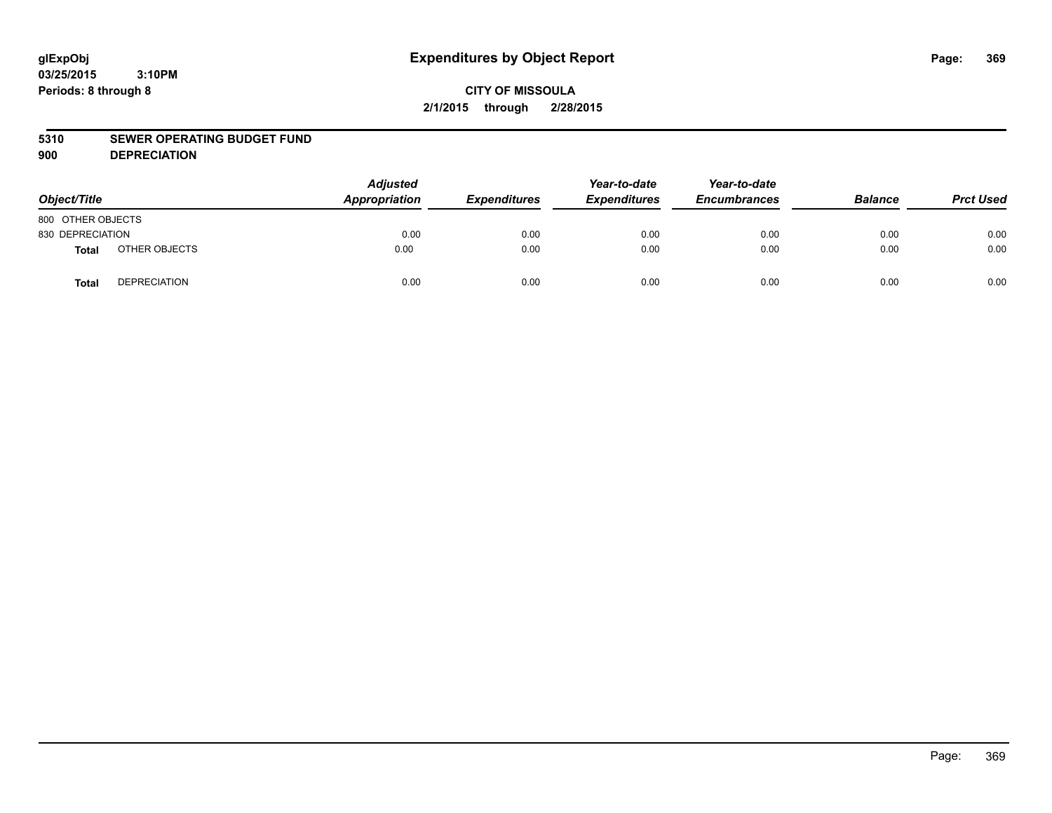### **CITY OF MISSOULA 2/1/2015 through 2/28/2015**

#### **5310 SEWER OPERATING BUDGET FUND**

**900 DEPRECIATION**

| Object/Title      |                     | <b>Adjusted</b><br>Appropriation | <b>Expenditures</b> | Year-to-date<br><b>Expenditures</b> | Year-to-date<br><b>Encumbrances</b> | <b>Balance</b> | <b>Prct Used</b> |
|-------------------|---------------------|----------------------------------|---------------------|-------------------------------------|-------------------------------------|----------------|------------------|
| 800 OTHER OBJECTS |                     |                                  |                     |                                     |                                     |                |                  |
| 830 DEPRECIATION  |                     | 0.00                             | 0.00                | 0.00                                | 0.00                                | 0.00           | 0.00             |
| Total             | OTHER OBJECTS       | 0.00                             | 0.00                | 0.00                                | 0.00                                | 0.00           | 0.00             |
| <b>Total</b>      | <b>DEPRECIATION</b> | 0.00                             | 0.00                | 0.00                                | 0.00                                | 0.00           | 0.00             |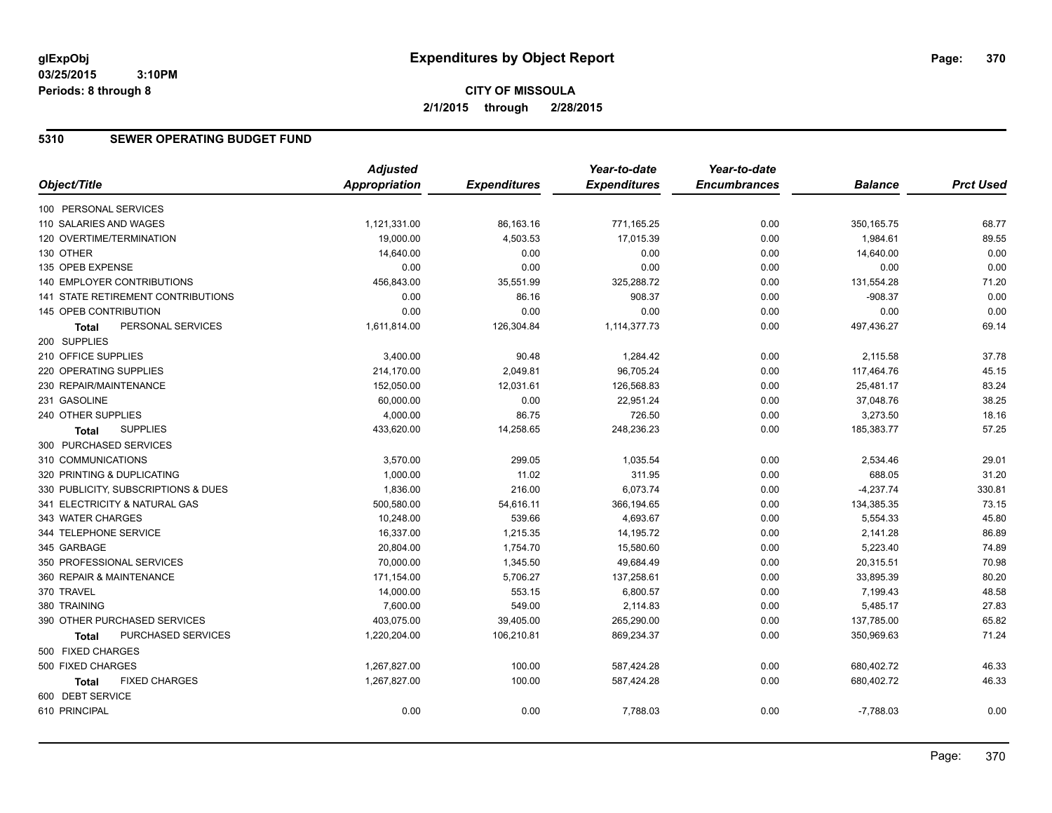#### **5310 SEWER OPERATING BUDGET FUND**

|                                      | <b>Adjusted</b> |                     | Year-to-date        | Year-to-date        |                |                  |
|--------------------------------------|-----------------|---------------------|---------------------|---------------------|----------------|------------------|
| Object/Title                         | Appropriation   | <b>Expenditures</b> | <b>Expenditures</b> | <b>Encumbrances</b> | <b>Balance</b> | <b>Prct Used</b> |
| 100 PERSONAL SERVICES                |                 |                     |                     |                     |                |                  |
| 110 SALARIES AND WAGES               | 1,121,331.00    | 86,163.16           | 771,165.25          | 0.00                | 350, 165.75    | 68.77            |
| 120 OVERTIME/TERMINATION             | 19,000.00       | 4,503.53            | 17,015.39           | 0.00                | 1,984.61       | 89.55            |
| 130 OTHER                            | 14,640.00       | 0.00                | 0.00                | 0.00                | 14,640.00      | 0.00             |
| 135 OPEB EXPENSE                     | 0.00            | 0.00                | 0.00                | 0.00                | 0.00           | 0.00             |
| 140 EMPLOYER CONTRIBUTIONS           | 456,843.00      | 35,551.99           | 325,288.72          | 0.00                | 131,554.28     | 71.20            |
| 141 STATE RETIREMENT CONTRIBUTIONS   | 0.00            | 86.16               | 908.37              | 0.00                | $-908.37$      | 0.00             |
| <b>145 OPEB CONTRIBUTION</b>         | 0.00            | 0.00                | 0.00                | 0.00                | 0.00           | 0.00             |
| PERSONAL SERVICES<br><b>Total</b>    | 1,611,814.00    | 126,304.84          | 1,114,377.73        | 0.00                | 497,436.27     | 69.14            |
| 200 SUPPLIES                         |                 |                     |                     |                     |                |                  |
| 210 OFFICE SUPPLIES                  | 3,400.00        | 90.48               | 1,284.42            | 0.00                | 2,115.58       | 37.78            |
| 220 OPERATING SUPPLIES               | 214,170.00      | 2,049.81            | 96,705.24           | 0.00                | 117,464.76     | 45.15            |
| 230 REPAIR/MAINTENANCE               | 152,050.00      | 12,031.61           | 126,568.83          | 0.00                | 25,481.17      | 83.24            |
| 231 GASOLINE                         | 60,000.00       | 0.00                | 22,951.24           | 0.00                | 37,048.76      | 38.25            |
| 240 OTHER SUPPLIES                   | 4,000.00        | 86.75               | 726.50              | 0.00                | 3,273.50       | 18.16            |
| <b>SUPPLIES</b><br><b>Total</b>      | 433,620.00      | 14,258.65           | 248,236.23          | 0.00                | 185,383.77     | 57.25            |
| 300 PURCHASED SERVICES               |                 |                     |                     |                     |                |                  |
| 310 COMMUNICATIONS                   | 3,570.00        | 299.05              | 1,035.54            | 0.00                | 2,534.46       | 29.01            |
| 320 PRINTING & DUPLICATING           | 1,000.00        | 11.02               | 311.95              | 0.00                | 688.05         | 31.20            |
| 330 PUBLICITY, SUBSCRIPTIONS & DUES  | 1,836.00        | 216.00              | 6,073.74            | 0.00                | $-4,237.74$    | 330.81           |
| 341 ELECTRICITY & NATURAL GAS        | 500,580.00      | 54,616.11           | 366,194.65          | 0.00                | 134,385.35     | 73.15            |
| 343 WATER CHARGES                    | 10,248.00       | 539.66              | 4,693.67            | 0.00                | 5,554.33       | 45.80            |
| 344 TELEPHONE SERVICE                | 16,337.00       | 1,215.35            | 14,195.72           | 0.00                | 2,141.28       | 86.89            |
| 345 GARBAGE                          | 20,804.00       | 1,754.70            | 15,580.60           | 0.00                | 5,223.40       | 74.89            |
| 350 PROFESSIONAL SERVICES            | 70,000.00       | 1,345.50            | 49,684.49           | 0.00                | 20,315.51      | 70.98            |
| 360 REPAIR & MAINTENANCE             | 171,154.00      | 5,706.27            | 137,258.61          | 0.00                | 33,895.39      | 80.20            |
| 370 TRAVEL                           | 14,000.00       | 553.15              | 6,800.57            | 0.00                | 7,199.43       | 48.58            |
| 380 TRAINING                         | 7,600.00        | 549.00              | 2,114.83            | 0.00                | 5,485.17       | 27.83            |
| 390 OTHER PURCHASED SERVICES         | 403,075.00      | 39,405.00           | 265,290.00          | 0.00                | 137,785.00     | 65.82            |
| PURCHASED SERVICES<br><b>Total</b>   | 1,220,204.00    | 106,210.81          | 869,234.37          | 0.00                | 350,969.63     | 71.24            |
| 500 FIXED CHARGES                    |                 |                     |                     |                     |                |                  |
| 500 FIXED CHARGES                    | 1,267,827.00    | 100.00              | 587,424.28          | 0.00                | 680,402.72     | 46.33            |
| <b>FIXED CHARGES</b><br><b>Total</b> | 1,267,827.00    | 100.00              | 587,424.28          | 0.00                | 680,402.72     | 46.33            |
| 600 DEBT SERVICE                     |                 |                     |                     |                     |                |                  |
| 610 PRINCIPAL                        | 0.00            | 0.00                | 7,788.03            | 0.00                | $-7,788.03$    | 0.00             |
|                                      |                 |                     |                     |                     |                |                  |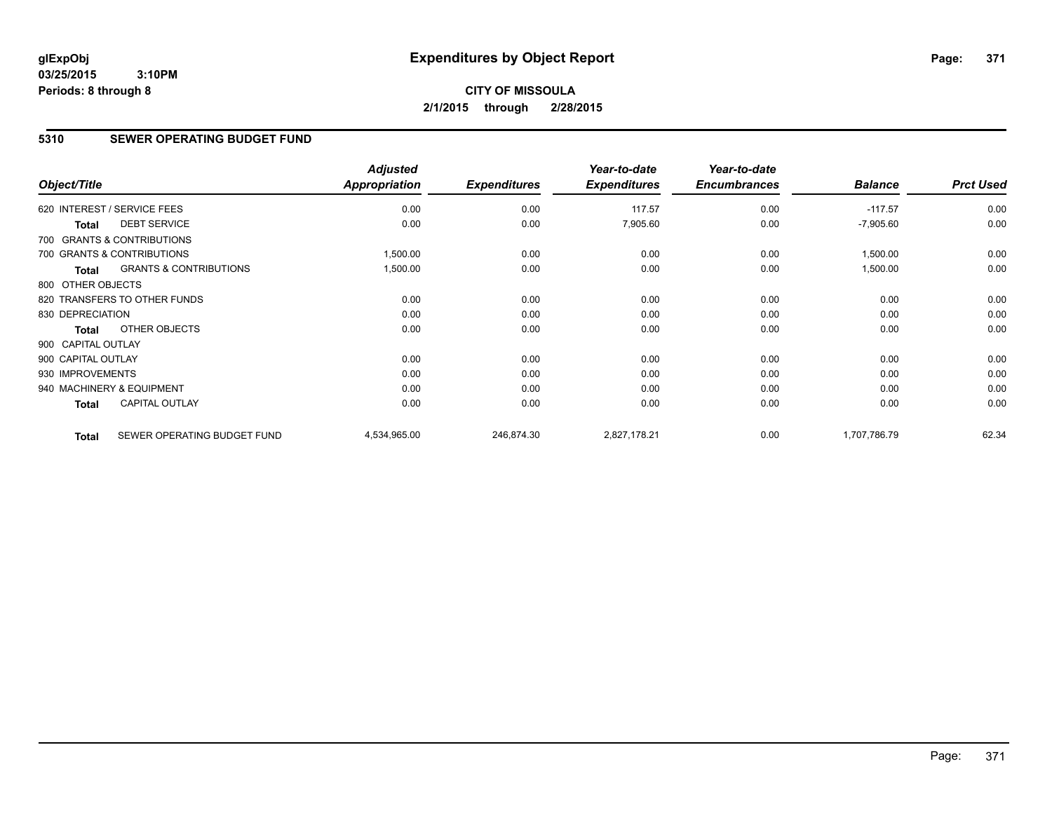### **CITY OF MISSOULA 2/1/2015 through 2/28/2015**

#### **5310 SEWER OPERATING BUDGET FUND**

| Object/Title                          |                                   | <b>Adjusted</b><br>Appropriation | <b>Expenditures</b> | Year-to-date<br><b>Expenditures</b> | Year-to-date<br><b>Encumbrances</b> | <b>Balance</b> | <b>Prct Used</b> |
|---------------------------------------|-----------------------------------|----------------------------------|---------------------|-------------------------------------|-------------------------------------|----------------|------------------|
| 620 INTEREST / SERVICE FEES           |                                   | 0.00                             | 0.00                | 117.57                              | 0.00                                | $-117.57$      | 0.00             |
| <b>DEBT SERVICE</b><br><b>Total</b>   |                                   | 0.00                             | 0.00                | 7,905.60                            | 0.00                                | $-7,905.60$    | 0.00             |
| 700 GRANTS & CONTRIBUTIONS            |                                   |                                  |                     |                                     |                                     |                |                  |
| 700 GRANTS & CONTRIBUTIONS            |                                   | 1,500.00                         | 0.00                | 0.00                                | 0.00                                | 1,500.00       | 0.00             |
| <b>Total</b>                          | <b>GRANTS &amp; CONTRIBUTIONS</b> | 1,500.00                         | 0.00                | 0.00                                | 0.00                                | 1,500.00       | 0.00             |
| 800 OTHER OBJECTS                     |                                   |                                  |                     |                                     |                                     |                |                  |
| 820 TRANSFERS TO OTHER FUNDS          |                                   | 0.00                             | 0.00                | 0.00                                | 0.00                                | 0.00           | 0.00             |
| 830 DEPRECIATION                      |                                   | 0.00                             | 0.00                | 0.00                                | 0.00                                | 0.00           | 0.00             |
| <b>OTHER OBJECTS</b><br><b>Total</b>  |                                   | 0.00                             | 0.00                | 0.00                                | 0.00                                | 0.00           | 0.00             |
| 900 CAPITAL OUTLAY                    |                                   |                                  |                     |                                     |                                     |                |                  |
| 900 CAPITAL OUTLAY                    |                                   | 0.00                             | 0.00                | 0.00                                | 0.00                                | 0.00           | 0.00             |
| 930 IMPROVEMENTS                      |                                   | 0.00                             | 0.00                | 0.00                                | 0.00                                | 0.00           | 0.00             |
| 940 MACHINERY & EQUIPMENT             |                                   | 0.00                             | 0.00                | 0.00                                | 0.00                                | 0.00           | 0.00             |
| <b>CAPITAL OUTLAY</b><br><b>Total</b> |                                   | 0.00                             | 0.00                | 0.00                                | 0.00                                | 0.00           | 0.00             |
| <b>Total</b>                          | SEWER OPERATING BUDGET FUND       | 4,534,965.00                     | 246,874.30          | 2,827,178.21                        | 0.00                                | 1,707,786.79   | 62.34            |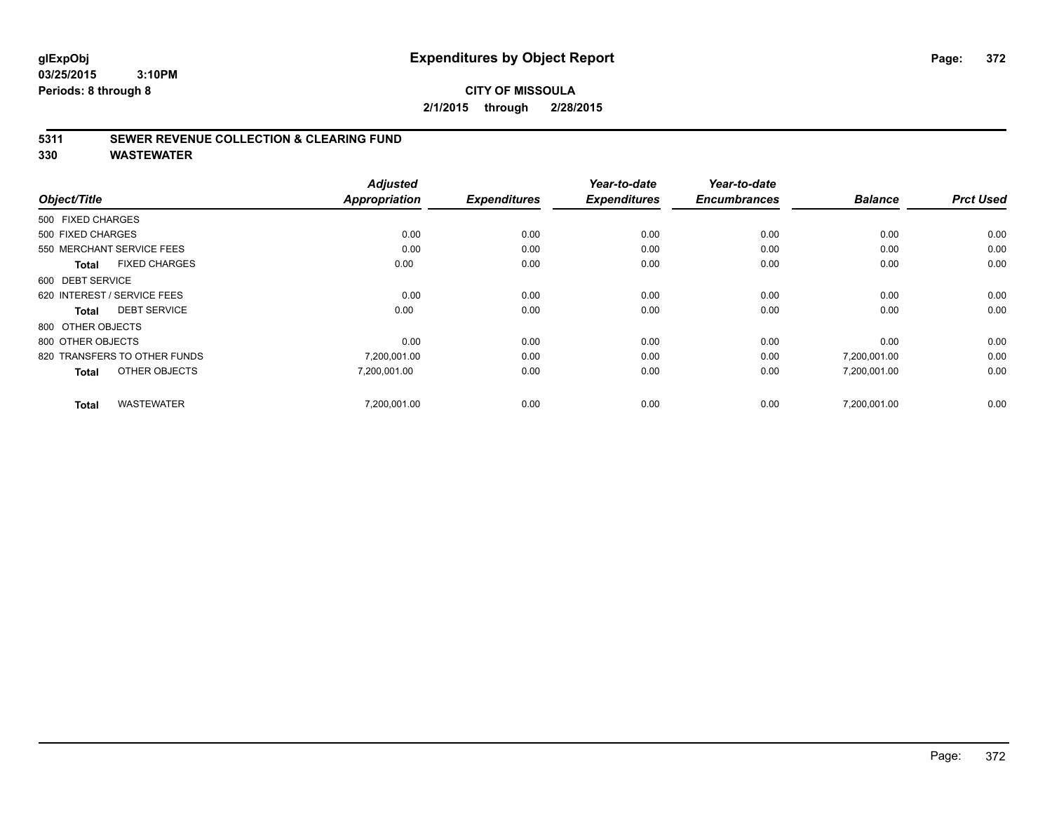### **CITY OF MISSOULA 2/1/2015 through 2/28/2015**

#### **5311 SEWER REVENUE COLLECTION & CLEARING FUND**

|                                      | <b>Adjusted</b><br><b>Appropriation</b> |                     | Year-to-date        | Year-to-date<br><b>Encumbrances</b> | <b>Balance</b> | <b>Prct Used</b> |
|--------------------------------------|-----------------------------------------|---------------------|---------------------|-------------------------------------|----------------|------------------|
| Object/Title                         |                                         | <b>Expenditures</b> | <b>Expenditures</b> |                                     |                |                  |
| 500 FIXED CHARGES                    |                                         |                     |                     |                                     |                |                  |
| 500 FIXED CHARGES                    | 0.00                                    | 0.00                | 0.00                | 0.00                                | 0.00           | 0.00             |
| 550 MERCHANT SERVICE FEES            | 0.00                                    | 0.00                | 0.00                | 0.00                                | 0.00           | 0.00             |
| <b>FIXED CHARGES</b><br><b>Total</b> | 0.00                                    | 0.00                | 0.00                | 0.00                                | 0.00           | 0.00             |
| 600 DEBT SERVICE                     |                                         |                     |                     |                                     |                |                  |
| 620 INTEREST / SERVICE FEES          | 0.00                                    | 0.00                | 0.00                | 0.00                                | 0.00           | 0.00             |
| <b>DEBT SERVICE</b><br><b>Total</b>  | 0.00                                    | 0.00                | 0.00                | 0.00                                | 0.00           | 0.00             |
| 800 OTHER OBJECTS                    |                                         |                     |                     |                                     |                |                  |
| 800 OTHER OBJECTS                    | 0.00                                    | 0.00                | 0.00                | 0.00                                | 0.00           | 0.00             |
| 820 TRANSFERS TO OTHER FUNDS         | 7,200,001.00                            | 0.00                | 0.00                | 0.00                                | 7,200,001.00   | 0.00             |
| OTHER OBJECTS<br><b>Total</b>        | 7,200,001.00                            | 0.00                | 0.00                | 0.00                                | 7,200,001.00   | 0.00             |
| <b>WASTEWATER</b><br><b>Total</b>    | 7,200,001.00                            | 0.00                | 0.00                | 0.00                                | 7,200,001.00   | 0.00             |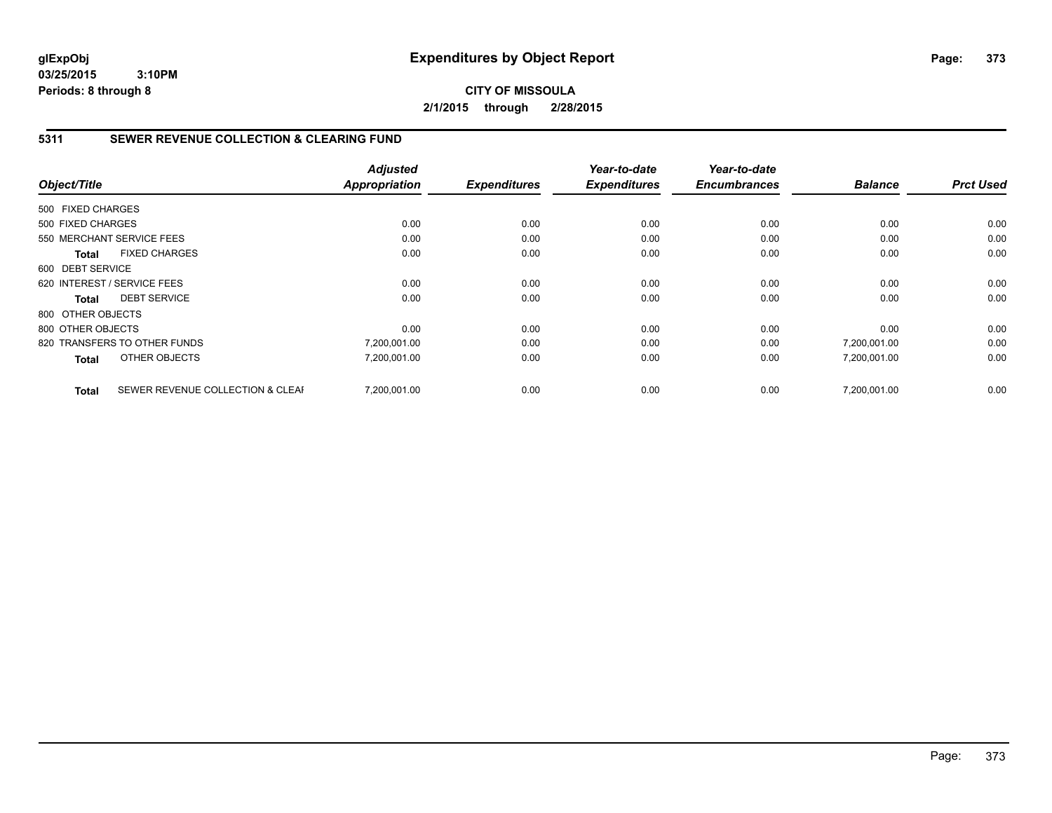### **CITY OF MISSOULA 2/1/2015 through 2/28/2015**

### **5311 SEWER REVENUE COLLECTION & CLEARING FUND**

|                   |                                  | <b>Adjusted</b>      |                     | Year-to-date        | Year-to-date        |                | <b>Prct Used</b> |
|-------------------|----------------------------------|----------------------|---------------------|---------------------|---------------------|----------------|------------------|
| Object/Title      |                                  | <b>Appropriation</b> | <b>Expenditures</b> | <b>Expenditures</b> | <b>Encumbrances</b> | <b>Balance</b> |                  |
| 500 FIXED CHARGES |                                  |                      |                     |                     |                     |                |                  |
| 500 FIXED CHARGES |                                  | 0.00                 | 0.00                | 0.00                | 0.00                | 0.00           | 0.00             |
|                   | 550 MERCHANT SERVICE FEES        | 0.00                 | 0.00                | 0.00                | 0.00                | 0.00           | 0.00             |
| Total             | <b>FIXED CHARGES</b>             | 0.00                 | 0.00                | 0.00                | 0.00                | 0.00           | 0.00             |
| 600 DEBT SERVICE  |                                  |                      |                     |                     |                     |                |                  |
|                   | 620 INTEREST / SERVICE FEES      | 0.00                 | 0.00                | 0.00                | 0.00                | 0.00           | 0.00             |
| Total             | <b>DEBT SERVICE</b>              | 0.00                 | 0.00                | 0.00                | 0.00                | 0.00           | 0.00             |
| 800 OTHER OBJECTS |                                  |                      |                     |                     |                     |                |                  |
| 800 OTHER OBJECTS |                                  | 0.00                 | 0.00                | 0.00                | 0.00                | 0.00           | 0.00             |
|                   | 820 TRANSFERS TO OTHER FUNDS     | 7,200,001.00         | 0.00                | 0.00                | 0.00                | 7,200,001.00   | 0.00             |
| <b>Total</b>      | OTHER OBJECTS                    | 7,200,001.00         | 0.00                | 0.00                | 0.00                | 7,200,001.00   | 0.00             |
| <b>Total</b>      | SEWER REVENUE COLLECTION & CLEAF | 7.200.001.00         | 0.00                | 0.00                | 0.00                | 7.200.001.00   | 0.00             |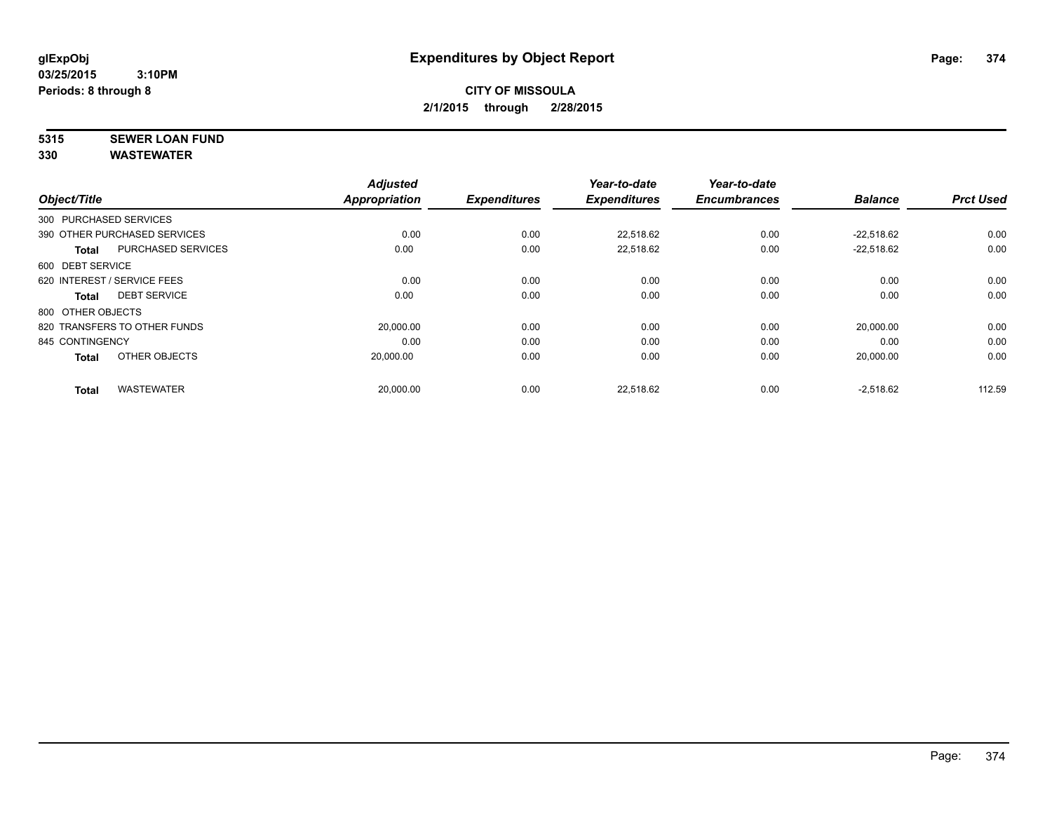# **5315 SEWER LOAN FUND**

| Object/Title      |                              | <b>Adjusted</b><br><b>Appropriation</b> | <b>Expenditures</b> | Year-to-date<br><b>Expenditures</b> | Year-to-date<br><b>Encumbrances</b> | <b>Balance</b> | <b>Prct Used</b> |
|-------------------|------------------------------|-----------------------------------------|---------------------|-------------------------------------|-------------------------------------|----------------|------------------|
|                   |                              |                                         |                     |                                     |                                     |                |                  |
|                   | 300 PURCHASED SERVICES       |                                         |                     |                                     |                                     |                |                  |
|                   | 390 OTHER PURCHASED SERVICES | 0.00                                    | 0.00                | 22.518.62                           | 0.00                                | $-22.518.62$   | 0.00             |
| <b>Total</b>      | <b>PURCHASED SERVICES</b>    | 0.00                                    | 0.00                | 22,518.62                           | 0.00                                | $-22,518.62$   | 0.00             |
| 600 DEBT SERVICE  |                              |                                         |                     |                                     |                                     |                |                  |
|                   | 620 INTEREST / SERVICE FEES  | 0.00                                    | 0.00                | 0.00                                | 0.00                                | 0.00           | 0.00             |
| <b>Total</b>      | <b>DEBT SERVICE</b>          | 0.00                                    | 0.00                | 0.00                                | 0.00                                | 0.00           | 0.00             |
| 800 OTHER OBJECTS |                              |                                         |                     |                                     |                                     |                |                  |
|                   | 820 TRANSFERS TO OTHER FUNDS | 20,000.00                               | 0.00                | 0.00                                | 0.00                                | 20,000.00      | 0.00             |
| 845 CONTINGENCY   |                              | 0.00                                    | 0.00                | 0.00                                | 0.00                                | 0.00           | 0.00             |
| <b>Total</b>      | OTHER OBJECTS                | 20,000.00                               | 0.00                | 0.00                                | 0.00                                | 20,000.00      | 0.00             |
| <b>Total</b>      | <b>WASTEWATER</b>            | 20,000.00                               | 0.00                | 22,518.62                           | 0.00                                | $-2,518.62$    | 112.59           |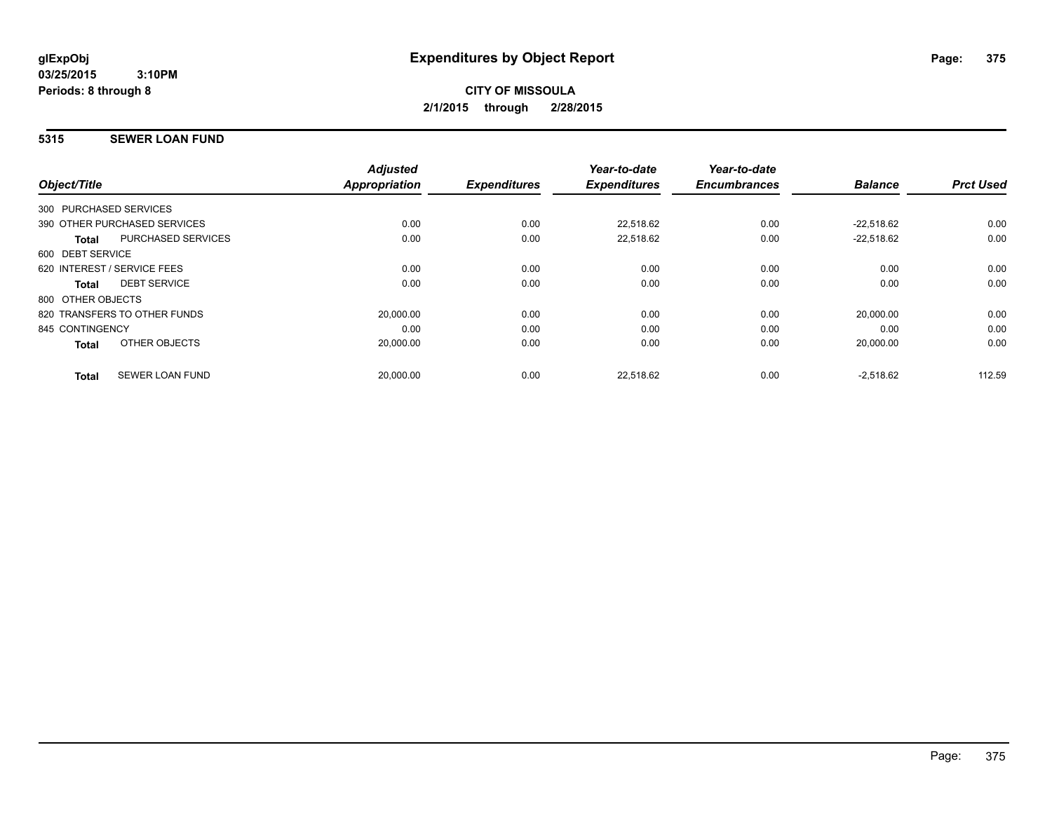# **5315 SEWER LOAN FUND**

| Object/Title           |                              | <b>Adjusted</b><br><b>Appropriation</b> | <b>Expenditures</b> | Year-to-date<br><b>Expenditures</b> | Year-to-date<br><b>Encumbrances</b> | <b>Balance</b> | <b>Prct Used</b> |
|------------------------|------------------------------|-----------------------------------------|---------------------|-------------------------------------|-------------------------------------|----------------|------------------|
| 300 PURCHASED SERVICES |                              |                                         |                     |                                     |                                     |                |                  |
|                        | 390 OTHER PURCHASED SERVICES | 0.00                                    | 0.00                | 22,518.62                           | 0.00                                | $-22.518.62$   | 0.00             |
| <b>Total</b>           | <b>PURCHASED SERVICES</b>    | 0.00                                    | 0.00                | 22,518.62                           | 0.00                                | $-22.518.62$   | 0.00             |
| 600 DEBT SERVICE       |                              |                                         |                     |                                     |                                     |                |                  |
|                        | 620 INTEREST / SERVICE FEES  | 0.00                                    | 0.00                | 0.00                                | 0.00                                | 0.00           | 0.00             |
| Total                  | <b>DEBT SERVICE</b>          | 0.00                                    | 0.00                | 0.00                                | 0.00                                | 0.00           | 0.00             |
| 800 OTHER OBJECTS      |                              |                                         |                     |                                     |                                     |                |                  |
|                        | 820 TRANSFERS TO OTHER FUNDS | 20,000.00                               | 0.00                | 0.00                                | 0.00                                | 20,000.00      | 0.00             |
| 845 CONTINGENCY        |                              | 0.00                                    | 0.00                | 0.00                                | 0.00                                | 0.00           | 0.00             |
| <b>Total</b>           | OTHER OBJECTS                | 20,000.00                               | 0.00                | 0.00                                | 0.00                                | 20,000.00      | 0.00             |
| <b>Total</b>           | <b>SEWER LOAN FUND</b>       | 20,000.00                               | 0.00                | 22.518.62                           | 0.00                                | $-2,518.62$    | 112.59           |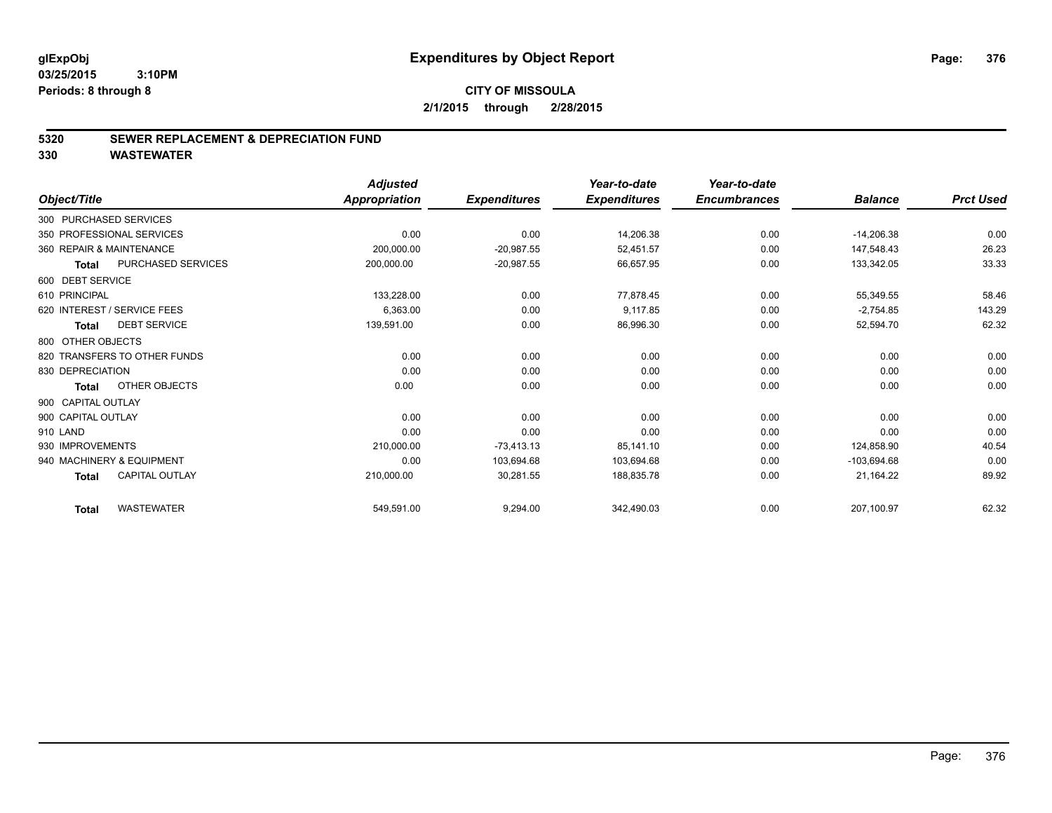#### **5320 SEWER REPLACEMENT & DEPRECIATION FUND**

|                                           | <b>Adjusted</b>      |                     | Year-to-date        | Year-to-date        |                |                  |
|-------------------------------------------|----------------------|---------------------|---------------------|---------------------|----------------|------------------|
| Object/Title                              | <b>Appropriation</b> | <b>Expenditures</b> | <b>Expenditures</b> | <b>Encumbrances</b> | <b>Balance</b> | <b>Prct Used</b> |
| 300 PURCHASED SERVICES                    |                      |                     |                     |                     |                |                  |
| 350 PROFESSIONAL SERVICES                 | 0.00                 | 0.00                | 14,206.38           | 0.00                | $-14,206.38$   | 0.00             |
| 360 REPAIR & MAINTENANCE                  | 200,000.00           | $-20,987.55$        | 52,451.57           | 0.00                | 147,548.43     | 26.23            |
| <b>PURCHASED SERVICES</b><br><b>Total</b> | 200,000.00           | $-20,987.55$        | 66,657.95           | 0.00                | 133,342.05     | 33.33            |
| 600 DEBT SERVICE                          |                      |                     |                     |                     |                |                  |
| 610 PRINCIPAL                             | 133,228.00           | 0.00                | 77,878.45           | 0.00                | 55,349.55      | 58.46            |
| 620 INTEREST / SERVICE FEES               | 6,363.00             | 0.00                | 9,117.85            | 0.00                | $-2,754.85$    | 143.29           |
| <b>DEBT SERVICE</b><br><b>Total</b>       | 139,591.00           | 0.00                | 86,996.30           | 0.00                | 52,594.70      | 62.32            |
| 800 OTHER OBJECTS                         |                      |                     |                     |                     |                |                  |
| 820 TRANSFERS TO OTHER FUNDS              | 0.00                 | 0.00                | 0.00                | 0.00                | 0.00           | 0.00             |
| 830 DEPRECIATION                          | 0.00                 | 0.00                | 0.00                | 0.00                | 0.00           | 0.00             |
| OTHER OBJECTS<br><b>Total</b>             | 0.00                 | 0.00                | 0.00                | 0.00                | 0.00           | 0.00             |
| 900 CAPITAL OUTLAY                        |                      |                     |                     |                     |                |                  |
| 900 CAPITAL OUTLAY                        | 0.00                 | 0.00                | 0.00                | 0.00                | 0.00           | 0.00             |
| 910 LAND                                  | 0.00                 | 0.00                | 0.00                | 0.00                | 0.00           | 0.00             |
| 930 IMPROVEMENTS                          | 210,000.00           | $-73,413.13$        | 85,141.10           | 0.00                | 124,858.90     | 40.54            |
| 940 MACHINERY & EQUIPMENT                 | 0.00                 | 103,694.68          | 103,694.68          | 0.00                | $-103,694.68$  | 0.00             |
| <b>CAPITAL OUTLAY</b><br><b>Total</b>     | 210,000.00           | 30,281.55           | 188,835.78          | 0.00                | 21,164.22      | 89.92            |
| <b>WASTEWATER</b><br><b>Total</b>         | 549,591.00           | 9,294.00            | 342,490.03          | 0.00                | 207,100.97     | 62.32            |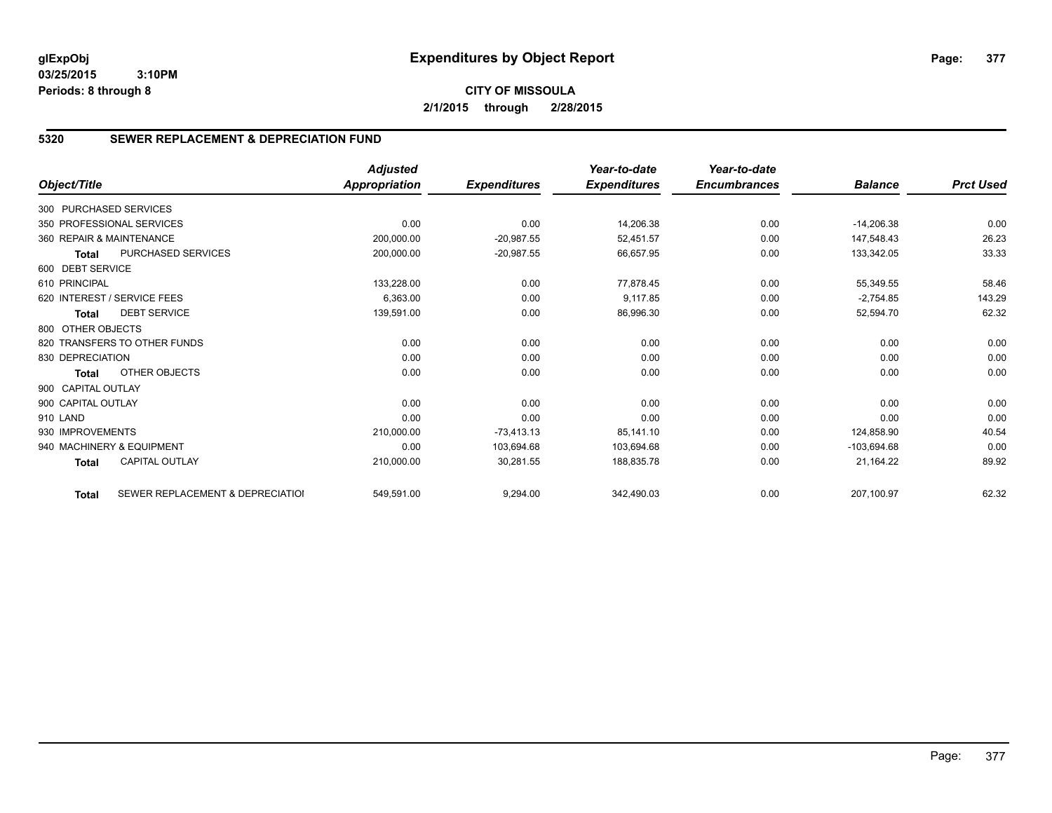### **5320 SEWER REPLACEMENT & DEPRECIATION FUND**

|                        |                                  | <b>Adjusted</b> |                     | Year-to-date        | Year-to-date        |                |                  |
|------------------------|----------------------------------|-----------------|---------------------|---------------------|---------------------|----------------|------------------|
| Object/Title           |                                  | Appropriation   | <b>Expenditures</b> | <b>Expenditures</b> | <b>Encumbrances</b> | <b>Balance</b> | <b>Prct Used</b> |
| 300 PURCHASED SERVICES |                                  |                 |                     |                     |                     |                |                  |
|                        | 350 PROFESSIONAL SERVICES        | 0.00            | 0.00                | 14,206.38           | 0.00                | $-14,206.38$   | 0.00             |
|                        | 360 REPAIR & MAINTENANCE         | 200,000.00      | $-20,987.55$        | 52,451.57           | 0.00                | 147,548.43     | 26.23            |
| <b>Total</b>           | PURCHASED SERVICES               | 200,000.00      | $-20,987.55$        | 66,657.95           | 0.00                | 133,342.05     | 33.33            |
| 600 DEBT SERVICE       |                                  |                 |                     |                     |                     |                |                  |
| 610 PRINCIPAL          |                                  | 133,228.00      | 0.00                | 77,878.45           | 0.00                | 55,349.55      | 58.46            |
|                        | 620 INTEREST / SERVICE FEES      | 6,363.00        | 0.00                | 9.117.85            | 0.00                | $-2.754.85$    | 143.29           |
| <b>Total</b>           | <b>DEBT SERVICE</b>              | 139,591.00      | 0.00                | 86,996.30           | 0.00                | 52,594.70      | 62.32            |
| 800 OTHER OBJECTS      |                                  |                 |                     |                     |                     |                |                  |
|                        | 820 TRANSFERS TO OTHER FUNDS     | 0.00            | 0.00                | 0.00                | 0.00                | 0.00           | 0.00             |
| 830 DEPRECIATION       |                                  | 0.00            | 0.00                | 0.00                | 0.00                | 0.00           | 0.00             |
| <b>Total</b>           | OTHER OBJECTS                    | 0.00            | 0.00                | 0.00                | 0.00                | 0.00           | 0.00             |
| 900 CAPITAL OUTLAY     |                                  |                 |                     |                     |                     |                |                  |
| 900 CAPITAL OUTLAY     |                                  | 0.00            | 0.00                | 0.00                | 0.00                | 0.00           | 0.00             |
| 910 LAND               |                                  | 0.00            | 0.00                | 0.00                | 0.00                | 0.00           | 0.00             |
| 930 IMPROVEMENTS       |                                  | 210,000.00      | $-73,413.13$        | 85,141.10           | 0.00                | 124,858.90     | 40.54            |
|                        | 940 MACHINERY & EQUIPMENT        | 0.00            | 103,694.68          | 103,694.68          | 0.00                | $-103,694.68$  | 0.00             |
| <b>Total</b>           | <b>CAPITAL OUTLAY</b>            | 210,000.00      | 30,281.55           | 188,835.78          | 0.00                | 21,164.22      | 89.92            |
| <b>Total</b>           | SEWER REPLACEMENT & DEPRECIATION | 549,591.00      | 9,294.00            | 342,490.03          | 0.00                | 207,100.97     | 62.32            |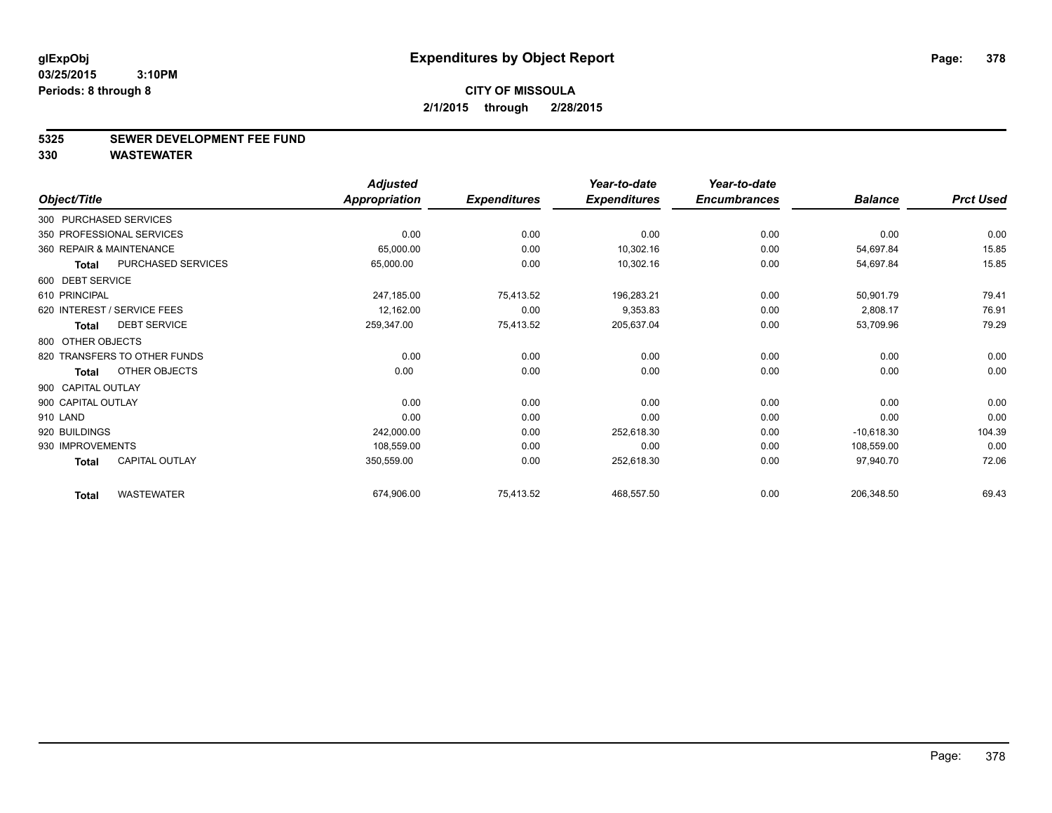#### **5325 SEWER DEVELOPMENT FEE FUND**

|                        |                              | <b>Adjusted</b>      |                     | Year-to-date        | Year-to-date        |                |                  |
|------------------------|------------------------------|----------------------|---------------------|---------------------|---------------------|----------------|------------------|
| Object/Title           |                              | <b>Appropriation</b> | <b>Expenditures</b> | <b>Expenditures</b> | <b>Encumbrances</b> | <b>Balance</b> | <b>Prct Used</b> |
| 300 PURCHASED SERVICES |                              |                      |                     |                     |                     |                |                  |
|                        | 350 PROFESSIONAL SERVICES    | 0.00                 | 0.00                | 0.00                | 0.00                | 0.00           | 0.00             |
|                        | 360 REPAIR & MAINTENANCE     | 65,000.00            | 0.00                | 10,302.16           | 0.00                | 54,697.84      | 15.85            |
| <b>Total</b>           | PURCHASED SERVICES           | 65,000.00            | 0.00                | 10,302.16           | 0.00                | 54,697.84      | 15.85            |
| 600 DEBT SERVICE       |                              |                      |                     |                     |                     |                |                  |
| 610 PRINCIPAL          |                              | 247,185.00           | 75,413.52           | 196,283.21          | 0.00                | 50,901.79      | 79.41            |
|                        | 620 INTEREST / SERVICE FEES  | 12,162.00            | 0.00                | 9,353.83            | 0.00                | 2,808.17       | 76.91            |
| <b>Total</b>           | <b>DEBT SERVICE</b>          | 259,347.00           | 75,413.52           | 205,637.04          | 0.00                | 53,709.96      | 79.29            |
| 800 OTHER OBJECTS      |                              |                      |                     |                     |                     |                |                  |
|                        | 820 TRANSFERS TO OTHER FUNDS | 0.00                 | 0.00                | 0.00                | 0.00                | 0.00           | 0.00             |
| <b>Total</b>           | OTHER OBJECTS                | 0.00                 | 0.00                | 0.00                | 0.00                | 0.00           | 0.00             |
| 900 CAPITAL OUTLAY     |                              |                      |                     |                     |                     |                |                  |
| 900 CAPITAL OUTLAY     |                              | 0.00                 | 0.00                | 0.00                | 0.00                | 0.00           | 0.00             |
| 910 LAND               |                              | 0.00                 | 0.00                | 0.00                | 0.00                | 0.00           | 0.00             |
| 920 BUILDINGS          |                              | 242,000.00           | 0.00                | 252,618.30          | 0.00                | $-10,618.30$   | 104.39           |
| 930 IMPROVEMENTS       |                              | 108,559.00           | 0.00                | 0.00                | 0.00                | 108,559.00     | 0.00             |
| <b>Total</b>           | <b>CAPITAL OUTLAY</b>        | 350,559.00           | 0.00                | 252,618.30          | 0.00                | 97,940.70      | 72.06            |
| <b>Total</b>           | <b>WASTEWATER</b>            | 674,906.00           | 75,413.52           | 468,557.50          | 0.00                | 206,348.50     | 69.43            |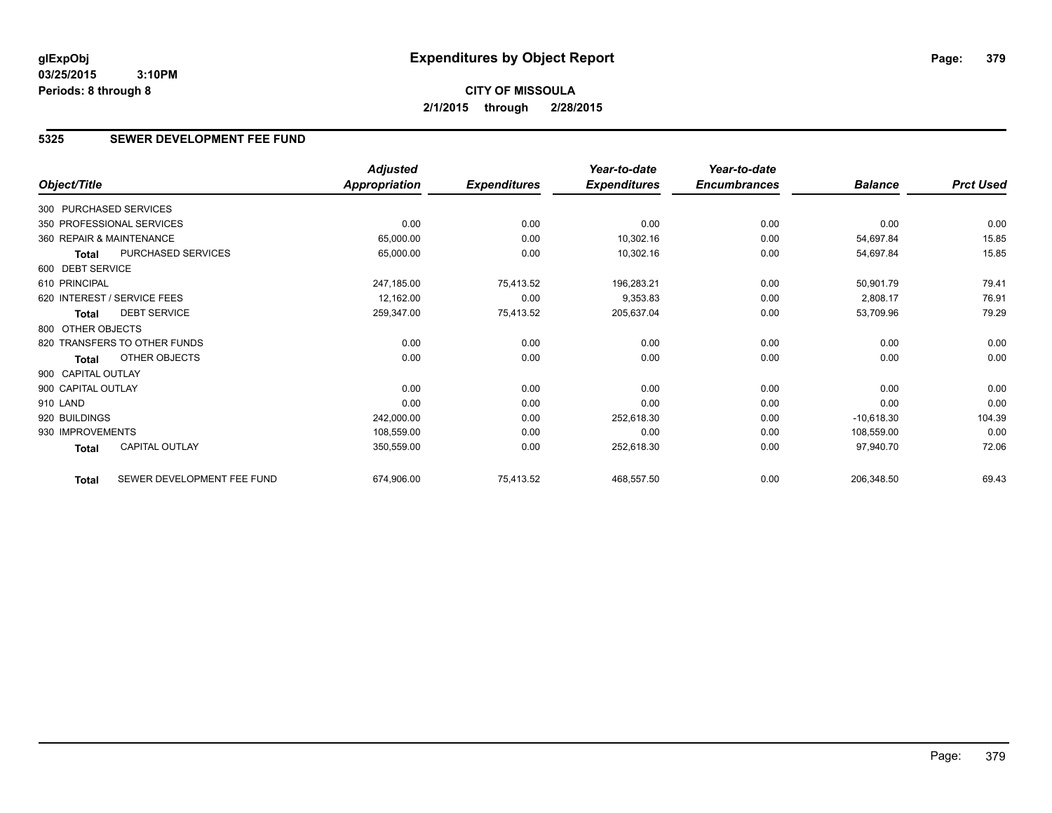#### **5325 SEWER DEVELOPMENT FEE FUND**

|                        |                              | <b>Adjusted</b>      |                     | Year-to-date        | Year-to-date        |                |                  |
|------------------------|------------------------------|----------------------|---------------------|---------------------|---------------------|----------------|------------------|
| Object/Title           |                              | <b>Appropriation</b> | <b>Expenditures</b> | <b>Expenditures</b> | <b>Encumbrances</b> | <b>Balance</b> | <b>Prct Used</b> |
| 300 PURCHASED SERVICES |                              |                      |                     |                     |                     |                |                  |
|                        | 350 PROFESSIONAL SERVICES    | 0.00                 | 0.00                | 0.00                | 0.00                | 0.00           | 0.00             |
|                        | 360 REPAIR & MAINTENANCE     | 65,000.00            | 0.00                | 10,302.16           | 0.00                | 54,697.84      | 15.85            |
| <b>Total</b>           | PURCHASED SERVICES           | 65,000.00            | 0.00                | 10,302.16           | 0.00                | 54,697.84      | 15.85            |
| 600 DEBT SERVICE       |                              |                      |                     |                     |                     |                |                  |
| 610 PRINCIPAL          |                              | 247,185.00           | 75,413.52           | 196,283.21          | 0.00                | 50,901.79      | 79.41            |
|                        | 620 INTEREST / SERVICE FEES  | 12,162.00            | 0.00                | 9,353.83            | 0.00                | 2,808.17       | 76.91            |
| <b>Total</b>           | <b>DEBT SERVICE</b>          | 259,347.00           | 75,413.52           | 205,637.04          | 0.00                | 53,709.96      | 79.29            |
| 800 OTHER OBJECTS      |                              |                      |                     |                     |                     |                |                  |
|                        | 820 TRANSFERS TO OTHER FUNDS | 0.00                 | 0.00                | 0.00                | 0.00                | 0.00           | 0.00             |
| <b>Total</b>           | OTHER OBJECTS                | 0.00                 | 0.00                | 0.00                | 0.00                | 0.00           | 0.00             |
| 900 CAPITAL OUTLAY     |                              |                      |                     |                     |                     |                |                  |
| 900 CAPITAL OUTLAY     |                              | 0.00                 | 0.00                | 0.00                | 0.00                | 0.00           | 0.00             |
| 910 LAND               |                              | 0.00                 | 0.00                | 0.00                | 0.00                | 0.00           | 0.00             |
| 920 BUILDINGS          |                              | 242,000.00           | 0.00                | 252,618.30          | 0.00                | $-10,618.30$   | 104.39           |
| 930 IMPROVEMENTS       |                              | 108,559.00           | 0.00                | 0.00                | 0.00                | 108,559.00     | 0.00             |
| Total                  | <b>CAPITAL OUTLAY</b>        | 350,559.00           | 0.00                | 252,618.30          | 0.00                | 97,940.70      | 72.06            |
| <b>Total</b>           | SEWER DEVELOPMENT FEE FUND   | 674,906.00           | 75,413.52           | 468,557.50          | 0.00                | 206,348.50     | 69.43            |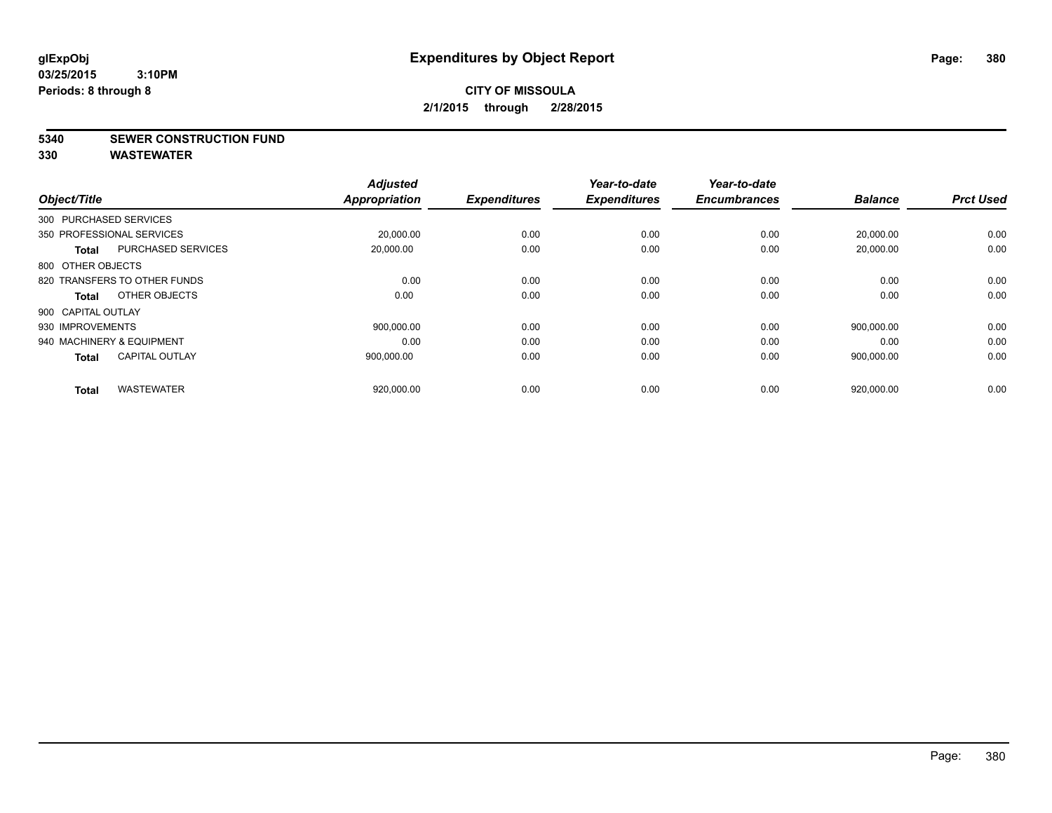#### **5340 SEWER CONSTRUCTION FUND**

|                           |                              | <b>Adjusted</b>      |                     | Year-to-date        | Year-to-date        |                |                  |
|---------------------------|------------------------------|----------------------|---------------------|---------------------|---------------------|----------------|------------------|
| Object/Title              |                              | <b>Appropriation</b> | <b>Expenditures</b> | <b>Expenditures</b> | <b>Encumbrances</b> | <b>Balance</b> | <b>Prct Used</b> |
| 300 PURCHASED SERVICES    |                              |                      |                     |                     |                     |                |                  |
| 350 PROFESSIONAL SERVICES |                              | 20,000.00            | 0.00                | 0.00                | 0.00                | 20,000.00      | 0.00             |
| <b>Total</b>              | <b>PURCHASED SERVICES</b>    | 20,000.00            | 0.00                | 0.00                | 0.00                | 20,000.00      | 0.00             |
| 800 OTHER OBJECTS         |                              |                      |                     |                     |                     |                |                  |
|                           | 820 TRANSFERS TO OTHER FUNDS | 0.00                 | 0.00                | 0.00                | 0.00                | 0.00           | 0.00             |
| <b>Total</b>              | OTHER OBJECTS                | 0.00                 | 0.00                | 0.00                | 0.00                | 0.00           | 0.00             |
| 900 CAPITAL OUTLAY        |                              |                      |                     |                     |                     |                |                  |
| 930 IMPROVEMENTS          |                              | 900.000.00           | 0.00                | 0.00                | 0.00                | 900.000.00     | 0.00             |
| 940 MACHINERY & EQUIPMENT |                              | 0.00                 | 0.00                | 0.00                | 0.00                | 0.00           | 0.00             |
| <b>Total</b>              | <b>CAPITAL OUTLAY</b>        | 900.000.00           | 0.00                | 0.00                | 0.00                | 900,000.00     | 0.00             |
|                           |                              |                      |                     |                     |                     |                |                  |
| <b>Total</b>              | <b>WASTEWATER</b>            | 920,000.00           | 0.00                | 0.00                | 0.00                | 920,000.00     | 0.00             |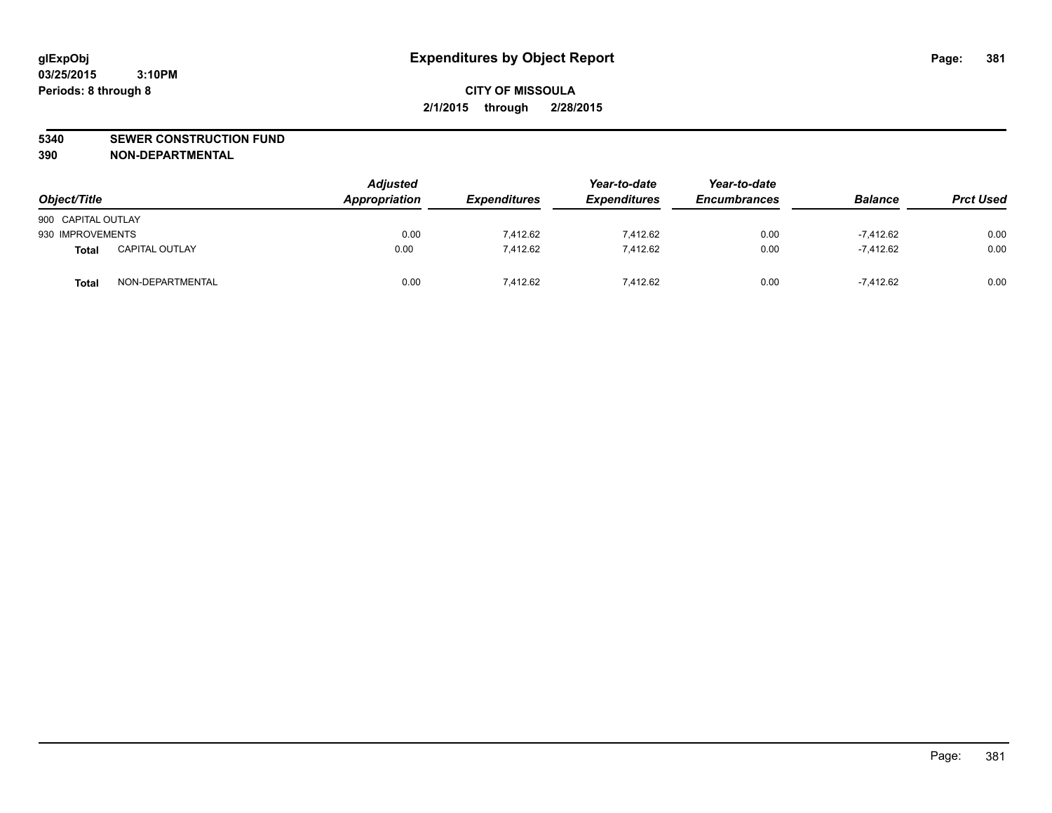#### **5340 SEWER CONSTRUCTION FUND**

**390 NON-DEPARTMENTAL**

| Object/Title       |                       | <b>Adjusted</b><br>Appropriation | <b>Expenditures</b> | Year-to-date<br><b>Expenditures</b> | Year-to-date<br><b>Encumbrances</b> | <b>Balance</b> | <b>Prct Used</b> |
|--------------------|-----------------------|----------------------------------|---------------------|-------------------------------------|-------------------------------------|----------------|------------------|
| 900 CAPITAL OUTLAY |                       |                                  |                     |                                     |                                     |                |                  |
| 930 IMPROVEMENTS   |                       | 0.00                             | 7.412.62            | 7.412.62                            | 0.00                                | $-7.412.62$    | 0.00             |
| <b>Total</b>       | <b>CAPITAL OUTLAY</b> | 0.00                             | 7.412.62            | 7.412.62                            | 0.00                                | $-7.412.62$    | 0.00             |
| Total              | NON-DEPARTMENTAL      | 0.00                             | 7.412.62            | 7.412.62                            | 0.00                                | $-7.412.62$    | 0.00             |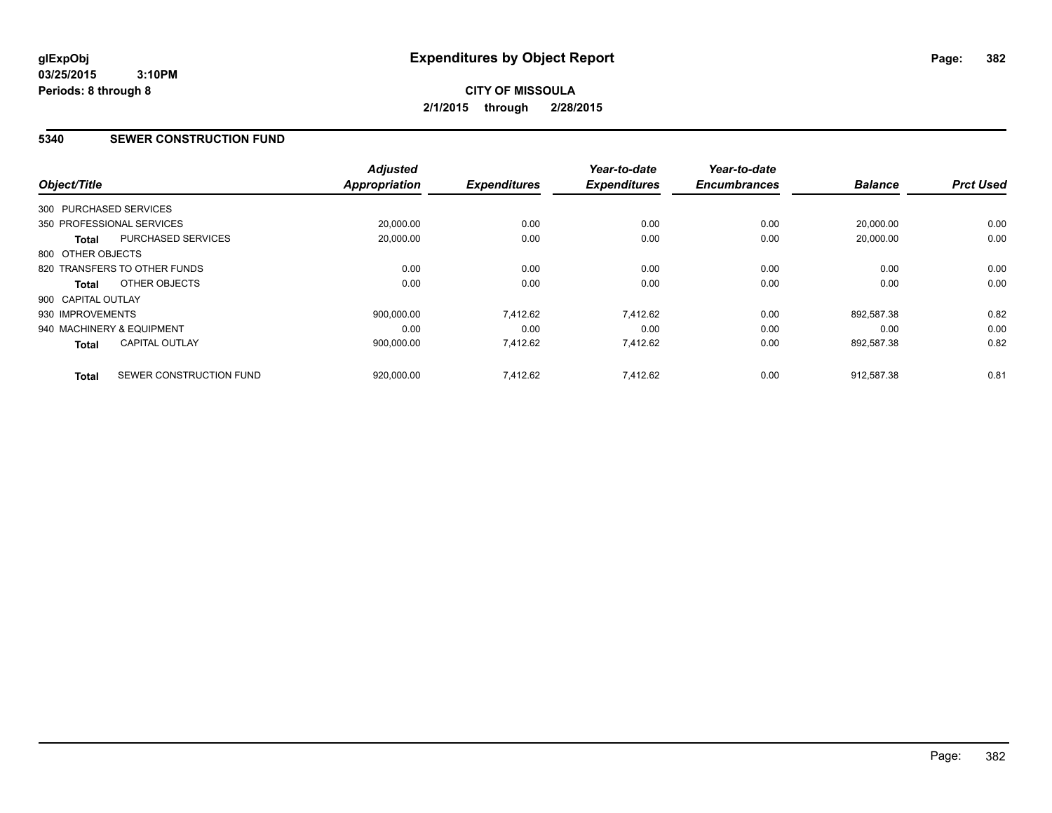#### **5340 SEWER CONSTRUCTION FUND**

| Object/Title           |                              | <b>Adjusted</b><br><b>Appropriation</b> | <b>Expenditures</b> | Year-to-date<br><b>Expenditures</b> | Year-to-date<br><b>Encumbrances</b> | <b>Balance</b> | <b>Prct Used</b> |
|------------------------|------------------------------|-----------------------------------------|---------------------|-------------------------------------|-------------------------------------|----------------|------------------|
| 300 PURCHASED SERVICES |                              |                                         |                     |                                     |                                     |                |                  |
|                        | 350 PROFESSIONAL SERVICES    | 20.000.00                               | 0.00                | 0.00                                | 0.00                                | 20.000.00      | 0.00             |
| <b>Total</b>           | <b>PURCHASED SERVICES</b>    | 20,000.00                               | 0.00                | 0.00                                | 0.00                                | 20,000.00      | 0.00             |
| 800 OTHER OBJECTS      |                              |                                         |                     |                                     |                                     |                |                  |
|                        | 820 TRANSFERS TO OTHER FUNDS | 0.00                                    | 0.00                | 0.00                                | 0.00                                | 0.00           | 0.00             |
| Total                  | OTHER OBJECTS                | 0.00                                    | 0.00                | 0.00                                | 0.00                                | 0.00           | 0.00             |
| 900 CAPITAL OUTLAY     |                              |                                         |                     |                                     |                                     |                |                  |
| 930 IMPROVEMENTS       |                              | 900.000.00                              | 7,412.62            | 7.412.62                            | 0.00                                | 892,587.38     | 0.82             |
|                        | 940 MACHINERY & EQUIPMENT    | 0.00                                    | 0.00                | 0.00                                | 0.00                                | 0.00           | 0.00             |
| Total                  | <b>CAPITAL OUTLAY</b>        | 900,000.00                              | 7,412.62            | 7,412.62                            | 0.00                                | 892,587.38     | 0.82             |
| <b>Total</b>           | SEWER CONSTRUCTION FUND      | 920.000.00                              | 7.412.62            | 7.412.62                            | 0.00                                | 912.587.38     | 0.81             |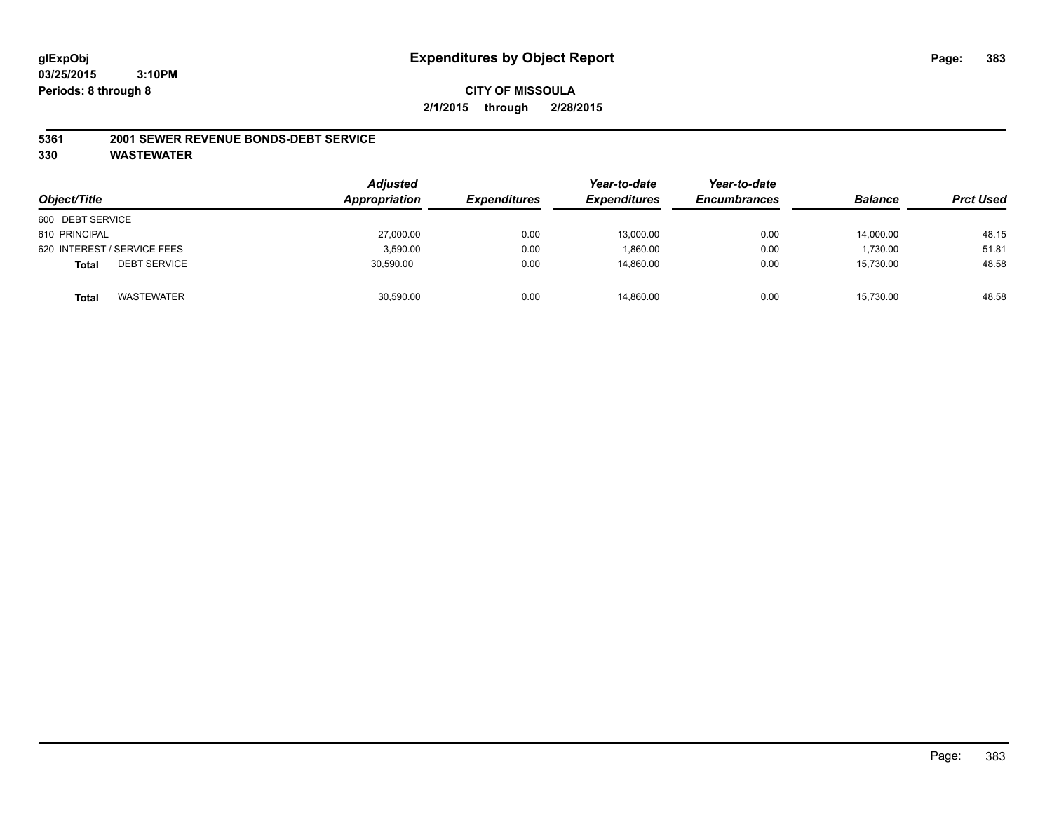#### **5361 2001 SEWER REVENUE BONDS-DEBT SERVICE**

| Object/Title                        | <b>Adjusted</b><br>Appropriation | <b>Expenditures</b> | Year-to-date<br><b>Expenditures</b> | Year-to-date<br><b>Encumbrances</b> | <b>Balance</b> | <b>Prct Used</b> |
|-------------------------------------|----------------------------------|---------------------|-------------------------------------|-------------------------------------|----------------|------------------|
| 600 DEBT SERVICE                    |                                  |                     |                                     |                                     |                |                  |
| 610 PRINCIPAL                       | 27,000.00                        | 0.00                | 13,000.00                           | 0.00                                | 14,000.00      | 48.15            |
| 620 INTEREST / SERVICE FEES         | 3,590.00                         | 0.00                | 1.860.00                            | 0.00                                | 1,730.00       | 51.81            |
| <b>DEBT SERVICE</b><br><b>Total</b> | 30.590.00                        | 0.00                | 14.860.00                           | 0.00                                | 15.730.00      | 48.58            |
| WASTEWATER<br><b>Total</b>          | 30,590.00                        | 0.00                | 14,860.00                           | 0.00                                | 15,730.00      | 48.58            |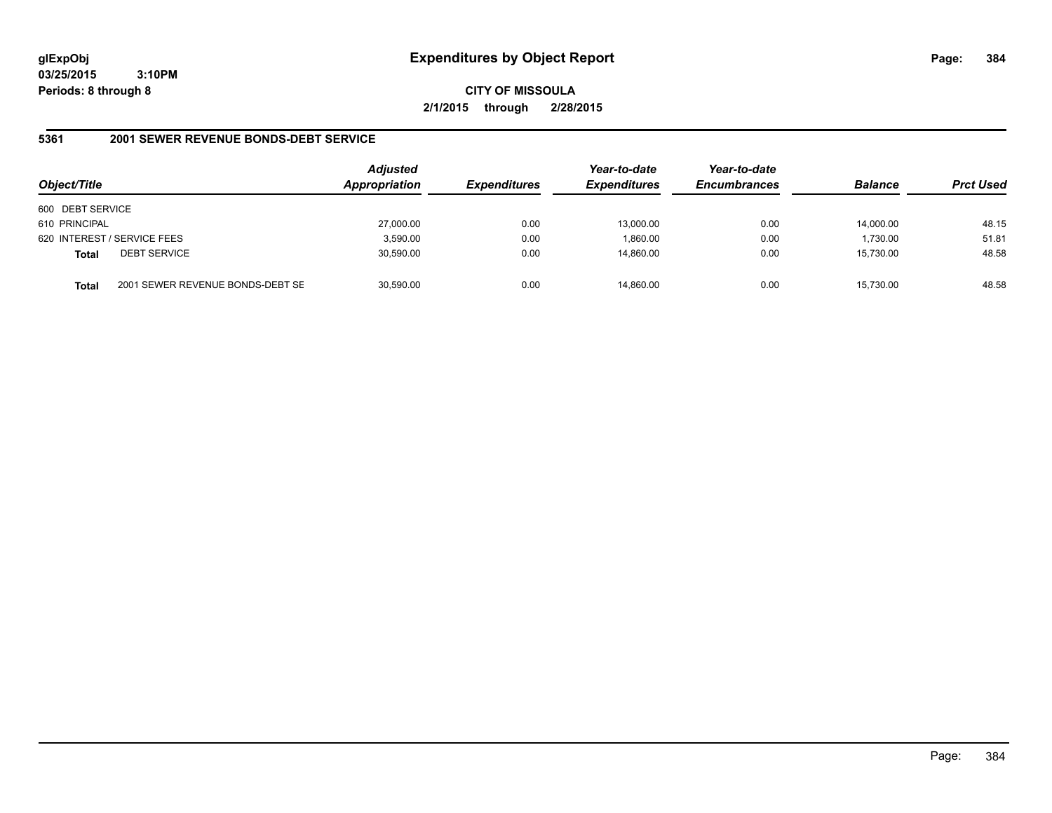**CITY OF MISSOULA 2/1/2015 through 2/28/2015**

#### **5361 2001 SEWER REVENUE BONDS-DEBT SERVICE**

| Object/Title     |                                  | <b>Adjusted</b><br>Appropriation | <b>Expenditures</b> | Year-to-date<br><b>Expenditures</b> | Year-to-date<br><b>Encumbrances</b> | <b>Balance</b> | <b>Prct Used</b> |
|------------------|----------------------------------|----------------------------------|---------------------|-------------------------------------|-------------------------------------|----------------|------------------|
| 600 DEBT SERVICE |                                  |                                  |                     |                                     |                                     |                |                  |
| 610 PRINCIPAL    |                                  | 27,000.00                        | 0.00                | 13,000.00                           | 0.00                                | 14.000.00      | 48.15            |
|                  | 620 INTEREST / SERVICE FEES      | 3,590.00                         | 0.00                | 1.860.00                            | 0.00                                | 1,730.00       | 51.81            |
| <b>Total</b>     | <b>DEBT SERVICE</b>              | 30,590.00                        | 0.00                | 14.860.00                           | 0.00                                | 15,730.00      | 48.58            |
| Total            | 2001 SEWER REVENUE BONDS-DEBT SE | 30,590.00                        | 0.00                | 14.860.00                           | 0.00                                | 15,730.00      | 48.58            |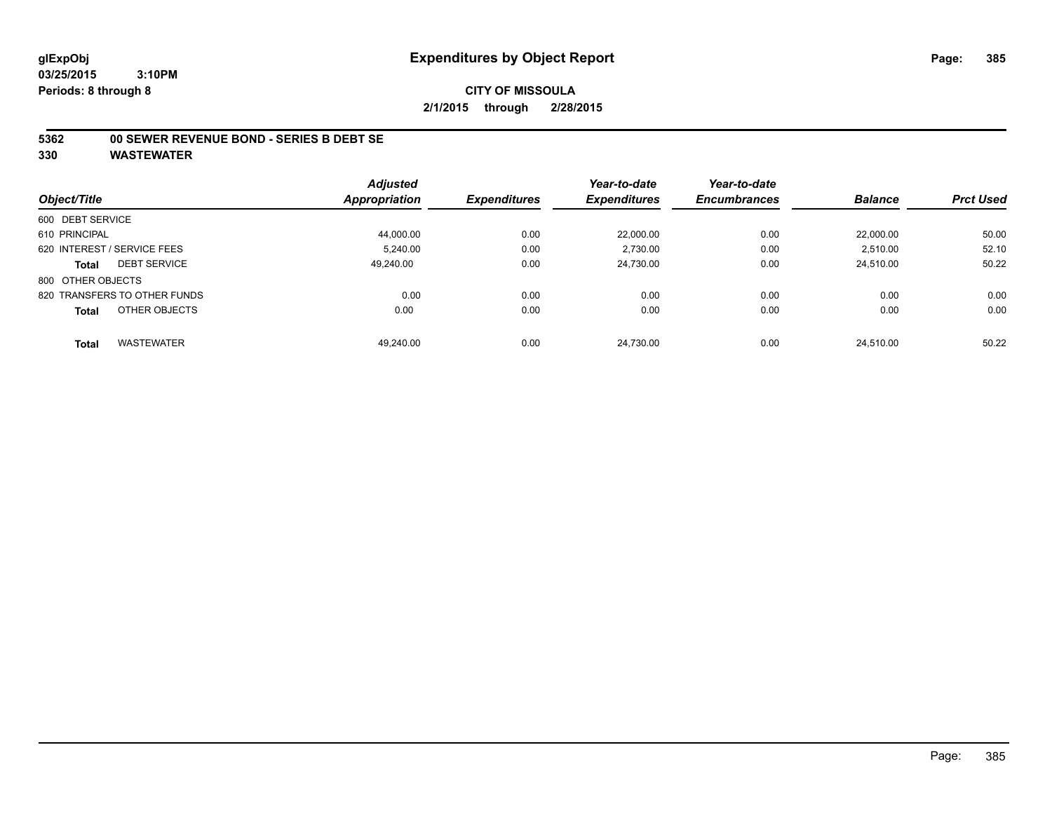#### **5362 00 SEWER REVENUE BOND - SERIES B DEBT SE**

|                                   | <b>Adjusted</b> |                     | Year-to-date        | Year-to-date        |                |                  |
|-----------------------------------|-----------------|---------------------|---------------------|---------------------|----------------|------------------|
| Object/Title                      | Appropriation   | <b>Expenditures</b> | <b>Expenditures</b> | <b>Encumbrances</b> | <b>Balance</b> | <b>Prct Used</b> |
| 600 DEBT SERVICE                  |                 |                     |                     |                     |                |                  |
| 610 PRINCIPAL                     | 44.000.00       | 0.00                | 22.000.00           | 0.00                | 22.000.00      | 50.00            |
| 620 INTEREST / SERVICE FEES       | 5.240.00        | 0.00                | 2,730.00            | 0.00                | 2,510.00       | 52.10            |
| <b>DEBT SERVICE</b><br>Total      | 49.240.00       | 0.00                | 24,730.00           | 0.00                | 24.510.00      | 50.22            |
| 800 OTHER OBJECTS                 |                 |                     |                     |                     |                |                  |
| 820 TRANSFERS TO OTHER FUNDS      | 0.00            | 0.00                | 0.00                | 0.00                | 0.00           | 0.00             |
| OTHER OBJECTS<br><b>Total</b>     | 0.00            | 0.00                | 0.00                | 0.00                | 0.00           | 0.00             |
| <b>WASTEWATER</b><br><b>Total</b> | 49.240.00       | 0.00                | 24.730.00           | 0.00                | 24.510.00      | 50.22            |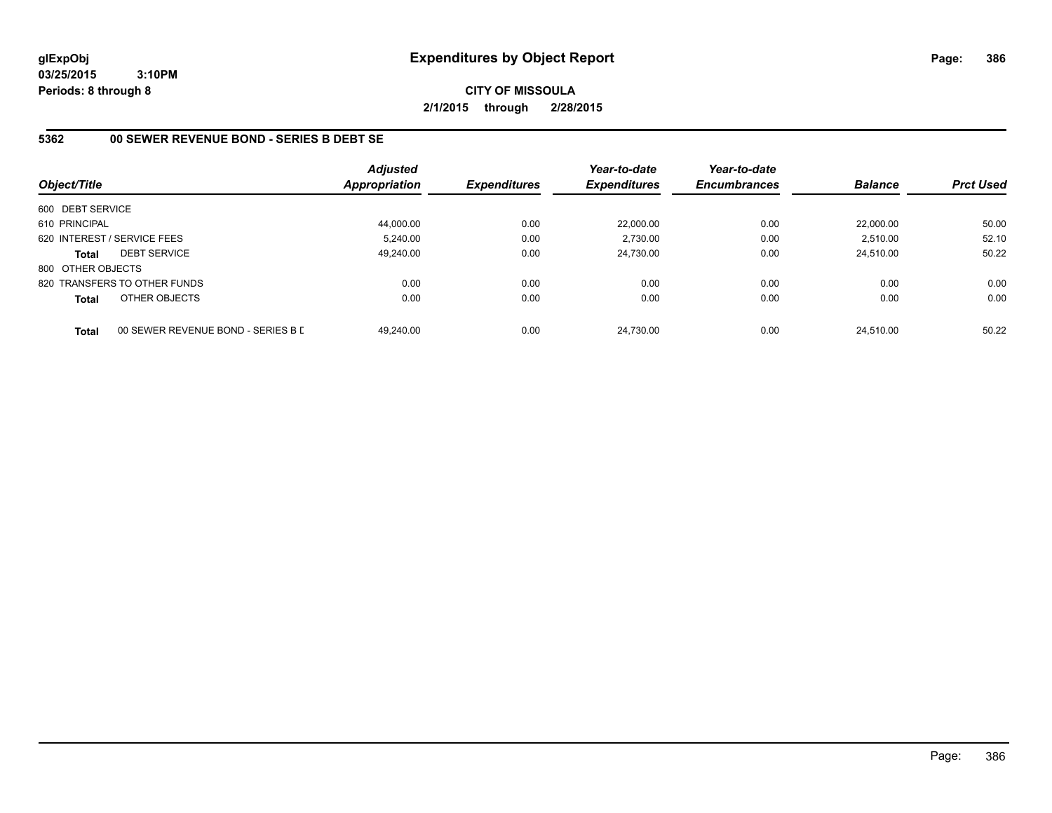**CITY OF MISSOULA 2/1/2015 through 2/28/2015**

#### **5362 00 SEWER REVENUE BOND - SERIES B DEBT SE**

| Object/Title      |                                    | <b>Adjusted</b><br><b>Appropriation</b> | <b>Expenditures</b> | Year-to-date<br><b>Expenditures</b> | Year-to-date<br><b>Encumbrances</b> | <b>Balance</b> | <b>Prct Used</b> |
|-------------------|------------------------------------|-----------------------------------------|---------------------|-------------------------------------|-------------------------------------|----------------|------------------|
| 600 DEBT SERVICE  |                                    |                                         |                     |                                     |                                     |                |                  |
| 610 PRINCIPAL     |                                    | 44,000.00                               | 0.00                | 22,000.00                           | 0.00                                | 22.000.00      | 50.00            |
|                   | 620 INTEREST / SERVICE FEES        | 5.240.00                                | 0.00                | 2.730.00                            | 0.00                                | 2,510.00       | 52.10            |
| <b>Total</b>      | <b>DEBT SERVICE</b>                | 49.240.00                               | 0.00                | 24.730.00                           | 0.00                                | 24.510.00      | 50.22            |
| 800 OTHER OBJECTS |                                    |                                         |                     |                                     |                                     |                |                  |
|                   | 820 TRANSFERS TO OTHER FUNDS       | 0.00                                    | 0.00                | 0.00                                | 0.00                                | 0.00           | 0.00             |
| <b>Total</b>      | OTHER OBJECTS                      | 0.00                                    | 0.00                | 0.00                                | 0.00                                | 0.00           | 0.00             |
| <b>Total</b>      | 00 SEWER REVENUE BOND - SERIES B D | 49.240.00                               | 0.00                | 24.730.00                           | 0.00                                | 24.510.00      | 50.22            |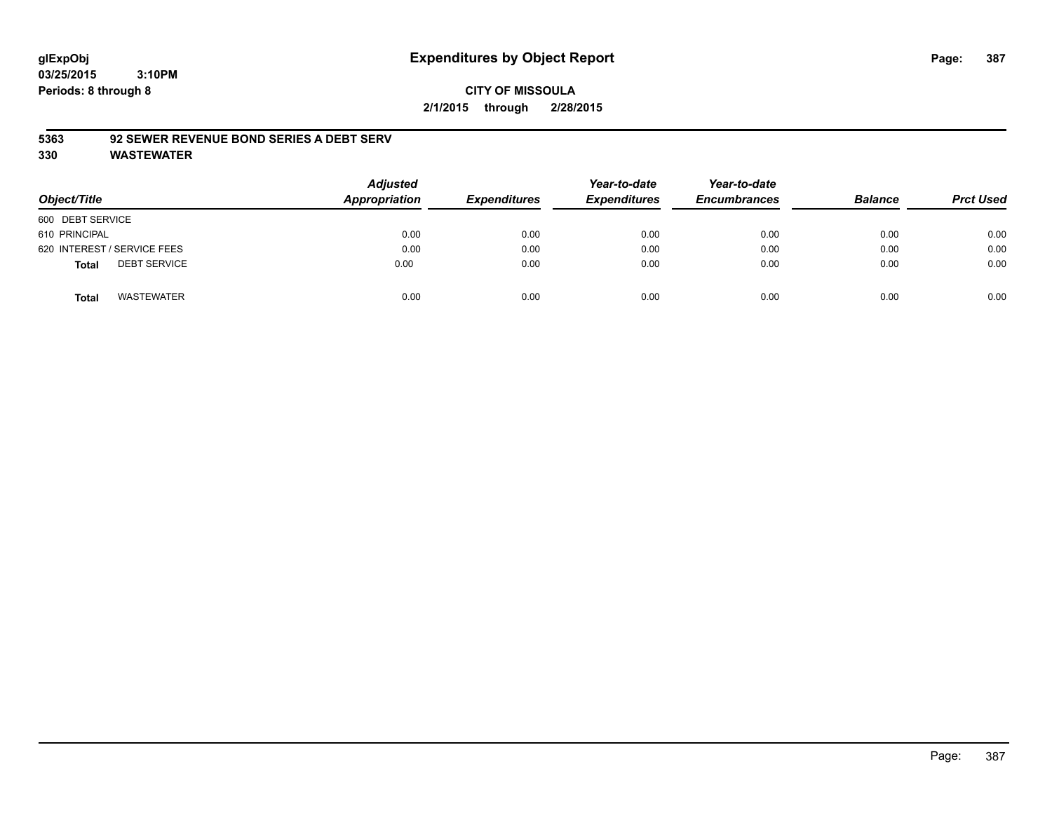### **CITY OF MISSOULA 2/1/2015 through 2/28/2015**

#### **5363 92 SEWER REVENUE BOND SERIES A DEBT SERV**

| Object/Title                        | <b>Adjusted</b><br>Appropriation | <b>Expenditures</b> | Year-to-date<br><b>Expenditures</b> | Year-to-date<br><b>Encumbrances</b> | <b>Balance</b> | <b>Prct Used</b> |
|-------------------------------------|----------------------------------|---------------------|-------------------------------------|-------------------------------------|----------------|------------------|
| 600 DEBT SERVICE                    |                                  |                     |                                     |                                     |                |                  |
| 610 PRINCIPAL                       | 0.00                             | 0.00                | 0.00                                | 0.00                                | 0.00           | 0.00             |
| 620 INTEREST / SERVICE FEES         | 0.00                             | 0.00                | 0.00                                | 0.00                                | 0.00           | 0.00             |
| <b>DEBT SERVICE</b><br><b>Total</b> | 0.00                             | 0.00                | 0.00                                | 0.00                                | 0.00           | 0.00             |
| <b>WASTEWATER</b><br><b>Total</b>   | 0.00                             | 0.00                | 0.00                                | 0.00                                | 0.00           | 0.00             |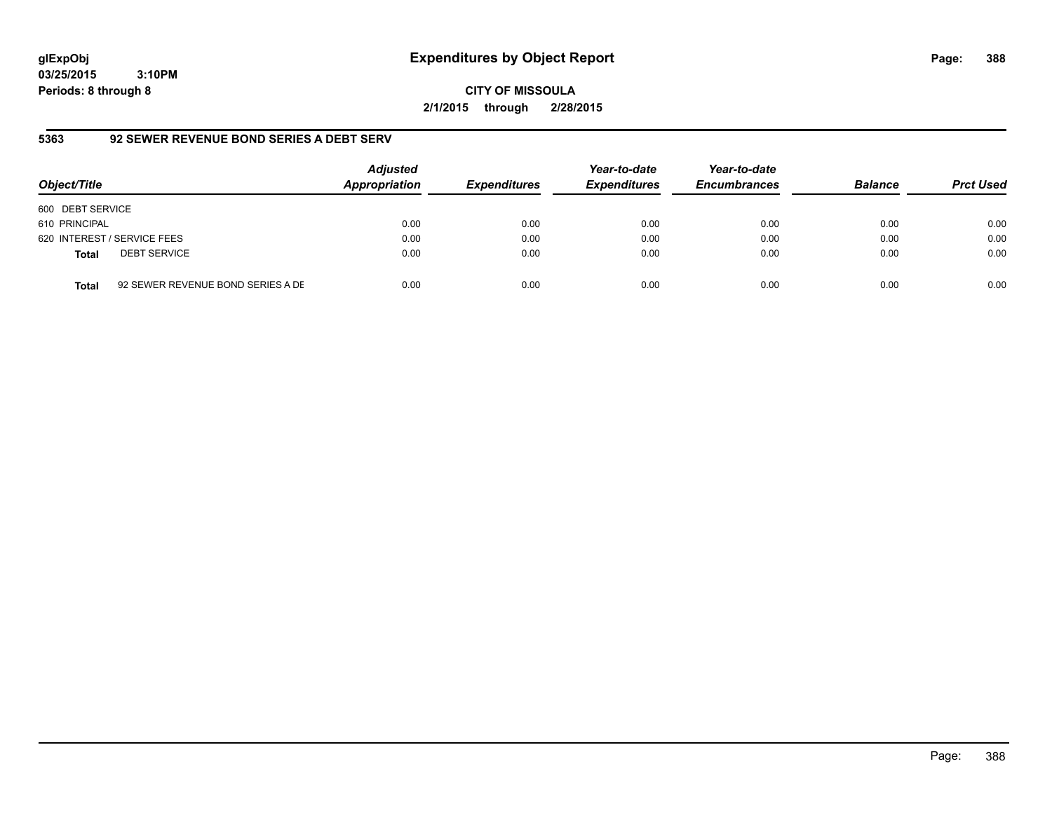**03/25/2015 3:10PM Periods: 8 through 8**

**CITY OF MISSOULA 2/1/2015 through 2/28/2015**

#### **5363 92 SEWER REVENUE BOND SERIES A DEBT SERV**

| Object/Title     |                                   | <b>Adjusted</b><br>Appropriation | <b>Expenditures</b> | Year-to-date<br><b>Expenditures</b> | Year-to-date<br><b>Encumbrances</b> | <b>Balance</b> | <b>Prct Used</b> |
|------------------|-----------------------------------|----------------------------------|---------------------|-------------------------------------|-------------------------------------|----------------|------------------|
| 600 DEBT SERVICE |                                   |                                  |                     |                                     |                                     |                |                  |
| 610 PRINCIPAL    |                                   | 0.00                             | 0.00                | 0.00                                | 0.00                                | 0.00           | 0.00             |
|                  | 620 INTEREST / SERVICE FEES       | 0.00                             | 0.00                | 0.00                                | 0.00                                | 0.00           | 0.00             |
| <b>Total</b>     | <b>DEBT SERVICE</b>               | 0.00                             | 0.00                | 0.00                                | 0.00                                | 0.00           | 0.00             |
| <b>Total</b>     | 92 SEWER REVENUE BOND SERIES A DE | 0.00                             | 0.00                | 0.00                                | 0.00                                | 0.00           | 0.00             |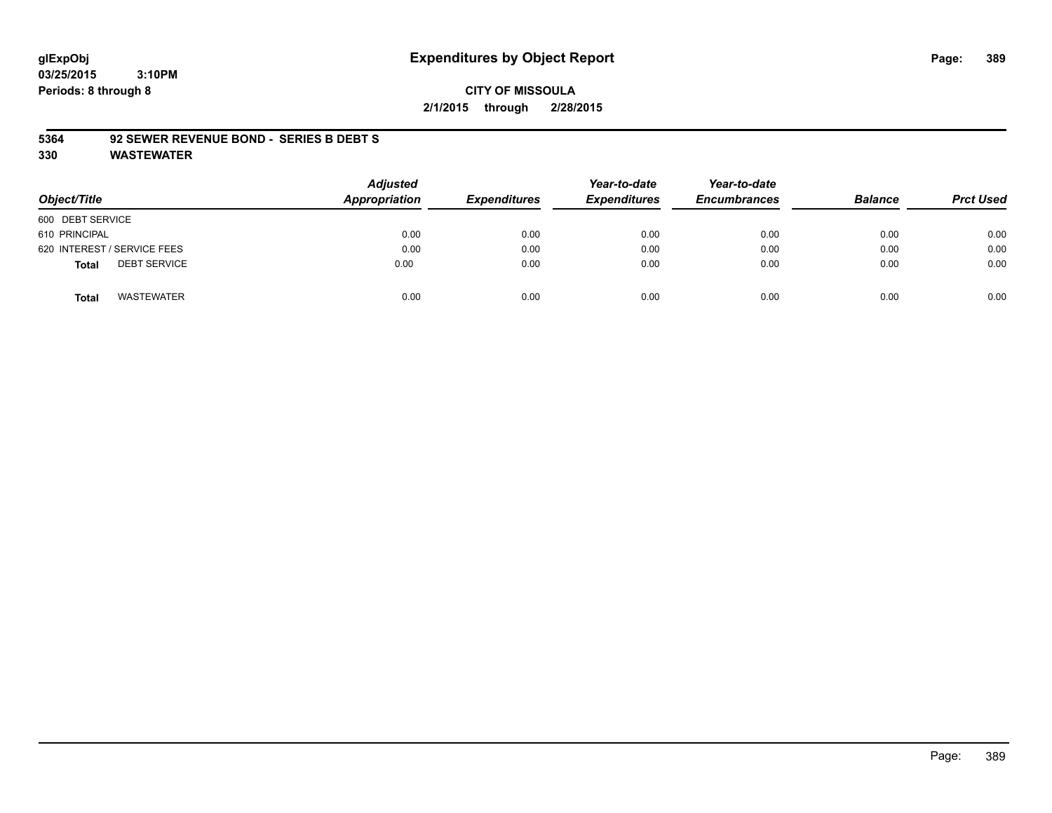**03/25/2015 3:10PM Periods: 8 through 8**

### **CITY OF MISSOULA 2/1/2015 through 2/28/2015**

#### **5364 92 SEWER REVENUE BOND - SERIES B DEBT S**

| Object/Title                        | Adjusted<br>Appropriation | <b>Expenditures</b> | Year-to-date<br><b>Expenditures</b> | Year-to-date<br><b>Encumbrances</b> | <b>Balance</b> | <b>Prct Used</b> |
|-------------------------------------|---------------------------|---------------------|-------------------------------------|-------------------------------------|----------------|------------------|
| 600 DEBT SERVICE                    |                           |                     |                                     |                                     |                |                  |
| 610 PRINCIPAL                       | 0.00                      | 0.00                | 0.00                                | 0.00                                | 0.00           | 0.00             |
| 620 INTEREST / SERVICE FEES         | 0.00                      | 0.00                | 0.00                                | 0.00                                | 0.00           | 0.00             |
| <b>DEBT SERVICE</b><br><b>Total</b> | 0.00                      | 0.00                | 0.00                                | 0.00                                | 0.00           | 0.00             |
| <b>WASTEWATER</b><br><b>Total</b>   | 0.00                      | 0.00                | 0.00                                | 0.00                                | 0.00           | 0.00             |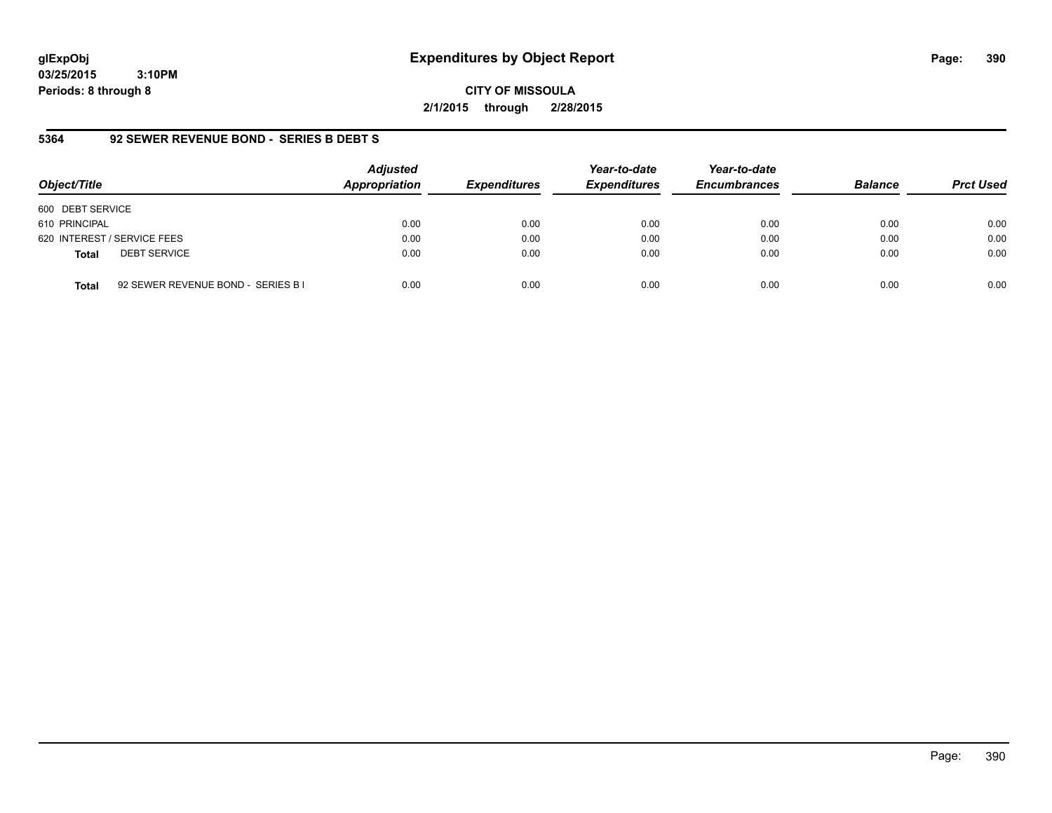**03/25/2015 3:10PM Periods: 8 through 8**

**CITY OF MISSOULA 2/1/2015 through 2/28/2015**

#### **5364 92 SEWER REVENUE BOND - SERIES B DEBT S**

| Object/Title                                       | <b>Adjusted</b><br>Appropriation | <b>Expenditures</b> | Year-to-date<br><b>Expenditures</b> | Year-to-date<br><b>Encumbrances</b> | <b>Balance</b> | <b>Prct Used</b> |
|----------------------------------------------------|----------------------------------|---------------------|-------------------------------------|-------------------------------------|----------------|------------------|
| 600 DEBT SERVICE                                   |                                  |                     |                                     |                                     |                |                  |
| 610 PRINCIPAL                                      | 0.00                             | 0.00                | 0.00                                | 0.00                                | 0.00           | 0.00             |
| 620 INTEREST / SERVICE FEES                        | 0.00                             | 0.00                | 0.00                                | 0.00                                | 0.00           | 0.00             |
| <b>DEBT SERVICE</b><br><b>Total</b>                | 0.00                             | 0.00                | 0.00                                | 0.00                                | 0.00           | 0.00             |
| 92 SEWER REVENUE BOND - SERIES B I<br><b>Total</b> | 0.00                             | 0.00                | 0.00                                | 0.00                                | 0.00           | 0.00             |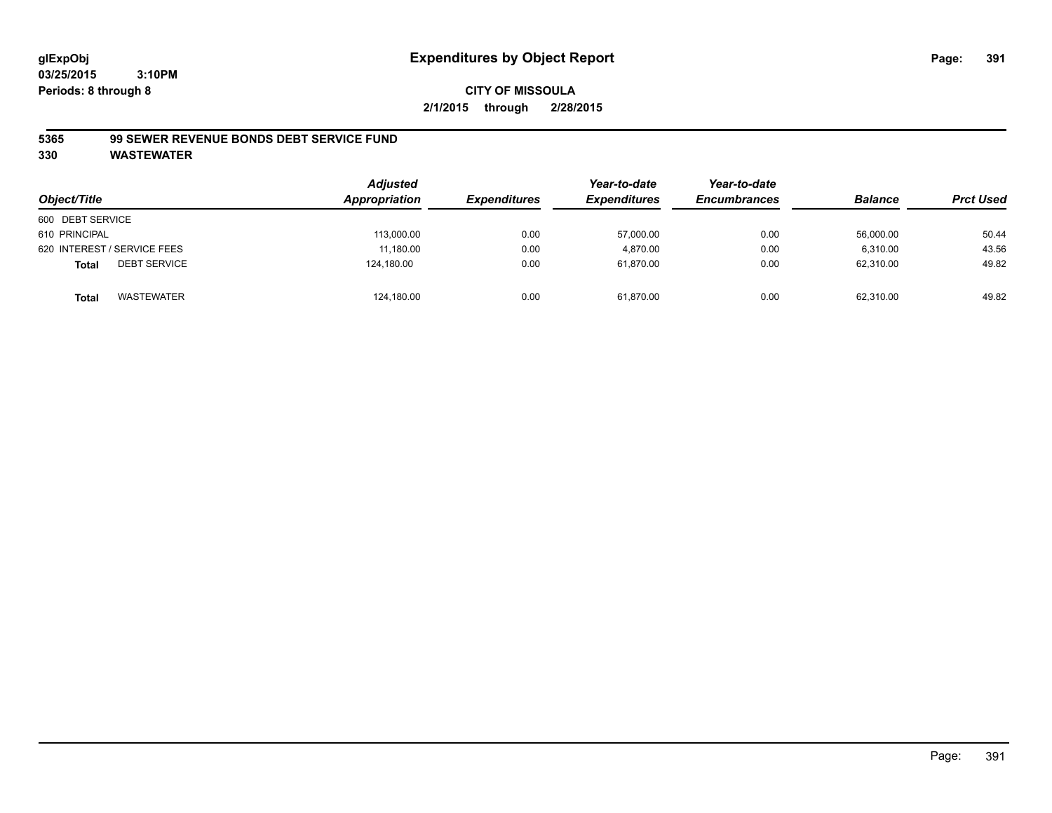### **CITY OF MISSOULA 2/1/2015 through 2/28/2015**

#### **5365 99 SEWER REVENUE BONDS DEBT SERVICE FUND**

| Object/Title                        | <b>Adjusted</b><br>Appropriation | <b>Expenditures</b> | Year-to-date<br><b>Expenditures</b> | Year-to-date<br><b>Encumbrances</b> | <b>Balance</b> | <b>Prct Used</b> |
|-------------------------------------|----------------------------------|---------------------|-------------------------------------|-------------------------------------|----------------|------------------|
| 600 DEBT SERVICE                    |                                  |                     |                                     |                                     |                |                  |
| 610 PRINCIPAL                       | 113,000.00                       | 0.00                | 57,000.00                           | 0.00                                | 56,000.00      | 50.44            |
| 620 INTEREST / SERVICE FEES         | 11,180.00                        | 0.00                | 4.870.00                            | 0.00                                | 6.310.00       | 43.56            |
| <b>DEBT SERVICE</b><br><b>Total</b> | 124,180.00                       | 0.00                | 61,870.00                           | 0.00                                | 62,310.00      | 49.82            |
| WASTEWATER<br>Total                 | 124,180.00                       | 0.00                | 61,870.00                           | 0.00                                | 62.310.00      | 49.82            |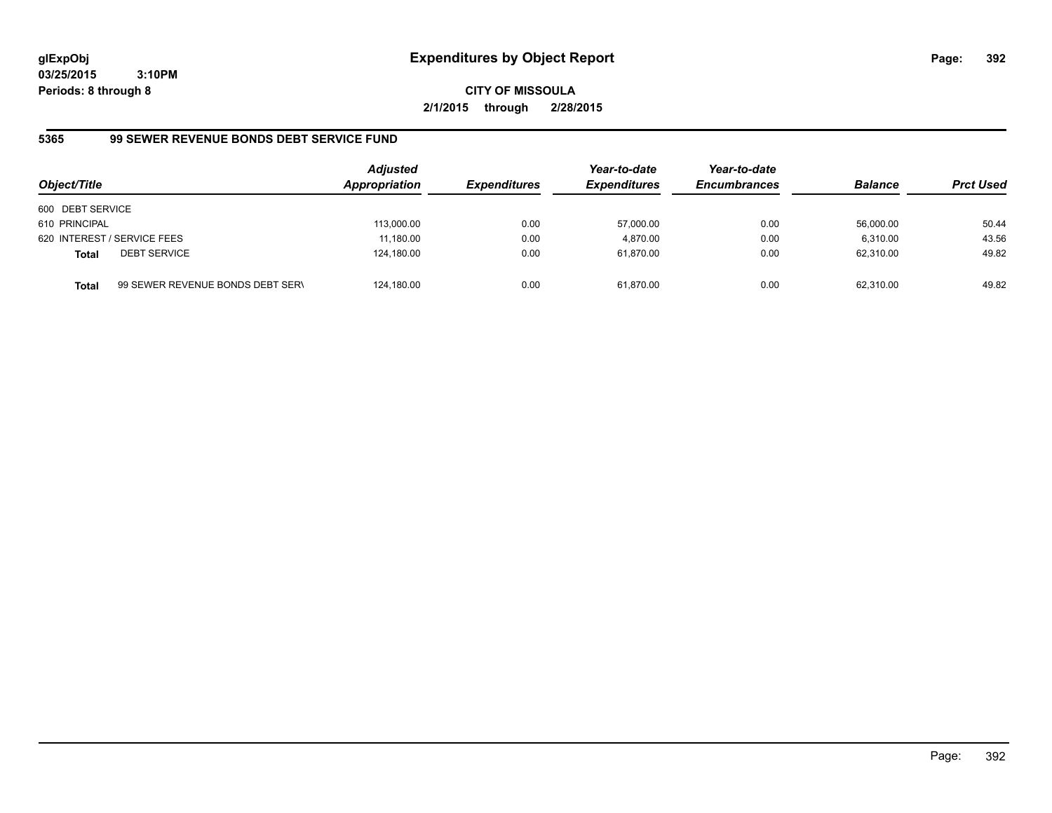**03/25/2015 3:10PM Periods: 8 through 8**

**CITY OF MISSOULA 2/1/2015 through 2/28/2015**

### **5365 99 SEWER REVENUE BONDS DEBT SERVICE FUND**

| Object/Title     |                                  | <b>Adjusted</b><br>Appropriation | <b>Expenditures</b> | Year-to-date<br><b>Expenditures</b> | Year-to-date<br><b>Encumbrances</b> | <b>Balance</b> | <b>Prct Used</b> |
|------------------|----------------------------------|----------------------------------|---------------------|-------------------------------------|-------------------------------------|----------------|------------------|
| 600 DEBT SERVICE |                                  |                                  |                     |                                     |                                     |                |                  |
| 610 PRINCIPAL    |                                  | 113,000.00                       | 0.00                | 57,000.00                           | 0.00                                | 56.000.00      | 50.44            |
|                  | 620 INTEREST / SERVICE FEES      | 11,180.00                        | 0.00                | 4.870.00                            | 0.00                                | 6.310.00       | 43.56            |
| <b>Total</b>     | <b>DEBT SERVICE</b>              | 124,180.00                       | 0.00                | 61,870.00                           | 0.00                                | 62,310.00      | 49.82            |
| Total            | 99 SEWER REVENUE BONDS DEBT SERN | 124,180.00                       | 0.00                | 61,870.00                           | 0.00                                | 62,310.00      | 49.82            |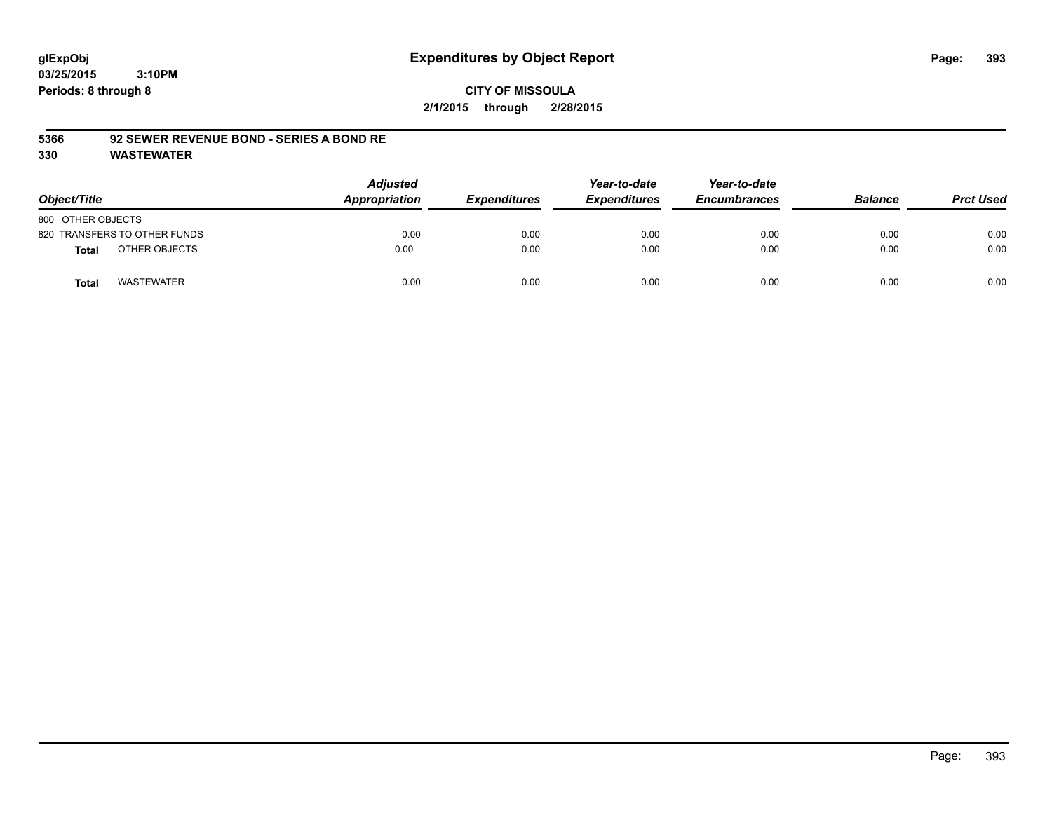#### **CITY OF MISSOULA 2/1/2015 through 2/28/2015**

#### **5366 92 SEWER REVENUE BOND - SERIES A BOND RE**

| Object/Title                      | <b>Adjusted</b><br>Appropriation | <b>Expenditures</b> | Year-to-date<br><b>Expenditures</b> | Year-to-date<br><b>Encumbrances</b> | <b>Balance</b> | <b>Prct Used</b> |
|-----------------------------------|----------------------------------|---------------------|-------------------------------------|-------------------------------------|----------------|------------------|
| 800 OTHER OBJECTS                 |                                  |                     |                                     |                                     |                |                  |
| 820 TRANSFERS TO OTHER FUNDS      | 0.00                             | 0.00                | 0.00                                | 0.00                                | 0.00           | 0.00             |
| OTHER OBJECTS<br>Total            | 0.00                             | 0.00                | 0.00                                | 0.00                                | 0.00           | 0.00             |
| <b>WASTEWATER</b><br><b>Total</b> | 0.00                             | 0.00                | 0.00                                | 0.00                                | 0.00           | 0.00             |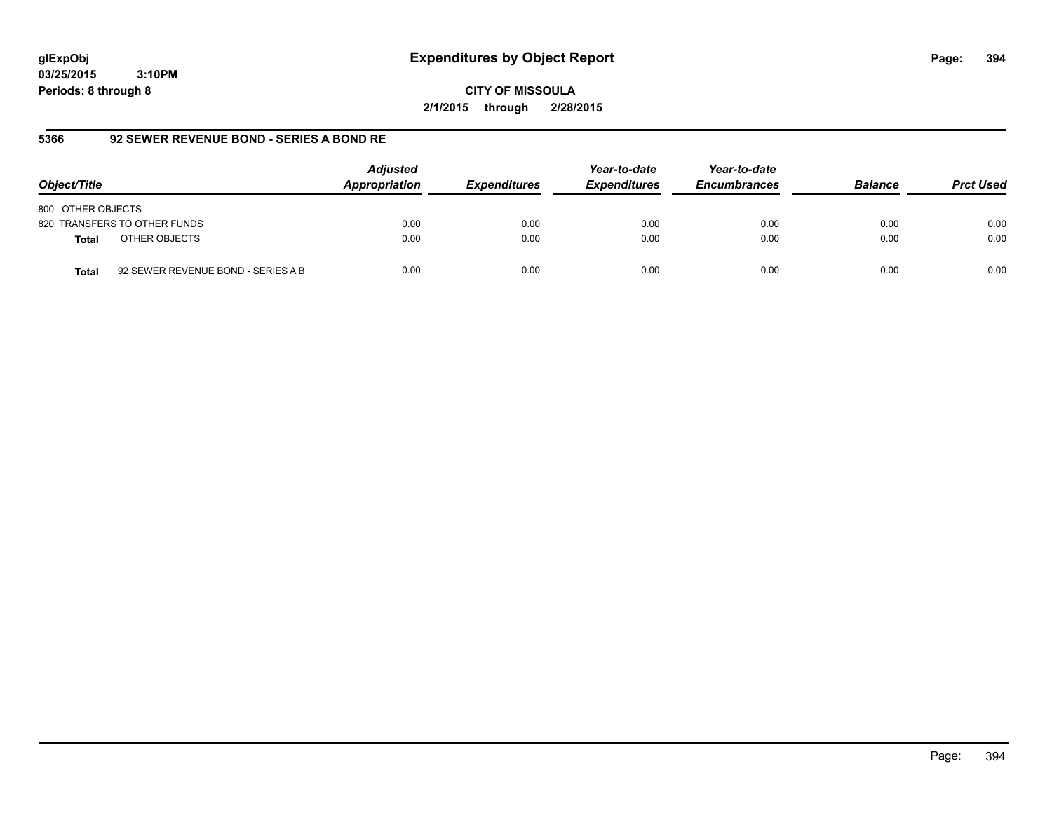**03/25/2015 3:10PM Periods: 8 through 8**

**CITY OF MISSOULA 2/1/2015 through 2/28/2015**

### **5366 92 SEWER REVENUE BOND - SERIES A BOND RE**

| Object/Title                                       | <b>Adjusted</b><br>Appropriation | <b>Expenditures</b> | Year-to-date<br><b>Expenditures</b> | Year-to-date<br><b>Encumbrances</b> | <b>Balance</b> | <b>Prct Used</b> |
|----------------------------------------------------|----------------------------------|---------------------|-------------------------------------|-------------------------------------|----------------|------------------|
| 800 OTHER OBJECTS                                  |                                  |                     |                                     |                                     |                |                  |
| 820 TRANSFERS TO OTHER FUNDS                       | 0.00                             | 0.00                | 0.00                                | 0.00                                | 0.00           | 0.00             |
| OTHER OBJECTS<br><b>Total</b>                      | 0.00                             | 0.00                | 0.00                                | 0.00                                | 0.00           | 0.00             |
| 92 SEWER REVENUE BOND - SERIES A B<br><b>Total</b> | 0.00                             | 0.00                | 0.00                                | 0.00                                | 0.00           | 0.00             |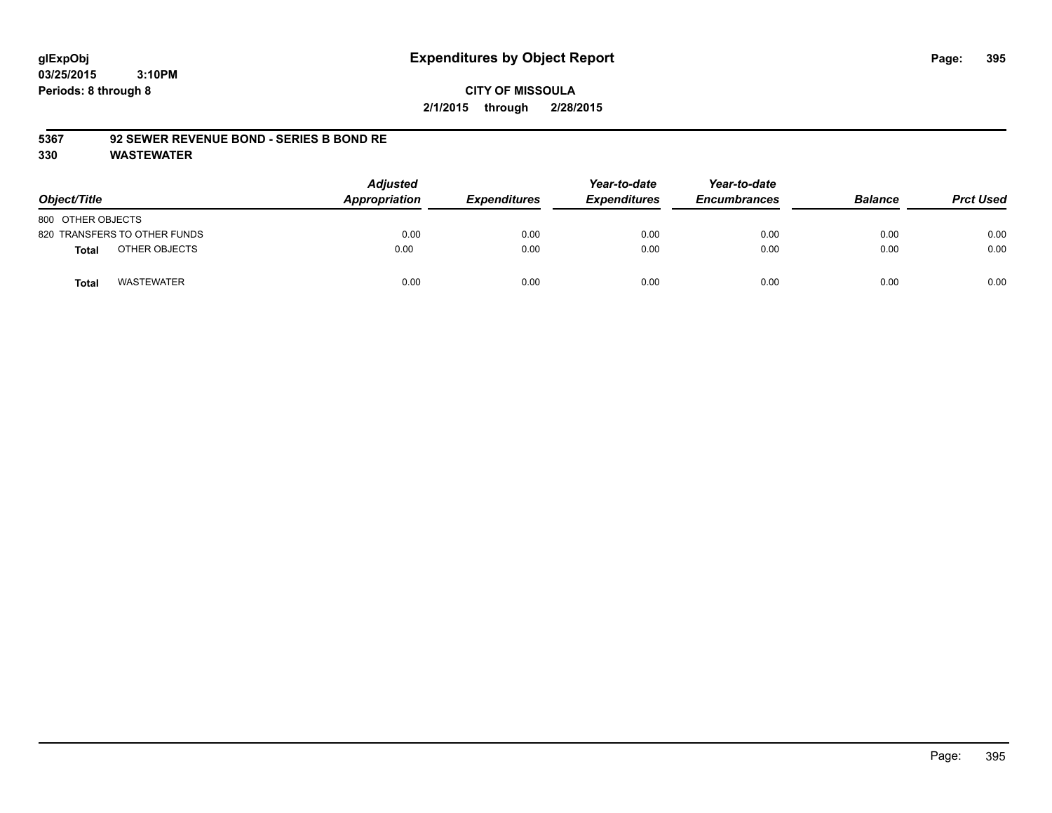### **CITY OF MISSOULA 2/1/2015 through 2/28/2015**

#### **5367 92 SEWER REVENUE BOND - SERIES B BOND RE**

| Object/Title                  | <b>Adjusted</b><br>Appropriation | <b>Expenditures</b> | Year-to-date<br><b>Expenditures</b> | Year-to-date<br><b>Encumbrances</b> | <b>Balance</b> | <b>Prct Used</b> |
|-------------------------------|----------------------------------|---------------------|-------------------------------------|-------------------------------------|----------------|------------------|
| 800 OTHER OBJECTS             |                                  |                     |                                     |                                     |                |                  |
| 820 TRANSFERS TO OTHER FUNDS  | 0.00                             | 0.00                | 0.00                                | 0.00                                | 0.00           | 0.00             |
| OTHER OBJECTS<br><b>Total</b> | 0.00                             | 0.00                | 0.00                                | 0.00                                | 0.00           | 0.00             |
| WASTEWATER<br><b>Total</b>    | 0.00                             | 0.00                | 0.00                                | 0.00                                | 0.00           | 0.00             |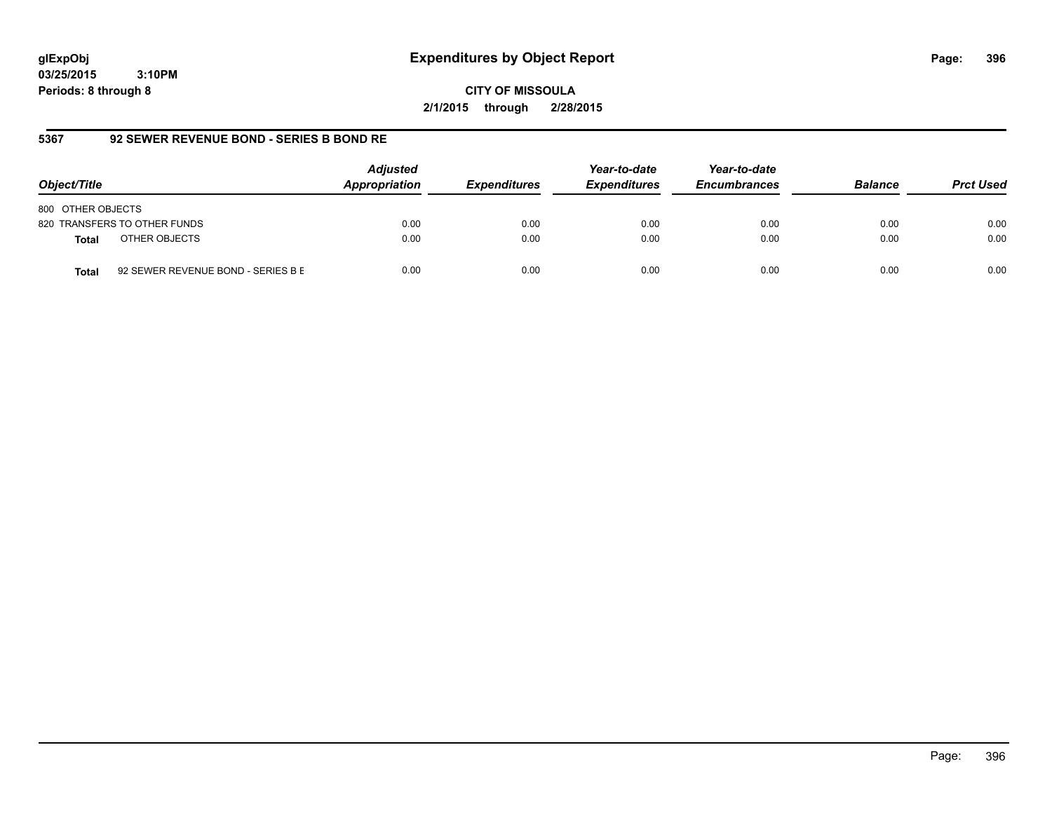**03/25/2015 3:10PM Periods: 8 through 8**

**CITY OF MISSOULA 2/1/2015 through 2/28/2015**

#### **5367 92 SEWER REVENUE BOND - SERIES B BOND RE**

| Object/Title                                       | <b>Adjusted</b><br>Appropriation | <b>Expenditures</b> | Year-to-date<br><b>Expenditures</b> | Year-to-date<br><b>Encumbrances</b> | <b>Balance</b> | <b>Prct Used</b> |
|----------------------------------------------------|----------------------------------|---------------------|-------------------------------------|-------------------------------------|----------------|------------------|
| 800 OTHER OBJECTS                                  |                                  |                     |                                     |                                     |                |                  |
| 820 TRANSFERS TO OTHER FUNDS                       | 0.00                             | 0.00                | 0.00                                | 0.00                                | 0.00           | 0.00             |
| OTHER OBJECTS<br><b>Total</b>                      | 0.00                             | 0.00                | 0.00                                | 0.00                                | 0.00           | 0.00             |
| 92 SEWER REVENUE BOND - SERIES B E<br><b>Total</b> | 0.00                             | 0.00                | 0.00                                | 0.00                                | 0.00           | 0.00             |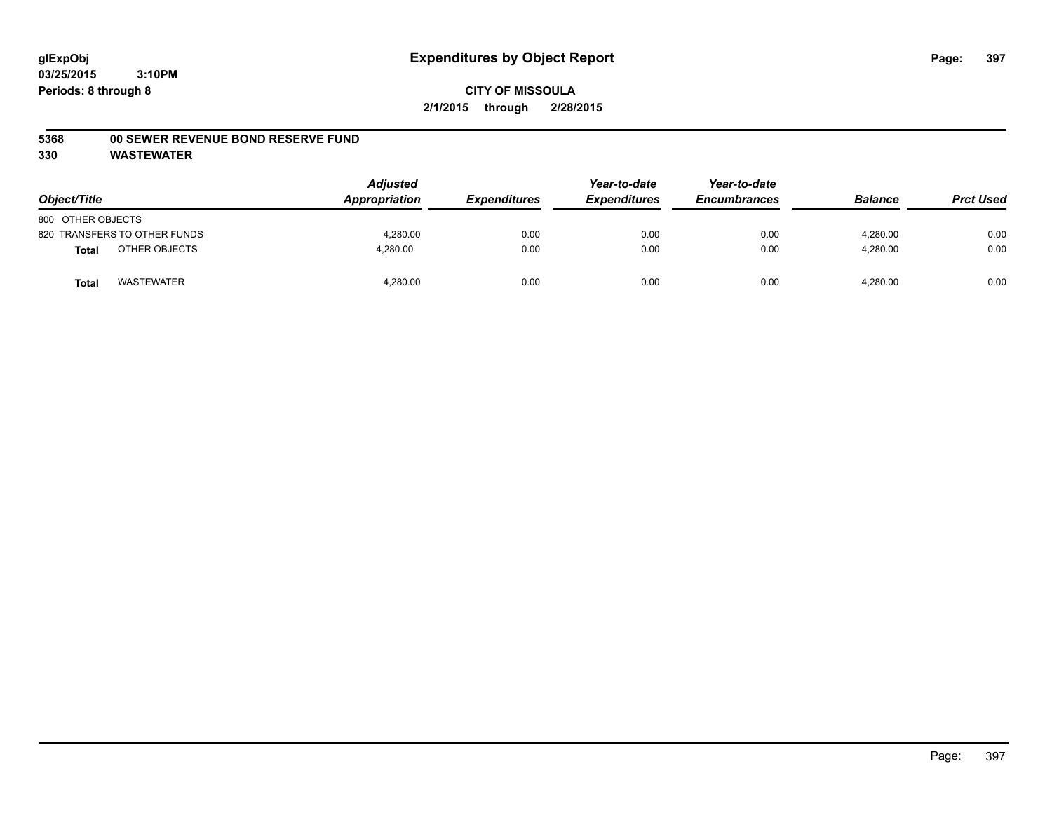#### **5368 00 SEWER REVENUE BOND RESERVE FUND**

| Object/Title      |                              | Adjusted<br>Appropriation | <b>Expenditures</b> | Year-to-date<br><b>Expenditures</b> | Year-to-date<br><b>Encumbrances</b> | <b>Balance</b> | <b>Prct Used</b> |
|-------------------|------------------------------|---------------------------|---------------------|-------------------------------------|-------------------------------------|----------------|------------------|
| 800 OTHER OBJECTS |                              |                           |                     |                                     |                                     |                |                  |
|                   | 820 TRANSFERS TO OTHER FUNDS | 4,280.00                  | 0.00                | 0.00                                | 0.00                                | 4,280.00       | 0.00             |
| <b>Total</b>      | OTHER OBJECTS                | 4,280.00                  | 0.00                | 0.00                                | 0.00                                | 4,280.00       | 0.00             |
| <b>Total</b>      | <b>WASTEWATER</b>            | 4,280.00                  | 0.00                | 0.00                                | 0.00                                | 4,280.00       | 0.00             |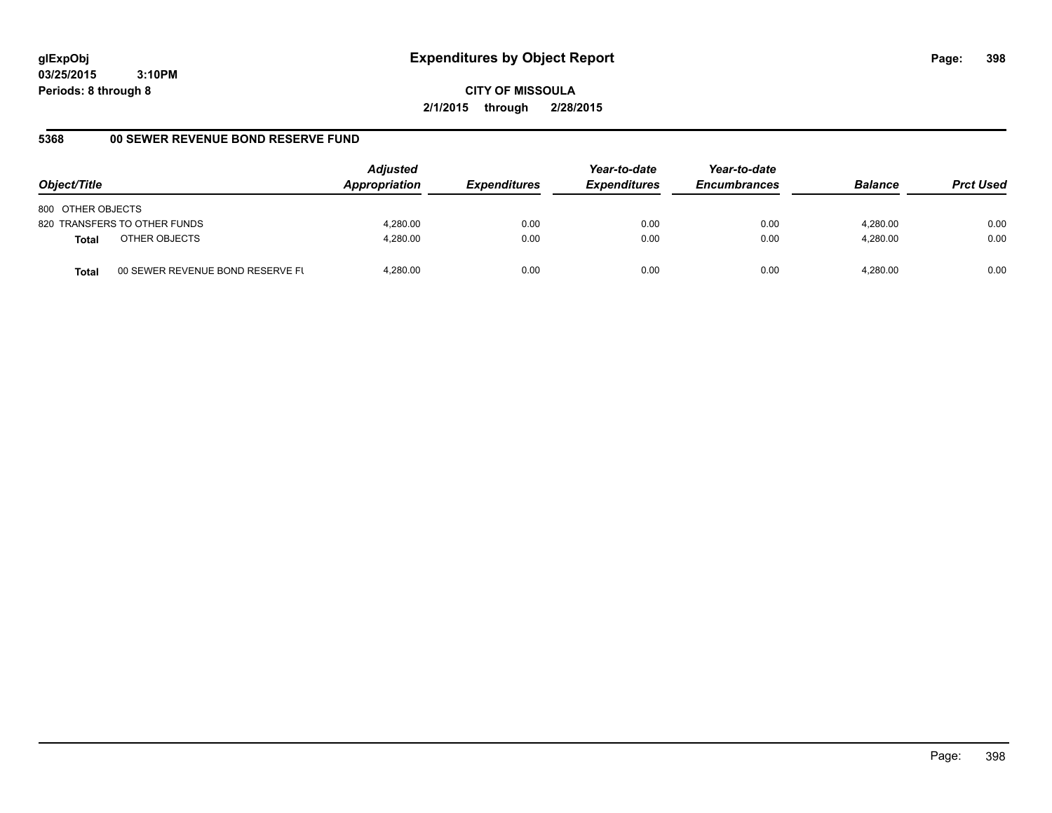**CITY OF MISSOULA 2/1/2015 through 2/28/2015**

# **5368 00 SEWER REVENUE BOND RESERVE FUND**

| Object/Title                                     | <b>Adjusted</b><br><b>Appropriation</b> | <i><b>Expenditures</b></i> | Year-to-date<br><b>Expenditures</b> | Year-to-date<br><b>Encumbrances</b> | <b>Balance</b> | <b>Prct Used</b> |
|--------------------------------------------------|-----------------------------------------|----------------------------|-------------------------------------|-------------------------------------|----------------|------------------|
| 800 OTHER OBJECTS                                |                                         |                            |                                     |                                     |                |                  |
| 820 TRANSFERS TO OTHER FUNDS                     | 4.280.00                                | 0.00                       | 0.00                                | 0.00                                | 4.280.00       | 0.00             |
| OTHER OBJECTS<br><b>Total</b>                    | 4.280.00                                | 0.00                       | 0.00                                | 0.00                                | 4.280.00       | 0.00             |
| 00 SEWER REVENUE BOND RESERVE FL<br><b>Total</b> | 4.280.00                                | 0.00                       | 0.00                                | 0.00                                | 4.280.00       | 0.00             |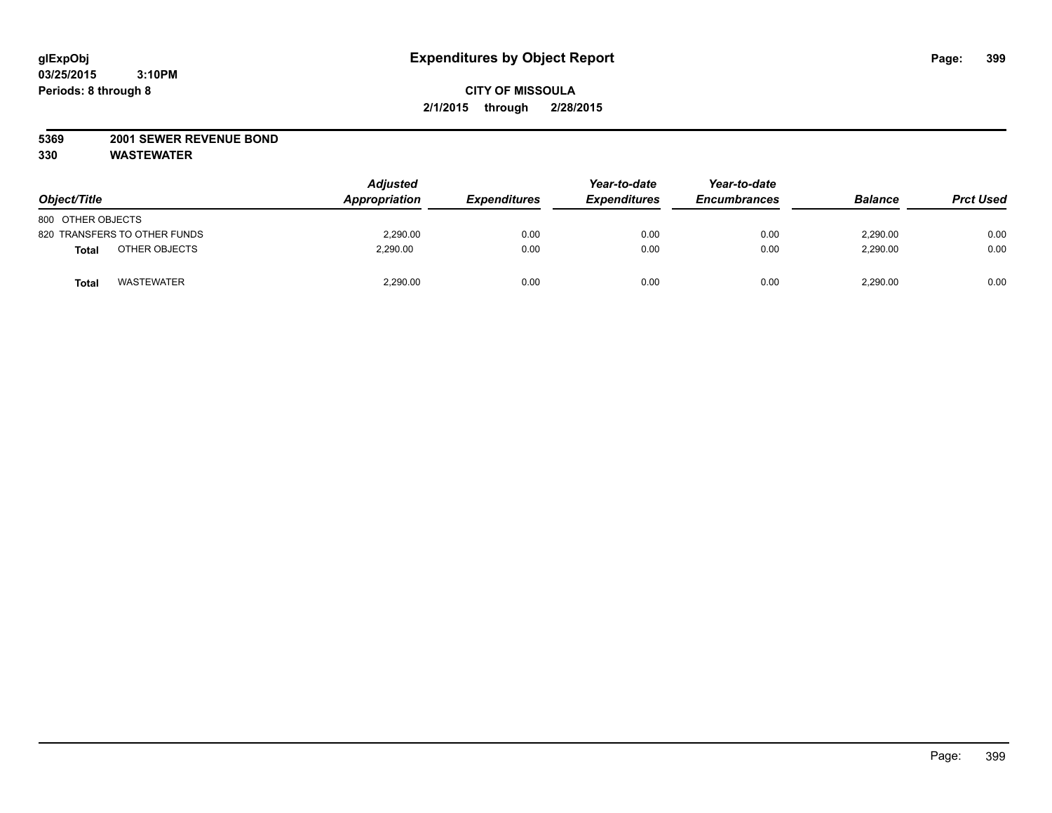## **5369 2001 SEWER REVENUE BOND**

| Object/Title                      | <b>Adjusted</b><br>Appropriation | <b>Expenditures</b> | Year-to-date<br><b>Expenditures</b> | Year-to-date<br><b>Encumbrances</b> | <b>Balance</b> | <b>Prct Used</b> |
|-----------------------------------|----------------------------------|---------------------|-------------------------------------|-------------------------------------|----------------|------------------|
| 800 OTHER OBJECTS                 |                                  |                     |                                     |                                     |                |                  |
| 820 TRANSFERS TO OTHER FUNDS      | 2,290.00                         | 0.00                | 0.00                                | 0.00                                | 2,290.00       | 0.00             |
| OTHER OBJECTS<br>Total            | 2.290.00                         | 0.00                | 0.00                                | 0.00                                | 2,290.00       | 0.00             |
| <b>WASTEWATER</b><br><b>Total</b> | 2,290.00                         | 0.00                | 0.00                                | 0.00                                | 2,290.00       | 0.00             |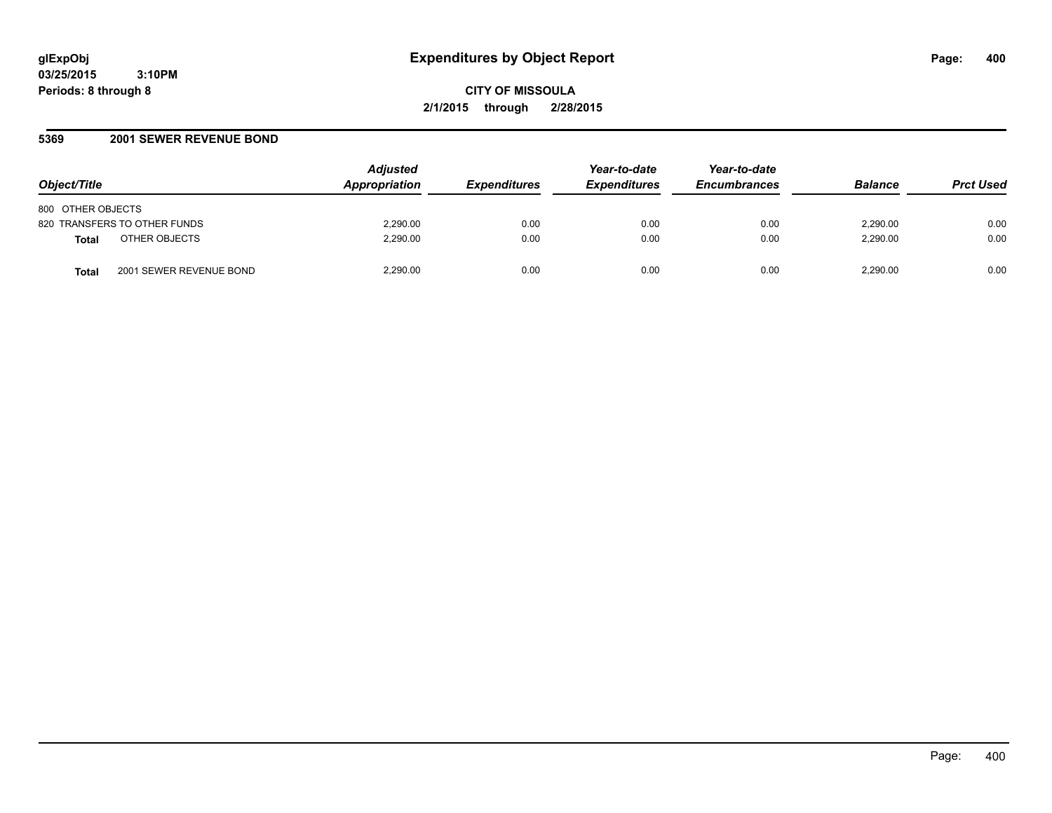**CITY OF MISSOULA 2/1/2015 through 2/28/2015**

## **5369 2001 SEWER REVENUE BOND**

| Object/Title                            | <b>Adjusted</b><br>Appropriation | <i><b>Expenditures</b></i> | Year-to-date<br><b>Expenditures</b> | Year-to-date<br><b>Encumbrances</b> | <b>Balance</b> | <b>Prct Used</b> |
|-----------------------------------------|----------------------------------|----------------------------|-------------------------------------|-------------------------------------|----------------|------------------|
| 800 OTHER OBJECTS                       |                                  |                            |                                     |                                     |                |                  |
| 820 TRANSFERS TO OTHER FUNDS            | 2,290.00                         | 0.00                       | 0.00                                | 0.00                                | 2.290.00       | 0.00             |
| OTHER OBJECTS<br><b>Total</b>           | 2.290.00                         | 0.00                       | 0.00                                | 0.00                                | 2.290.00       | 0.00             |
| 2001 SEWER REVENUE BOND<br><b>Total</b> | 2.290.00                         | 0.00                       | 0.00                                | 0.00                                | 2.290.00       | 0.00             |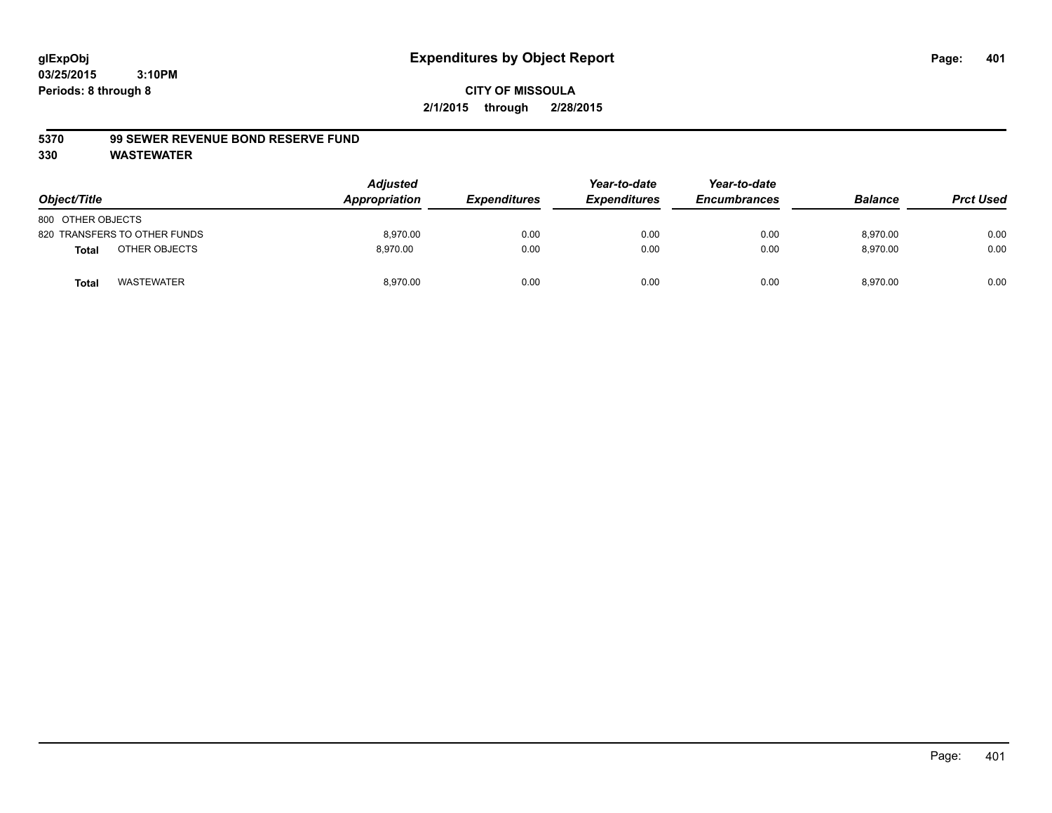#### **5370 99 SEWER REVENUE BOND RESERVE FUND**

| Object/Title      |                              | <b>Adjusted</b><br>Appropriation | <b>Expenditures</b> | Year-to-date<br><b>Expenditures</b> | Year-to-date<br><b>Encumbrances</b> | <b>Balance</b> | <b>Prct Used</b> |
|-------------------|------------------------------|----------------------------------|---------------------|-------------------------------------|-------------------------------------|----------------|------------------|
| 800 OTHER OBJECTS |                              |                                  |                     |                                     |                                     |                |                  |
|                   | 820 TRANSFERS TO OTHER FUNDS | 8,970.00                         | 0.00                | 0.00                                | 0.00                                | 8,970.00       | 0.00             |
| <b>Total</b>      | OTHER OBJECTS                | 8.970.00                         | 0.00                | 0.00                                | 0.00                                | 8,970.00       | 0.00             |
| <b>Total</b>      | <b>WASTEWATER</b>            | 8,970.00                         | 0.00                | 0.00                                | 0.00                                | 8,970.00       | 0.00             |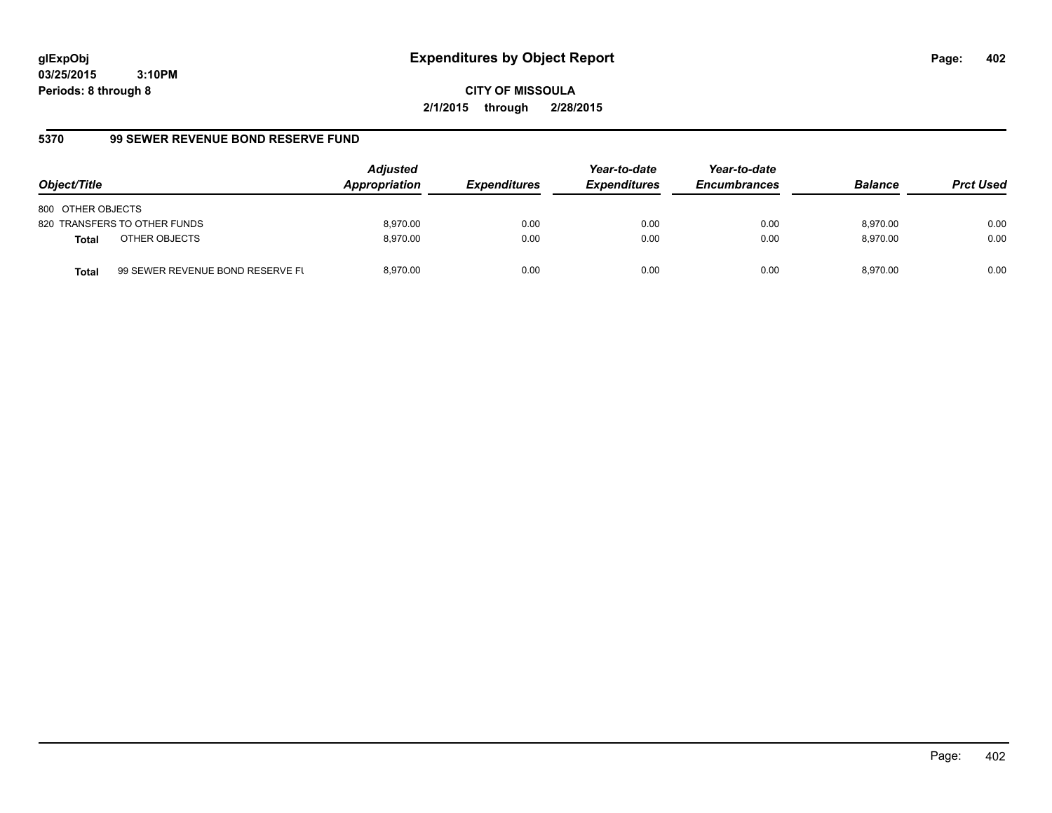**CITY OF MISSOULA 2/1/2015 through 2/28/2015**

# **5370 99 SEWER REVENUE BOND RESERVE FUND**

| Object/Title                  |                                  | <b>Adjusted</b><br>Appropriation | <b>Expenditures</b> | Year-to-date<br><b>Expenditures</b> | Year-to-date<br><b>Encumbrances</b> | <b>Balance</b> | <b>Prct Used</b> |
|-------------------------------|----------------------------------|----------------------------------|---------------------|-------------------------------------|-------------------------------------|----------------|------------------|
| 800 OTHER OBJECTS             |                                  |                                  |                     |                                     |                                     |                |                  |
| 820 TRANSFERS TO OTHER FUNDS  |                                  | 8.970.00                         | 0.00                | 0.00                                | 0.00                                | 8.970.00       | 0.00             |
| OTHER OBJECTS<br><b>Total</b> |                                  | 8.970.00                         | 0.00                | 0.00                                | 0.00                                | 8.970.00       | 0.00             |
| <b>Total</b>                  | 99 SEWER REVENUE BOND RESERVE FL | 8.970.00                         | 0.00                | 0.00                                | 0.00                                | 8.970.00       | 0.00             |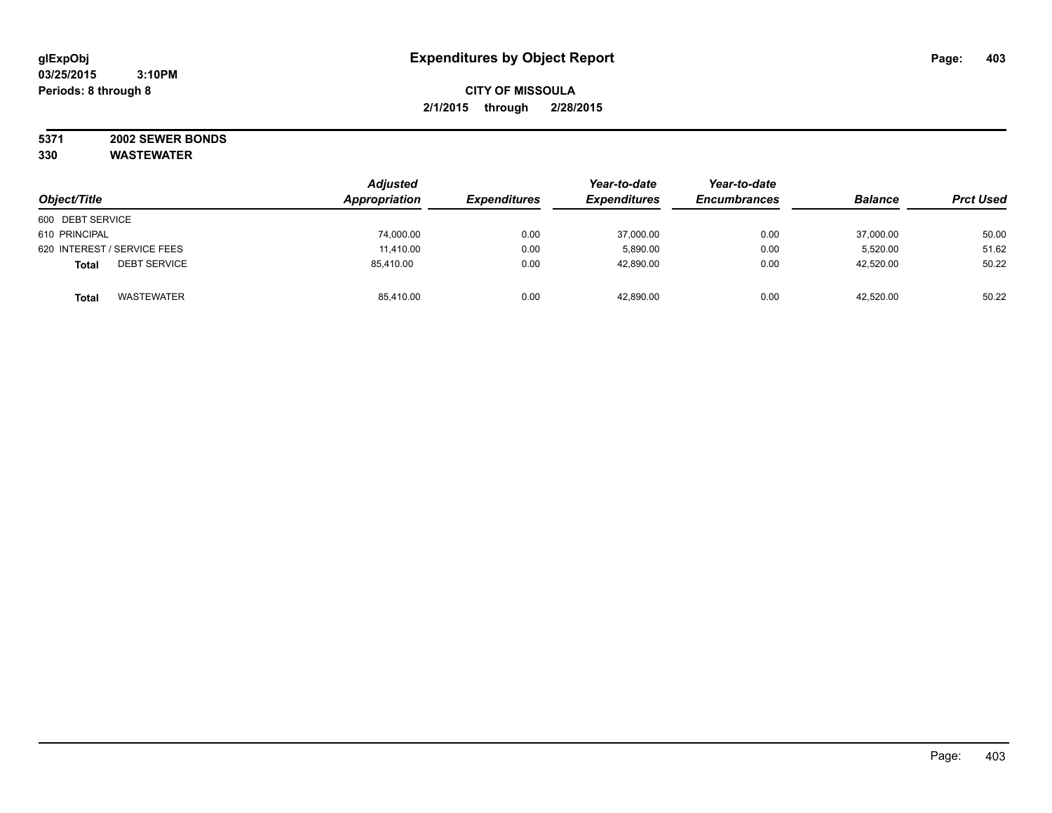#### **5371 2002 SEWER BONDS 330 WASTEWATER**

|                                     | <b>Adjusted</b><br>Appropriation | <i><b>Expenditures</b></i> | Year-to-date        | Year-to-date        | <b>Balance</b> | <b>Prct Used</b> |
|-------------------------------------|----------------------------------|----------------------------|---------------------|---------------------|----------------|------------------|
| Object/Title                        |                                  |                            | <b>Expenditures</b> | <b>Encumbrances</b> |                |                  |
| 600 DEBT SERVICE                    |                                  |                            |                     |                     |                |                  |
| 610 PRINCIPAL                       | 74,000.00                        | 0.00                       | 37,000.00           | 0.00                | 37,000.00      | 50.00            |
| 620 INTEREST / SERVICE FEES         | 11,410.00                        | 0.00                       | 5,890.00            | 0.00                | 5,520.00       | 51.62            |
| <b>DEBT SERVICE</b><br><b>Total</b> | 85,410.00                        | 0.00                       | 42,890.00           | 0.00                | 42,520.00      | 50.22            |
| WASTEWATER<br><b>Total</b>          | 85,410.00                        | 0.00                       | 42.890.00           | 0.00                | 42,520.00      | 50.22            |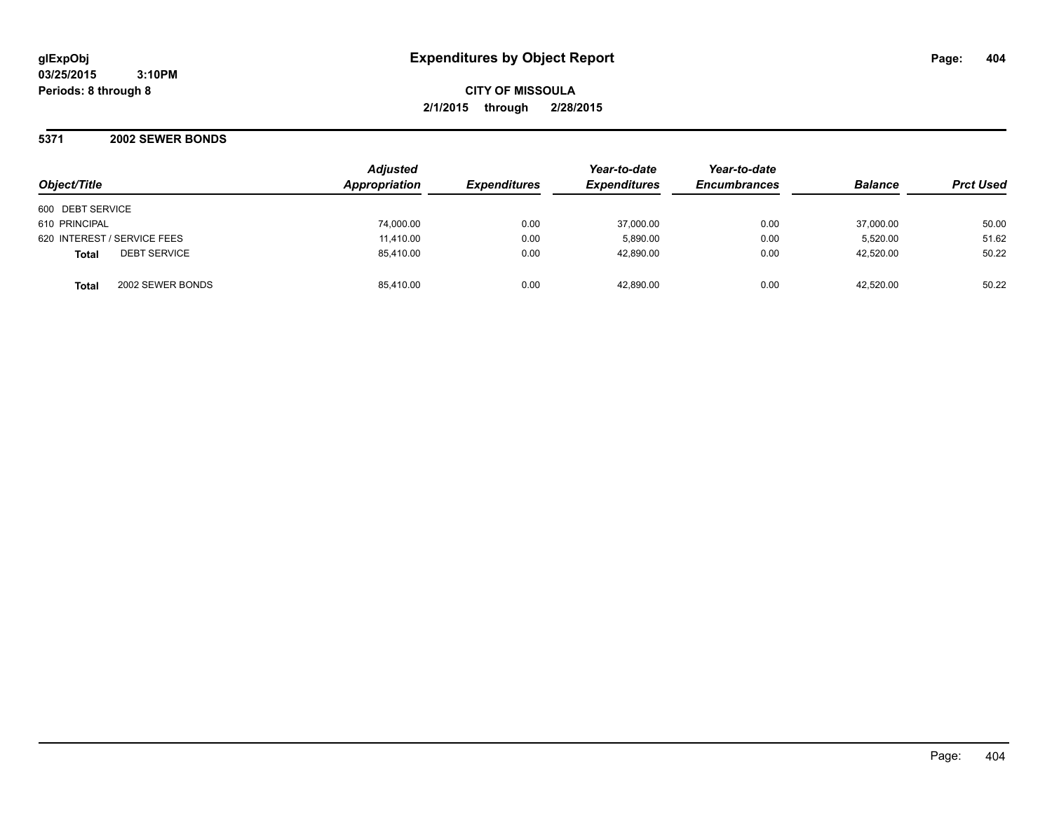**5371 2002 SEWER BONDS**

| Object/Title                        | <b>Adjusted</b><br>Appropriation | <b>Expenditures</b> | Year-to-date<br><b>Expenditures</b> | Year-to-date<br><b>Encumbrances</b> | <b>Balance</b> | <b>Prct Used</b> |
|-------------------------------------|----------------------------------|---------------------|-------------------------------------|-------------------------------------|----------------|------------------|
| 600 DEBT SERVICE                    |                                  |                     |                                     |                                     |                |                  |
| 610 PRINCIPAL                       | 74,000.00                        | 0.00                | 37,000.00                           | 0.00                                | 37,000.00      | 50.00            |
| 620 INTEREST / SERVICE FEES         | 11,410.00                        | 0.00                | 5,890.00                            | 0.00                                | 5,520.00       | 51.62            |
| <b>DEBT SERVICE</b><br><b>Total</b> | 85.410.00                        | 0.00                | 42.890.00                           | 0.00                                | 42.520.00      | 50.22            |
| 2002 SEWER BONDS<br>Total           | 85.410.00                        | 0.00                | 42.890.00                           | 0.00                                | 42.520.00      | 50.22            |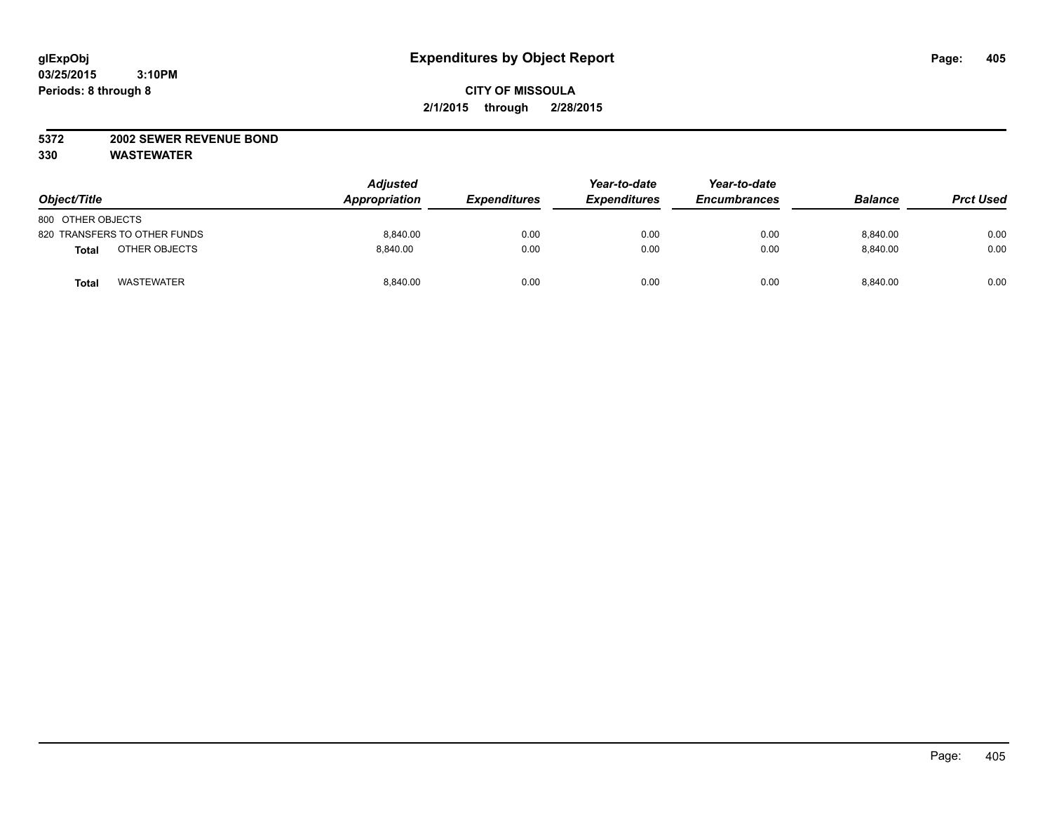## **5372 2002 SEWER REVENUE BOND**

| Object/Title                      | <b>Adjusted</b><br>Appropriation | <b>Expenditures</b> | Year-to-date<br><b>Expenditures</b> | Year-to-date<br><b>Encumbrances</b> | <b>Balance</b> | <b>Prct Used</b> |
|-----------------------------------|----------------------------------|---------------------|-------------------------------------|-------------------------------------|----------------|------------------|
| 800 OTHER OBJECTS                 |                                  |                     |                                     |                                     |                |                  |
| 820 TRANSFERS TO OTHER FUNDS      | 8,840.00                         | 0.00                | 0.00                                | 0.00                                | 8,840.00       | 0.00             |
| OTHER OBJECTS<br><b>Total</b>     | 8.840.00                         | 0.00                | 0.00                                | 0.00                                | 8.840.00       | 0.00             |
| <b>WASTEWATER</b><br><b>Total</b> | 8,840.00                         | 0.00                | 0.00                                | 0.00                                | 8,840.00       | 0.00             |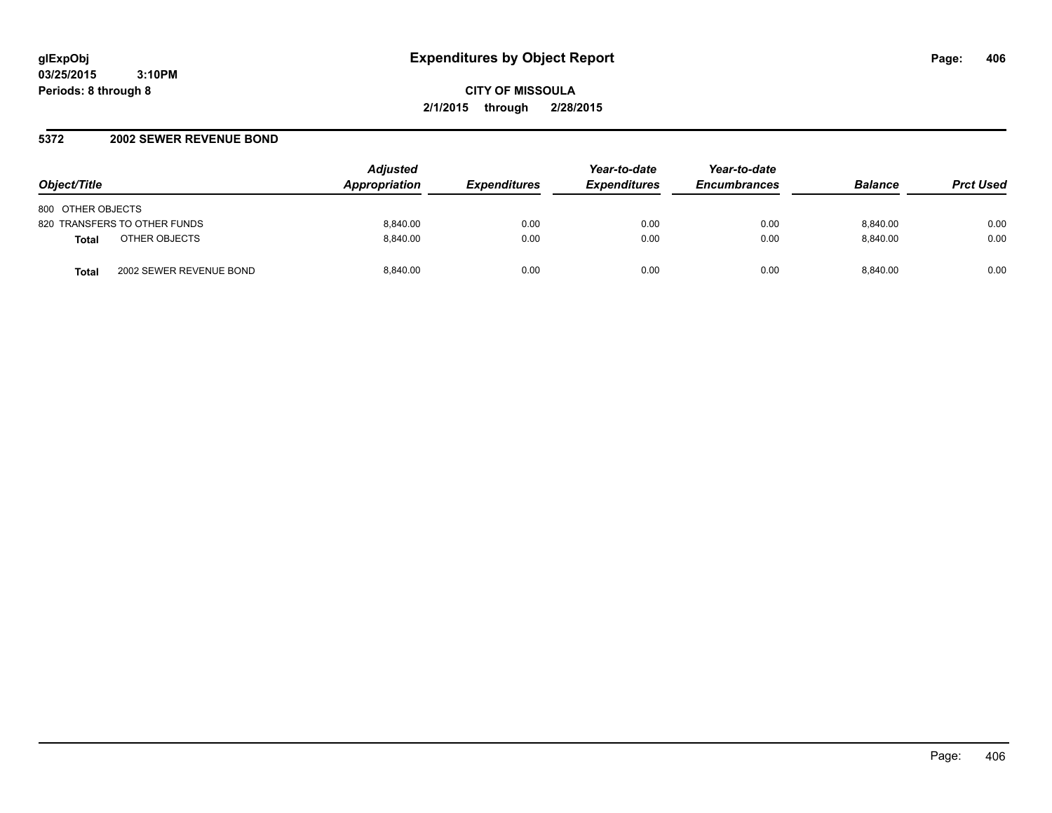**CITY OF MISSOULA 2/1/2015 through 2/28/2015**

## **5372 2002 SEWER REVENUE BOND**

| Object/Title                            | <b>Adjusted</b><br>Appropriation | <b>Expenditures</b> | Year-to-date<br><b>Expenditures</b> | Year-to-date<br><b>Encumbrances</b> | <b>Balance</b> | <b>Prct Used</b> |
|-----------------------------------------|----------------------------------|---------------------|-------------------------------------|-------------------------------------|----------------|------------------|
| 800 OTHER OBJECTS                       |                                  |                     |                                     |                                     |                |                  |
| 820 TRANSFERS TO OTHER FUNDS            | 8.840.00                         | 0.00                | 0.00                                | 0.00                                | 8.840.00       | 0.00             |
| OTHER OBJECTS<br><b>Total</b>           | 8.840.00                         | 0.00                | 0.00                                | 0.00                                | 8.840.00       | 0.00             |
| 2002 SEWER REVENUE BOND<br><b>Total</b> | 8.840.00                         | 0.00                | 0.00                                | 0.00                                | 8.840.00       | 0.00             |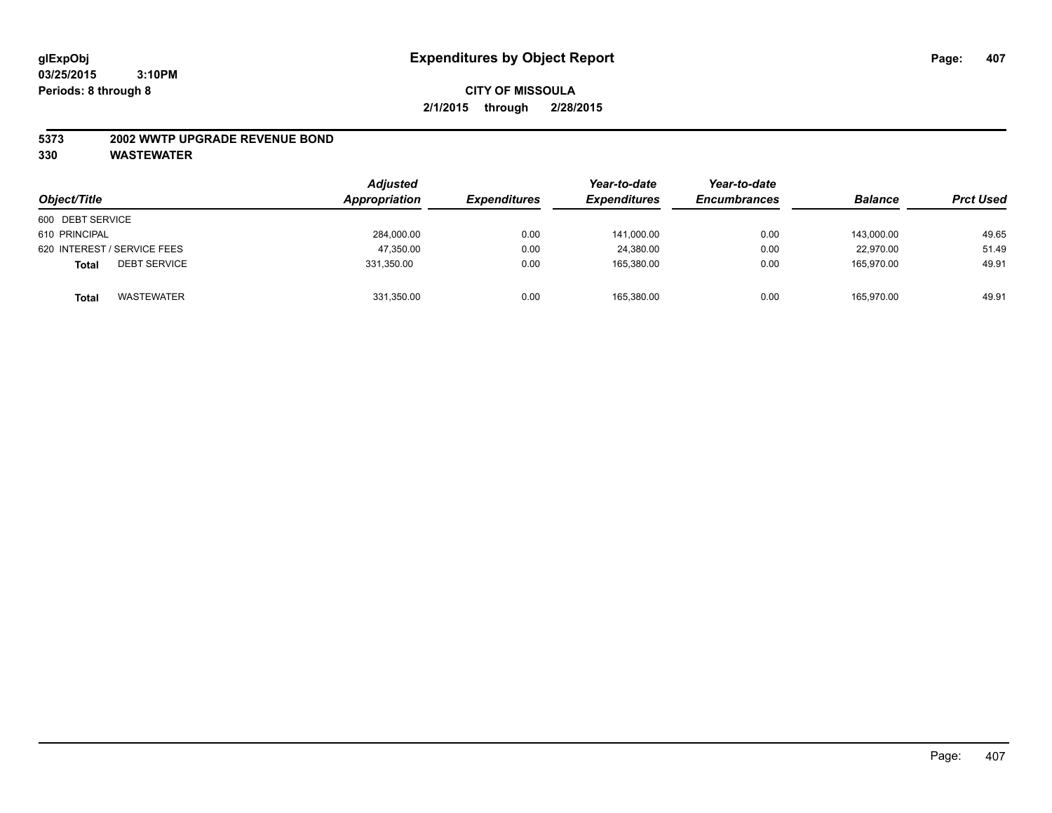#### **5373 2002 WWTP UPGRADE REVENUE BOND**

| Object/Title                        | <b>Adjusted</b><br>Appropriation | <b>Expenditures</b> | Year-to-date<br><b>Expenditures</b> | Year-to-date<br><b>Encumbrances</b> | <b>Balance</b> | <b>Prct Used</b> |
|-------------------------------------|----------------------------------|---------------------|-------------------------------------|-------------------------------------|----------------|------------------|
| 600 DEBT SERVICE                    |                                  |                     |                                     |                                     |                |                  |
| 610 PRINCIPAL                       | 284,000.00                       | 0.00                | 141,000.00                          | 0.00                                | 143.000.00     | 49.65            |
| 620 INTEREST / SERVICE FEES         | 47,350.00                        | 0.00                | 24,380.00                           | 0.00                                | 22.970.00      | 51.49            |
| <b>DEBT SERVICE</b><br><b>Total</b> | 331,350.00                       | 0.00                | 165,380.00                          | 0.00                                | 165,970.00     | 49.91            |
| <b>WASTEWATER</b><br><b>Total</b>   | 331,350.00                       | 0.00                | 165,380.00                          | 0.00                                | 165.970.00     | 49.91            |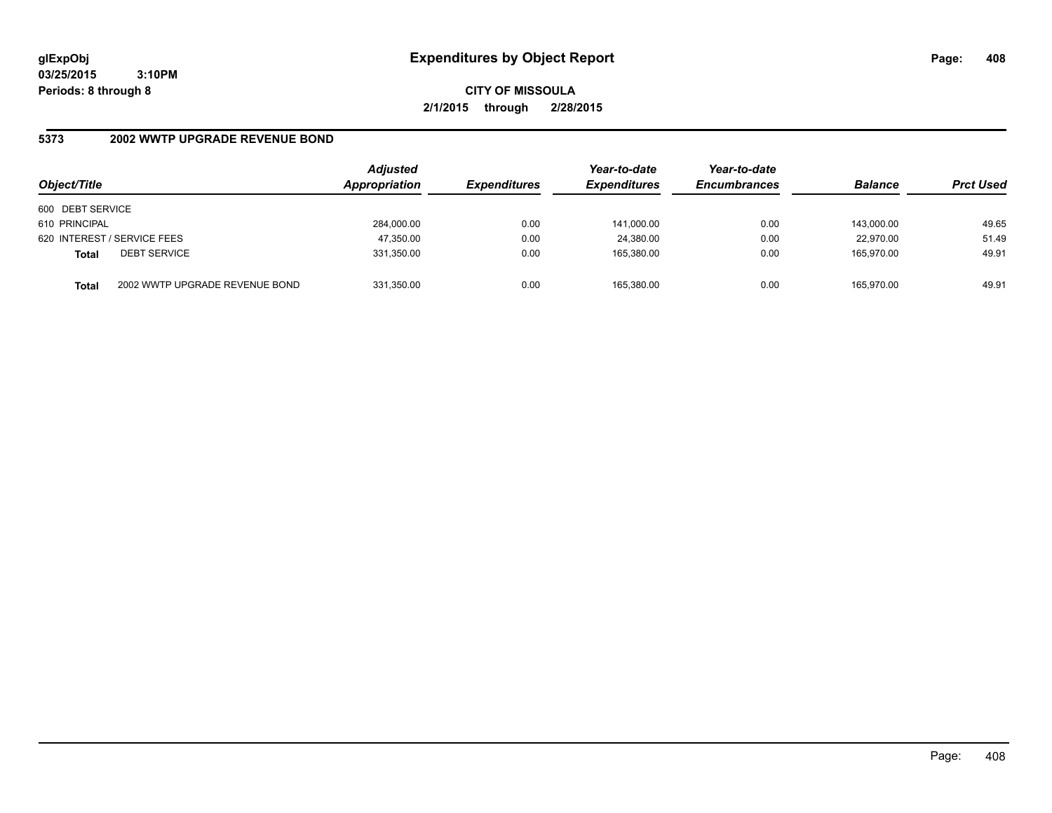**CITY OF MISSOULA 2/1/2015 through 2/28/2015**

## **5373 2002 WWTP UPGRADE REVENUE BOND**

| Object/Title     |                                | <b>Adjusted</b><br>Appropriation | <b>Expenditures</b> | Year-to-date<br><b>Expenditures</b> | Year-to-date<br><b>Encumbrances</b> | <b>Balance</b> | <b>Prct Used</b> |
|------------------|--------------------------------|----------------------------------|---------------------|-------------------------------------|-------------------------------------|----------------|------------------|
| 600 DEBT SERVICE |                                |                                  |                     |                                     |                                     |                |                  |
| 610 PRINCIPAL    |                                | 284.000.00                       | 0.00                | 141.000.00                          | 0.00                                | 143.000.00     | 49.65            |
|                  | 620 INTEREST / SERVICE FEES    | 47,350.00                        | 0.00                | 24,380.00                           | 0.00                                | 22.970.00      | 51.49            |
| <b>Total</b>     | <b>DEBT SERVICE</b>            | 331,350.00                       | 0.00                | 165.380.00                          | 0.00                                | 165.970.00     | 49.91            |
| Total            | 2002 WWTP UPGRADE REVENUE BOND | 331.350.00                       | 0.00                | 165.380.00                          | 0.00                                | 165.970.00     | 49.91            |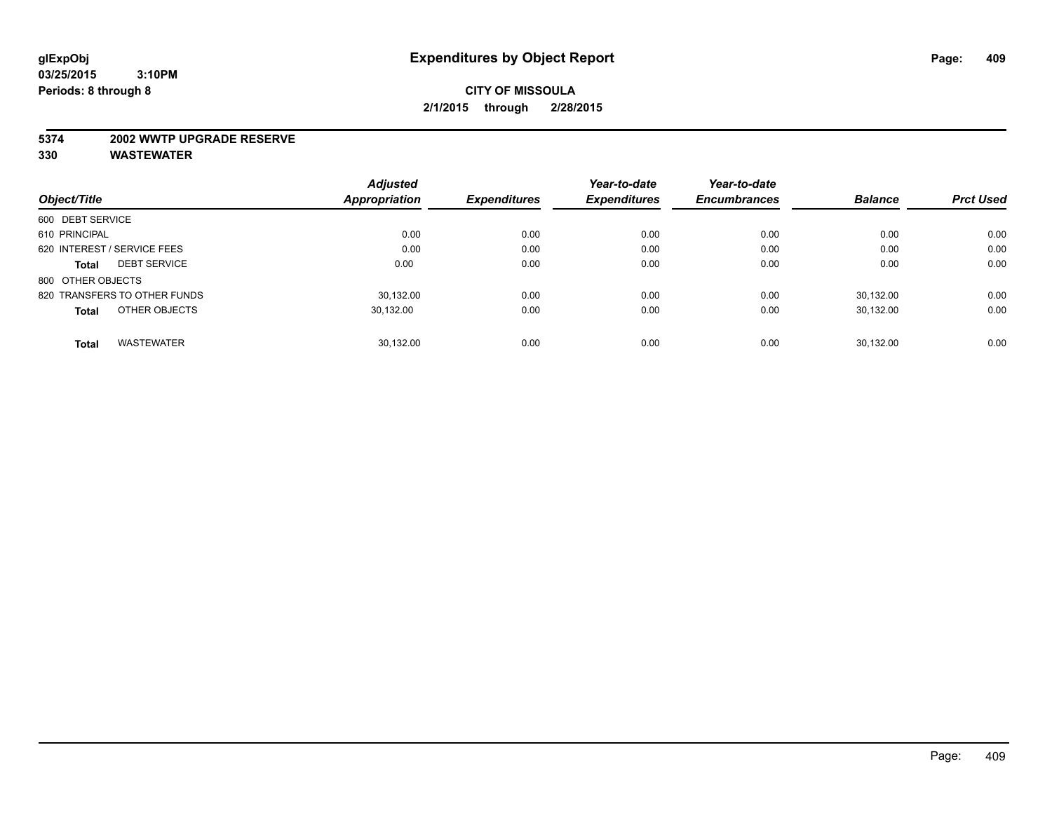#### **5374 2002 WWTP UPGRADE RESERVE**

|                                     | <b>Adjusted</b>      |                     | Year-to-date        | Year-to-date        |                |                  |
|-------------------------------------|----------------------|---------------------|---------------------|---------------------|----------------|------------------|
| Object/Title                        | <b>Appropriation</b> | <b>Expenditures</b> | <b>Expenditures</b> | <b>Encumbrances</b> | <b>Balance</b> | <b>Prct Used</b> |
| 600 DEBT SERVICE                    |                      |                     |                     |                     |                |                  |
| 610 PRINCIPAL                       | 0.00                 | 0.00                | 0.00                | 0.00                | 0.00           | 0.00             |
| 620 INTEREST / SERVICE FEES         | 0.00                 | 0.00                | 0.00                | 0.00                | 0.00           | 0.00             |
| <b>DEBT SERVICE</b><br><b>Total</b> | 0.00                 | 0.00                | 0.00                | 0.00                | 0.00           | 0.00             |
| 800 OTHER OBJECTS                   |                      |                     |                     |                     |                |                  |
| 820 TRANSFERS TO OTHER FUNDS        | 30.132.00            | 0.00                | 0.00                | 0.00                | 30.132.00      | 0.00             |
| OTHER OBJECTS<br><b>Total</b>       | 30,132.00            | 0.00                | 0.00                | 0.00                | 30,132.00      | 0.00             |
| <b>WASTEWATER</b><br><b>Total</b>   | 30.132.00            | 0.00                | 0.00                | 0.00                | 30.132.00      | 0.00             |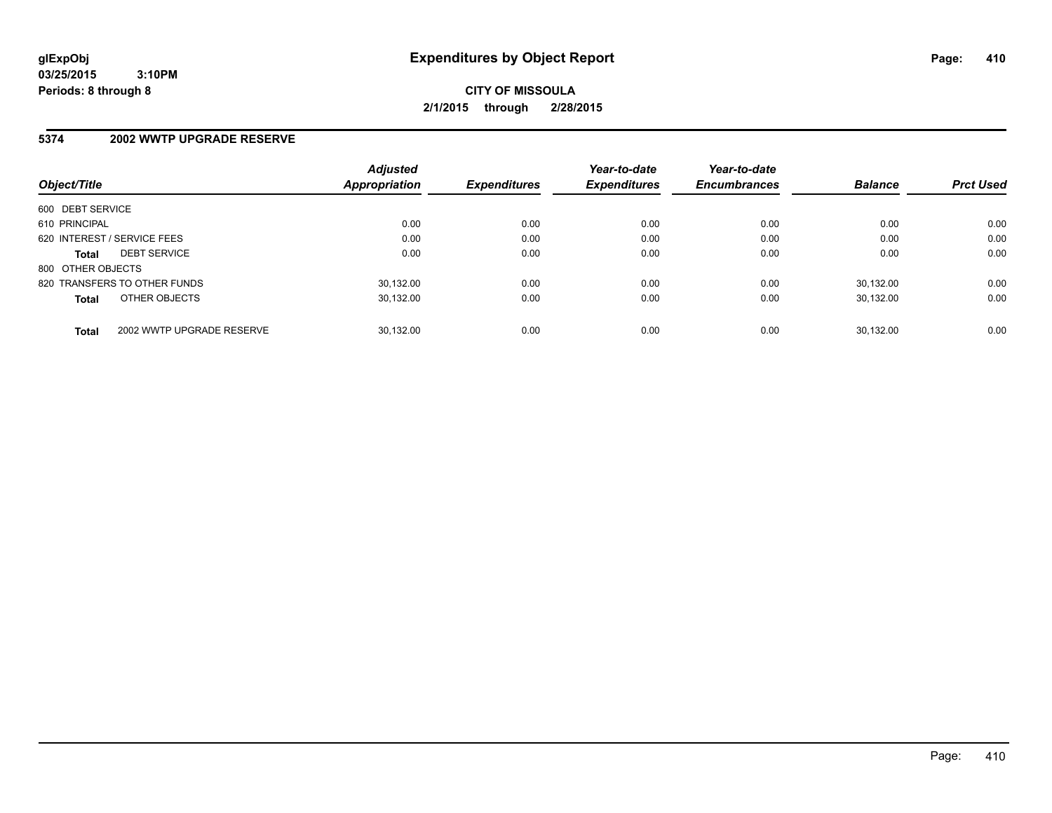# **CITY OF MISSOULA 2/1/2015 through 2/28/2015**

## **5374 2002 WWTP UPGRADE RESERVE**

|                             |                              | <b>Adjusted</b> |                     | Year-to-date        | Year-to-date        |                |                  |
|-----------------------------|------------------------------|-----------------|---------------------|---------------------|---------------------|----------------|------------------|
| Object/Title                |                              | Appropriation   | <b>Expenditures</b> | <b>Expenditures</b> | <b>Encumbrances</b> | <b>Balance</b> | <b>Prct Used</b> |
| 600 DEBT SERVICE            |                              |                 |                     |                     |                     |                |                  |
| 610 PRINCIPAL               |                              | 0.00            | 0.00                | 0.00                | 0.00                | 0.00           | 0.00             |
| 620 INTEREST / SERVICE FEES |                              | 0.00            | 0.00                | 0.00                | 0.00                | 0.00           | 0.00             |
| <b>Total</b>                | <b>DEBT SERVICE</b>          | 0.00            | 0.00                | 0.00                | 0.00                | 0.00           | 0.00             |
| 800 OTHER OBJECTS           |                              |                 |                     |                     |                     |                |                  |
|                             | 820 TRANSFERS TO OTHER FUNDS | 30.132.00       | 0.00                | 0.00                | 0.00                | 30.132.00      | 0.00             |
| <b>Total</b>                | OTHER OBJECTS                | 30.132.00       | 0.00                | 0.00                | 0.00                | 30.132.00      | 0.00             |
| <b>Total</b>                | 2002 WWTP UPGRADE RESERVE    | 30.132.00       | 0.00                | 0.00                | 0.00                | 30.132.00      | 0.00             |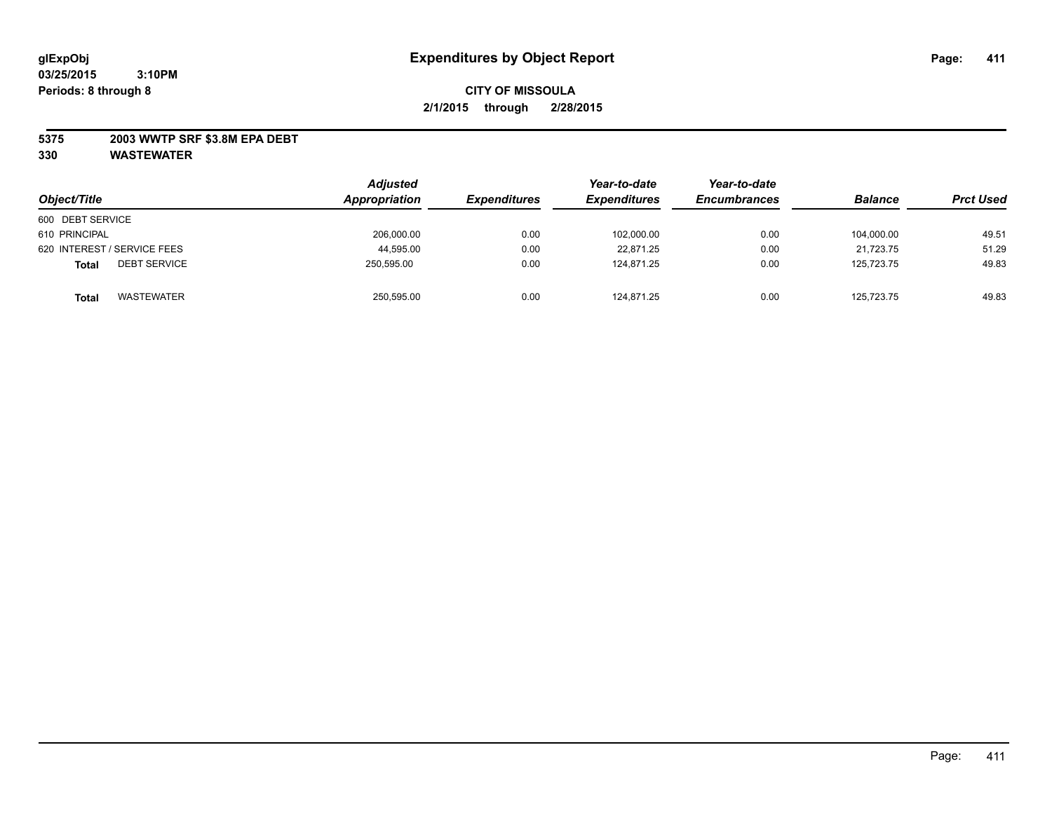## **5375 2003 WWTP SRF \$3.8M EPA DEBT**

| Object/Title                        | Adjusted<br>Appropriation | <b>Expenditures</b> | Year-to-date<br><b>Expenditures</b> | Year-to-date<br><b>Encumbrances</b> | <b>Balance</b> | <b>Prct Used</b> |
|-------------------------------------|---------------------------|---------------------|-------------------------------------|-------------------------------------|----------------|------------------|
| 600 DEBT SERVICE                    |                           |                     |                                     |                                     |                |                  |
| 610 PRINCIPAL                       | 206,000.00                | 0.00                | 102,000.00                          | 0.00                                | 104.000.00     | 49.51            |
| 620 INTEREST / SERVICE FEES         | 44,595.00                 | 0.00                | 22.871.25                           | 0.00                                | 21.723.75      | 51.29            |
| <b>DEBT SERVICE</b><br><b>Total</b> | 250,595.00                | 0.00                | 124.871.25                          | 0.00                                | 125.723.75     | 49.83            |
| <b>WASTEWATER</b><br><b>Total</b>   | 250,595.00                | 0.00                | 124,871.25                          | 0.00                                | 125,723.75     | 49.83            |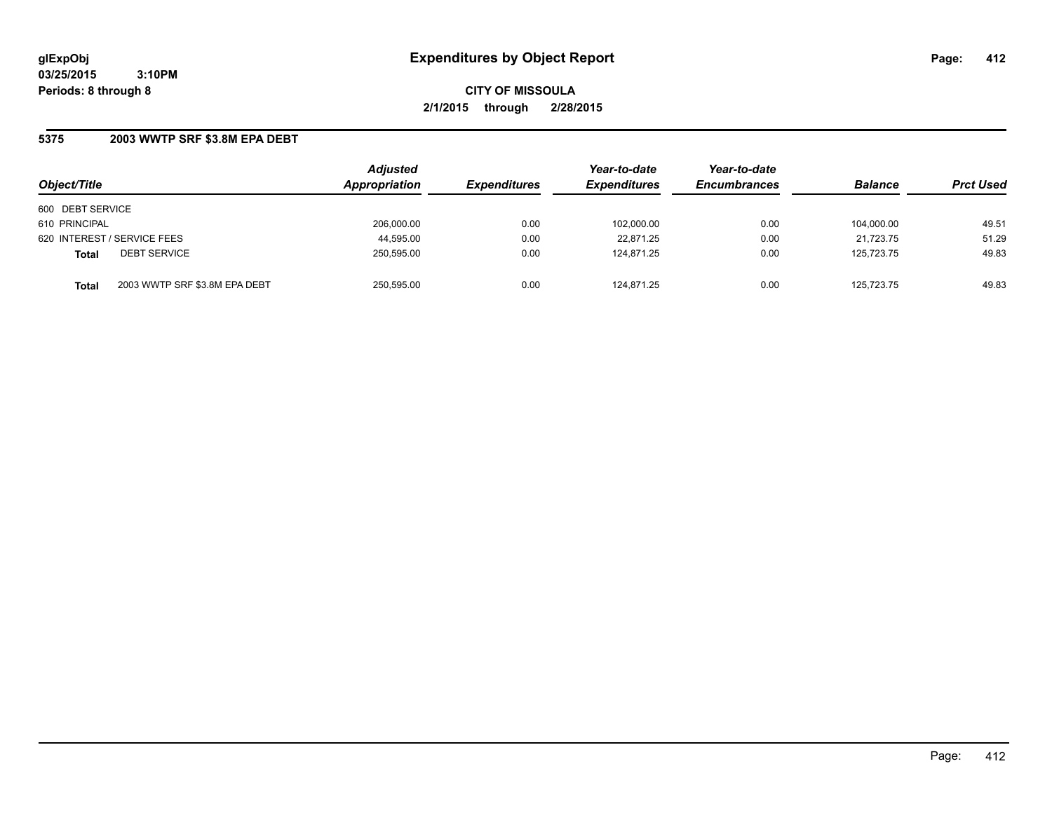**CITY OF MISSOULA 2/1/2015 through 2/28/2015**

## **5375 2003 WWTP SRF \$3.8M EPA DEBT**

|                                               | <b>Adjusted</b> |                     | Year-to-date        | Year-to-date        |                |                  |
|-----------------------------------------------|-----------------|---------------------|---------------------|---------------------|----------------|------------------|
| Object/Title                                  | Appropriation   | <b>Expenditures</b> | <b>Expenditures</b> | <b>Encumbrances</b> | <b>Balance</b> | <b>Prct Used</b> |
| 600 DEBT SERVICE                              |                 |                     |                     |                     |                |                  |
| 610 PRINCIPAL                                 | 206,000.00      | 0.00                | 102,000.00          | 0.00                | 104.000.00     | 49.51            |
| 620 INTEREST / SERVICE FEES                   | 44,595.00       | 0.00                | 22,871.25           | 0.00                | 21,723.75      | 51.29            |
| <b>DEBT SERVICE</b><br><b>Total</b>           | 250,595.00      | 0.00                | 124,871.25          | 0.00                | 125.723.75     | 49.83            |
| 2003 WWTP SRF \$3.8M EPA DEBT<br><b>Total</b> | 250,595.00      | 0.00                | 124.871.25          | 0.00                | 125.723.75     | 49.83            |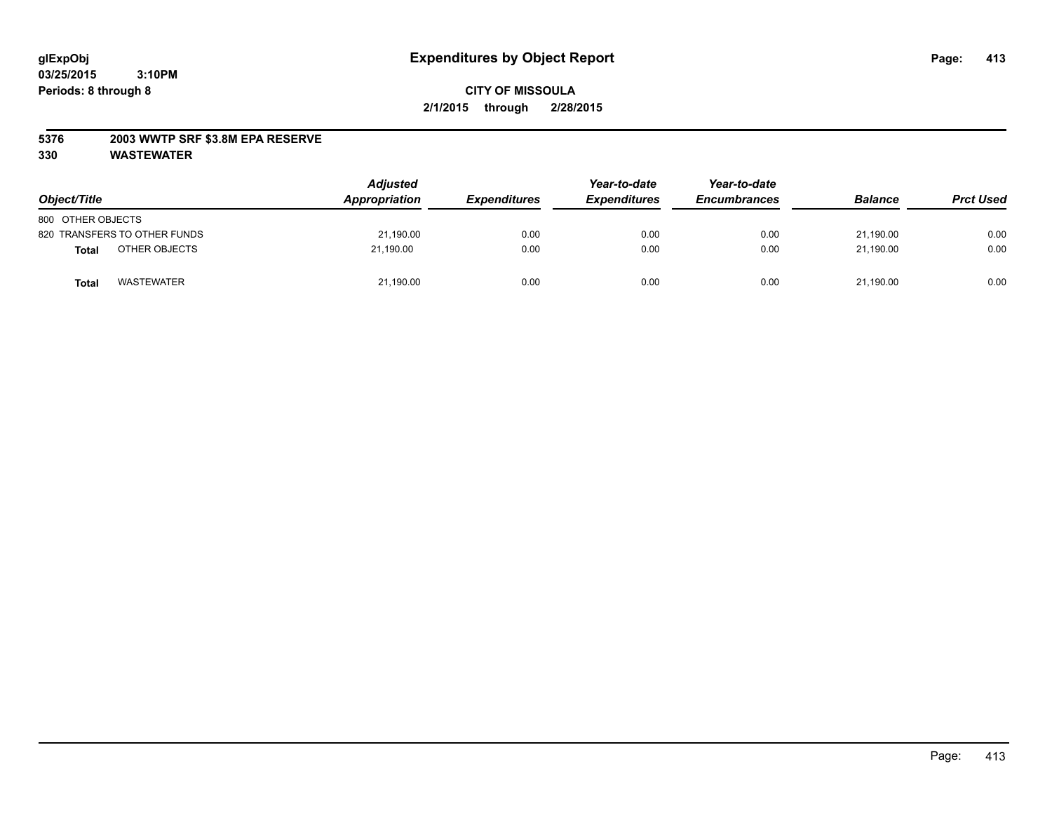## **5376 2003 WWTP SRF \$3.8M EPA RESERVE**

| Object/Title                 | <b>Adjusted</b><br>Appropriation | <b>Expenditures</b> | Year-to-date<br><b>Expenditures</b> | Year-to-date<br><b>Encumbrances</b> | <b>Balance</b> | <b>Prct Used</b> |
|------------------------------|----------------------------------|---------------------|-------------------------------------|-------------------------------------|----------------|------------------|
| 800 OTHER OBJECTS            |                                  |                     |                                     |                                     |                |                  |
| 820 TRANSFERS TO OTHER FUNDS | 21,190.00                        | 0.00                | 0.00                                | 0.00                                | 21,190.00      | 0.00             |
| OTHER OBJECTS<br>Total       | 21.190.00                        | 0.00                | 0.00                                | 0.00                                | 21.190.00      | 0.00             |
| <b>WASTEWATER</b><br>Total   | 21,190.00                        | 0.00                | 0.00                                | 0.00                                | 21,190.00      | 0.00             |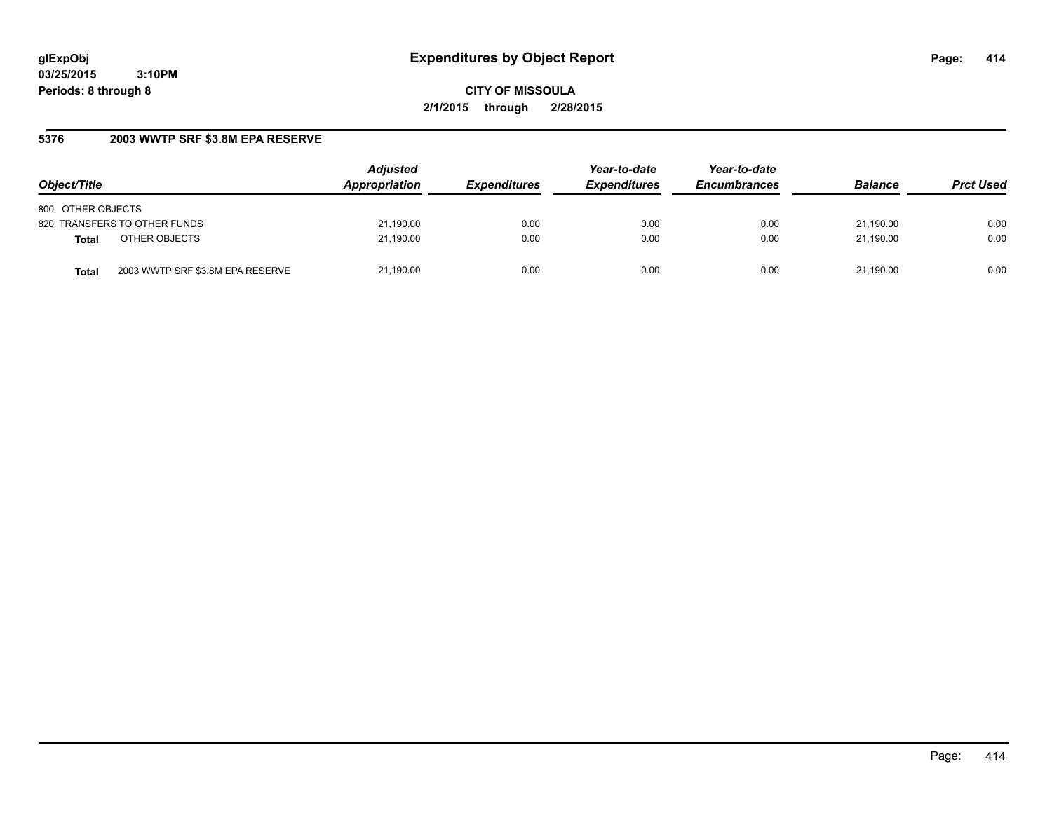**CITY OF MISSOULA 2/1/2015 through 2/28/2015**

# **5376 2003 WWTP SRF \$3.8M EPA RESERVE**

| Object/Title                                     | <b>Adjusted</b><br><b>Appropriation</b> | <b>Expenditures</b> | Year-to-date<br><b>Expenditures</b> | Year-to-date<br><b>Encumbrances</b> | <b>Balance</b> | <b>Prct Used</b> |
|--------------------------------------------------|-----------------------------------------|---------------------|-------------------------------------|-------------------------------------|----------------|------------------|
| 800 OTHER OBJECTS                                |                                         |                     |                                     |                                     |                |                  |
| 820 TRANSFERS TO OTHER FUNDS                     | 21.190.00                               | 0.00                | 0.00                                | 0.00                                | 21.190.00      | 0.00             |
| OTHER OBJECTS<br><b>Total</b>                    | 21.190.00                               | 0.00                | 0.00                                | 0.00                                | 21.190.00      | 0.00             |
| 2003 WWTP SRF \$3.8M EPA RESERVE<br><b>Total</b> | 21.190.00                               | 0.00                | 0.00                                | 0.00                                | 21.190.00      | 0.00             |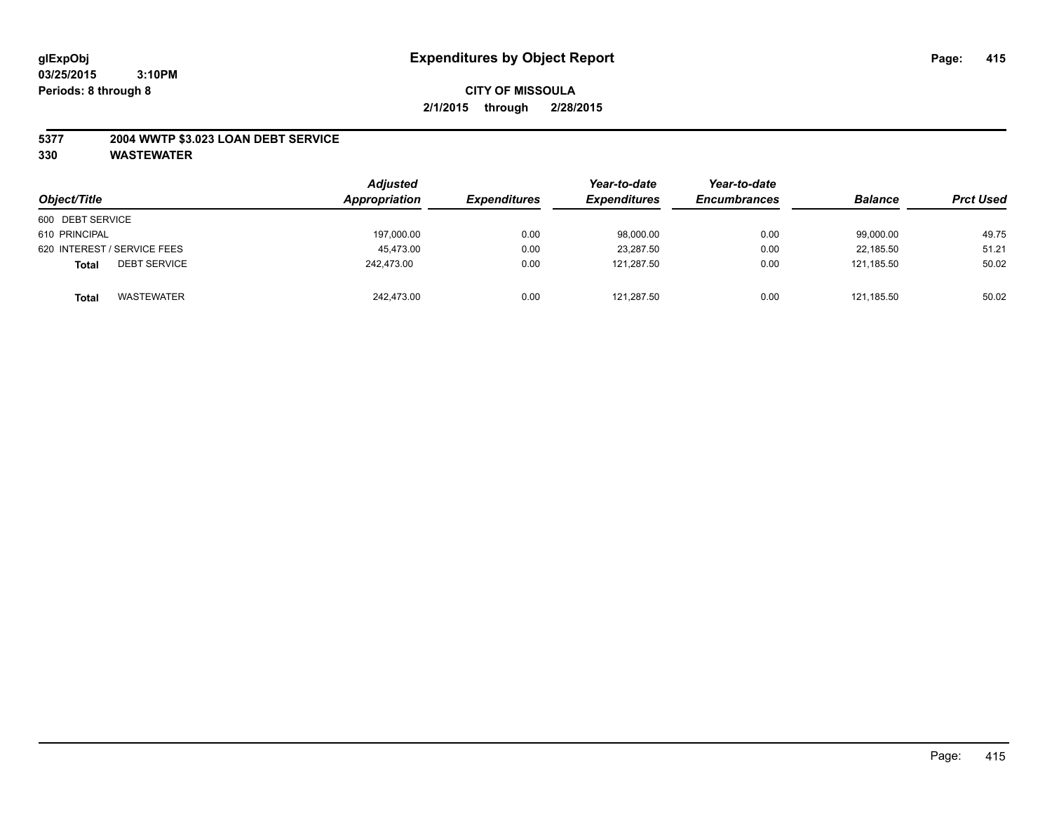## **5377 2004 WWTP \$3.023 LOAN DEBT SERVICE**

| Object/Title                        | <b>Adjusted</b><br>Appropriation | <b>Expenditures</b> | Year-to-date<br><b>Expenditures</b> | Year-to-date<br><b>Encumbrances</b> | <b>Balance</b> | <b>Prct Used</b> |
|-------------------------------------|----------------------------------|---------------------|-------------------------------------|-------------------------------------|----------------|------------------|
| 600 DEBT SERVICE                    |                                  |                     |                                     |                                     |                |                  |
| 610 PRINCIPAL                       | 197,000.00                       | 0.00                | 98,000.00                           | 0.00                                | 99,000.00      | 49.75            |
| 620 INTEREST / SERVICE FEES         | 45.473.00                        | 0.00                | 23.287.50                           | 0.00                                | 22.185.50      | 51.21            |
| <b>DEBT SERVICE</b><br><b>Total</b> | 242,473.00                       | 0.00                | 121,287.50                          | 0.00                                | 121,185.50     | 50.02            |
| <b>WASTEWATER</b><br><b>Total</b>   | 242,473.00                       | 0.00                | 121,287.50                          | 0.00                                | 121,185.50     | 50.02            |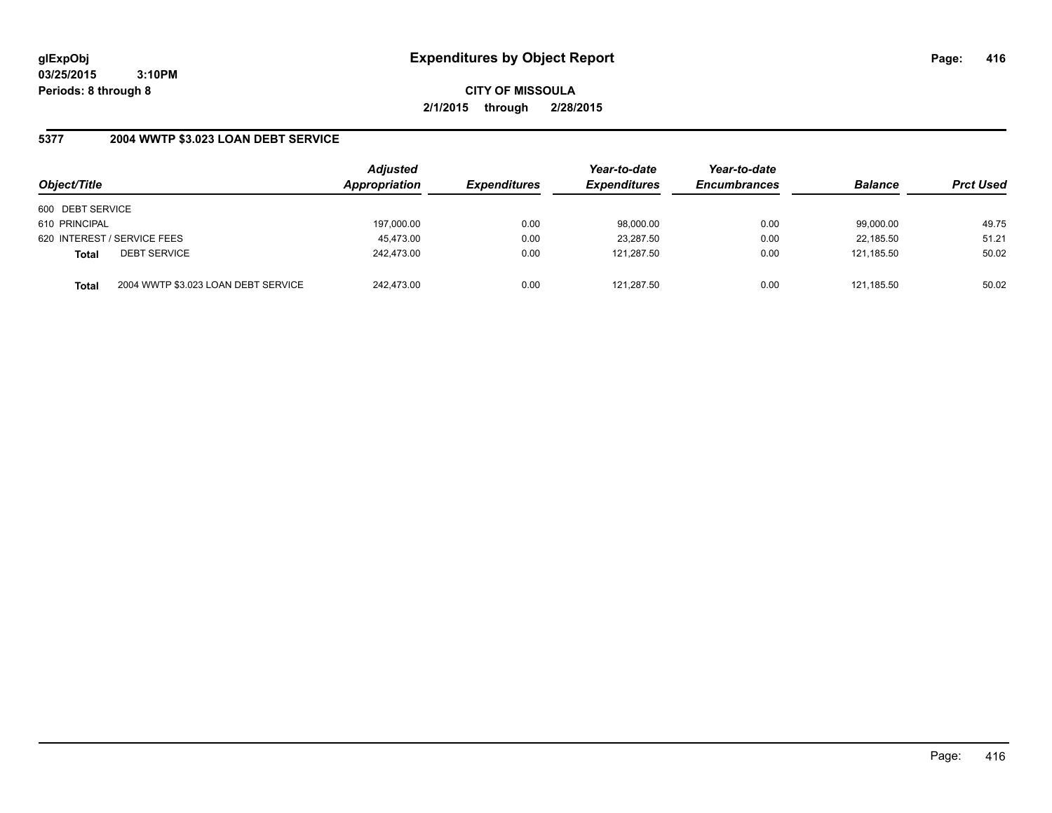**CITY OF MISSOULA 2/1/2015 through 2/28/2015**

## **5377 2004 WWTP \$3.023 LOAN DEBT SERVICE**

| Object/Title     |                                     | <b>Adjusted</b><br>Appropriation | <b>Expenditures</b> | Year-to-date<br><b>Expenditures</b> | Year-to-date<br><b>Encumbrances</b> | <b>Balance</b> | <b>Prct Used</b> |
|------------------|-------------------------------------|----------------------------------|---------------------|-------------------------------------|-------------------------------------|----------------|------------------|
| 600 DEBT SERVICE |                                     |                                  |                     |                                     |                                     |                |                  |
| 610 PRINCIPAL    |                                     | 197.000.00                       | 0.00                | 98.000.00                           | 0.00                                | 99.000.00      | 49.75            |
|                  | 620 INTEREST / SERVICE FEES         | 45,473.00                        | 0.00                | 23,287.50                           | 0.00                                | 22,185.50      | 51.21            |
| <b>Total</b>     | <b>DEBT SERVICE</b>                 | 242.473.00                       | 0.00                | 121,287.50                          | 0.00                                | 121.185.50     | 50.02            |
| <b>Total</b>     | 2004 WWTP \$3.023 LOAN DEBT SERVICE | 242.473.00                       | 0.00                | 121.287.50                          | 0.00                                | 121.185.50     | 50.02            |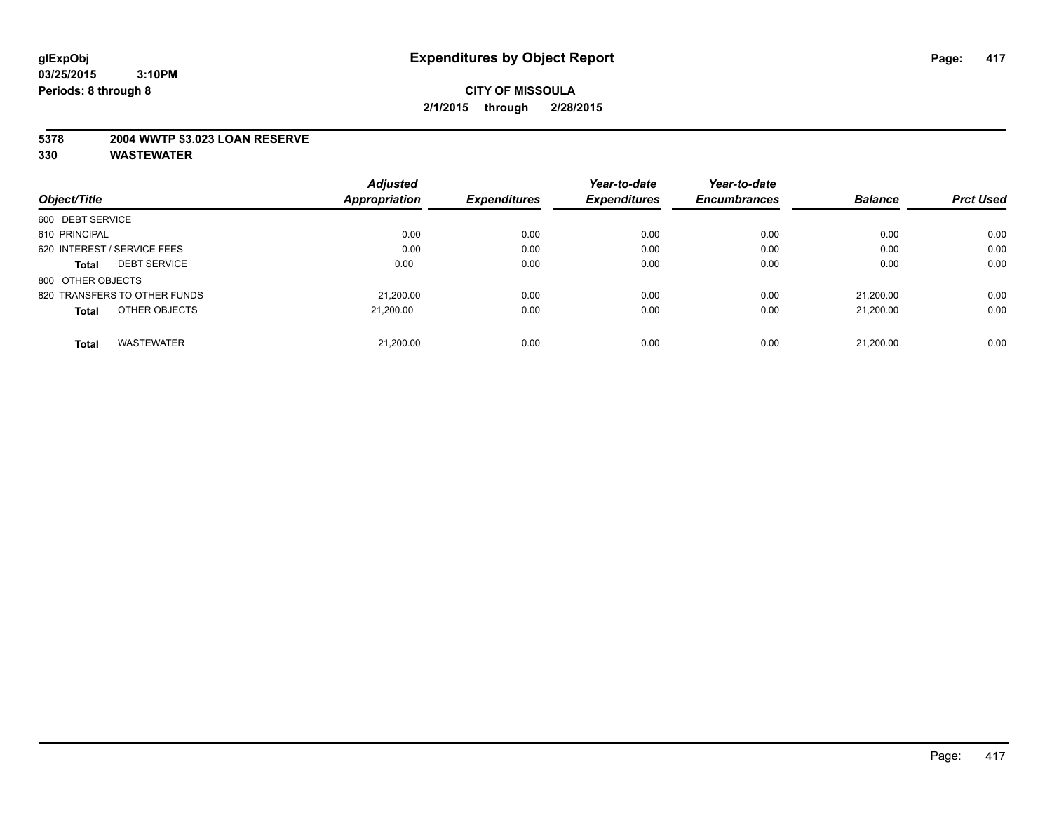## **5378 2004 WWTP \$3.023 LOAN RESERVE**

|                                     | <b>Adjusted</b>      |                     | Year-to-date        | Year-to-date        |                |                  |
|-------------------------------------|----------------------|---------------------|---------------------|---------------------|----------------|------------------|
| Object/Title                        | <b>Appropriation</b> | <b>Expenditures</b> | <b>Expenditures</b> | <b>Encumbrances</b> | <b>Balance</b> | <b>Prct Used</b> |
| 600 DEBT SERVICE                    |                      |                     |                     |                     |                |                  |
| 610 PRINCIPAL                       | 0.00                 | 0.00                | 0.00                | 0.00                | 0.00           | 0.00             |
| 620 INTEREST / SERVICE FEES         | 0.00                 | 0.00                | 0.00                | 0.00                | 0.00           | 0.00             |
| <b>DEBT SERVICE</b><br><b>Total</b> | 0.00                 | 0.00                | 0.00                | 0.00                | 0.00           | 0.00             |
| 800 OTHER OBJECTS                   |                      |                     |                     |                     |                |                  |
| 820 TRANSFERS TO OTHER FUNDS        | 21.200.00            | 0.00                | 0.00                | 0.00                | 21.200.00      | 0.00             |
| OTHER OBJECTS<br><b>Total</b>       | 21.200.00            | 0.00                | 0.00                | 0.00                | 21.200.00      | 0.00             |
| <b>WASTEWATER</b><br><b>Total</b>   | 21,200.00            | 0.00                | 0.00                | 0.00                | 21.200.00      | 0.00             |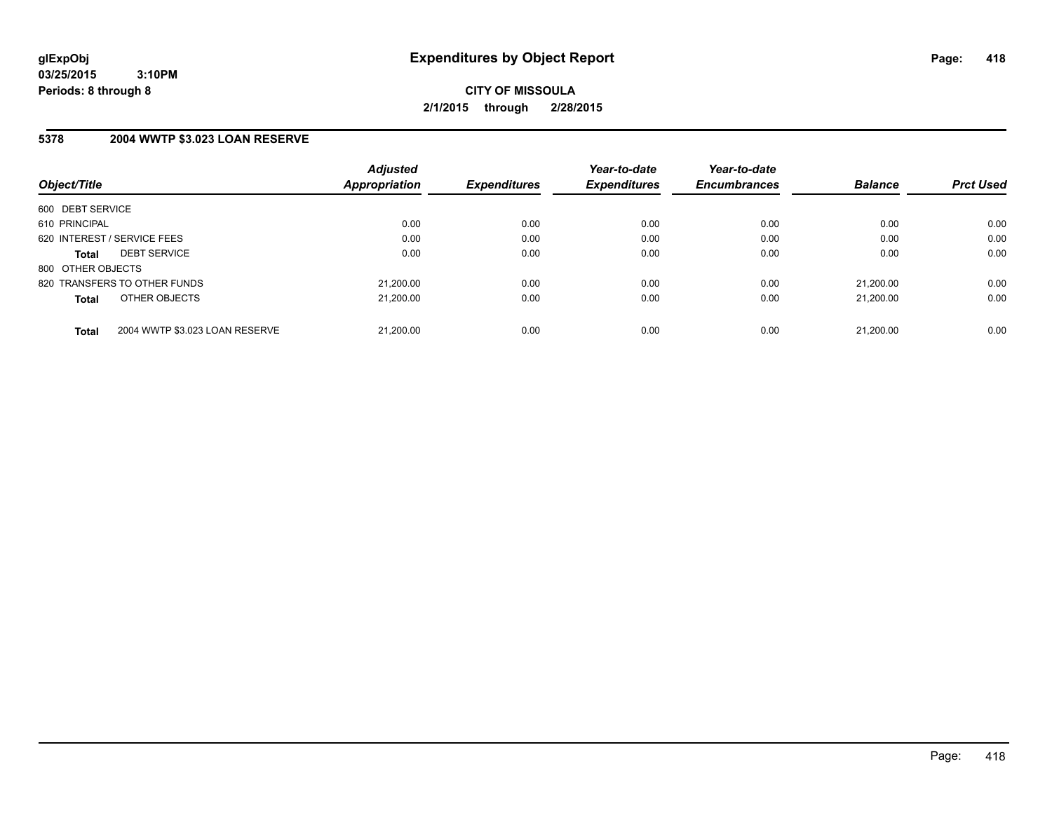**CITY OF MISSOULA 2/1/2015 through 2/28/2015**

## **5378 2004 WWTP \$3.023 LOAN RESERVE**

| Object/Title      |                                | <b>Adjusted</b><br>Appropriation | <b>Expenditures</b> | Year-to-date<br><b>Expenditures</b> | Year-to-date<br><b>Encumbrances</b> | <b>Balance</b> | <b>Prct Used</b> |
|-------------------|--------------------------------|----------------------------------|---------------------|-------------------------------------|-------------------------------------|----------------|------------------|
|                   |                                |                                  |                     |                                     |                                     |                |                  |
| 600 DEBT SERVICE  |                                |                                  |                     |                                     |                                     |                |                  |
| 610 PRINCIPAL     |                                | 0.00                             | 0.00                | 0.00                                | 0.00                                | 0.00           | 0.00             |
|                   | 620 INTEREST / SERVICE FEES    | 0.00                             | 0.00                | 0.00                                | 0.00                                | 0.00           | 0.00             |
| <b>Total</b>      | <b>DEBT SERVICE</b>            | 0.00                             | 0.00                | 0.00                                | 0.00                                | 0.00           | 0.00             |
| 800 OTHER OBJECTS |                                |                                  |                     |                                     |                                     |                |                  |
|                   | 820 TRANSFERS TO OTHER FUNDS   | 21,200.00                        | 0.00                | 0.00                                | 0.00                                | 21.200.00      | 0.00             |
| <b>Total</b>      | OTHER OBJECTS                  | 21.200.00                        | 0.00                | 0.00                                | 0.00                                | 21.200.00      | 0.00             |
| <b>Total</b>      | 2004 WWTP \$3.023 LOAN RESERVE | 21.200.00                        | 0.00                | 0.00                                | 0.00                                | 21.200.00      | 0.00             |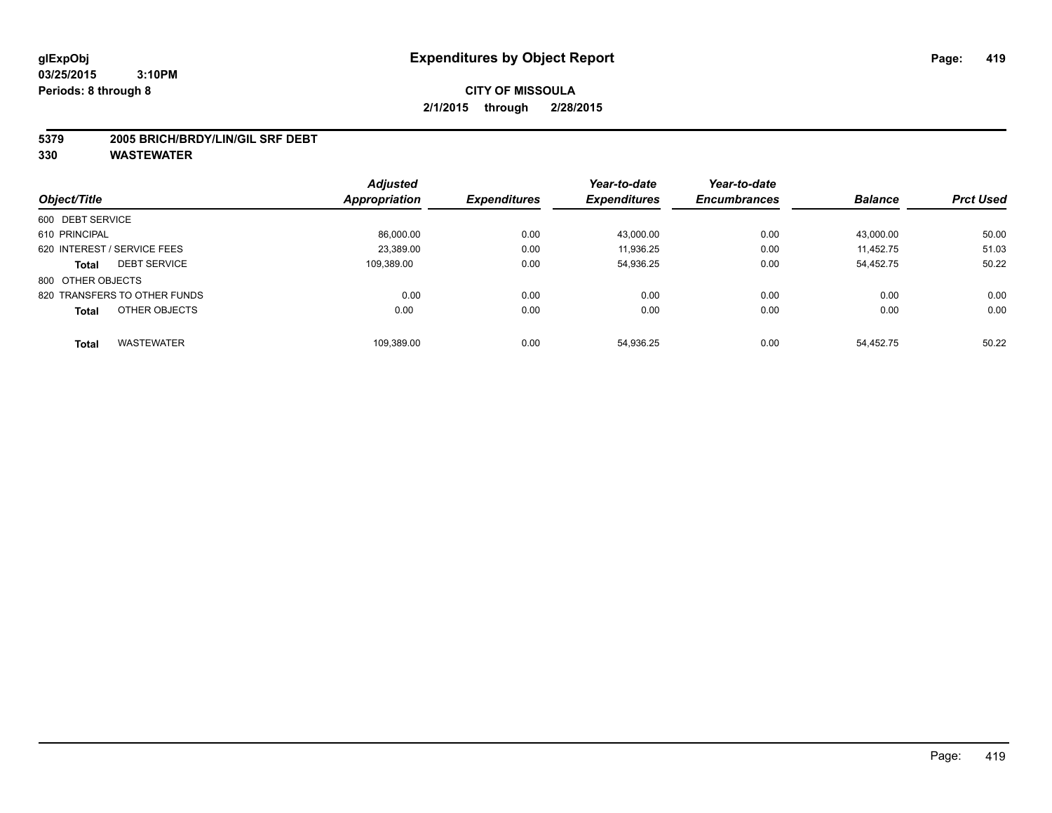#### **5379 2005 BRICH/BRDY/LIN/GIL SRF DEBT**

|                                   | <b>Adjusted</b>      |                     | Year-to-date        | Year-to-date        |                |                  |
|-----------------------------------|----------------------|---------------------|---------------------|---------------------|----------------|------------------|
| Object/Title                      | <b>Appropriation</b> | <b>Expenditures</b> | <b>Expenditures</b> | <b>Encumbrances</b> | <b>Balance</b> | <b>Prct Used</b> |
| 600 DEBT SERVICE                  |                      |                     |                     |                     |                |                  |
| 610 PRINCIPAL                     | 86.000.00            | 0.00                | 43.000.00           | 0.00                | 43.000.00      | 50.00            |
| 620 INTEREST / SERVICE FEES       | 23.389.00            | 0.00                | 11.936.25           | 0.00                | 11.452.75      | 51.03            |
| <b>DEBT SERVICE</b><br>Total      | 109.389.00           | 0.00                | 54,936.25           | 0.00                | 54.452.75      | 50.22            |
| 800 OTHER OBJECTS                 |                      |                     |                     |                     |                |                  |
| 820 TRANSFERS TO OTHER FUNDS      | 0.00                 | 0.00                | 0.00                | 0.00                | 0.00           | 0.00             |
| OTHER OBJECTS<br><b>Total</b>     | 0.00                 | 0.00                | 0.00                | 0.00                | 0.00           | 0.00             |
| <b>WASTEWATER</b><br><b>Total</b> | 109.389.00           | 0.00                | 54.936.25           | 0.00                | 54.452.75      | 50.22            |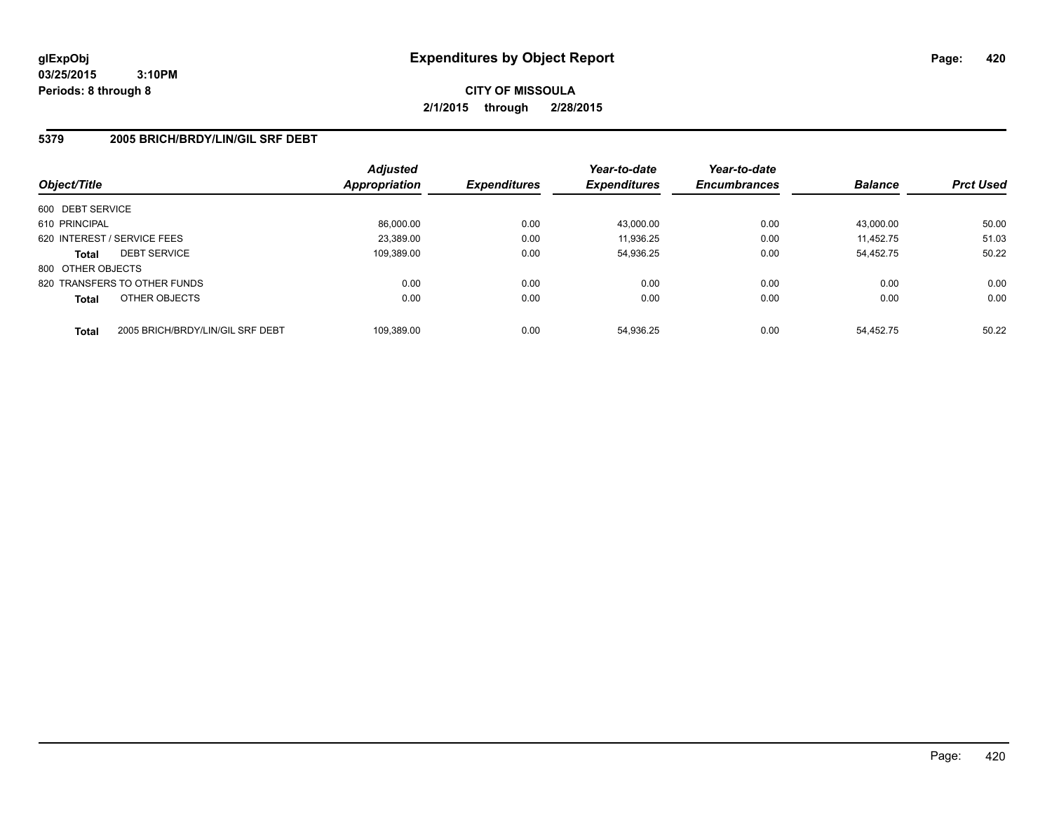**CITY OF MISSOULA 2/1/2015 through 2/28/2015**

## **5379 2005 BRICH/BRDY/LIN/GIL SRF DEBT**

| Object/Title      |                                  | <b>Adjusted</b><br><b>Appropriation</b> | <b>Expenditures</b> | Year-to-date<br><b>Expenditures</b> | Year-to-date<br><b>Encumbrances</b> | <b>Balance</b> | <b>Prct Used</b> |
|-------------------|----------------------------------|-----------------------------------------|---------------------|-------------------------------------|-------------------------------------|----------------|------------------|
| 600 DEBT SERVICE  |                                  |                                         |                     |                                     |                                     |                |                  |
| 610 PRINCIPAL     |                                  | 86,000.00                               | 0.00                | 43,000.00                           | 0.00                                | 43.000.00      | 50.00            |
|                   | 620 INTEREST / SERVICE FEES      | 23.389.00                               | 0.00                | 11,936.25                           | 0.00                                | 11.452.75      | 51.03            |
| <b>Total</b>      | <b>DEBT SERVICE</b>              | 109.389.00                              | 0.00                | 54,936.25                           | 0.00                                | 54.452.75      | 50.22            |
| 800 OTHER OBJECTS |                                  |                                         |                     |                                     |                                     |                |                  |
|                   | 820 TRANSFERS TO OTHER FUNDS     | 0.00                                    | 0.00                | 0.00                                | 0.00                                | 0.00           | 0.00             |
| <b>Total</b>      | OTHER OBJECTS                    | 0.00                                    | 0.00                | 0.00                                | 0.00                                | 0.00           | 0.00             |
| <b>Total</b>      | 2005 BRICH/BRDY/LIN/GIL SRF DEBT | 109.389.00                              | 0.00                | 54.936.25                           | 0.00                                | 54.452.75      | 50.22            |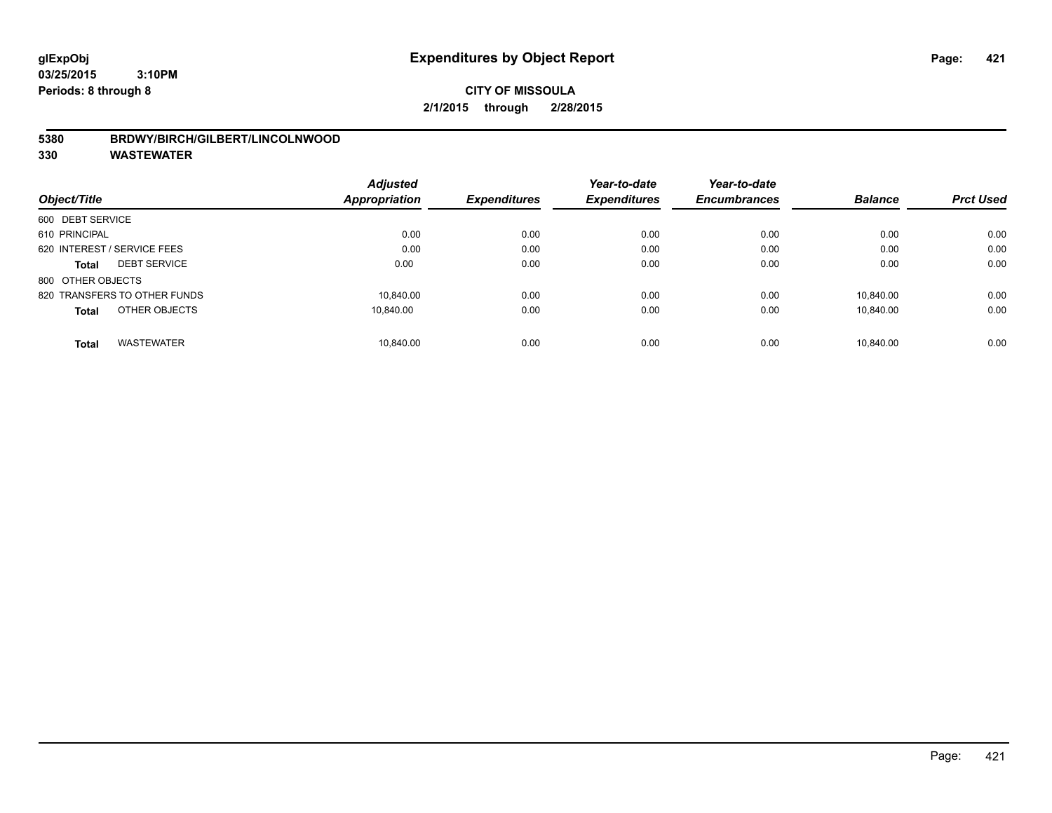## **5380 BRDWY/BIRCH/GILBERT/LINCOLNWOOD**

|                                   | <b>Adjusted</b>      |                     | Year-to-date        | Year-to-date        |                |                  |
|-----------------------------------|----------------------|---------------------|---------------------|---------------------|----------------|------------------|
| Object/Title                      | <b>Appropriation</b> | <b>Expenditures</b> | <b>Expenditures</b> | <b>Encumbrances</b> | <b>Balance</b> | <b>Prct Used</b> |
| 600 DEBT SERVICE                  |                      |                     |                     |                     |                |                  |
| 610 PRINCIPAL                     | 0.00                 | 0.00                | 0.00                | 0.00                | 0.00           | 0.00             |
| 620 INTEREST / SERVICE FEES       | 0.00                 | 0.00                | 0.00                | 0.00                | 0.00           | 0.00             |
| <b>DEBT SERVICE</b><br>Total      | 0.00                 | 0.00                | 0.00                | 0.00                | 0.00           | 0.00             |
| 800 OTHER OBJECTS                 |                      |                     |                     |                     |                |                  |
| 820 TRANSFERS TO OTHER FUNDS      | 10.840.00            | 0.00                | 0.00                | 0.00                | 10.840.00      | 0.00             |
| OTHER OBJECTS<br><b>Total</b>     | 10.840.00            | 0.00                | 0.00                | 0.00                | 10.840.00      | 0.00             |
| <b>WASTEWATER</b><br><b>Total</b> | 10.840.00            | 0.00                | 0.00                | 0.00                | 10.840.00      | 0.00             |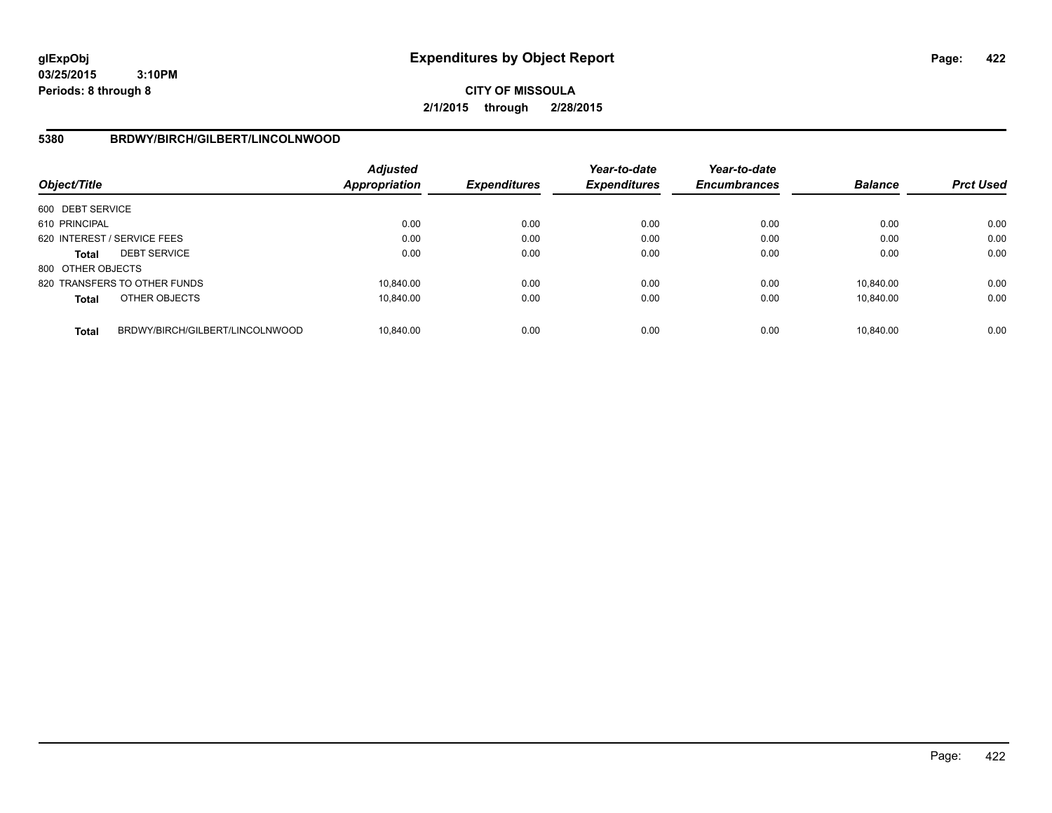# **CITY OF MISSOULA 2/1/2015 through 2/28/2015**

## **5380 BRDWY/BIRCH/GILBERT/LINCOLNWOOD**

| Object/Title      |                                 | <b>Adjusted</b><br><b>Appropriation</b> | <b>Expenditures</b> | Year-to-date<br><b>Expenditures</b> | Year-to-date<br><b>Encumbrances</b> | <b>Balance</b> | <b>Prct Used</b> |
|-------------------|---------------------------------|-----------------------------------------|---------------------|-------------------------------------|-------------------------------------|----------------|------------------|
| 600 DEBT SERVICE  |                                 |                                         |                     |                                     |                                     |                |                  |
| 610 PRINCIPAL     |                                 | 0.00                                    | 0.00                | 0.00                                | 0.00                                | 0.00           | 0.00             |
|                   | 620 INTEREST / SERVICE FEES     | 0.00                                    | 0.00                | 0.00                                | 0.00                                | 0.00           | 0.00             |
| <b>Total</b>      | <b>DEBT SERVICE</b>             | 0.00                                    | 0.00                | 0.00                                | 0.00                                | 0.00           | 0.00             |
| 800 OTHER OBJECTS |                                 |                                         |                     |                                     |                                     |                |                  |
|                   | 820 TRANSFERS TO OTHER FUNDS    | 10.840.00                               | 0.00                | 0.00                                | 0.00                                | 10.840.00      | 0.00             |
| <b>Total</b>      | OTHER OBJECTS                   | 10.840.00                               | 0.00                | 0.00                                | 0.00                                | 10.840.00      | 0.00             |
| <b>Total</b>      | BRDWY/BIRCH/GILBERT/LINCOLNWOOD | 10.840.00                               | 0.00                | 0.00                                | 0.00                                | 10.840.00      | 0.00             |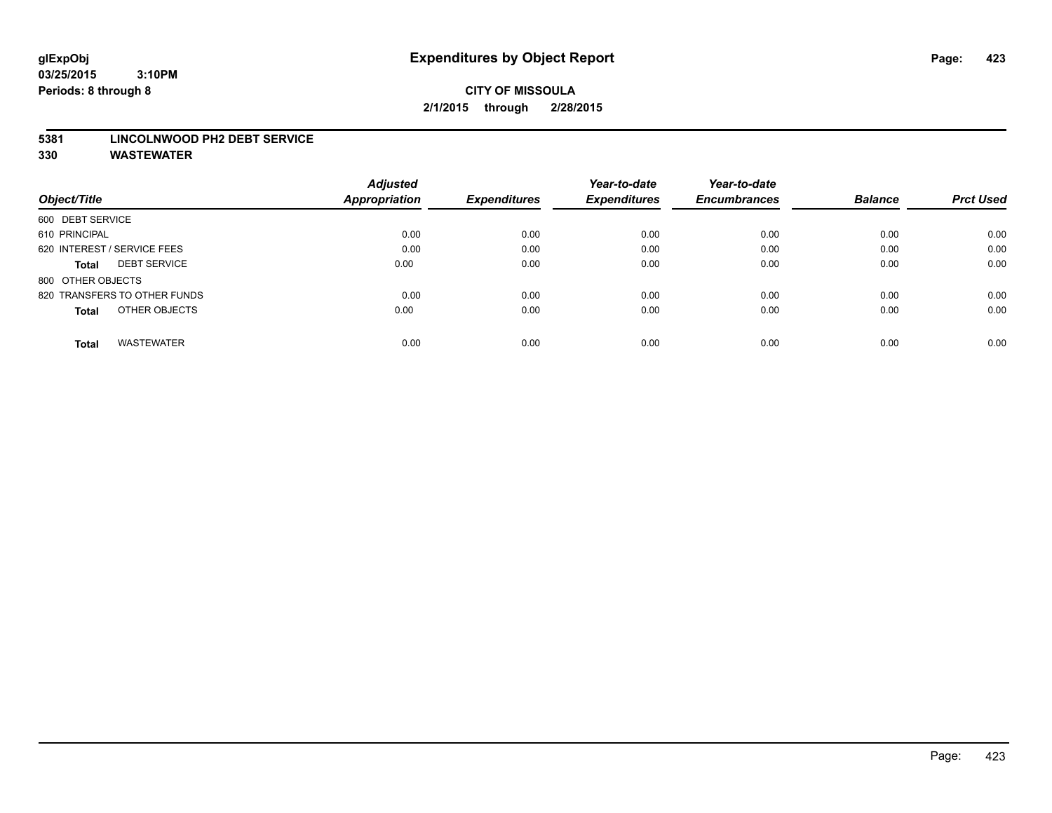# **CITY OF MISSOULA 2/1/2015 through 2/28/2015**

#### **5381 LINCOLNWOOD PH2 DEBT SERVICE**

|                                     | <b>Adjusted</b>      |                     | Year-to-date        | Year-to-date        |                |                  |
|-------------------------------------|----------------------|---------------------|---------------------|---------------------|----------------|------------------|
| Object/Title                        | <b>Appropriation</b> | <b>Expenditures</b> | <b>Expenditures</b> | <b>Encumbrances</b> | <b>Balance</b> | <b>Prct Used</b> |
| 600 DEBT SERVICE                    |                      |                     |                     |                     |                |                  |
| 610 PRINCIPAL                       | 0.00                 | 0.00                | 0.00                | 0.00                | 0.00           | 0.00             |
| 620 INTEREST / SERVICE FEES         | 0.00                 | 0.00                | 0.00                | 0.00                | 0.00           | 0.00             |
| <b>DEBT SERVICE</b><br><b>Total</b> | 0.00                 | 0.00                | 0.00                | 0.00                | 0.00           | 0.00             |
| 800 OTHER OBJECTS                   |                      |                     |                     |                     |                |                  |
| 820 TRANSFERS TO OTHER FUNDS        | 0.00                 | 0.00                | 0.00                | 0.00                | 0.00           | 0.00             |
| OTHER OBJECTS<br><b>Total</b>       | 0.00                 | 0.00                | 0.00                | 0.00                | 0.00           | 0.00             |
| <b>WASTEWATER</b><br>Total          | 0.00                 | 0.00                | 0.00                | 0.00                | 0.00           | 0.00             |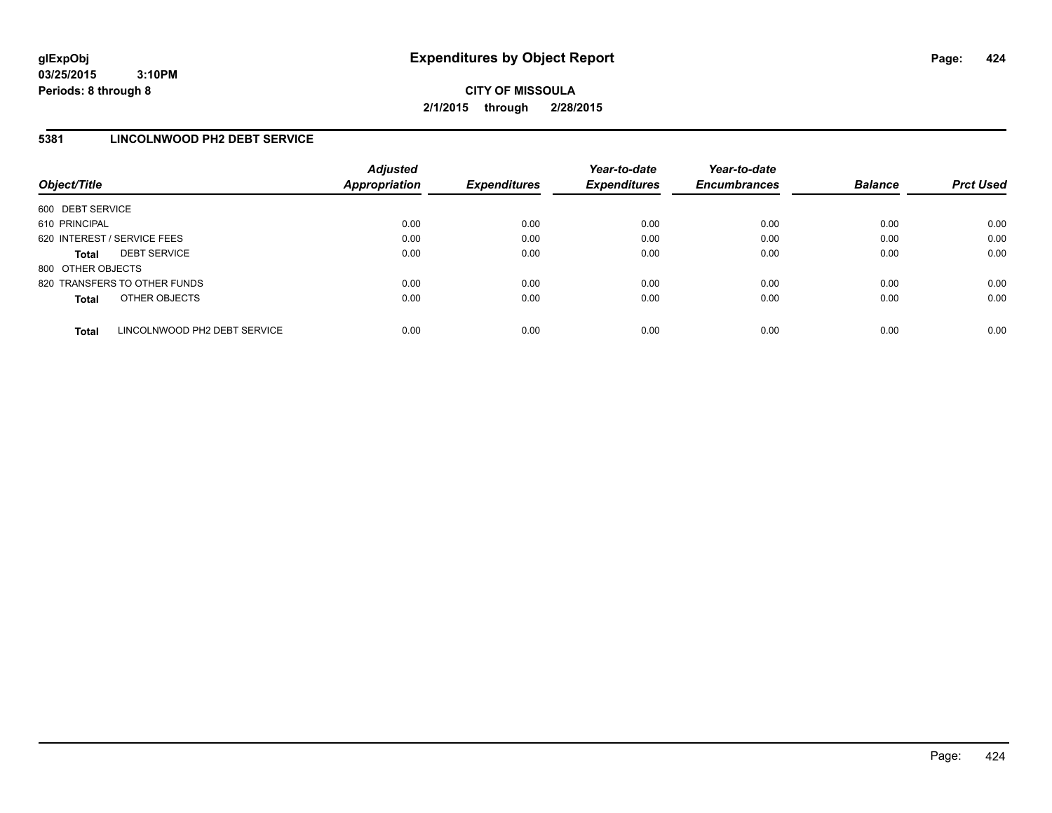**CITY OF MISSOULA 2/1/2015 through 2/28/2015**

## **5381 LINCOLNWOOD PH2 DEBT SERVICE**

| Object/Title      |                              | <b>Adjusted</b><br>Appropriation | <b>Expenditures</b> | Year-to-date<br><b>Expenditures</b> | Year-to-date<br><b>Encumbrances</b> | <b>Balance</b> | <b>Prct Used</b> |
|-------------------|------------------------------|----------------------------------|---------------------|-------------------------------------|-------------------------------------|----------------|------------------|
| 600 DEBT SERVICE  |                              |                                  |                     |                                     |                                     |                |                  |
| 610 PRINCIPAL     |                              | 0.00                             | 0.00                | 0.00                                | 0.00                                | 0.00           | 0.00             |
|                   | 620 INTEREST / SERVICE FEES  | 0.00                             | 0.00                | 0.00                                | 0.00                                | 0.00           | 0.00             |
| <b>Total</b>      | <b>DEBT SERVICE</b>          | 0.00                             | 0.00                | 0.00                                | 0.00                                | 0.00           | 0.00             |
| 800 OTHER OBJECTS |                              |                                  |                     |                                     |                                     |                |                  |
|                   | 820 TRANSFERS TO OTHER FUNDS | 0.00                             | 0.00                | 0.00                                | 0.00                                | 0.00           | 0.00             |
| <b>Total</b>      | OTHER OBJECTS                | 0.00                             | 0.00                | 0.00                                | 0.00                                | 0.00           | 0.00             |
| <b>Total</b>      | LINCOLNWOOD PH2 DEBT SERVICE | 0.00                             | 0.00                | 0.00                                | 0.00                                | 0.00           | 0.00             |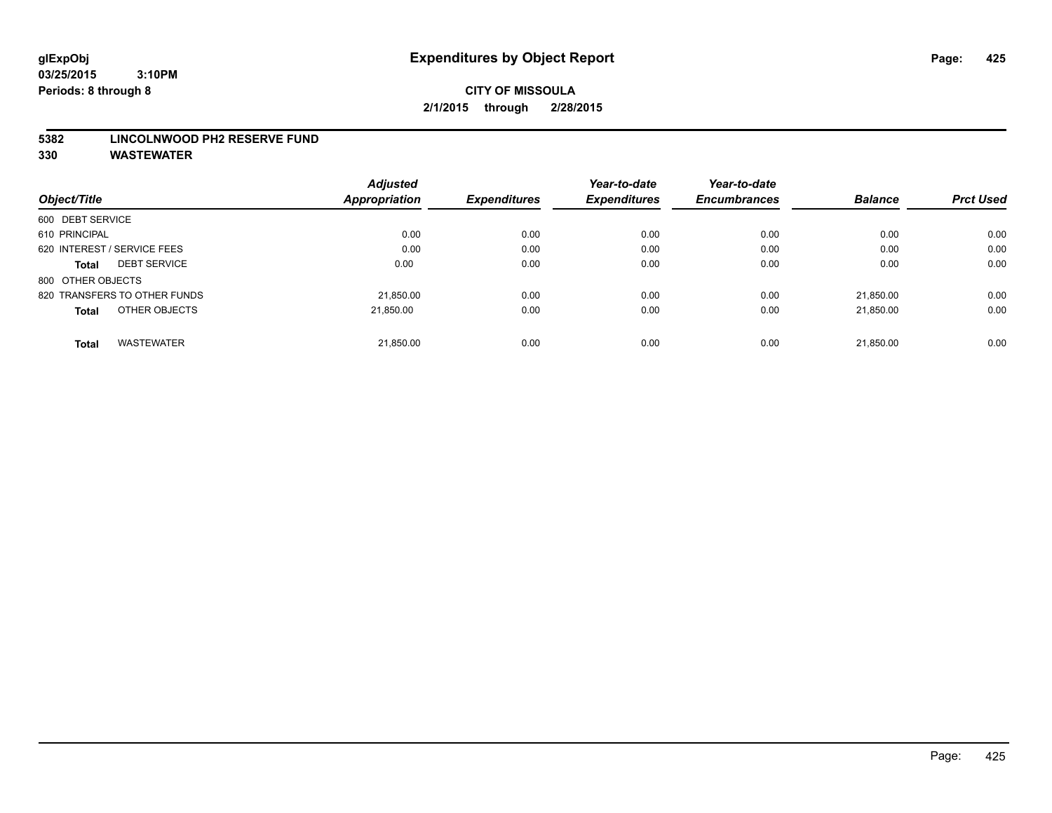#### **5382 LINCOLNWOOD PH2 RESERVE FUND**

|                                     | <b>Adjusted</b>      |                     | Year-to-date        | Year-to-date        |                |                  |
|-------------------------------------|----------------------|---------------------|---------------------|---------------------|----------------|------------------|
| Object/Title                        | <b>Appropriation</b> | <b>Expenditures</b> | <b>Expenditures</b> | <b>Encumbrances</b> | <b>Balance</b> | <b>Prct Used</b> |
| 600 DEBT SERVICE                    |                      |                     |                     |                     |                |                  |
| 610 PRINCIPAL                       | 0.00                 | 0.00                | 0.00                | 0.00                | 0.00           | 0.00             |
| 620 INTEREST / SERVICE FEES         | 0.00                 | 0.00                | 0.00                | 0.00                | 0.00           | 0.00             |
| <b>DEBT SERVICE</b><br><b>Total</b> | 0.00                 | 0.00                | 0.00                | 0.00                | 0.00           | 0.00             |
| 800 OTHER OBJECTS                   |                      |                     |                     |                     |                |                  |
| 820 TRANSFERS TO OTHER FUNDS        | 21.850.00            | 0.00                | 0.00                | 0.00                | 21.850.00      | 0.00             |
| OTHER OBJECTS<br><b>Total</b>       | 21.850.00            | 0.00                | 0.00                | 0.00                | 21.850.00      | 0.00             |
| <b>WASTEWATER</b><br><b>Total</b>   | 21,850.00            | 0.00                | 0.00                | 0.00                | 21.850.00      | 0.00             |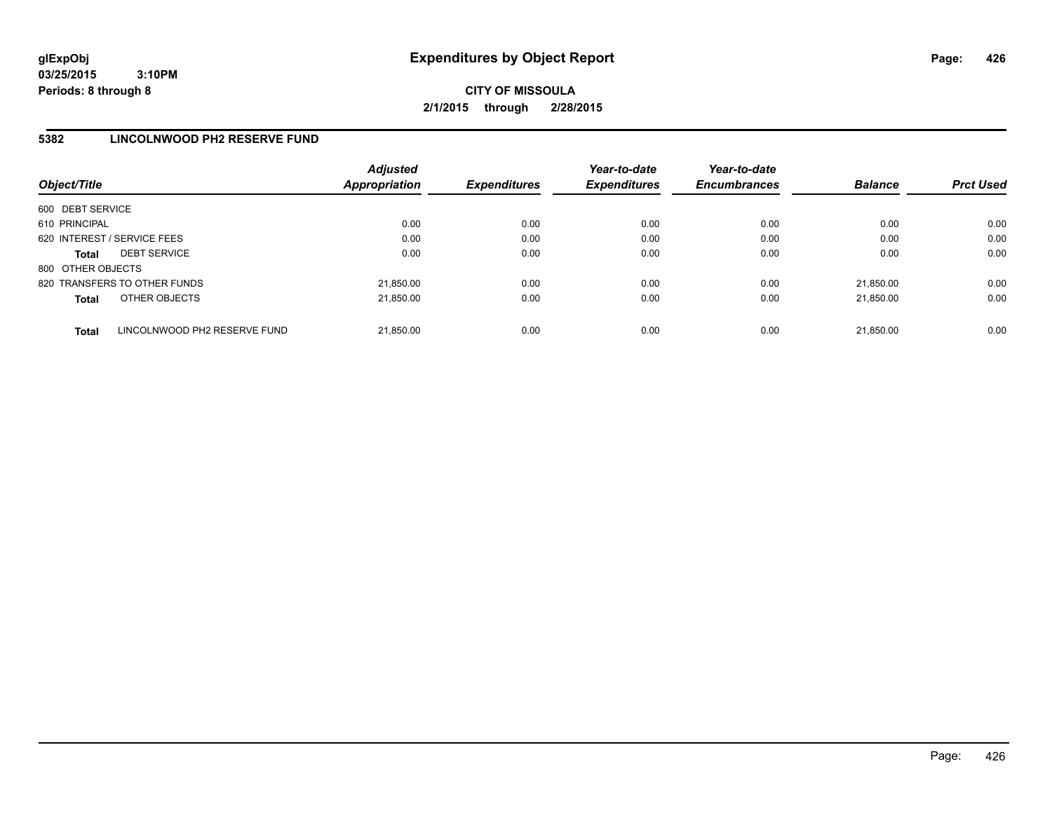**CITY OF MISSOULA 2/1/2015 through 2/28/2015**

## **5382 LINCOLNWOOD PH2 RESERVE FUND**

| Object/Title      |                              | <b>Adjusted</b><br>Appropriation | <b>Expenditures</b> | Year-to-date<br><b>Expenditures</b> | Year-to-date<br><b>Encumbrances</b> | <b>Balance</b> | <b>Prct Used</b> |
|-------------------|------------------------------|----------------------------------|---------------------|-------------------------------------|-------------------------------------|----------------|------------------|
| 600 DEBT SERVICE  |                              |                                  |                     |                                     |                                     |                |                  |
| 610 PRINCIPAL     |                              | 0.00                             | 0.00                | 0.00                                | 0.00                                | 0.00           | 0.00             |
|                   | 620 INTEREST / SERVICE FEES  | 0.00                             | 0.00                | 0.00                                | 0.00                                | 0.00           | 0.00             |
| <b>Total</b>      | <b>DEBT SERVICE</b>          | 0.00                             | 0.00                | 0.00                                | 0.00                                | 0.00           | 0.00             |
| 800 OTHER OBJECTS |                              |                                  |                     |                                     |                                     |                |                  |
|                   | 820 TRANSFERS TO OTHER FUNDS | 21,850.00                        | 0.00                | 0.00                                | 0.00                                | 21.850.00      | 0.00             |
| <b>Total</b>      | OTHER OBJECTS                | 21,850.00                        | 0.00                | 0.00                                | 0.00                                | 21.850.00      | 0.00             |
| <b>Total</b>      | LINCOLNWOOD PH2 RESERVE FUND | 21,850.00                        | 0.00                | 0.00                                | 0.00                                | 21.850.00      | 0.00             |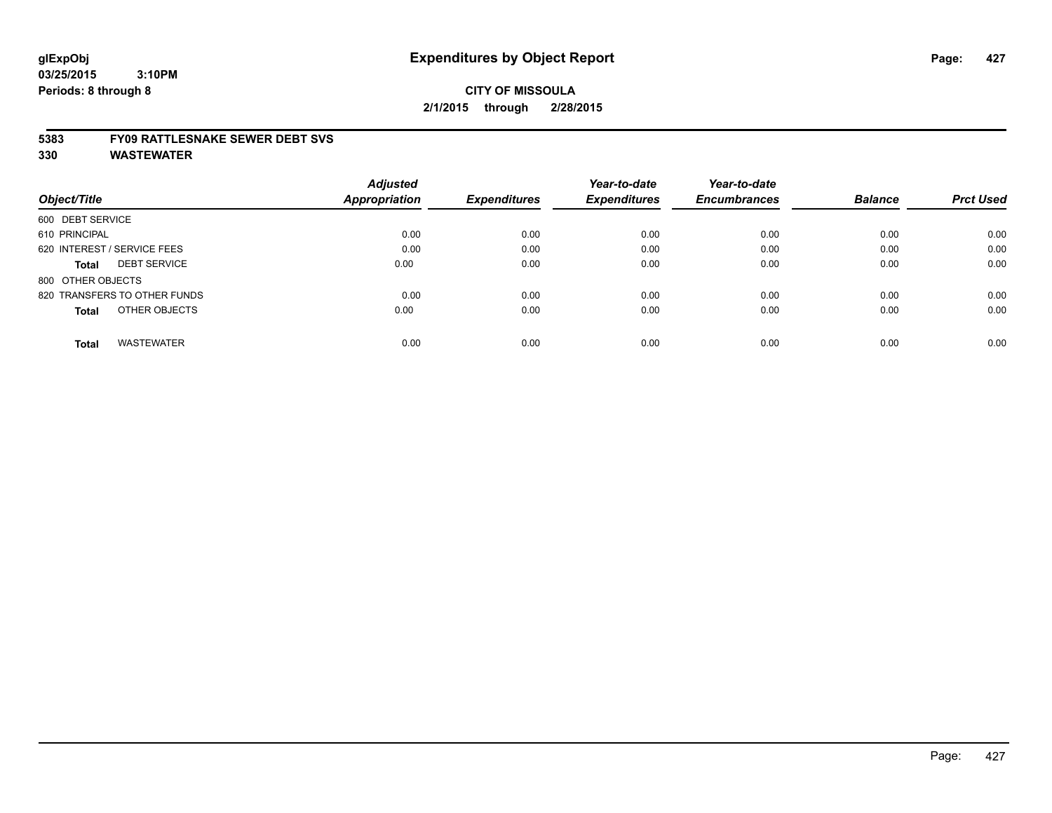#### **5383 FY09 RATTLESNAKE SEWER DEBT SVS**

|                                     | <b>Adjusted</b> |                     | Year-to-date        | Year-to-date        |                |                  |
|-------------------------------------|-----------------|---------------------|---------------------|---------------------|----------------|------------------|
| Object/Title                        | Appropriation   | <b>Expenditures</b> | <b>Expenditures</b> | <b>Encumbrances</b> | <b>Balance</b> | <b>Prct Used</b> |
| 600 DEBT SERVICE                    |                 |                     |                     |                     |                |                  |
| 610 PRINCIPAL                       | 0.00            | 0.00                | 0.00                | 0.00                | 0.00           | 0.00             |
| 620 INTEREST / SERVICE FEES         | 0.00            | 0.00                | 0.00                | 0.00                | 0.00           | 0.00             |
| <b>DEBT SERVICE</b><br><b>Total</b> | 0.00            | 0.00                | 0.00                | 0.00                | 0.00           | 0.00             |
| 800 OTHER OBJECTS                   |                 |                     |                     |                     |                |                  |
| 820 TRANSFERS TO OTHER FUNDS        | 0.00            | 0.00                | 0.00                | 0.00                | 0.00           | 0.00             |
| OTHER OBJECTS<br><b>Total</b>       | 0.00            | 0.00                | 0.00                | 0.00                | 0.00           | 0.00             |
| <b>WASTEWATER</b><br><b>Total</b>   | 0.00            | 0.00                | 0.00                | 0.00                | 0.00           | 0.00             |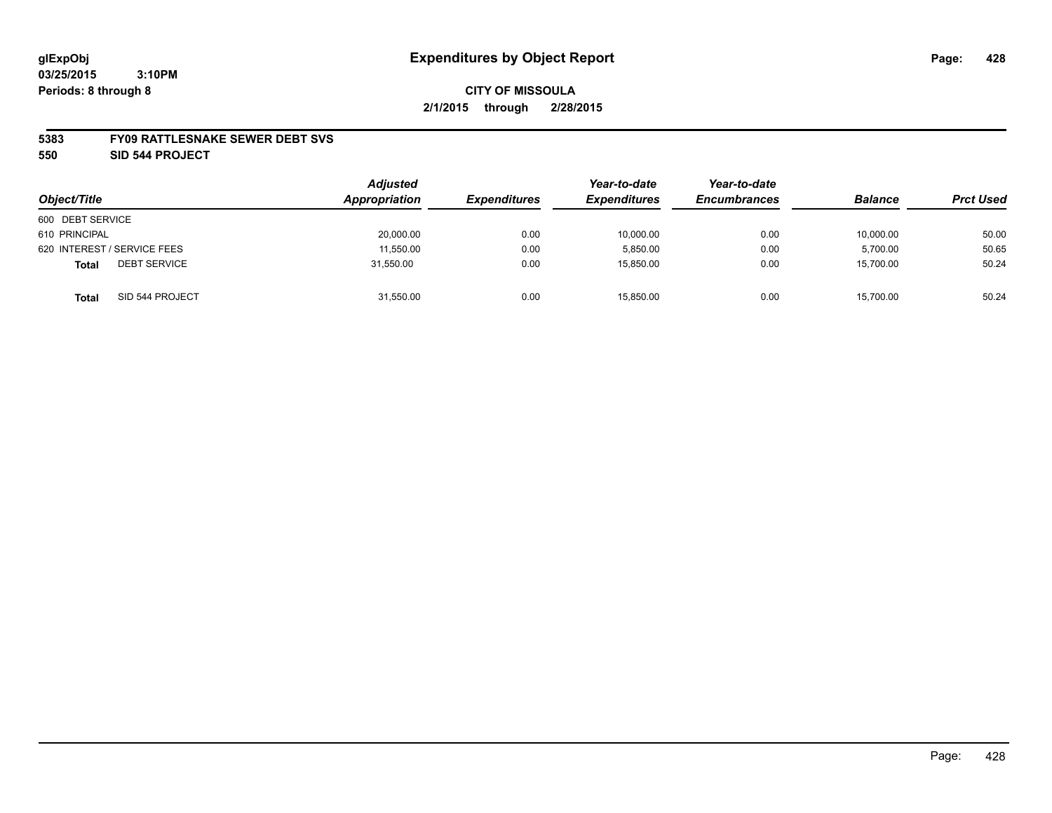#### **5383 FY09 RATTLESNAKE SEWER DEBT SVS**

**550 SID 544 PROJECT**

|                              | <b>Adjusted</b> |                     | Year-to-date        | Year-to-date        |                |                  |
|------------------------------|-----------------|---------------------|---------------------|---------------------|----------------|------------------|
| Object/Title                 | Appropriation   | <b>Expenditures</b> | <b>Expenditures</b> | <b>Encumbrances</b> | <b>Balance</b> | <b>Prct Used</b> |
| 600 DEBT SERVICE             |                 |                     |                     |                     |                |                  |
| 610 PRINCIPAL                | 20,000.00       | 0.00                | 10,000.00           | 0.00                | 10,000.00      | 50.00            |
| 620 INTEREST / SERVICE FEES  | 11,550.00       | 0.00                | 5.850.00            | 0.00                | 5,700.00       | 50.65            |
| <b>DEBT SERVICE</b><br>Total | 31,550.00       | 0.00                | 15,850.00           | 0.00                | 15,700.00      | 50.24            |
| SID 544 PROJECT<br>Total     | 31,550.00       | 0.00                | 15.850.00           | 0.00                | 15,700.00      | 50.24            |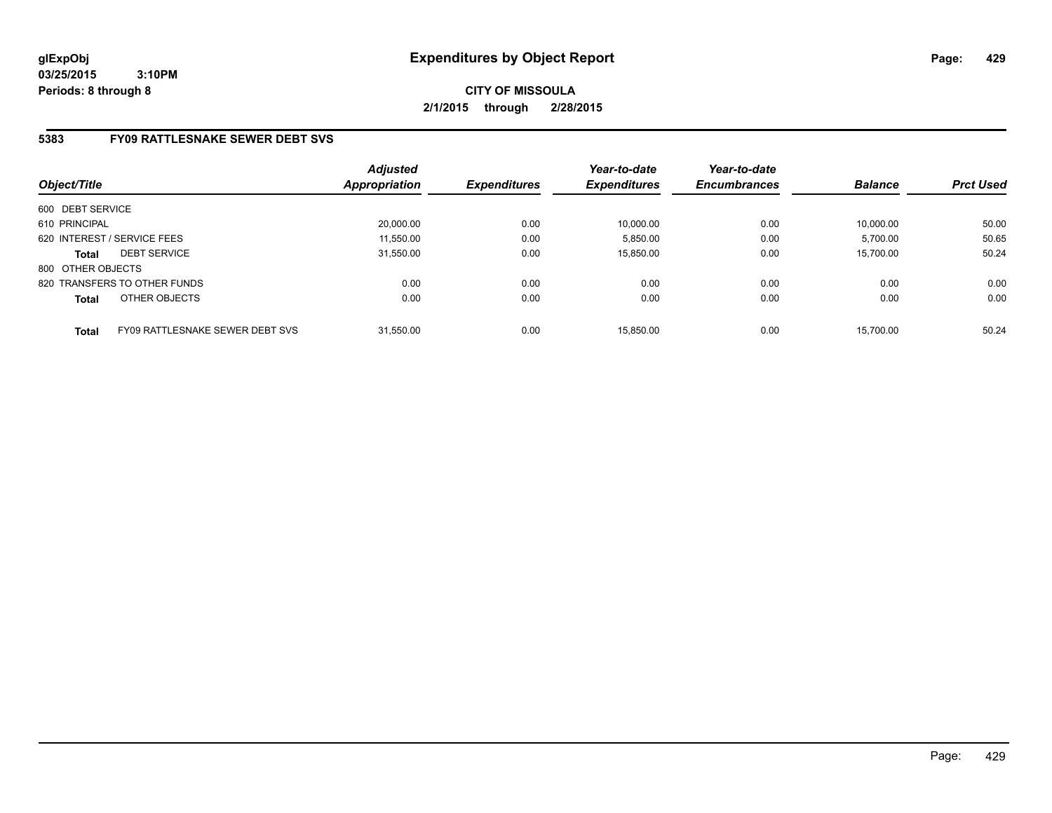**CITY OF MISSOULA 2/1/2015 through 2/28/2015**

# **5383 FY09 RATTLESNAKE SEWER DEBT SVS**

| Object/Title      |                                 | <b>Adjusted</b><br><b>Appropriation</b> | <b>Expenditures</b> | Year-to-date<br><b>Expenditures</b> | Year-to-date<br><b>Encumbrances</b> | <b>Balance</b> | <b>Prct Used</b> |
|-------------------|---------------------------------|-----------------------------------------|---------------------|-------------------------------------|-------------------------------------|----------------|------------------|
| 600 DEBT SERVICE  |                                 |                                         |                     |                                     |                                     |                |                  |
| 610 PRINCIPAL     |                                 | 20,000.00                               | 0.00                | 10,000.00                           | 0.00                                | 10.000.00      | 50.00            |
|                   | 620 INTEREST / SERVICE FEES     | 11,550.00                               | 0.00                | 5,850.00                            | 0.00                                | 5,700.00       | 50.65            |
| <b>Total</b>      | <b>DEBT SERVICE</b>             | 31.550.00                               | 0.00                | 15.850.00                           | 0.00                                | 15.700.00      | 50.24            |
| 800 OTHER OBJECTS |                                 |                                         |                     |                                     |                                     |                |                  |
|                   | 820 TRANSFERS TO OTHER FUNDS    | 0.00                                    | 0.00                | 0.00                                | 0.00                                | 0.00           | 0.00             |
| <b>Total</b>      | OTHER OBJECTS                   | 0.00                                    | 0.00                | 0.00                                | 0.00                                | 0.00           | 0.00             |
| <b>Total</b>      | FY09 RATTLESNAKE SEWER DEBT SVS | 31.550.00                               | 0.00                | 15.850.00                           | 0.00                                | 15.700.00      | 50.24            |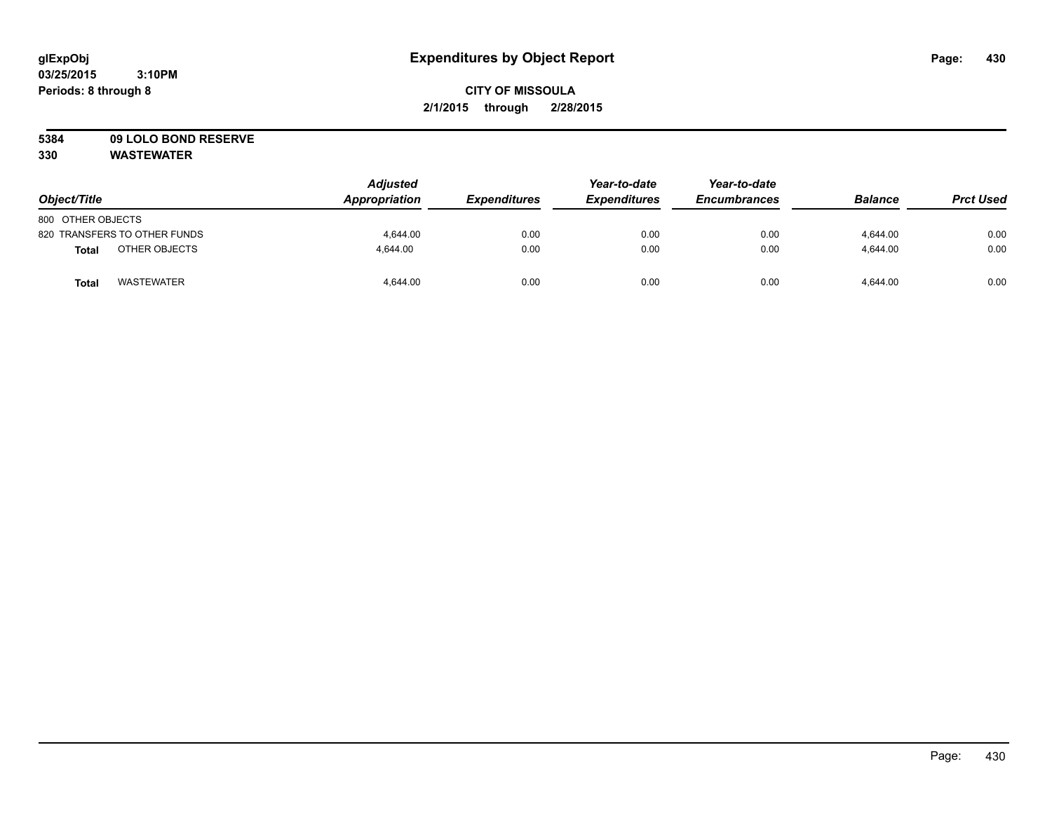# **CITY OF MISSOULA 2/1/2015 through 2/28/2015**

# **5384 09 LOLO BOND RESERVE**

| Object/Title                      | <b>Adjusted</b><br>Appropriation | <b>Expenditures</b> | Year-to-date<br><b>Expenditures</b> | Year-to-date<br><b>Encumbrances</b> | <b>Balance</b> | <b>Prct Used</b> |
|-----------------------------------|----------------------------------|---------------------|-------------------------------------|-------------------------------------|----------------|------------------|
|                                   |                                  |                     |                                     |                                     |                |                  |
| 800 OTHER OBJECTS                 |                                  |                     |                                     |                                     |                |                  |
| 820 TRANSFERS TO OTHER FUNDS      | 4.644.00                         | 0.00                | 0.00                                | 0.00                                | 4.644.00       | 0.00             |
| OTHER OBJECTS<br>Total            | 4.644.00                         | 0.00                | 0.00                                | 0.00                                | 4.644.00       | 0.00             |
| <b>WASTEWATER</b><br><b>Total</b> | 4,644.00                         | 0.00                | 0.00                                | 0.00                                | 4,644.00       | 0.00             |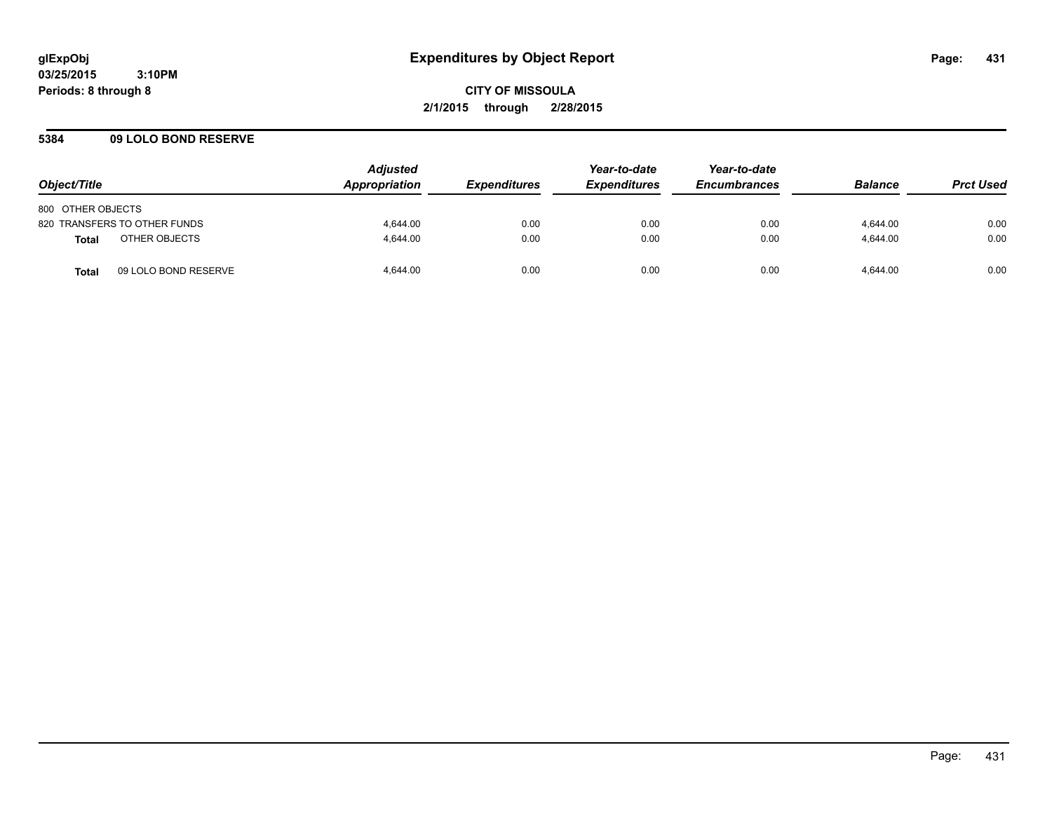**CITY OF MISSOULA 2/1/2015 through 2/28/2015**

## **5384 09 LOLO BOND RESERVE**

| Object/Title                         | <b>Adjusted</b><br>Appropriation | <b>Expenditures</b> | Year-to-date<br><b>Expenditures</b> | Year-to-date<br><b>Encumbrances</b> | <b>Balance</b> | <b>Prct Used</b> |
|--------------------------------------|----------------------------------|---------------------|-------------------------------------|-------------------------------------|----------------|------------------|
| 800 OTHER OBJECTS                    |                                  |                     |                                     |                                     |                |                  |
| 820 TRANSFERS TO OTHER FUNDS         | 4.644.00                         | 0.00                | 0.00                                | 0.00                                | 4.644.00       | 0.00             |
| OTHER OBJECTS<br><b>Total</b>        | 4.644.00                         | 0.00                | 0.00                                | 0.00                                | 4.644.00       | 0.00             |
| 09 LOLO BOND RESERVE<br><b>Total</b> | 4.644.00                         | 0.00                | 0.00                                | 0.00                                | 4.644.00       | 0.00             |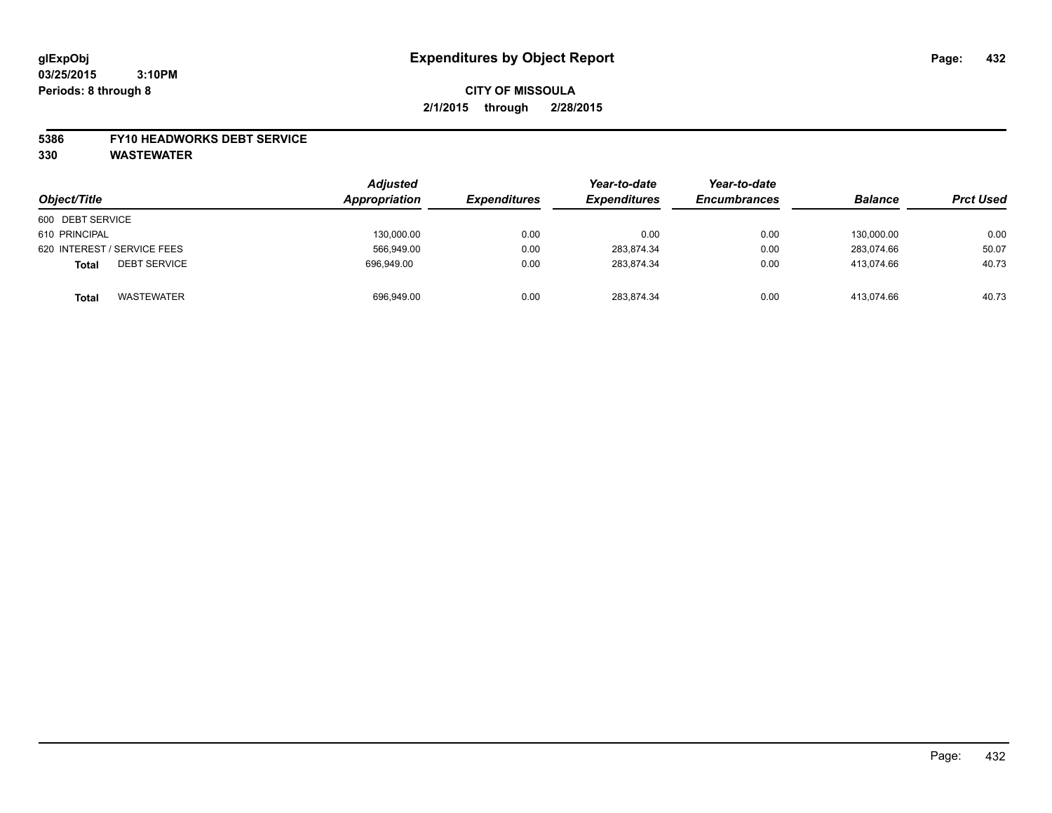# **CITY OF MISSOULA 2/1/2015 through 2/28/2015**

#### **5386 FY10 HEADWORKS DEBT SERVICE**

| Object/Title                        | <b>Adjusted</b><br>Appropriation | <b>Expenditures</b> | Year-to-date<br><b>Expenditures</b> | Year-to-date<br><b>Encumbrances</b> | <b>Balance</b> | <b>Prct Used</b> |
|-------------------------------------|----------------------------------|---------------------|-------------------------------------|-------------------------------------|----------------|------------------|
| 600 DEBT SERVICE                    |                                  |                     |                                     |                                     |                |                  |
| 610 PRINCIPAL                       | 130,000.00                       | 0.00                | 0.00                                | 0.00                                | 130.000.00     | 0.00             |
| 620 INTEREST / SERVICE FEES         | 566.949.00                       | 0.00                | 283.874.34                          | 0.00                                | 283.074.66     | 50.07            |
| <b>DEBT SERVICE</b><br><b>Total</b> | 696,949.00                       | 0.00                | 283.874.34                          | 0.00                                | 413.074.66     | 40.73            |
| <b>WASTEWATER</b><br><b>Total</b>   | 696,949.00                       | 0.00                | 283.874.34                          | 0.00                                | 413.074.66     | 40.73            |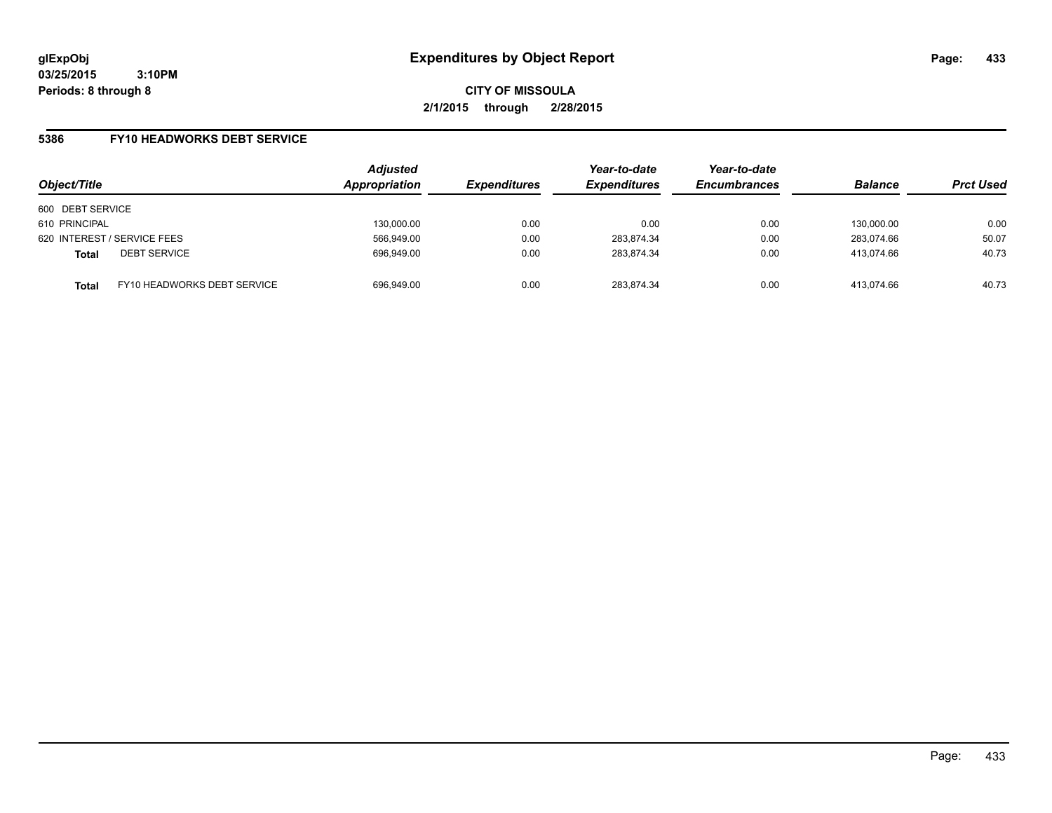**CITY OF MISSOULA 2/1/2015 through 2/28/2015**

### **5386 FY10 HEADWORKS DEBT SERVICE**

| Object/Title     |                             | <b>Adjusted</b><br>Appropriation | <b>Expenditures</b> | Year-to-date<br><b>Expenditures</b> | Year-to-date<br><b>Encumbrances</b> | <b>Balance</b> | <b>Prct Used</b> |
|------------------|-----------------------------|----------------------------------|---------------------|-------------------------------------|-------------------------------------|----------------|------------------|
| 600 DEBT SERVICE |                             |                                  |                     |                                     |                                     |                |                  |
| 610 PRINCIPAL    |                             | 130,000.00                       | 0.00                | 0.00                                | 0.00                                | 130.000.00     | 0.00             |
|                  | 620 INTEREST / SERVICE FEES | 566,949.00                       | 0.00                | 283,874.34                          | 0.00                                | 283.074.66     | 50.07            |
| <b>Total</b>     | <b>DEBT SERVICE</b>         | 696.949.00                       | 0.00                | 283,874.34                          | 0.00                                | 413.074.66     | 40.73            |
| <b>Total</b>     | FY10 HEADWORKS DEBT SERVICE | 696.949.00                       | 0.00                | 283.874.34                          | 0.00                                | 413.074.66     | 40.73            |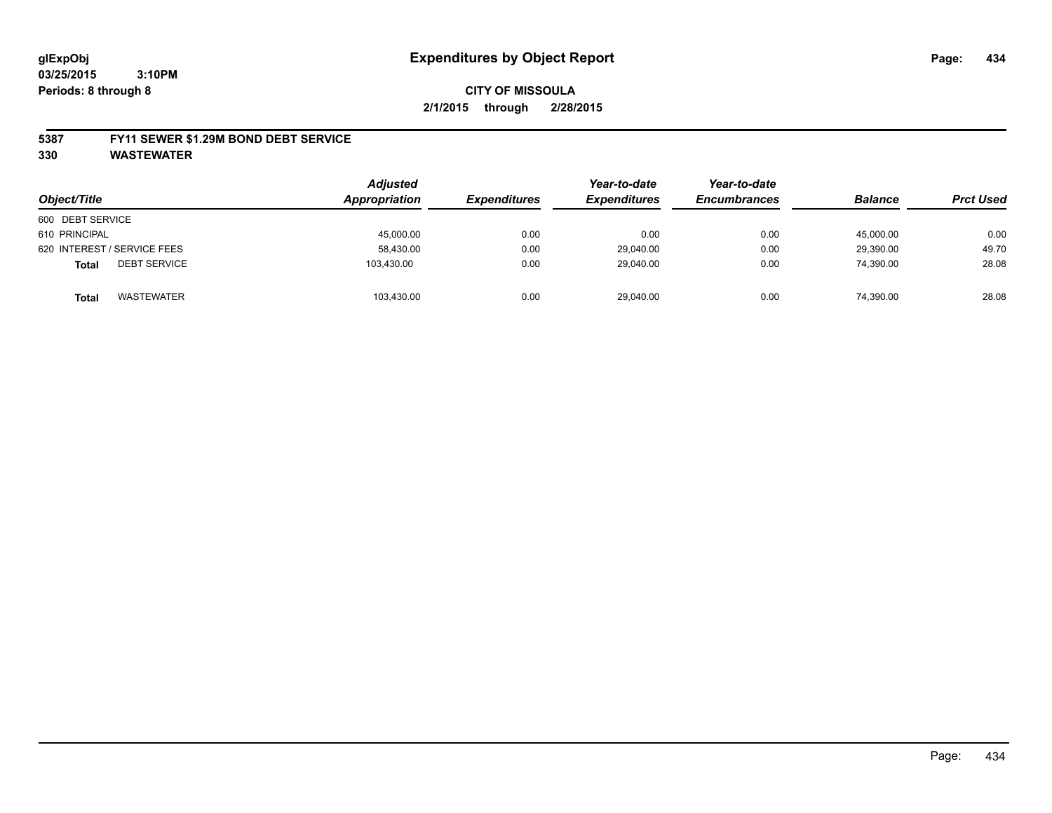### **5387 FY11 SEWER \$1.29M BOND DEBT SERVICE**

**330 WASTEWATER**

| Object/Title                        | <b>Adjusted</b><br>Appropriation | <b>Expenditures</b> | Year-to-date<br><b>Expenditures</b> | Year-to-date<br><b>Encumbrances</b> | <b>Balance</b> | <b>Prct Used</b> |
|-------------------------------------|----------------------------------|---------------------|-------------------------------------|-------------------------------------|----------------|------------------|
| 600 DEBT SERVICE                    |                                  |                     |                                     |                                     |                |                  |
| 610 PRINCIPAL                       | 45,000.00                        | 0.00                | 0.00                                | 0.00                                | 45.000.00      | 0.00             |
| 620 INTEREST / SERVICE FEES         | 58,430.00                        | 0.00                | 29,040.00                           | 0.00                                | 29,390.00      | 49.70            |
| <b>DEBT SERVICE</b><br><b>Total</b> | 103,430.00                       | 0.00                | 29.040.00                           | 0.00                                | 74,390.00      | 28.08            |
| WASTEWATER<br><b>Total</b>          | 103,430.00                       | 0.00                | 29,040.00                           | 0.00                                | 74,390.00      | 28.08            |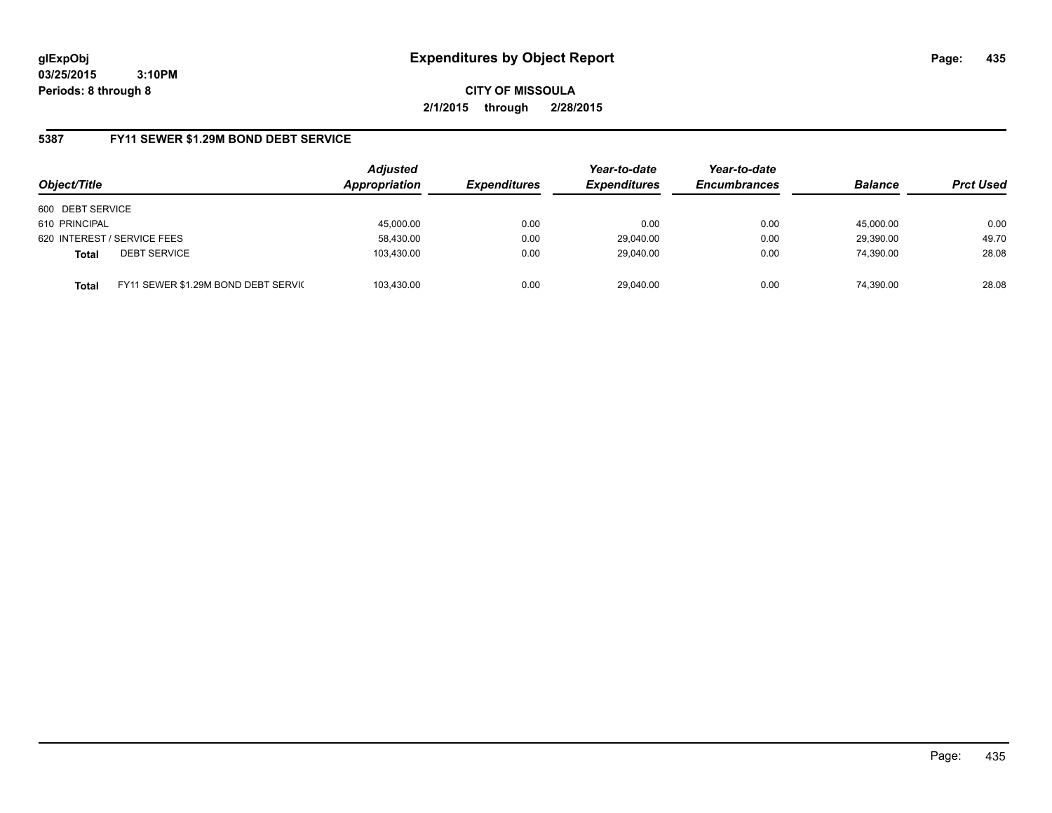**CITY OF MISSOULA 2/1/2015 through 2/28/2015**

### **5387 FY11 SEWER \$1.29M BOND DEBT SERVICE**

| Object/Title                                        | <b>Adjusted</b><br>Appropriation | <b>Expenditures</b> | Year-to-date<br><b>Expenditures</b> | Year-to-date<br><b>Encumbrances</b> | <b>Balance</b> | <b>Prct Used</b> |
|-----------------------------------------------------|----------------------------------|---------------------|-------------------------------------|-------------------------------------|----------------|------------------|
| 600 DEBT SERVICE                                    |                                  |                     |                                     |                                     |                |                  |
| 610 PRINCIPAL                                       | 45,000.00                        | 0.00                | 0.00                                | 0.00                                | 45,000.00      | 0.00             |
| 620 INTEREST / SERVICE FEES                         | 58,430.00                        | 0.00                | 29,040.00                           | 0.00                                | 29,390.00      | 49.70            |
| <b>DEBT SERVICE</b><br><b>Total</b>                 | 103.430.00                       | 0.00                | 29.040.00                           | 0.00                                | 74.390.00      | 28.08            |
| FY11 SEWER \$1.29M BOND DEBT SERVIC<br><b>Total</b> | 103.430.00                       | 0.00                | 29.040.00                           | 0.00                                | 74.390.00      | 28.08            |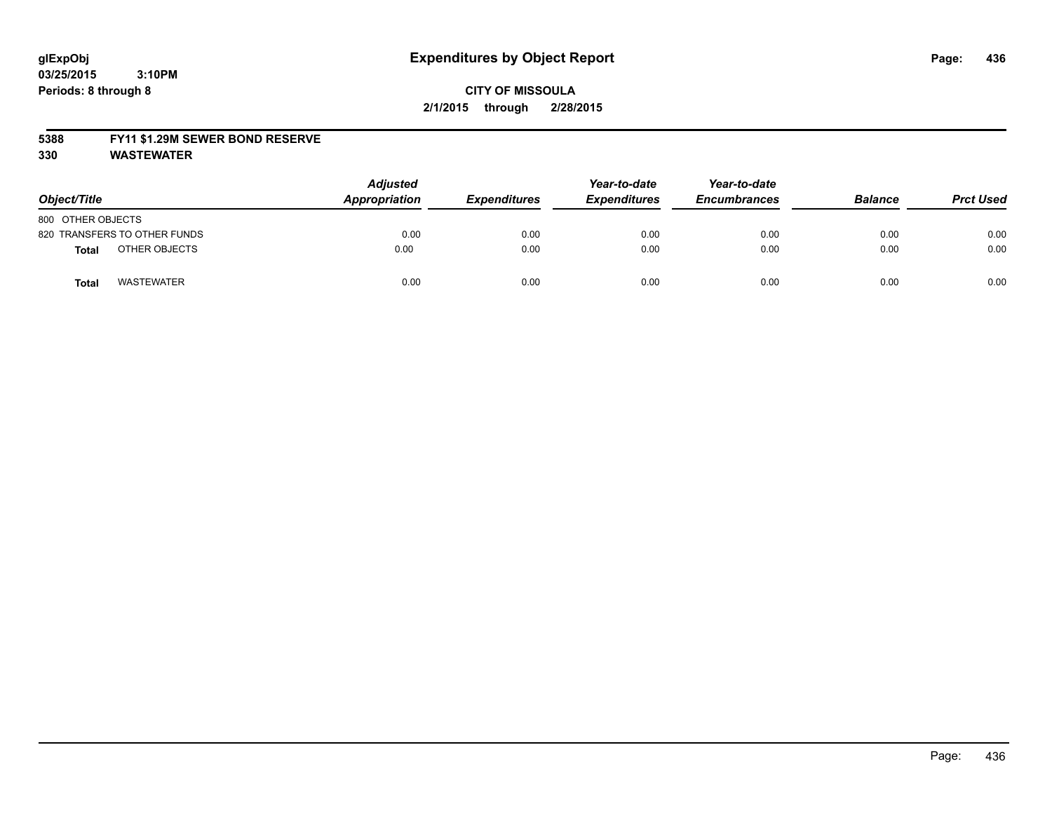# **glExpObj Expenditures by Object Report Page: 436**

**03/25/2015 3:10PM Periods: 8 through 8**

## **CITY OF MISSOULA 2/1/2015 through 2/28/2015**

### **5388 FY11 \$1.29M SEWER BOND RESERVE**

**330 WASTEWATER**

| Object/Title                 | <b>Adjusted</b><br>Appropriation | <b>Expenditures</b> | Year-to-date<br><b>Expenditures</b> | Year-to-date<br><b>Encumbrances</b> | <b>Balance</b> | <b>Prct Used</b> |
|------------------------------|----------------------------------|---------------------|-------------------------------------|-------------------------------------|----------------|------------------|
| 800 OTHER OBJECTS            |                                  |                     |                                     |                                     |                |                  |
| 820 TRANSFERS TO OTHER FUNDS | 0.00                             | 0.00                | 0.00                                | 0.00                                | 0.00           | 0.00             |
| OTHER OBJECTS<br>Total       | 0.00                             | 0.00                | 0.00                                | 0.00                                | 0.00           | 0.00             |
| <b>WASTEWATER</b><br>Total   | 0.00                             | 0.00                | 0.00                                | 0.00                                | 0.00           | 0.00             |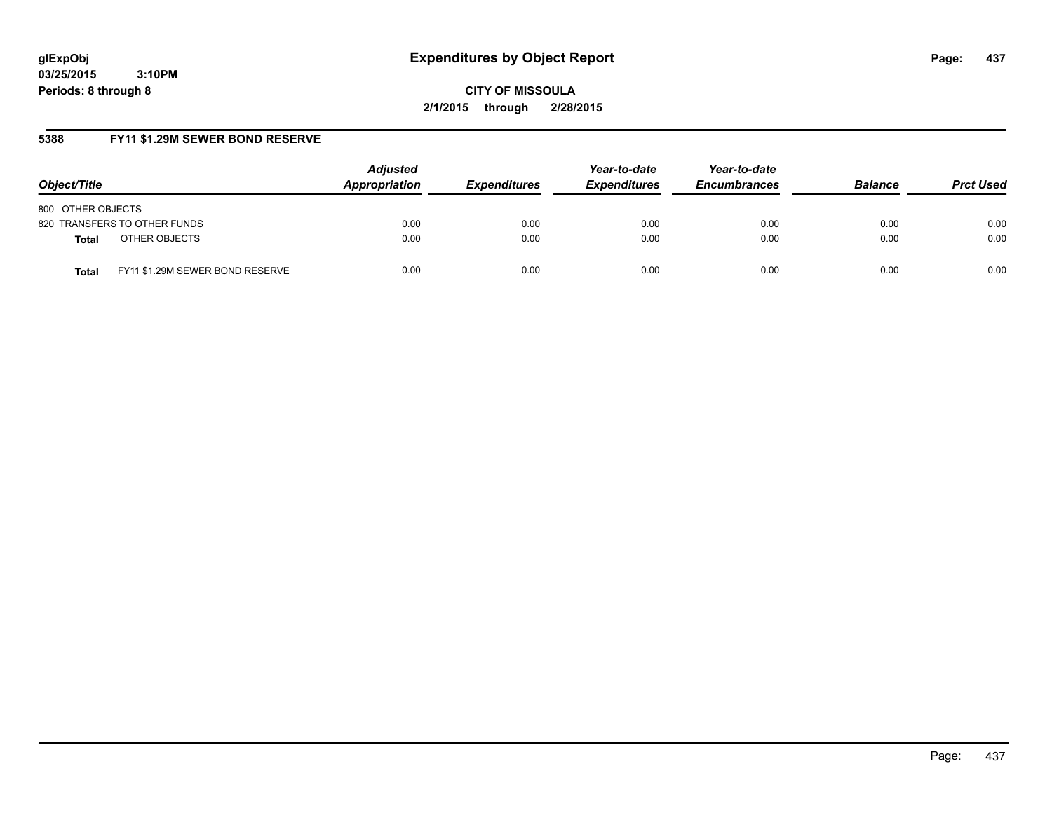**CITY OF MISSOULA 2/1/2015 through 2/28/2015**

## **5388 FY11 \$1.29M SEWER BOND RESERVE**

| Object/Title                                    | <b>Adjusted</b><br>Appropriation | <b>Expenditures</b> | Year-to-date<br><b>Expenditures</b> | Year-to-date<br><b>Encumbrances</b> | <b>Balance</b> | <b>Prct Used</b> |
|-------------------------------------------------|----------------------------------|---------------------|-------------------------------------|-------------------------------------|----------------|------------------|
| 800 OTHER OBJECTS                               |                                  |                     |                                     |                                     |                |                  |
| 820 TRANSFERS TO OTHER FUNDS                    | 0.00                             | 0.00                | 0.00                                | 0.00                                | 0.00           | 0.00             |
| OTHER OBJECTS<br><b>Total</b>                   | 0.00                             | 0.00                | 0.00                                | 0.00                                | 0.00           | 0.00             |
| FY11 \$1.29M SEWER BOND RESERVE<br><b>Total</b> | 0.00                             | 0.00                | 0.00                                | 0.00                                | 0.00           | 0.00             |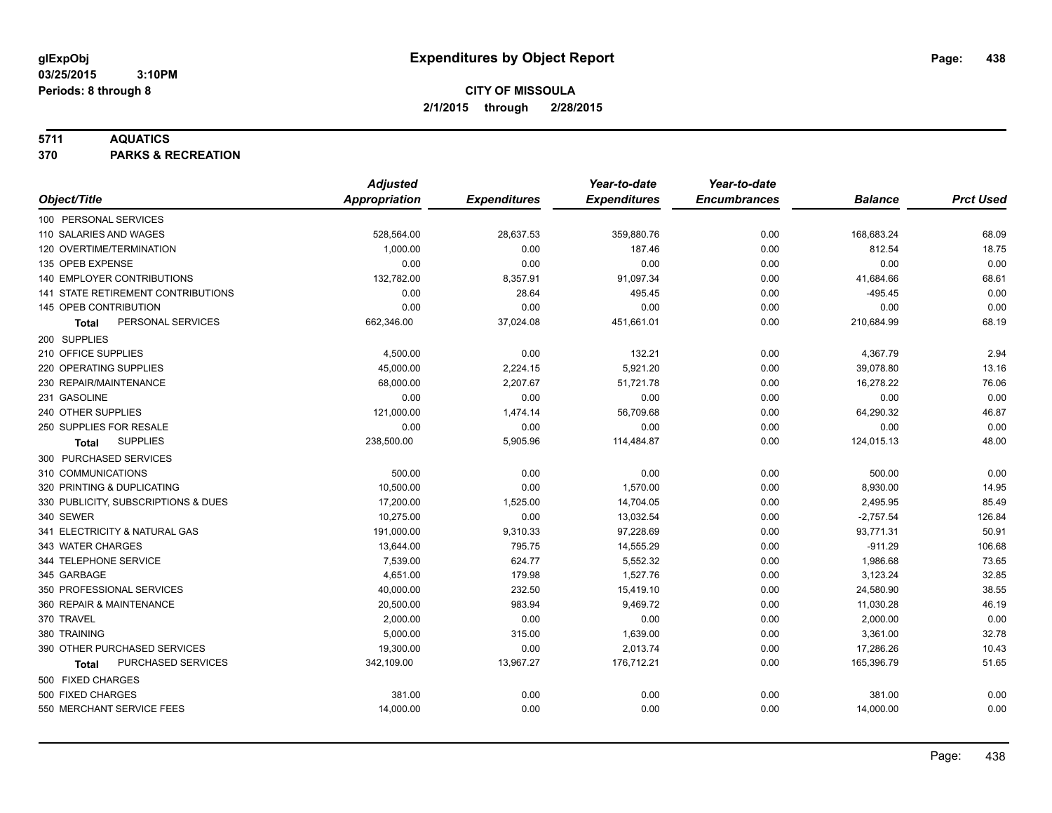### **5711 AQUATICS**

**370 PARKS & RECREATION**

|                                           | <b>Adjusted</b> |                     | Year-to-date        | Year-to-date        |                |                  |
|-------------------------------------------|-----------------|---------------------|---------------------|---------------------|----------------|------------------|
| Object/Title                              | Appropriation   | <b>Expenditures</b> | <b>Expenditures</b> | <b>Encumbrances</b> | <b>Balance</b> | <b>Prct Used</b> |
| 100 PERSONAL SERVICES                     |                 |                     |                     |                     |                |                  |
| 110 SALARIES AND WAGES                    | 528,564.00      | 28,637.53           | 359,880.76          | 0.00                | 168,683.24     | 68.09            |
| 120 OVERTIME/TERMINATION                  | 1,000.00        | 0.00                | 187.46              | 0.00                | 812.54         | 18.75            |
| 135 OPEB EXPENSE                          | 0.00            | 0.00                | 0.00                | 0.00                | 0.00           | 0.00             |
| 140 EMPLOYER CONTRIBUTIONS                | 132,782.00      | 8,357.91            | 91,097.34           | 0.00                | 41,684.66      | 68.61            |
| <b>141 STATE RETIREMENT CONTRIBUTIONS</b> | 0.00            | 28.64               | 495.45              | 0.00                | $-495.45$      | 0.00             |
| 145 OPEB CONTRIBUTION                     | 0.00            | 0.00                | 0.00                | 0.00                | 0.00           | 0.00             |
| PERSONAL SERVICES<br><b>Total</b>         | 662,346.00      | 37,024.08           | 451,661.01          | 0.00                | 210,684.99     | 68.19            |
| 200 SUPPLIES                              |                 |                     |                     |                     |                |                  |
| 210 OFFICE SUPPLIES                       | 4,500.00        | 0.00                | 132.21              | 0.00                | 4,367.79       | 2.94             |
| 220 OPERATING SUPPLIES                    | 45,000.00       | 2,224.15            | 5,921.20            | 0.00                | 39,078.80      | 13.16            |
| 230 REPAIR/MAINTENANCE                    | 68,000.00       | 2,207.67            | 51,721.78           | 0.00                | 16,278.22      | 76.06            |
| 231 GASOLINE                              | 0.00            | 0.00                | 0.00                | 0.00                | 0.00           | 0.00             |
| 240 OTHER SUPPLIES                        | 121,000.00      | 1,474.14            | 56,709.68           | 0.00                | 64,290.32      | 46.87            |
| 250 SUPPLIES FOR RESALE                   | 0.00            | 0.00                | 0.00                | 0.00                | 0.00           | 0.00             |
| <b>SUPPLIES</b><br>Total                  | 238,500.00      | 5,905.96            | 114,484.87          | 0.00                | 124,015.13     | 48.00            |
| 300 PURCHASED SERVICES                    |                 |                     |                     |                     |                |                  |
| 310 COMMUNICATIONS                        | 500.00          | 0.00                | 0.00                | 0.00                | 500.00         | 0.00             |
| 320 PRINTING & DUPLICATING                | 10,500.00       | 0.00                | 1,570.00            | 0.00                | 8,930.00       | 14.95            |
| 330 PUBLICITY, SUBSCRIPTIONS & DUES       | 17,200.00       | 1,525.00            | 14,704.05           | 0.00                | 2,495.95       | 85.49            |
| 340 SEWER                                 | 10,275.00       | 0.00                | 13,032.54           | 0.00                | $-2,757.54$    | 126.84           |
| 341 ELECTRICITY & NATURAL GAS             | 191,000.00      | 9,310.33            | 97,228.69           | 0.00                | 93,771.31      | 50.91            |
| 343 WATER CHARGES                         | 13,644.00       | 795.75              | 14,555.29           | 0.00                | $-911.29$      | 106.68           |
| 344 TELEPHONE SERVICE                     | 7,539.00        | 624.77              | 5,552.32            | 0.00                | 1,986.68       | 73.65            |
| 345 GARBAGE                               | 4,651.00        | 179.98              | 1,527.76            | 0.00                | 3,123.24       | 32.85            |
| 350 PROFESSIONAL SERVICES                 | 40,000.00       | 232.50              | 15,419.10           | 0.00                | 24,580.90      | 38.55            |
| 360 REPAIR & MAINTENANCE                  | 20,500.00       | 983.94              | 9,469.72            | 0.00                | 11,030.28      | 46.19            |
| 370 TRAVEL                                | 2,000.00        | 0.00                | 0.00                | 0.00                | 2,000.00       | 0.00             |
| 380 TRAINING                              | 5,000.00        | 315.00              | 1,639.00            | 0.00                | 3,361.00       | 32.78            |
| 390 OTHER PURCHASED SERVICES              | 19,300.00       | 0.00                | 2,013.74            | 0.00                | 17,286.26      | 10.43            |
| PURCHASED SERVICES<br><b>Total</b>        | 342,109.00      | 13,967.27           | 176,712.21          | 0.00                | 165,396.79     | 51.65            |
| 500 FIXED CHARGES                         |                 |                     |                     |                     |                |                  |
| 500 FIXED CHARGES                         | 381.00          | 0.00                | 0.00                | 0.00                | 381.00         | 0.00             |
| 550 MERCHANT SERVICE FEES                 | 14,000.00       | 0.00                | 0.00                | 0.00                | 14,000.00      | 0.00             |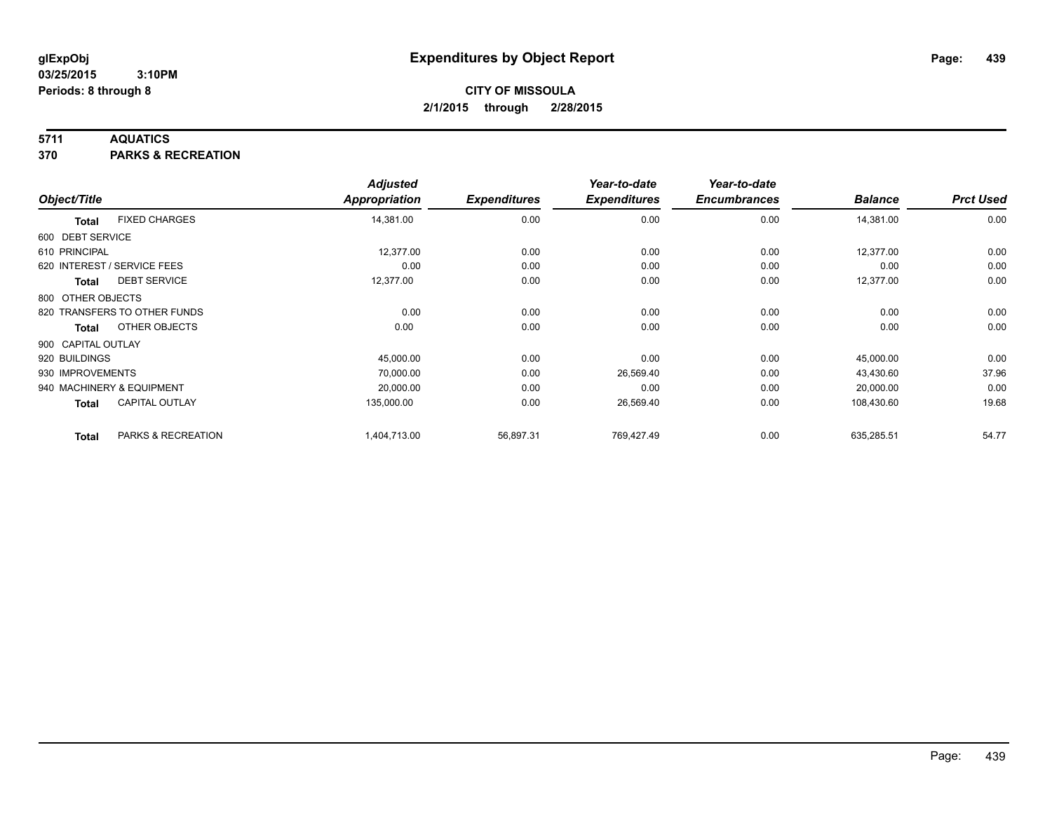### **5711 AQUATICS**

**370 PARKS & RECREATION**

|                    |                              | <b>Adjusted</b> |                     | Year-to-date        | Year-to-date        |                |                  |
|--------------------|------------------------------|-----------------|---------------------|---------------------|---------------------|----------------|------------------|
| Object/Title       |                              | Appropriation   | <b>Expenditures</b> | <b>Expenditures</b> | <b>Encumbrances</b> | <b>Balance</b> | <b>Prct Used</b> |
| <b>Total</b>       | <b>FIXED CHARGES</b>         | 14,381.00       | 0.00                | 0.00                | 0.00                | 14,381.00      | 0.00             |
| 600 DEBT SERVICE   |                              |                 |                     |                     |                     |                |                  |
| 610 PRINCIPAL      |                              | 12,377.00       | 0.00                | 0.00                | 0.00                | 12,377.00      | 0.00             |
|                    | 620 INTEREST / SERVICE FEES  | 0.00            | 0.00                | 0.00                | 0.00                | 0.00           | 0.00             |
| Total              | <b>DEBT SERVICE</b>          | 12,377.00       | 0.00                | 0.00                | 0.00                | 12,377.00      | 0.00             |
| 800 OTHER OBJECTS  |                              |                 |                     |                     |                     |                |                  |
|                    | 820 TRANSFERS TO OTHER FUNDS | 0.00            | 0.00                | 0.00                | 0.00                | 0.00           | 0.00             |
| <b>Total</b>       | OTHER OBJECTS                | 0.00            | 0.00                | 0.00                | 0.00                | 0.00           | 0.00             |
| 900 CAPITAL OUTLAY |                              |                 |                     |                     |                     |                |                  |
| 920 BUILDINGS      |                              | 45,000.00       | 0.00                | 0.00                | 0.00                | 45,000.00      | 0.00             |
| 930 IMPROVEMENTS   |                              | 70,000.00       | 0.00                | 26,569.40           | 0.00                | 43,430.60      | 37.96            |
|                    | 940 MACHINERY & EQUIPMENT    | 20,000.00       | 0.00                | 0.00                | 0.00                | 20,000.00      | 0.00             |
| <b>Total</b>       | <b>CAPITAL OUTLAY</b>        | 135,000.00      | 0.00                | 26,569.40           | 0.00                | 108,430.60     | 19.68            |
| <b>Total</b>       | PARKS & RECREATION           | 1,404,713.00    | 56,897.31           | 769,427.49          | 0.00                | 635,285.51     | 54.77            |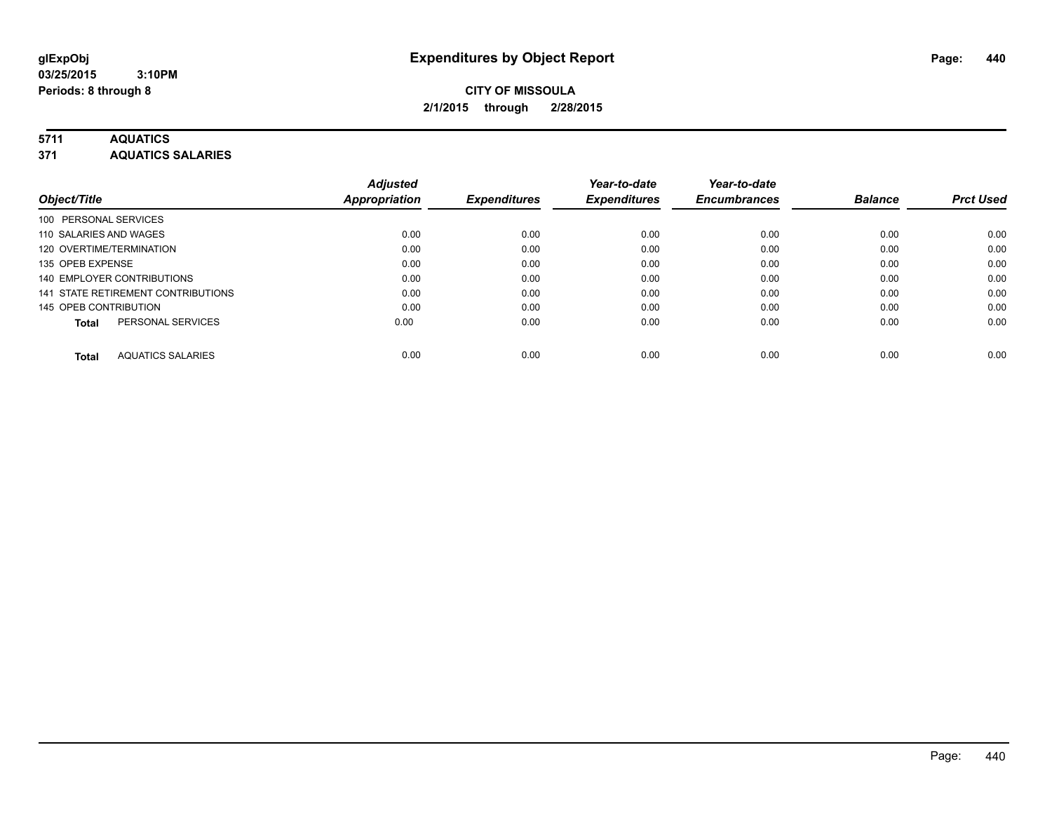### **5711 AQUATICS**

**371 AQUATICS SALARIES**

| Object/Title                             | <b>Adjusted</b><br><b>Appropriation</b> | <b>Expenditures</b> | Year-to-date<br><b>Expenditures</b> | Year-to-date<br><b>Encumbrances</b> | <b>Balance</b> | <b>Prct Used</b> |
|------------------------------------------|-----------------------------------------|---------------------|-------------------------------------|-------------------------------------|----------------|------------------|
| 100 PERSONAL SERVICES                    |                                         |                     |                                     |                                     |                |                  |
| 110 SALARIES AND WAGES                   | 0.00                                    | 0.00                | 0.00                                | 0.00                                | 0.00           | 0.00             |
| 120 OVERTIME/TERMINATION                 | 0.00                                    | 0.00                | 0.00                                | 0.00                                | 0.00           | 0.00             |
| 135 OPEB EXPENSE                         | 0.00                                    | 0.00                | 0.00                                | 0.00                                | 0.00           | 0.00             |
| 140 EMPLOYER CONTRIBUTIONS               | 0.00                                    | 0.00                | 0.00                                | 0.00                                | 0.00           | 0.00             |
| 141 STATE RETIREMENT CONTRIBUTIONS       | 0.00                                    | 0.00                | 0.00                                | 0.00                                | 0.00           | 0.00             |
| 145 OPEB CONTRIBUTION                    | 0.00                                    | 0.00                | 0.00                                | 0.00                                | 0.00           | 0.00             |
| PERSONAL SERVICES<br><b>Total</b>        | 0.00                                    | 0.00                | 0.00                                | 0.00                                | 0.00           | 0.00             |
| <b>AQUATICS SALARIES</b><br><b>Total</b> | 0.00                                    | 0.00                | 0.00                                | 0.00                                | 0.00           | 0.00             |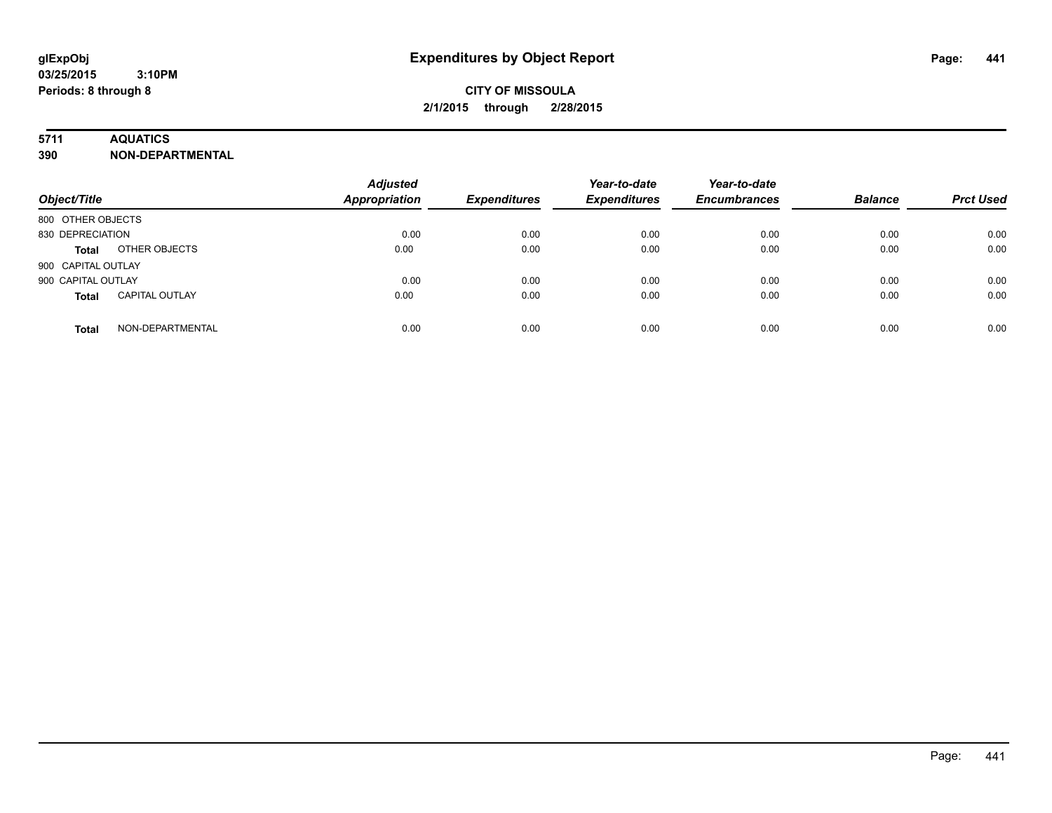### **5711 AQUATICS**

**390 NON-DEPARTMENTAL**

| Object/Title                          | <b>Adjusted</b><br><b>Appropriation</b> | <b>Expenditures</b> | Year-to-date<br><b>Expenditures</b> | Year-to-date<br><b>Encumbrances</b> | <b>Balance</b> | <b>Prct Used</b> |
|---------------------------------------|-----------------------------------------|---------------------|-------------------------------------|-------------------------------------|----------------|------------------|
| 800 OTHER OBJECTS                     |                                         |                     |                                     |                                     |                |                  |
| 830 DEPRECIATION                      | 0.00                                    | 0.00                | 0.00                                | 0.00                                | 0.00           | 0.00             |
| OTHER OBJECTS<br><b>Total</b>         | 0.00                                    | 0.00                | 0.00                                | 0.00                                | 0.00           | 0.00             |
| 900 CAPITAL OUTLAY                    |                                         |                     |                                     |                                     |                |                  |
| 900 CAPITAL OUTLAY                    | 0.00                                    | 0.00                | 0.00                                | 0.00                                | 0.00           | 0.00             |
| <b>CAPITAL OUTLAY</b><br><b>Total</b> | 0.00                                    | 0.00                | 0.00                                | 0.00                                | 0.00           | 0.00             |
| NON-DEPARTMENTAL<br><b>Total</b>      | 0.00                                    | 0.00                | 0.00                                | 0.00                                | 0.00           | 0.00             |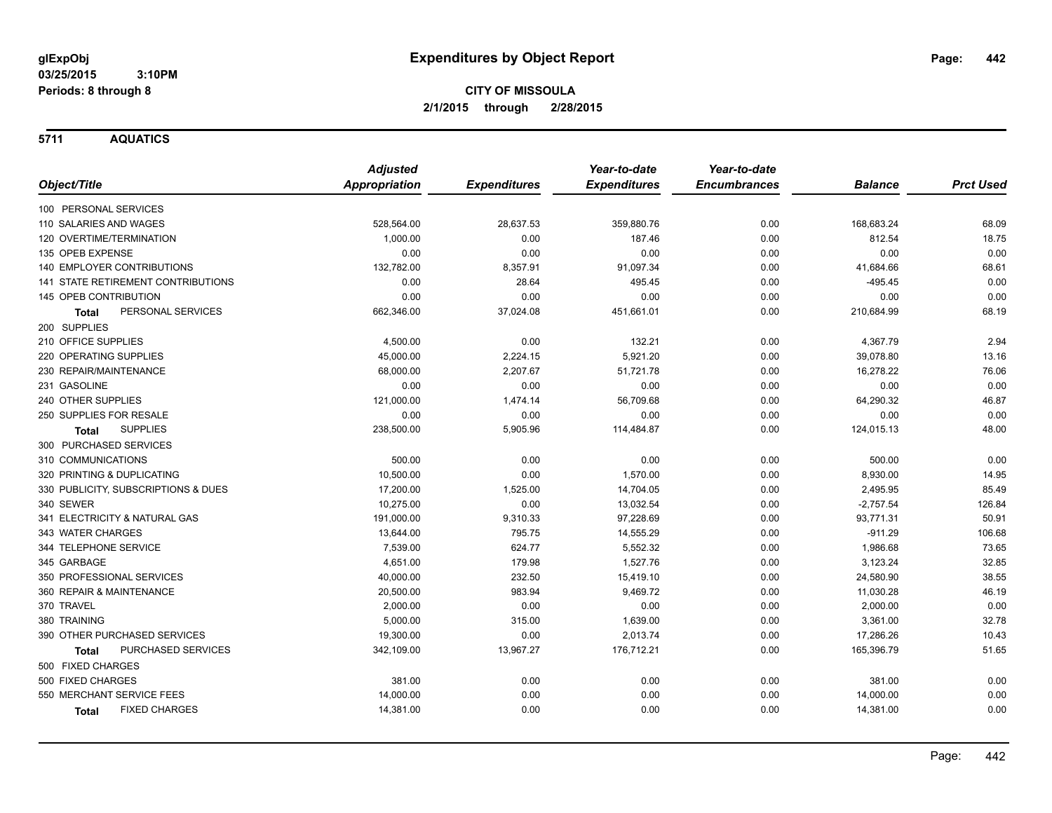**5711 AQUATICS**

|                                      | <b>Adjusted</b>      |                     | Year-to-date        | Year-to-date        |                |                  |
|--------------------------------------|----------------------|---------------------|---------------------|---------------------|----------------|------------------|
| Object/Title                         | <b>Appropriation</b> | <b>Expenditures</b> | <b>Expenditures</b> | <b>Encumbrances</b> | <b>Balance</b> | <b>Prct Used</b> |
| 100 PERSONAL SERVICES                |                      |                     |                     |                     |                |                  |
| 110 SALARIES AND WAGES               | 528,564.00           | 28,637.53           | 359,880.76          | 0.00                | 168,683.24     | 68.09            |
| 120 OVERTIME/TERMINATION             | 1,000.00             | 0.00                | 187.46              | 0.00                | 812.54         | 18.75            |
| 135 OPEB EXPENSE                     | 0.00                 | 0.00                | 0.00                | 0.00                | 0.00           | 0.00             |
| 140 EMPLOYER CONTRIBUTIONS           | 132,782.00           | 8,357.91            | 91,097.34           | 0.00                | 41,684.66      | 68.61            |
| 141 STATE RETIREMENT CONTRIBUTIONS   | 0.00                 | 28.64               | 495.45              | 0.00                | $-495.45$      | 0.00             |
| 145 OPEB CONTRIBUTION                | 0.00                 | 0.00                | 0.00                | 0.00                | 0.00           | 0.00             |
| PERSONAL SERVICES<br>Total           | 662,346.00           | 37,024.08           | 451,661.01          | 0.00                | 210,684.99     | 68.19            |
| 200 SUPPLIES                         |                      |                     |                     |                     |                |                  |
| 210 OFFICE SUPPLIES                  | 4,500.00             | 0.00                | 132.21              | 0.00                | 4,367.79       | 2.94             |
| 220 OPERATING SUPPLIES               | 45,000.00            | 2,224.15            | 5,921.20            | 0.00                | 39,078.80      | 13.16            |
| 230 REPAIR/MAINTENANCE               | 68,000.00            | 2,207.67            | 51,721.78           | 0.00                | 16,278.22      | 76.06            |
| 231 GASOLINE                         | 0.00                 | 0.00                | 0.00                | 0.00                | 0.00           | 0.00             |
| 240 OTHER SUPPLIES                   | 121,000.00           | 1,474.14            | 56,709.68           | 0.00                | 64,290.32      | 46.87            |
| 250 SUPPLIES FOR RESALE              | 0.00                 | 0.00                | 0.00                | 0.00                | 0.00           | 0.00             |
| <b>SUPPLIES</b><br>Total             | 238,500.00           | 5,905.96            | 114,484.87          | 0.00                | 124,015.13     | 48.00            |
| 300 PURCHASED SERVICES               |                      |                     |                     |                     |                |                  |
| 310 COMMUNICATIONS                   | 500.00               | 0.00                | 0.00                | 0.00                | 500.00         | 0.00             |
| 320 PRINTING & DUPLICATING           | 10,500.00            | 0.00                | 1,570.00            | 0.00                | 8,930.00       | 14.95            |
| 330 PUBLICITY, SUBSCRIPTIONS & DUES  | 17,200.00            | 1,525.00            | 14,704.05           | 0.00                | 2,495.95       | 85.49            |
| 340 SEWER                            | 10,275.00            | 0.00                | 13,032.54           | 0.00                | $-2,757.54$    | 126.84           |
| 341 ELECTRICITY & NATURAL GAS        | 191,000.00           | 9,310.33            | 97,228.69           | 0.00                | 93,771.31      | 50.91            |
| 343 WATER CHARGES                    | 13,644.00            | 795.75              | 14,555.29           | 0.00                | $-911.29$      | 106.68           |
| 344 TELEPHONE SERVICE                | 7,539.00             | 624.77              | 5,552.32            | 0.00                | 1,986.68       | 73.65            |
| 345 GARBAGE                          | 4,651.00             | 179.98              | 1.527.76            | 0.00                | 3,123.24       | 32.85            |
| 350 PROFESSIONAL SERVICES            | 40,000.00            | 232.50              | 15,419.10           | 0.00                | 24,580.90      | 38.55            |
| 360 REPAIR & MAINTENANCE             | 20,500.00            | 983.94              | 9,469.72            | 0.00                | 11,030.28      | 46.19            |
| 370 TRAVEL                           | 2,000.00             | 0.00                | 0.00                | 0.00                | 2,000.00       | 0.00             |
| 380 TRAINING                         | 5,000.00             | 315.00              | 1,639.00            | 0.00                | 3,361.00       | 32.78            |
| 390 OTHER PURCHASED SERVICES         | 19,300.00            | 0.00                | 2,013.74            | 0.00                | 17,286.26      | 10.43            |
| PURCHASED SERVICES<br>Total          | 342,109.00           | 13,967.27           | 176,712.21          | 0.00                | 165,396.79     | 51.65            |
| 500 FIXED CHARGES                    |                      |                     |                     |                     |                |                  |
| 500 FIXED CHARGES                    | 381.00               | 0.00                | 0.00                | 0.00                | 381.00         | 0.00             |
| 550 MERCHANT SERVICE FEES            | 14,000.00            | 0.00                | 0.00                | 0.00                | 14,000.00      | 0.00             |
| <b>FIXED CHARGES</b><br><b>Total</b> | 14,381.00            | 0.00                | 0.00                | 0.00                | 14,381.00      | 0.00             |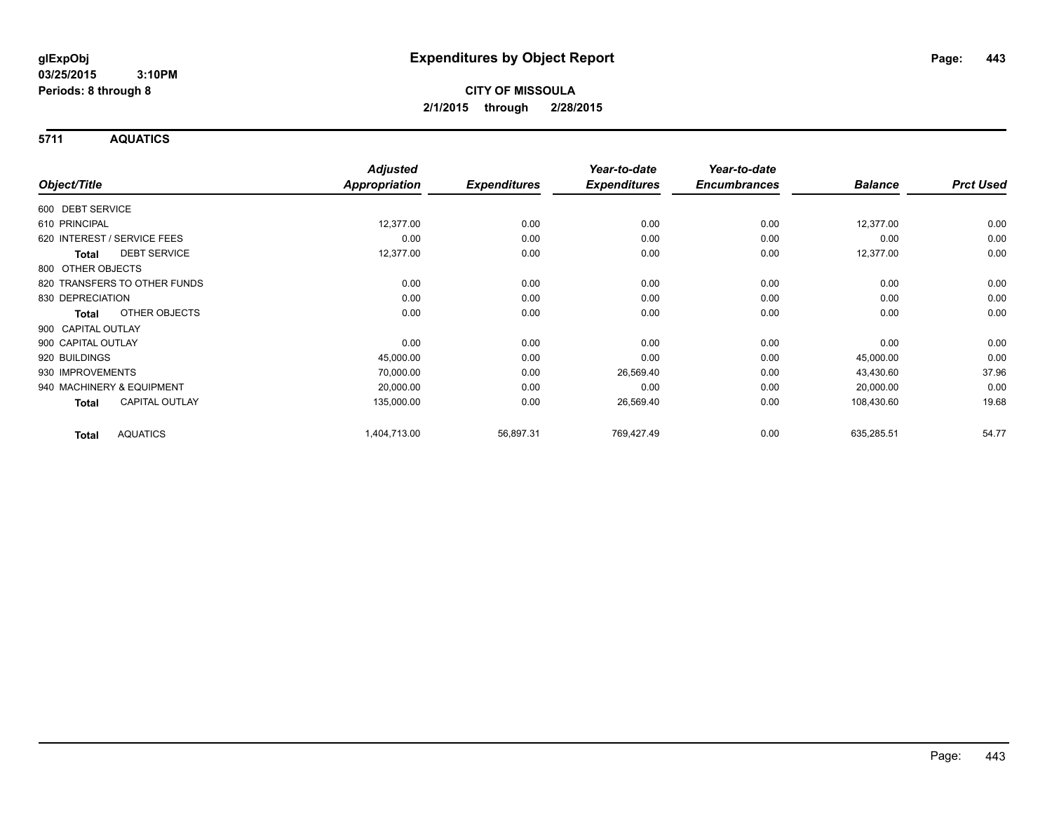**5711 AQUATICS**

|                                       | <b>Adjusted</b>      | <b>Expenditures</b> | Year-to-date<br><b>Expenditures</b> | Year-to-date<br><b>Encumbrances</b> | <b>Balance</b> | <b>Prct Used</b> |
|---------------------------------------|----------------------|---------------------|-------------------------------------|-------------------------------------|----------------|------------------|
| Object/Title                          | <b>Appropriation</b> |                     |                                     |                                     |                |                  |
| 600 DEBT SERVICE                      |                      |                     |                                     |                                     |                |                  |
| 610 PRINCIPAL                         | 12,377.00            | 0.00                | 0.00                                | 0.00                                | 12,377.00      | 0.00             |
| 620 INTEREST / SERVICE FEES           | 0.00                 | 0.00                | 0.00                                | 0.00                                | 0.00           | 0.00             |
| <b>DEBT SERVICE</b><br><b>Total</b>   | 12,377.00            | 0.00                | 0.00                                | 0.00                                | 12,377.00      | 0.00             |
| 800 OTHER OBJECTS                     |                      |                     |                                     |                                     |                |                  |
| 820 TRANSFERS TO OTHER FUNDS          | 0.00                 | 0.00                | 0.00                                | 0.00                                | 0.00           | 0.00             |
| 830 DEPRECIATION                      | 0.00                 | 0.00                | 0.00                                | 0.00                                | 0.00           | 0.00             |
| OTHER OBJECTS<br>Total                | 0.00                 | 0.00                | 0.00                                | 0.00                                | 0.00           | 0.00             |
| 900 CAPITAL OUTLAY                    |                      |                     |                                     |                                     |                |                  |
| 900 CAPITAL OUTLAY                    | 0.00                 | 0.00                | 0.00                                | 0.00                                | 0.00           | 0.00             |
| 920 BUILDINGS                         | 45,000.00            | 0.00                | 0.00                                | 0.00                                | 45,000.00      | 0.00             |
| 930 IMPROVEMENTS                      | 70,000.00            | 0.00                | 26,569.40                           | 0.00                                | 43,430.60      | 37.96            |
| 940 MACHINERY & EQUIPMENT             | 20,000.00            | 0.00                | 0.00                                | 0.00                                | 20,000.00      | 0.00             |
| <b>CAPITAL OUTLAY</b><br><b>Total</b> | 135,000.00           | 0.00                | 26,569.40                           | 0.00                                | 108,430.60     | 19.68            |
| <b>AQUATICS</b><br><b>Total</b>       | 1,404,713.00         | 56,897.31           | 769,427.49                          | 0.00                                | 635,285.51     | 54.77            |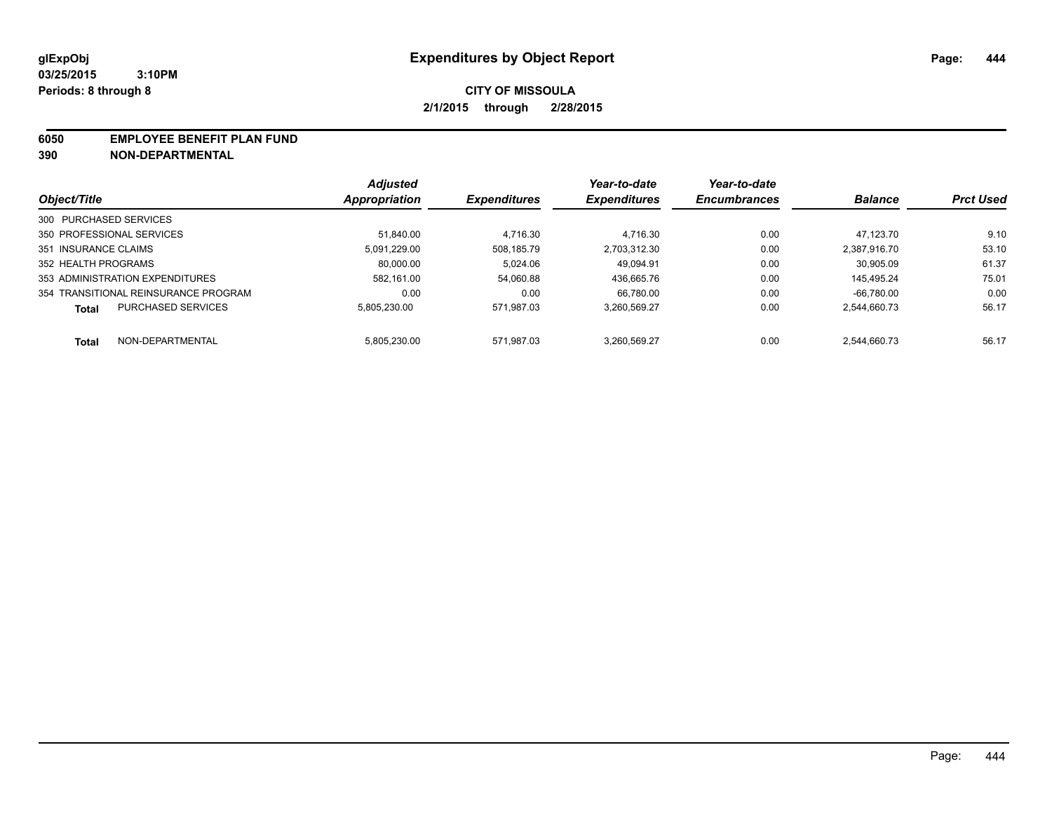#### **6050 EMPLOYEE BENEFIT PLAN FUND**

**390 NON-DEPARTMENTAL**

|                                           | <b>Adjusted</b> | <b>Expenditures</b> | Year-to-date<br><b>Expenditures</b> | Year-to-date<br><b>Encumbrances</b> | <b>Balance</b> | <b>Prct Used</b> |
|-------------------------------------------|-----------------|---------------------|-------------------------------------|-------------------------------------|----------------|------------------|
| Object/Title                              | Appropriation   |                     |                                     |                                     |                |                  |
| 300 PURCHASED SERVICES                    |                 |                     |                                     |                                     |                |                  |
| 350 PROFESSIONAL SERVICES                 | 51.840.00       | 4.716.30            | 4.716.30                            | 0.00                                | 47.123.70      | 9.10             |
| 351 INSURANCE CLAIMS                      | 5,091,229.00    | 508.185.79          | 2.703.312.30                        | 0.00                                | 2.387.916.70   | 53.10            |
| 352 HEALTH PROGRAMS                       | 80.000.00       | 5.024.06            | 49.094.91                           | 0.00                                | 30.905.09      | 61.37            |
| 353 ADMINISTRATION EXPENDITURES           | 582.161.00      | 54.060.88           | 436.665.76                          | 0.00                                | 145.495.24     | 75.01            |
| 354 TRANSITIONAL REINSURANCE PROGRAM      | 0.00            | 0.00                | 66.780.00                           | 0.00                                | $-66.780.00$   | 0.00             |
| <b>PURCHASED SERVICES</b><br><b>Total</b> | 5.805.230.00    | 571.987.03          | 3.260.569.27                        | 0.00                                | 2.544.660.73   | 56.17            |
| NON-DEPARTMENTAL<br><b>Total</b>          | 5.805.230.00    | 571.987.03          | 3.260.569.27                        | 0.00                                | 2.544.660.73   | 56.17            |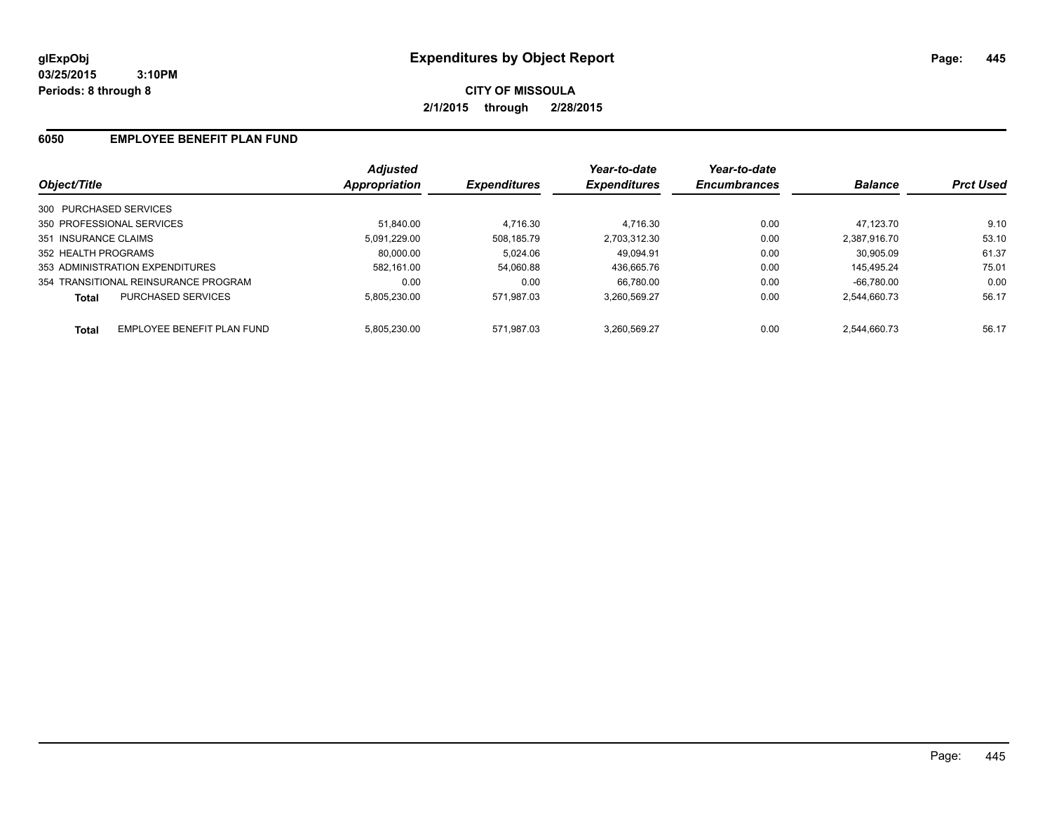**CITY OF MISSOULA 2/1/2015 through 2/28/2015**

### **6050 EMPLOYEE BENEFIT PLAN FUND**

| Object/Title                    |                                      | <b>Adjusted</b><br><b>Appropriation</b> | <b>Expenditures</b> | Year-to-date<br><b>Expenditures</b> | Year-to-date<br><b>Encumbrances</b> | <b>Balance</b> | <b>Prct Used</b> |
|---------------------------------|--------------------------------------|-----------------------------------------|---------------------|-------------------------------------|-------------------------------------|----------------|------------------|
|                                 |                                      |                                         |                     |                                     |                                     |                |                  |
| 300 PURCHASED SERVICES          |                                      |                                         |                     |                                     |                                     |                |                  |
| 350 PROFESSIONAL SERVICES       |                                      | 51.840.00                               | 4.716.30            | 4.716.30                            | 0.00                                | 47.123.70      | 9.10             |
| 351 INSURANCE CLAIMS            |                                      | 5.091.229.00                            | 508.185.79          | 2.703.312.30                        | 0.00                                | 2.387.916.70   | 53.10            |
| 352 HEALTH PROGRAMS             |                                      | 80.000.00                               | 5.024.06            | 49.094.91                           | 0.00                                | 30.905.09      | 61.37            |
| 353 ADMINISTRATION EXPENDITURES |                                      | 582.161.00                              | 54.060.88           | 436.665.76                          | 0.00                                | 145.495.24     | 75.01            |
|                                 | 354 TRANSITIONAL REINSURANCE PROGRAM | 0.00                                    | 0.00                | 66.780.00                           | 0.00                                | $-66.780.00$   | 0.00             |
| <b>Total</b>                    | <b>PURCHASED SERVICES</b>            | 5.805.230.00                            | 571.987.03          | 3.260.569.27                        | 0.00                                | 2.544.660.73   | 56.17            |
| <b>Total</b>                    | EMPLOYEE BENEFIT PLAN FUND           | 5.805.230.00                            | 571.987.03          | 3.260.569.27                        | 0.00                                | 2.544.660.73   | 56.17            |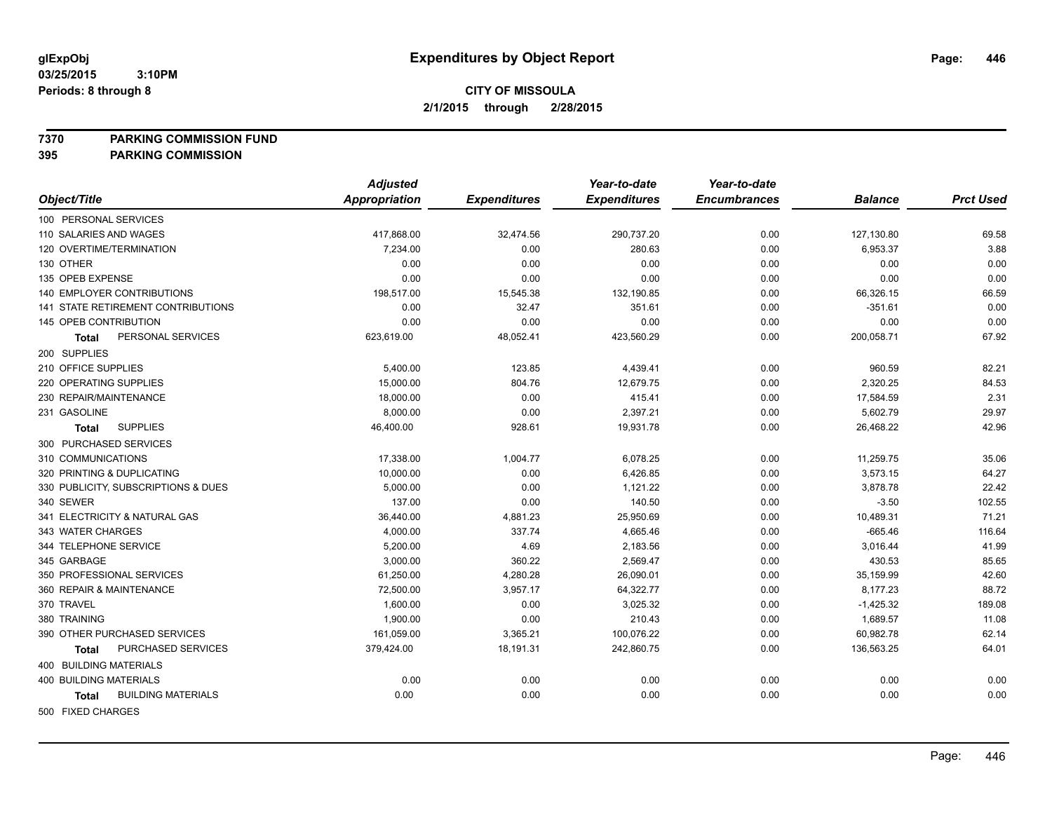### **7370 PARKING COMMISSION FUND**

|                                           | <b>Adjusted</b>      |                     | Year-to-date        | Year-to-date        |                |                  |
|-------------------------------------------|----------------------|---------------------|---------------------|---------------------|----------------|------------------|
| Object/Title                              | <b>Appropriation</b> | <b>Expenditures</b> | <b>Expenditures</b> | <b>Encumbrances</b> | <b>Balance</b> | <b>Prct Used</b> |
| 100 PERSONAL SERVICES                     |                      |                     |                     |                     |                |                  |
| 110 SALARIES AND WAGES                    | 417,868.00           | 32,474.56           | 290,737.20          | 0.00                | 127,130.80     | 69.58            |
| 120 OVERTIME/TERMINATION                  | 7,234.00             | 0.00                | 280.63              | 0.00                | 6,953.37       | 3.88             |
| 130 OTHER                                 | 0.00                 | 0.00                | 0.00                | 0.00                | 0.00           | 0.00             |
| 135 OPEB EXPENSE                          | 0.00                 | 0.00                | 0.00                | 0.00                | 0.00           | 0.00             |
| 140 EMPLOYER CONTRIBUTIONS                | 198,517.00           | 15,545.38           | 132,190.85          | 0.00                | 66,326.15      | 66.59            |
| 141 STATE RETIREMENT CONTRIBUTIONS        | 0.00                 | 32.47               | 351.61              | 0.00                | $-351.61$      | 0.00             |
| 145 OPEB CONTRIBUTION                     | 0.00                 | 0.00                | 0.00                | 0.00                | 0.00           | 0.00             |
| PERSONAL SERVICES<br>Total                | 623,619.00           | 48,052.41           | 423,560.29          | 0.00                | 200,058.71     | 67.92            |
| 200 SUPPLIES                              |                      |                     |                     |                     |                |                  |
| 210 OFFICE SUPPLIES                       | 5,400.00             | 123.85              | 4,439.41            | 0.00                | 960.59         | 82.21            |
| 220 OPERATING SUPPLIES                    | 15,000.00            | 804.76              | 12,679.75           | 0.00                | 2,320.25       | 84.53            |
| 230 REPAIR/MAINTENANCE                    | 18,000.00            | 0.00                | 415.41              | 0.00                | 17,584.59      | 2.31             |
| 231 GASOLINE                              | 8,000.00             | 0.00                | 2,397.21            | 0.00                | 5,602.79       | 29.97            |
| <b>SUPPLIES</b><br>Total                  | 46,400.00            | 928.61              | 19,931.78           | 0.00                | 26,468.22      | 42.96            |
| 300 PURCHASED SERVICES                    |                      |                     |                     |                     |                |                  |
| 310 COMMUNICATIONS                        | 17,338.00            | 1,004.77            | 6,078.25            | 0.00                | 11,259.75      | 35.06            |
| 320 PRINTING & DUPLICATING                | 10,000.00            | 0.00                | 6,426.85            | 0.00                | 3,573.15       | 64.27            |
| 330 PUBLICITY, SUBSCRIPTIONS & DUES       | 5,000.00             | 0.00                | 1,121.22            | 0.00                | 3,878.78       | 22.42            |
| 340 SEWER                                 | 137.00               | 0.00                | 140.50              | 0.00                | $-3.50$        | 102.55           |
| 341 ELECTRICITY & NATURAL GAS             | 36,440.00            | 4,881.23            | 25,950.69           | 0.00                | 10,489.31      | 71.21            |
| 343 WATER CHARGES                         | 4,000.00             | 337.74              | 4,665.46            | 0.00                | $-665.46$      | 116.64           |
| 344 TELEPHONE SERVICE                     | 5,200.00             | 4.69                | 2,183.56            | 0.00                | 3,016.44       | 41.99            |
| 345 GARBAGE                               | 3,000.00             | 360.22              | 2,569.47            | 0.00                | 430.53         | 85.65            |
| 350 PROFESSIONAL SERVICES                 | 61,250.00            | 4,280.28            | 26,090.01           | 0.00                | 35,159.99      | 42.60            |
| 360 REPAIR & MAINTENANCE                  | 72,500.00            | 3,957.17            | 64,322.77           | 0.00                | 8,177.23       | 88.72            |
| 370 TRAVEL                                | 1,600.00             | 0.00                | 3,025.32            | 0.00                | $-1,425.32$    | 189.08           |
| 380 TRAINING                              | 1,900.00             | 0.00                | 210.43              | 0.00                | 1,689.57       | 11.08            |
| 390 OTHER PURCHASED SERVICES              | 161,059.00           | 3,365.21            | 100,076.22          | 0.00                | 60,982.78      | 62.14            |
| PURCHASED SERVICES<br><b>Total</b>        | 379,424.00           | 18,191.31           | 242,860.75          | 0.00                | 136,563.25     | 64.01            |
| 400 BUILDING MATERIALS                    |                      |                     |                     |                     |                |                  |
| <b>400 BUILDING MATERIALS</b>             | 0.00                 | 0.00                | 0.00                | 0.00                | 0.00           | 0.00             |
| <b>BUILDING MATERIALS</b><br><b>Total</b> | 0.00                 | 0.00                | 0.00                | 0.00                | 0.00           | 0.00             |
| 500 FIXED CHARGES                         |                      |                     |                     |                     |                |                  |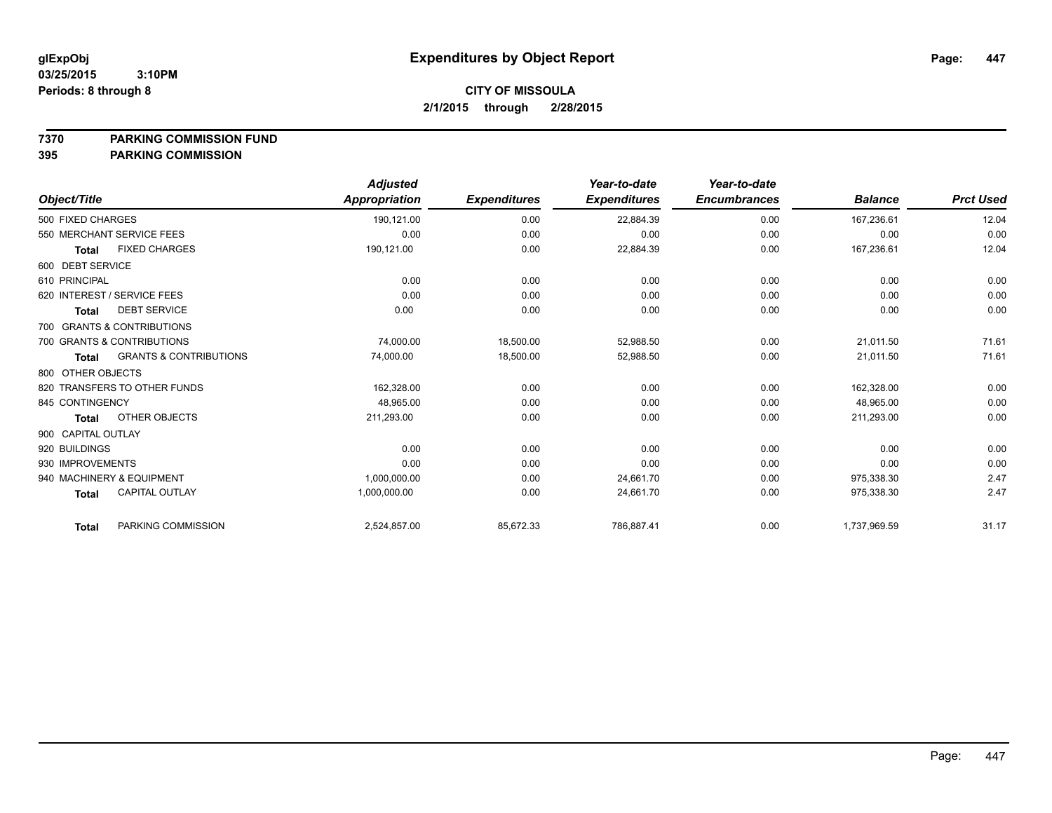#### **7370 PARKING COMMISSION FUND**

|                                                   | <b>Adjusted</b> |                     | Year-to-date        | Year-to-date        |                |                  |
|---------------------------------------------------|-----------------|---------------------|---------------------|---------------------|----------------|------------------|
| Object/Title                                      | Appropriation   | <b>Expenditures</b> | <b>Expenditures</b> | <b>Encumbrances</b> | <b>Balance</b> | <b>Prct Used</b> |
| 500 FIXED CHARGES                                 | 190,121.00      | 0.00                | 22,884.39           | 0.00                | 167,236.61     | 12.04            |
| 550 MERCHANT SERVICE FEES                         | 0.00            | 0.00                | 0.00                | 0.00                | 0.00           | 0.00             |
| <b>FIXED CHARGES</b><br><b>Total</b>              | 190,121.00      | 0.00                | 22,884.39           | 0.00                | 167,236.61     | 12.04            |
| 600 DEBT SERVICE                                  |                 |                     |                     |                     |                |                  |
| 610 PRINCIPAL                                     | 0.00            | 0.00                | 0.00                | 0.00                | 0.00           | 0.00             |
| 620 INTEREST / SERVICE FEES                       | 0.00            | 0.00                | 0.00                | 0.00                | 0.00           | 0.00             |
| <b>DEBT SERVICE</b><br>Total                      | 0.00            | 0.00                | 0.00                | 0.00                | 0.00           | 0.00             |
| 700 GRANTS & CONTRIBUTIONS                        |                 |                     |                     |                     |                |                  |
| 700 GRANTS & CONTRIBUTIONS                        | 74,000.00       | 18,500.00           | 52,988.50           | 0.00                | 21,011.50      | 71.61            |
| <b>GRANTS &amp; CONTRIBUTIONS</b><br><b>Total</b> | 74,000.00       | 18,500.00           | 52,988.50           | 0.00                | 21,011.50      | 71.61            |
| 800 OTHER OBJECTS                                 |                 |                     |                     |                     |                |                  |
| 820 TRANSFERS TO OTHER FUNDS                      | 162,328.00      | 0.00                | 0.00                | 0.00                | 162,328.00     | 0.00             |
| 845 CONTINGENCY                                   | 48,965.00       | 0.00                | 0.00                | 0.00                | 48,965.00      | 0.00             |
| OTHER OBJECTS<br><b>Total</b>                     | 211,293.00      | 0.00                | 0.00                | 0.00                | 211,293.00     | 0.00             |
| 900 CAPITAL OUTLAY                                |                 |                     |                     |                     |                |                  |
| 920 BUILDINGS                                     | 0.00            | 0.00                | 0.00                | 0.00                | 0.00           | 0.00             |
| 930 IMPROVEMENTS                                  | 0.00            | 0.00                | 0.00                | 0.00                | 0.00           | 0.00             |
| 940 MACHINERY & EQUIPMENT                         | 1,000,000.00    | 0.00                | 24,661.70           | 0.00                | 975,338.30     | 2.47             |
| <b>CAPITAL OUTLAY</b><br><b>Total</b>             | 1,000,000.00    | 0.00                | 24,661.70           | 0.00                | 975,338.30     | 2.47             |
| PARKING COMMISSION<br><b>Total</b>                | 2,524,857.00    | 85,672.33           | 786,887.41          | 0.00                | 1,737,969.59   | 31.17            |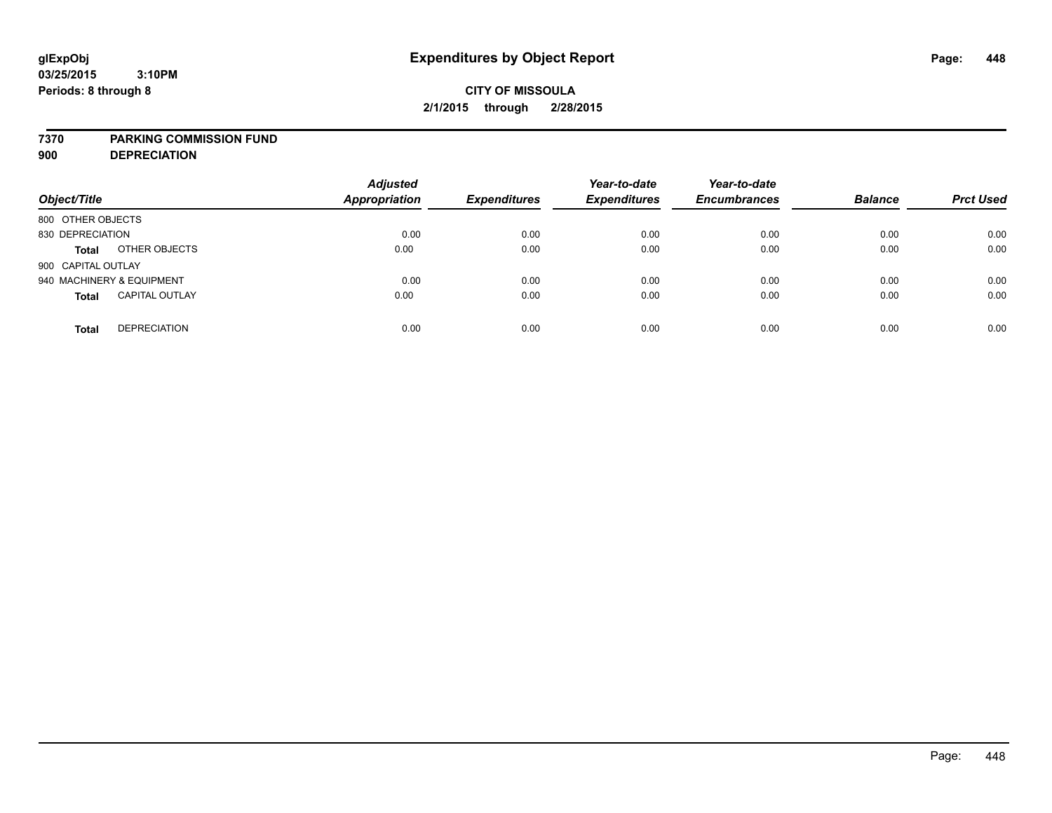### **7370 PARKING COMMISSION FUND**

**900 DEPRECIATION**

| Object/Title                          | <b>Adjusted</b><br><b>Appropriation</b> | <b>Expenditures</b> | Year-to-date<br><b>Expenditures</b> | Year-to-date<br><b>Encumbrances</b> | <b>Balance</b> | <b>Prct Used</b> |
|---------------------------------------|-----------------------------------------|---------------------|-------------------------------------|-------------------------------------|----------------|------------------|
| 800 OTHER OBJECTS                     |                                         |                     |                                     |                                     |                |                  |
| 830 DEPRECIATION                      | 0.00                                    | 0.00                | 0.00                                | 0.00                                | 0.00           | 0.00             |
| OTHER OBJECTS<br><b>Total</b>         | 0.00                                    | 0.00                | 0.00                                | 0.00                                | 0.00           | 0.00             |
| 900 CAPITAL OUTLAY                    |                                         |                     |                                     |                                     |                |                  |
| 940 MACHINERY & EQUIPMENT             | 0.00                                    | 0.00                | 0.00                                | 0.00                                | 0.00           | 0.00             |
| <b>CAPITAL OUTLAY</b><br><b>Total</b> | 0.00                                    | 0.00                | 0.00                                | 0.00                                | 0.00           | 0.00             |
| <b>DEPRECIATION</b><br><b>Total</b>   | 0.00                                    | 0.00                | 0.00                                | 0.00                                | 0.00           | 0.00             |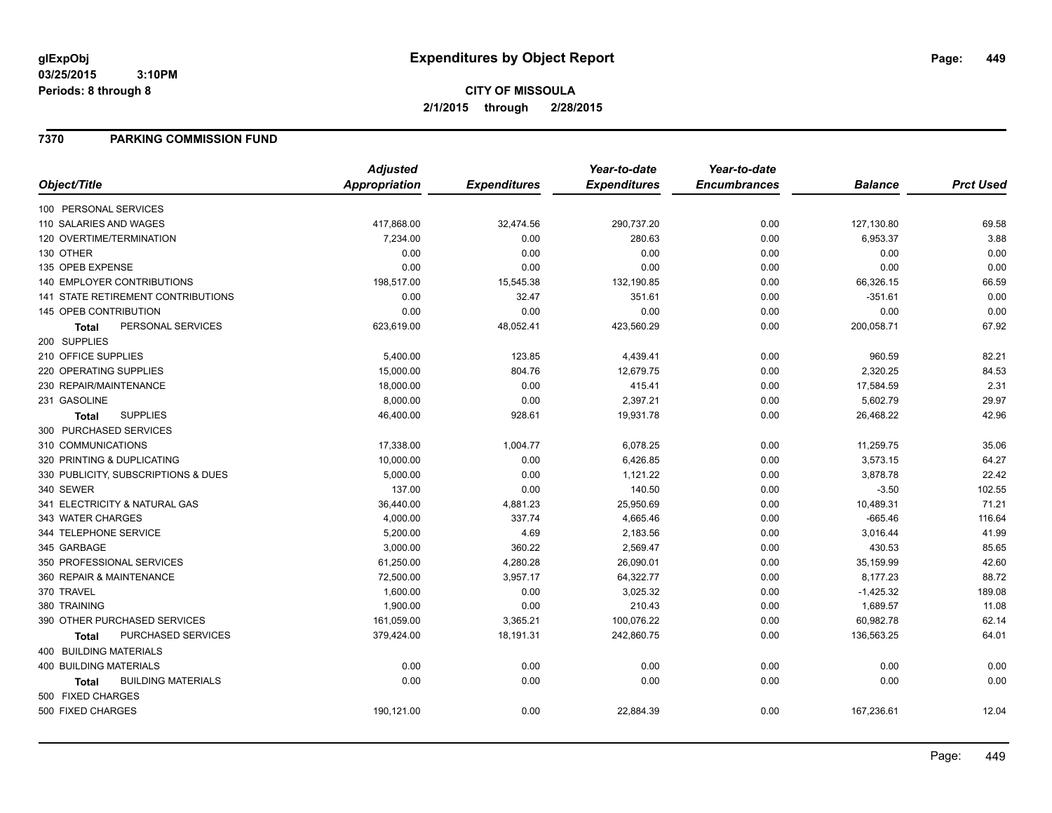# **CITY OF MISSOULA 2/1/2015 through 2/28/2015**

### **7370 PARKING COMMISSION FUND**

|                                           | <b>Adjusted</b>      |                     | Year-to-date        | Year-to-date        |                |                  |
|-------------------------------------------|----------------------|---------------------|---------------------|---------------------|----------------|------------------|
| Object/Title                              | <b>Appropriation</b> | <b>Expenditures</b> | <b>Expenditures</b> | <b>Encumbrances</b> | <b>Balance</b> | <b>Prct Used</b> |
| 100 PERSONAL SERVICES                     |                      |                     |                     |                     |                |                  |
| 110 SALARIES AND WAGES                    | 417,868.00           | 32,474.56           | 290,737.20          | 0.00                | 127,130.80     | 69.58            |
| 120 OVERTIME/TERMINATION                  | 7,234.00             | 0.00                | 280.63              | 0.00                | 6,953.37       | 3.88             |
| 130 OTHER                                 | 0.00                 | 0.00                | 0.00                | 0.00                | 0.00           | 0.00             |
| 135 OPEB EXPENSE                          | 0.00                 | 0.00                | 0.00                | 0.00                | 0.00           | 0.00             |
| 140 EMPLOYER CONTRIBUTIONS                | 198,517.00           | 15,545.38           | 132,190.85          | 0.00                | 66,326.15      | 66.59            |
| 141 STATE RETIREMENT CONTRIBUTIONS        | 0.00                 | 32.47               | 351.61              | 0.00                | $-351.61$      | 0.00             |
| 145 OPEB CONTRIBUTION                     | 0.00                 | 0.00                | 0.00                | 0.00                | 0.00           | 0.00             |
| PERSONAL SERVICES<br>Total                | 623,619.00           | 48,052.41           | 423,560.29          | 0.00                | 200,058.71     | 67.92            |
| 200 SUPPLIES                              |                      |                     |                     |                     |                |                  |
| 210 OFFICE SUPPLIES                       | 5,400.00             | 123.85              | 4,439.41            | 0.00                | 960.59         | 82.21            |
| 220 OPERATING SUPPLIES                    | 15,000.00            | 804.76              | 12,679.75           | 0.00                | 2,320.25       | 84.53            |
| 230 REPAIR/MAINTENANCE                    | 18,000.00            | 0.00                | 415.41              | 0.00                | 17,584.59      | 2.31             |
| 231 GASOLINE                              | 8,000.00             | 0.00                | 2,397.21            | 0.00                | 5,602.79       | 29.97            |
| <b>SUPPLIES</b><br><b>Total</b>           | 46,400.00            | 928.61              | 19,931.78           | 0.00                | 26,468.22      | 42.96            |
| 300 PURCHASED SERVICES                    |                      |                     |                     |                     |                |                  |
| 310 COMMUNICATIONS                        | 17,338.00            | 1,004.77            | 6,078.25            | 0.00                | 11,259.75      | 35.06            |
| 320 PRINTING & DUPLICATING                | 10,000.00            | 0.00                | 6,426.85            | 0.00                | 3,573.15       | 64.27            |
| 330 PUBLICITY, SUBSCRIPTIONS & DUES       | 5,000.00             | 0.00                | 1,121.22            | 0.00                | 3,878.78       | 22.42            |
| 340 SEWER                                 | 137.00               | 0.00                | 140.50              | 0.00                | $-3.50$        | 102.55           |
| 341 ELECTRICITY & NATURAL GAS             | 36,440.00            | 4,881.23            | 25,950.69           | 0.00                | 10,489.31      | 71.21            |
| 343 WATER CHARGES                         | 4,000.00             | 337.74              | 4,665.46            | 0.00                | $-665.46$      | 116.64           |
| 344 TELEPHONE SERVICE                     | 5,200.00             | 4.69                | 2,183.56            | 0.00                | 3,016.44       | 41.99            |
| 345 GARBAGE                               | 3,000.00             | 360.22              | 2,569.47            | 0.00                | 430.53         | 85.65            |
| 350 PROFESSIONAL SERVICES                 | 61,250.00            | 4,280.28            | 26,090.01           | 0.00                | 35,159.99      | 42.60            |
| 360 REPAIR & MAINTENANCE                  | 72,500.00            | 3,957.17            | 64,322.77           | 0.00                | 8,177.23       | 88.72            |
| 370 TRAVEL                                | 1,600.00             | 0.00                | 3,025.32            | 0.00                | $-1,425.32$    | 189.08           |
| 380 TRAINING                              | 1,900.00             | 0.00                | 210.43              | 0.00                | 1,689.57       | 11.08            |
| 390 OTHER PURCHASED SERVICES              | 161,059.00           | 3,365.21            | 100,076.22          | 0.00                | 60,982.78      | 62.14            |
| PURCHASED SERVICES<br><b>Total</b>        | 379,424.00           | 18,191.31           | 242,860.75          | 0.00                | 136,563.25     | 64.01            |
| 400 BUILDING MATERIALS                    |                      |                     |                     |                     |                |                  |
| <b>400 BUILDING MATERIALS</b>             | 0.00                 | 0.00                | 0.00                | 0.00                | 0.00           | 0.00             |
| <b>BUILDING MATERIALS</b><br><b>Total</b> | 0.00                 | 0.00                | 0.00                | 0.00                | 0.00           | 0.00             |
| 500 FIXED CHARGES                         |                      |                     |                     |                     |                |                  |
| 500 FIXED CHARGES                         | 190,121.00           | 0.00                | 22,884.39           | 0.00                | 167,236.61     | 12.04            |
|                                           |                      |                     |                     |                     |                |                  |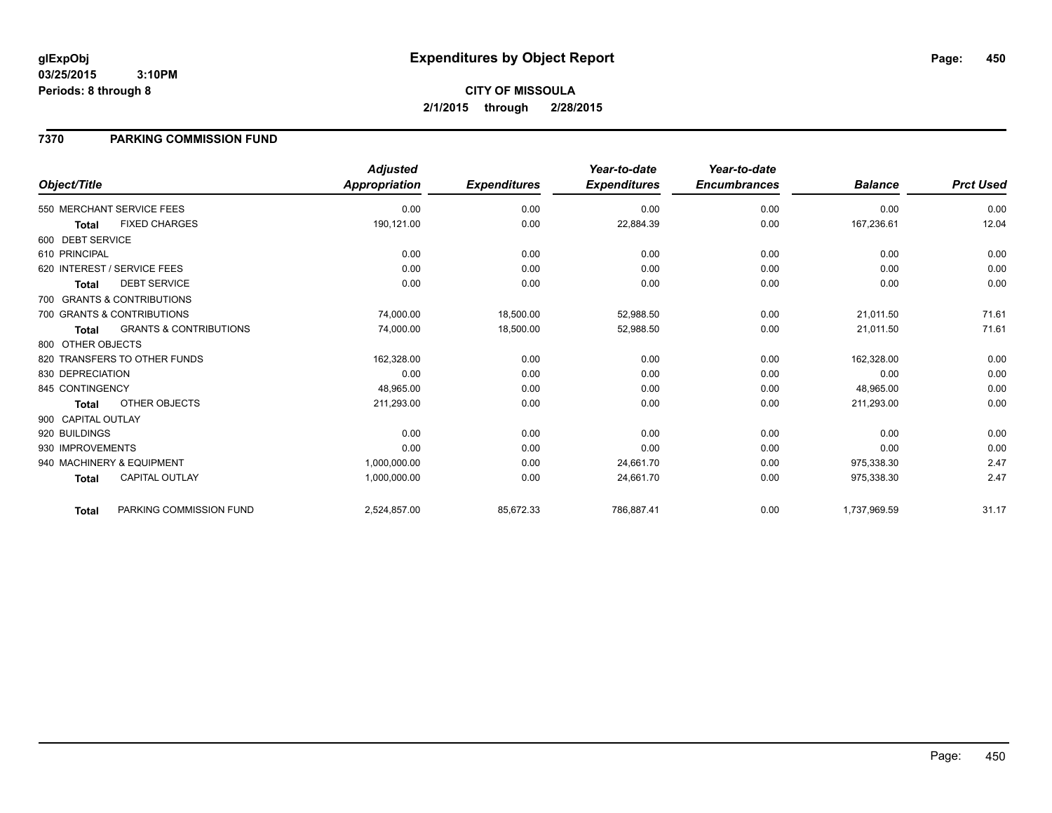### **7370 PARKING COMMISSION FUND**

|                    |                                   | <b>Adjusted</b>      |                     | Year-to-date        | Year-to-date        |                |                  |
|--------------------|-----------------------------------|----------------------|---------------------|---------------------|---------------------|----------------|------------------|
| Object/Title       |                                   | <b>Appropriation</b> | <b>Expenditures</b> | <b>Expenditures</b> | <b>Encumbrances</b> | <b>Balance</b> | <b>Prct Used</b> |
|                    | 550 MERCHANT SERVICE FEES         | 0.00                 | 0.00                | 0.00                | 0.00                | 0.00           | 0.00             |
| <b>Total</b>       | <b>FIXED CHARGES</b>              | 190,121.00           | 0.00                | 22,884.39           | 0.00                | 167,236.61     | 12.04            |
| 600 DEBT SERVICE   |                                   |                      |                     |                     |                     |                |                  |
| 610 PRINCIPAL      |                                   | 0.00                 | 0.00                | 0.00                | 0.00                | 0.00           | 0.00             |
|                    | 620 INTEREST / SERVICE FEES       | 0.00                 | 0.00                | 0.00                | 0.00                | 0.00           | 0.00             |
| <b>Total</b>       | <b>DEBT SERVICE</b>               | 0.00                 | 0.00                | 0.00                | 0.00                | 0.00           | 0.00             |
|                    | 700 GRANTS & CONTRIBUTIONS        |                      |                     |                     |                     |                |                  |
|                    | 700 GRANTS & CONTRIBUTIONS        | 74,000.00            | 18,500.00           | 52,988.50           | 0.00                | 21,011.50      | 71.61            |
| <b>Total</b>       | <b>GRANTS &amp; CONTRIBUTIONS</b> | 74,000.00            | 18,500.00           | 52,988.50           | 0.00                | 21,011.50      | 71.61            |
| 800 OTHER OBJECTS  |                                   |                      |                     |                     |                     |                |                  |
|                    | 820 TRANSFERS TO OTHER FUNDS      | 162,328.00           | 0.00                | 0.00                | 0.00                | 162,328.00     | 0.00             |
| 830 DEPRECIATION   |                                   | 0.00                 | 0.00                | 0.00                | 0.00                | 0.00           | 0.00             |
| 845 CONTINGENCY    |                                   | 48,965.00            | 0.00                | 0.00                | 0.00                | 48,965.00      | 0.00             |
| <b>Total</b>       | OTHER OBJECTS                     | 211,293.00           | 0.00                | 0.00                | 0.00                | 211,293.00     | 0.00             |
| 900 CAPITAL OUTLAY |                                   |                      |                     |                     |                     |                |                  |
| 920 BUILDINGS      |                                   | 0.00                 | 0.00                | 0.00                | 0.00                | 0.00           | 0.00             |
| 930 IMPROVEMENTS   |                                   | 0.00                 | 0.00                | 0.00                | 0.00                | 0.00           | 0.00             |
|                    | 940 MACHINERY & EQUIPMENT         | 1,000,000.00         | 0.00                | 24,661.70           | 0.00                | 975,338.30     | 2.47             |
| <b>Total</b>       | <b>CAPITAL OUTLAY</b>             | 1,000,000.00         | 0.00                | 24,661.70           | 0.00                | 975,338.30     | 2.47             |
| <b>Total</b>       | PARKING COMMISSION FUND           | 2,524,857.00         | 85,672.33           | 786,887.41          | 0.00                | 1,737,969.59   | 31.17            |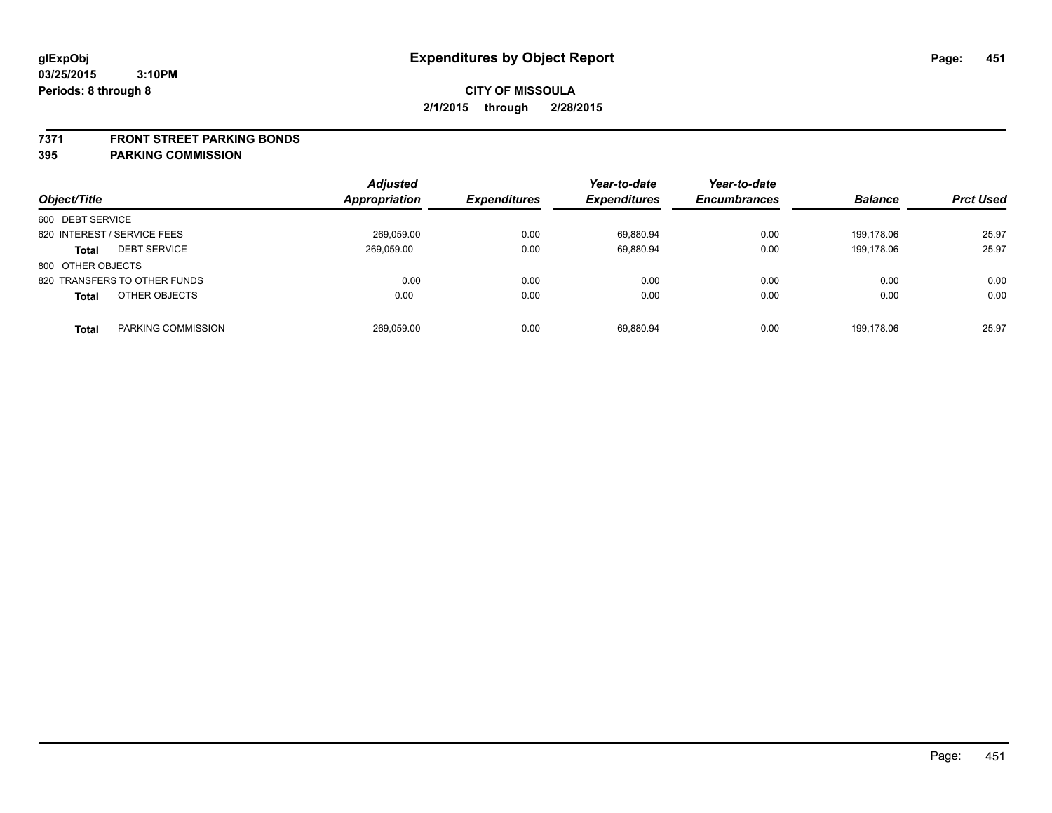#### **7371 FRONT STREET PARKING BONDS**

| Object/Title                        | <b>Adjusted</b><br>Appropriation | <b>Expenditures</b> | Year-to-date<br><b>Expenditures</b> | Year-to-date<br><b>Encumbrances</b> | <b>Balance</b> | <b>Prct Used</b> |
|-------------------------------------|----------------------------------|---------------------|-------------------------------------|-------------------------------------|----------------|------------------|
| 600 DEBT SERVICE                    |                                  |                     |                                     |                                     |                |                  |
| 620 INTEREST / SERVICE FEES         | 269,059.00                       | 0.00                | 69,880.94                           | 0.00                                | 199.178.06     | 25.97            |
| <b>DEBT SERVICE</b><br><b>Total</b> | 269.059.00                       | 0.00                | 69.880.94                           | 0.00                                | 199.178.06     | 25.97            |
| 800 OTHER OBJECTS                   |                                  |                     |                                     |                                     |                |                  |
| 820 TRANSFERS TO OTHER FUNDS        | 0.00                             | 0.00                | 0.00                                | 0.00                                | 0.00           | 0.00             |
| OTHER OBJECTS<br><b>Total</b>       | 0.00                             | 0.00                | 0.00                                | 0.00                                | 0.00           | 0.00             |
| PARKING COMMISSION<br>Total         | 269.059.00                       | 0.00                | 69.880.94                           | 0.00                                | 199.178.06     | 25.97            |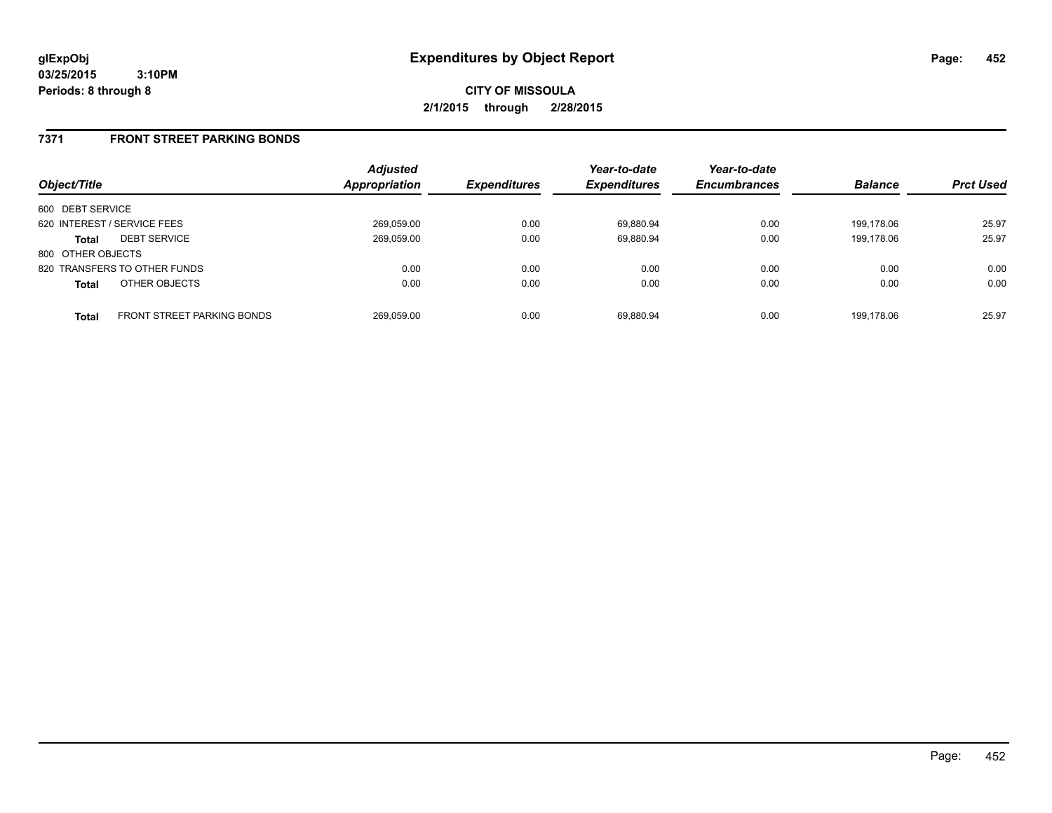**CITY OF MISSOULA 2/1/2015 through 2/28/2015**

### **7371 FRONT STREET PARKING BONDS**

| Object/Title                |                                   | <b>Adjusted</b><br><b>Appropriation</b> | <b>Expenditures</b> | Year-to-date<br><b>Expenditures</b> | Year-to-date<br><b>Encumbrances</b> | <b>Balance</b> | <b>Prct Used</b> |
|-----------------------------|-----------------------------------|-----------------------------------------|---------------------|-------------------------------------|-------------------------------------|----------------|------------------|
| 600 DEBT SERVICE            |                                   |                                         |                     |                                     |                                     |                |                  |
| 620 INTEREST / SERVICE FEES |                                   | 269,059.00                              | 0.00                | 69.880.94                           | 0.00                                | 199.178.06     | 25.97            |
| <b>Total</b>                | <b>DEBT SERVICE</b>               | 269,059.00                              | 0.00                | 69.880.94                           | 0.00                                | 199.178.06     | 25.97            |
| 800 OTHER OBJECTS           |                                   |                                         |                     |                                     |                                     |                |                  |
|                             | 820 TRANSFERS TO OTHER FUNDS      | 0.00                                    | 0.00                | 0.00                                | 0.00                                | 0.00           | 0.00             |
| <b>Total</b>                | OTHER OBJECTS                     | 0.00                                    | 0.00                | 0.00                                | 0.00                                | 0.00           | 0.00             |
| <b>Total</b>                | <b>FRONT STREET PARKING BONDS</b> | 269.059.00                              | 0.00                | 69.880.94                           | 0.00                                | 199.178.06     | 25.97            |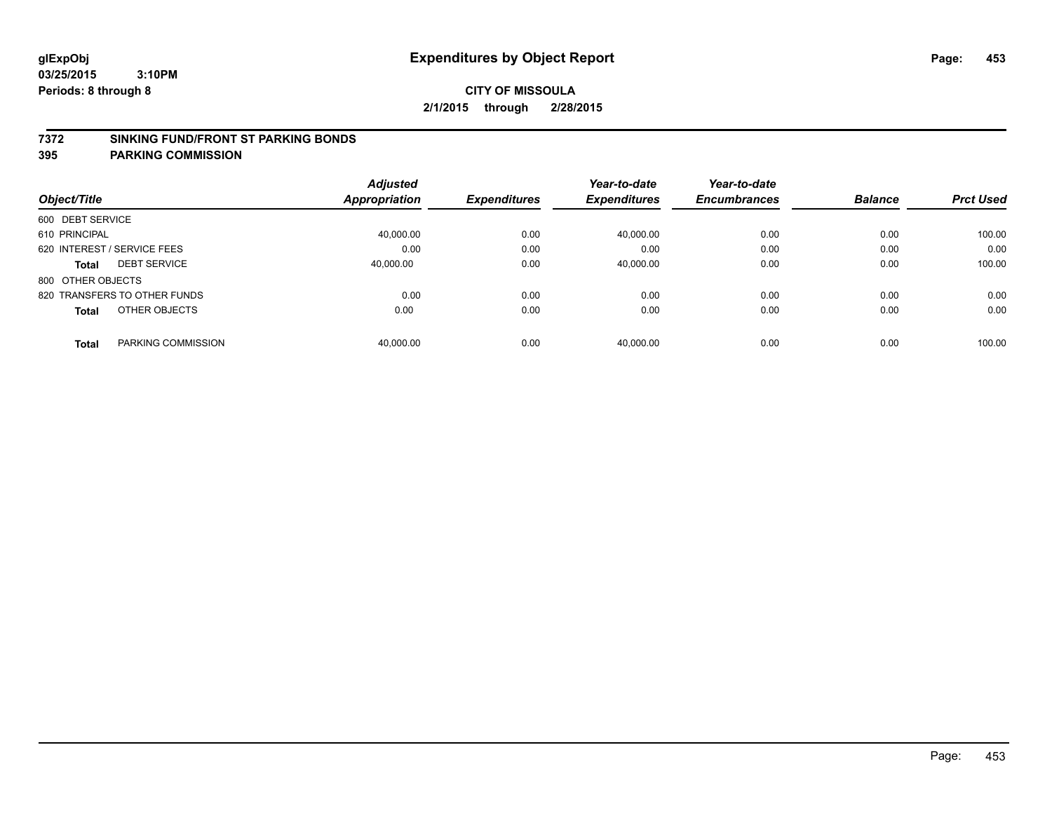#### **7372 SINKING FUND/FRONT ST PARKING BONDS**

|                                     | <b>Adjusted</b> | <b>Expenditures</b> | Year-to-date<br><b>Expenditures</b> | Year-to-date<br><b>Encumbrances</b> | <b>Balance</b> | <b>Prct Used</b> |
|-------------------------------------|-----------------|---------------------|-------------------------------------|-------------------------------------|----------------|------------------|
| Object/Title                        | Appropriation   |                     |                                     |                                     |                |                  |
| 600 DEBT SERVICE                    |                 |                     |                                     |                                     |                |                  |
| 610 PRINCIPAL                       | 40.000.00       | 0.00                | 40.000.00                           | 0.00                                | 0.00           | 100.00           |
| 620 INTEREST / SERVICE FEES         | 0.00            | 0.00                | 0.00                                | 0.00                                | 0.00           | 0.00             |
| <b>DEBT SERVICE</b><br><b>Total</b> | 40.000.00       | 0.00                | 40,000.00                           | 0.00                                | 0.00           | 100.00           |
| 800 OTHER OBJECTS                   |                 |                     |                                     |                                     |                |                  |
| 820 TRANSFERS TO OTHER FUNDS        | 0.00            | 0.00                | 0.00                                | 0.00                                | 0.00           | 0.00             |
| OTHER OBJECTS<br><b>Total</b>       | 0.00            | 0.00                | 0.00                                | 0.00                                | 0.00           | 0.00             |
| PARKING COMMISSION<br><b>Total</b>  | 40,000.00       | 0.00                | 40.000.00                           | 0.00                                | 0.00           | 100.00           |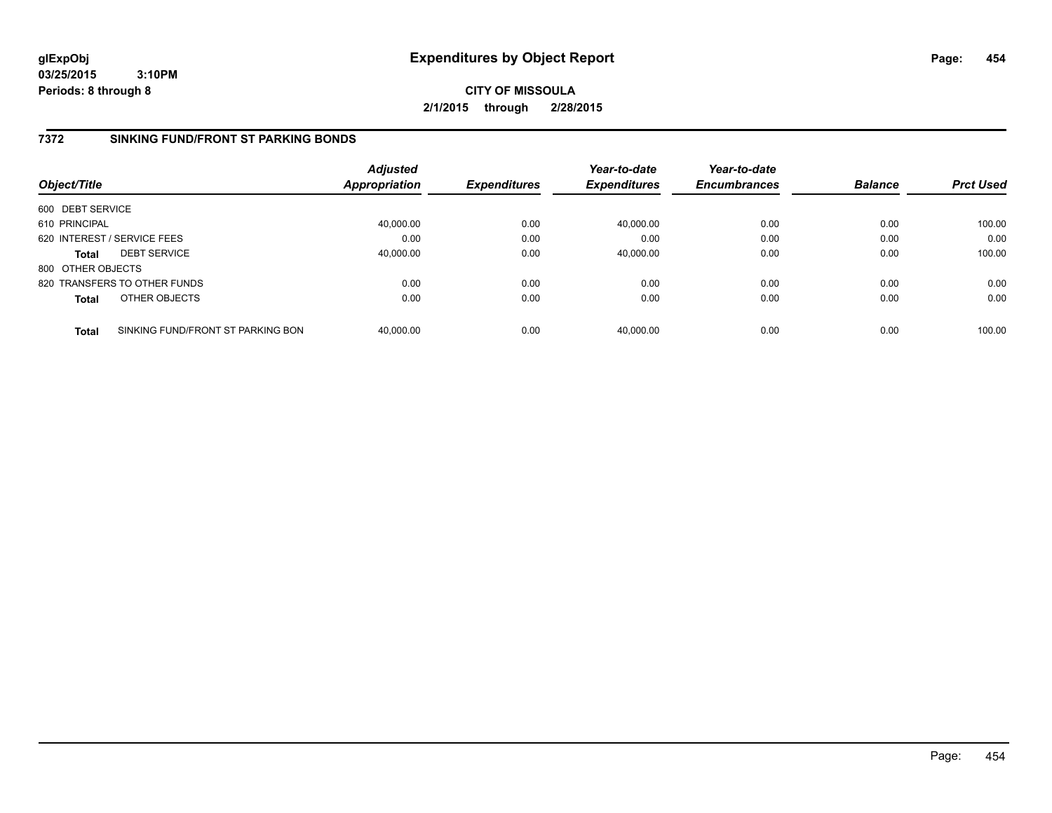**CITY OF MISSOULA 2/1/2015 through 2/28/2015**

### **7372 SINKING FUND/FRONT ST PARKING BONDS**

| Object/Title      |                                   | <b>Adjusted</b><br><b>Appropriation</b> | <b>Expenditures</b> | Year-to-date<br><b>Expenditures</b> | Year-to-date<br><b>Encumbrances</b> | <b>Balance</b> | <b>Prct Used</b> |
|-------------------|-----------------------------------|-----------------------------------------|---------------------|-------------------------------------|-------------------------------------|----------------|------------------|
| 600 DEBT SERVICE  |                                   |                                         |                     |                                     |                                     |                |                  |
| 610 PRINCIPAL     |                                   | 40,000.00                               | 0.00                | 40,000.00                           | 0.00                                | 0.00           | 100.00           |
|                   | 620 INTEREST / SERVICE FEES       | 0.00                                    | 0.00                | 0.00                                | 0.00                                | 0.00           | 0.00             |
| <b>Total</b>      | <b>DEBT SERVICE</b>               | 40,000.00                               | 0.00                | 40,000.00                           | 0.00                                | 0.00           | 100.00           |
| 800 OTHER OBJECTS |                                   |                                         |                     |                                     |                                     |                |                  |
|                   | 820 TRANSFERS TO OTHER FUNDS      | 0.00                                    | 0.00                | 0.00                                | 0.00                                | 0.00           | 0.00             |
| <b>Total</b>      | OTHER OBJECTS                     | 0.00                                    | 0.00                | 0.00                                | 0.00                                | 0.00           | 0.00             |
| <b>Total</b>      | SINKING FUND/FRONT ST PARKING BON | 40.000.00                               | 0.00                | 40.000.00                           | 0.00                                | 0.00           | 100.00           |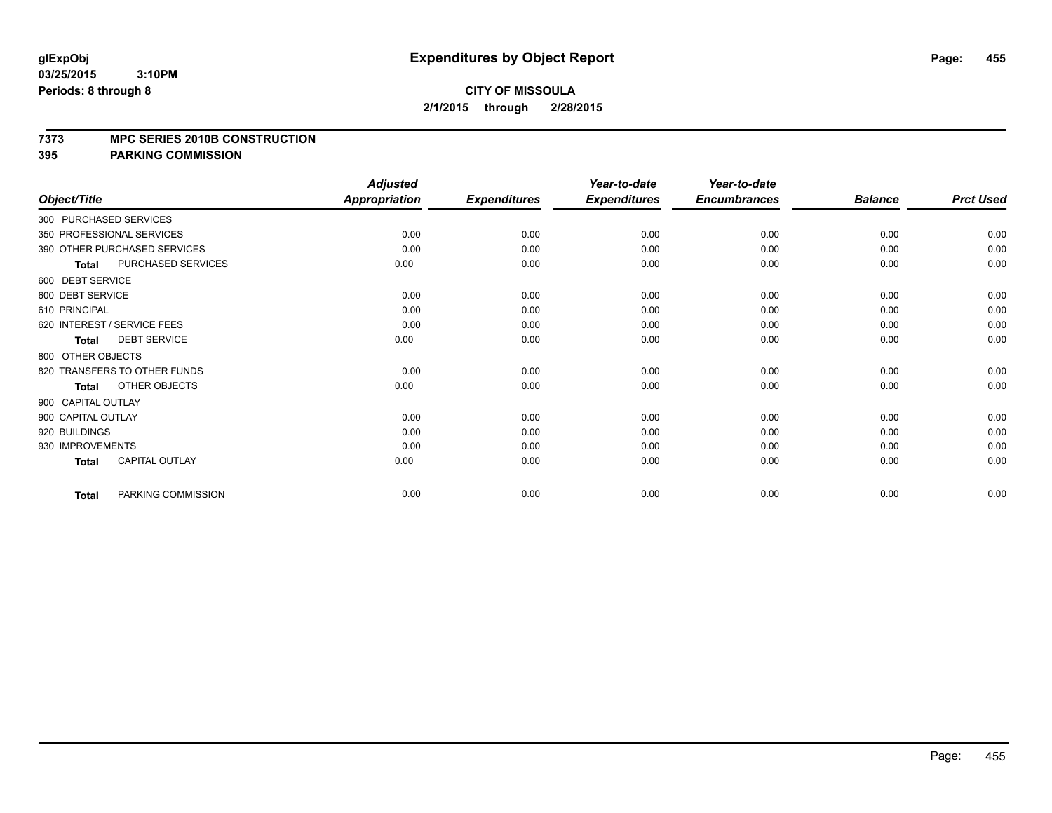#### **7373 MPC SERIES 2010B CONSTRUCTION**

|                    |                              | <b>Adjusted</b>      |                     | Year-to-date        | Year-to-date        |                |                  |
|--------------------|------------------------------|----------------------|---------------------|---------------------|---------------------|----------------|------------------|
| Object/Title       |                              | <b>Appropriation</b> | <b>Expenditures</b> | <b>Expenditures</b> | <b>Encumbrances</b> | <b>Balance</b> | <b>Prct Used</b> |
|                    | 300 PURCHASED SERVICES       |                      |                     |                     |                     |                |                  |
|                    | 350 PROFESSIONAL SERVICES    | 0.00                 | 0.00                | 0.00                | 0.00                | 0.00           | 0.00             |
|                    | 390 OTHER PURCHASED SERVICES | 0.00                 | 0.00                | 0.00                | 0.00                | 0.00           | 0.00             |
| <b>Total</b>       | PURCHASED SERVICES           | 0.00                 | 0.00                | 0.00                | 0.00                | 0.00           | 0.00             |
| 600 DEBT SERVICE   |                              |                      |                     |                     |                     |                |                  |
| 600 DEBT SERVICE   |                              | 0.00                 | 0.00                | 0.00                | 0.00                | 0.00           | 0.00             |
| 610 PRINCIPAL      |                              | 0.00                 | 0.00                | 0.00                | 0.00                | 0.00           | 0.00             |
|                    | 620 INTEREST / SERVICE FEES  | 0.00                 | 0.00                | 0.00                | 0.00                | 0.00           | 0.00             |
| <b>Total</b>       | <b>DEBT SERVICE</b>          | 0.00                 | 0.00                | 0.00                | 0.00                | 0.00           | 0.00             |
| 800 OTHER OBJECTS  |                              |                      |                     |                     |                     |                |                  |
|                    | 820 TRANSFERS TO OTHER FUNDS | 0.00                 | 0.00                | 0.00                | 0.00                | 0.00           | 0.00             |
| <b>Total</b>       | OTHER OBJECTS                | 0.00                 | 0.00                | 0.00                | 0.00                | 0.00           | 0.00             |
| 900 CAPITAL OUTLAY |                              |                      |                     |                     |                     |                |                  |
| 900 CAPITAL OUTLAY |                              | 0.00                 | 0.00                | 0.00                | 0.00                | 0.00           | 0.00             |
| 920 BUILDINGS      |                              | 0.00                 | 0.00                | 0.00                | 0.00                | 0.00           | 0.00             |
| 930 IMPROVEMENTS   |                              | 0.00                 | 0.00                | 0.00                | 0.00                | 0.00           | 0.00             |
| <b>Total</b>       | <b>CAPITAL OUTLAY</b>        | 0.00                 | 0.00                | 0.00                | 0.00                | 0.00           | 0.00             |
| <b>Total</b>       | PARKING COMMISSION           | 0.00                 | 0.00                | 0.00                | 0.00                | 0.00           | 0.00             |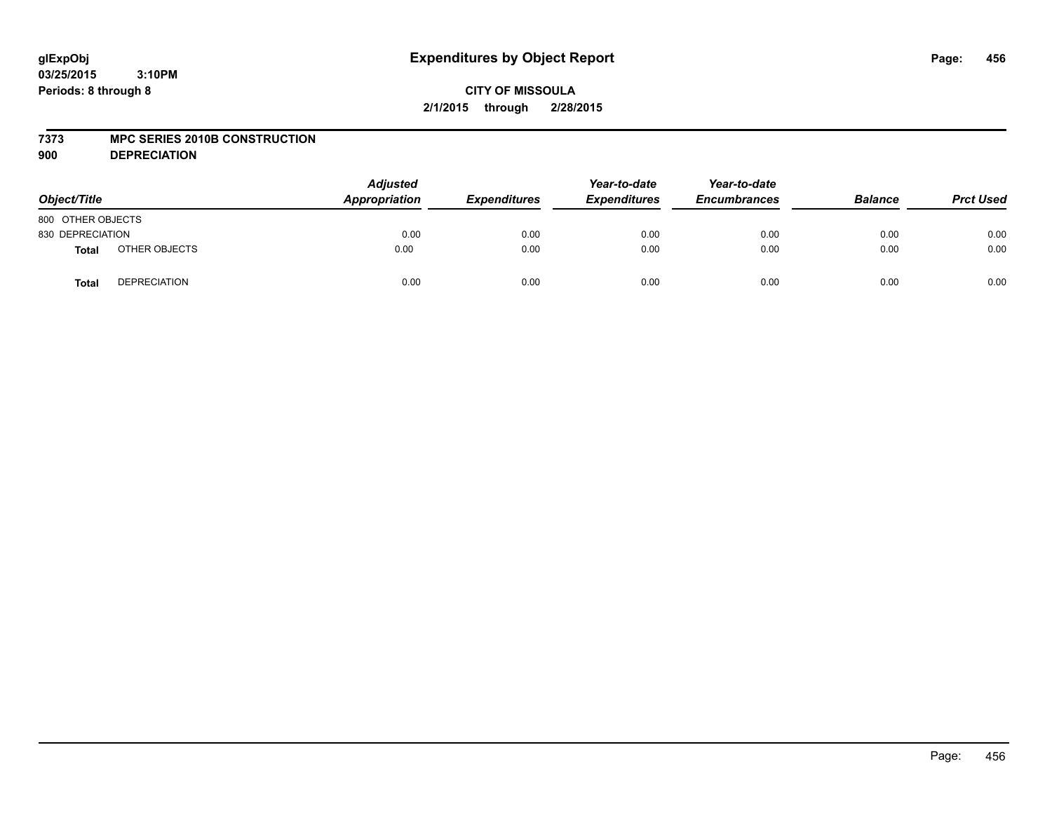## **CITY OF MISSOULA 2/1/2015 through 2/28/2015**

### **7373 MPC SERIES 2010B CONSTRUCTION**

**900 DEPRECIATION**

| Object/Title      |                     | <b>Adjusted</b><br>Appropriation | <b>Expenditures</b> | Year-to-date<br><b>Expenditures</b> | Year-to-date<br><b>Encumbrances</b> | <b>Balance</b> | <b>Prct Used</b> |
|-------------------|---------------------|----------------------------------|---------------------|-------------------------------------|-------------------------------------|----------------|------------------|
| 800 OTHER OBJECTS |                     |                                  |                     |                                     |                                     |                |                  |
| 830 DEPRECIATION  |                     | 0.00                             | 0.00                | 0.00                                | 0.00                                | 0.00           | 0.00             |
| Total             | OTHER OBJECTS       | 0.00                             | 0.00                | 0.00                                | 0.00                                | 0.00           | 0.00             |
| <b>Total</b>      | <b>DEPRECIATION</b> | 0.00                             | 0.00                | 0.00                                | 0.00                                | 0.00           | 0.00             |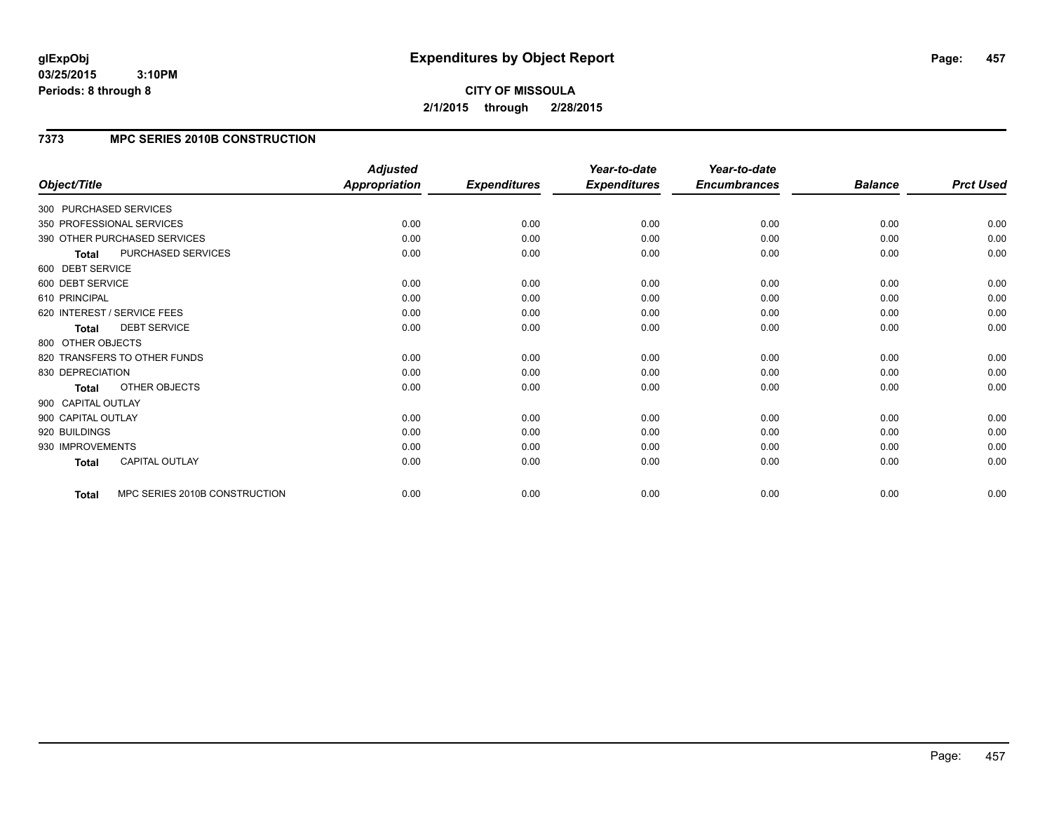## **CITY OF MISSOULA 2/1/2015 through 2/28/2015**

## **7373 MPC SERIES 2010B CONSTRUCTION**

|                        |                               | <b>Adjusted</b>      |                     | Year-to-date        | Year-to-date        |                |                  |
|------------------------|-------------------------------|----------------------|---------------------|---------------------|---------------------|----------------|------------------|
| Object/Title           |                               | <b>Appropriation</b> | <b>Expenditures</b> | <b>Expenditures</b> | <b>Encumbrances</b> | <b>Balance</b> | <b>Prct Used</b> |
| 300 PURCHASED SERVICES |                               |                      |                     |                     |                     |                |                  |
|                        | 350 PROFESSIONAL SERVICES     | 0.00                 | 0.00                | 0.00                | 0.00                | 0.00           | 0.00             |
|                        | 390 OTHER PURCHASED SERVICES  | 0.00                 | 0.00                | 0.00                | 0.00                | 0.00           | 0.00             |
| Total                  | PURCHASED SERVICES            | 0.00                 | 0.00                | 0.00                | 0.00                | 0.00           | 0.00             |
| 600 DEBT SERVICE       |                               |                      |                     |                     |                     |                |                  |
| 600 DEBT SERVICE       |                               | 0.00                 | 0.00                | 0.00                | 0.00                | 0.00           | 0.00             |
| 610 PRINCIPAL          |                               | 0.00                 | 0.00                | 0.00                | 0.00                | 0.00           | 0.00             |
|                        | 620 INTEREST / SERVICE FEES   | 0.00                 | 0.00                | 0.00                | 0.00                | 0.00           | 0.00             |
| <b>Total</b>           | <b>DEBT SERVICE</b>           | 0.00                 | 0.00                | 0.00                | 0.00                | 0.00           | 0.00             |
| 800 OTHER OBJECTS      |                               |                      |                     |                     |                     |                |                  |
|                        | 820 TRANSFERS TO OTHER FUNDS  | 0.00                 | 0.00                | 0.00                | 0.00                | 0.00           | 0.00             |
| 830 DEPRECIATION       |                               | 0.00                 | 0.00                | 0.00                | 0.00                | 0.00           | 0.00             |
| <b>Total</b>           | OTHER OBJECTS                 | 0.00                 | 0.00                | 0.00                | 0.00                | 0.00           | 0.00             |
| 900 CAPITAL OUTLAY     |                               |                      |                     |                     |                     |                |                  |
| 900 CAPITAL OUTLAY     |                               | 0.00                 | 0.00                | 0.00                | 0.00                | 0.00           | 0.00             |
| 920 BUILDINGS          |                               | 0.00                 | 0.00                | 0.00                | 0.00                | 0.00           | 0.00             |
| 930 IMPROVEMENTS       |                               | 0.00                 | 0.00                | 0.00                | 0.00                | 0.00           | 0.00             |
| <b>Total</b>           | <b>CAPITAL OUTLAY</b>         | 0.00                 | 0.00                | 0.00                | 0.00                | 0.00           | 0.00             |
| <b>Total</b>           | MPC SERIES 2010B CONSTRUCTION | 0.00                 | 0.00                | 0.00                | 0.00                | 0.00           | 0.00             |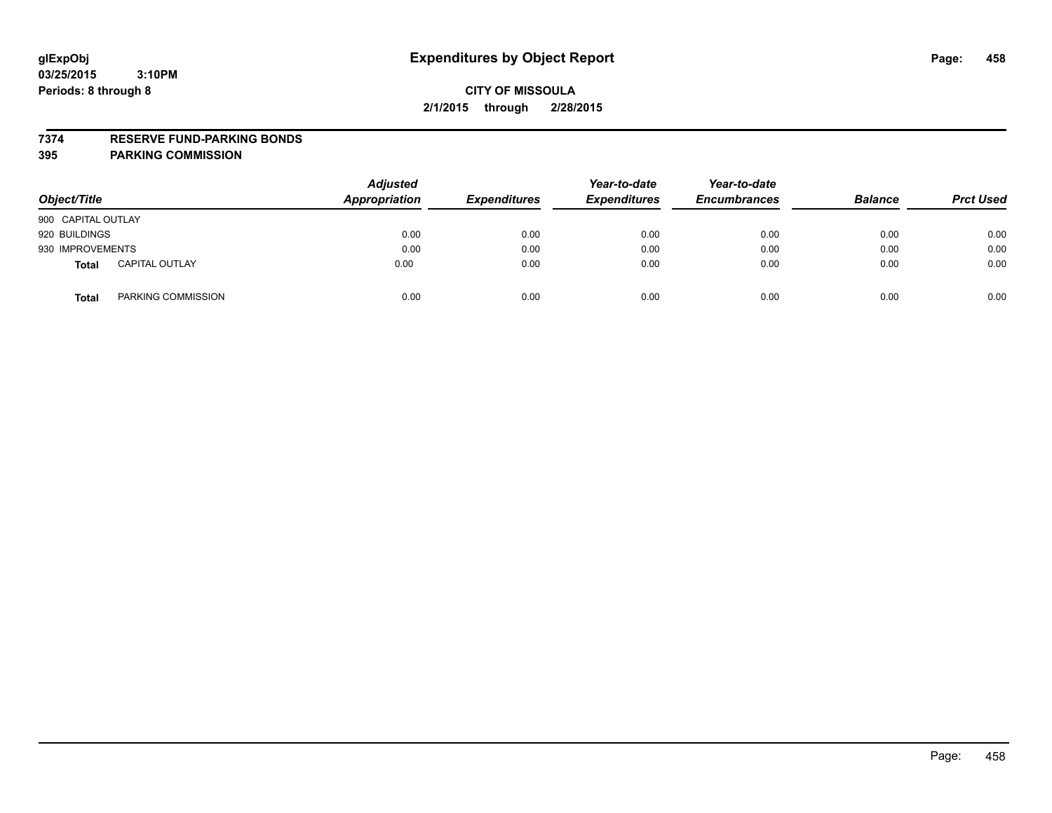### **7374 RESERVE FUND-PARKING BONDS**

| Object/Title       |                       | <b>Adjusted</b><br><b>Appropriation</b> | <b>Expenditures</b> | Year-to-date<br><b>Expenditures</b> | Year-to-date<br><b>Encumbrances</b> | <b>Balance</b> | <b>Prct Used</b> |
|--------------------|-----------------------|-----------------------------------------|---------------------|-------------------------------------|-------------------------------------|----------------|------------------|
| 900 CAPITAL OUTLAY |                       |                                         |                     |                                     |                                     |                |                  |
| 920 BUILDINGS      |                       | 0.00                                    | 0.00                | 0.00                                | 0.00                                | 0.00           | 0.00             |
| 930 IMPROVEMENTS   |                       | 0.00                                    | 0.00                | 0.00                                | 0.00                                | 0.00           | 0.00             |
| <b>Total</b>       | <b>CAPITAL OUTLAY</b> | 0.00                                    | 0.00                | 0.00                                | 0.00                                | 0.00           | 0.00             |
| <b>Total</b>       | PARKING COMMISSION    | 0.00                                    | 0.00                | 0.00                                | 0.00                                | 0.00           | 0.00             |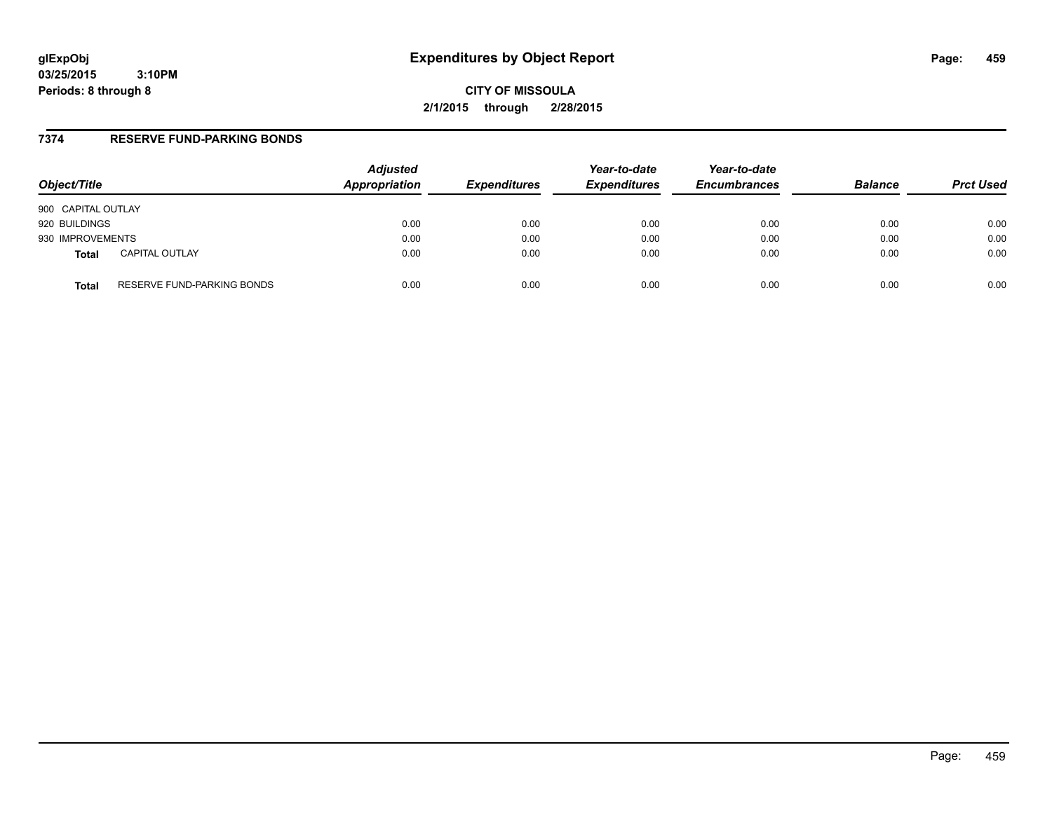# **glExpObj Expenditures by Object Report Page: 459**

**03/25/2015 3:10PM Periods: 8 through 8**

**CITY OF MISSOULA 2/1/2015 through 2/28/2015**

### **7374 RESERVE FUND-PARKING BONDS**

| Object/Title                               | <b>Adjusted</b><br>Appropriation | <b>Expenditures</b> | Year-to-date<br><b>Expenditures</b> | Year-to-date<br><b>Encumbrances</b> | <b>Balance</b> | <b>Prct Used</b> |
|--------------------------------------------|----------------------------------|---------------------|-------------------------------------|-------------------------------------|----------------|------------------|
| 900 CAPITAL OUTLAY                         |                                  |                     |                                     |                                     |                |                  |
| 920 BUILDINGS                              | 0.00                             | 0.00                | 0.00                                | 0.00                                | 0.00           | 0.00             |
| 930 IMPROVEMENTS                           | 0.00                             | 0.00                | 0.00                                | 0.00                                | 0.00           | 0.00             |
| <b>CAPITAL OUTLAY</b><br><b>Total</b>      | 0.00                             | 0.00                | 0.00                                | 0.00                                | 0.00           | 0.00             |
| RESERVE FUND-PARKING BONDS<br><b>Total</b> | 0.00                             | 0.00                | 0.00                                | 0.00                                | 0.00           | 0.00             |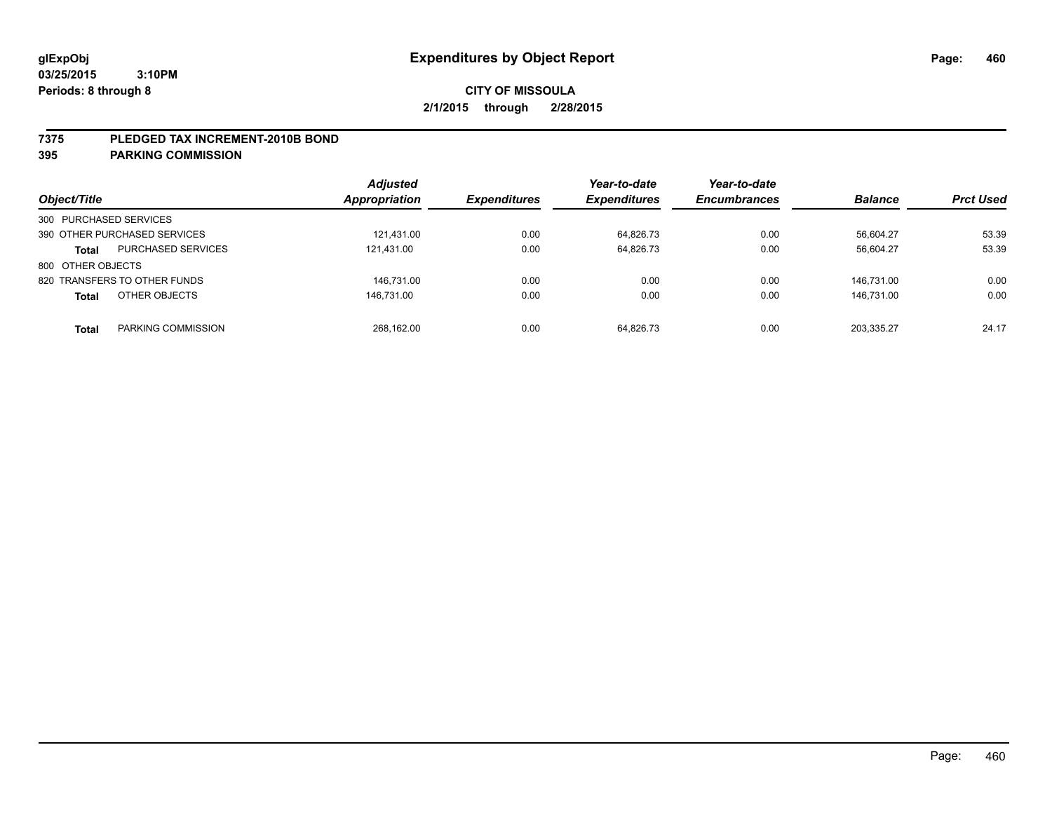### **7375 PLEDGED TAX INCREMENT-2010B BOND**

| Object/Title                              | <b>Adjusted</b><br><b>Appropriation</b> | <b>Expenditures</b> | Year-to-date<br><b>Expenditures</b> | Year-to-date<br><b>Encumbrances</b> | <b>Balance</b> | <b>Prct Used</b> |
|-------------------------------------------|-----------------------------------------|---------------------|-------------------------------------|-------------------------------------|----------------|------------------|
| 300 PURCHASED SERVICES                    |                                         |                     |                                     |                                     |                |                  |
| 390 OTHER PURCHASED SERVICES              | 121.431.00                              | 0.00                | 64.826.73                           | 0.00                                | 56.604.27      | 53.39            |
| <b>PURCHASED SERVICES</b><br><b>Total</b> | 121,431.00                              | 0.00                | 64,826.73                           | 0.00                                | 56,604.27      | 53.39            |
| 800 OTHER OBJECTS                         |                                         |                     |                                     |                                     |                |                  |
| 820 TRANSFERS TO OTHER FUNDS              | 146.731.00                              | 0.00                | 0.00                                | 0.00                                | 146.731.00     | 0.00             |
| OTHER OBJECTS<br><b>Total</b>             | 146.731.00                              | 0.00                | 0.00                                | 0.00                                | 146.731.00     | 0.00             |
| PARKING COMMISSION<br><b>Total</b>        | 268.162.00                              | 0.00                | 64.826.73                           | 0.00                                | 203.335.27     | 24.17            |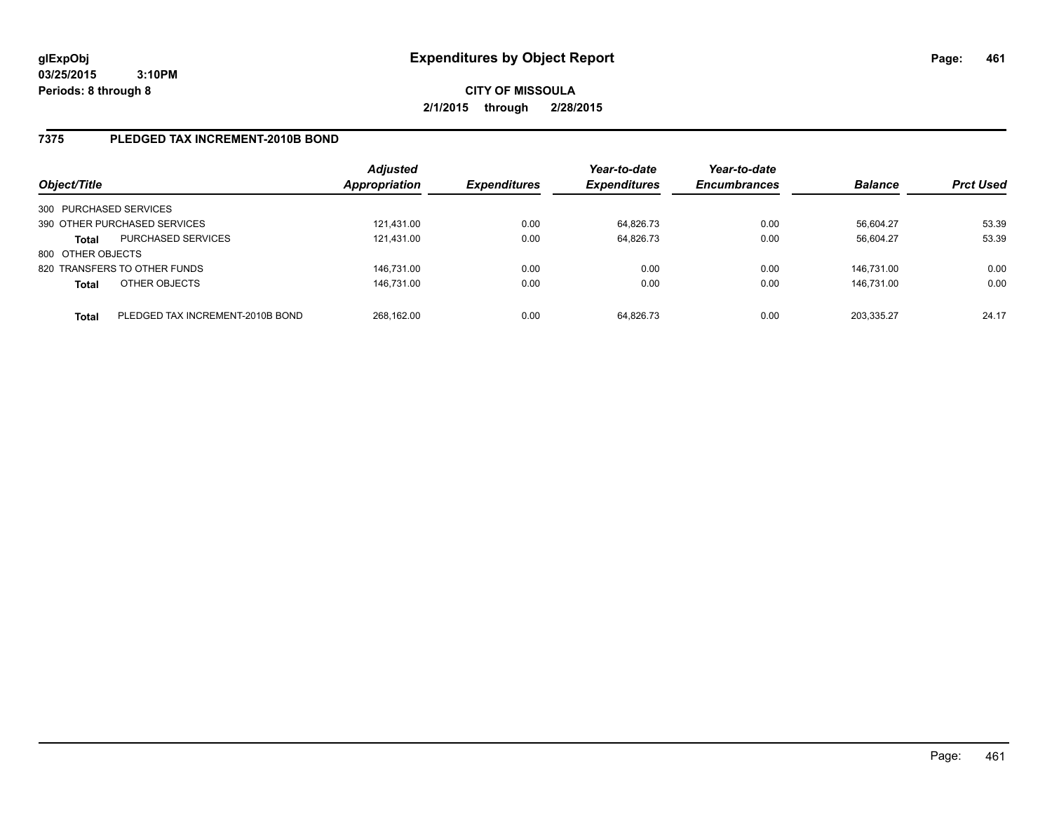## **CITY OF MISSOULA 2/1/2015 through 2/28/2015**

## **7375 PLEDGED TAX INCREMENT-2010B BOND**

| Object/Title           |                                  | <b>Adjusted</b><br><b>Appropriation</b> | <b>Expenditures</b> | Year-to-date<br><b>Expenditures</b> | Year-to-date<br><b>Encumbrances</b> | <b>Balance</b> | <b>Prct Used</b> |
|------------------------|----------------------------------|-----------------------------------------|---------------------|-------------------------------------|-------------------------------------|----------------|------------------|
| 300 PURCHASED SERVICES |                                  |                                         |                     |                                     |                                     |                |                  |
|                        | 390 OTHER PURCHASED SERVICES     | 121,431.00                              | 0.00                | 64.826.73                           | 0.00                                | 56.604.27      | 53.39            |
| <b>Total</b>           | <b>PURCHASED SERVICES</b>        | 121,431.00                              | 0.00                | 64.826.73                           | 0.00                                | 56,604.27      | 53.39            |
| 800 OTHER OBJECTS      |                                  |                                         |                     |                                     |                                     |                |                  |
|                        | 820 TRANSFERS TO OTHER FUNDS     | 146.731.00                              | 0.00                | 0.00                                | 0.00                                | 146.731.00     | 0.00             |
| <b>Total</b>           | OTHER OBJECTS                    | 146.731.00                              | 0.00                | 0.00                                | 0.00                                | 146.731.00     | 0.00             |
| <b>Total</b>           | PLEDGED TAX INCREMENT-2010B BOND | 268.162.00                              | 0.00                | 64.826.73                           | 0.00                                | 203.335.27     | 24.17            |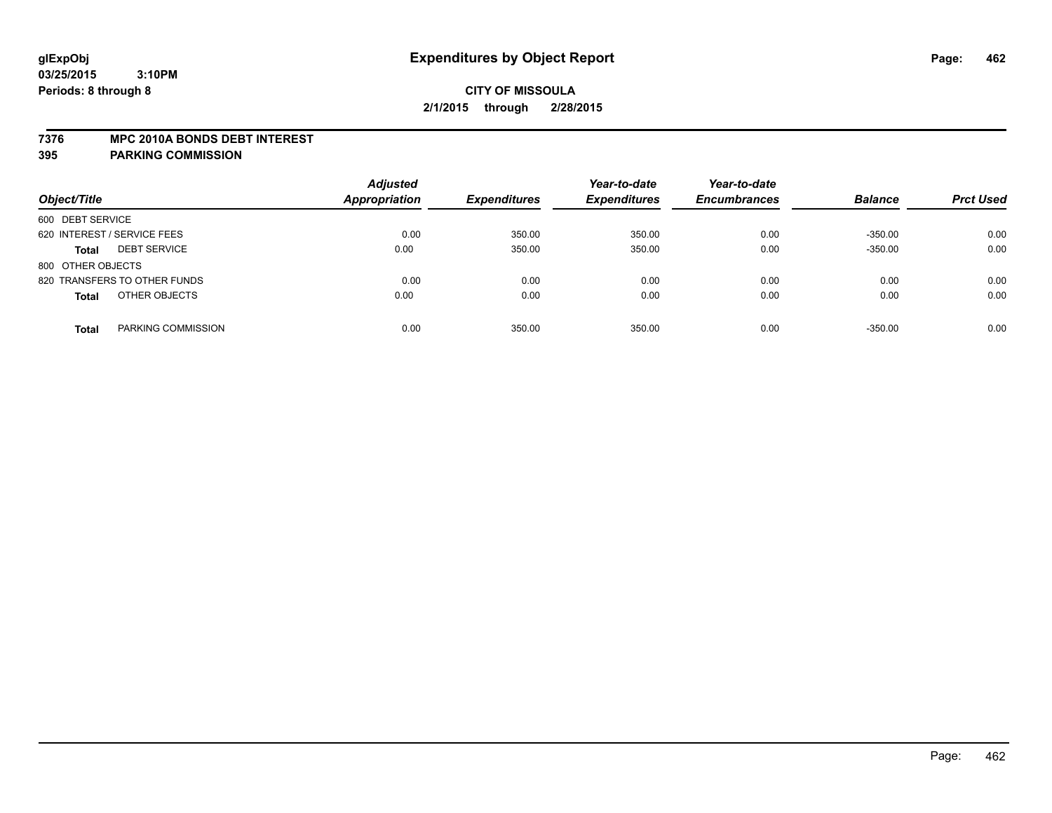#### **7376 MPC 2010A BONDS DEBT INTEREST**

| Object/Title                        | <b>Adjusted</b><br><b>Appropriation</b> | <b>Expenditures</b> | Year-to-date<br><b>Expenditures</b> | Year-to-date<br><b>Encumbrances</b> | <b>Balance</b> | <b>Prct Used</b> |
|-------------------------------------|-----------------------------------------|---------------------|-------------------------------------|-------------------------------------|----------------|------------------|
| 600 DEBT SERVICE                    |                                         |                     |                                     |                                     |                |                  |
| 620 INTEREST / SERVICE FEES         | 0.00                                    | 350.00              | 350.00                              | 0.00                                | $-350.00$      | 0.00             |
| <b>DEBT SERVICE</b><br><b>Total</b> | 0.00                                    | 350.00              | 350.00                              | 0.00                                | $-350.00$      | 0.00             |
| 800 OTHER OBJECTS                   |                                         |                     |                                     |                                     |                |                  |
| 820 TRANSFERS TO OTHER FUNDS        | 0.00                                    | 0.00                | 0.00                                | 0.00                                | 0.00           | 0.00             |
| OTHER OBJECTS<br><b>Total</b>       | 0.00                                    | 0.00                | 0.00                                | 0.00                                | 0.00           | 0.00             |
| PARKING COMMISSION<br><b>Total</b>  | 0.00                                    | 350.00              | 350.00                              | 0.00                                | $-350.00$      | 0.00             |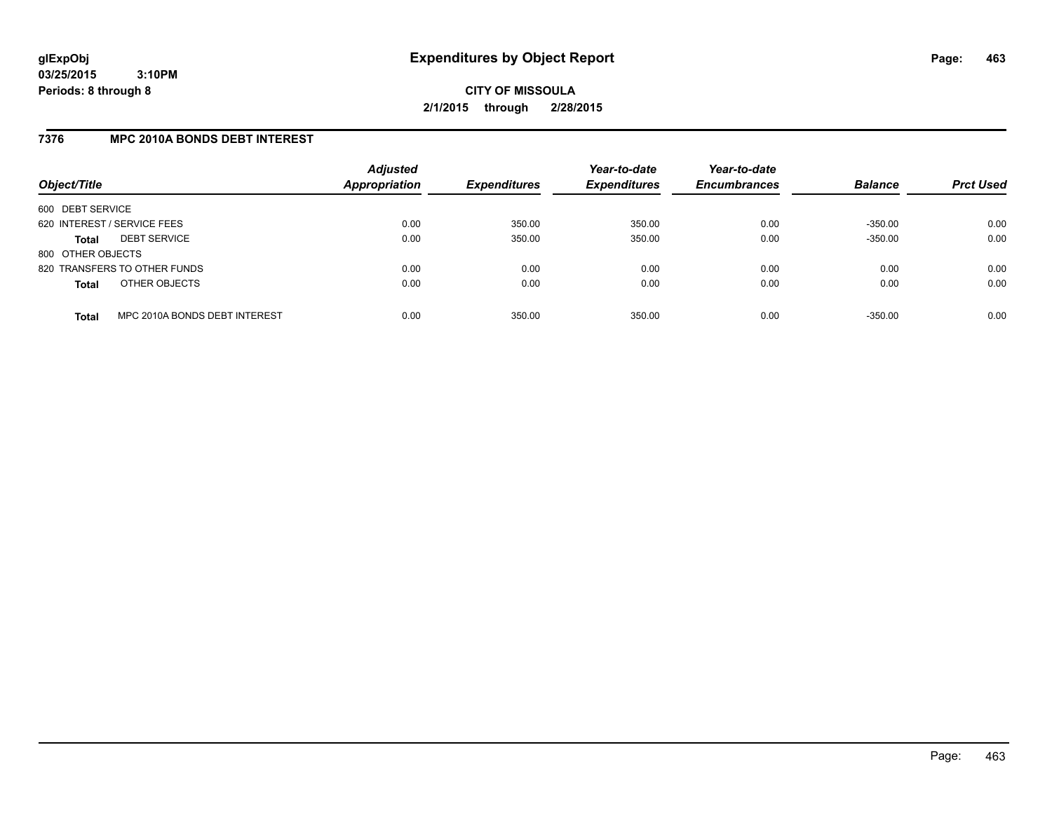**CITY OF MISSOULA 2/1/2015 through 2/28/2015**

### **7376 MPC 2010A BONDS DEBT INTEREST**

| Object/Title                |                               | <b>Adjusted</b><br><b>Appropriation</b> | <b>Expenditures</b> | Year-to-date<br><b>Expenditures</b> | Year-to-date<br><b>Encumbrances</b> | <b>Balance</b> | <b>Prct Used</b> |
|-----------------------------|-------------------------------|-----------------------------------------|---------------------|-------------------------------------|-------------------------------------|----------------|------------------|
| 600 DEBT SERVICE            |                               |                                         |                     |                                     |                                     |                |                  |
| 620 INTEREST / SERVICE FEES |                               | 0.00                                    | 350.00              | 350.00                              | 0.00                                | $-350.00$      | 0.00             |
| <b>Total</b>                | <b>DEBT SERVICE</b>           | 0.00                                    | 350.00              | 350.00                              | 0.00                                | $-350.00$      | 0.00             |
| 800 OTHER OBJECTS           |                               |                                         |                     |                                     |                                     |                |                  |
|                             | 820 TRANSFERS TO OTHER FUNDS  | 0.00                                    | 0.00                | 0.00                                | 0.00                                | 0.00           | 0.00             |
| <b>Total</b>                | OTHER OBJECTS                 | 0.00                                    | 0.00                | 0.00                                | 0.00                                | 0.00           | 0.00             |
| <b>Total</b>                | MPC 2010A BONDS DEBT INTEREST | 0.00                                    | 350.00              | 350.00                              | 0.00                                | $-350.00$      | 0.00             |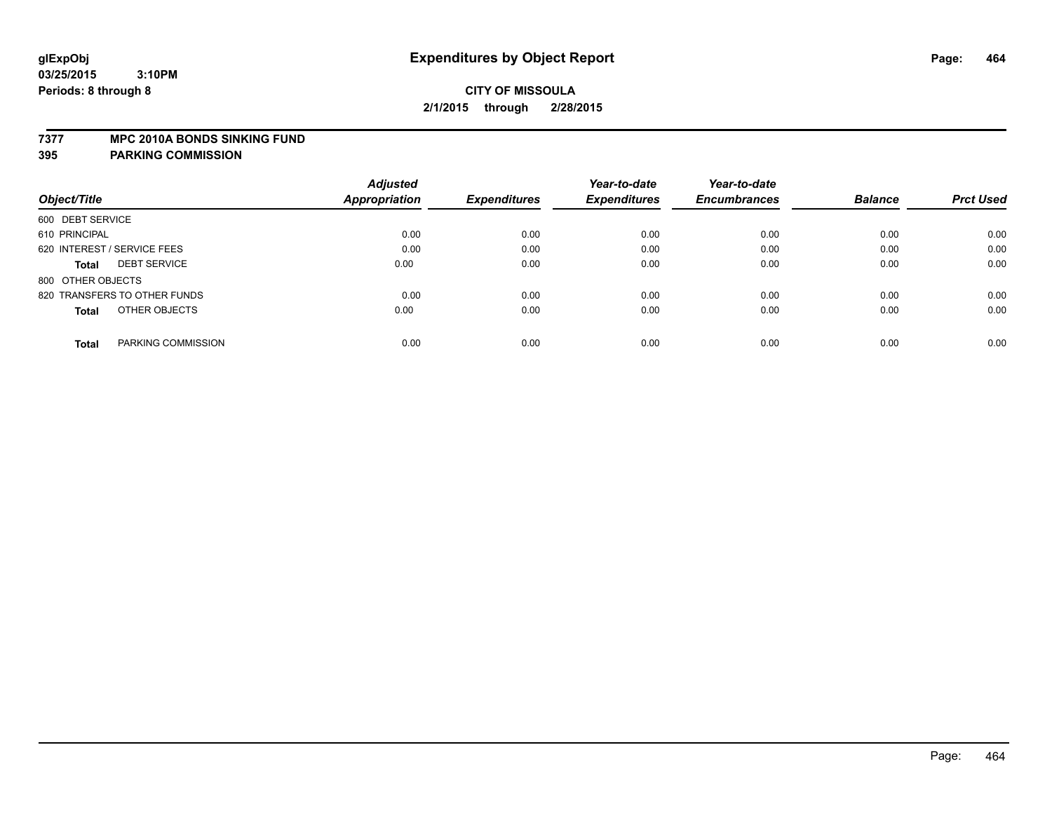#### **7377 MPC 2010A BONDS SINKING FUND**

|                                     | <b>Adjusted</b> |                     | Year-to-date        | Year-to-date        |                |                  |
|-------------------------------------|-----------------|---------------------|---------------------|---------------------|----------------|------------------|
| Object/Title                        | Appropriation   | <b>Expenditures</b> | <b>Expenditures</b> | <b>Encumbrances</b> | <b>Balance</b> | <b>Prct Used</b> |
| 600 DEBT SERVICE                    |                 |                     |                     |                     |                |                  |
| 610 PRINCIPAL                       | 0.00            | 0.00                | 0.00                | 0.00                | 0.00           | 0.00             |
| 620 INTEREST / SERVICE FEES         | 0.00            | 0.00                | 0.00                | 0.00                | 0.00           | 0.00             |
| <b>DEBT SERVICE</b><br><b>Total</b> | 0.00            | 0.00                | 0.00                | 0.00                | 0.00           | 0.00             |
| 800 OTHER OBJECTS                   |                 |                     |                     |                     |                |                  |
| 820 TRANSFERS TO OTHER FUNDS        | 0.00            | 0.00                | 0.00                | 0.00                | 0.00           | 0.00             |
| OTHER OBJECTS<br><b>Total</b>       | 0.00            | 0.00                | 0.00                | 0.00                | 0.00           | 0.00             |
| PARKING COMMISSION<br><b>Total</b>  | 0.00            | 0.00                | 0.00                | 0.00                | 0.00           | 0.00             |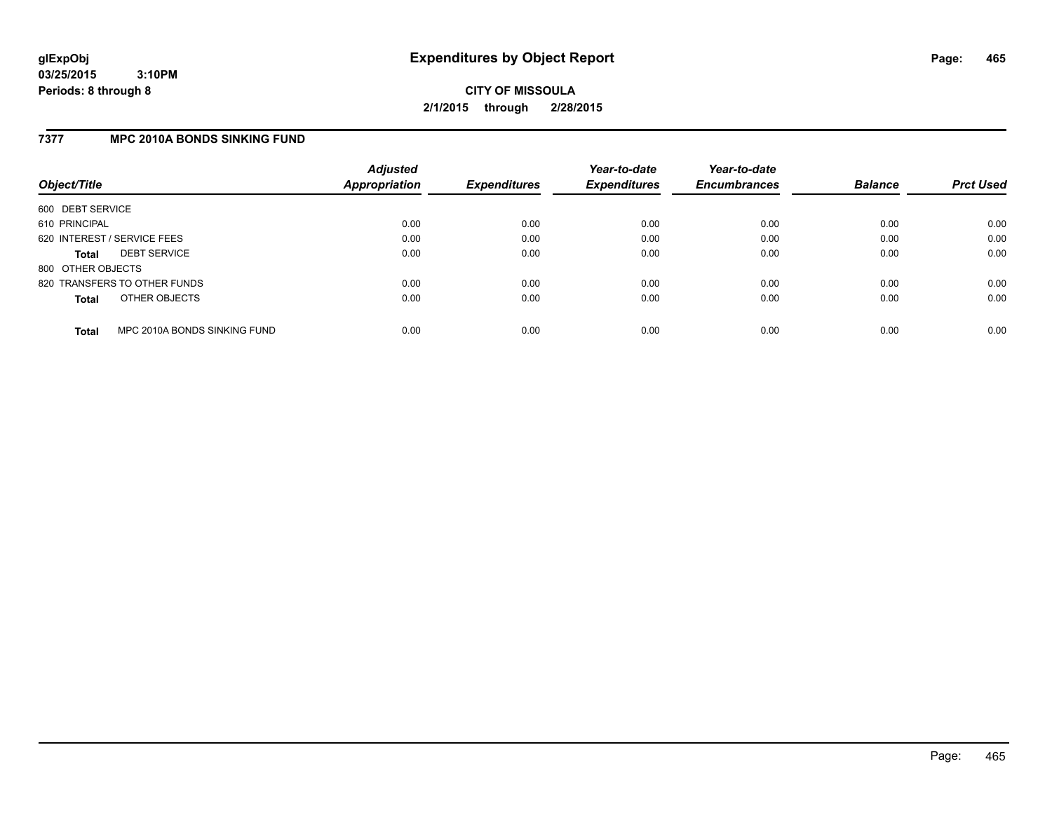**CITY OF MISSOULA 2/1/2015 through 2/28/2015**

### **7377 MPC 2010A BONDS SINKING FUND**

| Object/Title      |                              | <b>Adjusted</b><br><b>Appropriation</b> | <b>Expenditures</b> | Year-to-date<br><b>Expenditures</b> | Year-to-date<br><b>Encumbrances</b> | <b>Balance</b> | <b>Prct Used</b> |
|-------------------|------------------------------|-----------------------------------------|---------------------|-------------------------------------|-------------------------------------|----------------|------------------|
| 600 DEBT SERVICE  |                              |                                         |                     |                                     |                                     |                |                  |
| 610 PRINCIPAL     |                              | 0.00                                    | 0.00                | 0.00                                | 0.00                                | 0.00           | 0.00             |
|                   | 620 INTEREST / SERVICE FEES  | 0.00                                    | 0.00                | 0.00                                | 0.00                                | 0.00           | 0.00             |
| <b>Total</b>      | <b>DEBT SERVICE</b>          | 0.00                                    | 0.00                | 0.00                                | 0.00                                | 0.00           | 0.00             |
| 800 OTHER OBJECTS |                              |                                         |                     |                                     |                                     |                |                  |
|                   | 820 TRANSFERS TO OTHER FUNDS | 0.00                                    | 0.00                | 0.00                                | 0.00                                | 0.00           | 0.00             |
| <b>Total</b>      | OTHER OBJECTS                | 0.00                                    | 0.00                | 0.00                                | 0.00                                | 0.00           | 0.00             |
| <b>Total</b>      | MPC 2010A BONDS SINKING FUND | 0.00                                    | 0.00                | 0.00                                | 0.00                                | 0.00           | 0.00             |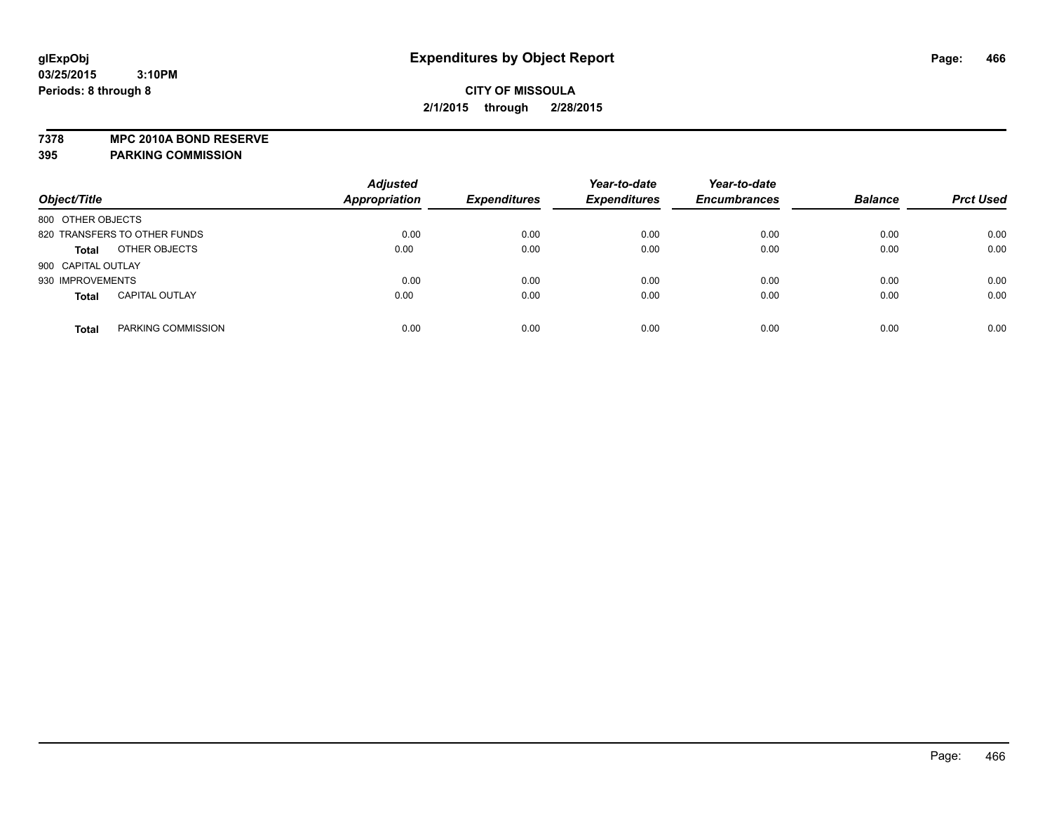**7378 MPC 2010A BOND RESERVE**

|                                       | <b>Adjusted</b>      | <b>Expenditures</b> | Year-to-date<br><b>Expenditures</b> | Year-to-date<br><b>Encumbrances</b> | <b>Balance</b> |                  |
|---------------------------------------|----------------------|---------------------|-------------------------------------|-------------------------------------|----------------|------------------|
| Object/Title                          | <b>Appropriation</b> |                     |                                     |                                     |                | <b>Prct Used</b> |
| 800 OTHER OBJECTS                     |                      |                     |                                     |                                     |                |                  |
| 820 TRANSFERS TO OTHER FUNDS          | 0.00                 | 0.00                | 0.00                                | 0.00                                | 0.00           | 0.00             |
| OTHER OBJECTS<br><b>Total</b>         | 0.00                 | 0.00                | 0.00                                | 0.00                                | 0.00           | 0.00             |
| 900 CAPITAL OUTLAY                    |                      |                     |                                     |                                     |                |                  |
| 930 IMPROVEMENTS                      | 0.00                 | 0.00                | 0.00                                | 0.00                                | 0.00           | 0.00             |
| <b>CAPITAL OUTLAY</b><br><b>Total</b> | 0.00                 | 0.00                | 0.00                                | 0.00                                | 0.00           | 0.00             |
| PARKING COMMISSION<br><b>Total</b>    | 0.00                 | 0.00                | 0.00                                | 0.00                                | 0.00           | 0.00             |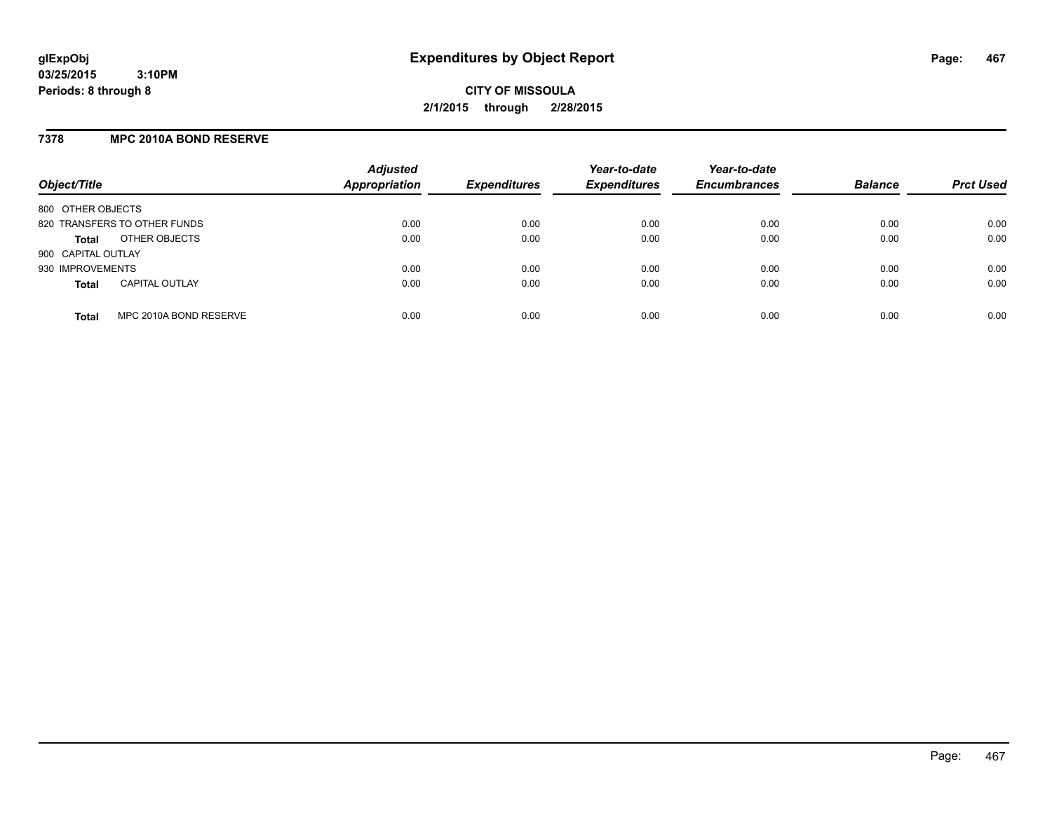### **7378 MPC 2010A BOND RESERVE**

| Object/Title       |                              | <b>Adjusted</b><br><b>Appropriation</b> | <b>Expenditures</b> | Year-to-date<br><b>Expenditures</b> | Year-to-date<br><b>Encumbrances</b> | <b>Balance</b> | <b>Prct Used</b> |
|--------------------|------------------------------|-----------------------------------------|---------------------|-------------------------------------|-------------------------------------|----------------|------------------|
| 800 OTHER OBJECTS  |                              |                                         |                     |                                     |                                     |                |                  |
|                    | 820 TRANSFERS TO OTHER FUNDS | 0.00                                    | 0.00                | 0.00                                | 0.00                                | 0.00           | 0.00             |
| <b>Total</b>       | OTHER OBJECTS                | 0.00                                    | 0.00                | 0.00                                | 0.00                                | 0.00           | 0.00             |
| 900 CAPITAL OUTLAY |                              |                                         |                     |                                     |                                     |                |                  |
| 930 IMPROVEMENTS   |                              | 0.00                                    | 0.00                | 0.00                                | 0.00                                | 0.00           | 0.00             |
| <b>Total</b>       | <b>CAPITAL OUTLAY</b>        | 0.00                                    | 0.00                | 0.00                                | 0.00                                | 0.00           | 0.00             |
| <b>Total</b>       | MPC 2010A BOND RESERVE       | 0.00                                    | 0.00                | 0.00                                | 0.00                                | 0.00           | 0.00             |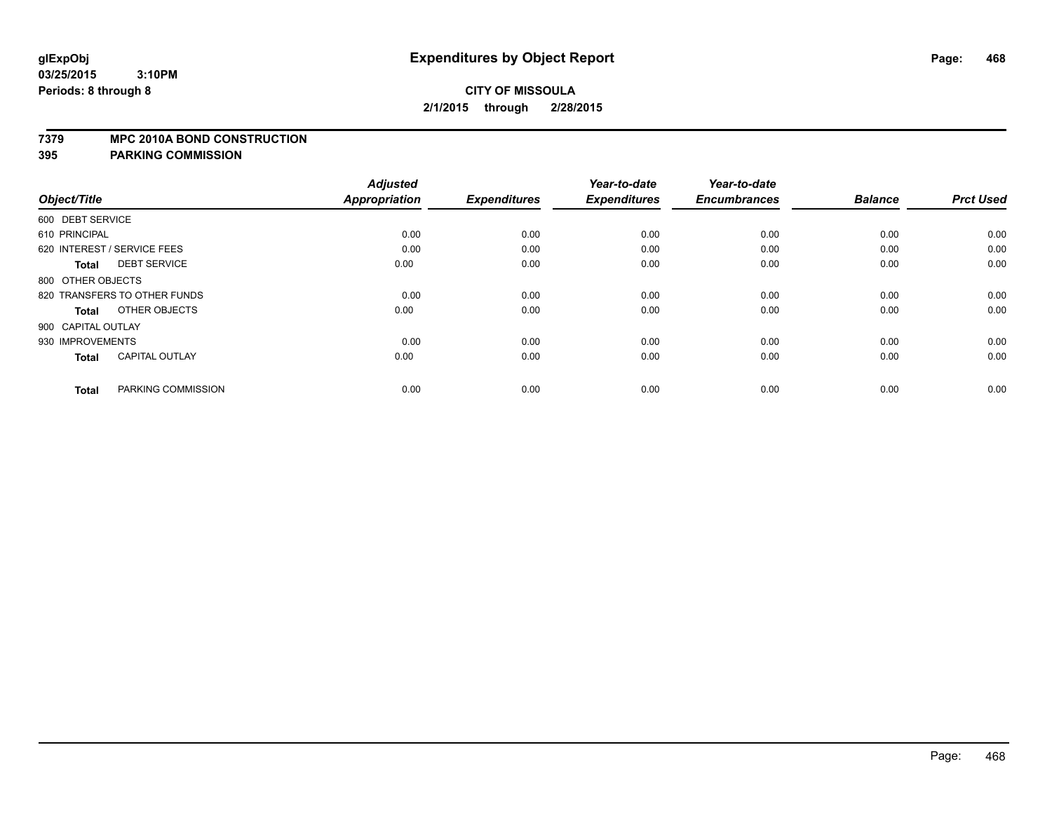#### **7379 MPC 2010A BOND CONSTRUCTION**

| Object/Title                          | <b>Adjusted</b><br><b>Appropriation</b> | <b>Expenditures</b> | Year-to-date<br><b>Expenditures</b> | Year-to-date<br><b>Encumbrances</b> | <b>Balance</b> | <b>Prct Used</b> |
|---------------------------------------|-----------------------------------------|---------------------|-------------------------------------|-------------------------------------|----------------|------------------|
|                                       |                                         |                     |                                     |                                     |                |                  |
| 600 DEBT SERVICE                      |                                         |                     |                                     |                                     |                |                  |
| 610 PRINCIPAL                         | 0.00                                    | 0.00                | 0.00                                | 0.00                                | 0.00           | 0.00             |
| 620 INTEREST / SERVICE FEES           | 0.00                                    | 0.00                | 0.00                                | 0.00                                | 0.00           | 0.00             |
| <b>DEBT SERVICE</b><br><b>Total</b>   | 0.00                                    | 0.00                | 0.00                                | 0.00                                | 0.00           | 0.00             |
| 800 OTHER OBJECTS                     |                                         |                     |                                     |                                     |                |                  |
| 820 TRANSFERS TO OTHER FUNDS          | 0.00                                    | 0.00                | 0.00                                | 0.00                                | 0.00           | 0.00             |
| OTHER OBJECTS<br><b>Total</b>         | 0.00                                    | 0.00                | 0.00                                | 0.00                                | 0.00           | 0.00             |
| 900 CAPITAL OUTLAY                    |                                         |                     |                                     |                                     |                |                  |
| 930 IMPROVEMENTS                      | 0.00                                    | 0.00                | 0.00                                | 0.00                                | 0.00           | 0.00             |
| <b>CAPITAL OUTLAY</b><br><b>Total</b> | 0.00                                    | 0.00                | 0.00                                | 0.00                                | 0.00           | 0.00             |
|                                       |                                         |                     |                                     |                                     |                |                  |
| PARKING COMMISSION<br><b>Total</b>    | 0.00                                    | 0.00                | 0.00                                | 0.00                                | 0.00           | 0.00             |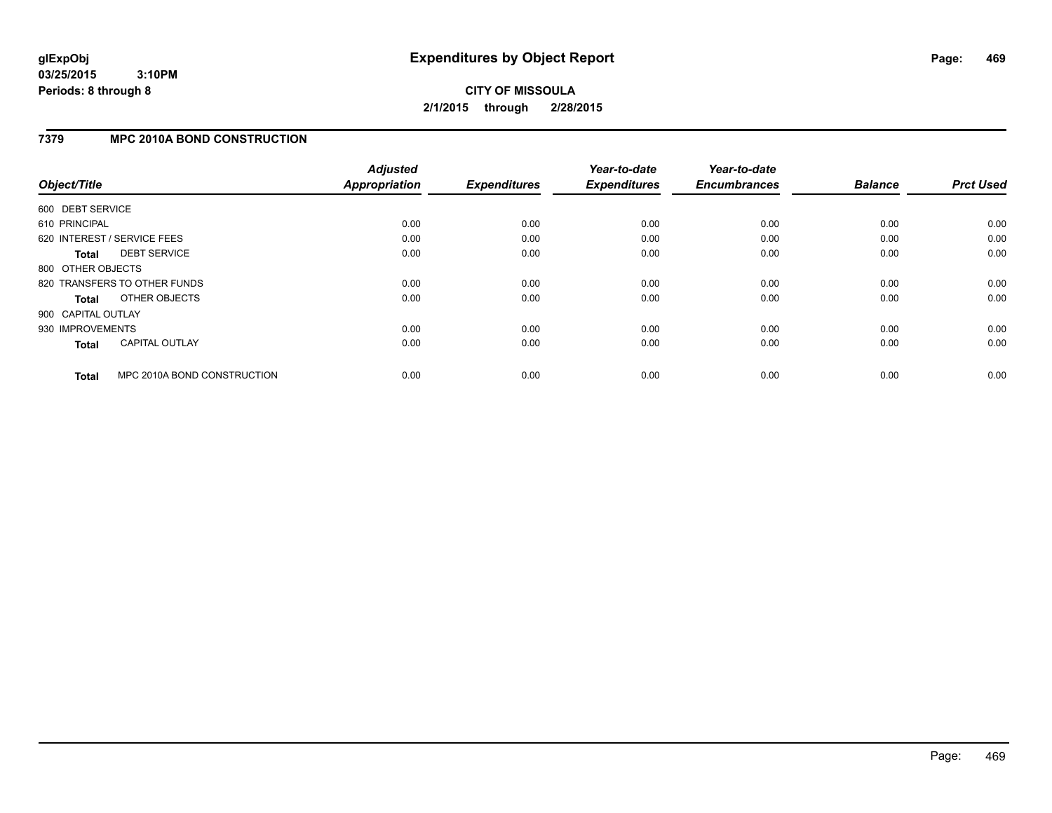# **CITY OF MISSOULA 2/1/2015 through 2/28/2015**

#### **7379 MPC 2010A BOND CONSTRUCTION**

| Object/Title       |                              | <b>Adjusted</b><br><b>Appropriation</b> | <b>Expenditures</b> | Year-to-date<br><b>Expenditures</b> | Year-to-date<br><b>Encumbrances</b> | <b>Balance</b> | <b>Prct Used</b> |
|--------------------|------------------------------|-----------------------------------------|---------------------|-------------------------------------|-------------------------------------|----------------|------------------|
| 600 DEBT SERVICE   |                              |                                         |                     |                                     |                                     |                |                  |
| 610 PRINCIPAL      |                              | 0.00                                    | 0.00                | 0.00                                | 0.00                                | 0.00           | 0.00             |
|                    | 620 INTEREST / SERVICE FEES  | 0.00                                    | 0.00                | 0.00                                | 0.00                                | 0.00           | 0.00             |
| <b>Total</b>       | <b>DEBT SERVICE</b>          | 0.00                                    | 0.00                | 0.00                                | 0.00                                | 0.00           | 0.00             |
| 800 OTHER OBJECTS  |                              |                                         |                     |                                     |                                     |                |                  |
|                    | 820 TRANSFERS TO OTHER FUNDS | 0.00                                    | 0.00                | 0.00                                | 0.00                                | 0.00           | 0.00             |
| Total              | OTHER OBJECTS                | 0.00                                    | 0.00                | 0.00                                | 0.00                                | 0.00           | 0.00             |
| 900 CAPITAL OUTLAY |                              |                                         |                     |                                     |                                     |                |                  |
| 930 IMPROVEMENTS   |                              | 0.00                                    | 0.00                | 0.00                                | 0.00                                | 0.00           | 0.00             |
| <b>Total</b>       | <b>CAPITAL OUTLAY</b>        | 0.00                                    | 0.00                | 0.00                                | 0.00                                | 0.00           | 0.00             |
| <b>Total</b>       | MPC 2010A BOND CONSTRUCTION  | 0.00                                    | 0.00                | 0.00                                | 0.00                                | 0.00           | 0.00             |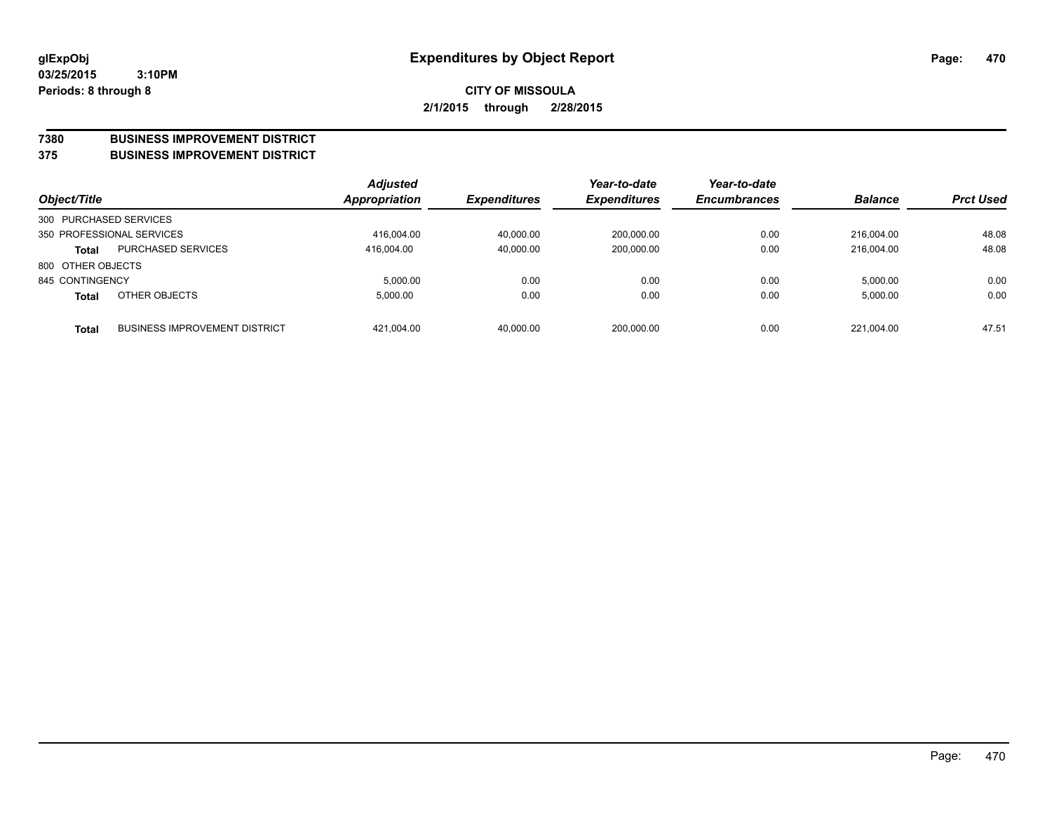#### **7380 BUSINESS IMPROVEMENT DISTRICT**

**375 BUSINESS IMPROVEMENT DISTRICT**

| Object/Title           |                                      | <b>Adjusted</b><br><b>Appropriation</b> | <b>Expenditures</b> | Year-to-date<br><b>Expenditures</b> | Year-to-date<br><b>Encumbrances</b> | <b>Balance</b> | <b>Prct Used</b> |
|------------------------|--------------------------------------|-----------------------------------------|---------------------|-------------------------------------|-------------------------------------|----------------|------------------|
| 300 PURCHASED SERVICES |                                      |                                         |                     |                                     |                                     |                |                  |
|                        | 350 PROFESSIONAL SERVICES            | 416.004.00                              | 40.000.00           | 200.000.00                          | 0.00                                | 216.004.00     | 48.08            |
| <b>Total</b>           | <b>PURCHASED SERVICES</b>            | 416.004.00                              | 40,000.00           | 200,000.00                          | 0.00                                | 216.004.00     | 48.08            |
| 800 OTHER OBJECTS      |                                      |                                         |                     |                                     |                                     |                |                  |
| 845 CONTINGENCY        |                                      | 5.000.00                                | 0.00                | 0.00                                | 0.00                                | 5.000.00       | 0.00             |
| <b>Total</b>           | OTHER OBJECTS                        | 5.000.00                                | 0.00                | 0.00                                | 0.00                                | 5,000.00       | 0.00             |
| <b>Total</b>           | <b>BUSINESS IMPROVEMENT DISTRICT</b> | 421.004.00                              | 40,000.00           | 200.000.00                          | 0.00                                | 221.004.00     | 47.51            |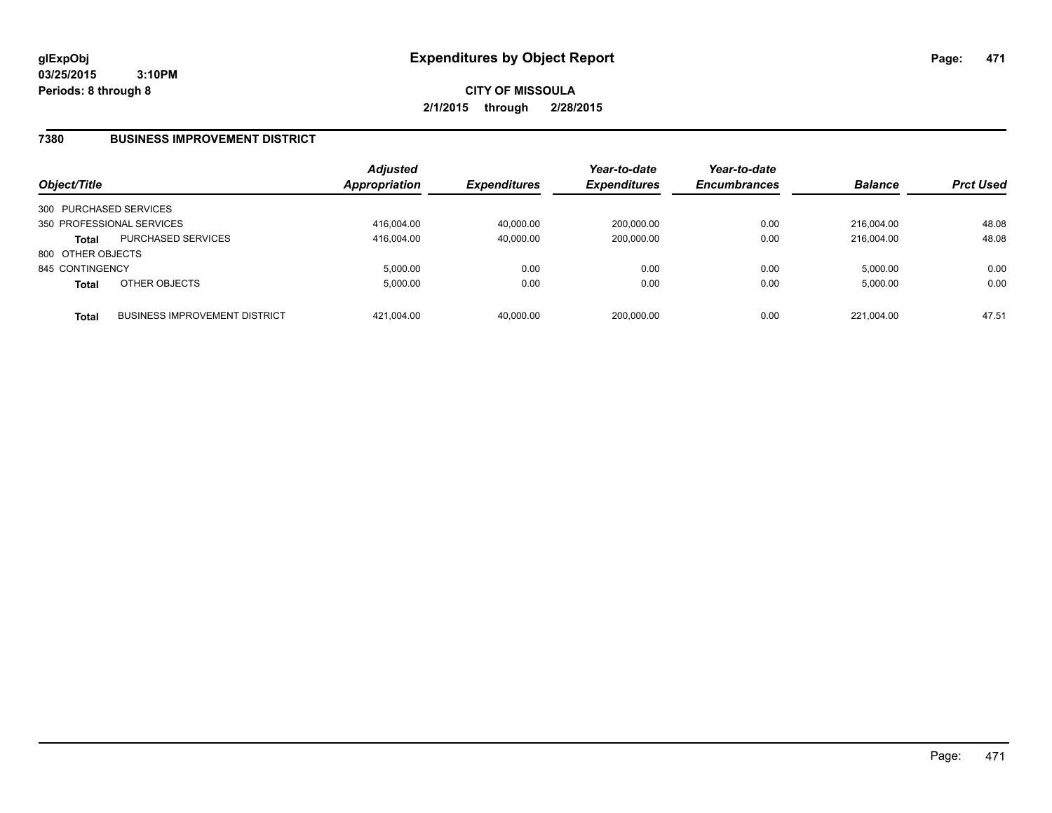**CITY OF MISSOULA 2/1/2015 through 2/28/2015**

#### **7380 BUSINESS IMPROVEMENT DISTRICT**

| Object/Title           |                                      | <b>Adjusted</b><br><b>Appropriation</b> | <b>Expenditures</b> | Year-to-date<br><b>Expenditures</b> | Year-to-date<br><b>Encumbrances</b> | <b>Balance</b> | <b>Prct Used</b> |
|------------------------|--------------------------------------|-----------------------------------------|---------------------|-------------------------------------|-------------------------------------|----------------|------------------|
| 300 PURCHASED SERVICES |                                      |                                         |                     |                                     |                                     |                |                  |
|                        | 350 PROFESSIONAL SERVICES            | 416.004.00                              | 40,000.00           | 200,000.00                          | 0.00                                | 216.004.00     | 48.08            |
| <b>Total</b>           | <b>PURCHASED SERVICES</b>            | 416.004.00                              | 40,000.00           | 200,000.00                          | 0.00                                | 216.004.00     | 48.08            |
| 800 OTHER OBJECTS      |                                      |                                         |                     |                                     |                                     |                |                  |
| 845 CONTINGENCY        |                                      | 5.000.00                                | 0.00                | 0.00                                | 0.00                                | 5.000.00       | 0.00             |
| <b>Total</b>           | OTHER OBJECTS                        | 5.000.00                                | 0.00                | 0.00                                | 0.00                                | 5,000.00       | 0.00             |
| <b>Total</b>           | <b>BUSINESS IMPROVEMENT DISTRICT</b> | 421.004.00                              | 40,000.00           | 200.000.00                          | 0.00                                | 221.004.00     | 47.51            |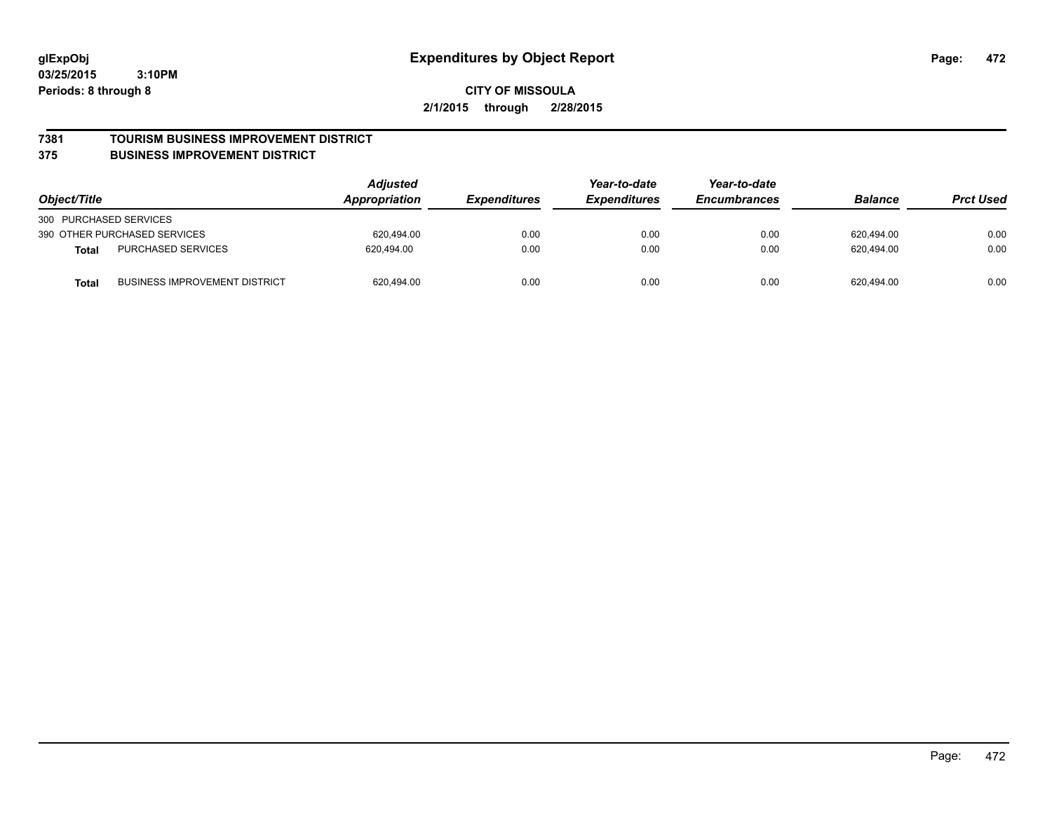#### **7381 TOURISM BUSINESS IMPROVEMENT DISTRICT**

#### **375 BUSINESS IMPROVEMENT DISTRICT**

| Object/Title                                         | <b>Adjusted</b><br>Appropriation | <i><b>Expenditures</b></i> | Year-to-date<br><b>Expenditures</b> | Year-to-date<br><b>Encumbrances</b> | <b>Balance</b> | <b>Prct Used</b> |
|------------------------------------------------------|----------------------------------|----------------------------|-------------------------------------|-------------------------------------|----------------|------------------|
| 300 PURCHASED SERVICES                               |                                  |                            |                                     |                                     |                |                  |
| 390 OTHER PURCHASED SERVICES                         | 620.494.00                       | 0.00                       | 0.00                                | 0.00                                | 620,494.00     | 0.00             |
| <b>PURCHASED SERVICES</b><br><b>Total</b>            | 620.494.00                       | 0.00                       | 0.00                                | 0.00                                | 620.494.00     | 0.00             |
| <b>BUSINESS IMPROVEMENT DISTRICT</b><br><b>Total</b> | 620,494.00                       | 0.00                       | 0.00                                | 0.00                                | 620,494.00     | 0.00             |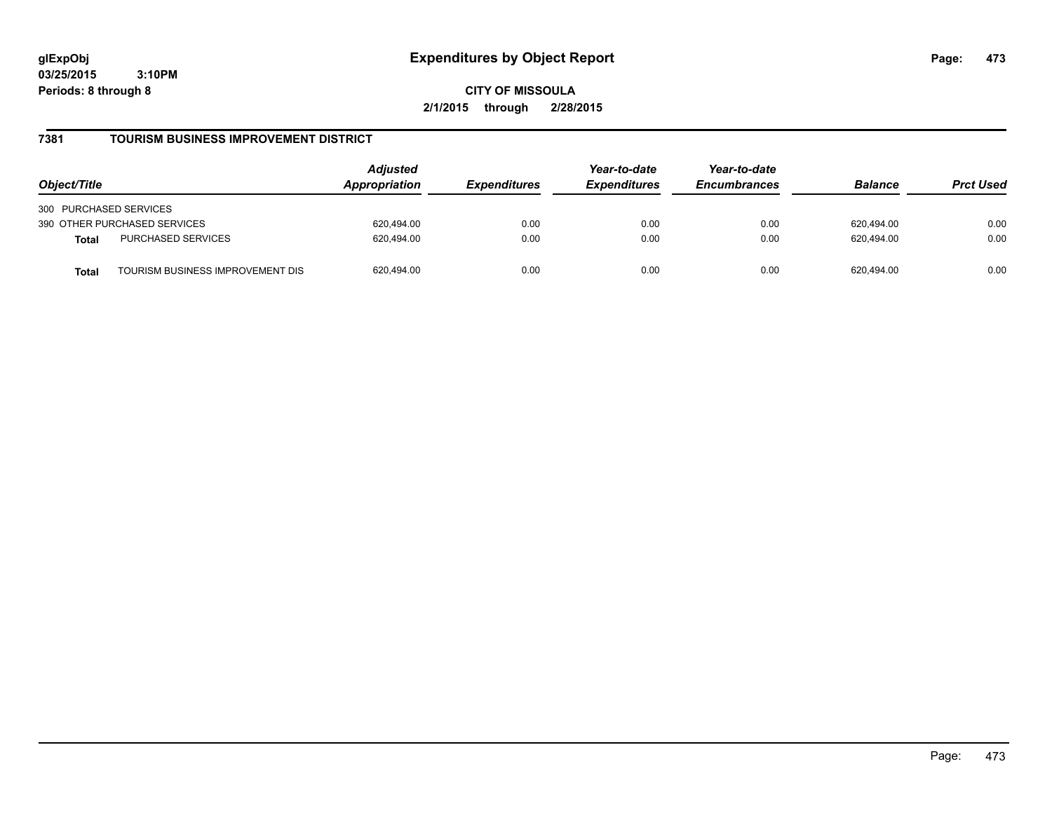**CITY OF MISSOULA 2/1/2015 through 2/28/2015**

#### **7381 TOURISM BUSINESS IMPROVEMENT DISTRICT**

| Object/Title                                     | <b>Adjusted</b><br>Appropriation<br><i><b>Expenditures</b></i> | Year-to-date<br><b>Expenditures</b> | Year-to-date<br><b>Encumbrances</b> | <b>Balance</b> | <b>Prct Used</b> |      |
|--------------------------------------------------|----------------------------------------------------------------|-------------------------------------|-------------------------------------|----------------|------------------|------|
| 300 PURCHASED SERVICES                           |                                                                |                                     |                                     |                |                  |      |
| 390 OTHER PURCHASED SERVICES                     | 620.494.00                                                     | 0.00                                | 0.00                                | 0.00           | 620.494.00       | 0.00 |
| PURCHASED SERVICES<br><b>Total</b>               | 620.494.00                                                     | 0.00                                | 0.00                                | 0.00           | 620.494.00       | 0.00 |
| TOURISM BUSINESS IMPROVEMENT DIS<br><b>Total</b> | 620,494.00                                                     | 0.00                                | 0.00                                | 0.00           | 620.494.00       | 0.00 |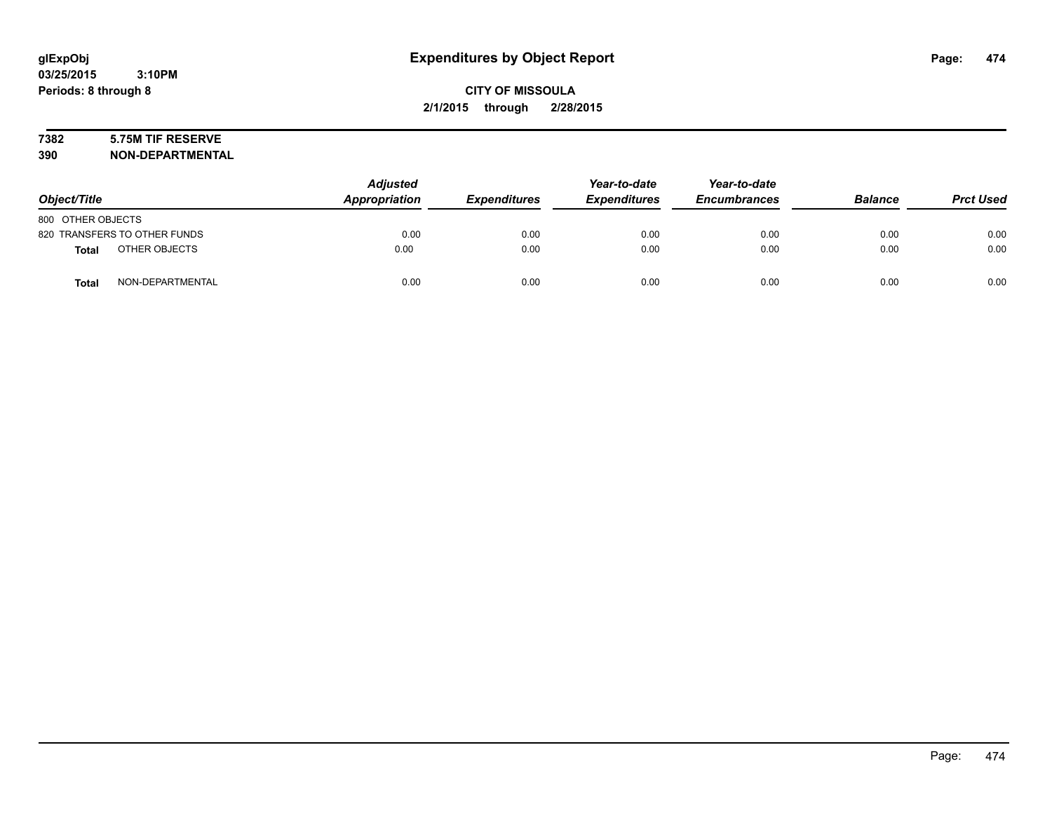# **7382 5.75M TIF RESERVE**

**390 NON-DEPARTMENTAL**

| Object/Title                     | <b>Adjusted</b><br>Appropriation | <b>Expenditures</b> | Year-to-date<br><b>Expenditures</b> | Year-to-date<br><b>Encumbrances</b> | <b>Balance</b> | <b>Prct Used</b> |
|----------------------------------|----------------------------------|---------------------|-------------------------------------|-------------------------------------|----------------|------------------|
| 800 OTHER OBJECTS                |                                  |                     |                                     |                                     |                |                  |
| 820 TRANSFERS TO OTHER FUNDS     | 0.00                             | 0.00                | 0.00                                | 0.00                                | 0.00           | 0.00             |
| OTHER OBJECTS<br><b>Total</b>    | 0.00                             | 0.00                | 0.00                                | 0.00                                | 0.00           | 0.00             |
| NON-DEPARTMENTAL<br><b>Total</b> | 0.00                             | 0.00                | 0.00                                | 0.00                                | 0.00           | 0.00             |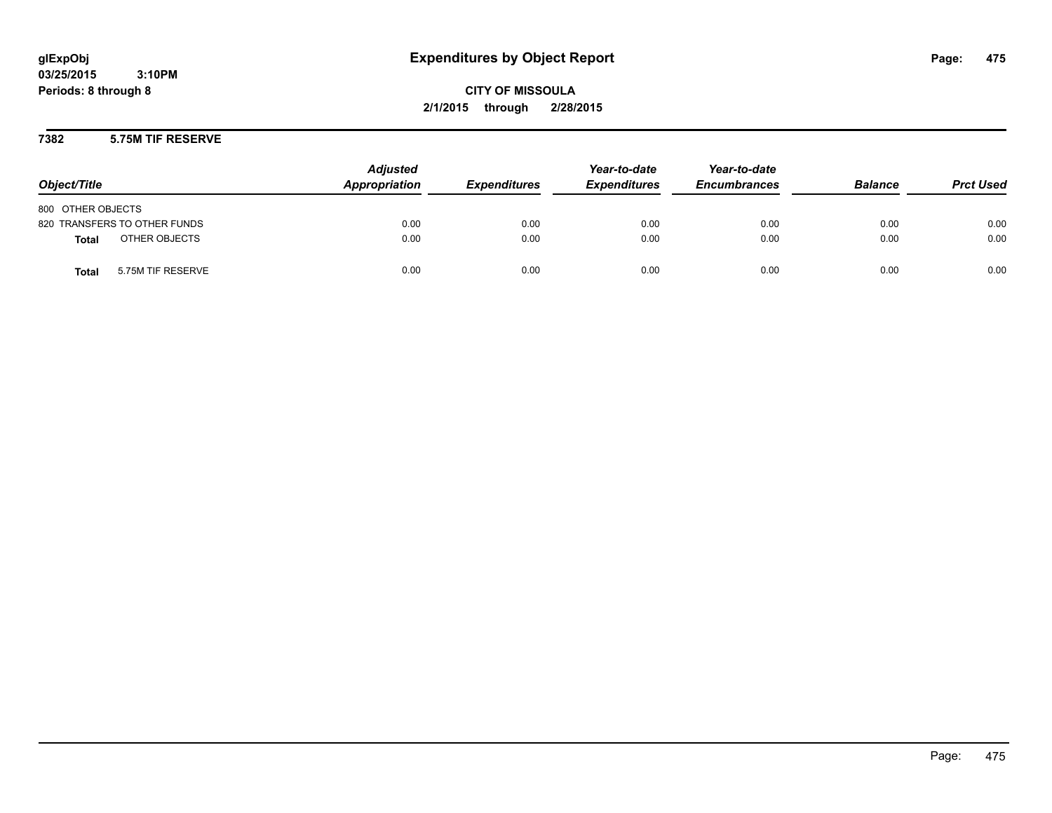**CITY OF MISSOULA 2/1/2015 through 2/28/2015**

#### **7382 5.75M TIF RESERVE**

| Object/Title                      | <b>Adjusted</b><br>Appropriation | <b>Expenditures</b> | Year-to-date<br><b>Expenditures</b> | Year-to-date<br><b>Encumbrances</b> | <b>Balance</b> | <b>Prct Used</b> |
|-----------------------------------|----------------------------------|---------------------|-------------------------------------|-------------------------------------|----------------|------------------|
| 800 OTHER OBJECTS                 |                                  |                     |                                     |                                     |                |                  |
| 820 TRANSFERS TO OTHER FUNDS      | 0.00                             | 0.00                | 0.00                                | 0.00                                | 0.00           | 0.00             |
| OTHER OBJECTS<br><b>Total</b>     | 0.00                             | 0.00                | 0.00                                | 0.00                                | 0.00           | 0.00             |
| 5.75M TIF RESERVE<br><b>Total</b> | 0.00                             | 0.00                | 0.00                                | 0.00                                | 0.00           | 0.00             |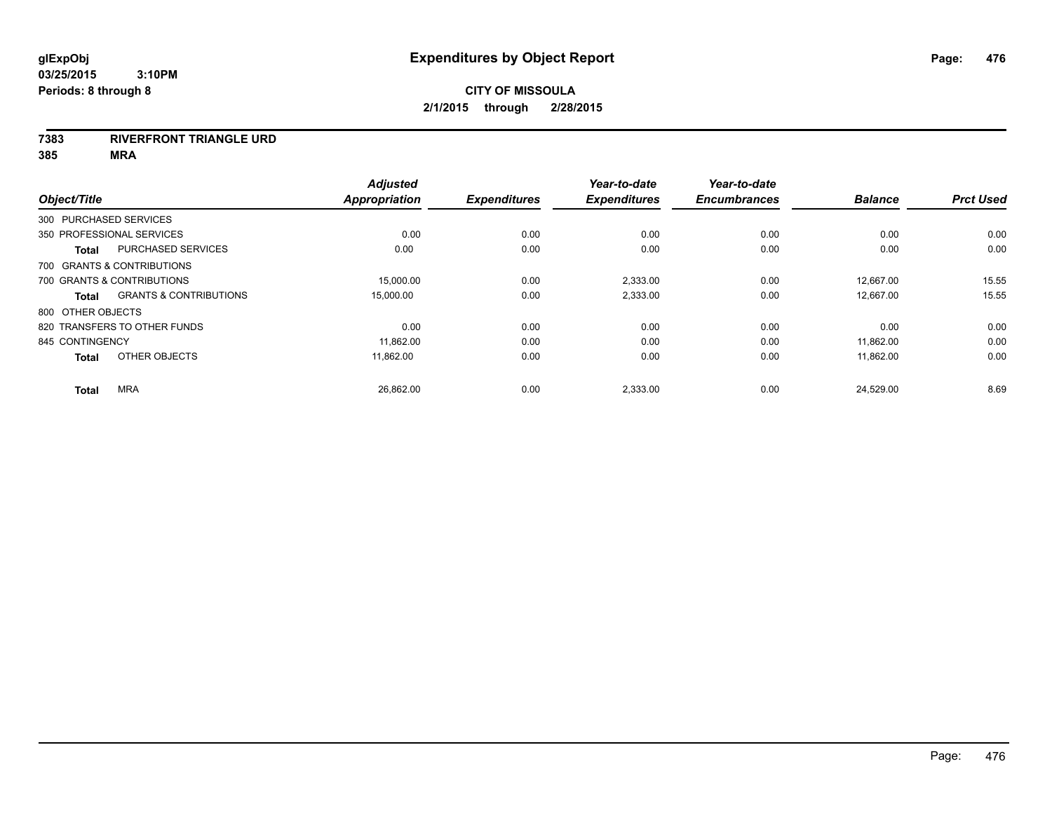#### **7383 RIVERFRONT TRIANGLE URD**

| Object/Title      |                                   | <b>Adjusted</b><br><b>Appropriation</b> | <b>Expenditures</b> | Year-to-date<br><b>Expenditures</b> | Year-to-date<br><b>Encumbrances</b> | <b>Balance</b> | <b>Prct Used</b> |
|-------------------|-----------------------------------|-----------------------------------------|---------------------|-------------------------------------|-------------------------------------|----------------|------------------|
|                   | 300 PURCHASED SERVICES            |                                         |                     |                                     |                                     |                |                  |
|                   | 350 PROFESSIONAL SERVICES         | 0.00                                    | 0.00                | 0.00                                | 0.00                                | 0.00           | 0.00             |
| <b>Total</b>      | PURCHASED SERVICES                | 0.00                                    | 0.00                | 0.00                                | 0.00                                | 0.00           | 0.00             |
|                   | 700 GRANTS & CONTRIBUTIONS        |                                         |                     |                                     |                                     |                |                  |
|                   | 700 GRANTS & CONTRIBUTIONS        | 15,000.00                               | 0.00                | 2,333.00                            | 0.00                                | 12,667.00      | 15.55            |
| <b>Total</b>      | <b>GRANTS &amp; CONTRIBUTIONS</b> | 15,000.00                               | 0.00                | 2,333.00                            | 0.00                                | 12,667.00      | 15.55            |
| 800 OTHER OBJECTS |                                   |                                         |                     |                                     |                                     |                |                  |
|                   | 820 TRANSFERS TO OTHER FUNDS      | 0.00                                    | 0.00                | 0.00                                | 0.00                                | 0.00           | 0.00             |
| 845 CONTINGENCY   |                                   | 11,862.00                               | 0.00                | 0.00                                | 0.00                                | 11,862.00      | 0.00             |
| <b>Total</b>      | OTHER OBJECTS                     | 11.862.00                               | 0.00                | 0.00                                | 0.00                                | 11,862.00      | 0.00             |
| <b>Total</b>      | <b>MRA</b>                        | 26,862.00                               | 0.00                | 2,333.00                            | 0.00                                | 24,529.00      | 8.69             |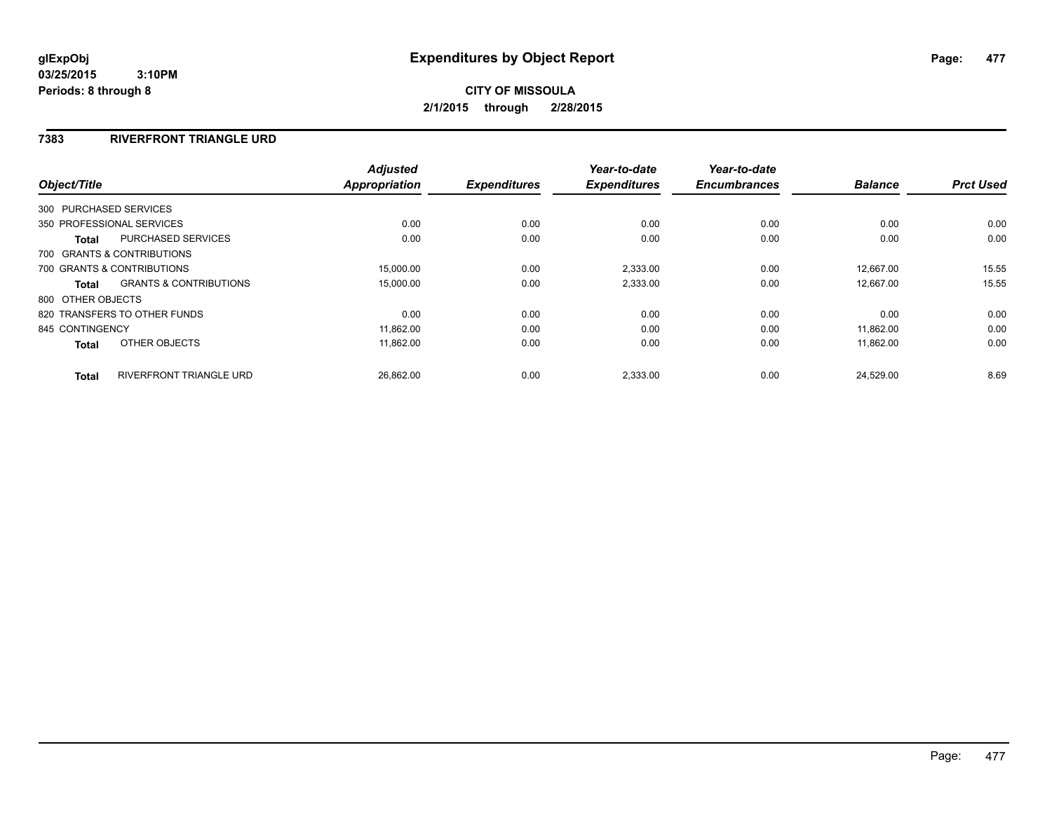#### **7383 RIVERFRONT TRIANGLE URD**

|                   |                                   | <b>Adjusted</b>      |                     | Year-to-date        | Year-to-date        |                |                  |
|-------------------|-----------------------------------|----------------------|---------------------|---------------------|---------------------|----------------|------------------|
| Object/Title      |                                   | <b>Appropriation</b> | <b>Expenditures</b> | <b>Expenditures</b> | <b>Encumbrances</b> | <b>Balance</b> | <b>Prct Used</b> |
|                   | 300 PURCHASED SERVICES            |                      |                     |                     |                     |                |                  |
|                   | 350 PROFESSIONAL SERVICES         | 0.00                 | 0.00                | 0.00                | 0.00                | 0.00           | 0.00             |
| <b>Total</b>      | PURCHASED SERVICES                | 0.00                 | 0.00                | 0.00                | 0.00                | 0.00           | 0.00             |
|                   | 700 GRANTS & CONTRIBUTIONS        |                      |                     |                     |                     |                |                  |
|                   | 700 GRANTS & CONTRIBUTIONS        | 15,000.00            | 0.00                | 2,333.00            | 0.00                | 12.667.00      | 15.55            |
| Total             | <b>GRANTS &amp; CONTRIBUTIONS</b> | 15,000.00            | 0.00                | 2,333.00            | 0.00                | 12.667.00      | 15.55            |
| 800 OTHER OBJECTS |                                   |                      |                     |                     |                     |                |                  |
|                   | 820 TRANSFERS TO OTHER FUNDS      | 0.00                 | 0.00                | 0.00                | 0.00                | 0.00           | 0.00             |
| 845 CONTINGENCY   |                                   | 11,862.00            | 0.00                | 0.00                | 0.00                | 11.862.00      | 0.00             |
| <b>Total</b>      | OTHER OBJECTS                     | 11,862.00            | 0.00                | 0.00                | 0.00                | 11,862.00      | 0.00             |
| <b>Total</b>      | <b>RIVERFRONT TRIANGLE URD</b>    | 26,862.00            | 0.00                | 2,333.00            | 0.00                | 24,529.00      | 8.69             |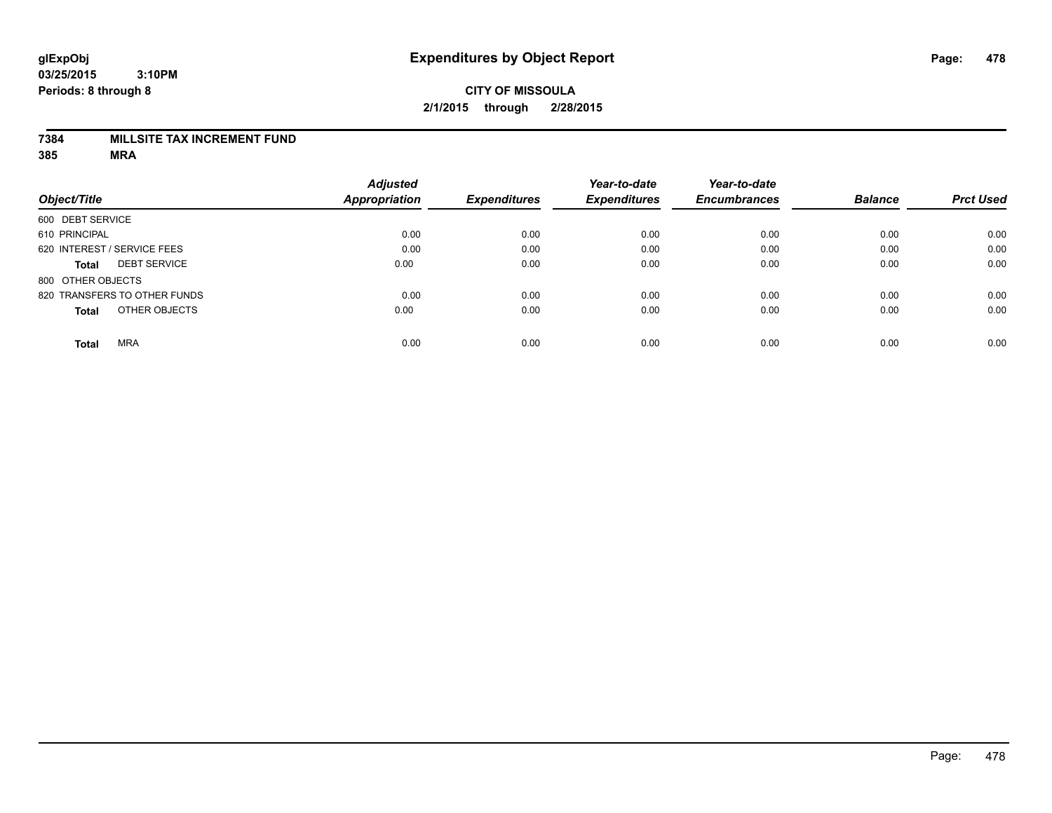#### **7384 MILLSITE TAX INCREMENT FUND**

|                              |                     | <b>Adjusted</b>      |                     | Year-to-date        | Year-to-date        |                |                  |
|------------------------------|---------------------|----------------------|---------------------|---------------------|---------------------|----------------|------------------|
| Object/Title                 |                     | <b>Appropriation</b> | <b>Expenditures</b> | <b>Expenditures</b> | <b>Encumbrances</b> | <b>Balance</b> | <b>Prct Used</b> |
| 600 DEBT SERVICE             |                     |                      |                     |                     |                     |                |                  |
| 610 PRINCIPAL                |                     | 0.00                 | 0.00                | 0.00                | 0.00                | 0.00           | 0.00             |
| 620 INTEREST / SERVICE FEES  |                     | 0.00                 | 0.00                | 0.00                | 0.00                | 0.00           | 0.00             |
| Total                        | <b>DEBT SERVICE</b> | 0.00                 | 0.00                | 0.00                | 0.00                | 0.00           | 0.00             |
| 800 OTHER OBJECTS            |                     |                      |                     |                     |                     |                |                  |
| 820 TRANSFERS TO OTHER FUNDS |                     | 0.00                 | 0.00                | 0.00                | 0.00                | 0.00           | 0.00             |
| <b>Total</b>                 | OTHER OBJECTS       | 0.00                 | 0.00                | 0.00                | 0.00                | 0.00           | 0.00             |
| <b>MRA</b><br><b>Total</b>   |                     | 0.00                 | 0.00                | 0.00                | 0.00                | 0.00           | 0.00             |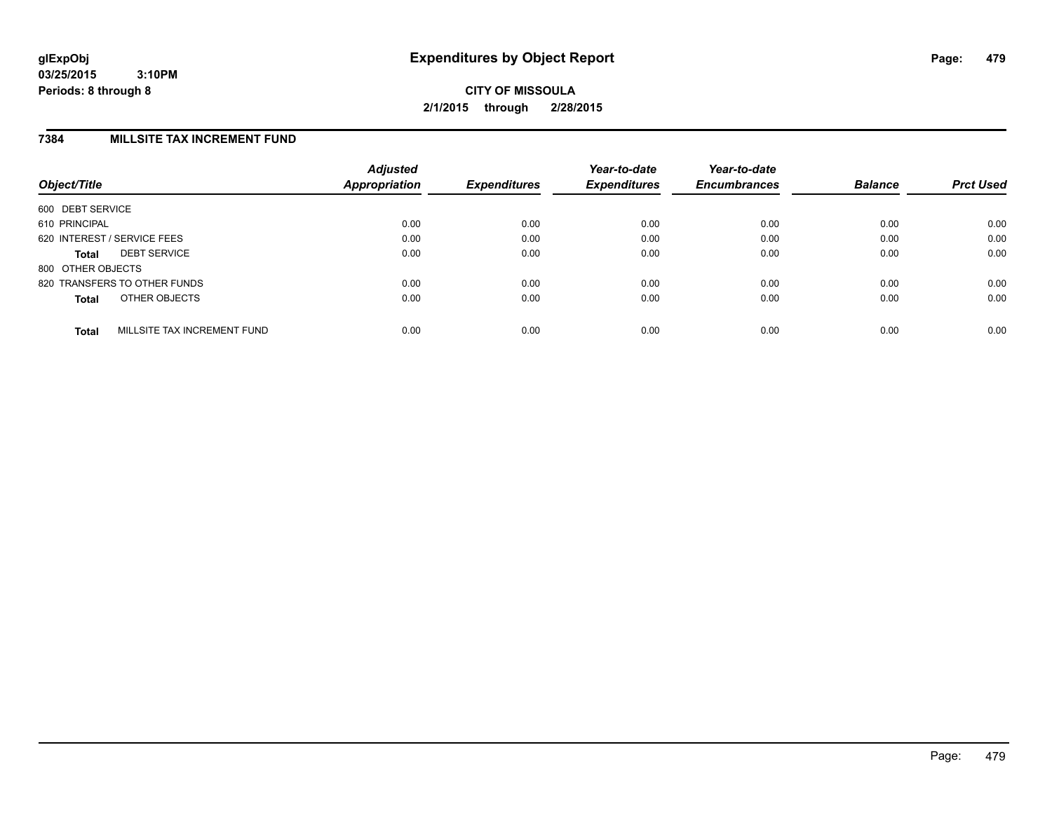**CITY OF MISSOULA 2/1/2015 through 2/28/2015**

#### **7384 MILLSITE TAX INCREMENT FUND**

| Object/Title      |                              | <b>Adjusted</b><br>Appropriation | <b>Expenditures</b> | Year-to-date<br><b>Expenditures</b> | Year-to-date<br><b>Encumbrances</b> | <b>Balance</b> | <b>Prct Used</b> |
|-------------------|------------------------------|----------------------------------|---------------------|-------------------------------------|-------------------------------------|----------------|------------------|
| 600 DEBT SERVICE  |                              |                                  |                     |                                     |                                     |                |                  |
| 610 PRINCIPAL     |                              | 0.00                             | 0.00                | 0.00                                | 0.00                                | 0.00           | 0.00             |
|                   | 620 INTEREST / SERVICE FEES  | 0.00                             | 0.00                | 0.00                                | 0.00                                | 0.00           | 0.00             |
| <b>Total</b>      | <b>DEBT SERVICE</b>          | 0.00                             | 0.00                | 0.00                                | 0.00                                | 0.00           | 0.00             |
| 800 OTHER OBJECTS |                              |                                  |                     |                                     |                                     |                |                  |
|                   | 820 TRANSFERS TO OTHER FUNDS | 0.00                             | 0.00                | 0.00                                | 0.00                                | 0.00           | 0.00             |
| <b>Total</b>      | OTHER OBJECTS                | 0.00                             | 0.00                | 0.00                                | 0.00                                | 0.00           | 0.00             |
| <b>Total</b>      | MILLSITE TAX INCREMENT FUND  | 0.00                             | 0.00                | 0.00                                | 0.00                                | 0.00           | 0.00             |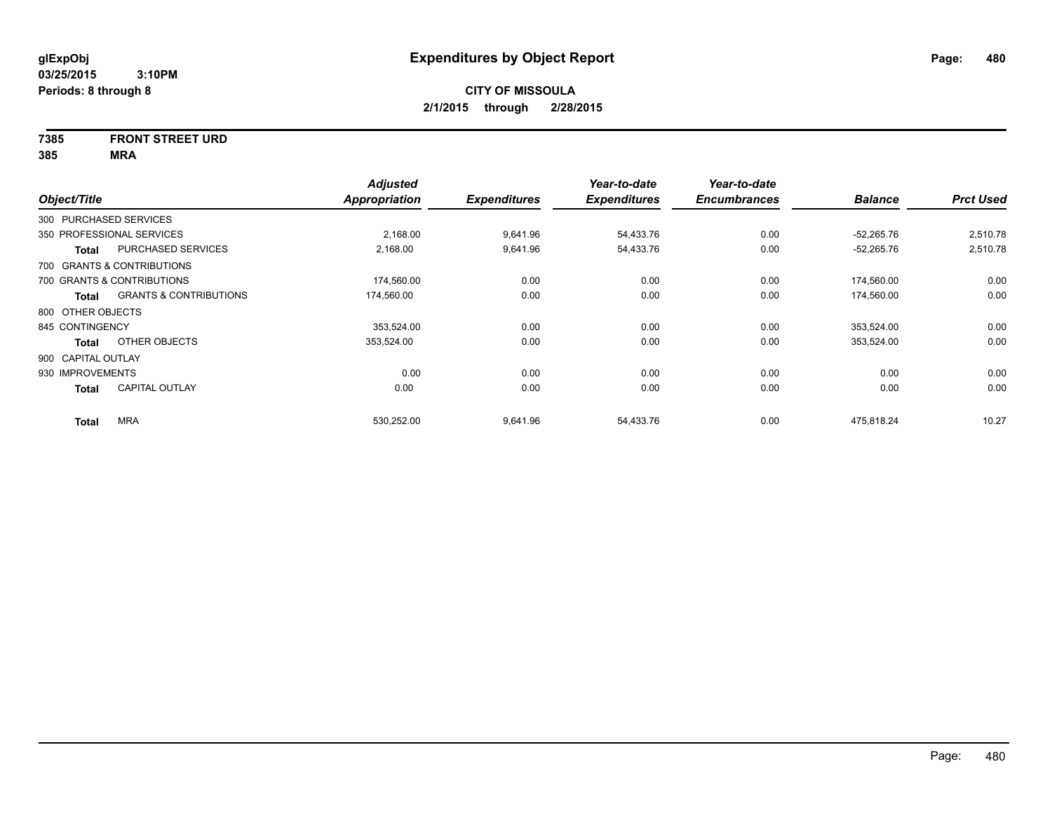# **7385 FRONT STREET URD**

| Object/Title           |                                   | <b>Adjusted</b><br>Appropriation | <b>Expenditures</b> | Year-to-date<br><b>Expenditures</b> | Year-to-date<br><b>Encumbrances</b> | <b>Balance</b> | <b>Prct Used</b> |
|------------------------|-----------------------------------|----------------------------------|---------------------|-------------------------------------|-------------------------------------|----------------|------------------|
| 300 PURCHASED SERVICES |                                   |                                  |                     |                                     |                                     |                |                  |
|                        | 350 PROFESSIONAL SERVICES         | 2,168.00                         | 9,641.96            | 54,433.76                           | 0.00                                | $-52,265.76$   | 2,510.78         |
| Total                  | PURCHASED SERVICES                | 2,168.00                         | 9,641.96            | 54,433.76                           | 0.00                                | $-52,265.76$   | 2,510.78         |
|                        | 700 GRANTS & CONTRIBUTIONS        |                                  |                     |                                     |                                     |                |                  |
|                        | 700 GRANTS & CONTRIBUTIONS        | 174,560.00                       | 0.00                | 0.00                                | 0.00                                | 174,560.00     | 0.00             |
| <b>Total</b>           | <b>GRANTS &amp; CONTRIBUTIONS</b> | 174,560.00                       | 0.00                | 0.00                                | 0.00                                | 174,560.00     | 0.00             |
| 800 OTHER OBJECTS      |                                   |                                  |                     |                                     |                                     |                |                  |
| 845 CONTINGENCY        |                                   | 353,524.00                       | 0.00                | 0.00                                | 0.00                                | 353,524.00     | 0.00             |
| <b>Total</b>           | OTHER OBJECTS                     | 353,524.00                       | 0.00                | 0.00                                | 0.00                                | 353,524.00     | 0.00             |
| 900 CAPITAL OUTLAY     |                                   |                                  |                     |                                     |                                     |                |                  |
| 930 IMPROVEMENTS       |                                   | 0.00                             | 0.00                | 0.00                                | 0.00                                | 0.00           | 0.00             |
| <b>Total</b>           | <b>CAPITAL OUTLAY</b>             | 0.00                             | 0.00                | 0.00                                | 0.00                                | 0.00           | 0.00             |
| <b>Total</b>           | <b>MRA</b>                        | 530,252.00                       | 9,641.96            | 54,433.76                           | 0.00                                | 475,818.24     | 10.27            |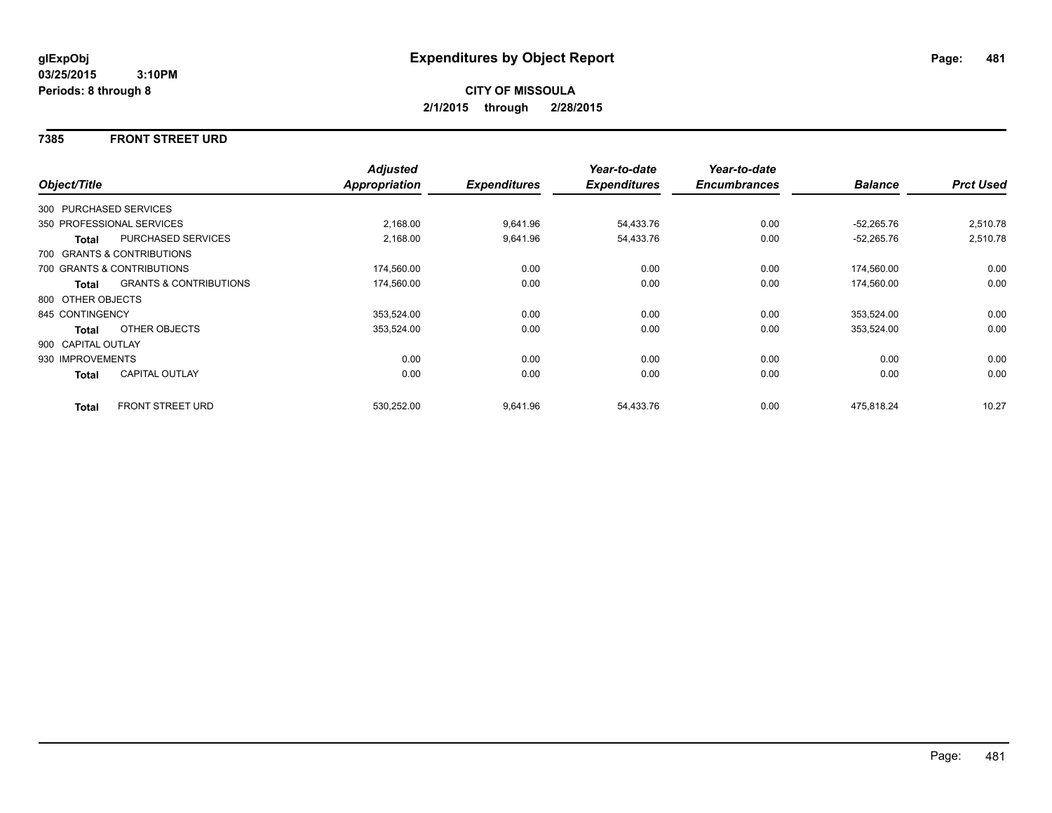#### **7385 FRONT STREET URD**

|                    |                                   | <b>Adjusted</b>      |                     | Year-to-date        | Year-to-date        |                |                  |
|--------------------|-----------------------------------|----------------------|---------------------|---------------------|---------------------|----------------|------------------|
| Object/Title       |                                   | <b>Appropriation</b> | <b>Expenditures</b> | <b>Expenditures</b> | <b>Encumbrances</b> | <b>Balance</b> | <b>Prct Used</b> |
|                    | 300 PURCHASED SERVICES            |                      |                     |                     |                     |                |                  |
|                    | 350 PROFESSIONAL SERVICES         | 2,168.00             | 9,641.96            | 54,433.76           | 0.00                | $-52,265.76$   | 2,510.78         |
| <b>Total</b>       | PURCHASED SERVICES                | 2,168.00             | 9,641.96            | 54,433.76           | 0.00                | $-52,265.76$   | 2,510.78         |
|                    | 700 GRANTS & CONTRIBUTIONS        |                      |                     |                     |                     |                |                  |
|                    | 700 GRANTS & CONTRIBUTIONS        | 174,560.00           | 0.00                | 0.00                | 0.00                | 174,560.00     | 0.00             |
| Total              | <b>GRANTS &amp; CONTRIBUTIONS</b> | 174,560.00           | 0.00                | 0.00                | 0.00                | 174,560.00     | 0.00             |
| 800 OTHER OBJECTS  |                                   |                      |                     |                     |                     |                |                  |
| 845 CONTINGENCY    |                                   | 353,524.00           | 0.00                | 0.00                | 0.00                | 353,524.00     | 0.00             |
| Total              | OTHER OBJECTS                     | 353,524.00           | 0.00                | 0.00                | 0.00                | 353,524.00     | 0.00             |
| 900 CAPITAL OUTLAY |                                   |                      |                     |                     |                     |                |                  |
| 930 IMPROVEMENTS   |                                   | 0.00                 | 0.00                | 0.00                | 0.00                | 0.00           | 0.00             |
| Total              | <b>CAPITAL OUTLAY</b>             | 0.00                 | 0.00                | 0.00                | 0.00                | 0.00           | 0.00             |
| <b>Total</b>       | <b>FRONT STREET URD</b>           | 530,252.00           | 9,641.96            | 54,433.76           | 0.00                | 475,818.24     | 10.27            |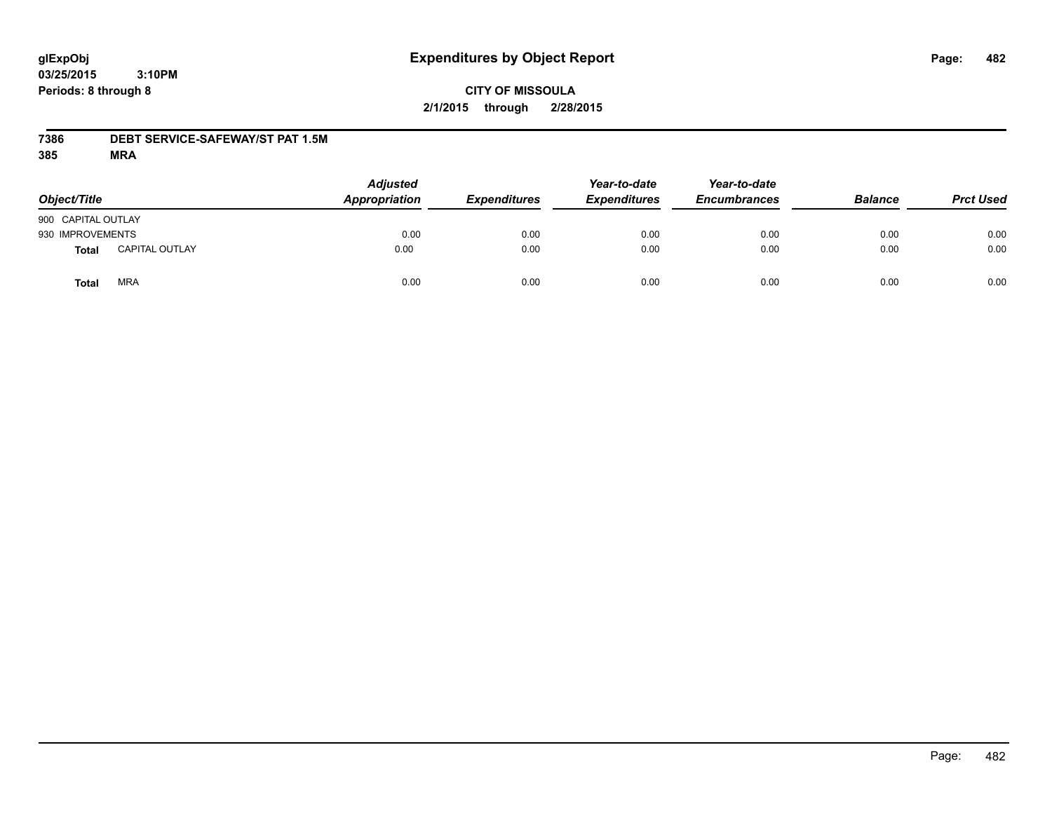#### **CITY OF MISSOULA 2/1/2015 through 2/28/2015**

#### **7386 DEBT SERVICE-SAFEWAY/ST PAT 1.5M**

| Object/Title       |                       | <b>Adjusted</b><br>Appropriation | <b>Expenditures</b> | Year-to-date<br><b>Expenditures</b> | Year-to-date<br><b>Encumbrances</b> | <b>Balance</b> | <b>Prct Used</b> |
|--------------------|-----------------------|----------------------------------|---------------------|-------------------------------------|-------------------------------------|----------------|------------------|
| 900 CAPITAL OUTLAY |                       |                                  |                     |                                     |                                     |                |                  |
| 930 IMPROVEMENTS   |                       | 0.00                             | 0.00                | 0.00                                | 0.00                                | 0.00           | 0.00             |
| Total              | <b>CAPITAL OUTLAY</b> | 0.00                             | 0.00                | 0.00                                | 0.00                                | 0.00           | 0.00             |
| Total              | <b>MRA</b>            | 0.00                             | 0.00                | 0.00                                | 0.00                                | 0.00           | 0.00             |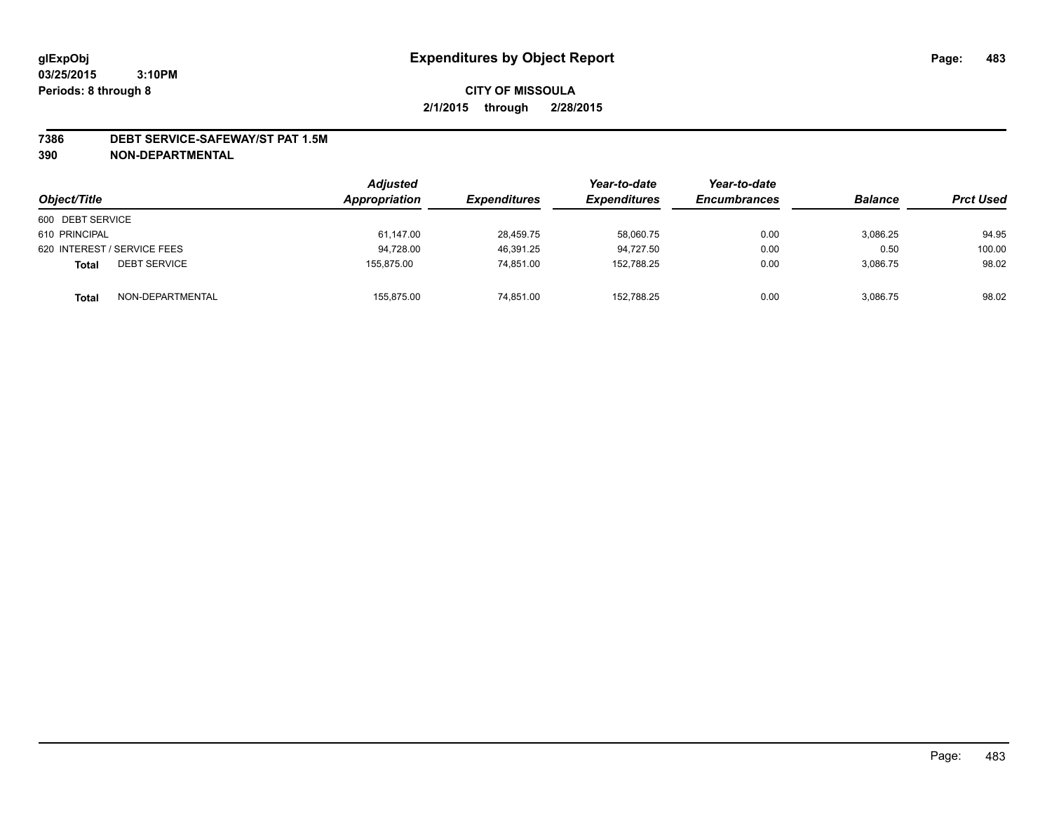#### **7386 DEBT SERVICE-SAFEWAY/ST PAT 1.5M**

**390 NON-DEPARTMENTAL**

| Object/Title                        | <b>Adjusted</b><br>Appropriation | <i><b>Expenditures</b></i> | Year-to-date<br><b>Expenditures</b> | Year-to-date<br><b>Encumbrances</b> | <b>Balance</b> | <b>Prct Used</b> |
|-------------------------------------|----------------------------------|----------------------------|-------------------------------------|-------------------------------------|----------------|------------------|
| 600 DEBT SERVICE                    |                                  |                            |                                     |                                     |                |                  |
| 610 PRINCIPAL                       | 61,147.00                        | 28,459.75                  | 58.060.75                           | 0.00                                | 3,086.25       | 94.95            |
| 620 INTEREST / SERVICE FEES         | 94.728.00                        | 46.391.25                  | 94.727.50                           | 0.00                                | 0.50           | 100.00           |
| <b>DEBT SERVICE</b><br><b>Total</b> | 155.875.00                       | 74.851.00                  | 152.788.25                          | 0.00                                | 3,086.75       | 98.02            |
| NON-DEPARTMENTAL<br><b>Total</b>    | 155,875.00                       | 74,851.00                  | 152,788.25                          | 0.00                                | 3,086.75       | 98.02            |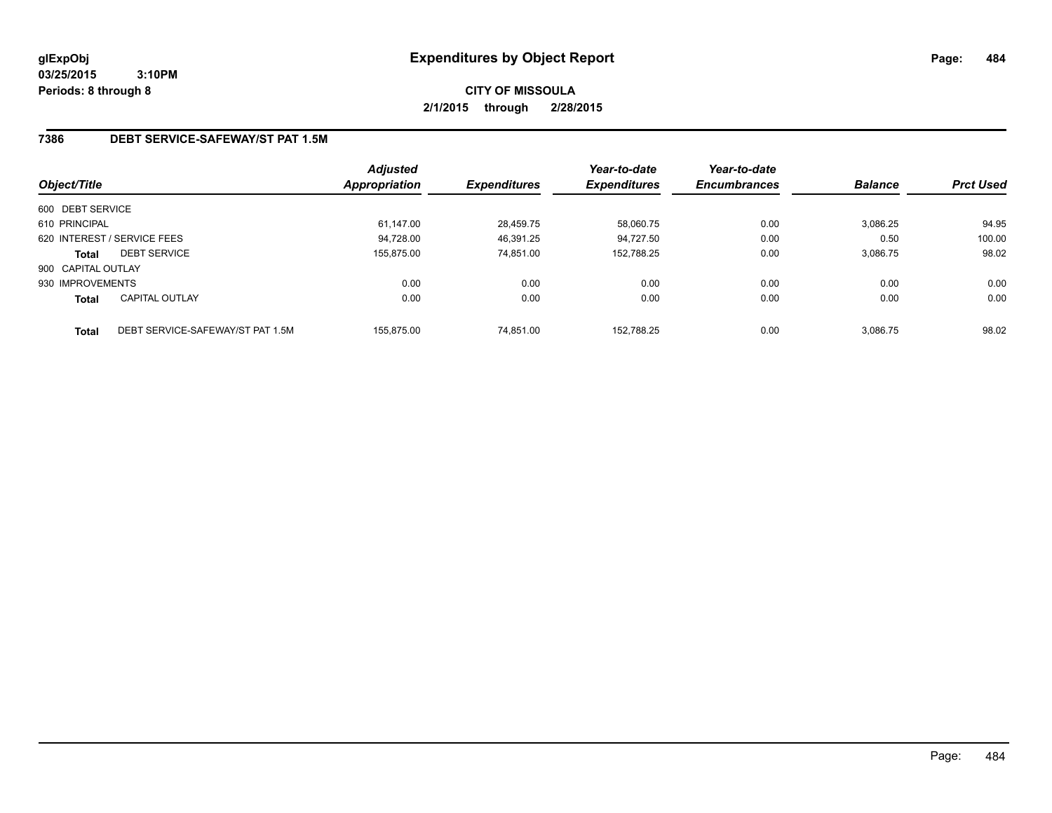# **CITY OF MISSOULA 2/1/2015 through 2/28/2015**

#### **7386 DEBT SERVICE-SAFEWAY/ST PAT 1.5M**

| Object/Title       |                                  | Adjusted<br>Appropriation | <b>Expenditures</b> | Year-to-date<br><b>Expenditures</b> | Year-to-date<br><b>Encumbrances</b> | <b>Balance</b> | <b>Prct Used</b> |
|--------------------|----------------------------------|---------------------------|---------------------|-------------------------------------|-------------------------------------|----------------|------------------|
| 600 DEBT SERVICE   |                                  |                           |                     |                                     |                                     |                |                  |
| 610 PRINCIPAL      |                                  | 61.147.00                 | 28,459.75           | 58,060.75                           | 0.00                                | 3,086.25       | 94.95            |
|                    | 620 INTEREST / SERVICE FEES      | 94.728.00                 | 46.391.25           | 94.727.50                           | 0.00                                | 0.50           | 100.00           |
| <b>Total</b>       | <b>DEBT SERVICE</b>              | 155.875.00                | 74.851.00           | 152.788.25                          | 0.00                                | 3,086.75       | 98.02            |
| 900 CAPITAL OUTLAY |                                  |                           |                     |                                     |                                     |                |                  |
| 930 IMPROVEMENTS   |                                  | 0.00                      | 0.00                | 0.00                                | 0.00                                | 0.00           | 0.00             |
| <b>Total</b>       | <b>CAPITAL OUTLAY</b>            | 0.00                      | 0.00                | 0.00                                | 0.00                                | 0.00           | 0.00             |
| <b>Total</b>       | DEBT SERVICE-SAFEWAY/ST PAT 1.5M | 155.875.00                | 74.851.00           | 152.788.25                          | 0.00                                | 3,086.75       | 98.02            |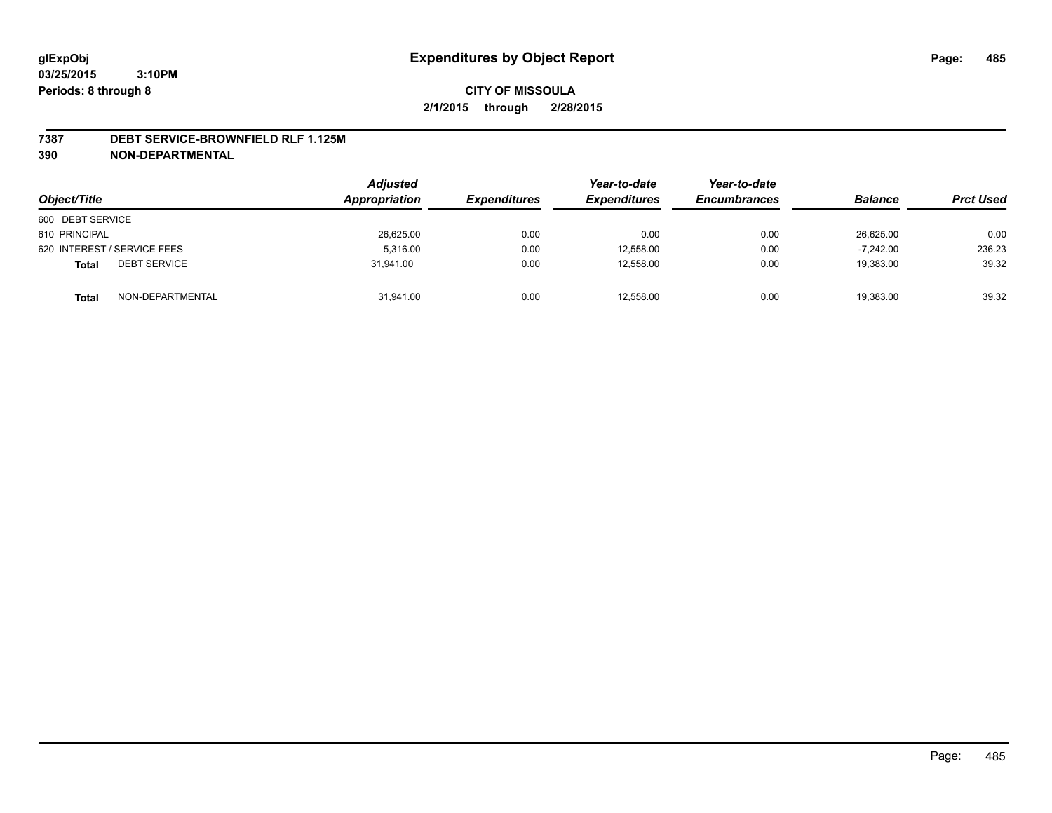#### **7387 DEBT SERVICE-BROWNFIELD RLF 1.125M**

**390 NON-DEPARTMENTAL**

| Object/Title                        | Adjusted<br>Appropriation | <b>Expenditures</b> | Year-to-date<br><b>Expenditures</b> | Year-to-date<br><b>Encumbrances</b> | <b>Balance</b> | <b>Prct Used</b> |
|-------------------------------------|---------------------------|---------------------|-------------------------------------|-------------------------------------|----------------|------------------|
| 600 DEBT SERVICE                    |                           |                     |                                     |                                     |                |                  |
| 610 PRINCIPAL                       | 26,625.00                 | 0.00                | 0.00                                | 0.00                                | 26.625.00      | 0.00             |
| 620 INTEREST / SERVICE FEES         | 5.316.00                  | 0.00                | 12,558.00                           | 0.00                                | $-7.242.00$    | 236.23           |
| <b>DEBT SERVICE</b><br><b>Total</b> | 31.941.00                 | 0.00                | 12.558.00                           | 0.00                                | 19,383.00      | 39.32            |
| NON-DEPARTMENTAL<br><b>Total</b>    | 31,941.00                 | 0.00                | 12,558.00                           | 0.00                                | 19,383.00      | 39.32            |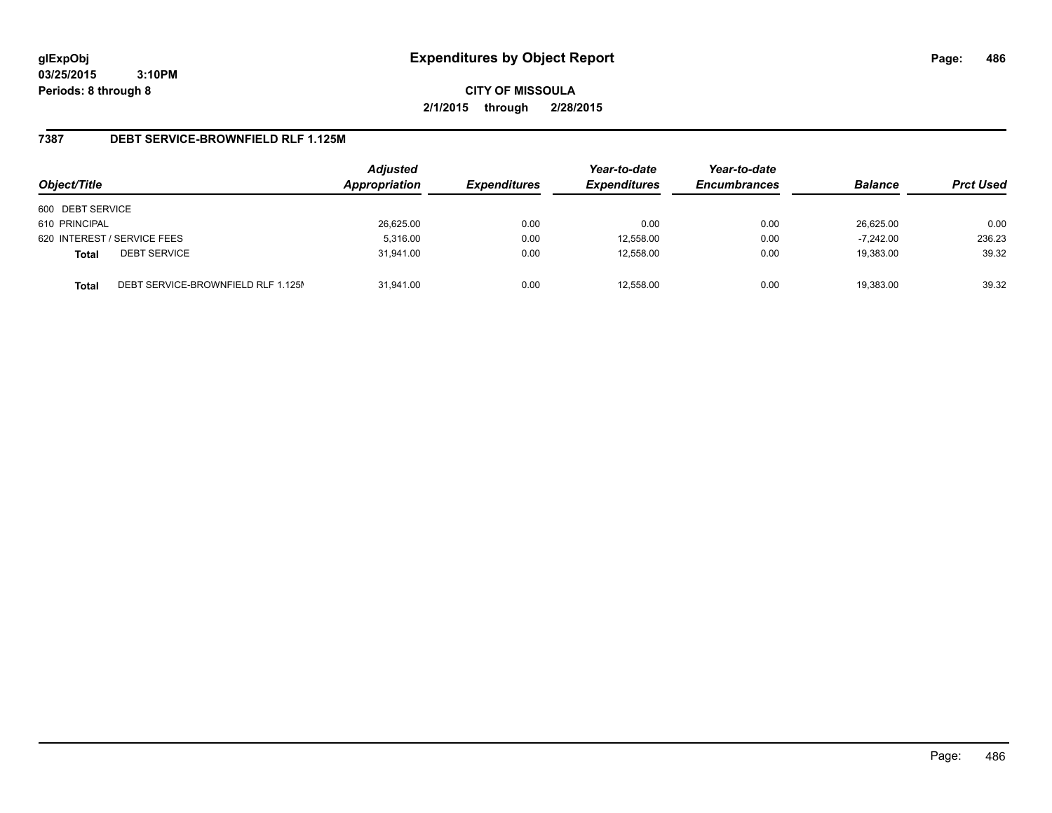**CITY OF MISSOULA 2/1/2015 through 2/28/2015**

#### **7387 DEBT SERVICE-BROWNFIELD RLF 1.125M**

| Object/Title                                       | <b>Adjusted</b><br>Appropriation | <b>Expenditures</b> | Year-to-date<br><b>Expenditures</b> | Year-to-date<br><b>Encumbrances</b> | <b>Balance</b> | <b>Prct Used</b> |
|----------------------------------------------------|----------------------------------|---------------------|-------------------------------------|-------------------------------------|----------------|------------------|
| 600 DEBT SERVICE                                   |                                  |                     |                                     |                                     |                |                  |
| 610 PRINCIPAL                                      | 26,625.00                        | 0.00                | 0.00                                | 0.00                                | 26,625.00      | 0.00             |
| 620 INTEREST / SERVICE FEES                        | 5,316.00                         | 0.00                | 12,558.00                           | 0.00                                | $-7.242.00$    | 236.23           |
| <b>DEBT SERVICE</b><br><b>Total</b>                | 31.941.00                        | 0.00                | 12.558.00                           | 0.00                                | 19,383.00      | 39.32            |
| DEBT SERVICE-BROWNFIELD RLF 1.125M<br><b>Total</b> | 31.941.00                        | 0.00                | 12.558.00                           | 0.00                                | 19.383.00      | 39.32            |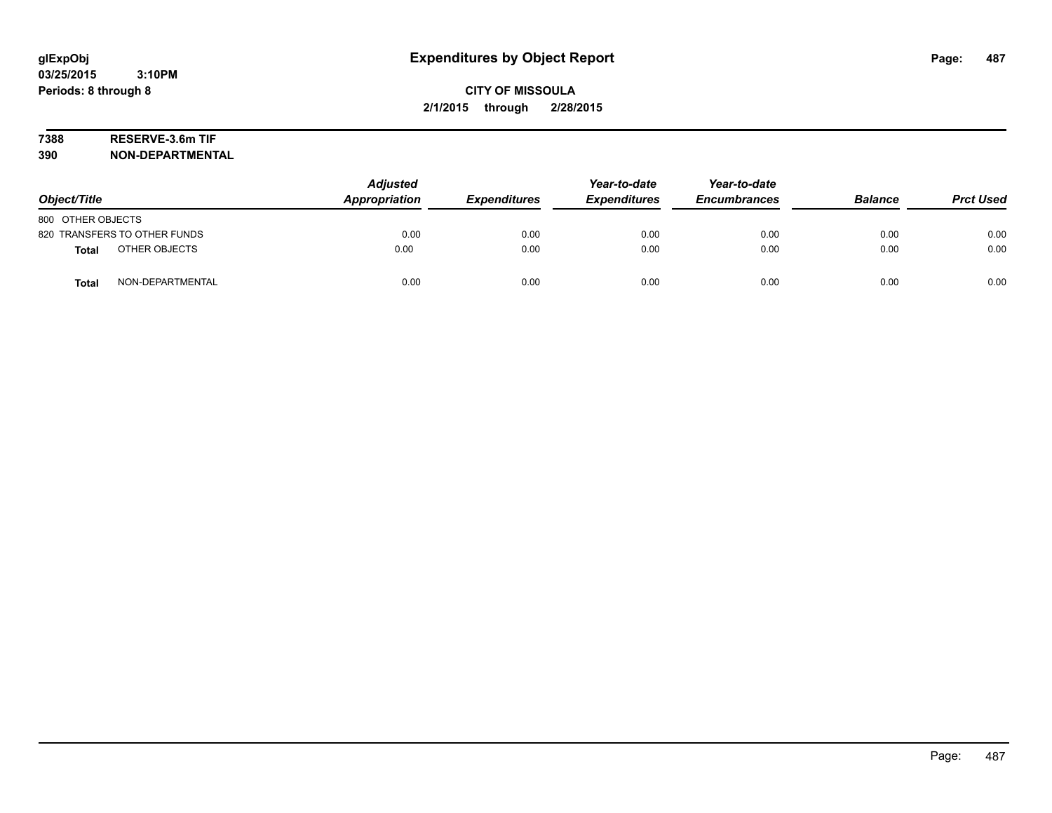# **7388 RESERVE-3.6m TIF**

**390 NON-DEPARTMENTAL**

| Object/Title                     | <b>Adjusted</b><br>Appropriation | <b>Expenditures</b> | Year-to-date<br><b>Expenditures</b> | Year-to-date<br><b>Encumbrances</b> | <b>Balance</b> | <b>Prct Used</b> |
|----------------------------------|----------------------------------|---------------------|-------------------------------------|-------------------------------------|----------------|------------------|
| 800 OTHER OBJECTS                |                                  |                     |                                     |                                     |                |                  |
| 820 TRANSFERS TO OTHER FUNDS     | 0.00                             | 0.00                | 0.00                                | 0.00                                | 0.00           | 0.00             |
| OTHER OBJECTS<br><b>Total</b>    | 0.00                             | 0.00                | 0.00                                | 0.00                                | 0.00           | 0.00             |
| NON-DEPARTMENTAL<br><b>Total</b> | 0.00                             | 0.00                | 0.00                                | 0.00                                | 0.00           | 0.00             |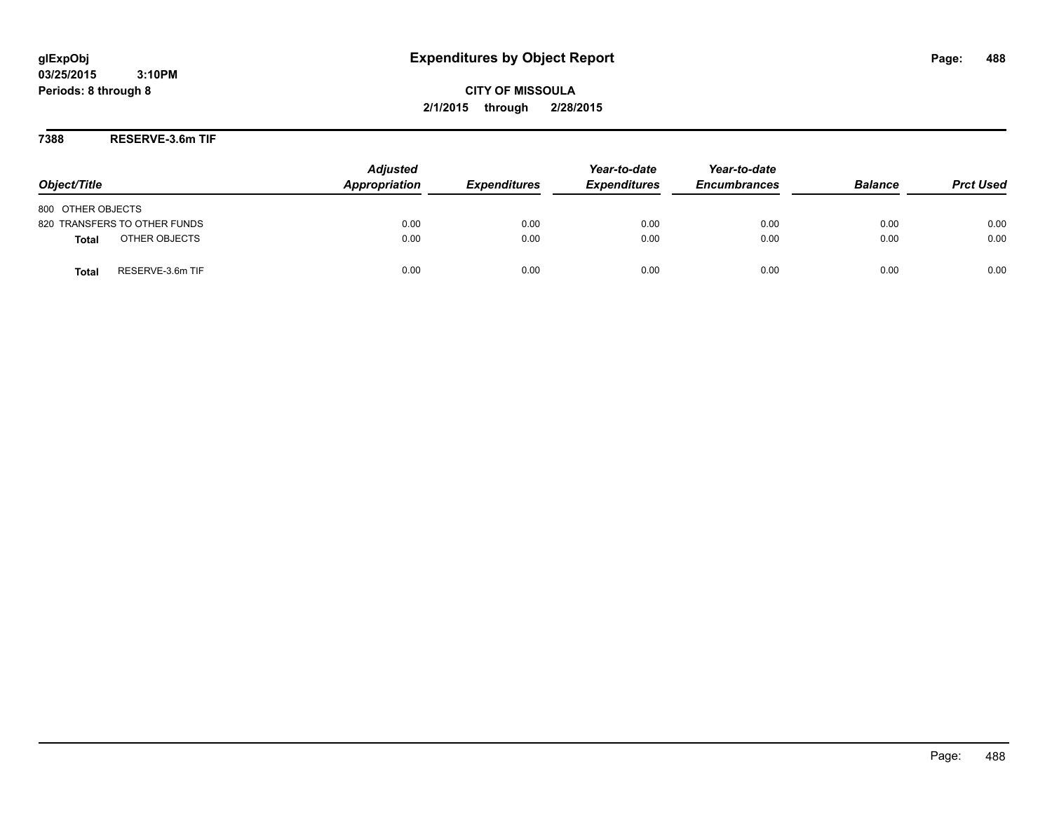**CITY OF MISSOULA 2/1/2015 through 2/28/2015**

**7388 RESERVE-3.6m TIF**

| Object/Title                     | <b>Adjusted</b><br>Appropriation | <b>Expenditures</b> | Year-to-date<br><b>Expenditures</b> | Year-to-date<br><b>Encumbrances</b> | <b>Balance</b> | <b>Prct Used</b> |
|----------------------------------|----------------------------------|---------------------|-------------------------------------|-------------------------------------|----------------|------------------|
| 800 OTHER OBJECTS                |                                  |                     |                                     |                                     |                |                  |
| 820 TRANSFERS TO OTHER FUNDS     | 0.00                             | 0.00                | 0.00                                | 0.00                                | 0.00           | 0.00             |
| OTHER OBJECTS<br><b>Total</b>    | 0.00                             | 0.00                | 0.00                                | 0.00                                | 0.00           | 0.00             |
| RESERVE-3.6m TIF<br><b>Total</b> | 0.00                             | 0.00                | 0.00                                | 0.00                                | 0.00           | 0.00             |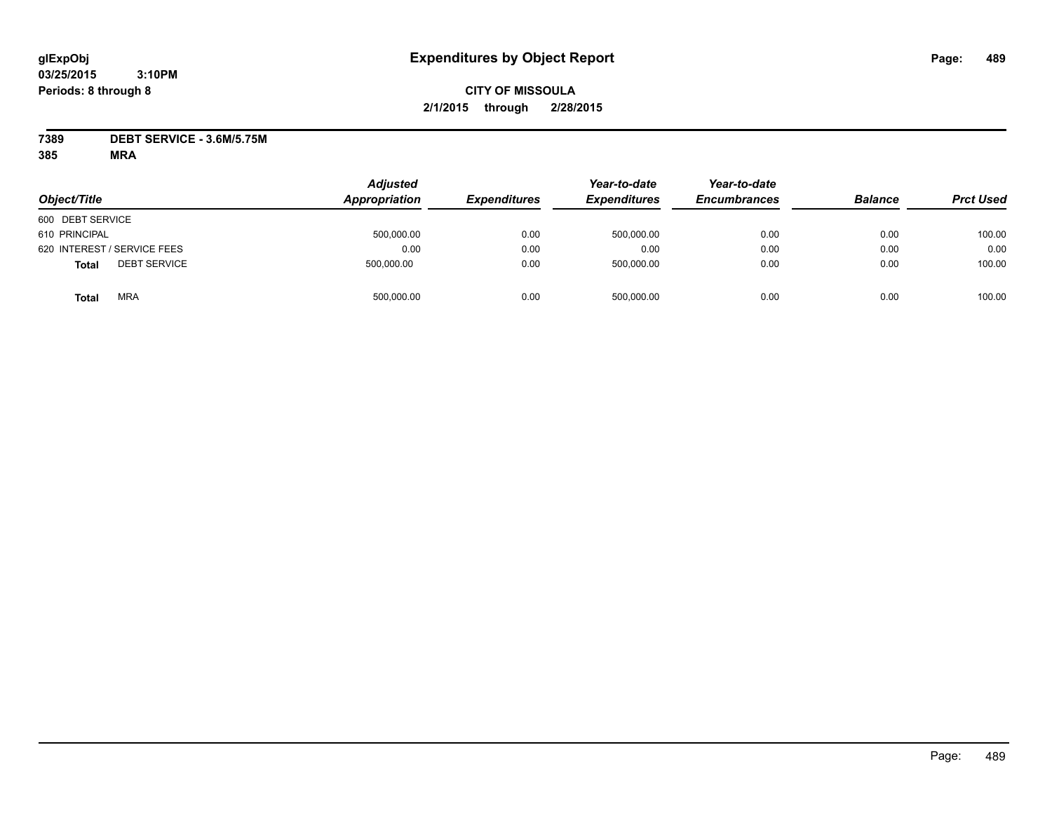#### **CITY OF MISSOULA 2/1/2015 through 2/28/2015**

**7389 DEBT SERVICE - 3.6M/5.75M**

| Object/Title                        | <b>Adjusted</b><br><b>Appropriation</b> | <b>Expenditures</b> | Year-to-date<br><b>Expenditures</b> | Year-to-date<br><b>Encumbrances</b> | <b>Balance</b> | <b>Prct Used</b> |
|-------------------------------------|-----------------------------------------|---------------------|-------------------------------------|-------------------------------------|----------------|------------------|
| 600 DEBT SERVICE                    |                                         |                     |                                     |                                     |                |                  |
| 610 PRINCIPAL                       | 500,000.00                              | 0.00                | 500,000.00                          | 0.00                                | 0.00           | 100.00           |
| 620 INTEREST / SERVICE FEES         | 0.00                                    | 0.00                | 0.00                                | 0.00                                | 0.00           | 0.00             |
| <b>DEBT SERVICE</b><br><b>Total</b> | 500.000.00                              | 0.00                | 500,000.00                          | 0.00                                | 0.00           | 100.00           |
| <b>MRA</b><br>Total                 | 500,000.00                              | 0.00                | 500,000.00                          | 0.00                                | 0.00           | 100.00           |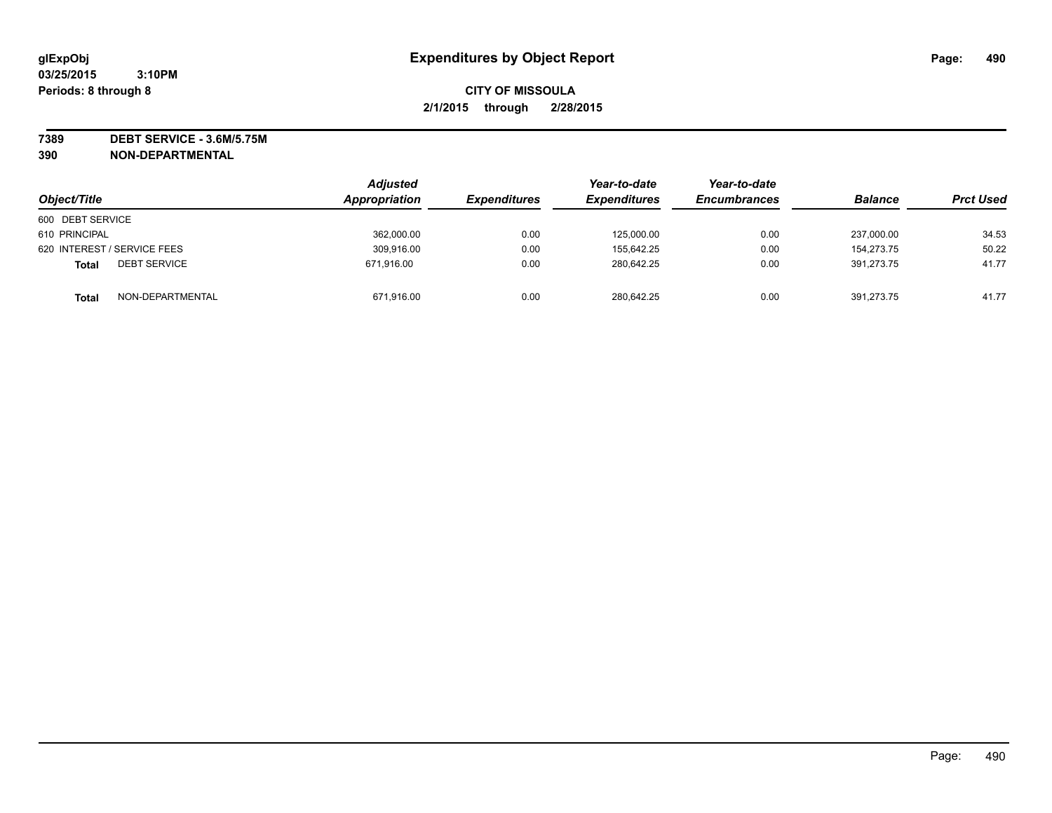**7389 DEBT SERVICE - 3.6M/5.75M 390 NON-DEPARTMENTAL**

|                                     | <b>Adjusted</b> |                     | Year-to-date        | Year-to-date        |                |                  |
|-------------------------------------|-----------------|---------------------|---------------------|---------------------|----------------|------------------|
| Object/Title                        | Appropriation   | <b>Expenditures</b> | <b>Expenditures</b> | <b>Encumbrances</b> | <b>Balance</b> | <b>Prct Used</b> |
| 600 DEBT SERVICE                    |                 |                     |                     |                     |                |                  |
| 610 PRINCIPAL                       | 362,000.00      | 0.00                | 125.000.00          | 0.00                | 237,000.00     | 34.53            |
| 620 INTEREST / SERVICE FEES         | 309,916.00      | 0.00                | 155.642.25          | 0.00                | 154,273.75     | 50.22            |
| <b>DEBT SERVICE</b><br><b>Total</b> | 671.916.00      | 0.00                | 280.642.25          | 0.00                | 391,273.75     | 41.77            |
| NON-DEPARTMENTAL<br><b>Total</b>    | 671,916.00      | 0.00                | 280.642.25          | 0.00                | 391,273.75     | 41.77            |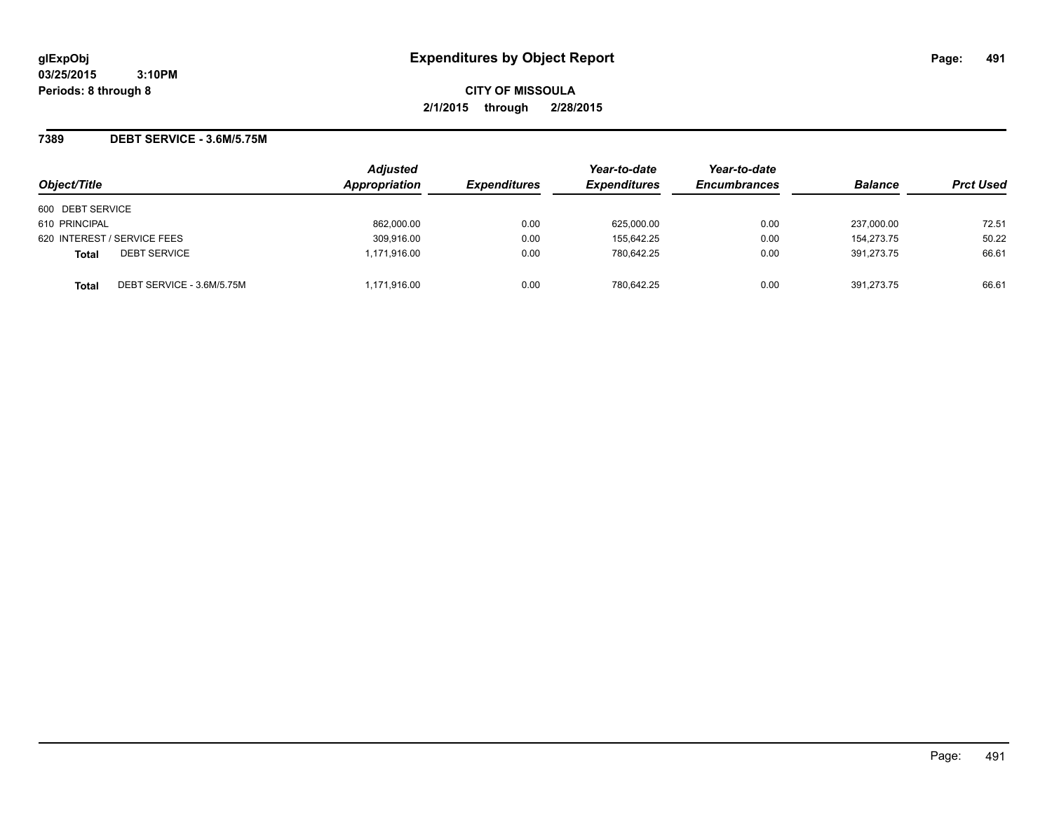**CITY OF MISSOULA 2/1/2015 through 2/28/2015**

**7389 DEBT SERVICE - 3.6M/5.75M**

| Object/Title                              | <b>Adjusted</b><br>Appropriation | <b>Expenditures</b> | Year-to-date<br><b>Expenditures</b> | Year-to-date<br><b>Encumbrances</b> | <b>Balance</b> | <b>Prct Used</b> |
|-------------------------------------------|----------------------------------|---------------------|-------------------------------------|-------------------------------------|----------------|------------------|
| 600 DEBT SERVICE                          |                                  |                     |                                     |                                     |                |                  |
| 610 PRINCIPAL                             | 862,000.00                       | 0.00                | 625.000.00                          | 0.00                                | 237.000.00     | 72.51            |
| 620 INTEREST / SERVICE FEES               | 309,916.00                       | 0.00                | 155,642.25                          | 0.00                                | 154.273.75     | 50.22            |
| <b>DEBT SERVICE</b><br><b>Total</b>       | 1,171,916.00                     | 0.00                | 780,642.25                          | 0.00                                | 391,273.75     | 66.61            |
| DEBT SERVICE - 3.6M/5.75M<br><b>Total</b> | 1,171,916.00                     | 0.00                | 780.642.25                          | 0.00                                | 391.273.75     | 66.61            |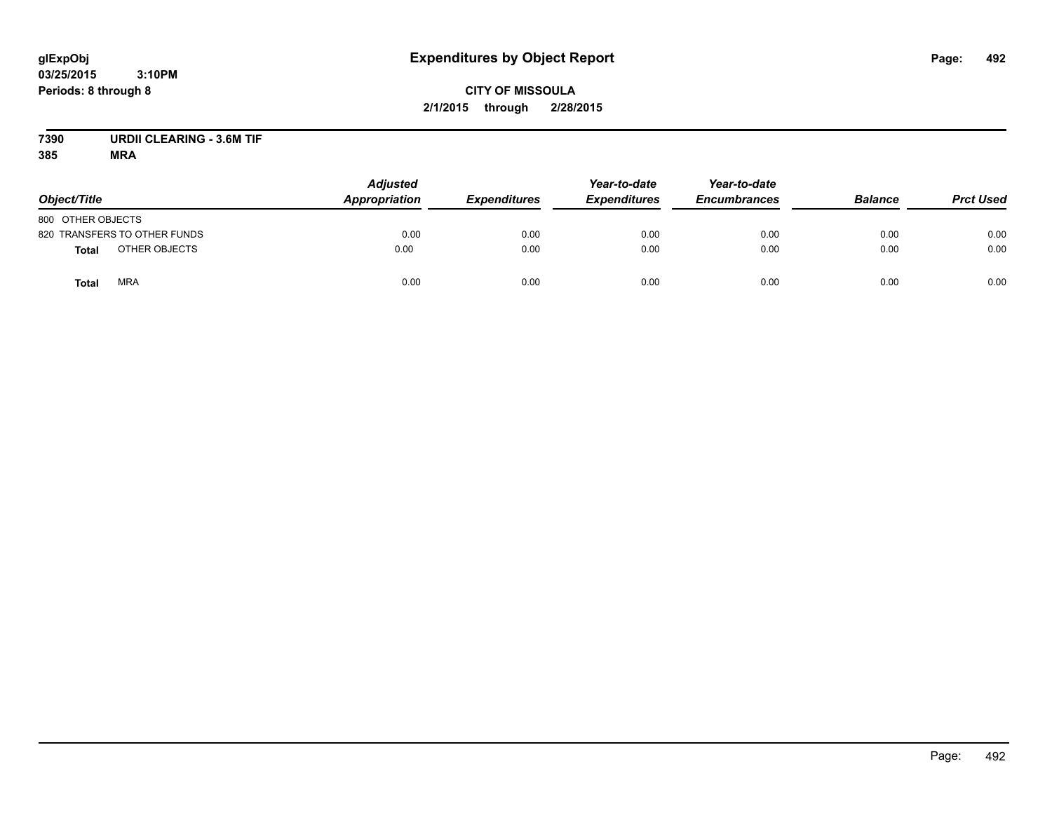# **CITY OF MISSOULA 2/1/2015 through 2/28/2015**

# **7390 URDII CLEARING - 3.6M TIF**

| Object/Title                  | <b>Adjusted</b><br><b>Appropriation</b> | <b>Expenditures</b> | Year-to-date<br><b>Expenditures</b> | Year-to-date<br><b>Encumbrances</b> | <b>Balance</b> | <b>Prct Used</b> |
|-------------------------------|-----------------------------------------|---------------------|-------------------------------------|-------------------------------------|----------------|------------------|
| 800 OTHER OBJECTS             |                                         |                     |                                     |                                     |                |                  |
| 820 TRANSFERS TO OTHER FUNDS  | 0.00                                    | 0.00                | 0.00                                | 0.00                                | 0.00           | 0.00             |
| OTHER OBJECTS<br><b>Total</b> | 0.00                                    | 0.00                | 0.00                                | 0.00                                | 0.00           | 0.00             |
| <b>MRA</b><br><b>Total</b>    | 0.00                                    | 0.00                | 0.00                                | 0.00                                | 0.00           | 0.00             |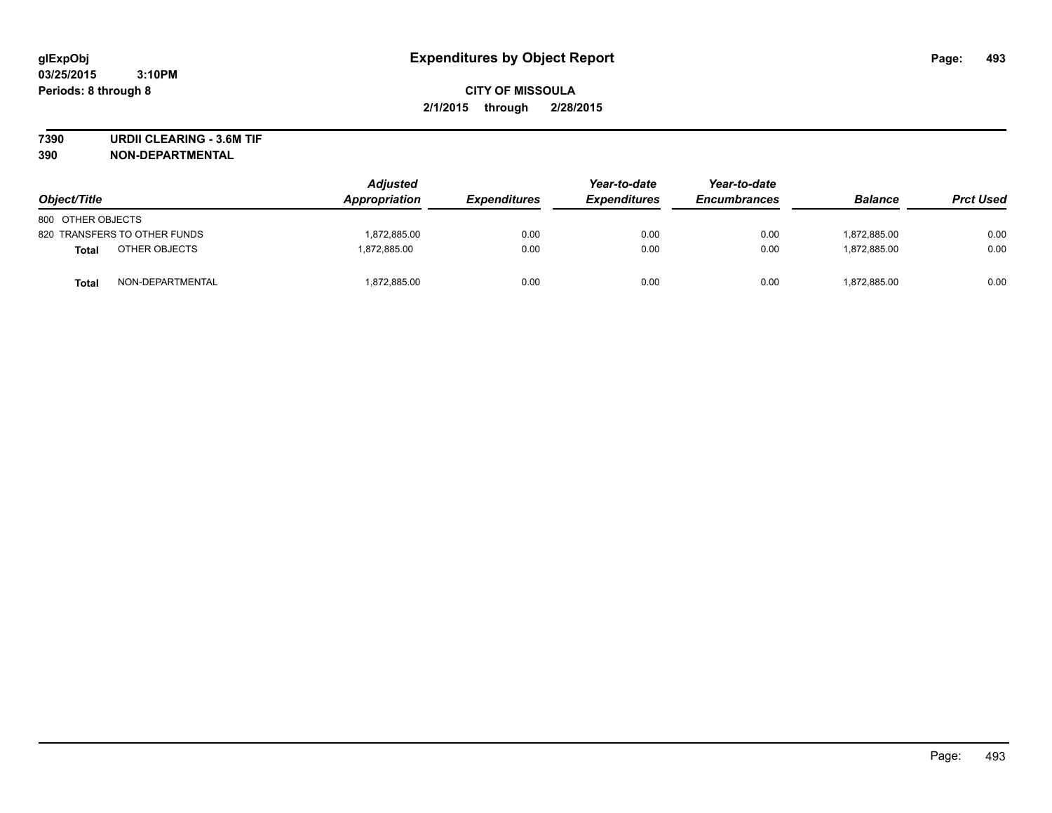**7390 URDII CLEARING - 3.6M TIF**

**390 NON-DEPARTMENTAL**

| Object/Title      |                              | <b>Adjusted</b><br>Appropriation | <b>Expenditures</b> | Year-to-date<br><b>Expenditures</b> | Year-to-date<br><b>Encumbrances</b> | <b>Balance</b> | <b>Prct Used</b> |
|-------------------|------------------------------|----------------------------------|---------------------|-------------------------------------|-------------------------------------|----------------|------------------|
| 800 OTHER OBJECTS |                              |                                  |                     |                                     |                                     |                |                  |
|                   | 820 TRANSFERS TO OTHER FUNDS | 1.872.885.00                     | 0.00                | 0.00                                | 0.00                                | 1,872,885.00   | 0.00             |
| <b>Total</b>      | OTHER OBJECTS                | 1.872.885.00                     | 0.00                | 0.00                                | 0.00                                | 1.872.885.00   | 0.00             |
| <b>Total</b>      | NON-DEPARTMENTAL             | 1,872,885.00                     | 0.00                | 0.00                                | 0.00                                | 1,872,885.00   | 0.00             |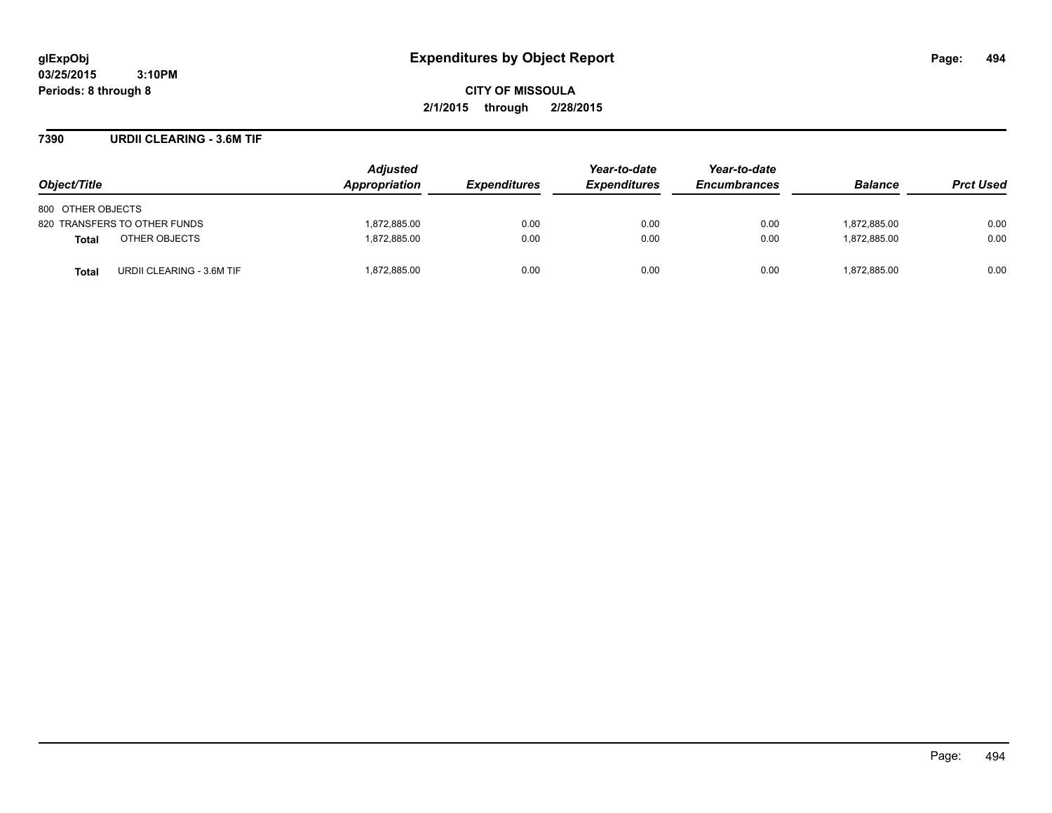**CITY OF MISSOULA 2/1/2015 through 2/28/2015**

#### **7390 URDII CLEARING - 3.6M TIF**

| Object/Title                       | <b>Adjusted</b><br><b>Appropriation</b> | <i><b>Expenditures</b></i> | Year-to-date<br><b>Expenditures</b> | Year-to-date<br><b>Encumbrances</b> | <b>Balance</b> | <b>Prct Used</b> |
|------------------------------------|-----------------------------------------|----------------------------|-------------------------------------|-------------------------------------|----------------|------------------|
| 800 OTHER OBJECTS                  |                                         |                            |                                     |                                     |                |                  |
| 820 TRANSFERS TO OTHER FUNDS       | 1.872.885.00                            | 0.00                       | 0.00                                | 0.00                                | 1.872.885.00   | 0.00             |
| OTHER OBJECTS<br><b>Total</b>      | 1.872.885.00                            | 0.00                       | 0.00                                | 0.00                                | 1.872.885.00   | 0.00             |
| URDII CLEARING - 3.6M TIF<br>Total | 1,872,885.00                            | 0.00                       | 0.00                                | 0.00                                | 1,872,885.00   | 0.00             |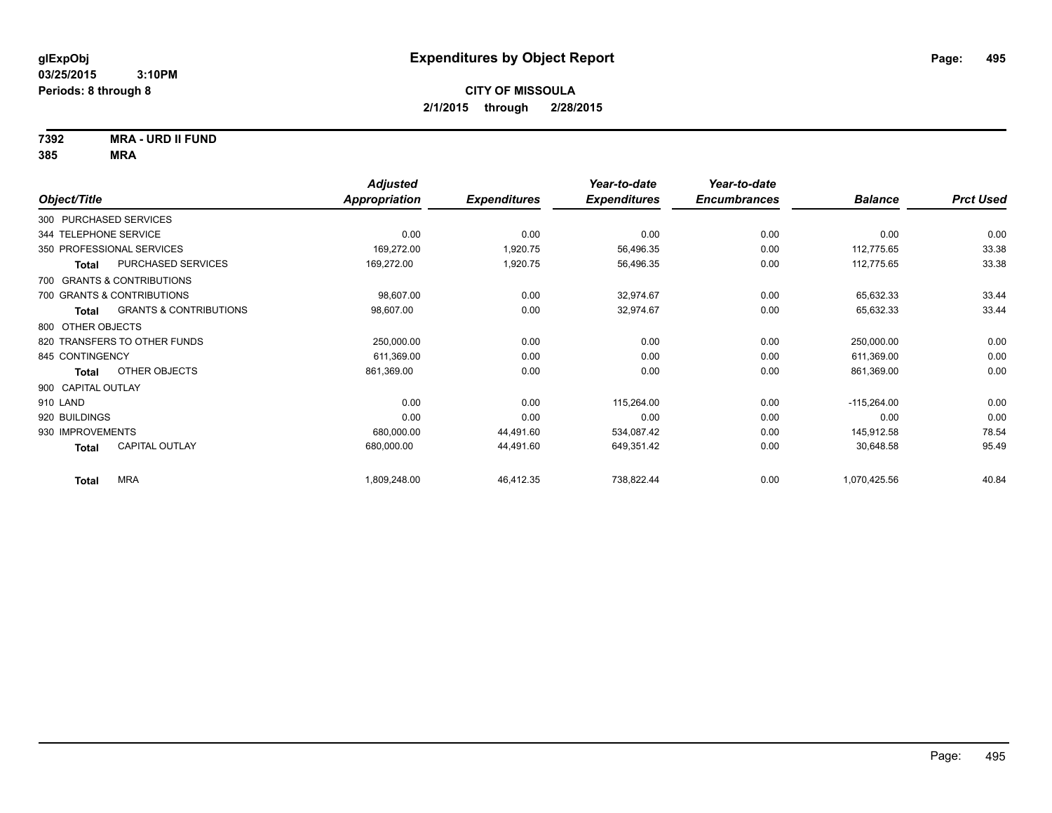**7392 MRA - URD II FUND**

|                              |                                   | <b>Adjusted</b>      |                     | Year-to-date        | Year-to-date        |                |                  |
|------------------------------|-----------------------------------|----------------------|---------------------|---------------------|---------------------|----------------|------------------|
| Object/Title                 |                                   | <b>Appropriation</b> | <b>Expenditures</b> | <b>Expenditures</b> | <b>Encumbrances</b> | <b>Balance</b> | <b>Prct Used</b> |
| 300 PURCHASED SERVICES       |                                   |                      |                     |                     |                     |                |                  |
| 344 TELEPHONE SERVICE        |                                   | 0.00                 | 0.00                | 0.00                | 0.00                | 0.00           | 0.00             |
| 350 PROFESSIONAL SERVICES    |                                   | 169,272.00           | 1,920.75            | 56,496.35           | 0.00                | 112,775.65     | 33.38            |
| <b>Total</b>                 | PURCHASED SERVICES                | 169,272.00           | 1,920.75            | 56,496.35           | 0.00                | 112,775.65     | 33.38            |
| 700 GRANTS & CONTRIBUTIONS   |                                   |                      |                     |                     |                     |                |                  |
| 700 GRANTS & CONTRIBUTIONS   |                                   | 98,607.00            | 0.00                | 32,974.67           | 0.00                | 65,632.33      | 33.44            |
| Total                        | <b>GRANTS &amp; CONTRIBUTIONS</b> | 98,607.00            | 0.00                | 32,974.67           | 0.00                | 65,632.33      | 33.44            |
| 800 OTHER OBJECTS            |                                   |                      |                     |                     |                     |                |                  |
| 820 TRANSFERS TO OTHER FUNDS |                                   | 250,000.00           | 0.00                | 0.00                | 0.00                | 250,000.00     | 0.00             |
| 845 CONTINGENCY              |                                   | 611,369.00           | 0.00                | 0.00                | 0.00                | 611,369.00     | 0.00             |
| <b>Total</b>                 | OTHER OBJECTS                     | 861,369.00           | 0.00                | 0.00                | 0.00                | 861,369.00     | 0.00             |
| 900 CAPITAL OUTLAY           |                                   |                      |                     |                     |                     |                |                  |
| 910 LAND                     |                                   | 0.00                 | 0.00                | 115,264.00          | 0.00                | $-115,264.00$  | 0.00             |
| 920 BUILDINGS                |                                   | 0.00                 | 0.00                | 0.00                | 0.00                | 0.00           | 0.00             |
| 930 IMPROVEMENTS             |                                   | 680,000.00           | 44,491.60           | 534,087.42          | 0.00                | 145,912.58     | 78.54            |
| <b>Total</b>                 | CAPITAL OUTLAY                    | 680,000.00           | 44,491.60           | 649,351.42          | 0.00                | 30,648.58      | 95.49            |
| <b>MRA</b><br><b>Total</b>   |                                   | 1,809,248.00         | 46,412.35           | 738,822.44          | 0.00                | 1,070,425.56   | 40.84            |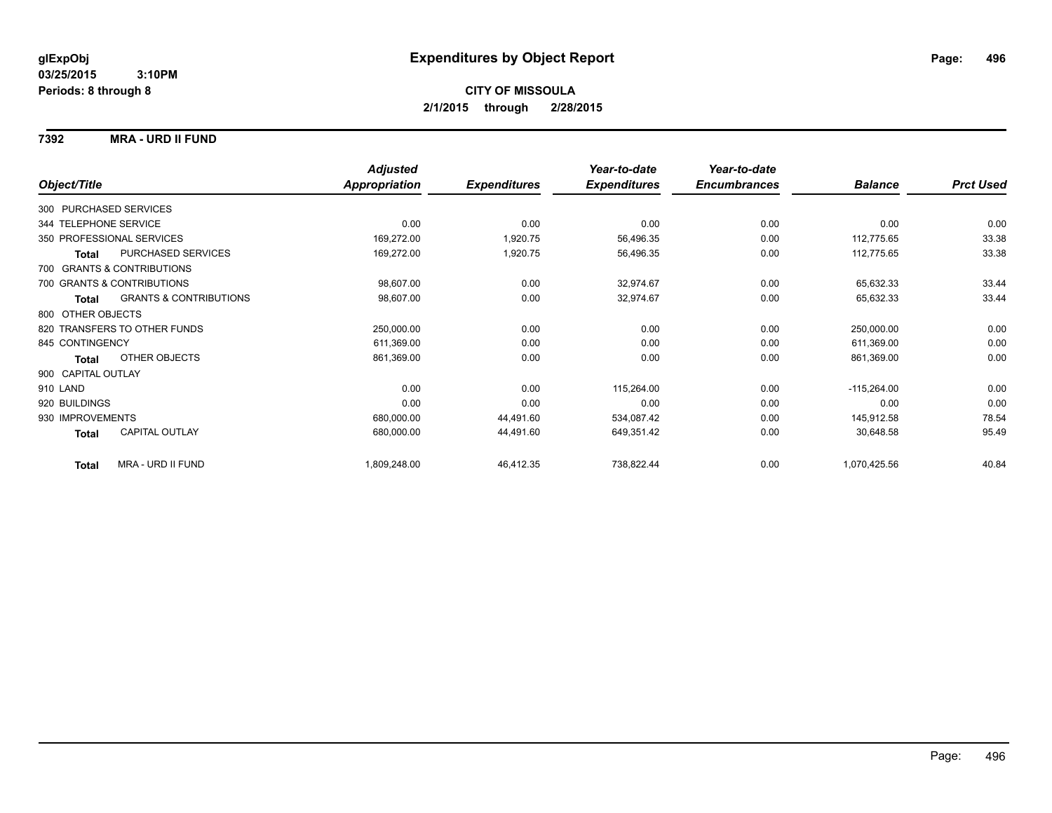#### **7392 MRA - URD II FUND**

|                                            | <b>Adjusted</b>      |                     | Year-to-date        | Year-to-date        |                |                  |
|--------------------------------------------|----------------------|---------------------|---------------------|---------------------|----------------|------------------|
| Object/Title                               | <b>Appropriation</b> | <b>Expenditures</b> | <b>Expenditures</b> | <b>Encumbrances</b> | <b>Balance</b> | <b>Prct Used</b> |
| 300 PURCHASED SERVICES                     |                      |                     |                     |                     |                |                  |
| 344 TELEPHONE SERVICE                      | 0.00                 | 0.00                | 0.00                | 0.00                | 0.00           | 0.00             |
| 350 PROFESSIONAL SERVICES                  | 169,272.00           | 1,920.75            | 56,496.35           | 0.00                | 112,775.65     | 33.38            |
| PURCHASED SERVICES<br><b>Total</b>         | 169,272.00           | 1,920.75            | 56,496.35           | 0.00                | 112,775.65     | 33.38            |
| 700 GRANTS & CONTRIBUTIONS                 |                      |                     |                     |                     |                |                  |
| 700 GRANTS & CONTRIBUTIONS                 | 98,607.00            | 0.00                | 32,974.67           | 0.00                | 65,632.33      | 33.44            |
| <b>GRANTS &amp; CONTRIBUTIONS</b><br>Total | 98,607.00            | 0.00                | 32,974.67           | 0.00                | 65,632.33      | 33.44            |
| 800 OTHER OBJECTS                          |                      |                     |                     |                     |                |                  |
| 820 TRANSFERS TO OTHER FUNDS               | 250,000.00           | 0.00                | 0.00                | 0.00                | 250,000.00     | 0.00             |
| 845 CONTINGENCY                            | 611,369.00           | 0.00                | 0.00                | 0.00                | 611,369.00     | 0.00             |
| OTHER OBJECTS<br><b>Total</b>              | 861,369.00           | 0.00                | 0.00                | 0.00                | 861,369.00     | 0.00             |
| 900 CAPITAL OUTLAY                         |                      |                     |                     |                     |                |                  |
| 910 LAND                                   | 0.00                 | 0.00                | 115,264.00          | 0.00                | $-115,264.00$  | 0.00             |
| 920 BUILDINGS                              | 0.00                 | 0.00                | 0.00                | 0.00                | 0.00           | 0.00             |
| 930 IMPROVEMENTS                           | 680,000.00           | 44,491.60           | 534,087.42          | 0.00                | 145,912.58     | 78.54            |
| <b>CAPITAL OUTLAY</b><br>Total             | 680,000.00           | 44,491.60           | 649,351.42          | 0.00                | 30,648.58      | 95.49            |
| MRA - URD II FUND<br><b>Total</b>          | 1,809,248.00         | 46,412.35           | 738,822.44          | 0.00                | 1,070,425.56   | 40.84            |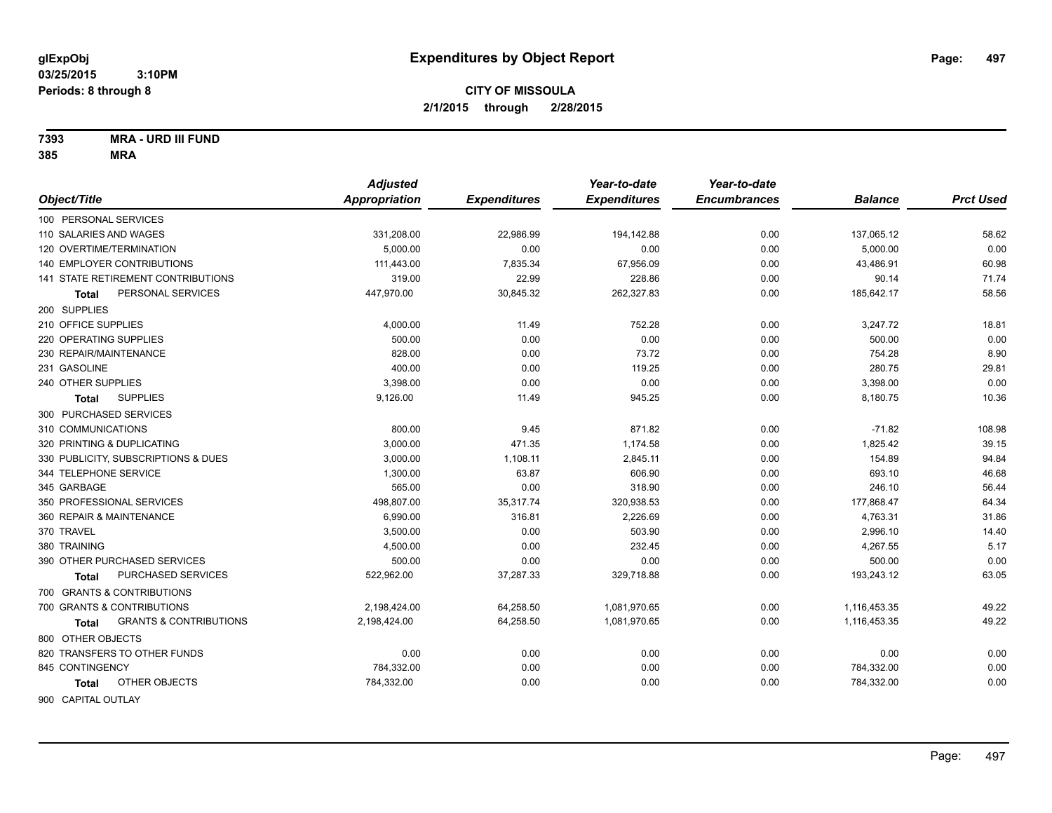**7393 MRA - URD III FUND**

|                                                   | <b>Adjusted</b>      |                     | Year-to-date        | Year-to-date        |                |                  |
|---------------------------------------------------|----------------------|---------------------|---------------------|---------------------|----------------|------------------|
| Object/Title                                      | <b>Appropriation</b> | <b>Expenditures</b> | <b>Expenditures</b> | <b>Encumbrances</b> | <b>Balance</b> | <b>Prct Used</b> |
| 100 PERSONAL SERVICES                             |                      |                     |                     |                     |                |                  |
| 110 SALARIES AND WAGES                            | 331,208.00           | 22,986.99           | 194,142.88          | 0.00                | 137,065.12     | 58.62            |
| 120 OVERTIME/TERMINATION                          | 5.000.00             | 0.00                | 0.00                | 0.00                | 5,000.00       | 0.00             |
| <b>140 EMPLOYER CONTRIBUTIONS</b>                 | 111,443.00           | 7,835.34            | 67,956.09           | 0.00                | 43,486.91      | 60.98            |
| <b>141 STATE RETIREMENT CONTRIBUTIONS</b>         | 319.00               | 22.99               | 228.86              | 0.00                | 90.14          | 71.74            |
| PERSONAL SERVICES<br>Total                        | 447,970.00           | 30,845.32           | 262,327.83          | 0.00                | 185,642.17     | 58.56            |
| 200 SUPPLIES                                      |                      |                     |                     |                     |                |                  |
| 210 OFFICE SUPPLIES                               | 4,000.00             | 11.49               | 752.28              | 0.00                | 3,247.72       | 18.81            |
| 220 OPERATING SUPPLIES                            | 500.00               | 0.00                | 0.00                | 0.00                | 500.00         | 0.00             |
| 230 REPAIR/MAINTENANCE                            | 828.00               | 0.00                | 73.72               | 0.00                | 754.28         | 8.90             |
| 231 GASOLINE                                      | 400.00               | 0.00                | 119.25              | 0.00                | 280.75         | 29.81            |
| 240 OTHER SUPPLIES                                | 3,398.00             | 0.00                | 0.00                | 0.00                | 3,398.00       | 0.00             |
| <b>SUPPLIES</b><br><b>Total</b>                   | 9,126.00             | 11.49               | 945.25              | 0.00                | 8,180.75       | 10.36            |
| 300 PURCHASED SERVICES                            |                      |                     |                     |                     |                |                  |
| 310 COMMUNICATIONS                                | 800.00               | 9.45                | 871.82              | 0.00                | $-71.82$       | 108.98           |
| 320 PRINTING & DUPLICATING                        | 3,000.00             | 471.35              | 1,174.58            | 0.00                | 1,825.42       | 39.15            |
| 330 PUBLICITY, SUBSCRIPTIONS & DUES               | 3,000.00             | 1,108.11            | 2,845.11            | 0.00                | 154.89         | 94.84            |
| 344 TELEPHONE SERVICE                             | 1,300.00             | 63.87               | 606.90              | 0.00                | 693.10         | 46.68            |
| 345 GARBAGE                                       | 565.00               | 0.00                | 318.90              | 0.00                | 246.10         | 56.44            |
| 350 PROFESSIONAL SERVICES                         | 498,807.00           | 35,317.74           | 320,938.53          | 0.00                | 177,868.47     | 64.34            |
| 360 REPAIR & MAINTENANCE                          | 6.990.00             | 316.81              | 2,226.69            | 0.00                | 4,763.31       | 31.86            |
| 370 TRAVEL                                        | 3,500.00             | 0.00                | 503.90              | 0.00                | 2,996.10       | 14.40            |
| 380 TRAINING                                      | 4,500.00             | 0.00                | 232.45              | 0.00                | 4,267.55       | 5.17             |
| 390 OTHER PURCHASED SERVICES                      | 500.00               | 0.00                | 0.00                | 0.00                | 500.00         | 0.00             |
| PURCHASED SERVICES<br><b>Total</b>                | 522,962.00           | 37,287.33           | 329,718.88          | 0.00                | 193,243.12     | 63.05            |
| 700 GRANTS & CONTRIBUTIONS                        |                      |                     |                     |                     |                |                  |
| 700 GRANTS & CONTRIBUTIONS                        | 2,198,424.00         | 64,258.50           | 1,081,970.65        | 0.00                | 1,116,453.35   | 49.22            |
| <b>GRANTS &amp; CONTRIBUTIONS</b><br><b>Total</b> | 2,198,424.00         | 64,258.50           | 1,081,970.65        | 0.00                | 1,116,453.35   | 49.22            |
| 800 OTHER OBJECTS                                 |                      |                     |                     |                     |                |                  |
| 820 TRANSFERS TO OTHER FUNDS                      | 0.00                 | 0.00                | 0.00                | 0.00                | 0.00           | 0.00             |
| 845 CONTINGENCY                                   | 784,332.00           | 0.00                | 0.00                | 0.00                | 784,332.00     | 0.00             |
| OTHER OBJECTS<br>Total                            | 784,332.00           | 0.00                | 0.00                | 0.00                | 784,332.00     | 0.00             |
| 900 CAPITAL OUTLAY                                |                      |                     |                     |                     |                |                  |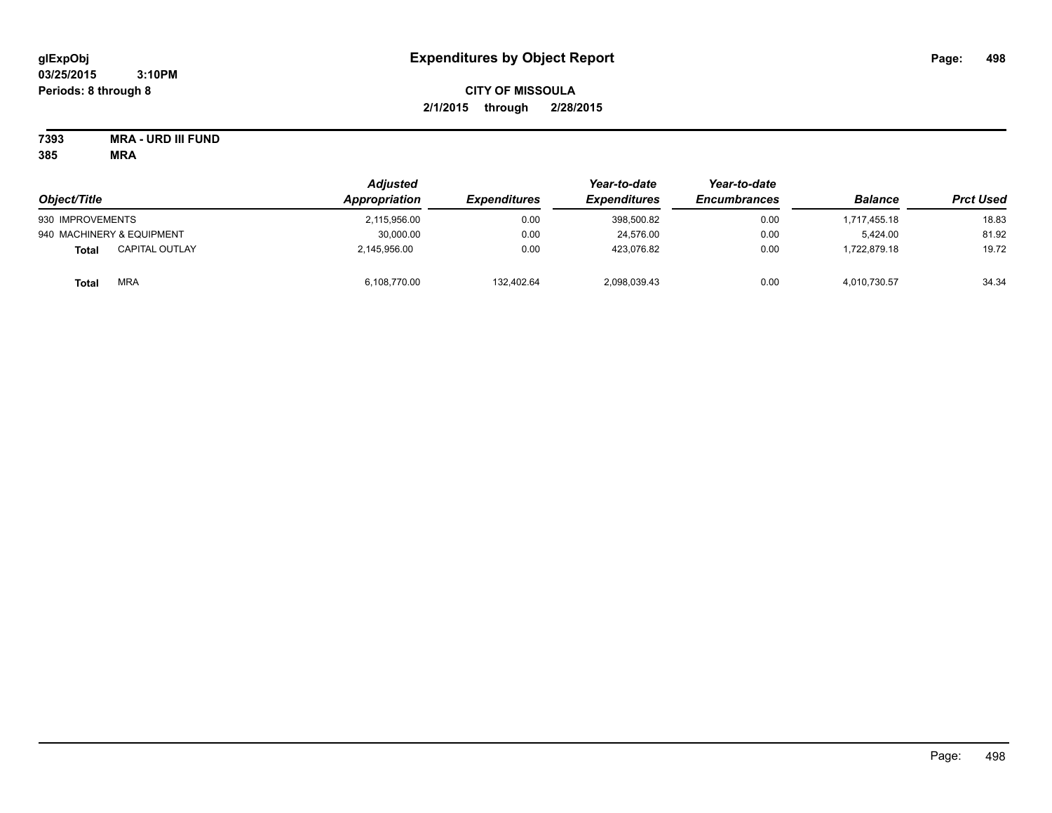# **CITY OF MISSOULA 2/1/2015 through 2/28/2015**

# **7393 MRA - URD III FUND**

|                                | <b>Adjusted</b> |                            | Year-to-date        | Year-to-date        |                |                  |
|--------------------------------|-----------------|----------------------------|---------------------|---------------------|----------------|------------------|
| Object/Title                   | Appropriation   | <i><b>Expenditures</b></i> | <b>Expenditures</b> | <b>Encumbrances</b> | <b>Balance</b> | <b>Prct Used</b> |
| 930 IMPROVEMENTS               | 2,115,956.00    | 0.00                       | 398,500.82          | 0.00                | 1.717.455.18   | 18.83            |
| 940 MACHINERY & EQUIPMENT      | 30,000.00       | 0.00                       | 24,576.00           | 0.00                | 5.424.00       | 81.92            |
| <b>CAPITAL OUTLAY</b><br>Total | 2,145,956.00    | 0.00                       | 423.076.82          | 0.00                | .722.879.18    | 19.72            |
| <b>MRA</b><br><b>Total</b>     | 6,108,770.00    | 132,402.64                 | 2,098,039.43        | 0.00                | 4,010,730.57   | 34.34            |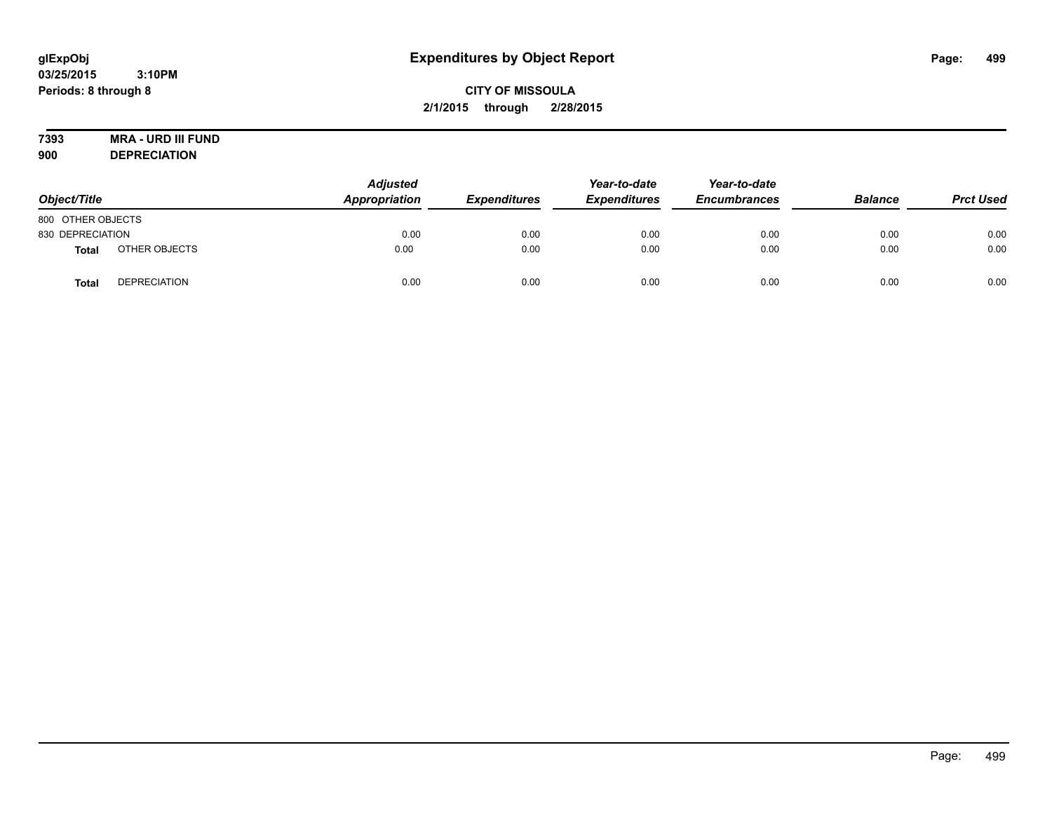# **7393 MRA - URD III FUND**

**900 DEPRECIATION**

| Object/Title      |                     | <b>Adjusted</b><br>Appropriation<br><b>Expenditures</b> | Year-to-date<br><b>Expenditures</b> | Year-to-date<br><b>Encumbrances</b> | <b>Balance</b> | <b>Prct Used</b> |      |
|-------------------|---------------------|---------------------------------------------------------|-------------------------------------|-------------------------------------|----------------|------------------|------|
| 800 OTHER OBJECTS |                     |                                                         |                                     |                                     |                |                  |      |
| 830 DEPRECIATION  |                     | 0.00                                                    | 0.00                                | 0.00                                | 0.00           | 0.00             | 0.00 |
| Total             | OTHER OBJECTS       | 0.00                                                    | 0.00                                | 0.00                                | 0.00           | 0.00             | 0.00 |
| Tota              | <b>DEPRECIATION</b> | 0.00                                                    | 0.00                                | 0.00                                | 0.00           | 0.00             | 0.00 |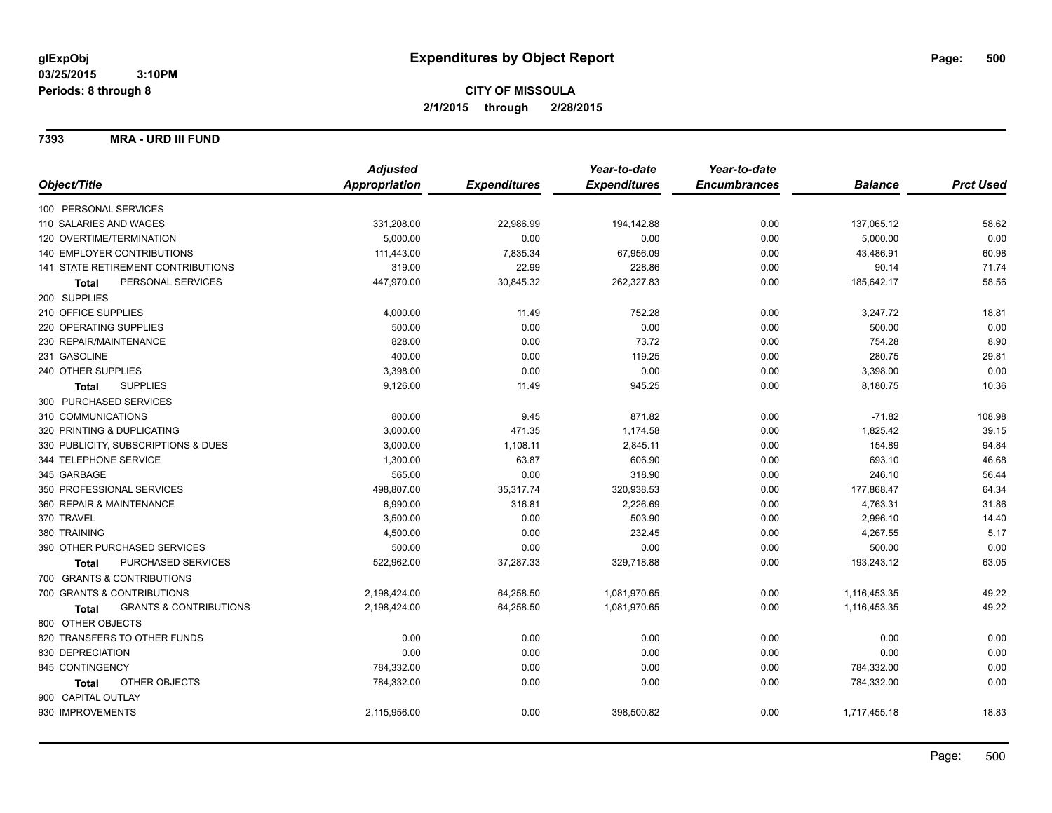**7393 MRA - URD III FUND**

|                                                   | <b>Adjusted</b> |                     | Year-to-date        | Year-to-date        |                |                  |
|---------------------------------------------------|-----------------|---------------------|---------------------|---------------------|----------------|------------------|
| Object/Title                                      | Appropriation   | <b>Expenditures</b> | <b>Expenditures</b> | <b>Encumbrances</b> | <b>Balance</b> | <b>Prct Used</b> |
| 100 PERSONAL SERVICES                             |                 |                     |                     |                     |                |                  |
| 110 SALARIES AND WAGES                            | 331,208.00      | 22,986.99           | 194,142.88          | 0.00                | 137,065.12     | 58.62            |
| 120 OVERTIME/TERMINATION                          | 5,000.00        | 0.00                | 0.00                | 0.00                | 5,000.00       | 0.00             |
| <b>140 EMPLOYER CONTRIBUTIONS</b>                 | 111,443.00      | 7,835.34            | 67,956.09           | 0.00                | 43,486.91      | 60.98            |
| 141 STATE RETIREMENT CONTRIBUTIONS                | 319.00          | 22.99               | 228.86              | 0.00                | 90.14          | 71.74            |
| PERSONAL SERVICES<br>Total                        | 447,970.00      | 30,845.32           | 262,327.83          | 0.00                | 185,642.17     | 58.56            |
| 200 SUPPLIES                                      |                 |                     |                     |                     |                |                  |
| 210 OFFICE SUPPLIES                               | 4,000.00        | 11.49               | 752.28              | 0.00                | 3,247.72       | 18.81            |
| 220 OPERATING SUPPLIES                            | 500.00          | 0.00                | 0.00                | 0.00                | 500.00         | 0.00             |
| 230 REPAIR/MAINTENANCE                            | 828.00          | 0.00                | 73.72               | 0.00                | 754.28         | 8.90             |
| 231 GASOLINE                                      | 400.00          | 0.00                | 119.25              | 0.00                | 280.75         | 29.81            |
| 240 OTHER SUPPLIES                                | 3,398.00        | 0.00                | 0.00                | 0.00                | 3,398.00       | 0.00             |
| <b>SUPPLIES</b><br><b>Total</b>                   | 9,126.00        | 11.49               | 945.25              | 0.00                | 8,180.75       | 10.36            |
| 300 PURCHASED SERVICES                            |                 |                     |                     |                     |                |                  |
| 310 COMMUNICATIONS                                | 800.00          | 9.45                | 871.82              | 0.00                | $-71.82$       | 108.98           |
| 320 PRINTING & DUPLICATING                        | 3,000.00        | 471.35              | 1,174.58            | 0.00                | 1,825.42       | 39.15            |
| 330 PUBLICITY, SUBSCRIPTIONS & DUES               | 3,000.00        | 1,108.11            | 2,845.11            | 0.00                | 154.89         | 94.84            |
| 344 TELEPHONE SERVICE                             | 1,300.00        | 63.87               | 606.90              | 0.00                | 693.10         | 46.68            |
| 345 GARBAGE                                       | 565.00          | 0.00                | 318.90              | 0.00                | 246.10         | 56.44            |
| 350 PROFESSIONAL SERVICES                         | 498,807.00      | 35,317.74           | 320,938.53          | 0.00                | 177,868.47     | 64.34            |
| 360 REPAIR & MAINTENANCE                          | 6,990.00        | 316.81              | 2,226.69            | 0.00                | 4,763.31       | 31.86            |
| 370 TRAVEL                                        | 3,500.00        | 0.00                | 503.90              | 0.00                | 2,996.10       | 14.40            |
| 380 TRAINING                                      | 4,500.00        | 0.00                | 232.45              | 0.00                | 4,267.55       | 5.17             |
| 390 OTHER PURCHASED SERVICES                      | 500.00          | 0.00                | 0.00                | 0.00                | 500.00         | 0.00             |
| PURCHASED SERVICES<br><b>Total</b>                | 522,962.00      | 37,287.33           | 329,718.88          | 0.00                | 193,243.12     | 63.05            |
| 700 GRANTS & CONTRIBUTIONS                        |                 |                     |                     |                     |                |                  |
| 700 GRANTS & CONTRIBUTIONS                        | 2,198,424.00    | 64,258.50           | 1,081,970.65        | 0.00                | 1,116,453.35   | 49.22            |
| <b>GRANTS &amp; CONTRIBUTIONS</b><br><b>Total</b> | 2,198,424.00    | 64,258.50           | 1,081,970.65        | 0.00                | 1,116,453.35   | 49.22            |
| 800 OTHER OBJECTS                                 |                 |                     |                     |                     |                |                  |
| 820 TRANSFERS TO OTHER FUNDS                      | 0.00            | 0.00                | 0.00                | 0.00                | 0.00           | 0.00             |
| 830 DEPRECIATION                                  | 0.00            | 0.00                | 0.00                | 0.00                | 0.00           | 0.00             |
| 845 CONTINGENCY                                   | 784,332.00      | 0.00                | 0.00                | 0.00                | 784,332.00     | 0.00             |
| OTHER OBJECTS<br>Total                            | 784,332.00      | 0.00                | 0.00                | 0.00                | 784,332.00     | 0.00             |
| 900 CAPITAL OUTLAY                                |                 |                     |                     |                     |                |                  |
| 930 IMPROVEMENTS                                  | 2,115,956.00    | 0.00                | 398,500.82          | 0.00                | 1,717,455.18   | 18.83            |
|                                                   |                 |                     |                     |                     |                |                  |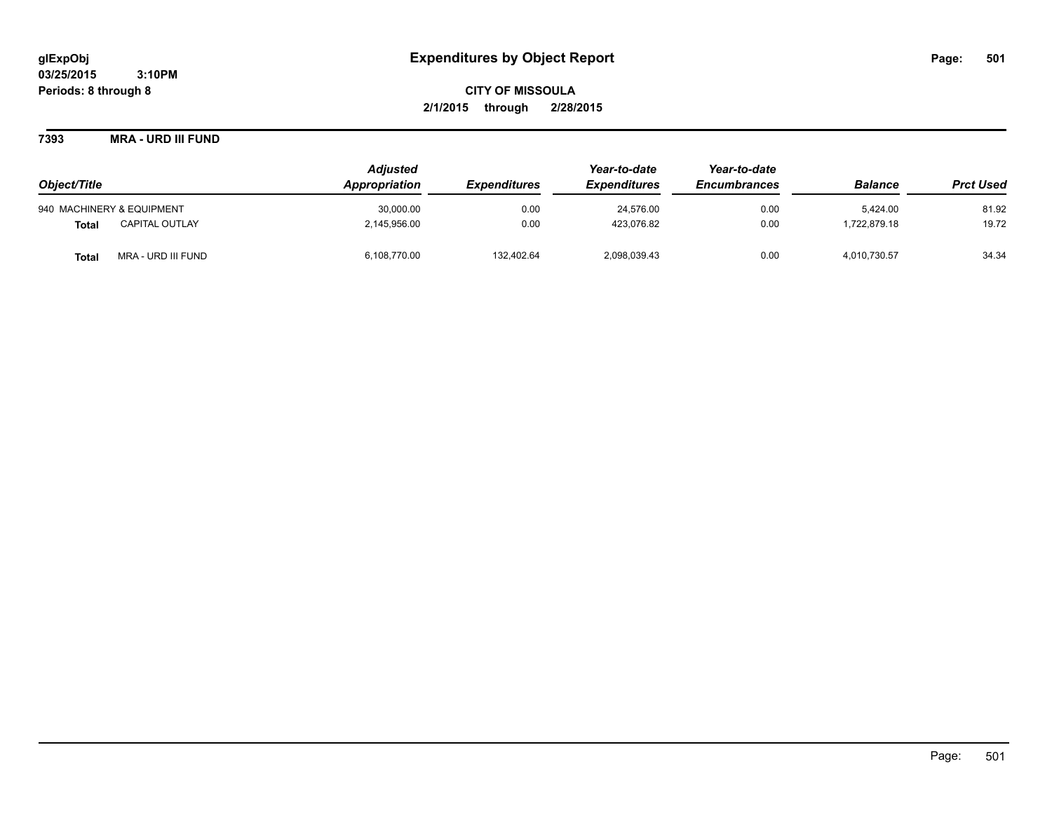**7393 MRA - URD III FUND**

|                                       | <b>Adjusted</b> |                            | Year-to-date               | Year-to-date        |                |                  |
|---------------------------------------|-----------------|----------------------------|----------------------------|---------------------|----------------|------------------|
| Object/Title                          | Appropriation   | <i><b>Expenditures</b></i> | <i><b>Expenditures</b></i> | <b>Encumbrances</b> | <b>Balance</b> | <b>Prct Used</b> |
| 940 MACHINERY & EQUIPMENT             | 30.000.00       | 0.00                       | 24.576.00                  | 0.00                | 5.424.00       | 81.92            |
| <b>CAPITAL OUTLAY</b><br><b>Total</b> | 2,145,956.00    | 0.00                       | 423.076.82                 | 0.00                | .722.879.18    | 19.72            |
| MRA - URD III FUND<br><b>Total</b>    | 6,108,770.00    | 132,402.64                 | 2,098,039.43               | 0.00                | 4,010,730.57   | 34.34            |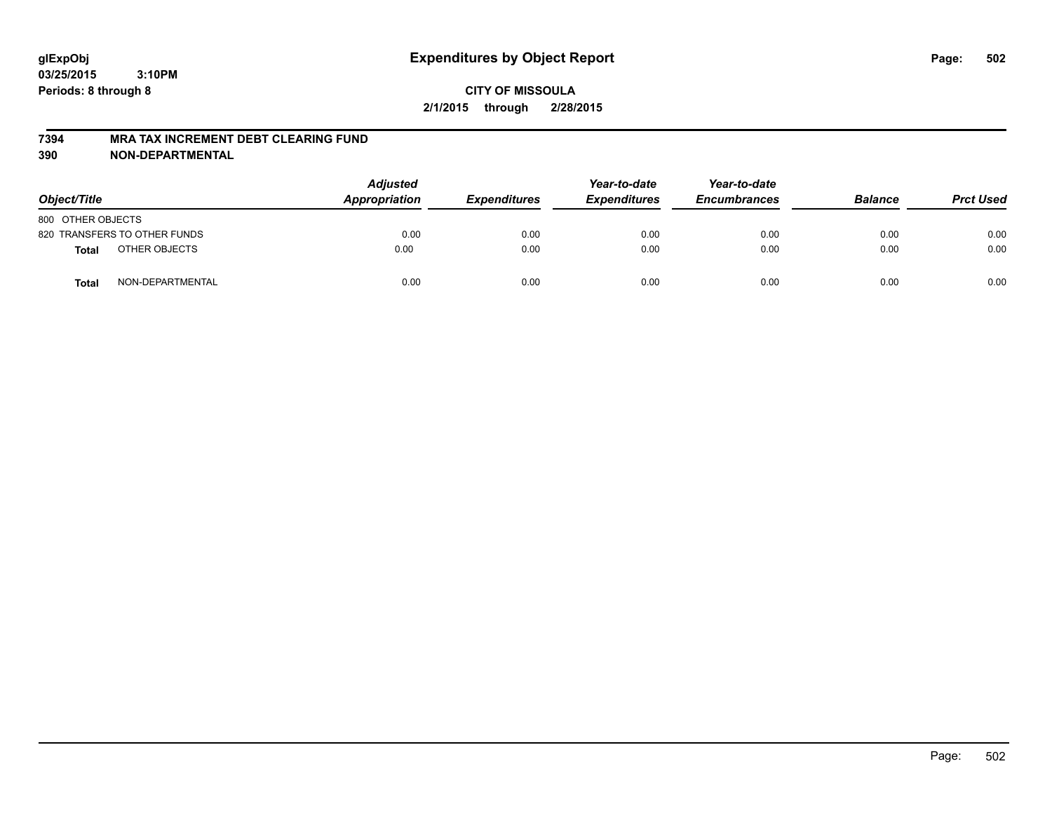#### **7394 MRA TAX INCREMENT DEBT CLEARING FUND**

**390 NON-DEPARTMENTAL**

| Object/Title      |                              | <b>Adjusted</b><br>Appropriation | <b>Expenditures</b> | Year-to-date<br><b>Expenditures</b> | Year-to-date<br><b>Encumbrances</b> | <b>Balance</b> | <b>Prct Used</b> |
|-------------------|------------------------------|----------------------------------|---------------------|-------------------------------------|-------------------------------------|----------------|------------------|
| 800 OTHER OBJECTS |                              |                                  |                     |                                     |                                     |                |                  |
|                   | 820 TRANSFERS TO OTHER FUNDS | 0.00                             | 0.00                | 0.00                                | 0.00                                | 0.00           | 0.00             |
| <b>Total</b>      | OTHER OBJECTS                | 0.00                             | 0.00                | 0.00                                | 0.00                                | 0.00           | 0.00             |
| <b>Total</b>      | NON-DEPARTMENTAL             | 0.00                             | 0.00                | 0.00                                | 0.00                                | 0.00           | 0.00             |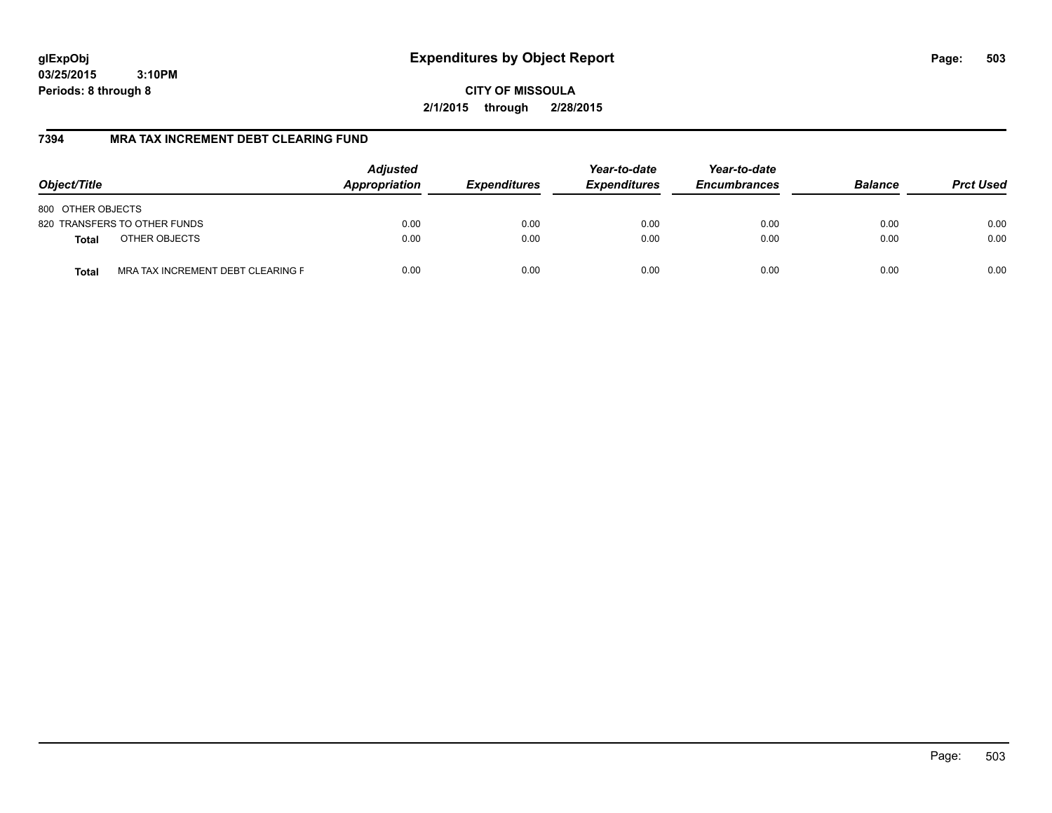# **glExpObj Expenditures by Object Report Page: 503**

**03/25/2015 3:10PM Periods: 8 through 8**

**CITY OF MISSOULA 2/1/2015 through 2/28/2015**

#### **7394 MRA TAX INCREMENT DEBT CLEARING FUND**

| Object/Title                               | <b>Adjusted</b><br>Appropriation | <b>Expenditures</b> | Year-to-date<br><b>Expenditures</b> | Year-to-date<br><b>Encumbrances</b> | <b>Balance</b> | <b>Prct Used</b> |
|--------------------------------------------|----------------------------------|---------------------|-------------------------------------|-------------------------------------|----------------|------------------|
| 800 OTHER OBJECTS                          |                                  |                     |                                     |                                     |                |                  |
| 820 TRANSFERS TO OTHER FUNDS               | 0.00                             | 0.00                | 0.00                                | 0.00                                | 0.00           | 0.00             |
| OTHER OBJECTS<br><b>Total</b>              | 0.00                             | 0.00                | 0.00                                | 0.00                                | 0.00           | 0.00             |
| MRA TAX INCREMENT DEBT CLEARING F<br>Total | 0.00                             | 0.00                | 0.00                                | 0.00                                | 0.00           | 0.00             |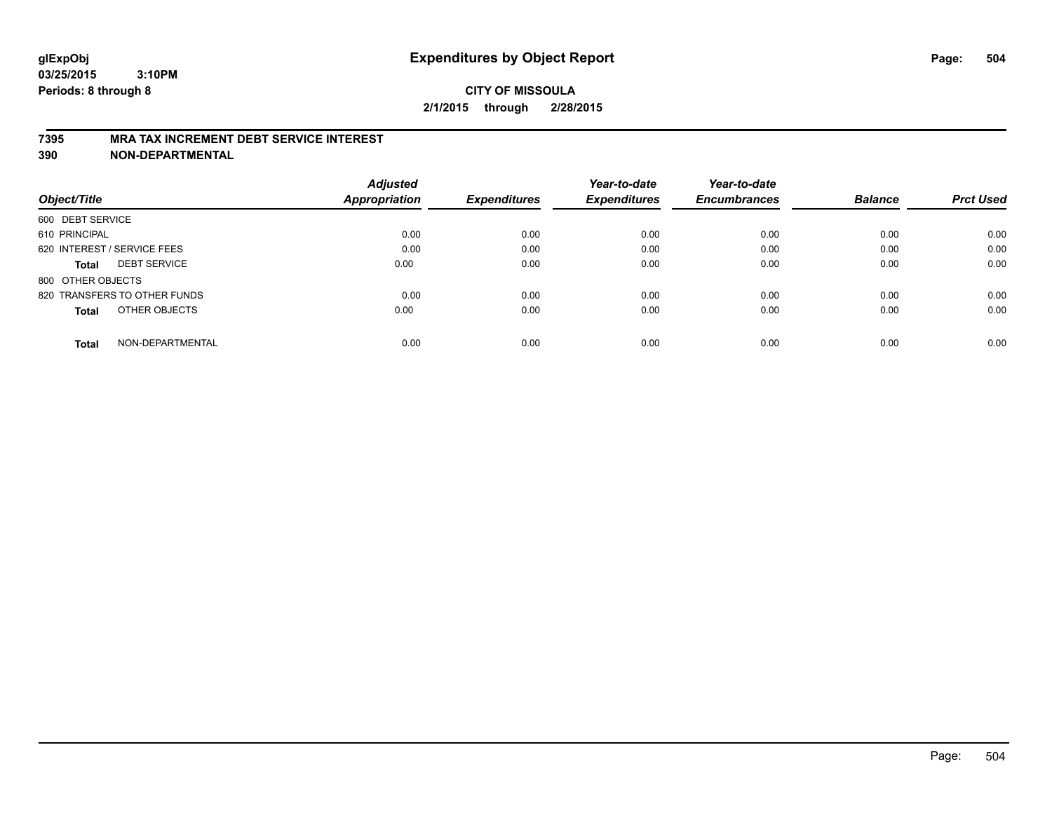#### **7395 MRA TAX INCREMENT DEBT SERVICE INTEREST**

**390 NON-DEPARTMENTAL**

| Object/Title                        | <b>Adjusted</b><br><b>Appropriation</b> | <b>Expenditures</b> | Year-to-date<br><b>Expenditures</b> | Year-to-date<br><b>Encumbrances</b> | <b>Balance</b> | <b>Prct Used</b> |
|-------------------------------------|-----------------------------------------|---------------------|-------------------------------------|-------------------------------------|----------------|------------------|
|                                     |                                         |                     |                                     |                                     |                |                  |
| 600 DEBT SERVICE                    |                                         |                     |                                     |                                     |                |                  |
| 610 PRINCIPAL                       | 0.00                                    | 0.00                | 0.00                                | 0.00                                | 0.00           | 0.00             |
| 620 INTEREST / SERVICE FEES         | 0.00                                    | 0.00                | 0.00                                | 0.00                                | 0.00           | 0.00             |
| <b>DEBT SERVICE</b><br><b>Total</b> | 0.00                                    | 0.00                | 0.00                                | 0.00                                | 0.00           | 0.00             |
| 800 OTHER OBJECTS                   |                                         |                     |                                     |                                     |                |                  |
| 820 TRANSFERS TO OTHER FUNDS        | 0.00                                    | 0.00                | 0.00                                | 0.00                                | 0.00           | 0.00             |
| OTHER OBJECTS<br><b>Total</b>       | 0.00                                    | 0.00                | 0.00                                | 0.00                                | 0.00           | 0.00             |
| NON-DEPARTMENTAL<br>Total           | 0.00                                    | 0.00                | 0.00                                | 0.00                                | 0.00           | 0.00             |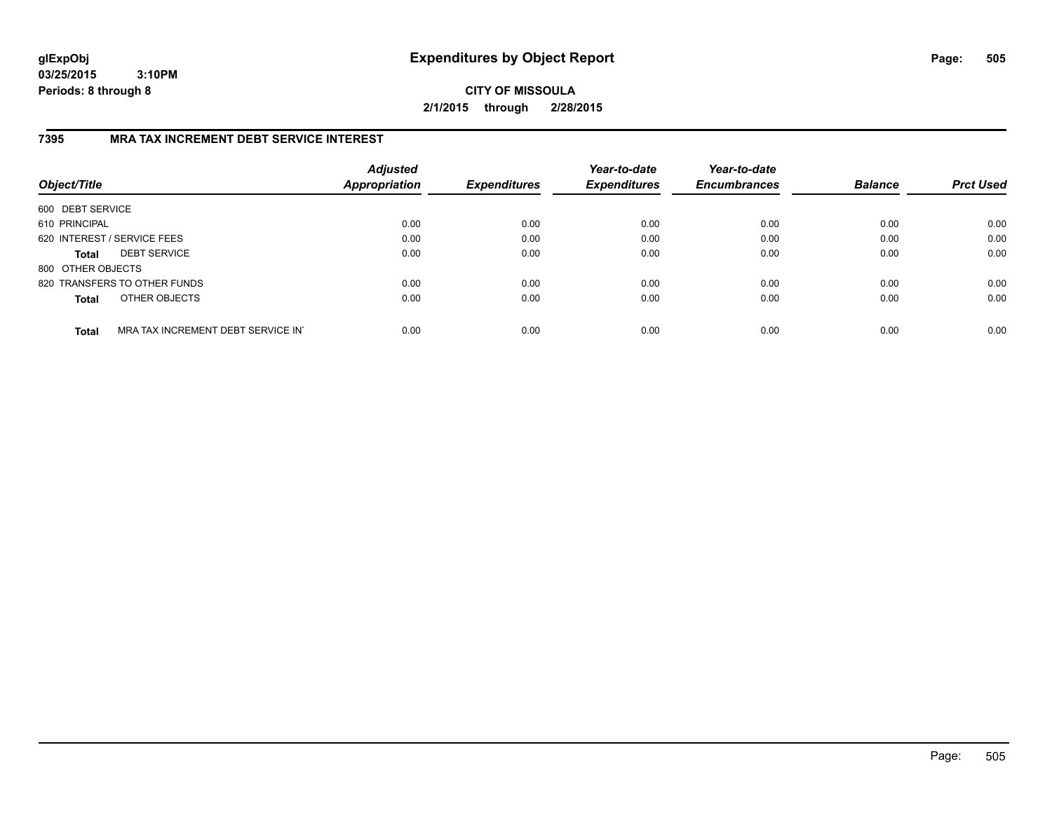**CITY OF MISSOULA 2/1/2015 through 2/28/2015**

## **7395 MRA TAX INCREMENT DEBT SERVICE INTEREST**

| Object/Title      |                                   | <b>Adjusted</b><br><b>Appropriation</b> | <b>Expenditures</b> | Year-to-date<br><b>Expenditures</b> | Year-to-date<br><b>Encumbrances</b> | <b>Balance</b> | <b>Prct Used</b> |
|-------------------|-----------------------------------|-----------------------------------------|---------------------|-------------------------------------|-------------------------------------|----------------|------------------|
| 600 DEBT SERVICE  |                                   |                                         |                     |                                     |                                     |                |                  |
| 610 PRINCIPAL     |                                   | 0.00                                    | 0.00                | 0.00                                | 0.00                                | 0.00           | 0.00             |
|                   | 620 INTEREST / SERVICE FEES       | 0.00                                    | 0.00                | 0.00                                | 0.00                                | 0.00           | 0.00             |
| <b>Total</b>      | <b>DEBT SERVICE</b>               | 0.00                                    | 0.00                | 0.00                                | 0.00                                | 0.00           | 0.00             |
| 800 OTHER OBJECTS |                                   |                                         |                     |                                     |                                     |                |                  |
|                   | 820 TRANSFERS TO OTHER FUNDS      | 0.00                                    | 0.00                | 0.00                                | 0.00                                | 0.00           | 0.00             |
| <b>Total</b>      | OTHER OBJECTS                     | 0.00                                    | 0.00                | 0.00                                | 0.00                                | 0.00           | 0.00             |
| <b>Total</b>      | MRA TAX INCREMENT DEBT SERVICE IN | 0.00                                    | 0.00                | 0.00                                | 0.00                                | 0.00           | 0.00             |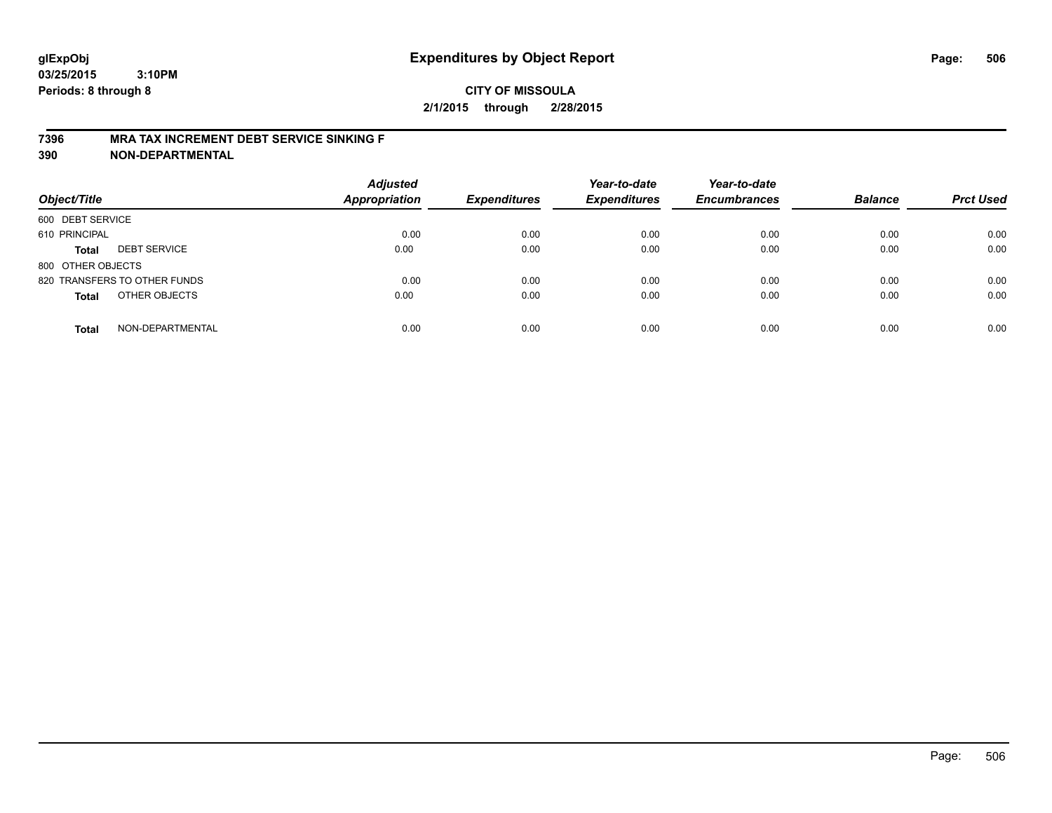## **CITY OF MISSOULA 2/1/2015 through 2/28/2015**

#### **7396 MRA TAX INCREMENT DEBT SERVICE SINKING F**

**390 NON-DEPARTMENTAL**

| Object/Title                        | <b>Adjusted</b><br><b>Appropriation</b> | <b>Expenditures</b> | Year-to-date<br><b>Expenditures</b> | Year-to-date<br><b>Encumbrances</b> | <b>Balance</b> | <b>Prct Used</b> |
|-------------------------------------|-----------------------------------------|---------------------|-------------------------------------|-------------------------------------|----------------|------------------|
| 600 DEBT SERVICE                    |                                         |                     |                                     |                                     |                |                  |
| 610 PRINCIPAL                       | 0.00                                    | 0.00                | 0.00                                | 0.00                                | 0.00           | 0.00             |
| <b>DEBT SERVICE</b><br><b>Total</b> | 0.00                                    | 0.00                | 0.00                                | 0.00                                | 0.00           | 0.00             |
| 800 OTHER OBJECTS                   |                                         |                     |                                     |                                     |                |                  |
| 820 TRANSFERS TO OTHER FUNDS        | 0.00                                    | 0.00                | 0.00                                | 0.00                                | 0.00           | 0.00             |
| OTHER OBJECTS<br><b>Total</b>       | 0.00                                    | 0.00                | 0.00                                | 0.00                                | 0.00           | 0.00             |
| NON-DEPARTMENTAL<br><b>Total</b>    | 0.00                                    | 0.00                | 0.00                                | 0.00                                | 0.00           | 0.00             |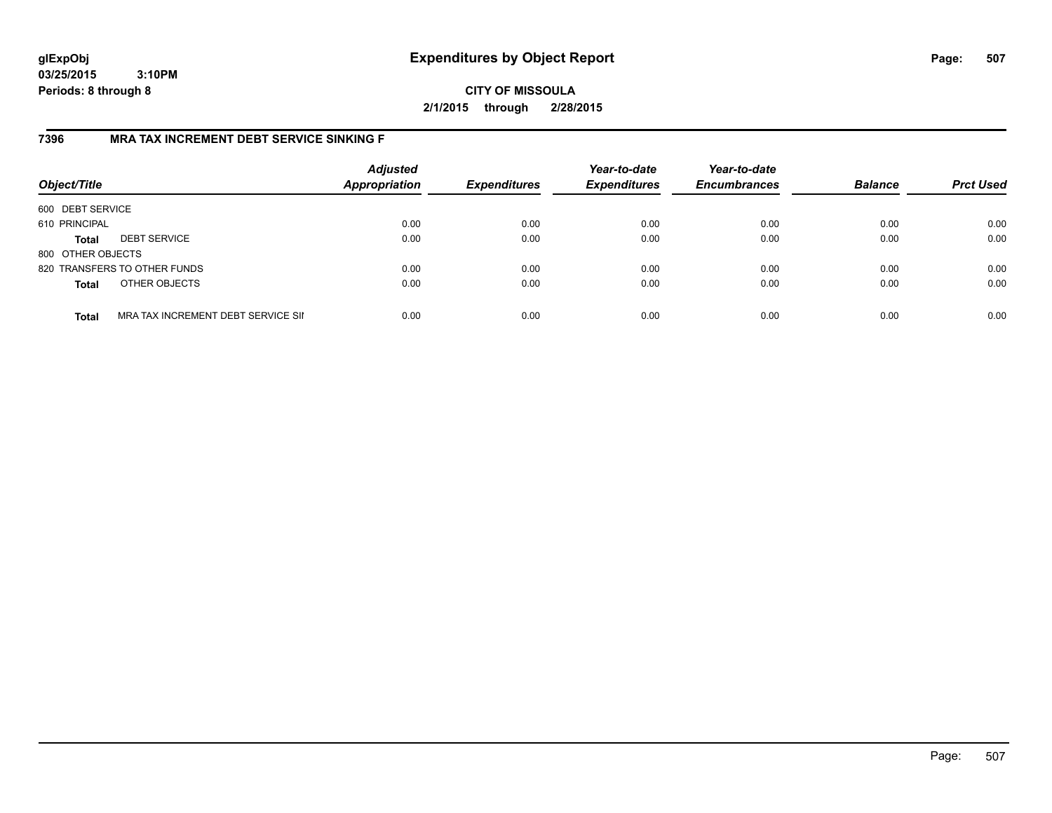**CITY OF MISSOULA 2/1/2015 through 2/28/2015**

## **7396 MRA TAX INCREMENT DEBT SERVICE SINKING F**

| Object/Title      |                                    | <b>Adjusted</b><br><b>Appropriation</b> | <b>Expenditures</b> | Year-to-date<br><b>Expenditures</b> | Year-to-date<br><b>Encumbrances</b> | <b>Balance</b> | <b>Prct Used</b> |
|-------------------|------------------------------------|-----------------------------------------|---------------------|-------------------------------------|-------------------------------------|----------------|------------------|
| 600 DEBT SERVICE  |                                    |                                         |                     |                                     |                                     |                |                  |
| 610 PRINCIPAL     |                                    | 0.00                                    | 0.00                | 0.00                                | 0.00                                | 0.00           | 0.00             |
| <b>Total</b>      | <b>DEBT SERVICE</b>                | 0.00                                    | 0.00                | 0.00                                | 0.00                                | 0.00           | 0.00             |
| 800 OTHER OBJECTS |                                    |                                         |                     |                                     |                                     |                |                  |
|                   | 820 TRANSFERS TO OTHER FUNDS       | 0.00                                    | 0.00                | 0.00                                | 0.00                                | 0.00           | 0.00             |
| <b>Total</b>      | OTHER OBJECTS                      | 0.00                                    | 0.00                | 0.00                                | 0.00                                | 0.00           | 0.00             |
| <b>Total</b>      | MRA TAX INCREMENT DEBT SERVICE SII | 0.00                                    | 0.00                | 0.00                                | 0.00                                | 0.00           | 0.00             |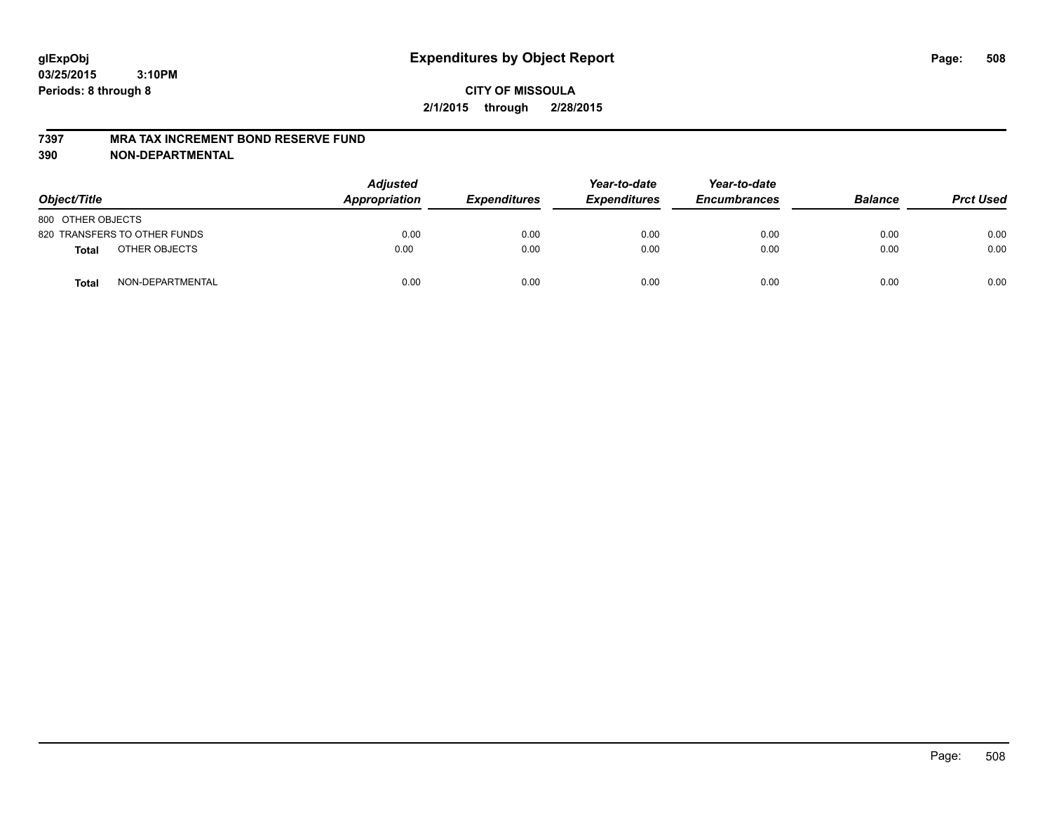#### **7397 MRA TAX INCREMENT BOND RESERVE FUND**

**390 NON-DEPARTMENTAL**

| Object/Title      |                              | <b>Adjusted</b><br>Appropriation | <b>Expenditures</b> | Year-to-date<br><b>Expenditures</b> | Year-to-date<br><b>Encumbrances</b> | <b>Balance</b> | <b>Prct Used</b> |
|-------------------|------------------------------|----------------------------------|---------------------|-------------------------------------|-------------------------------------|----------------|------------------|
| 800 OTHER OBJECTS |                              |                                  |                     |                                     |                                     |                |                  |
|                   | 820 TRANSFERS TO OTHER FUNDS | 0.00                             | 0.00                | 0.00                                | 0.00                                | 0.00           | 0.00             |
| <b>Total</b>      | OTHER OBJECTS                | 0.00                             | 0.00                | 0.00                                | 0.00                                | 0.00           | 0.00             |
| <b>Total</b>      | NON-DEPARTMENTAL             | 0.00                             | 0.00                | 0.00                                | 0.00                                | 0.00           | 0.00             |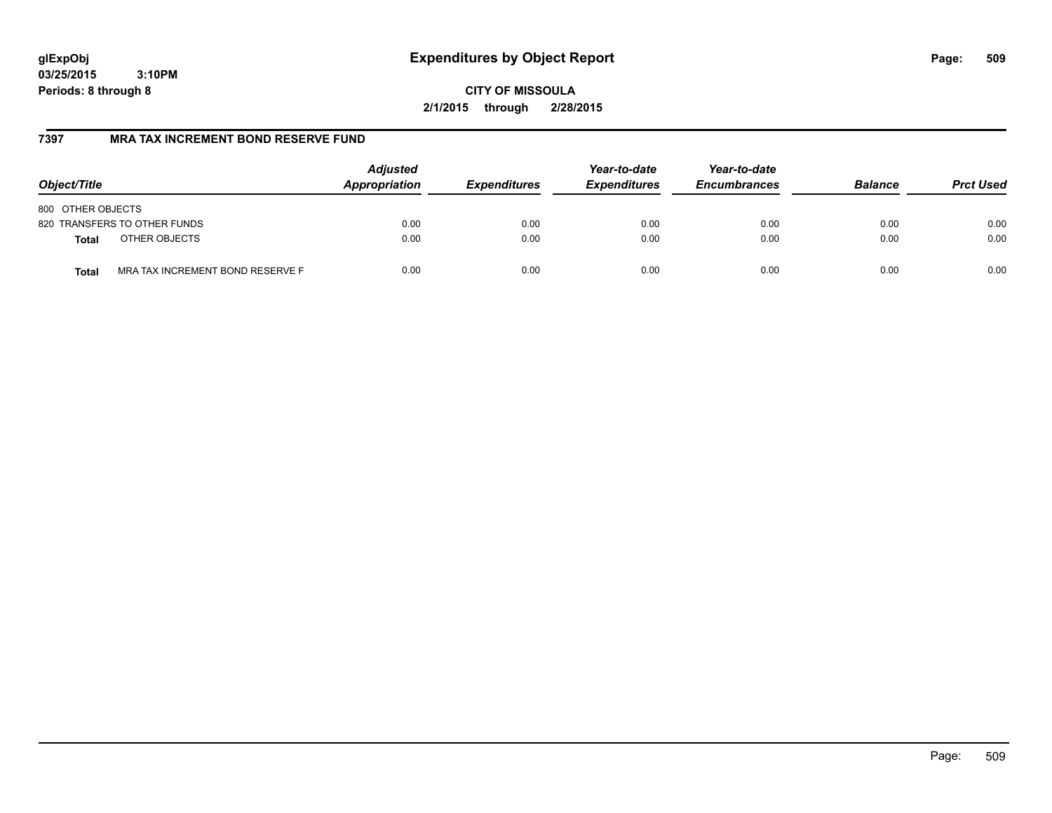# **glExpObj Expenditures by Object Report Page: 509**

**03/25/2015 3:10PM Periods: 8 through 8**

**CITY OF MISSOULA 2/1/2015 through 2/28/2015**

## **7397 MRA TAX INCREMENT BOND RESERVE FUND**

| Object/Title                                     | <b>Adjusted</b><br>Appropriation | <b>Expenditures</b> | Year-to-date<br><b>Expenditures</b> | Year-to-date<br><b>Encumbrances</b> | <b>Balance</b> | <b>Prct Used</b> |
|--------------------------------------------------|----------------------------------|---------------------|-------------------------------------|-------------------------------------|----------------|------------------|
| 800 OTHER OBJECTS                                |                                  |                     |                                     |                                     |                |                  |
| 820 TRANSFERS TO OTHER FUNDS                     | 0.00                             | 0.00                | 0.00                                | 0.00                                | 0.00           | 0.00             |
| OTHER OBJECTS<br><b>Total</b>                    | 0.00                             | 0.00                | 0.00                                | 0.00                                | 0.00           | 0.00             |
| MRA TAX INCREMENT BOND RESERVE F<br><b>Total</b> | 0.00                             | 0.00                | 0.00                                | 0.00                                | 0.00           | 0.00             |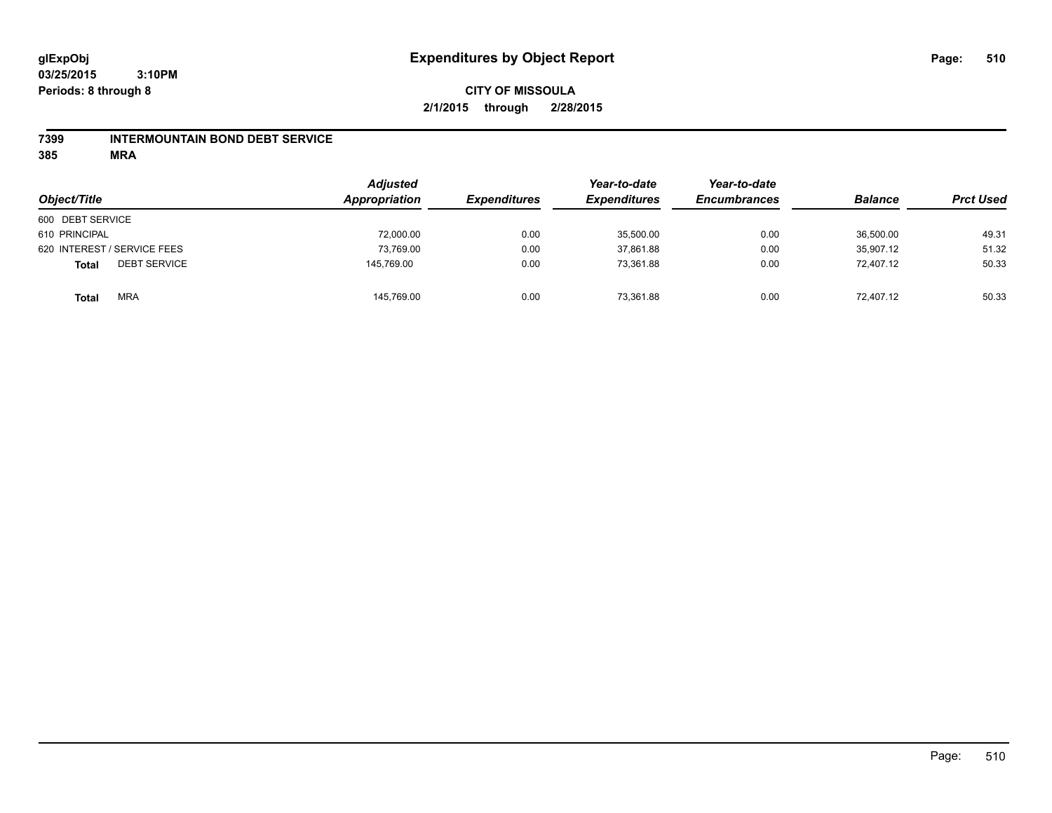### **7399 INTERMOUNTAIN BOND DEBT SERVICE**

**385 MRA**

| Object/Title                        | <b>Adjusted</b><br>Appropriation | <b>Expenditures</b> | Year-to-date<br><b>Expenditures</b> | Year-to-date<br><b>Encumbrances</b> | <b>Balance</b> | <b>Prct Used</b> |
|-------------------------------------|----------------------------------|---------------------|-------------------------------------|-------------------------------------|----------------|------------------|
| 600 DEBT SERVICE                    |                                  |                     |                                     |                                     |                |                  |
| 610 PRINCIPAL                       | 72,000.00                        | 0.00                | 35,500.00                           | 0.00                                | 36,500.00      | 49.31            |
| 620 INTEREST / SERVICE FEES         | 73,769.00                        | 0.00                | 37,861.88                           | 0.00                                | 35,907.12      | 51.32            |
| <b>DEBT SERVICE</b><br><b>Total</b> | 145,769.00                       | 0.00                | 73.361.88                           | 0.00                                | 72.407.12      | 50.33            |
| <b>MRA</b><br><b>Total</b>          | 145,769.00                       | 0.00                | 73,361.88                           | 0.00                                | 72,407.12      | 50.33            |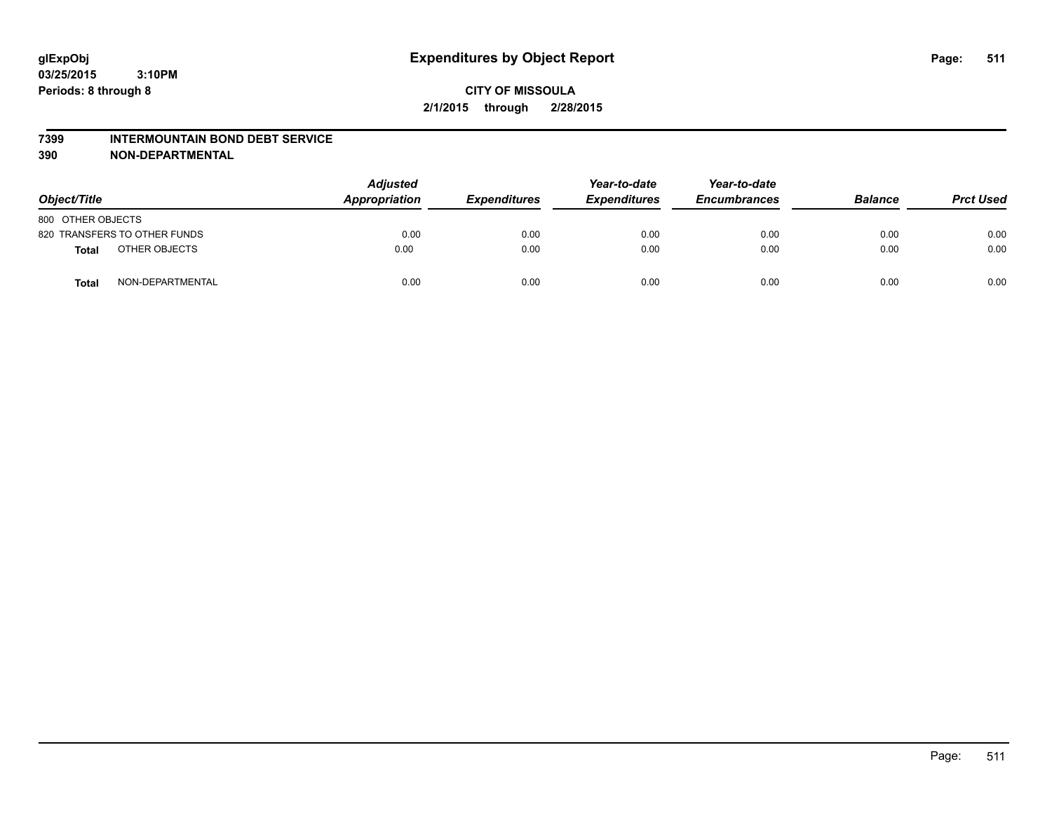#### **7399 INTERMOUNTAIN BOND DEBT SERVICE**

**390 NON-DEPARTMENTAL**

| Object/Title                 |                  | <b>Adjusted</b><br><b>Appropriation</b> | <b>Expenditures</b> | Year-to-date<br><b>Expenditures</b> | Year-to-date<br><b>Encumbrances</b> | <b>Balance</b> | <b>Prct Used</b> |
|------------------------------|------------------|-----------------------------------------|---------------------|-------------------------------------|-------------------------------------|----------------|------------------|
| 800 OTHER OBJECTS            |                  |                                         |                     |                                     |                                     |                |                  |
| 820 TRANSFERS TO OTHER FUNDS |                  | 0.00                                    | 0.00                | 0.00                                | 0.00                                | 0.00           | 0.00             |
| <b>Total</b>                 | OTHER OBJECTS    | 0.00                                    | 0.00                | 0.00                                | 0.00                                | 0.00           | 0.00             |
| <b>Total</b>                 | NON-DEPARTMENTAL | 0.00                                    | 0.00                | 0.00                                | 0.00                                | 0.00           | 0.00             |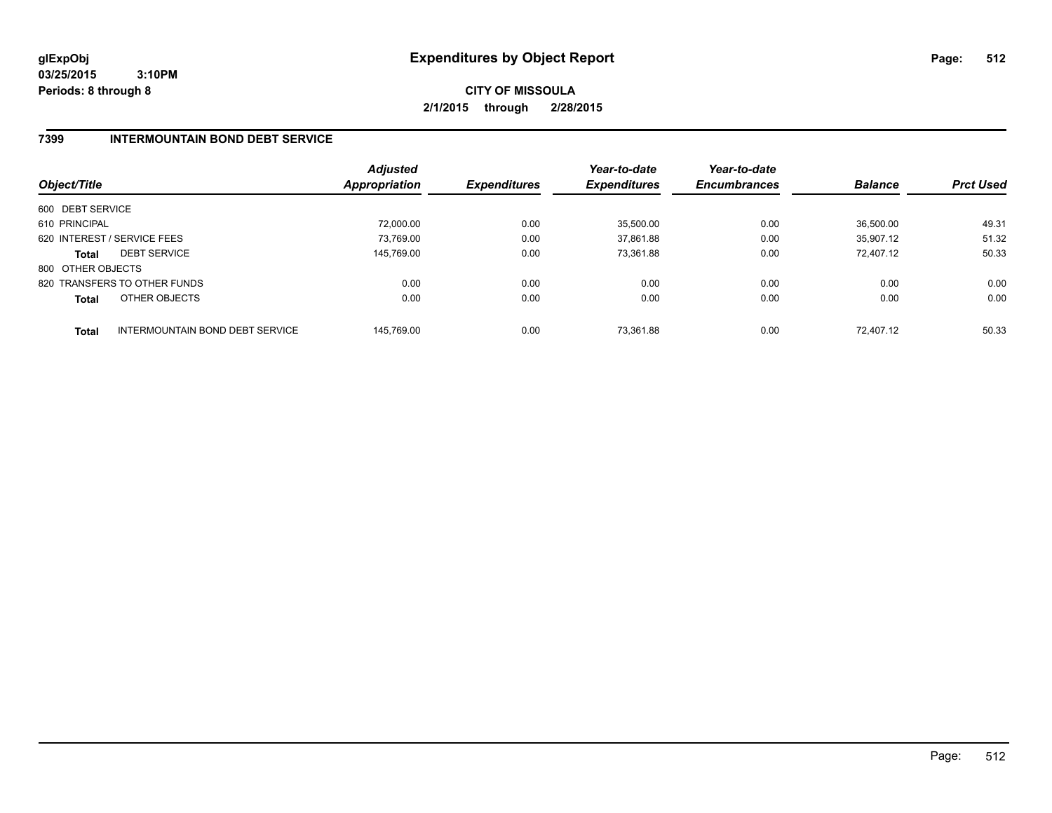**CITY OF MISSOULA 2/1/2015 through 2/28/2015**

## **7399 INTERMOUNTAIN BOND DEBT SERVICE**

| Object/Title      |                                 | <b>Adjusted</b><br><b>Appropriation</b> | <b>Expenditures</b> | Year-to-date<br><b>Expenditures</b> | Year-to-date<br><b>Encumbrances</b> | <b>Balance</b> | <b>Prct Used</b> |
|-------------------|---------------------------------|-----------------------------------------|---------------------|-------------------------------------|-------------------------------------|----------------|------------------|
| 600 DEBT SERVICE  |                                 |                                         |                     |                                     |                                     |                |                  |
| 610 PRINCIPAL     |                                 | 72.000.00                               | 0.00                | 35,500.00                           | 0.00                                | 36.500.00      | 49.31            |
|                   | 620 INTEREST / SERVICE FEES     | 73,769.00                               | 0.00                | 37,861.88                           | 0.00                                | 35.907.12      | 51.32            |
| <b>Total</b>      | <b>DEBT SERVICE</b>             | 145.769.00                              | 0.00                | 73.361.88                           | 0.00                                | 72.407.12      | 50.33            |
| 800 OTHER OBJECTS |                                 |                                         |                     |                                     |                                     |                |                  |
|                   | 820 TRANSFERS TO OTHER FUNDS    | 0.00                                    | 0.00                | 0.00                                | 0.00                                | 0.00           | 0.00             |
| <b>Total</b>      | OTHER OBJECTS                   | 0.00                                    | 0.00                | 0.00                                | 0.00                                | 0.00           | 0.00             |
| <b>Total</b>      | INTERMOUNTAIN BOND DEBT SERVICE | 145.769.00                              | 0.00                | 73.361.88                           | 0.00                                | 72.407.12      | 50.33            |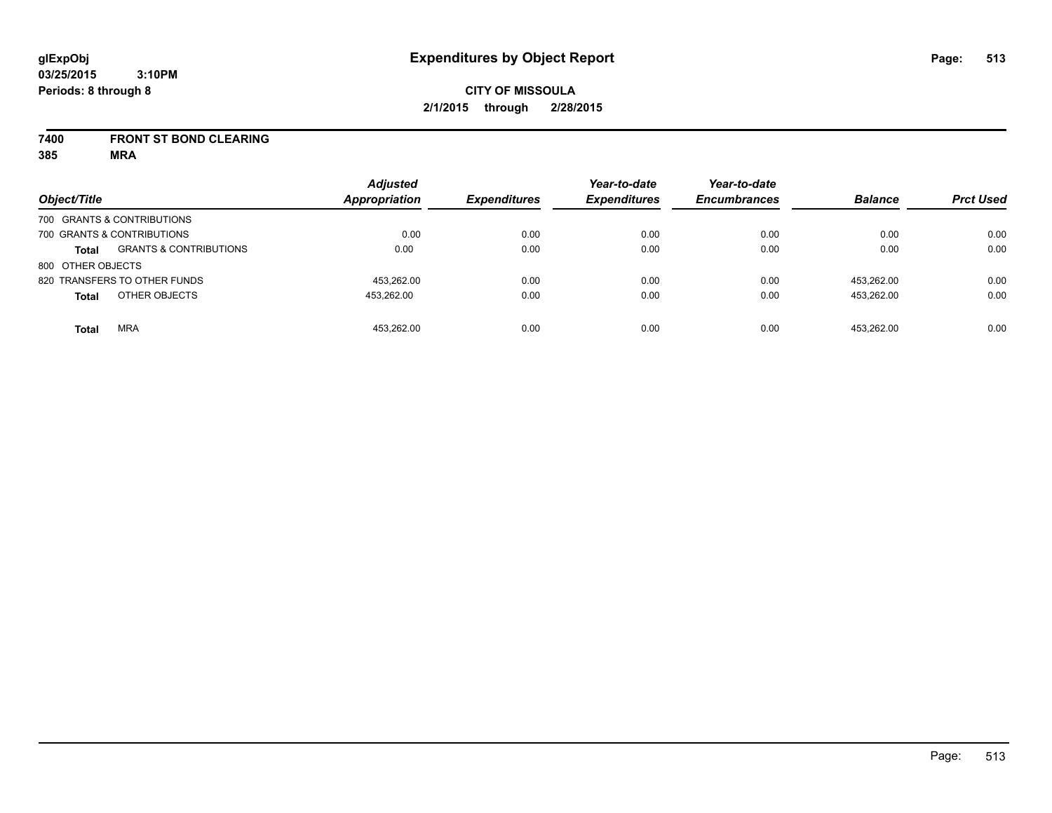#### **7400 FRONT ST BOND CLEARING**

**385 MRA**

| Object/Title      |                                   | <b>Adjusted</b><br><b>Appropriation</b> | <b>Expenditures</b> | Year-to-date<br><b>Expenditures</b> | Year-to-date<br><b>Encumbrances</b> | <b>Balance</b> | <b>Prct Used</b> |
|-------------------|-----------------------------------|-----------------------------------------|---------------------|-------------------------------------|-------------------------------------|----------------|------------------|
|                   | 700 GRANTS & CONTRIBUTIONS        |                                         |                     |                                     |                                     |                |                  |
|                   | 700 GRANTS & CONTRIBUTIONS        | 0.00                                    | 0.00                | 0.00                                | 0.00                                | 0.00           | 0.00             |
| <b>Total</b>      | <b>GRANTS &amp; CONTRIBUTIONS</b> | 0.00                                    | 0.00                | 0.00                                | 0.00                                | 0.00           | 0.00             |
| 800 OTHER OBJECTS |                                   |                                         |                     |                                     |                                     |                |                  |
|                   | 820 TRANSFERS TO OTHER FUNDS      | 453.262.00                              | 0.00                | 0.00                                | 0.00                                | 453.262.00     | 0.00             |
| <b>Total</b>      | OTHER OBJECTS                     | 453.262.00                              | 0.00                | 0.00                                | 0.00                                | 453.262.00     | 0.00             |
| <b>Total</b>      | <b>MRA</b>                        | 453.262.00                              | 0.00                | 0.00                                | 0.00                                | 453.262.00     | 0.00             |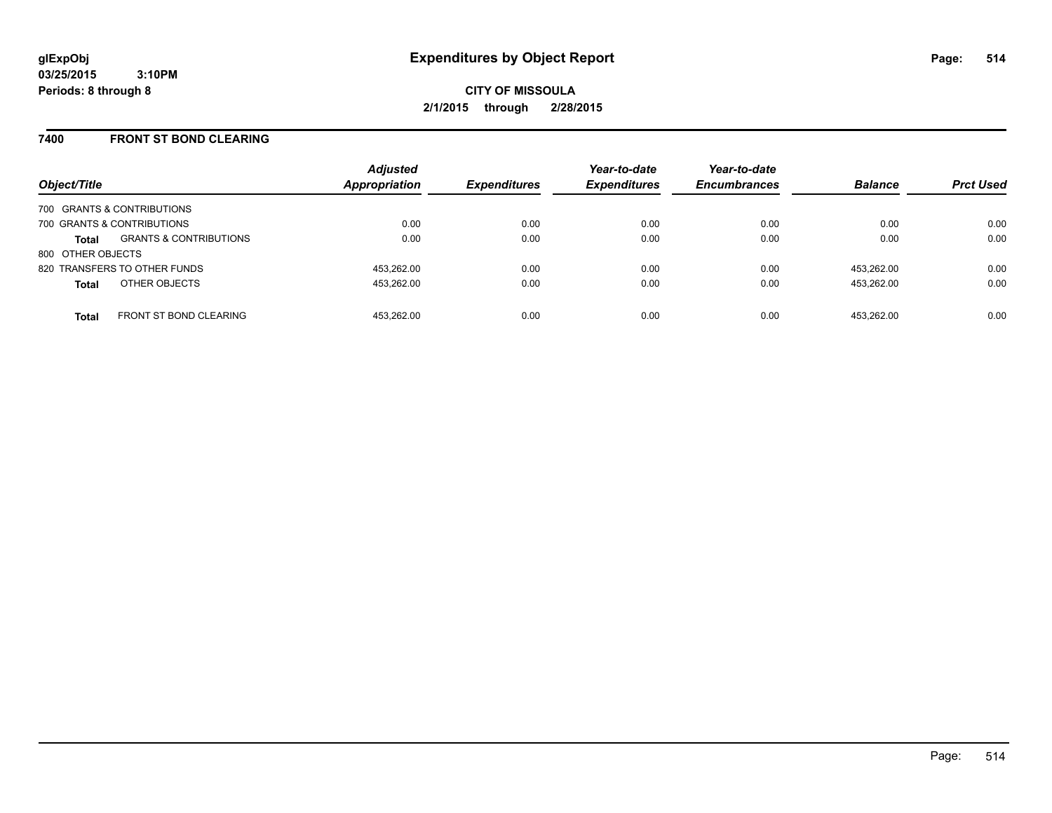**CITY OF MISSOULA 2/1/2015 through 2/28/2015**

### **7400 FRONT ST BOND CLEARING**

| Object/Title      |                                   | <b>Adjusted</b><br><b>Appropriation</b> | <b>Expenditures</b> | Year-to-date<br><b>Expenditures</b> | Year-to-date<br><b>Encumbrances</b> | <b>Balance</b> | <b>Prct Used</b> |
|-------------------|-----------------------------------|-----------------------------------------|---------------------|-------------------------------------|-------------------------------------|----------------|------------------|
|                   | 700 GRANTS & CONTRIBUTIONS        |                                         |                     |                                     |                                     |                |                  |
|                   | 700 GRANTS & CONTRIBUTIONS        | 0.00                                    | 0.00                | 0.00                                | 0.00                                | 0.00           | 0.00             |
| <b>Total</b>      | <b>GRANTS &amp; CONTRIBUTIONS</b> | 0.00                                    | 0.00                | 0.00                                | 0.00                                | 0.00           | 0.00             |
| 800 OTHER OBJECTS |                                   |                                         |                     |                                     |                                     |                |                  |
|                   | 820 TRANSFERS TO OTHER FUNDS      | 453,262.00                              | 0.00                | 0.00                                | 0.00                                | 453.262.00     | 0.00             |
| <b>Total</b>      | OTHER OBJECTS                     | 453.262.00                              | 0.00                | 0.00                                | 0.00                                | 453.262.00     | 0.00             |
| <b>Total</b>      | <b>FRONT ST BOND CLEARING</b>     | 453.262.00                              | 0.00                | 0.00                                | 0.00                                | 453.262.00     | 0.00             |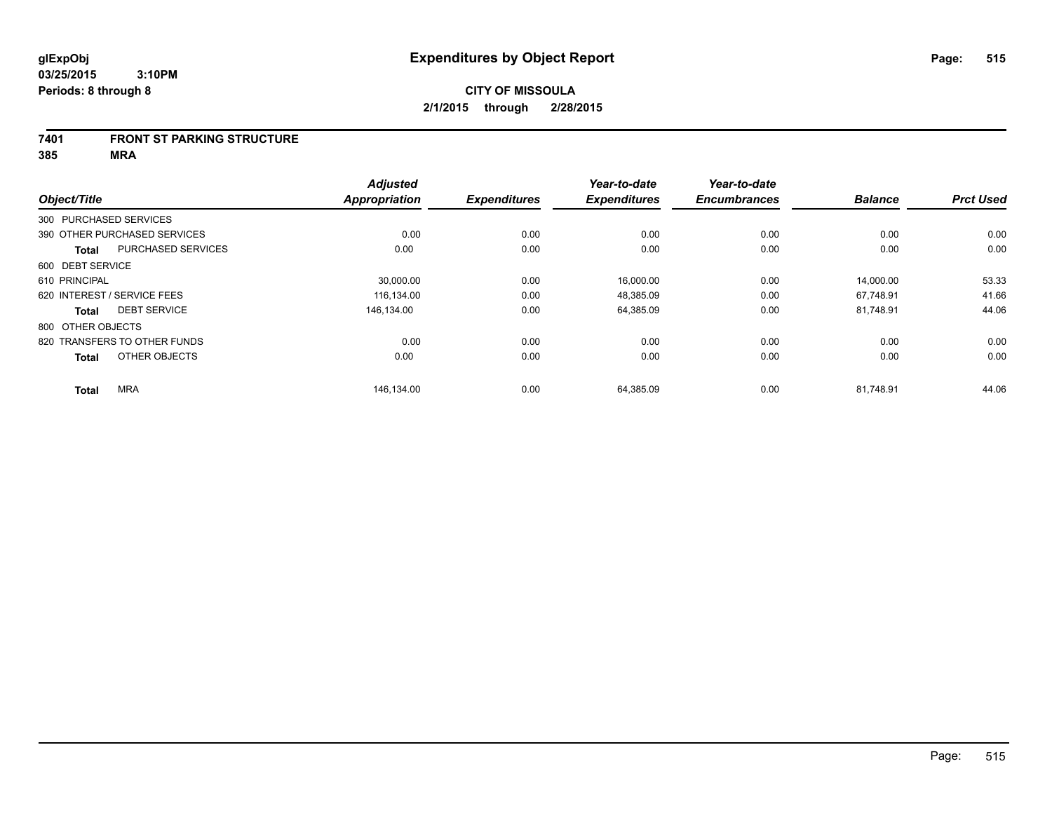#### **7401 FRONT ST PARKING STRUCTURE**

**385 MRA**

| Object/Title      |                              | <b>Adjusted</b><br><b>Appropriation</b> | <b>Expenditures</b> | Year-to-date<br><b>Expenditures</b> | Year-to-date<br><b>Encumbrances</b> | <b>Balance</b> | <b>Prct Used</b> |
|-------------------|------------------------------|-----------------------------------------|---------------------|-------------------------------------|-------------------------------------|----------------|------------------|
|                   |                              |                                         |                     |                                     |                                     |                |                  |
|                   | 300 PURCHASED SERVICES       |                                         |                     |                                     |                                     |                |                  |
|                   | 390 OTHER PURCHASED SERVICES | 0.00                                    | 0.00                | 0.00                                | 0.00                                | 0.00           | 0.00             |
| <b>Total</b>      | <b>PURCHASED SERVICES</b>    | 0.00                                    | 0.00                | 0.00                                | 0.00                                | 0.00           | 0.00             |
| 600 DEBT SERVICE  |                              |                                         |                     |                                     |                                     |                |                  |
| 610 PRINCIPAL     |                              | 30,000.00                               | 0.00                | 16,000.00                           | 0.00                                | 14,000.00      | 53.33            |
|                   | 620 INTEREST / SERVICE FEES  | 116.134.00                              | 0.00                | 48.385.09                           | 0.00                                | 67.748.91      | 41.66            |
| <b>Total</b>      | <b>DEBT SERVICE</b>          | 146.134.00                              | 0.00                | 64,385.09                           | 0.00                                | 81,748.91      | 44.06            |
| 800 OTHER OBJECTS |                              |                                         |                     |                                     |                                     |                |                  |
|                   | 820 TRANSFERS TO OTHER FUNDS | 0.00                                    | 0.00                | 0.00                                | 0.00                                | 0.00           | 0.00             |
| <b>Total</b>      | OTHER OBJECTS                | 0.00                                    | 0.00                | 0.00                                | 0.00                                | 0.00           | 0.00             |
| <b>Total</b>      | <b>MRA</b>                   | 146,134.00                              | 0.00                | 64,385.09                           | 0.00                                | 81,748.91      | 44.06            |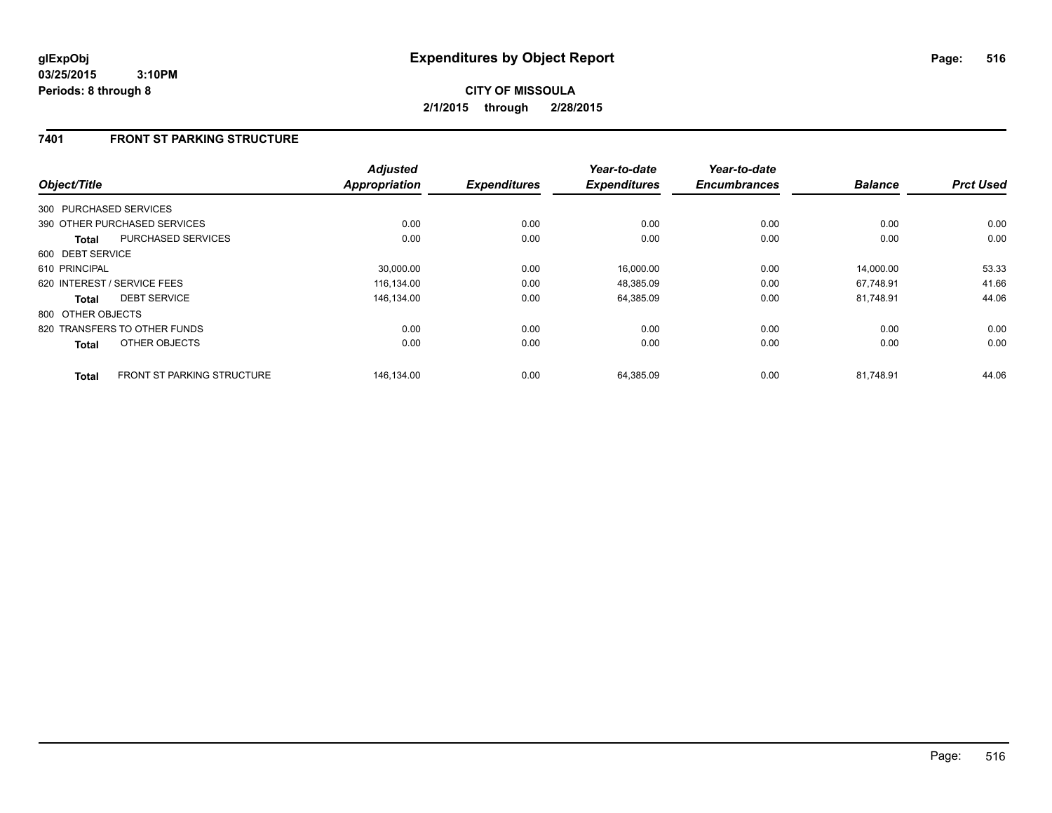# **CITY OF MISSOULA 2/1/2015 through 2/28/2015**

## **7401 FRONT ST PARKING STRUCTURE**

| Object/Title                                      | <b>Adjusted</b><br><b>Appropriation</b> | <b>Expenditures</b> | Year-to-date<br><b>Expenditures</b> | Year-to-date<br><b>Encumbrances</b> | <b>Balance</b> | <b>Prct Used</b> |
|---------------------------------------------------|-----------------------------------------|---------------------|-------------------------------------|-------------------------------------|----------------|------------------|
| 300 PURCHASED SERVICES                            |                                         |                     |                                     |                                     |                |                  |
| 390 OTHER PURCHASED SERVICES                      | 0.00                                    | 0.00                | 0.00                                | 0.00                                | 0.00           | 0.00             |
| <b>PURCHASED SERVICES</b><br><b>Total</b>         | 0.00                                    | 0.00                | 0.00                                | 0.00                                | 0.00           | 0.00             |
| 600 DEBT SERVICE                                  |                                         |                     |                                     |                                     |                |                  |
| 610 PRINCIPAL                                     | 30,000.00                               | 0.00                | 16,000.00                           | 0.00                                | 14,000.00      | 53.33            |
| 620 INTEREST / SERVICE FEES                       | 116.134.00                              | 0.00                | 48,385.09                           | 0.00                                | 67.748.91      | 41.66            |
| <b>DEBT SERVICE</b><br><b>Total</b>               | 146.134.00                              | 0.00                | 64,385.09                           | 0.00                                | 81.748.91      | 44.06            |
| 800 OTHER OBJECTS                                 |                                         |                     |                                     |                                     |                |                  |
| 820 TRANSFERS TO OTHER FUNDS                      | 0.00                                    | 0.00                | 0.00                                | 0.00                                | 0.00           | 0.00             |
| OTHER OBJECTS<br><b>Total</b>                     | 0.00                                    | 0.00                | 0.00                                | 0.00                                | 0.00           | 0.00             |
| <b>FRONT ST PARKING STRUCTURE</b><br><b>Total</b> | 146,134.00                              | 0.00                | 64,385.09                           | 0.00                                | 81,748.91      | 44.06            |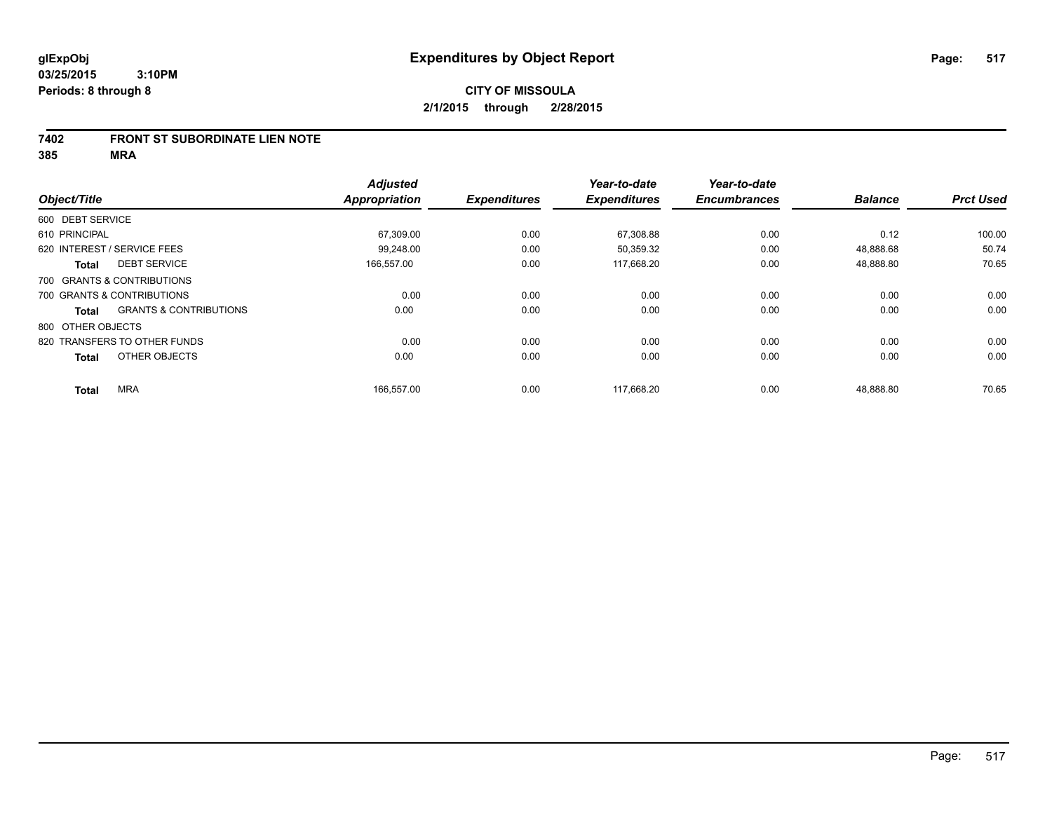### **7402 FRONT ST SUBORDINATE LIEN NOTE**

**385 MRA**

|                                   | <b>Adjusted</b> |                                    | Year-to-date                | Year-to-date |                             |                             |
|-----------------------------------|-----------------|------------------------------------|-----------------------------|--------------|-----------------------------|-----------------------------|
|                                   |                 |                                    | <b>Expenditures</b>         |              |                             | <b>Prct Used</b>            |
| 600 DEBT SERVICE                  |                 |                                    |                             |              |                             |                             |
| 610 PRINCIPAL                     | 67,309.00       | 0.00                               | 67,308.88                   | 0.00         | 0.12                        | 100.00                      |
| 620 INTEREST / SERVICE FEES       | 99.248.00       | 0.00                               | 50,359.32                   | 0.00         | 48,888.68                   | 50.74                       |
| <b>DEBT SERVICE</b>               | 166,557.00      | 0.00                               | 117,668.20                  | 0.00         | 48,888.80                   | 70.65                       |
| 700 GRANTS & CONTRIBUTIONS        |                 |                                    |                             |              |                             |                             |
| 700 GRANTS & CONTRIBUTIONS        | 0.00            | 0.00                               | 0.00                        | 0.00         | 0.00                        | 0.00                        |
| <b>GRANTS &amp; CONTRIBUTIONS</b> | 0.00            | 0.00                               | 0.00                        | 0.00         | 0.00                        | 0.00                        |
| 800 OTHER OBJECTS                 |                 |                                    |                             |              |                             |                             |
| 820 TRANSFERS TO OTHER FUNDS      | 0.00            | 0.00                               | 0.00                        | 0.00         | 0.00                        | 0.00                        |
| OTHER OBJECTS                     | 0.00            | 0.00                               | 0.00                        | 0.00         | 0.00                        | 0.00                        |
|                                   |                 |                                    |                             |              |                             | 70.65                       |
|                                   | <b>MRA</b>      | <b>Appropriation</b><br>166,557.00 | <b>Expenditures</b><br>0.00 | 117,668.20   | <b>Encumbrances</b><br>0.00 | <b>Balance</b><br>48,888.80 |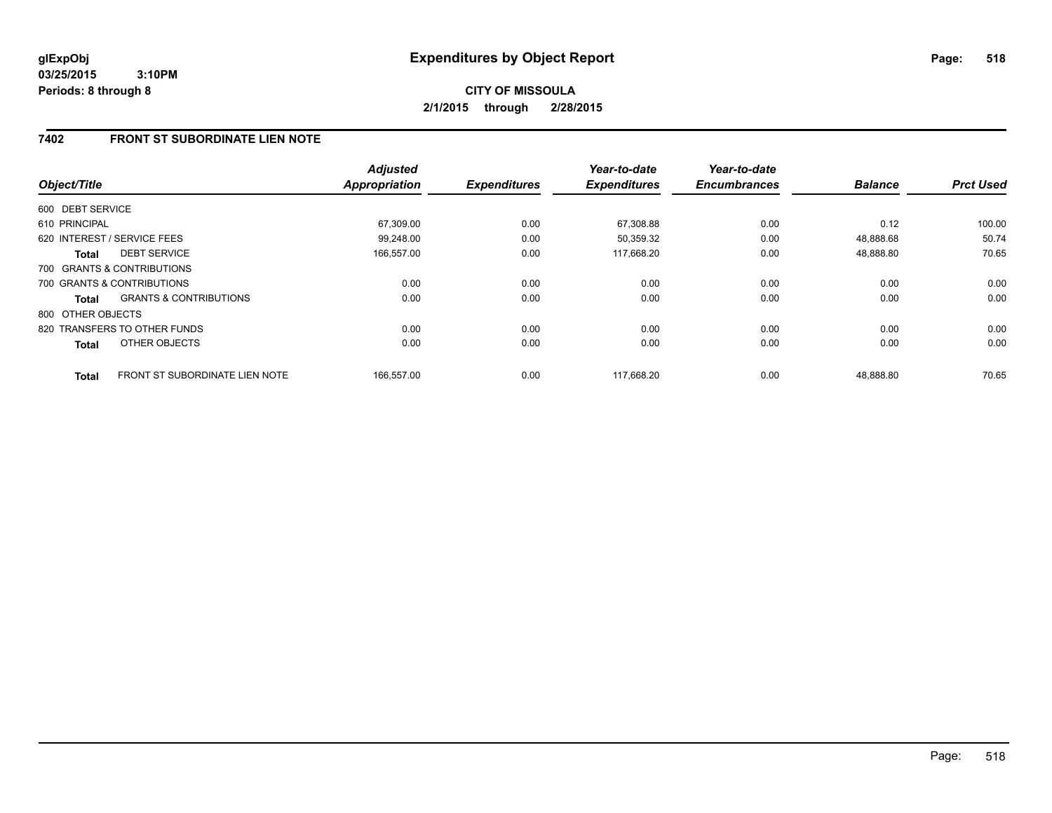## **7402 FRONT ST SUBORDINATE LIEN NOTE**

| Object/Title      |                                       | <b>Adjusted</b><br><b>Appropriation</b> | <b>Expenditures</b> | Year-to-date<br><b>Expenditures</b> | Year-to-date<br><b>Encumbrances</b> | <b>Balance</b> | <b>Prct Used</b> |
|-------------------|---------------------------------------|-----------------------------------------|---------------------|-------------------------------------|-------------------------------------|----------------|------------------|
| 600 DEBT SERVICE  |                                       |                                         |                     |                                     |                                     |                |                  |
| 610 PRINCIPAL     |                                       | 67,309.00                               | 0.00                | 67,308.88                           | 0.00                                | 0.12           | 100.00           |
|                   | 620 INTEREST / SERVICE FEES           | 99.248.00                               | 0.00                | 50.359.32                           | 0.00                                | 48.888.68      | 50.74            |
| Total             | <b>DEBT SERVICE</b>                   | 166,557.00                              | 0.00                | 117,668.20                          | 0.00                                | 48,888.80      | 70.65            |
|                   | 700 GRANTS & CONTRIBUTIONS            |                                         |                     |                                     |                                     |                |                  |
|                   | 700 GRANTS & CONTRIBUTIONS            | 0.00                                    | 0.00                | 0.00                                | 0.00                                | 0.00           | 0.00             |
| Total             | <b>GRANTS &amp; CONTRIBUTIONS</b>     | 0.00                                    | 0.00                | 0.00                                | 0.00                                | 0.00           | 0.00             |
| 800 OTHER OBJECTS |                                       |                                         |                     |                                     |                                     |                |                  |
|                   | 820 TRANSFERS TO OTHER FUNDS          | 0.00                                    | 0.00                | 0.00                                | 0.00                                | 0.00           | 0.00             |
| <b>Total</b>      | OTHER OBJECTS                         | 0.00                                    | 0.00                | 0.00                                | 0.00                                | 0.00           | 0.00             |
| <b>Total</b>      | <b>FRONT ST SUBORDINATE LIEN NOTE</b> | 166.557.00                              | 0.00                | 117.668.20                          | 0.00                                | 48.888.80      | 70.65            |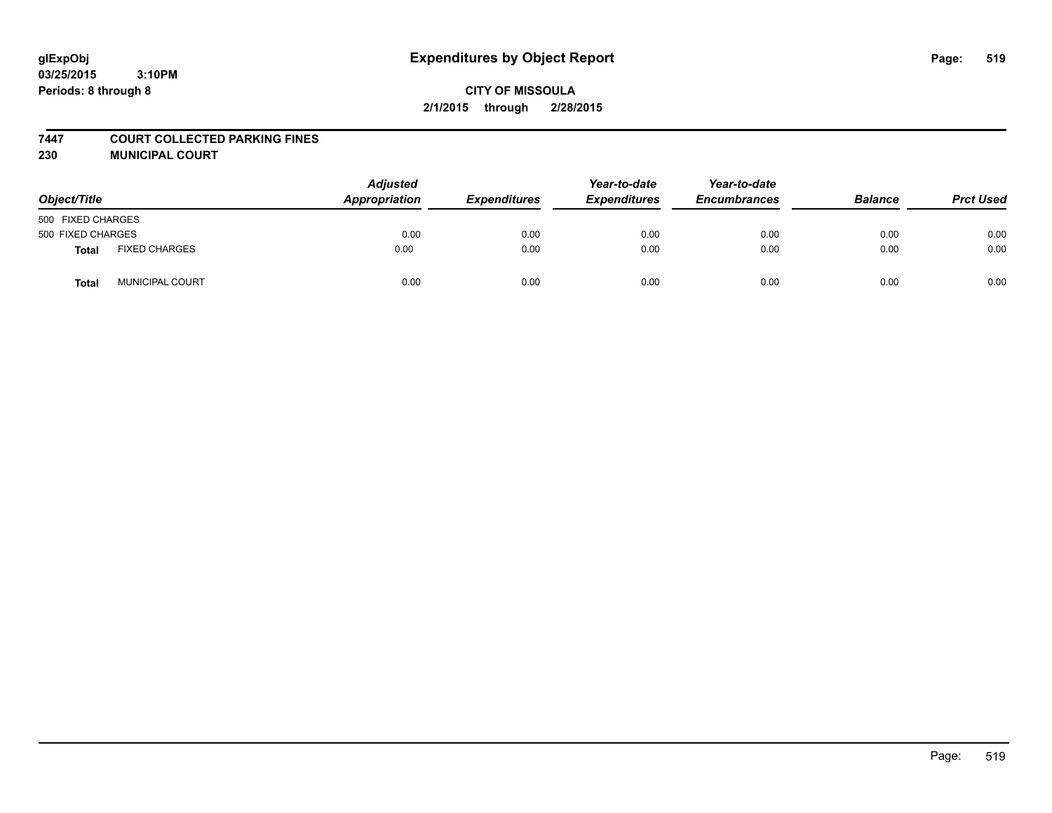# **glExpObj Expenditures by Object Report Page: 519**

**03/25/2015 3:10PM Periods: 8 through 8**

#### **7447 COURT COLLECTED PARKING FINES**

**230 MUNICIPAL COURT**

| Object/Title      |                      | <b>Adjusted</b><br>Appropriation | <b>Expenditures</b> | Year-to-date<br><b>Expenditures</b> | Year-to-date<br><b>Encumbrances</b> | <b>Balance</b> | <b>Prct Used</b> |
|-------------------|----------------------|----------------------------------|---------------------|-------------------------------------|-------------------------------------|----------------|------------------|
| 500 FIXED CHARGES |                      |                                  |                     |                                     |                                     |                |                  |
| 500 FIXED CHARGES |                      | 0.00                             | 0.00                | 0.00                                | 0.00                                | 0.00           | 0.00             |
| <b>Total</b>      | <b>FIXED CHARGES</b> | 0.00                             | 0.00                | 0.00                                | 0.00                                | 0.00           | 0.00             |
| Total             | MUNICIPAL COURT      | 0.00                             | 0.00                | 0.00                                | 0.00                                | 0.00           | 0.00             |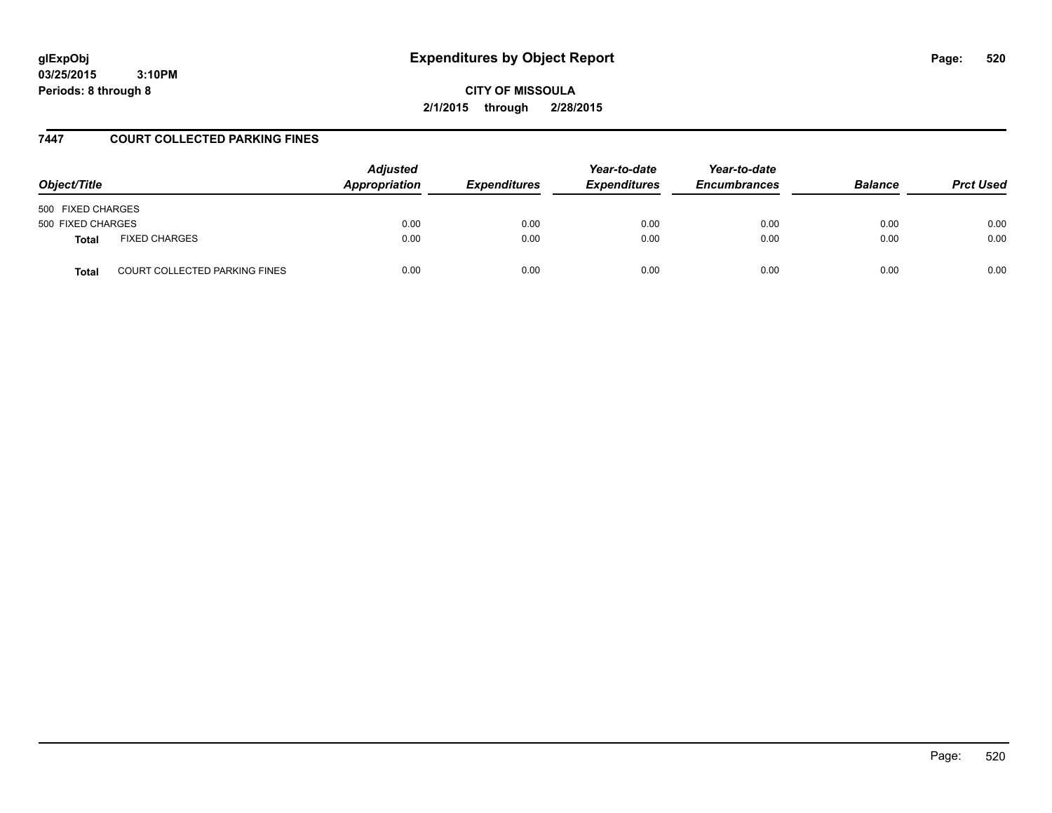# **glExpObj Expenditures by Object Report Page: 520**

**03/25/2015 3:10PM Periods: 8 through 8**

**CITY OF MISSOULA 2/1/2015 through 2/28/2015**

## **7447 COURT COLLECTED PARKING FINES**

| Object/Title                                         | <b>Adjusted</b><br>Appropriation | <b>Expenditures</b> | Year-to-date<br><b>Expenditures</b> | Year-to-date<br><b>Encumbrances</b> | <b>Balance</b> | <b>Prct Used</b> |
|------------------------------------------------------|----------------------------------|---------------------|-------------------------------------|-------------------------------------|----------------|------------------|
| 500 FIXED CHARGES                                    |                                  |                     |                                     |                                     |                |                  |
| 500 FIXED CHARGES                                    | 0.00                             | 0.00                | 0.00                                | 0.00                                | 0.00           | 0.00             |
| <b>FIXED CHARGES</b><br><b>Total</b>                 | 0.00                             | 0.00                | 0.00                                | 0.00                                | 0.00           | 0.00             |
| <b>COURT COLLECTED PARKING FINES</b><br><b>Total</b> | 0.00                             | 0.00                | 0.00                                | 0.00                                | 0.00           | 0.00             |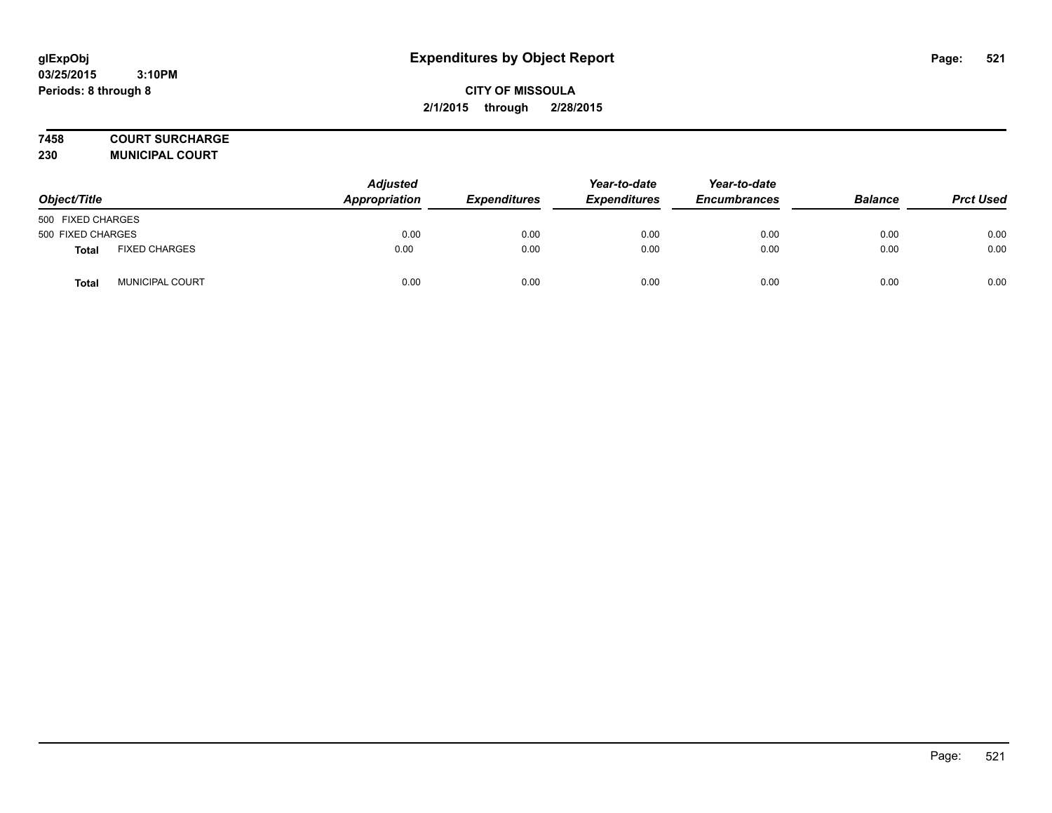## **7458 COURT SURCHARGE**

**230 MUNICIPAL COURT**

| Object/Title      |                      | <b>Adjusted</b><br>Appropriation | <b>Expenditures</b> | Year-to-date<br><b>Expenditures</b> | Year-to-date<br><b>Encumbrances</b> | <b>Balance</b> | <b>Prct Used</b> |
|-------------------|----------------------|----------------------------------|---------------------|-------------------------------------|-------------------------------------|----------------|------------------|
| 500 FIXED CHARGES |                      |                                  |                     |                                     |                                     |                |                  |
| 500 FIXED CHARGES |                      | 0.00                             | 0.00                | 0.00                                | 0.00                                | 0.00           | 0.00             |
| <b>Total</b>      | <b>FIXED CHARGES</b> | 0.00                             | 0.00                | 0.00                                | 0.00                                | 0.00           | 0.00             |
| Total             | MUNICIPAL COURT      | 0.00                             | 0.00                | 0.00                                | 0.00                                | 0.00           | 0.00             |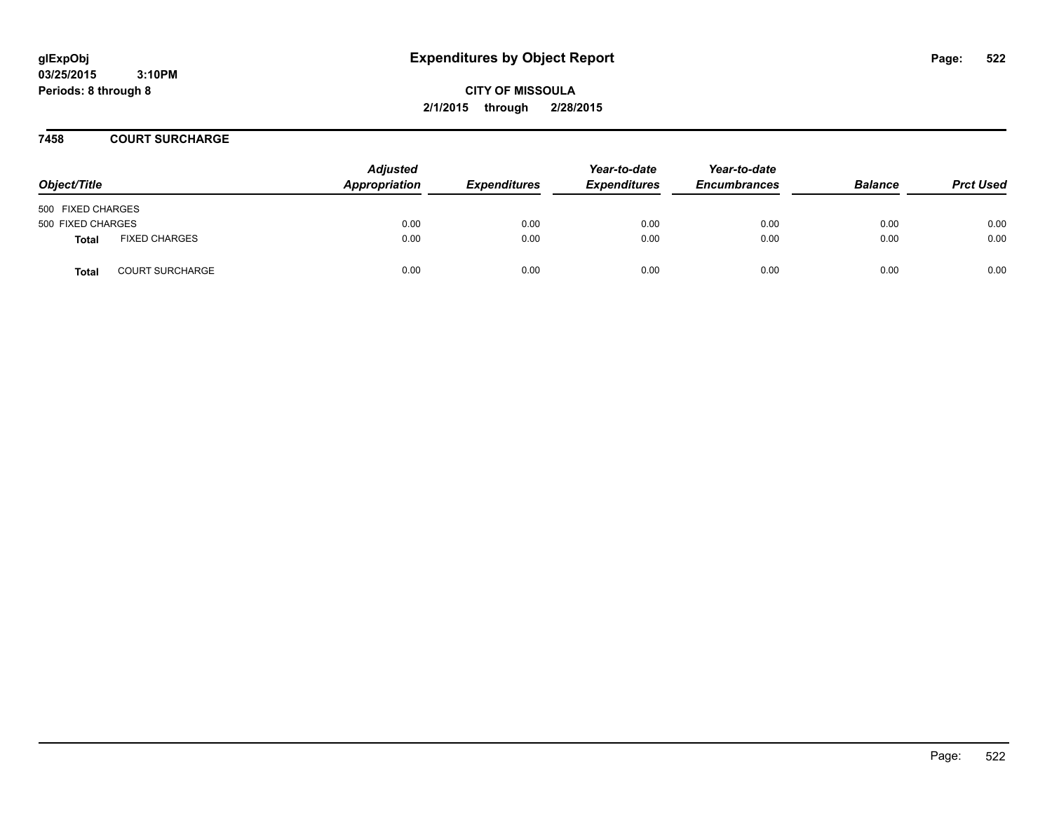**CITY OF MISSOULA 2/1/2015 through 2/28/2015**

### **7458 COURT SURCHARGE**

| Object/Title      |                        | <b>Adjusted</b><br>Appropriation | <b>Expenditures</b> | Year-to-date<br><b>Expenditures</b> | Year-to-date<br><b>Encumbrances</b> | <b>Balance</b> | <b>Prct Used</b> |
|-------------------|------------------------|----------------------------------|---------------------|-------------------------------------|-------------------------------------|----------------|------------------|
| 500 FIXED CHARGES |                        |                                  |                     |                                     |                                     |                |                  |
| 500 FIXED CHARGES |                        | 0.00                             | 0.00                | 0.00                                | 0.00                                | 0.00           | 0.00             |
| <b>Total</b>      | <b>FIXED CHARGES</b>   | 0.00                             | 0.00                | 0.00                                | 0.00                                | 0.00           | 0.00             |
| <b>Total</b>      | <b>COURT SURCHARGE</b> | 0.00                             | 0.00                | 0.00                                | 0.00                                | 0.00           | 0.00             |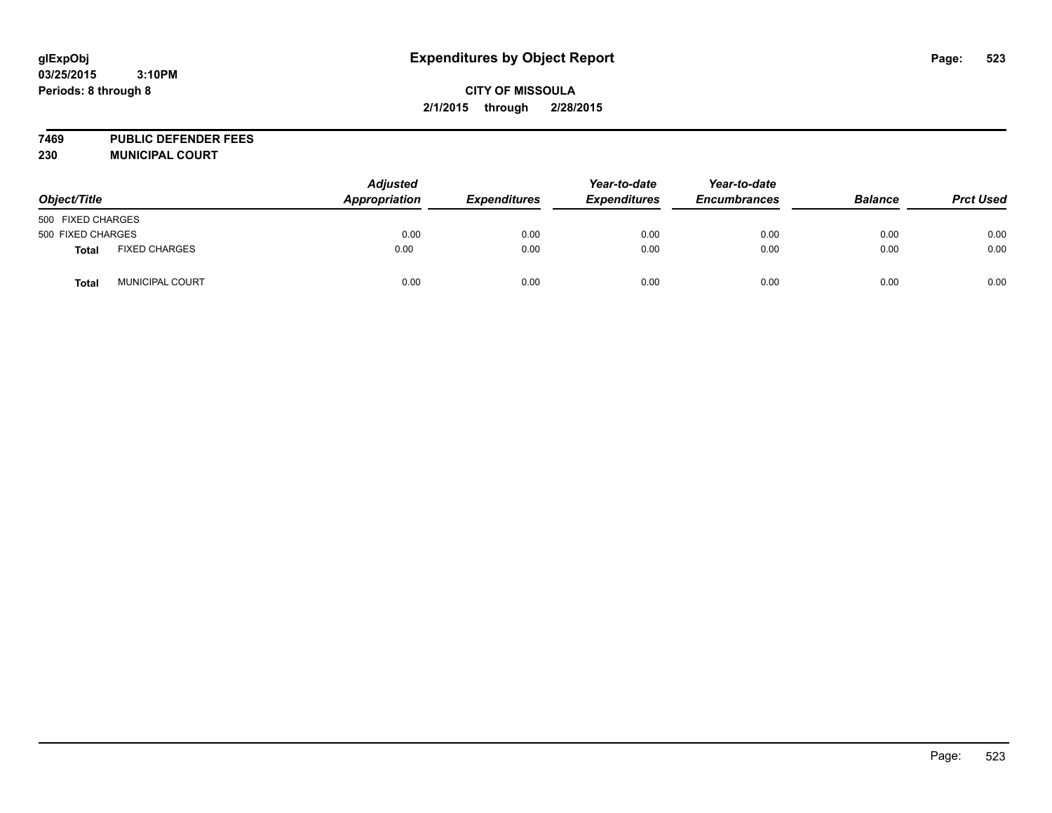## **CITY OF MISSOULA 2/1/2015 through 2/28/2015**

**7469 PUBLIC DEFENDER FEES 230 MUNICIPAL COURT**

| Object/Title      |                        | <b>Adjusted</b><br>Appropriation | <b>Expenditures</b> | Year-to-date<br><b>Expenditures</b> | Year-to-date<br><b>Encumbrances</b> | <b>Balance</b> | <b>Prct Used</b> |
|-------------------|------------------------|----------------------------------|---------------------|-------------------------------------|-------------------------------------|----------------|------------------|
| 500 FIXED CHARGES |                        |                                  |                     |                                     |                                     |                |                  |
| 500 FIXED CHARGES |                        | 0.00                             | 0.00                | 0.00                                | 0.00                                | 0.00           | 0.00             |
| <b>Total</b>      | <b>FIXED CHARGES</b>   | 0.00                             | 0.00                | 0.00                                | 0.00                                | 0.00           | 0.00             |
| Total             | <b>MUNICIPAL COURT</b> | 0.00                             | 0.00                | 0.00                                | 0.00                                | 0.00           | 0.00             |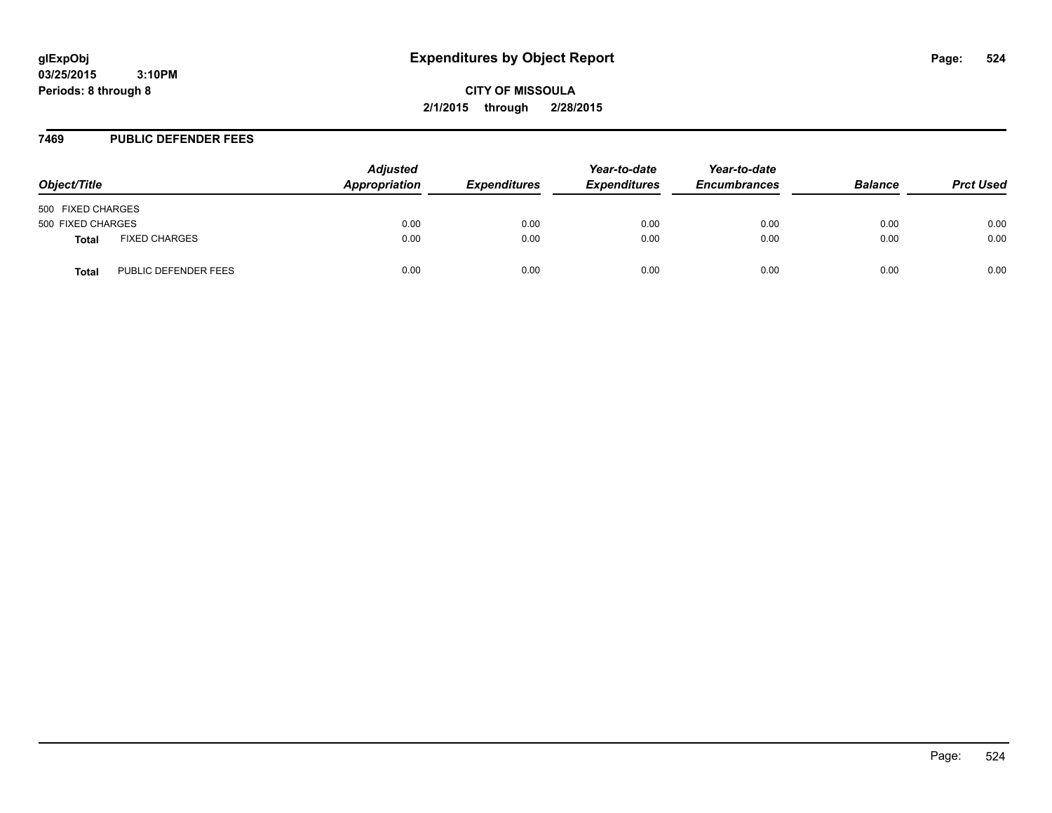# **glExpObj Expenditures by Object Report Page: 524**

**03/25/2015 3:10PM Periods: 8 through 8**

**CITY OF MISSOULA 2/1/2015 through 2/28/2015**

### **7469 PUBLIC DEFENDER FEES**

| Object/Title      |                      | <b>Adjusted</b><br>Appropriation | <b>Expenditures</b> | Year-to-date<br><b>Expenditures</b> | Year-to-date<br><b>Encumbrances</b> | <b>Balance</b> | <b>Prct Used</b> |
|-------------------|----------------------|----------------------------------|---------------------|-------------------------------------|-------------------------------------|----------------|------------------|
| 500 FIXED CHARGES |                      |                                  |                     |                                     |                                     |                |                  |
| 500 FIXED CHARGES |                      | 0.00                             | 0.00                | 0.00                                | 0.00                                | 0.00           | 0.00             |
| <b>Total</b>      | <b>FIXED CHARGES</b> | 0.00                             | 0.00                | 0.00                                | 0.00                                | 0.00           | 0.00             |
| Total             | PUBLIC DEFENDER FEES | 0.00                             | 0.00                | 0.00                                | 0.00                                | 0.00           | 0.00             |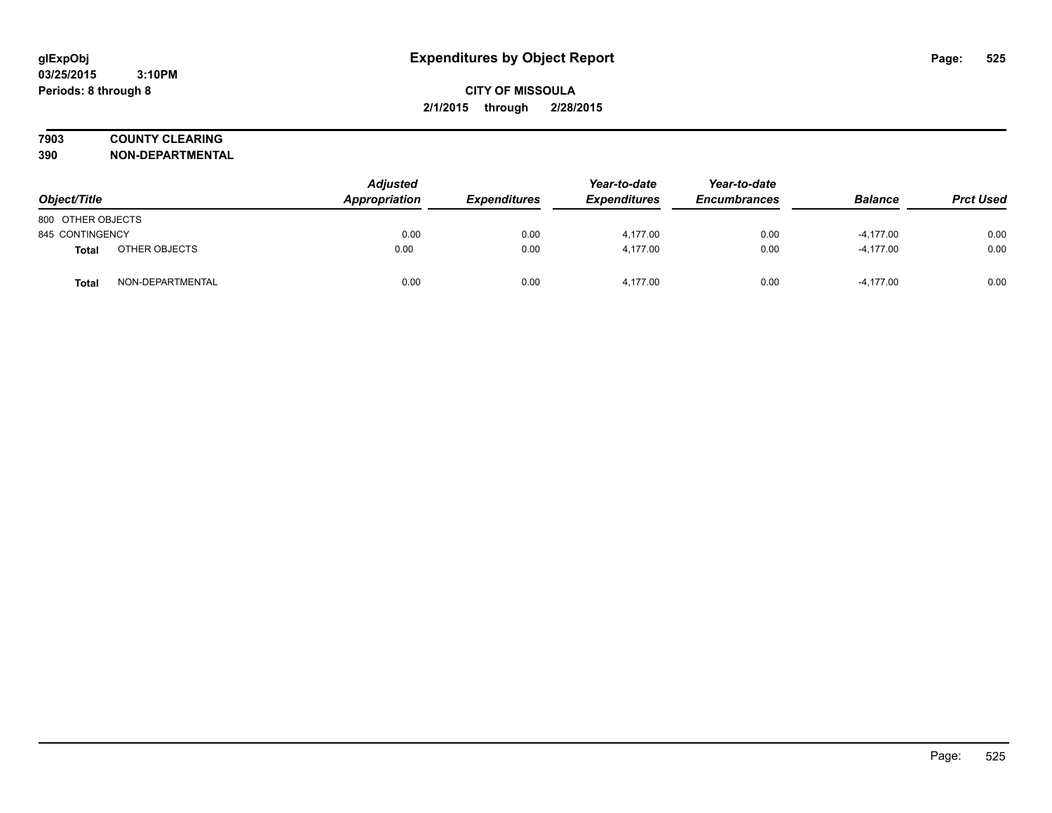# **7903 COUNTY CLEARING**

**390 NON-DEPARTMENTAL**

| Object/Title      |                  | <b>Adjusted</b><br>Appropriation | <b>Expenditures</b> | Year-to-date<br><b>Expenditures</b> | Year-to-date<br><b>Encumbrances</b> | <b>Balance</b> | <b>Prct Used</b> |
|-------------------|------------------|----------------------------------|---------------------|-------------------------------------|-------------------------------------|----------------|------------------|
| 800 OTHER OBJECTS |                  |                                  |                     |                                     |                                     |                |                  |
| 845 CONTINGENCY   |                  | 0.00                             | 0.00                | 4,177.00                            | 0.00                                | $-4,177.00$    | 0.00             |
| Total             | OTHER OBJECTS    | 0.00                             | 0.00                | 4,177.00                            | 0.00                                | $-4,177.00$    | 0.00             |
| <b>Total</b>      | NON-DEPARTMENTAL | 0.00                             | 0.00                | 4.177.00                            | 0.00                                | $-4,177.00$    | 0.00             |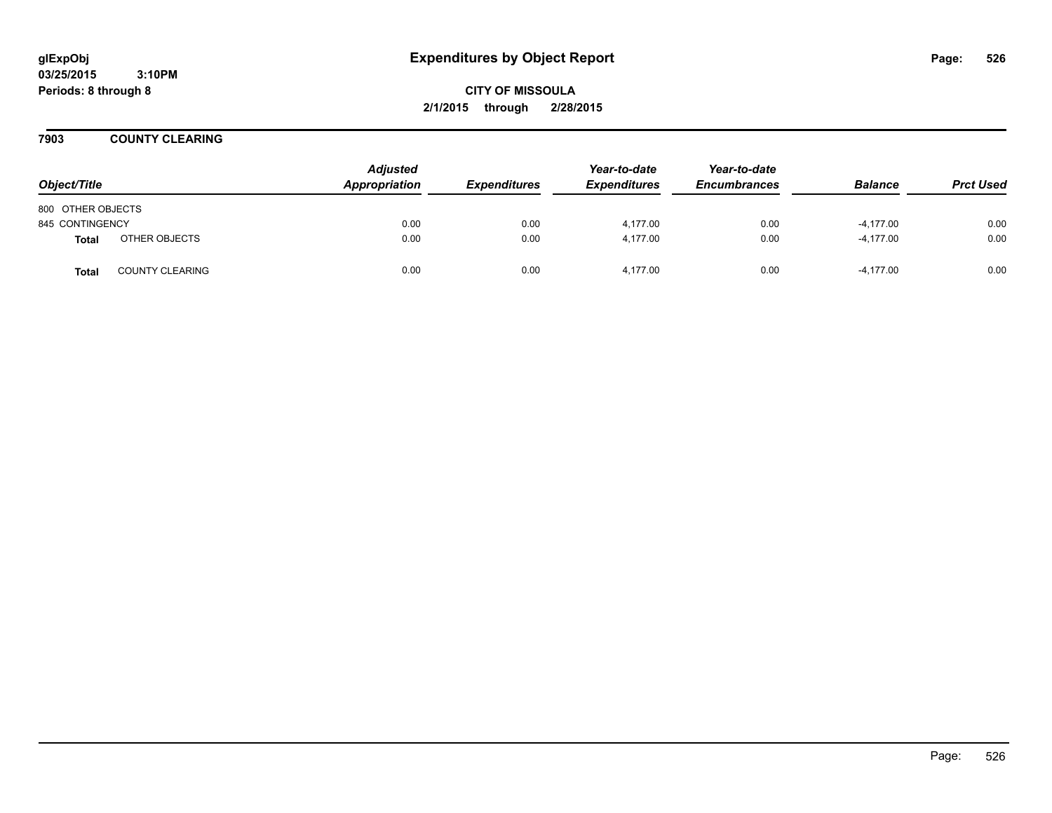**CITY OF MISSOULA 2/1/2015 through 2/28/2015**

**7903 COUNTY CLEARING**

| Object/Title      |                        | <b>Adjusted</b><br>Appropriation | <b>Expenditures</b> | Year-to-date<br><b>Expenditures</b> | Year-to-date<br><b>Encumbrances</b> | <b>Balance</b> | <b>Prct Used</b> |
|-------------------|------------------------|----------------------------------|---------------------|-------------------------------------|-------------------------------------|----------------|------------------|
| 800 OTHER OBJECTS |                        |                                  |                     |                                     |                                     |                |                  |
| 845 CONTINGENCY   |                        | 0.00                             | 0.00                | 4,177.00                            | 0.00                                | $-4,177.00$    | 0.00             |
| <b>Total</b>      | OTHER OBJECTS          | 0.00                             | 0.00                | 4.177.00                            | 0.00                                | $-4.177.00$    | 0.00             |
| <b>Total</b>      | <b>COUNTY CLEARING</b> | 0.00                             | 0.00                | 4.177.00                            | 0.00                                | $-4.177.00$    | 0.00             |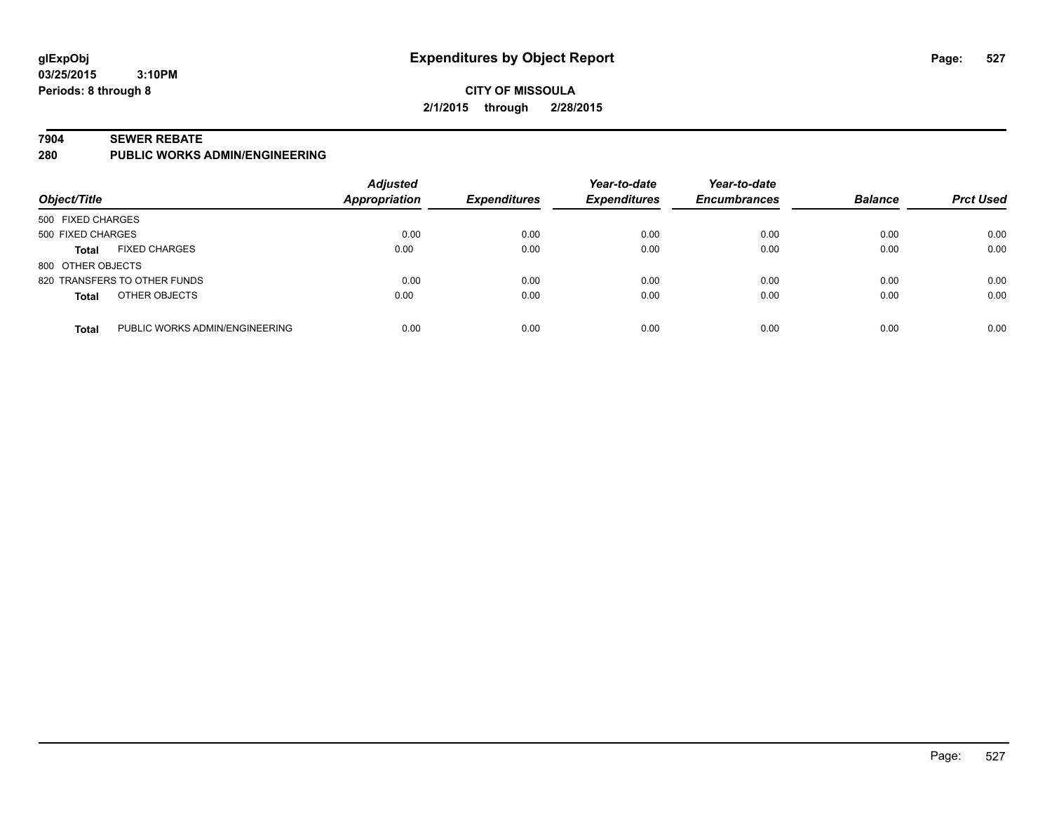## **CITY OF MISSOULA 2/1/2015 through 2/28/2015**

#### **7904 SEWER REBATE**

**280 PUBLIC WORKS ADMIN/ENGINEERING**

| Object/Title      |                                | <b>Adjusted</b><br>Appropriation | <b>Expenditures</b> | Year-to-date<br><b>Expenditures</b> | Year-to-date<br><b>Encumbrances</b> | <b>Balance</b> | <b>Prct Used</b> |
|-------------------|--------------------------------|----------------------------------|---------------------|-------------------------------------|-------------------------------------|----------------|------------------|
| 500 FIXED CHARGES |                                |                                  |                     |                                     |                                     |                |                  |
| 500 FIXED CHARGES |                                | 0.00                             | 0.00                | 0.00                                | 0.00                                | 0.00           | 0.00             |
| <b>Total</b>      | <b>FIXED CHARGES</b>           | 0.00                             | 0.00                | 0.00                                | 0.00                                | 0.00           | 0.00             |
| 800 OTHER OBJECTS |                                |                                  |                     |                                     |                                     |                |                  |
|                   | 820 TRANSFERS TO OTHER FUNDS   | 0.00                             | 0.00                | 0.00                                | 0.00                                | 0.00           | 0.00             |
| <b>Total</b>      | OTHER OBJECTS                  | 0.00                             | 0.00                | 0.00                                | 0.00                                | 0.00           | 0.00             |
| <b>Total</b>      | PUBLIC WORKS ADMIN/ENGINEERING | 0.00                             | 0.00                | 0.00                                | 0.00                                | 0.00           | 0.00             |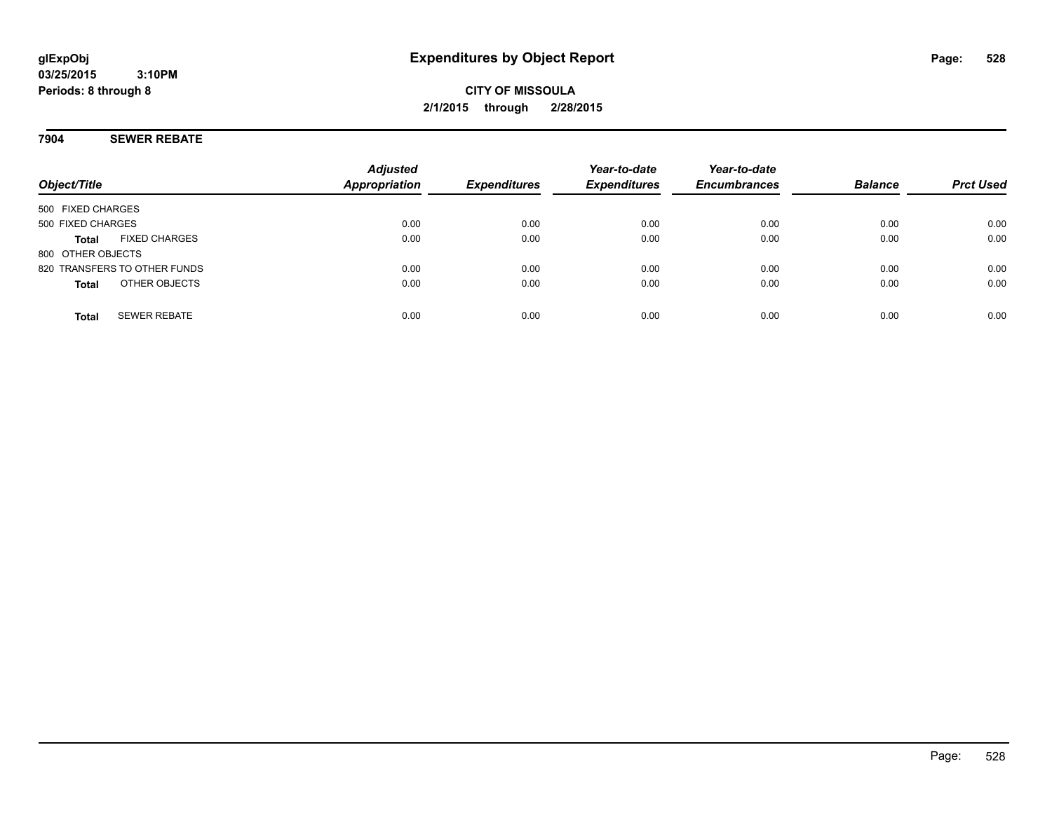### **7904 SEWER REBATE**

| Object/Title                         | <b>Adjusted</b><br><b>Appropriation</b> | <b>Expenditures</b> | Year-to-date<br><b>Expenditures</b> | Year-to-date<br><b>Encumbrances</b> | <b>Balance</b> | <b>Prct Used</b> |
|--------------------------------------|-----------------------------------------|---------------------|-------------------------------------|-------------------------------------|----------------|------------------|
| 500 FIXED CHARGES                    |                                         |                     |                                     |                                     |                |                  |
| 500 FIXED CHARGES                    | 0.00                                    | 0.00                | 0.00                                | 0.00                                | 0.00           | 0.00             |
| <b>FIXED CHARGES</b><br><b>Total</b> | 0.00                                    | 0.00                | 0.00                                | 0.00                                | 0.00           | 0.00             |
| 800 OTHER OBJECTS                    |                                         |                     |                                     |                                     |                |                  |
| 820 TRANSFERS TO OTHER FUNDS         | 0.00                                    | 0.00                | 0.00                                | 0.00                                | 0.00           | 0.00             |
| OTHER OBJECTS<br><b>Total</b>        | 0.00                                    | 0.00                | 0.00                                | 0.00                                | 0.00           | 0.00             |
| <b>SEWER REBATE</b><br><b>Total</b>  | 0.00                                    | 0.00                | 0.00                                | 0.00                                | 0.00           | 0.00             |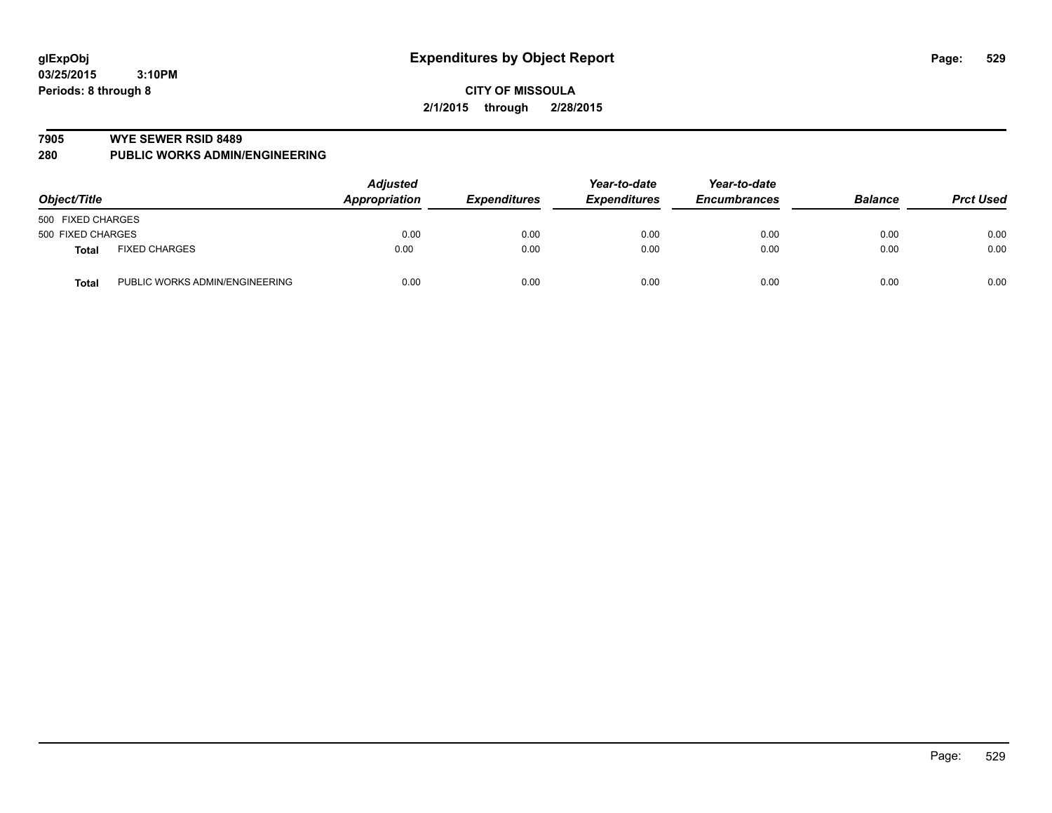#### **7905 WYE SEWER RSID 8489**

**280 PUBLIC WORKS ADMIN/ENGINEERING**

| Object/Title                                   | <b>Adjusted</b><br><b>Appropriation</b> | <b>Expenditures</b> | Year-to-date<br><b>Expenditures</b> | Year-to-date<br><b>Encumbrances</b> | <b>Balance</b> | <b>Prct Used</b> |
|------------------------------------------------|-----------------------------------------|---------------------|-------------------------------------|-------------------------------------|----------------|------------------|
| 500 FIXED CHARGES                              |                                         |                     |                                     |                                     |                |                  |
| 500 FIXED CHARGES                              | 0.00                                    | 0.00                | 0.00                                | 0.00                                | 0.00           | 0.00             |
| <b>FIXED CHARGES</b><br>Total                  | 0.00                                    | 0.00                | 0.00                                | 0.00                                | 0.00           | 0.00             |
| PUBLIC WORKS ADMIN/ENGINEERING<br><b>Total</b> | 0.00                                    | 0.00                | 0.00                                | 0.00                                | 0.00           | 0.00             |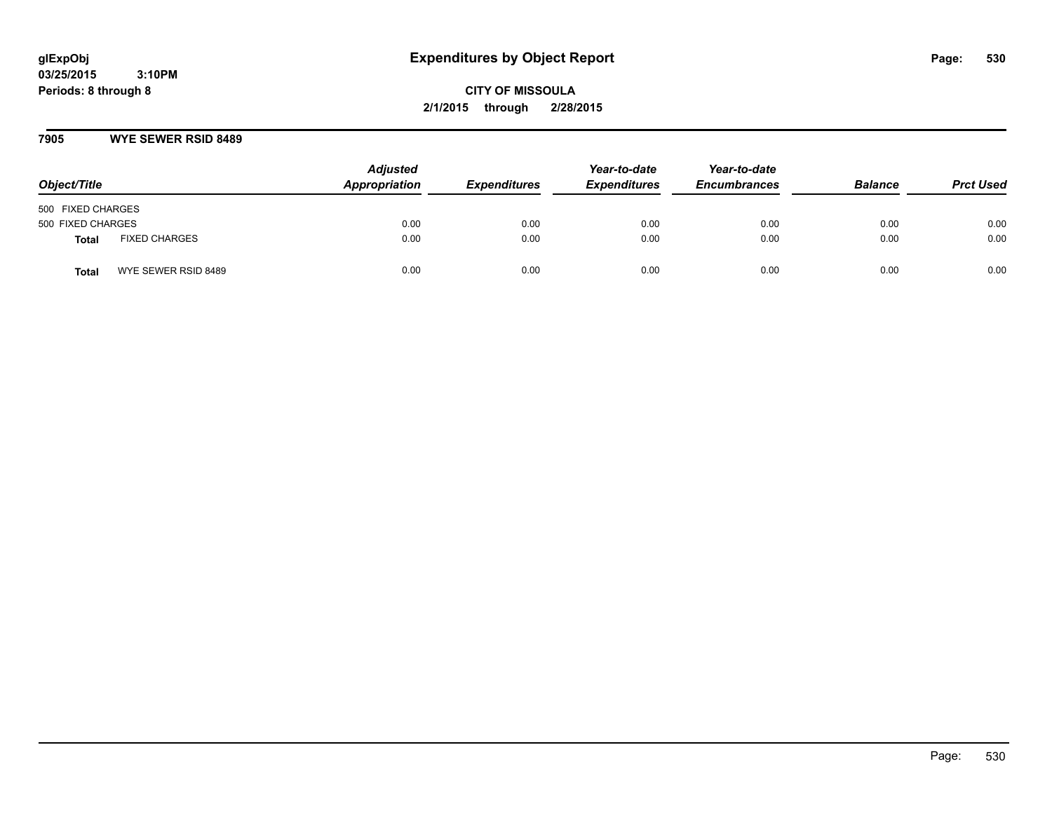**CITY OF MISSOULA 2/1/2015 through 2/28/2015**

### **7905 WYE SEWER RSID 8489**

| Object/Title                        | <b>Adjusted</b><br>Appropriation | <b>Expenditures</b> | Year-to-date<br><b>Expenditures</b> | Year-to-date<br><b>Encumbrances</b> | <b>Balance</b> | <b>Prct Used</b> |
|-------------------------------------|----------------------------------|---------------------|-------------------------------------|-------------------------------------|----------------|------------------|
| 500 FIXED CHARGES                   |                                  |                     |                                     |                                     |                |                  |
| 500 FIXED CHARGES                   | 0.00                             | 0.00                | 0.00                                | 0.00                                | 0.00           | 0.00             |
| <b>FIXED CHARGES</b><br>Total       | 0.00                             | 0.00                | 0.00                                | 0.00                                | 0.00           | 0.00             |
| WYE SEWER RSID 8489<br><b>Total</b> | 0.00                             | 0.00                | 0.00                                | 0.00                                | 0.00           | 0.00             |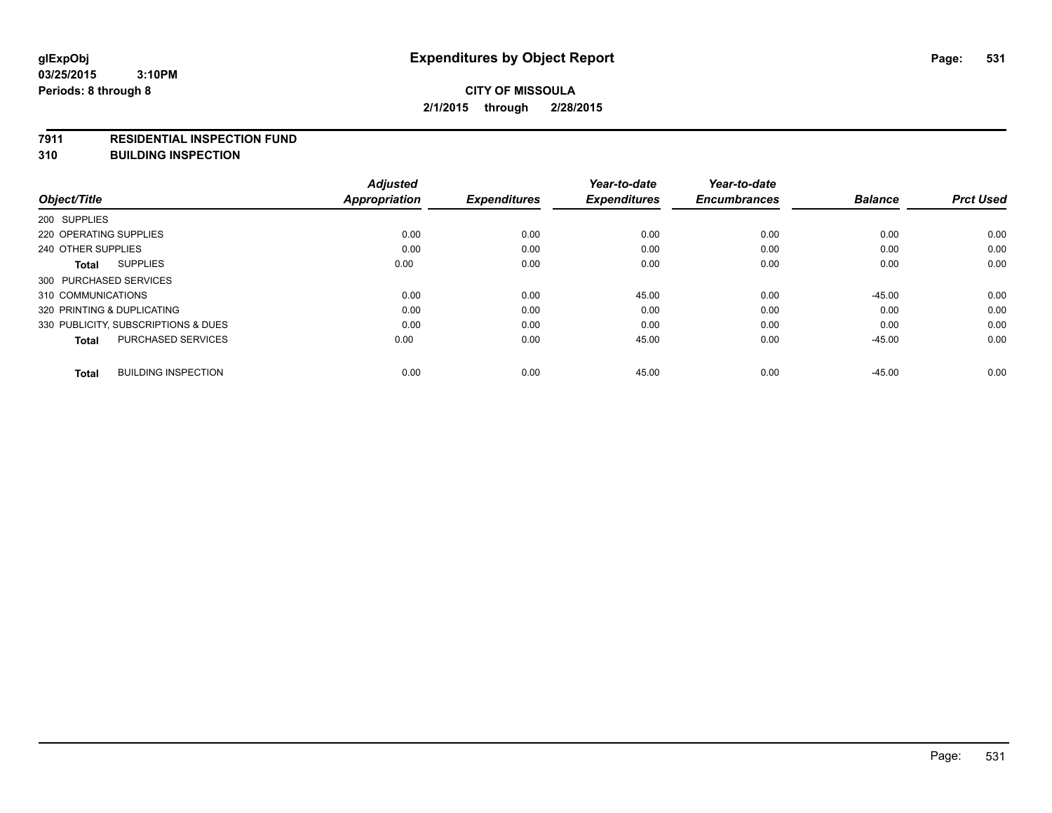#### **7911 RESIDENTIAL INSPECTION FUND**

**310 BUILDING INSPECTION**

|                                            | <b>Adjusted</b>      |                     | Year-to-date        | Year-to-date        |                |                  |
|--------------------------------------------|----------------------|---------------------|---------------------|---------------------|----------------|------------------|
| Object/Title                               | <b>Appropriation</b> | <b>Expenditures</b> | <b>Expenditures</b> | <b>Encumbrances</b> | <b>Balance</b> | <b>Prct Used</b> |
| 200 SUPPLIES                               |                      |                     |                     |                     |                |                  |
| 220 OPERATING SUPPLIES                     | 0.00                 | 0.00                | 0.00                | 0.00                | 0.00           | 0.00             |
| 240 OTHER SUPPLIES                         | 0.00                 | 0.00                | 0.00                | 0.00                | 0.00           | 0.00             |
| <b>SUPPLIES</b><br><b>Total</b>            | 0.00                 | 0.00                | 0.00                | 0.00                | 0.00           | 0.00             |
| 300 PURCHASED SERVICES                     |                      |                     |                     |                     |                |                  |
| 310 COMMUNICATIONS                         | 0.00                 | 0.00                | 45.00               | 0.00                | $-45.00$       | 0.00             |
| 320 PRINTING & DUPLICATING                 | 0.00                 | 0.00                | 0.00                | 0.00                | 0.00           | 0.00             |
| 330 PUBLICITY, SUBSCRIPTIONS & DUES        | 0.00                 | 0.00                | 0.00                | 0.00                | 0.00           | 0.00             |
| <b>PURCHASED SERVICES</b><br><b>Total</b>  | 0.00                 | 0.00                | 45.00               | 0.00                | $-45.00$       | 0.00             |
| <b>BUILDING INSPECTION</b><br><b>Total</b> | 0.00                 | 0.00                | 45.00               | 0.00                | $-45.00$       | 0.00             |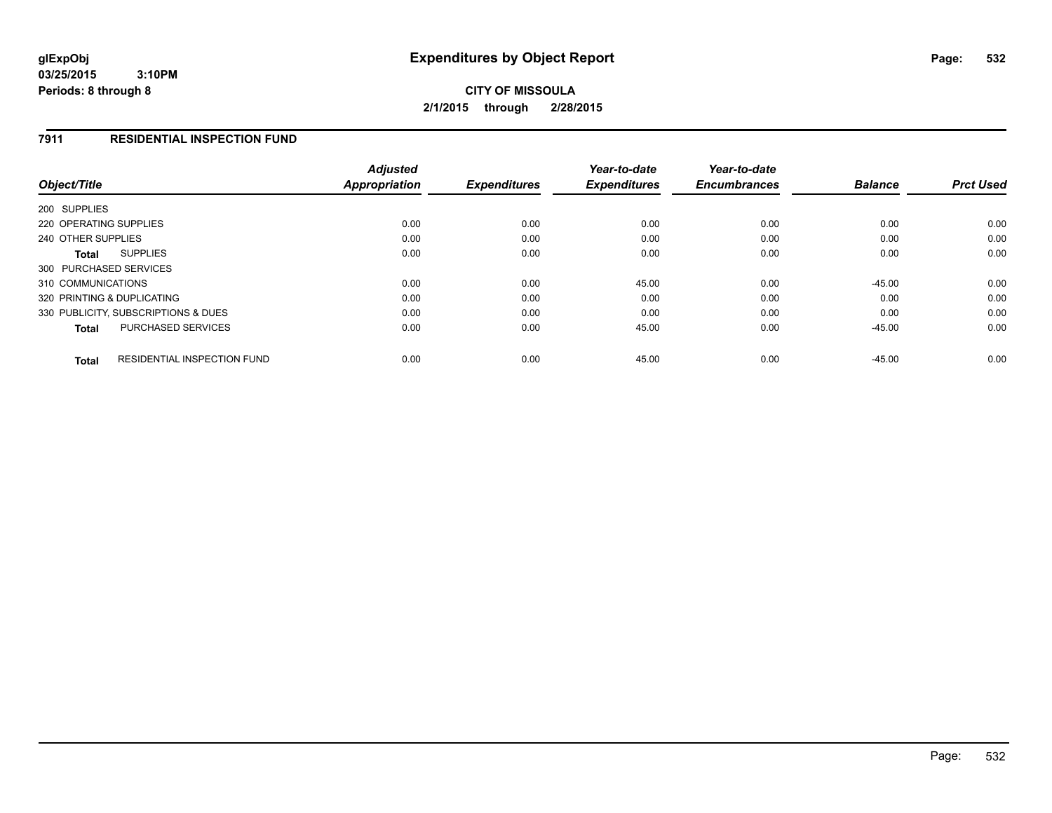# **CITY OF MISSOULA 2/1/2015 through 2/28/2015**

### **7911 RESIDENTIAL INSPECTION FUND**

| Object/Title                                       | <b>Adjusted</b><br>Appropriation | <b>Expenditures</b> | Year-to-date<br><b>Expenditures</b> | Year-to-date<br><b>Encumbrances</b> | <b>Balance</b> | <b>Prct Used</b> |
|----------------------------------------------------|----------------------------------|---------------------|-------------------------------------|-------------------------------------|----------------|------------------|
| 200 SUPPLIES                                       |                                  |                     |                                     |                                     |                |                  |
| 220 OPERATING SUPPLIES                             | 0.00                             | 0.00                | 0.00                                | 0.00                                | 0.00           | 0.00             |
| 240 OTHER SUPPLIES                                 | 0.00                             | 0.00                | 0.00                                | 0.00                                | 0.00           | 0.00             |
| <b>SUPPLIES</b><br>Total                           | 0.00                             | 0.00                | 0.00                                | 0.00                                | 0.00           | 0.00             |
| 300 PURCHASED SERVICES                             |                                  |                     |                                     |                                     |                |                  |
| 310 COMMUNICATIONS                                 | 0.00                             | 0.00                | 45.00                               | 0.00                                | $-45.00$       | 0.00             |
| 320 PRINTING & DUPLICATING                         | 0.00                             | 0.00                | 0.00                                | 0.00                                | 0.00           | 0.00             |
| 330 PUBLICITY, SUBSCRIPTIONS & DUES                | 0.00                             | 0.00                | 0.00                                | 0.00                                | 0.00           | 0.00             |
| <b>PURCHASED SERVICES</b><br><b>Total</b>          | 0.00                             | 0.00                | 45.00                               | 0.00                                | $-45.00$       | 0.00             |
| <b>RESIDENTIAL INSPECTION FUND</b><br><b>Total</b> | 0.00                             | 0.00                | 45.00                               | 0.00                                | $-45.00$       | 0.00             |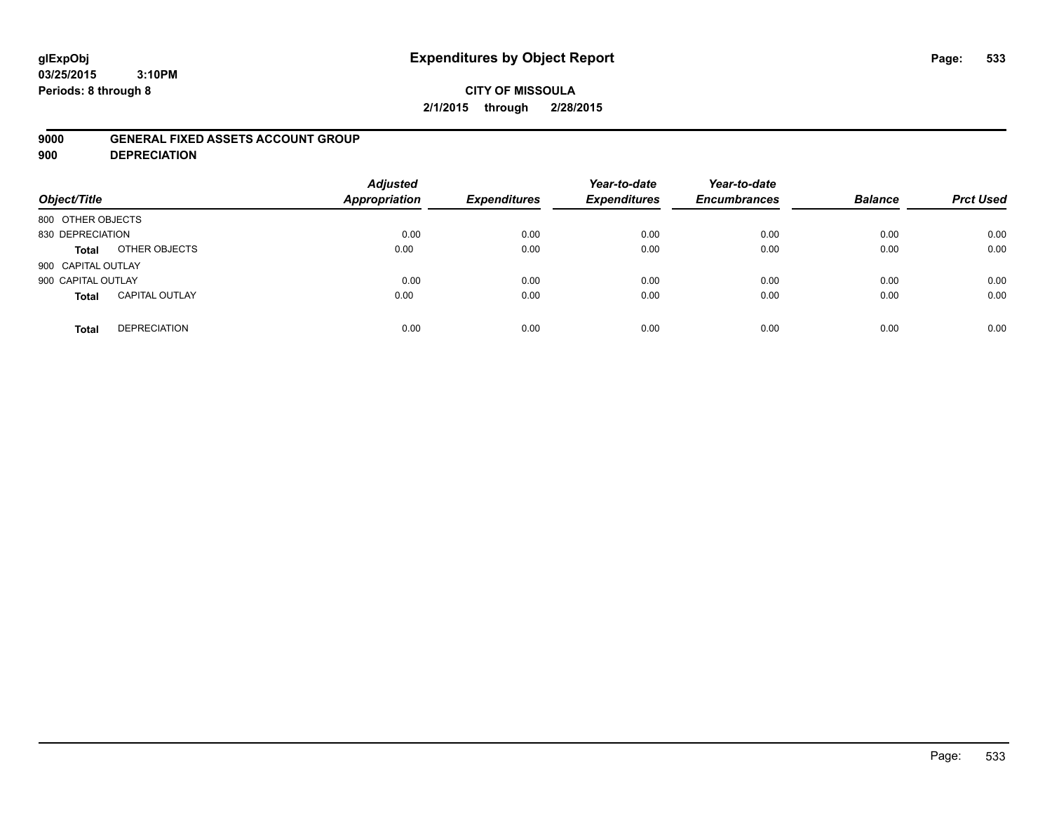# **glExpObj Expenditures by Object Report Page: 533**

**03/25/2015 3:10PM Periods: 8 through 8**

### **9000 GENERAL FIXED ASSETS ACCOUNT GROUP**

**900 DEPRECIATION**

| Object/Title                          | <b>Adjusted</b><br>Appropriation | <b>Expenditures</b> | Year-to-date<br><b>Expenditures</b> | Year-to-date<br><b>Encumbrances</b> | <b>Balance</b> | <b>Prct Used</b> |
|---------------------------------------|----------------------------------|---------------------|-------------------------------------|-------------------------------------|----------------|------------------|
| 800 OTHER OBJECTS                     |                                  |                     |                                     |                                     |                |                  |
| 830 DEPRECIATION                      | 0.00                             | 0.00                | 0.00                                | 0.00                                | 0.00           | 0.00             |
| OTHER OBJECTS<br><b>Total</b>         | 0.00                             | 0.00                | 0.00                                | 0.00                                | 0.00           | 0.00             |
| 900 CAPITAL OUTLAY                    |                                  |                     |                                     |                                     |                |                  |
| 900 CAPITAL OUTLAY                    | 0.00                             | 0.00                | 0.00                                | 0.00                                | 0.00           | 0.00             |
| <b>CAPITAL OUTLAY</b><br><b>Total</b> | 0.00                             | 0.00                | 0.00                                | 0.00                                | 0.00           | 0.00             |
| <b>DEPRECIATION</b><br><b>Total</b>   | 0.00                             | 0.00                | 0.00                                | 0.00                                | 0.00           | 0.00             |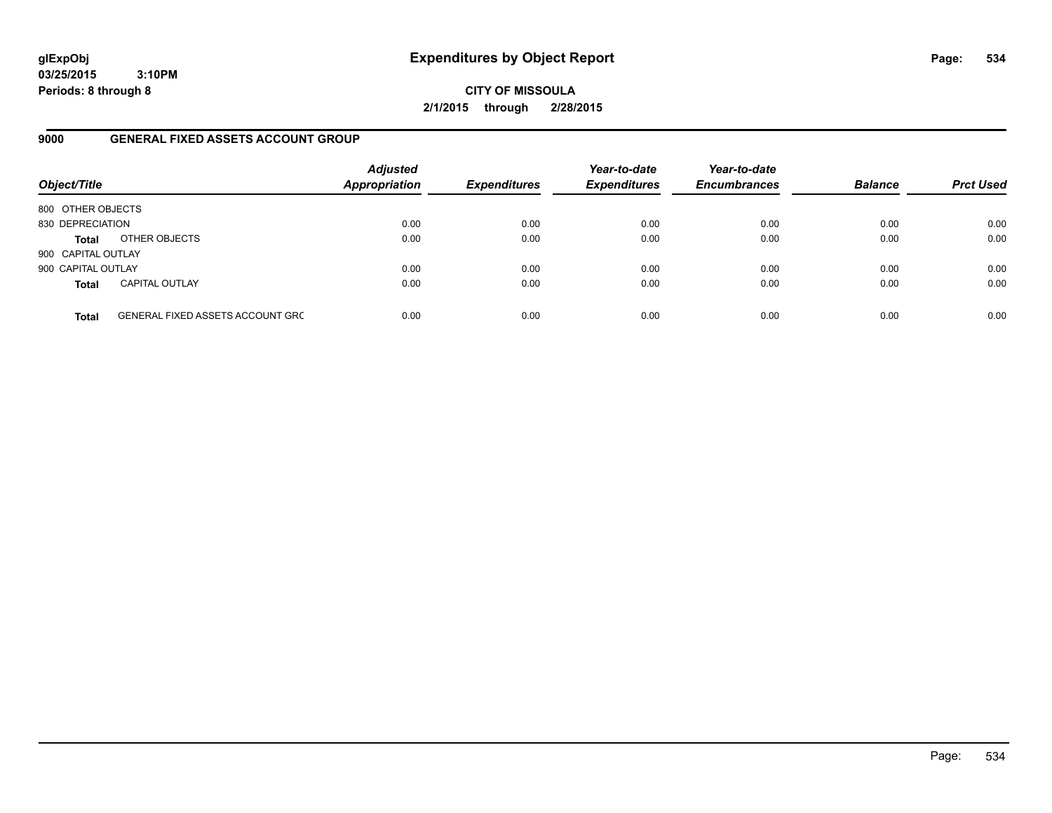**CITY OF MISSOULA 2/1/2015 through 2/28/2015**

### **9000 GENERAL FIXED ASSETS ACCOUNT GROUP**

| Object/Title       |                                         | <b>Adjusted</b><br><b>Appropriation</b> | <b>Expenditures</b> | Year-to-date<br><b>Expenditures</b> | Year-to-date<br><b>Encumbrances</b> | <b>Balance</b> | <b>Prct Used</b> |
|--------------------|-----------------------------------------|-----------------------------------------|---------------------|-------------------------------------|-------------------------------------|----------------|------------------|
| 800 OTHER OBJECTS  |                                         |                                         |                     |                                     |                                     |                |                  |
| 830 DEPRECIATION   |                                         | 0.00                                    | 0.00                | 0.00                                | 0.00                                | 0.00           | 0.00             |
| <b>Total</b>       | OTHER OBJECTS                           | 0.00                                    | 0.00                | 0.00                                | 0.00                                | 0.00           | 0.00             |
| 900 CAPITAL OUTLAY |                                         |                                         |                     |                                     |                                     |                |                  |
| 900 CAPITAL OUTLAY |                                         | 0.00                                    | 0.00                | 0.00                                | 0.00                                | 0.00           | 0.00             |
| <b>Total</b>       | <b>CAPITAL OUTLAY</b>                   | 0.00                                    | 0.00                | 0.00                                | 0.00                                | 0.00           | 0.00             |
| <b>Total</b>       | <b>GENERAL FIXED ASSETS ACCOUNT GRC</b> | 0.00                                    | 0.00                | 0.00                                | 0.00                                | 0.00           | 0.00             |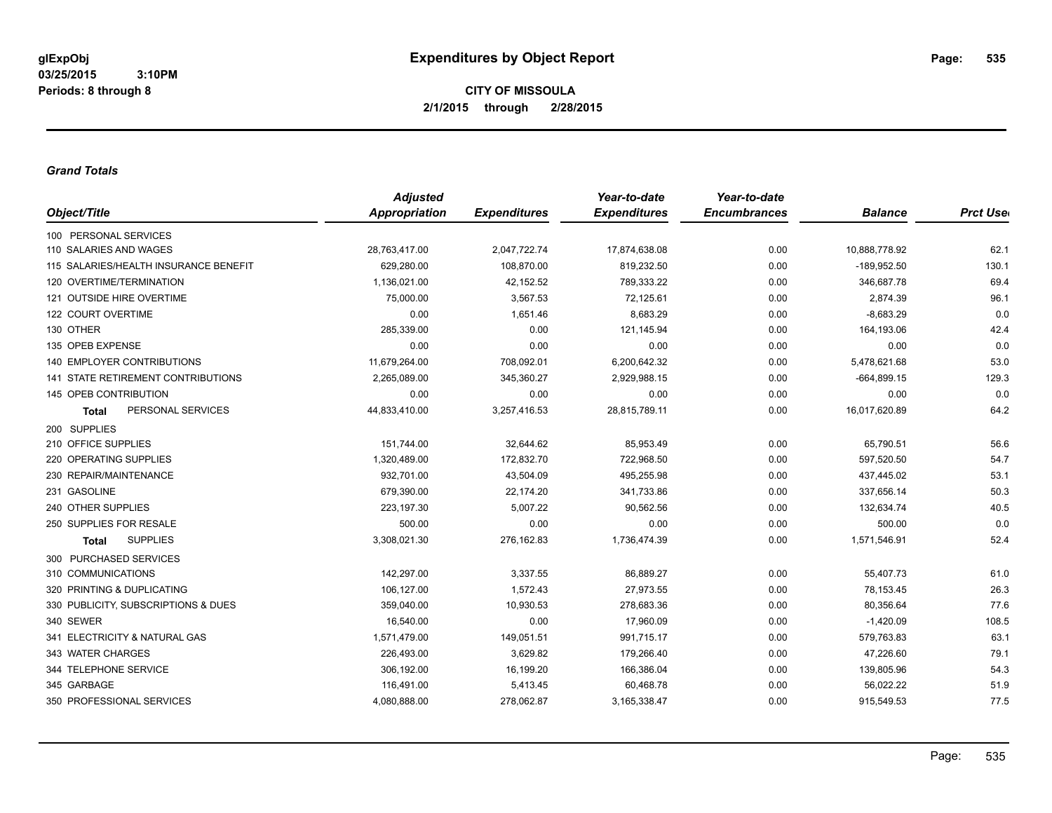#### *Grand Totals*

|                                       | <b>Adjusted</b>      |                     | Year-to-date        | Year-to-date        |                |                  |
|---------------------------------------|----------------------|---------------------|---------------------|---------------------|----------------|------------------|
| Object/Title                          | <b>Appropriation</b> | <b>Expenditures</b> | <b>Expenditures</b> | <b>Encumbrances</b> | <b>Balance</b> | <b>Prct User</b> |
| 100 PERSONAL SERVICES                 |                      |                     |                     |                     |                |                  |
| 110 SALARIES AND WAGES                | 28,763,417.00        | 2,047,722.74        | 17,874,638.08       | 0.00                | 10,888,778.92  | 62.1             |
| 115 SALARIES/HEALTH INSURANCE BENEFIT | 629,280.00           | 108,870.00          | 819,232.50          | 0.00                | $-189,952.50$  | 130.1            |
| 120 OVERTIME/TERMINATION              | 1,136,021.00         | 42,152.52           | 789,333.22          | 0.00                | 346,687.78     | 69.4             |
| 121 OUTSIDE HIRE OVERTIME             | 75,000.00            | 3,567.53            | 72,125.61           | 0.00                | 2,874.39       | 96.1             |
| 122 COURT OVERTIME                    | 0.00                 | 1.651.46            | 8,683.29            | 0.00                | $-8,683.29$    | 0.0              |
| 130 OTHER                             | 285,339.00           | 0.00                | 121,145.94          | 0.00                | 164,193.06     | 42.4             |
| 135 OPEB EXPENSE                      | 0.00                 | 0.00                | 0.00                | 0.00                | 0.00           | 0.0              |
| 140 EMPLOYER CONTRIBUTIONS            | 11,679,264.00        | 708,092.01          | 6,200,642.32        | 0.00                | 5,478,621.68   | 53.0             |
| 141 STATE RETIREMENT CONTRIBUTIONS    | 2,265,089.00         | 345,360.27          | 2,929,988.15        | 0.00                | $-664,899.15$  | 129.3            |
| 145 OPEB CONTRIBUTION                 | 0.00                 | 0.00                | 0.00                | 0.00                | 0.00           | 0.0              |
| PERSONAL SERVICES<br><b>Total</b>     | 44,833,410.00        | 3,257,416.53        | 28,815,789.11       | 0.00                | 16,017,620.89  | 64.2             |
| 200 SUPPLIES                          |                      |                     |                     |                     |                |                  |
| 210 OFFICE SUPPLIES                   | 151,744.00           | 32,644.62           | 85,953.49           | 0.00                | 65,790.51      | 56.6             |
| 220 OPERATING SUPPLIES                | 1,320,489.00         | 172,832.70          | 722,968.50          | 0.00                | 597,520.50     | 54.7             |
| 230 REPAIR/MAINTENANCE                | 932,701.00           | 43,504.09           | 495,255.98          | 0.00                | 437,445.02     | 53.1             |
| 231 GASOLINE                          | 679,390.00           | 22,174.20           | 341,733.86          | 0.00                | 337,656.14     | 50.3             |
| 240 OTHER SUPPLIES                    | 223,197.30           | 5,007.22            | 90,562.56           | 0.00                | 132,634.74     | 40.5             |
| 250 SUPPLIES FOR RESALE               | 500.00               | 0.00                | 0.00                | 0.00                | 500.00         | 0.0              |
| <b>SUPPLIES</b><br><b>Total</b>       | 3,308,021.30         | 276,162.83          | 1,736,474.39        | 0.00                | 1,571,546.91   | 52.4             |
| 300 PURCHASED SERVICES                |                      |                     |                     |                     |                |                  |
| 310 COMMUNICATIONS                    | 142,297.00           | 3,337.55            | 86,889.27           | 0.00                | 55,407.73      | 61.0             |
| 320 PRINTING & DUPLICATING            | 106,127.00           | 1,572.43            | 27,973.55           | 0.00                | 78,153.45      | 26.3             |
| 330 PUBLICITY, SUBSCRIPTIONS & DUES   | 359,040.00           | 10,930.53           | 278,683.36          | 0.00                | 80,356.64      | 77.6             |
| 340 SEWER                             | 16,540.00            | 0.00                | 17,960.09           | 0.00                | $-1,420.09$    | 108.5            |
| 341 ELECTRICITY & NATURAL GAS         | 1,571,479.00         | 149,051.51          | 991,715.17          | 0.00                | 579,763.83     | 63.1             |
| 343 WATER CHARGES                     | 226,493.00           | 3,629.82            | 179,266.40          | 0.00                | 47,226.60      | 79.1             |
| 344 TELEPHONE SERVICE                 | 306,192.00           | 16,199.20           | 166,386.04          | 0.00                | 139,805.96     | 54.3             |
| 345 GARBAGE                           | 116,491.00           | 5,413.45            | 60,468.78           | 0.00                | 56,022.22      | 51.9             |
| 350 PROFESSIONAL SERVICES             | 4,080,888.00         | 278,062.87          | 3, 165, 338.47      | 0.00                | 915,549.53     | 77.5             |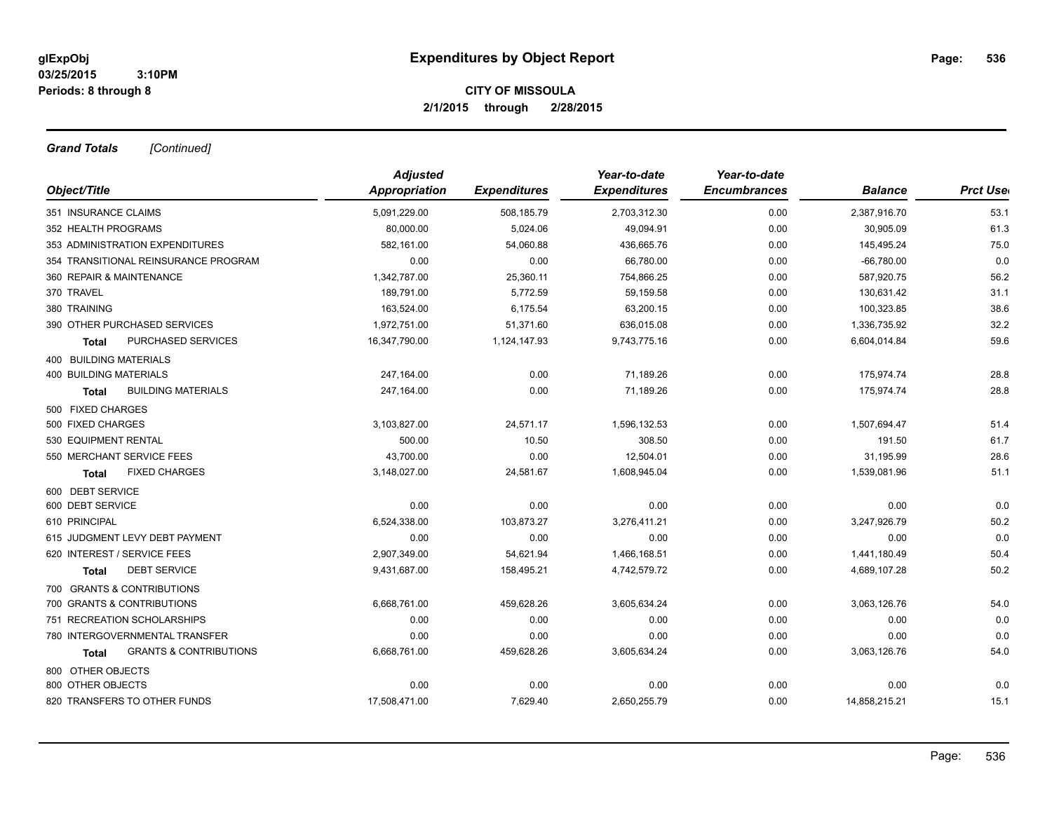*Grand Totals [Continued]*

|                                            | <b>Adjusted</b> |                     | Year-to-date        | Year-to-date        |                |                  |
|--------------------------------------------|-----------------|---------------------|---------------------|---------------------|----------------|------------------|
| Object/Title                               | Appropriation   | <b>Expenditures</b> | <b>Expenditures</b> | <b>Encumbrances</b> | <b>Balance</b> | <b>Prct User</b> |
| 351 INSURANCE CLAIMS                       | 5,091,229.00    | 508,185.79          | 2,703,312.30        | 0.00                | 2,387,916.70   | 53.1             |
| 352 HEALTH PROGRAMS                        | 80,000.00       | 5,024.06            | 49,094.91           | 0.00                | 30,905.09      | 61.3             |
| 353 ADMINISTRATION EXPENDITURES            | 582,161.00      | 54,060.88           | 436,665.76          | 0.00                | 145,495.24     | 75.0             |
| 354 TRANSITIONAL REINSURANCE PROGRAM       | 0.00            | 0.00                | 66,780.00           | 0.00                | $-66,780.00$   | 0.0              |
| 360 REPAIR & MAINTENANCE                   | 1,342,787.00    | 25,360.11           | 754,866.25          | 0.00                | 587,920.75     | 56.2             |
| 370 TRAVEL                                 | 189,791.00      | 5,772.59            | 59,159.58           | 0.00                | 130,631.42     | 31.1             |
| 380 TRAINING                               | 163,524.00      | 6,175.54            | 63,200.15           | 0.00                | 100,323.85     | 38.6             |
| 390 OTHER PURCHASED SERVICES               | 1,972,751.00    | 51,371.60           | 636,015.08          | 0.00                | 1,336,735.92   | 32.2             |
| PURCHASED SERVICES<br>Total                | 16,347,790.00   | 1,124,147.93        | 9,743,775.16        | 0.00                | 6,604,014.84   | 59.6             |
| <b>400 BUILDING MATERIALS</b>              |                 |                     |                     |                     |                |                  |
| <b>400 BUILDING MATERIALS</b>              | 247,164.00      | 0.00                | 71,189.26           | 0.00                | 175,974.74     | 28.8             |
| <b>BUILDING MATERIALS</b><br><b>Total</b>  | 247,164.00      | 0.00                | 71,189.26           | 0.00                | 175,974.74     | 28.8             |
| 500 FIXED CHARGES                          |                 |                     |                     |                     |                |                  |
| 500 FIXED CHARGES                          | 3,103,827.00    | 24,571.17           | 1,596,132.53        | 0.00                | 1,507,694.47   | 51.4             |
| 530 EQUIPMENT RENTAL                       | 500.00          | 10.50               | 308.50              | 0.00                | 191.50         | 61.7             |
| 550 MERCHANT SERVICE FEES                  | 43,700.00       | 0.00                | 12,504.01           | 0.00                | 31,195.99      | 28.6             |
| <b>FIXED CHARGES</b><br>Total              | 3,148,027.00    | 24,581.67           | 1,608,945.04        | 0.00                | 1,539,081.96   | 51.1             |
| 600 DEBT SERVICE                           |                 |                     |                     |                     |                |                  |
| 600 DEBT SERVICE                           | 0.00            | 0.00                | 0.00                | 0.00                | 0.00           | 0.0              |
| 610 PRINCIPAL                              | 6,524,338.00    | 103,873.27          | 3,276,411.21        | 0.00                | 3,247,926.79   | 50.2             |
| 615 JUDGMENT LEVY DEBT PAYMENT             | 0.00            | 0.00                | 0.00                | 0.00                | 0.00           | 0.0              |
| 620 INTEREST / SERVICE FEES                | 2,907,349.00    | 54,621.94           | 1,466,168.51        | 0.00                | 1,441,180.49   | 50.4             |
| <b>DEBT SERVICE</b><br><b>Total</b>        | 9,431,687.00    | 158,495.21          | 4,742,579.72        | 0.00                | 4,689,107.28   | 50.2             |
| 700 GRANTS & CONTRIBUTIONS                 |                 |                     |                     |                     |                |                  |
| 700 GRANTS & CONTRIBUTIONS                 | 6,668,761.00    | 459,628.26          | 3,605,634.24        | 0.00                | 3,063,126.76   | 54.0             |
| 751 RECREATION SCHOLARSHIPS                | 0.00            | 0.00                | 0.00                | 0.00                | 0.00           | 0.0              |
| 780 INTERGOVERNMENTAL TRANSFER             | 0.00            | 0.00                | 0.00                | 0.00                | 0.00           | 0.0              |
| <b>GRANTS &amp; CONTRIBUTIONS</b><br>Total | 6,668,761.00    | 459,628.26          | 3,605,634.24        | 0.00                | 3,063,126.76   | 54.0             |
| 800 OTHER OBJECTS                          |                 |                     |                     |                     |                |                  |
| 800 OTHER OBJECTS                          | 0.00            | 0.00                | 0.00                | 0.00                | 0.00           | 0.0              |
| 820 TRANSFERS TO OTHER FUNDS               | 17,508,471.00   | 7,629.40            | 2,650,255.79        | 0.00                | 14,858,215.21  | 15.1             |